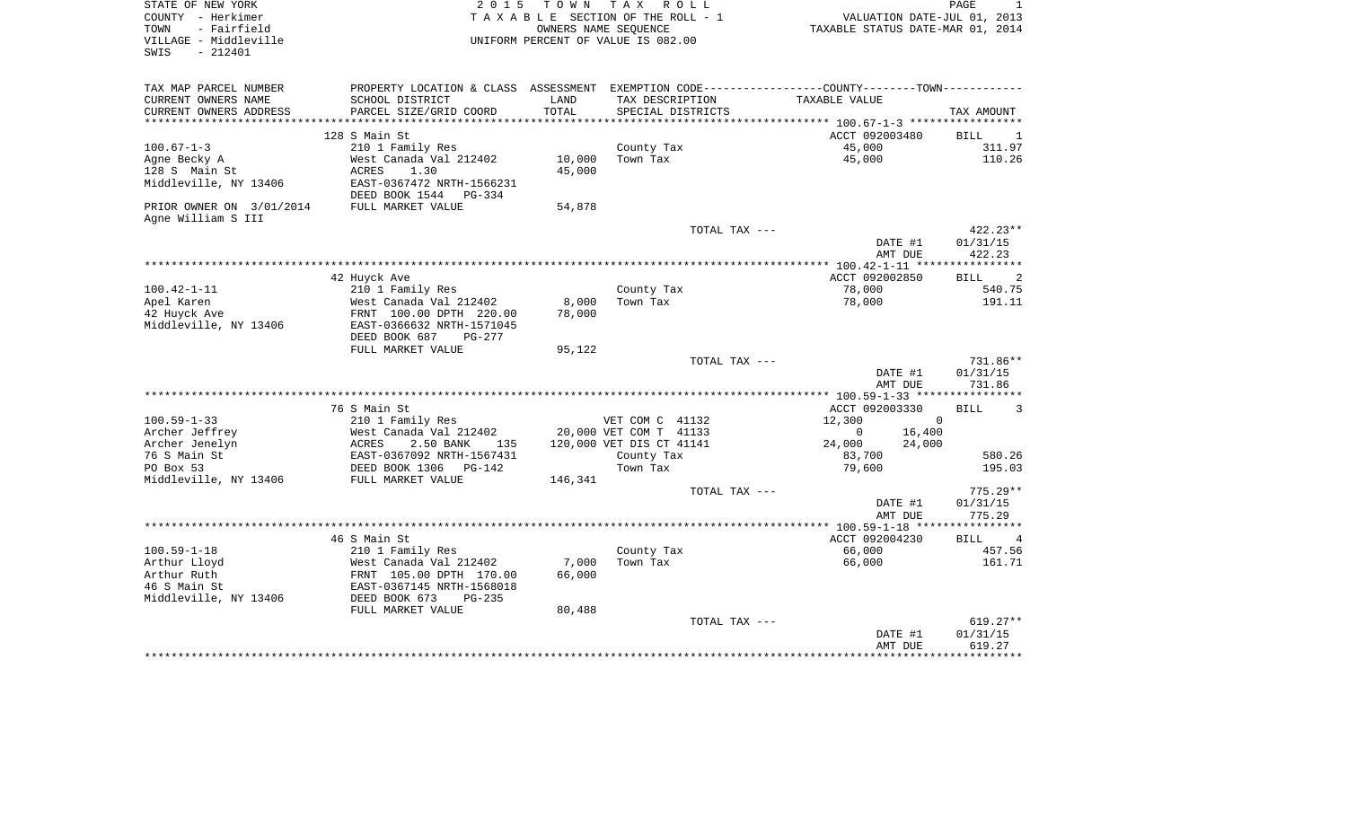| STATE OF NEW YORK<br>COUNTY - Herkimer<br>TOWN<br>- Fairfield<br>VILLAGE - Middleville<br>$-212401$<br>SWIS | 2 0 1 5                                                | TOWN TAX | R O L L<br>TAXABLE SECTION OF THE ROLL - 1<br>OWNERS NAME SEQUENCE<br>UNIFORM PERCENT OF VALUE IS 082.00 | VALUATION DATE-JUL 01, 2013<br>TAXABLE STATUS DATE-MAR 01, 2014                               | PAGE                          |
|-------------------------------------------------------------------------------------------------------------|--------------------------------------------------------|----------|----------------------------------------------------------------------------------------------------------|-----------------------------------------------------------------------------------------------|-------------------------------|
| TAX MAP PARCEL NUMBER                                                                                       |                                                        |          |                                                                                                          | PROPERTY LOCATION & CLASS ASSESSMENT EXEMPTION CODE---------------COUNTY-------TOWN---------- |                               |
| CURRENT OWNERS NAME                                                                                         | SCHOOL DISTRICT                                        | LAND     | TAX DESCRIPTION                                                                                          | TAXABLE VALUE                                                                                 |                               |
| CURRENT OWNERS ADDRESS                                                                                      | PARCEL SIZE/GRID COORD                                 | TOTAL    | SPECIAL DISTRICTS                                                                                        |                                                                                               | TAX AMOUNT                    |
|                                                                                                             |                                                        |          |                                                                                                          |                                                                                               |                               |
|                                                                                                             | 128 S Main St                                          |          |                                                                                                          | ACCT 092003480                                                                                | <b>BILL</b><br>- 1            |
| $100.67 - 1 - 3$                                                                                            | 210 1 Family Res                                       |          | County Tax                                                                                               | 45,000                                                                                        | 311.97                        |
| Agne Becky A                                                                                                | West Canada Val 212402                                 | 10,000   | Town Tax                                                                                                 | 45,000                                                                                        | 110.26                        |
| 128 S Main St                                                                                               | ACRES<br>1.30                                          | 45,000   |                                                                                                          |                                                                                               |                               |
| Middleville, NY 13406                                                                                       | EAST-0367472 NRTH-1566231                              |          |                                                                                                          |                                                                                               |                               |
|                                                                                                             | DEED BOOK 1544<br>PG-334                               |          |                                                                                                          |                                                                                               |                               |
| PRIOR OWNER ON 3/01/2014                                                                                    | FULL MARKET VALUE                                      | 54,878   |                                                                                                          |                                                                                               |                               |
| Agne William S III                                                                                          |                                                        |          | TOTAL TAX ---                                                                                            |                                                                                               | 422.23**                      |
|                                                                                                             |                                                        |          |                                                                                                          | DATE #1                                                                                       | 01/31/15                      |
|                                                                                                             |                                                        |          |                                                                                                          | AMT DUE                                                                                       | 422.23                        |
|                                                                                                             | 42 Huyck Ave                                           |          |                                                                                                          | ACCT 092002850                                                                                | 2<br><b>BILL</b>              |
| $100.42 - 1 - 11$                                                                                           | 210 1 Family Res                                       |          | County Tax                                                                                               | 78,000                                                                                        | 540.75                        |
| Apel Karen                                                                                                  | West Canada Val 212402                                 | 8,000    | Town Tax                                                                                                 | 78,000                                                                                        | 191.11                        |
| 42 Huyck Ave                                                                                                | FRNT 100.00 DPTH 220.00                                | 78,000   |                                                                                                          |                                                                                               |                               |
| Middleville, NY 13406                                                                                       | EAST-0366632 NRTH-1571045                              |          |                                                                                                          |                                                                                               |                               |
|                                                                                                             | DEED BOOK 687<br>PG-277                                |          |                                                                                                          |                                                                                               |                               |
|                                                                                                             | FULL MARKET VALUE                                      | 95,122   |                                                                                                          |                                                                                               |                               |
|                                                                                                             |                                                        |          | TOTAL TAX ---                                                                                            |                                                                                               | 731.86**                      |
|                                                                                                             |                                                        |          |                                                                                                          | DATE #1                                                                                       | 01/31/15                      |
|                                                                                                             |                                                        |          |                                                                                                          | AMT DUE                                                                                       | 731.86                        |
|                                                                                                             |                                                        |          |                                                                                                          |                                                                                               |                               |
|                                                                                                             | 76 S Main St                                           |          |                                                                                                          | ACCT 092003330                                                                                | <b>BILL</b><br>3              |
| $100.59 - 1 - 33$                                                                                           | 210 1 Family Res                                       |          | VET COM C 41132                                                                                          | 12,300                                                                                        | $\mathbf 0$                   |
| Archer Jeffrey                                                                                              | West Canada Val 212402                                 |          | 20,000 VET COM T 41133                                                                                   | 16,400<br>0                                                                                   |                               |
| Archer Jenelyn<br>76 S Main St                                                                              | ACRES<br>2.50 BANK<br>135<br>EAST-0367092 NRTH-1567431 |          | 120,000 VET DIS CT 41141                                                                                 | 24,000<br>24,000                                                                              | 580.26                        |
| PO Box 53                                                                                                   | DEED BOOK 1306<br>PG-142                               |          | County Tax<br>Town Tax                                                                                   | 83,700<br>79,600                                                                              | 195.03                        |
| Middleville, NY 13406                                                                                       | FULL MARKET VALUE                                      | 146,341  |                                                                                                          |                                                                                               |                               |
|                                                                                                             |                                                        |          | TOTAL TAX ---                                                                                            |                                                                                               | $775.29**$                    |
|                                                                                                             |                                                        |          |                                                                                                          | DATE #1                                                                                       | 01/31/15                      |
|                                                                                                             |                                                        |          |                                                                                                          | AMT DUE                                                                                       | 775.29                        |
|                                                                                                             |                                                        |          |                                                                                                          |                                                                                               |                               |
|                                                                                                             | 46 S Main St                                           |          |                                                                                                          | ACCT 092004230                                                                                | <b>BILL</b><br>$\overline{4}$ |
| $100.59 - 1 - 18$                                                                                           | 210 1 Family Res                                       |          | County Tax                                                                                               | 66,000                                                                                        | 457.56                        |
| Arthur Lloyd                                                                                                | West Canada Val 212402                                 | 7,000    | Town Tax                                                                                                 | 66,000                                                                                        | 161.71                        |
| Arthur Ruth                                                                                                 | FRNT 105.00 DPTH 170.00                                | 66,000   |                                                                                                          |                                                                                               |                               |
| 46 S Main St                                                                                                | EAST-0367145 NRTH-1568018                              |          |                                                                                                          |                                                                                               |                               |
| Middleville, NY 13406                                                                                       | DEED BOOK 673<br>$PG-235$                              |          |                                                                                                          |                                                                                               |                               |
|                                                                                                             | FULL MARKET VALUE                                      | 80,488   |                                                                                                          |                                                                                               |                               |
|                                                                                                             |                                                        |          | TOTAL TAX ---                                                                                            |                                                                                               | 619.27**                      |
|                                                                                                             |                                                        |          |                                                                                                          | DATE #1                                                                                       | 01/31/15                      |
|                                                                                                             |                                                        |          |                                                                                                          | AMT DUE                                                                                       | 619.27                        |
|                                                                                                             |                                                        |          |                                                                                                          |                                                                                               |                               |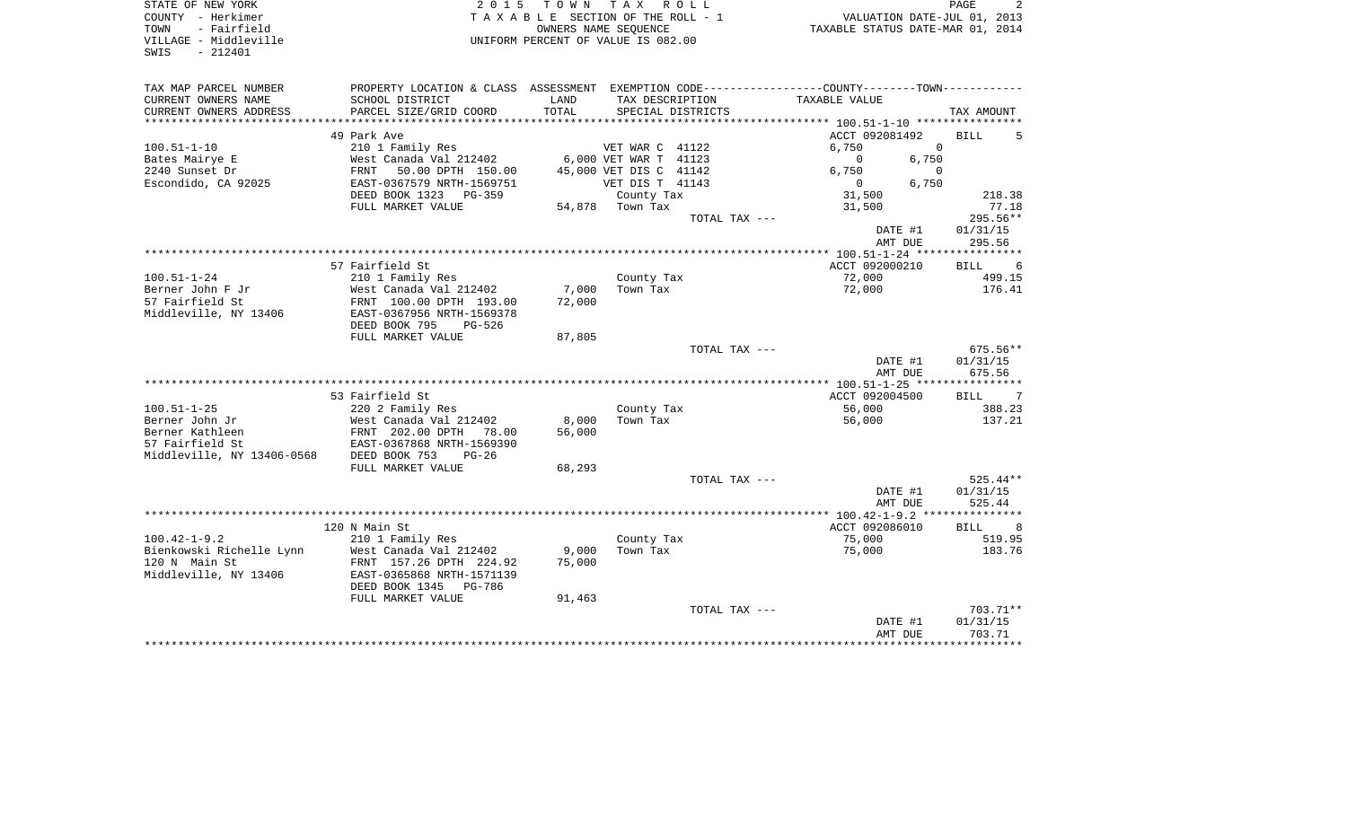| STATE OF NEW YORK<br>COUNTY - Herkimer<br>TOWN<br>- Fairfield |                                                                                                 | 2015 TOWN TAX ROLL<br>TAXABLE SECTION OF THE ROLL - 1 | OWNERS NAME SEQUENCE                      |                   | VALUATION DATE-JUL 01, 2013<br>TAXABLE STATUS DATE-MAR 01, 2014 | 2<br>PAGE                  |
|---------------------------------------------------------------|-------------------------------------------------------------------------------------------------|-------------------------------------------------------|-------------------------------------------|-------------------|-----------------------------------------------------------------|----------------------------|
| VILLAGE - Middleville<br>$-212401$<br>SWIS                    |                                                                                                 | UNIFORM PERCENT OF VALUE IS 082.00                    |                                           |                   |                                                                 |                            |
| TAX MAP PARCEL NUMBER                                         | PROPERTY LOCATION & CLASS ASSESSMENT EXEMPTION CODE----------------COUNTY--------TOWN---------- |                                                       |                                           |                   |                                                                 |                            |
| CURRENT OWNERS NAME                                           | SCHOOL DISTRICT                                                                                 | LAND                                                  |                                           | TAX DESCRIPTION   | TAXABLE VALUE                                                   |                            |
| CURRENT OWNERS ADDRESS                                        | PARCEL SIZE/GRID COORD                                                                          | TOTAL                                                 |                                           | SPECIAL DISTRICTS |                                                                 | TAX AMOUNT                 |
|                                                               |                                                                                                 |                                                       |                                           |                   |                                                                 |                            |
|                                                               | 49 Park Ave                                                                                     |                                                       |                                           |                   | ACCT 092081492                                                  | BILL<br>5                  |
| $100.51 - 1 - 10$                                             | 210 1 Family Res                                                                                |                                                       | VET WAR C 41122                           |                   | 6,750                                                           | $\Omega$                   |
| Bates Mairye E                                                | West Canada Val 212402<br>FRNT 50.00 DPTH 150.00                                                |                                                       | 6,000 VET WAR T 41123                     |                   | $\overline{0}$<br>6,750                                         | 6,750<br>$\Omega$          |
| 2240 Sunset Dr<br>Escondido, CA 92025                         | EAST-0367579 NRTH-1569751                                                                       |                                                       | 45,000 VET DIS C 41142<br>VET DIS T 41143 |                   | $\overline{0}$                                                  | 6,750                      |
|                                                               | DEED BOOK 1323 PG-359                                                                           |                                                       | County Tax                                |                   | 31,500                                                          | 218.38                     |
|                                                               | FULL MARKET VALUE                                                                               |                                                       | 54,878 Town Tax                           |                   | 31,500                                                          | 77.18                      |
|                                                               |                                                                                                 |                                                       |                                           | TOTAL TAX ---     |                                                                 | 295.56**                   |
|                                                               |                                                                                                 |                                                       |                                           |                   | DATE #1                                                         | 01/31/15                   |
|                                                               |                                                                                                 |                                                       |                                           |                   | AMT DUE                                                         | 295.56                     |
|                                                               |                                                                                                 |                                                       |                                           |                   |                                                                 |                            |
|                                                               | 57 Fairfield St                                                                                 |                                                       |                                           |                   | ACCT 092000210                                                  | BILL 6                     |
| $100.51 - 1 - 24$                                             | 210 1 Family Res                                                                                |                                                       | County Tax                                |                   | 72,000                                                          | 499.15                     |
| Berner John F Jr                                              | West Canada Val 212402                                                                          | 7,000                                                 | Town Tax                                  |                   | 72,000                                                          | 176.41                     |
| 57 Fairfield St                                               | FRNT 100.00 DPTH 193.00                                                                         | 72,000                                                |                                           |                   |                                                                 |                            |
| Middleville, NY 13406                                         | EAST-0367956 NRTH-1569378                                                                       |                                                       |                                           |                   |                                                                 |                            |
|                                                               | DEED BOOK 795<br>PG-526                                                                         |                                                       |                                           |                   |                                                                 |                            |
|                                                               | FULL MARKET VALUE                                                                               | 87,805                                                |                                           |                   |                                                                 |                            |
|                                                               |                                                                                                 |                                                       |                                           | TOTAL TAX ---     |                                                                 | $675.56**$                 |
|                                                               |                                                                                                 |                                                       |                                           |                   | DATE #1<br>AMT DUE                                              | 01/31/15<br>675.56         |
|                                                               |                                                                                                 |                                                       |                                           |                   |                                                                 |                            |
|                                                               | 53 Fairfield St                                                                                 |                                                       |                                           |                   | ACCT 092004500                                                  | BILL 7                     |
| $100.51 - 1 - 25$                                             | 220 2 Family Res                                                                                |                                                       | County Tax                                |                   | 56,000                                                          | 388.23                     |
| Berner John Jr                                                | West Canada Val 212402                                                                          | 8,000                                                 | Town Tax                                  |                   | 56,000                                                          | 137.21                     |
| Berner Kathleen                                               | FRNT 202.00 DPTH 78.00                                                                          | 56,000                                                |                                           |                   |                                                                 |                            |
| 57 Fairfield St                                               | EAST-0367868 NRTH-1569390                                                                       |                                                       |                                           |                   |                                                                 |                            |
| Middleville, NY 13406-0568                                    | DEED BOOK 753<br>$PG-26$                                                                        |                                                       |                                           |                   |                                                                 |                            |
|                                                               | FULL MARKET VALUE                                                                               | 68,293                                                |                                           |                   |                                                                 |                            |
|                                                               |                                                                                                 |                                                       |                                           | TOTAL TAX ---     |                                                                 | $525.44**$                 |
|                                                               |                                                                                                 |                                                       |                                           |                   | DATE #1                                                         | 01/31/15                   |
|                                                               |                                                                                                 |                                                       |                                           |                   | AMT DUE                                                         | 525.44                     |
|                                                               |                                                                                                 |                                                       |                                           |                   |                                                                 |                            |
|                                                               | 120 N Main St                                                                                   |                                                       |                                           |                   | ACCT 092086010                                                  | <b>BILL</b><br>8<br>519.95 |
| $100.42 - 1 - 9.2$<br>Bienkowski Richelle Lynn                | 210 1 Family Res<br>West Canada Val 212402                                                      | 9,000                                                 | County Tax<br>Town Tax                    |                   | 75,000<br>75,000                                                | 183.76                     |
| 120 N Main St                                                 | FRNT 157.26 DPTH 224.92                                                                         | 75,000                                                |                                           |                   |                                                                 |                            |
| Middleville, NY 13406                                         | EAST-0365868 NRTH-1571139                                                                       |                                                       |                                           |                   |                                                                 |                            |
|                                                               | DEED BOOK 1345 PG-786                                                                           |                                                       |                                           |                   |                                                                 |                            |
|                                                               | FULL MARKET VALUE                                                                               | 91,463                                                |                                           |                   |                                                                 |                            |
|                                                               |                                                                                                 |                                                       |                                           |                   |                                                                 |                            |
|                                                               |                                                                                                 |                                                       |                                           | TOTAL TAX ---     |                                                                 | 703.71**                   |
|                                                               |                                                                                                 |                                                       |                                           |                   | DATE #1                                                         | 01/31/15                   |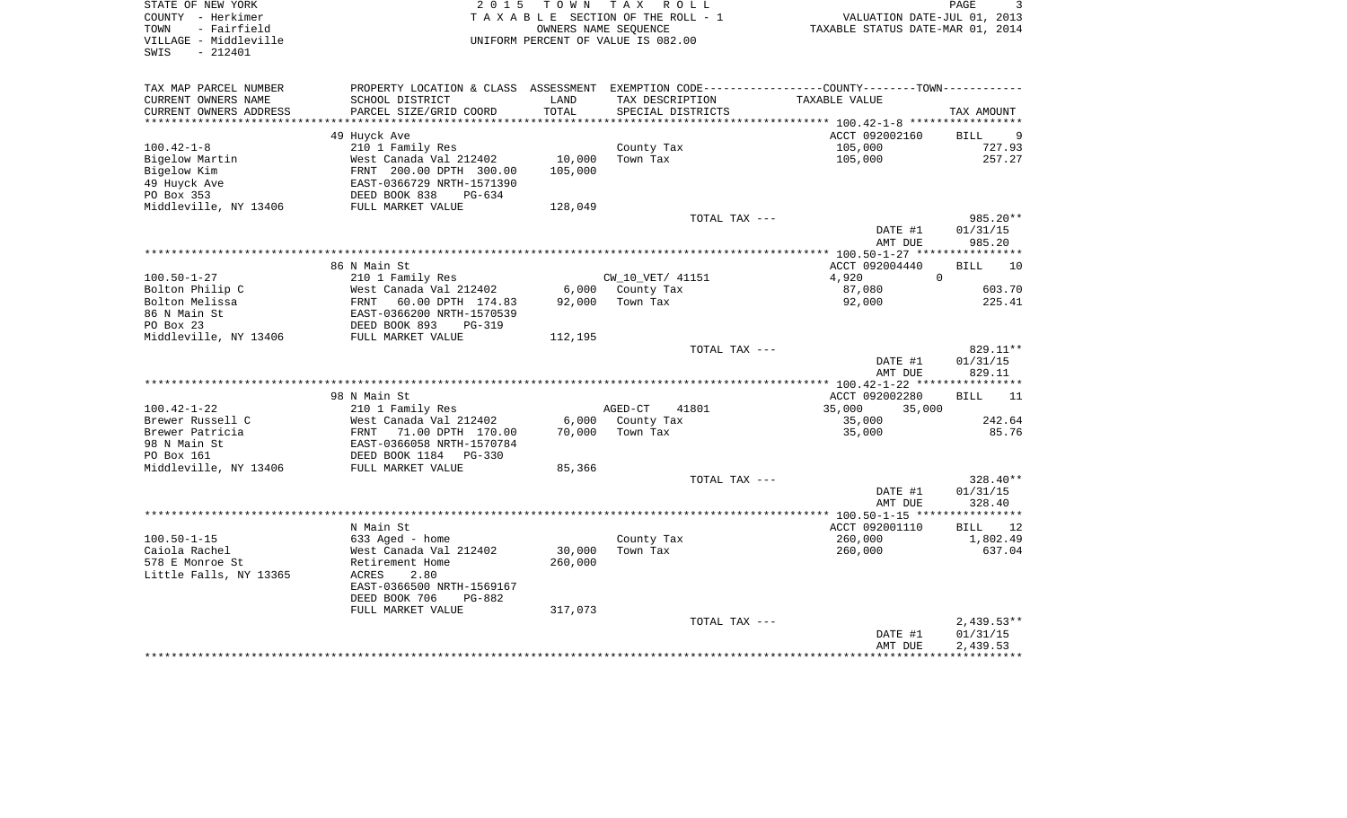| STATE OF NEW YORK<br>COUNTY - Herkimer<br>- Fairfield<br>TOWN | 2 0 1 5                                                                                         | TOWN TAX<br>OWNERS NAME SEQUENCE | R O L L<br>TAXABLE SECTION OF THE ROLL - 1 | VALUATION DATE-JUL 01, 2013<br>TAXABLE STATUS DATE-MAR 01, 2014 | PAGE<br>3             |
|---------------------------------------------------------------|-------------------------------------------------------------------------------------------------|----------------------------------|--------------------------------------------|-----------------------------------------------------------------|-----------------------|
| VILLAGE - Middleville<br>SWIS<br>$-212401$                    |                                                                                                 |                                  | UNIFORM PERCENT OF VALUE IS 082.00         |                                                                 |                       |
| TAX MAP PARCEL NUMBER                                         | PROPERTY LOCATION & CLASS ASSESSMENT EXEMPTION CODE----------------COUNTY--------TOWN---------- |                                  |                                            |                                                                 |                       |
| CURRENT OWNERS NAME                                           | SCHOOL DISTRICT                                                                                 | LAND                             | TAX DESCRIPTION                            | TAXABLE VALUE                                                   |                       |
| CURRENT OWNERS ADDRESS                                        | PARCEL SIZE/GRID COORD                                                                          | TOTAL                            | SPECIAL DISTRICTS                          |                                                                 | TAX AMOUNT            |
|                                                               |                                                                                                 |                                  |                                            |                                                                 |                       |
| $100.42 - 1 - 8$                                              | 49 Huyck Ave                                                                                    |                                  |                                            | ACCT 092002160<br>105,000                                       | BILL<br>- 9<br>727.93 |
| Bigelow Martin                                                | 210 1 Family Res<br>West Canada Val 212402                                                      | 10,000                           | County Tax<br>Town Tax                     | 105,000                                                         | 257.27                |
| Bigelow Kim                                                   | FRNT 200.00 DPTH 300.00                                                                         | 105,000                          |                                            |                                                                 |                       |
| 49 Huyck Ave                                                  | EAST-0366729 NRTH-1571390                                                                       |                                  |                                            |                                                                 |                       |
| PO Box 353                                                    | DEED BOOK 838<br>$PG-634$                                                                       |                                  |                                            |                                                                 |                       |
| Middleville, NY 13406                                         | FULL MARKET VALUE                                                                               | 128,049                          |                                            |                                                                 |                       |
|                                                               |                                                                                                 |                                  | TOTAL TAX ---                              |                                                                 | 985.20**              |
|                                                               |                                                                                                 |                                  |                                            | DATE #1                                                         | 01/31/15              |
|                                                               |                                                                                                 |                                  |                                            | AMT DUE                                                         | 985.20                |
|                                                               |                                                                                                 |                                  |                                            |                                                                 |                       |
|                                                               | 86 N Main St                                                                                    |                                  |                                            | ACCT 092004440                                                  | BILL<br>10            |
| $100.50 - 1 - 27$                                             | 210 1 Family Res                                                                                |                                  | CW_10_VET/ 41151                           | $\Omega$<br>4,920                                               |                       |
| Bolton Philip C                                               | West Canada Val 212402                                                                          |                                  | 6,000 County Tax                           | 87,080                                                          | 603.70                |
| Bolton Melissa                                                | FRNT<br>60.00 DPTH 174.83                                                                       | 92,000                           | Town Tax                                   | 92,000                                                          | 225.41                |
| 86 N Main St                                                  | EAST-0366200 NRTH-1570539<br>DEED BOOK 893    PG-319                                            |                                  |                                            |                                                                 |                       |
| PO Box 23                                                     |                                                                                                 |                                  |                                            |                                                                 |                       |
| Middleville, NY 13406                                         | FULL MARKET VALUE                                                                               | 112,195                          |                                            |                                                                 |                       |
|                                                               |                                                                                                 |                                  | TOTAL TAX ---                              |                                                                 | 829.11**              |
|                                                               |                                                                                                 |                                  |                                            | DATE #1                                                         | 01/31/15              |
|                                                               |                                                                                                 |                                  |                                            | AMT DUE                                                         | 829.11                |
|                                                               | 98 N Main St                                                                                    |                                  |                                            | ACCT 092002280                                                  | <b>BILL</b><br>11     |
| $100.42 - 1 - 22$                                             | 210 1 Family Res                                                                                |                                  | AGED-CT<br>41801                           | 35,000<br>35,000                                                |                       |
| Brewer Russell C                                              | West Canada Val 212402                                                                          | 6,000                            | County Tax                                 | 35,000                                                          | 242.64                |
| Brewer Patricia                                               | FRNT<br>71.00 DPTH 170.00                                                                       | 70,000                           | Town Tax                                   | 35,000                                                          | 85.76                 |
| 98 N Main St                                                  | EAST-0366058 NRTH-1570784                                                                       |                                  |                                            |                                                                 |                       |
| PO Box 161                                                    | DEED BOOK 1184<br>PG-330                                                                        |                                  |                                            |                                                                 |                       |
| Middleville, NY 13406                                         | FULL MARKET VALUE                                                                               | 85,366                           |                                            |                                                                 |                       |
|                                                               |                                                                                                 |                                  | TOTAL TAX ---                              |                                                                 | 328.40**              |
|                                                               |                                                                                                 |                                  |                                            | DATE #1                                                         | 01/31/15              |
|                                                               |                                                                                                 |                                  |                                            | AMT DUE                                                         | 328.40                |
|                                                               |                                                                                                 |                                  |                                            |                                                                 |                       |
|                                                               | N Main St                                                                                       |                                  |                                            | ACCT 092001110                                                  | <b>BILL</b><br>12     |
| $100.50 - 1 - 15$                                             | 633 Aged - home                                                                                 |                                  | County Tax                                 | 260,000                                                         | 1,802.49              |
| Caiola Rachel                                                 | West Canada Val 212402                                                                          | 30,000                           | Town Tax                                   | 260,000                                                         | 637.04                |
| 578 E Monroe St                                               | Retirement Home                                                                                 | 260,000                          |                                            |                                                                 |                       |
| Little Falls, NY 13365                                        | ACRES<br>2.80                                                                                   |                                  |                                            |                                                                 |                       |
|                                                               | EAST-0366500 NRTH-1569167                                                                       |                                  |                                            |                                                                 |                       |
|                                                               | DEED BOOK 706<br>PG-882                                                                         |                                  |                                            |                                                                 |                       |
|                                                               | FULL MARKET VALUE                                                                               | 317,073                          |                                            |                                                                 |                       |
|                                                               |                                                                                                 |                                  | TOTAL TAX ---                              |                                                                 | $2,439.53**$          |
|                                                               |                                                                                                 |                                  |                                            | DATE #1                                                         | 01/31/15              |
|                                                               |                                                                                                 |                                  |                                            | AMT DUE                                                         | 2,439.53              |
|                                                               |                                                                                                 |                                  |                                            |                                                                 |                       |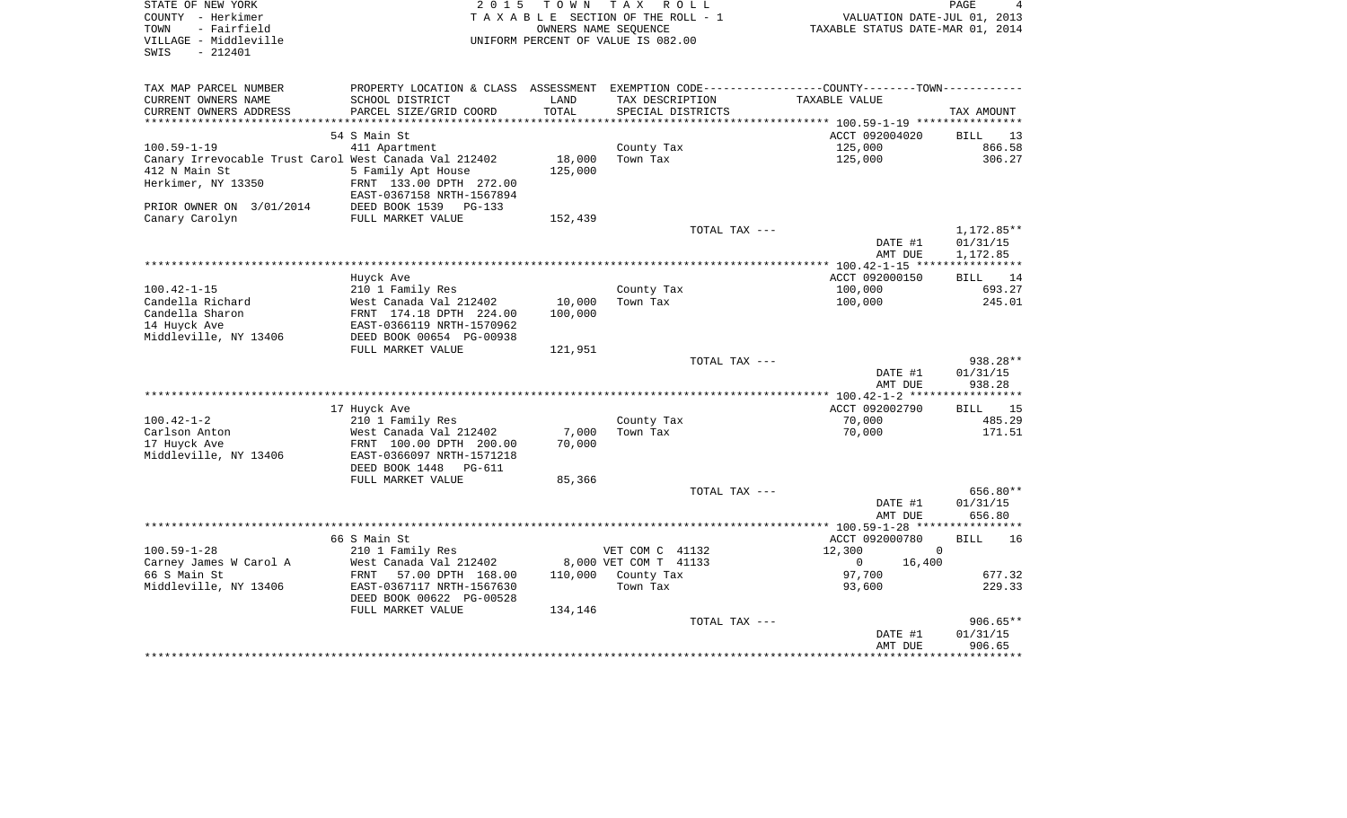| STATE OF NEW YORK<br>COUNTY - Herkimer<br>TOWN<br>- Fairfield<br>VILLAGE - Middleville<br>SWIS<br>$-212401$ | 2 0 1 5<br>T O W N<br>UNIFORM PERCENT OF VALUE IS 082.00 | T A X<br>R O L L<br>TAXABLE SECTION OF THE ROLL - 1<br>OWNERS NAME SEQUENCE | TAXABLE STATUS DATE-MAR 01, 2014                                                               | PAGE<br>4<br>VALUATION DATE-JUL 01, 2013 |
|-------------------------------------------------------------------------------------------------------------|----------------------------------------------------------|-----------------------------------------------------------------------------|------------------------------------------------------------------------------------------------|------------------------------------------|
| TAX MAP PARCEL NUMBER                                                                                       |                                                          |                                                                             | PROPERTY LOCATION & CLASS ASSESSMENT EXEMPTION CODE----------------COUNTY-------TOWN---------- |                                          |
| SCHOOL DISTRICT<br>CURRENT OWNERS NAME                                                                      | LAND                                                     | TAX DESCRIPTION                                                             | TAXABLE VALUE                                                                                  |                                          |
| CURRENT OWNERS ADDRESS<br>PARCEL SIZE/GRID COORD<br>************************                                | TOTAL                                                    | SPECIAL DISTRICTS                                                           |                                                                                                | TAX AMOUNT                               |
| 54 S Main St                                                                                                |                                                          |                                                                             | ACCT 092004020                                                                                 |                                          |
| $100.59 - 1 - 19$<br>411 Apartment                                                                          |                                                          | County Tax                                                                  | 125,000                                                                                        | BILL<br>13<br>866.58                     |
| Canary Irrevocable Trust Carol West Canada Val 212402                                                       | 18,000                                                   | Town Tax                                                                    | 125,000                                                                                        | 306.27                                   |
| 412 N Main St<br>5 Family Apt House                                                                         | 125,000                                                  |                                                                             |                                                                                                |                                          |
| Herkimer, NY 13350<br>FRNT 133.00 DPTH 272.00                                                               |                                                          |                                                                             |                                                                                                |                                          |
| EAST-0367158 NRTH-1567894                                                                                   |                                                          |                                                                             |                                                                                                |                                          |
| DEED BOOK 1539<br>PRIOR OWNER ON 3/01/2014                                                                  | $PG-133$                                                 |                                                                             |                                                                                                |                                          |
| Canary Carolyn<br>FULL MARKET VALUE                                                                         | 152,439                                                  |                                                                             |                                                                                                |                                          |
|                                                                                                             |                                                          | TOTAL TAX ---                                                               |                                                                                                | 1,172.85**                               |
|                                                                                                             |                                                          |                                                                             | DATE #1                                                                                        | 01/31/15                                 |
|                                                                                                             |                                                          |                                                                             | AMT DUE                                                                                        | 1,172.85<br>***********                  |
| Huyck Ave                                                                                                   |                                                          |                                                                             | ACCT 092000150                                                                                 | 14<br>BILL                               |
| $100.42 - 1 - 15$<br>210 1 Family Res                                                                       |                                                          | County Tax                                                                  | 100,000                                                                                        | 693.27                                   |
| Candella Richard<br>West Canada Val 212402                                                                  | 10,000                                                   | Town Tax                                                                    | 100,000                                                                                        | 245.01                                   |
| Candella Sharon<br>FRNT 174.18 DPTH 224.00                                                                  | 100,000                                                  |                                                                             |                                                                                                |                                          |
| 14 Huyck Ave<br>EAST-0366119 NRTH-1570962                                                                   |                                                          |                                                                             |                                                                                                |                                          |
| Middleville, NY 13406<br>DEED BOOK 00654 PG-00938                                                           |                                                          |                                                                             |                                                                                                |                                          |
| FULL MARKET VALUE                                                                                           | 121,951                                                  |                                                                             |                                                                                                |                                          |
|                                                                                                             |                                                          | TOTAL TAX ---                                                               |                                                                                                | 938.28**                                 |
|                                                                                                             |                                                          |                                                                             | DATE #1                                                                                        | 01/31/15                                 |
|                                                                                                             |                                                          |                                                                             | AMT DUE<br>*************** 100.42-1-2 *****                                                    | 938.28<br>* * * * * * * * * * * *        |
| 17 Huyck Ave                                                                                                |                                                          |                                                                             | ACCT 092002790                                                                                 | 15<br>BILL                               |
| $100.42 - 1 - 2$<br>210 1 Family Res                                                                        |                                                          | County Tax                                                                  | 70,000                                                                                         | 485.29                                   |
| Carlson Anton<br>West Canada Val 212402                                                                     | 7,000                                                    | Town Tax                                                                    | 70,000                                                                                         | 171.51                                   |
| 17 Huyck Ave<br>FRNT 100.00 DPTH 200.00                                                                     | 70,000                                                   |                                                                             |                                                                                                |                                          |
| Middleville, NY 13406<br>EAST-0366097 NRTH-1571218                                                          |                                                          |                                                                             |                                                                                                |                                          |
| DEED BOOK 1448                                                                                              | PG-611                                                   |                                                                             |                                                                                                |                                          |
| FULL MARKET VALUE                                                                                           | 85,366                                                   |                                                                             |                                                                                                |                                          |
|                                                                                                             |                                                          | TOTAL TAX ---                                                               |                                                                                                | 656.80**                                 |
|                                                                                                             |                                                          |                                                                             | DATE #1<br>AMT DUE                                                                             | 01/31/15<br>656.80                       |
|                                                                                                             |                                                          |                                                                             | *********** 100.59-1-28 ******                                                                 |                                          |
| 66 S Main St                                                                                                |                                                          |                                                                             | ACCT 092000780                                                                                 | <b>BILL</b><br>16                        |
| $100.59 - 1 - 28$<br>210 1 Family Res                                                                       |                                                          | VET COM C 41132                                                             | 12,300                                                                                         | $\Omega$                                 |
| Carney James W Carol A<br>West Canada Val 212402                                                            |                                                          | 8,000 VET COM T 41133                                                       | 0<br>16,400                                                                                    |                                          |
| 66 S Main St<br>FRNT                                                                                        | 110,000<br>57.00 DPTH 168.00                             | County Tax                                                                  | 97,700                                                                                         | 677.32                                   |
| Middleville, NY 13406<br>EAST-0367117 NRTH-1567630                                                          |                                                          | Town Tax                                                                    | 93,600                                                                                         | 229.33                                   |
| DEED BOOK 00622 PG-00528                                                                                    |                                                          |                                                                             |                                                                                                |                                          |
| FULL MARKET VALUE                                                                                           | 134,146                                                  |                                                                             |                                                                                                |                                          |
|                                                                                                             |                                                          | TOTAL TAX ---                                                               |                                                                                                | $906.65**$                               |
|                                                                                                             |                                                          |                                                                             | DATE #1<br>AMT DUE                                                                             | 01/31/15<br>906.65                       |
|                                                                                                             |                                                          |                                                                             |                                                                                                | ********                                 |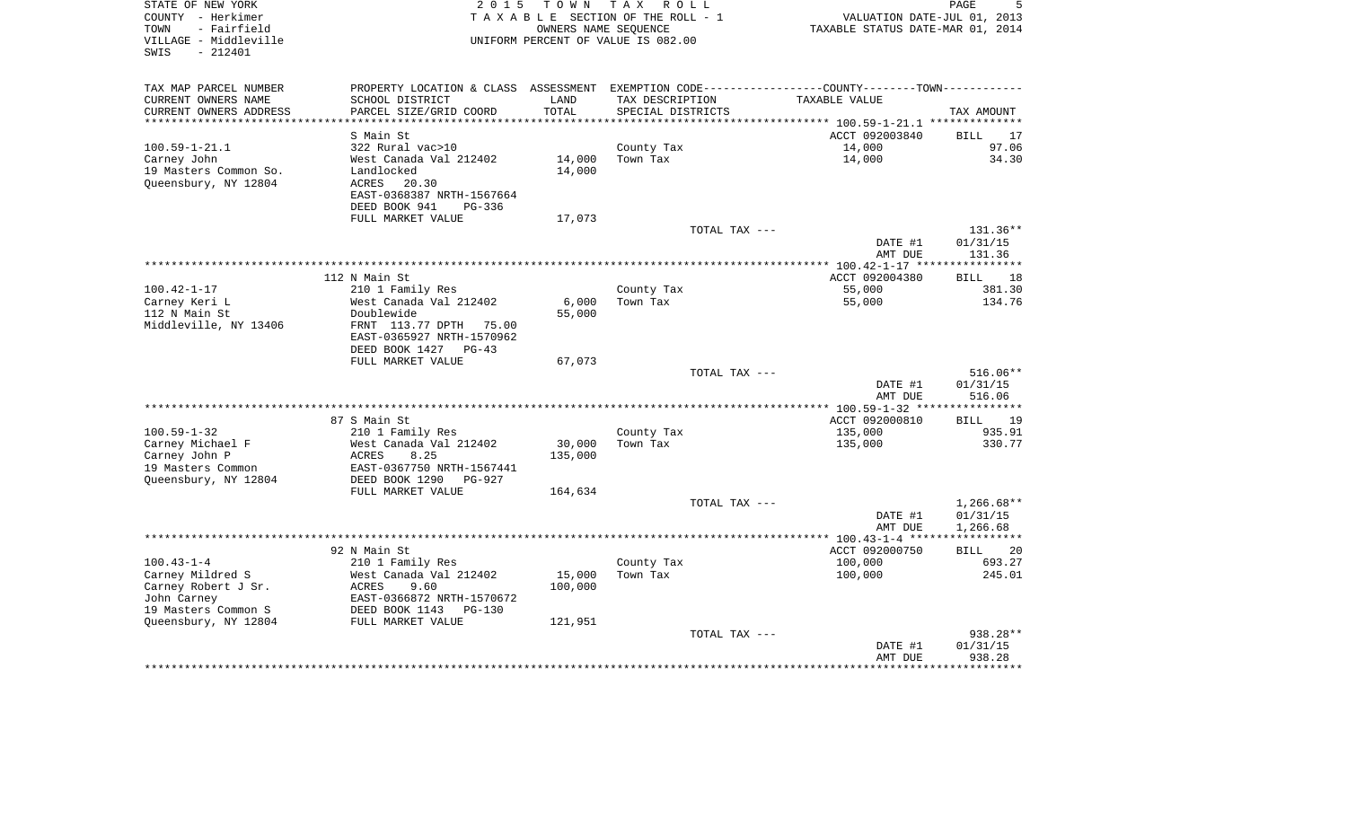| STATE OF NEW YORK<br>COUNTY - Herkimer                            | 2 0 1 5                       | T O W N    | T A X<br>R O L L<br>TAXABLE SECTION OF THE ROLL - 1        |                                                           | PAGE<br>VALUATION DATE-JUL 01, 2013<br>TAXABLE STATUS DATE-MAR 01, 2014 |  |  |
|-------------------------------------------------------------------|-------------------------------|------------|------------------------------------------------------------|-----------------------------------------------------------|-------------------------------------------------------------------------|--|--|
| - Fairfield<br>TOWN<br>VILLAGE - Middleville<br>SWIS<br>$-212401$ |                               |            | OWNERS NAME SEQUENCE<br>UNIFORM PERCENT OF VALUE IS 082.00 |                                                           |                                                                         |  |  |
| TAX MAP PARCEL NUMBER                                             | PROPERTY LOCATION & CLASS     | ASSESSMENT |                                                            | EXEMPTION CODE----------------COUNTY-------TOWN---------- |                                                                         |  |  |
| CURRENT OWNERS NAME                                               | SCHOOL DISTRICT               | LAND       | TAX DESCRIPTION                                            | TAXABLE VALUE                                             |                                                                         |  |  |
| CURRENT OWNERS ADDRESS                                            | PARCEL SIZE/GRID COORD        | TOTAL      | SPECIAL DISTRICTS                                          |                                                           | TAX AMOUNT                                                              |  |  |
| *************************                                         |                               |            |                                                            |                                                           |                                                                         |  |  |
| $100.59 - 1 - 21.1$                                               | S Main St<br>322 Rural vac>10 |            | County Tax                                                 | ACCT 092003840<br>14,000                                  | 17<br>BILL<br>97.06                                                     |  |  |
| Carney John                                                       | West Canada Val 212402        | 14,000     | Town Tax                                                   | 14,000                                                    | 34.30                                                                   |  |  |
| 19 Masters Common So.                                             | Landlocked                    | 14,000     |                                                            |                                                           |                                                                         |  |  |
| Queensbury, NY 12804                                              | ACRES<br>20.30                |            |                                                            |                                                           |                                                                         |  |  |
|                                                                   | EAST-0368387 NRTH-1567664     |            |                                                            |                                                           |                                                                         |  |  |
|                                                                   | DEED BOOK 941<br>PG-336       |            |                                                            |                                                           |                                                                         |  |  |
|                                                                   | FULL MARKET VALUE             | 17,073     |                                                            |                                                           |                                                                         |  |  |
|                                                                   |                               |            | TOTAL TAX ---                                              |                                                           | 131.36**                                                                |  |  |
|                                                                   |                               |            |                                                            | DATE #1                                                   | 01/31/15                                                                |  |  |
|                                                                   |                               |            |                                                            | AMT DUE                                                   | 131.36                                                                  |  |  |
|                                                                   | 112 N Main St                 |            |                                                            | ACCT 092004380                                            | <b>BILL</b><br>18                                                       |  |  |
| $100.42 - 1 - 17$                                                 | 210 1 Family Res              |            | County Tax                                                 | 55,000                                                    | 381.30                                                                  |  |  |
| Carney Keri L                                                     | West Canada Val 212402        | 6,000      | Town Tax                                                   | 55,000                                                    | 134.76                                                                  |  |  |
| 112 N Main St                                                     | Doublewide                    | 55,000     |                                                            |                                                           |                                                                         |  |  |
| Middleville, NY 13406                                             | FRNT 113.77 DPTH<br>75.00     |            |                                                            |                                                           |                                                                         |  |  |
|                                                                   | EAST-0365927 NRTH-1570962     |            |                                                            |                                                           |                                                                         |  |  |
|                                                                   | DEED BOOK 1427<br>$PG-43$     |            |                                                            |                                                           |                                                                         |  |  |
|                                                                   | FULL MARKET VALUE             | 67,073     |                                                            |                                                           |                                                                         |  |  |
|                                                                   |                               |            | TOTAL TAX ---                                              |                                                           | $516.06**$                                                              |  |  |
|                                                                   |                               |            |                                                            | DATE #1                                                   | 01/31/15                                                                |  |  |
|                                                                   |                               |            |                                                            | AMT DUE                                                   | 516.06                                                                  |  |  |
|                                                                   | 87 S Main St                  |            |                                                            | ACCT 092000810                                            | <b>BILL</b><br>19                                                       |  |  |
| $100.59 - 1 - 32$                                                 | 210 1 Family Res              |            | County Tax                                                 | 135,000                                                   | 935.91                                                                  |  |  |
| Carney Michael F                                                  | West Canada Val 212402        | 30,000     | Town Tax                                                   | 135,000                                                   | 330.77                                                                  |  |  |
| Carney John P                                                     | 8.25<br>ACRES                 | 135,000    |                                                            |                                                           |                                                                         |  |  |
| 19 Masters Common                                                 | EAST-0367750 NRTH-1567441     |            |                                                            |                                                           |                                                                         |  |  |
| Queensbury, NY 12804                                              | DEED BOOK 1290<br>$PG-927$    |            |                                                            |                                                           |                                                                         |  |  |
|                                                                   | FULL MARKET VALUE             | 164,634    |                                                            |                                                           |                                                                         |  |  |
|                                                                   |                               |            | TOTAL TAX ---                                              |                                                           | $1,266.68**$                                                            |  |  |
|                                                                   |                               |            |                                                            | DATE #1<br>AMT DUE                                        | 01/31/15<br>1,266.68                                                    |  |  |
|                                                                   |                               |            |                                                            | *********** 100.43-1-4 ****                               |                                                                         |  |  |
|                                                                   | 92 N Main St                  |            |                                                            | ACCT 092000750                                            | 20<br>BILL                                                              |  |  |
| $100.43 - 1 - 4$                                                  | 210 1 Family Res              |            | County Tax                                                 | 100,000                                                   | 693.27                                                                  |  |  |
| Carney Mildred S                                                  | West Canada Val 212402        | 15,000     | Town Tax                                                   | 100,000                                                   | 245.01                                                                  |  |  |
| Carney Robert J Sr.                                               | ACRES<br>9.60                 | 100,000    |                                                            |                                                           |                                                                         |  |  |
| John Carney                                                       | EAST-0366872 NRTH-1570672     |            |                                                            |                                                           |                                                                         |  |  |
| 19 Masters Common S                                               | DEED BOOK 1143<br>$PG-130$    |            |                                                            |                                                           |                                                                         |  |  |
| Queensbury, NY 12804                                              | FULL MARKET VALUE             | 121,951    |                                                            |                                                           |                                                                         |  |  |
|                                                                   |                               |            | TOTAL TAX ---                                              | DATE #1                                                   | 938.28**<br>01/31/15                                                    |  |  |
|                                                                   |                               |            |                                                            | AMT DUE                                                   | 938.28                                                                  |  |  |
|                                                                   |                               |            |                                                            |                                                           | ********                                                                |  |  |
|                                                                   |                               |            |                                                            |                                                           |                                                                         |  |  |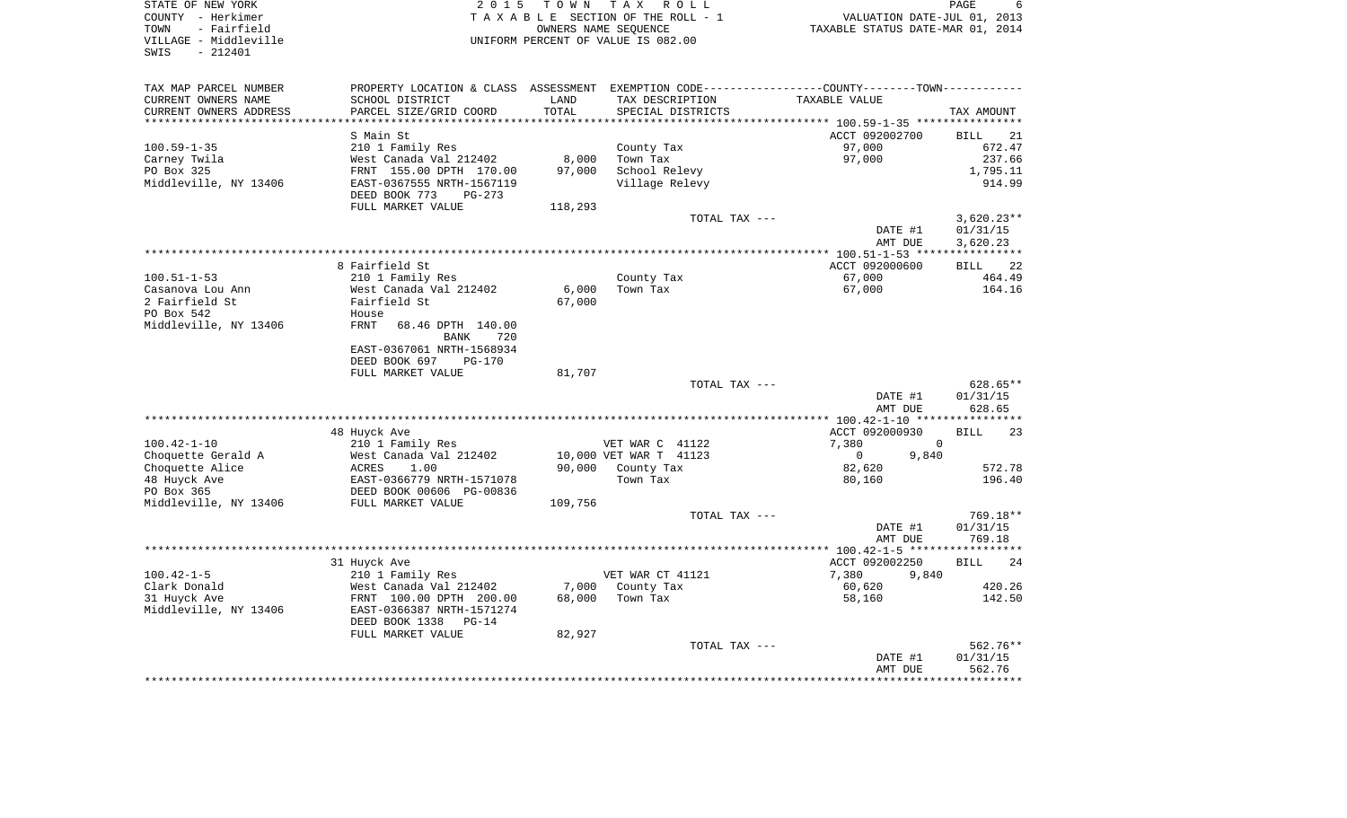SWIS - 212401

STATE OF NEW YORK GOOD CONSTRUCTED A CONSTRUCT A LOCAL CONSTRUCT ON MODE FOR A LOCAL CONSTRUCTION OF A LOCAL CONSTRUCTED AND REAGRE COUNTY - Herkimer T A X A B L E SECTION OF THE ROLL - 1 VALUATION DATE-JUL 01, 2013 TOWN - Fairfield OWNERS NAME SEQUENCE TAXABLE STATUS DATE-MAR 01, 2014 VILLAGE - Middleville UNIFORM PERCENT OF VALUE IS 082.00

 $6\overline{6}$ 

| TAX MAP PARCEL NUMBER          | PROPERTY LOCATION & CLASS ASSESSMENT |         |                        | EXEMPTION CODE-----------------COUNTY--------TOWN----------- |                   |
|--------------------------------|--------------------------------------|---------|------------------------|--------------------------------------------------------------|-------------------|
| CURRENT OWNERS NAME            | SCHOOL DISTRICT                      | LAND    | TAX DESCRIPTION        | TAXABLE VALUE                                                |                   |
| CURRENT OWNERS ADDRESS         | PARCEL SIZE/GRID COORD               | TOTAL   | SPECIAL DISTRICTS      |                                                              | TAX AMOUNT        |
| ****************************** |                                      |         |                        |                                                              |                   |
|                                | S Main St                            |         |                        | ACCT 092002700                                               | <b>BILL</b><br>21 |
| $100.59 - 1 - 35$              | 210 1 Family Res                     |         | County Tax             | 97,000                                                       | 672.47            |
| Carney Twila                   | West Canada Val 212402               | 8,000   | Town Tax               | 97,000                                                       | 237.66            |
| PO Box 325                     | FRNT 155.00 DPTH 170.00              | 97,000  | School Relevy          |                                                              | 1,795.11          |
| Middleville, NY 13406          | EAST-0367555 NRTH-1567119            |         | Village Relevy         |                                                              | 914.99            |
|                                | DEED BOOK 773<br>PG-273              |         |                        |                                                              |                   |
|                                | FULL MARKET VALUE                    | 118,293 |                        |                                                              |                   |
|                                |                                      |         | TOTAL TAX ---          |                                                              | $3,620.23**$      |
|                                |                                      |         |                        | DATE #1                                                      | 01/31/15          |
|                                |                                      |         |                        | AMT DUE                                                      | 3,620.23          |
|                                |                                      |         |                        | ************** 100.51-1-53 *****                             | ***********       |
|                                | 8 Fairfield St                       |         |                        | ACCT 092000600                                               | 22<br><b>BILL</b> |
| $100.51 - 1 - 53$              | 210 1 Family Res                     |         | County Tax             | 67,000                                                       | 464.49            |
| Casanova Lou Ann               | West Canada Val 212402               | 6,000   | Town Tax               | 67,000                                                       | 164.16            |
| 2 Fairfield St                 | Fairfield St                         | 67,000  |                        |                                                              |                   |
| PO Box 542                     | House                                |         |                        |                                                              |                   |
| Middleville, NY 13406          | FRNT<br>68.46 DPTH 140.00            |         |                        |                                                              |                   |
|                                | <b>BANK</b><br>720                   |         |                        |                                                              |                   |
|                                | EAST-0367061 NRTH-1568934            |         |                        |                                                              |                   |
|                                | DEED BOOK 697<br><b>PG-170</b>       |         |                        |                                                              |                   |
|                                | FULL MARKET VALUE                    | 81,707  |                        |                                                              |                   |
|                                |                                      |         | TOTAL TAX ---          |                                                              | $628.65**$        |
|                                |                                      |         |                        | DATE #1                                                      | 01/31/15          |
|                                |                                      |         |                        | AMT DUE                                                      | 628.65            |
|                                |                                      |         |                        |                                                              |                   |
|                                | 48 Huyck Ave                         |         |                        | ACCT 092000930                                               | 23<br><b>BILL</b> |
| $100.42 - 1 - 10$              | 210 1 Family Res                     |         | VET WAR C 41122        | 7,380<br>$\Omega$                                            |                   |
| Choquette Gerald A             | West Canada Val 212402               |         | 10,000 VET WAR T 41123 | 9,840<br>$\overline{0}$                                      |                   |
| Choquette Alice                | 1.00<br>ACRES                        |         | 90,000 County Tax      | 82,620                                                       | 572.78            |
| 48 Huyck Ave                   | EAST-0366779 NRTH-1571078            |         | Town Tax               | 80,160                                                       | 196.40            |
| PO Box 365                     | DEED BOOK 00606 PG-00836             |         |                        |                                                              |                   |
| Middleville, NY 13406          | FULL MARKET VALUE                    | 109,756 |                        |                                                              |                   |
|                                |                                      |         | TOTAL TAX ---          |                                                              | 769.18**          |
|                                |                                      |         |                        | DATE #1                                                      | 01/31/15          |
|                                |                                      |         |                        | AMT DUE                                                      | 769.18            |
|                                |                                      |         |                        |                                                              |                   |
|                                | 31 Huyck Ave                         |         |                        | ACCT 092002250                                               | 24<br><b>BILL</b> |
| $100.42 - 1 - 5$               | 210 1 Family Res                     |         | VET WAR CT 41121       | 7,380<br>9,840                                               |                   |
| Clark Donald                   | West Canada Val 212402               | 7,000   | County Tax             | 60,620                                                       | 420.26            |
| 31 Huyck Ave                   | FRNT 100.00 DPTH 200.00              | 68,000  | Town Tax               | 58,160                                                       | 142.50            |
| Middleville, NY 13406          | EAST-0366387 NRTH-1571274            |         |                        |                                                              |                   |
|                                | DEED BOOK 1338<br>$PG-14$            |         |                        |                                                              |                   |
|                                | FULL MARKET VALUE                    | 82,927  |                        |                                                              |                   |
|                                |                                      |         | TOTAL TAX ---          |                                                              | 562.76**          |
|                                |                                      |         |                        | DATE #1                                                      | 01/31/15          |
|                                |                                      |         |                        | AMT DUE                                                      | 562.76            |
|                                |                                      |         |                        |                                                              |                   |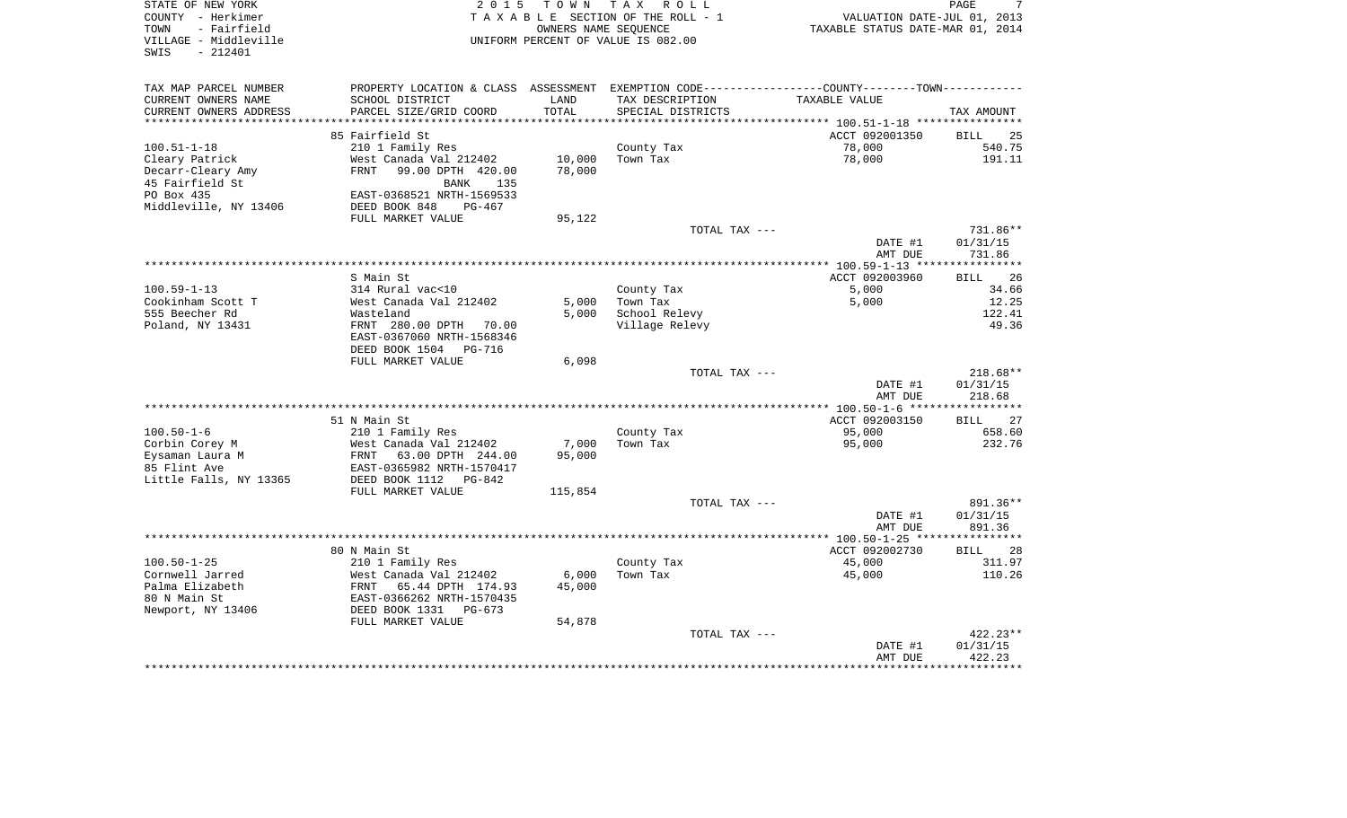| STATE OF NEW YORK<br>COUNTY - Herkimer<br>- Fairfield<br>TOWN<br>VILLAGE - Middleville<br>$-212401$<br>SWIS | 2 0 1 5                                                                                       | T O W N                     | T A X<br>R O L L<br>TAXABLE SECTION OF THE ROLL - 1<br>OWNERS NAME SEQUENCE<br>UNIFORM PERCENT OF VALUE IS 082.00 | VALUATION DATE-JUL 01, 2013<br>TAXABLE STATUS DATE-MAR 01, 2014                 | PAGE                           |
|-------------------------------------------------------------------------------------------------------------|-----------------------------------------------------------------------------------------------|-----------------------------|-------------------------------------------------------------------------------------------------------------------|---------------------------------------------------------------------------------|--------------------------------|
| TAX MAP PARCEL NUMBER                                                                                       | PROPERTY LOCATION & CLASS ASSESSMENT EXEMPTION CODE---------------COUNTY-------TOWN---------- |                             |                                                                                                                   |                                                                                 |                                |
| CURRENT OWNERS NAME<br>CURRENT OWNERS ADDRESS<br>**********************                                     | SCHOOL DISTRICT<br>PARCEL SIZE/GRID COORD                                                     | LAND<br>TOTAL<br>********** | TAX DESCRIPTION<br>SPECIAL DISTRICTS                                                                              | TAXABLE VALUE<br>********************************* 100.51-1-18 **************** | TAX AMOUNT                     |
|                                                                                                             | 85 Fairfield St                                                                               |                             |                                                                                                                   | ACCT 092001350                                                                  | BILL<br>25                     |
| $100.51 - 1 - 18$                                                                                           | 210 1 Family Res                                                                              |                             | County Tax                                                                                                        | 78,000                                                                          | 540.75                         |
| Cleary Patrick                                                                                              | West Canada Val 212402                                                                        | 10,000                      | Town Tax                                                                                                          | 78,000                                                                          | 191.11                         |
| Decarr-Cleary Amy<br>45 Fairfield St                                                                        | FRNT<br>99.00 DPTH 420.00<br>135<br>BANK                                                      | 78,000                      |                                                                                                                   |                                                                                 |                                |
| PO Box 435                                                                                                  | EAST-0368521 NRTH-1569533                                                                     |                             |                                                                                                                   |                                                                                 |                                |
| Middleville, NY 13406                                                                                       | DEED BOOK 848<br>PG-467<br>FULL MARKET VALUE                                                  | 95,122                      |                                                                                                                   |                                                                                 |                                |
|                                                                                                             |                                                                                               |                             | TOTAL TAX ---                                                                                                     |                                                                                 | 731.86**                       |
|                                                                                                             |                                                                                               |                             |                                                                                                                   | DATE #1<br>AMT DUE                                                              | 01/31/15<br>731.86             |
|                                                                                                             | S Main St                                                                                     |                             |                                                                                                                   | ACCT 092003960                                                                  | 26<br><b>BILL</b>              |
| $100.59 - 1 - 13$                                                                                           | 314 Rural vac<10                                                                              |                             | County Tax                                                                                                        | 5,000                                                                           | 34.66                          |
| Cookinham Scott T                                                                                           | West Canada Val 212402                                                                        | 5,000                       | Town Tax                                                                                                          | 5,000                                                                           | 12.25                          |
| 555 Beecher Rd                                                                                              | Wasteland                                                                                     | 5,000                       | School Relevy                                                                                                     |                                                                                 | 122.41                         |
| Poland, NY 13431                                                                                            | FRNT 280.00 DPTH 70.00<br>EAST-0367060 NRTH-1568346<br>DEED BOOK 1504<br>PG-716               |                             | Village Relevy                                                                                                    |                                                                                 | 49.36                          |
|                                                                                                             | FULL MARKET VALUE                                                                             | 6,098                       |                                                                                                                   |                                                                                 |                                |
|                                                                                                             |                                                                                               |                             | TOTAL TAX ---                                                                                                     | DATE #1<br>AMT DUE                                                              | 218.68**<br>01/31/15<br>218.68 |
|                                                                                                             |                                                                                               |                             |                                                                                                                   |                                                                                 |                                |
|                                                                                                             | 51 N Main St                                                                                  |                             |                                                                                                                   | ACCT 092003150                                                                  | <b>BILL</b><br>27              |
| $100.50 - 1 - 6$                                                                                            | 210 1 Family Res                                                                              |                             | County Tax                                                                                                        | 95,000                                                                          | 658.60                         |
| Corbin Corey M                                                                                              | West Canada Val 212402                                                                        | 7,000                       | Town Tax                                                                                                          | 95,000                                                                          | 232.76                         |
| Eysaman Laura M<br>85 Flint Ave                                                                             | FRNT<br>63.00 DPTH 244.00<br>EAST-0365982 NRTH-1570417                                        | 95,000                      |                                                                                                                   |                                                                                 |                                |
| Little Falls, NY 13365                                                                                      | DEED BOOK 1112<br>PG-842                                                                      |                             |                                                                                                                   |                                                                                 |                                |
|                                                                                                             | FULL MARKET VALUE                                                                             | 115,854                     |                                                                                                                   |                                                                                 |                                |
|                                                                                                             |                                                                                               |                             | TOTAL TAX ---                                                                                                     |                                                                                 | 891.36**                       |
|                                                                                                             |                                                                                               |                             |                                                                                                                   | DATE #1<br>AMT DUE                                                              | 01/31/15<br>891.36             |
|                                                                                                             |                                                                                               |                             |                                                                                                                   |                                                                                 |                                |
|                                                                                                             | 80 N Main St                                                                                  |                             |                                                                                                                   | ACCT 092002730                                                                  | 28<br>BILL                     |
| $100.50 - 1 - 25$                                                                                           | 210 1 Family Res                                                                              |                             | County Tax                                                                                                        | 45,000                                                                          | 311.97                         |
| Cornwell Jarred<br>Palma Elizabeth                                                                          | West Canada Val 212402<br>FRNT<br>65.44 DPTH 174.93                                           | 6,000<br>45,000             | Town Tax                                                                                                          | 45,000                                                                          | 110.26                         |
| 80 N Main St                                                                                                | EAST-0366262 NRTH-1570435                                                                     |                             |                                                                                                                   |                                                                                 |                                |
| Newport, NY 13406                                                                                           | DEED BOOK 1331<br>$PG-673$                                                                    |                             |                                                                                                                   |                                                                                 |                                |
|                                                                                                             | FULL MARKET VALUE                                                                             | 54,878                      |                                                                                                                   |                                                                                 |                                |
|                                                                                                             |                                                                                               |                             | TOTAL TAX ---                                                                                                     |                                                                                 | 422.23**                       |
|                                                                                                             |                                                                                               |                             |                                                                                                                   | DATE #1                                                                         | 01/31/15                       |
|                                                                                                             |                                                                                               |                             |                                                                                                                   | AMT DUE                                                                         | 422.23                         |
|                                                                                                             |                                                                                               |                             |                                                                                                                   |                                                                                 |                                |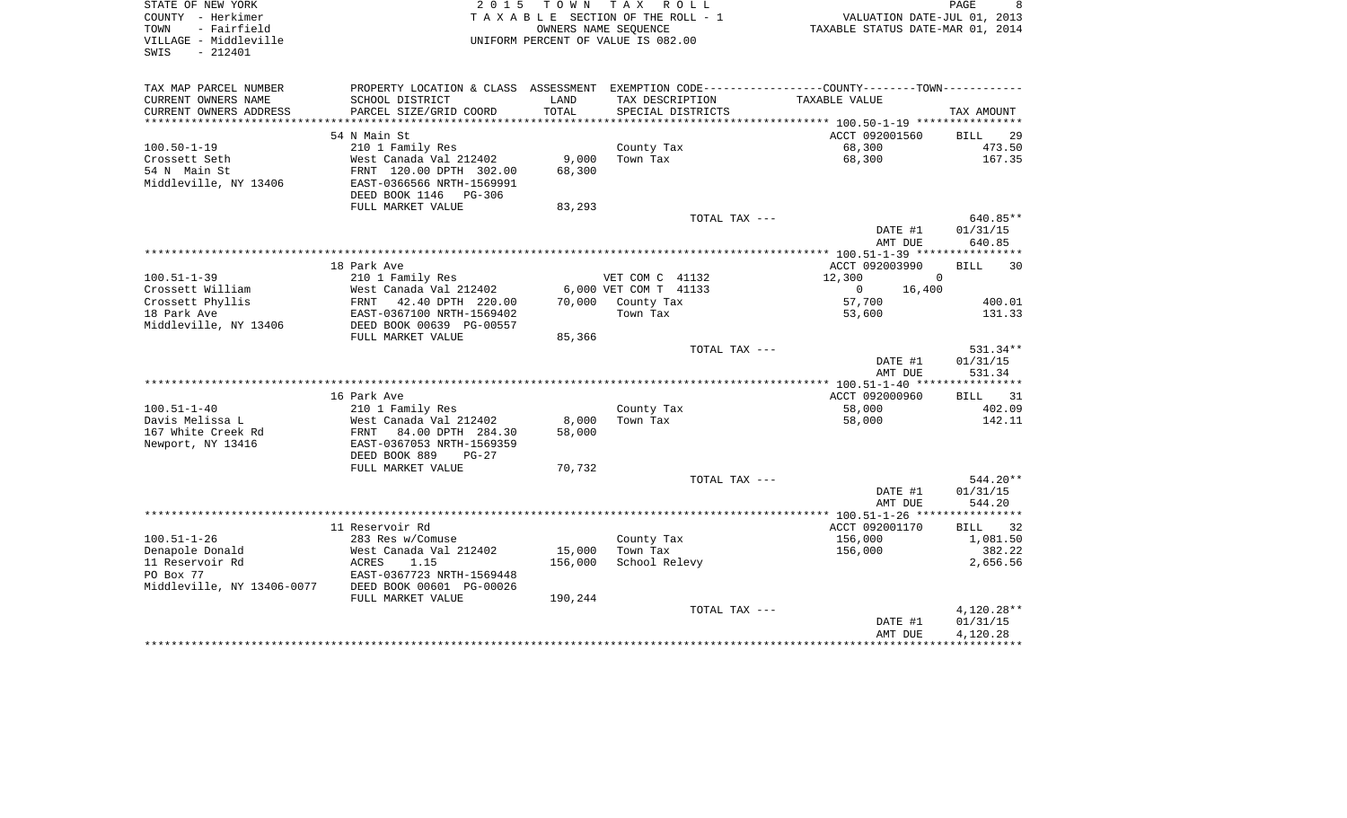| STATE OF NEW YORK<br>COUNTY - Herkimer<br>TOWN<br>- Fairfield<br>VILLAGE - Middleville<br>$-212401$<br>SWIS              | 2 0 1 5<br>TAXABLE SECTION OF THE ROLL - 1<br>UNIFORM PERCENT OF VALUE IS 082.00 |         | TOWN TAX ROLL<br>OWNERS NAME SEOUENCE |               | VALUATION DATE-JUL 01, 2013<br>TAXABLE STATUS DATE-MAR 01, 2014 |                    | PAGE                 | 8  |
|--------------------------------------------------------------------------------------------------------------------------|----------------------------------------------------------------------------------|---------|---------------------------------------|---------------|-----------------------------------------------------------------|--------------------|----------------------|----|
| TAX MAP PARCEL NUMBER<br>PROPERTY LOCATION & CLASS ASSESSMENT EXEMPTION CODE----------------COUNTY--------TOWN---------- |                                                                                  |         |                                       |               |                                                                 |                    |                      |    |
| CURRENT OWNERS NAME<br>SCHOOL DISTRICT                                                                                   |                                                                                  | LAND    | TAX DESCRIPTION                       |               | TAXABLE VALUE                                                   |                    |                      |    |
| CURRENT OWNERS ADDRESS<br>PARCEL SIZE/GRID COORD                                                                         |                                                                                  | TOTAL   | SPECIAL DISTRICTS                     |               |                                                                 |                    | TAX AMOUNT           |    |
|                                                                                                                          |                                                                                  |         |                                       |               |                                                                 |                    |                      |    |
| 54 N Main St                                                                                                             |                                                                                  |         |                                       |               | ACCT 092001560                                                  |                    | BILL                 | 29 |
| $100.50 - 1 - 19$<br>210 1 Family Res<br>Crossett Seth<br>West Canada Val 212402                                         |                                                                                  | 9,000   | County Tax<br>Town Tax                |               | 68,300<br>68,300                                                |                    | 473.50<br>167.35     |    |
| 54 N Main St<br>FRNT 120.00 DPTH 302.00                                                                                  |                                                                                  | 68,300  |                                       |               |                                                                 |                    |                      |    |
| Middleville, NY 13406<br>EAST-0366566 NRTH-1569991                                                                       |                                                                                  |         |                                       |               |                                                                 |                    |                      |    |
| DEED BOOK 1146 PG-306                                                                                                    |                                                                                  |         |                                       |               |                                                                 |                    |                      |    |
| FULL MARKET VALUE                                                                                                        |                                                                                  | 83,293  |                                       |               |                                                                 |                    |                      |    |
|                                                                                                                          |                                                                                  |         |                                       | TOTAL TAX --- |                                                                 |                    | 640.85**             |    |
|                                                                                                                          |                                                                                  |         |                                       |               |                                                                 | DATE #1            | 01/31/15             |    |
|                                                                                                                          |                                                                                  |         |                                       |               |                                                                 | AMT DUE            | 640.85               |    |
|                                                                                                                          |                                                                                  |         |                                       |               |                                                                 |                    |                      |    |
| 18 Park Ave<br>$100.51 - 1 - 39$                                                                                         |                                                                                  |         | VET COM C 41132                       |               | ACCT 092003990<br>12,300                                        | $\Omega$           | <b>BILL</b>          | 30 |
| 210 1 Family Res<br>Crossett William<br>West Canada Val 212402                                                           |                                                                                  |         | 6,000 VET COM T 41133                 |               | $\overline{0}$                                                  | 16,400             |                      |    |
| Crossett Phyllis<br>FRNT 42.40 DPTH 220.00                                                                               |                                                                                  | 70,000  | County Tax                            |               | 57,700                                                          |                    | 400.01               |    |
| 18 Park Ave<br>EAST-0367100 NRTH-1569402                                                                                 |                                                                                  |         | Town Tax                              |               | 53,600                                                          |                    | 131.33               |    |
| Middleville, NY 13406<br>DEED BOOK 00639 PG-00557                                                                        |                                                                                  |         |                                       |               |                                                                 |                    |                      |    |
| FULL MARKET VALUE                                                                                                        |                                                                                  | 85,366  |                                       |               |                                                                 |                    |                      |    |
|                                                                                                                          |                                                                                  |         |                                       | TOTAL TAX --- |                                                                 |                    | 531.34**             |    |
|                                                                                                                          |                                                                                  |         |                                       |               |                                                                 | DATE #1            | 01/31/15             |    |
|                                                                                                                          |                                                                                  |         |                                       |               |                                                                 | AMT DUE            | 531.34               |    |
| 16 Park Ave                                                                                                              |                                                                                  |         |                                       |               | ACCT 092000960                                                  |                    | BILL 31              |    |
| $100.51 - 1 - 40$<br>210 1 Family Res                                                                                    |                                                                                  |         | County Tax                            |               | 58,000                                                          |                    | 402.09               |    |
| Davis Melissa L<br>West Canada Val 212402                                                                                |                                                                                  | 8,000   | Town Tax                              |               | 58,000                                                          |                    | 142.11               |    |
| 167 White Creek Rd<br>FRNT 84.00 DPTH 284.30                                                                             |                                                                                  | 58,000  |                                       |               |                                                                 |                    |                      |    |
| Newport, NY 13416<br>EAST-0367053 NRTH-1569359                                                                           |                                                                                  |         |                                       |               |                                                                 |                    |                      |    |
| DEED BOOK 889                                                                                                            | $PG-27$                                                                          |         |                                       |               |                                                                 |                    |                      |    |
| FULL MARKET VALUE                                                                                                        |                                                                                  | 70,732  |                                       |               |                                                                 |                    |                      |    |
|                                                                                                                          |                                                                                  |         |                                       | TOTAL TAX --- |                                                                 |                    | $544.20**$           |    |
|                                                                                                                          |                                                                                  |         |                                       |               |                                                                 | DATE #1            | 01/31/15             |    |
|                                                                                                                          |                                                                                  |         |                                       |               | ************** 100.51-1-26 *****************                    | AMT DUE            | 544.20               |    |
| 11 Reservoir Rd                                                                                                          |                                                                                  |         |                                       |               | ACCT 092001170                                                  |                    | BILL 32              |    |
| $100.51 - 1 - 26$<br>283 Res w/Comuse                                                                                    |                                                                                  |         | County Tax                            |               | 156,000                                                         |                    | 1,081.50             |    |
| Denapole Donald<br>West Canada Val 212402                                                                                |                                                                                  | 15,000  | Town Tax                              |               | 156,000                                                         |                    | 382.22               |    |
| 11 Reservoir Rd<br>ACRES<br>1.15                                                                                         |                                                                                  | 156,000 | School Relevy                         |               |                                                                 |                    | 2,656.56             |    |
| PO Box 77<br>EAST-0367723 NRTH-1569448                                                                                   |                                                                                  |         |                                       |               |                                                                 |                    |                      |    |
| DEED BOOK 00601 PG-00026<br>Middleville, NY 13406-0077                                                                   |                                                                                  |         |                                       |               |                                                                 |                    |                      |    |
| FULL MARKET VALUE                                                                                                        |                                                                                  | 190,244 |                                       |               |                                                                 |                    |                      |    |
|                                                                                                                          |                                                                                  |         |                                       | TOTAL TAX --- |                                                                 |                    | 4,120.28**           |    |
|                                                                                                                          |                                                                                  |         |                                       |               |                                                                 | DATE #1<br>AMT DUE | 01/31/15<br>4,120.28 |    |
|                                                                                                                          |                                                                                  |         |                                       |               |                                                                 |                    |                      |    |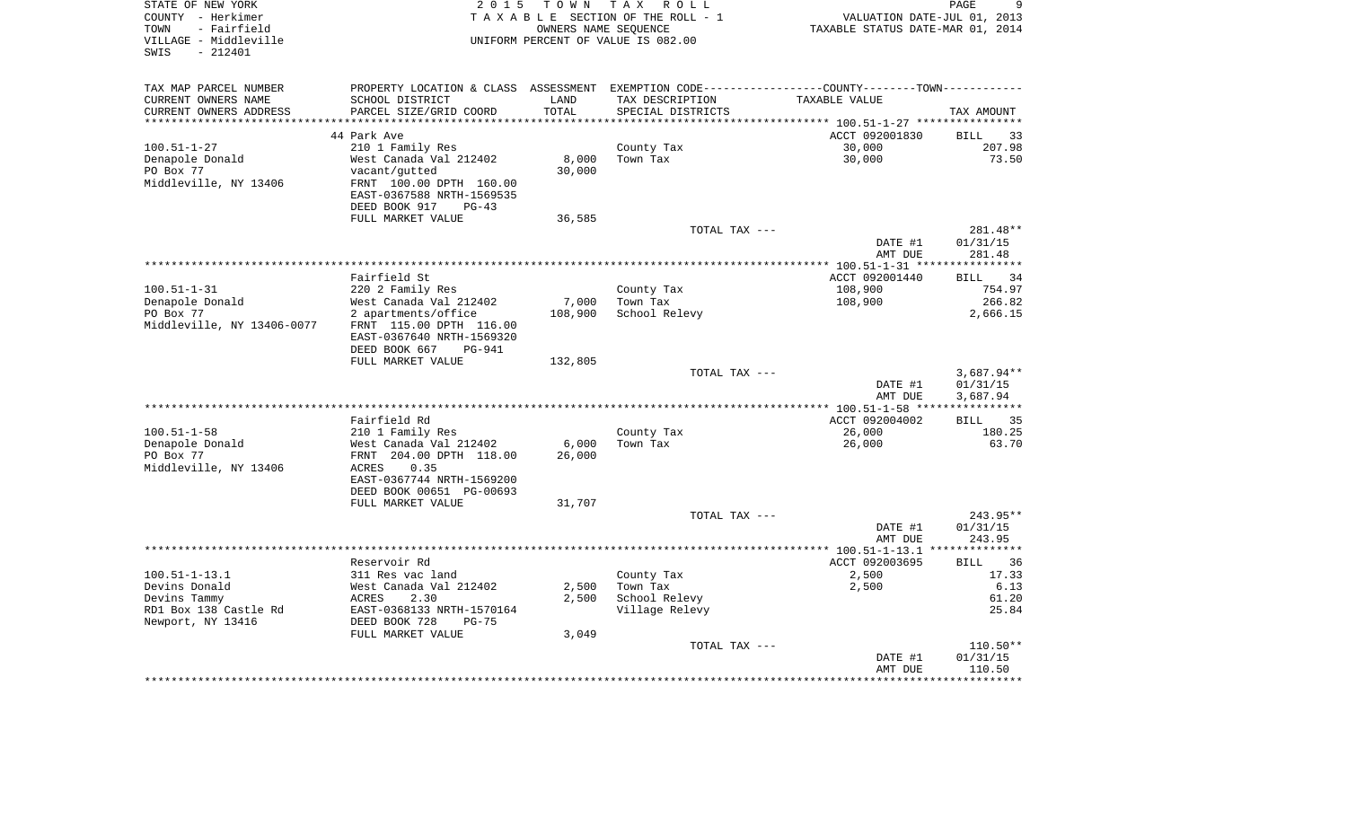| STATE OF NEW YORK<br>COUNTY - Herkimer<br>- Fairfield<br>TOWN<br>VILLAGE - Middleville<br>$-212401$<br>SWIS | 2 0 1 5<br>T O W N<br>T A X<br>R O L L<br>TAXABLE SECTION OF THE ROLL - 1<br>OWNERS NAME SEQUENCE<br>UNIFORM PERCENT OF VALUE IS 082.00                              |                           |                                                           | 9<br>PAGE<br>VALUATION DATE-JUL 01, 2013<br>TAXABLE STATUS DATE-MAR 01, 2014  |                                                |  |
|-------------------------------------------------------------------------------------------------------------|----------------------------------------------------------------------------------------------------------------------------------------------------------------------|---------------------------|-----------------------------------------------------------|-------------------------------------------------------------------------------|------------------------------------------------|--|
| TAX MAP PARCEL NUMBER<br>CURRENT OWNERS NAME                                                                | PROPERTY LOCATION & CLASS ASSESSMENT<br>SCHOOL DISTRICT                                                                                                              | LAND                      | TAX DESCRIPTION                                           | EXEMPTION CODE-----------------COUNTY--------TOWN-----------<br>TAXABLE VALUE |                                                |  |
| CURRENT OWNERS ADDRESS<br>**********************                                                            | PARCEL SIZE/GRID COORD<br>*******************                                                                                                                        | TOTAL<br>************     | SPECIAL DISTRICTS                                         |                                                                               | TAX AMOUNT                                     |  |
|                                                                                                             | 44 Park Ave                                                                                                                                                          |                           |                                                           | ACCT 092001830                                                                | 33<br><b>BILL</b>                              |  |
| $100.51 - 1 - 27$<br>Denapole Donald<br>PO Box 77<br>Middleville, NY 13406                                  | 210 1 Family Res<br>West Canada Val 212402<br>vacant/gutted<br>FRNT 100.00 DPTH 160.00<br>EAST-0367588 NRTH-1569535<br>DEED BOOK 917<br>$PG-43$                      | 8,000<br>30,000           | County Tax<br>Town Tax                                    | 30,000<br>30,000                                                              | 207.98<br>73.50                                |  |
|                                                                                                             | FULL MARKET VALUE                                                                                                                                                    | 36,585                    | TOTAL TAX ---                                             |                                                                               | 281.48**                                       |  |
|                                                                                                             |                                                                                                                                                                      |                           |                                                           | DATE #1<br>AMT DUE                                                            | 01/31/15<br>281.48                             |  |
|                                                                                                             |                                                                                                                                                                      |                           |                                                           |                                                                               |                                                |  |
| $100.51 - 1 - 31$                                                                                           | Fairfield St<br>220 2 Family Res                                                                                                                                     |                           | County Tax                                                | ACCT 092001440<br>108,900                                                     | 34<br>BILL<br>754.97                           |  |
| Denapole Donald<br>PO Box 77<br>Middleville, NY 13406-0077                                                  | West Canada Val 212402<br>2 apartments/office<br>FRNT 115.00 DPTH 116.00<br>EAST-0367640 NRTH-1569320<br>DEED BOOK 667<br><b>PG-941</b>                              | 7,000<br>108,900          | Town Tax<br>School Relevy                                 | 108,900                                                                       | 266.82<br>2,666.15                             |  |
|                                                                                                             | FULL MARKET VALUE                                                                                                                                                    | 132,805                   |                                                           |                                                                               |                                                |  |
|                                                                                                             | *********                                                                                                                                                            |                           | TOTAL TAX ---                                             | DATE #1<br>AMT DUE                                                            | $3,687.94**$<br>01/31/15<br>3,687.94           |  |
|                                                                                                             | Fairfield Rd                                                                                                                                                         |                           |                                                           | ACCT 092004002                                                                | <b>BILL</b><br>35                              |  |
| $100.51 - 1 - 58$<br>Denapole Donald<br>PO Box 77<br>Middleville, NY 13406                                  | 210 1 Family Res<br>West Canada Val 212402<br>FRNT 204.00 DPTH 118.00<br>0.35<br>ACRES<br>EAST-0367744 NRTH-1569200<br>DEED BOOK 00651 PG-00693<br>FULL MARKET VALUE | 6,000<br>26,000<br>31,707 | County Tax<br>Town Tax                                    | 26,000<br>26,000                                                              | 180.25<br>63.70                                |  |
|                                                                                                             |                                                                                                                                                                      |                           | TOTAL TAX ---                                             |                                                                               | 243.95**                                       |  |
|                                                                                                             |                                                                                                                                                                      |                           |                                                           | DATE #1<br>AMT DUE                                                            | 01/31/15<br>243.95                             |  |
|                                                                                                             | Reservoir Rd                                                                                                                                                         |                           |                                                           | ACCT 092003695                                                                | 36<br>BILL                                     |  |
| $100.51 - 1 - 13.1$<br>Devins Donald<br>Devins Tammy<br>RD1 Box 138 Castle Rd<br>Newport, NY 13416          | 311 Res vac land<br>West Canada Val 212402<br>ACRES<br>2.30<br>EAST-0368133 NRTH-1570164<br>DEED BOOK 728<br>$PG-75$                                                 | 2,500<br>2,500            | County Tax<br>Town Tax<br>School Relevy<br>Village Relevy | 2,500<br>2,500                                                                | 17.33<br>6.13<br>61.20<br>25.84                |  |
|                                                                                                             | FULL MARKET VALUE                                                                                                                                                    | 3,049                     | TOTAL TAX ---                                             | DATE #1<br>AMT DUE                                                            | 110.50**<br>01/31/15<br>110.50<br>************ |  |
|                                                                                                             |                                                                                                                                                                      |                           |                                                           |                                                                               |                                                |  |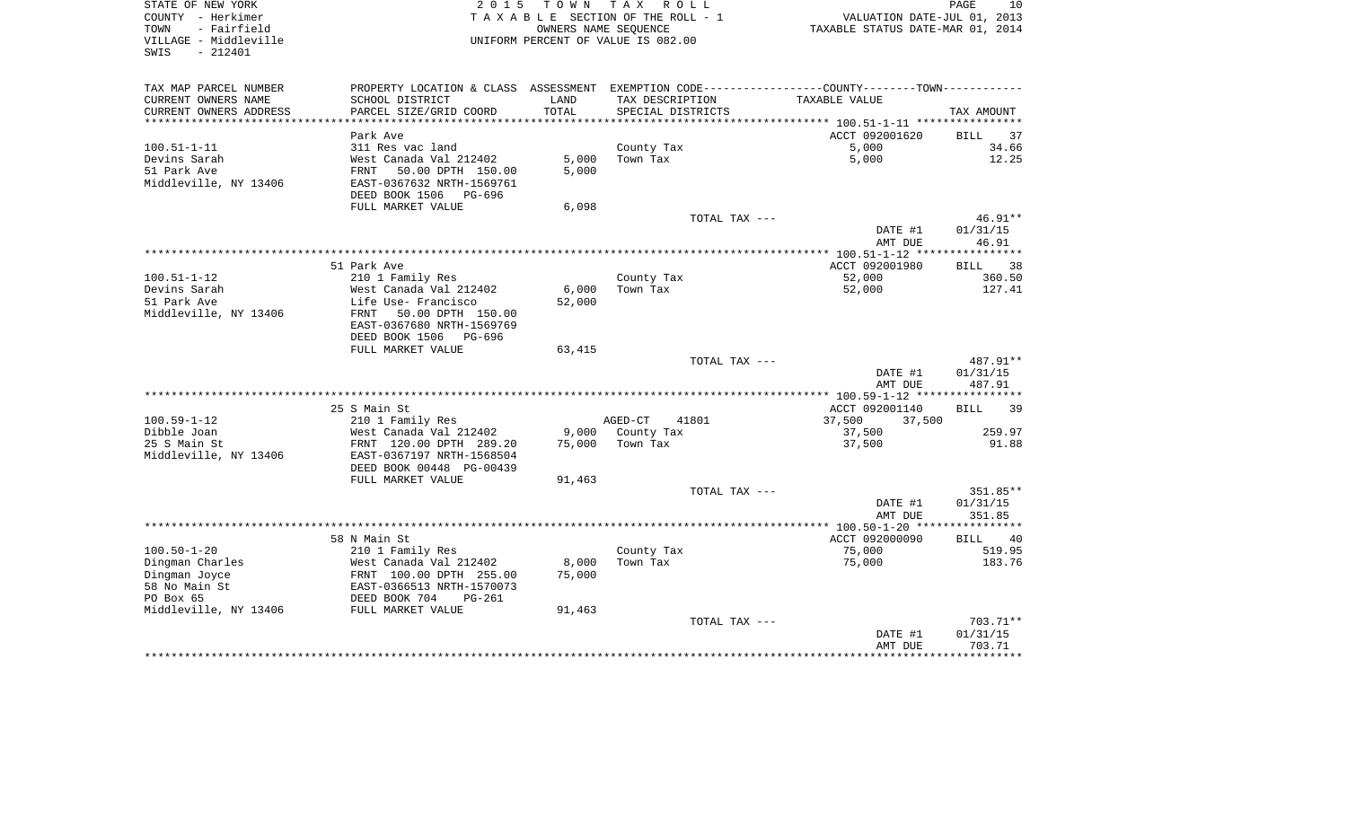| STATE OF NEW YORK<br>COUNTY - Herkimer<br>TOWN<br>- Fairfield<br>VILLAGE - Middleville<br>SWIS<br>$-212401$ |                                                                                                                  |        | 2015 TOWN TAX ROLL<br>TAXABLE SECTION OF THE ROLL - 1<br>OWNERS NAME SEOUENCE<br>UNIFORM PERCENT OF VALUE IS 082.00 | VALUATION DATE-JUL 01, 2013<br>TAXABLE STATUS DATE-MAR 01, 2014 | PAGE<br>10        |
|-------------------------------------------------------------------------------------------------------------|------------------------------------------------------------------------------------------------------------------|--------|---------------------------------------------------------------------------------------------------------------------|-----------------------------------------------------------------|-------------------|
| TAX MAP PARCEL NUMBER<br>CURRENT OWNERS NAME                                                                | PROPERTY LOCATION & CLASS ASSESSMENT EXEMPTION CODE---------------COUNTY-------TOWN----------<br>SCHOOL DISTRICT | LAND   | TAX DESCRIPTION                                                                                                     | TAXABLE VALUE                                                   |                   |
| CURRENT OWNERS ADDRESS                                                                                      | PARCEL SIZE/GRID COORD                                                                                           | TOTAL  | SPECIAL DISTRICTS                                                                                                   |                                                                 | TAX AMOUNT        |
|                                                                                                             |                                                                                                                  |        |                                                                                                                     |                                                                 |                   |
|                                                                                                             | Park Ave                                                                                                         |        |                                                                                                                     | ACCT 092001620                                                  | BILL 37           |
| $100.51 - 1 - 11$                                                                                           | 311 Res vac land                                                                                                 |        | County Tax                                                                                                          | 5,000                                                           | 34.66             |
| Devins Sarah                                                                                                | West Canada Val 212402                                                                                           | 5,000  | Town Tax                                                                                                            | 5,000                                                           | 12.25             |
| 51 Park Ave                                                                                                 | FRNT 50.00 DPTH 150.00                                                                                           | 5,000  |                                                                                                                     |                                                                 |                   |
| Middleville, NY 13406                                                                                       | EAST-0367632 NRTH-1569761                                                                                        |        |                                                                                                                     |                                                                 |                   |
|                                                                                                             | DEED BOOK 1506 PG-696                                                                                            |        |                                                                                                                     |                                                                 |                   |
|                                                                                                             | FULL MARKET VALUE                                                                                                | 6,098  |                                                                                                                     |                                                                 |                   |
|                                                                                                             |                                                                                                                  |        | TOTAL TAX ---                                                                                                       |                                                                 | $46.91**$         |
|                                                                                                             |                                                                                                                  |        |                                                                                                                     | DATE #1<br>AMT DUE                                              | 01/31/15<br>46.91 |
|                                                                                                             |                                                                                                                  |        |                                                                                                                     |                                                                 |                   |
|                                                                                                             | 51 Park Ave                                                                                                      |        |                                                                                                                     | ACCT 092001980                                                  | BILL 38           |
| $100.51 - 1 - 12$                                                                                           | 210 1 Family Res                                                                                                 |        | County Tax                                                                                                          | 52,000                                                          | 360.50            |
| Devins Sarah                                                                                                | West Canada Val 212402                                                                                           | 6,000  | Town Tax                                                                                                            | 52,000                                                          | 127.41            |
| 51 Park Ave                                                                                                 | Life Use- Francisco                                                                                              | 52,000 |                                                                                                                     |                                                                 |                   |
| Middleville, NY 13406                                                                                       | FRNT 50.00 DPTH 150.00                                                                                           |        |                                                                                                                     |                                                                 |                   |
|                                                                                                             | EAST-0367680 NRTH-1569769                                                                                        |        |                                                                                                                     |                                                                 |                   |
|                                                                                                             | DEED BOOK 1506<br>PG-696                                                                                         |        |                                                                                                                     |                                                                 |                   |
|                                                                                                             | FULL MARKET VALUE                                                                                                | 63,415 |                                                                                                                     |                                                                 |                   |
|                                                                                                             |                                                                                                                  |        | TOTAL TAX ---                                                                                                       |                                                                 | 487.91**          |
|                                                                                                             |                                                                                                                  |        |                                                                                                                     | DATE #1                                                         | 01/31/15          |
|                                                                                                             |                                                                                                                  |        |                                                                                                                     | AMT DUE                                                         | 487.91            |
|                                                                                                             |                                                                                                                  |        |                                                                                                                     |                                                                 |                   |
| 100.59-1-12                                                                                                 | 25 S Main St<br>210 1 Family Res                                                                                 |        | AGED-CT<br>41801                                                                                                    | ACCT 092001140<br>37,500<br>37,500                              | BILL 39           |
| Dibble Joan                                                                                                 | West Canada Val 212402                                                                                           |        | 9,000 County Tax                                                                                                    | 37,500                                                          | 259.97            |
| 25 S Main St                                                                                                | FRNT 120.00 DPTH 289.20                                                                                          | 75,000 | Town Tax                                                                                                            | 37,500                                                          | 91.88             |
| Middleville, NY 13406                                                                                       | EAST-0367197 NRTH-1568504                                                                                        |        |                                                                                                                     |                                                                 |                   |
|                                                                                                             | DEED BOOK 00448 PG-00439                                                                                         |        |                                                                                                                     |                                                                 |                   |
|                                                                                                             | FULL MARKET VALUE                                                                                                | 91,463 |                                                                                                                     |                                                                 |                   |
|                                                                                                             |                                                                                                                  |        | TOTAL TAX ---                                                                                                       |                                                                 | 351.85**          |
|                                                                                                             |                                                                                                                  |        |                                                                                                                     | DATE #1                                                         | 01/31/15          |
|                                                                                                             |                                                                                                                  |        |                                                                                                                     | AMT DUE                                                         | 351.85            |
|                                                                                                             |                                                                                                                  |        |                                                                                                                     |                                                                 |                   |
|                                                                                                             | 58 N Main St                                                                                                     |        |                                                                                                                     | ACCT 092000090                                                  | BILL 40           |
| $100.50 - 1 - 20$                                                                                           | 210 1 Family Res                                                                                                 |        | County Tax                                                                                                          | 75,000                                                          | 519.95            |
| Dingman Charles                                                                                             | West Canada Val 212402                                                                                           | 8,000  | Town Tax                                                                                                            | 75,000                                                          | 183.76            |
| Dingman Joyce                                                                                               | FRNT 100.00 DPTH 255.00                                                                                          | 75,000 |                                                                                                                     |                                                                 |                   |
| 58 No Main St                                                                                               | EAST-0366513 NRTH-1570073<br>DEED BOOK 704 PG-261                                                                |        |                                                                                                                     |                                                                 |                   |
| PO Box 65<br>Middleville, NY 13406 FULL MARKET VALUE                                                        |                                                                                                                  | 91,463 |                                                                                                                     |                                                                 |                   |
|                                                                                                             |                                                                                                                  |        | TOTAL TAX ---                                                                                                       |                                                                 | 703.71**          |
|                                                                                                             |                                                                                                                  |        |                                                                                                                     | DATE #1                                                         | 01/31/15          |
|                                                                                                             |                                                                                                                  |        |                                                                                                                     | AMT DUE                                                         | 703.71            |
|                                                                                                             |                                                                                                                  |        |                                                                                                                     |                                                                 | ***********       |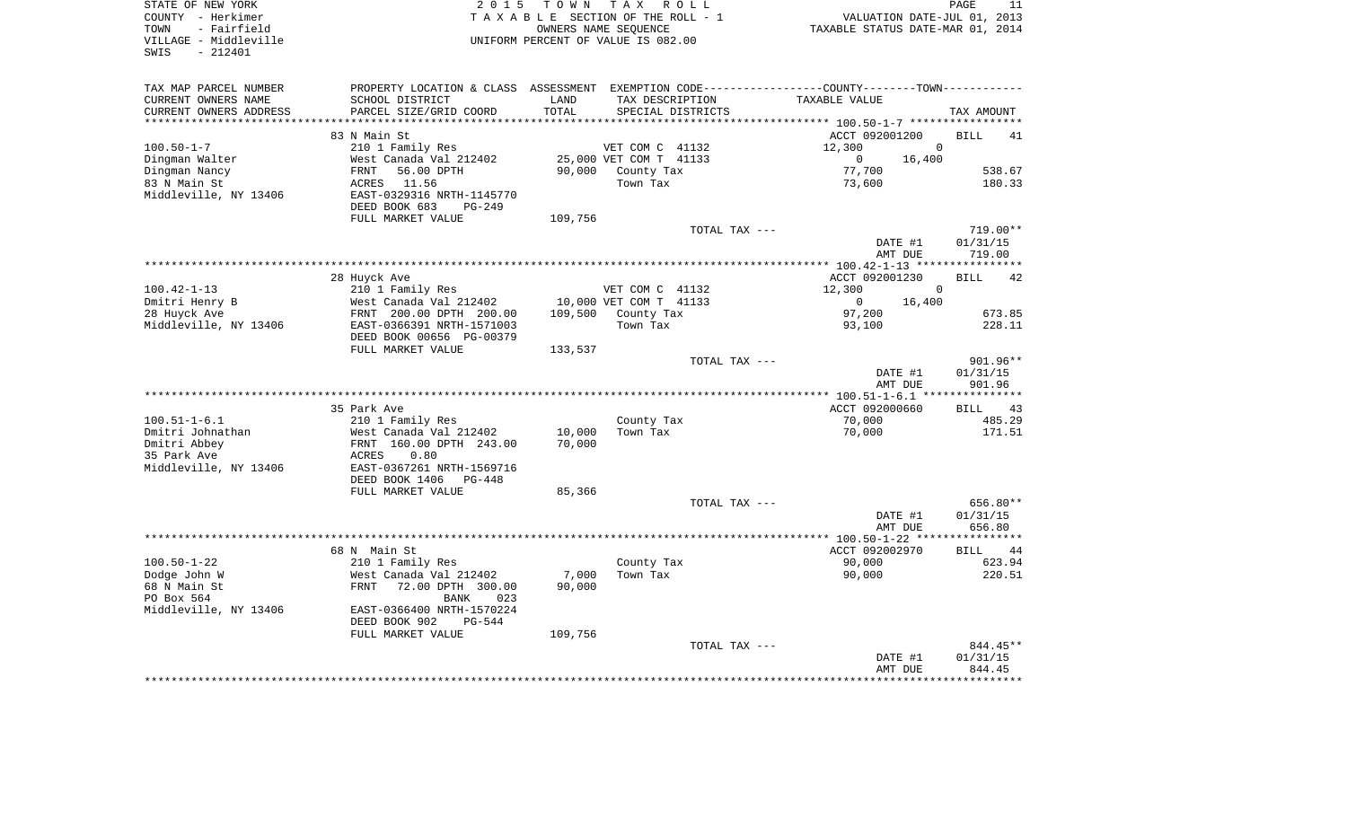| COUNTY<br>– Herkimer   |                                                                                               | TAXABLE SECTION OF THE ROLL - 1    | OWNERS NAME SEOUENCE             |                   |                                      | VALUATION DATE-JUL 01, 2013 |
|------------------------|-----------------------------------------------------------------------------------------------|------------------------------------|----------------------------------|-------------------|--------------------------------------|-----------------------------|
| - Fairfield<br>TOWN    |                                                                                               |                                    | TAXABLE STATUS DATE-MAR 01, 2014 |                   |                                      |                             |
| VILLAGE - Middleville  |                                                                                               | UNIFORM PERCENT OF VALUE IS 082.00 |                                  |                   |                                      |                             |
| SWIS<br>$-212401$      |                                                                                               |                                    |                                  |                   |                                      |                             |
|                        |                                                                                               |                                    |                                  |                   |                                      |                             |
| TAX MAP PARCEL NUMBER  | PROPERTY LOCATION & CLASS ASSESSMENT EXEMPTION CODE---------------COUNTY-------TOWN---------- |                                    |                                  |                   |                                      |                             |
| CURRENT OWNERS NAME    | SCHOOL DISTRICT                                                                               | LAND                               | TAX DESCRIPTION                  |                   | TAXABLE VALUE                        |                             |
| CURRENT OWNERS ADDRESS | PARCEL SIZE/GRID COORD                                                                        | TOTAL                              |                                  | SPECIAL DISTRICTS |                                      | TAX AMOUNT                  |
|                        |                                                                                               |                                    |                                  |                   | *********** 100.50-1-7 ************* |                             |
|                        | 83 N Main St                                                                                  |                                    |                                  |                   | ACCT 092001200                       | <b>BILL</b><br>41           |
| $100.50 - 1 - 7$       | 210 1 Family Res                                                                              |                                    | VET COM C 41132                  |                   | 12,300                               | $\Omega$                    |
| Dingman Walter         | West Canada Val 212402                                                                        |                                    | 25,000 VET COM T 41133           |                   | $\overline{0}$                       | 16,400                      |
| Dingman Nancy          | 56.00 DPTH<br>FRNT                                                                            |                                    | 90,000 County Tax                |                   | 77,700                               | 538.67                      |
| 83 N Main St           | 11.56<br>ACRES                                                                                |                                    | Town Tax                         |                   | 73,600                               | 180.33                      |
| Middleville, NY 13406  | EAST-0329316 NRTH-1145770                                                                     |                                    |                                  |                   |                                      |                             |
|                        | DEED BOOK 683<br>$PG-249$                                                                     |                                    |                                  |                   |                                      |                             |
|                        | FULL MARKET VALUE                                                                             | 109,756                            |                                  |                   |                                      |                             |
|                        |                                                                                               |                                    |                                  | TOTAL TAX ---     |                                      | 719.00**                    |
|                        |                                                                                               |                                    |                                  |                   | DATE #1                              | 01/31/15                    |
|                        |                                                                                               |                                    |                                  |                   | AMT DUE                              | 719.00                      |
|                        |                                                                                               |                                    |                                  |                   |                                      |                             |
|                        | 28 Huyck Ave                                                                                  |                                    |                                  |                   | ACCT 092001230                       | 42<br><b>BILL</b>           |
| $100.42 - 1 - 13$      | 210 1 Family Res                                                                              |                                    | VET COM C 41132                  |                   | 12,300                               | $\Omega$                    |
| Dmitri Henry B         | West Canada Val 212402                                                                        |                                    | 10,000 VET COM T 41133           |                   | $\overline{0}$                       | 16,400                      |
| 28 Huyck Ave           | FRNT 200.00 DPTH 200.00                                                                       |                                    | 109,500 County Tax               |                   | 97,200                               | 673.85                      |
| Middleville, NY 13406  | EAST-0366391 NRTH-1571003                                                                     |                                    | Town Tax                         |                   | 93,100                               | 228.11                      |
|                        | DEED BOOK 00656 PG-00379                                                                      |                                    |                                  |                   |                                      |                             |
|                        | FULL MARKET VALUE                                                                             | 133,537                            |                                  |                   |                                      |                             |
|                        |                                                                                               |                                    |                                  | TOTAL TAX ---     |                                      | 901.96**                    |
|                        |                                                                                               |                                    |                                  |                   | DATE #1<br>AMT DUE                   | 01/31/15<br>901.96          |
|                        |                                                                                               |                                    |                                  |                   |                                      |                             |
|                        | 35 Park Ave                                                                                   |                                    |                                  |                   | ACCT 092000660                       | BILL 43                     |
| $100.51 - 1 - 6.1$     | 210 1 Family Res                                                                              |                                    | County Tax                       |                   | 70,000                               | 485.29                      |
| Dmitri Johnathan       | West Canada Val 212402                                                                        | 10,000                             | Town Tax                         |                   | 70,000                               | 171.51                      |
| Dmitri Abbey           | FRNT 160.00 DPTH 243.00                                                                       | 70,000                             |                                  |                   |                                      |                             |
| 35 Park Ave            | 0.80<br>ACRES                                                                                 |                                    |                                  |                   |                                      |                             |
| Middleville, NY 13406  | EAST-0367261 NRTH-1569716                                                                     |                                    |                                  |                   |                                      |                             |
|                        | DEED BOOK 1406<br>$PG-448$                                                                    |                                    |                                  |                   |                                      |                             |
|                        | FULL MARKET VALUE                                                                             | 85,366                             |                                  |                   |                                      |                             |
|                        |                                                                                               |                                    |                                  | TOTAL TAX ---     |                                      | 656.80**                    |
|                        |                                                                                               |                                    |                                  |                   | DATE #1                              | 01/31/15                    |
|                        |                                                                                               |                                    |                                  |                   | AMT DUE                              | 656.80                      |
|                        |                                                                                               |                                    |                                  |                   |                                      |                             |
|                        | 68 N Main St                                                                                  |                                    |                                  |                   | ACCT 092002970                       | <b>BILL</b><br>44           |
| $100.50 - 1 - 22$      | 210 1 Family Res                                                                              |                                    | County Tax                       |                   | 90,000                               | 623.94                      |
| Dodge John W           | West Canada Val 212402                                                                        | 7,000                              | Town Tax                         |                   | 90,000                               | 220.51                      |
| 68 N Main St           | 72.00 DPTH 300.00<br>FRNT                                                                     | 90,000                             |                                  |                   |                                      |                             |
| PO Box 564             | BANK<br>023                                                                                   |                                    |                                  |                   |                                      |                             |
| Middleville, NY 13406  | EAST-0366400 NRTH-1570224                                                                     |                                    |                                  |                   |                                      |                             |
|                        | DEED BOOK 902<br><b>PG-544</b>                                                                |                                    |                                  |                   |                                      |                             |
|                        | FULL MARKET VALUE                                                                             | 109,756                            |                                  |                   |                                      |                             |
|                        |                                                                                               |                                    |                                  | TOTAL TAX ---     |                                      | 844.45**                    |
|                        |                                                                                               |                                    |                                  |                   | DATE #1                              | 01/31/15                    |
|                        |                                                                                               |                                    |                                  |                   | AMT DUE                              | 844.45                      |
|                        |                                                                                               |                                    |                                  |                   |                                      |                             |

PAGE 11

STATE OF NEW YORK **EXECUTE:** TO W N TAX ROLL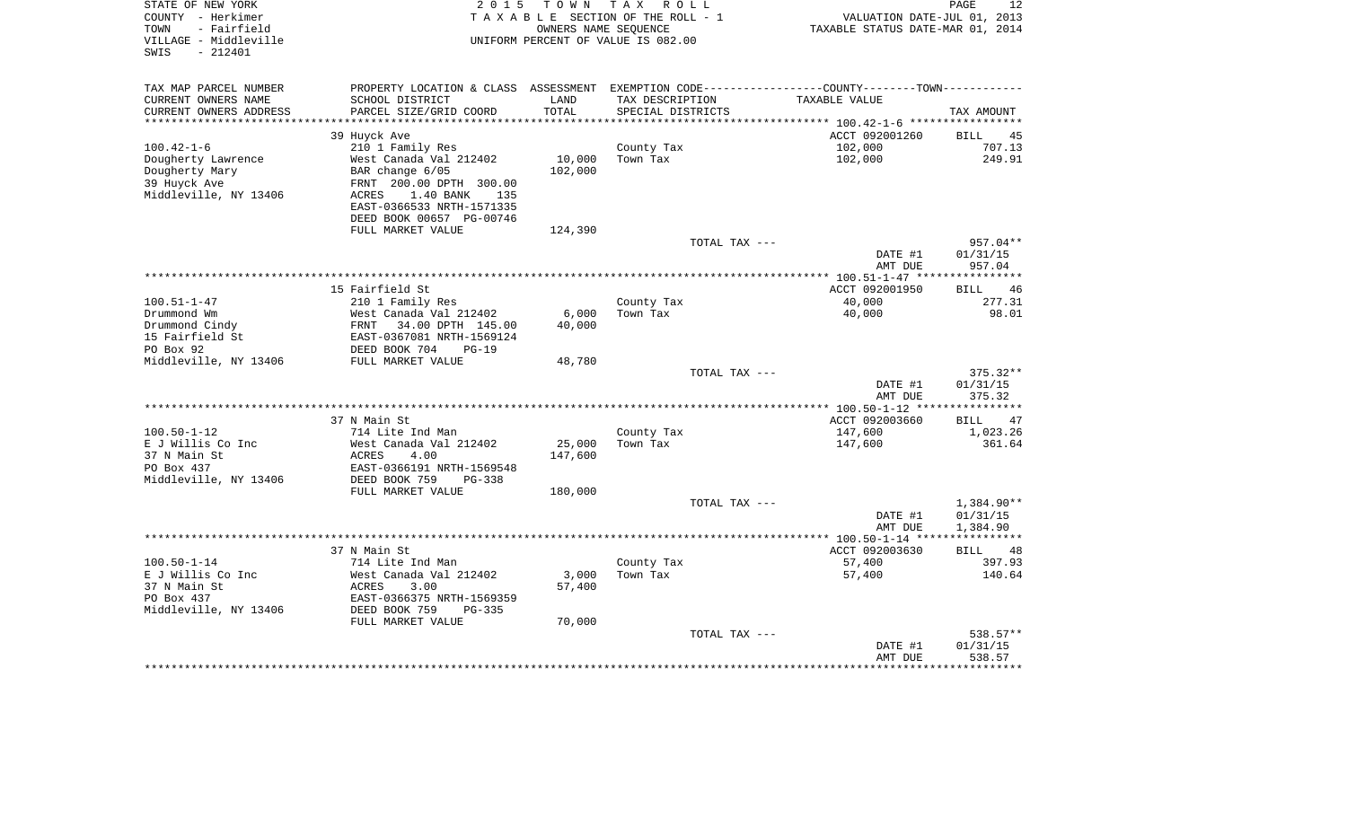| STATE OF NEW YORK<br>COUNTY - Herkimer<br>- Fairfield<br>TOWN<br>VILLAGE - Middleville<br>$-212401$<br>SWIS | 2 0 1 5                                                                                       | TOWN    | T A X<br>R O L L<br>TAXABLE SECTION OF THE ROLL - 1<br>OWNERS NAME SEOUENCE<br>UNIFORM PERCENT OF VALUE IS 082.00 | VALUATION DATE-JUL 01, 2013<br>TAXABLE STATUS DATE-MAR 01, 2014 | PAGE<br>12                    |
|-------------------------------------------------------------------------------------------------------------|-----------------------------------------------------------------------------------------------|---------|-------------------------------------------------------------------------------------------------------------------|-----------------------------------------------------------------|-------------------------------|
| TAX MAP PARCEL NUMBER                                                                                       | PROPERTY LOCATION & CLASS ASSESSMENT EXEMPTION CODE---------------COUNTY-------TOWN---------- |         |                                                                                                                   |                                                                 |                               |
| CURRENT OWNERS NAME                                                                                         | SCHOOL DISTRICT                                                                               | LAND    | TAX DESCRIPTION                                                                                                   | TAXABLE VALUE                                                   |                               |
| CURRENT OWNERS ADDRESS<br>**************************                                                        | PARCEL SIZE/GRID COORD                                                                        | TOTAL   | SPECIAL DISTRICTS                                                                                                 |                                                                 | TAX AMOUNT                    |
|                                                                                                             |                                                                                               |         |                                                                                                                   | ACCT 092001260                                                  | 45<br>BILL                    |
| $100.42 - 1 - 6$                                                                                            | 39 Huyck Ave<br>210 1 Family Res                                                              |         | County Tax                                                                                                        | 102,000                                                         | 707.13                        |
| Dougherty Lawrence                                                                                          | West Canada Val 212402                                                                        | 10,000  | Town Tax                                                                                                          | 102,000                                                         | 249.91                        |
| Dougherty Mary<br>39 Huyck Ave<br>Middleville, NY 13406                                                     | BAR change 6/05<br>FRNT 200.00 DPTH 300.00<br><b>ACRES</b><br>1.40 BANK<br>135                | 102,000 |                                                                                                                   |                                                                 |                               |
|                                                                                                             | EAST-0366533 NRTH-1571335<br>DEED BOOK 00657 PG-00746                                         |         |                                                                                                                   |                                                                 |                               |
|                                                                                                             | FULL MARKET VALUE                                                                             | 124,390 | TOTAL TAX ---                                                                                                     |                                                                 | 957.04**                      |
|                                                                                                             |                                                                                               |         |                                                                                                                   | DATE #1<br>AMT DUE                                              | 01/31/15<br>957.04            |
|                                                                                                             |                                                                                               |         |                                                                                                                   |                                                                 |                               |
|                                                                                                             | 15 Fairfield St                                                                               |         |                                                                                                                   | ACCT 092001950                                                  | 46<br><b>BILL</b>             |
| $100.51 - 1 - 47$<br>Drummond Wm                                                                            | 210 1 Family Res<br>West Canada Val 212402                                                    | 6,000   | County Tax<br>Town Tax                                                                                            | 40,000<br>40,000                                                | 277.31<br>98.01               |
| Drummond Cindy<br>15 Fairfield St<br>PO Box 92                                                              | FRNT<br>34.00 DPTH 145.00<br>EAST-0367081 NRTH-1569124<br>DEED BOOK 704<br>$PG-19$            | 40,000  |                                                                                                                   |                                                                 |                               |
| Middleville, NY 13406                                                                                       | FULL MARKET VALUE                                                                             | 48,780  |                                                                                                                   |                                                                 |                               |
|                                                                                                             |                                                                                               |         | TOTAL TAX ---                                                                                                     |                                                                 | 375.32**                      |
|                                                                                                             |                                                                                               |         |                                                                                                                   | DATE #1<br>AMT DUE                                              | 01/31/15<br>375.32            |
|                                                                                                             |                                                                                               |         |                                                                                                                   |                                                                 |                               |
| $100.50 - 1 - 12$                                                                                           | 37 N Main St<br>714 Lite Ind Man                                                              |         |                                                                                                                   | ACCT 092003660<br>147,600                                       | <b>BILL</b><br>47<br>1,023.26 |
| E J Willis Co Inc                                                                                           | West Canada Val 212402                                                                        | 25,000  | County Tax<br>Town Tax                                                                                            | 147,600                                                         | 361.64                        |
| 37 N Main St                                                                                                | ACRES<br>4.00                                                                                 | 147,600 |                                                                                                                   |                                                                 |                               |
| PO Box 437<br>Middleville, NY 13406                                                                         | EAST-0366191 NRTH-1569548<br>DEED BOOK 759<br>$PG-338$                                        |         |                                                                                                                   |                                                                 |                               |
|                                                                                                             | FULL MARKET VALUE                                                                             | 180,000 |                                                                                                                   |                                                                 |                               |
|                                                                                                             |                                                                                               |         | TOTAL TAX ---                                                                                                     |                                                                 | 1,384.90**                    |
|                                                                                                             |                                                                                               |         |                                                                                                                   | DATE #1                                                         | 01/31/15                      |
|                                                                                                             |                                                                                               |         |                                                                                                                   | AMT DUE                                                         | 1,384.90<br>***********       |
|                                                                                                             | 37 N Main St                                                                                  |         |                                                                                                                   | ACCT 092003630                                                  | 48<br><b>BILL</b>             |
| $100.50 - 1 - 14$                                                                                           | 714 Lite Ind Man                                                                              |         | County Tax                                                                                                        | 57,400                                                          | 397.93                        |
| E J Willis Co Inc                                                                                           | West Canada Val 212402                                                                        | 3,000   | Town Tax                                                                                                          | 57,400                                                          | 140.64                        |
| 37 N Main St                                                                                                | <b>ACRES</b><br>3.00                                                                          | 57,400  |                                                                                                                   |                                                                 |                               |
| PO Box 437                                                                                                  | EAST-0366375 NRTH-1569359                                                                     |         |                                                                                                                   |                                                                 |                               |
| Middleville, NY 13406                                                                                       | DEED BOOK 759<br>PG-335<br>FULL MARKET VALUE                                                  |         |                                                                                                                   |                                                                 |                               |
|                                                                                                             |                                                                                               | 70,000  | TOTAL TAX ---                                                                                                     |                                                                 | 538.57**                      |
|                                                                                                             |                                                                                               |         |                                                                                                                   | DATE #1<br>AMT DUE                                              | 01/31/15<br>538.57            |
|                                                                                                             |                                                                                               |         |                                                                                                                   |                                                                 | ********                      |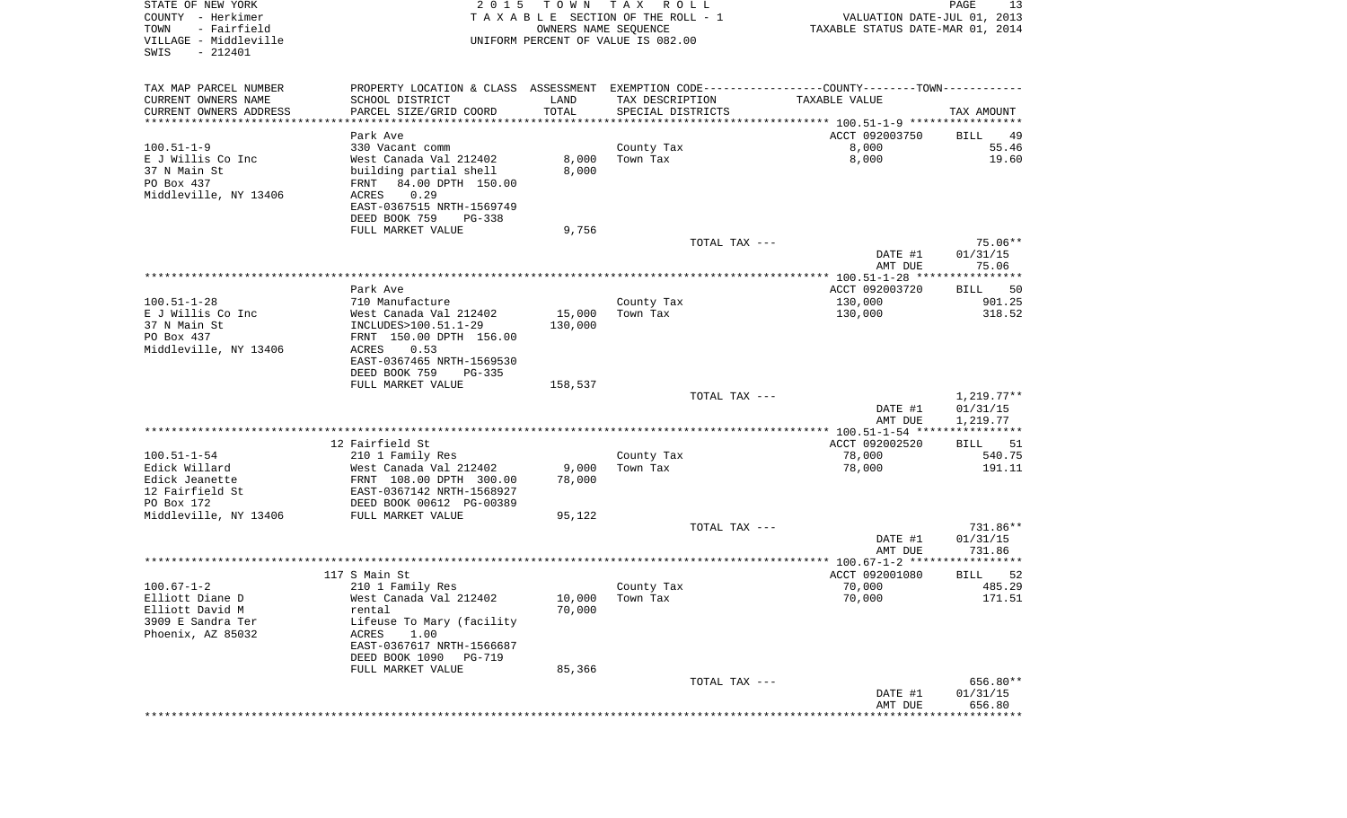| STATE OF NEW YORK<br>COUNTY - Herkimer<br>- Fairfield<br>TOWN<br>VILLAGE - Middleville<br>$-212401$<br>SWIS | 2 0 1 5                                                                                       | T O W N<br>OWNERS NAME SEQUENCE | TAX ROLL<br>TAXABLE SECTION OF THE ROLL - 1<br>UNIFORM PERCENT OF VALUE IS 082.00 |               | VALUATION DATE-JUL 01, 2013<br>TAXABLE STATUS DATE-MAR 01, 2014 | PAGE<br>13           |
|-------------------------------------------------------------------------------------------------------------|-----------------------------------------------------------------------------------------------|---------------------------------|-----------------------------------------------------------------------------------|---------------|-----------------------------------------------------------------|----------------------|
| TAX MAP PARCEL NUMBER                                                                                       | PROPERTY LOCATION & CLASS ASSESSMENT EXEMPTION CODE---------------COUNTY-------TOWN---------- |                                 |                                                                                   |               |                                                                 |                      |
| CURRENT OWNERS NAME                                                                                         | SCHOOL DISTRICT                                                                               | LAND                            | TAX DESCRIPTION                                                                   |               | TAXABLE VALUE                                                   |                      |
| CURRENT OWNERS ADDRESS<br>*************************                                                         | PARCEL SIZE/GRID COORD                                                                        | TOTAL                           | SPECIAL DISTRICTS                                                                 |               |                                                                 | TAX AMOUNT           |
|                                                                                                             | Park Ave                                                                                      |                                 |                                                                                   |               | ACCT 092003750                                                  | BILL<br>49           |
| $100.51 - 1 - 9$                                                                                            | 330 Vacant comm                                                                               |                                 | County Tax                                                                        |               | 8,000                                                           | 55.46                |
| E J Willis Co Inc                                                                                           | West Canada Val 212402                                                                        | 8,000                           | Town Tax                                                                          |               | 8,000                                                           | 19.60                |
| 37 N Main St                                                                                                | building partial shell                                                                        | 8,000                           |                                                                                   |               |                                                                 |                      |
| PO Box 437                                                                                                  | 84.00 DPTH 150.00<br>FRNT                                                                     |                                 |                                                                                   |               |                                                                 |                      |
| Middleville, NY 13406                                                                                       | ACRES<br>0.29                                                                                 |                                 |                                                                                   |               |                                                                 |                      |
|                                                                                                             | EAST-0367515 NRTH-1569749                                                                     |                                 |                                                                                   |               |                                                                 |                      |
|                                                                                                             | DEED BOOK 759<br>PG-338                                                                       |                                 |                                                                                   |               |                                                                 |                      |
|                                                                                                             | FULL MARKET VALUE                                                                             | 9,756                           |                                                                                   | TOTAL TAX --- |                                                                 | 75.06**              |
|                                                                                                             |                                                                                               |                                 |                                                                                   |               | DATE #1                                                         | 01/31/15             |
|                                                                                                             |                                                                                               |                                 |                                                                                   |               | AMT DUE                                                         | 75.06                |
|                                                                                                             |                                                                                               |                                 |                                                                                   |               |                                                                 |                      |
|                                                                                                             | Park Ave                                                                                      |                                 |                                                                                   |               | ACCT 092003720                                                  | BILL<br>50           |
| $100.51 - 1 - 28$                                                                                           | 710 Manufacture                                                                               |                                 | County Tax                                                                        |               | 130,000                                                         | 901.25               |
| E J Willis Co Inc                                                                                           | West Canada Val 212402                                                                        | 15,000                          | Town Tax                                                                          |               | 130,000                                                         | 318.52               |
| 37 N Main St<br>PO Box 437                                                                                  | INCLUDES>100.51.1-29<br>FRNT 150.00 DPTH 156.00                                               | 130,000                         |                                                                                   |               |                                                                 |                      |
| Middleville, NY 13406                                                                                       | ACRES<br>0.53                                                                                 |                                 |                                                                                   |               |                                                                 |                      |
|                                                                                                             | EAST-0367465 NRTH-1569530                                                                     |                                 |                                                                                   |               |                                                                 |                      |
|                                                                                                             | DEED BOOK 759<br><b>PG-335</b>                                                                |                                 |                                                                                   |               |                                                                 |                      |
|                                                                                                             | FULL MARKET VALUE                                                                             | 158,537                         |                                                                                   |               |                                                                 |                      |
|                                                                                                             |                                                                                               |                                 |                                                                                   | TOTAL TAX --- |                                                                 | $1,219.77**$         |
|                                                                                                             |                                                                                               |                                 |                                                                                   |               | DATE #1                                                         | 01/31/15             |
|                                                                                                             |                                                                                               |                                 |                                                                                   |               | AMT DUE                                                         | 1,219.77             |
|                                                                                                             | 12 Fairfield St                                                                               |                                 |                                                                                   |               | ACCT 092002520                                                  | BILL<br>51           |
| $100.51 - 1 - 54$                                                                                           | 210 1 Family Res                                                                              |                                 | County Tax                                                                        |               | 78,000                                                          | 540.75               |
| Edick Willard                                                                                               | West Canada Val 212402                                                                        | 9,000                           | Town Tax                                                                          |               | 78,000                                                          | 191.11               |
| Edick Jeanette                                                                                              | FRNT 108.00 DPTH 300.00                                                                       | 78,000                          |                                                                                   |               |                                                                 |                      |
| 12 Fairfield St                                                                                             | EAST-0367142 NRTH-1568927                                                                     |                                 |                                                                                   |               |                                                                 |                      |
| PO Box 172                                                                                                  | DEED BOOK 00612 PG-00389                                                                      |                                 |                                                                                   |               |                                                                 |                      |
| Middleville, NY 13406                                                                                       | FULL MARKET VALUE                                                                             | 95,122                          |                                                                                   |               |                                                                 |                      |
|                                                                                                             |                                                                                               |                                 |                                                                                   | TOTAL TAX --- | DATE #1                                                         | 731.86**<br>01/31/15 |
|                                                                                                             |                                                                                               |                                 |                                                                                   |               | AMT DUE                                                         | 731.86               |
|                                                                                                             |                                                                                               |                                 |                                                                                   |               |                                                                 |                      |
|                                                                                                             | 117 S Main St                                                                                 |                                 |                                                                                   |               | ACCT 092001080                                                  | BILL<br>52           |
| $100.67 - 1 - 2$                                                                                            | 210 1 Family Res                                                                              |                                 | County Tax                                                                        |               | 70,000                                                          | 485.29               |
| Elliott Diane D                                                                                             | West Canada Val 212402                                                                        |                                 | 10,000 Town Tax                                                                   |               | 70,000                                                          | 171.51               |
| Elliott David M                                                                                             | rental                                                                                        | 70,000                          |                                                                                   |               |                                                                 |                      |
| 3909 E Sandra Ter                                                                                           | Lifeuse To Mary (facility                                                                     |                                 |                                                                                   |               |                                                                 |                      |
| Phoenix, AZ 85032                                                                                           | ACRES<br>1.00<br>EAST-0367617 NRTH-1566687                                                    |                                 |                                                                                   |               |                                                                 |                      |
|                                                                                                             | DEED BOOK 1090 PG-719                                                                         |                                 |                                                                                   |               |                                                                 |                      |
|                                                                                                             | FULL MARKET VALUE                                                                             | 85,366                          |                                                                                   |               |                                                                 |                      |
|                                                                                                             |                                                                                               |                                 |                                                                                   | TOTAL TAX --- |                                                                 | 656.80**             |
|                                                                                                             |                                                                                               |                                 |                                                                                   |               | DATE #1                                                         | 01/31/15             |
|                                                                                                             |                                                                                               |                                 |                                                                                   |               | AMT DUE                                                         | 656.80               |
|                                                                                                             |                                                                                               |                                 |                                                                                   |               | **************************                                      |                      |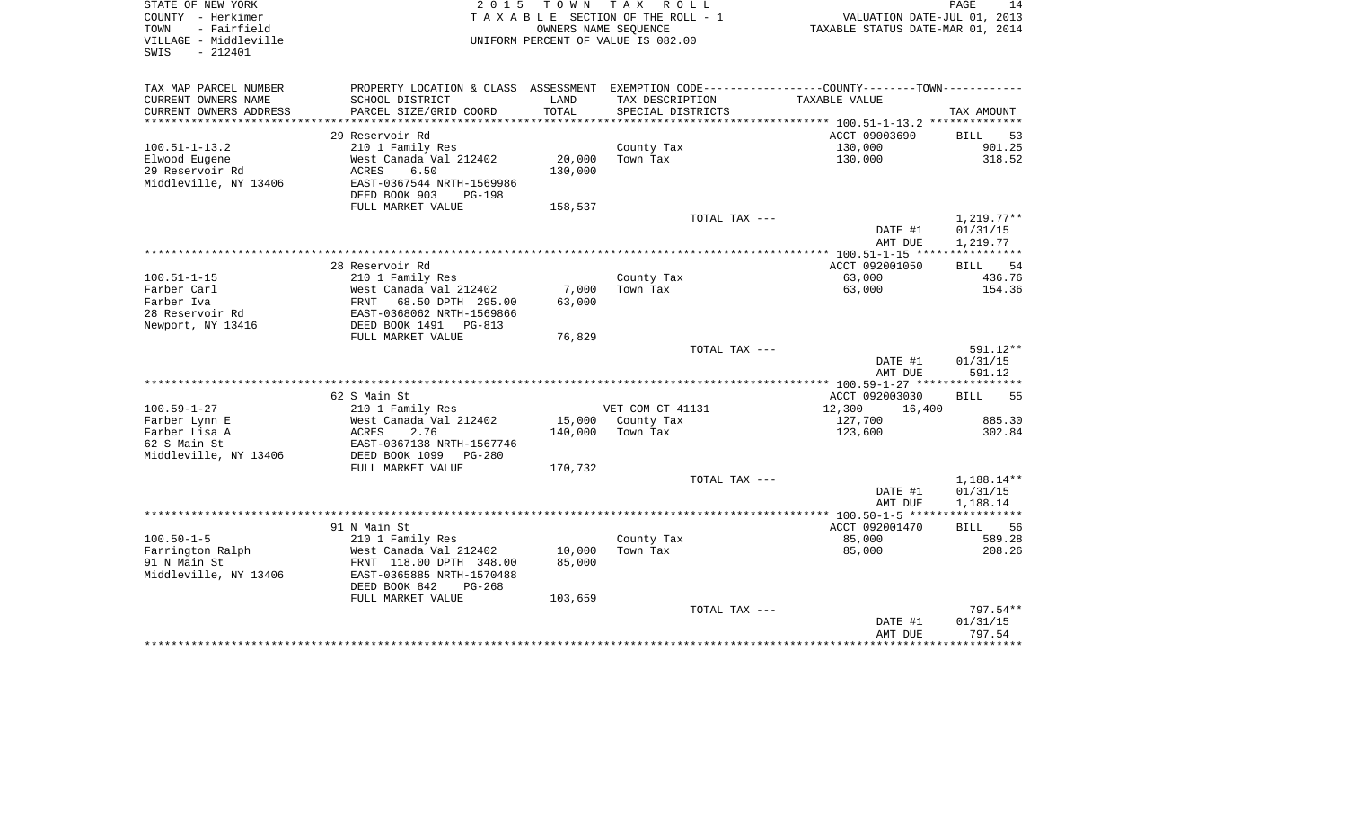| STATE OF NEW YORK<br>COUNTY - Herkimer<br>- Fairfield<br>TOWN<br>VILLAGE - Middleville<br>SWIS<br>$-212401$ | 2 0 1 5                                             | T O W N           | TAX ROLL<br>TAXABLE SECTION OF THE ROLL - 1<br>OWNERS NAME SEQUENCE<br>UNIFORM PERCENT OF VALUE IS 082.00 | VALUATION DATE-JUL 01, 2013<br>TAXABLE STATUS DATE-MAR 01, 2014                               | PAGE<br>14           |
|-------------------------------------------------------------------------------------------------------------|-----------------------------------------------------|-------------------|-----------------------------------------------------------------------------------------------------------|-----------------------------------------------------------------------------------------------|----------------------|
| TAX MAP PARCEL NUMBER                                                                                       |                                                     |                   |                                                                                                           | PROPERTY LOCATION & CLASS ASSESSMENT EXEMPTION CODE---------------COUNTY-------TOWN---------- |                      |
| CURRENT OWNERS NAME                                                                                         | SCHOOL DISTRICT                                     | LAND              | TAX DESCRIPTION                                                                                           | TAXABLE VALUE                                                                                 |                      |
| CURRENT OWNERS ADDRESS                                                                                      | PARCEL SIZE/GRID COORD                              | TOTAL             | SPECIAL DISTRICTS                                                                                         |                                                                                               | TAX AMOUNT           |
|                                                                                                             |                                                     |                   |                                                                                                           |                                                                                               |                      |
|                                                                                                             | 29 Reservoir Rd                                     |                   |                                                                                                           | ACCT 09003690                                                                                 | 53<br>BILL           |
| $100.51 - 1 - 13.2$                                                                                         | 210 1 Family Res                                    |                   | County Tax                                                                                                | 130,000                                                                                       | 901.25               |
| Elwood Eugene<br>29 Reservoir Rd                                                                            | West Canada Val 212402<br>6.50<br>ACRES             | 20,000<br>130,000 | Town Tax                                                                                                  | 130,000                                                                                       | 318.52               |
| Middleville, NY 13406                                                                                       | EAST-0367544 NRTH-1569986                           |                   |                                                                                                           |                                                                                               |                      |
|                                                                                                             | DEED BOOK 903<br>$PG-198$                           |                   |                                                                                                           |                                                                                               |                      |
|                                                                                                             | FULL MARKET VALUE                                   | 158,537           |                                                                                                           |                                                                                               |                      |
|                                                                                                             |                                                     |                   | TOTAL TAX ---                                                                                             |                                                                                               | $1,219.77**$         |
|                                                                                                             |                                                     |                   |                                                                                                           | DATE #1<br>AMT DUE                                                                            | 01/31/15<br>1,219.77 |
|                                                                                                             |                                                     |                   |                                                                                                           |                                                                                               |                      |
|                                                                                                             | 28 Reservoir Rd                                     |                   |                                                                                                           | ACCT 092001050                                                                                | 54<br><b>BILL</b>    |
| $100.51 - 1 - 15$                                                                                           | 210 1 Family Res                                    |                   | County Tax                                                                                                | 63,000                                                                                        | 436.76               |
| Farber Carl<br>Farber Iva                                                                                   | West Canada Val 212402<br>68.50 DPTH 295.00<br>FRNT | 7,000<br>63,000   | Town Tax                                                                                                  | 63,000                                                                                        | 154.36               |
| 28 Reservoir Rd                                                                                             | EAST-0368062 NRTH-1569866                           |                   |                                                                                                           |                                                                                               |                      |
| Newport, NY 13416                                                                                           | DEED BOOK 1491 PG-813                               |                   |                                                                                                           |                                                                                               |                      |
|                                                                                                             | FULL MARKET VALUE                                   | 76,829            |                                                                                                           |                                                                                               |                      |
|                                                                                                             |                                                     |                   | TOTAL TAX ---                                                                                             |                                                                                               | 591.12**             |
|                                                                                                             |                                                     |                   |                                                                                                           | DATE #1<br>AMT DUE                                                                            | 01/31/15<br>591.12   |
|                                                                                                             |                                                     |                   |                                                                                                           |                                                                                               |                      |
|                                                                                                             | 62 S Main St                                        |                   |                                                                                                           | ACCT 092003030                                                                                | <b>BILL</b><br>55    |
| $100.59 - 1 - 27$<br>Farber Lynn E                                                                          | 210 1 Family Res<br>West Canada Val 212402          | 15,000            | VET COM CT 41131<br>County Tax                                                                            | 12,300<br>16,400<br>127,700                                                                   | 885.30               |
| Farber Lisa A                                                                                               | ACRES<br>2.76                                       | 140,000           | Town Tax                                                                                                  | 123,600                                                                                       | 302.84               |
| 62 S Main St                                                                                                | EAST-0367138 NRTH-1567746                           |                   |                                                                                                           |                                                                                               |                      |
| Middleville, NY 13406                                                                                       | DEED BOOK 1099<br>PG-280                            |                   |                                                                                                           |                                                                                               |                      |
|                                                                                                             | FULL MARKET VALUE                                   | 170,732           |                                                                                                           |                                                                                               |                      |
|                                                                                                             |                                                     |                   | TOTAL TAX ---                                                                                             |                                                                                               | 1,188.14**           |
|                                                                                                             |                                                     |                   |                                                                                                           | DATE #1                                                                                       | 01/31/15             |
|                                                                                                             |                                                     |                   |                                                                                                           | AMT DUE                                                                                       | 1,188.14             |
|                                                                                                             |                                                     |                   |                                                                                                           |                                                                                               |                      |
|                                                                                                             | 91 N Main St                                        |                   |                                                                                                           | ACCT 092001470                                                                                | 56<br>BILL           |
| $100.50 - 1 - 5$<br>Farrington Ralph                                                                        | 210 1 Family Res<br>West Canada Val 212402          | 10,000            | County Tax<br>Town Tax                                                                                    | 85,000<br>85,000                                                                              | 589.28<br>208.26     |
| 91 N Main St                                                                                                | FRNT 118.00 DPTH 348.00                             | 85,000            |                                                                                                           |                                                                                               |                      |
| Middleville, NY 13406                                                                                       | EAST-0365885 NRTH-1570488                           |                   |                                                                                                           |                                                                                               |                      |
|                                                                                                             | DEED BOOK 842<br>$PG-268$                           |                   |                                                                                                           |                                                                                               |                      |
|                                                                                                             | FULL MARKET VALUE                                   | 103,659           |                                                                                                           |                                                                                               |                      |
|                                                                                                             |                                                     |                   | TOTAL TAX ---                                                                                             |                                                                                               | 797.54**             |
|                                                                                                             |                                                     |                   |                                                                                                           | DATE #1                                                                                       | 01/31/15             |
|                                                                                                             |                                                     |                   |                                                                                                           | AMT DUE                                                                                       | 797.54<br>********   |
|                                                                                                             |                                                     |                   |                                                                                                           |                                                                                               |                      |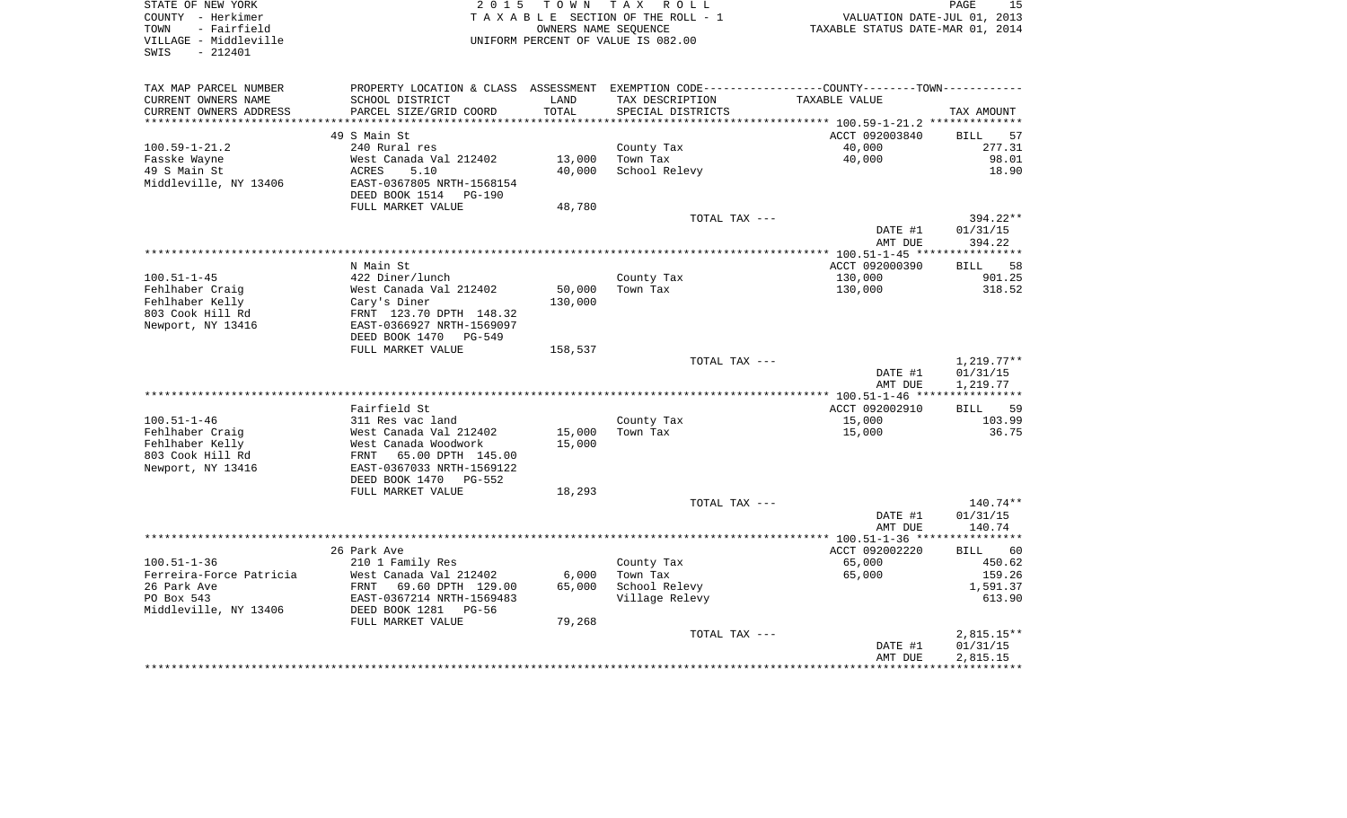| COUNTY - Herkimer<br>- Fairfield<br>TOWN<br>VILLAGE - Middleville<br>SWIS<br>$-212401$ | TAXABLE SECTION OF THE ROLL - 1<br>UNIFORM PERCENT OF VALUE IS 082.00                           | VALUATION DATE-JUL 01, 2013<br>TAXABLE STATUS DATE-MAR 01, 2014 |                           |                           |                          |
|----------------------------------------------------------------------------------------|-------------------------------------------------------------------------------------------------|-----------------------------------------------------------------|---------------------------|---------------------------|--------------------------|
| TAX MAP PARCEL NUMBER                                                                  | PROPERTY LOCATION & CLASS ASSESSMENT EXEMPTION CODE----------------COUNTY--------TOWN---------- |                                                                 |                           |                           |                          |
| CURRENT OWNERS NAME                                                                    | SCHOOL DISTRICT                                                                                 | LAND                                                            | TAX DESCRIPTION           | TAXABLE VALUE             |                          |
| CURRENT OWNERS ADDRESS                                                                 | PARCEL SIZE/GRID COORD                                                                          | TOTAL                                                           | SPECIAL DISTRICTS         |                           | TAX AMOUNT               |
| ************************                                                               |                                                                                                 |                                                                 |                           |                           |                          |
|                                                                                        | 49 S Main St                                                                                    |                                                                 |                           | ACCT 092003840            | <b>BILL</b>              |
| $100.59 - 1 - 21.2$                                                                    | 240 Rural res                                                                                   |                                                                 | County Tax                | 40,000                    | 277.31<br>98.01          |
| Fasske Wayne<br>49 S Main St                                                           | West Canada Val 212402<br>ACRES<br>5.10                                                         | 13,000<br>40,000                                                | Town Tax<br>School Relevy | 40,000                    | 18.90                    |
| Middleville, NY 13406                                                                  | EAST-0367805 NRTH-1568154                                                                       |                                                                 |                           |                           |                          |
|                                                                                        | DEED BOOK 1514 PG-190                                                                           |                                                                 |                           |                           |                          |
|                                                                                        | FULL MARKET VALUE                                                                               | 48,780                                                          |                           |                           |                          |
|                                                                                        |                                                                                                 |                                                                 | TOTAL TAX ---             |                           | 394.22**                 |
|                                                                                        |                                                                                                 |                                                                 |                           | DATE #1                   | 01/31/15                 |
|                                                                                        |                                                                                                 |                                                                 |                           | AMT DUE                   | 394.22                   |
|                                                                                        |                                                                                                 |                                                                 |                           |                           |                          |
| $100.51 - 1 - 45$                                                                      | N Main St<br>422 Diner/lunch                                                                    |                                                                 | County Tax                | ACCT 092000390<br>130,000 | <b>BILL</b><br>901.25    |
| Fehlhaber Craig                                                                        | West Canada Val 212402                                                                          | 50,000                                                          | Town Tax                  | 130,000                   | 318.52                   |
| Fehlhaber Kelly                                                                        | Cary's Diner                                                                                    | 130,000                                                         |                           |                           |                          |
| 803 Cook Hill Rd                                                                       | FRNT 123.70 DPTH 148.32                                                                         |                                                                 |                           |                           |                          |
| Newport, NY 13416                                                                      | EAST-0366927 NRTH-1569097                                                                       |                                                                 |                           |                           |                          |
|                                                                                        | DEED BOOK 1470 PG-549                                                                           |                                                                 |                           |                           |                          |
|                                                                                        | FULL MARKET VALUE                                                                               | 158,537                                                         |                           |                           |                          |
|                                                                                        |                                                                                                 |                                                                 | TOTAL TAX ---             | DATE #1                   | $1,219.77**$<br>01/31/15 |
|                                                                                        |                                                                                                 |                                                                 |                           | AMT DUE                   | 1,219.77                 |
|                                                                                        |                                                                                                 |                                                                 |                           |                           |                          |
|                                                                                        | Fairfield St                                                                                    |                                                                 |                           | ACCT 092002910            | <b>BILL</b>              |
| $100.51 - 1 - 46$                                                                      | 311 Res vac land                                                                                |                                                                 | County Tax                | 15,000                    | 103.99                   |
| Fehlhaber Craig                                                                        | West Canada Val 212402                                                                          | 15,000                                                          | Town Tax                  | 15,000                    | 36.75                    |
| Fehlhaber Kelly                                                                        | West Canada Woodwork                                                                            | 15,000                                                          |                           |                           |                          |
| 803 Cook Hill Rd<br>Newport, NY 13416                                                  | FRNT 65.00 DPTH 145.00<br>EAST-0367033 NRTH-1569122                                             |                                                                 |                           |                           |                          |
|                                                                                        | DEED BOOK 1470 PG-552                                                                           |                                                                 |                           |                           |                          |
|                                                                                        | FULL MARKET VALUE                                                                               | 18,293                                                          |                           |                           |                          |
|                                                                                        |                                                                                                 |                                                                 | TOTAL TAX ---             |                           | 140.74**                 |
|                                                                                        |                                                                                                 |                                                                 |                           | DATE #1                   | 01/31/15                 |
|                                                                                        |                                                                                                 |                                                                 |                           | AMT DUE                   | 140.74                   |
|                                                                                        |                                                                                                 |                                                                 |                           |                           | ***********              |
|                                                                                        | 26 Park Ave                                                                                     |                                                                 |                           | ACCT 092002220            | BILL                     |
| $100.51 - 1 - 36$<br>Ferreira-Force Patricia                                           | 210 1 Family Res<br>West Canada Val 212402                                                      | 6,000                                                           | County Tax<br>Town Tax    | 65,000<br>65,000          | 450.62<br>159.26         |
| 26 Park Ave                                                                            | FRNT 69.60 DPTH 129.00                                                                          | 65,000                                                          | School Relevy             |                           | 1,591.37                 |
| PO Box 543                                                                             | EAST-0367214 NRTH-1569483                                                                       |                                                                 | Village Relevy            |                           | 613.90                   |
| Middleville, NY 13406                                                                  | DEED BOOK 1281 PG-56                                                                            |                                                                 |                           |                           |                          |
|                                                                                        | FULL MARKET VALUE                                                                               | 79,268                                                          |                           |                           |                          |
|                                                                                        |                                                                                                 |                                                                 | TOTAL TAX ---             |                           | $2,815.15**$             |
|                                                                                        |                                                                                                 |                                                                 |                           | DATE #1                   | 01/31/15                 |
|                                                                                        |                                                                                                 |                                                                 |                           | AMT DUE                   | 2,815.15                 |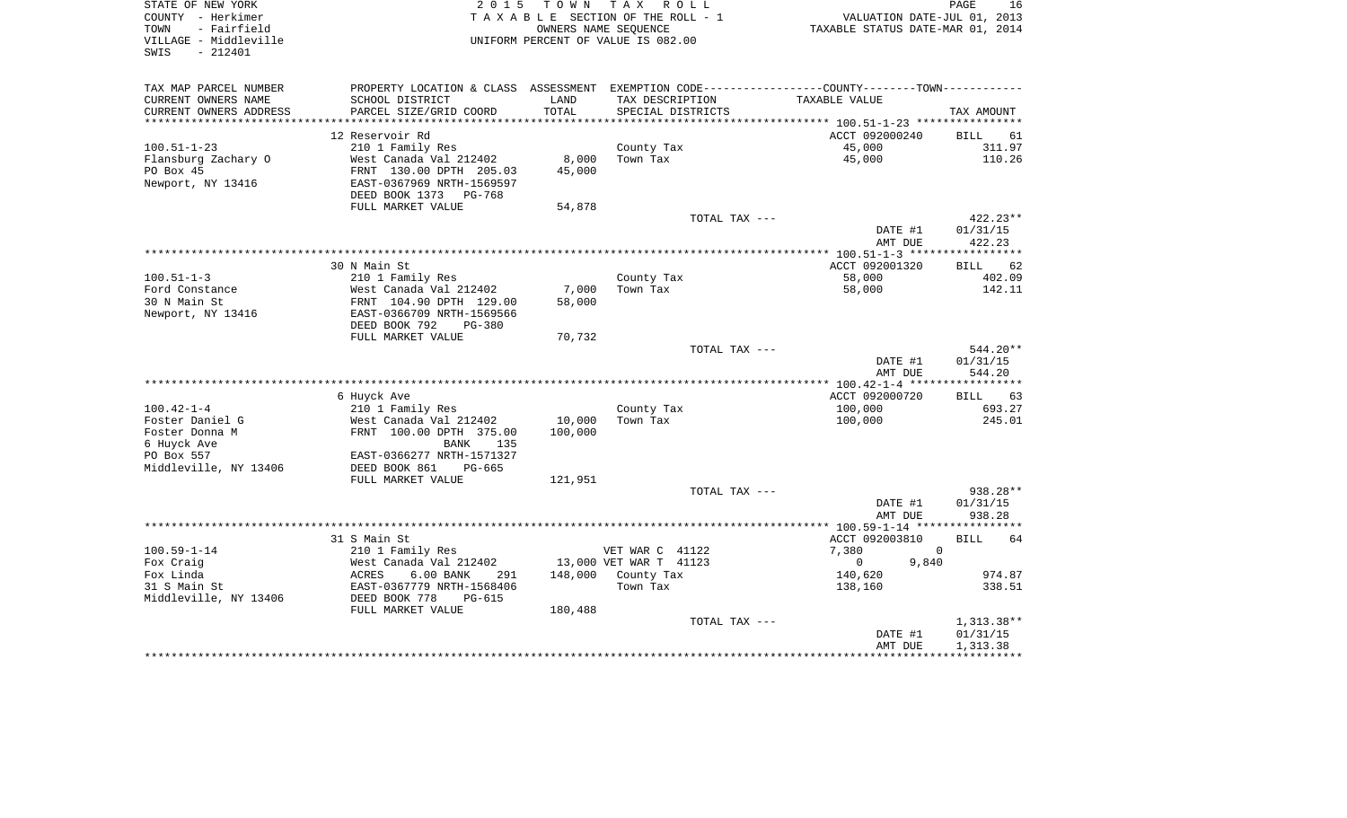| STATE OF NEW YORK<br>2 0 1 5<br>COUNTY - Herkimer<br>- Fairfield<br>TOWN<br>VILLAGE - Middleville<br>UNIFORM PERCENT OF VALUE IS 082.00<br>SWIS<br>$-212401$ |                                                        |         | TOWN TAX<br>R O L L<br>TAXABLE SECTION OF THE ROLL - 1<br>OWNERS NAME SEQUENCE | PAGE<br>16<br>VALUATION DATE-JUL 01, 2013<br>TAXABLE STATUS DATE-MAR 01, 2014                  |                   |  |
|--------------------------------------------------------------------------------------------------------------------------------------------------------------|--------------------------------------------------------|---------|--------------------------------------------------------------------------------|------------------------------------------------------------------------------------------------|-------------------|--|
| TAX MAP PARCEL NUMBER                                                                                                                                        |                                                        |         |                                                                                | PROPERTY LOCATION & CLASS ASSESSMENT EXEMPTION CODE---------------COUNTY--------TOWN---------- |                   |  |
| CURRENT OWNERS NAME                                                                                                                                          | SCHOOL DISTRICT                                        | LAND    | TAX DESCRIPTION                                                                | TAXABLE VALUE                                                                                  |                   |  |
| CURRENT OWNERS ADDRESS                                                                                                                                       | PARCEL SIZE/GRID COORD                                 | TOTAL   | SPECIAL DISTRICTS                                                              |                                                                                                | TAX AMOUNT        |  |
| ***********************                                                                                                                                      |                                                        |         |                                                                                |                                                                                                |                   |  |
|                                                                                                                                                              | 12 Reservoir Rd                                        |         |                                                                                | ACCT 092000240                                                                                 | BILL<br>61        |  |
| $100.51 - 1 - 23$                                                                                                                                            | 210 1 Family Res                                       |         | County Tax                                                                     | 45,000                                                                                         | 311.97            |  |
| Flansburg Zachary O                                                                                                                                          | West Canada Val 212402                                 | 8,000   | Town Tax                                                                       | 45,000                                                                                         | 110.26            |  |
| PO Box 45                                                                                                                                                    | FRNT 130.00 DPTH 205.03                                | 45,000  |                                                                                |                                                                                                |                   |  |
| Newport, NY 13416                                                                                                                                            | EAST-0367969 NRTH-1569597<br>DEED BOOK 1373<br>PG-768  |         |                                                                                |                                                                                                |                   |  |
|                                                                                                                                                              | FULL MARKET VALUE                                      | 54,878  |                                                                                |                                                                                                |                   |  |
|                                                                                                                                                              |                                                        |         | TOTAL TAX ---                                                                  |                                                                                                | 422.23**          |  |
|                                                                                                                                                              |                                                        |         |                                                                                | DATE #1                                                                                        | 01/31/15          |  |
|                                                                                                                                                              |                                                        |         |                                                                                | AMT DUE                                                                                        | 422.23            |  |
|                                                                                                                                                              |                                                        |         |                                                                                |                                                                                                |                   |  |
|                                                                                                                                                              | 30 N Main St                                           |         |                                                                                | ACCT 092001320                                                                                 | BILL 62           |  |
| $100.51 - 1 - 3$                                                                                                                                             | 210 1 Family Res                                       |         | County Tax                                                                     | 58,000                                                                                         | 402.09            |  |
| Ford Constance                                                                                                                                               | West Canada Val 212402                                 | 7,000   | Town Tax                                                                       | 58,000                                                                                         | 142.11            |  |
| 30 N Main St                                                                                                                                                 | FRNT 104.90 DPTH 129.00                                | 58,000  |                                                                                |                                                                                                |                   |  |
| Newport, NY 13416                                                                                                                                            | EAST-0366709 NRTH-1569566                              |         |                                                                                |                                                                                                |                   |  |
|                                                                                                                                                              | DEED BOOK 792<br>$PG-380$                              |         |                                                                                |                                                                                                |                   |  |
|                                                                                                                                                              | FULL MARKET VALUE                                      | 70,732  |                                                                                |                                                                                                |                   |  |
|                                                                                                                                                              |                                                        |         | TOTAL TAX ---                                                                  |                                                                                                | 544.20**          |  |
|                                                                                                                                                              |                                                        |         |                                                                                | DATE #1                                                                                        | 01/31/15          |  |
|                                                                                                                                                              |                                                        |         |                                                                                | AMT DUE                                                                                        | 544.20            |  |
|                                                                                                                                                              | 6 Huyck Ave                                            |         |                                                                                | ACCT 092000720                                                                                 | <b>BILL</b><br>63 |  |
| $100.42 - 1 - 4$                                                                                                                                             | 210 1 Family Res                                       |         | County Tax                                                                     | 100,000                                                                                        | 693.27            |  |
| Foster Daniel G                                                                                                                                              | West Canada Val 212402                                 | 10,000  | Town Tax                                                                       | 100,000                                                                                        | 245.01            |  |
| Foster Donna M                                                                                                                                               | FRNT 100.00 DPTH 375.00                                | 100,000 |                                                                                |                                                                                                |                   |  |
| 6 Huyck Ave                                                                                                                                                  | 135<br>BANK                                            |         |                                                                                |                                                                                                |                   |  |
| PO Box 557                                                                                                                                                   | EAST-0366277 NRTH-1571327                              |         |                                                                                |                                                                                                |                   |  |
| Middleville, NY 13406                                                                                                                                        | DEED BOOK 861<br>PG-665                                |         |                                                                                |                                                                                                |                   |  |
|                                                                                                                                                              | FULL MARKET VALUE                                      | 121,951 |                                                                                |                                                                                                |                   |  |
|                                                                                                                                                              |                                                        |         | TOTAL TAX ---                                                                  |                                                                                                | 938.28**          |  |
|                                                                                                                                                              |                                                        |         |                                                                                | DATE #1                                                                                        | 01/31/15          |  |
|                                                                                                                                                              |                                                        |         |                                                                                | AMT DUE                                                                                        | 938.28            |  |
|                                                                                                                                                              |                                                        |         |                                                                                |                                                                                                |                   |  |
|                                                                                                                                                              | 31 S Main St                                           |         |                                                                                | ACCT 092003810                                                                                 | 64<br><b>BILL</b> |  |
| $100.59 - 1 - 14$                                                                                                                                            | 210 1 Family Res                                       |         | VET WAR C 41122                                                                | 7,380                                                                                          | $\overline{0}$    |  |
| Fox Craig                                                                                                                                                    | West Canada Val 212402                                 |         | 13,000 VET WAR T 41123                                                         | 9,840<br>$\overline{0}$                                                                        |                   |  |
| Fox Linda                                                                                                                                                    | ACRES<br>$6.00$ BANK<br>291                            | 148,000 | County Tax                                                                     | 140,620                                                                                        | 974.87            |  |
| 31 S Main St                                                                                                                                                 | EAST-0367779 NRTH-1568406<br>DEED BOOK 778<br>$PG-615$ |         | Town Tax                                                                       | 138,160                                                                                        | 338.51            |  |
| Middleville, NY 13406                                                                                                                                        | FULL MARKET VALUE                                      | 180,488 |                                                                                |                                                                                                |                   |  |
|                                                                                                                                                              |                                                        |         | TOTAL TAX ---                                                                  |                                                                                                | 1,313.38**        |  |
|                                                                                                                                                              |                                                        |         |                                                                                | DATE #1                                                                                        | 01/31/15          |  |
|                                                                                                                                                              |                                                        |         |                                                                                | AMT DUE                                                                                        | 1,313.38          |  |
|                                                                                                                                                              |                                                        |         |                                                                                |                                                                                                |                   |  |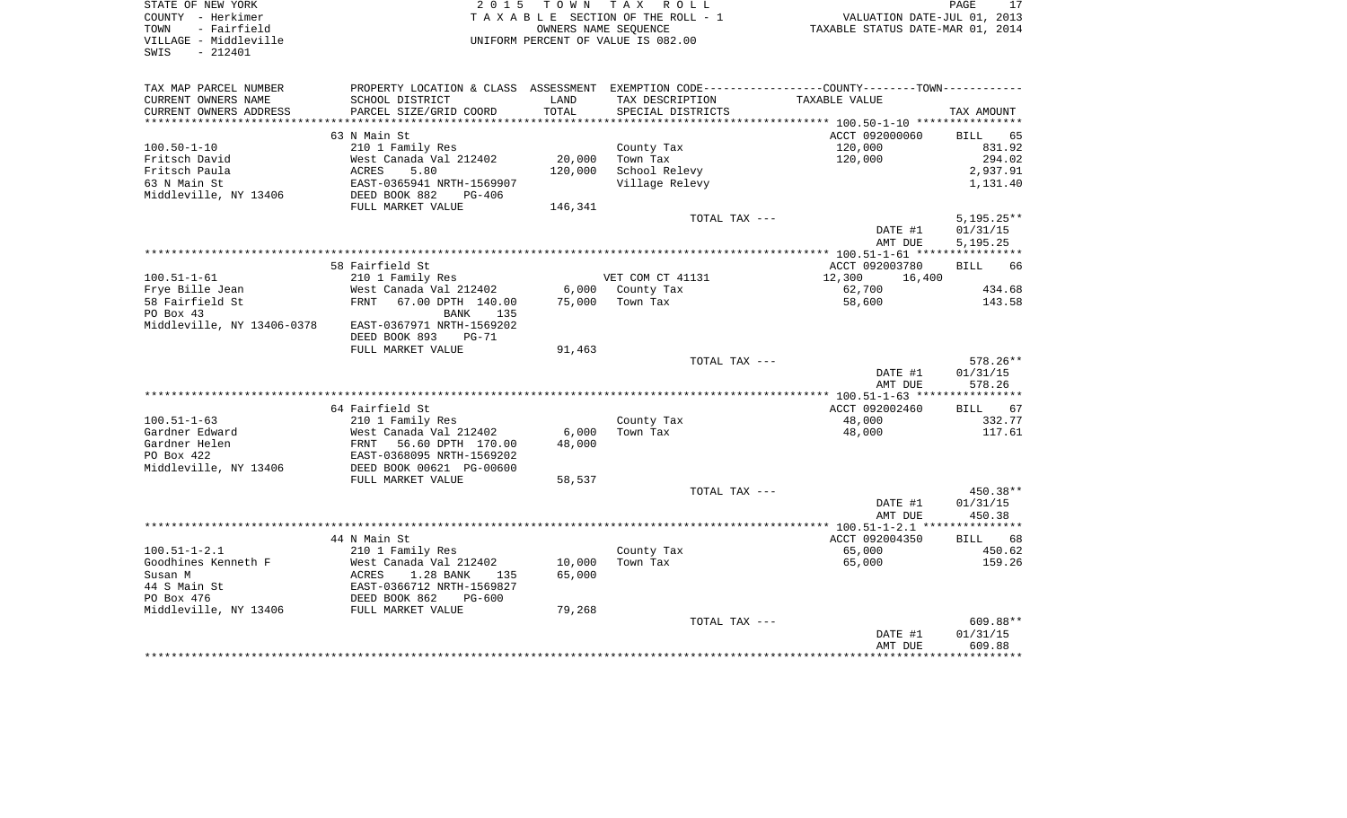| OF NEW YORK<br>7 - Herkimer<br>- Fairfield<br>BE - Middleville<br>STATE OF NEW YORK<br>COUNTY - Herkimer<br>TOWN |                                                                                                                                                                                                                                                      |        |                                         | PAGE 17<br>TAXABLE SECTION OF THE ROLL - 1<br>OWNERS NAME SEQUENCE TAXABLE STATUS DATE-MAR 01, 2014<br>UNIFORM PERCENT OF VALUE IS 082.00 |                  |
|------------------------------------------------------------------------------------------------------------------|------------------------------------------------------------------------------------------------------------------------------------------------------------------------------------------------------------------------------------------------------|--------|-----------------------------------------|-------------------------------------------------------------------------------------------------------------------------------------------|------------------|
| VILLAGE - Middleville<br>SWIS - 212401                                                                           |                                                                                                                                                                                                                                                      |        |                                         |                                                                                                                                           |                  |
| TAX MAP PARCEL NUMBER                                                                                            |                                                                                                                                                                                                                                                      |        |                                         | PROPERTY LOCATION & CLASS ASSESSMENT EXEMPTION CODE---------------COUNTY-------TOWN----------                                             |                  |
| CURRENT OWNERS NAME                                                                                              | SCHOOL DISTRICT                                                                                                                                                                                                                                      | LAND   | TAX DESCRIPTION TAXABLE VALUE           |                                                                                                                                           |                  |
| CURRENT OWNERS ADDRESS                                                                                           | PARCEL SIZE/GRID COORD                                                                                                                                                                                                                               | TOTAL  | SPECIAL DISTRICTS                       |                                                                                                                                           | TAX AMOUNT       |
|                                                                                                                  |                                                                                                                                                                                                                                                      |        |                                         |                                                                                                                                           |                  |
|                                                                                                                  | 63 N Main St                                                                                                                                                                                                                                         |        |                                         | ACCT 092000060                                                                                                                            | BILL 65          |
| $100.50 - 1 - 10$                                                                                                | 210 1 Family Res                                                                                                                                                                                                                                     |        | County Tax                              |                                                                                                                                           | 831.92           |
| Fritsch David                                                                                                    |                                                                                                                                                                                                                                                      |        | 20,000 Town Tax                         | 120,000<br>120,000                                                                                                                        | 294.02           |
| Fritsch Paula                                                                                                    |                                                                                                                                                                                                                                                      |        | 120,000 School Relevy<br>Village Relevy |                                                                                                                                           | 2,937.91         |
| 63 N Main St                                                                                                     | EAST-0365941 NRTH-1569907                                                                                                                                                                                                                            |        |                                         |                                                                                                                                           | 1,131.40         |
| Middleville, NY 13406                                                                                            | DEED BOOK 882 PG-406                                                                                                                                                                                                                                 |        |                                         |                                                                                                                                           |                  |
|                                                                                                                  | FULL MARKET VALUE 146,341                                                                                                                                                                                                                            |        |                                         |                                                                                                                                           |                  |
|                                                                                                                  |                                                                                                                                                                                                                                                      |        | TOTAL TAX ---                           |                                                                                                                                           | $5,195.25**$     |
|                                                                                                                  |                                                                                                                                                                                                                                                      |        |                                         | DATE #1                                                                                                                                   | 01/31/15         |
|                                                                                                                  |                                                                                                                                                                                                                                                      |        |                                         | AMT DUE                                                                                                                                   | 5,195.25         |
|                                                                                                                  |                                                                                                                                                                                                                                                      |        |                                         |                                                                                                                                           |                  |
|                                                                                                                  | 58 Fairfield St                                                                                                                                                                                                                                      |        |                                         | ACCT 092003780                                                                                                                            | BILL 66          |
| $100.51 - 1 - 61$                                                                                                | 210 1 Family Res                                                                                                                                                                                                                                     |        | VET COM CT 41131                        | 12,300 16,400                                                                                                                             |                  |
| Frye Bille Jean<br>58 Fairfield St                                                                               |                                                                                                                                                                                                                                                      |        |                                         | 62,700<br>58,600                                                                                                                          | 434.68<br>143.58 |
| PO Box 43                                                                                                        | BANK 135                                                                                                                                                                                                                                             |        |                                         |                                                                                                                                           |                  |
| Middleville, NY 13406-0378                                                                                       | EAST-0367971 NRTH-1569202                                                                                                                                                                                                                            |        |                                         |                                                                                                                                           |                  |
|                                                                                                                  | DEED BOOK 893 PG-71                                                                                                                                                                                                                                  |        |                                         |                                                                                                                                           |                  |
|                                                                                                                  | FULL MARKET VALUE                                                                                                                                                                                                                                    | 91,463 |                                         |                                                                                                                                           |                  |
|                                                                                                                  |                                                                                                                                                                                                                                                      |        | TOTAL TAX ---                           |                                                                                                                                           | $578.26**$       |
|                                                                                                                  |                                                                                                                                                                                                                                                      |        |                                         | DATE #1                                                                                                                                   | 01/31/15         |
|                                                                                                                  |                                                                                                                                                                                                                                                      |        |                                         | AMT DUE                                                                                                                                   | 578.26           |
|                                                                                                                  |                                                                                                                                                                                                                                                      |        |                                         |                                                                                                                                           |                  |
|                                                                                                                  | 64 Fairfield St                                                                                                                                                                                                                                      |        |                                         | ACCT 092002460                                                                                                                            | BILL 67          |
| $100.51 - 1 - 63$                                                                                                |                                                                                                                                                                                                                                                      |        | County Tax                              | 48,000                                                                                                                                    | 332.77           |
| Gardner Edward                                                                                                   |                                                                                                                                                                                                                                                      | 6,000  | Town Tax                                | 48,000                                                                                                                                    | 117.61           |
| Gardner Helen                                                                                                    |                                                                                                                                                                                                                                                      | 48,000 |                                         |                                                                                                                                           |                  |
| PO Box 422                                                                                                       |                                                                                                                                                                                                                                                      |        |                                         |                                                                                                                                           |                  |
| Middleville, NY 13406                                                                                            | 210 1 Family Res<br>West Canada Val 212402<br>FRNT 56.60 DPTH 170.00<br>EAST-0368095 NRTH-1569202<br>DEED BOOK 00621 PG-00600                                                                                                                        |        |                                         |                                                                                                                                           |                  |
|                                                                                                                  | FULL MARKET VALUE                                                                                                                                                                                                                                    | 58,537 |                                         |                                                                                                                                           |                  |
|                                                                                                                  |                                                                                                                                                                                                                                                      |        | TOTAL TAX ---                           |                                                                                                                                           | $450.38**$       |
|                                                                                                                  |                                                                                                                                                                                                                                                      |        |                                         | DATE #1                                                                                                                                   | 01/31/15         |
|                                                                                                                  |                                                                                                                                                                                                                                                      |        |                                         | AMT DUE                                                                                                                                   | 450.38           |
|                                                                                                                  |                                                                                                                                                                                                                                                      |        |                                         |                                                                                                                                           |                  |
|                                                                                                                  | 44 N Main St                                                                                                                                                                                                                                         |        |                                         | ACCT 092004350                                                                                                                            | BILL 68          |
|                                                                                                                  | 210 1 Family Res                                                                                                                                                                                                                                     |        | County Tax<br>Town Tax                  | 65,000                                                                                                                                    | 450.62           |
|                                                                                                                  |                                                                                                                                                                                                                                                      | 10,000 |                                         | 65,000                                                                                                                                    | 159.26           |
|                                                                                                                  |                                                                                                                                                                                                                                                      | 65,000 |                                         |                                                                                                                                           |                  |
|                                                                                                                  |                                                                                                                                                                                                                                                      |        |                                         |                                                                                                                                           |                  |
|                                                                                                                  |                                                                                                                                                                                                                                                      | 79,268 |                                         |                                                                                                                                           |                  |
|                                                                                                                  | Coodhines Kenneth F<br>Susan M<br>44 S Main St<br>FO Box 476<br>Middleville, NY 13406<br>Middleville, NY 13406<br>Middleville, NY 13406<br>Middleville, NY 13406<br>Middleville, NY 13406<br>Middleville, NY 13406<br>Middleville, NY 13406<br>Middl |        | TOTAL TAX ---                           |                                                                                                                                           | 609.88**         |
|                                                                                                                  |                                                                                                                                                                                                                                                      |        |                                         | DATE #1                                                                                                                                   | 01/31/15         |
|                                                                                                                  |                                                                                                                                                                                                                                                      |        |                                         | AMT DUE                                                                                                                                   | 609.88           |
|                                                                                                                  |                                                                                                                                                                                                                                                      |        |                                         |                                                                                                                                           |                  |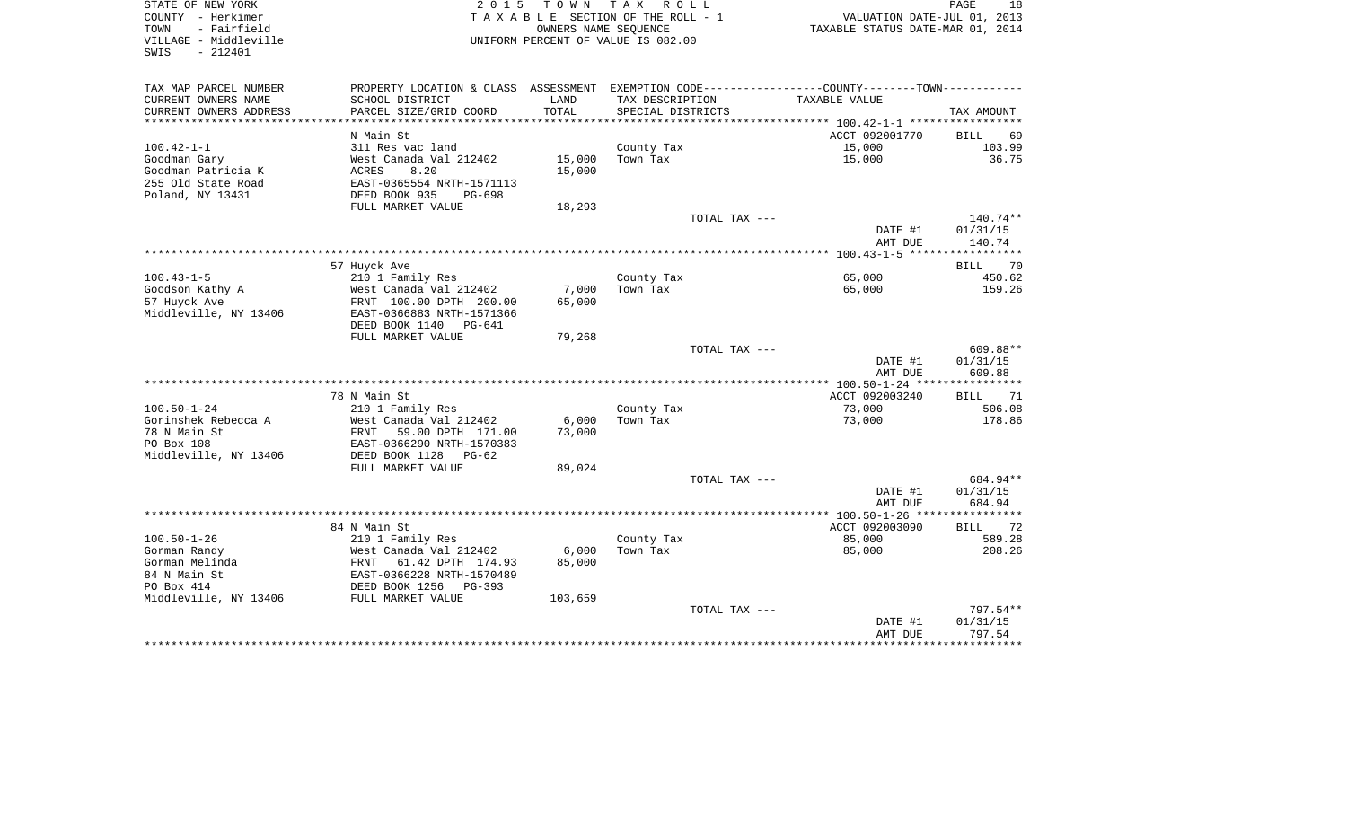| STATE OF NEW YORK<br>COUNTY - Herkimer                            | 2 0 1 5                                                                                      |                      | TOWN TAX ROLL<br>TAXABLE SECTION OF THE ROLL - 1 |               |                                  | PAGE<br>18<br>VALUATION DATE-JUL 01, 2013 |
|-------------------------------------------------------------------|----------------------------------------------------------------------------------------------|----------------------|--------------------------------------------------|---------------|----------------------------------|-------------------------------------------|
| - Fairfield<br>TOWN<br>VILLAGE - Middleville<br>$-212401$<br>SWIS |                                                                                              | OWNERS NAME SEOUENCE | UNIFORM PERCENT OF VALUE IS 082.00               |               | TAXABLE STATUS DATE-MAR 01, 2014 |                                           |
| TAX MAP PARCEL NUMBER                                             | PROPERTY LOCATION & CLASS ASSESSMENT EXEMPTION CODE---------------COUNTY-------TOWN--------- |                      |                                                  |               |                                  |                                           |
| CURRENT OWNERS NAME                                               | SCHOOL DISTRICT                                                                              | LAND                 | TAX DESCRIPTION                                  |               | TAXABLE VALUE                    |                                           |
| CURRENT OWNERS ADDRESS                                            | PARCEL SIZE/GRID COORD                                                                       | TOTAL                | SPECIAL DISTRICTS                                |               |                                  | TAX AMOUNT                                |
|                                                                   |                                                                                              |                      |                                                  |               |                                  |                                           |
|                                                                   | N Main St                                                                                    |                      |                                                  |               | ACCT 092001770                   | <b>BILL</b><br>69                         |
| $100.42 - 1 - 1$                                                  | 311 Res vac land                                                                             |                      | County Tax                                       |               | 15,000                           | 103.99                                    |
| Goodman Gary                                                      | West Canada Val 212402                                                                       | 15,000               | Town Tax                                         |               | 15,000                           | 36.75                                     |
| Goodman Patricia K                                                | 8.20<br>ACRES                                                                                | 15,000               |                                                  |               |                                  |                                           |
| 255 Old State Road                                                | EAST-0365554 NRTH-1571113                                                                    |                      |                                                  |               |                                  |                                           |
| Poland, NY 13431                                                  | DEED BOOK 935<br>PG-698                                                                      |                      |                                                  |               |                                  |                                           |
|                                                                   | FULL MARKET VALUE                                                                            | 18,293               |                                                  |               |                                  |                                           |
|                                                                   |                                                                                              |                      |                                                  | TOTAL TAX --- | DATE #1                          | 140.74**<br>01/31/15                      |
|                                                                   |                                                                                              |                      |                                                  |               | AMT DUE                          | 140.74                                    |
|                                                                   |                                                                                              |                      |                                                  |               |                                  |                                           |
|                                                                   | 57 Huyck Ave                                                                                 |                      |                                                  |               |                                  | <b>BILL</b><br>70                         |
| $100.43 - 1 - 5$                                                  | 210 1 Family Res                                                                             |                      | County Tax                                       |               | 65,000                           | 450.62                                    |
| Goodson Kathy A                                                   | West Canada Val 212402                                                                       | 7,000                | Town Tax                                         |               | 65,000                           | 159.26                                    |
| 57 Huyck Ave                                                      | FRNT 100.00 DPTH 200.00                                                                      | 65,000               |                                                  |               |                                  |                                           |
| Middleville, NY 13406                                             | EAST-0366883 NRTH-1571366                                                                    |                      |                                                  |               |                                  |                                           |
|                                                                   | DEED BOOK 1140 PG-641                                                                        |                      |                                                  |               |                                  |                                           |
|                                                                   | FULL MARKET VALUE                                                                            | 79,268               |                                                  |               |                                  |                                           |
|                                                                   |                                                                                              |                      |                                                  | TOTAL TAX --- |                                  | 609.88**                                  |
|                                                                   |                                                                                              |                      |                                                  |               | DATE #1                          | 01/31/15                                  |
|                                                                   |                                                                                              |                      |                                                  |               | AMT DUE                          | 609.88                                    |
|                                                                   |                                                                                              |                      |                                                  |               |                                  |                                           |
|                                                                   | 78 N Main St                                                                                 |                      |                                                  |               | ACCT 092003240                   | 71<br>BILL                                |
| $100.50 - 1 - 24$<br>Gorinshek Rebecca A                          | 210 1 Family Res<br>West Canada Val 212402                                                   | 6,000                | County Tax<br>Town Tax                           |               | 73,000<br>73,000                 | 506.08<br>178.86                          |
| 78 N Main St                                                      | FRNT<br>59.00 DPTH 171.00                                                                    | 73,000               |                                                  |               |                                  |                                           |
| PO Box 108                                                        | EAST-0366290 NRTH-1570383                                                                    |                      |                                                  |               |                                  |                                           |
| Middleville, NY 13406                                             | DEED BOOK 1128<br>PG-62                                                                      |                      |                                                  |               |                                  |                                           |
|                                                                   | FULL MARKET VALUE                                                                            | 89,024               |                                                  |               |                                  |                                           |
|                                                                   |                                                                                              |                      |                                                  | TOTAL TAX --- |                                  | 684.94**                                  |
|                                                                   |                                                                                              |                      |                                                  |               | DATE #1                          | 01/31/15                                  |
|                                                                   |                                                                                              |                      |                                                  |               | AMT DUE                          | 684.94                                    |
|                                                                   |                                                                                              |                      |                                                  |               |                                  |                                           |
|                                                                   | 84 N Main St                                                                                 |                      |                                                  |               | ACCT 092003090                   | 72<br>BILL                                |
| $100.50 - 1 - 26$                                                 | 210 1 Family Res                                                                             |                      | County Tax                                       |               | 85,000                           | 589.28                                    |
| Gorman Randy                                                      | West Canada Val 212402                                                                       | 6,000                | Town Tax                                         |               | 85,000                           | 208.26                                    |
| Gorman Melinda<br>FRNT                                            | 61.42 DPTH 174.93                                                                            | 85,000               |                                                  |               |                                  |                                           |
| 84 N Main St                                                      | EAST-0366228 NRTH-1570489                                                                    |                      |                                                  |               |                                  |                                           |
| PO Box 414                                                        | DEED BOOK 1256<br>PG-393                                                                     |                      |                                                  |               |                                  |                                           |
| Middleville, NY 13406                                             | FULL MARKET VALUE                                                                            | 103,659              |                                                  |               |                                  | 797.54**                                  |
|                                                                   |                                                                                              |                      |                                                  | TOTAL TAX --- | DATE #1                          | 01/31/15                                  |
|                                                                   |                                                                                              |                      |                                                  |               | AMT DUE                          | 797.54                                    |
|                                                                   |                                                                                              |                      |                                                  |               |                                  |                                           |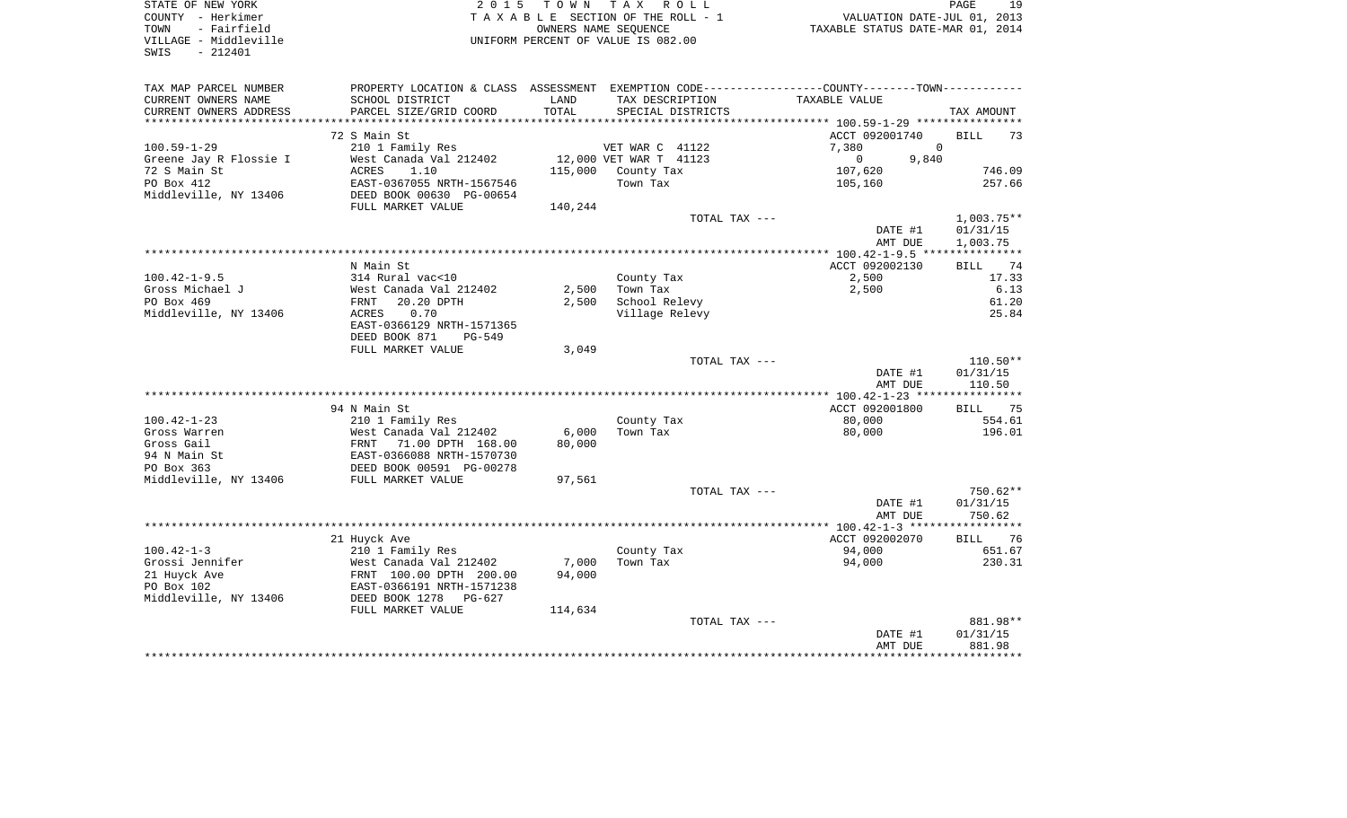| STATE OF NEW YORK<br>COUNTY - Herkimer<br>- Fairfield<br>TOWN<br>VILLAGE - Middleville<br>$-212401$<br>SWIS | 2 0 1 5                                                                                       | T O W N | TAX ROLL<br>TAXABLE SECTION OF THE ROLL - 1<br>OWNERS NAME SEQUENCE<br>UNIFORM PERCENT OF VALUE IS 082.00 | VALUATION DATE-JUL 01, 2013<br>TAXABLE STATUS DATE-MAR 01, 2014 | PAGE<br>19           |
|-------------------------------------------------------------------------------------------------------------|-----------------------------------------------------------------------------------------------|---------|-----------------------------------------------------------------------------------------------------------|-----------------------------------------------------------------|----------------------|
| TAX MAP PARCEL NUMBER                                                                                       | PROPERTY LOCATION & CLASS ASSESSMENT EXEMPTION CODE---------------COUNTY-------TOWN---------- |         |                                                                                                           |                                                                 |                      |
| CURRENT OWNERS NAME                                                                                         | SCHOOL DISTRICT                                                                               | LAND    | TAX DESCRIPTION                                                                                           | TAXABLE VALUE                                                   |                      |
| CURRENT OWNERS ADDRESS                                                                                      | PARCEL SIZE/GRID COORD                                                                        | TOTAL   | SPECIAL DISTRICTS                                                                                         |                                                                 | TAX AMOUNT           |
|                                                                                                             |                                                                                               |         |                                                                                                           |                                                                 |                      |
| $100.59 - 1 - 29$                                                                                           | 72 S Main St<br>210 1 Family Res                                                              |         |                                                                                                           | ACCT 092001740<br>7,380<br>$\mathbf 0$                          | <b>BILL</b><br>73    |
| Greene Jay R Flossie I                                                                                      | West Canada Val 212402                                                                        |         | VET WAR C 41122<br>12,000 VET WAR T 41123                                                                 | 9,840<br>$\mathbf{0}$                                           |                      |
| 72 S Main St                                                                                                | ACRES<br>1.10                                                                                 | 115,000 | County Tax                                                                                                | 107,620                                                         | 746.09               |
| PO Box 412                                                                                                  | EAST-0367055 NRTH-1567546                                                                     |         | Town Tax                                                                                                  | 105,160                                                         | 257.66               |
| Middleville, NY 13406                                                                                       | DEED BOOK 00630 PG-00654                                                                      |         |                                                                                                           |                                                                 |                      |
|                                                                                                             | FULL MARKET VALUE                                                                             | 140,244 |                                                                                                           |                                                                 |                      |
|                                                                                                             |                                                                                               |         | TOTAL TAX ---                                                                                             |                                                                 | $1,003.75**$         |
|                                                                                                             |                                                                                               |         |                                                                                                           | DATE #1                                                         | 01/31/15             |
|                                                                                                             |                                                                                               |         |                                                                                                           | AMT DUE                                                         | 1,003.75             |
|                                                                                                             |                                                                                               |         |                                                                                                           |                                                                 |                      |
|                                                                                                             | N Main St                                                                                     |         |                                                                                                           | ACCT 092002130                                                  | BILL 74              |
| $100.42 - 1 - 9.5$<br>Gross Michael J                                                                       | 314 Rural vac<10<br>West Canada Val 212402                                                    | 2,500   | County Tax<br>Town Tax                                                                                    | 2,500                                                           | 17.33<br>6.13        |
| PO Box 469                                                                                                  | FRNT<br>20.20 DPTH                                                                            | 2,500   | School Relevy                                                                                             | 2,500                                                           | 61.20                |
| Middleville, NY 13406                                                                                       | ACRES<br>0.70                                                                                 |         | Village Relevy                                                                                            |                                                                 | 25.84                |
|                                                                                                             | EAST-0366129 NRTH-1571365                                                                     |         |                                                                                                           |                                                                 |                      |
|                                                                                                             | DEED BOOK 871<br>PG-549                                                                       |         |                                                                                                           |                                                                 |                      |
|                                                                                                             | FULL MARKET VALUE                                                                             | 3,049   |                                                                                                           |                                                                 |                      |
|                                                                                                             |                                                                                               |         | TOTAL TAX ---                                                                                             |                                                                 | $110.50**$           |
|                                                                                                             |                                                                                               |         |                                                                                                           | DATE #1                                                         | 01/31/15             |
|                                                                                                             |                                                                                               |         |                                                                                                           | AMT DUE                                                         | 110.50               |
|                                                                                                             |                                                                                               |         |                                                                                                           |                                                                 |                      |
| $100.42 - 1 - 23$                                                                                           | 94 N Main St<br>210 1 Family Res                                                              |         | County Tax                                                                                                | ACCT 092001800<br>80,000                                        | BILL 75<br>554.61    |
| Gross Warren                                                                                                | West Canada Val 212402                                                                        | 6,000   | Town Tax                                                                                                  | 80,000                                                          | 196.01               |
| Gross Gail                                                                                                  |                                                                                               | 80,000  |                                                                                                           |                                                                 |                      |
| 94 N Main St                                                                                                | FRNT 71.00 DPTH 168.00<br>EAST-0366088 NRTH-1570730                                           |         |                                                                                                           |                                                                 |                      |
| PO Box 363                                                                                                  | DEED BOOK 00591 PG-00278                                                                      |         |                                                                                                           |                                                                 |                      |
| Middleville, NY 13406                                                                                       | FULL MARKET VALUE                                                                             | 97,561  |                                                                                                           |                                                                 |                      |
|                                                                                                             |                                                                                               |         | TOTAL TAX ---                                                                                             |                                                                 | $750.62**$           |
|                                                                                                             |                                                                                               |         |                                                                                                           | DATE #1                                                         | 01/31/15             |
|                                                                                                             |                                                                                               |         |                                                                                                           | AMT DUE                                                         | 750.62               |
|                                                                                                             |                                                                                               |         |                                                                                                           |                                                                 |                      |
| $100.42 - 1 - 3$                                                                                            | 21 Huyck Ave<br>210 1 Family Res                                                              |         | County Tax                                                                                                | ACCT 092002070<br>94,000                                        | 76<br>BILL<br>651.67 |
| Grossi Jennifer                                                                                             | West Canada Val 212402                                                                        | 7,000   | Town Tax                                                                                                  | 94,000                                                          | 230.31               |
| 21 Huyck Ave                                                                                                | FRNT 100.00 DPTH 200.00                                                                       | 94,000  |                                                                                                           |                                                                 |                      |
| PO Box 102                                                                                                  | EAST-0366191 NRTH-1571238                                                                     |         |                                                                                                           |                                                                 |                      |
| Middleville, NY 13406                                                                                       | DEED BOOK 1278<br>$PG-627$                                                                    |         |                                                                                                           |                                                                 |                      |
|                                                                                                             | FULL MARKET VALUE                                                                             | 114,634 |                                                                                                           |                                                                 |                      |
|                                                                                                             |                                                                                               |         | TOTAL TAX ---                                                                                             |                                                                 | 881.98**             |
|                                                                                                             |                                                                                               |         |                                                                                                           | DATE #1                                                         | 01/31/15             |
|                                                                                                             |                                                                                               |         |                                                                                                           | AMT DUE                                                         | 881.98               |
|                                                                                                             |                                                                                               |         |                                                                                                           |                                                                 | *********            |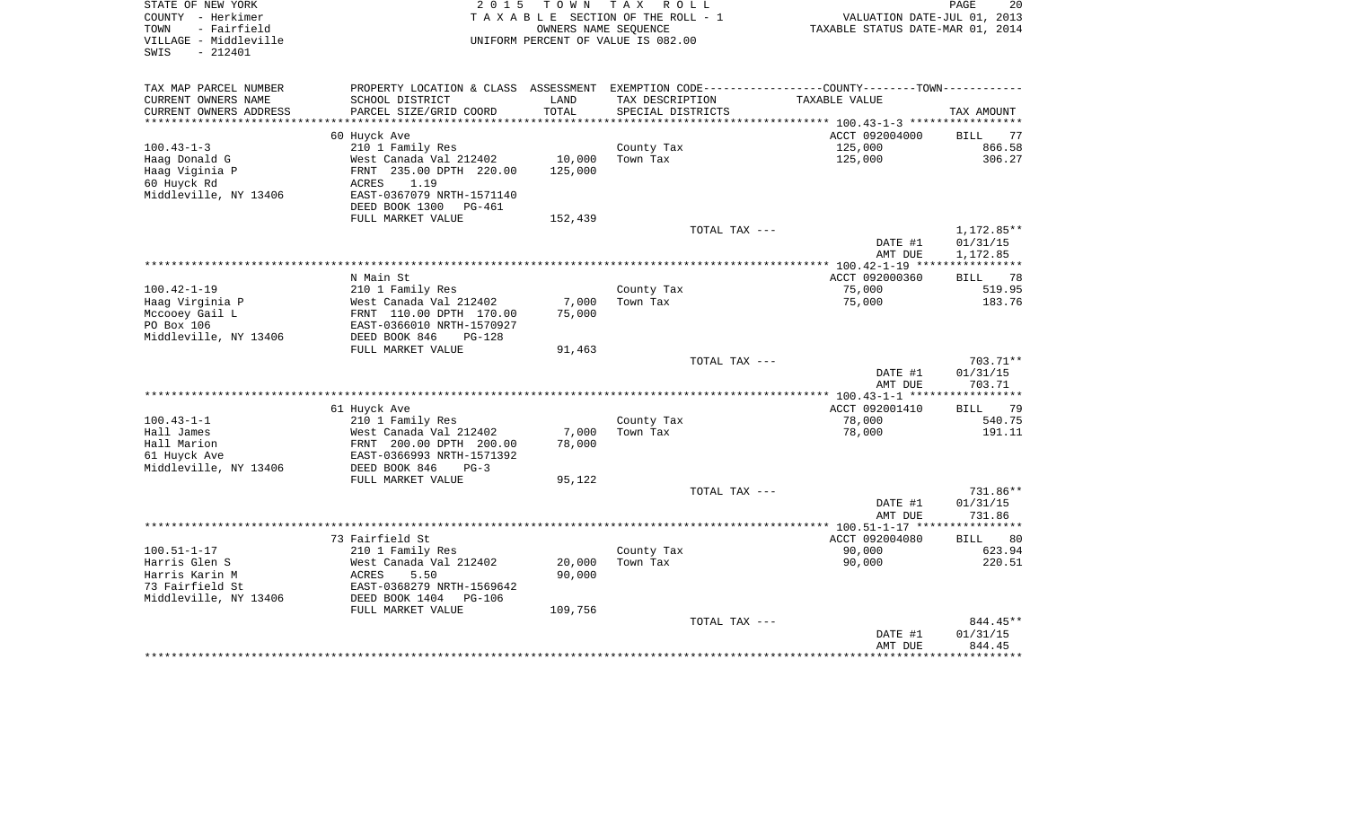| STATE OF NEW YORK<br>COUNTY - Herkimer                            | 2 0 1 5                                                      | T O W N          | T A X<br>R O L L<br>TAXABLE SECTION OF THE ROLL - 1        | VALUATION DATE-JUL 01, 2013                                          | PAGE<br>20        |
|-------------------------------------------------------------------|--------------------------------------------------------------|------------------|------------------------------------------------------------|----------------------------------------------------------------------|-------------------|
| - Fairfield<br>TOWN<br>VILLAGE - Middleville<br>$-212401$<br>SWIS |                                                              |                  | OWNERS NAME SEQUENCE<br>UNIFORM PERCENT OF VALUE IS 082.00 | TAXABLE STATUS DATE-MAR 01, 2014                                     |                   |
| TAX MAP PARCEL NUMBER                                             | PROPERTY LOCATION & CLASS                                    |                  |                                                            | ASSESSMENT EXEMPTION CODE----------------COUNTY-------TOWN---------- |                   |
| CURRENT OWNERS NAME                                               | SCHOOL DISTRICT                                              | LAND             | TAX DESCRIPTION                                            | TAXABLE VALUE                                                        |                   |
| CURRENT OWNERS ADDRESS                                            | PARCEL SIZE/GRID COORD                                       | TOTAL            | SPECIAL DISTRICTS                                          |                                                                      | TAX AMOUNT        |
|                                                                   |                                                              |                  |                                                            | ********** 100.43-1-3 ******************                             |                   |
|                                                                   | 60 Huyck Ave                                                 |                  |                                                            | ACCT 092004000                                                       | BILL<br>77        |
| $100.43 - 1 - 3$                                                  | 210 1 Family Res                                             |                  | County Tax                                                 | 125,000                                                              | 866.58            |
| Haag Donald G                                                     | West Canada Val 212402                                       | 10,000           | Town Tax                                                   | 125,000                                                              | 306.27            |
| Haag Viginia P                                                    | FRNT 235.00 DPTH 220.00                                      | 125,000          |                                                            |                                                                      |                   |
| 60 Huyck Rd                                                       | 1.19<br>ACRES                                                |                  |                                                            |                                                                      |                   |
| Middleville, NY 13406                                             | EAST-0367079 NRTH-1571140<br>DEED BOOK 1300<br><b>PG-461</b> |                  |                                                            |                                                                      |                   |
|                                                                   | FULL MARKET VALUE                                            | 152,439          |                                                            |                                                                      |                   |
|                                                                   |                                                              |                  | TOTAL TAX ---                                              |                                                                      | 1,172.85**        |
|                                                                   |                                                              |                  |                                                            | DATE #1                                                              | 01/31/15          |
|                                                                   |                                                              |                  |                                                            | AMT DUE                                                              | 1,172.85          |
|                                                                   |                                                              |                  |                                                            |                                                                      |                   |
|                                                                   | N Main St                                                    |                  |                                                            | ACCT 092000360                                                       | 78<br>BILL        |
| $100.42 - 1 - 19$                                                 | 210 1 Family Res                                             |                  | County Tax                                                 | 75,000                                                               | 519.95            |
| Haag Virginia P                                                   | West Canada Val 212402                                       | 7,000            | Town Tax                                                   | 75,000                                                               | 183.76            |
| Mccooey Gail L                                                    | FRNT 110.00 DPTH 170.00                                      | 75,000           |                                                            |                                                                      |                   |
| PO Box 106                                                        | EAST-0366010 NRTH-1570927                                    |                  |                                                            |                                                                      |                   |
| Middleville, NY 13406                                             | DEED BOOK 846<br>$PG-128$                                    |                  |                                                            |                                                                      |                   |
|                                                                   | FULL MARKET VALUE                                            | 91,463           |                                                            |                                                                      |                   |
|                                                                   |                                                              |                  | TOTAL TAX ---                                              |                                                                      | 703.71**          |
|                                                                   |                                                              |                  |                                                            | DATE #1                                                              | 01/31/15          |
|                                                                   |                                                              |                  |                                                            | AMT DUE                                                              | 703.71            |
|                                                                   | 61 Huyck Ave                                                 |                  |                                                            | ACCT 092001410                                                       | 79<br><b>BILL</b> |
| $100.43 - 1 - 1$                                                  | 210 1 Family Res                                             |                  | County Tax                                                 | 78,000                                                               | 540.75            |
| Hall James                                                        | West Canada Val 212402                                       | 7,000            | Town Tax                                                   | 78,000                                                               | 191.11            |
| Hall Marion                                                       | FRNT 200.00 DPTH 200.00                                      | 78,000           |                                                            |                                                                      |                   |
| 61 Huyck Ave                                                      | EAST-0366993 NRTH-1571392                                    |                  |                                                            |                                                                      |                   |
| Middleville, NY 13406                                             | DEED BOOK 846<br>$PG-3$                                      |                  |                                                            |                                                                      |                   |
|                                                                   | FULL MARKET VALUE                                            | 95,122           |                                                            |                                                                      |                   |
|                                                                   |                                                              |                  | TOTAL TAX ---                                              |                                                                      | 731.86**          |
|                                                                   |                                                              |                  |                                                            | DATE #1                                                              | 01/31/15          |
|                                                                   |                                                              |                  |                                                            | AMT DUE                                                              | 731.86            |
|                                                                   |                                                              |                  |                                                            | ************ 100.51-1-17 *****                                       | **********        |
|                                                                   | 73 Fairfield St                                              |                  |                                                            | ACCT 092004080                                                       | 80<br><b>BILL</b> |
| $100.51 - 1 - 17$                                                 | 210 1 Family Res                                             |                  | County Tax                                                 | 90,000                                                               | 623.94            |
| Harris Glen S<br>Harris Karin M                                   | West Canada Val 212402<br>ACRES<br>5.50                      | 20,000<br>90,000 | Town Tax                                                   | 90,000                                                               | 220.51            |
| 73 Fairfield St                                                   | EAST-0368279 NRTH-1569642                                    |                  |                                                            |                                                                      |                   |
| Middleville, NY 13406                                             | DEED BOOK 1404<br>$PG-106$                                   |                  |                                                            |                                                                      |                   |
|                                                                   | FULL MARKET VALUE                                            | 109,756          |                                                            |                                                                      |                   |
|                                                                   |                                                              |                  | TOTAL TAX ---                                              |                                                                      | 844.45**          |
|                                                                   |                                                              |                  |                                                            | DATE #1                                                              | 01/31/15          |
|                                                                   |                                                              |                  |                                                            | AMT DUE                                                              | 844.45            |
|                                                                   |                                                              |                  |                                                            |                                                                      | ********          |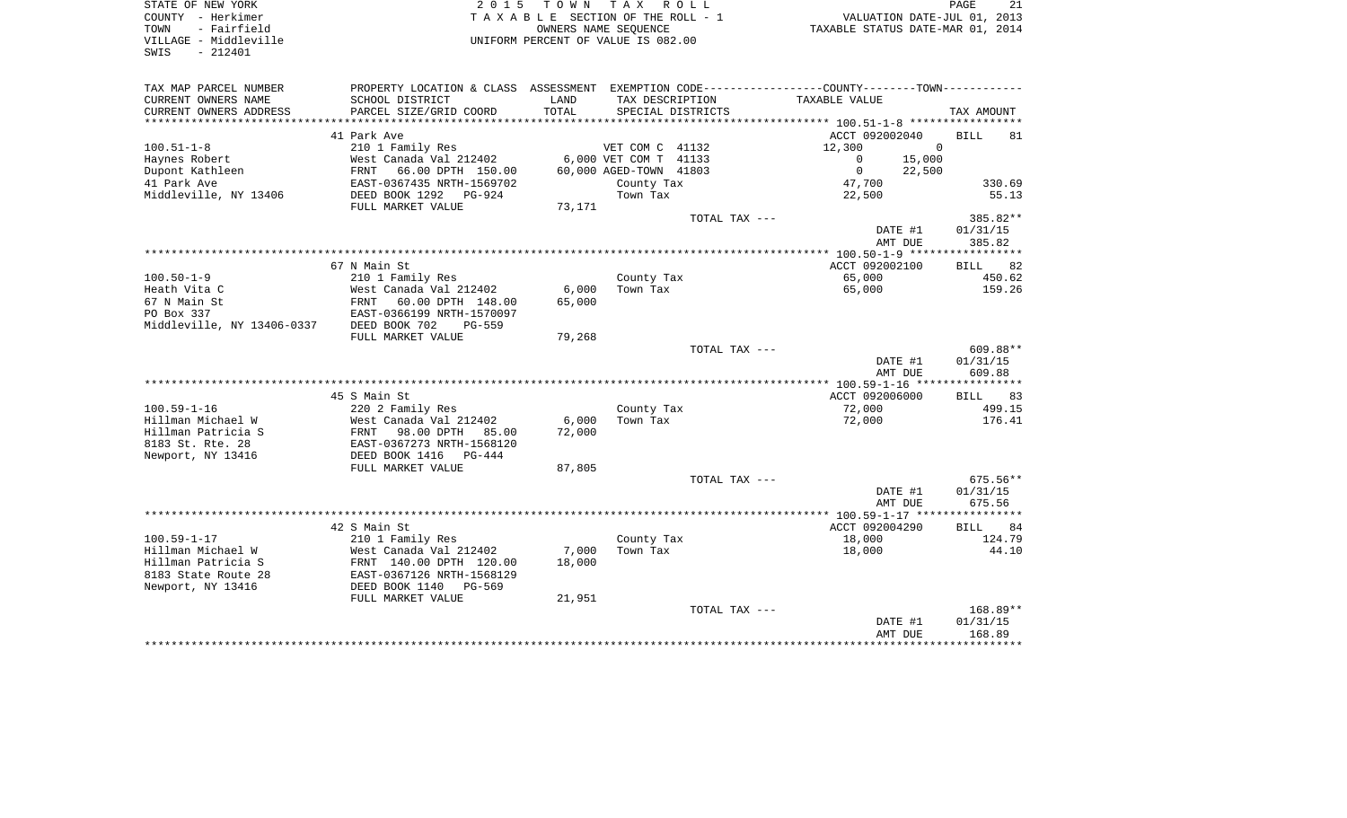| COUNTY - Herkimer<br>TOWN<br>- Fairfield<br>VILLAGE - Middleville<br>$-212401$<br>SWIS |                           |        | TAXABLE SECTION OF THE ROLL - 1<br>OWNERS NAME SEQUENCE<br>UNIFORM PERCENT OF VALUE IS 082.00 | VALUATION DATE-JUL 01, 2013<br>TAXABLE STATUS DATE-MAR 01, 2014                                |                   |
|----------------------------------------------------------------------------------------|---------------------------|--------|-----------------------------------------------------------------------------------------------|------------------------------------------------------------------------------------------------|-------------------|
| TAX MAP PARCEL NUMBER                                                                  |                           |        |                                                                                               | PROPERTY LOCATION & CLASS ASSESSMENT EXEMPTION CODE----------------COUNTY-------TOWN---------- |                   |
| CURRENT OWNERS NAME                                                                    | SCHOOL DISTRICT           | LAND   | TAX DESCRIPTION                                                                               | TAXABLE VALUE                                                                                  |                   |
| CURRENT OWNERS ADDRESS                                                                 | PARCEL SIZE/GRID COORD    | TOTAL  | SPECIAL DISTRICTS                                                                             |                                                                                                | TAX AMOUNT        |
|                                                                                        | 41 Park Ave               |        |                                                                                               | ACCT 092002040                                                                                 | <b>BILL</b><br>81 |
| $100.51 - 1 - 8$                                                                       | 210 1 Family Res          |        | VET COM C 41132                                                                               | 12,300<br>$\mathbf 0$                                                                          |                   |
| Haynes Robert                                                                          | West Canada Val 212402    |        | 6,000 VET COM T 41133                                                                         | 15,000<br>$\overline{0}$                                                                       |                   |
| Dupont Kathleen                                                                        | FRNT<br>66.00 DPTH 150.00 |        | 60,000 AGED-TOWN 41803                                                                        | $\overline{0}$<br>22,500                                                                       |                   |
| 41 Park Ave                                                                            | EAST-0367435 NRTH-1569702 |        | County Tax                                                                                    | 47,700                                                                                         | 330.69            |
| Middleville, NY 13406                                                                  | DEED BOOK 1292 PG-924     |        | Town Tax                                                                                      | 22,500                                                                                         | 55.13             |
|                                                                                        | FULL MARKET VALUE         | 73,171 |                                                                                               |                                                                                                |                   |
|                                                                                        |                           |        | TOTAL TAX ---                                                                                 |                                                                                                | 385.82**          |
|                                                                                        |                           |        |                                                                                               | DATE #1                                                                                        | 01/31/15          |
|                                                                                        |                           |        |                                                                                               | AMT DUE                                                                                        | 385.82            |
|                                                                                        |                           |        |                                                                                               |                                                                                                |                   |
|                                                                                        | 67 N Main St              |        |                                                                                               | ACCT 092002100                                                                                 | 82<br><b>BILL</b> |
| 100.50-1-9                                                                             | 210 1 Family Res          |        | County Tax                                                                                    | 65,000                                                                                         | 450.62            |
| Heath Vita C                                                                           | West Canada Val 212402    | 6,000  | Town Tax                                                                                      | 65,000                                                                                         | 159.26            |
| 67 N Main St                                                                           | FRNT 60.00 DPTH 148.00    | 65,000 |                                                                                               |                                                                                                |                   |
| PO Box 337                                                                             | EAST-0366199 NRTH-1570097 |        |                                                                                               |                                                                                                |                   |
| Middleville, NY 13406-0337                                                             | DEED BOOK 702<br>$PG-559$ |        |                                                                                               |                                                                                                |                   |
|                                                                                        | FULL MARKET VALUE         | 79,268 |                                                                                               |                                                                                                |                   |
|                                                                                        |                           |        | TOTAL TAX ---                                                                                 |                                                                                                | 609.88**          |
|                                                                                        |                           |        |                                                                                               | DATE #1                                                                                        | 01/31/15          |
|                                                                                        |                           |        |                                                                                               | AMT DUE                                                                                        | 609.88            |
|                                                                                        |                           |        |                                                                                               |                                                                                                |                   |
|                                                                                        | 45 S Main St              |        |                                                                                               | ACCT 092006000                                                                                 | BILL 83           |
| $100.59 - 1 - 16$                                                                      | 220 2 Family Res          |        | County Tax                                                                                    | 72,000                                                                                         | 499.15            |
| Hillman Michael W                                                                      | West Canada Val 212402    | 6,000  | Town Tax                                                                                      | 72,000                                                                                         | 176.41            |
| Hillman Patricia S                                                                     | FRNT 98.00 DPTH 85.00     | 72,000 |                                                                                               |                                                                                                |                   |
| 8183 St. Rte. 28                                                                       | EAST-0367273 NRTH-1568120 |        |                                                                                               |                                                                                                |                   |
| Newport, NY 13416                                                                      | DEED BOOK 1416 PG-444     |        |                                                                                               |                                                                                                |                   |
|                                                                                        | FULL MARKET VALUE         | 87,805 |                                                                                               |                                                                                                |                   |
|                                                                                        |                           |        | TOTAL TAX ---                                                                                 |                                                                                                | 675.56**          |
|                                                                                        |                           |        |                                                                                               | DATE #1                                                                                        | 01/31/15          |
|                                                                                        |                           |        |                                                                                               | AMT DUE                                                                                        | 675.56            |
|                                                                                        |                           |        |                                                                                               |                                                                                                |                   |
|                                                                                        | 42 S Main St              |        |                                                                                               | ACCT 092004290                                                                                 | 84<br>BILL        |
| 100.59-1-17                                                                            | 210 1 Family Res          |        | County Tax                                                                                    | 18,000                                                                                         | 124.79            |
| Hillman Michael W                                                                      | West Canada Val 212402    | 7,000  | Town Tax                                                                                      | 18,000                                                                                         | 44.10             |
| Hillman Patricia S                                                                     | FRNT 140.00 DPTH 120.00   | 18,000 |                                                                                               |                                                                                                |                   |
| 8183 State Route 28                                                                    | EAST-0367126 NRTH-1568129 |        |                                                                                               |                                                                                                |                   |
| Newport, NY 13416                                                                      | DEED BOOK 1140 PG-569     |        |                                                                                               |                                                                                                |                   |
|                                                                                        | FULL MARKET VALUE         | 21,951 |                                                                                               |                                                                                                |                   |
|                                                                                        |                           |        | TOTAL TAX ---                                                                                 |                                                                                                | 168.89**          |
|                                                                                        |                           |        |                                                                                               | DATE #1                                                                                        | 01/31/15          |
|                                                                                        |                           |        |                                                                                               | AMT DUE                                                                                        | 168.89            |
|                                                                                        |                           |        |                                                                                               |                                                                                                |                   |

PAGE 21

STATE OF NEW YORK **EXECUTE:**  $2015$  TOWN TAX ROLL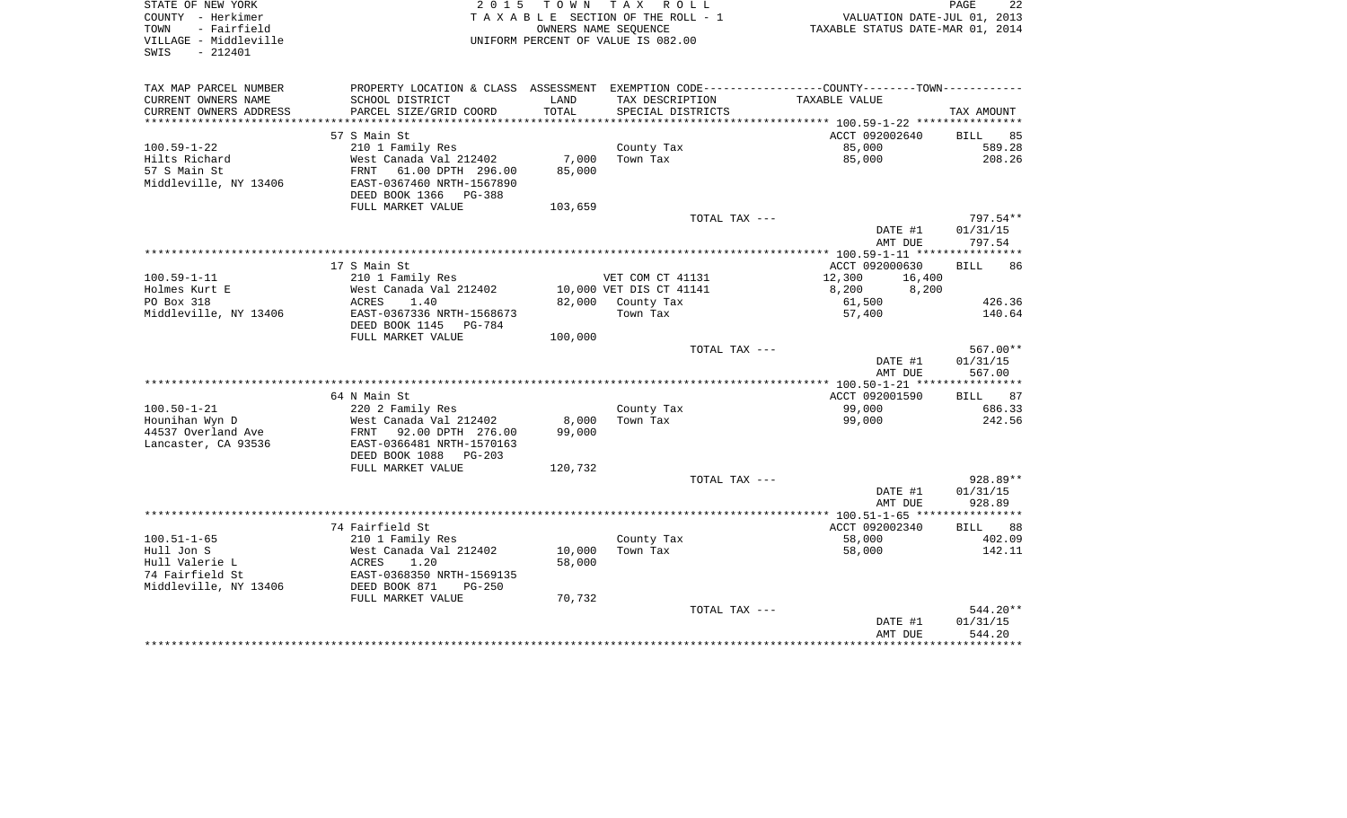| STATE OF NEW YORK                          | 2 0 1 5                   |                      | TOWN TAX ROLL                      |                                                                                               | PAGE<br>22        |
|--------------------------------------------|---------------------------|----------------------|------------------------------------|-----------------------------------------------------------------------------------------------|-------------------|
| COUNTY - Herkimer                          |                           |                      | TAXABLE SECTION OF THE ROLL - 1    | VALUATION DATE-JUL 01, 2013                                                                   |                   |
| TOWN<br>- Fairfield                        |                           | OWNERS NAME SEQUENCE |                                    | TAXABLE STATUS DATE-MAR 01, 2014                                                              |                   |
| VILLAGE - Middleville<br>$-212401$<br>SWIS |                           |                      | UNIFORM PERCENT OF VALUE IS 082.00 |                                                                                               |                   |
|                                            |                           |                      |                                    |                                                                                               |                   |
|                                            |                           |                      |                                    |                                                                                               |                   |
| TAX MAP PARCEL NUMBER                      |                           |                      |                                    | PROPERTY LOCATION & CLASS ASSESSMENT EXEMPTION CODE---------------COUNTY-------TOWN---------- |                   |
| CURRENT OWNERS NAME                        | SCHOOL DISTRICT           | LAND                 | TAX DESCRIPTION                    | TAXABLE VALUE                                                                                 |                   |
| CURRENT OWNERS ADDRESS                     | PARCEL SIZE/GRID COORD    | TOTAL                | SPECIAL DISTRICTS                  |                                                                                               | TAX AMOUNT        |
|                                            |                           |                      |                                    |                                                                                               |                   |
|                                            | 57 S Main St              |                      |                                    | ACCT 092002640                                                                                | 85<br><b>BILL</b> |
| $100.59 - 1 - 22$                          | 210 1 Family Res          |                      | County Tax                         | 85,000                                                                                        | 589.28            |
| Hilts Richard                              | West Canada Val 212402    | 7,000                | Town Tax                           | 85,000                                                                                        | 208.26            |
| 57 S Main St                               | FRNT<br>61.00 DPTH 296.00 | 85,000               |                                    |                                                                                               |                   |
| Middleville, NY 13406                      | EAST-0367460 NRTH-1567890 |                      |                                    |                                                                                               |                   |
|                                            | DEED BOOK 1366<br>PG-388  |                      |                                    |                                                                                               |                   |
|                                            | FULL MARKET VALUE         | 103,659              |                                    |                                                                                               |                   |
|                                            |                           |                      | TOTAL TAX ---                      |                                                                                               | 797.54**          |
|                                            |                           |                      |                                    | DATE #1                                                                                       | 01/31/15          |
|                                            |                           |                      |                                    | AMT DUE                                                                                       | 797.54            |
|                                            | 17 S Main St              |                      |                                    | ACCT 092000630                                                                                | <b>BILL</b><br>86 |
| $100.59 - 1 - 11$                          | 210 1 Family Res          |                      | VET COM CT 41131                   | 12,300<br>16,400                                                                              |                   |
| Holmes Kurt E                              | West Canada Val 212402    |                      | 10,000 VET DIS CT 41141            | 8,200<br>8,200                                                                                |                   |
| PO Box 318                                 | 1.40<br>ACRES             | 82,000               | County Tax                         | 61,500                                                                                        | 426.36            |
| Middleville, NY 13406                      | EAST-0367336 NRTH-1568673 |                      | Town Tax                           | 57,400                                                                                        | 140.64            |
|                                            | DEED BOOK 1145<br>PG-784  |                      |                                    |                                                                                               |                   |
|                                            | FULL MARKET VALUE         | 100,000              |                                    |                                                                                               |                   |
|                                            |                           |                      | TOTAL TAX ---                      |                                                                                               | 567.00**          |
|                                            |                           |                      |                                    | DATE #1                                                                                       | 01/31/15          |
|                                            |                           |                      |                                    | AMT DUE                                                                                       | 567.00            |
|                                            |                           |                      |                                    |                                                                                               |                   |
|                                            | 64 N Main St              |                      |                                    | ACCT 092001590                                                                                | 87<br>BILL        |
| $100.50 - 1 - 21$                          | 220 2 Family Res          |                      | County Tax                         | 99,000                                                                                        | 686.33            |
| Hounihan Wyn D                             | West Canada Val 212402    | 8,000                | Town Tax                           | 99,000                                                                                        | 242.56            |
| 44537 Overland Ave                         | FRNT 92.00 DPTH 276.00    | 99,000               |                                    |                                                                                               |                   |
| Lancaster, CA 93536                        | EAST-0366481 NRTH-1570163 |                      |                                    |                                                                                               |                   |
|                                            | DEED BOOK 1088<br>PG-203  |                      |                                    |                                                                                               |                   |
|                                            | FULL MARKET VALUE         | 120,732              |                                    |                                                                                               |                   |
|                                            |                           |                      | TOTAL TAX ---                      |                                                                                               | 928.89**          |
|                                            |                           |                      |                                    | DATE #1                                                                                       | 01/31/15          |
|                                            |                           |                      |                                    | AMT DUE                                                                                       | 928.89            |
|                                            |                           |                      |                                    |                                                                                               | ***********       |
|                                            | 74 Fairfield St           |                      |                                    | ACCT 092002340                                                                                | <b>BILL</b><br>88 |
| $100.51 - 1 - 65$                          | 210 1 Family Res          |                      | County Tax                         | 58,000                                                                                        | 402.09            |
| Hull Jon S                                 | West Canada Val 212402    | 10,000               | Town Tax                           | 58,000                                                                                        | 142.11            |
| Hull Valerie L                             | ACRES<br>1.20             | 58,000               |                                    |                                                                                               |                   |
| 74 Fairfield St                            | EAST-0368350 NRTH-1569135 |                      |                                    |                                                                                               |                   |
| Middleville, NY 13406                      | DEED BOOK 871<br>$PG-250$ |                      |                                    |                                                                                               |                   |
|                                            | FULL MARKET VALUE         | 70,732               |                                    |                                                                                               |                   |
|                                            |                           |                      | TOTAL TAX ---                      |                                                                                               | 544.20**          |
|                                            |                           |                      |                                    | DATE #1                                                                                       | 01/31/15          |
|                                            |                           |                      |                                    | AMT DUE                                                                                       | 544.20            |
|                                            |                           |                      |                                    |                                                                                               |                   |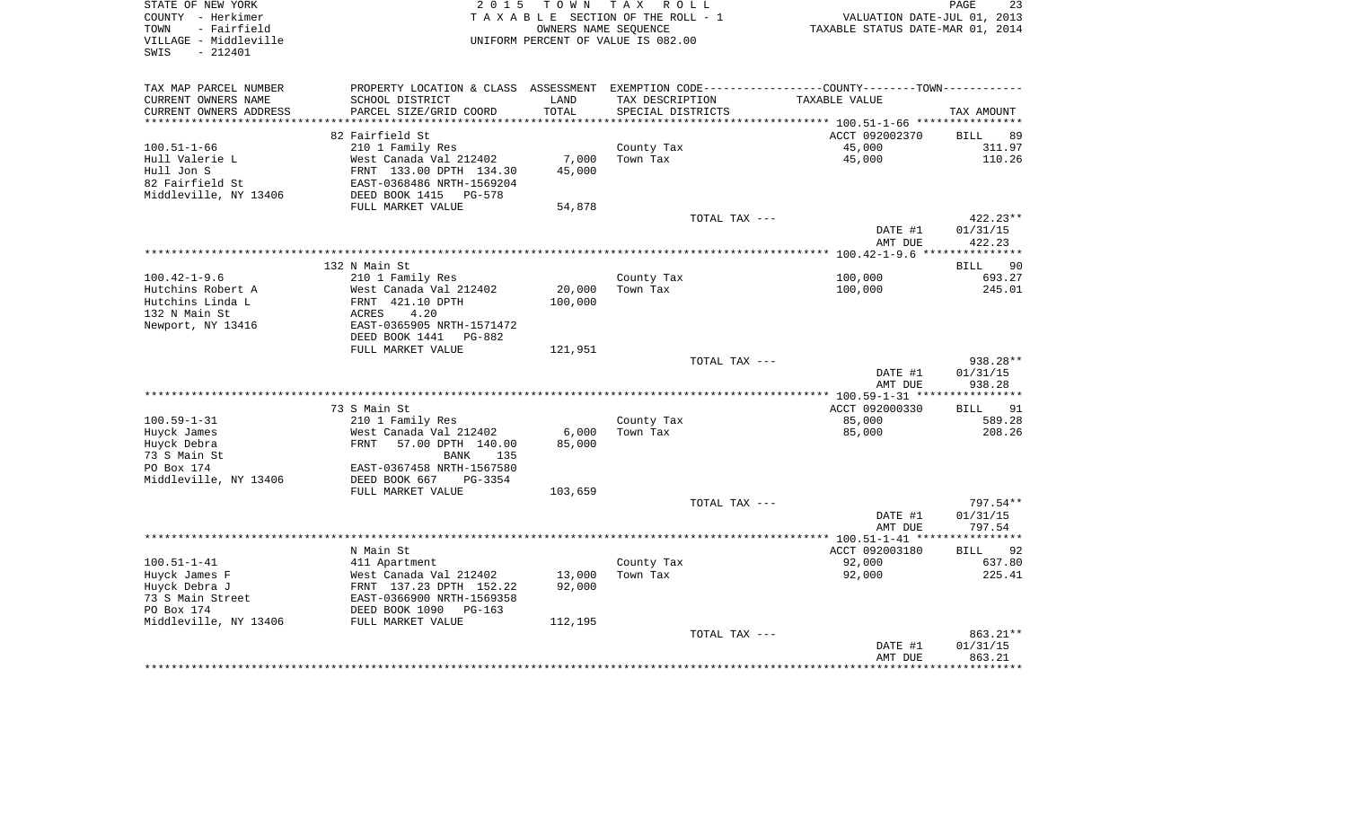| STATE OF NEW YORK<br>COUNTY - Herkimer<br>TOWN<br>- Fairfield<br>VILLAGE - Middleville<br>$-212401$<br>SWIS | 2 0 1 5<br>TOWN TAX ROLL<br>TAXABLE SECTION OF THE ROLL - 1<br>OWNERS NAME SEQUENCE<br>UNIFORM PERCENT OF VALUE IS 082.00 |         |                   | PAGE<br>23<br>VALUATION DATE-JUL 01, 2013<br>TAXABLE STATUS DATE-MAR 01, 2014 |                    |  |
|-------------------------------------------------------------------------------------------------------------|---------------------------------------------------------------------------------------------------------------------------|---------|-------------------|-------------------------------------------------------------------------------|--------------------|--|
| TAX MAP PARCEL NUMBER                                                                                       | PROPERTY LOCATION & CLASS ASSESSMENT EXEMPTION CODE---------------COUNTY--------TOWN----------                            |         |                   |                                                                               |                    |  |
| CURRENT OWNERS NAME                                                                                         | SCHOOL DISTRICT                                                                                                           | LAND    | TAX DESCRIPTION   | TAXABLE VALUE                                                                 |                    |  |
| CURRENT OWNERS ADDRESS                                                                                      | PARCEL SIZE/GRID COORD                                                                                                    | TOTAL   | SPECIAL DISTRICTS |                                                                               | TAX AMOUNT         |  |
| ***********************                                                                                     |                                                                                                                           |         |                   |                                                                               |                    |  |
|                                                                                                             | 82 Fairfield St                                                                                                           |         |                   | ACCT 092002370                                                                | <b>BILL</b><br>89  |  |
| 100.51-1-66                                                                                                 | 210 1 Family Res                                                                                                          |         | County Tax        | 45,000                                                                        | 311.97             |  |
| Hull Valerie L                                                                                              | West Canada Val 212402                                                                                                    | 7,000   | Town Tax          | 45,000                                                                        | 110.26             |  |
| Hull Jon S                                                                                                  | FRNT 133.00 DPTH 134.30                                                                                                   | 45,000  |                   |                                                                               |                    |  |
| 82 Fairfield St                                                                                             | EAST-0368486 NRTH-1569204                                                                                                 |         |                   |                                                                               |                    |  |
| Middleville, NY 13406                                                                                       | DEED BOOK 1415<br>PG-578                                                                                                  |         |                   |                                                                               |                    |  |
|                                                                                                             | FULL MARKET VALUE                                                                                                         | 54,878  |                   |                                                                               |                    |  |
|                                                                                                             |                                                                                                                           |         | TOTAL TAX ---     |                                                                               | $422.23**$         |  |
|                                                                                                             |                                                                                                                           |         |                   | DATE #1<br>AMT DUE                                                            | 01/31/15<br>422.23 |  |
|                                                                                                             |                                                                                                                           |         |                   |                                                                               |                    |  |
|                                                                                                             | 132 N Main St                                                                                                             |         |                   |                                                                               | - 90<br>BILL       |  |
| $100.42 - 1 - 9.6$                                                                                          | 210 1 Family Res                                                                                                          |         | County Tax        | 100,000                                                                       | 693.27             |  |
| Hutchins Robert A                                                                                           | West Canada Val 212402                                                                                                    | 20,000  | Town Tax          | 100,000                                                                       | 245.01             |  |
| Hutchins Linda L                                                                                            | FRNT 421.10 DPTH                                                                                                          | 100,000 |                   |                                                                               |                    |  |
| 132 N Main St                                                                                               | 4.20<br>ACRES                                                                                                             |         |                   |                                                                               |                    |  |
| Newport, NY 13416                                                                                           | EAST-0365905 NRTH-1571472                                                                                                 |         |                   |                                                                               |                    |  |
|                                                                                                             | DEED BOOK 1441<br>PG-882                                                                                                  |         |                   |                                                                               |                    |  |
|                                                                                                             | FULL MARKET VALUE                                                                                                         | 121,951 |                   |                                                                               |                    |  |
|                                                                                                             |                                                                                                                           |         | TOTAL TAX ---     |                                                                               | 938.28**           |  |
|                                                                                                             |                                                                                                                           |         |                   | DATE #1                                                                       | 01/31/15           |  |
|                                                                                                             |                                                                                                                           |         |                   | AMT DUE                                                                       | 938.28             |  |
|                                                                                                             | 73 S Main St                                                                                                              |         |                   | ACCT 092000330                                                                | 91<br>BILL         |  |
| $100.59 - 1 - 31$                                                                                           | 210 1 Family Res                                                                                                          |         | County Tax        | 85,000                                                                        | 589.28             |  |
| Huyck James                                                                                                 | West Canada Val 212402                                                                                                    | 6,000   | Town Tax          | 85,000                                                                        | 208.26             |  |
| Huyck Debra                                                                                                 | FRNT<br>57.00 DPTH 140.00                                                                                                 | 85,000  |                   |                                                                               |                    |  |
| 73 S Main St                                                                                                | BANK<br>135                                                                                                               |         |                   |                                                                               |                    |  |
| PO Box 174                                                                                                  | EAST-0367458 NRTH-1567580                                                                                                 |         |                   |                                                                               |                    |  |
| Middleville, NY 13406                                                                                       | DEED BOOK 667<br>PG-3354                                                                                                  |         |                   |                                                                               |                    |  |
|                                                                                                             | FULL MARKET VALUE                                                                                                         | 103,659 |                   |                                                                               |                    |  |
|                                                                                                             |                                                                                                                           |         | TOTAL TAX ---     |                                                                               | 797.54**           |  |
|                                                                                                             |                                                                                                                           |         |                   | DATE #1                                                                       | 01/31/15           |  |
|                                                                                                             |                                                                                                                           |         |                   | AMT DUE                                                                       | 797.54             |  |
|                                                                                                             |                                                                                                                           |         |                   |                                                                               |                    |  |
|                                                                                                             | N Main St                                                                                                                 |         |                   | ACCT 092003180                                                                | 92<br>BILL         |  |
| $100.51 - 1 - 41$                                                                                           | 411 Apartment                                                                                                             |         | County Tax        | 92,000                                                                        | 637.80             |  |
| Huyck James F                                                                                               | West Canada Val 212402                                                                                                    | 13,000  | Town Tax          | 92,000                                                                        | 225.41             |  |
| Huyck Debra J                                                                                               | FRNT 137.23 DPTH 152.22                                                                                                   | 92,000  |                   |                                                                               |                    |  |
| 73 S Main Street<br>PO Box 174                                                                              | EAST-0366900 NRTH-1569358<br>DEED BOOK 1090<br>PG-163                                                                     |         |                   |                                                                               |                    |  |
| Middleville, NY 13406                                                                                       | FULL MARKET VALUE                                                                                                         | 112,195 |                   |                                                                               |                    |  |
|                                                                                                             |                                                                                                                           |         | TOTAL TAX ---     |                                                                               | 863.21**           |  |
|                                                                                                             |                                                                                                                           |         |                   | DATE #1                                                                       | 01/31/15           |  |
|                                                                                                             |                                                                                                                           |         |                   | AMT DUE                                                                       | 863.21             |  |
|                                                                                                             |                                                                                                                           |         |                   |                                                                               |                    |  |
|                                                                                                             |                                                                                                                           |         |                   |                                                                               |                    |  |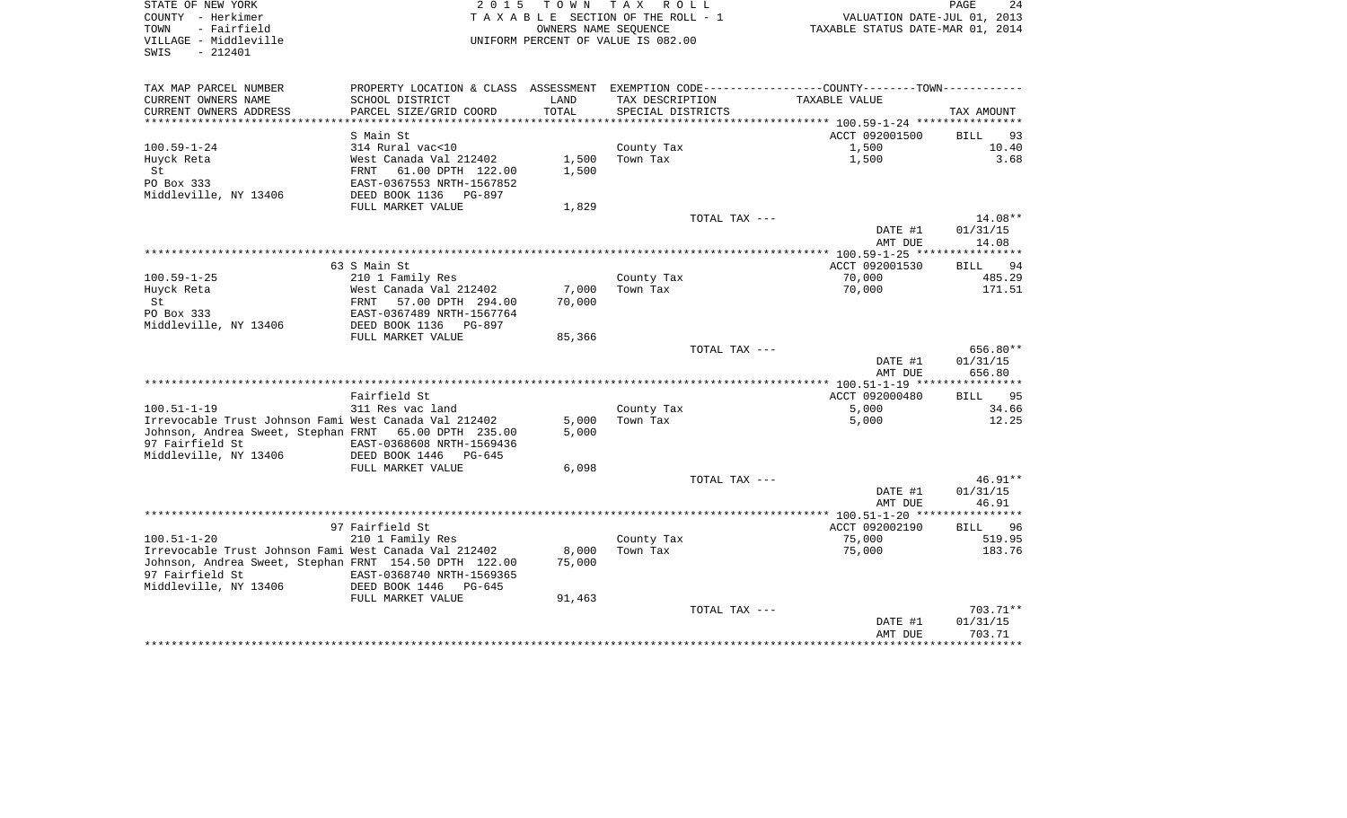| STATE OF NEW YORK<br>COUNTY - Herkimer<br>TOWN<br>- Fairfield<br>VILLAGE - Middleville<br>SWIS<br>$-212401$    |                                                                                               | OWNERS NAME SEQUENCE | 2015 TOWN TAX ROLL<br>TAXABLE SECTION OF THE ROLL - 1<br>UNIFORM PERCENT OF VALUE IS 082.00 |               | VALUATION DATE-JUL 01, 2013<br>TAXABLE STATUS DATE-MAR 01, 2014 | PAGE<br>24        |
|----------------------------------------------------------------------------------------------------------------|-----------------------------------------------------------------------------------------------|----------------------|---------------------------------------------------------------------------------------------|---------------|-----------------------------------------------------------------|-------------------|
| TAX MAP PARCEL NUMBER                                                                                          | PROPERTY LOCATION & CLASS ASSESSMENT EXEMPTION CODE---------------COUNTY-------TOWN---------- |                      |                                                                                             |               |                                                                 |                   |
| CURRENT OWNERS NAME                                                                                            | SCHOOL DISTRICT                                                                               | LAND                 | TAX DESCRIPTION                                                                             |               | TAXABLE VALUE                                                   |                   |
| CURRENT OWNERS ADDRESS                                                                                         | PARCEL SIZE/GRID COORD                                                                        | TOTAL                | SPECIAL DISTRICTS                                                                           |               |                                                                 | TAX AMOUNT        |
|                                                                                                                |                                                                                               |                      |                                                                                             |               |                                                                 |                   |
| $100.59 - 1 - 24$                                                                                              | S Main St<br>314 Rural vac<10                                                                 |                      |                                                                                             |               | ACCT 092001500<br>1,500                                         | BILL 93<br>10.40  |
| Huyck Reta                                                                                                     |                                                                                               | 1,500                | County Tax<br>Town Tax                                                                      |               | 1,500                                                           | 3.68              |
| St                                                                                                             |                                                                                               | 1,500                |                                                                                             |               |                                                                 |                   |
| PO Box 333                                                                                                     | West Canada Val 212402<br>FRNT 61.00 DPTH 122.00<br>EAST-0367553 NRTH-1567050                 |                      |                                                                                             |               |                                                                 |                   |
| Middleville, NY 13406                                                                                          | DEED BOOK 1136 PG-897                                                                         |                      |                                                                                             |               |                                                                 |                   |
|                                                                                                                | FULL MARKET VALUE                                                                             | 1,829                |                                                                                             |               |                                                                 |                   |
|                                                                                                                |                                                                                               |                      |                                                                                             | TOTAL TAX --- |                                                                 | 14.08**           |
|                                                                                                                |                                                                                               |                      |                                                                                             |               | DATE #1<br>AMT DUE                                              | 01/31/15<br>14.08 |
|                                                                                                                |                                                                                               |                      |                                                                                             |               |                                                                 |                   |
|                                                                                                                | 63 S Main St                                                                                  |                      |                                                                                             |               | ACCT 092001530                                                  | BILL 94           |
| $100.59 - 1 - 25$                                                                                              | 210 1 Family Res                                                                              | 7,000                | County Tax<br>Town Tax                                                                      |               | 70,000<br>70,000                                                | 485.29<br>171.51  |
| Huyck Reta<br>St                                                                                               |                                                                                               | 70,000               |                                                                                             |               |                                                                 |                   |
| PO Box 333                                                                                                     | West Canada Val 212402<br>FRNT 57.00 DPTH 294.00<br>EAST-0367489 NRTH-1567764                 |                      |                                                                                             |               |                                                                 |                   |
| Middleville, NY 13406                                                                                          | DEED BOOK 1136 PG-897                                                                         |                      |                                                                                             |               |                                                                 |                   |
|                                                                                                                | FULL MARKET VALUE                                                                             | 85,366               |                                                                                             |               |                                                                 |                   |
|                                                                                                                |                                                                                               |                      |                                                                                             | TOTAL TAX --- |                                                                 | 656.80**          |
|                                                                                                                |                                                                                               |                      |                                                                                             |               | DATE #1                                                         | 01/31/15          |
|                                                                                                                |                                                                                               |                      |                                                                                             |               | AMT DUE                                                         | 656.80            |
|                                                                                                                |                                                                                               |                      |                                                                                             |               |                                                                 |                   |
|                                                                                                                | Fairfield St                                                                                  |                      |                                                                                             |               | ACCT 092000480                                                  | BILL 95           |
| 100.51-1-19                                                                                                    | 311 Res vac land                                                                              | 5,000                | County Tax<br>Town Tax                                                                      |               | 5,000                                                           | 34.66<br>12.25    |
| Irrevocable Trust Johnson Fami West Canada Val 212402<br>Johnson, Andrea Sweet, Stephan FRNT 65.00 DPTH 235.00 |                                                                                               | 5,000                |                                                                                             |               | 5,000                                                           |                   |
| 97 Fairfield St                                                                                                | EAST-0368608 NRTH-1569436                                                                     |                      |                                                                                             |               |                                                                 |                   |
| Middleville, NY 13406                                                                                          | DEED BOOK 1446<br>PG-645                                                                      |                      |                                                                                             |               |                                                                 |                   |
|                                                                                                                | FULL MARKET VALUE                                                                             | 6,098                |                                                                                             |               |                                                                 |                   |
|                                                                                                                |                                                                                               |                      |                                                                                             | TOTAL TAX --- |                                                                 | $46.91**$         |
|                                                                                                                |                                                                                               |                      |                                                                                             |               | DATE #1                                                         | 01/31/15          |
|                                                                                                                |                                                                                               |                      |                                                                                             |               | AMT DUE                                                         | 46.91             |
|                                                                                                                |                                                                                               |                      |                                                                                             |               |                                                                 |                   |
|                                                                                                                | 97 Fairfield St                                                                               |                      |                                                                                             |               | ACCT 092002190                                                  | BILL 96           |
| $100.51 - 1 - 20$                                                                                              | 210 1 Family Res                                                                              |                      | County Tax                                                                                  |               | 75,000                                                          | 519.95            |
| Irrevocable Trust Johnson Fami West Canada Val 212402                                                          |                                                                                               | 8,000                | Town Tax                                                                                    |               | 75,000                                                          | 183.76            |
| Johnson, Andrea Sweet, Stephan FRNT 154.50 DPTH 122.00<br>97 Fairfield St                                      | EAST-0368740 NRTH-1569365                                                                     | 75,000               |                                                                                             |               |                                                                 |                   |
| Middleville, NY 13406                                                                                          | DEED BOOK 1446<br>PG-645                                                                      |                      |                                                                                             |               |                                                                 |                   |
|                                                                                                                | FULL MARKET VALUE                                                                             | 91,463               |                                                                                             |               |                                                                 |                   |
|                                                                                                                |                                                                                               |                      |                                                                                             | TOTAL TAX --- |                                                                 | 703.71**          |
|                                                                                                                |                                                                                               |                      |                                                                                             |               | DATE #1                                                         | 01/31/15          |
|                                                                                                                |                                                                                               |                      |                                                                                             |               | AMT DUE                                                         | 703.71            |
|                                                                                                                |                                                                                               |                      |                                                                                             |               |                                                                 |                   |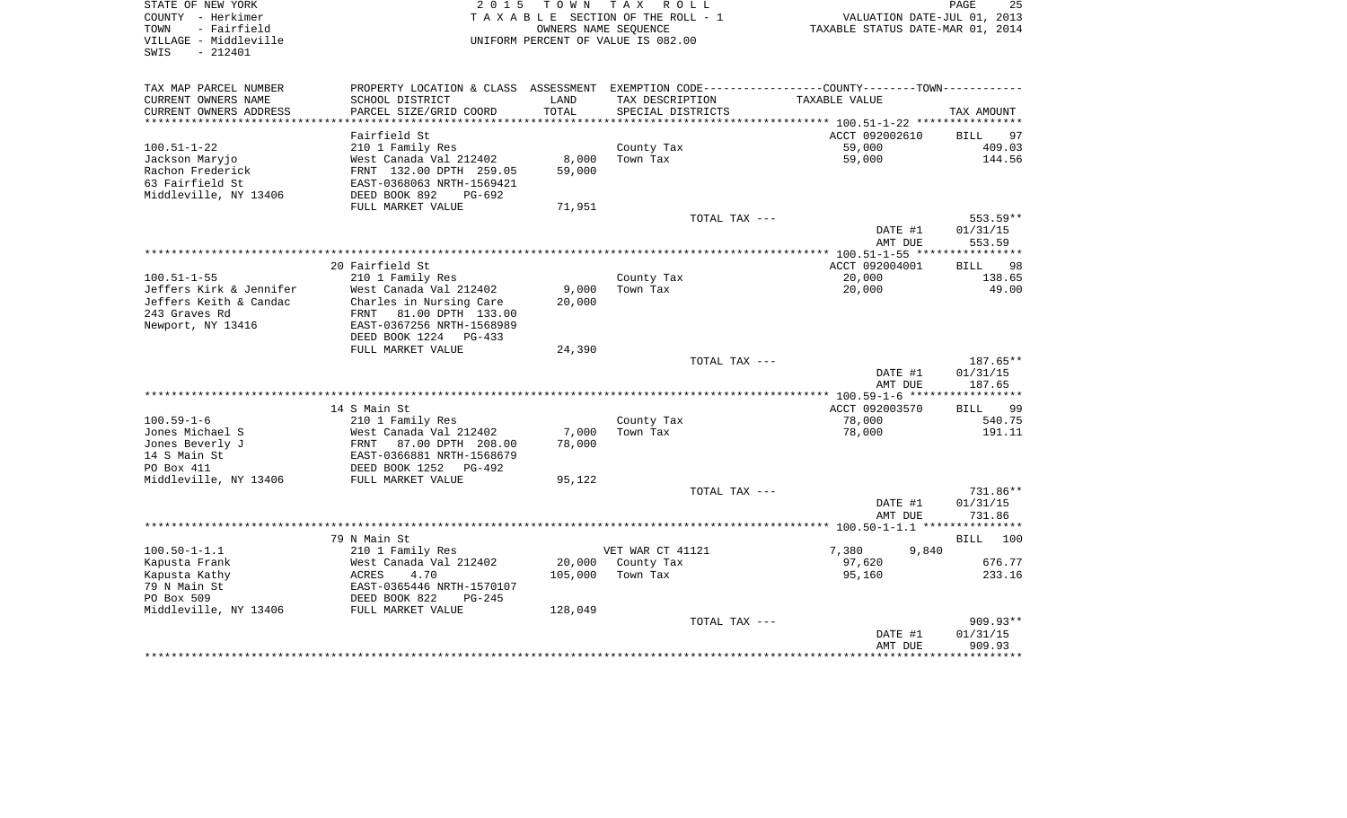| STATE OF NEW YORK<br>COUNTY - Herkimer<br>TOWN<br>- Fairfield<br>VILLAGE - Middleville<br>$-212401$<br>SWIS | 2 0 1 5                   |         | TOWN TAX ROLL<br>TAXABLE SECTION OF THE ROLL - 1<br>OWNERS NAME SEQUENCE<br>UNIFORM PERCENT OF VALUE IS 082.00 | VALUATION DATE-JUL 01, 2013<br>TAXABLE STATUS DATE-MAR 01, 2014                               | PAGE<br>25         |
|-------------------------------------------------------------------------------------------------------------|---------------------------|---------|----------------------------------------------------------------------------------------------------------------|-----------------------------------------------------------------------------------------------|--------------------|
| TAX MAP PARCEL NUMBER                                                                                       |                           |         |                                                                                                                | PROPERTY LOCATION & CLASS ASSESSMENT EXEMPTION CODE---------------COUNTY-------TOWN---------- |                    |
| CURRENT OWNERS NAME                                                                                         | SCHOOL DISTRICT           | LAND    | TAX DESCRIPTION                                                                                                | TAXABLE VALUE                                                                                 |                    |
| CURRENT OWNERS ADDRESS                                                                                      | PARCEL SIZE/GRID COORD    | TOTAL   | SPECIAL DISTRICTS                                                                                              |                                                                                               | TAX AMOUNT         |
| ***********************                                                                                     |                           |         |                                                                                                                |                                                                                               |                    |
|                                                                                                             | Fairfield St              |         |                                                                                                                | ACCT 092002610                                                                                | BILL<br>97         |
| $100.51 - 1 - 22$                                                                                           | 210 1 Family Res          |         | County Tax                                                                                                     | 59,000                                                                                        | 409.03             |
| Jackson Maryjo                                                                                              | West Canada Val 212402    | 8,000   | Town Tax                                                                                                       | 59,000                                                                                        | 144.56             |
| Rachon Frederick                                                                                            | FRNT 132.00 DPTH 259.05   | 59,000  |                                                                                                                |                                                                                               |                    |
| 63 Fairfield St                                                                                             | EAST-0368063 NRTH-1569421 |         |                                                                                                                |                                                                                               |                    |
| Middleville, NY 13406                                                                                       | DEED BOOK 892<br>PG-692   |         |                                                                                                                |                                                                                               |                    |
|                                                                                                             | FULL MARKET VALUE         | 71,951  |                                                                                                                |                                                                                               |                    |
|                                                                                                             |                           |         | TOTAL TAX ---                                                                                                  |                                                                                               | 553.59**           |
|                                                                                                             |                           |         |                                                                                                                | DATE #1                                                                                       | 01/31/15           |
|                                                                                                             |                           |         |                                                                                                                | AMT DUE                                                                                       | 553.59             |
|                                                                                                             |                           |         |                                                                                                                |                                                                                               |                    |
|                                                                                                             | 20 Fairfield St           |         |                                                                                                                | ACCT 092004001                                                                                | BILL<br>98         |
| $100.51 - 1 - 55$                                                                                           | 210 1 Family Res          |         | County Tax                                                                                                     | 20,000                                                                                        | 138.65             |
| Jeffers Kirk & Jennifer                                                                                     | West Canada Val 212402    | 9,000   | Town Tax                                                                                                       | 20,000                                                                                        | 49.00              |
| Jeffers Keith & Candac                                                                                      | Charles in Nursing Care   | 20,000  |                                                                                                                |                                                                                               |                    |
| 243 Graves Rd                                                                                               | FRNT 81.00 DPTH 133.00    |         |                                                                                                                |                                                                                               |                    |
| Newport, NY 13416                                                                                           | EAST-0367256 NRTH-1568989 |         |                                                                                                                |                                                                                               |                    |
|                                                                                                             | DEED BOOK 1224<br>PG-433  |         |                                                                                                                |                                                                                               |                    |
|                                                                                                             | FULL MARKET VALUE         | 24,390  |                                                                                                                |                                                                                               |                    |
|                                                                                                             |                           |         | TOTAL TAX ---                                                                                                  |                                                                                               | 187.65**           |
|                                                                                                             |                           |         |                                                                                                                | DATE #1<br>AMT DUE                                                                            | 01/31/15<br>187.65 |
|                                                                                                             |                           |         |                                                                                                                |                                                                                               |                    |
|                                                                                                             | 14 S Main St              |         |                                                                                                                | ACCT 092003570                                                                                | BILL<br>99         |
| $100.59 - 1 - 6$                                                                                            | 210 1 Family Res          |         | County Tax                                                                                                     | 78,000                                                                                        | 540.75             |
| Jones Michael S                                                                                             | West Canada Val 212402    | 7,000   | Town Tax                                                                                                       | 78,000                                                                                        | 191.11             |
| Jones Beverly J                                                                                             | FRNT 87.00 DPTH 208.00    | 78,000  |                                                                                                                |                                                                                               |                    |
| 14 S Main St                                                                                                | EAST-0366881 NRTH-1568679 |         |                                                                                                                |                                                                                               |                    |
| PO Box 411                                                                                                  | DEED BOOK 1252 PG-492     |         |                                                                                                                |                                                                                               |                    |
| Middleville, NY 13406                                                                                       | FULL MARKET VALUE         | 95,122  |                                                                                                                |                                                                                               |                    |
|                                                                                                             |                           |         | TOTAL TAX ---                                                                                                  |                                                                                               | 731.86**           |
|                                                                                                             |                           |         |                                                                                                                | DATE #1                                                                                       | 01/31/15           |
|                                                                                                             |                           |         |                                                                                                                | AMT DUE                                                                                       | 731.86             |
|                                                                                                             |                           |         |                                                                                                                |                                                                                               |                    |
|                                                                                                             | 79 N Main St              |         |                                                                                                                |                                                                                               | 100<br><b>BILL</b> |
| $100.50 - 1 - 1.1$                                                                                          | 210 1 Family Res          |         | VET WAR CT 41121                                                                                               | 7,380<br>9,840                                                                                |                    |
| Kapusta Frank                                                                                               | West Canada Val 212402    | 20,000  | County Tax                                                                                                     | 97,620                                                                                        | 676.77             |
| Kapusta Kathy                                                                                               | ACRES<br>4.70             | 105,000 | Town Tax                                                                                                       | 95,160                                                                                        | 233.16             |
| 79 N Main St                                                                                                | EAST-0365446 NRTH-1570107 |         |                                                                                                                |                                                                                               |                    |
| PO Box 509                                                                                                  | DEED BOOK 822<br>$PG-245$ |         |                                                                                                                |                                                                                               |                    |
| Middleville, NY 13406                                                                                       | FULL MARKET VALUE         | 128,049 |                                                                                                                |                                                                                               |                    |
|                                                                                                             |                           |         | TOTAL TAX ---                                                                                                  |                                                                                               | 909.93**           |
|                                                                                                             |                           |         |                                                                                                                | DATE #1                                                                                       | 01/31/15           |
|                                                                                                             |                           |         |                                                                                                                | AMT DUE                                                                                       | 909.93             |
|                                                                                                             |                           |         |                                                                                                                |                                                                                               |                    |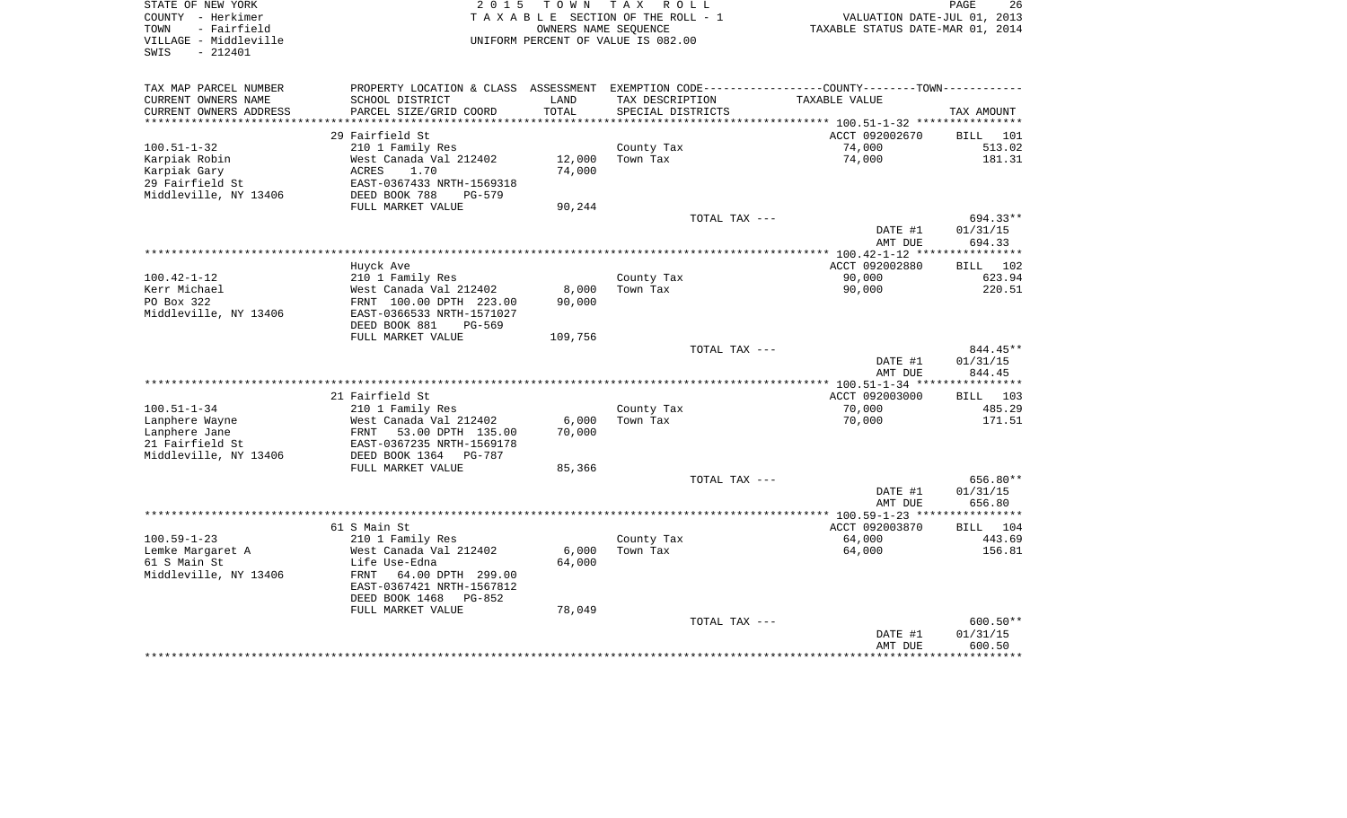| STATE OF NEW YORK<br>COUNTY - Herkimer<br>- Fairfield<br>TOWN<br>VILLAGE - Middleville<br>$-212401$<br>SWIS | 2 0 1 5                                              | T O W N          | T A X<br>R O L L<br>TAXABLE SECTION OF THE ROLL - 1<br>OWNERS NAME SEQUENCE<br>UNIFORM PERCENT OF VALUE IS 082.00 | VALUATION DATE-JUL 01, 2013<br>TAXABLE STATUS DATE-MAR 01, 2014                               | PAGE<br>26         |
|-------------------------------------------------------------------------------------------------------------|------------------------------------------------------|------------------|-------------------------------------------------------------------------------------------------------------------|-----------------------------------------------------------------------------------------------|--------------------|
| TAX MAP PARCEL NUMBER                                                                                       |                                                      |                  |                                                                                                                   | PROPERTY LOCATION & CLASS ASSESSMENT EXEMPTION CODE---------------COUNTY-------TOWN---------- |                    |
| CURRENT OWNERS NAME                                                                                         | SCHOOL DISTRICT                                      | LAND             | TAX DESCRIPTION                                                                                                   | TAXABLE VALUE                                                                                 |                    |
| CURRENT OWNERS ADDRESS                                                                                      | PARCEL SIZE/GRID COORD                               | TOTAL            | SPECIAL DISTRICTS                                                                                                 |                                                                                               | TAX AMOUNT         |
|                                                                                                             |                                                      |                  |                                                                                                                   |                                                                                               |                    |
|                                                                                                             | 29 Fairfield St                                      |                  |                                                                                                                   | ACCT 092002670                                                                                | BILL 101           |
| $100.51 - 1 - 32$                                                                                           | 210 1 Family Res                                     |                  | County Tax<br>Town Tax                                                                                            | 74,000                                                                                        | 513.02             |
| Karpiak Robin<br>Karpiak Gary                                                                               | West Canada Val 212402<br>ACRES<br>1.70              | 12,000<br>74,000 |                                                                                                                   | 74,000                                                                                        | 181.31             |
| 29 Fairfield St                                                                                             | EAST-0367433 NRTH-1569318                            |                  |                                                                                                                   |                                                                                               |                    |
| Middleville, NY 13406                                                                                       | DEED BOOK 788<br>$PG-579$                            |                  |                                                                                                                   |                                                                                               |                    |
|                                                                                                             | FULL MARKET VALUE                                    | 90,244           |                                                                                                                   |                                                                                               |                    |
|                                                                                                             |                                                      |                  | TOTAL TAX ---                                                                                                     |                                                                                               | 694.33**           |
|                                                                                                             |                                                      |                  |                                                                                                                   | DATE #1                                                                                       | 01/31/15           |
|                                                                                                             |                                                      |                  |                                                                                                                   | AMT DUE                                                                                       | 694.33             |
|                                                                                                             |                                                      |                  |                                                                                                                   |                                                                                               |                    |
|                                                                                                             | Huyck Ave                                            |                  |                                                                                                                   | ACCT 092002880                                                                                | <b>BILL</b><br>102 |
| $100.42 - 1 - 12$                                                                                           | 210 1 Family Res                                     |                  | County Tax                                                                                                        | 90,000                                                                                        | 623.94             |
| Kerr Michael<br>PO Box 322                                                                                  | West Canada Val 212402                               | 8,000<br>90,000  | Town Tax                                                                                                          | 90,000                                                                                        | 220.51             |
| Middleville, NY 13406                                                                                       | FRNT 100.00 DPTH 223.00<br>EAST-0366533 NRTH-1571027 |                  |                                                                                                                   |                                                                                               |                    |
|                                                                                                             | DEED BOOK 881<br>$PG-569$                            |                  |                                                                                                                   |                                                                                               |                    |
|                                                                                                             | FULL MARKET VALUE                                    | 109,756          |                                                                                                                   |                                                                                               |                    |
|                                                                                                             |                                                      |                  | TOTAL TAX ---                                                                                                     |                                                                                               | 844.45**           |
|                                                                                                             |                                                      |                  |                                                                                                                   | DATE #1                                                                                       | 01/31/15           |
|                                                                                                             |                                                      |                  |                                                                                                                   | AMT DUE                                                                                       | 844.45             |
|                                                                                                             |                                                      |                  |                                                                                                                   |                                                                                               | * * * * * * * * *  |
|                                                                                                             | 21 Fairfield St                                      |                  |                                                                                                                   | ACCT 092003000                                                                                | 103<br><b>BILL</b> |
| $100.51 - 1 - 34$<br>Lanphere Wayne                                                                         | 210 1 Family Res<br>West Canada Val 212402           | 6,000            | County Tax<br>Town Tax                                                                                            | 70,000<br>70,000                                                                              | 485.29<br>171.51   |
| Lanphere Jane                                                                                               | 53.00 DPTH 135.00<br>FRNT                            | 70,000           |                                                                                                                   |                                                                                               |                    |
| 21 Fairfield St                                                                                             | EAST-0367235 NRTH-1569178                            |                  |                                                                                                                   |                                                                                               |                    |
| Middleville, NY 13406                                                                                       | DEED BOOK 1364<br>PG-787                             |                  |                                                                                                                   |                                                                                               |                    |
|                                                                                                             | FULL MARKET VALUE                                    | 85,366           |                                                                                                                   |                                                                                               |                    |
|                                                                                                             |                                                      |                  | TOTAL TAX ---                                                                                                     |                                                                                               | 656.80**           |
|                                                                                                             |                                                      |                  |                                                                                                                   | DATE #1                                                                                       | 01/31/15           |
|                                                                                                             |                                                      |                  |                                                                                                                   | AMT DUE                                                                                       | 656.80             |
|                                                                                                             |                                                      |                  |                                                                                                                   |                                                                                               |                    |
|                                                                                                             | 61 S Main St                                         |                  |                                                                                                                   | ACCT 092003870                                                                                | BILL 104           |
| $100.59 - 1 - 23$                                                                                           | 210 1 Family Res<br>West Canada Val 212402           | 6,000            | County Tax<br>Town Tax                                                                                            | 64,000<br>64,000                                                                              | 443.69<br>156.81   |
| Lemke Margaret A<br>61 S Main St                                                                            | Life Use-Edna                                        | 64,000           |                                                                                                                   |                                                                                               |                    |
| Middleville, NY 13406                                                                                       | 64.00 DPTH 299.00<br>FRNT                            |                  |                                                                                                                   |                                                                                               |                    |
|                                                                                                             | EAST-0367421 NRTH-1567812                            |                  |                                                                                                                   |                                                                                               |                    |
|                                                                                                             | DEED BOOK 1468<br>$PG-852$                           |                  |                                                                                                                   |                                                                                               |                    |
|                                                                                                             | FULL MARKET VALUE                                    | 78,049           |                                                                                                                   |                                                                                               |                    |
|                                                                                                             |                                                      |                  | TOTAL TAX ---                                                                                                     |                                                                                               | 600.50**           |
|                                                                                                             |                                                      |                  |                                                                                                                   | DATE #1                                                                                       | 01/31/15           |
|                                                                                                             |                                                      |                  |                                                                                                                   | AMT DUE<br>********************************                                                   | 600.50             |
|                                                                                                             |                                                      |                  |                                                                                                                   |                                                                                               |                    |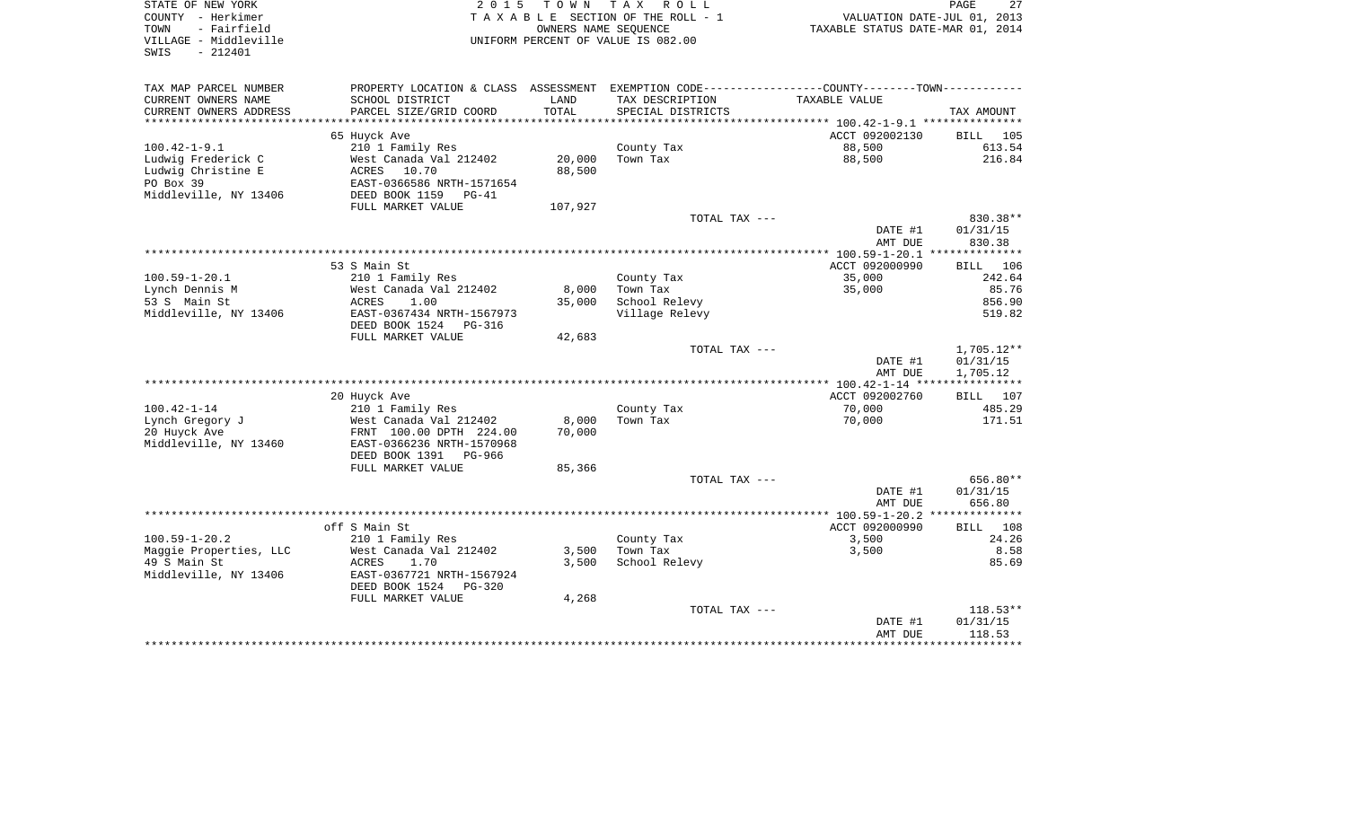| STATE OF NEW YORK<br>COUNTY - Herkimer<br>- Fairfield<br>TOWN<br>VILLAGE - Middleville<br>SWIS<br>$-212401$ | 2 0 1 5                                                                                       | T O W N<br>OWNERS NAME SEQUENCE | TAX ROLL<br>TAXABLE SECTION OF THE ROLL - 1<br>UNIFORM PERCENT OF VALUE IS 082.00 | VALUATION DATE-JUL 01, 2013<br>TAXABLE STATUS DATE-MAR 01, 2014 | 27<br>PAGE                   |
|-------------------------------------------------------------------------------------------------------------|-----------------------------------------------------------------------------------------------|---------------------------------|-----------------------------------------------------------------------------------|-----------------------------------------------------------------|------------------------------|
| TAX MAP PARCEL NUMBER                                                                                       | PROPERTY LOCATION & CLASS ASSESSMENT EXEMPTION CODE---------------COUNTY-------TOWN---------- |                                 |                                                                                   |                                                                 |                              |
| CURRENT OWNERS NAME                                                                                         | SCHOOL DISTRICT                                                                               | LAND                            | TAX DESCRIPTION                                                                   | TAXABLE VALUE                                                   |                              |
| CURRENT OWNERS ADDRESS                                                                                      | PARCEL SIZE/GRID COORD                                                                        | TOTAL                           | SPECIAL DISTRICTS                                                                 |                                                                 | TAX AMOUNT                   |
|                                                                                                             |                                                                                               |                                 |                                                                                   |                                                                 |                              |
| $100.42 - 1 - 9.1$                                                                                          | 65 Huyck Ave                                                                                  |                                 |                                                                                   | ACCT 092002130<br>88,500                                        | <b>BILL</b> 105<br>613.54    |
| Ludwig Frederick C                                                                                          | 210 1 Family Res<br>West Canada Val 212402                                                    | 20,000                          | County Tax<br>Town Tax                                                            | 88,500                                                          | 216.84                       |
| Ludwig Christine E                                                                                          | 10.70<br>ACRES                                                                                | 88,500                          |                                                                                   |                                                                 |                              |
| PO Box 39                                                                                                   | EAST-0366586 NRTH-1571654                                                                     |                                 |                                                                                   |                                                                 |                              |
| Middleville, NY 13406                                                                                       | DEED BOOK 1159<br>$PG-41$                                                                     |                                 |                                                                                   |                                                                 |                              |
|                                                                                                             | FULL MARKET VALUE                                                                             | 107,927                         |                                                                                   |                                                                 |                              |
|                                                                                                             |                                                                                               |                                 | TOTAL TAX ---                                                                     |                                                                 | 830.38**                     |
|                                                                                                             |                                                                                               |                                 |                                                                                   | DATE #1                                                         | 01/31/15                     |
|                                                                                                             |                                                                                               |                                 |                                                                                   | AMT DUE                                                         | 830.38                       |
|                                                                                                             |                                                                                               |                                 |                                                                                   |                                                                 |                              |
| $100.59 - 1 - 20.1$                                                                                         | 53 S Main St                                                                                  |                                 |                                                                                   | ACCT 092000990<br>35,000                                        | <b>BILL</b><br>106<br>242.64 |
| Lynch Dennis M                                                                                              | 210 1 Family Res<br>West Canada Val 212402                                                    | 8,000                           | County Tax<br>Town Tax                                                            | 35,000                                                          | 85.76                        |
| 53 S Main St                                                                                                | ACRES<br>1.00                                                                                 | 35,000                          | School Relevy                                                                     |                                                                 | 856.90                       |
| Middleville, NY 13406                                                                                       | EAST-0367434 NRTH-1567973                                                                     |                                 | Village Relevy                                                                    |                                                                 | 519.82                       |
|                                                                                                             | DEED BOOK 1524<br>PG-316                                                                      |                                 |                                                                                   |                                                                 |                              |
|                                                                                                             | FULL MARKET VALUE                                                                             | 42,683                          |                                                                                   |                                                                 |                              |
|                                                                                                             |                                                                                               |                                 | TOTAL TAX ---                                                                     |                                                                 | 1,705.12**                   |
|                                                                                                             |                                                                                               |                                 |                                                                                   | DATE #1                                                         | 01/31/15                     |
|                                                                                                             |                                                                                               |                                 |                                                                                   | AMT DUE                                                         | 1,705.12                     |
|                                                                                                             |                                                                                               |                                 |                                                                                   |                                                                 |                              |
| $100.42 - 1 - 14$                                                                                           | 20 Huyck Ave<br>210 1 Family Res                                                              |                                 | County Tax                                                                        | ACCT 092002760<br>70,000                                        | BILL 107<br>485.29           |
| Lynch Gregory J                                                                                             | West Canada Val 212402                                                                        | 8,000                           | Town Tax                                                                          | 70,000                                                          | 171.51                       |
| 20 Huyck Ave                                                                                                | FRNT 100.00 DPTH 224.00                                                                       | 70,000                          |                                                                                   |                                                                 |                              |
| Middleville, NY 13460                                                                                       | EAST-0366236 NRTH-1570968                                                                     |                                 |                                                                                   |                                                                 |                              |
|                                                                                                             | DEED BOOK 1391 PG-966                                                                         |                                 |                                                                                   |                                                                 |                              |
|                                                                                                             | FULL MARKET VALUE                                                                             | 85,366                          |                                                                                   |                                                                 |                              |
|                                                                                                             |                                                                                               |                                 | TOTAL TAX ---                                                                     |                                                                 | 656.80**                     |
|                                                                                                             |                                                                                               |                                 |                                                                                   | DATE #1                                                         | 01/31/15                     |
|                                                                                                             |                                                                                               |                                 |                                                                                   | AMT DUE                                                         | 656.80                       |
|                                                                                                             |                                                                                               |                                 |                                                                                   |                                                                 |                              |
| $100.59 - 1 - 20.2$                                                                                         | off S Main St                                                                                 |                                 | County Tax                                                                        | ACCT 092000990<br>3,500                                         | <b>BILL</b><br>108<br>24.26  |
| Maggie Properties, LLC                                                                                      | 210 1 Family Res<br>West Canada Val 212402                                                    | 3,500                           | Town Tax                                                                          | 3,500                                                           | 8.58                         |
| 49 S Main St                                                                                                | ACRES<br>1.70                                                                                 | 3,500                           | School Relevy                                                                     |                                                                 | 85.69                        |
| Middleville, NY 13406                                                                                       | EAST-0367721 NRTH-1567924                                                                     |                                 |                                                                                   |                                                                 |                              |
|                                                                                                             | DEED BOOK 1524<br>PG-320                                                                      |                                 |                                                                                   |                                                                 |                              |
|                                                                                                             | FULL MARKET VALUE                                                                             | 4,268                           |                                                                                   |                                                                 |                              |
|                                                                                                             |                                                                                               |                                 | TOTAL TAX ---                                                                     |                                                                 | $118.53**$                   |
|                                                                                                             |                                                                                               |                                 |                                                                                   | DATE #1                                                         | 01/31/15                     |
|                                                                                                             |                                                                                               |                                 |                                                                                   | AMT DUE                                                         | 118.53                       |
|                                                                                                             |                                                                                               |                                 |                                                                                   |                                                                 |                              |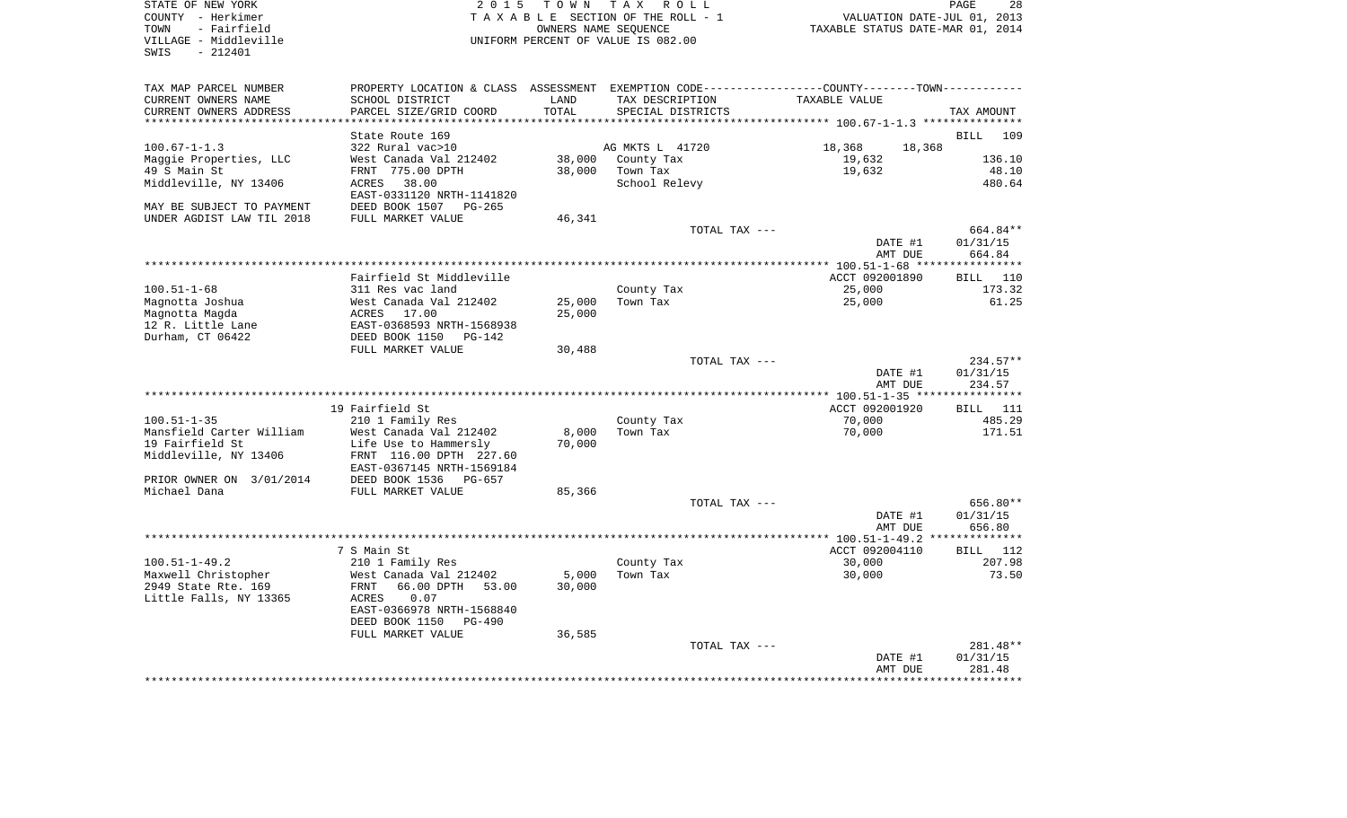| STATE OF NEW YORK<br>COUNTY - Herkimer<br>- Fairfield<br>TOWN<br>VILLAGE - Middleville<br>$-212401$<br>SWIS | 2 0 1 5                                                                                          | T O W N          | TAX ROLL<br>TAXABLE SECTION OF THE ROLL - 1<br>OWNERS NAME SEQUENCE<br>UNIFORM PERCENT OF VALUE IS 082.00 | VALUATION DATE-JUL 01, 2013<br>TAXABLE STATUS DATE-MAR 01, 2014 | PAGE<br>28                       |
|-------------------------------------------------------------------------------------------------------------|--------------------------------------------------------------------------------------------------|------------------|-----------------------------------------------------------------------------------------------------------|-----------------------------------------------------------------|----------------------------------|
| TAX MAP PARCEL NUMBER                                                                                       | PROPERTY LOCATION & CLASS ASSESSMENT EXEMPTION CODE----------------COUNTY--------TOWN----------- |                  |                                                                                                           |                                                                 |                                  |
| CURRENT OWNERS NAME<br>CURRENT OWNERS ADDRESS<br>***********************                                    | SCHOOL DISTRICT<br>PARCEL SIZE/GRID COORD                                                        | LAND<br>TOTAL    | TAX DESCRIPTION<br>SPECIAL DISTRICTS                                                                      | TAXABLE VALUE                                                   | TAX AMOUNT                       |
|                                                                                                             | State Route 169                                                                                  |                  |                                                                                                           |                                                                 | <b>BILL</b><br>109               |
| $100.67 - 1 - 1.3$                                                                                          | 322 Rural vac>10                                                                                 |                  | AG MKTS L 41720                                                                                           | 18,368<br>18,368                                                |                                  |
| Maggie Properties, LLC                                                                                      | West Canada Val 212402                                                                           | 38,000           | County Tax                                                                                                | 19,632                                                          | 136.10                           |
| 49 S Main St                                                                                                | FRNT 775.00 DPTH                                                                                 | 38,000           | Town Tax                                                                                                  | 19,632                                                          | 48.10                            |
| Middleville, NY 13406                                                                                       | ACRES 38.00<br>EAST-0331120 NRTH-1141820                                                         |                  | School Relevy                                                                                             |                                                                 | 480.64                           |
| MAY BE SUBJECT TO PAYMENT<br>UNDER AGDIST LAW TIL 2018                                                      | DEED BOOK 1507<br>$PG-265$<br>FULL MARKET VALUE                                                  | 46,341           |                                                                                                           |                                                                 |                                  |
|                                                                                                             |                                                                                                  |                  | TOTAL TAX ---                                                                                             |                                                                 | 664.84**                         |
|                                                                                                             |                                                                                                  |                  |                                                                                                           | DATE #1<br>AMT DUE                                              | 01/31/15<br>664.84               |
|                                                                                                             |                                                                                                  |                  |                                                                                                           |                                                                 |                                  |
|                                                                                                             | Fairfield St Middleville                                                                         |                  |                                                                                                           | ACCT 092001890                                                  | BILL 110                         |
| $100.51 - 1 - 68$                                                                                           | 311 Res vac land                                                                                 |                  | County Tax<br>Town Tax                                                                                    | 25,000                                                          | 173.32<br>61.25                  |
| Magnotta Joshua<br>Magnotta Magda                                                                           | West Canada Val 212402<br>ACRES 17.00                                                            | 25,000<br>25,000 |                                                                                                           | 25,000                                                          |                                  |
| 12 R. Little Lane                                                                                           | EAST-0368593 NRTH-1568938                                                                        |                  |                                                                                                           |                                                                 |                                  |
| Durham, CT 06422                                                                                            | DEED BOOK 1150 PG-142                                                                            |                  |                                                                                                           |                                                                 |                                  |
|                                                                                                             | FULL MARKET VALUE                                                                                | 30,488           |                                                                                                           |                                                                 |                                  |
|                                                                                                             |                                                                                                  |                  | TOTAL TAX ---                                                                                             |                                                                 | $234.57**$                       |
|                                                                                                             | ************************************                                                             |                  |                                                                                                           | DATE #1<br>AMT DUE                                              | 01/31/15<br>234.57<br>********** |
|                                                                                                             | 19 Fairfield St                                                                                  |                  |                                                                                                           | ******** 100.51-1-35 ****<br>ACCT 092001920                     | <b>BILL</b> 111                  |
| $100.51 - 1 - 35$                                                                                           | 210 1 Family Res                                                                                 |                  | County Tax                                                                                                | 70,000                                                          | 485.29                           |
| Mansfield Carter William                                                                                    | West Canada Val 212402                                                                           | 8,000            | Town Tax                                                                                                  | 70,000                                                          | 171.51                           |
| 19 Fairfield St                                                                                             | Life Use to Hammersly                                                                            | 70,000           |                                                                                                           |                                                                 |                                  |
| Middleville, NY 13406                                                                                       | FRNT 116.00 DPTH 227.60                                                                          |                  |                                                                                                           |                                                                 |                                  |
|                                                                                                             | EAST-0367145 NRTH-1569184<br>DEED BOOK 1536 PG-657                                               |                  |                                                                                                           |                                                                 |                                  |
| PRIOR OWNER ON 3/01/2014<br>Michael Dana                                                                    | FULL MARKET VALUE                                                                                | 85,366           |                                                                                                           |                                                                 |                                  |
|                                                                                                             |                                                                                                  |                  | TOTAL TAX ---                                                                                             |                                                                 | 656.80**                         |
|                                                                                                             |                                                                                                  |                  |                                                                                                           | DATE #1                                                         | 01/31/15                         |
|                                                                                                             |                                                                                                  |                  |                                                                                                           | AMT DUE                                                         | 656.80                           |
|                                                                                                             |                                                                                                  |                  |                                                                                                           |                                                                 |                                  |
|                                                                                                             | 7 S Main St                                                                                      |                  |                                                                                                           | ACCT 092004110                                                  | BILL 112                         |
| $100.51 - 1 - 49.2$<br>Maxwell Christopher                                                                  | 210 1 Family Res<br>West Canada Val 212402                                                       | 5,000            | County Tax<br>Town Tax                                                                                    | 30,000<br>30,000                                                | 207.98<br>73.50                  |
| 2949 State Rte. 169                                                                                         | FRNT<br>66.00 DPTH 53.00                                                                         | 30,000           |                                                                                                           |                                                                 |                                  |
| Little Falls, NY 13365                                                                                      | 0.07<br>ACRES                                                                                    |                  |                                                                                                           |                                                                 |                                  |
|                                                                                                             | EAST-0366978 NRTH-1568840                                                                        |                  |                                                                                                           |                                                                 |                                  |
|                                                                                                             | DEED BOOK 1150<br>PG-490                                                                         |                  |                                                                                                           |                                                                 |                                  |
|                                                                                                             | FULL MARKET VALUE                                                                                | 36,585           | TOTAL TAX ---                                                                                             |                                                                 | 281.48**                         |
|                                                                                                             |                                                                                                  |                  |                                                                                                           | DATE #1                                                         | 01/31/15                         |
|                                                                                                             |                                                                                                  |                  |                                                                                                           | AMT DUE                                                         | 281.48                           |
|                                                                                                             |                                                                                                  |                  |                                                                                                           |                                                                 | *********                        |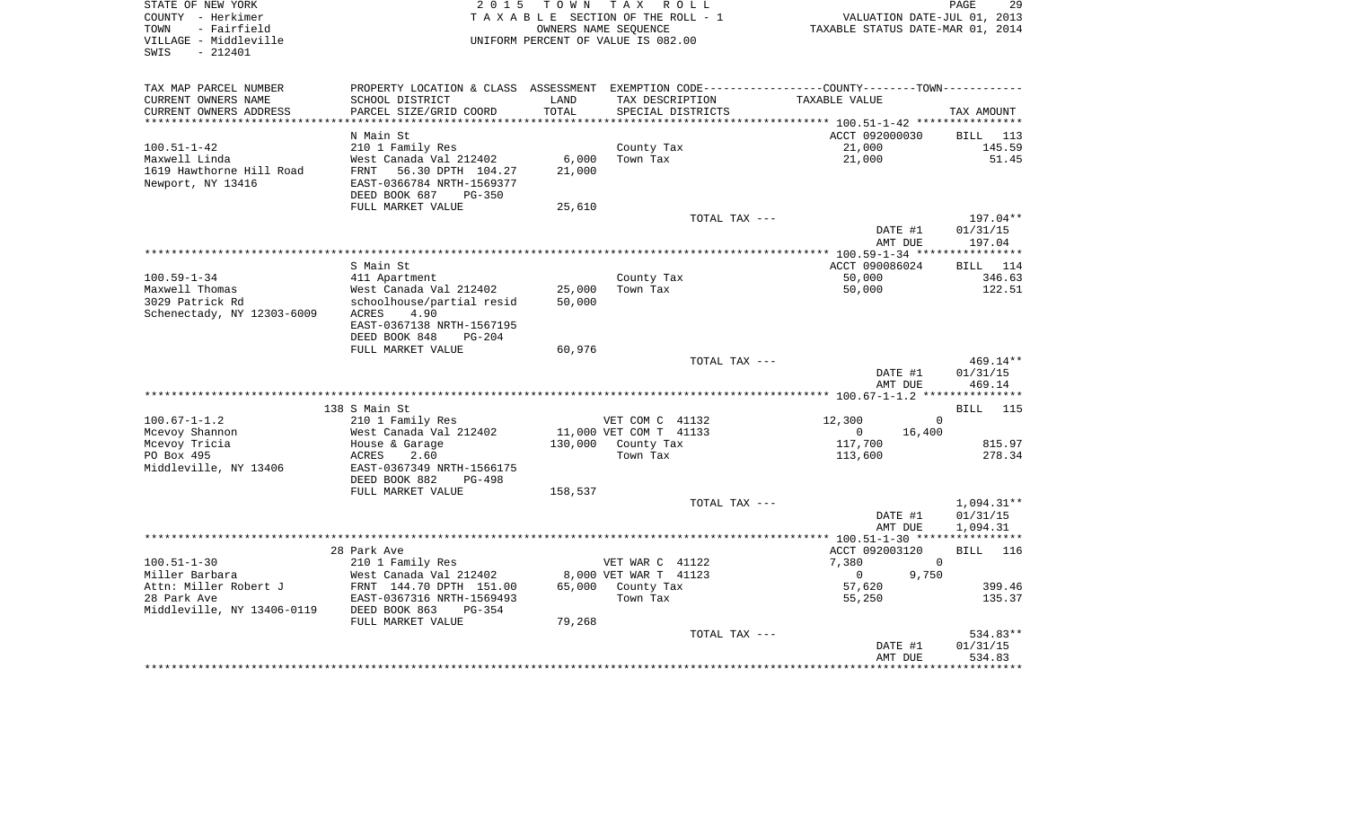| STATE OF NEW YORK<br>COUNTY - Herkimer<br>- Fairfield<br>TOWN<br>VILLAGE - Middleville<br>$-212401$<br>SWIS | 2 0 1 5                                                                             | T O W N       | T A X<br>R O L L<br>TAXABLE SECTION OF THE ROLL - 1<br>OWNERS NAME SEQUENCE<br>UNIFORM PERCENT OF VALUE IS 082.00 | VALUATION DATE-JUL 01, 2013<br>TAXABLE STATUS DATE-MAR 01, 2014 | 29<br>PAGE                   |
|-------------------------------------------------------------------------------------------------------------|-------------------------------------------------------------------------------------|---------------|-------------------------------------------------------------------------------------------------------------------|-----------------------------------------------------------------|------------------------------|
|                                                                                                             |                                                                                     |               |                                                                                                                   |                                                                 |                              |
| TAX MAP PARCEL NUMBER                                                                                       | PROPERTY LOCATION & CLASS                                                           | ASSESSMENT    |                                                                                                                   | EXEMPTION CODE----------------COUNTY-------TOWN----------       |                              |
| CURRENT OWNERS NAME<br>CURRENT OWNERS ADDRESS                                                               | SCHOOL DISTRICT<br>PARCEL SIZE/GRID COORD                                           | LAND<br>TOTAL | TAX DESCRIPTION<br>SPECIAL DISTRICTS                                                                              | TAXABLE VALUE                                                   | TAX AMOUNT                   |
| *************************                                                                                   |                                                                                     |               |                                                                                                                   |                                                                 |                              |
|                                                                                                             | N Main St                                                                           |               |                                                                                                                   | ACCT 092000030                                                  | BILL<br>113                  |
| $100.51 - 1 - 42$                                                                                           | 210 1 Family Res                                                                    |               | County Tax                                                                                                        | 21,000                                                          | 145.59                       |
| Maxwell Linda                                                                                               | West Canada Val 212402                                                              | 6,000         | Town Tax                                                                                                          | 21,000                                                          | 51.45                        |
| 1619 Hawthorne Hill Road<br>Newport, NY 13416                                                               | 56.30 DPTH 104.27<br>FRNT<br>EAST-0366784 NRTH-1569377<br>DEED BOOK 687<br>$PG-350$ | 21,000        |                                                                                                                   |                                                                 |                              |
|                                                                                                             | FULL MARKET VALUE                                                                   | 25,610        |                                                                                                                   |                                                                 |                              |
|                                                                                                             |                                                                                     |               | TOTAL TAX ---                                                                                                     |                                                                 | 197.04**                     |
|                                                                                                             |                                                                                     |               |                                                                                                                   | DATE #1                                                         | 01/31/15                     |
|                                                                                                             |                                                                                     |               |                                                                                                                   | AMT DUE                                                         | 197.04                       |
|                                                                                                             |                                                                                     |               |                                                                                                                   |                                                                 |                              |
| $100.59 - 1 - 34$                                                                                           | S Main St<br>411 Apartment                                                          |               |                                                                                                                   | ACCT 090086024<br>50,000                                        | 114<br><b>BILL</b><br>346.63 |
| Maxwell Thomas                                                                                              | West Canada Val 212402                                                              | 25,000        | County Tax<br>Town Tax                                                                                            | 50,000                                                          | 122.51                       |
| 3029 Patrick Rd                                                                                             | schoolhouse/partial resid                                                           | 50,000        |                                                                                                                   |                                                                 |                              |
| Schenectady, NY 12303-6009                                                                                  | ACRES<br>4.90                                                                       |               |                                                                                                                   |                                                                 |                              |
|                                                                                                             | EAST-0367138 NRTH-1567195                                                           |               |                                                                                                                   |                                                                 |                              |
|                                                                                                             | DEED BOOK 848<br>$PG-204$                                                           |               |                                                                                                                   |                                                                 |                              |
|                                                                                                             | FULL MARKET VALUE                                                                   | 60,976        |                                                                                                                   |                                                                 |                              |
|                                                                                                             |                                                                                     |               | TOTAL TAX ---                                                                                                     | DATE #1                                                         | 469.14**<br>01/31/15         |
|                                                                                                             |                                                                                     |               |                                                                                                                   | AMT DUE                                                         | 469.14                       |
|                                                                                                             |                                                                                     |               |                                                                                                                   |                                                                 |                              |
|                                                                                                             | 138 S Main St                                                                       |               |                                                                                                                   |                                                                 | <b>BILL</b><br>115           |
| $100.67 - 1 - 1.2$                                                                                          | 210 1 Family Res                                                                    |               | VET COM C 41132                                                                                                   | $\Omega$<br>12,300                                              |                              |
| Mcevoy Shannon                                                                                              | West Canada Val 212402                                                              |               | 11,000 VET COM T 41133                                                                                            | 0<br>16,400                                                     |                              |
| Mcevoy Tricia<br>PO Box 495                                                                                 | House & Garage<br>ACRES<br>2.60                                                     | 130,000       | County Tax<br>Town Tax                                                                                            | 117,700<br>113,600                                              | 815.97<br>278.34             |
| Middleville, NY 13406                                                                                       | EAST-0367349 NRTH-1566175                                                           |               |                                                                                                                   |                                                                 |                              |
|                                                                                                             | DEED BOOK 882<br>PG-498                                                             |               |                                                                                                                   |                                                                 |                              |
|                                                                                                             | FULL MARKET VALUE                                                                   | 158,537       |                                                                                                                   |                                                                 |                              |
|                                                                                                             |                                                                                     |               | TOTAL TAX ---                                                                                                     |                                                                 | 1,094.31**                   |
|                                                                                                             |                                                                                     |               |                                                                                                                   | DATE #1                                                         | 01/31/15                     |
|                                                                                                             |                                                                                     |               | *********************                                                                                             | AMT DUE<br>** $100.51 - 1 - 30$ **                              | 1,094.31                     |
|                                                                                                             | 28 Park Ave                                                                         |               |                                                                                                                   | ACCT 092003120                                                  | 116<br>BILL                  |
| $100.51 - 1 - 30$                                                                                           | 210 1 Family Res                                                                    |               | VET WAR C 41122                                                                                                   | 7,380<br>$\mathbf 0$                                            |                              |
| Miller Barbara                                                                                              | West Canada Val 212402                                                              |               | 8,000 VET WAR T 41123                                                                                             | 9,750<br>0                                                      |                              |
| Attn: Miller Robert J                                                                                       | FRNT 144.70 DPTH 151.00                                                             | 65,000        | County Tax                                                                                                        | 57,620                                                          | 399.46                       |
| 28 Park Ave<br>Middleville, NY 13406-0119                                                                   | EAST-0367316 NRTH-1569493<br>DEED BOOK 863<br>$PG-354$                              |               | Town Tax                                                                                                          | 55,250                                                          | 135.37                       |
|                                                                                                             | FULL MARKET VALUE                                                                   | 79,268        |                                                                                                                   |                                                                 |                              |
|                                                                                                             |                                                                                     |               | TOTAL TAX ---                                                                                                     |                                                                 | 534.83**                     |
|                                                                                                             |                                                                                     |               |                                                                                                                   | DATE #1                                                         | 01/31/15                     |
|                                                                                                             |                                                                                     |               |                                                                                                                   | AMT DUE                                                         | 534.83                       |
|                                                                                                             |                                                                                     |               |                                                                                                                   |                                                                 |                              |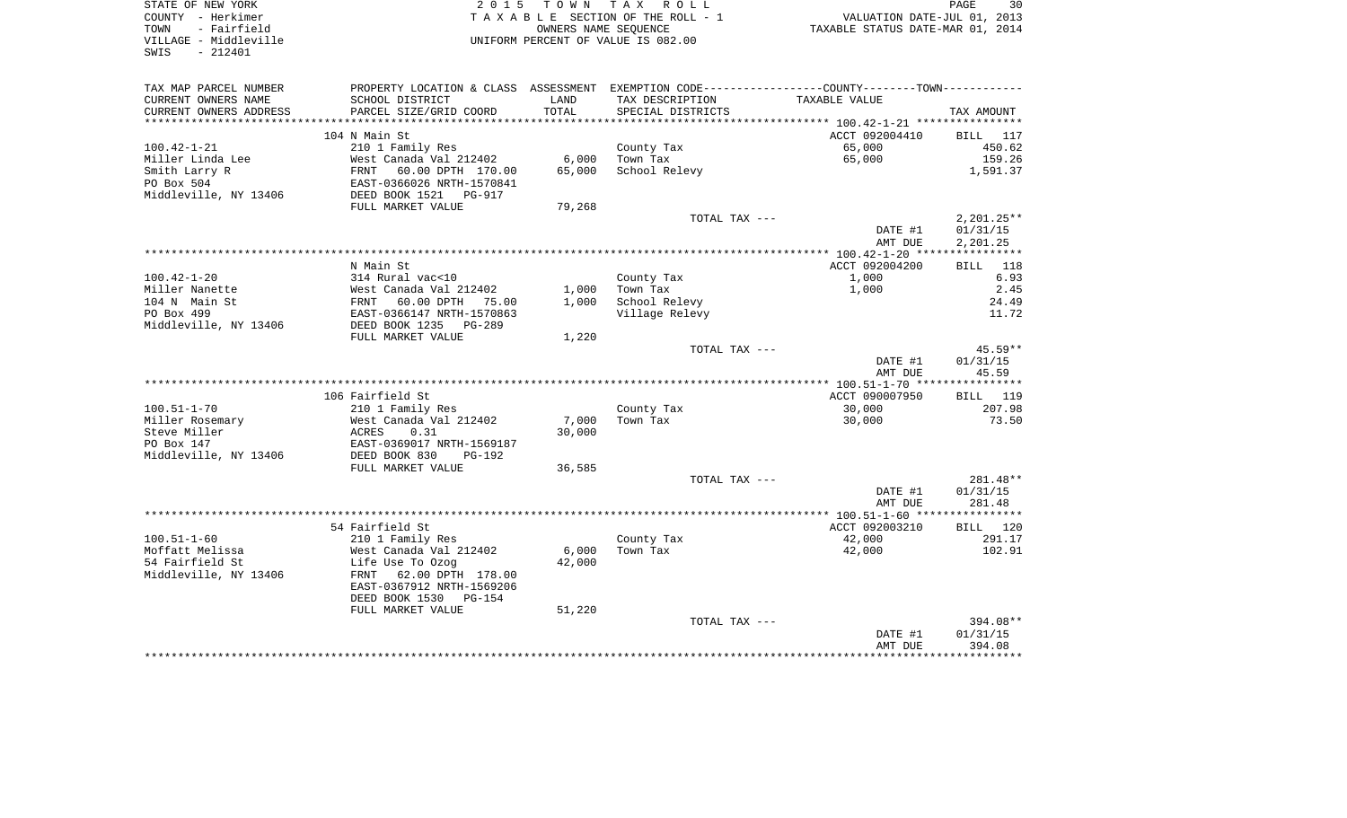| STATE OF NEW YORK<br>COUNTY - Herkimer<br>- Fairfield<br>TOWN<br>VILLAGE - Middleville<br>$-212401$<br>SWIS | 2 0 1 5                                                 |        | TOWN TAX ROLL<br>TAXABLE SECTION OF THE ROLL - 1<br>OWNERS NAME SEOUENCE<br>UNIFORM PERCENT OF VALUE IS 082.00 | VALUATION DATE-JUL 01, 2013<br>TAXABLE STATUS DATE-MAR 01, 2014                              | PAGE<br>30                |
|-------------------------------------------------------------------------------------------------------------|---------------------------------------------------------|--------|----------------------------------------------------------------------------------------------------------------|----------------------------------------------------------------------------------------------|---------------------------|
| TAX MAP PARCEL NUMBER                                                                                       |                                                         |        |                                                                                                                | PROPERTY LOCATION & CLASS ASSESSMENT EXEMPTION CODE---------------COUNTY-------TOWN--------- |                           |
| CURRENT OWNERS NAME                                                                                         | SCHOOL DISTRICT                                         | LAND   | TAX DESCRIPTION                                                                                                | TAXABLE VALUE                                                                                |                           |
| CURRENT OWNERS ADDRESS                                                                                      | PARCEL SIZE/GRID COORD                                  | TOTAL  | SPECIAL DISTRICTS                                                                                              |                                                                                              | TAX AMOUNT                |
|                                                                                                             |                                                         |        |                                                                                                                |                                                                                              |                           |
| $100.42 - 1 - 21$                                                                                           | 104 N Main St                                           |        |                                                                                                                | ACCT 092004410<br>65,000                                                                     | <b>BILL</b> 117<br>450.62 |
| Miller Linda Lee                                                                                            | 210 1 Family Res<br>West Canada Val 212402              | 6,000  | County Tax<br>Town Tax                                                                                         | 65,000                                                                                       | 159.26                    |
| Smith Larry R                                                                                               | 60.00 DPTH 170.00<br>FRNT                               | 65,000 | School Relevy                                                                                                  |                                                                                              | 1,591.37                  |
| PO Box 504                                                                                                  | EAST-0366026 NRTH-1570841                               |        |                                                                                                                |                                                                                              |                           |
| Middleville, NY 13406                                                                                       | DEED BOOK 1521 PG-917                                   |        |                                                                                                                |                                                                                              |                           |
|                                                                                                             | FULL MARKET VALUE                                       | 79,268 |                                                                                                                |                                                                                              |                           |
|                                                                                                             |                                                         |        | TOTAL TAX ---                                                                                                  |                                                                                              | $2,201.25**$              |
|                                                                                                             |                                                         |        |                                                                                                                | DATE #1                                                                                      | 01/31/15                  |
|                                                                                                             |                                                         |        |                                                                                                                | AMT DUE                                                                                      | 2,201.25                  |
|                                                                                                             | N Main St                                               |        |                                                                                                                | ACCT 092004200                                                                               | BILL 118                  |
| $100.42 - 1 - 20$                                                                                           | 314 Rural vac<10                                        |        | County Tax                                                                                                     | 1,000                                                                                        | 6.93                      |
| Miller Nanette                                                                                              | West Canada Val 212402                                  | 1,000  | Town Tax                                                                                                       | 1,000                                                                                        | 2.45                      |
| 104 N Main St                                                                                               | FRNT<br>60.00 DPTH<br>75.00                             | 1,000  | School Relevy                                                                                                  |                                                                                              | 24.49                     |
| PO Box 499                                                                                                  | EAST-0366147 NRTH-1570863                               |        | Village Relevy                                                                                                 |                                                                                              | 11.72                     |
| Middleville, NY 13406                                                                                       | DEED BOOK 1235 PG-289                                   |        |                                                                                                                |                                                                                              |                           |
|                                                                                                             | FULL MARKET VALUE                                       | 1,220  |                                                                                                                |                                                                                              |                           |
|                                                                                                             |                                                         |        | TOTAL TAX ---                                                                                                  |                                                                                              | $45.59**$                 |
|                                                                                                             |                                                         |        |                                                                                                                | DATE #1<br>AMT DUE                                                                           | 01/31/15<br>45.59         |
|                                                                                                             |                                                         |        |                                                                                                                |                                                                                              |                           |
|                                                                                                             | 106 Fairfield St                                        |        |                                                                                                                | ACCT 090007950                                                                               | <b>BILL</b> 119           |
| $100.51 - 1 - 70$                                                                                           | 210 1 Family Res                                        |        | County Tax                                                                                                     | 30,000                                                                                       | 207.98                    |
| Miller Rosemary                                                                                             | West Canada Val 212402                                  | 7,000  | Town Tax                                                                                                       | 30,000                                                                                       | 73.50                     |
| Steve Miller                                                                                                | ACRES<br>0.31                                           | 30,000 |                                                                                                                |                                                                                              |                           |
| PO Box 147                                                                                                  | EAST-0369017 NRTH-1569187                               |        |                                                                                                                |                                                                                              |                           |
| Middleville, NY 13406                                                                                       | DEED BOOK 830<br>$PG-192$                               |        |                                                                                                                |                                                                                              |                           |
|                                                                                                             | FULL MARKET VALUE                                       | 36,585 |                                                                                                                |                                                                                              |                           |
|                                                                                                             |                                                         |        | TOTAL TAX ---                                                                                                  | DATE #1                                                                                      | $281.48**$<br>01/31/15    |
|                                                                                                             |                                                         |        |                                                                                                                | AMT DUE                                                                                      | 281.48                    |
|                                                                                                             |                                                         |        |                                                                                                                |                                                                                              |                           |
|                                                                                                             | 54 Fairfield St                                         |        |                                                                                                                | ACCT 092003210                                                                               | BILL 120                  |
| $100.51 - 1 - 60$                                                                                           | 210 1 Family Res                                        |        | County Tax                                                                                                     | 42,000                                                                                       | 291.17                    |
| Moffatt Melissa                                                                                             | West Canada Val 212402                                  | 6,000  | Town Tax                                                                                                       | 42,000                                                                                       | 102.91                    |
| 54 Fairfield St                                                                                             | Life Use To Ozog                                        | 42,000 |                                                                                                                |                                                                                              |                           |
| Middleville, NY 13406                                                                                       | 62.00 DPTH 178.00<br>FRNT                               |        |                                                                                                                |                                                                                              |                           |
|                                                                                                             | EAST-0367912 NRTH-1569206<br>DEED BOOK 1530<br>$PG-154$ |        |                                                                                                                |                                                                                              |                           |
|                                                                                                             | FULL MARKET VALUE                                       | 51,220 |                                                                                                                |                                                                                              |                           |
|                                                                                                             |                                                         |        | TOTAL TAX ---                                                                                                  |                                                                                              | 394.08**                  |
|                                                                                                             |                                                         |        |                                                                                                                | DATE #1                                                                                      | 01/31/15                  |
|                                                                                                             |                                                         |        |                                                                                                                | AMT DUE                                                                                      | 394.08                    |
|                                                                                                             |                                                         |        |                                                                                                                | *************                                                                                | ***********               |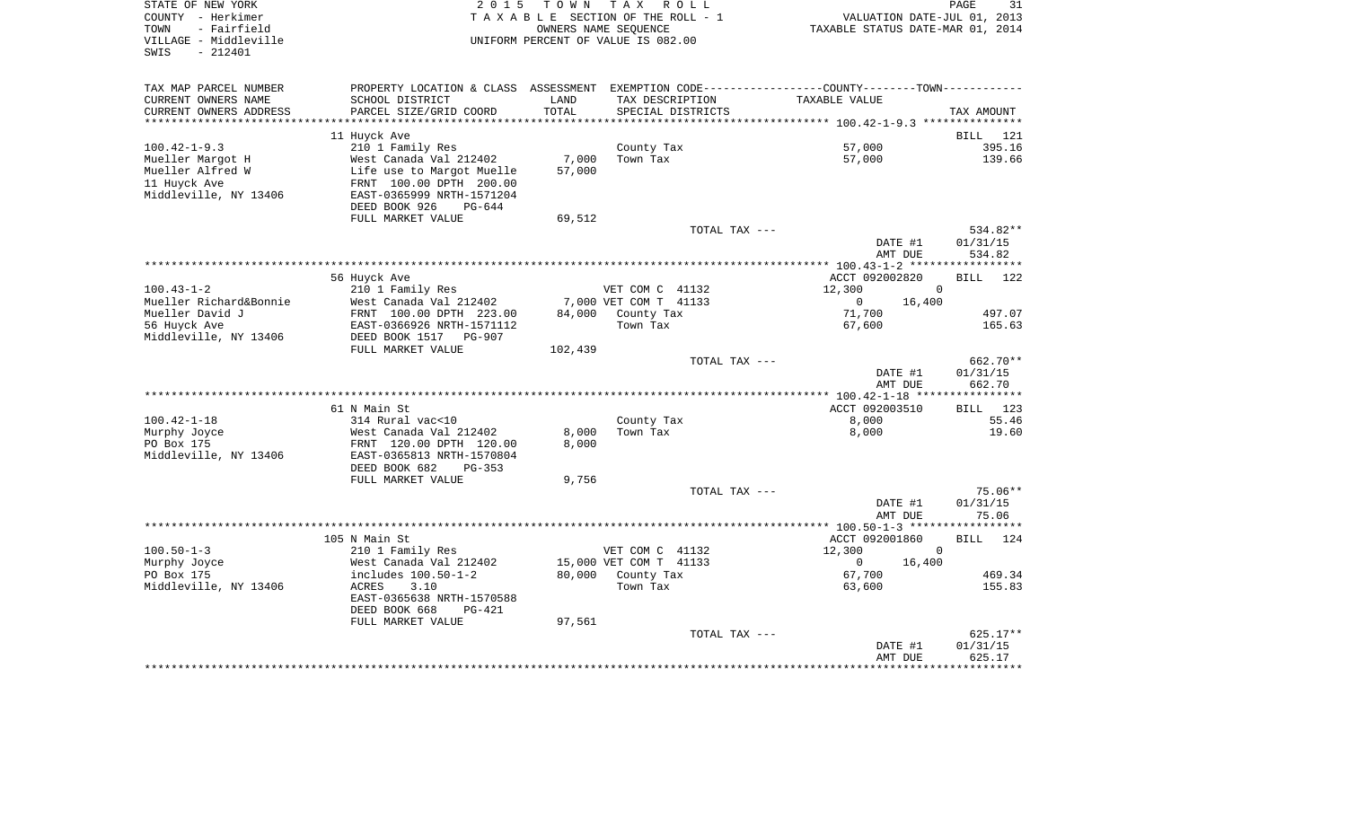| STATE OF NEW YORK<br>COUNTY - Herkimer<br>- Fairfield<br>TOWN<br>VILLAGE - Middleville<br>$-212401$<br>SWIS | 2 0 1 5                                                                                       | T O W N<br>TAXABLE SECTION OF THE ROLL - 1<br>UNIFORM PERCENT OF VALUE IS 082.00 | T A X<br>OWNERS NAME SEQUENCE | R O L L           | TAXABLE STATUS DATE-MAR 01, 2014 | PAGE<br>31<br>VALUATION DATE-JUL 01, 2013 |
|-------------------------------------------------------------------------------------------------------------|-----------------------------------------------------------------------------------------------|----------------------------------------------------------------------------------|-------------------------------|-------------------|----------------------------------|-------------------------------------------|
| TAX MAP PARCEL NUMBER                                                                                       | PROPERTY LOCATION & CLASS ASSESSMENT EXEMPTION CODE---------------COUNTY-------TOWN---------- |                                                                                  |                               |                   |                                  |                                           |
| CURRENT OWNERS NAME                                                                                         | SCHOOL DISTRICT                                                                               | LAND                                                                             | TAX DESCRIPTION               |                   | TAXABLE VALUE                    |                                           |
| CURRENT OWNERS ADDRESS                                                                                      | PARCEL SIZE/GRID COORD                                                                        | TOTAL                                                                            |                               | SPECIAL DISTRICTS |                                  | TAX AMOUNT                                |
|                                                                                                             |                                                                                               |                                                                                  |                               |                   |                                  |                                           |
|                                                                                                             | 11 Huyck Ave                                                                                  |                                                                                  |                               |                   |                                  | <b>BILL</b><br>121                        |
| $100.42 - 1 - 9.3$<br>Mueller Margot H                                                                      | 210 1 Family Res<br>West Canada Val 212402                                                    | 7,000                                                                            | County Tax<br>Town Tax        |                   | 57,000<br>57,000                 | 395.16<br>139.66                          |
| Mueller Alfred W                                                                                            | Life use to Margot Muelle                                                                     | 57,000                                                                           |                               |                   |                                  |                                           |
| 11 Huyck Ave                                                                                                | FRNT 100.00 DPTH 200.00                                                                       |                                                                                  |                               |                   |                                  |                                           |
| Middleville, NY 13406                                                                                       | EAST-0365999 NRTH-1571204                                                                     |                                                                                  |                               |                   |                                  |                                           |
|                                                                                                             | DEED BOOK 926<br>PG-644                                                                       |                                                                                  |                               |                   |                                  |                                           |
|                                                                                                             | FULL MARKET VALUE                                                                             | 69,512                                                                           |                               |                   |                                  |                                           |
|                                                                                                             |                                                                                               |                                                                                  |                               | TOTAL TAX ---     |                                  | 534.82**                                  |
|                                                                                                             |                                                                                               |                                                                                  |                               |                   | DATE #1<br>AMT DUE               | 01/31/15<br>534.82                        |
|                                                                                                             |                                                                                               |                                                                                  |                               |                   |                                  |                                           |
|                                                                                                             | 56 Huyck Ave                                                                                  |                                                                                  |                               |                   | ACCT 092002820                   | <b>BILL</b><br>122                        |
| $100.43 - 1 - 2$                                                                                            | 210 1 Family Res                                                                              |                                                                                  | VET COM C 41132               |                   | 12,300                           | $\Omega$                                  |
| Mueller Richard&Bonnie                                                                                      | West Canada Val 212402                                                                        |                                                                                  | 7,000 VET COM T 41133         |                   | $\mathbf{0}$<br>16,400           |                                           |
| Mueller David J                                                                                             | FRNT 100.00 DPTH 223.00                                                                       | 84,000                                                                           | County Tax                    |                   | 71,700                           | 497.07                                    |
| 56 Huyck Ave<br>Middleville, NY 13406                                                                       | EAST-0366926 NRTH-1571112<br>DEED BOOK 1517<br>PG-907                                         |                                                                                  | Town Tax                      |                   | 67,600                           | 165.63                                    |
|                                                                                                             | FULL MARKET VALUE                                                                             | 102,439                                                                          |                               |                   |                                  |                                           |
|                                                                                                             |                                                                                               |                                                                                  |                               | TOTAL TAX ---     |                                  | 662.70**                                  |
|                                                                                                             |                                                                                               |                                                                                  |                               |                   | DATE #1                          | 01/31/15                                  |
|                                                                                                             |                                                                                               |                                                                                  |                               |                   | AMT DUE                          | 662.70                                    |
|                                                                                                             |                                                                                               |                                                                                  |                               |                   |                                  |                                           |
| $100.42 - 1 - 18$                                                                                           | 61 N Main St<br>314 Rural vac<10                                                              |                                                                                  | County Tax                    |                   | ACCT 092003510<br>8,000          | 123<br>BILL<br>55.46                      |
| Murphy Joyce                                                                                                | West Canada Val 212402                                                                        | 8,000                                                                            | Town Tax                      |                   | 8,000                            | 19.60                                     |
| PO Box 175                                                                                                  | FRNT 120.00 DPTH 120.00                                                                       | 8,000                                                                            |                               |                   |                                  |                                           |
| Middleville, NY 13406                                                                                       | EAST-0365813 NRTH-1570804                                                                     |                                                                                  |                               |                   |                                  |                                           |
|                                                                                                             | DEED BOOK 682<br>$PG-353$                                                                     |                                                                                  |                               |                   |                                  |                                           |
|                                                                                                             | FULL MARKET VALUE                                                                             | 9,756                                                                            |                               |                   |                                  |                                           |
|                                                                                                             |                                                                                               |                                                                                  |                               | TOTAL TAX ---     |                                  | $75.06**$                                 |
|                                                                                                             |                                                                                               |                                                                                  |                               |                   | DATE #1<br>AMT DUE               | 01/31/15<br>75.06                         |
|                                                                                                             |                                                                                               |                                                                                  | ***********************       |                   | ****** 100.50-1-3 *****          |                                           |
|                                                                                                             | 105 N Main St                                                                                 |                                                                                  |                               |                   | ACCT 092001860                   | <b>BILL</b><br>124                        |
| $100.50 - 1 - 3$                                                                                            | 210 1 Family Res                                                                              |                                                                                  | VET COM C 41132               |                   | 12,300                           | $\Omega$                                  |
| Murphy Joyce                                                                                                | West Canada Val 212402                                                                        |                                                                                  | 15,000 VET COM T 41133        |                   | $\circ$<br>16,400                |                                           |
| PO Box 175                                                                                                  | includes 100.50-1-2                                                                           | 80,000                                                                           | County Tax                    |                   | 67,700                           | 469.34                                    |
| Middleville, NY 13406                                                                                       | <b>ACRES</b><br>3.10                                                                          |                                                                                  | Town Tax                      |                   | 63,600                           | 155.83                                    |
|                                                                                                             | EAST-0365638 NRTH-1570588<br>DEED BOOK 668<br>$PG-421$                                        |                                                                                  |                               |                   |                                  |                                           |
|                                                                                                             | FULL MARKET VALUE                                                                             | 97,561                                                                           |                               |                   |                                  |                                           |
|                                                                                                             |                                                                                               |                                                                                  |                               | TOTAL TAX ---     |                                  | 625.17**                                  |
|                                                                                                             |                                                                                               |                                                                                  |                               |                   | DATE #1                          | 01/31/15                                  |
|                                                                                                             |                                                                                               |                                                                                  |                               |                   | AMT DUE                          | 625.17                                    |
|                                                                                                             |                                                                                               |                                                                                  |                               |                   |                                  | * * * * * * * * *                         |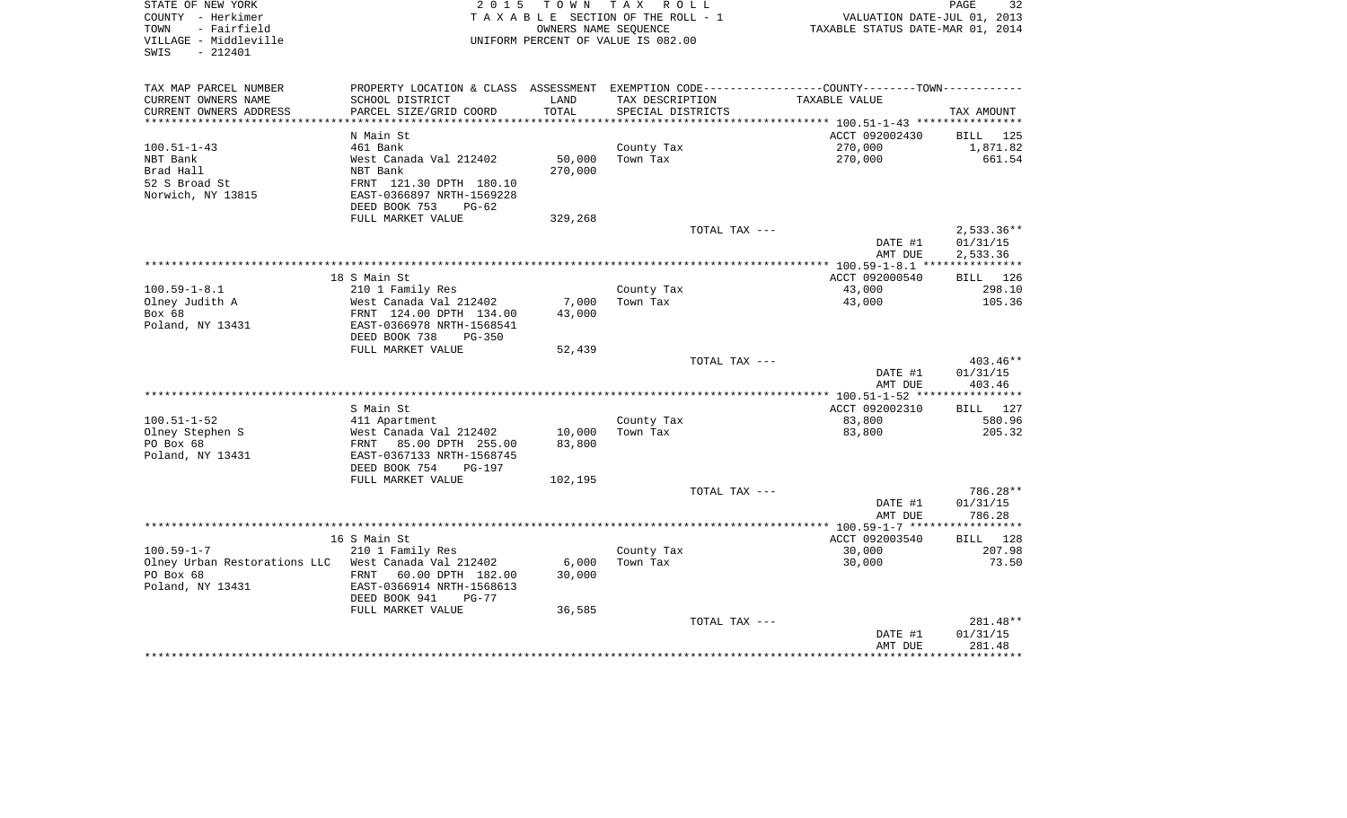| STATE OF NEW YORK<br>COUNTY - Herkimer<br>TOWN<br>- Fairfield<br>VILLAGE - Middleville<br>SWIS<br>$-212401$ | 2 0 1 5                                                                |               | TOWN TAX ROLL<br>TAXABLE SECTION OF THE ROLL - 1<br>OWNERS NAME SEOUENCE<br>UNIFORM PERCENT OF VALUE IS 082.00 | VALUATION DATE-JUL 01, 2013<br>TAXABLE STATUS DATE-MAR 01, 2014                               | 32<br>PAGE         |
|-------------------------------------------------------------------------------------------------------------|------------------------------------------------------------------------|---------------|----------------------------------------------------------------------------------------------------------------|-----------------------------------------------------------------------------------------------|--------------------|
| TAX MAP PARCEL NUMBER                                                                                       |                                                                        |               |                                                                                                                | PROPERTY LOCATION & CLASS ASSESSMENT EXEMPTION CODE---------------COUNTY-------TOWN---------- |                    |
| CURRENT OWNERS NAME<br>CURRENT OWNERS ADDRESS                                                               | SCHOOL DISTRICT<br>PARCEL SIZE/GRID COORD<br>************************* | LAND<br>TOTAL | TAX DESCRIPTION<br>SPECIAL DISTRICTS                                                                           | TAXABLE VALUE                                                                                 | TAX AMOUNT         |
|                                                                                                             | N Main St                                                              |               |                                                                                                                | ACCT 092002430                                                                                | BILL 125           |
| $100.51 - 1 - 43$                                                                                           | 461 Bank                                                               |               | County Tax                                                                                                     | 270,000                                                                                       | 1,871.82           |
| NBT Bank                                                                                                    | West Canada Val 212402                                                 | 50,000        | Town Tax                                                                                                       | 270,000                                                                                       | 661.54             |
| Brad Hall                                                                                                   | NBT Bank                                                               | 270,000       |                                                                                                                |                                                                                               |                    |
| 52 S Broad St                                                                                               | FRNT 121.30 DPTH 180.10                                                |               |                                                                                                                |                                                                                               |                    |
| Norwich, NY 13815                                                                                           | EAST-0366897 NRTH-1569228                                              |               |                                                                                                                |                                                                                               |                    |
|                                                                                                             | DEED BOOK 753<br>PG-62                                                 |               |                                                                                                                |                                                                                               |                    |
|                                                                                                             | FULL MARKET VALUE                                                      | 329,268       |                                                                                                                |                                                                                               |                    |
|                                                                                                             |                                                                        |               | TOTAL TAX ---                                                                                                  |                                                                                               | $2,533.36**$       |
|                                                                                                             |                                                                        |               |                                                                                                                | DATE #1                                                                                       | 01/31/15           |
|                                                                                                             |                                                                        |               |                                                                                                                | AMT DUE                                                                                       | 2,533.36           |
|                                                                                                             | 18 S Main St                                                           |               |                                                                                                                | ACCT 092000540                                                                                | BILL 126           |
| $100.59 - 1 - 8.1$                                                                                          | 210 1 Family Res                                                       |               | County Tax                                                                                                     | 43,000                                                                                        | 298.10             |
| Olney Judith A                                                                                              | West Canada Val 212402                                                 | 7,000         | Town Tax                                                                                                       | 43,000                                                                                        | 105.36             |
| Box 68                                                                                                      | FRNT 124.00 DPTH 134.00                                                | 43,000        |                                                                                                                |                                                                                               |                    |
| Poland, NY 13431                                                                                            | EAST-0366978 NRTH-1568541                                              |               |                                                                                                                |                                                                                               |                    |
|                                                                                                             | DEED BOOK 738<br>PG-350                                                |               |                                                                                                                |                                                                                               |                    |
|                                                                                                             | FULL MARKET VALUE                                                      | 52,439        |                                                                                                                |                                                                                               |                    |
|                                                                                                             |                                                                        |               | TOTAL TAX ---                                                                                                  |                                                                                               | $403.46**$         |
|                                                                                                             |                                                                        |               |                                                                                                                | DATE #1                                                                                       | 01/31/15           |
|                                                                                                             |                                                                        |               |                                                                                                                | AMT DUE                                                                                       | 403.46             |
|                                                                                                             | S Main St                                                              |               |                                                                                                                | ACCT 092002310                                                                                | BILL 127           |
| $100.51 - 1 - 52$                                                                                           | 411 Apartment                                                          |               | County Tax                                                                                                     | 83,800                                                                                        | 580.96             |
| Olney Stephen S                                                                                             | West Canada Val 212402                                                 | 10,000        | Town Tax                                                                                                       | 83,800                                                                                        | 205.32             |
| PO Box 68                                                                                                   | FRNT 85.00 DPTH 255.00                                                 | 83,800        |                                                                                                                |                                                                                               |                    |
| Poland, NY 13431                                                                                            | EAST-0367133 NRTH-1568745                                              |               |                                                                                                                |                                                                                               |                    |
|                                                                                                             | DEED BOOK 754<br>PG-197                                                |               |                                                                                                                |                                                                                               |                    |
|                                                                                                             | FULL MARKET VALUE                                                      | 102,195       |                                                                                                                |                                                                                               |                    |
|                                                                                                             |                                                                        |               | TOTAL TAX ---                                                                                                  |                                                                                               | 786.28**           |
|                                                                                                             |                                                                        |               |                                                                                                                | DATE #1                                                                                       | 01/31/15           |
|                                                                                                             |                                                                        |               |                                                                                                                | AMT DUE                                                                                       | 786.28             |
|                                                                                                             |                                                                        |               |                                                                                                                |                                                                                               |                    |
| $100.59 - 1 - 7$                                                                                            | 16 S Main St<br>210 1 Family Res                                       |               | County Tax                                                                                                     | ACCT 092003540<br>30,000                                                                      | BILL 128<br>207.98 |
| Olney Urban Restorations LLC West Canada Val 212402                                                         |                                                                        | 6,000         | Town Tax                                                                                                       | 30,000                                                                                        | 73.50              |
| PO Box 68                                                                                                   | FRNT 60.00 DPTH 182.00                                                 | 30,000        |                                                                                                                |                                                                                               |                    |
| Poland, NY 13431                                                                                            | EAST-0366914 NRTH-1568613                                              |               |                                                                                                                |                                                                                               |                    |
|                                                                                                             | DEED BOOK 941<br>$PG-77$                                               |               |                                                                                                                |                                                                                               |                    |
|                                                                                                             | FULL MARKET VALUE                                                      | 36,585        |                                                                                                                |                                                                                               |                    |
|                                                                                                             |                                                                        |               | TOTAL TAX ---                                                                                                  |                                                                                               | 281.48**           |
|                                                                                                             |                                                                        |               |                                                                                                                | DATE #1                                                                                       | 01/31/15           |
|                                                                                                             |                                                                        |               |                                                                                                                | AMT DUE                                                                                       | 281.48             |
|                                                                                                             |                                                                        |               |                                                                                                                |                                                                                               |                    |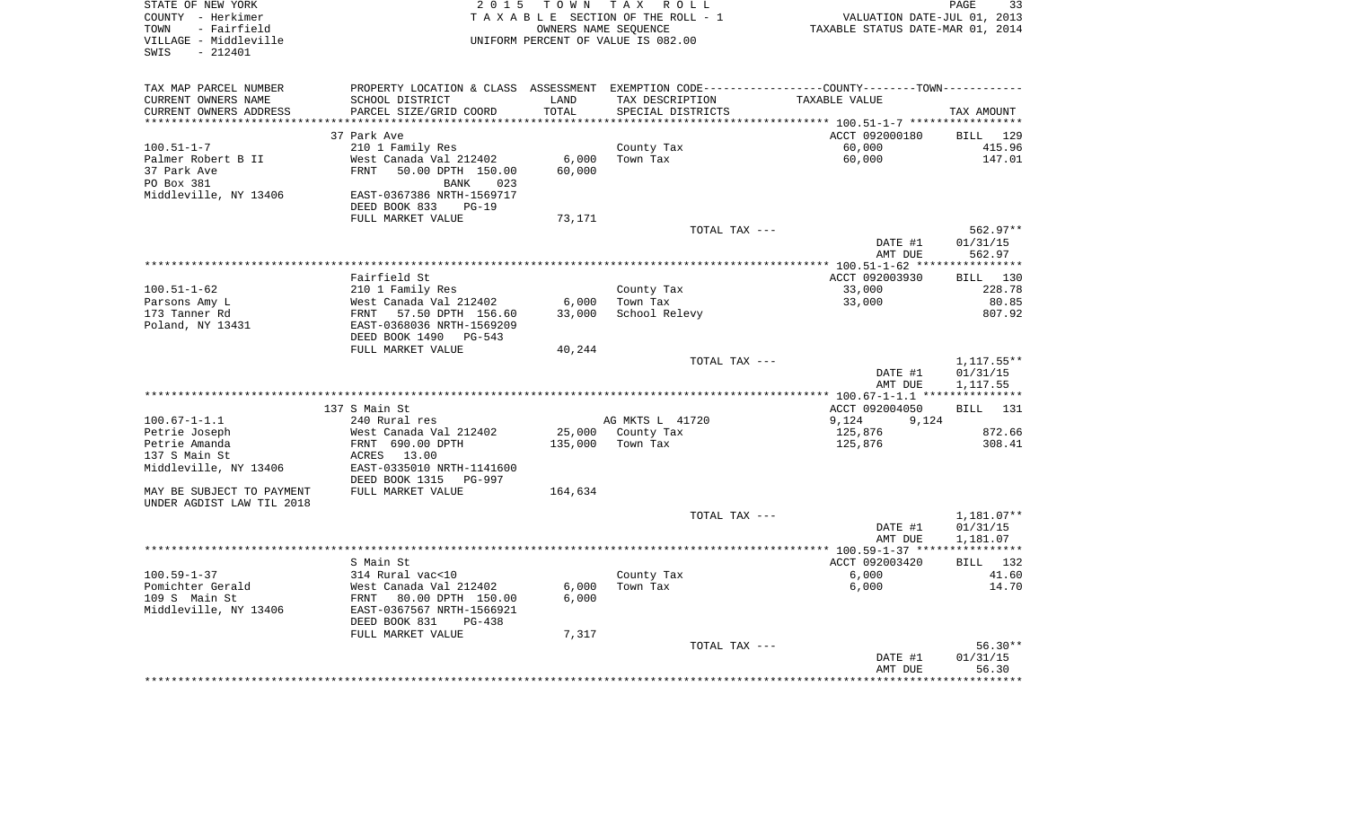| STATE OF NEW YORK<br>COUNTY - Herkimer<br>- Fairfield<br>TOWN | 2 0 1 5                                                                                       | T O W N        | T A X<br>R O L L<br>TAXABLE SECTION OF THE ROLL - 1<br>OWNERS NAME SEOUENCE | VALUATION DATE-JUL 01, 2013<br>TAXABLE STATUS DATE-MAR 01, 2014 | PAGE<br>33              |
|---------------------------------------------------------------|-----------------------------------------------------------------------------------------------|----------------|-----------------------------------------------------------------------------|-----------------------------------------------------------------|-------------------------|
| VILLAGE - Middleville<br>$-212401$<br>SWIS                    |                                                                                               |                | UNIFORM PERCENT OF VALUE IS 082.00                                          |                                                                 |                         |
| TAX MAP PARCEL NUMBER                                         | PROPERTY LOCATION & CLASS ASSESSMENT EXEMPTION CODE---------------COUNTY-------TOWN---------- |                |                                                                             |                                                                 |                         |
| CURRENT OWNERS NAME                                           | SCHOOL DISTRICT                                                                               | LAND           | TAX DESCRIPTION                                                             | TAXABLE VALUE                                                   |                         |
| CURRENT OWNERS ADDRESS                                        | PARCEL SIZE/GRID COORD                                                                        | TOTAL          | SPECIAL DISTRICTS                                                           |                                                                 | TAX AMOUNT              |
| ********************                                          | 37 Park Ave                                                                                   | ************** |                                                                             | ACCT 092000180                                                  | BILL 129                |
| $100.51 - 1 - 7$                                              | 210 1 Family Res                                                                              |                | County Tax                                                                  | 60,000                                                          | 415.96                  |
| Palmer Robert B II                                            | West Canada Val 212402                                                                        | 6,000          | Town Tax                                                                    | 60,000                                                          | 147.01                  |
| 37 Park Ave                                                   | 50.00 DPTH 150.00<br>FRNT                                                                     | 60,000         |                                                                             |                                                                 |                         |
| PO Box 381                                                    | <b>BANK</b><br>023                                                                            |                |                                                                             |                                                                 |                         |
| Middleville, NY 13406                                         | EAST-0367386 NRTH-1569717                                                                     |                |                                                                             |                                                                 |                         |
|                                                               | DEED BOOK 833<br>$PG-19$                                                                      |                |                                                                             |                                                                 |                         |
|                                                               | FULL MARKET VALUE                                                                             | 73,171         |                                                                             |                                                                 | $562.97**$              |
|                                                               |                                                                                               |                | TOTAL TAX ---                                                               | DATE #1                                                         | 01/31/15                |
|                                                               |                                                                                               |                |                                                                             | AMT DUE                                                         | 562.97                  |
|                                                               |                                                                                               |                |                                                                             |                                                                 |                         |
|                                                               | Fairfield St                                                                                  |                |                                                                             | ACCT 092003930                                                  | BILL 130                |
| $100.51 - 1 - 62$                                             | 210 1 Family Res                                                                              |                | County Tax                                                                  | 33,000                                                          | 228.78                  |
| Parsons Amy L                                                 | West Canada Val 212402                                                                        | 6,000          | Town Tax                                                                    | 33,000                                                          | 80.85                   |
| 173 Tanner Rd<br>Poland, NY 13431                             | FRNT 57.50 DPTH 156.60<br>EAST-0368036 NRTH-1569209                                           | 33,000         | School Relevy                                                               |                                                                 | 807.92                  |
|                                                               | DEED BOOK 1490<br>$PG-543$                                                                    |                |                                                                             |                                                                 |                         |
|                                                               | FULL MARKET VALUE                                                                             | 40,244         | TOTAL TAX ---                                                               |                                                                 | 1,117.55**              |
|                                                               |                                                                                               |                |                                                                             | DATE #1                                                         | 01/31/15                |
|                                                               |                                                                                               |                |                                                                             | AMT DUE                                                         | 1,117.55                |
|                                                               | 137 S Main St                                                                                 |                |                                                                             | ACCT 092004050                                                  | BILL 131                |
| $100.67 - 1 - 1.1$                                            | 240 Rural res                                                                                 |                | AG MKTS L 41720                                                             | 9,124<br>9,124                                                  |                         |
| Petrie Joseph                                                 | West Canada Val 212402                                                                        | 25,000         | County Tax                                                                  | 125,876                                                         | 872.66                  |
| Petrie Amanda                                                 | FRNT 690.00 DPTH                                                                              | 135,000        | Town Tax                                                                    | 125,876                                                         | 308.41                  |
| 137 S Main St                                                 | ACRES 13.00                                                                                   |                |                                                                             |                                                                 |                         |
| Middleville, NY 13406                                         | EAST-0335010 NRTH-1141600<br>DEED BOOK 1315<br><b>PG-997</b>                                  |                |                                                                             |                                                                 |                         |
| MAY BE SUBJECT TO PAYMENT                                     | FULL MARKET VALUE                                                                             | 164,634        |                                                                             |                                                                 |                         |
| UNDER AGDIST LAW TIL 2018                                     |                                                                                               |                |                                                                             |                                                                 |                         |
|                                                               |                                                                                               |                | TOTAL TAX ---                                                               |                                                                 | 1,181.07**              |
|                                                               |                                                                                               |                |                                                                             | DATE #1                                                         | 01/31/15                |
|                                                               |                                                                                               |                |                                                                             | AMT DUE                                                         | 1,181.07                |
|                                                               | S Main St                                                                                     |                |                                                                             | ACCT 092003420                                                  | ***********<br>BILL 132 |
| $100.59 - 1 - 37$                                             | 314 Rural vac<10                                                                              |                | County Tax                                                                  | 6,000                                                           | 41.60                   |
| Pomichter Gerald                                              | West Canada Val 212402                                                                        | 6,000          | Town Tax                                                                    | 6,000                                                           | 14.70                   |
| 109 S Main St                                                 | FRNT<br>80.00 DPTH 150.00                                                                     | 6,000          |                                                                             |                                                                 |                         |
| Middleville, NY 13406                                         | EAST-0367567 NRTH-1566921                                                                     |                |                                                                             |                                                                 |                         |
|                                                               | DEED BOOK 831<br>$PG-438$                                                                     |                |                                                                             |                                                                 |                         |
|                                                               | FULL MARKET VALUE                                                                             | 7,317          |                                                                             |                                                                 |                         |
|                                                               |                                                                                               |                | TOTAL TAX ---                                                               | DATE #1                                                         | $56.30**$<br>01/31/15   |
|                                                               |                                                                                               |                |                                                                             | AMT DUE                                                         | 56.30                   |
|                                                               |                                                                                               |                |                                                                             |                                                                 |                         |
|                                                               |                                                                                               |                |                                                                             |                                                                 |                         |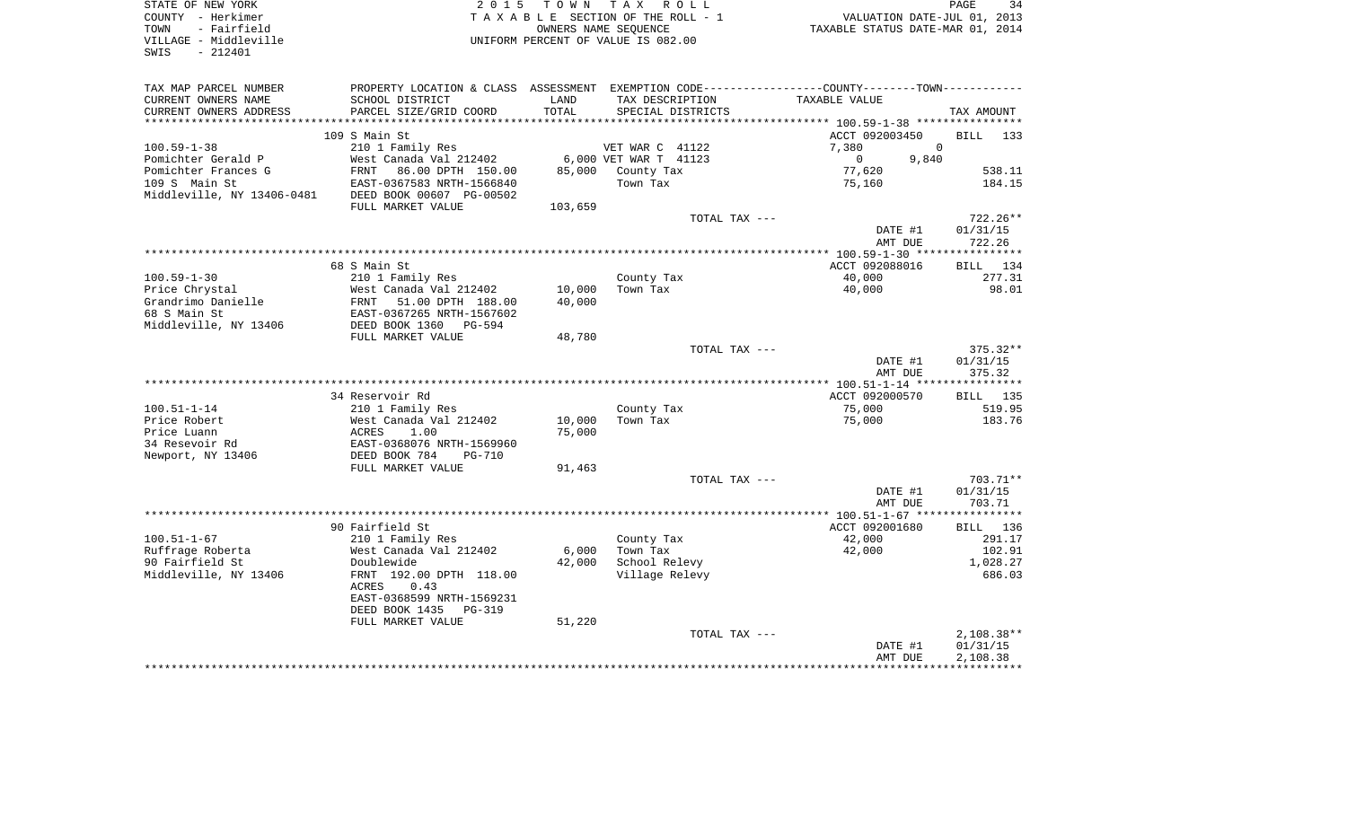| STATE OF NEW YORK<br>COUNTY - Herkimer<br>- Fairfield<br>TOWN<br>VILLAGE - Middleville<br>SWIS<br>$-212401$ | 2 0 1 5                                               | T O W N       | T A X<br>R O L L<br>TAXABLE SECTION OF THE ROLL - 1<br>OWNERS NAME SEQUENCE<br>UNIFORM PERCENT OF VALUE IS 082.00 | VALUATION DATE-JUL 01, 2013<br>TAXABLE STATUS DATE-MAR 01, 2014                                                 | PAGE<br>34                  |
|-------------------------------------------------------------------------------------------------------------|-------------------------------------------------------|---------------|-------------------------------------------------------------------------------------------------------------------|-----------------------------------------------------------------------------------------------------------------|-----------------------------|
| TAX MAP PARCEL NUMBER<br>CURRENT OWNERS NAME<br>CURRENT OWNERS ADDRESS                                      | SCHOOL DISTRICT<br>PARCEL SIZE/GRID COORD             | LAND<br>TOTAL | TAX DESCRIPTION<br>SPECIAL DISTRICTS                                                                              | PROPERTY LOCATION & CLASS ASSESSMENT EXEMPTION CODE----------------COUNTY-------TOWN----------<br>TAXABLE VALUE | TAX AMOUNT                  |
| **************************                                                                                  |                                                       |               |                                                                                                                   |                                                                                                                 |                             |
|                                                                                                             | 109 S Main St                                         |               |                                                                                                                   | ACCT 092003450                                                                                                  | BILL<br>133                 |
| $100.59 - 1 - 38$                                                                                           | 210 1 Family Res                                      |               | VET WAR C 41122                                                                                                   | 7,380<br>$\Omega$                                                                                               |                             |
| Pomichter Gerald P                                                                                          | West Canada Val 212402                                |               | 6,000 VET WAR T 41123                                                                                             | 9,840<br>$\mathbf{0}$                                                                                           |                             |
| Pomichter Frances G                                                                                         | FRNT<br>86.00 DPTH 150.00                             | 85,000        | County Tax                                                                                                        | 77,620                                                                                                          | 538.11                      |
| 109 S Main St<br>Middleville, NY 13406-0481                                                                 | EAST-0367583 NRTH-1566840<br>DEED BOOK 00607 PG-00502 |               | Town Tax                                                                                                          | 75,160                                                                                                          | 184.15                      |
|                                                                                                             | FULL MARKET VALUE                                     | 103,659       |                                                                                                                   |                                                                                                                 |                             |
|                                                                                                             |                                                       |               | TOTAL TAX ---                                                                                                     |                                                                                                                 | 722.26**                    |
|                                                                                                             |                                                       |               |                                                                                                                   | DATE #1                                                                                                         | 01/31/15                    |
|                                                                                                             |                                                       |               |                                                                                                                   | AMT DUE<br>*** 100.59-1-30 **                                                                                   | 722.26<br>* * * * * * * * * |
|                                                                                                             | 68 S Main St                                          |               |                                                                                                                   | ACCT 092088016                                                                                                  | 134<br><b>BILL</b>          |
| $100.59 - 1 - 30$                                                                                           | 210 1 Family Res                                      |               | County Tax                                                                                                        | 40,000                                                                                                          | 277.31                      |
| Price Chrystal                                                                                              | West Canada Val 212402                                | 10,000        | Town Tax                                                                                                          | 40,000                                                                                                          | 98.01                       |
| Grandrimo Danielle                                                                                          | 51.00 DPTH 188.00<br>FRNT                             | 40,000        |                                                                                                                   |                                                                                                                 |                             |
| 68 S Main St                                                                                                | EAST-0367265 NRTH-1567602                             |               |                                                                                                                   |                                                                                                                 |                             |
| Middleville, NY 13406                                                                                       | DEED BOOK 1360<br>$PG-594$                            |               |                                                                                                                   |                                                                                                                 |                             |
|                                                                                                             | FULL MARKET VALUE                                     | 48,780        |                                                                                                                   |                                                                                                                 |                             |
|                                                                                                             |                                                       |               | TOTAL TAX ---                                                                                                     |                                                                                                                 | 375.32**<br>01/31/15        |
|                                                                                                             |                                                       |               |                                                                                                                   | DATE #1<br>AMT DUE                                                                                              | 375.32                      |
|                                                                                                             |                                                       |               |                                                                                                                   | **************** 100.51-1-14 **                                                                                 | ***********                 |
|                                                                                                             | 34 Reservoir Rd                                       |               |                                                                                                                   | ACCT 092000570                                                                                                  | BILL 135                    |
| $100.51 - 1 - 14$                                                                                           | 210 1 Family Res                                      |               | County Tax                                                                                                        | 75,000                                                                                                          | 519.95                      |
| Price Robert                                                                                                | West Canada Val 212402                                | 10,000        | Town Tax                                                                                                          | 75,000                                                                                                          | 183.76                      |
| Price Luann                                                                                                 | ACRES<br>1.00                                         | 75,000        |                                                                                                                   |                                                                                                                 |                             |
| 34 Resevoir Rd                                                                                              | EAST-0368076 NRTH-1569960                             |               |                                                                                                                   |                                                                                                                 |                             |
| Newport, NY 13406                                                                                           | DEED BOOK 784<br>$PG-710$<br>FULL MARKET VALUE        | 91,463        |                                                                                                                   |                                                                                                                 |                             |
|                                                                                                             |                                                       |               | TOTAL TAX ---                                                                                                     |                                                                                                                 | 703.71**                    |
|                                                                                                             |                                                       |               |                                                                                                                   | DATE #1                                                                                                         | 01/31/15                    |
|                                                                                                             |                                                       |               |                                                                                                                   | AMT DUE                                                                                                         | 703.71                      |
|                                                                                                             | *************                                         |               |                                                                                                                   | ***** 100.51-1-67 ***                                                                                           | **********                  |
|                                                                                                             | 90 Fairfield St                                       |               |                                                                                                                   | ACCT 092001680                                                                                                  | BILL<br>136                 |
| $100.51 - 1 - 67$                                                                                           | 210 1 Family Res                                      |               | County Tax                                                                                                        | 42,000                                                                                                          | 291.17                      |
| Ruffrage Roberta                                                                                            | West Canada Val 212402                                | 6,000         | Town Tax                                                                                                          | 42,000                                                                                                          | 102.91                      |
| 90 Fairfield St<br>Middleville, NY 13406                                                                    | Doublewide<br>FRNT 192.00 DPTH 118.00                 | 42,000        | School Relevy<br>Village Relevy                                                                                   |                                                                                                                 | 1,028.27<br>686.03          |
|                                                                                                             | 0.43<br>ACRES                                         |               |                                                                                                                   |                                                                                                                 |                             |
|                                                                                                             | EAST-0368599 NRTH-1569231                             |               |                                                                                                                   |                                                                                                                 |                             |
|                                                                                                             | DEED BOOK 1435<br><b>PG-319</b>                       |               |                                                                                                                   |                                                                                                                 |                             |
|                                                                                                             | FULL MARKET VALUE                                     | 51,220        |                                                                                                                   |                                                                                                                 |                             |
|                                                                                                             |                                                       |               | TOTAL TAX ---                                                                                                     |                                                                                                                 | $2,108.38**$                |
|                                                                                                             |                                                       |               |                                                                                                                   | DATE #1                                                                                                         | 01/31/15                    |
|                                                                                                             |                                                       |               |                                                                                                                   | AMT DUE                                                                                                         | 2,108.38                    |
|                                                                                                             |                                                       |               |                                                                                                                   |                                                                                                                 |                             |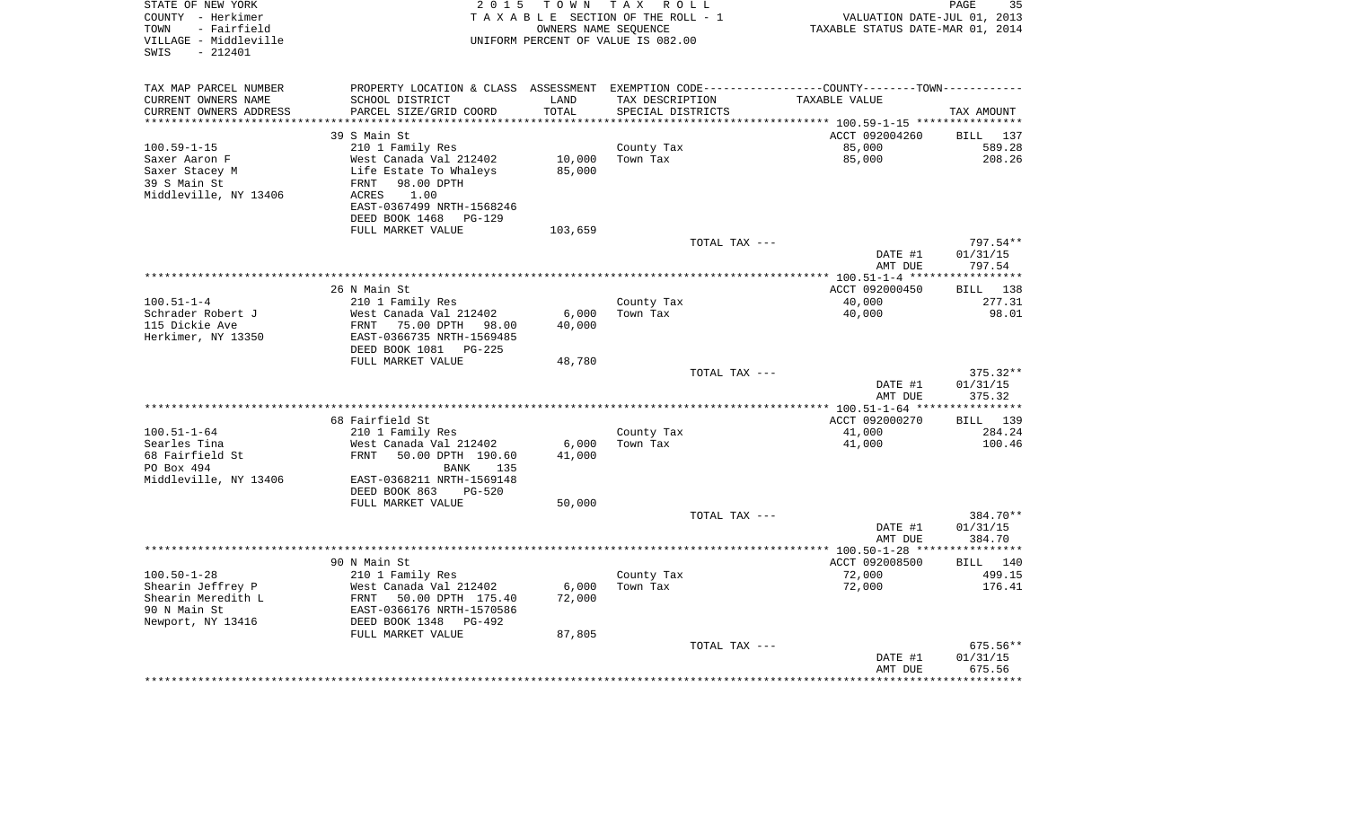| STATE OF NEW YORK<br>COUNTY - Herkimer<br>- Fairfield<br>TOWN<br>VILLAGE - Middleville<br>$-212401$<br>SWIS | 2 0 1 5                                                                                       | TOWN                | T A X<br>R O L L<br>TAXABLE SECTION OF THE ROLL - 1<br>OWNERS NAME SEOUENCE<br>UNIFORM PERCENT OF VALUE IS 082.00 |               | VALUATION DATE-JUL 01, 2013<br>TAXABLE STATUS DATE-MAR 01, 2014 | PAGE<br>35                    |
|-------------------------------------------------------------------------------------------------------------|-----------------------------------------------------------------------------------------------|---------------------|-------------------------------------------------------------------------------------------------------------------|---------------|-----------------------------------------------------------------|-------------------------------|
| TAX MAP PARCEL NUMBER                                                                                       | PROPERTY LOCATION & CLASS ASSESSMENT EXEMPTION CODE---------------COUNTY-------TOWN---------- |                     |                                                                                                                   |               |                                                                 |                               |
| CURRENT OWNERS NAME                                                                                         | SCHOOL DISTRICT                                                                               | LAND                | TAX DESCRIPTION                                                                                                   |               | TAXABLE VALUE                                                   |                               |
| CURRENT OWNERS ADDRESS                                                                                      | PARCEL SIZE/GRID COORD                                                                        | TOTAL               | SPECIAL DISTRICTS                                                                                                 |               |                                                                 | TAX AMOUNT                    |
| *******************                                                                                         |                                                                                               | * * * * * * * * * * |                                                                                                                   |               |                                                                 |                               |
|                                                                                                             | 39 S Main St                                                                                  |                     |                                                                                                                   |               | ACCT 092004260                                                  | 137<br>BILL                   |
| $100.59 - 1 - 15$                                                                                           | 210 1 Family Res                                                                              |                     | County Tax                                                                                                        |               | 85,000                                                          | 589.28                        |
| Saxer Aaron F                                                                                               | West Canada Val 212402                                                                        | 10,000              | Town Tax                                                                                                          |               | 85,000                                                          | 208.26                        |
| Saxer Stacey M                                                                                              | Life Estate To Whaleys                                                                        | 85,000              |                                                                                                                   |               |                                                                 |                               |
| 39 S Main St                                                                                                | FRNT<br>98.00 DPTH                                                                            |                     |                                                                                                                   |               |                                                                 |                               |
| Middleville, NY 13406                                                                                       | ACRES<br>1.00<br>EAST-0367499 NRTH-1568246                                                    |                     |                                                                                                                   |               |                                                                 |                               |
|                                                                                                             | DEED BOOK 1468<br>$PG-129$                                                                    |                     |                                                                                                                   |               |                                                                 |                               |
|                                                                                                             | FULL MARKET VALUE                                                                             | 103,659             |                                                                                                                   |               |                                                                 |                               |
|                                                                                                             |                                                                                               |                     |                                                                                                                   | TOTAL TAX --- |                                                                 | 797.54**                      |
|                                                                                                             |                                                                                               |                     |                                                                                                                   |               | DATE #1                                                         | 01/31/15                      |
|                                                                                                             |                                                                                               |                     |                                                                                                                   |               | AMT DUE                                                         | 797.54                        |
|                                                                                                             |                                                                                               |                     |                                                                                                                   |               |                                                                 |                               |
|                                                                                                             | 26 N Main St                                                                                  |                     |                                                                                                                   |               | ACCT 092000450                                                  | 138<br><b>BILL</b>            |
| $100.51 - 1 - 4$                                                                                            | 210 1 Family Res                                                                              |                     | County Tax                                                                                                        |               | 40,000                                                          | 277.31                        |
| Schrader Robert J                                                                                           | West Canada Val 212402                                                                        | 6,000               | Town Tax                                                                                                          |               | 40,000                                                          | 98.01                         |
| 115 Dickie Ave                                                                                              | <b>FRNT</b><br>75.00 DPTH<br>98.00                                                            | 40,000              |                                                                                                                   |               |                                                                 |                               |
| Herkimer, NY 13350                                                                                          | EAST-0366735 NRTH-1569485                                                                     |                     |                                                                                                                   |               |                                                                 |                               |
|                                                                                                             | DEED BOOK 1081<br>$PG-225$                                                                    |                     |                                                                                                                   |               |                                                                 |                               |
|                                                                                                             | FULL MARKET VALUE                                                                             | 48,780              |                                                                                                                   |               |                                                                 |                               |
|                                                                                                             |                                                                                               |                     |                                                                                                                   | TOTAL TAX --- | DATE #1                                                         | $375.32**$<br>01/31/15        |
|                                                                                                             |                                                                                               |                     |                                                                                                                   |               | AMT DUE                                                         | 375.32                        |
|                                                                                                             |                                                                                               |                     | ************************                                                                                          |               | ***** 100.51-1-64 **                                            | * * * * * * * * *             |
|                                                                                                             | 68 Fairfield St                                                                               |                     |                                                                                                                   |               | ACCT 092000270                                                  | <b>BILL</b><br>139            |
| $100.51 - 1 - 64$                                                                                           | 210 1 Family Res                                                                              |                     | County Tax                                                                                                        |               | 41,000                                                          | 284.24                        |
| Searles Tina                                                                                                | West Canada Val 212402                                                                        | 6,000               | Town Tax                                                                                                          |               | 41,000                                                          | 100.46                        |
| 68 Fairfield St                                                                                             | FRNT<br>50.00 DPTH 190.60                                                                     | 41,000              |                                                                                                                   |               |                                                                 |                               |
| PO Box 494                                                                                                  | <b>BANK</b><br>135                                                                            |                     |                                                                                                                   |               |                                                                 |                               |
| Middleville, NY 13406                                                                                       | EAST-0368211 NRTH-1569148                                                                     |                     |                                                                                                                   |               |                                                                 |                               |
|                                                                                                             | DEED BOOK 863<br><b>PG-520</b>                                                                |                     |                                                                                                                   |               |                                                                 |                               |
|                                                                                                             | FULL MARKET VALUE                                                                             | 50,000              |                                                                                                                   |               |                                                                 |                               |
|                                                                                                             |                                                                                               |                     |                                                                                                                   | TOTAL TAX --- |                                                                 | 384.70**                      |
|                                                                                                             |                                                                                               |                     |                                                                                                                   |               | DATE #1                                                         | 01/31/15                      |
|                                                                                                             |                                                                                               |                     |                                                                                                                   |               | AMT DUE                                                         | 384.70<br>* * * * * * * * * * |
|                                                                                                             | 90 N Main St                                                                                  |                     |                                                                                                                   |               | ****** 100.50-1-28 **<br>ACCT 092008500                         | BILL 140                      |
| $100.50 - 1 - 28$                                                                                           | 210 1 Family Res                                                                              |                     | County Tax                                                                                                        |               | 72,000                                                          | 499.15                        |
| Shearin Jeffrey P                                                                                           | West Canada Val 212402                                                                        | 6,000               | Town Tax                                                                                                          |               | 72,000                                                          | 176.41                        |
| Shearin Meredith L                                                                                          | FRNT<br>50.00 DPTH 175.40                                                                     | 72,000              |                                                                                                                   |               |                                                                 |                               |
| 90 N Main St                                                                                                | EAST-0366176 NRTH-1570586                                                                     |                     |                                                                                                                   |               |                                                                 |                               |
| Newport, NY 13416                                                                                           | DEED BOOK 1348<br>$PG-492$                                                                    |                     |                                                                                                                   |               |                                                                 |                               |
|                                                                                                             | FULL MARKET VALUE                                                                             | 87,805              |                                                                                                                   |               |                                                                 |                               |
|                                                                                                             |                                                                                               |                     |                                                                                                                   | TOTAL TAX --- |                                                                 | 675.56**                      |
|                                                                                                             |                                                                                               |                     |                                                                                                                   |               | DATE #1                                                         | 01/31/15                      |
|                                                                                                             |                                                                                               |                     |                                                                                                                   |               | AMT DUE                                                         | 675.56                        |
|                                                                                                             |                                                                                               |                     |                                                                                                                   |               |                                                                 |                               |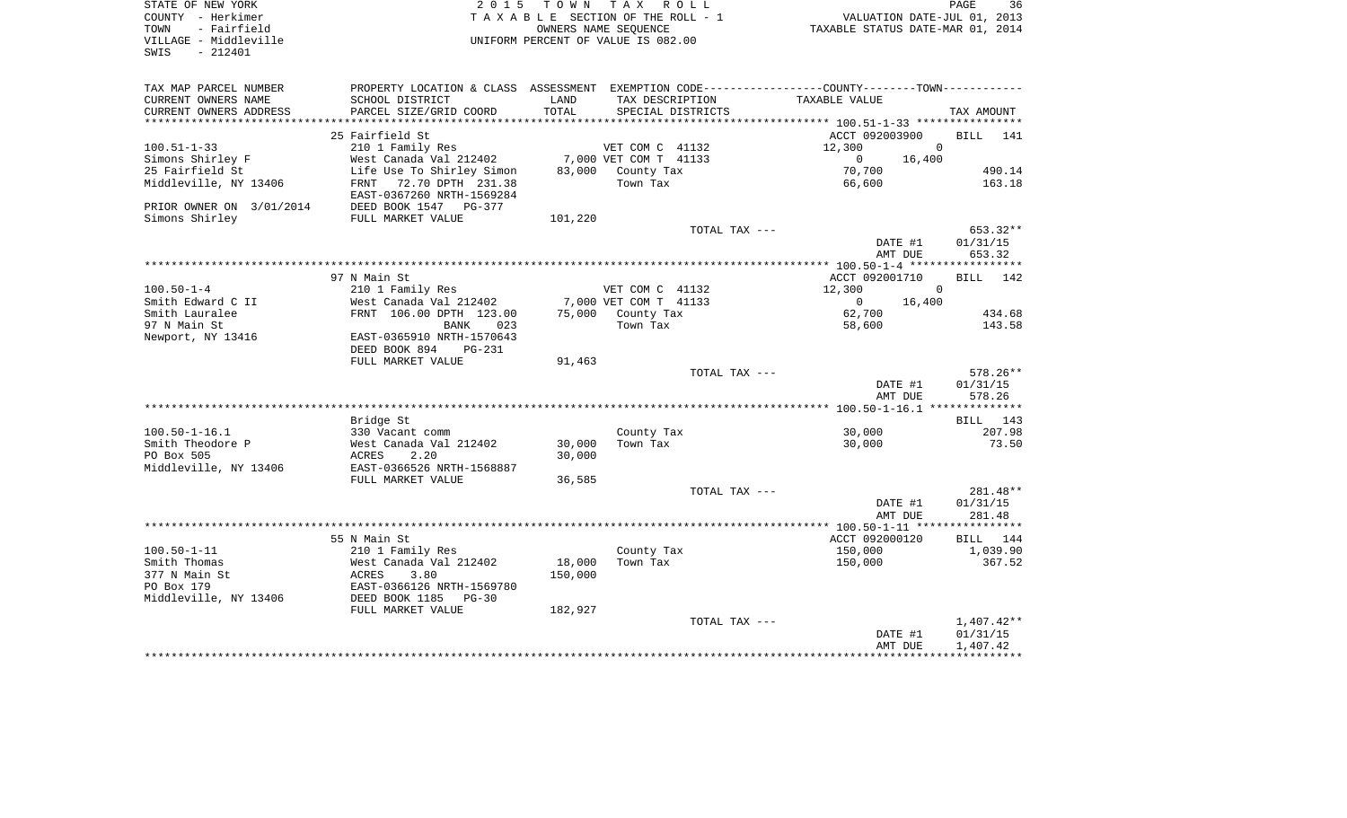| COUNTY - Herkimer<br>- Fairfield<br>TOWN          |                                                                                               |                                    | TAXABLE SECTION OF THE ROLL - 1<br>OWNERS NAME SEQUENCE |                   | VALUATION DATE-JUL 01, 2013<br>TAXABLE STATUS DATE-MAR 01, 2014 |                                      |
|---------------------------------------------------|-----------------------------------------------------------------------------------------------|------------------------------------|---------------------------------------------------------|-------------------|-----------------------------------------------------------------|--------------------------------------|
| VILLAGE - Middleville<br>SWIS<br>$-212401$        |                                                                                               | UNIFORM PERCENT OF VALUE IS 082.00 |                                                         |                   |                                                                 |                                      |
| TAX MAP PARCEL NUMBER                             | PROPERTY LOCATION & CLASS ASSESSMENT EXEMPTION CODE---------------COUNTY-------TOWN---------- |                                    |                                                         |                   |                                                                 |                                      |
| CURRENT OWNERS NAME                               | SCHOOL DISTRICT                                                                               | LAND                               | TAX DESCRIPTION                                         |                   | TAXABLE VALUE                                                   |                                      |
| CURRENT OWNERS ADDRESS<br>*********************** | PARCEL SIZE/GRID COORD                                                                        | TOTAL                              |                                                         | SPECIAL DISTRICTS |                                                                 | TAX AMOUNT                           |
|                                                   | 25 Fairfield St                                                                               |                                    |                                                         |                   | ACCT 092003900                                                  | BILL 141                             |
| $100.51 - 1 - 33$                                 | 210 1 Family Res                                                                              |                                    | VET COM C 41132                                         |                   | 12,300                                                          | $\overline{0}$                       |
| Simons Shirley F                                  | West Canada Val 212402                                                                        |                                    | 7,000 VET COM T 41133                                   |                   | 16,400<br>$\circ$                                               |                                      |
| 25 Fairfield St                                   | Life Use To Shirley Simon                                                                     |                                    | 83,000 County Tax                                       |                   | 70,700                                                          | 490.14                               |
| Middleville, NY 13406                             | FRNT 72.70 DPTH 231.38<br>EAST-0367260 NRTH-1569284                                           |                                    | Town Tax                                                |                   | 66,600                                                          | 163.18                               |
| PRIOR OWNER ON 3/01/2014                          | DEED BOOK 1547 PG-377                                                                         |                                    |                                                         |                   |                                                                 |                                      |
| Simons Shirley                                    | FULL MARKET VALUE                                                                             | 101,220                            |                                                         |                   |                                                                 |                                      |
|                                                   |                                                                                               |                                    |                                                         | TOTAL TAX ---     |                                                                 | 653.32**                             |
|                                                   |                                                                                               |                                    |                                                         |                   | DATE #1<br>AMT DUE                                              | 01/31/15<br>653.32                   |
|                                                   | 97 N Main St                                                                                  |                                    |                                                         |                   | ACCT 092001710                                                  | BILL 142                             |
| $100.50 - 1 - 4$                                  | 210 1 Family Res                                                                              |                                    | VET COM C 41132                                         |                   | 12,300                                                          | $\Omega$                             |
| Smith Edward C II                                 | West Canada Val 212402                                                                        |                                    | 7,000 VET COM T 41133                                   |                   | $\overline{0}$<br>16,400                                        |                                      |
| Smith Lauralee                                    | FRNT 106.00 DPTH 123.00                                                                       |                                    | 75,000 County Tax                                       |                   | 62,700                                                          | 434.68                               |
| 97 N Main St                                      | BANK<br>023                                                                                   |                                    | Town Tax                                                |                   | 58,600                                                          | 143.58                               |
| Newport, NY 13416                                 | EAST-0365910 NRTH-1570643<br>DEED BOOK 894 PG-231                                             |                                    |                                                         |                   |                                                                 |                                      |
|                                                   | FULL MARKET VALUE                                                                             | 91,463                             |                                                         |                   |                                                                 |                                      |
|                                                   |                                                                                               |                                    |                                                         | TOTAL TAX ---     | DATE #1                                                         | 578.26**<br>01/31/15                 |
|                                                   |                                                                                               |                                    |                                                         |                   | AMT DUE                                                         | 578.26                               |
|                                                   | Bridge St                                                                                     |                                    |                                                         |                   |                                                                 | BILL 143                             |
| $100.50 - 1 - 16.1$                               | 330 Vacant comm                                                                               |                                    | County Tax                                              |                   | 30,000                                                          | 207.98                               |
| Smith Theodore P                                  | West Canada Val 212402                                                                        | 30,000                             | Town Tax                                                |                   | 30,000                                                          | 73.50                                |
| PO Box 505                                        | ACRES<br>2.20                                                                                 | 30,000                             |                                                         |                   |                                                                 |                                      |
| Middleville, NY 13406                             | EAST-0366526 NRTH-1568887                                                                     |                                    |                                                         |                   |                                                                 |                                      |
|                                                   | FULL MARKET VALUE                                                                             | 36,585                             |                                                         |                   |                                                                 |                                      |
|                                                   |                                                                                               |                                    |                                                         | TOTAL TAX ---     |                                                                 | 281.48**                             |
|                                                   |                                                                                               |                                    |                                                         |                   | DATE #1                                                         | 01/31/15                             |
|                                                   |                                                                                               |                                    |                                                         |                   | AMT DUE                                                         | 281.48                               |
|                                                   | 55 N Main St                                                                                  |                                    |                                                         |                   | ACCT 092000120                                                  | BILL 144                             |
| $100.50 - 1 - 11$                                 | 210 1 Family Res                                                                              |                                    | County Tax                                              |                   | 150,000                                                         | 1,039.90                             |
| Smith Thomas                                      | West Canada Val 212402                                                                        | 18,000                             | Town Tax                                                |                   | 150,000                                                         | 367.52                               |
| 377 N Main St                                     | ACRES<br>3.80                                                                                 | 150,000                            |                                                         |                   |                                                                 |                                      |
| PO Box 179                                        | EAST-0366126 NRTH-1569780                                                                     |                                    |                                                         |                   |                                                                 |                                      |
| Middleville, NY 13406                             | DEED BOOK 1185<br>$PG-30$                                                                     |                                    |                                                         |                   |                                                                 |                                      |
|                                                   | FULL MARKET VALUE                                                                             | 182,927                            |                                                         |                   |                                                                 |                                      |
|                                                   |                                                                                               |                                    |                                                         | TOTAL TAX ---     | DATE #1<br>AMT DUE                                              | $1,407.42**$<br>01/31/15<br>1,407.42 |
|                                                   |                                                                                               |                                    |                                                         |                   |                                                                 |                                      |

PAGE 36

STATE OF NEW YORK **EXECUTE:** TO W N TAX ROLL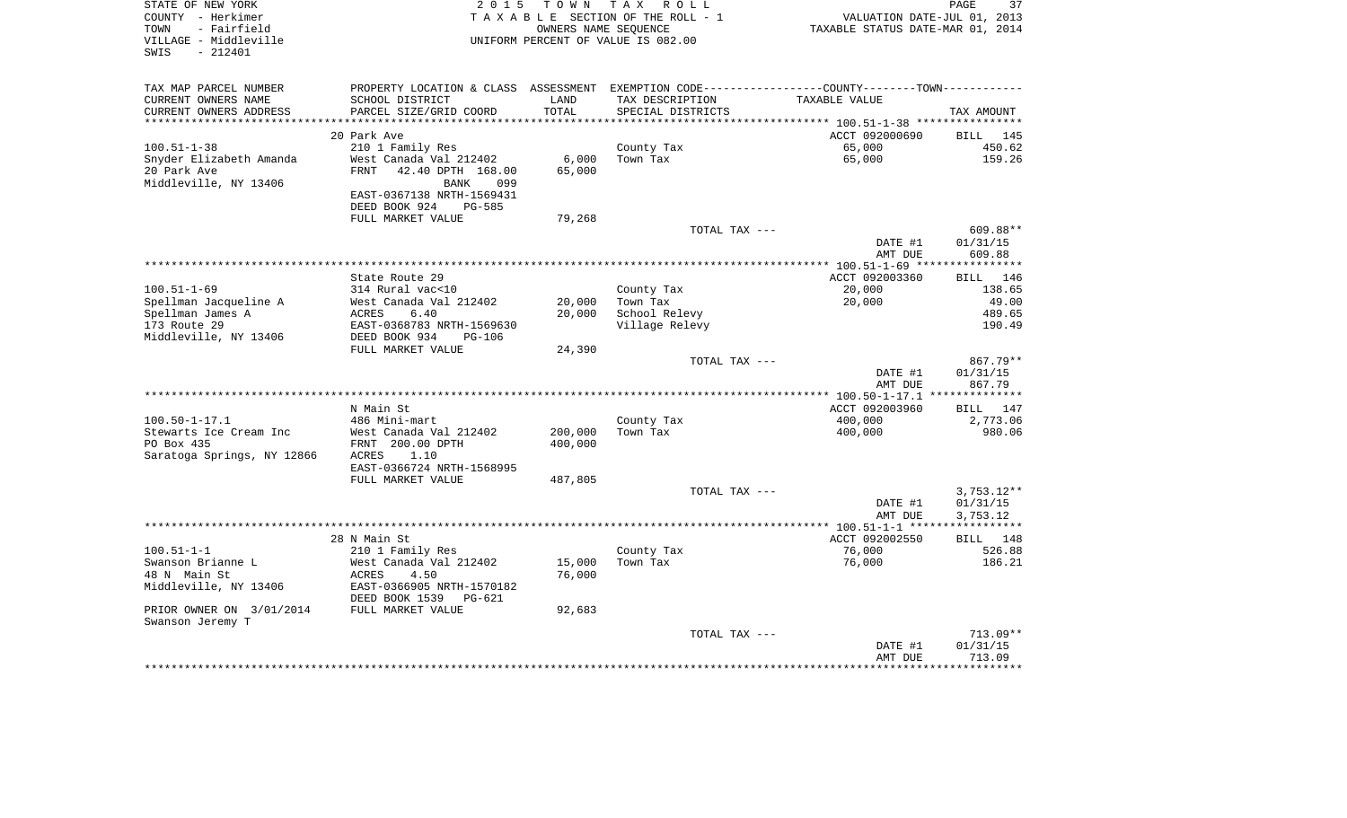| STATE OF NEW YORK<br>COUNTY - Herkimer<br>- Fairfield<br>TOWN<br>VILLAGE - Middleville<br>$-212401$<br>SWIS | 2 0 1 5                                              | TOWN    | T A X<br>R O L L<br>TAXABLE SECTION OF THE ROLL - 1<br>OWNERS NAME SEQUENCE<br>UNIFORM PERCENT OF VALUE IS 082.00 | VALUATION DATE-JUL 01, 2013<br>TAXABLE STATUS DATE-MAR 01, 2014 | PAGE<br>37            |
|-------------------------------------------------------------------------------------------------------------|------------------------------------------------------|---------|-------------------------------------------------------------------------------------------------------------------|-----------------------------------------------------------------|-----------------------|
| TAX MAP PARCEL NUMBER                                                                                       | PROPERTY LOCATION & CLASS ASSESSMENT                 |         |                                                                                                                   | EXEMPTION CODE-----------------COUNTY-------TOWN-----------     |                       |
| CURRENT OWNERS NAME                                                                                         | SCHOOL DISTRICT                                      | LAND    | TAX DESCRIPTION                                                                                                   | TAXABLE VALUE                                                   |                       |
| CURRENT OWNERS ADDRESS<br>**************************                                                        | PARCEL SIZE/GRID COORD                               | TOTAL   | SPECIAL DISTRICTS                                                                                                 |                                                                 | TAX AMOUNT            |
|                                                                                                             | 20 Park Ave                                          |         |                                                                                                                   | ACCT 092000690                                                  | <b>BILL</b><br>145    |
| $100.51 - 1 - 38$                                                                                           | 210 1 Family Res                                     |         | County Tax                                                                                                        | 65,000                                                          | 450.62                |
| Snyder Elizabeth Amanda                                                                                     | West Canada Val 212402                               | 6,000   | Town Tax                                                                                                          | 65,000                                                          | 159.26                |
| 20 Park Ave                                                                                                 | <b>FRNT</b><br>42.40 DPTH 168.00                     | 65,000  |                                                                                                                   |                                                                 |                       |
| Middleville, NY 13406                                                                                       | <b>BANK</b><br>099                                   |         |                                                                                                                   |                                                                 |                       |
|                                                                                                             | EAST-0367138 NRTH-1569431<br>DEED BOOK 924<br>PG-585 |         |                                                                                                                   |                                                                 |                       |
|                                                                                                             | FULL MARKET VALUE                                    | 79,268  |                                                                                                                   |                                                                 |                       |
|                                                                                                             |                                                      |         | TOTAL TAX ---                                                                                                     |                                                                 | 609.88**              |
|                                                                                                             |                                                      |         |                                                                                                                   | DATE #1                                                         | 01/31/15              |
|                                                                                                             |                                                      |         |                                                                                                                   | AMT DUE                                                         | 609.88                |
|                                                                                                             |                                                      |         |                                                                                                                   | ************ 100.51-1-69 ***                                    | *****                 |
|                                                                                                             | State Route 29                                       |         |                                                                                                                   | ACCT 092003360                                                  | <b>BILL</b><br>146    |
| $100.51 - 1 - 69$<br>Spellman Jacqueline A                                                                  | 314 Rural vac<10<br>West Canada Val 212402           | 20,000  | County Tax<br>Town Tax                                                                                            | 20,000<br>20,000                                                | 138.65<br>49.00       |
| Spellman James A                                                                                            | <b>ACRES</b><br>6.40                                 | 20,000  | School Relevy                                                                                                     |                                                                 | 489.65                |
| 173 Route 29                                                                                                | EAST-0368783 NRTH-1569630                            |         | Village Relevy                                                                                                    |                                                                 | 190.49                |
| Middleville, NY 13406                                                                                       | DEED BOOK 934<br>$PG-106$                            |         |                                                                                                                   |                                                                 |                       |
|                                                                                                             | FULL MARKET VALUE                                    | 24,390  |                                                                                                                   |                                                                 |                       |
|                                                                                                             |                                                      |         | TOTAL TAX ---                                                                                                     |                                                                 | 867.79**              |
|                                                                                                             |                                                      |         |                                                                                                                   | DATE #1<br>AMT DUE                                              | 01/31/15<br>867.79    |
|                                                                                                             |                                                      |         |                                                                                                                   |                                                                 |                       |
|                                                                                                             | N Main St                                            |         |                                                                                                                   | ACCT 092003960                                                  | <b>BILL</b><br>147    |
| $100.50 - 1 - 17.1$                                                                                         | 486 Mini-mart                                        |         | County Tax                                                                                                        | 400,000                                                         | 2,773.06              |
| Stewarts Ice Cream Inc                                                                                      | West Canada Val 212402                               | 200,000 | Town Tax                                                                                                          | 400,000                                                         | 980.06                |
| PO Box 435                                                                                                  | FRNT 200.00 DPTH<br>1.10<br><b>ACRES</b>             | 400,000 |                                                                                                                   |                                                                 |                       |
| Saratoga Springs, NY 12866                                                                                  | EAST-0366724 NRTH-1568995                            |         |                                                                                                                   |                                                                 |                       |
|                                                                                                             | FULL MARKET VALUE                                    | 487,805 |                                                                                                                   |                                                                 |                       |
|                                                                                                             |                                                      |         | TOTAL TAX ---                                                                                                     |                                                                 | $3,753.12**$          |
|                                                                                                             |                                                      |         |                                                                                                                   | DATE #1                                                         | 01/31/15              |
|                                                                                                             |                                                      |         |                                                                                                                   | AMT DUE                                                         | 3,753.12              |
|                                                                                                             |                                                      |         |                                                                                                                   | *********** 100.51-1-1 ******************                       | 148                   |
| $100.51 - 1 - 1$                                                                                            | 28 N Main St<br>210 1 Family Res                     |         | County Tax                                                                                                        | ACCT 092002550<br>76,000                                        | <b>BILL</b><br>526.88 |
| Swanson Brianne L                                                                                           | West Canada Val 212402                               | 15,000  | Town Tax                                                                                                          | 76,000                                                          | 186.21                |
| 48 N Main St                                                                                                | <b>ACRES</b><br>4.50                                 | 76,000  |                                                                                                                   |                                                                 |                       |
| Middleville, NY 13406                                                                                       | EAST-0366905 NRTH-1570182                            |         |                                                                                                                   |                                                                 |                       |
| PRIOR OWNER ON 3/01/2014                                                                                    | DEED BOOK 1539<br>$PG-621$<br>FULL MARKET VALUE      | 92,683  |                                                                                                                   |                                                                 |                       |
| Swanson Jeremy T                                                                                            |                                                      |         |                                                                                                                   |                                                                 |                       |
|                                                                                                             |                                                      |         | TOTAL TAX ---                                                                                                     |                                                                 | 713.09**              |
|                                                                                                             |                                                      |         |                                                                                                                   | DATE #1                                                         | 01/31/15              |
|                                                                                                             |                                                      |         |                                                                                                                   | AMT DUE                                                         | 713.09<br>********    |
|                                                                                                             |                                                      |         |                                                                                                                   |                                                                 |                       |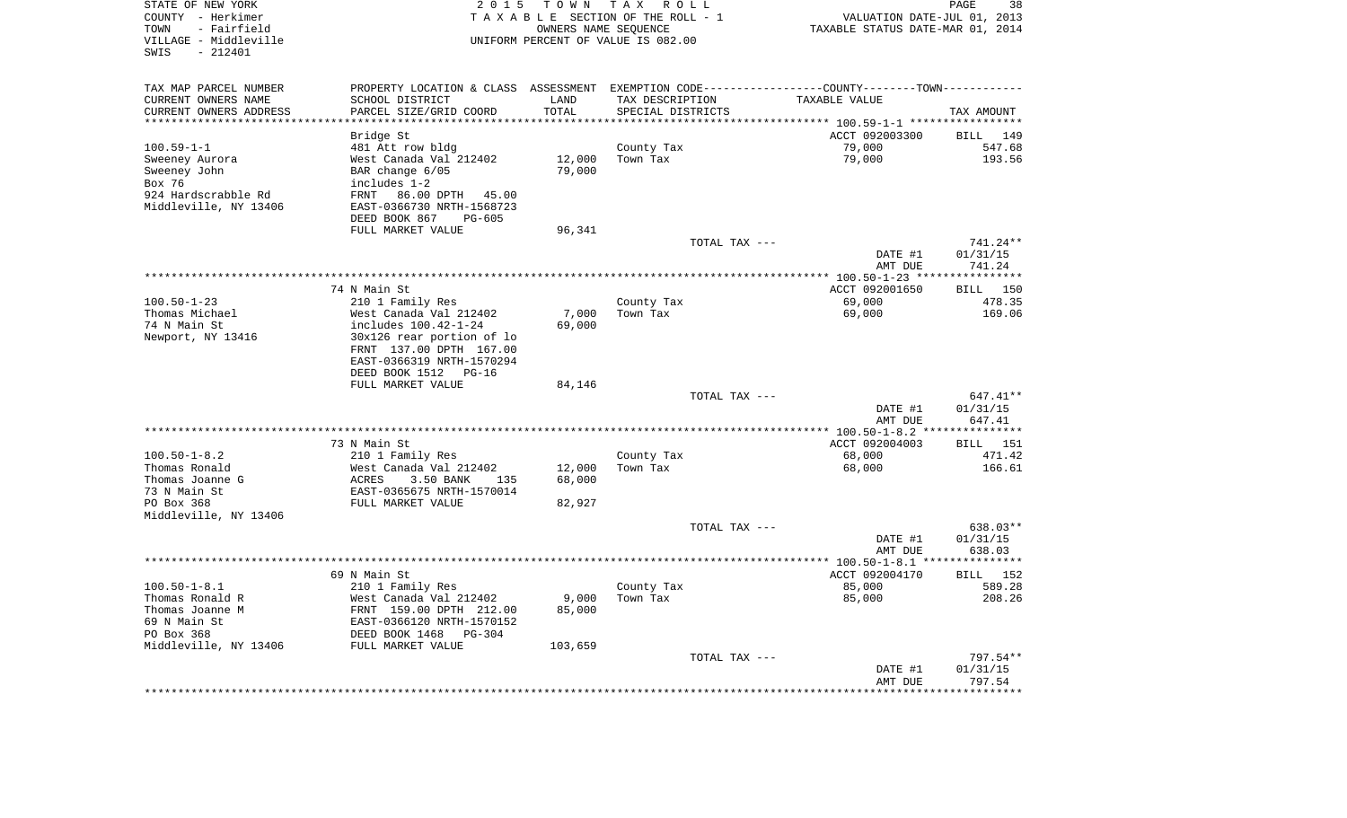| STATE OF NEW YORK<br>COUNTY - Herkimer<br>- Fairfield<br>TOWN<br>VILLAGE - Middleville<br>$-212401$<br>SWIS | 2 0 1 5                                                         | TOWN<br>OWNERS NAME SEQUENCE | T A X<br>R O L L<br>TAXABLE SECTION OF THE ROLL - 1<br>UNIFORM PERCENT OF VALUE IS 082.00 |               | VALUATION DATE-JUL 01, 2013<br>TAXABLE STATUS DATE-MAR 01, 2014 | PAGE<br>38         |
|-------------------------------------------------------------------------------------------------------------|-----------------------------------------------------------------|------------------------------|-------------------------------------------------------------------------------------------|---------------|-----------------------------------------------------------------|--------------------|
| TAX MAP PARCEL NUMBER                                                                                       | PROPERTY LOCATION & CLASS ASSESSMENT                            |                              |                                                                                           |               | EXEMPTION CODE-----------------COUNTY-------TOWN-----------     |                    |
| CURRENT OWNERS NAME<br>CURRENT OWNERS ADDRESS                                                               | SCHOOL DISTRICT<br>PARCEL SIZE/GRID COORD                       | LAND<br>TOTAL                | TAX DESCRIPTION<br>SPECIAL DISTRICTS                                                      |               | TAXABLE VALUE                                                   | TAX AMOUNT         |
| *********************                                                                                       | ***********************                                         | **********                   |                                                                                           |               |                                                                 |                    |
|                                                                                                             | Bridge St                                                       |                              |                                                                                           |               | ACCT 092003300                                                  | 149<br><b>BILL</b> |
| $100.59 - 1 - 1$                                                                                            | 481 Att row bldg                                                |                              | County Tax                                                                                |               | 79,000                                                          | 547.68             |
| Sweeney Aurora                                                                                              | West Canada Val 212402                                          | 12,000                       | Town Tax                                                                                  |               | 79,000                                                          | 193.56             |
| Sweeney John                                                                                                | BAR change 6/05                                                 | 79,000                       |                                                                                           |               |                                                                 |                    |
| Box 76                                                                                                      | includes 1-2                                                    |                              |                                                                                           |               |                                                                 |                    |
| 924 Hardscrabble Rd<br>Middleville, NY 13406                                                                | <b>FRNT</b><br>86.00 DPTH<br>45.00<br>EAST-0366730 NRTH-1568723 |                              |                                                                                           |               |                                                                 |                    |
|                                                                                                             | DEED BOOK 867<br>PG-605                                         |                              |                                                                                           |               |                                                                 |                    |
|                                                                                                             | FULL MARKET VALUE                                               | 96,341                       |                                                                                           |               |                                                                 |                    |
|                                                                                                             |                                                                 |                              |                                                                                           | TOTAL TAX --- |                                                                 | 741.24**           |
|                                                                                                             |                                                                 |                              |                                                                                           |               | DATE #1                                                         | 01/31/15           |
|                                                                                                             |                                                                 |                              |                                                                                           |               | AMT DUE                                                         | 741.24             |
|                                                                                                             |                                                                 |                              |                                                                                           |               |                                                                 | **********         |
|                                                                                                             | 74 N Main St                                                    |                              |                                                                                           |               | ACCT 092001650                                                  | 150<br>BILL        |
| $100.50 - 1 - 23$<br>Thomas Michael                                                                         | 210 1 Family Res<br>West Canada Val 212402                      | 7,000                        | County Tax<br>Town Tax                                                                    |               | 69,000<br>69,000                                                | 478.35<br>169.06   |
| 74 N Main St                                                                                                | includes 100.42-1-24                                            | 69,000                       |                                                                                           |               |                                                                 |                    |
| Newport, NY 13416                                                                                           | 30x126 rear portion of lo                                       |                              |                                                                                           |               |                                                                 |                    |
|                                                                                                             | FRNT 137.00 DPTH 167.00                                         |                              |                                                                                           |               |                                                                 |                    |
|                                                                                                             | EAST-0366319 NRTH-1570294                                       |                              |                                                                                           |               |                                                                 |                    |
|                                                                                                             | DEED BOOK 1512<br>$PG-16$                                       |                              |                                                                                           |               |                                                                 |                    |
|                                                                                                             | FULL MARKET VALUE                                               | 84,146                       |                                                                                           |               |                                                                 |                    |
|                                                                                                             |                                                                 |                              |                                                                                           | TOTAL TAX --- |                                                                 | 647.41**           |
|                                                                                                             |                                                                 |                              |                                                                                           |               | DATE #1<br>AMT DUE                                              | 01/31/15<br>647.41 |
|                                                                                                             |                                                                 |                              |                                                                                           |               |                                                                 | ********           |
|                                                                                                             | 73 N Main St                                                    |                              |                                                                                           |               | ACCT 092004003                                                  | 151<br><b>BILL</b> |
| $100.50 - 1 - 8.2$                                                                                          | 210 1 Family Res                                                |                              | County Tax                                                                                |               | 68,000                                                          | 471.42             |
| Thomas Ronald                                                                                               | West Canada Val 212402                                          | 12,000                       | Town Tax                                                                                  |               | 68,000                                                          | 166.61             |
| Thomas Joanne G                                                                                             | 3.50 BANK<br>ACRES<br>135                                       | 68,000                       |                                                                                           |               |                                                                 |                    |
| 73 N Main St                                                                                                | EAST-0365675 NRTH-1570014                                       |                              |                                                                                           |               |                                                                 |                    |
| PO Box 368                                                                                                  | FULL MARKET VALUE                                               | 82,927                       |                                                                                           |               |                                                                 |                    |
| Middleville, NY 13406                                                                                       |                                                                 |                              |                                                                                           | TOTAL TAX --- |                                                                 | 638.03**           |
|                                                                                                             |                                                                 |                              |                                                                                           |               | DATE #1                                                         | 01/31/15           |
|                                                                                                             |                                                                 |                              |                                                                                           |               | AMT DUE                                                         | 638.03             |
|                                                                                                             |                                                                 |                              |                                                                                           |               |                                                                 | *********          |
|                                                                                                             | 69 N Main St                                                    |                              |                                                                                           |               | ACCT 092004170                                                  | 152<br><b>BILL</b> |
| $100.50 - 1 - 8.1$                                                                                          | 210 1 Family Res                                                |                              | County Tax                                                                                |               | 85,000                                                          | 589.28             |
| Thomas Ronald R                                                                                             | West Canada Val 212402                                          | 9,000                        | Town Tax                                                                                  |               | 85,000                                                          | 208.26             |
| Thomas Joanne M<br>69 N Main St                                                                             | FRNT 159.00 DPTH 212.00<br>EAST-0366120 NRTH-1570152            | 85,000                       |                                                                                           |               |                                                                 |                    |
| PO Box 368                                                                                                  | DEED BOOK 1468<br>PG-304                                        |                              |                                                                                           |               |                                                                 |                    |
| Middleville, NY 13406                                                                                       | FULL MARKET VALUE                                               | 103,659                      |                                                                                           |               |                                                                 |                    |
|                                                                                                             |                                                                 |                              |                                                                                           | TOTAL TAX --- |                                                                 | 797.54**           |
|                                                                                                             |                                                                 |                              |                                                                                           |               | DATE #1                                                         | 01/31/15           |
|                                                                                                             |                                                                 |                              |                                                                                           |               | AMT DUE                                                         | 797.54             |
|                                                                                                             |                                                                 |                              |                                                                                           |               |                                                                 | *********          |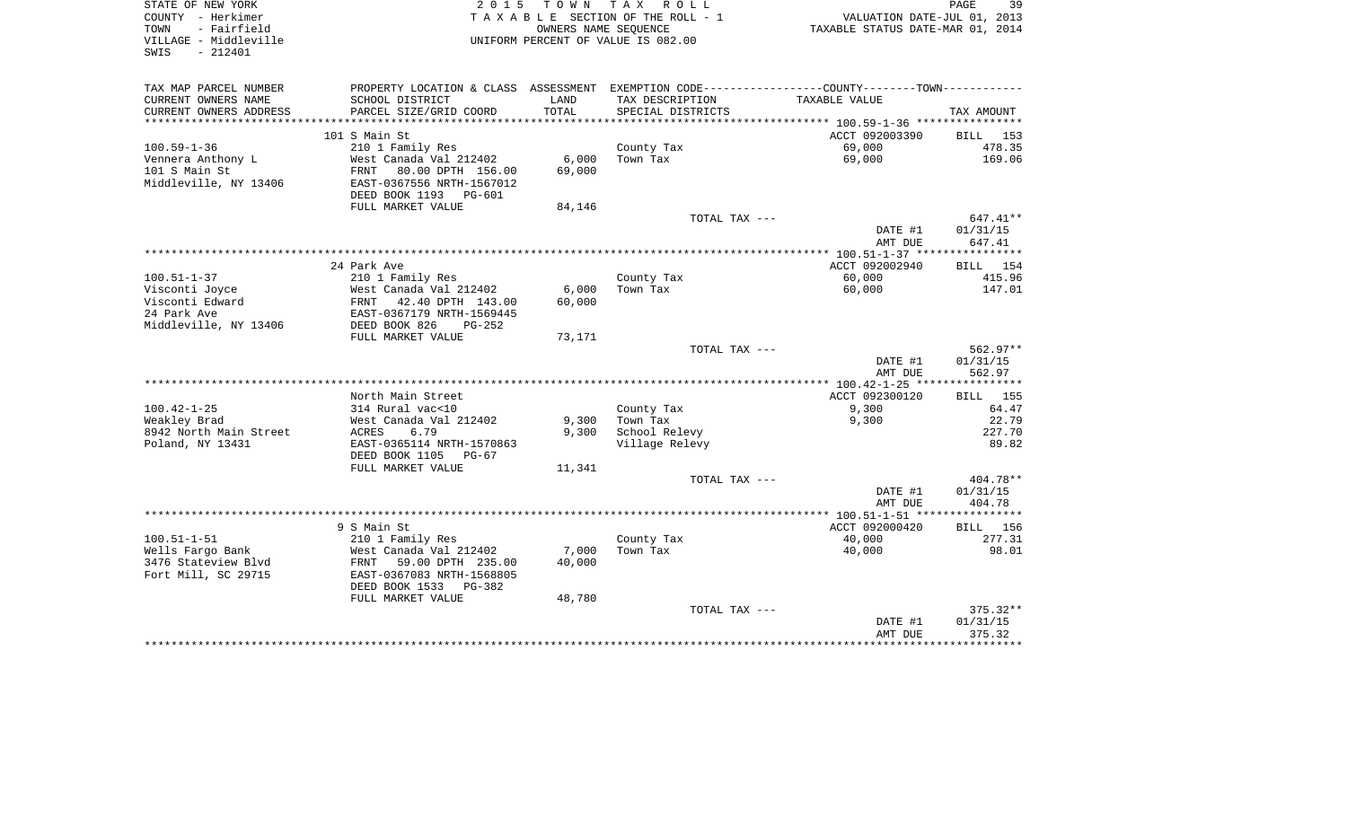| STATE OF NEW YORK<br>COUNTY - Herkimer<br>TOWN<br>- Fairfield<br>VILLAGE - Middleville<br>$-212401$<br>SWIS | 2 0 1 5                                    | T O W N<br>OWNERS NAME SEOUENCE | TAX ROLL<br>TAXABLE SECTION OF THE ROLL - 1<br>UNIFORM PERCENT OF VALUE IS 082.00 | VALUATION DATE-JUL 01, 2013<br>TAXABLE STATUS DATE-MAR 01, 2014                                 | 39<br>PAGE         |
|-------------------------------------------------------------------------------------------------------------|--------------------------------------------|---------------------------------|-----------------------------------------------------------------------------------|-------------------------------------------------------------------------------------------------|--------------------|
| TAX MAP PARCEL NUMBER                                                                                       |                                            |                                 |                                                                                   | PROPERTY LOCATION & CLASS ASSESSMENT EXEMPTION CODE----------------COUNTY--------TOWN---------- |                    |
| CURRENT OWNERS NAME                                                                                         | SCHOOL DISTRICT                            | LAND                            | TAX DESCRIPTION                                                                   | TAXABLE VALUE                                                                                   |                    |
| CURRENT OWNERS ADDRESS                                                                                      | PARCEL SIZE/GRID COORD                     | TOTAL                           | SPECIAL DISTRICTS                                                                 |                                                                                                 | TAX AMOUNT         |
| ************************                                                                                    |                                            |                                 |                                                                                   |                                                                                                 |                    |
| $100.59 - 1 - 36$                                                                                           | 101 S Main St                              |                                 |                                                                                   | ACCT 092003390<br>69,000                                                                        | BILL 153<br>478.35 |
| Vennera Anthony L                                                                                           | 210 1 Family Res<br>West Canada Val 212402 | 6,000                           | County Tax<br>Town Tax                                                            | 69,000                                                                                          | 169.06             |
| 101 S Main St                                                                                               | 80.00 DPTH 156.00<br>FRNT                  | 69,000                          |                                                                                   |                                                                                                 |                    |
| Middleville, NY 13406                                                                                       | EAST-0367556 NRTH-1567012                  |                                 |                                                                                   |                                                                                                 |                    |
|                                                                                                             | DEED BOOK 1193<br>PG-601                   |                                 |                                                                                   |                                                                                                 |                    |
|                                                                                                             | FULL MARKET VALUE                          | 84,146                          |                                                                                   |                                                                                                 |                    |
|                                                                                                             |                                            |                                 | TOTAL TAX ---                                                                     |                                                                                                 | $647.41**$         |
|                                                                                                             |                                            |                                 |                                                                                   | DATE #1                                                                                         | 01/31/15           |
|                                                                                                             |                                            |                                 |                                                                                   | AMT DUE                                                                                         | 647.41             |
|                                                                                                             |                                            |                                 |                                                                                   |                                                                                                 |                    |
|                                                                                                             | 24 Park Ave                                |                                 |                                                                                   | ACCT 092002940                                                                                  | BILL 154           |
| $100.51 - 1 - 37$                                                                                           | 210 1 Family Res<br>West Canada Val 212402 | 6,000                           | County Tax<br>Town Tax                                                            | 60,000<br>60,000                                                                                | 415.96<br>147.01   |
| Visconti Joyce<br>Visconti Edward                                                                           | FRNT<br>42.40 DPTH 143.00                  | 60,000                          |                                                                                   |                                                                                                 |                    |
| 24 Park Ave                                                                                                 | EAST-0367179 NRTH-1569445                  |                                 |                                                                                   |                                                                                                 |                    |
| Middleville, NY 13406                                                                                       | DEED BOOK 826<br>$PG-252$                  |                                 |                                                                                   |                                                                                                 |                    |
|                                                                                                             | FULL MARKET VALUE                          | 73,171                          |                                                                                   |                                                                                                 |                    |
|                                                                                                             |                                            |                                 | TOTAL TAX ---                                                                     |                                                                                                 | $562.97**$         |
|                                                                                                             |                                            |                                 |                                                                                   | DATE #1                                                                                         | 01/31/15           |
|                                                                                                             |                                            |                                 |                                                                                   | AMT DUE                                                                                         | 562.97             |
|                                                                                                             |                                            |                                 |                                                                                   |                                                                                                 | * * * * * * * * *  |
|                                                                                                             | North Main Street                          |                                 |                                                                                   | ACCT 092300120                                                                                  | <b>BILL</b> 155    |
| $100.42 - 1 - 25$                                                                                           | 314 Rural vac<10<br>West Canada Val 212402 | 9,300                           | County Tax<br>Town Tax                                                            | 9,300<br>9,300                                                                                  | 64.47<br>22.79     |
| Weakley Brad<br>8942 North Main Street                                                                      | ACRES<br>6.79                              | 9,300                           | School Relevy                                                                     |                                                                                                 | 227.70             |
| Poland, NY 13431                                                                                            | EAST-0365114 NRTH-1570863                  |                                 | Village Relevy                                                                    |                                                                                                 | 89.82              |
|                                                                                                             | DEED BOOK 1105<br>$PG-67$                  |                                 |                                                                                   |                                                                                                 |                    |
|                                                                                                             | FULL MARKET VALUE                          | 11,341                          |                                                                                   |                                                                                                 |                    |
|                                                                                                             |                                            |                                 | TOTAL TAX ---                                                                     |                                                                                                 | 404.78**           |
|                                                                                                             |                                            |                                 |                                                                                   | DATE #1                                                                                         | 01/31/15           |
|                                                                                                             |                                            |                                 |                                                                                   | AMT DUE                                                                                         | 404.78             |
|                                                                                                             |                                            |                                 |                                                                                   |                                                                                                 |                    |
|                                                                                                             | 9 S Main St                                |                                 |                                                                                   | ACCT 092000420                                                                                  | BILL 156           |
| $100.51 - 1 - 51$<br>Wells Fargo Bank                                                                       | 210 1 Family Res<br>West Canada Val 212402 | 7,000                           | County Tax<br>Town Tax                                                            | 40,000<br>40,000                                                                                | 277.31<br>98.01    |
| 3476 Stateview Blvd                                                                                         | FRNT<br>59.00 DPTH 235.00                  | 40,000                          |                                                                                   |                                                                                                 |                    |
| Fort Mill, SC 29715                                                                                         | EAST-0367083 NRTH-1568805                  |                                 |                                                                                   |                                                                                                 |                    |
|                                                                                                             | DEED BOOK 1533<br>PG-382                   |                                 |                                                                                   |                                                                                                 |                    |
|                                                                                                             | FULL MARKET VALUE                          | 48,780                          |                                                                                   |                                                                                                 |                    |
|                                                                                                             |                                            |                                 | TOTAL TAX ---                                                                     |                                                                                                 | $375.32**$         |
|                                                                                                             |                                            |                                 |                                                                                   | DATE #1                                                                                         | 01/31/15           |
|                                                                                                             |                                            |                                 |                                                                                   | AMT DUE                                                                                         | 375.32             |
|                                                                                                             |                                            |                                 |                                                                                   |                                                                                                 |                    |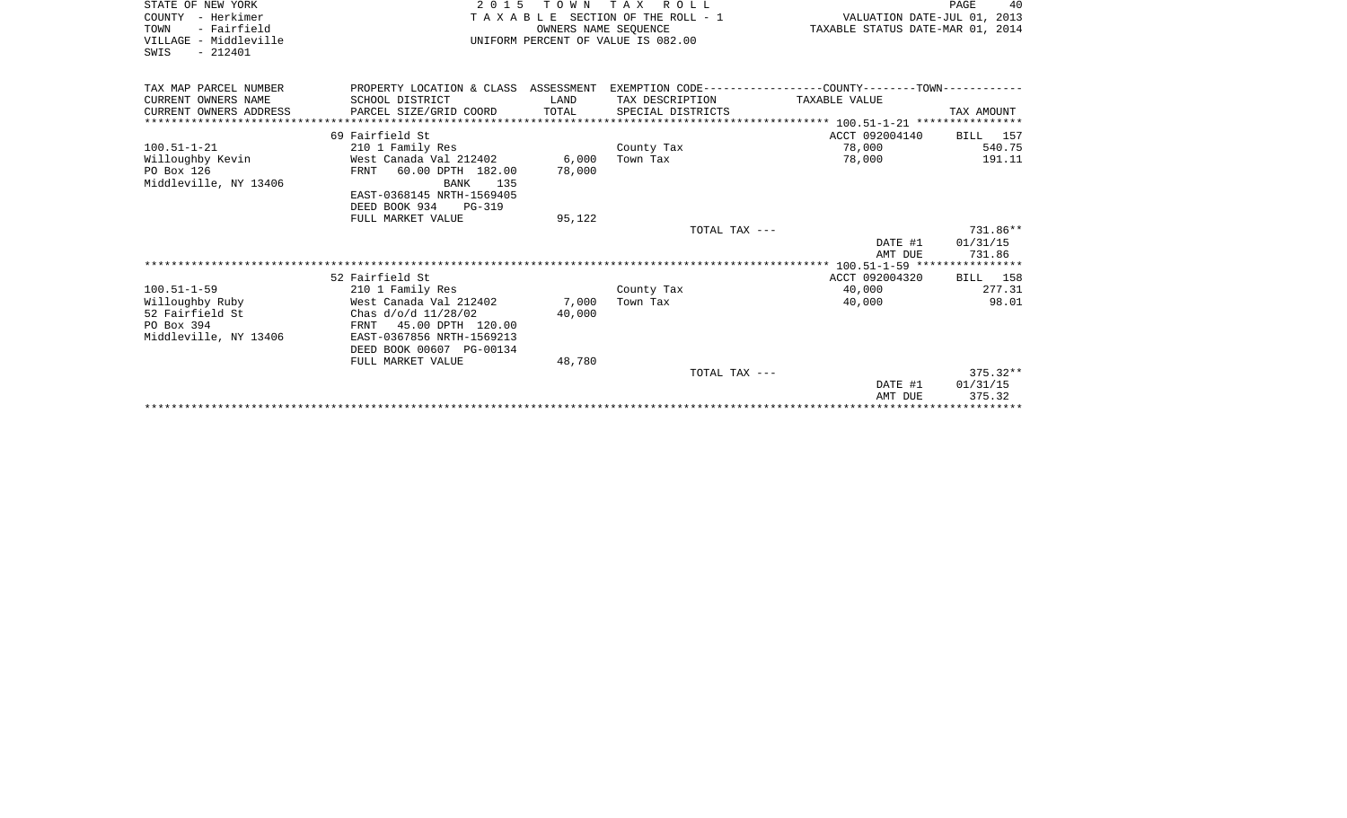| STATE OF NEW YORK<br>COUNTY - Herkimer                                                         | 2015 TOWN TAX ROLL<br>TAXABLE SECTION OF THE ROLL - 1                                                                                                  | VALUATION DATE-JUL 01, 2013 | 40<br>PAGE                           |                                  |                                |
|------------------------------------------------------------------------------------------------|--------------------------------------------------------------------------------------------------------------------------------------------------------|-----------------------------|--------------------------------------|----------------------------------|--------------------------------|
| - Fairfield<br>TOWN<br>VILLAGE - Middleville<br>SWIS<br>$-212401$                              |                                                                                                                                                        | OWNERS NAME SEOUENCE        | UNIFORM PERCENT OF VALUE IS 082.00   | TAXABLE STATUS DATE-MAR 01, 2014 |                                |
| TAX MAP PARCEL NUMBER                                                                          | PROPERTY LOCATION & CLASS ASSESSMENT EXEMPTION CODE----------------COUNTY-------TOWN----------                                                         |                             |                                      |                                  |                                |
| CURRENT OWNERS NAME<br>CURRENT OWNERS ADDRESS                                                  | SCHOOL DISTRICT<br>PARCEL SIZE/GRID COORD                                                                                                              | LAND<br>TOTAL               | TAX DESCRIPTION<br>SPECIAL DISTRICTS | TAXABLE VALUE                    | TAX AMOUNT                     |
|                                                                                                | 69 Fairfield St                                                                                                                                        |                             |                                      | ACCT 092004140                   | BILL 157                       |
| $100.51 - 1 - 21$<br>Willoughby Kevin<br>PO Box 126<br>Middleville, NY 13406                   | 210 1 Family Res<br>West Canada Val 212402<br>FRNT<br>60.00 DPTH 182.00<br>BANK<br>135<br>EAST-0368145 NRTH-1569405<br>DEED BOOK 934 PG-319            | 6,000<br>78,000             | County Tax<br>Town Tax               | 78,000<br>78,000                 | 540.75<br>191.11               |
|                                                                                                | FULL MARKET VALUE                                                                                                                                      | 95,122                      |                                      |                                  |                                |
|                                                                                                |                                                                                                                                                        |                             | TOTAL TAX ---                        | DATE #1<br>AMT DUE               | 731.86**<br>01/31/15<br>731.86 |
|                                                                                                |                                                                                                                                                        |                             |                                      |                                  |                                |
|                                                                                                | 52 Fairfield St                                                                                                                                        |                             |                                      | ACCT 092004320                   | BILL 158                       |
| $100.51 - 1 - 59$<br>Willoughby Ruby<br>52 Fairfield St<br>PO Box 394<br>Middleville, NY 13406 | 210 1 Family Res<br>West Canada Val 212402<br>Chas $d/o/d$ 11/28/02<br>FRNT 45.00 DPTH 120.00<br>EAST-0367856 NRTH-1569213<br>DEED BOOK 00607 PG-00134 | 7,000<br>40,000             | County Tax<br>Town Tax               | 40,000<br>40,000                 | 277.31<br>98.01                |
|                                                                                                | FULL MARKET VALUE                                                                                                                                      | 48,780                      |                                      |                                  | $375.32**$                     |
|                                                                                                |                                                                                                                                                        |                             | TOTAL TAX ---                        | DATE #1<br>AMT DUE               | 01/31/15<br>375.32             |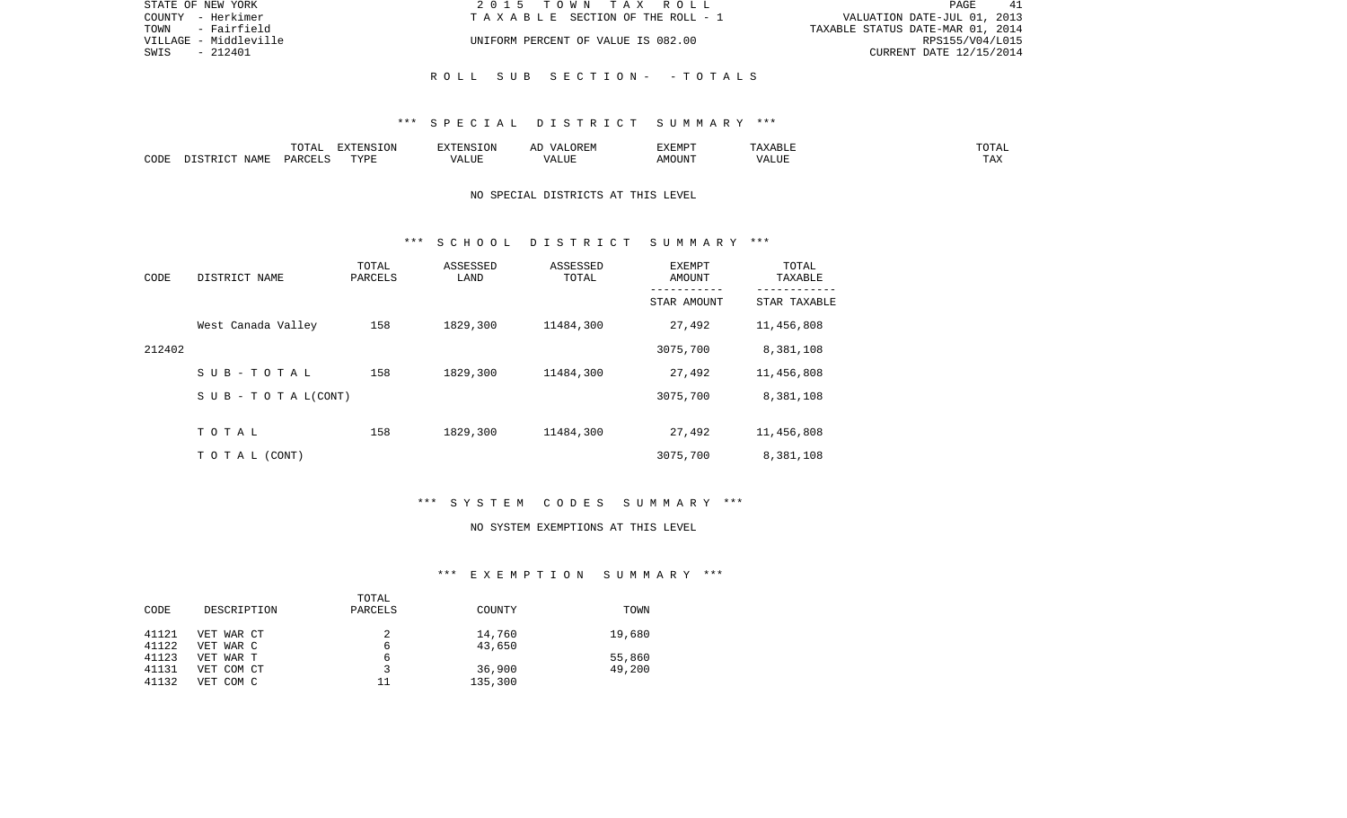| STATE OF NEW YORK     | 2015 TOWN TAX ROLL                 | 41<br>PAGE                       |
|-----------------------|------------------------------------|----------------------------------|
| COUNTY - Herkimer     | TAXABLE SECTION OF THE ROLL - 1    | VALUATION DATE-JUL 01, 2013      |
| - Fairfield<br>TOWN   |                                    | TAXABLE STATUS DATE-MAR 01, 2014 |
| VILLAGE - Middleville | UNIFORM PERCENT OF VALUE IS 082.00 | RPS155/V04/L015                  |
| - 212401<br>SWIS      |                                    | CURRENT DATE 12/15/2014          |
|                       |                                    |                                  |
|                       | ROLL SUB SECTION- - TOTALS         |                                  |

|      |                    | ----            | <b>FYTEMCTOM</b><br>ιn |       | T/TTMTD<br>YFMR | $\wedge$ $\sqcup$ |  |
|------|--------------------|-----------------|------------------------|-------|-----------------|-------------------|--|
| CODE | <b>NAME</b><br>. . | <b>DARCEL</b> C | PVDE                   | $-77$ | .)UN"           |                   |  |

## NO SPECIAL DISTRICTS AT THIS LEVEL

### \*\*\* S C H O O L D I S T R I C T S U M M A R Y \*\*\*

| CODE   | DISTRICT NAME             | TOTAL<br>PARCELS | ASSESSED<br>LAND | ASSESSED<br>TOTAL | EXEMPT<br>AMOUNT | TOTAL<br>TAXABLE<br>-------- |
|--------|---------------------------|------------------|------------------|-------------------|------------------|------------------------------|
|        |                           |                  |                  |                   | STAR AMOUNT      | STAR TAXABLE                 |
|        | West Canada Valley        | 158              | 1829,300         | 11484,300         | 27,492           | 11,456,808                   |
| 212402 |                           |                  |                  |                   | 3075,700         | 8,381,108                    |
|        | SUB-TOTAL                 | 158              | 1829,300         | 11484,300         | 27,492           | 11,456,808                   |
|        | S U B - T O T A $L(CONT)$ |                  |                  |                   | 3075,700         | 8,381,108                    |
|        |                           |                  |                  |                   |                  |                              |
|        | TOTAL                     | 158              | 1829,300         | 11484,300         | 27,492           | 11,456,808                   |
|        | T O T A L (CONT)          |                  |                  |                   | 3075,700         | 8,381,108                    |

# \*\*\* S Y S T E M C O D E S S U M M A R Y \*\*\*

#### NO SYSTEM EXEMPTIONS AT THIS LEVEL

# \*\*\* E X E M P T I O N S U M M A R Y \*\*\*

|       |             | TOTAL   |         |        |
|-------|-------------|---------|---------|--------|
| CODE  | DESCRIPTION | PARCELS | COUNTY  | TOWN   |
| 41121 | VET WAR CT  |         | 14,760  | 19,680 |
| 41122 | VET WAR C   | 6       | 43,650  |        |
| 41123 | VET WAR T   | 6       |         | 55,860 |
| 41131 | VET COM CT  |         | 36,900  | 49,200 |
| 41132 | VET COM C   | 11      | 135,300 |        |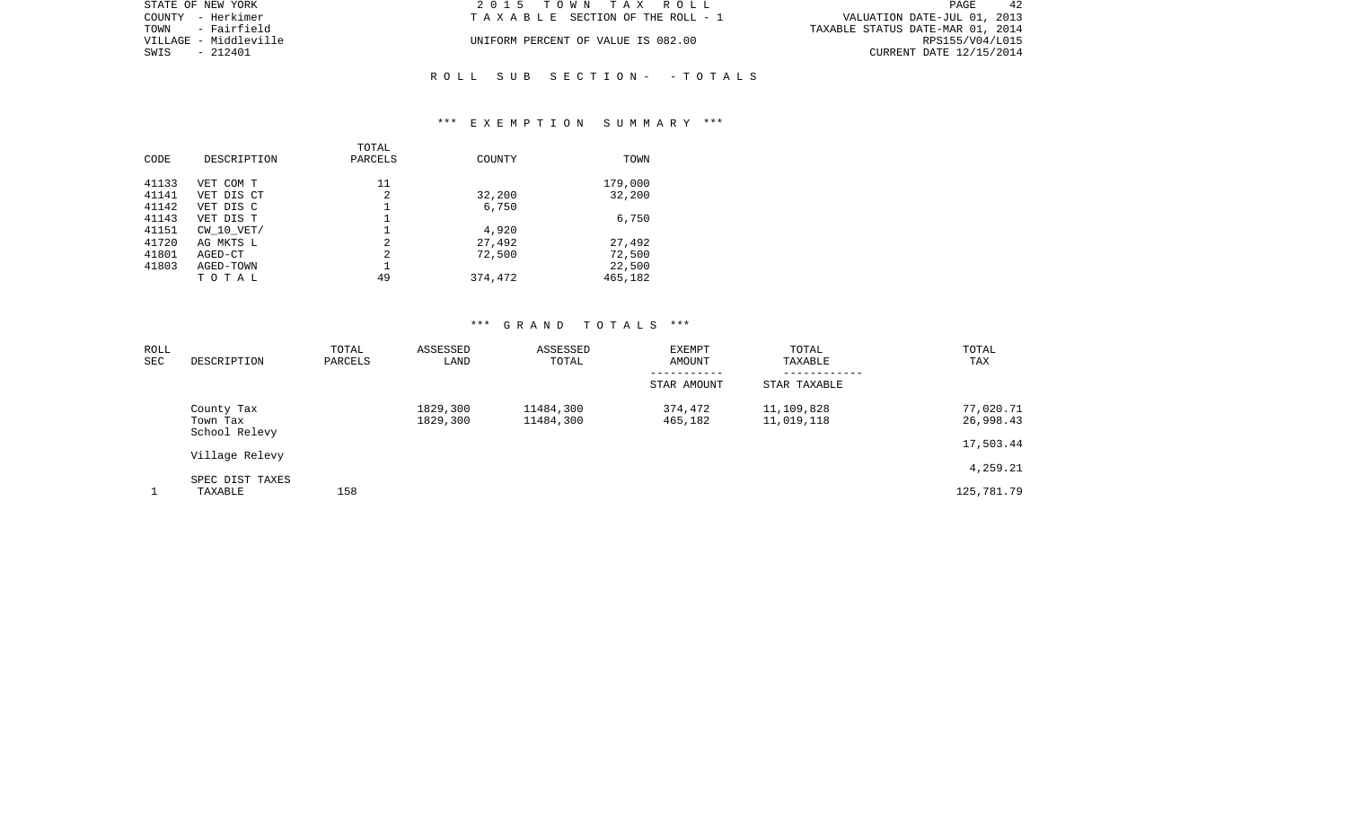| STATE OF NEW YORK     | 2015 TOWN TAX ROLL                 | 42<br><b>PAGE</b>                |
|-----------------------|------------------------------------|----------------------------------|
| COUNTY - Herkimer     | TAXABLE SECTION OF THE ROLL - 1    | VALUATION DATE-JUL 01, 2013      |
| TOWN<br>- Fairfield   |                                    | TAXABLE STATUS DATE-MAR 01, 2014 |
| VILLAGE - Middleville | UNIFORM PERCENT OF VALUE IS 082.00 | RPS155/V04/L015                  |
| SWIS<br>- 212401      |                                    | CURRENT DATE 12/15/2014          |
|                       |                                    |                                  |

## \*\*\* E X E M P T I O N S U M M A R Y \*\*\*

R O L L S U B S E C T I O N - - T O T A L S

| CODE  | DESCRIPTION    | TOTAL<br>PARCELS | COUNTY  | TOWN    |
|-------|----------------|------------------|---------|---------|
| 41133 | VET COM T      | 11               |         | 179,000 |
| 41141 | VET DIS CT     | 2                | 32,200  | 32,200  |
| 41142 | VET DIS C      |                  | 6,750   |         |
| 41143 | VET DIS T      |                  |         | 6,750   |
| 41151 | $CW$ 10 $VET/$ |                  | 4,920   |         |
| 41720 | AG MKTS L      | 2                | 27,492  | 27,492  |
| 41801 | AGED-CT        | 2                | 72,500  | 72,500  |
| 41803 | AGED-TOWN      |                  |         | 22,500  |
|       | TOTAL          | 49               | 374,472 | 465,182 |
|       |                |                  |         |         |

| ROLL<br><b>SEC</b> | DESCRIPTION                             | TOTAL<br>PARCELS | ASSESSED<br>LAND     | ASSESSED<br>TOTAL      | EXEMPT<br>AMOUNT   | TOTAL<br>TAXABLE         | TOTAL<br>TAX           |
|--------------------|-----------------------------------------|------------------|----------------------|------------------------|--------------------|--------------------------|------------------------|
|                    |                                         |                  |                      |                        | STAR AMOUNT        | STAR TAXABLE             |                        |
|                    | County Tax<br>Town Tax<br>School Relevy |                  | 1829,300<br>1829,300 | 11484,300<br>11484,300 | 374,472<br>465,182 | 11,109,828<br>11,019,118 | 77,020.71<br>26,998.43 |
|                    | Village Relevy                          |                  |                      |                        |                    |                          | 17,503.44              |
|                    |                                         |                  |                      |                        |                    |                          | 4,259.21               |
|                    | SPEC DIST TAXES<br>TAXABLE              | 158              |                      |                        |                    |                          | 125,781.79             |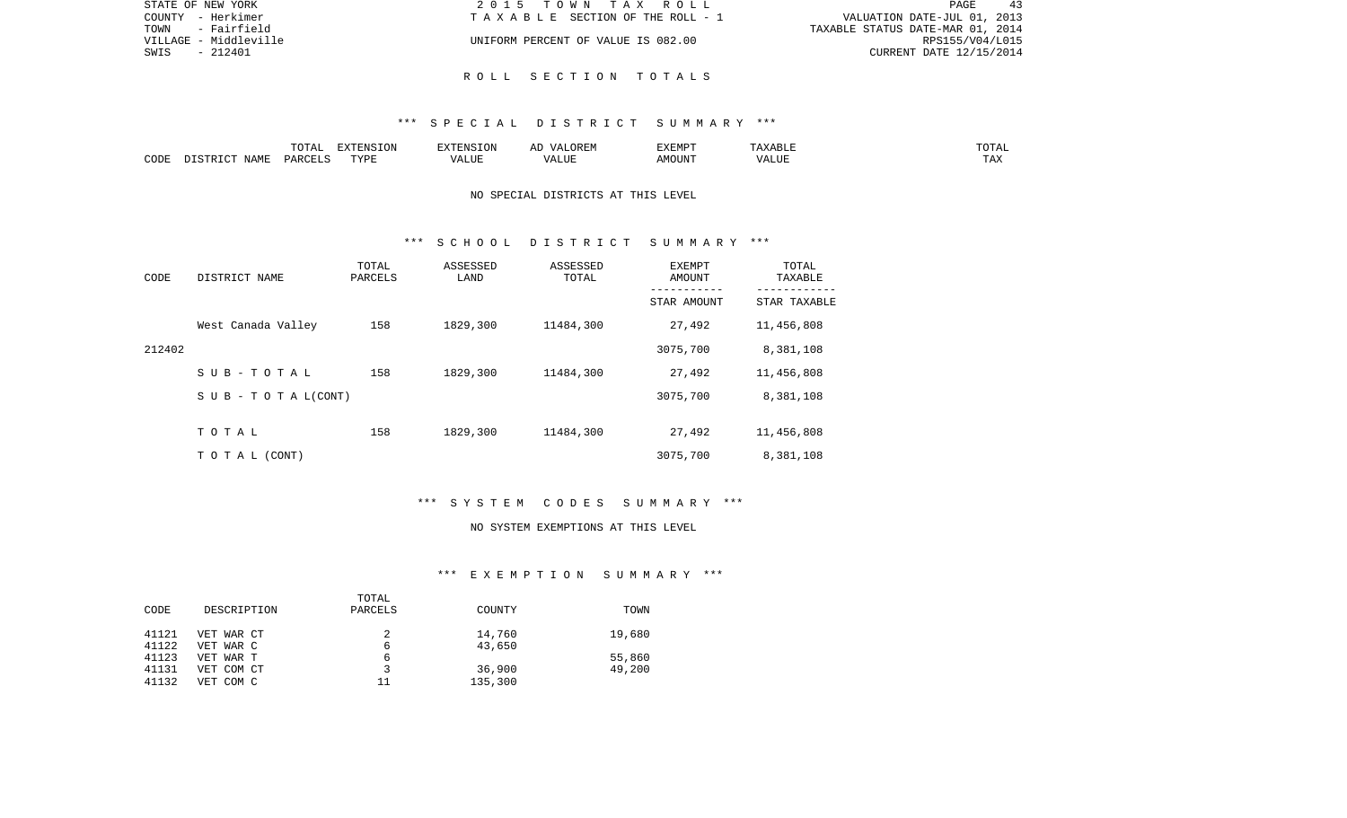| STATE OF NEW YORK     | 2015 TOWN TAX ROLL                 | -43<br>PAGE                      |
|-----------------------|------------------------------------|----------------------------------|
| COUNTY - Herkimer     | TAXABLE SECTION OF THE ROLL - 1    | VALUATION DATE-JUL 01, 2013      |
| - Fairfield<br>TOWN   |                                    | TAXABLE STATUS DATE-MAR 01, 2014 |
| VILLAGE - Middleville | UNIFORM PERCENT OF VALUE IS 082.00 | RPS155/V04/L015                  |
| - 212401<br>SWIS      |                                    | CURRENT DATE 12/15/2014          |
|                       |                                    |                                  |

R O L L S E C T I O N T O T A L S

|      |                    | $H \cap H$<br>$\cdots$<br>. U 1 1 1 1 | סוותחצת<br><b>ION</b> |       | UKLIY                                  | F.XFMP'<br>∸∡∡⊥ | A           | .              |
|------|--------------------|---------------------------------------|-----------------------|-------|----------------------------------------|-----------------|-------------|----------------|
| CODE | JAME<br>$\sqrt{2}$ | $\Box$ $\Box$ $\Box$ $\Box$ $\Box$    | <b>TITZD</b><br>.     | ALUF. | " TTT.<br>$\sqrt{2}$<br>. . <i>.</i> . | MC<br>OUN.      | 77T<br>Anur | max<br>د د د . |

## NO SPECIAL DISTRICTS AT THIS LEVEL

### \*\*\* S C H O O L D I S T R I C T S U M M A R Y \*\*\*

| CODE   | DISTRICT NAME             | TOTAL<br>PARCELS | ASSESSED<br>LAND | ASSESSED<br>TOTAL | EXEMPT<br>AMOUNT | TOTAL<br>TAXABLE |
|--------|---------------------------|------------------|------------------|-------------------|------------------|------------------|
|        |                           |                  |                  |                   | STAR AMOUNT      | STAR TAXABLE     |
|        | West Canada Valley        | 158              | 1829,300         | 11484,300         | 27,492           | 11,456,808       |
| 212402 |                           |                  |                  |                   | 3075,700         | 8,381,108        |
|        | $S$ U B - T O T A L       | 158              | 1829,300         | 11484,300         | 27,492           | 11,456,808       |
|        | S U B - T O T A $L(CONT)$ |                  |                  |                   | 3075,700         | 8,381,108        |
|        |                           |                  |                  |                   |                  |                  |
|        | TOTAL                     | 158              | 1829,300         | 11484,300         | 27,492           | 11,456,808       |
|        | TO TAL (CONT)             |                  |                  |                   | 3075,700         | 8,381,108        |

# \*\*\* S Y S T E M C O D E S S U M M A R Y \*\*\*

#### NO SYSTEM EXEMPTIONS AT THIS LEVEL

# \*\*\* E X E M P T I O N S U M M A R Y \*\*\*

| TOWN   |
|--------|
|        |
| 19,680 |
|        |
| 55,860 |
| 49,200 |
|        |
|        |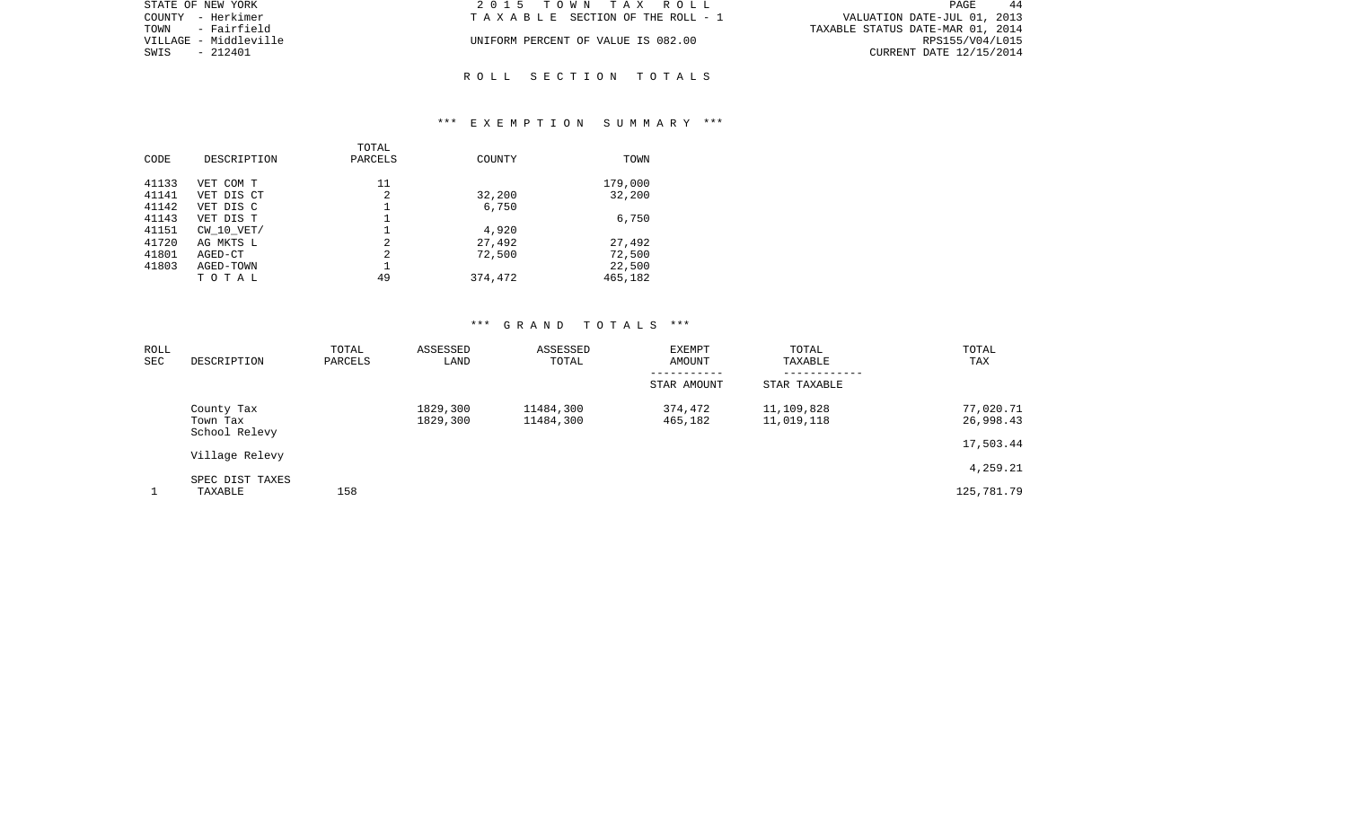| STATE OF NEW YORK     | 2015 TOWN TAX ROLL                 | PAGE<br>-44                      |
|-----------------------|------------------------------------|----------------------------------|
| COUNTY - Herkimer     | TAXABLE SECTION OF THE ROLL - 1    | VALUATION DATE-JUL 01, 2013      |
| TOWN<br>- Fairfield   |                                    | TAXABLE STATUS DATE-MAR 01, 2014 |
| VILLAGE - Middleville | UNIFORM PERCENT OF VALUE IS 082.00 | RPS155/V04/L015                  |
| SWIS<br>- 212401      |                                    | CURRENT DATE 12/15/2014          |
|                       |                                    |                                  |

## \*\*\* E X E M P T I O N S U M M A R Y \*\*\*

R O L L S E C T I O N T O T A L S

| CODE  | DESCRIPTION    | TOTAL<br>PARCELS | COUNTY  | TOWN    |
|-------|----------------|------------------|---------|---------|
|       |                |                  |         |         |
| 41133 | VET COM T      | 11               |         | 179,000 |
| 41141 | VET DIS CT     | 2                | 32,200  | 32,200  |
| 41142 | VET DIS C      |                  | 6,750   |         |
| 41143 | VET DIS T      |                  |         | 6,750   |
| 41151 | $CW$ 10 $VET/$ |                  | 4,920   |         |
| 41720 | AG MKTS L      | 2                | 27,492  | 27,492  |
| 41801 | AGED-CT        | 2                | 72,500  | 72,500  |
| 41803 | AGED-TOWN      |                  |         | 22,500  |
|       | TOTAL          | 49               | 374,472 | 465,182 |
|       |                |                  |         |         |

| ROLL<br><b>SEC</b> | DESCRIPTION                             | TOTAL<br>PARCELS | ASSESSED<br>LAND     | ASSESSED<br>TOTAL      | <b>EXEMPT</b><br>AMOUNT | TOTAL<br>TAXABLE         | TOTAL<br>TAX           |
|--------------------|-----------------------------------------|------------------|----------------------|------------------------|-------------------------|--------------------------|------------------------|
|                    |                                         |                  |                      |                        | STAR AMOUNT             | STAR TAXABLE             |                        |
|                    | County Tax<br>Town Tax<br>School Relevy |                  | 1829,300<br>1829,300 | 11484,300<br>11484,300 | 374,472<br>465,182      | 11,109,828<br>11,019,118 | 77,020.71<br>26,998.43 |
|                    | Village Relevy                          |                  |                      |                        |                         |                          | 17,503.44              |
|                    | SPEC DIST TAXES                         |                  |                      |                        |                         |                          | 4,259.21               |
|                    | TAXABLE                                 | 158              |                      |                        |                         |                          | 125,781.79             |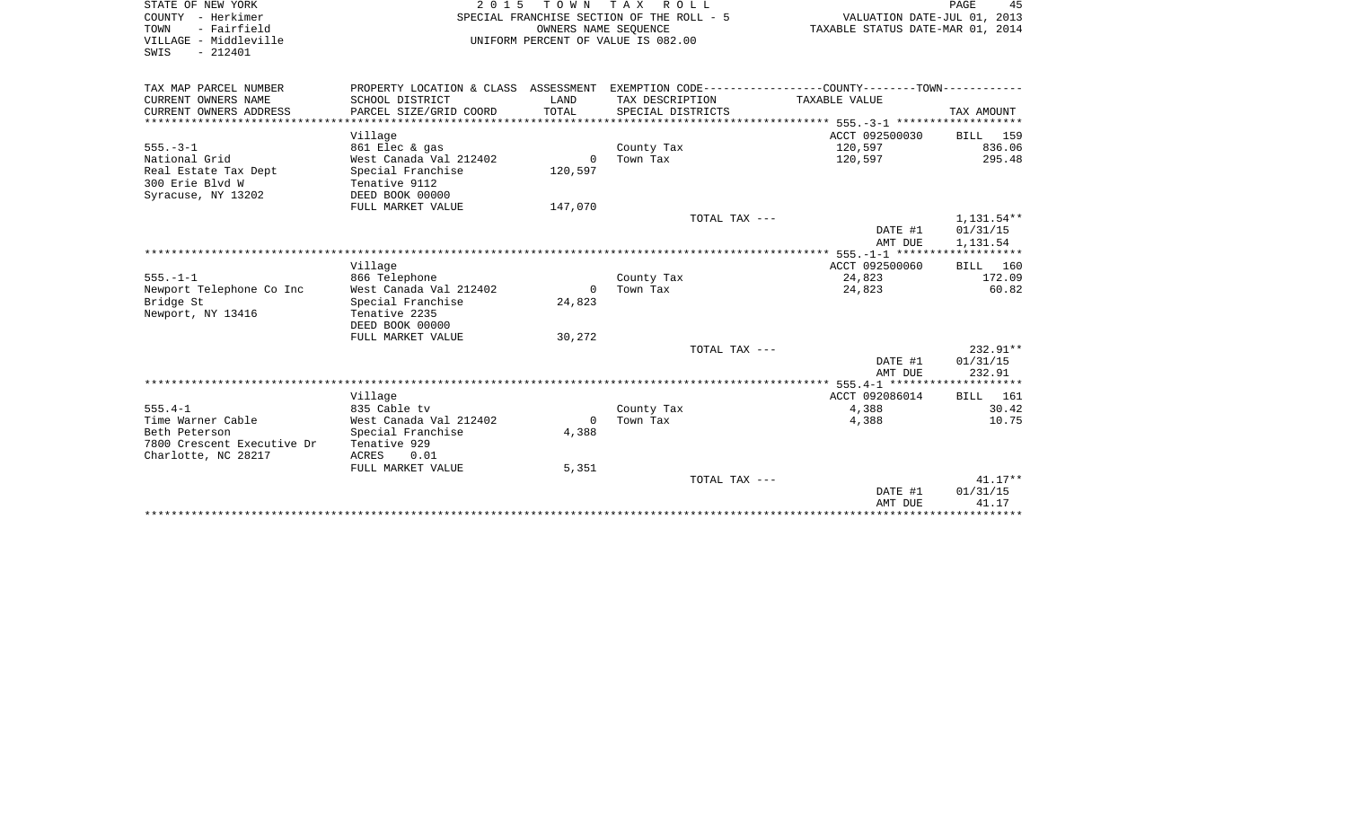| STATE OF NEW YORK<br>COUNTY - Herkimer<br>- Fairfield<br>TOWN<br>VILLAGE - Middleville<br>SWIS<br>$-212401$ | 2 0 1 5                              | TOWN TAX | R O L L<br>SPECIAL FRANCHISE SECTION OF THE ROLL - 5<br>OWNERS NAME SEOUENCE<br>UNIFORM PERCENT OF VALUE IS 082.00 | VALUATION DATE-JUL 01, 2013<br>TAXABLE STATUS DATE-MAR 01, 2014 | 45<br>PAGE         |
|-------------------------------------------------------------------------------------------------------------|--------------------------------------|----------|--------------------------------------------------------------------------------------------------------------------|-----------------------------------------------------------------|--------------------|
| TAX MAP PARCEL NUMBER                                                                                       | PROPERTY LOCATION & CLASS ASSESSMENT |          |                                                                                                                    | EXEMPTION CODE-----------------COUNTY-------TOWN-----------     |                    |
| CURRENT OWNERS NAME                                                                                         | SCHOOL DISTRICT                      | LAND     | TAX DESCRIPTION                                                                                                    | TAXABLE VALUE                                                   |                    |
| CURRENT OWNERS ADDRESS                                                                                      | PARCEL SIZE/GRID COORD               | TOTAL    | SPECIAL DISTRICTS                                                                                                  |                                                                 | TAX AMOUNT         |
| ***********************                                                                                     |                                      |          |                                                                                                                    |                                                                 |                    |
|                                                                                                             | Village                              |          |                                                                                                                    | ACCT 092500030                                                  | BILL 159           |
| $555. - 3 - 1$                                                                                              | 861 Elec & gas                       |          | County Tax                                                                                                         | 120,597                                                         | 836.06             |
| National Grid                                                                                               | West Canada Val 212402               | 0        | Town Tax                                                                                                           | 120,597                                                         | 295.48             |
| Real Estate Tax Dept<br>300 Erie Blyd W                                                                     | Special Franchise<br>Tenative 9112   | 120,597  |                                                                                                                    |                                                                 |                    |
| Syracuse, NY 13202                                                                                          | DEED BOOK 00000                      |          |                                                                                                                    |                                                                 |                    |
|                                                                                                             | FULL MARKET VALUE                    | 147,070  |                                                                                                                    |                                                                 |                    |
|                                                                                                             |                                      |          | TOTAL TAX ---                                                                                                      |                                                                 | 1,131.54**         |
|                                                                                                             |                                      |          |                                                                                                                    | DATE #1                                                         | 01/31/15           |
|                                                                                                             |                                      |          |                                                                                                                    | AMT DUE                                                         | 1,131.54           |
|                                                                                                             |                                      |          |                                                                                                                    |                                                                 |                    |
|                                                                                                             | Village                              |          |                                                                                                                    | ACCT 092500060                                                  | 160<br>BILL        |
| $555. - 1 - 1$                                                                                              | 866 Telephone                        |          | County Tax                                                                                                         | 24,823                                                          | 172.09             |
| Newport Telephone Co Inc                                                                                    | West Canada Val 212402               | $\Omega$ | Town Tax                                                                                                           | 24,823                                                          | 60.82              |
| Bridge St                                                                                                   | Special Franchise                    | 24,823   |                                                                                                                    |                                                                 |                    |
| Newport, NY 13416                                                                                           | Tenative 2235                        |          |                                                                                                                    |                                                                 |                    |
|                                                                                                             | DEED BOOK 00000                      |          |                                                                                                                    |                                                                 |                    |
|                                                                                                             | FULL MARKET VALUE                    | 30,272   |                                                                                                                    |                                                                 |                    |
|                                                                                                             |                                      |          | TOTAL TAX ---                                                                                                      |                                                                 | 232.91**           |
|                                                                                                             |                                      |          |                                                                                                                    | DATE #1                                                         | 01/31/15           |
|                                                                                                             |                                      |          |                                                                                                                    | AMT DUE                                                         | 232.91             |
|                                                                                                             | Village                              |          |                                                                                                                    | ACCT 092086014                                                  | 161<br><b>BILL</b> |
| $555.4 - 1$                                                                                                 | 835 Cable tv                         |          | County Tax                                                                                                         | 4,388                                                           | 30.42              |
| Time Warner Cable                                                                                           | West Canada Val 212402               | $\Omega$ | Town Tax                                                                                                           | 4,388                                                           | 10.75              |
| Beth Peterson                                                                                               | Special Franchise                    | 4,388    |                                                                                                                    |                                                                 |                    |
| 7800 Crescent Executive Dr                                                                                  | Tenative 929                         |          |                                                                                                                    |                                                                 |                    |
| Charlotte, NC 28217                                                                                         | <b>ACRES</b><br>0.01                 |          |                                                                                                                    |                                                                 |                    |
|                                                                                                             | FULL MARKET VALUE                    | 5,351    |                                                                                                                    |                                                                 |                    |
|                                                                                                             |                                      |          | TOTAL TAX ---                                                                                                      |                                                                 | $41.17**$          |
|                                                                                                             |                                      |          |                                                                                                                    | DATE #1                                                         | 01/31/15           |
|                                                                                                             |                                      |          |                                                                                                                    | AMT DUE                                                         | 41.17              |
|                                                                                                             |                                      |          |                                                                                                                    | ******************                                              | ***********        |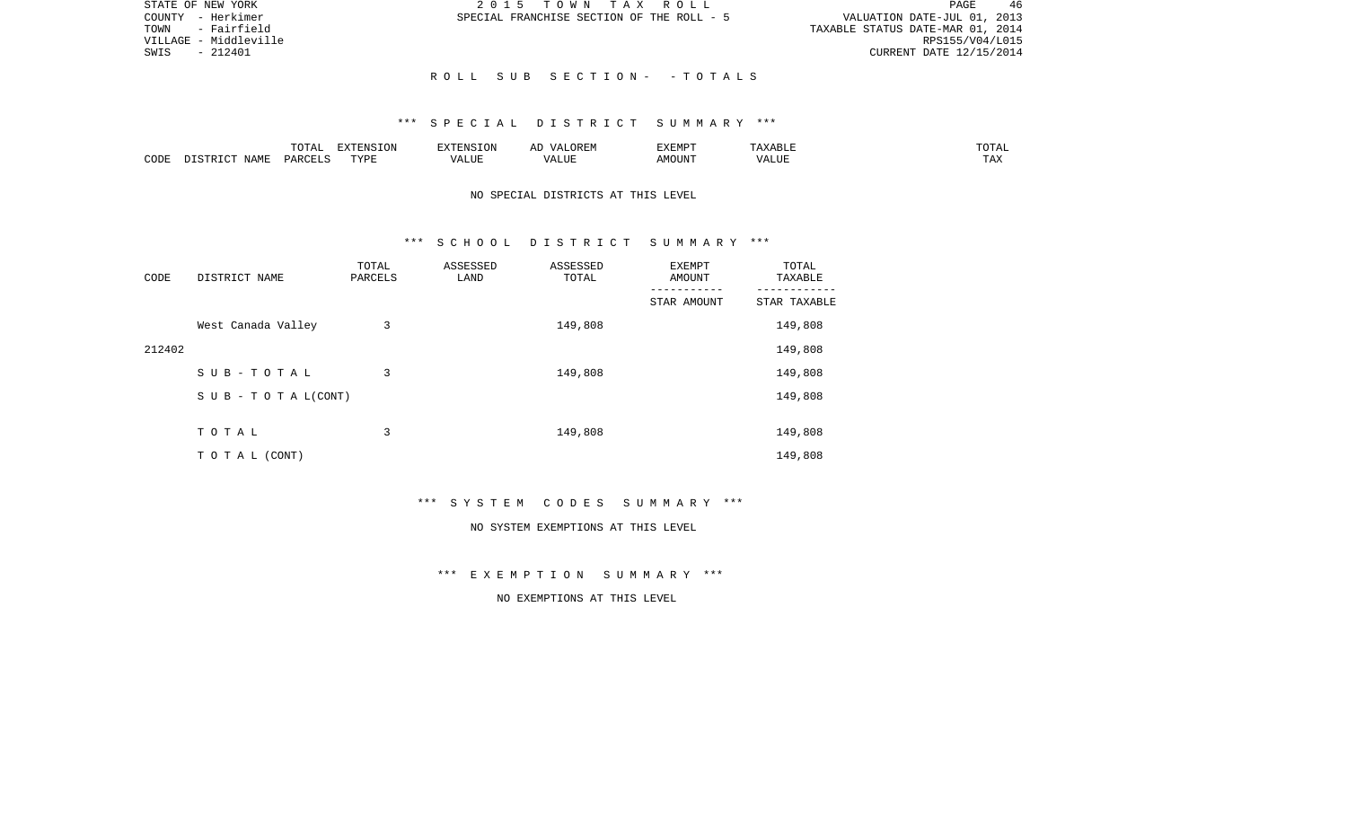| STATE OF NEW YORK     | 2015 TOWN TAX ROLL                        | 46<br>PAGE                       |
|-----------------------|-------------------------------------------|----------------------------------|
| COUNTY - Herkimer     | SPECIAL FRANCHISE SECTION OF THE ROLL - 5 | VALUATION DATE-JUL 01, 2013      |
| - Fairfield<br>TOWN   |                                           | TAXABLE STATUS DATE-MAR 01, 2014 |
| VILLAGE - Middleville |                                           | RPS155/V04/L015                  |
| - 212401<br>SWIS      |                                           | CURRENT DATE 12/15/2014          |
|                       |                                           |                                  |
|                       | ROLL SUB SECTION- -TOTALS                 |                                  |

|      |      | $m \wedge m \wedge n$<br>. U 171 | <b>FYTFNCT∩N</b><br>- 71 | ∴N.  | $\cdots$ | <b>DA 4 DI</b> |               | JIAL |
|------|------|----------------------------------|--------------------------|------|----------|----------------|---------------|------|
| CODE | NAMF | UAROTT                           | <b>TIZE</b>              | JU P |          | OUN            | .<br>$\cdots$ |      |

## NO SPECIAL DISTRICTS AT THIS LEVEL

### \*\*\* S C H O O L D I S T R I C T S U M M A R Y \*\*\*

| CODE   | DISTRICT NAME                    | TOTAL<br>PARCELS | ASSESSED<br>LAND | ASSESSED<br>TOTAL | EXEMPT<br>AMOUNT | TOTAL<br>TAXABLE |
|--------|----------------------------------|------------------|------------------|-------------------|------------------|------------------|
|        |                                  |                  |                  |                   | STAR AMOUNT      | STAR TAXABLE     |
|        | West Canada Valley               | 3                |                  | 149,808           |                  | 149,808          |
| 212402 |                                  |                  |                  |                   |                  | 149,808          |
|        | SUB-TOTAL                        | 3                |                  | 149,808           |                  | 149,808          |
|        | $S \cup B - T \cup T A L (CONT)$ |                  |                  |                   |                  | 149,808          |
|        |                                  |                  |                  |                   |                  |                  |
|        | TOTAL                            | 3                |                  | 149,808           |                  | 149,808          |
|        | T O T A L (CONT)                 |                  |                  |                   |                  | 149,808          |

\*\*\* S Y S T E M C O D E S S U M M A R Y \*\*\*

#### NO SYSTEM EXEMPTIONS AT THIS LEVEL

\*\*\* E X E M P T I O N S U M M A R Y \*\*\*

NO EXEMPTIONS AT THIS LEVEL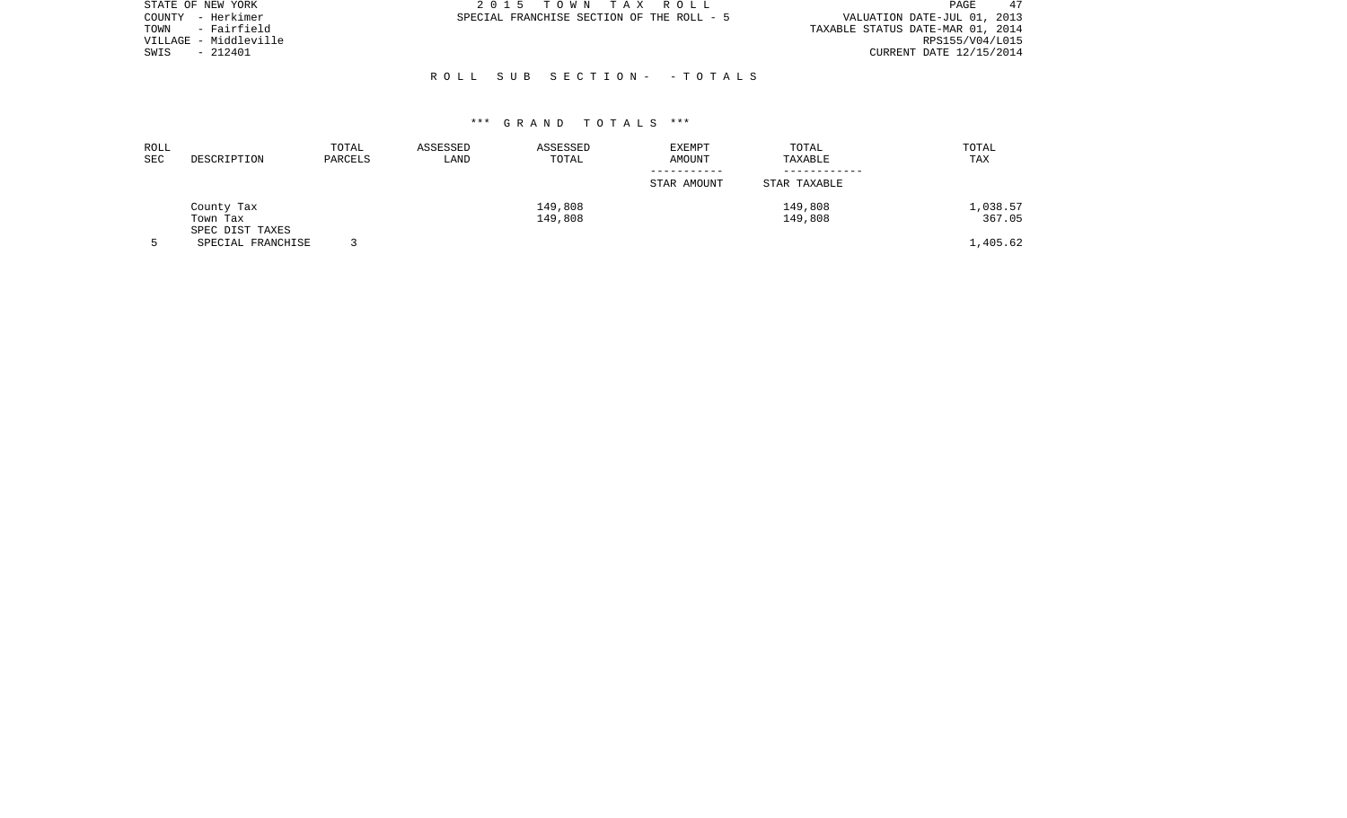| STATE OF NEW YORK     | 2015 TOWN TAX ROLL                        | 47<br>PAGE                       |
|-----------------------|-------------------------------------------|----------------------------------|
| COUNTY - Herkimer     | SPECIAL FRANCHISE SECTION OF THE ROLL - 5 | VALUATION DATE-JUL 01, 2013      |
| - Fairfield<br>TOWN   |                                           | TAXABLE STATUS DATE-MAR 01, 2014 |
| VILLAGE - Middleville |                                           | RPS155/V04/L015                  |
| - 212401<br>SWIS      |                                           | CURRENT DATE 12/15/2014          |
|                       |                                           |                                  |
|                       | ROLL SUB SECTION- - TOTALS                |                                  |

| ROLL<br><b>SEC</b> | DESCRIPTION                               | TOTAL<br>PARCELS | ASSESSED<br>LAND | ASSESSED<br>TOTAL  | <b>EXEMPT</b><br>AMOUNT<br>STAR AMOUNT | TOTAL<br>TAXABLE<br>STAR TAXABLE | TOTAL<br><b>TAX</b> |
|--------------------|-------------------------------------------|------------------|------------------|--------------------|----------------------------------------|----------------------------------|---------------------|
|                    | County Tax<br>Town Tax<br>SPEC DIST TAXES |                  |                  | 149,808<br>149,808 |                                        | 149,808<br>149,808               | 1,038.57<br>367.05  |
|                    | SPECIAL FRANCHISE                         |                  |                  |                    |                                        |                                  | 1,405.62            |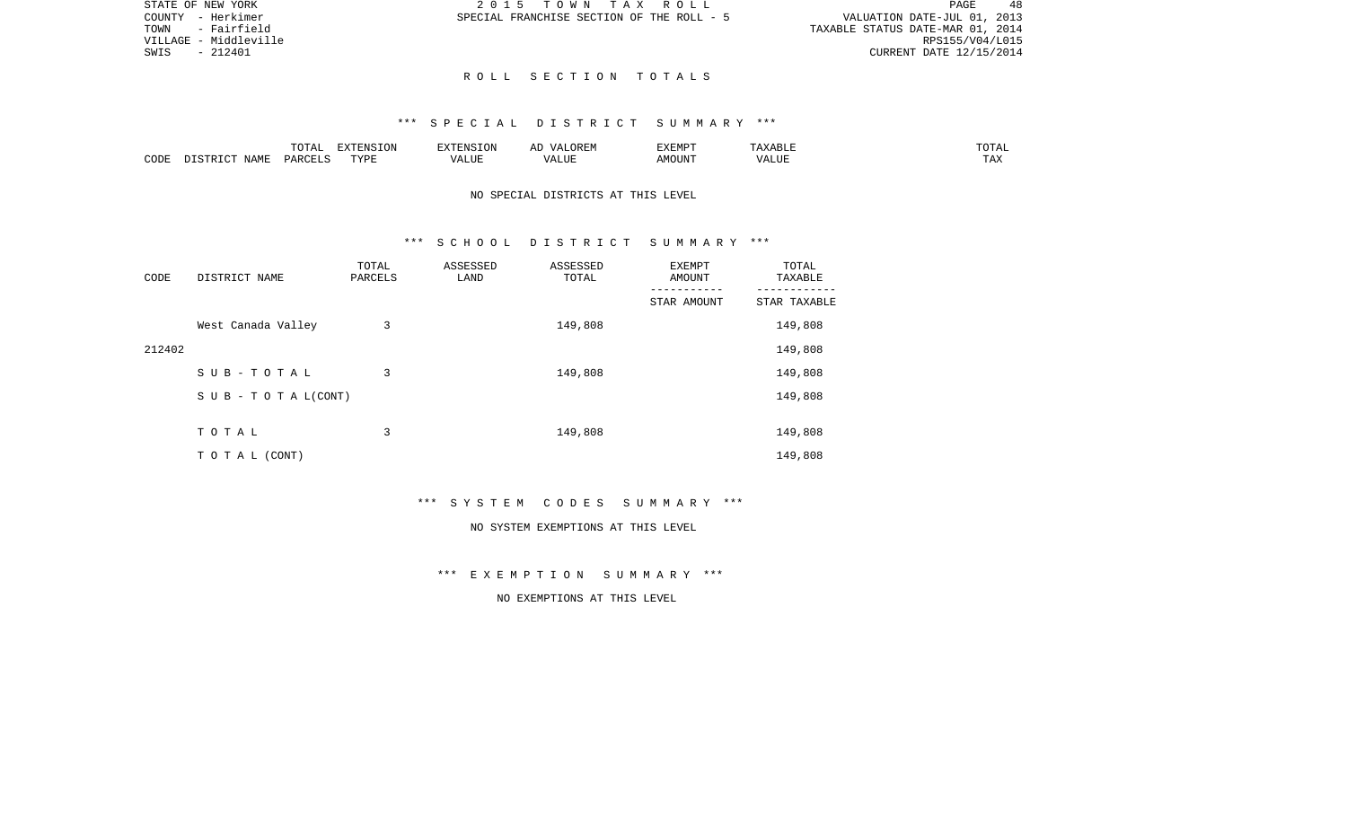48 TOWN - Fairfield TAXABLE STATUS DATE-MAR 01, 2014 VILLAGE - Middleville RPS155/V04/L015 SWIS - 212401 CURRENT DATE 12/15/2014

STATE OF NEW YORK  $2015$  T O W N T A X R O L L  $PAGE$ COUNTY - Herkimer SPECIAL FRANCHISE SECTION OF THE ROLL - 5 VALUATION DATE-JUL 01, 2013

### R O L L S E C T I O N T O T A L S

# \*\*\* S P E C I A L D I S T R I C T S U M M A R Y \*\*\*

|      |             | $m \wedge m \wedge n$<br>◡∸∸ | $\Box$<br>LVIN | an Nisi                | . בג | <b>DIEDIS</b><br>r:MP | <b>BII</b> | $n \cap m \geq n$<br>∸∸ |
|------|-------------|------------------------------|----------------|------------------------|------|-----------------------|------------|-------------------------|
| CODE | <b>NAME</b> | D∆F                          | TVDI           | $- - - -$<br>. L I J F |      | MOUN.                 | 77T        | $m \times n$<br>⊥ A∡    |

## NO SPECIAL DISTRICTS AT THIS LEVEL

## \*\*\* S C H O O L D I S T R I C T S U M M A R Y \*\*\*

| CODE   | DISTRICT NAME      | TOTAL<br>PARCELS | ASSESSED<br>LAND | ASSESSED<br>TOTAL | <b>EXEMPT</b><br>AMOUNT | TOTAL<br>TAXABLE |
|--------|--------------------|------------------|------------------|-------------------|-------------------------|------------------|
|        |                    |                  |                  |                   | STAR AMOUNT             | STAR TAXABLE     |
|        | West Canada Valley | 3                |                  | 149,808           |                         | 149,808          |
| 212402 |                    |                  |                  |                   |                         | 149,808          |
|        | SUB-TOTAL          | 3                |                  | 149,808           |                         | 149,808          |
|        | SUB - TO TAL(CONT) |                  |                  |                   |                         | 149,808          |
|        |                    |                  |                  |                   |                         |                  |
|        | TOTAL              | 3                |                  | 149,808           |                         | 149,808          |
|        | TO TAL (CONT)      |                  |                  |                   |                         | 149,808          |

\*\*\* S Y S T E M C O D E S S U M M A R Y \*\*\*

#### NO SYSTEM EXEMPTIONS AT THIS LEVEL

\*\*\* E X E M P T I O N S U M M A R Y \*\*\*

NO EXEMPTIONS AT THIS LEVEL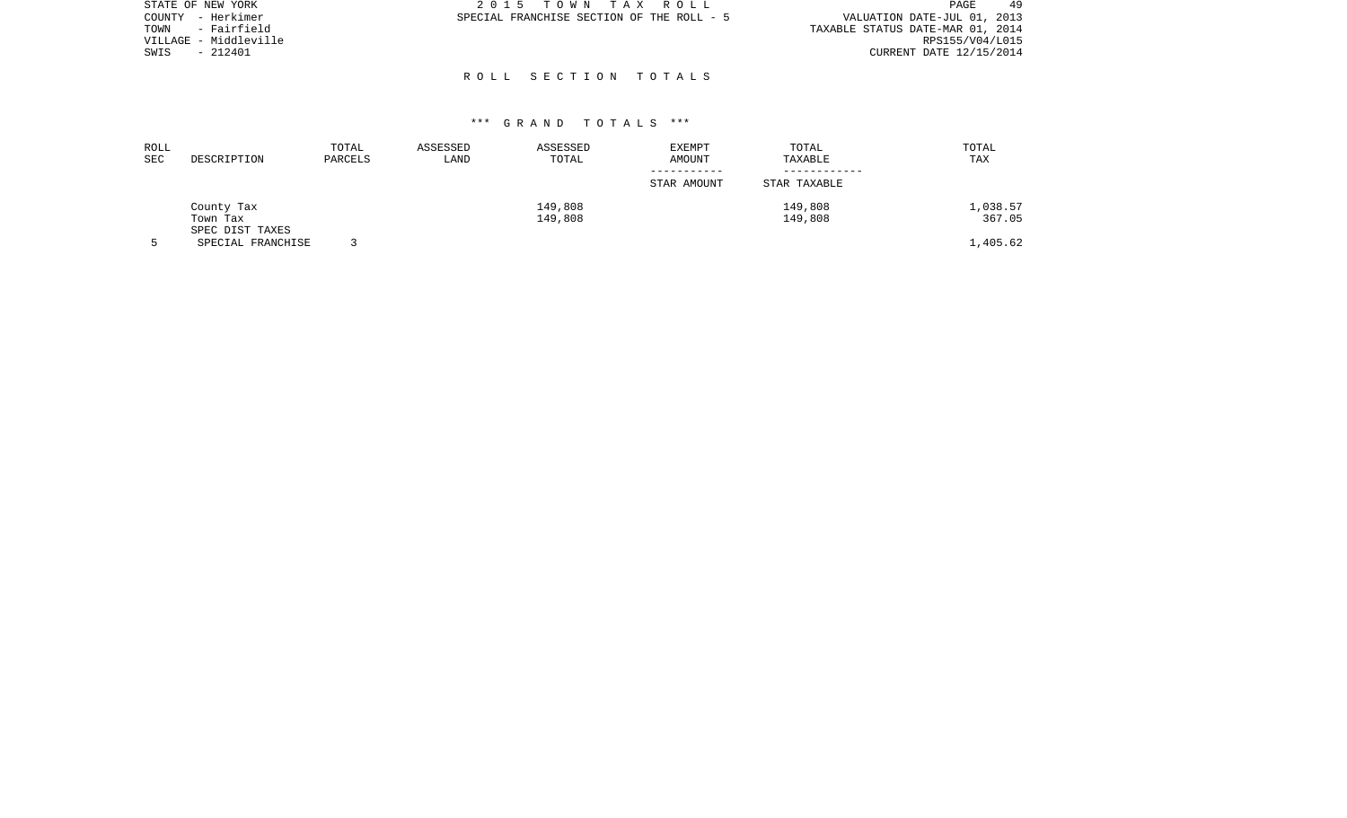| STATE OF NEW YORK     |          | 2015 TOWN TAX ROLL                        |  |                                  | PAGE                    | 49 |
|-----------------------|----------|-------------------------------------------|--|----------------------------------|-------------------------|----|
| COUNTY - Herkimer     |          | SPECIAL FRANCHISE SECTION OF THE ROLL - 5 |  | VALUATION DATE-JUL 01, 2013      |                         |    |
| TOWN - Fairfield      |          |                                           |  | TAXABLE STATUS DATE-MAR 01, 2014 |                         |    |
| VILLAGE - Middleville |          |                                           |  |                                  | RPS155/V04/L015         |    |
| SWIS                  | - 212401 |                                           |  |                                  | CURRENT DATE 12/15/2014 |    |
|                       |          |                                           |  |                                  |                         |    |
|                       |          | ROLL SECTION TOTALS                       |  |                                  |                         |    |

| ROLL<br>SEC | DESCRIPTION       | TOTAL<br>PARCELS | ASSESSED<br>LAND | ASSESSED<br>TOTAL | <b>EXEMPT</b><br><b>AMOUNT</b> | TOTAL<br>TAXABLE | TOTAL<br><b>TAX</b> |
|-------------|-------------------|------------------|------------------|-------------------|--------------------------------|------------------|---------------------|
|             |                   |                  |                  |                   | STAR AMOUNT                    | STAR TAXABLE     |                     |
|             | County Tax        |                  |                  | 149,808           |                                | 149,808          | 1,038.57            |
|             | Town Tax          |                  |                  | 149,808           |                                | 149,808          | 367.05              |
|             | SPEC DIST TAXES   |                  |                  |                   |                                |                  |                     |
|             | SPECIAL FRANCHISE |                  |                  |                   |                                |                  | 1,405.62            |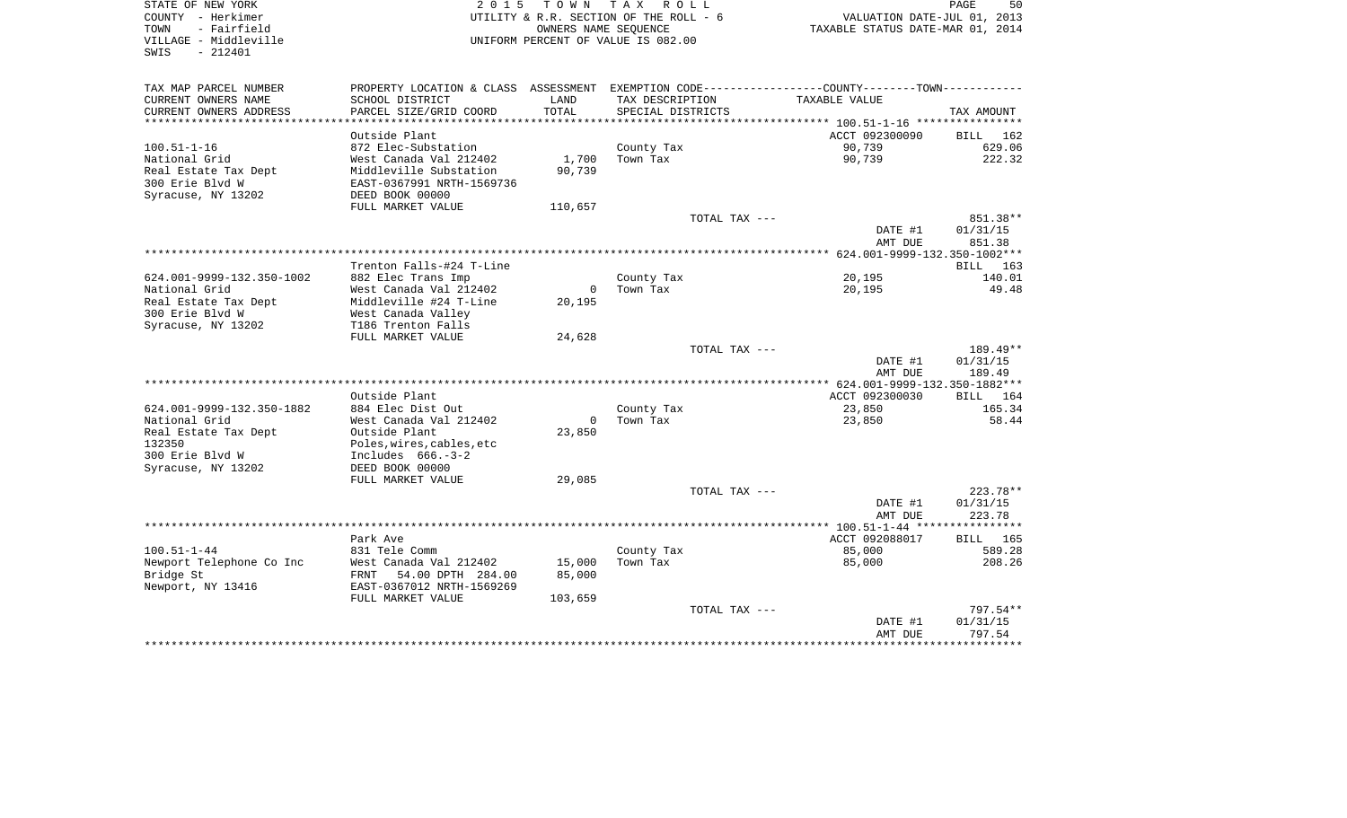| STATE OF NEW YORK                       | 2 0 1 5                                      |          | TOWN TAX ROLL                          |                                                                                                  | PAGE<br>50   |
|-----------------------------------------|----------------------------------------------|----------|----------------------------------------|--------------------------------------------------------------------------------------------------|--------------|
| COUNTY - Herkimer                       |                                              |          | UTILITY & R.R. SECTION OF THE ROLL - 6 |                                                                                                  |              |
| - Fairfield<br>TOWN                     |                                              |          | OWNERS NAME SEOUENCE                   | VALUATION DATE-JUL 01, 2013<br>TAXABLE STATUS DATE-MAR 01, 2014                                  |              |
| VILLAGE - Middleville                   |                                              |          | UNIFORM PERCENT OF VALUE IS 082.00     |                                                                                                  |              |
| SWIS<br>- 212401                        |                                              |          |                                        |                                                                                                  |              |
|                                         |                                              |          |                                        |                                                                                                  |              |
| TAX MAP PARCEL NUMBER                   |                                              |          |                                        | PROPERTY LOCATION & CLASS ASSESSMENT EXEMPTION CODE----------------COUNTY--------TOWN----------- |              |
| CURRENT OWNERS NAME                     | SCHOOL DISTRICT                              | LAND     | TAX DESCRIPTION                        | TAXABLE VALUE                                                                                    |              |
| CURRENT OWNERS ADDRESS                  | PARCEL SIZE/GRID COORD                       | TOTAL    | SPECIAL DISTRICTS                      |                                                                                                  | TAX AMOUNT   |
|                                         |                                              |          |                                        |                                                                                                  |              |
|                                         | Outside Plant                                |          |                                        | ACCT 092300090                                                                                   | BILL 162     |
| $100.51 - 1 - 16$                       | 872 Elec-Substation                          |          | County Tax                             | 90,739                                                                                           | 629.06       |
| National Grid                           | West Canada Val 212402                       | 1,700    | Town Tax                               | 90,739                                                                                           | 222.32       |
| Real Estate Tax Dept<br>300 Erie Blvd W | Middleville Substation                       | 90,739   |                                        |                                                                                                  |              |
| Syracuse, NY 13202                      | EAST-0367991 NRTH-1569736<br>DEED BOOK 00000 |          |                                        |                                                                                                  |              |
|                                         | FULL MARKET VALUE                            | 110,657  |                                        |                                                                                                  |              |
|                                         |                                              |          |                                        | TOTAL TAX ---                                                                                    | 851.38**     |
|                                         |                                              |          |                                        | DATE #1                                                                                          | 01/31/15     |
|                                         |                                              |          |                                        | AMT DUE                                                                                          | 851.38       |
|                                         |                                              |          |                                        |                                                                                                  |              |
|                                         | Trenton Falls-#24 T-Line                     |          |                                        |                                                                                                  | BILL 163     |
| 624.001-9999-132.350-1002               | 882 Elec Trans Imp                           |          | County Tax                             | 20,195                                                                                           | 140.01       |
| National Grid                           | West Canada Val 212402                       | $\Omega$ | Town Tax                               | 20,195                                                                                           | 49.48        |
| Real Estate Tax Dept                    | Middleville #24 T-Line                       | 20,195   |                                        |                                                                                                  |              |
| 300 Erie Blvd W                         | West Canada Valley                           |          |                                        |                                                                                                  |              |
| Syracuse, NY 13202                      | T186 Trenton Falls                           |          |                                        |                                                                                                  |              |
|                                         | FULL MARKET VALUE                            | 24,628   |                                        |                                                                                                  |              |
|                                         |                                              |          |                                        | TOTAL TAX ---                                                                                    | 189.49**     |
|                                         |                                              |          |                                        | DATE #1                                                                                          | 01/31/15     |
|                                         |                                              |          |                                        | AMT DUE                                                                                          | 189.49       |
|                                         |                                              |          |                                        |                                                                                                  |              |
|                                         | Outside Plant                                |          |                                        | ACCT 092300030                                                                                   | BILL 164     |
| 624.001-9999-132.350-1882               | 884 Elec Dist Out                            |          | County Tax                             | 23,850                                                                                           | 165.34       |
| National Grid                           | West Canada Val 212402                       | $\Omega$ | Town Tax                               | 23,850                                                                                           | 58.44        |
| Real Estate Tax Dept                    | Outside Plant                                | 23,850   |                                        |                                                                                                  |              |
| 132350                                  | Poles,wires,cables,etc                       |          |                                        |                                                                                                  |              |
| 300 Erie Blvd W                         | Includes 666.-3-2                            |          |                                        |                                                                                                  |              |
| Syracuse, NY 13202                      | DEED BOOK 00000<br>FULL MARKET VALUE         | 29,085   |                                        |                                                                                                  |              |
|                                         |                                              |          |                                        | TOTAL TAX ---                                                                                    | 223.78**     |
|                                         |                                              |          |                                        | DATE #1                                                                                          | 01/31/15     |
|                                         |                                              |          |                                        | AMT DUE                                                                                          | 223.78       |
|                                         |                                              |          |                                        |                                                                                                  |              |
|                                         | Park Ave                                     |          |                                        | ACCT 092088017                                                                                   | BILL 165     |
| $100.51 - 1 - 44$                       | 831 Tele Comm                                |          | County Tax                             | 85,000                                                                                           | 589.28       |
| Newport Telephone Co Inc                | West Canada Val 212402                       | 15,000   | Town Tax                               | 85,000                                                                                           | 208.26       |
| Bridge St                               | FRNT 54.00 DPTH 284.00                       | 85,000   |                                        |                                                                                                  |              |
| Newport, NY 13416                       | EAST-0367012 NRTH-1569269                    |          |                                        |                                                                                                  |              |
|                                         | FULL MARKET VALUE                            | 103,659  |                                        |                                                                                                  |              |
|                                         |                                              |          |                                        | TOTAL TAX ---                                                                                    | 797.54**     |
|                                         |                                              |          |                                        | DATE #1                                                                                          | 01/31/15     |
|                                         |                                              |          |                                        | AMT DUE                                                                                          | 797.54       |
|                                         |                                              |          |                                        |                                                                                                  | ************ |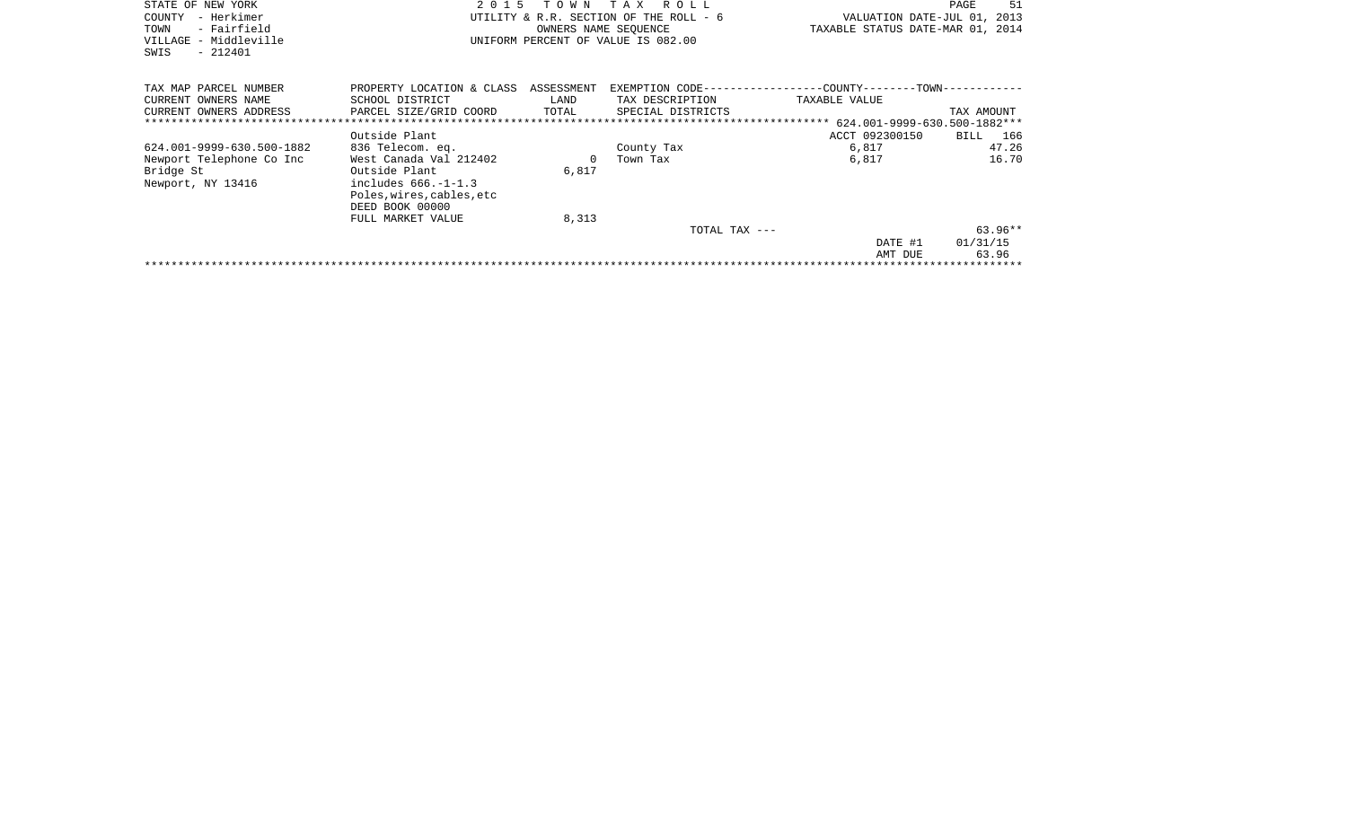| STATE OF NEW YORK<br>COUNTY<br>- Herkimer<br>- Fairfield<br>TOWN<br>VILLAGE - Middleville<br>$-212401$<br>SWIS | 2 0 1 5                                                                                                                                                                       | T O W N                     | T A X<br>R O L L<br>PAGE<br>UTILITY & R.R. SECTION OF THE ROLL - 6<br>VALUATION DATE-JUL 01, 2013<br>TAXABLE STATUS DATE-MAR 01, 2014<br>OWNERS NAME SEOUENCE<br>UNIFORM PERCENT OF VALUE IS 082.00 |                                                                              |                                |
|----------------------------------------------------------------------------------------------------------------|-------------------------------------------------------------------------------------------------------------------------------------------------------------------------------|-----------------------------|-----------------------------------------------------------------------------------------------------------------------------------------------------------------------------------------------------|------------------------------------------------------------------------------|--------------------------------|
| TAX MAP PARCEL NUMBER<br>CURRENT OWNERS NAME<br>CURRENT OWNERS ADDRESS<br>*******************************      | PROPERTY LOCATION & CLASS<br>SCHOOL DISTRICT<br>PARCEL SIZE/GRID COORD                                                                                                        | ASSESSMENT<br>LAND<br>TOTAL | TAX DESCRIPTION<br>SPECIAL DISTRICTS                                                                                                                                                                | EXEMPTION CODE-----------------COUNTY-------TOWN-----------<br>TAXABLE VALUE | TAX AMOUNT                     |
| 624.001-9999-630.500-1882<br>Newport Telephone Co Inc<br>Bridge St<br>Newport, NY 13416                        | Outside Plant<br>836 Telecom. eq.<br>West Canada Val 212402<br>Outside Plant<br>includes $666. -1 - 1.3$<br>Poles, wires, cables, etc<br>DEED BOOK 00000<br>FULL MARKET VALUE | 6,817<br>8,313              | County Tax<br>Town Tax                                                                                                                                                                              | ACCT 092300150<br>6,817<br>6,817                                             | BILL 166<br>47.26<br>16.70     |
|                                                                                                                |                                                                                                                                                                               |                             | TOTAL TAX ---                                                                                                                                                                                       | DATE #1<br>AMT DUE                                                           | $63.96**$<br>01/31/15<br>63.96 |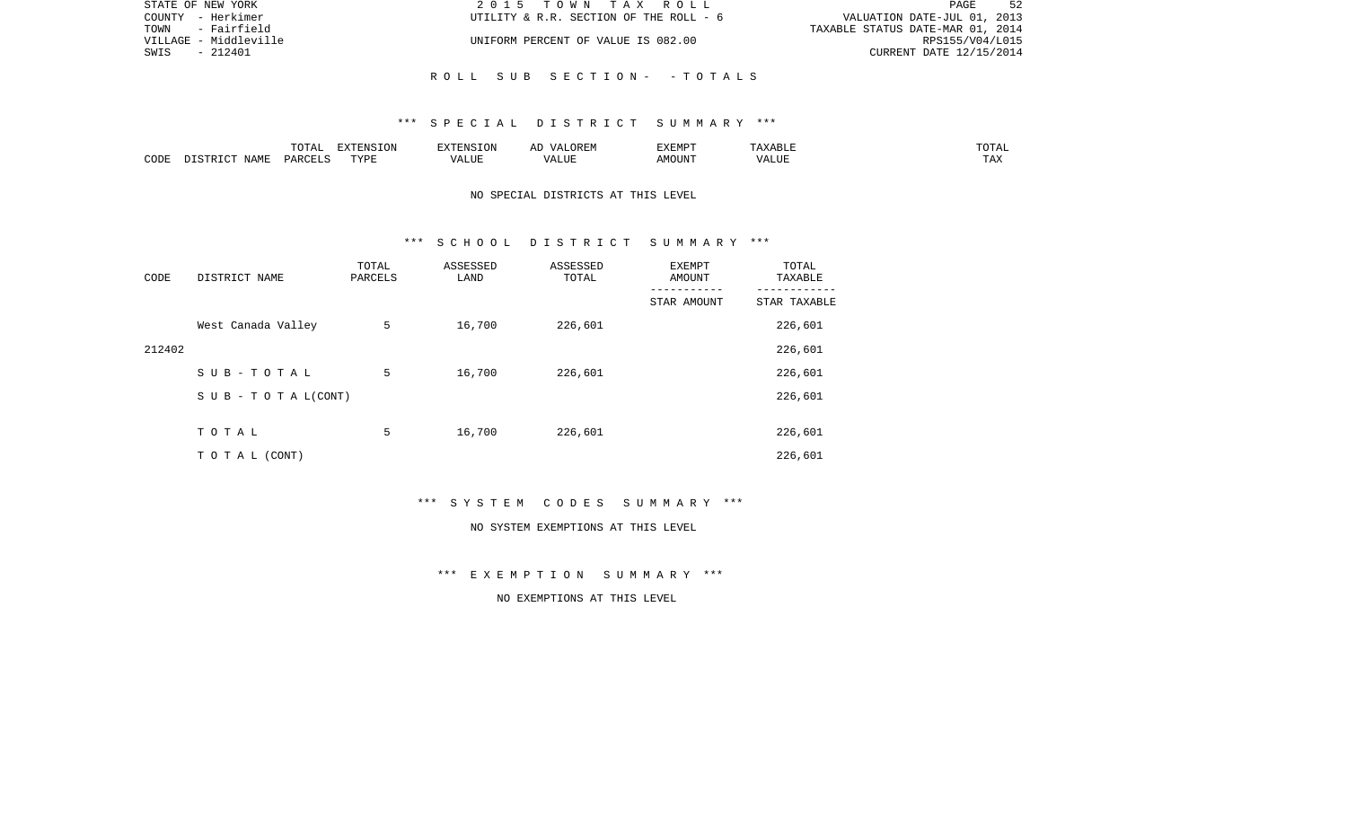| STATE OF NEW YORK     | 2015 TOWN TAX ROLL                     | 52<br>PAGE                       |
|-----------------------|----------------------------------------|----------------------------------|
| COUNTY - Herkimer     | UTILITY & R.R. SECTION OF THE ROLL - 6 | VALUATION DATE-JUL 01, 2013      |
| TOWN - Fairfield      |                                        | TAXABLE STATUS DATE-MAR 01, 2014 |
| VILLAGE - Middleville | UNIFORM PERCENT OF VALUE IS 082.00     | RPS155/V04/L015                  |
| SWIS<br>$-212401$     |                                        | CURRENT DATE 12/15/2014          |
|                       |                                        |                                  |
|                       | ROLL SUB SECTION- - TOTALS             |                                  |

|      |               | ------ | pumpun tau<br>$\left(11\right)$ |        |            | 'YEMPT         | .             | ◡▴▱▴            |
|------|---------------|--------|---------------------------------|--------|------------|----------------|---------------|-----------------|
| CODE | A BAT<br>NAMP | リハト    | <b>TVDT</b>                     | . LIUP | ,,,<br>LUP | IOUN'.<br>ـ MC | $- - - - - -$ | $- - -$<br>L A∡ |

## NO SPECIAL DISTRICTS AT THIS LEVEL

### \*\*\* S C H O O L D I S T R I C T S U M M A R Y \*\*\*

| CODE   | DISTRICT NAME      | TOTAL<br>PARCELS | ASSESSED<br>LAND | ASSESSED<br>TOTAL | EXEMPT<br>AMOUNT<br>--------- | TOTAL<br>TAXABLE |
|--------|--------------------|------------------|------------------|-------------------|-------------------------------|------------------|
|        |                    |                  |                  |                   | STAR AMOUNT                   | STAR TAXABLE     |
|        | West Canada Valley | 5                | 16,700           | 226,601           |                               | 226,601          |
| 212402 |                    |                  |                  |                   |                               | 226,601          |
|        | SUB-TOTAL          | 5                | 16,700           | 226,601           |                               | 226,601          |
|        | SUB - TO TAL(CONT) |                  |                  |                   |                               | 226,601          |
|        |                    |                  |                  |                   |                               |                  |
|        | TOTAL              | 5                | 16,700           | 226,601           |                               | 226,601          |
|        | TO TAL (CONT)      |                  |                  |                   |                               | 226,601          |

\*\*\* S Y S T E M C O D E S S U M M A R Y \*\*\*

#### NO SYSTEM EXEMPTIONS AT THIS LEVEL

\*\*\* E X E M P T I O N S U M M A R Y \*\*\*

NO EXEMPTIONS AT THIS LEVEL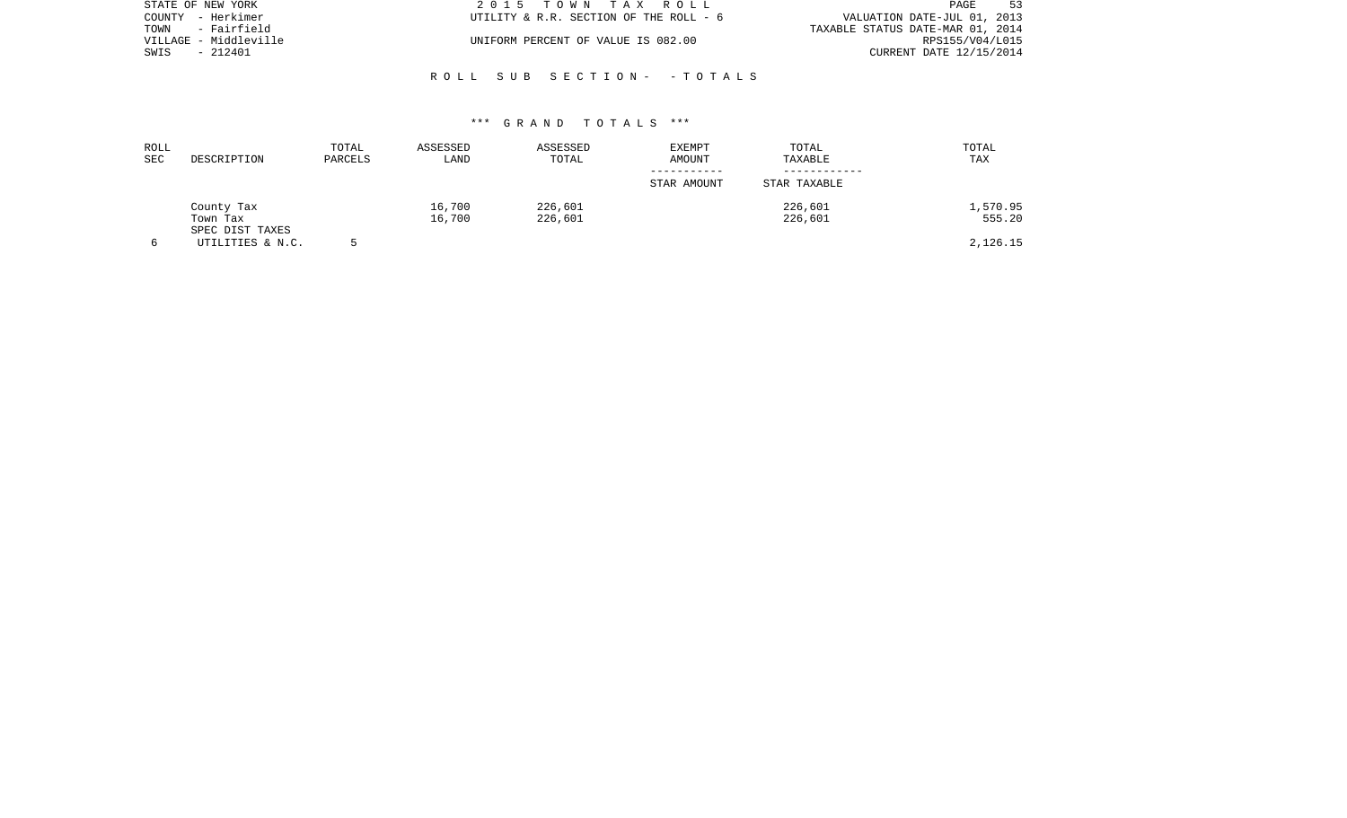| STATE OF NEW YORK     | 2015 TOWN TAX ROLL                     | 53<br>PAGE                       |
|-----------------------|----------------------------------------|----------------------------------|
| COUNTY - Herkimer     | UTILITY & R.R. SECTION OF THE ROLL - 6 | VALUATION DATE-JUL 01, 2013      |
| - Fairfield<br>TOWN   |                                        | TAXABLE STATUS DATE-MAR 01, 2014 |
| VILLAGE - Middleville | UNIFORM PERCENT OF VALUE IS 082.00     | RPS155/V04/L015                  |
| SWIS<br>- 212401      |                                        | CURRENT DATE 12/15/2014          |
|                       |                                        |                                  |

## \*\*\* G R A N D T O T A L S \*\*\*

R O L L S U B S E C T I O N - - T O T A L S

| ROLL<br><b>SEC</b> | DESCRIPTION                 | TOTAL<br>PARCELS | ASSESSED<br>LAND | ASSESSED<br>TOTAL | <b>EXEMPT</b><br>AMOUNT | TOTAL<br>TAXABLE | TOTAL<br>TAX |
|--------------------|-----------------------------|------------------|------------------|-------------------|-------------------------|------------------|--------------|
|                    |                             |                  |                  |                   | STAR AMOUNT             | STAR TAXABLE     |              |
|                    | County Tax                  |                  | 16,700           | 226,601           |                         | 226,601          | 1,570.95     |
|                    | Town Tax<br>SPEC DIST TAXES |                  | 16,700           | 226,601           |                         | 226,601          | 555.20       |
| 6                  | UTILITIES & N.C.            |                  |                  |                   |                         |                  | 2,126.15     |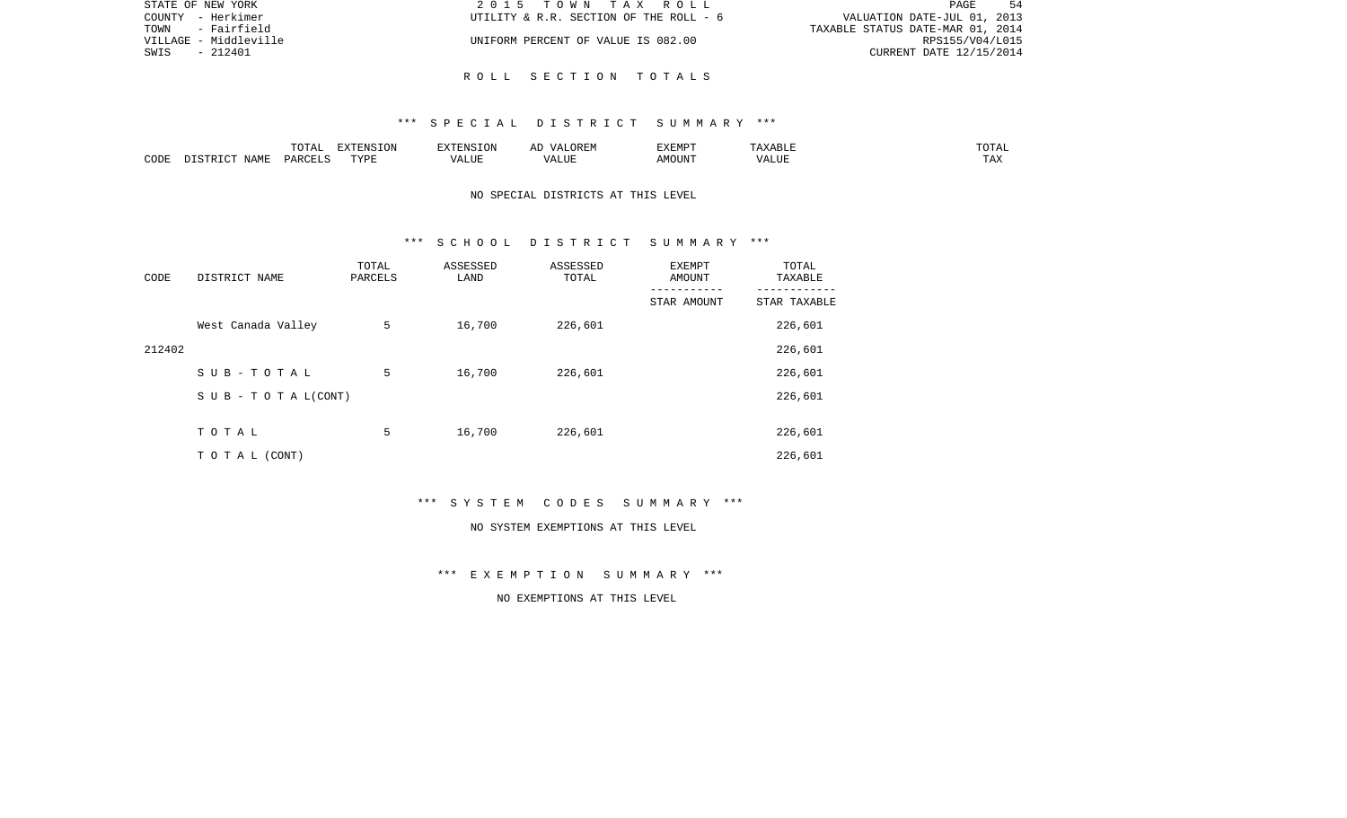| STATE OF NEW YORK     | 2015 TOWN TAX ROLL                     | PAGE<br>-54                      |
|-----------------------|----------------------------------------|----------------------------------|
| COUNTY - Herkimer     | UTILITY & R.R. SECTION OF THE ROLL - 6 | VALUATION DATE-JUL 01, 2013      |
| TOWN<br>- Fairfield   |                                        | TAXABLE STATUS DATE-MAR 01, 2014 |
| VILLAGE - Middleville | UNIFORM PERCENT OF VALUE IS 082.00     | RPS155/V04/L015                  |
| SWIS<br>- 212401      |                                        | CURRENT DATE 12/15/2014          |
|                       |                                        |                                  |

R O L L S E C T I O N T O T A L S

|      |             | $T$ $\cap$ $T$ $\cap$ $\cap$ $\cap$<br>$\cdots$<br>. U 1 1 1 1 | <b>ELVELENTO TONT</b> |      | : רר<br>$\sqrt{4}$<br>JREM | <b>F.X F.M D T</b><br>. |       | 50.55<br>---        |
|------|-------------|----------------------------------------------------------------|-----------------------|------|----------------------------|-------------------------|-------|---------------------|
| CODE | <b>JAME</b> | DARCELS                                                        | TVDL<br>.             | ALUE | $\sqrt{ }$<br>LUP          | AMOUN".                 | 'ALUE | $m \times n$<br>⊥⊷∠ |

## NO SPECIAL DISTRICTS AT THIS LEVEL

### \*\*\* S C H O O L D I S T R I C T S U M M A R Y \*\*\*

| CODE   | DISTRICT NAME                    | TOTAL<br>PARCELS | ASSESSED<br>LAND | ASSESSED<br>TOTAL | EXEMPT<br>AMOUNT<br>--------- | TOTAL<br>TAXABLE |
|--------|----------------------------------|------------------|------------------|-------------------|-------------------------------|------------------|
|        |                                  |                  |                  |                   | STAR AMOUNT                   | STAR TAXABLE     |
|        | West Canada Valley               | 5                | 16,700           | 226,601           |                               | 226,601          |
| 212402 |                                  |                  |                  |                   |                               | 226,601          |
|        | SUB-TOTAL                        | 5                | 16,700           | 226,601           |                               | 226,601          |
|        | $S \cup B - T \cup T A L (CONT)$ |                  |                  |                   |                               | 226,601          |
|        |                                  |                  |                  |                   |                               |                  |
|        | TOTAL                            | 5                | 16,700           | 226,601           |                               | 226,601          |
|        | T O T A L (CONT)                 |                  |                  |                   |                               | 226,601          |

\*\*\* S Y S T E M C O D E S S U M M A R Y \*\*\*

#### NO SYSTEM EXEMPTIONS AT THIS LEVEL

\*\*\* E X E M P T I O N S U M M A R Y \*\*\*

NO EXEMPTIONS AT THIS LEVEL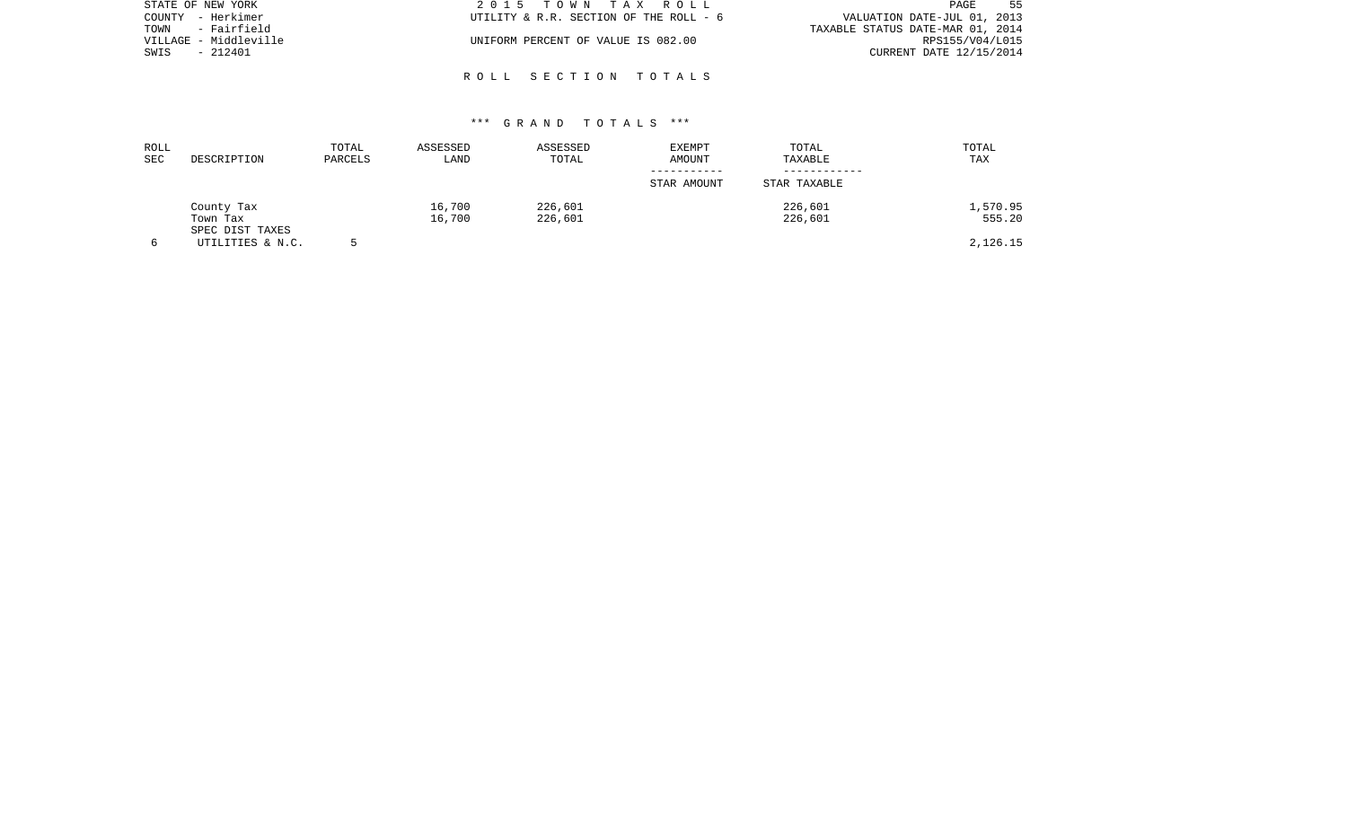| STATE OF NEW YORK     | 2015 TOWN TAX ROLL                     | 55<br>PAGE                       |
|-----------------------|----------------------------------------|----------------------------------|
| COUNTY - Herkimer     | UTILITY & R.R. SECTION OF THE ROLL - 6 | VALUATION DATE-JUL 01, 2013      |
| - Fairfield<br>TOWN   |                                        | TAXABLE STATUS DATE-MAR 01, 2014 |
| VILLAGE - Middleville | UNIFORM PERCENT OF VALUE IS 082.00     | RPS155/V04/L015                  |
| - 212401<br>SWIS      |                                        | CURRENT DATE 12/15/2014          |
|                       |                                        |                                  |

## \*\*\* G R A N D T O T A L S \*\*\*

R O L L S E C T I O N T O T A L S

| ROLL<br>SEC | DESCRIPTION                 | TOTAL<br>PARCELS | ASSESSED<br>LAND | ASSESSED<br>TOTAL | <b>EXEMPT</b><br>AMOUNT | TOTAL<br>TAXABLE | TOTAL<br>TAX |
|-------------|-----------------------------|------------------|------------------|-------------------|-------------------------|------------------|--------------|
|             |                             |                  |                  |                   | STAR AMOUNT             | STAR TAXABLE     |              |
|             | County Tax                  |                  | 16,700           | 226,601           |                         | 226,601          | 1,570.95     |
|             | Town Tax<br>SPEC DIST TAXES |                  | 16,700           | 226,601           |                         | 226,601          | 555.20       |
|             | UTILITIES & N.C.            |                  |                  |                   |                         |                  | 2,126.15     |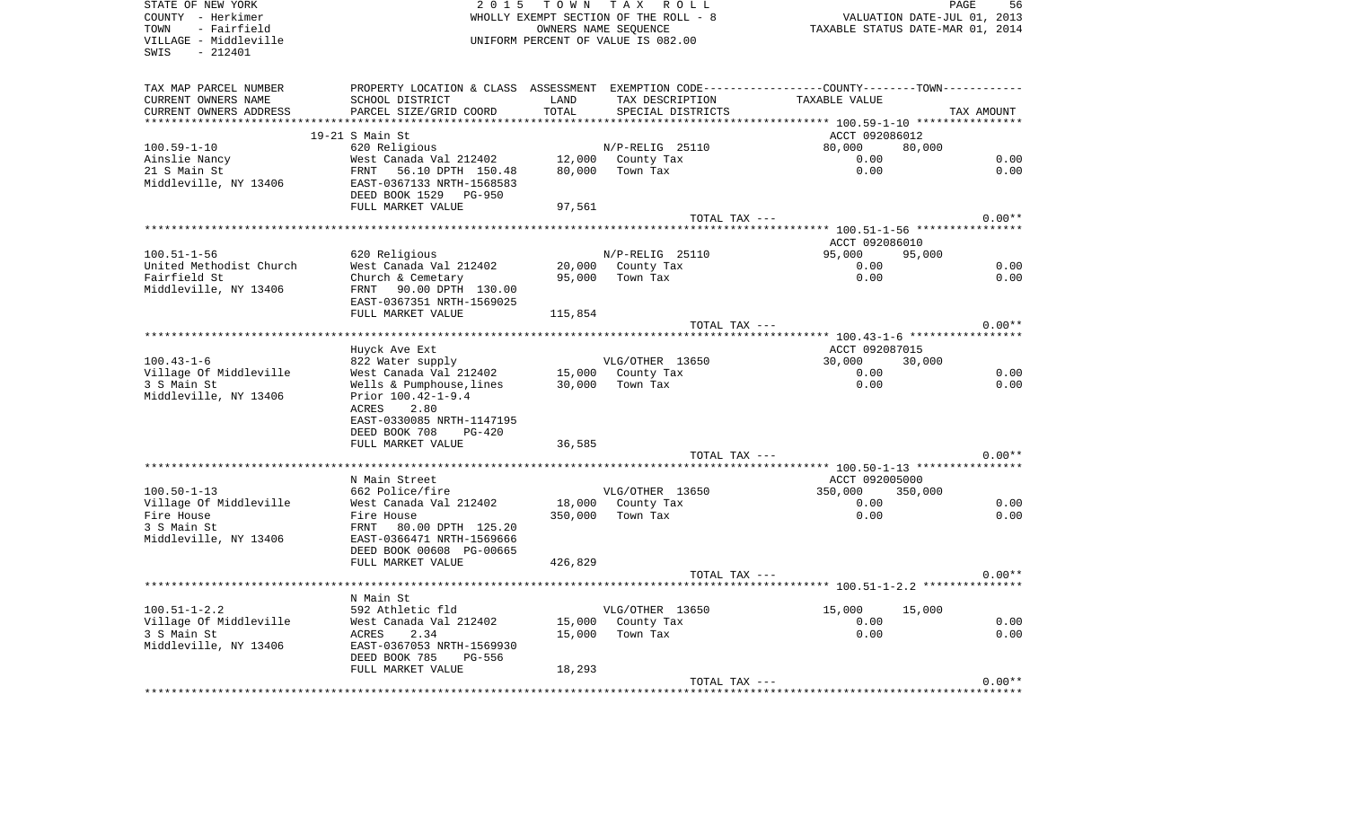SWIS - 212401

STATE OF NEW YORK STATE OF NEW YORK STATE OF NEW YORK STATE OF NEW YORK STATE OF NEW YORK COUNTY - Herkimer **WHOLLY EXEMPT SECTION OF THE ROLL - 8** VALUATION DATE-JUL 01, 2013 TOWN - Fairfield OWNERS NAME SEQUENCE TAXABLE STATUS DATE-MAR 01, 2014 VILLAGE - Middleville UNIFORM PERCENT OF VALUE IS 082.00

56

| TAX MAP PARCEL NUMBER   |                                                                                                                           |         |                                                         | PROPERTY LOCATION & CLASS ASSESSMENT EXEMPTION CODE----------------COUNTY-------TOWN-------- |            |
|-------------------------|---------------------------------------------------------------------------------------------------------------------------|---------|---------------------------------------------------------|----------------------------------------------------------------------------------------------|------------|
| CURRENT OWNERS NAME     | SCHOOL DISTRICT                                                                                                           | LAND    | TAX DESCRIPTION                                         | TAXABLE VALUE                                                                                |            |
| CURRENT OWNERS ADDRESS  | PARCEL SIZE/GRID COORD                                                                                                    | TOTAL   | SPECIAL DISTRICTS                                       |                                                                                              | TAX AMOUNT |
|                         |                                                                                                                           |         |                                                         |                                                                                              |            |
|                         | $19-21$ S Main St                                                                                                         |         |                                                         | ACCT 092086012                                                                               |            |
| $100.59 - 1 - 10$       | 620 Religious                                                                                                             |         | N/P-RELIG 25110                                         | 80,000<br>80,000                                                                             |            |
| Ainslie Nancy           | West Canada Val 212402                                                                                                    |         |                                                         | 0.00                                                                                         | 0.00       |
| 21 S Main St            | West Ca<br>FRNT<br>56.10 DPTH 150.48                                                                                      |         | 12,000 County Tax<br>80,000 Town Toy<br>80,000 Town Tax | 0.00                                                                                         | 0.00       |
| Middleville, NY 13406   | EAST-0367133 NRTH-1568583                                                                                                 |         |                                                         |                                                                                              |            |
|                         | DEED BOOK 1529 PG-950                                                                                                     |         |                                                         |                                                                                              |            |
|                         | FULL MARKET VALUE                                                                                                         | 97,561  |                                                         |                                                                                              |            |
|                         |                                                                                                                           |         |                                                         |                                                                                              |            |
|                         |                                                                                                                           |         | TOTAL TAX ---                                           |                                                                                              | $0.00**$   |
|                         |                                                                                                                           |         |                                                         |                                                                                              |            |
|                         |                                                                                                                           |         |                                                         | ACCT 092086010                                                                               |            |
| $100.51 - 1 - 56$       | 620 Religious                                                                                                             |         | $N/P-RELLIG$ 25110                                      | 95,000<br>95,000                                                                             |            |
| United Methodist Church | West Canada Val 212402 20,000 County Tax                                                                                  |         |                                                         | 0.00                                                                                         | 0.00       |
| Fairfield St            | Church & Cemetary                                                                                                         |         | 95,000 Town Tax                                         | 0.00                                                                                         | 0.00       |
| Middleville, NY 13406   | FRNT 90.00 DPTH 130.00                                                                                                    |         |                                                         |                                                                                              |            |
|                         | EAST-0367351 NRTH-1569025                                                                                                 |         |                                                         |                                                                                              |            |
|                         | FULL MARKET VALUE                                                                                                         | 115,854 |                                                         |                                                                                              |            |
|                         |                                                                                                                           |         | TOTAL TAX ---                                           |                                                                                              | $0.00**$   |
|                         |                                                                                                                           |         |                                                         |                                                                                              |            |
|                         | Huyck Ave Ext                                                                                                             |         |                                                         | ACCT 092087015                                                                               |            |
| $100.43 - 1 - 6$        | % 822 Water supply WLG/OTHER 13650<br>West Canada Val 212402 15,000 County Tax<br>Wells & Pumphouse,lines 30,000 Town Tax |         |                                                         | 30,000<br>30,000                                                                             |            |
| Village Of Middleville  |                                                                                                                           |         |                                                         | 0.00                                                                                         | 0.00       |
| 3 S Main St             |                                                                                                                           |         |                                                         | 0.00                                                                                         | 0.00       |
| Middleville, NY 13406   | Prior 100.42-1-9.4                                                                                                        |         |                                                         |                                                                                              |            |
|                         | ACRES<br>2.80                                                                                                             |         |                                                         |                                                                                              |            |
|                         | EAST-0330085 NRTH-1147195                                                                                                 |         |                                                         |                                                                                              |            |
|                         | DEED BOOK 708<br>$PG-420$                                                                                                 |         |                                                         |                                                                                              |            |
|                         |                                                                                                                           |         |                                                         |                                                                                              |            |
|                         | FULL MARKET VALUE                                                                                                         | 36,585  |                                                         |                                                                                              | $0.00**$   |
|                         |                                                                                                                           |         | TOTAL TAX ---                                           |                                                                                              |            |
|                         |                                                                                                                           |         |                                                         |                                                                                              |            |
|                         | N Main Street                                                                                                             |         |                                                         | ACCT 092005000                                                                               |            |
| $100.50 - 1 - 13$       | 662 Police/fire                                                                                                           |         | VLG/OTHER 13650                                         | 350,000 350,000                                                                              |            |
| Village Of Middleville  | West Canada Val 212402                                                                                                    |         | 18,000 County Tax                                       | 0.00                                                                                         | 0.00       |
| Fire House              | Fire House                                                                                                                |         | 350,000 Town Tax                                        | 0.00                                                                                         | 0.00       |
| 3 S Main St             | 80.00 DPTH 125.20<br>FRNT                                                                                                 |         |                                                         |                                                                                              |            |
| Middleville, NY 13406   | EAST-0366471 NRTH-1569666                                                                                                 |         |                                                         |                                                                                              |            |
|                         | DEED BOOK 00608 PG-00665                                                                                                  |         |                                                         |                                                                                              |            |
|                         | FULL MARKET VALUE                                                                                                         | 426,829 |                                                         |                                                                                              |            |
|                         |                                                                                                                           |         | TOTAL TAX ---                                           |                                                                                              | $0.00**$   |
|                         |                                                                                                                           |         |                                                         |                                                                                              |            |
|                         | N Main St                                                                                                                 |         |                                                         |                                                                                              |            |
| $100.51 - 1 - 2.2$      | 592 Athletic fld                                                                                                          |         | VLG/OTHER 13650                                         | $15,000$ $15,000$                                                                            |            |
| Village Of Middleville  | West Canada Val 212402                                                                                                    |         | 15,000 County Tax                                       | 0.00                                                                                         | 0.00       |
| 3 S Main St             | ACRES<br>2.34                                                                                                             |         | 15,000 Town Tax                                         | 0.00                                                                                         | 0.00       |
| Middleville, NY 13406   | EAST-0367053 NRTH-1569930                                                                                                 |         |                                                         |                                                                                              |            |
|                         | DEED BOOK 785<br>PG-556                                                                                                   |         |                                                         |                                                                                              |            |
|                         | FULL MARKET VALUE                                                                                                         | 18,293  |                                                         |                                                                                              |            |
|                         |                                                                                                                           |         | TOTAL TAX ---                                           |                                                                                              | $0.00**$   |
|                         |                                                                                                                           |         |                                                         |                                                                                              |            |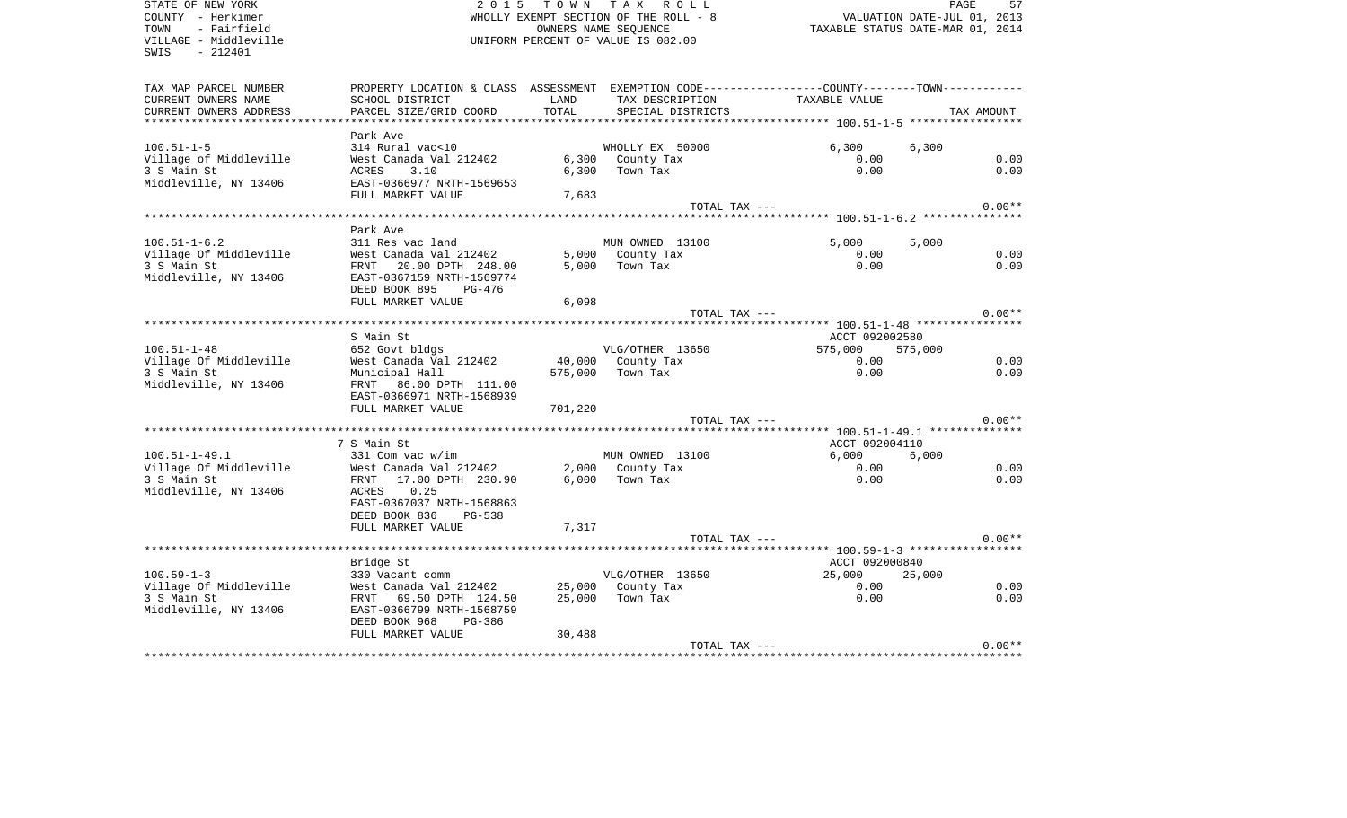| COUNTY - Herkimer<br>TOWN<br>- Fairfield<br>VILLAGE - Middleville<br>$-212401$<br>SWIS |                                |         | WHOLLY EXEMPT SECTION OF THE ROLL - 8<br>OWNERS NAME SEQUENCE<br>UNIFORM PERCENT OF VALUE IS 082.00 | VALUATION DATE-JUL 01, 2013<br>TAXABLE STATUS DATE-MAR 01, 2014                               |            |
|----------------------------------------------------------------------------------------|--------------------------------|---------|-----------------------------------------------------------------------------------------------------|-----------------------------------------------------------------------------------------------|------------|
| TAX MAP PARCEL NUMBER                                                                  |                                |         |                                                                                                     | PROPERTY LOCATION & CLASS ASSESSMENT EXEMPTION CODE---------------COUNTY-------TOWN---------- |            |
| CURRENT OWNERS NAME                                                                    | SCHOOL DISTRICT                | LAND    | TAX DESCRIPTION                                                                                     | TAXABLE VALUE                                                                                 |            |
| CURRENT OWNERS ADDRESS                                                                 | PARCEL SIZE/GRID COORD         | TOTAL   | SPECIAL DISTRICTS                                                                                   |                                                                                               | TAX AMOUNT |
|                                                                                        | Park Ave                       |         |                                                                                                     |                                                                                               |            |
| $100.51 - 1 - 5$                                                                       | 314 Rural vac<10               |         | WHOLLY EX 50000                                                                                     | 6,300<br>6,300                                                                                |            |
| Village of Middleville                                                                 | West Canada Val 212402         |         | 6,300 County Tax                                                                                    | 0.00                                                                                          | 0.00       |
| 3 S Main St                                                                            | ACRES<br>3.10                  | 6,300   | Town Tax                                                                                            | 0.00                                                                                          | 0.00       |
| Middleville, NY 13406                                                                  | EAST-0366977 NRTH-1569653      |         |                                                                                                     |                                                                                               |            |
|                                                                                        | FULL MARKET VALUE              | 7,683   |                                                                                                     |                                                                                               |            |
|                                                                                        |                                |         | TOTAL TAX ---                                                                                       |                                                                                               | $0.00**$   |
|                                                                                        | Park Ave                       |         |                                                                                                     |                                                                                               |            |
| $100.51 - 1 - 6.2$                                                                     | 311 Res vac land               |         | MUN OWNED 13100                                                                                     | 5,000<br>5,000                                                                                |            |
| Village Of Middleville                                                                 | West Canada Val 212402         |         | 5,000 County Tax                                                                                    | 0.00                                                                                          | 0.00       |
| 3 S Main St                                                                            | FRNT 20.00 DPTH 248.00         | 5,000   | Town Tax                                                                                            | 0.00                                                                                          | 0.00       |
| Middleville, NY 13406                                                                  | EAST-0367159 NRTH-1569774      |         |                                                                                                     |                                                                                               |            |
|                                                                                        | DEED BOOK 895<br>PG-476        |         |                                                                                                     |                                                                                               |            |
|                                                                                        | FULL MARKET VALUE              | 6,098   |                                                                                                     |                                                                                               |            |
|                                                                                        |                                |         | TOTAL TAX ---                                                                                       |                                                                                               | $0.00**$   |
|                                                                                        |                                |         |                                                                                                     |                                                                                               |            |
|                                                                                        | S Main St                      |         |                                                                                                     | ACCT 092002580                                                                                |            |
| $100.51 - 1 - 48$                                                                      | 652 Govt bldgs                 |         | VLG/OTHER 13650                                                                                     | 575,000<br>575,000                                                                            |            |
| Village Of Middleville                                                                 | West Canada Val 212402         |         | 40,000 County Tax                                                                                   | 0.00                                                                                          | 0.00       |
| 3 S Main St                                                                            | Municipal Hall                 | 575,000 | Town Tax                                                                                            | 0.00                                                                                          | 0.00       |
| Middleville, NY 13406                                                                  | FRNT 86.00 DPTH 111.00         |         |                                                                                                     |                                                                                               |            |
|                                                                                        | EAST-0366971 NRTH-1568939      |         |                                                                                                     |                                                                                               |            |
|                                                                                        | FULL MARKET VALUE              | 701,220 |                                                                                                     |                                                                                               |            |
|                                                                                        |                                |         | TOTAL TAX ---                                                                                       |                                                                                               | $0.00**$   |
|                                                                                        | 7 S Main St                    |         |                                                                                                     | ACCT 092004110                                                                                |            |
| $100.51 - 1 - 49.1$                                                                    | $331$ Com vac w/im             |         | MUN OWNED 13100                                                                                     | 6.000<br>6,000                                                                                |            |
| Village Of Middleville                                                                 | West Canada Val 212402         | 2,000   | County Tax                                                                                          | 0.00                                                                                          | 0.00       |
| 3 S Main St                                                                            | FRNT 17.00 DPTH 230.90         | 6,000   | Town Tax                                                                                            | 0.00                                                                                          | 0.00       |
| Middleville, NY 13406                                                                  | ACRES<br>0.25                  |         |                                                                                                     |                                                                                               |            |
|                                                                                        | EAST-0367037 NRTH-1568863      |         |                                                                                                     |                                                                                               |            |
|                                                                                        | DEED BOOK 836<br><b>PG-538</b> |         |                                                                                                     |                                                                                               |            |
|                                                                                        | FULL MARKET VALUE              | 7,317   |                                                                                                     |                                                                                               |            |
|                                                                                        |                                |         | TOTAL TAX ---                                                                                       |                                                                                               | $0.00**$   |
|                                                                                        | Bridge St                      |         |                                                                                                     | ACCT 092000840                                                                                |            |
| $100.59 - 1 - 3$                                                                       | 330 Vacant comm                |         | VLG/OTHER 13650                                                                                     | 25,000<br>25,000                                                                              |            |
| Village Of Middleville                                                                 | West Canada Val 212402         |         | 25,000 County Tax                                                                                   | 0.00                                                                                          | 0.00       |
| 3 S Main St                                                                            | FRNT 69.50 DPTH 124.50         | 25,000  | Town Tax                                                                                            | 0.00                                                                                          | 0.00       |
| Middleville, NY 13406                                                                  | EAST-0366799 NRTH-1568759      |         |                                                                                                     |                                                                                               |            |
|                                                                                        | DEED BOOK 968<br>PG-386        |         |                                                                                                     |                                                                                               |            |
|                                                                                        | FULL MARKET VALUE              | 30,488  |                                                                                                     |                                                                                               |            |
|                                                                                        |                                |         | TOTAL TAX ---                                                                                       |                                                                                               | $0.00**$   |
|                                                                                        |                                |         |                                                                                                     |                                                                                               |            |

PAGE 57

STATE OF NEW YORK **EXECUTE:** TO W N TAX ROLL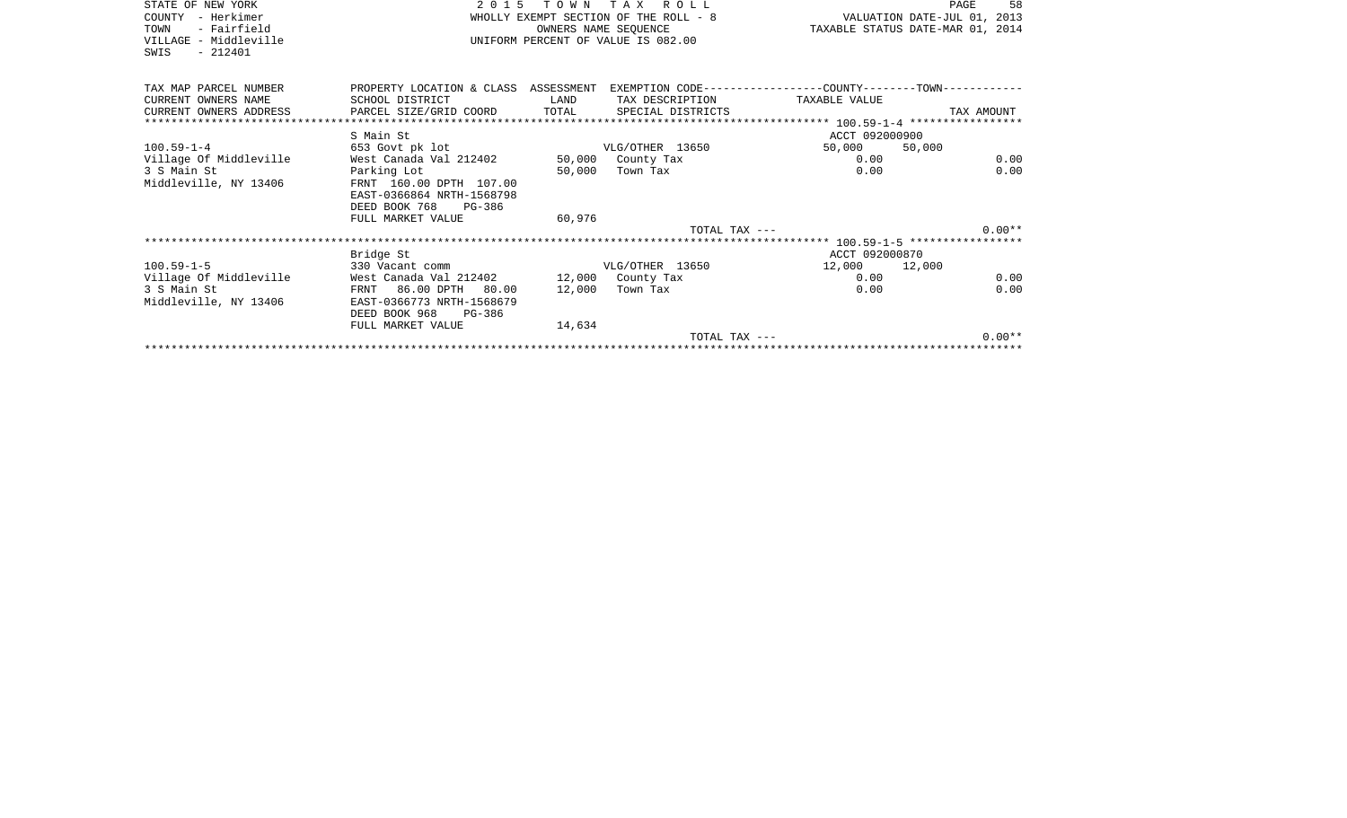| STATE OF NEW YORK<br>COUNTY - Herkimer<br>- Fairfield<br>TOWN<br>VILLAGE - Middleville<br>$-212401$<br>SWIS | 2015 TOWN TAX ROLL<br>WHOLLY EXEMPT SECTION OF THE ROLL - 8<br>OWNERS NAME SEOUENCE<br>UNIFORM PERCENT OF VALUE IS 082.00 |        |                   | VALUATION DATE-JUL 01, 2013<br>TAXABLE STATUS DATE-MAR 01, 2014 | PAGE   | 58       |
|-------------------------------------------------------------------------------------------------------------|---------------------------------------------------------------------------------------------------------------------------|--------|-------------------|-----------------------------------------------------------------|--------|----------|
| TAX MAP PARCEL NUMBER                                                                                       | PROPERTY LOCATION & CLASS ASSESSMENT EXEMPTION CODE----------------COUNTY-------TOWN----------                            |        |                   |                                                                 |        |          |
| CURRENT OWNERS NAME                                                                                         | SCHOOL DISTRICT                                                                                                           | LAND   | TAX DESCRIPTION   | TAXABLE VALUE                                                   |        |          |
| CURRENT OWNERS ADDRESS PARCEL SIZE/GRID COORD                                                               |                                                                                                                           | TOTAL  | SPECIAL DISTRICTS |                                                                 |        |          |
|                                                                                                             |                                                                                                                           |        |                   |                                                                 |        |          |
|                                                                                                             | S Main St                                                                                                                 |        |                   | ACCT 092000900                                                  |        |          |
| $100.59 - 1 - 4$                                                                                            | 653 Govt pk lot<br>West Canada Val 212402 50,000 County Tax                                                               |        | VLG/OTHER 13650   | 50,000                                                          | 50,000 |          |
| Village Of Middleville                                                                                      |                                                                                                                           |        |                   | 0.00                                                            |        | 0.00     |
| 3 S Main St<br>Middleville, NY 13406                                                                        | Parking Lot<br>FRNT 160.00 DPTH 107.00<br>EAST-0366864 NRTH-1568798<br>DEED BOOK 768<br>PG-386<br>FULL MARKET VALUE       | 60,976 | 50,000 Town Tax   | 0.00                                                            |        | 0.00     |
|                                                                                                             |                                                                                                                           |        | TOTAL TAX ---     |                                                                 |        | $0.00**$ |
|                                                                                                             |                                                                                                                           |        |                   |                                                                 |        |          |
|                                                                                                             | Bridge St                                                                                                                 |        |                   | ACCT 092000870                                                  |        |          |
| $100.59 - 1 - 5$                                                                                            | 330 Vacant comm                                                                                                           |        | VLG/OTHER 13650   | 12,000 12,000                                                   |        |          |
| Village Of Middleville                                                                                      | West Canada Val 212402 12,000 County Tax                                                                                  |        |                   | 0.00                                                            |        | 0.00     |
| 3 S Main St                                                                                                 | FRNT 86.00 DPTH 80.00                                                                                                     |        | 12,000 Town Tax   | 0.00                                                            |        | 0.00     |
| Middleville, NY 13406                                                                                       | EAST-0366773 NRTH-1568679<br>DEED BOOK 968 PG-386                                                                         |        |                   |                                                                 |        |          |
|                                                                                                             | FULL MARKET VALUE                                                                                                         | 14,634 | TOTAL TAX ---     |                                                                 |        | $0.00**$ |
|                                                                                                             |                                                                                                                           |        |                   |                                                                 |        |          |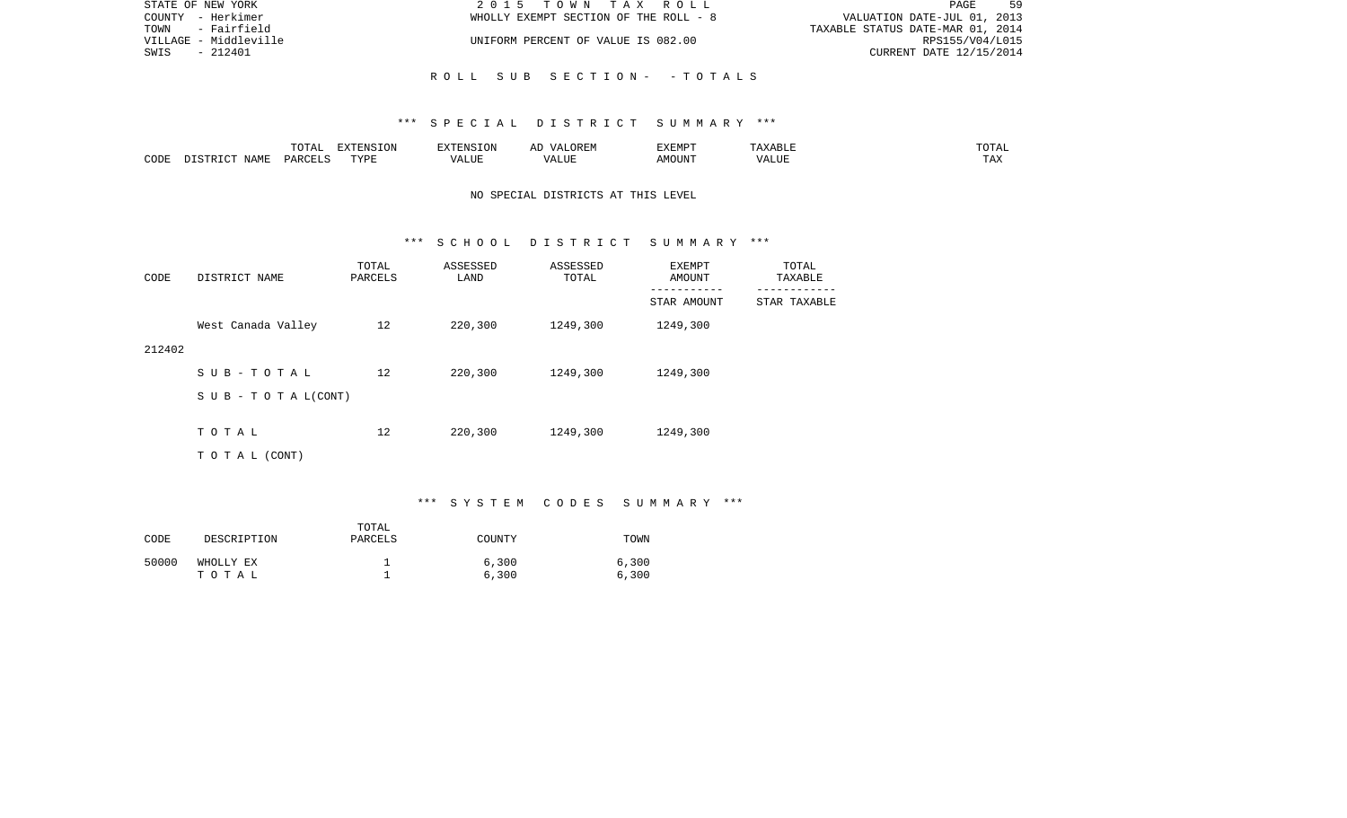| STATE OF NEW YORK     | 2015 TOWN TAX ROLL                    | 59<br>PAGE                       |
|-----------------------|---------------------------------------|----------------------------------|
| COUNTY - Herkimer     | WHOLLY EXEMPT SECTION OF THE ROLL - 8 | VALUATION DATE-JUL 01, 2013      |
| TOWN - Fairfield      |                                       | TAXABLE STATUS DATE-MAR 01, 2014 |
| VILLAGE - Middleville | UNIFORM PERCENT OF VALUE IS 082.00    | RPS155/V04/L015                  |
| SWIS<br>- 212401      |                                       | CURRENT DATE 12/15/2014          |
|                       |                                       |                                  |
|                       | ROLL SUB SECTION- - TOTALS            |                                  |

|      |       | $T \cap T$<br>⊥∪⊥പ | $T \cap T$<br>-----<br>TOIZ<br>ב עו | ∡∙NT⊂                         |                           | EXEMPT       |              | $m \wedge m$<br>. |
|------|-------|--------------------|-------------------------------------|-------------------------------|---------------------------|--------------|--------------|-------------------|
| CODE | … ∆M™ | DAD <sub>(</sub>   | TVDI<br>---                         | $- - - -$<br>$\cdots$<br>תשעב | ----<br>,,,<br>۳۰ تا بلند | JUN"<br>AIVI | ----<br>ALUI | $-1$<br>. Ал      |

## NO SPECIAL DISTRICTS AT THIS LEVEL

### \*\*\* S C H O O L D I S T R I C T S U M M A R Y \*\*\*

| CODE   | DISTRICT NAME                    | TOTAL<br>PARCELS | ASSESSED<br>LAND | ASSESSED<br>TOTAL | EXEMPT<br>AMOUNT | TOTAL<br>TAXABLE |
|--------|----------------------------------|------------------|------------------|-------------------|------------------|------------------|
|        |                                  |                  |                  |                   | STAR AMOUNT      | STAR TAXABLE     |
|        | West Canada Valley               | 12               | 220,300          | 1249,300          | 1249,300         |                  |
| 212402 |                                  |                  |                  |                   |                  |                  |
|        | SUB-TOTAL                        | 12               | 220,300          | 1249,300          | 1249,300         |                  |
|        | $S \cup B - T \cup T A L (CONT)$ |                  |                  |                   |                  |                  |
|        | TOTAL                            | 12               | 220,300          | 1249,300          | 1249,300         |                  |
|        |                                  |                  |                  |                   |                  |                  |
|        | T O T A L (CONT)                 |                  |                  |                   |                  |                  |

# \*\*\* S Y S T E M C O D E S S U M M A R Y \*\*\*

| CODE  | DESCRIPTION        | TOTAL<br>PARCELS | COUNTY         | TOWN           |
|-------|--------------------|------------------|----------------|----------------|
| 50000 | WHOLLY EX<br>тотаь |                  | 6,300<br>6,300 | 6,300<br>6,300 |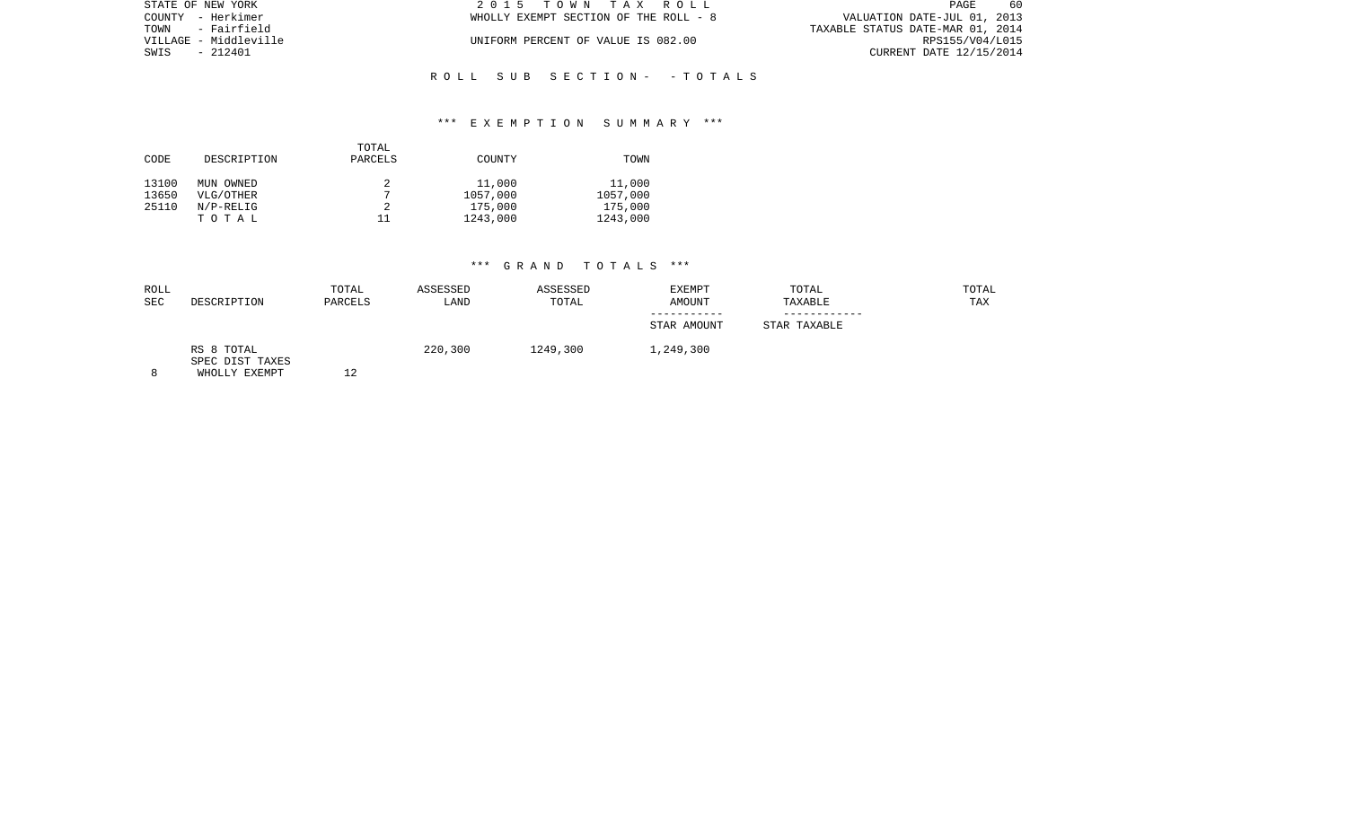| STATE OF NEW YORK     | 2015 TOWN TAX ROLL                    | -60<br>PAGE                      |
|-----------------------|---------------------------------------|----------------------------------|
| COUNTY - Herkimer     | WHOLLY EXEMPT SECTION OF THE ROLL - 8 | VALUATION DATE-JUL 01, 2013      |
| TOWN - Fairfield      |                                       | TAXABLE STATUS DATE-MAR 01, 2014 |
| VILLAGE - Middleville | UNIFORM PERCENT OF VALUE IS 082.00    | RPS155/V04/L015                  |
| SWIS - 212401         |                                       | CURRENT DATE 12/15/2014          |
|                       |                                       |                                  |
|                       |                                       |                                  |

## \*\*\* E X E M P T I O N S U M M A R Y \*\*\*

R O L L S U B S E C T I O N - - T O T A L S

| CODE  | DESCRIPTION | TOTAL<br>PARCELS | COUNTY   | TOWN     |
|-------|-------------|------------------|----------|----------|
| 13100 | MUN OWNED   | $\overline{ }$   | 11,000   | 11,000   |
| 13650 | VLG/OTHER   |                  | 1057,000 | 1057,000 |
| 25110 | $N/P-RELIG$ |                  | 175,000  | 175,000  |
|       | TOTAL       | 11               | 1243,000 | 1243,000 |

| ROLL<br><b>SEC</b> | DESCRIPTION                                    | TOTAL<br>PARCELS | ASSESSED<br>LAND | ASSESSED<br>TOTAL | <b>EXEMPT</b><br><b>AMOUNT</b><br>----------- | TOTAL<br>TAXABLE | TOTAL<br>TAX |
|--------------------|------------------------------------------------|------------------|------------------|-------------------|-----------------------------------------------|------------------|--------------|
|                    |                                                |                  |                  |                   | STAR AMOUNT                                   | STAR TAXABLE     |              |
|                    | RS 8 TOTAL<br>SPEC DIST TAXES<br>WHOLLY EXEMPT | 12               | 220,300          | 1249,300          | 1,249,300                                     |                  |              |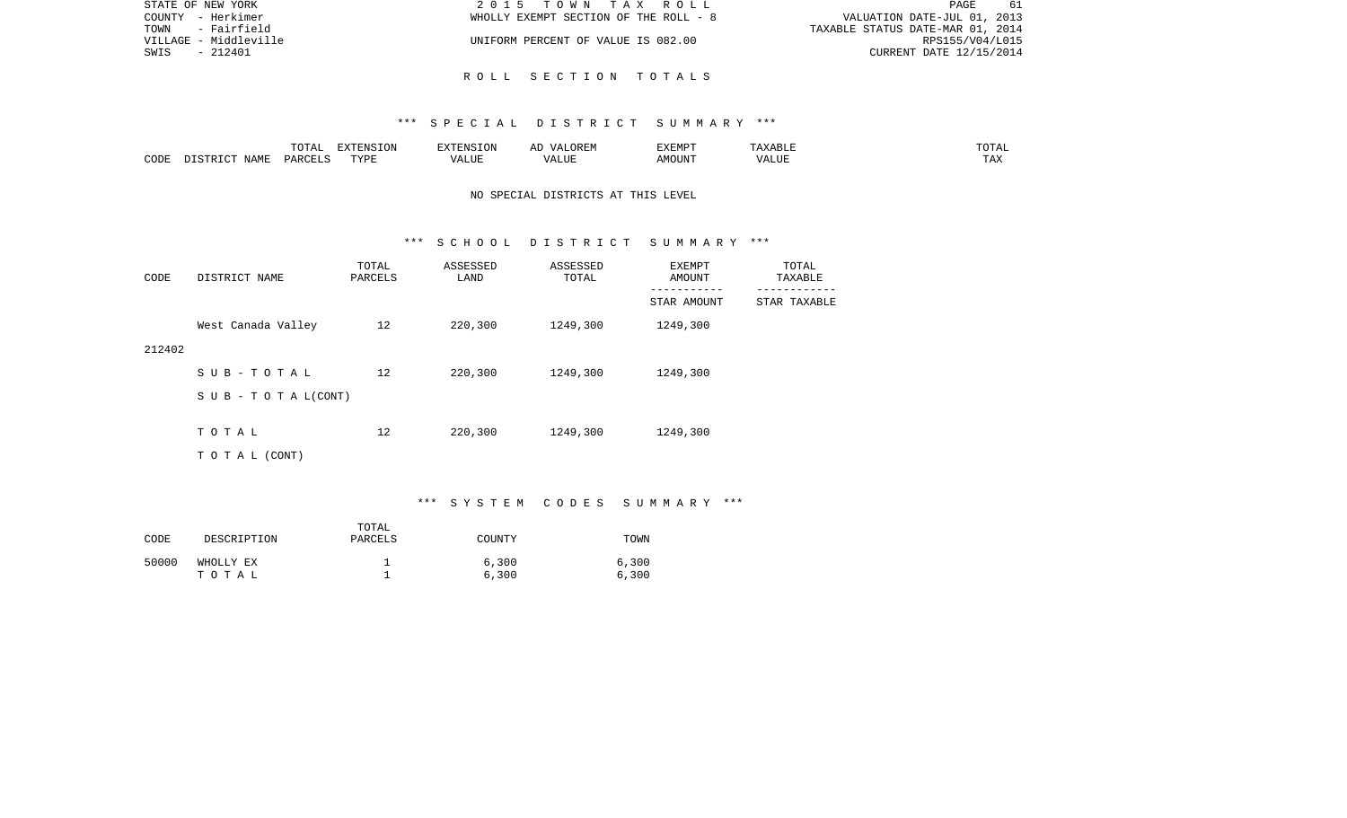| STATE OF NEW YORK     | 2015 TOWN TAX ROLL                    | PAGE<br>-61                      |
|-----------------------|---------------------------------------|----------------------------------|
| COUNTY - Herkimer     | WHOLLY EXEMPT SECTION OF THE ROLL - 8 | VALUATION DATE-JUL 01, 2013      |
| TOWN<br>- Fairfield   |                                       | TAXABLE STATUS DATE-MAR 01, 2014 |
| VILLAGE - Middleville | UNIFORM PERCENT OF VALUE IS 082.00    | RPS155/V04/L015                  |
| SWIS<br>- 212401      |                                       | CURRENT DATE 12/15/2014          |
|                       |                                       |                                  |

R O L L S E C T I O N T O T A L S

|      |      | $\Box \land \Box \Box$<br>TOTAL | EXTENSION | $  -$ | $H^{\prime}$ H $^{\prime}$ M $^{\prime}$<br>A | EXEMP' | ABLE                 | ---        |
|------|------|---------------------------------|-----------|-------|-----------------------------------------------|--------|----------------------|------------|
| CODE | NAMF | ، جمہوری                        | TVDF<br>. |       | .TTT                                          |        | <b>T TTT</b><br>ALUI | max<br>was |

## NO SPECIAL DISTRICTS AT THIS LEVEL

#### \*\*\* S C H O O L D I S T R I C T S U M M A R Y \*\*\*

| CODE   | DISTRICT NAME                    | TOTAL<br>PARCELS | ASSESSED<br>LAND | ASSESSED<br>TOTAL | EXEMPT<br>AMOUNT | TOTAL<br>TAXABLE |
|--------|----------------------------------|------------------|------------------|-------------------|------------------|------------------|
|        |                                  |                  |                  |                   | STAR AMOUNT      | STAR TAXABLE     |
|        | West Canada Valley               | 12               | 220,300          | 1249,300          | 1249,300         |                  |
| 212402 |                                  |                  |                  |                   |                  |                  |
|        | SUB-TOTAL                        | 12               | 220,300          | 1249,300          | 1249,300         |                  |
|        | $S \cup B - T \cup T A L (CONT)$ |                  |                  |                   |                  |                  |
|        |                                  |                  |                  |                   |                  |                  |
|        | TOTAL                            | 12               | 220,300          | 1249,300          | 1249,300         |                  |
|        | TO TAL (CONT)                    |                  |                  |                   |                  |                  |

# \*\*\* S Y S T E M C O D E S S U M M A R Y \*\*\*

| CODE  | DESCRIPTION        | TOTAL<br>PARCELS | COUNTY         | TOWN           |
|-------|--------------------|------------------|----------------|----------------|
| 50000 | WHOLLY EX<br>тотаь |                  | 6,300<br>6,300 | 6,300<br>6,300 |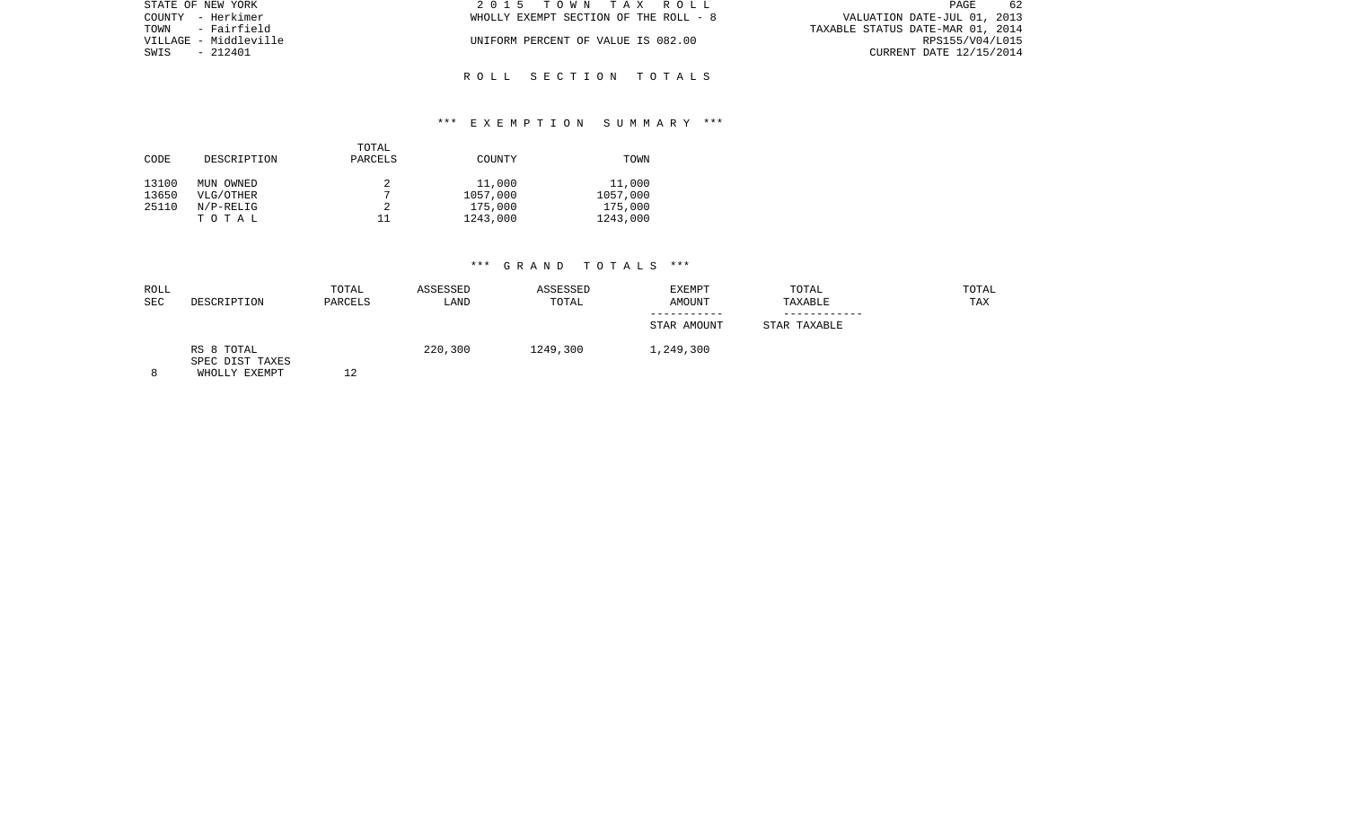| 2015 TOWN TAX ROLL                    | PAGE<br>-62                      |
|---------------------------------------|----------------------------------|
| WHOLLY EXEMPT SECTION OF THE ROLL - 8 | VALUATION DATE-JUL 01, 2013      |
|                                       | TAXABLE STATUS DATE-MAR 01, 2014 |
| UNIFORM PERCENT OF VALUE IS 082.00    | RPS155/V04/L015                  |
|                                       | CURRENT DATE 12/15/2014          |
|                                       |                                  |
|                                       |                                  |

R O L L S E C T I O N T O T A L S

## \*\*\* E X E M P T I O N S U M M A R Y \*\*\*

|       |             | TOTAL   |          |          |
|-------|-------------|---------|----------|----------|
| CODE  | DESCRIPTION | PARCELS | COUNTY   | TOWN     |
|       |             |         |          |          |
| 13100 | MUN OWNED   |         | 11,000   | 11,000   |
| 13650 | VLG/OTHER   |         | 1057,000 | 1057,000 |
| 25110 | $N/P-RELIG$ |         | 175,000  | 175,000  |
|       | TOTAL       | 11      | 1243,000 | 1243,000 |

| ROLL<br><b>SEC</b> | DESCRIPTION                                    | TOTAL<br>PARCELS | ASSESSED<br>LAND | ASSESSED<br>TOTAL | <b>EXEMPT</b><br><b>AMOUNT</b> | TOTAL<br>TAXABLE | TOTAL<br>TAX |
|--------------------|------------------------------------------------|------------------|------------------|-------------------|--------------------------------|------------------|--------------|
|                    |                                                |                  |                  |                   | STAR AMOUNT                    | STAR TAXABLE     |              |
|                    | RS 8 TOTAL<br>SPEC DIST TAXES<br>WHOLLY EXEMPT |                  | 220,300          | 1249,300          | 1,249,300                      |                  |              |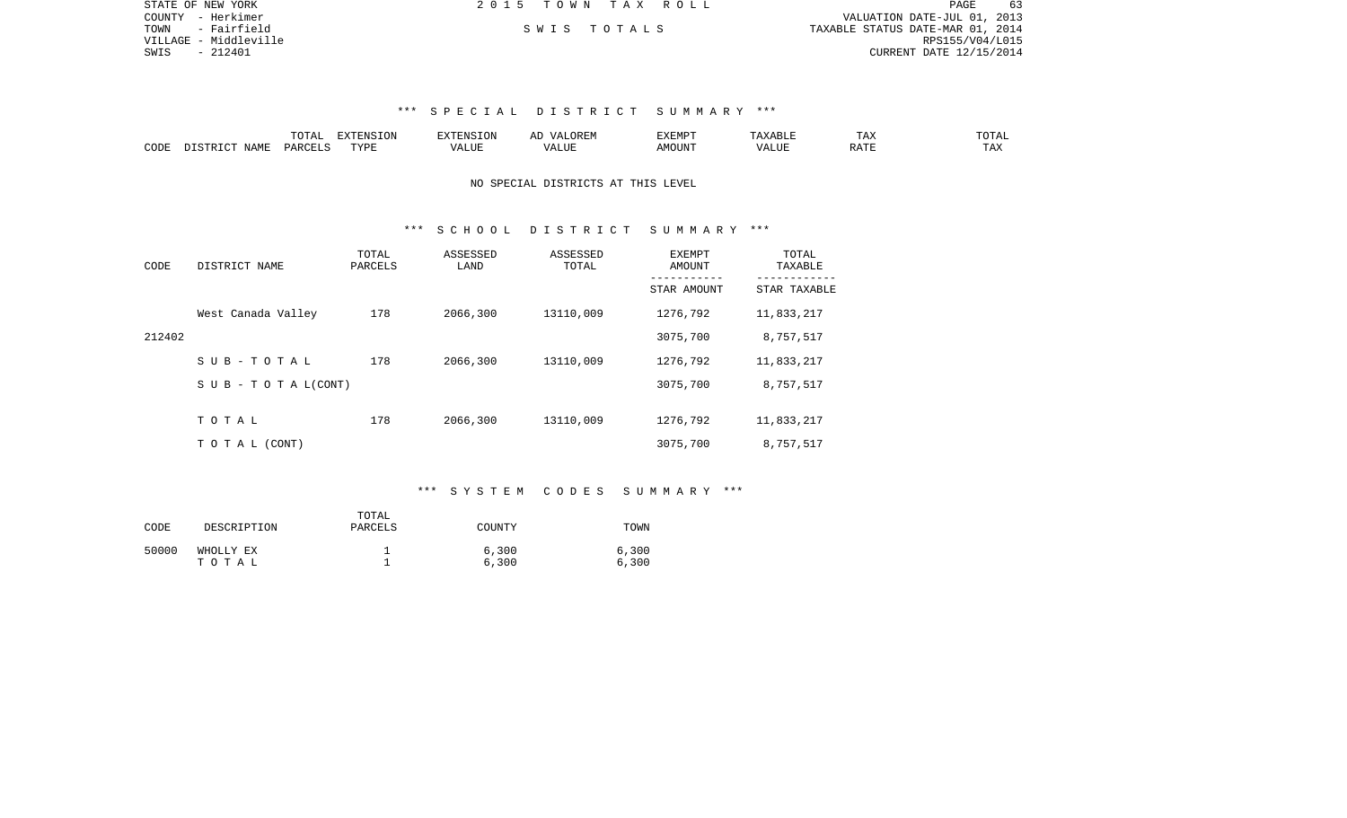| STATE OF NEW YORK     | 2015 TOWN TAX ROLL | 63<br>PAGE                       |
|-----------------------|--------------------|----------------------------------|
| COUNTY - Herkimer     |                    | VALUATION DATE-JUL 01, 2013      |
| TOWN - Fairfield      | SWIS TOTALS        | TAXABLE STATUS DATE-MAR 01, 2014 |
| VILLAGE - Middleville |                    | RPS155/V04/L015                  |
| SWIS<br>- 212401      |                    | CURRENT DATE 12/15/2014          |
|                       |                    |                                  |
|                       |                    |                                  |

|      | $m \wedge m$<br>$\Gamma$ | -------<br>---<br>$\overline{1}$ |           | <u>д</u> і<br>∼ | YEMP. | --                               | ∸⊷           | $m \wedge n$            |
|------|--------------------------|----------------------------------|-----------|-----------------|-------|----------------------------------|--------------|-------------------------|
| CODE | レムド                      | TVDI                             | $- - - -$ |                 | 550T  | . <b></b><br>a HC.<br>$\sqrt{ }$ | $\neg$ $\pi$ | $m \times r$<br>- - - - |

### NO SPECIAL DISTRICTS AT THIS LEVEL

### \*\*\* S C H O O L D I S T R I C T S U M M A R Y \*\*\*

| CODE   | DISTRICT NAME                    | TOTAL<br>PARCELS | ASSESSED<br>LAND | ASSESSED<br>TOTAL | EXEMPT<br>AMOUNT | TOTAL<br>TAXABLE |
|--------|----------------------------------|------------------|------------------|-------------------|------------------|------------------|
|        |                                  |                  |                  |                   | STAR AMOUNT      | STAR TAXABLE     |
|        | West Canada Valley               | 178              | 2066,300         | 13110,009         | 1276,792         | 11,833,217       |
| 212402 |                                  |                  |                  |                   | 3075,700         | 8,757,517        |
|        | $S$ U B - T O T A L              | 178              | 2066,300         | 13110,009         | 1276,792         | 11,833,217       |
|        | $S \cup B - T \cup T A L (CONT)$ |                  |                  |                   | 3075,700         | 8,757,517        |
|        |                                  |                  |                  |                   |                  |                  |
|        | TOTAL                            | 178              | 2066,300         | 13110,009         | 1276,792         | 11,833,217       |
|        | T O T A L (CONT)                 |                  |                  |                   | 3075,700         | 8,757,517        |

### \*\*\* S Y S T E M C O D E S S U M M A R Y \*\*\*

| CODE  | DESCRIPTION        | TOTAL<br>PARCELS | COUNTY         | TOWN           |
|-------|--------------------|------------------|----------------|----------------|
| 50000 | WHOLLY EX<br>тотаь |                  | 6,300<br>6,300 | 6,300<br>6,300 |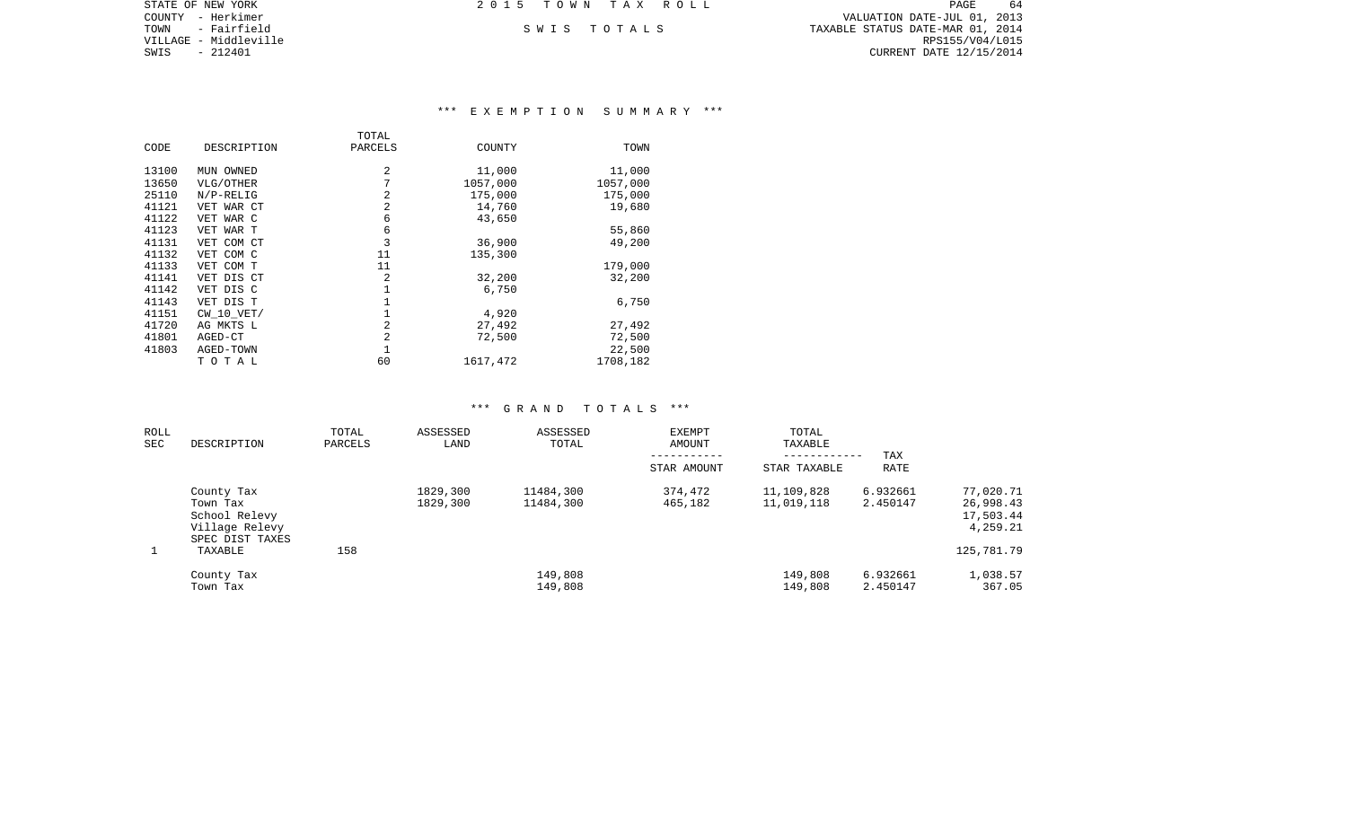PAGE 64 COUNTY - Herkimer VALUATION DATE-JUL 01, 2013 TOWN - Fairfield S W I S T O T A L S TAXABLE STATUS DATE-MAR 01, 2014 CURRENT DATE 12/15/2014

STATE OF NEW YORK **2015 TOWN TAX ROLL** 

VILLAGE - Middleville<br>SWIS - 212401

# \*\*\* E X E M P T I O N S U M M A R Y \*\*\*

|       |             | TOTAL          |          |          |
|-------|-------------|----------------|----------|----------|
| CODE  | DESCRIPTION | PARCELS        | COUNTY   | TOWN     |
| 13100 | MUN OWNED   | $\overline{a}$ | 11,000   | 11,000   |
| 13650 | VLG/OTHER   | 7              | 1057,000 | 1057,000 |
| 25110 | $N/P-RELIG$ | 2              | 175,000  | 175,000  |
| 41121 | VET WAR CT  | 2              | 14,760   | 19,680   |
| 41122 | VET WAR C   | 6              | 43,650   |          |
| 41123 | VET WAR T   | 6              |          | 55,860   |
| 41131 | VET COM CT  | 3              | 36,900   | 49,200   |
| 41132 | VET COM C   | 11             | 135,300  |          |
| 41133 | VET COM T   | 11             |          | 179,000  |
| 41141 | VET DIS CT  | 2              | 32,200   | 32,200   |
| 41142 | VET DIS C   |                | 6,750    |          |
| 41143 | VET DIS T   |                |          | 6,750    |
| 41151 | CW 10 VET/  |                | 4,920    |          |
| 41720 | AG MKTS L   | 2              | 27,492   | 27,492   |
| 41801 | AGED-CT     | 2              | 72,500   | 72,500   |
| 41803 | AGED-TOWN   |                |          | 22,500   |
|       | TOTAL       | 60             | 1617,472 | 1708,182 |

| ROLL<br>SEC | DESCRIPTION                                                                  | TOTAL<br>PARCELS | ASSESSED<br>LAND     | ASSESSED<br>TOTAL      | <b>EXEMPT</b><br>AMOUNT<br>STAR AMOUNT | TOTAL<br>TAXABLE<br>STAR TAXABLE | TAX<br><b>RATE</b>   |                                                 |
|-------------|------------------------------------------------------------------------------|------------------|----------------------|------------------------|----------------------------------------|----------------------------------|----------------------|-------------------------------------------------|
|             | County Tax<br>Town Tax<br>School Relevy<br>Village Relevy<br>SPEC DIST TAXES |                  | 1829,300<br>1829,300 | 11484,300<br>11484,300 | 374,472<br>465,182                     | 11,109,828<br>11,019,118         | 6.932661<br>2.450147 | 77,020.71<br>26,998.43<br>17,503.44<br>4,259.21 |
|             | TAXABLE                                                                      | 158              |                      |                        |                                        |                                  |                      | 125,781.79                                      |
|             | County Tax<br>Town Tax                                                       |                  |                      | 149,808<br>149,808     |                                        | 149,808<br>149,808               | 6.932661<br>2.450147 | 1,038.57<br>367.05                              |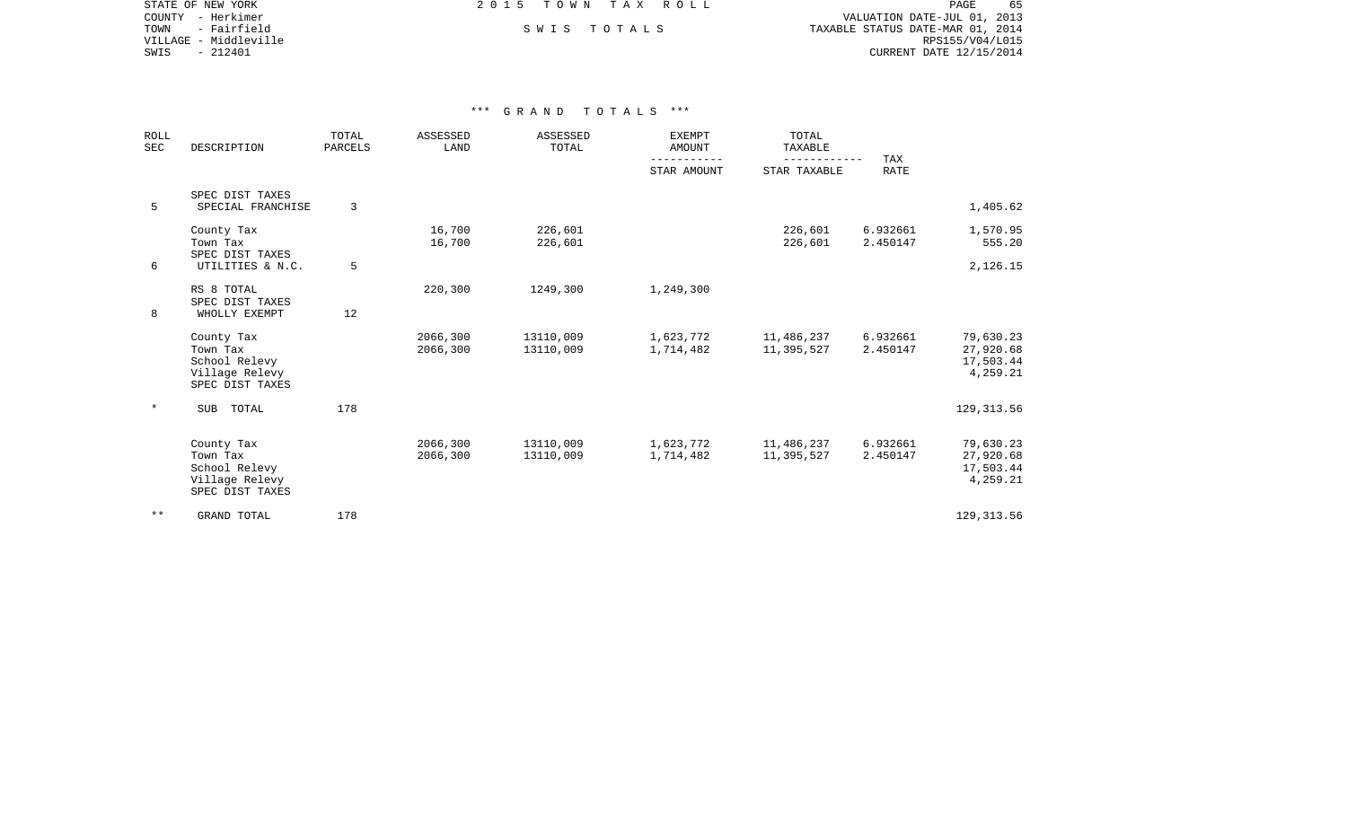PAGE 65 COUNTY - Herkimer VALUATION DATE-JUL 01, 2013 TOWN - Fairfield S W I S T O T A L S TAXABLE STATUS DATE-MAR 01, 2014 CURRENT DATE 12/15/2014

STATE OF NEW YORK **EXECUTE:** A G ALL 2 0 1 5 T O W N T A X R O L L

VILLAGE - Middleville<br>SWIS - 212401

| <b>ROLL</b><br><b>SEC</b> | DESCRIPTION                                                                  | TOTAL<br>PARCELS | ASSESSED<br>LAND     | ASSESSED<br>TOTAL      | <b>EXEMPT</b><br><b>AMOUNT</b><br>--------- | TOTAL<br>TAXABLE<br>---------- | TAX                  |                                                 |
|---------------------------|------------------------------------------------------------------------------|------------------|----------------------|------------------------|---------------------------------------------|--------------------------------|----------------------|-------------------------------------------------|
|                           |                                                                              |                  |                      |                        | STAR AMOUNT                                 | STAR TAXABLE                   | <b>RATE</b>          |                                                 |
| 5                         | SPEC DIST TAXES<br>SPECIAL FRANCHISE                                         | 3                |                      |                        |                                             |                                |                      | 1,405.62                                        |
|                           | County Tax<br>Town Tax<br>SPEC DIST TAXES                                    |                  | 16,700<br>16,700     | 226,601<br>226,601     |                                             | 226,601<br>226,601             | 6.932661<br>2.450147 | 1,570.95<br>555.20                              |
| 6                         | UTILITIES & N.C.                                                             | 5                |                      |                        |                                             |                                |                      | 2,126.15                                        |
| 8                         | RS 8 TOTAL<br>SPEC DIST TAXES<br>WHOLLY EXEMPT                               | 12               | 220,300              | 1249,300               | 1,249,300                                   |                                |                      |                                                 |
|                           | County Tax<br>Town Tax<br>School Relevy<br>Village Relevy<br>SPEC DIST TAXES |                  | 2066,300<br>2066,300 | 13110,009<br>13110,009 | 1,623,772<br>1,714,482                      | 11,486,237<br>11,395,527       | 6.932661<br>2.450147 | 79,630.23<br>27,920.68<br>17,503.44<br>4,259.21 |
| $^\star$                  | <b>SUB</b><br>TOTAL                                                          | 178              |                      |                        |                                             |                                |                      | 129, 313.56                                     |
|                           | County Tax<br>Town Tax<br>School Relevy<br>Village Relevy<br>SPEC DIST TAXES |                  | 2066,300<br>2066,300 | 13110,009<br>13110,009 | 1,623,772<br>1,714,482                      | 11,486,237<br>11,395,527       | 6.932661<br>2.450147 | 79,630.23<br>27,920.68<br>17,503.44<br>4,259.21 |
| $***$                     | GRAND TOTAL                                                                  | 178              |                      |                        |                                             |                                |                      | 129, 313.56                                     |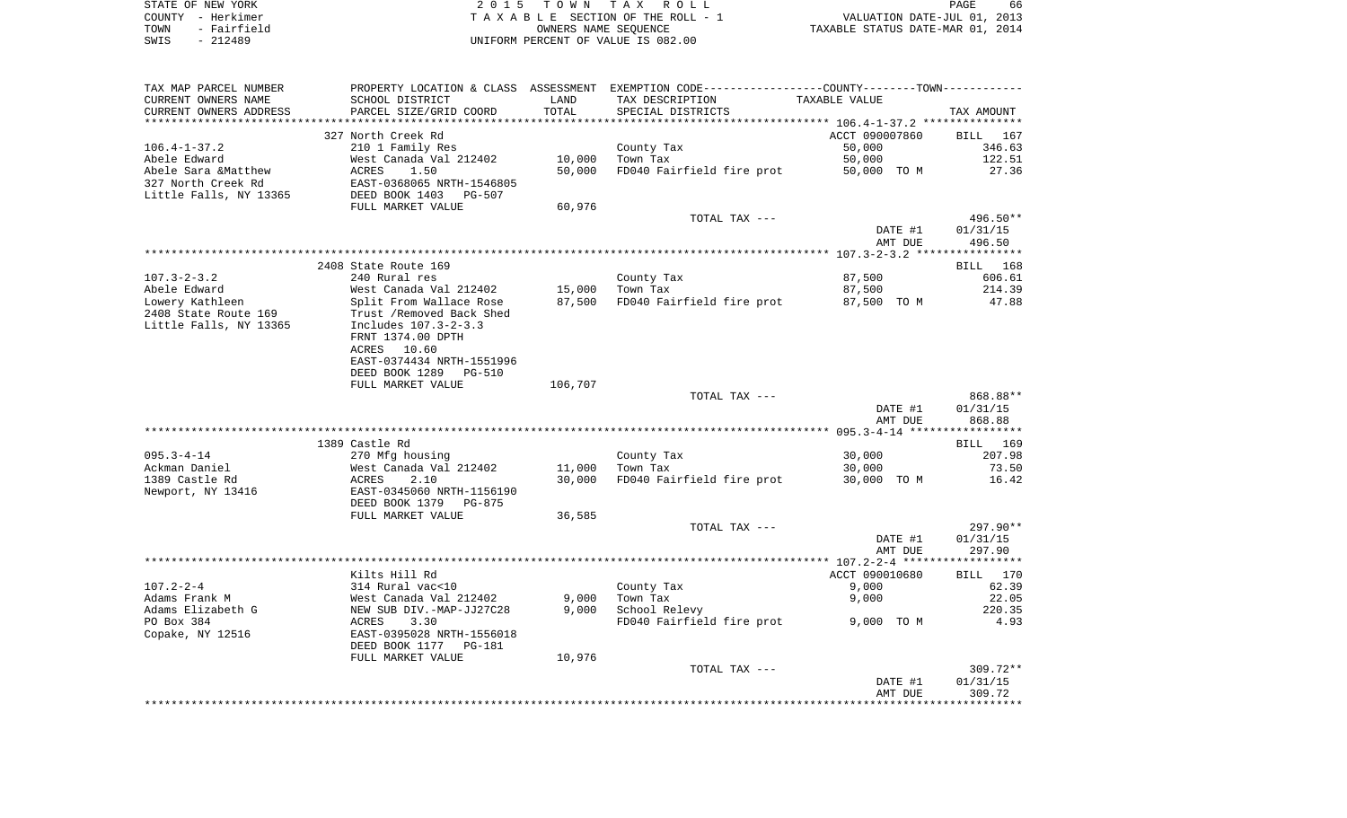|      | STATE OF NEW YORK | 2015 TOWN TAX ROLL                 |                                  | PAGE                        | 66 |
|------|-------------------|------------------------------------|----------------------------------|-----------------------------|----|
|      | COUNTY - Herkimer | TAXABLE SECTION OF THE ROLL - 1    |                                  | VALUATION DATE-JUL 01, 2013 |    |
| TOWN | - Fairfield       | OWNERS NAME SEOUENCE               | TAXABLE STATUS DATE-MAR 01, 2014 |                             |    |
| SWIS | - 212489          | UNIFORM PERCENT OF VALUE IS 082.00 |                                  |                             |    |
|      |                   |                                    |                                  |                             |    |

| TAX MAP PARCEL NUMBER  |                                 |         | PROPERTY LOCATION & CLASS ASSESSMENT EXEMPTION CODE---------------COUNTY-------TOWN--------- |                |                    |
|------------------------|---------------------------------|---------|----------------------------------------------------------------------------------------------|----------------|--------------------|
| CURRENT OWNERS NAME    | SCHOOL DISTRICT                 | LAND    | TAX DESCRIPTION                                                                              | TAXABLE VALUE  |                    |
| CURRENT OWNERS ADDRESS | PARCEL SIZE/GRID COORD          | TOTAL   | SPECIAL DISTRICTS                                                                            |                | TAX AMOUNT         |
|                        |                                 |         |                                                                                              |                |                    |
|                        | 327 North Creek Rd              |         |                                                                                              | ACCT 090007860 | BILL<br>167        |
| $106.4 - 1 - 37.2$     | 210 1 Family Res                |         | County Tax                                                                                   | 50,000         | 346.63             |
| Abele Edward           | West Canada Val 212402          | 10,000  | Town Tax                                                                                     | 50,000         | 122.51             |
| Abele Sara &Matthew    | ACRES<br>1.50                   | 50,000  | FD040 Fairfield fire prot                                                                    | 50,000 TO M    | 27.36              |
| 327 North Creek Rd     | EAST-0368065 NRTH-1546805       |         |                                                                                              |                |                    |
| Little Falls, NY 13365 | DEED BOOK 1403<br><b>PG-507</b> |         |                                                                                              |                |                    |
|                        | FULL MARKET VALUE               | 60,976  |                                                                                              |                |                    |
|                        |                                 |         | TOTAL TAX ---                                                                                |                | 496.50**           |
|                        |                                 |         |                                                                                              | DATE #1        | 01/31/15           |
|                        |                                 |         |                                                                                              | AMT DUE        | 496.50             |
|                        |                                 |         |                                                                                              |                |                    |
|                        |                                 |         |                                                                                              |                |                    |
|                        | 2408 State Route 169            |         |                                                                                              |                | 168<br>BILL        |
| $107.3 - 2 - 3.2$      | 240 Rural res                   |         | County Tax                                                                                   | 87,500         | 606.61             |
| Abele Edward           | West Canada Val 212402          | 15,000  | Town Tax                                                                                     | 87,500         | 214.39             |
| Lowery Kathleen        | Split From Wallace Rose         | 87,500  | FD040 Fairfield fire prot                                                                    | 87,500 TO M    | 47.88              |
| 2408 State Route 169   | Trust / Removed Back Shed       |         |                                                                                              |                |                    |
| Little Falls, NY 13365 | Includes 107.3-2-3.3            |         |                                                                                              |                |                    |
|                        | FRNT 1374.00 DPTH               |         |                                                                                              |                |                    |
|                        | ACRES 10.60                     |         |                                                                                              |                |                    |
|                        | EAST-0374434 NRTH-1551996       |         |                                                                                              |                |                    |
|                        | DEED BOOK 1289<br><b>PG-510</b> |         |                                                                                              |                |                    |
|                        | FULL MARKET VALUE               | 106,707 |                                                                                              |                |                    |
|                        |                                 |         | TOTAL TAX ---                                                                                |                | 868.88**           |
|                        |                                 |         |                                                                                              | DATE #1        | 01/31/15           |
|                        |                                 |         |                                                                                              | AMT DUE        | 868.88             |
|                        |                                 |         |                                                                                              |                | **********         |
|                        | 1389 Castle Rd                  |         |                                                                                              |                | <b>BILL</b><br>169 |
| $095.3 - 4 - 14$       | 270 Mfg housing                 |         | County Tax                                                                                   | 30,000         | 207.98             |
| Ackman Daniel          | West Canada Val 212402          | 11,000  | Town Tax                                                                                     | 30,000         | 73.50              |
| 1389 Castle Rd         | 2.10<br>ACRES                   | 30,000  | FD040 Fairfield fire prot                                                                    | 30,000 TO M    | 16.42              |
| Newport, NY 13416      | EAST-0345060 NRTH-1156190       |         |                                                                                              |                |                    |
|                        | DEED BOOK 1379<br>PG-875        |         |                                                                                              |                |                    |
|                        | FULL MARKET VALUE               | 36,585  |                                                                                              |                |                    |
|                        |                                 |         | TOTAL TAX ---                                                                                |                | 297.90**           |
|                        |                                 |         |                                                                                              | DATE #1        | 01/31/15           |
|                        |                                 |         |                                                                                              | AMT DUE        | 297.90             |
|                        |                                 |         |                                                                                              |                |                    |
|                        | Kilts Hill Rd                   |         |                                                                                              | ACCT 090010680 | BILL<br>170        |
| $107.2 - 2 - 4$        | 314 Rural vac<10                |         | County Tax                                                                                   | 9,000          | 62.39              |
| Adams Frank M          | West Canada Val 212402          | 9,000   | Town Tax                                                                                     | 9,000          | 22.05              |
| Adams Elizabeth G      | NEW SUB DIV.-MAP-JJ27C28        | 9,000   | School Relevy                                                                                |                | 220.35             |
| PO Box 384             | ACRES<br>3.30                   |         | FD040 Fairfield fire prot                                                                    | 9,000 TO M     | 4.93               |
| Copake, NY 12516       | EAST-0395028 NRTH-1556018       |         |                                                                                              |                |                    |
|                        | DEED BOOK 1177<br><b>PG-181</b> |         |                                                                                              |                |                    |
|                        | FULL MARKET VALUE               | 10,976  |                                                                                              |                |                    |
|                        |                                 |         | TOTAL TAX ---                                                                                |                | $309.72**$         |
|                        |                                 |         |                                                                                              | DATE #1        | 01/31/15           |
|                        |                                 |         |                                                                                              | AMT DUE        | 309.72             |
|                        |                                 |         |                                                                                              |                |                    |
|                        |                                 |         |                                                                                              |                |                    |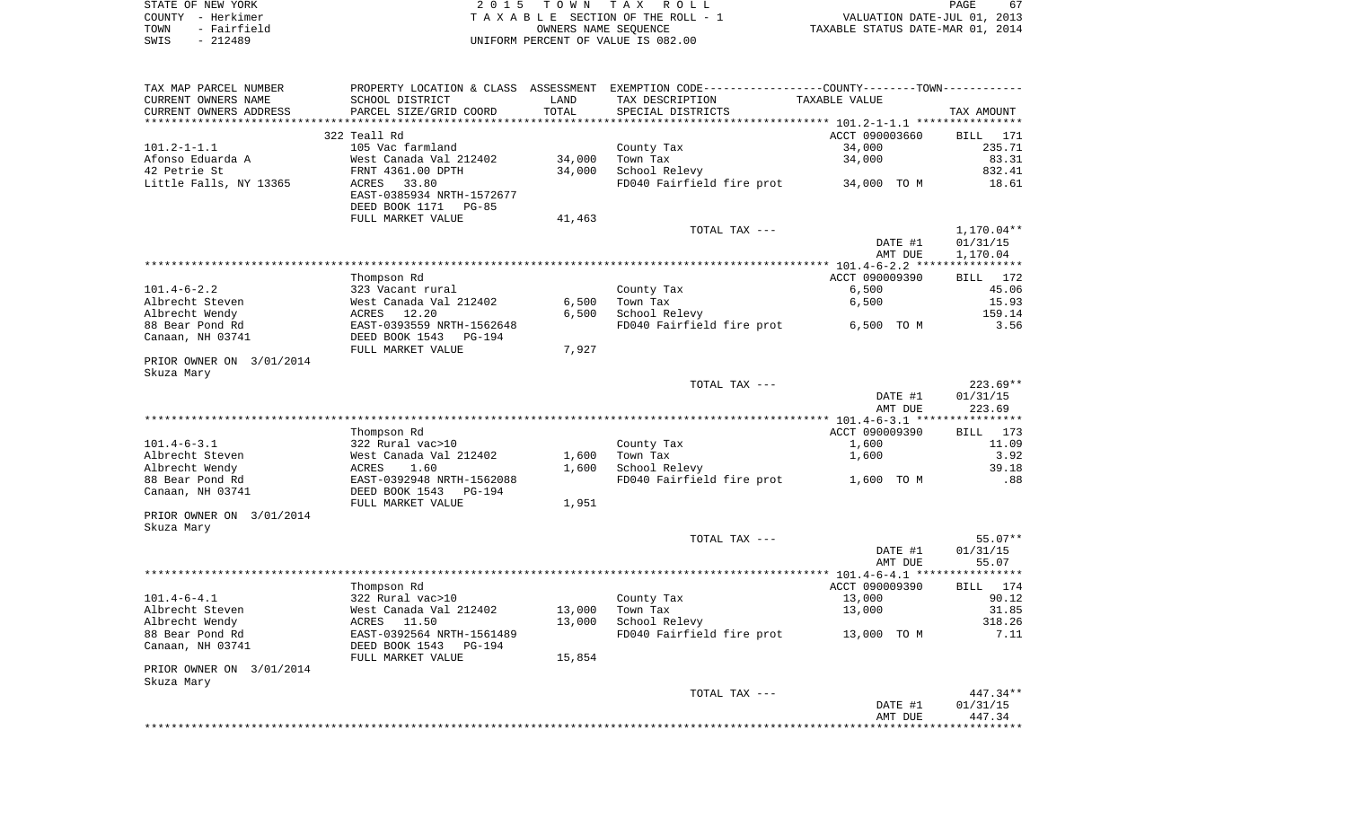| STATE OF NEW YORK   | 2015 TOWN TAX ROLL                 | 67<br>PAGE                       |
|---------------------|------------------------------------|----------------------------------|
| COUNTY - Herkimer   | TAXABLE SECTION OF THE ROLL - 1    | VALUATION DATE-JUL 01, 2013      |
| - Fairfield<br>TOWN | OWNERS NAME SEOUENCE               | TAXABLE STATUS DATE-MAR 01, 2014 |
| - 212489<br>SWIS    | UNIFORM PERCENT OF VALUE IS 082.00 |                                  |

| TAX MAP PARCEL NUMBER<br>CURRENT OWNERS NAME | PROPERTY LOCATION & CLASS ASSESSMENT<br>SCHOOL DISTRICT | LAND   | EXEMPTION CODE-----------------COUNTY-------TOWN-----------<br>TAX DESCRIPTION | TAXABLE VALUE            |                       |
|----------------------------------------------|---------------------------------------------------------|--------|--------------------------------------------------------------------------------|--------------------------|-----------------------|
| CURRENT OWNERS ADDRESS                       | PARCEL SIZE/GRID COORD                                  | TOTAL  | SPECIAL DISTRICTS                                                              |                          | TAX AMOUNT            |
|                                              | 322 Teall Rd                                            |        |                                                                                |                          | BILL 171              |
| $101.2 - 1 - 1.1$                            | 105 Vac farmland                                        |        | County Tax                                                                     | ACCT 090003660<br>34,000 | 235.71                |
| Afonso Eduarda A                             | West Canada Val 212402                                  | 34,000 | Town Tax                                                                       | 34,000                   | 83.31                 |
| 42 Petrie St                                 | FRNT 4361.00 DPTH                                       | 34,000 | School Relevy                                                                  |                          | 832.41                |
| Little Falls, NY 13365                       | ACRES<br>33.80                                          |        | FD040 Fairfield fire prot                                                      | 34,000 TO M              | 18.61                 |
|                                              | EAST-0385934 NRTH-1572677<br>DEED BOOK 1171<br>$PG-85$  |        |                                                                                |                          |                       |
|                                              | FULL MARKET VALUE                                       | 41,463 |                                                                                |                          |                       |
|                                              |                                                         |        | TOTAL TAX ---                                                                  |                          | $1,170.04**$          |
|                                              |                                                         |        |                                                                                | DATE #1                  | 01/31/15              |
|                                              |                                                         |        |                                                                                | AMT DUE                  | 1,170.04              |
|                                              |                                                         |        |                                                                                |                          |                       |
|                                              | Thompson Rd                                             |        |                                                                                | ACCT 090009390           | BILL<br>172           |
| $101.4 - 6 - 2.2$                            | 323 Vacant rural                                        |        | County Tax                                                                     | 6,500                    | 45.06                 |
| Albrecht Steven                              | West Canada Val 212402                                  | 6,500  | Town Tax                                                                       | 6,500                    | 15.93                 |
| Albrecht Wendy                               | ACRES<br>12.20                                          | 6,500  | School Relevy                                                                  |                          | 159.14                |
| 88 Bear Pond Rd                              | EAST-0393559 NRTH-1562648                               |        | FD040 Fairfield fire prot                                                      | 6,500 TO M               | 3.56                  |
| Canaan, NH 03741                             | DEED BOOK 1543<br>PG-194                                |        |                                                                                |                          |                       |
|                                              | FULL MARKET VALUE                                       | 7,927  |                                                                                |                          |                       |
| PRIOR OWNER ON 3/01/2014<br>Skuza Mary       |                                                         |        |                                                                                |                          |                       |
|                                              |                                                         |        | TOTAL TAX ---                                                                  |                          | $223.69**$            |
|                                              |                                                         |        |                                                                                | DATE #1<br>AMT DUE       | 01/31/15<br>223.69    |
|                                              |                                                         |        |                                                                                |                          |                       |
|                                              | Thompson Rd                                             |        |                                                                                | ACCT 090009390           | BILL 173              |
| $101.4 - 6 - 3.1$                            | 322 Rural vac>10                                        |        | County Tax                                                                     | 1,600                    | 11.09                 |
| Albrecht Steven                              | West Canada Val 212402                                  | 1,600  | Town Tax                                                                       | 1,600                    | 3.92                  |
| Albrecht Wendy                               | ACRES<br>1.60                                           | 1,600  | School Relevy                                                                  |                          | 39.18                 |
| 88 Bear Pond Rd                              | EAST-0392948 NRTH-1562088                               |        | FD040 Fairfield fire prot                                                      | 1,600 TO M               | .88                   |
| Canaan, NH 03741                             | DEED BOOK 1543<br>PG-194<br>FULL MARKET VALUE           | 1,951  |                                                                                |                          |                       |
| PRIOR OWNER ON 3/01/2014                     |                                                         |        |                                                                                |                          |                       |
| Skuza Mary                                   |                                                         |        |                                                                                |                          |                       |
|                                              |                                                         |        | TOTAL TAX ---                                                                  |                          | $55.07**$             |
|                                              |                                                         |        |                                                                                | DATE #1                  | 01/31/15              |
|                                              |                                                         |        |                                                                                | AMT DUE                  | 55.07                 |
|                                              |                                                         |        |                                                                                |                          | * * * * * * * * * * * |
|                                              | Thompson Rd                                             |        |                                                                                | ACCT 090009390           | BILL 174              |
| $101.4 - 6 - 4.1$                            | 322 Rural vac>10                                        |        | County Tax                                                                     | 13,000                   | 90.12                 |
| Albrecht Steven                              | West Canada Val 212402                                  | 13,000 | Town Tax                                                                       | 13,000                   | 31.85                 |
| Albrecht Wendy                               | ACRES<br>11.50                                          | 13,000 | School Relevy                                                                  |                          | 318.26                |
| 88 Bear Pond Rd<br>Canaan, NH 03741          | EAST-0392564 NRTH-1561489<br>DEED BOOK 1543<br>PG-194   |        | FD040 Fairfield fire prot                                                      | 13,000 TO M              | 7.11                  |
|                                              | FULL MARKET VALUE                                       | 15,854 |                                                                                |                          |                       |
| PRIOR OWNER ON 3/01/2014<br>Skuza Mary       |                                                         |        |                                                                                |                          |                       |
|                                              |                                                         |        | TOTAL TAX ---                                                                  |                          | 447.34**              |
|                                              |                                                         |        |                                                                                | DATE #1                  | 01/31/15              |
|                                              |                                                         |        |                                                                                | AMT DUE                  | 447.34                |
|                                              |                                                         |        |                                                                                |                          |                       |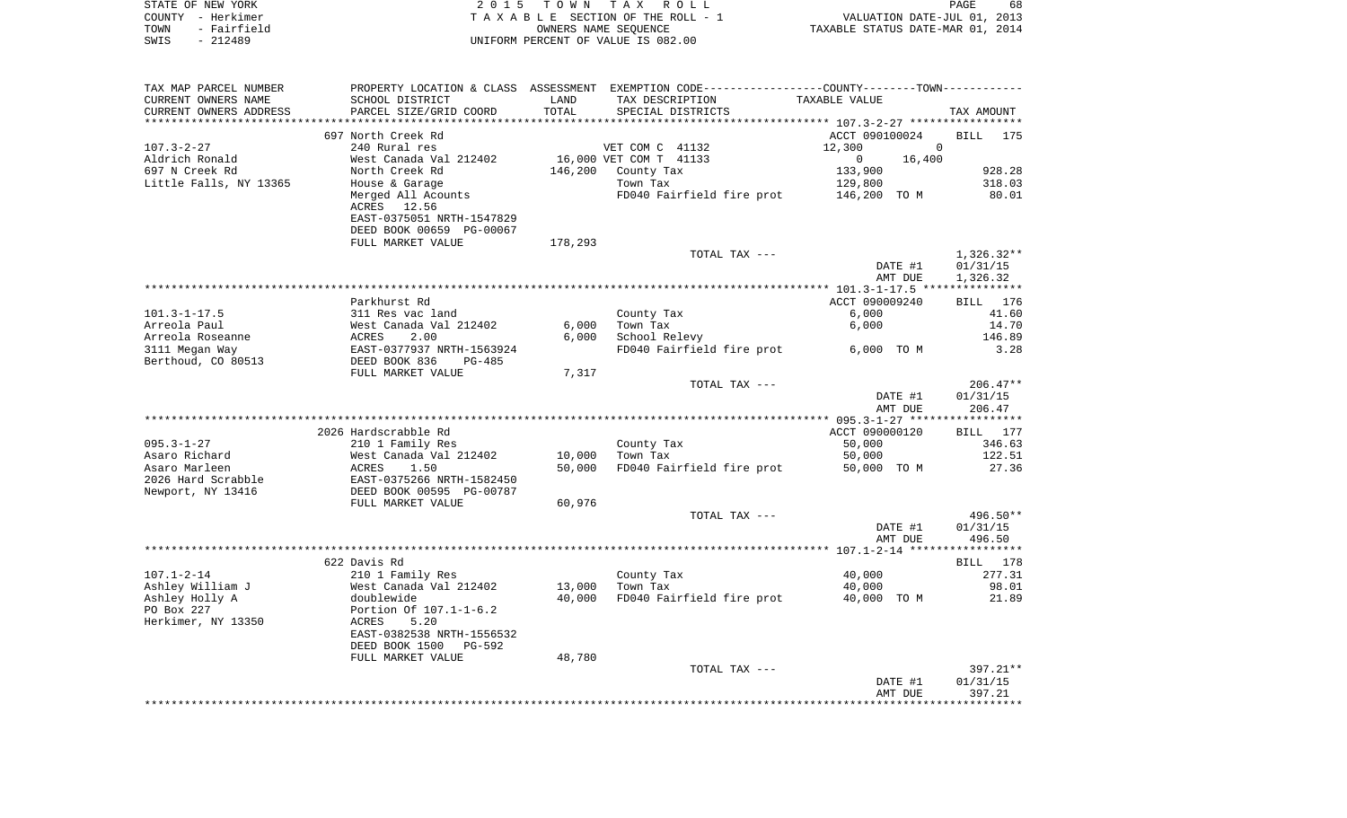|      | STATE OF NEW YORK | 2015 TOWN TAX ROLL                 | PAGE                             | 68 |
|------|-------------------|------------------------------------|----------------------------------|----|
|      | COUNTY - Herkimer | TAXABLE SECTION OF THE ROLL - 1    | VALUATION DATE-JUL 01, 2013      |    |
| TOWN | - Fairfield       | OWNERS NAME SEOUENCE               | TAXABLE STATUS DATE-MAR 01, 2014 |    |
| SWIS | - 212489          | UNIFORM PERCENT OF VALUE IS 082.00 |                                  |    |

| TAX MAP PARCEL NUMBER                | PROPERTY LOCATION & CLASS ASSESSMENT       |                 | EXEMPTION CODE-----------------COUNTY-------TOWN----------- |                                                   |                      |
|--------------------------------------|--------------------------------------------|-----------------|-------------------------------------------------------------|---------------------------------------------------|----------------------|
| CURRENT OWNERS NAME                  | SCHOOL DISTRICT                            | LAND            | TAX DESCRIPTION                                             | TAXABLE VALUE                                     |                      |
| CURRENT OWNERS ADDRESS               | PARCEL SIZE/GRID COORD                     | TOTAL           | SPECIAL DISTRICTS                                           |                                                   | TAX AMOUNT           |
| **********************               | ***********************                    | *************** |                                                             | ******************** 107.3-2-27 ***************** |                      |
|                                      | 697 North Creek Rd                         |                 |                                                             | ACCT 090100024                                    | <b>BILL</b><br>175   |
| $107.3 - 2 - 27$                     | 240 Rural res                              |                 | VET COM C 41132                                             | 12,300                                            | $\mathbf 0$          |
| Aldrich Ronald                       | West Canada Val 212402                     |                 | 16,000 VET COM T 41133                                      | 0<br>16,400                                       |                      |
| 697 N Creek Rd                       | North Creek Rd                             | 146,200         | County Tax                                                  | 133,900                                           | 928.28               |
| Little Falls, NY 13365               | House & Garage                             |                 | Town Tax                                                    | 129,800                                           | 318.03               |
|                                      | Merged All Acounts                         |                 | FD040 Fairfield fire prot                                   | 146,200 TO M                                      | 80.01                |
|                                      | ACRES<br>12.56                             |                 |                                                             |                                                   |                      |
|                                      | EAST-0375051 NRTH-1547829                  |                 |                                                             |                                                   |                      |
|                                      | DEED BOOK 00659 PG-00067                   |                 |                                                             |                                                   |                      |
|                                      | FULL MARKET VALUE                          | 178,293         |                                                             |                                                   |                      |
|                                      |                                            |                 | TOTAL TAX ---                                               |                                                   | $1,326.32**$         |
|                                      |                                            |                 |                                                             | DATE #1                                           | 01/31/15             |
|                                      |                                            |                 |                                                             | AMT DUE                                           | 1,326.32             |
|                                      |                                            |                 |                                                             |                                                   |                      |
|                                      | Parkhurst Rd                               |                 |                                                             | ACCT 090009240                                    | 176<br>BILL          |
| $101.3 - 1 - 17.5$                   | 311 Res vac land                           |                 | County Tax                                                  | 6,000                                             | 41.60                |
| Arreola Paul                         | West Canada Val 212402                     | 6,000           | Town Tax                                                    | 6,000                                             | 14.70                |
| Arreola Roseanne                     | ACRES<br>2.00<br>EAST-0377937 NRTH-1563924 | 6,000           | School Relevy<br>FD040 Fairfield fire prot                  |                                                   | 146.89               |
| 3111 Megan Way<br>Berthoud, CO 80513 | DEED BOOK 836<br><b>PG-485</b>             |                 |                                                             | 6,000 TO M                                        | 3.28                 |
|                                      | FULL MARKET VALUE                          | 7,317           |                                                             |                                                   |                      |
|                                      |                                            |                 | TOTAL TAX ---                                               |                                                   | $206.47**$           |
|                                      |                                            |                 |                                                             | DATE #1                                           | 01/31/15             |
|                                      |                                            |                 |                                                             | AMT DUE                                           | 206.47               |
|                                      |                                            |                 |                                                             |                                                   |                      |
|                                      | 2026 Hardscrabble Rd                       |                 |                                                             | ACCT 090000120                                    | 177<br>BILL          |
| $095.3 - 1 - 27$                     | 210 1 Family Res                           |                 | County Tax                                                  | 50,000                                            | 346.63               |
| Asaro Richard                        | West Canada Val 212402                     | 10,000          | Town Tax                                                    | 50,000                                            | 122.51               |
| Asaro Marleen                        | ACRES<br>1.50                              | 50,000          | FD040 Fairfield fire prot                                   | 50,000 TO M                                       | 27.36                |
| 2026 Hard Scrabble                   | EAST-0375266 NRTH-1582450                  |                 |                                                             |                                                   |                      |
| Newport, NY 13416                    | DEED BOOK 00595 PG-00787                   |                 |                                                             |                                                   |                      |
|                                      | FULL MARKET VALUE                          | 60,976          |                                                             |                                                   |                      |
|                                      |                                            |                 | TOTAL TAX ---                                               |                                                   | 496.50**             |
|                                      |                                            |                 |                                                             | DATE #1                                           | 01/31/15             |
|                                      |                                            |                 |                                                             | AMT DUE                                           | 496.50               |
|                                      |                                            |                 |                                                             |                                                   |                      |
|                                      | 622 Davis Rd                               |                 |                                                             |                                                   | <b>BILL</b><br>178   |
| $107.1 - 2 - 14$                     | 210 1 Family Res                           |                 | County Tax                                                  | 40,000                                            | 277.31               |
| Ashley William J                     | West Canada Val 212402                     | 13,000          | Town Tax                                                    | 40,000                                            | 98.01                |
| Ashley Holly A                       | doublewide                                 | 40,000          | FD040 Fairfield fire prot                                   | 40,000 TO M                                       | 21.89                |
| PO Box 227                           | Portion Of 107.1-1-6.2                     |                 |                                                             |                                                   |                      |
| Herkimer, NY 13350                   | 5.20<br>ACRES                              |                 |                                                             |                                                   |                      |
|                                      | EAST-0382538 NRTH-1556532                  |                 |                                                             |                                                   |                      |
|                                      | DEED BOOK 1500<br>PG-592                   |                 |                                                             |                                                   |                      |
|                                      | FULL MARKET VALUE                          | 48,780          |                                                             |                                                   |                      |
|                                      |                                            |                 | TOTAL TAX ---                                               | DATE #1                                           | 397.21**<br>01/31/15 |
|                                      |                                            |                 |                                                             | AMT DUE                                           | 397.21               |
|                                      |                                            |                 |                                                             |                                                   | *********            |
|                                      |                                            |                 |                                                             |                                                   |                      |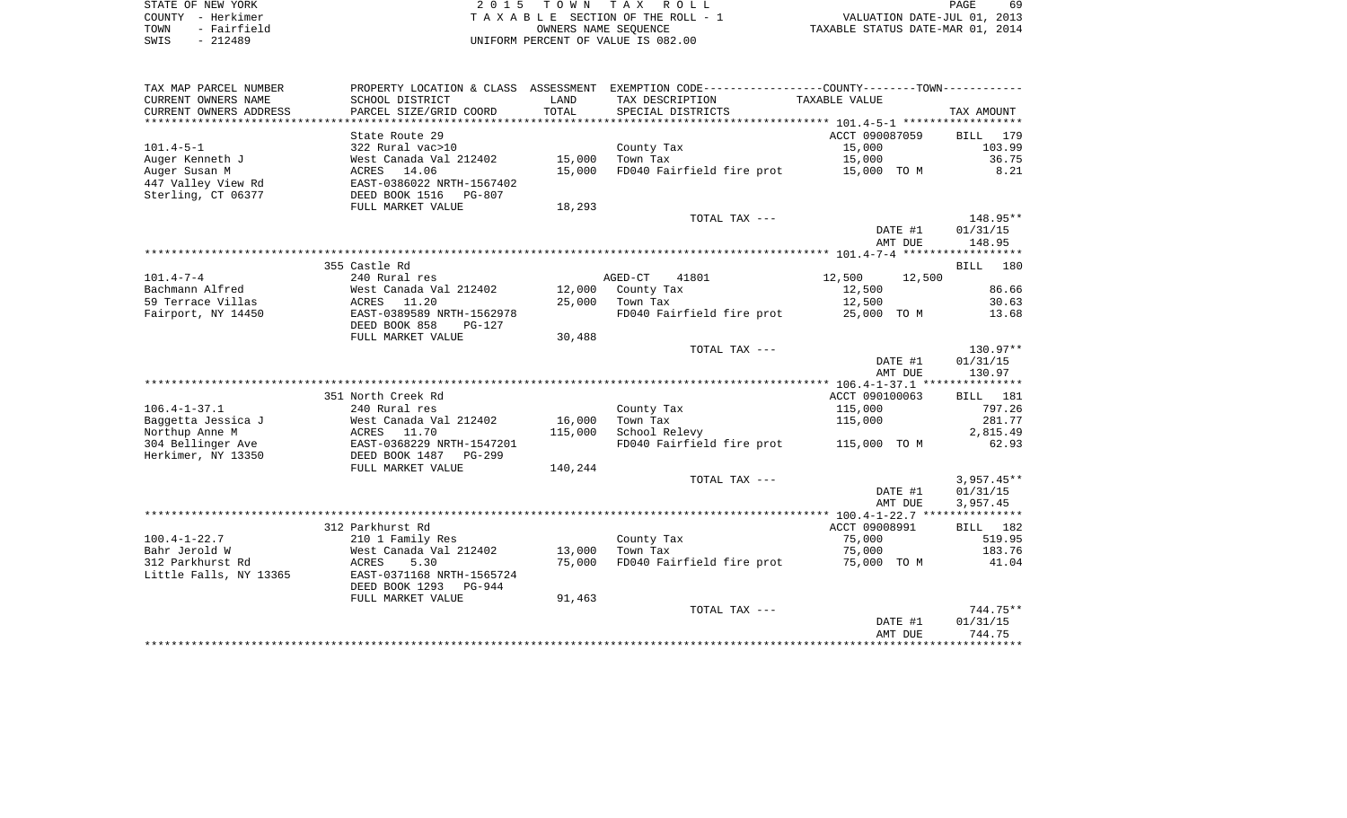| STATE OF NEW YORK   | 2015 TOWN TAX ROLL                 | 69<br><b>PAGE</b>                |
|---------------------|------------------------------------|----------------------------------|
| COUNTY - Herkimer   | TAXABLE SECTION OF THE ROLL - 1    | VALUATION DATE-JUL 01, 2013      |
| - Fairfield<br>TOWN | OWNERS NAME SEOUENCE               | TAXABLE STATUS DATE-MAR 01, 2014 |
| SWIS<br>- 212489    | UNIFORM PERCENT OF VALUE IS 082.00 |                                  |

| TAX MAP PARCEL NUMBER  | PROPERTY LOCATION & CLASS ASSESSMENT |               | EXEMPTION CODE-----------------COUNTY--------TOWN---------- |                  |              |
|------------------------|--------------------------------------|---------------|-------------------------------------------------------------|------------------|--------------|
| CURRENT OWNERS NAME    | SCHOOL DISTRICT                      | LAND          | TAX DESCRIPTION                                             | TAXABLE VALUE    |              |
| CURRENT OWNERS ADDRESS | PARCEL SIZE/GRID COORD               | TOTAL         | SPECIAL DISTRICTS                                           |                  | TAX AMOUNT   |
| *******************    |                                      | ************* |                                                             |                  |              |
|                        | State Route 29                       |               |                                                             | ACCT 090087059   | BILL<br>179  |
| $101.4 - 5 - 1$        | 322 Rural vac>10                     |               | County Tax                                                  | 15,000           | 103.99       |
| Auger Kenneth J        | West Canada Val 212402               | 15,000        | Town Tax                                                    | 15,000           | 36.75        |
| Auger Susan M          | ACRES 14.06                          | 15,000        | FD040 Fairfield fire prot                                   | 15,000 TO M      | 8.21         |
| 447 Valley View Rd     | EAST-0386022 NRTH-1567402            |               |                                                             |                  |              |
| Sterling, CT 06377     | DEED BOOK 1516<br>PG-807             |               |                                                             |                  |              |
|                        | FULL MARKET VALUE                    | 18,293        |                                                             |                  |              |
|                        |                                      |               | TOTAL TAX ---                                               |                  | 148.95**     |
|                        |                                      |               |                                                             | DATE #1          | 01/31/15     |
|                        |                                      |               |                                                             | AMT DUE          | 148.95       |
|                        |                                      |               |                                                             |                  |              |
|                        |                                      |               |                                                             |                  |              |
| $101.4 - 7 - 4$        | 355 Castle Rd                        |               |                                                             |                  | BILL 180     |
|                        | 240 Rural res                        |               | AGED-CT<br>41801                                            | 12,500<br>12,500 |              |
| Bachmann Alfred        | West Canada Val 212402               | 12,000        | County Tax                                                  | 12,500           | 86.66        |
| 59 Terrace Villas      | ACRES 11.20                          | 25,000        | Town Tax                                                    | 12,500           | 30.63        |
| Fairport, NY 14450     | EAST-0389589 NRTH-1562978            |               | FD040 Fairfield fire prot                                   | 25,000 TO M      | 13.68        |
|                        | DEED BOOK 858<br>PG-127              |               |                                                             |                  |              |
|                        | FULL MARKET VALUE                    | 30,488        |                                                             |                  |              |
|                        |                                      |               | TOTAL TAX ---                                               |                  | 130.97**     |
|                        |                                      |               |                                                             | DATE #1          | 01/31/15     |
|                        |                                      |               |                                                             | AMT DUE          | 130.97       |
|                        |                                      |               |                                                             |                  |              |
|                        | 351 North Creek Rd                   |               |                                                             | ACCT 090100063   | BILL 181     |
| $106.4 - 1 - 37.1$     | 240 Rural res                        |               | County Tax                                                  | 115,000          | 797.26       |
| Baggetta Jessica J     | West Canada Val 212402               | 16,000        | Town Tax                                                    | 115,000          | 281.77       |
| Northup Anne M         | ACRES 11.70                          | 115,000       | School Relevy                                               |                  | 2,815.49     |
| 304 Bellinger Ave      | EAST-0368229 NRTH-1547201            |               | FD040 Fairfield fire prot 115,000 TO M                      |                  | 62.93        |
| Herkimer, NY 13350     | DEED BOOK 1487<br>$PG-299$           |               |                                                             |                  |              |
|                        | FULL MARKET VALUE                    | 140,244       |                                                             |                  |              |
|                        |                                      |               | TOTAL TAX ---                                               |                  | $3,957.45**$ |
|                        |                                      |               |                                                             | DATE #1          | 01/31/15     |
|                        |                                      |               |                                                             | AMT DUE          | 3,957.45     |
|                        |                                      |               |                                                             |                  |              |
|                        | 312 Parkhurst Rd                     |               |                                                             | ACCT 09008991    | 182<br>BILL  |
| $100.4 - 1 - 22.7$     | 210 1 Family Res                     |               | County Tax                                                  | 75,000           | 519.95       |
| Bahr Jerold W          | West Canada Val 212402               | 13,000        | Town Tax                                                    | 75,000           | 183.76       |
| 312 Parkhurst Rd       | ACRES<br>5.30                        | 75,000        | FD040 Fairfield fire prot                                   | 75,000 TO M      | 41.04        |
| Little Falls, NY 13365 | EAST-0371168 NRTH-1565724            |               |                                                             |                  |              |
|                        | DEED BOOK 1293<br>PG-944             |               |                                                             |                  |              |
|                        | FULL MARKET VALUE                    | 91,463        |                                                             |                  |              |
|                        |                                      |               | TOTAL TAX ---                                               |                  | $744.75**$   |
|                        |                                      |               |                                                             | DATE #1          | 01/31/15     |
|                        |                                      |               |                                                             | AMT DUE          | 744.75       |
|                        |                                      |               |                                                             |                  |              |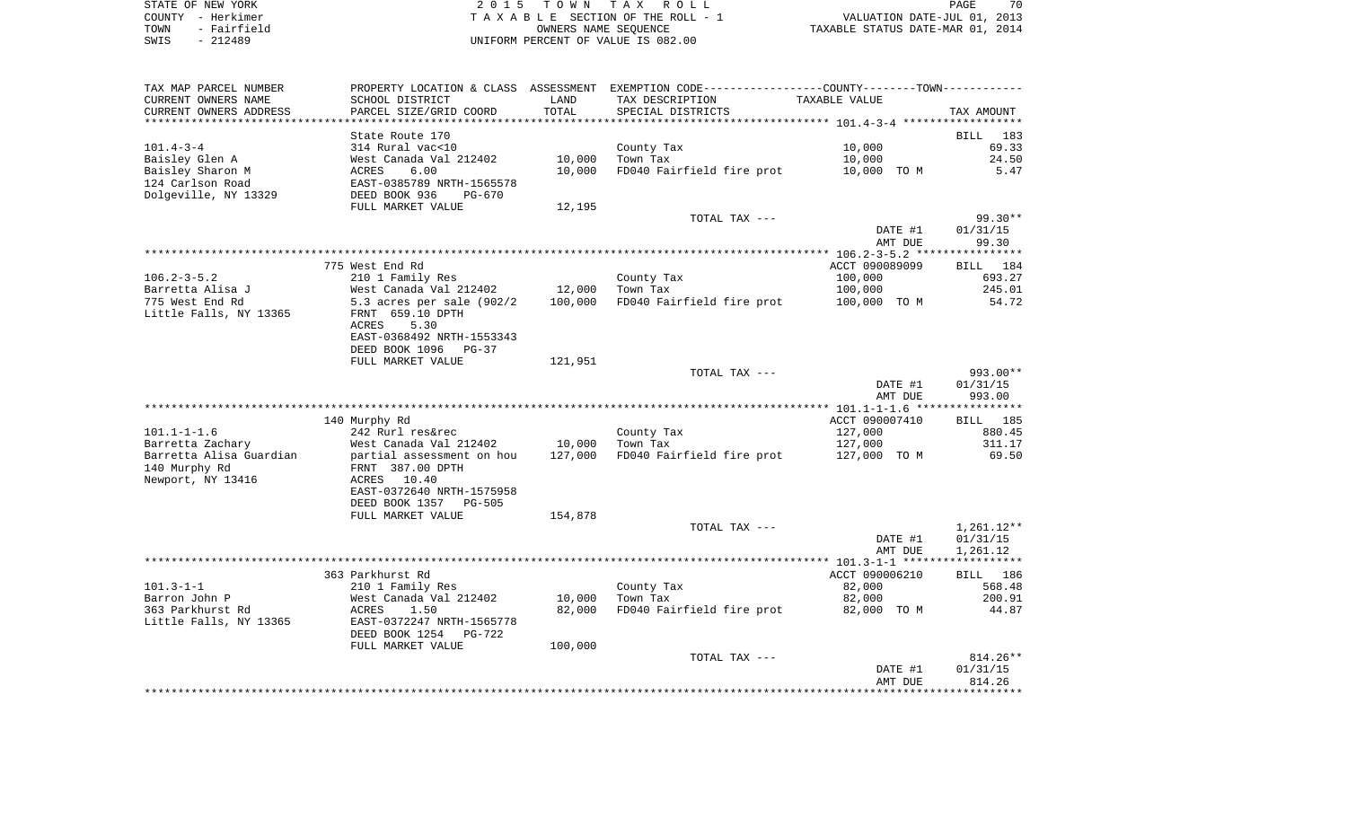| STATE OF NEW YORK   | 2015 TOWN TAX ROLL                 | 70<br>PAGE                       |
|---------------------|------------------------------------|----------------------------------|
| COUNTY - Herkimer   | TAXABLE SECTION OF THE ROLL - 1    | VALUATION DATE-JUL 01, 2013      |
| - Fairfield<br>TOWN | OWNERS NAME SEOUENCE               | TAXABLE STATUS DATE-MAR 01, 2014 |
| $-212489$<br>SWIS   | UNIFORM PERCENT OF VALUE IS 082.00 |                                  |

| TAX MAP PARCEL NUMBER<br>CURRENT OWNERS NAME                                                      | SCHOOL DISTRICT                                                                                                     | LAND             | PROPERTY LOCATION & CLASS ASSESSMENT EXEMPTION CODE---------------COUNTY-------TOWN----------<br>TAX DESCRIPTION | TAXABLE VALUE                   |                        |
|---------------------------------------------------------------------------------------------------|---------------------------------------------------------------------------------------------------------------------|------------------|------------------------------------------------------------------------------------------------------------------|---------------------------------|------------------------|
| CURRENT OWNERS ADDRESS<br>***********************                                                 | PARCEL SIZE/GRID COORD                                                                                              | TOTAL            | SPECIAL DISTRICTS                                                                                                |                                 | TAX AMOUNT             |
|                                                                                                   | State Route 170                                                                                                     |                  |                                                                                                                  |                                 | BILL<br>183            |
| $101.4 - 3 - 4$<br>Baisley Glen A<br>Baisley Sharon M<br>124 Carlson Road<br>Dolgeville, NY 13329 | 314 Rural vac<10<br>West Canada Val 212402<br>6.00<br>ACRES<br>EAST-0385789 NRTH-1565578<br>DEED BOOK 936<br>PG-670 | 10,000<br>10,000 | County Tax<br>Town Tax<br>FD040 Fairfield fire prot                                                              | 10,000<br>10,000<br>10,000 TO M | 69.33<br>24.50<br>5.47 |
|                                                                                                   | FULL MARKET VALUE                                                                                                   | 12,195           |                                                                                                                  |                                 |                        |
|                                                                                                   |                                                                                                                     |                  | TOTAL TAX ---                                                                                                    | DATE #1                         | 99.30**<br>01/31/15    |
|                                                                                                   |                                                                                                                     |                  |                                                                                                                  | AMT DUE                         | 99.30                  |
|                                                                                                   |                                                                                                                     |                  |                                                                                                                  |                                 |                        |
|                                                                                                   | 775 West End Rd                                                                                                     |                  |                                                                                                                  | ACCT 090089099                  | BILL 184               |
| $106.2 - 3 - 5.2$                                                                                 | 210 1 Family Res                                                                                                    |                  | County Tax                                                                                                       | 100,000                         | 693.27                 |
| Barretta Alisa J                                                                                  | West Canada Val 212402                                                                                              | 12,000           | Town Tax                                                                                                         | 100,000                         | 245.01                 |
| 775 West End Rd<br>Little Falls, NY 13365                                                         | 5.3 acres per sale $(902/2)$<br>FRNT 659.10 DPTH<br>5.30<br>ACRES<br>EAST-0368492 NRTH-1553343                      | 100,000          | FD040 Fairfield fire prot                                                                                        | 100,000 TO M                    | 54.72                  |
|                                                                                                   | DEED BOOK 1096<br>PG-37                                                                                             |                  |                                                                                                                  |                                 |                        |
|                                                                                                   | FULL MARKET VALUE                                                                                                   | 121,951          |                                                                                                                  |                                 |                        |
|                                                                                                   |                                                                                                                     |                  | TOTAL TAX ---                                                                                                    | DATE #1                         | 993.00**<br>01/31/15   |
|                                                                                                   |                                                                                                                     |                  |                                                                                                                  | AMT DUE                         | 993.00                 |
|                                                                                                   |                                                                                                                     |                  |                                                                                                                  |                                 |                        |
|                                                                                                   | 140 Murphy Rd                                                                                                       |                  |                                                                                                                  | ACCT 090007410                  | BILL 185               |
| $101.1 - 1 - 1.6$                                                                                 | 242 Rurl res&rec                                                                                                    |                  | County Tax                                                                                                       | 127,000                         | 880.45                 |
| Barretta Zachary                                                                                  | West Canada Val 212402                                                                                              | 10,000           | Town Tax                                                                                                         | 127,000                         | 311.17                 |
| Barretta Alisa Guardian<br>140 Murphy Rd<br>Newport, NY 13416                                     | partial assessment on hou<br>FRNT 387.00 DPTH<br>ACRES 10.40<br>EAST-0372640 NRTH-1575958<br>DEED BOOK 1357 PG-505  | 127,000          | FD040 Fairfield fire prot                                                                                        | 127,000 TO M                    | 69.50                  |
|                                                                                                   | FULL MARKET VALUE                                                                                                   | 154,878          |                                                                                                                  |                                 |                        |
|                                                                                                   |                                                                                                                     |                  | TOTAL TAX ---                                                                                                    | DATE #1                         | 1,261.12**<br>01/31/15 |
|                                                                                                   |                                                                                                                     |                  |                                                                                                                  | AMT DUE                         | 1,261.12               |
|                                                                                                   |                                                                                                                     |                  |                                                                                                                  |                                 |                        |
|                                                                                                   | 363 Parkhurst Rd                                                                                                    |                  |                                                                                                                  | ACCT 090006210                  | BILL 186               |
| $101.3 - 1 - 1$<br>Barron John P                                                                  | 210 1 Family Res<br>West Canada Val 212402                                                                          | 10,000           | County Tax<br>Town Tax                                                                                           | 82,000<br>82,000                | 568.48<br>200.91       |
| 363 Parkhurst Rd                                                                                  | 1.50<br>ACRES                                                                                                       | 82,000           | FD040 Fairfield fire prot                                                                                        | 82,000 TO M                     | 44.87                  |
| Little Falls, NY 13365                                                                            | EAST-0372247 NRTH-1565778<br>DEED BOOK 1254<br>PG-722                                                               |                  |                                                                                                                  |                                 |                        |
|                                                                                                   | FULL MARKET VALUE                                                                                                   | 100,000          |                                                                                                                  |                                 |                        |
|                                                                                                   |                                                                                                                     |                  | TOTAL TAX ---                                                                                                    |                                 | $814.26**$             |
|                                                                                                   |                                                                                                                     |                  |                                                                                                                  | DATE #1                         | 01/31/15               |
|                                                                                                   |                                                                                                                     |                  |                                                                                                                  | AMT DUE                         | 814.26                 |
|                                                                                                   |                                                                                                                     |                  |                                                                                                                  |                                 |                        |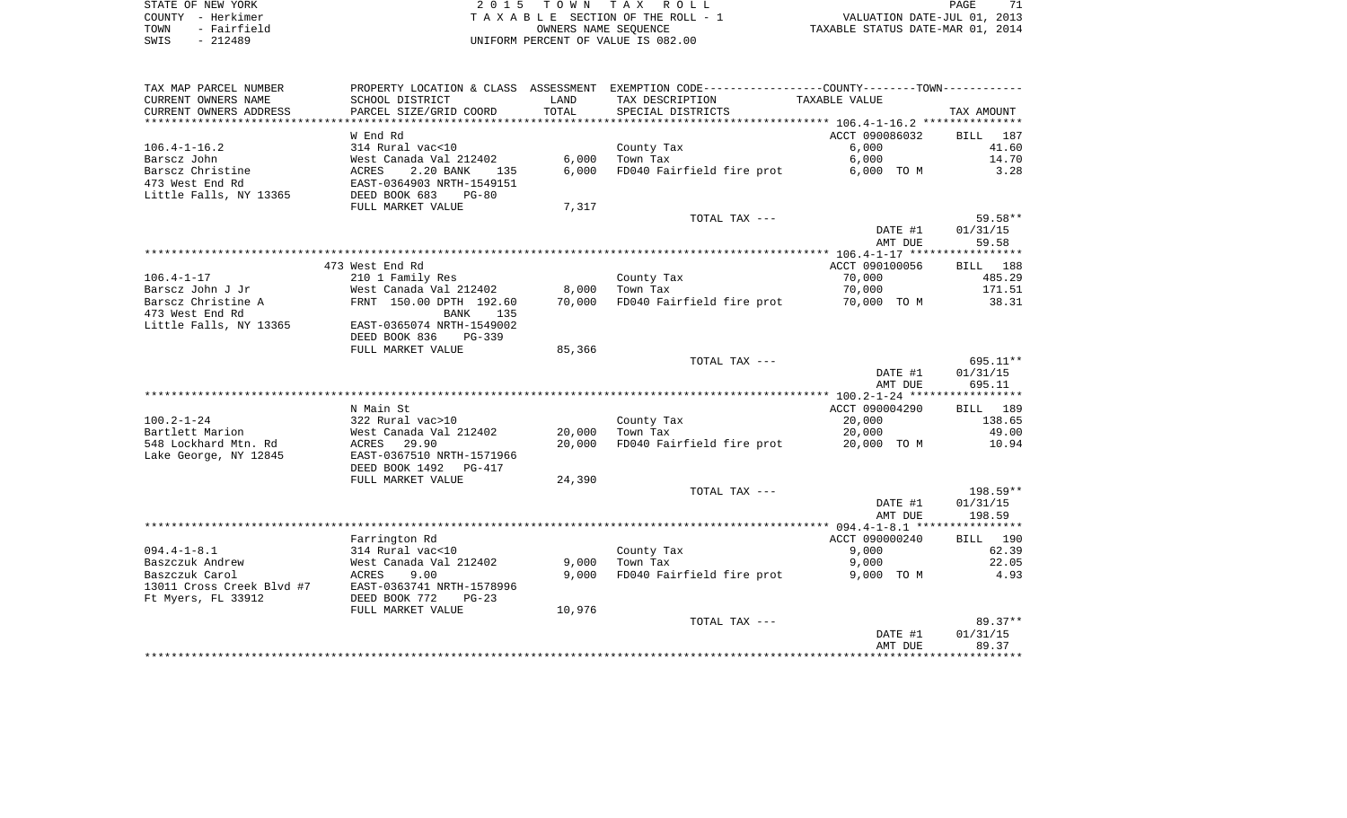| STATE OF NEW YORK |           |             |  |
|-------------------|-----------|-------------|--|
| COUNTY - Herkimer |           |             |  |
| TOWN              |           | - Fairfield |  |
| SWTS              | $-212489$ |             |  |

STATE OF NEW YORK 2 0 1 5 T O W N T A X R O L L PAGE 71TA X A B L E SECTION OF THE ROLL - 1 UNIFORM PERCENT OF VALUE IS 082.00

PAGE 71 TO A THE ROLL - 1 WALUATION DATE-JUL 01, 2013<br>
TAXABLE SECTION OF THE ROLL - 1 TAXABLE STATUS DATE-MAR 01, 2014

| TAX MAP PARCEL NUMBER                |                                            |                | PROPERTY LOCATION & CLASS ASSESSMENT EXEMPTION CODE---------------COUNTY-------TOWN---------- |                          |                    |
|--------------------------------------|--------------------------------------------|----------------|-----------------------------------------------------------------------------------------------|--------------------------|--------------------|
| CURRENT OWNERS NAME                  | SCHOOL DISTRICT                            | LAND           | TAX DESCRIPTION                                                                               | TAXABLE VALUE            |                    |
| CURRENT OWNERS ADDRESS               | PARCEL SIZE/GRID COORD                     | TOTAL          | SPECIAL DISTRICTS                                                                             |                          | TAX AMOUNT         |
|                                      |                                            |                |                                                                                               |                          |                    |
|                                      | W End Rd                                   |                |                                                                                               | ACCT 090086032           | 187<br><b>BILL</b> |
| $106.4 - 1 - 16.2$                   | 314 Rural vac<10                           |                | County Tax                                                                                    | 6,000                    | 41.60              |
| Barscz John                          | West Canada Val 212402                     | 6,000          | Town Tax                                                                                      | 6,000                    | 14.70              |
| Barscz Christine                     | 2.20 BANK<br>ACRES<br>135                  | 6.000          | FD040 Fairfield fire prot                                                                     | 6,000 TO M               | 3.28               |
| 473 West End Rd                      | EAST-0364903 NRTH-1549151                  |                |                                                                                               |                          |                    |
| Little Falls, NY 13365               | DEED BOOK 683<br>$PG-80$                   |                |                                                                                               |                          |                    |
|                                      | FULL MARKET VALUE                          | 7,317          |                                                                                               |                          |                    |
|                                      |                                            |                | TOTAL TAX ---                                                                                 |                          | 59.58**            |
|                                      |                                            |                |                                                                                               | DATE #1                  | 01/31/15           |
|                                      |                                            |                |                                                                                               | AMT DUE                  | 59.58              |
|                                      |                                            |                |                                                                                               |                          |                    |
| $106.4 - 1 - 17$                     | 473 West End Rd<br>210 1 Family Res        |                | County Tax                                                                                    | ACCT 090100056<br>70,000 | BILL 188<br>485.29 |
| Barscz John J Jr                     | West Canada Val 212402                     |                | 8,000 Town Tax                                                                                | 70,000                   | 171.51             |
| Barscz Christine A                   | FRNT 150.00 DPTH 192.60                    | 70,000         | FD040 Fairfield fire prot                                                                     | 70,000 TO M              | 38.31              |
| 473 West End Rd                      | BANK<br>135                                |                |                                                                                               |                          |                    |
| Little Falls, NY 13365               | EAST-0365074 NRTH-1549002                  |                |                                                                                               |                          |                    |
|                                      | DEED BOOK 836<br>$PG-339$                  |                |                                                                                               |                          |                    |
|                                      | FULL MARKET VALUE                          | 85,366         |                                                                                               |                          |                    |
|                                      |                                            |                | TOTAL TAX ---                                                                                 |                          | 695.11**           |
|                                      |                                            |                |                                                                                               | DATE #1                  | 01/31/15           |
|                                      |                                            |                |                                                                                               | AMT DUE                  | 695.11             |
|                                      |                                            |                |                                                                                               |                          |                    |
|                                      | N Main St                                  |                |                                                                                               | ACCT 090004290           | BILL 189           |
| $100.2 - 1 - 24$                     | 322 Rural vac>10                           |                | County Tax                                                                                    | 20,000                   | 138.65             |
| Bartlett Marion                      | West Canada Val 212402                     | 20,000         | Town Tax                                                                                      | 20,000                   | 49.00              |
| 548 Lockhard Mtn. Rd                 | ACRES<br>29.90                             | 20,000         | FD040 Fairfield fire prot                                                                     | 20,000 TO M              | 10.94              |
| Lake George, NY 12845                | EAST-0367510 NRTH-1571966                  |                |                                                                                               |                          |                    |
|                                      | DEED BOOK 1492 PG-417                      |                |                                                                                               |                          |                    |
|                                      | FULL MARKET VALUE                          | 24,390         |                                                                                               |                          |                    |
|                                      |                                            |                | TOTAL TAX ---                                                                                 |                          | $198.59**$         |
|                                      |                                            |                |                                                                                               | DATE #1                  | 01/31/15           |
|                                      |                                            |                |                                                                                               | AMT DUE                  | 198.59             |
|                                      |                                            |                |                                                                                               |                          |                    |
|                                      | Farrington Rd                              |                |                                                                                               | ACCT 090000240           | BILL 190           |
| $094.4 - 1 - 8.1$<br>Baszczuk Andrew | 314 Rural vac<10<br>West Canada Val 212402 |                | County Tax<br>Town Tax                                                                        | 9,000<br>9,000           | 62.39<br>22.05     |
| Baszczuk Carol                       | 9.00<br>ACRES                              | 9,000<br>9,000 | FD040 Fairfield fire prot                                                                     | 9,000 TO M               | 4.93               |
| 13011 Cross Creek Blvd #7            | EAST-0363741 NRTH-1578996                  |                |                                                                                               |                          |                    |
| Ft Myers, FL 33912                   | DEED BOOK 772<br>$PG-23$                   |                |                                                                                               |                          |                    |
|                                      | FULL MARKET VALUE                          | 10,976         |                                                                                               |                          |                    |
|                                      |                                            |                | TOTAL TAX ---                                                                                 |                          | $89.37**$          |
|                                      |                                            |                |                                                                                               | DATE #1                  | 01/31/15           |
|                                      |                                            |                |                                                                                               | AMT DUE                  | 89.37              |
|                                      |                                            |                |                                                                                               |                          |                    |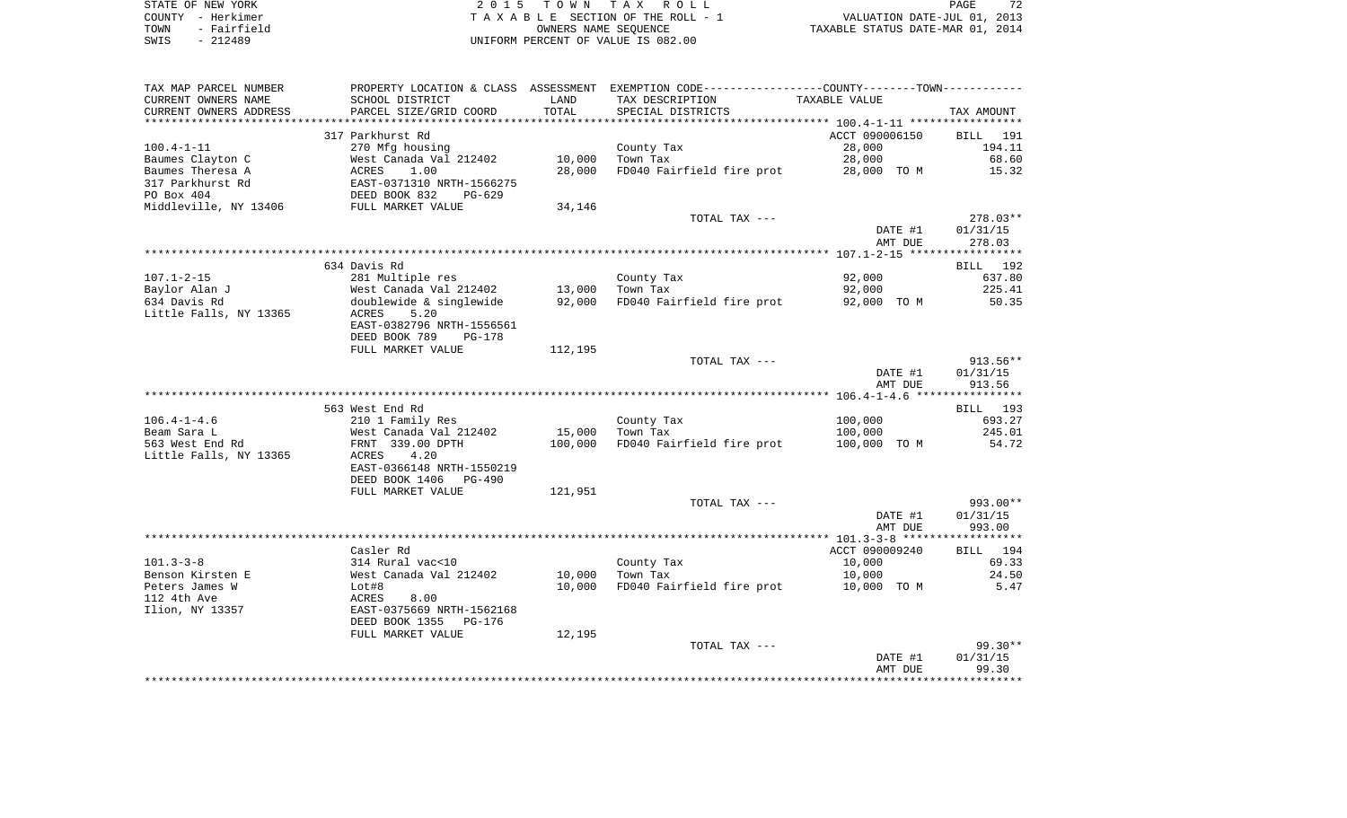| STATE OF NEW YORK   | 2015 TOWN TAX ROLL                 | 72<br>PAGE                       |
|---------------------|------------------------------------|----------------------------------|
| COUNTY - Herkimer   | TAXABLE SECTION OF THE ROLL - 1    | VALUATION DATE-JUL 01, 2013      |
| - Fairfield<br>TOWN | OWNERS NAME SEOUENCE               | TAXABLE STATUS DATE-MAR 01, 2014 |
| $-212489$<br>SWIS   | UNIFORM PERCENT OF VALUE IS 082.00 |                                  |

| TAX MAP PARCEL NUMBER  |                                                                                      |                 | PROPERTY LOCATION & CLASS ASSESSMENT EXEMPTION CODE---------------COUNTY-------TOWN---------- |                    |                       |
|------------------------|--------------------------------------------------------------------------------------|-----------------|-----------------------------------------------------------------------------------------------|--------------------|-----------------------|
| CURRENT OWNERS NAME    | SCHOOL DISTRICT                                                                      | LAND            | TAX DESCRIPTION                                                                               | TAXABLE VALUE      |                       |
| CURRENT OWNERS ADDRESS | PARCEL SIZE/GRID COORD                                                               | TOTAL           | SPECIAL DISTRICTS                                                                             |                    | TAX AMOUNT            |
| ********************   |                                                                                      |                 |                                                                                               |                    |                       |
|                        | 317 Parkhurst Rd                                                                     |                 |                                                                                               | ACCT 090006150     | BILL 191              |
| $100.4 - 1 - 11$       | 270 Mfg housing                                                                      |                 | County Tax                                                                                    | 28,000             | 194.11                |
| Baumes Clayton C       | West Canada Val 212402                                                               | 10,000          | Town Tax                                                                                      | 28,000             | 68.60                 |
| Baumes Theresa A       | ACRES 1.00<br>EAST-0371310 NRTH-1566275<br>DEED BOOK 832 PG-629<br>FULL MARKET VALUE | 28,000          | FD040 Fairfield fire prot 28,000 TO M                                                         |                    | 15.32                 |
| 317 Parkhurst Rd       |                                                                                      |                 |                                                                                               |                    |                       |
| PO Box 404             |                                                                                      |                 |                                                                                               |                    |                       |
| Middleville, NY 13406  |                                                                                      | 34,146          |                                                                                               |                    |                       |
|                        |                                                                                      |                 | TOTAL TAX ---                                                                                 | DATE #1            | 278.03**<br>01/31/15  |
|                        |                                                                                      |                 |                                                                                               | AMT DUE            | 278.03                |
|                        |                                                                                      |                 |                                                                                               |                    |                       |
|                        | 634 Davis Rd                                                                         |                 |                                                                                               |                    | BILL 192              |
| $107.1 - 2 - 15$       | 281 Multiple res                                                                     |                 | County Tax                                                                                    | 92,000             | 637.80                |
| Baylor Alan J          | West Canada Val 212402<br>doublewide & singlewide                                    | 13,000 Town Tax |                                                                                               | 92,000             | 225.41                |
| 634 Davis Rd           | doublewide & singlewide 92,000                                                       |                 | FD040 Fairfield fire prot 92,000 TO M                                                         |                    | 50.35                 |
| Little Falls, NY 13365 | ACRES<br>5.20                                                                        |                 |                                                                                               |                    |                       |
|                        | EAST-0382796 NRTH-1556561                                                            |                 |                                                                                               |                    |                       |
|                        | DEED BOOK 789<br>PG-178<br>FULL MARKET VALUE                                         | 112,195         |                                                                                               |                    |                       |
|                        |                                                                                      |                 | TOTAL TAX ---                                                                                 |                    | $913.56**$            |
|                        |                                                                                      |                 |                                                                                               | DATE #1            | 01/31/15              |
|                        |                                                                                      |                 |                                                                                               | AMT DUE            | 913.56                |
|                        |                                                                                      |                 |                                                                                               |                    |                       |
|                        | 563 West End Rd                                                                      |                 |                                                                                               |                    | BILL 193              |
| $106.4 - 1 - 4.6$      | 210 1 Family Res                                                                     |                 | County Tax                                                                                    | 100,000            | 693.27                |
| Beam Sara L            | West Canada Val 212402                                                               | 15,000          | Town Tax                                                                                      | 100,000            | 245.01                |
| 563 West End Rd        | FRNT 339.00 DPTH                                                                     | 100,000         | FD040 Fairfield fire prot                                                                     | 100,000 TO M       | 54.72                 |
| Little Falls, NY 13365 | ACRES<br>4.20                                                                        |                 |                                                                                               |                    |                       |
|                        | EAST-0366148 NRTH-1550219                                                            |                 |                                                                                               |                    |                       |
|                        | DEED BOOK 1406<br>PG-490                                                             |                 |                                                                                               |                    |                       |
|                        | FULL MARKET VALUE                                                                    | 121,951         | TOTAL TAX ---                                                                                 |                    | 993.00**              |
|                        |                                                                                      |                 |                                                                                               | DATE #1            | 01/31/15              |
|                        |                                                                                      |                 |                                                                                               | AMT DUE            | 993.00                |
|                        |                                                                                      |                 |                                                                                               |                    |                       |
|                        | Casler Rd                                                                            |                 |                                                                                               | ACCT 090009240     | BILL 194              |
| $101.3 - 3 - 8$        | 314 Rural vac<10                                                                     |                 | County Tax                                                                                    | 10,000             | 69.33                 |
| Benson Kirsten E       | West Canada Val 212402                                                               | 10,000          | Town Tax                                                                                      | 10,000             | 24.50                 |
| Peters James W         | Lot#8<br>ACRES 8.00<br>EAST-0375669 NRTH-1562168                                     | 10,000          | FD040 Fairfield fire prot                                                                     | 10,000 TO M        | 5.47                  |
| 112 4th Ave            |                                                                                      |                 |                                                                                               |                    |                       |
| Ilion, NY 13357        |                                                                                      |                 |                                                                                               |                    |                       |
|                        | DEED BOOK 1355<br>PG-176                                                             |                 |                                                                                               |                    |                       |
|                        | FULL MARKET VALUE                                                                    | 12,195          |                                                                                               |                    |                       |
|                        |                                                                                      |                 | TOTAL TAX ---                                                                                 |                    | $99.30**$<br>01/31/15 |
|                        |                                                                                      |                 |                                                                                               | DATE #1<br>AMT DUE | 99.30                 |
|                        |                                                                                      |                 |                                                                                               |                    |                       |
|                        |                                                                                      |                 |                                                                                               |                    |                       |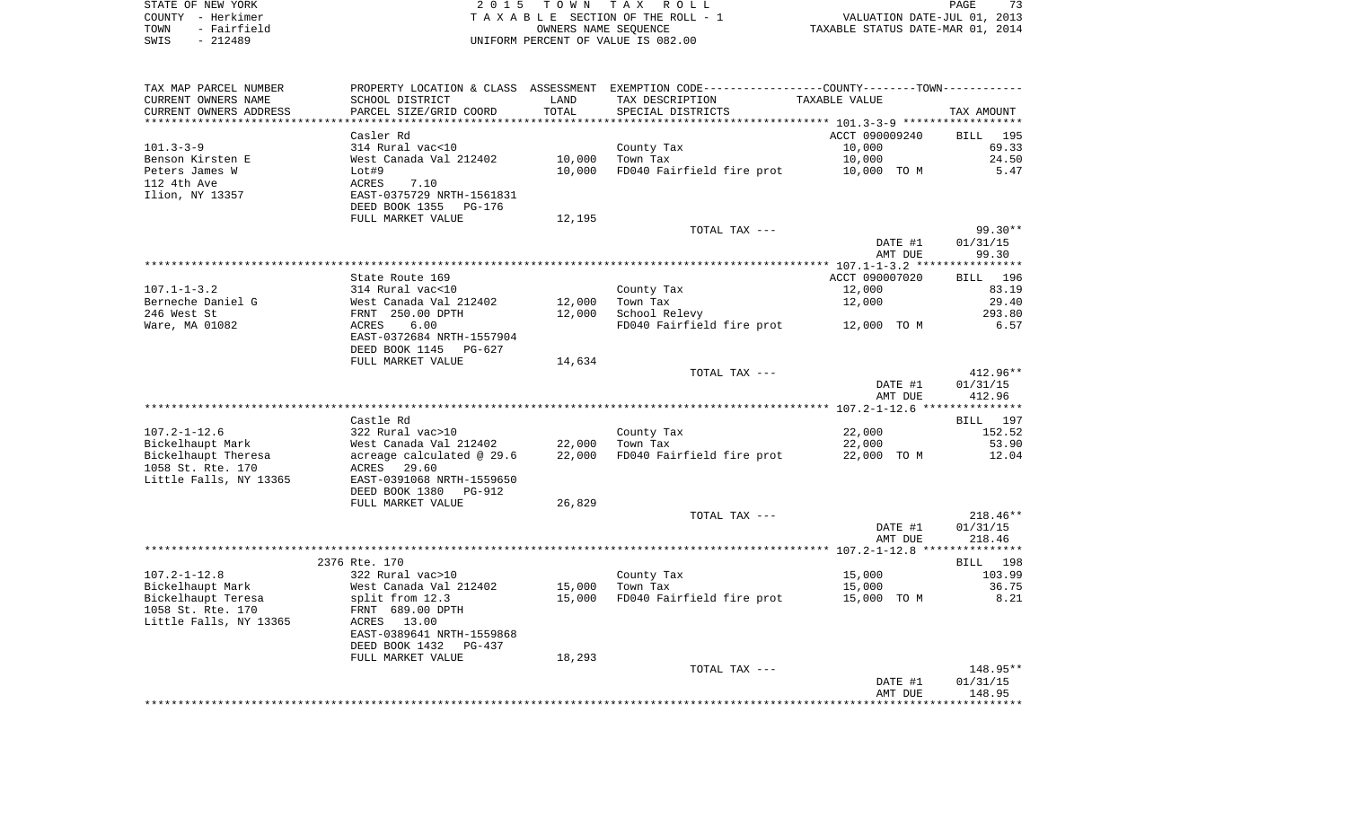| STATE OF NEW YORK   | 2015 TOWN TAX ROLL                 | PAGE                             |
|---------------------|------------------------------------|----------------------------------|
| COUNTY - Herkimer   | TAXABLE SECTION OF THE ROLL - 1    | VALUATION DATE-JUL 01, 2013      |
| - Fairfield<br>TOWN | OWNERS NAME SEOUENCE               | TAXABLE STATUS DATE-MAR 01, 2014 |
| - 212489<br>SWIS    | UNIFORM PERCENT OF VALUE IS 082.00 |                                  |

| TAX MAP PARCEL NUMBER  |                                                       |        | PROPERTY LOCATION & CLASS ASSESSMENT EXEMPTION CODE----------------COUNTY--------TOWN----------- |                    |                    |
|------------------------|-------------------------------------------------------|--------|--------------------------------------------------------------------------------------------------|--------------------|--------------------|
| CURRENT OWNERS NAME    | SCHOOL DISTRICT                                       | LAND   | TAX DESCRIPTION                                                                                  | TAXABLE VALUE      |                    |
| CURRENT OWNERS ADDRESS | PARCEL SIZE/GRID COORD                                | TOTAL  | SPECIAL DISTRICTS                                                                                |                    | TAX AMOUNT         |
|                        |                                                       |        |                                                                                                  |                    |                    |
|                        | Casler Rd                                             |        |                                                                                                  | ACCT 090009240     | BILL 195           |
| $101.3 - 3 - 9$        | 314 Rural vac<10                                      |        | County Tax                                                                                       | 10,000             | 69.33              |
| Benson Kirsten E       | West Canada Val 212402                                | 10,000 | Town Tax                                                                                         | 10,000             | 24.50              |
| Peters James W         | Lot#9                                                 | 10,000 | FD040 Fairfield fire prot                                                                        | 10,000 TO M        | 5.47               |
| 112 4th Ave            | ACRES<br>7.10                                         |        |                                                                                                  |                    |                    |
| Ilion, NY 13357        | EAST-0375729 NRTH-1561831<br>DEED BOOK 1355<br>PG-176 |        |                                                                                                  |                    |                    |
|                        | FULL MARKET VALUE                                     | 12,195 |                                                                                                  |                    |                    |
|                        |                                                       |        | TOTAL TAX ---                                                                                    |                    | $99.30**$          |
|                        |                                                       |        |                                                                                                  | DATE #1            | 01/31/15           |
|                        |                                                       |        |                                                                                                  | AMT DUE            | 99.30              |
|                        |                                                       |        |                                                                                                  |                    |                    |
|                        | State Route 169                                       |        |                                                                                                  | ACCT 090007020     | BILL 196           |
| $107.1 - 1 - 3.2$      | 314 Rural vac<10                                      |        | County Tax                                                                                       | 12,000             | 83.19              |
| Berneche Daniel G      | West Canada Val 212402                                | 12,000 | Town Tax                                                                                         | 12,000             | 29.40              |
| 246 West St            | FRNT 250.00 DPTH                                      | 12,000 | School Relevy                                                                                    |                    | 293.80             |
| Ware, MA 01082         | ACRES<br>6.00                                         |        | FD040 Fairfield fire prot                                                                        | 12,000 TO M        | 6.57               |
|                        | EAST-0372684 NRTH-1557904                             |        |                                                                                                  |                    |                    |
|                        | DEED BOOK 1145<br>PG-627                              |        |                                                                                                  |                    |                    |
|                        | FULL MARKET VALUE                                     | 14,634 | TOTAL TAX ---                                                                                    |                    | $412.96**$         |
|                        |                                                       |        |                                                                                                  | DATE #1            | 01/31/15           |
|                        |                                                       |        |                                                                                                  | AMT DUE            | 412.96             |
|                        |                                                       |        |                                                                                                  |                    |                    |
|                        | Castle Rd                                             |        |                                                                                                  |                    | BILL 197           |
| $107.2 - 1 - 12.6$     | 322 Rural vac>10                                      |        | County Tax                                                                                       | 22,000             | 152.52             |
| Bickelhaupt Mark       | West Canada Val 212402                                | 22,000 | Town Tax                                                                                         | 22,000             | 53.90              |
| Bickelhaupt Theresa    | acreage calculated @ 29.6                             | 22,000 | FD040 Fairfield fire prot                                                                        | 22,000 TO M        | 12.04              |
| 1058 St. Rte. 170      | ACRES 29.60                                           |        |                                                                                                  |                    |                    |
| Little Falls, NY 13365 | EAST-0391068 NRTH-1559650                             |        |                                                                                                  |                    |                    |
|                        | DEED BOOK 1380<br>PG-912                              |        |                                                                                                  |                    |                    |
|                        | FULL MARKET VALUE                                     | 26,829 |                                                                                                  |                    |                    |
|                        |                                                       |        | TOTAL TAX ---                                                                                    |                    | $218.46**$         |
|                        |                                                       |        |                                                                                                  | DATE #1<br>AMT DUE | 01/31/15<br>218.46 |
|                        |                                                       |        |                                                                                                  |                    |                    |
|                        | 2376 Rte. 170                                         |        |                                                                                                  |                    | BILL 198           |
| $107.2 - 1 - 12.8$     | 322 Rural vac>10                                      |        | County Tax                                                                                       | 15,000             | 103.99             |
| Bickelhaupt Mark       | West Canada Val 212402                                | 15,000 | Town Tax                                                                                         | 15,000             | 36.75              |
| Bickelhaupt Teresa     | split from 12.3                                       | 15,000 | FD040 Fairfield fire prot                                                                        | 15,000 TO M        | 8.21               |
| 1058 St. Rte. 170      | FRNT 689.00 DPTH                                      |        |                                                                                                  |                    |                    |
| Little Falls, NY 13365 | ACRES 13.00                                           |        |                                                                                                  |                    |                    |
|                        | EAST-0389641 NRTH-1559868                             |        |                                                                                                  |                    |                    |
|                        | DEED BOOK 1432<br>PG-437                              |        |                                                                                                  |                    |                    |
|                        | FULL MARKET VALUE                                     | 18,293 |                                                                                                  |                    |                    |
|                        |                                                       |        | TOTAL TAX ---                                                                                    |                    | 148.95**           |
|                        |                                                       |        |                                                                                                  | DATE #1            | 01/31/15           |
|                        |                                                       |        |                                                                                                  | AMT DUE            | 148.95             |
|                        |                                                       |        |                                                                                                  |                    |                    |
|                        |                                                       |        |                                                                                                  |                    |                    |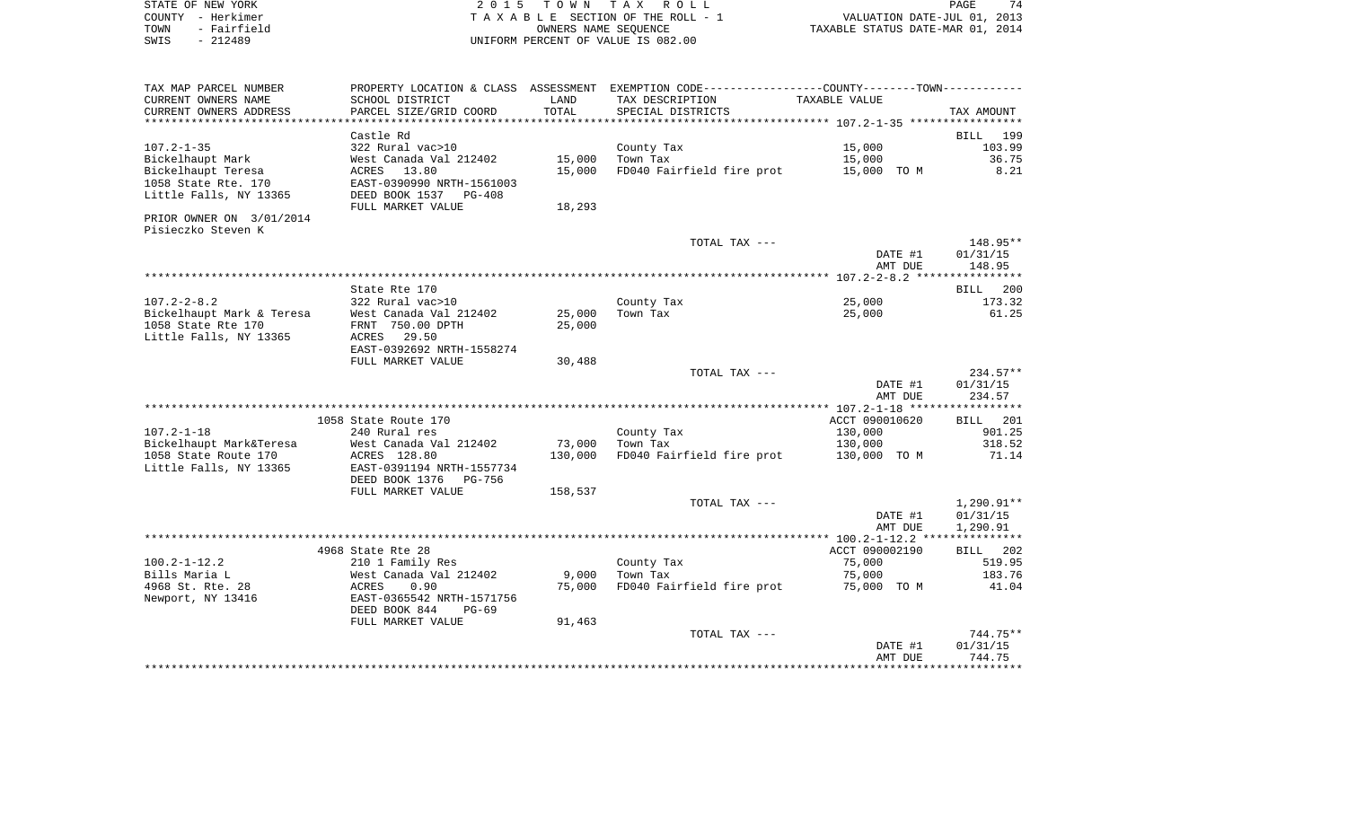| STATE OF NEW YORK   | 2015 TOWN TAX ROLL                 | 74<br>PAGE                       |
|---------------------|------------------------------------|----------------------------------|
| COUNTY - Herkimer   | TAXABLE SECTION OF THE ROLL - 1    | VALUATION DATE-JUL 01, 2013      |
| - Fairfield<br>TOWN | OWNERS NAME SEOUENCE               | TAXABLE STATUS DATE-MAR 01, 2014 |
| SWIS<br>- 212489    | UNIFORM PERCENT OF VALUE IS 082.00 |                                  |

| TAX MAP PARCEL NUMBER     |                           |               | PROPERTY LOCATION & CLASS ASSESSMENT EXEMPTION CODE---------------COUNTY-------TOWN---------- |                |                    |
|---------------------------|---------------------------|---------------|-----------------------------------------------------------------------------------------------|----------------|--------------------|
| CURRENT OWNERS NAME       | SCHOOL DISTRICT           | LAND          | TAX DESCRIPTION                                                                               | TAXABLE VALUE  |                    |
| CURRENT OWNERS ADDRESS    | PARCEL SIZE/GRID COORD    | TOTAL         | SPECIAL DISTRICTS                                                                             |                | TAX AMOUNT         |
|                           |                           | ************* |                                                                                               |                |                    |
|                           | Castle Rd                 |               |                                                                                               |                | 199<br><b>BILL</b> |
| $107.2 - 1 - 35$          | 322 Rural vac>10          |               | County Tax                                                                                    | 15,000         | 103.99             |
| Bickelhaupt Mark          | West Canada Val 212402    | 15,000        | Town Tax                                                                                      | 15,000         | 36.75              |
| Bickelhaupt Teresa        | ACRES<br>13.80            | 15,000        | FD040 Fairfield fire prot                                                                     | 15,000 TO M    | 8.21               |
| 1058 State Rte. 170       | EAST-0390990 NRTH-1561003 |               |                                                                                               |                |                    |
| Little Falls, NY 13365    | DEED BOOK 1537 PG-408     |               |                                                                                               |                |                    |
|                           | FULL MARKET VALUE         | 18,293        |                                                                                               |                |                    |
| PRIOR OWNER ON 3/01/2014  |                           |               |                                                                                               |                |                    |
| Pisieczko Steven K        |                           |               |                                                                                               |                |                    |
|                           |                           |               | TOTAL TAX ---                                                                                 |                | 148.95**           |
|                           |                           |               |                                                                                               | DATE #1        | 01/31/15           |
|                           |                           |               |                                                                                               | AMT DUE        | 148.95             |
|                           | State Rte 170             |               |                                                                                               |                | 200<br>BILL        |
| $107.2 - 2 - 8.2$         | 322 Rural vac>10          |               | County Tax                                                                                    | 25,000         | 173.32             |
| Bickelhaupt Mark & Teresa | West Canada Val 212402    | 25,000        | Town Tax                                                                                      | 25,000         | 61.25              |
| 1058 State Rte 170        | FRNT 750.00 DPTH          | 25,000        |                                                                                               |                |                    |
| Little Falls, NY 13365    | ACRES<br>29.50            |               |                                                                                               |                |                    |
|                           | EAST-0392692 NRTH-1558274 |               |                                                                                               |                |                    |
|                           | FULL MARKET VALUE         | 30,488        |                                                                                               |                |                    |
|                           |                           |               | TOTAL TAX ---                                                                                 |                | $234.57**$         |
|                           |                           |               |                                                                                               | DATE #1        | 01/31/15           |
|                           |                           |               |                                                                                               | AMT DUE        | 234.57             |
|                           |                           |               |                                                                                               |                |                    |
|                           | 1058 State Route 170      |               |                                                                                               | ACCT 090010620 | 201<br>BILL        |
| $107.2 - 1 - 18$          | 240 Rural res             |               | County Tax                                                                                    | 130,000        | 901.25             |
| Bickelhaupt Mark&Teresa   | West Canada Val 212402    | 73,000        | Town Tax                                                                                      | 130,000        | 318.52             |
| 1058 State Route 170      | ACRES 128.80              | 130,000       | FD040 Fairfield fire prot                                                                     | 130,000 TO M   | 71.14              |
| Little Falls, NY 13365    | EAST-0391194 NRTH-1557734 |               |                                                                                               |                |                    |
|                           | DEED BOOK 1376 PG-756     |               |                                                                                               |                |                    |
|                           | FULL MARKET VALUE         | 158,537       |                                                                                               |                |                    |
|                           |                           |               | TOTAL TAX ---                                                                                 |                | $1,290.91**$       |
|                           |                           |               |                                                                                               | DATE #1        | 01/31/15           |
|                           |                           |               |                                                                                               | AMT DUE        | 1,290.91           |
|                           |                           |               |                                                                                               |                |                    |
|                           | 4968 State Rte 28         |               |                                                                                               | ACCT 090002190 | BILL 202           |
| $100.2 - 1 - 12.2$        | 210 1 Family Res          |               | County Tax                                                                                    | 75,000         | 519.95             |
| Bills Maria L             | West Canada Val 212402    | 9,000         | Town Tax                                                                                      | 75,000         | 183.76             |
| 4968 St. Rte. 28          | ACRES<br>0.90             | 75,000        | FD040 Fairfield fire prot                                                                     | 75,000 TO M    | 41.04              |
| Newport, NY 13416         | EAST-0365542 NRTH-1571756 |               |                                                                                               |                |                    |
|                           | DEED BOOK 844<br>$PG-69$  |               |                                                                                               |                |                    |
|                           | FULL MARKET VALUE         | 91,463        |                                                                                               |                |                    |
|                           |                           |               | TOTAL TAX ---                                                                                 |                | 744.75**           |
|                           |                           |               |                                                                                               | DATE #1        | 01/31/15           |
|                           |                           |               |                                                                                               | AMT DUE        | 744.75             |
|                           |                           |               |                                                                                               |                |                    |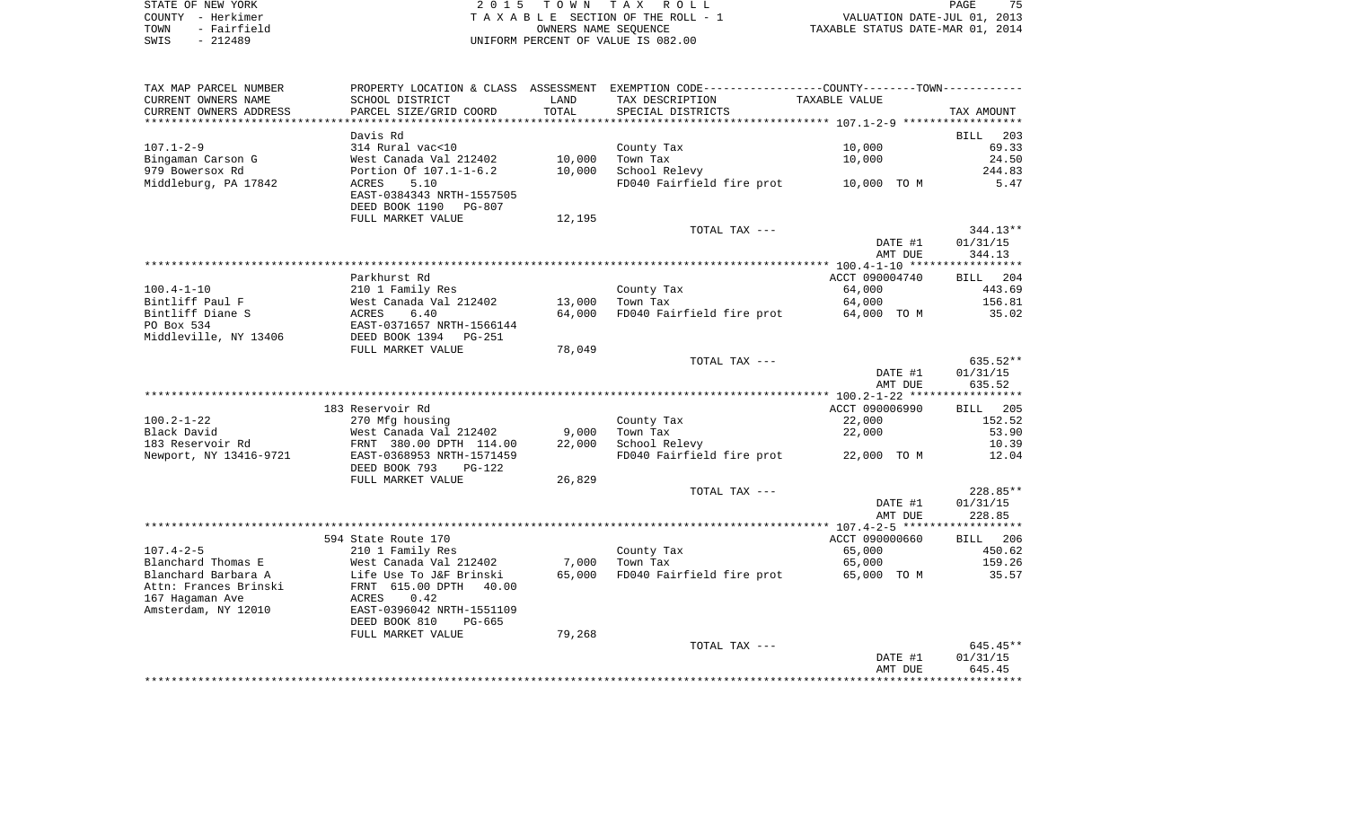| STATE OF NEW YORK   | 2015 TOWN TAX ROLL                 | 75<br>PAGE                       |
|---------------------|------------------------------------|----------------------------------|
| COUNTY - Herkimer   | TAXABLE SECTION OF THE ROLL - 1    | VALUATION DATE-JUL 01, 2013      |
| - Fairfield<br>TOWN | OWNERS NAME SEOUENCE               | TAXABLE STATUS DATE-MAR 01, 2014 |
| $-212489$<br>SWIS   | UNIFORM PERCENT OF VALUE IS 082.00 |                                  |

| TAX MAP PARCEL NUMBER                 |                                            |            | PROPERTY LOCATION & CLASS ASSESSMENT EXEMPTION CODE---------------COUNTY-------TOWN---------- |                  |                    |
|---------------------------------------|--------------------------------------------|------------|-----------------------------------------------------------------------------------------------|------------------|--------------------|
| CURRENT OWNERS NAME                   | SCHOOL DISTRICT                            | LAND       | TAX DESCRIPTION                                                                               | TAXABLE VALUE    |                    |
| CURRENT OWNERS ADDRESS                | PARCEL SIZE/GRID COORD                     | TOTAL      | SPECIAL DISTRICTS                                                                             |                  | TAX AMOUNT         |
|                                       |                                            | ********** |                                                                                               |                  |                    |
|                                       | Davis Rd                                   |            |                                                                                               |                  | BILL<br>203        |
| $107.1 - 2 - 9$                       | 314 Rural vac<10                           |            | County Tax                                                                                    | 10,000           | 69.33              |
| Bingaman Carson G                     | West Canada Val 212402                     | 10,000     | Town Tax                                                                                      | 10,000           | 24.50              |
| 979 Bowersox Rd                       | Portion Of 107.1-1-6.2                     | 10,000     | School Relevy                                                                                 |                  | 244.83             |
| Middleburg, PA 17842                  | 5.10<br>ACRES                              |            | FD040 Fairfield fire prot                                                                     | 10,000 TO M      | 5.47               |
|                                       | EAST-0384343 NRTH-1557505                  |            |                                                                                               |                  |                    |
|                                       | DEED BOOK 1190<br>PG-807                   |            |                                                                                               |                  |                    |
|                                       | FULL MARKET VALUE                          | 12,195     |                                                                                               |                  |                    |
|                                       |                                            |            | TOTAL TAX ---                                                                                 |                  | $344.13**$         |
|                                       |                                            |            |                                                                                               | DATE #1          | 01/31/15           |
|                                       |                                            |            |                                                                                               | AMT DUE          | 344.13             |
|                                       |                                            |            |                                                                                               |                  |                    |
| $100.4 - 1 - 10$                      | Parkhurst Rd                               |            |                                                                                               | ACCT 090004740   | BILL 204<br>443.69 |
| Bintliff Paul F                       | 210 1 Family Res<br>West Canada Val 212402 | 13,000     | County Tax<br>Town Tax                                                                        | 64,000<br>64,000 | 156.81             |
| Bintliff Diane S                      | 6.40<br>ACRES                              | 64,000     | FD040 Fairfield fire prot                                                                     | 64,000 TO M      | 35.02              |
| PO Box 534                            | EAST-0371657 NRTH-1566144                  |            |                                                                                               |                  |                    |
| Middleville, NY 13406                 | DEED BOOK 1394<br>PG-251                   |            |                                                                                               |                  |                    |
|                                       | FULL MARKET VALUE                          | 78,049     |                                                                                               |                  |                    |
|                                       |                                            |            | TOTAL TAX ---                                                                                 |                  | 635.52**           |
|                                       |                                            |            |                                                                                               | DATE #1          | 01/31/15           |
|                                       |                                            |            |                                                                                               | AMT DUE          | 635.52             |
|                                       |                                            |            |                                                                                               |                  |                    |
|                                       | 183 Reservoir Rd                           |            |                                                                                               | ACCT 090006990   | BILL 205           |
| $100.2 - 1 - 22$                      | 270 Mfg housing                            |            | County Tax                                                                                    | 22,000           | 152.52             |
| Black David                           | West Canada Val 212402                     | 9,000      | Town Tax                                                                                      | 22,000           | 53.90              |
| 183 Reservoir Rd                      | FRNT 380.00 DPTH 114.00                    | 22,000     | School Relevy                                                                                 |                  | 10.39              |
| Newport, NY 13416-9721                | EAST-0368953 NRTH-1571459                  |            | FD040 Fairfield fire prot                                                                     | 22,000 TO M      | 12.04              |
|                                       | DEED BOOK 793<br>$PG-122$                  |            |                                                                                               |                  |                    |
|                                       | FULL MARKET VALUE                          | 26,829     |                                                                                               |                  |                    |
|                                       |                                            |            | TOTAL TAX ---                                                                                 |                  | 228.85**           |
|                                       |                                            |            |                                                                                               | DATE #1          | 01/31/15           |
|                                       |                                            |            |                                                                                               | AMT DUE          | 228.85             |
|                                       |                                            |            |                                                                                               | ACCT 090000660   |                    |
|                                       | 594 State Route 170                        |            |                                                                                               |                  | BILL 206           |
| $107.4 - 2 - 5$<br>Blanchard Thomas E | 210 1 Family Res<br>West Canada Val 212402 | 7,000      | County Tax<br>Town Tax                                                                        | 65,000<br>65,000 | 450.62<br>159.26   |
| Blanchard Barbara A                   | Life Use To J&F Brinski                    | 65,000     | FD040 Fairfield fire prot                                                                     | 65,000 TO M      | 35.57              |
| Attn: Frances Brinski                 | FRNT 615.00 DPTH<br>40.00                  |            |                                                                                               |                  |                    |
| 167 Hagaman Ave                       | 0.42<br>ACRES                              |            |                                                                                               |                  |                    |
| Amsterdam, NY 12010                   | EAST-0396042 NRTH-1551109                  |            |                                                                                               |                  |                    |
|                                       | DEED BOOK 810<br>PG-665                    |            |                                                                                               |                  |                    |
|                                       | FULL MARKET VALUE                          | 79,268     |                                                                                               |                  |                    |
|                                       |                                            |            | TOTAL TAX ---                                                                                 |                  | 645.45**           |
|                                       |                                            |            |                                                                                               | DATE #1          | 01/31/15           |
|                                       |                                            |            |                                                                                               | AMT DUE          | 645.45             |
|                                       |                                            |            |                                                                                               |                  |                    |
|                                       |                                            |            |                                                                                               |                  |                    |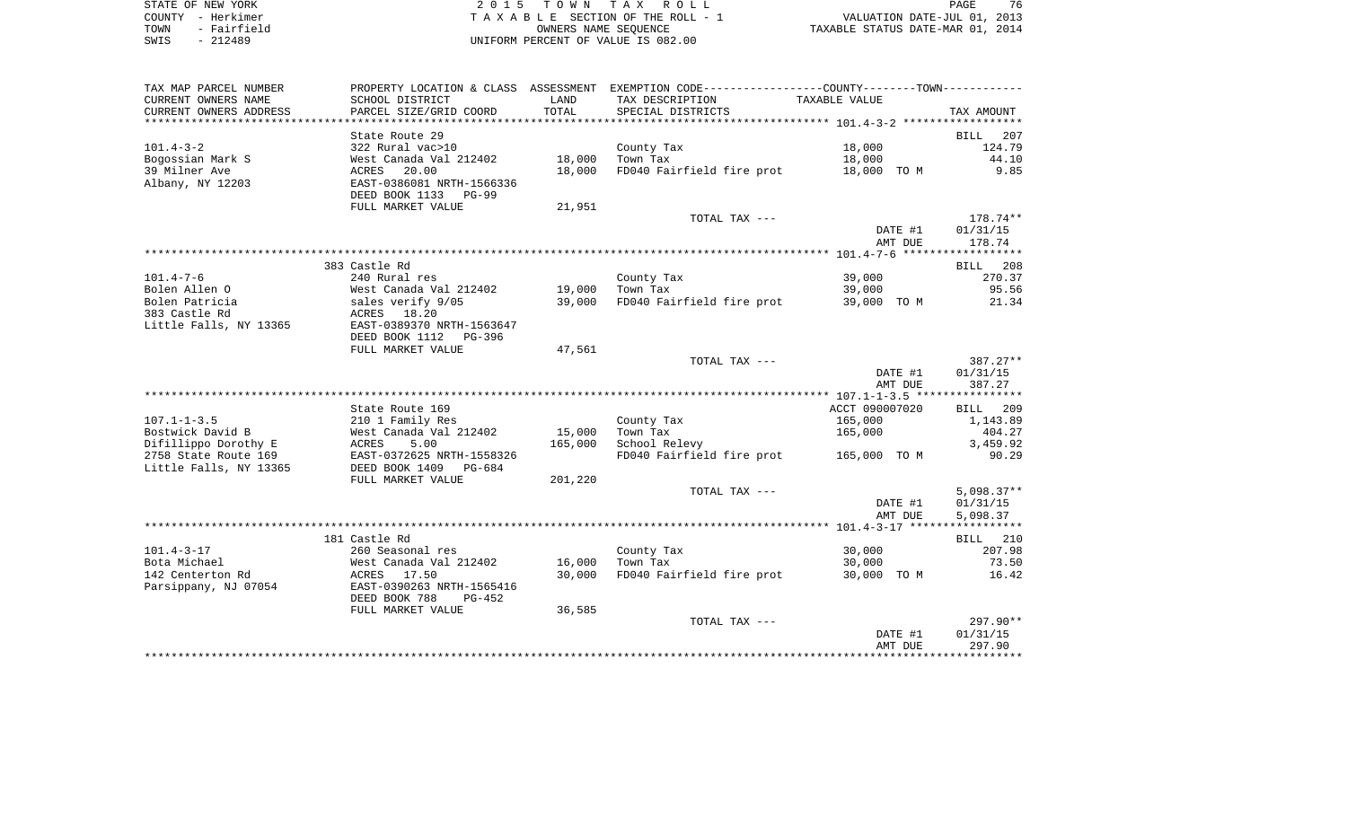| STATE OF NEW YORK   | 2015 TOWN TAX ROLL                 | 76<br>PAGE                       |
|---------------------|------------------------------------|----------------------------------|
| COUNTY - Herkimer   | TAXABLE SECTION OF THE ROLL - 1    | VALUATION DATE-JUL 01, 2013      |
| - Fairfield<br>TOWN | OWNERS NAME SEOUENCE               | TAXABLE STATUS DATE-MAR 01, 2014 |
| - 212489<br>SWIS    | UNIFORM PERCENT OF VALUE IS 082.00 |                                  |

| TAX MAP PARCEL NUMBER  |                           |         | PROPERTY LOCATION & CLASS ASSESSMENT EXEMPTION CODE---------------COUNTY-------TOWN---------- |                |                    |
|------------------------|---------------------------|---------|-----------------------------------------------------------------------------------------------|----------------|--------------------|
| CURRENT OWNERS NAME    | SCHOOL DISTRICT           | LAND    | TAX DESCRIPTION                                                                               | TAXABLE VALUE  |                    |
| CURRENT OWNERS ADDRESS | PARCEL SIZE/GRID COORD    | TOTAL   | SPECIAL DISTRICTS                                                                             |                | TAX AMOUNT         |
| ********************** |                           |         |                                                                                               |                |                    |
|                        | State Route 29            |         |                                                                                               |                | <b>BILL</b><br>207 |
| $101.4 - 3 - 2$        | 322 Rural vac>10          |         | County Tax                                                                                    | 18,000         | 124.79             |
| Bogossian Mark S       | West Canada Val 212402    | 18,000  | Town Tax                                                                                      | 18,000         | 44.10              |
| 39 Milner Ave          | ACRES<br>20.00            | 18,000  | FD040 Fairfield fire prot                                                                     | 18,000 TO M    | 9.85               |
| Albany, NY 12203       | EAST-0386081 NRTH-1566336 |         |                                                                                               |                |                    |
|                        | DEED BOOK 1133<br>PG-99   |         |                                                                                               |                |                    |
|                        | FULL MARKET VALUE         | 21,951  |                                                                                               |                |                    |
|                        |                           |         | TOTAL TAX ---                                                                                 |                | 178.74**           |
|                        |                           |         |                                                                                               | DATE #1        | 01/31/15           |
|                        |                           |         |                                                                                               | AMT DUE        | 178.74             |
|                        |                           |         |                                                                                               |                |                    |
|                        | 383 Castle Rd             |         |                                                                                               |                | 208<br>BILL        |
| $101.4 - 7 - 6$        | 240 Rural res             |         | County Tax                                                                                    | 39,000         | 270.37             |
| Bolen Allen O          | West Canada Val 212402    | 19,000  | Town Tax                                                                                      | 39,000         | 95.56              |
| Bolen Patricia         | sales verify 9/05         | 39,000  | FD040 Fairfield fire prot                                                                     | 39,000 TO M    | 21.34              |
| 383 Castle Rd          | ACRES 18.20               |         |                                                                                               |                |                    |
| Little Falls, NY 13365 | EAST-0389370 NRTH-1563647 |         |                                                                                               |                |                    |
|                        | DEED BOOK 1112<br>PG-396  |         |                                                                                               |                |                    |
|                        | FULL MARKET VALUE         | 47,561  |                                                                                               |                |                    |
|                        |                           |         | TOTAL TAX ---                                                                                 |                | 387.27**           |
|                        |                           |         |                                                                                               | DATE #1        | 01/31/15           |
|                        |                           |         |                                                                                               | AMT DUE        | 387.27             |
|                        |                           |         |                                                                                               |                |                    |
|                        | State Route 169           |         |                                                                                               | ACCT 090007020 | BILL<br>209        |
| $107.1 - 1 - 3.5$      | 210 1 Family Res          |         | County Tax                                                                                    | 165,000        | 1,143.89           |
| Bostwick David B       | West Canada Val 212402    | 15,000  | Town Tax                                                                                      | 165,000        | 404.27             |
| Difillippo Dorothy E   | 5.00<br>ACRES             | 165,000 | School Relevy                                                                                 |                | 3,459.92           |
| 2758 State Route 169   | EAST-0372625 NRTH-1558326 |         | FD040 Fairfield fire prot                                                                     | 165,000 TO M   | 90.29              |
| Little Falls, NY 13365 | DEED BOOK 1409<br>PG-684  |         |                                                                                               |                |                    |
|                        | FULL MARKET VALUE         | 201,220 |                                                                                               |                |                    |
|                        |                           |         | TOTAL TAX ---                                                                                 |                | $5,098.37**$       |
|                        |                           |         |                                                                                               | DATE #1        | 01/31/15           |
|                        |                           |         |                                                                                               | AMT DUE        | 5,098.37           |
|                        |                           |         |                                                                                               |                |                    |
|                        | 181 Castle Rd             |         |                                                                                               |                | BILL 210           |
| $101.4 - 3 - 17$       | 260 Seasonal res          |         | County Tax                                                                                    | 30,000         | 207.98             |
| Bota Michael           | West Canada Val 212402    | 16,000  | Town Tax                                                                                      | 30,000         | 73.50              |
| 142 Centerton Rd       | ACRES 17.50               | 30,000  | FD040 Fairfield fire prot                                                                     | 30,000 TO M    | 16.42              |
| Parsippany, NJ 07054   | EAST-0390263 NRTH-1565416 |         |                                                                                               |                |                    |
|                        | DEED BOOK 788<br>$PG-452$ |         |                                                                                               |                |                    |
|                        | FULL MARKET VALUE         | 36,585  |                                                                                               |                |                    |
|                        |                           |         | TOTAL TAX ---                                                                                 |                | $297.90**$         |
|                        |                           |         |                                                                                               | DATE #1        | 01/31/15           |
|                        |                           |         |                                                                                               | AMT DUE        | 297.90             |
|                        |                           |         |                                                                                               |                | ************       |
|                        |                           |         |                                                                                               |                |                    |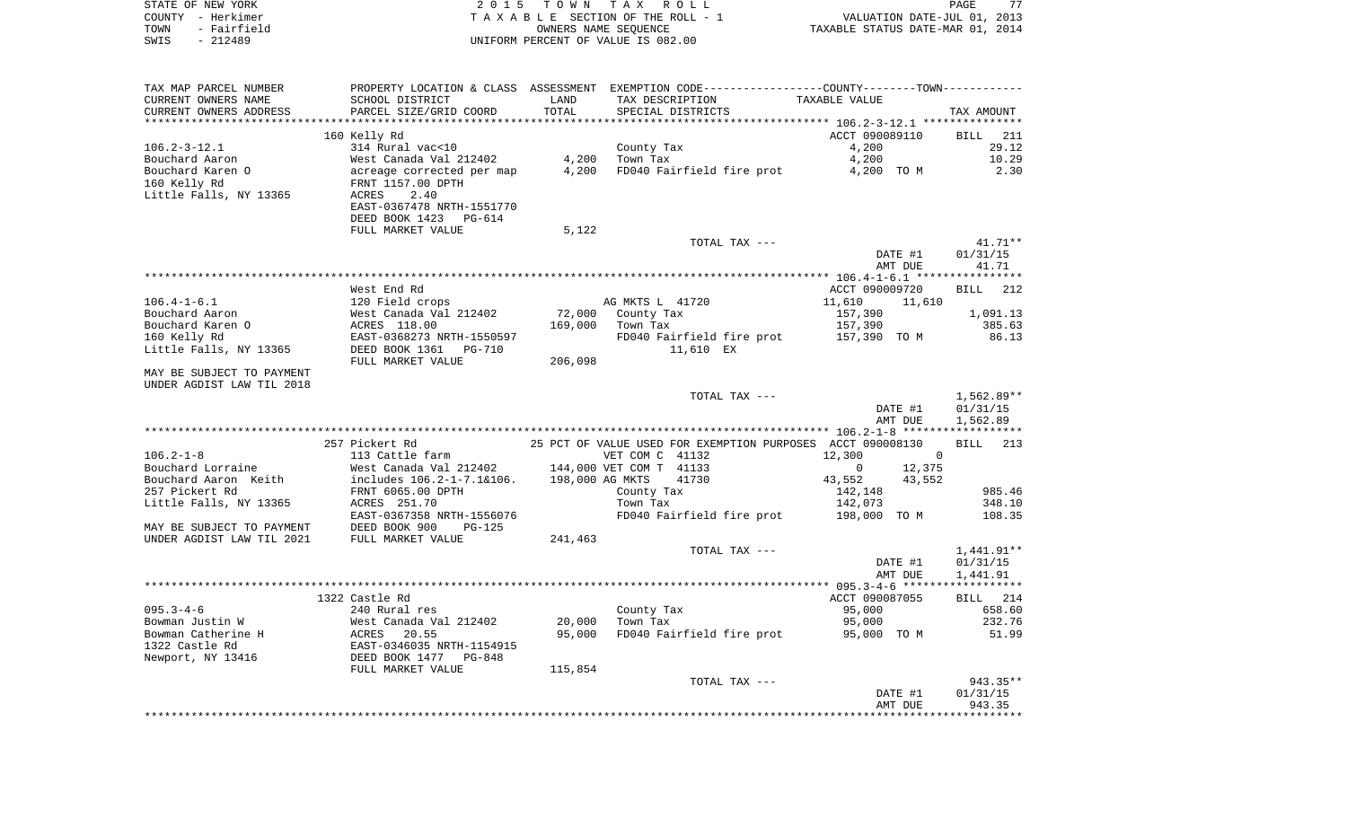| COUNTY - Herkimer<br>TOWN<br>- Fairfield<br>SWIS<br>$-212489$          |                                                                        |                  | TAXABLE SECTION OF THE ROLL - 1<br>OWNERS NAME SEQUENCE<br>UNIFORM PERCENT OF VALUE IS 082.00                                         | VALUATION DATE-JUL 01, 2013<br>TAXABLE STATUS DATE-MAR 01, 2014 |                                    |
|------------------------------------------------------------------------|------------------------------------------------------------------------|------------------|---------------------------------------------------------------------------------------------------------------------------------------|-----------------------------------------------------------------|------------------------------------|
| TAX MAP PARCEL NUMBER<br>CURRENT OWNERS NAME<br>CURRENT OWNERS ADDRESS | SCHOOL DISTRICT<br>PARCEL SIZE/GRID COORD                              | LAND<br>TOTAL    | PROPERTY LOCATION & CLASS ASSESSMENT EXEMPTION CODE---------------COUNTY-------TOWN----------<br>TAX DESCRIPTION<br>SPECIAL DISTRICTS | TAXABLE VALUE                                                   | TAX AMOUNT                         |
|                                                                        |                                                                        |                  |                                                                                                                                       |                                                                 |                                    |
|                                                                        | 160 Kelly Rd                                                           |                  |                                                                                                                                       | ACCT 090089110                                                  | 211<br>BILL                        |
| $106.2 - 3 - 12.1$<br>Bouchard Aaron                                   | 314 Rural vac<10                                                       |                  | County Tax<br>Town Tax                                                                                                                | 4,200                                                           | 29.12                              |
| Bouchard Karen O                                                       | West Canada Val 212402<br>acreage corrected per map                    | 4,200<br>4,200   | FD040 Fairfield fire prot                                                                                                             | 4,200<br>4,200 TO M                                             | 10.29<br>2.30                      |
| 160 Kelly Rd                                                           | FRNT 1157.00 DPTH                                                      |                  |                                                                                                                                       |                                                                 |                                    |
| Little Falls, NY 13365                                                 | ACRES<br>2.40<br>EAST-0367478 NRTH-1551770<br>DEED BOOK 1423<br>PG-614 |                  |                                                                                                                                       |                                                                 |                                    |
|                                                                        | FULL MARKET VALUE                                                      | 5,122            |                                                                                                                                       |                                                                 |                                    |
|                                                                        |                                                                        |                  | TOTAL TAX ---                                                                                                                         |                                                                 | 41.71**                            |
|                                                                        |                                                                        |                  |                                                                                                                                       | DATE #1                                                         | 01/31/15                           |
|                                                                        |                                                                        |                  |                                                                                                                                       | AMT DUE                                                         | 41.71                              |
|                                                                        |                                                                        |                  |                                                                                                                                       |                                                                 |                                    |
| $106.4 - 1 - 6.1$                                                      | West End Rd<br>120 Field crops                                         |                  | AG MKTS L 41720                                                                                                                       | ACCT 090009720<br>11,610<br>11,610                              | <b>BILL</b><br>212                 |
| Bouchard Aaron                                                         | West Canada Val 212402                                                 | 72,000           | County Tax                                                                                                                            | 157,390                                                         | 1,091.13                           |
| Bouchard Karen O                                                       | ACRES 118.00                                                           | 169,000          | Town Tax                                                                                                                              | 157,390                                                         | 385.63                             |
| 160 Kelly Rd                                                           | EAST-0368273 NRTH-1550597                                              |                  | FD040 Fairfield fire prot                                                                                                             | 157,390 TO M                                                    | 86.13                              |
| Little Falls, NY 13365                                                 | DEED BOOK 1361<br>PG-710                                               |                  | 11,610 EX                                                                                                                             |                                                                 |                                    |
| MAY BE SUBJECT TO PAYMENT<br>UNDER AGDIST LAW TIL 2018                 | FULL MARKET VALUE                                                      | 206,098          |                                                                                                                                       |                                                                 |                                    |
|                                                                        |                                                                        |                  | TOTAL TAX ---                                                                                                                         | DATE #1<br>AMT DUE                                              | 1,562.89**<br>01/31/15<br>1,562.89 |
|                                                                        |                                                                        |                  |                                                                                                                                       |                                                                 |                                    |
| $106.2 - 1 - 8$                                                        | 257 Pickert Rd<br>113 Cattle farm                                      |                  | 25 PCT OF VALUE USED FOR EXEMPTION PURPOSES ACCT 090008130<br>VET COM C 41132                                                         | 12,300<br>$\mathbf{0}$                                          | 213<br>BILL                        |
| Bouchard Lorraine<br>Bouchard Aaron Keith                              | West Canada Val 212402<br>includes 106.2-1-7.1&106.                    | 198,000 AG MKTS  | 144,000 VET COM T 41133<br>41730                                                                                                      | 12,375<br>0<br>43,552<br>43,552                                 |                                    |
| 257 Pickert Rd                                                         | FRNT 6065.00 DPTH                                                      |                  | County Tax                                                                                                                            | 142,148                                                         | 985.46                             |
| Little Falls, NY 13365                                                 | ACRES 251.70                                                           |                  | Town Tax                                                                                                                              | 142,073                                                         | 348.10                             |
|                                                                        | EAST-0367358 NRTH-1556076                                              |                  | FD040 Fairfield fire prot                                                                                                             | 198,000 TO M                                                    | 108.35                             |
| MAY BE SUBJECT TO PAYMENT                                              | DEED BOOK 900<br>$PG-125$                                              |                  |                                                                                                                                       |                                                                 |                                    |
| UNDER AGDIST LAW TIL 2021                                              | FULL MARKET VALUE                                                      | 241,463          | TOTAL TAX ---                                                                                                                         |                                                                 | 1,441.91**                         |
|                                                                        |                                                                        |                  |                                                                                                                                       | DATE #1                                                         | 01/31/15                           |
|                                                                        |                                                                        |                  |                                                                                                                                       | AMT DUE                                                         | 1,441.91                           |
|                                                                        |                                                                        |                  |                                                                                                                                       |                                                                 |                                    |
|                                                                        | 1322 Castle Rd                                                         |                  |                                                                                                                                       | ACCT 090087055                                                  | BILL<br>214                        |
| $095.3 - 4 - 6$                                                        | 240 Rural res                                                          |                  | County Tax                                                                                                                            | 95,000<br>95,000                                                | 658.60<br>232.76                   |
| Bowman Justin W<br>Bowman Catherine H                                  | West Canada Val 212402<br>ACRES<br>20.55                               | 20,000<br>95,000 | Town Tax<br>FD040 Fairfield fire prot                                                                                                 | 95,000 TO M                                                     | 51.99                              |
| 1322 Castle Rd<br>Newport, NY 13416                                    | EAST-0346035 NRTH-1154915<br>DEED BOOK 1477<br>PG-848                  |                  |                                                                                                                                       |                                                                 |                                    |
|                                                                        | FULL MARKET VALUE                                                      | 115,854          |                                                                                                                                       |                                                                 |                                    |
|                                                                        |                                                                        |                  | TOTAL TAX ---                                                                                                                         |                                                                 | 943.35**                           |
|                                                                        |                                                                        |                  |                                                                                                                                       | DATE #1                                                         | 01/31/15                           |
|                                                                        |                                                                        |                  |                                                                                                                                       | AMT DUE                                                         | 943.35                             |

STATE OF NEW YORK **EXECUTE:**  $2015$  TOWN TAX ROLL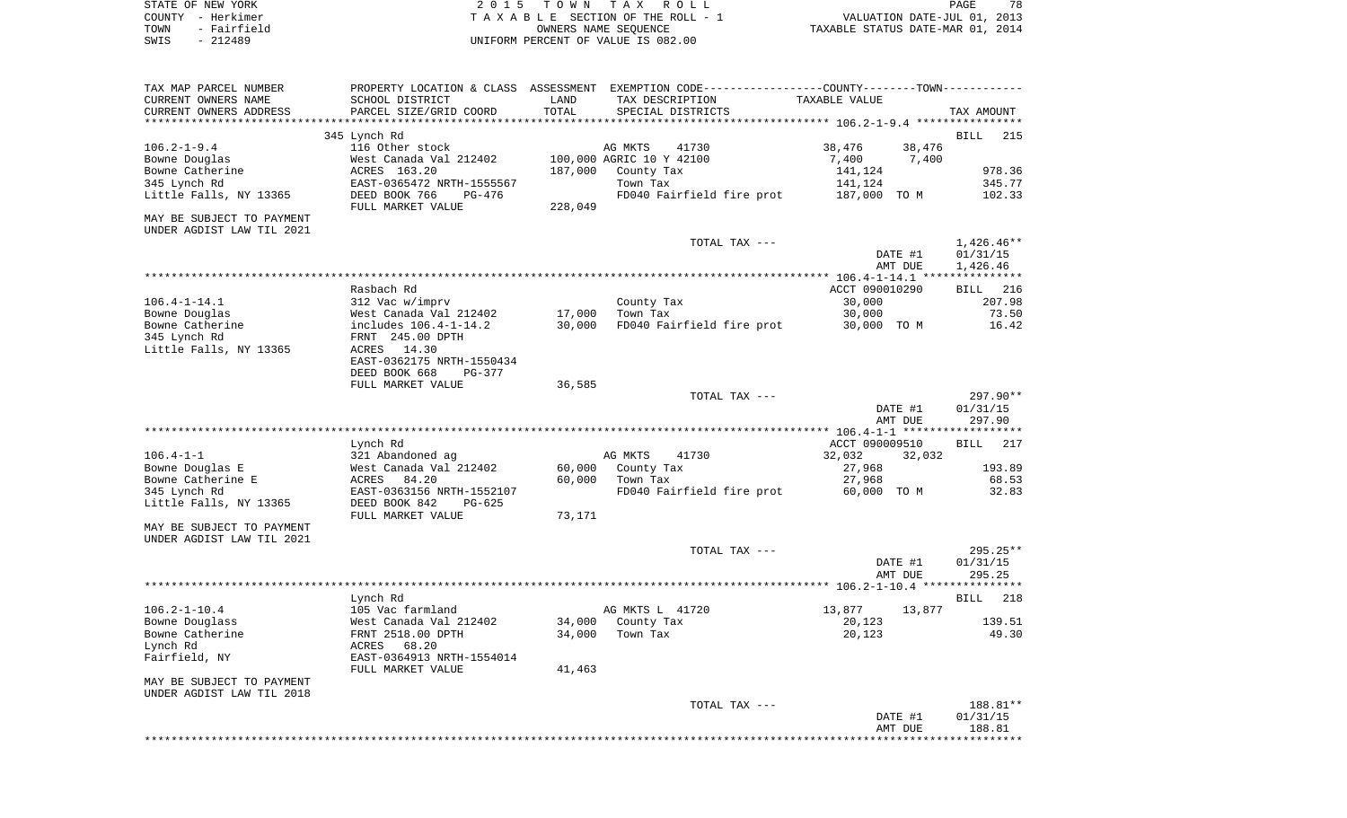| STATE OF NEW YORK                                      |                                              |                  | 2015 TOWN TAX ROLL                                                                            |                  |         | PAGE<br>78                       |
|--------------------------------------------------------|----------------------------------------------|------------------|-----------------------------------------------------------------------------------------------|------------------|---------|----------------------------------|
| COUNTY - Herkimer                                      |                                              |                  | TAXABLE SECTION OF THE ROLL - 1                                                               |                  |         | VALUATION DATE-JUL 01, 2013      |
| TOWN<br>- Fairfield                                    |                                              |                  | OWNERS NAME SEOUENCE                                                                          |                  |         | TAXABLE STATUS DATE-MAR 01, 2014 |
| - 212489<br>SWIS                                       |                                              |                  | UNIFORM PERCENT OF VALUE IS 082.00                                                            |                  |         |                                  |
| TAX MAP PARCEL NUMBER                                  |                                              |                  | PROPERTY LOCATION & CLASS ASSESSMENT EXEMPTION CODE---------------COUNTY-------TOWN---------- |                  |         |                                  |
| CURRENT OWNERS NAME                                    | SCHOOL DISTRICT                              | LAND             | TAX DESCRIPTION                                                                               | TAXABLE VALUE    |         |                                  |
| CURRENT OWNERS ADDRESS                                 | PARCEL SIZE/GRID COORD                       | TOTAL            | SPECIAL DISTRICTS                                                                             |                  |         | TAX AMOUNT                       |
|                                                        |                                              |                  |                                                                                               |                  |         |                                  |
| $106.2 - 1 - 9.4$                                      | 345 Lynch Rd<br>116 Other stock              |                  | AG MKTS<br>41730                                                                              | 38,476           | 38,476  | <b>BILL</b><br>215               |
| Bowne Douglas                                          | West Canada Val 212402                       |                  | 100,000 AGRIC 10 Y 42100                                                                      | 7,400            | 7,400   |                                  |
| Bowne Catherine                                        | ACRES 163.20                                 |                  | 187,000 County Tax                                                                            | 141,124          |         | 978.36                           |
| 345 Lynch Rd                                           | EAST-0365472 NRTH-1555567                    |                  | Town Tax                                                                                      | 141,124          |         | 345.77                           |
| Little Falls, NY 13365                                 | DEED BOOK 766<br>PG-476                      |                  | FD040 Fairfield fire prot                                                                     | 187,000 TO M     |         | 102.33                           |
| MAY BE SUBJECT TO PAYMENT                              | FULL MARKET VALUE                            | 228,049          |                                                                                               |                  |         |                                  |
| UNDER AGDIST LAW TIL 2021                              |                                              |                  | TOTAL TAX ---                                                                                 |                  |         | $1,426.46**$                     |
|                                                        |                                              |                  |                                                                                               |                  | DATE #1 | 01/31/15                         |
|                                                        |                                              |                  |                                                                                               |                  | AMT DUE | 1,426.46                         |
|                                                        | Rasbach Rd                                   |                  |                                                                                               | ACCT 090010290   |         | BILL 216                         |
| 106.4-1-14.1                                           | 312 Vac w/imprv                              |                  | County Tax                                                                                    | 30,000           |         | 207.98                           |
| Bowne Douglas                                          | West Canada Val 212402                       | 17,000           | Town Tax                                                                                      | 30,000           |         | 73.50                            |
| Bowne Catherine                                        | includes 106.4-1-14.2                        | 30,000           | FD040 Fairfield fire prot                                                                     | 30,000 TO M      |         | 16.42                            |
| 345 Lynch Rd                                           | FRNT 245.00 DPTH                             |                  |                                                                                               |                  |         |                                  |
| Little Falls, NY 13365                                 | ACRES 14.30                                  |                  |                                                                                               |                  |         |                                  |
|                                                        | EAST-0362175 NRTH-1550434                    |                  |                                                                                               |                  |         |                                  |
|                                                        | DEED BOOK 668<br>PG-377<br>FULL MARKET VALUE | 36,585           |                                                                                               |                  |         |                                  |
|                                                        |                                              |                  | TOTAL TAX ---                                                                                 |                  |         | 297.90**                         |
|                                                        |                                              |                  |                                                                                               |                  | DATE #1 | 01/31/15                         |
|                                                        |                                              |                  |                                                                                               |                  | AMT DUE | 297.90                           |
|                                                        |                                              |                  |                                                                                               |                  |         |                                  |
|                                                        | Lynch Rd                                     |                  |                                                                                               | ACCT 090009510   |         | BILL 217                         |
| 106.4-1-1                                              | 321 Abandoned ag                             |                  | AG MKTS<br>41730                                                                              | 32,032           | 32,032  |                                  |
| Bowne Douglas E<br>Bowne Catherine E                   | West Canada Val 212402<br>84.20<br>ACRES     | 60,000<br>60,000 | County Tax<br>Town Tax                                                                        | 27,968<br>27,968 |         | 193.89<br>68.53                  |
| 345 Lynch Rd                                           | EAST-0363156 NRTH-1552107                    |                  | FD040 Fairfield fire prot                                                                     | 60,000 TO M      |         | 32.83                            |
| Little Falls, NY 13365                                 | DEED BOOK 842<br>PG-625                      |                  |                                                                                               |                  |         |                                  |
|                                                        | FULL MARKET VALUE                            | 73,171           |                                                                                               |                  |         |                                  |
| MAY BE SUBJECT TO PAYMENT<br>UNDER AGDIST LAW TIL 2021 |                                              |                  |                                                                                               |                  |         |                                  |
|                                                        |                                              |                  | TOTAL TAX ---                                                                                 |                  |         | $295.25**$                       |
|                                                        |                                              |                  |                                                                                               |                  | DATE #1 | 01/31/15                         |
|                                                        |                                              |                  |                                                                                               |                  | AMT DUE | 295.25                           |
|                                                        | Lynch Rd                                     |                  |                                                                                               |                  |         | BILL<br>218                      |
| $106.2 - 1 - 10.4$                                     | 105 Vac farmland                             |                  | AG MKTS L 41720                                                                               | 13,877           | 13,877  |                                  |
| Bowne Douglass                                         | West Canada Val 212402                       | 34,000           | County Tax                                                                                    | 20,123           |         | 139.51                           |
| Bowne Catherine                                        | FRNT 2518.00 DPTH                            | 34,000           | Town Tax                                                                                      | 20,123           |         | 49.30                            |
| Lynch Rd                                               | ACRES 68.20                                  |                  |                                                                                               |                  |         |                                  |
| Fairfield, NY                                          | EAST-0364913 NRTH-1554014                    |                  |                                                                                               |                  |         |                                  |
| MAY BE SUBJECT TO PAYMENT                              | FULL MARKET VALUE                            | 41,463           |                                                                                               |                  |         |                                  |
| UNDER AGDIST LAW TIL 2018                              |                                              |                  |                                                                                               |                  |         |                                  |

DATE #1 01/31/15 AMT DUE 188.81 \*\*\*\*\*\*\*\*\*\*\*\*\*\*\*\*\*\*\*\*\*\*\*\*\*\*\*\*\*\*\*\*\*\*\*\*\*\*\*\*\*\*\*\*\*\*\*\*\*\*\*\*\*\*\*\*\*\*\*\*\*\*\*\*\*\*\*\*\*\*\*\*\*\*\*\*\*\*\*\*\*\*\*\*\*\*\*\*\*\*\*\*\*\*\*\*\*\*\*\*\*\*\*\*\*\*\*\*\*\*\*\*\*\*\*\*\*\*\*\*\*\*\*\*\*\*\*\*\*\*\*\*

TOTAL TAX --- 188.81\*\*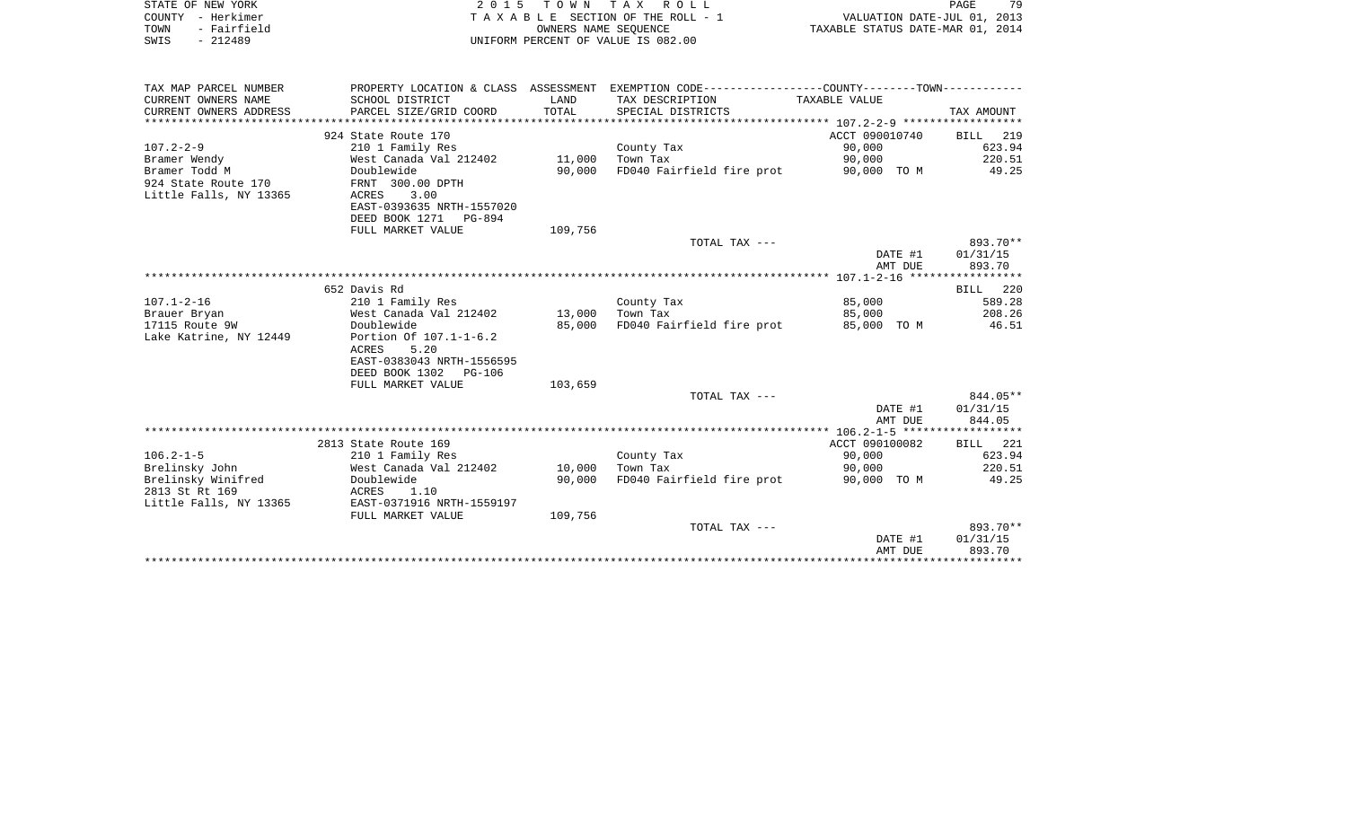| STATE OF NEW YORK      |                                       |         | 2015 TOWN TAX ROLL                                           |                                  | PAGE<br>79 |
|------------------------|---------------------------------------|---------|--------------------------------------------------------------|----------------------------------|------------|
| COUNTY - Herkimer      | T A X A B L E SECTION OF THE ROLL - 1 |         |                                                              | VALUATION DATE-JUL 01, 2013      |            |
| - Fairfield<br>TOWN    | OWNERS NAME SEQUENCE                  |         |                                                              | TAXABLE STATUS DATE-MAR 01, 2014 |            |
| $-212489$<br>SWIS      | UNIFORM PERCENT OF VALUE IS 082.00    |         |                                                              |                                  |            |
|                        |                                       |         |                                                              |                                  |            |
|                        |                                       |         |                                                              |                                  |            |
|                        |                                       |         |                                                              |                                  |            |
| TAX MAP PARCEL NUMBER  | PROPERTY LOCATION & CLASS ASSESSMENT  |         | EXEMPTION CODE-----------------COUNTY--------TOWN----------- |                                  |            |
| CURRENT OWNERS NAME    | SCHOOL DISTRICT                       | LAND    | TAX DESCRIPTION                                              | TAXABLE VALUE                    |            |
| CURRENT OWNERS ADDRESS | PARCEL SIZE/GRID COORD                | TOTAL   | SPECIAL DISTRICTS                                            |                                  | TAX AMOUNT |
|                        |                                       |         |                                                              |                                  |            |
|                        | 924 State Route 170                   |         |                                                              | ACCT 090010740                   | BILL 219   |
| $107.2 - 2 - 9$        | 210 1 Family Res                      |         | County Tax                                                   | 90,000                           | 623.94     |
| Bramer Wendy           | West Canada Val 212402                | 11,000  | Town Tax                                                     | 90,000                           | 220.51     |
| Bramer Todd M          | Doublewide                            | 90,000  | FD040 Fairfield fire prot                                    | 90,000 TO M                      | 49.25      |
| 924 State Route 170    | FRNT 300.00 DPTH                      |         |                                                              |                                  |            |
| Little Falls, NY 13365 | 3.00<br>ACRES                         |         |                                                              |                                  |            |
|                        |                                       |         |                                                              |                                  |            |
|                        | EAST-0393635 NRTH-1557020             |         |                                                              |                                  |            |
|                        | DEED BOOK 1271<br><b>PG-894</b>       |         |                                                              |                                  |            |
|                        | FULL MARKET VALUE                     | 109,756 |                                                              |                                  |            |
|                        |                                       |         | TOTAL TAX ---                                                |                                  | 893.70**   |
|                        |                                       |         |                                                              | DATE #1                          | 01/31/15   |
|                        |                                       |         |                                                              | AMT DUE                          | 893.70     |
|                        |                                       |         |                                                              |                                  |            |
|                        | 652 Davis Rd                          |         |                                                              |                                  | BILL 220   |
| $107.1 - 2 - 16$       | 210 1 Family Res                      |         | County Tax                                                   | 85,000                           | 589.28     |
| Brauer Bryan           | West Canada Val 212402                | 13,000  | Town Tax                                                     | 85,000                           | 208.26     |
| 17115 Route 9W         | Doublewide                            | 85,000  | FD040 Fairfield fire prot                                    | 85,000 TO M                      | 46.51      |
| Lake Katrine, NY 12449 | Portion Of 107.1-1-6.2                |         |                                                              |                                  |            |
|                        | 5.20<br>ACRES                         |         |                                                              |                                  |            |
|                        | EAST-0383043 NRTH-1556595             |         |                                                              |                                  |            |
|                        | DEED BOOK 1302<br><b>PG-106</b>       |         |                                                              |                                  |            |
|                        | FULL MARKET VALUE                     | 103,659 |                                                              |                                  |            |
|                        |                                       |         | TOTAL TAX ---                                                |                                  | 844.05**   |
|                        |                                       |         |                                                              |                                  |            |
|                        |                                       |         |                                                              | DATE #1                          | 01/31/15   |
|                        |                                       |         |                                                              | AMT DUE                          | 844.05     |
|                        |                                       |         |                                                              |                                  |            |
|                        | 2813 State Route 169                  |         |                                                              | ACCT 090100082                   | BILL 221   |
| $106.2 - 1 - 5$        | 210 1 Family Res                      |         | County Tax                                                   | 90,000                           | 623.94     |
| Brelinsky John         | West Canada Val 212402                | 10,000  | Town Tax                                                     | 90,000                           | 220.51     |
| Brelinsky Winifred     | Doublewide                            | 90,000  | FD040 Fairfield fire prot                                    | 90,000 TO M                      | 49.25      |
| 2813 St Rt 169         | ACRES<br>1.10                         |         |                                                              |                                  |            |
| Little Falls, NY 13365 | EAST-0371916 NRTH-1559197             |         |                                                              |                                  |            |
|                        | FULL MARKET VALUE                     | 109,756 |                                                              |                                  |            |
|                        |                                       |         | TOTAL TAX ---                                                |                                  | 893.70**   |
|                        |                                       |         |                                                              | DATE #1                          | 01/31/15   |
|                        |                                       |         |                                                              | AMT DUE                          | 893.70     |
|                        |                                       |         |                                                              |                                  |            |
|                        |                                       |         |                                                              |                                  |            |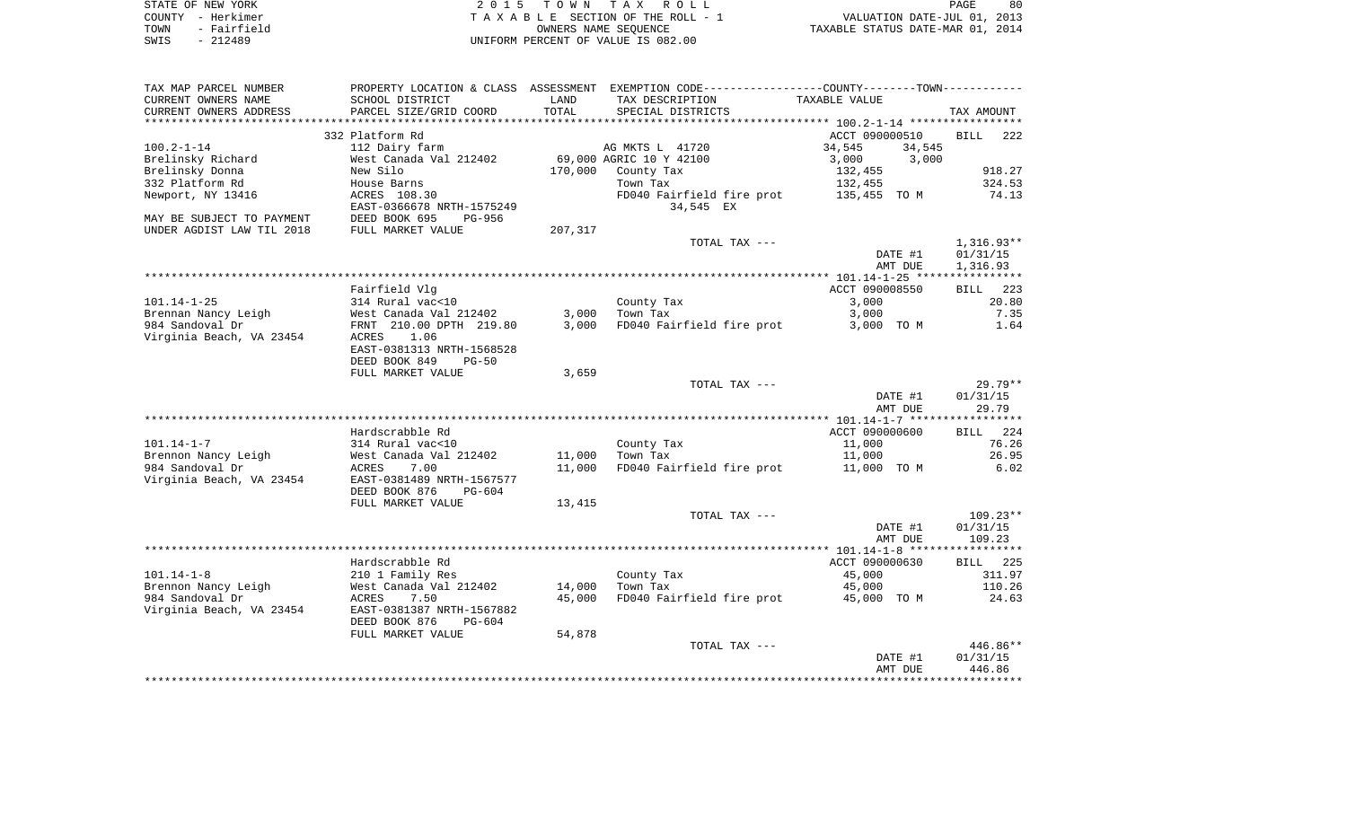|      | STATE OF NEW YORK | 2015 TOWN TAX ROLL                 | 80<br>PAGE                       |  |
|------|-------------------|------------------------------------|----------------------------------|--|
|      | COUNTY - Herkimer | TAXABLE SECTION OF THE ROLL - 1    | VALUATION DATE-JUL 01, 2013      |  |
| TOWN | - Fairfield       | OWNERS NAME SEOUENCE               | TAXABLE STATUS DATE-MAR 01, 2014 |  |
| SWIS | $-212489$         | UNIFORM PERCENT OF VALUE IS 082.00 |                                  |  |

| PROPERTY LOCATION & CLASS ASSESSMENT<br>SCHOOL DISTRICT | LAND                                                                                                                                                                                                                                                                                                                                                                                                                                        | EXEMPTION CODE-----------------COUNTY-------TOWN-----------<br>TAX DESCRIPTION                 | TAXABLE VALUE                                                                                                                                           |                                                                                                                                                                                                                                                  |
|---------------------------------------------------------|---------------------------------------------------------------------------------------------------------------------------------------------------------------------------------------------------------------------------------------------------------------------------------------------------------------------------------------------------------------------------------------------------------------------------------------------|------------------------------------------------------------------------------------------------|---------------------------------------------------------------------------------------------------------------------------------------------------------|--------------------------------------------------------------------------------------------------------------------------------------------------------------------------------------------------------------------------------------------------|
|                                                         |                                                                                                                                                                                                                                                                                                                                                                                                                                             |                                                                                                |                                                                                                                                                         | TAX AMOUNT                                                                                                                                                                                                                                       |
| 332 Platform Rd<br>112 Dairy farm                       |                                                                                                                                                                                                                                                                                                                                                                                                                                             | AG MKTS L 41720                                                                                | ACCT 090000510<br>34,545<br>34,545                                                                                                                      | <b>BILL</b><br>222                                                                                                                                                                                                                               |
|                                                         |                                                                                                                                                                                                                                                                                                                                                                                                                                             |                                                                                                |                                                                                                                                                         | 918.27                                                                                                                                                                                                                                           |
|                                                         |                                                                                                                                                                                                                                                                                                                                                                                                                                             |                                                                                                |                                                                                                                                                         | 324.53                                                                                                                                                                                                                                           |
| ACRES 108.30<br>EAST-0366678 NRTH-1575249               |                                                                                                                                                                                                                                                                                                                                                                                                                                             | FD040 Fairfield fire prot<br>34,545 EX                                                         | 135,455 TO M                                                                                                                                            | 74.13                                                                                                                                                                                                                                            |
|                                                         |                                                                                                                                                                                                                                                                                                                                                                                                                                             |                                                                                                |                                                                                                                                                         |                                                                                                                                                                                                                                                  |
|                                                         |                                                                                                                                                                                                                                                                                                                                                                                                                                             | TOTAL TAX ---                                                                                  |                                                                                                                                                         | $1,316.93**$<br>01/31/15                                                                                                                                                                                                                         |
|                                                         |                                                                                                                                                                                                                                                                                                                                                                                                                                             |                                                                                                | AMT DUE                                                                                                                                                 | 1,316.93                                                                                                                                                                                                                                         |
|                                                         |                                                                                                                                                                                                                                                                                                                                                                                                                                             |                                                                                                |                                                                                                                                                         |                                                                                                                                                                                                                                                  |
|                                                         |                                                                                                                                                                                                                                                                                                                                                                                                                                             |                                                                                                |                                                                                                                                                         | 223<br><b>BILL</b>                                                                                                                                                                                                                               |
|                                                         |                                                                                                                                                                                                                                                                                                                                                                                                                                             |                                                                                                |                                                                                                                                                         | 20.80                                                                                                                                                                                                                                            |
|                                                         |                                                                                                                                                                                                                                                                                                                                                                                                                                             |                                                                                                |                                                                                                                                                         | 7.35<br>1.64                                                                                                                                                                                                                                     |
| 1.06<br>ACRES<br>EAST-0381313 NRTH-1568528              |                                                                                                                                                                                                                                                                                                                                                                                                                                             |                                                                                                |                                                                                                                                                         |                                                                                                                                                                                                                                                  |
|                                                         |                                                                                                                                                                                                                                                                                                                                                                                                                                             |                                                                                                |                                                                                                                                                         |                                                                                                                                                                                                                                                  |
|                                                         |                                                                                                                                                                                                                                                                                                                                                                                                                                             | TOTAL TAX ---                                                                                  | DATE #1<br>AMT DUE                                                                                                                                      | $29.79**$<br>01/31/15<br>29.79                                                                                                                                                                                                                   |
|                                                         |                                                                                                                                                                                                                                                                                                                                                                                                                                             |                                                                                                |                                                                                                                                                         | * * * * * * * * * * *                                                                                                                                                                                                                            |
|                                                         |                                                                                                                                                                                                                                                                                                                                                                                                                                             |                                                                                                |                                                                                                                                                         | 224<br>BILL                                                                                                                                                                                                                                      |
|                                                         |                                                                                                                                                                                                                                                                                                                                                                                                                                             |                                                                                                |                                                                                                                                                         | 76.26                                                                                                                                                                                                                                            |
| 7.00<br>ACRES                                           | 11,000                                                                                                                                                                                                                                                                                                                                                                                                                                      | FD040 Fairfield fire prot                                                                      | 11,000 TO M                                                                                                                                             | 26.95<br>6.02                                                                                                                                                                                                                                    |
| DEED BOOK 876<br>$PG-604$                               |                                                                                                                                                                                                                                                                                                                                                                                                                                             |                                                                                                |                                                                                                                                                         |                                                                                                                                                                                                                                                  |
|                                                         |                                                                                                                                                                                                                                                                                                                                                                                                                                             |                                                                                                |                                                                                                                                                         |                                                                                                                                                                                                                                                  |
|                                                         |                                                                                                                                                                                                                                                                                                                                                                                                                                             |                                                                                                | DATE #1                                                                                                                                                 | $109.23**$<br>01/31/15<br>109.23                                                                                                                                                                                                                 |
|                                                         |                                                                                                                                                                                                                                                                                                                                                                                                                                             |                                                                                                |                                                                                                                                                         | * * * * * * * * * * *                                                                                                                                                                                                                            |
| Hardscrabble Rd                                         |                                                                                                                                                                                                                                                                                                                                                                                                                                             |                                                                                                | ACCT 090000630                                                                                                                                          | 225<br><b>BILL</b>                                                                                                                                                                                                                               |
| 210 1 Family Res                                        |                                                                                                                                                                                                                                                                                                                                                                                                                                             | County Tax                                                                                     | 45,000                                                                                                                                                  | 311.97                                                                                                                                                                                                                                           |
|                                                         |                                                                                                                                                                                                                                                                                                                                                                                                                                             |                                                                                                |                                                                                                                                                         | 110.26                                                                                                                                                                                                                                           |
| EAST-0381387 NRTH-1567882<br>DEED BOOK 876<br>$PG-604$  |                                                                                                                                                                                                                                                                                                                                                                                                                                             |                                                                                                |                                                                                                                                                         | 24.63                                                                                                                                                                                                                                            |
| FULL MARKET VALUE                                       | 54,878                                                                                                                                                                                                                                                                                                                                                                                                                                      |                                                                                                |                                                                                                                                                         |                                                                                                                                                                                                                                                  |
|                                                         |                                                                                                                                                                                                                                                                                                                                                                                                                                             | TOTAL TAX ---                                                                                  |                                                                                                                                                         | 446.86**                                                                                                                                                                                                                                         |
|                                                         |                                                                                                                                                                                                                                                                                                                                                                                                                                             |                                                                                                | AMT DUE                                                                                                                                                 | 01/31/15<br>446.86                                                                                                                                                                                                                               |
|                                                         | PARCEL SIZE/GRID COORD<br>West Canada Val 212402<br>New Silo<br>House Barns<br>DEED BOOK 695<br>PG-956<br>FULL MARKET VALUE<br>Fairfield Vlg<br>314 Rural vac<10<br>West Canada Val 212402<br>FRNT 210.00 DPTH 219.80<br>DEED BOOK 849<br>$PG-50$<br>FULL MARKET VALUE<br>Hardscrabble Rd<br>314 Rural vac<10<br>West Canada Val 212402<br>EAST-0381489 NRTH-1567577<br>FULL MARKET VALUE<br>West Canada Val 212402<br>7.50<br><b>ACRES</b> | TOTAL<br>170,000<br>207,317<br>3,000<br>3,000<br>3,659<br>11,000<br>13,415<br>14,000<br>45,000 | SPECIAL DISTRICTS<br>69,000 AGRIC 10 Y 42100<br>County Tax<br>Town Tax<br>County Tax<br>Town Tax<br>County Tax<br>Town Tax<br>TOTAL TAX ---<br>Town Tax | 3,000<br>3,000<br>132,455<br>132,455<br>DATE #1<br>ACCT 090008550<br>3,000<br>3,000<br>FD040 Fairfield fire prot<br>3,000 TO M<br>ACCT 090000600<br>11,000<br>11,000<br>AMT DUE<br>45,000<br>FD040 Fairfield fire prot<br>45,000 TO M<br>DATE #1 |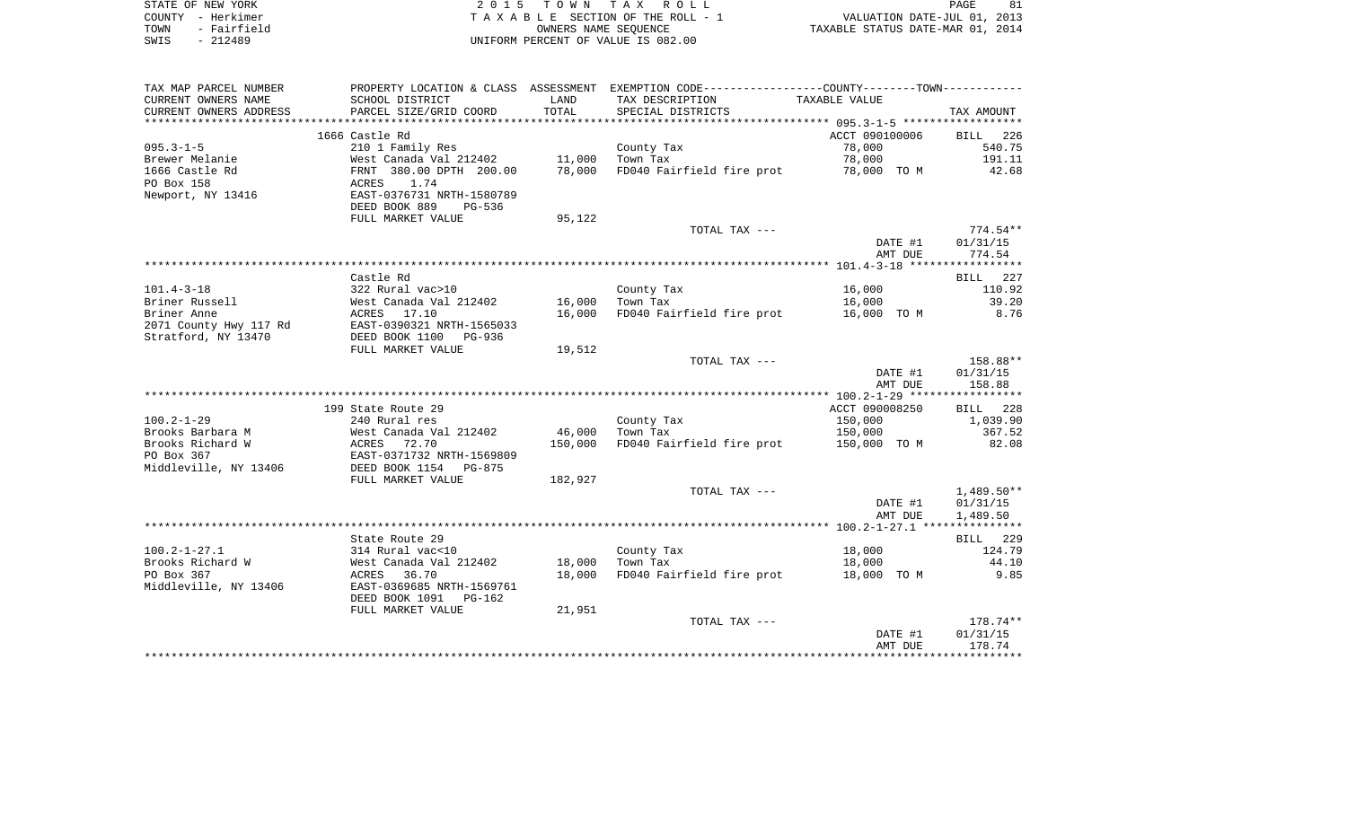|      | STATE OF NEW YORK | 2015 TOWN TAX ROLL                 | PAGE                             |
|------|-------------------|------------------------------------|----------------------------------|
|      | COUNTY - Herkimer | TAXABLE SECTION OF THE ROLL - 1    | VALUATION DATE-JUL 01, 2013      |
| TOWN | - Fairfield       | OWNERS NAME SEOUENCE               | TAXABLE STATUS DATE-MAR 01, 2014 |
| SWIS | - 212489          | UNIFORM PERCENT OF VALUE IS 082.00 |                                  |

| TAX MAP PARCEL NUMBER         |                                       |                  | PROPERTY LOCATION & CLASS ASSESSMENT EXEMPTION CODE----------------COUNTY--------TOWN---------- |                       |                    |
|-------------------------------|---------------------------------------|------------------|-------------------------------------------------------------------------------------------------|-----------------------|--------------------|
| CURRENT OWNERS NAME           | SCHOOL DISTRICT                       | LAND             | TAX DESCRIPTION                                                                                 | TAXABLE VALUE         |                    |
| CURRENT OWNERS ADDRESS        | PARCEL SIZE/GRID COORD                | TOTAL            | SPECIAL DISTRICTS                                                                               |                       | TAX AMOUNT         |
| *******************           |                                       |                  |                                                                                                 |                       |                    |
|                               | 1666 Castle Rd                        |                  |                                                                                                 | ACCT 090100006        | BILL<br>226        |
| $095.3 - 1 - 5$               | 210 1 Family Res                      |                  | County Tax                                                                                      | 78,000                | 540.75             |
| Brewer Melanie                | West Canada Val 212402                | 11,000           | Town Tax                                                                                        | 78,000                | 191.11             |
| 1666 Castle Rd                | FRNT 380.00 DPTH 200.00               | 78,000           | FD040 Fairfield fire prot                                                                       | 78,000 TO M           | 42.68              |
| PO Box 158                    | ACRES<br>1.74                         |                  |                                                                                                 |                       |                    |
| Newport, NY 13416             | EAST-0376731 NRTH-1580789             |                  |                                                                                                 |                       |                    |
|                               | DEED BOOK 889<br>PG-536               |                  |                                                                                                 |                       |                    |
|                               | FULL MARKET VALUE                     | 95,122           |                                                                                                 |                       |                    |
|                               |                                       |                  | TOTAL TAX ---                                                                                   |                       | $774.54**$         |
|                               |                                       |                  |                                                                                                 | DATE #1               | 01/31/15           |
|                               |                                       |                  |                                                                                                 | AMT DUE               | 774.54             |
|                               |                                       |                  |                                                                                                 |                       |                    |
|                               | Castle Rd                             |                  |                                                                                                 |                       | 227<br><b>BILL</b> |
| $101.4 - 3 - 18$              | 322 Rural vac>10                      |                  | County Tax                                                                                      | 16,000                | 110.92             |
| Briner Russell<br>Briner Anne | West Canada Val 212402<br>ACRES 17.10 | 16,000<br>16,000 | Town Tax<br>FD040 Fairfield fire prot                                                           | 16,000<br>16,000 TO M | 39.20<br>8.76      |
| 2071 County Hwy 117 Rd        | EAST-0390321 NRTH-1565033             |                  |                                                                                                 |                       |                    |
| Stratford, NY 13470           | DEED BOOK 1100 PG-936                 |                  |                                                                                                 |                       |                    |
|                               | FULL MARKET VALUE                     | 19,512           |                                                                                                 |                       |                    |
|                               |                                       |                  | TOTAL TAX ---                                                                                   |                       | 158.88**           |
|                               |                                       |                  |                                                                                                 | DATE #1               | 01/31/15           |
|                               |                                       |                  |                                                                                                 | AMT DUE               | 158.88             |
|                               |                                       |                  |                                                                                                 |                       |                    |
|                               | 199 State Route 29                    |                  |                                                                                                 | ACCT 090008250        | BILL 228           |
| $100.2 - 1 - 29$              | 240 Rural res                         |                  | County Tax                                                                                      | 150,000               | 1,039.90           |
| Brooks Barbara M              | West Canada Val 212402                | 46,000           | Town Tax                                                                                        | 150,000               | 367.52             |
| Brooks Richard W              | 72.70<br>ACRES                        | 150,000          | FD040 Fairfield fire prot                                                                       | 150,000 TO M          | 82.08              |
| PO Box 367                    | EAST-0371732 NRTH-1569809             |                  |                                                                                                 |                       |                    |
| Middleville, NY 13406         | DEED BOOK 1154 PG-875                 |                  |                                                                                                 |                       |                    |
|                               | FULL MARKET VALUE                     | 182,927          |                                                                                                 |                       |                    |
|                               |                                       |                  | TOTAL TAX ---                                                                                   |                       | $1,489.50**$       |
|                               |                                       |                  |                                                                                                 | DATE #1               | 01/31/15           |
|                               |                                       |                  |                                                                                                 | AMT DUE               | 1,489.50           |
|                               |                                       |                  |                                                                                                 |                       |                    |
|                               | State Route 29                        |                  |                                                                                                 |                       | BILL 229           |
| $100.2 - 1 - 27.1$            | 314 Rural vac<10                      |                  | County Tax                                                                                      | 18,000                | 124.79             |
| Brooks Richard W              | West Canada Val 212402                | 18,000           | Town Tax                                                                                        | 18,000                | 44.10              |
| PO Box 367                    | ACRES<br>36.70                        | 18,000           | FD040 Fairfield fire prot                                                                       | 18,000 TO M           | 9.85               |
| Middleville, NY 13406         | EAST-0369685 NRTH-1569761             |                  |                                                                                                 |                       |                    |
|                               | DEED BOOK 1091<br>PG-162              |                  |                                                                                                 |                       |                    |
|                               | FULL MARKET VALUE                     | 21,951           |                                                                                                 |                       |                    |
|                               |                                       |                  | TOTAL TAX ---                                                                                   |                       | 178.74**           |
|                               |                                       |                  |                                                                                                 | DATE #1<br>AMT DUE    | 01/31/15<br>178.74 |
|                               |                                       |                  |                                                                                                 |                       |                    |
|                               |                                       |                  |                                                                                                 |                       |                    |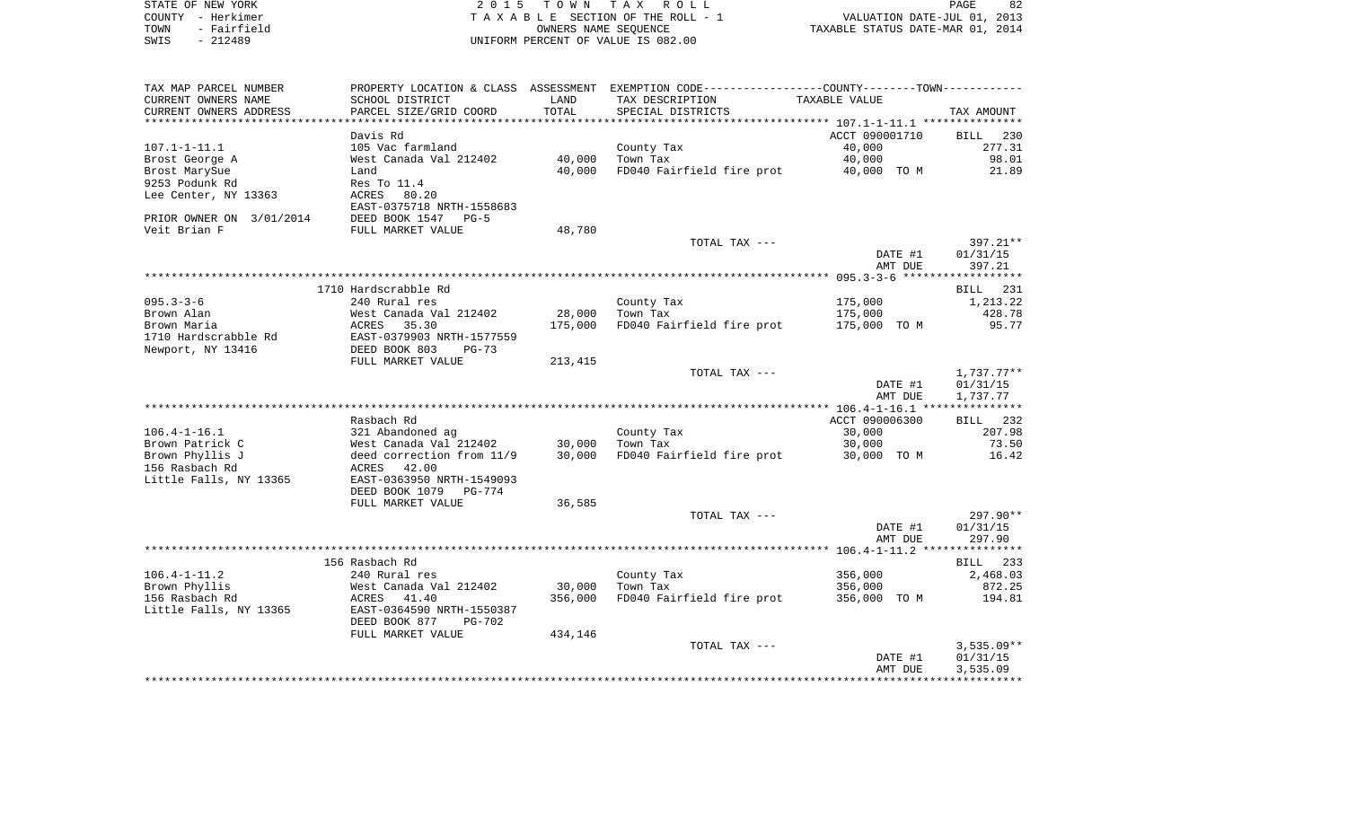|      | STATE OF NEW YORK | 2015 TOWN TAX ROLL                 |                                  | PAGE                        | 82 |
|------|-------------------|------------------------------------|----------------------------------|-----------------------------|----|
|      | COUNTY - Herkimer | TAXABLE SECTION OF THE ROLL - 1    |                                  | VALUATION DATE-JUL 01, 2013 |    |
| TOWN | - Fairfield       | OWNERS NAME SEOUENCE               | TAXABLE STATUS DATE-MAR 01, 2014 |                             |    |
| SWIS | - 212489          | UNIFORM PERCENT OF VALUE IS 082.00 |                                  |                             |    |
|      |                   |                                    |                                  |                             |    |

| TAX MAP PARCEL NUMBER    |                                                            |         | PROPERTY LOCATION & CLASS ASSESSMENT EXEMPTION CODE---------------COUNTY-------TOWN---------- |                |                      |
|--------------------------|------------------------------------------------------------|---------|-----------------------------------------------------------------------------------------------|----------------|----------------------|
| CURRENT OWNERS NAME      | SCHOOL DISTRICT                                            | LAND    | TAX DESCRIPTION                                                                               | TAXABLE VALUE  |                      |
| CURRENT OWNERS ADDRESS   | PARCEL SIZE/GRID COORD                                     | TOTAL   | SPECIAL DISTRICTS                                                                             |                | TAX AMOUNT           |
|                          |                                                            |         |                                                                                               |                |                      |
|                          | Davis Rd                                                   |         |                                                                                               | ACCT 090001710 | BILL<br>230          |
| $107.1 - 1 - 11.1$       | 105 Vac farmland                                           |         | County Tax                                                                                    | 40,000         | 277.31               |
| Brost George A           | West Canada Val 212402                                     | 40,000  | Town Tax                                                                                      | 40,000         | 98.01                |
| Brost MarySue            | Land                                                       | 40,000  | FD040 Fairfield fire prot                                                                     | 40,000 TO M    | 21.89                |
| 9253 Podunk Rd           | Res To 11.4                                                |         |                                                                                               |                |                      |
| Lee Center, NY 13363     | ACRES 80.20                                                |         |                                                                                               |                |                      |
|                          | EAST-0375718 NRTH-1558683                                  |         |                                                                                               |                |                      |
| PRIOR OWNER ON 3/01/2014 | DEED BOOK 1547 PG-5                                        |         |                                                                                               |                |                      |
| Veit Brian F             | FULL MARKET VALUE                                          | 48,780  |                                                                                               |                |                      |
|                          |                                                            |         | TOTAL TAX ---                                                                                 |                | 397.21**             |
|                          |                                                            |         |                                                                                               | DATE #1        | 01/31/15             |
|                          |                                                            |         |                                                                                               | AMT DUE        | 397.21               |
|                          |                                                            |         |                                                                                               |                |                      |
|                          | 1710 Hardscrabble Rd                                       |         |                                                                                               |                | BILL 231             |
| $095.3 - 3 - 6$          | 240 Rural res                                              |         | County Tax                                                                                    | 175,000        | 1,213.22             |
| Brown Alan               | West Canada Val 212402                                     | 28,000  | Town Tax                                                                                      | 175,000        | 428.78               |
| Brown Maria              | ACRES<br>35.30                                             | 175,000 | FD040 Fairfield fire prot                                                                     | 175,000 TO M   | 95.77                |
| 1710 Hardscrabble Rd     | EAST-0379903 NRTH-1577559                                  |         |                                                                                               |                |                      |
| Newport, NY 13416        | DEED BOOK 803<br>$PG-73$                                   |         |                                                                                               |                |                      |
|                          | FULL MARKET VALUE                                          | 213,415 |                                                                                               |                |                      |
|                          |                                                            |         | TOTAL TAX ---                                                                                 |                | 1,737.77**           |
|                          |                                                            |         |                                                                                               | DATE #1        | 01/31/15             |
|                          |                                                            |         |                                                                                               | AMT DUE        | 1,737.77             |
|                          |                                                            |         |                                                                                               |                |                      |
|                          | Rasbach Rd                                                 |         |                                                                                               | ACCT 090006300 | BILL 232             |
| $106.4 - 1 - 16.1$       | 321 Abandoned ag                                           |         | County Tax                                                                                    | 30,000         | 207.98               |
| Brown Patrick C          |                                                            |         | Town Tax                                                                                      | 30,000         | 73.50                |
| Brown Phyllis J          | West Canada Val 212402 30,000<br>deed correction from 11/9 | 30,000  | FD040 Fairfield fire prot                                                                     | 30,000 TO M    | 16.42                |
| 156 Rasbach Rd           |                                                            |         |                                                                                               |                |                      |
|                          | ACRES 42.00<br>EAST-0363950 NRTH-1549093                   |         |                                                                                               |                |                      |
| Little Falls, NY 13365   | DEED BOOK 1079<br>PG-774                                   |         |                                                                                               |                |                      |
|                          | FULL MARKET VALUE                                          | 36,585  |                                                                                               |                |                      |
|                          |                                                            |         | TOTAL TAX ---                                                                                 |                | $297.90**$           |
|                          |                                                            |         |                                                                                               | DATE #1        | 01/31/15             |
|                          |                                                            |         |                                                                                               | AMT DUE        | 297.90               |
|                          |                                                            |         |                                                                                               |                |                      |
|                          | 156 Rasbach Rd                                             |         |                                                                                               |                |                      |
| $106.4 - 1 - 11.2$       | 240 Rural res                                              |         |                                                                                               | 356,000        | BILL 233<br>2,468.03 |
| Brown Phyllis            | West Canada Val 212402                                     | 30,000  | County Tax<br>Town Tax                                                                        | 356,000        | 872.25               |
| 156 Rasbach Rd           | 41.40                                                      |         |                                                                                               |                | 194.81               |
|                          | ACRES                                                      | 356,000 | FD040 Fairfield fire prot                                                                     | 356,000 TO M   |                      |
| Little Falls, NY 13365   | EAST-0364590 NRTH-1550387                                  |         |                                                                                               |                |                      |
|                          | DEED BOOK 877<br>PG-702                                    |         |                                                                                               |                |                      |
|                          | FULL MARKET VALUE                                          | 434,146 |                                                                                               |                |                      |
|                          |                                                            |         | TOTAL TAX ---                                                                                 |                | $3,535.09**$         |
|                          |                                                            |         |                                                                                               | DATE #1        | 01/31/15             |
|                          |                                                            |         |                                                                                               | AMT DUE        | 3,535.09             |
|                          |                                                            |         |                                                                                               |                |                      |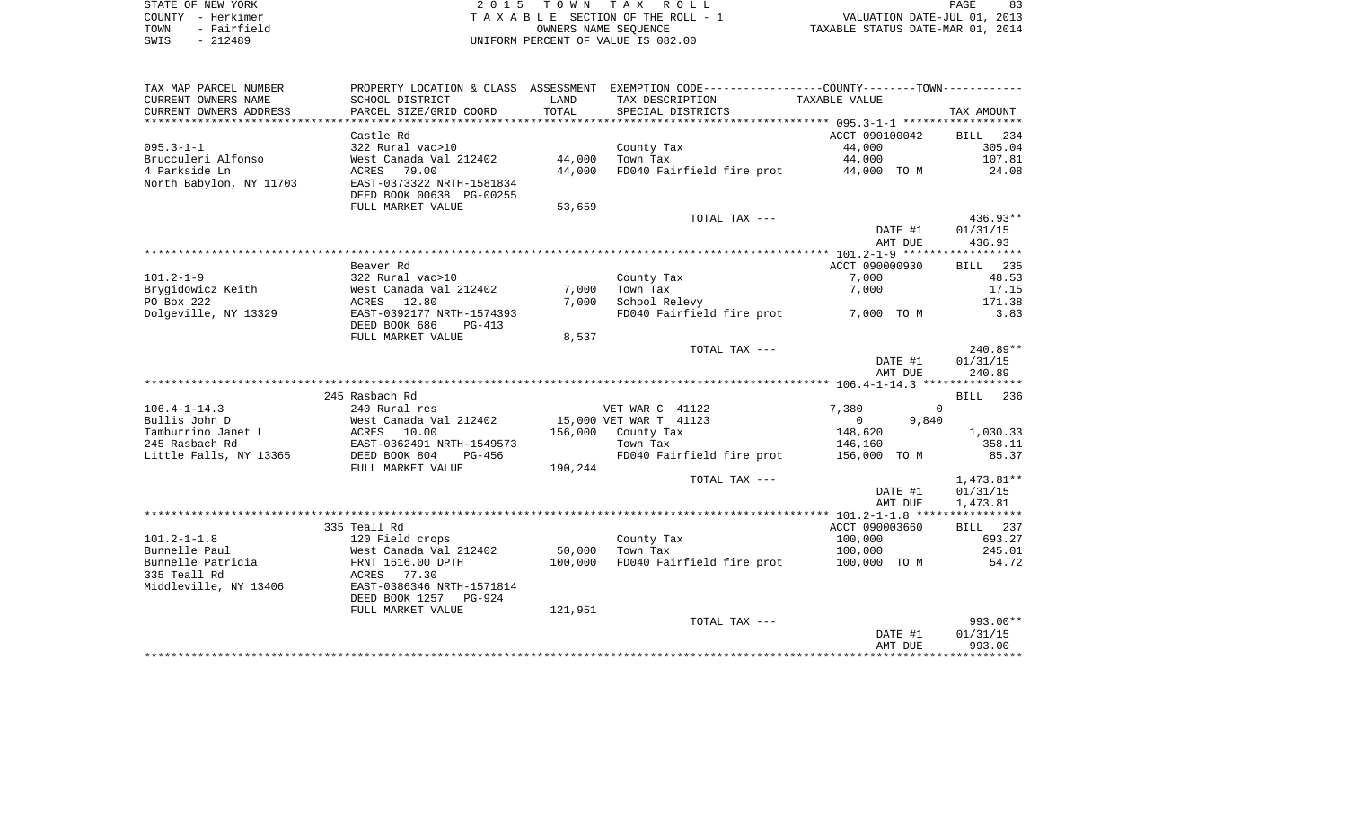| STATE OF NEW YORK |           |             |  |
|-------------------|-----------|-------------|--|
| COUNTY - Herkimer |           |             |  |
| TOWN              |           | - Fairfield |  |
| SMTS              | $-212489$ |             |  |

2015 TOWN TAX ROLL TA X A B L E SECTION OF THE ROLL - 1 SWIS - 212489 UNIFORM PERCENT OF VALUE IS 082.00

PAGE 83 TO A TAN A TAN A TAN A TANG THE ROLL - 1<br>
TAXABLE STATUS DATE-MAR 01, 2013<br>
TAXABLE STATUS DATE-MAR 01, 2014

| TAX MAP PARCEL NUMBER                                                                                            |                           |         | PROPERTY LOCATION & CLASS ASSESSMENT EXEMPTION CODE---------------COUNTY-------TOWN---------- |                         |            |
|------------------------------------------------------------------------------------------------------------------|---------------------------|---------|-----------------------------------------------------------------------------------------------|-------------------------|------------|
| CURRENT OWNERS NAME                                                                                              | SCHOOL DISTRICT           | LAND    | TAX DESCRIPTION                                                                               | TAXABLE VALUE           |            |
| CURRENT OWNERS ADDRESS                                                                                           | PARCEL SIZE/GRID COORD    | TOTAL   | SPECIAL DISTRICTS                                                                             |                         | TAX AMOUNT |
|                                                                                                                  |                           |         |                                                                                               |                         |            |
|                                                                                                                  | Castle Rd                 |         |                                                                                               | ACCT 090100042          | BILL 234   |
| $095.3 - 1 - 1$                                                                                                  | 322 Rural vac>10          |         | County Tax                                                                                    | 44,000                  | 305.04     |
| Brucculeri Alfonso                                                                                               | West Canada Val 212402    | 44,000  | Town Tax                                                                                      | 44,000                  | 107.81     |
| 4 Parkside Ln                                                                                                    | ACRES 79.00               | 44,000  | FD040 Fairfield fire prot 44,000 TO M                                                         |                         | 24.08      |
| North Babylon, NY 11703                                                                                          | EAST-0373322 NRTH-1581834 |         |                                                                                               |                         |            |
|                                                                                                                  | DEED BOOK 00638 PG-00255  |         |                                                                                               |                         |            |
|                                                                                                                  | FULL MARKET VALUE         | 53,659  |                                                                                               |                         |            |
|                                                                                                                  |                           |         | TOTAL TAX ---                                                                                 |                         | $436.93**$ |
|                                                                                                                  |                           |         |                                                                                               | DATE #1                 | 01/31/15   |
|                                                                                                                  |                           |         |                                                                                               | AMT DUE                 | 436.93     |
|                                                                                                                  |                           |         |                                                                                               |                         |            |
|                                                                                                                  | Beaver Rd                 |         |                                                                                               | ACCT 090000930          | BILL 235   |
| $101.2 - 1 - 9$                                                                                                  | 322 Rural vac>10          |         | County Tax                                                                                    | 7,000                   | 48.53      |
| Brygidowicz Keith                                                                                                | West Canada Val 212402    | 7,000   | Town Tax                                                                                      | 7,000                   | 17.15      |
| PO Box 222                                                                                                       | ACRES 12.80               | 7,000   | School Relevy                                                                                 |                         | 171.38     |
| Dolgeville, NY 13329                                                                                             | EAST-0392177 NRTH-1574393 |         | FD040 Fairfield fire prot 7,000 TO M                                                          |                         | 3.83       |
|                                                                                                                  | DEED BOOK 686 PG-413      |         |                                                                                               |                         |            |
|                                                                                                                  | FULL MARKET VALUE         | 8,537   | TOTAL TAX ---                                                                                 |                         | 240.89**   |
|                                                                                                                  |                           |         |                                                                                               | DATE #1                 | 01/31/15   |
|                                                                                                                  |                           |         |                                                                                               | AMT DUE                 | 240.89     |
|                                                                                                                  |                           |         |                                                                                               |                         |            |
|                                                                                                                  | 245 Rasbach Rd            |         |                                                                                               |                         | BILL 236   |
| $106.4 - 1 - 14.3$                                                                                               | 240 Rural res             |         |                                                                                               | 7,380<br>$\Omega$       |            |
| Bullis John D                                                                                                    | West Canada Val 212402    |         |                                                                                               | $\overline{0}$<br>9,840 |            |
|                                                                                                                  |                           |         | VET WAR C 41122<br>15,000 VET WAR T 41123<br>156,000 County Tax                               | 148,620                 | 1,030.33   |
| Builis Joint Dente Land Mesule (1988)<br>Tamburrino Janet Land (1988)<br>245 Rasbach Rd (1988)<br>245 Rasbach Rd | EAST-0362491 NRTH-1549573 |         | Town Tax                                                                                      | 146,160                 | 358.11     |
| Little Falls, NY 13365                                                                                           | DEED BOOK 804<br>PG-456   |         | FD040 Fairfield fire prot 156,000 TO M                                                        |                         | 85.37      |
|                                                                                                                  | FULL MARKET VALUE         | 190,244 |                                                                                               |                         |            |
|                                                                                                                  |                           |         | TOTAL TAX ---                                                                                 |                         | 1,473.81** |
|                                                                                                                  |                           |         |                                                                                               | DATE #1                 | 01/31/15   |
|                                                                                                                  |                           |         |                                                                                               | AMT DUE                 | 1,473.81   |
|                                                                                                                  |                           |         |                                                                                               |                         |            |
|                                                                                                                  | 335 Teall Rd              |         |                                                                                               | ACCT 090003660          | BILL 237   |
| $101.2 - 1 - 1.8$                                                                                                | 120 Field crops           |         | County Tax                                                                                    | 100,000                 | 693.27     |
| Bunnelle Paul                                                                                                    | West Canada Val 212402    | 50,000  | Town Tax                                                                                      | 100,000                 | 245.01     |
| Bunnelle Patricia                                                                                                | FRNT 1616.00 DPTH         | 100,000 | FD040 Fairfield fire prot 100,000 TO M 54.72                                                  |                         |            |
| 335 Teall Rd                                                                                                     | ACRES 77.30               |         |                                                                                               |                         |            |
| Middleville, NY 13406                                                                                            | EAST-0386346 NRTH-1571814 |         |                                                                                               |                         |            |
|                                                                                                                  | DEED BOOK 1257 PG-924     |         |                                                                                               |                         |            |
|                                                                                                                  | FULL MARKET VALUE         | 121,951 |                                                                                               |                         |            |
|                                                                                                                  |                           |         | TOTAL TAX ---                                                                                 |                         | 993.00**   |
|                                                                                                                  |                           |         |                                                                                               | DATE #1                 | 01/31/15   |
|                                                                                                                  |                           |         |                                                                                               | AMT DUE                 | 993.00     |
|                                                                                                                  |                           |         |                                                                                               |                         |            |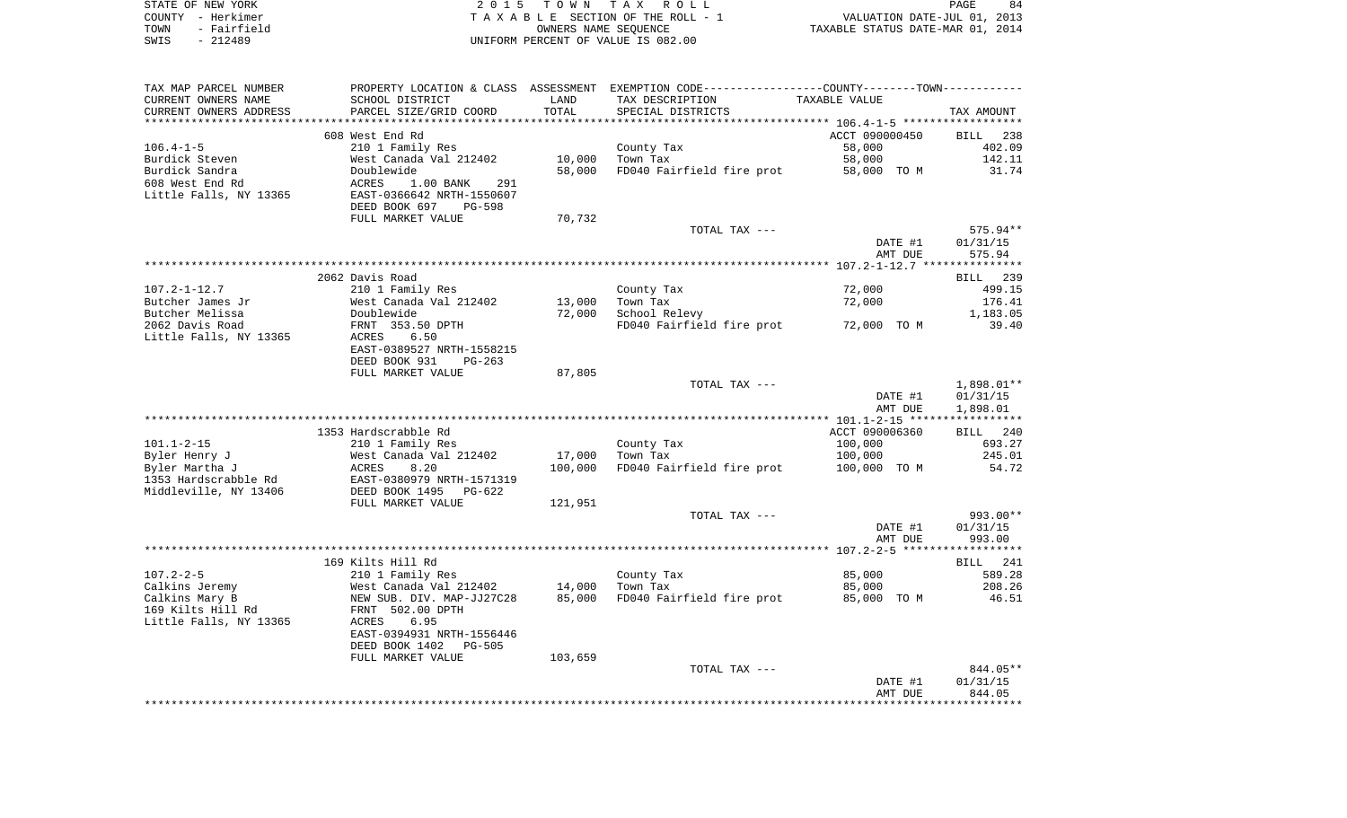| STATE OF NEW YORK   | 2015 TOWN TAX ROLL                 | 84<br>PAGE                       |
|---------------------|------------------------------------|----------------------------------|
| COUNTY - Herkimer   | TAXABLE SECTION OF THE ROLL - 1    | VALUATION DATE-JUL 01, 2013      |
| - Fairfield<br>TOWN | OWNERS NAME SEOUENCE               | TAXABLE STATUS DATE-MAR 01, 2014 |
| - 212489<br>SWIS    | UNIFORM PERCENT OF VALUE IS 082.00 |                                  |

| TAX MAP PARCEL NUMBER  |                                 |         | PROPERTY LOCATION & CLASS ASSESSMENT EXEMPTION CODE---------------COUNTY-------TOWN---------- |                |                    |
|------------------------|---------------------------------|---------|-----------------------------------------------------------------------------------------------|----------------|--------------------|
| CURRENT OWNERS NAME    | SCHOOL DISTRICT                 | LAND    | TAX DESCRIPTION                                                                               | TAXABLE VALUE  |                    |
| CURRENT OWNERS ADDRESS | PARCEL SIZE/GRID COORD          | TOTAL   | SPECIAL DISTRICTS                                                                             |                | TAX AMOUNT         |
|                        |                                 |         |                                                                                               |                |                    |
|                        | 608 West End Rd                 |         |                                                                                               | ACCT 090000450 | BILL 238           |
| $106.4 - 1 - 5$        | 210 1 Family Res                |         | County Tax                                                                                    | 58,000         | 402.09             |
| Burdick Steven         | West Canada Val 212402          | 10,000  | Town Tax                                                                                      | 58,000         | 142.11             |
|                        |                                 |         |                                                                                               |                |                    |
| Burdick Sandra         | Doublewide                      | 58,000  | FD040 Fairfield fire prot                                                                     | 58,000 TO M    | 31.74              |
| 608 West End Rd        | 1.00 BANK<br>ACRES<br>291       |         |                                                                                               |                |                    |
| Little Falls, NY 13365 | EAST-0366642 NRTH-1550607       |         |                                                                                               |                |                    |
|                        | DEED BOOK 697<br><b>PG-598</b>  |         |                                                                                               |                |                    |
|                        | FULL MARKET VALUE               | 70,732  |                                                                                               |                |                    |
|                        |                                 |         | TOTAL TAX ---                                                                                 |                | $575.94**$         |
|                        |                                 |         |                                                                                               | DATE #1        | 01/31/15           |
|                        |                                 |         |                                                                                               | AMT DUE        | 575.94             |
|                        |                                 |         |                                                                                               |                |                    |
|                        | 2062 Davis Road                 |         |                                                                                               |                | <b>BILL</b><br>239 |
| $107.2 - 1 - 12.7$     | 210 1 Family Res                |         | County Tax                                                                                    | 72,000         | 499.15             |
| Butcher James Jr       | West Canada Val 212402          | 13,000  | Town Tax                                                                                      | 72,000         | 176.41             |
| Butcher Melissa        | Doublewide                      | 72,000  | School Relevy                                                                                 |                | 1,183.05           |
| 2062 Davis Road        |                                 |         |                                                                                               |                | 39.40              |
|                        | FRNT 353.50 DPTH                |         | FD040 Fairfield fire prot                                                                     | 72,000 TO M    |                    |
| Little Falls, NY 13365 | 6.50<br>ACRES                   |         |                                                                                               |                |                    |
|                        | EAST-0389527 NRTH-1558215       |         |                                                                                               |                |                    |
|                        | DEED BOOK 931<br>$PG-263$       |         |                                                                                               |                |                    |
|                        | FULL MARKET VALUE               | 87,805  |                                                                                               |                |                    |
|                        |                                 |         | TOTAL TAX ---                                                                                 |                | 1,898.01**         |
|                        |                                 |         |                                                                                               | DATE #1        | 01/31/15           |
|                        |                                 |         |                                                                                               | AMT DUE        | 1,898.01           |
|                        |                                 |         |                                                                                               |                |                    |
|                        | 1353 Hardscrabble Rd            |         |                                                                                               | ACCT 090006360 | BILL 240           |
| $101.1 - 2 - 15$       | 210 1 Family Res                |         | County Tax                                                                                    | 100,000        | 693.27             |
| Byler Henry J          | West Canada Val 212402          | 17,000  | Town Tax                                                                                      | 100,000        | 245.01             |
| Byler Martha J         | 8.20<br>ACRES                   | 100,000 | FD040 Fairfield fire prot                                                                     | 100,000 TO M   | 54.72              |
| 1353 Hardscrabble Rd   | EAST-0380979 NRTH-1571319       |         |                                                                                               |                |                    |
| Middleville, NY 13406  | DEED BOOK 1495<br>$PG-622$      |         |                                                                                               |                |                    |
|                        | FULL MARKET VALUE               | 121,951 |                                                                                               |                |                    |
|                        |                                 |         |                                                                                               |                |                    |
|                        |                                 |         | TOTAL TAX ---                                                                                 |                | $993.00**$         |
|                        |                                 |         |                                                                                               | DATE #1        | 01/31/15           |
|                        |                                 |         |                                                                                               | AMT DUE        | 993.00             |
|                        |                                 |         |                                                                                               |                |                    |
|                        | 169 Kilts Hill Rd               |         |                                                                                               |                | BILL 241           |
| $107.2 - 2 - 5$        | 210 1 Family Res                |         | County Tax                                                                                    | 85,000         | 589.28             |
| Calkins Jeremy         | West Canada Val 212402          | 14,000  | Town Tax                                                                                      | 85,000         | 208.26             |
| Calkins Mary B         | NEW SUB. DIV. MAP-JJ27C28       | 85,000  | FD040 Fairfield fire prot                                                                     | 85,000 TO M    | 46.51              |
| 169 Kilts Hill Rd      | FRNT 502.00 DPTH                |         |                                                                                               |                |                    |
| Little Falls, NY 13365 | 6.95<br>ACRES                   |         |                                                                                               |                |                    |
|                        | EAST-0394931 NRTH-1556446       |         |                                                                                               |                |                    |
|                        | DEED BOOK 1402<br><b>PG-505</b> |         |                                                                                               |                |                    |
|                        | FULL MARKET VALUE               | 103,659 |                                                                                               |                |                    |
|                        |                                 |         | TOTAL TAX ---                                                                                 |                | 844.05**           |
|                        |                                 |         |                                                                                               | DATE #1        | 01/31/15           |
|                        |                                 |         |                                                                                               | AMT DUE        | 844.05             |
|                        |                                 |         |                                                                                               |                |                    |
|                        |                                 |         |                                                                                               |                |                    |
|                        |                                 |         |                                                                                               |                |                    |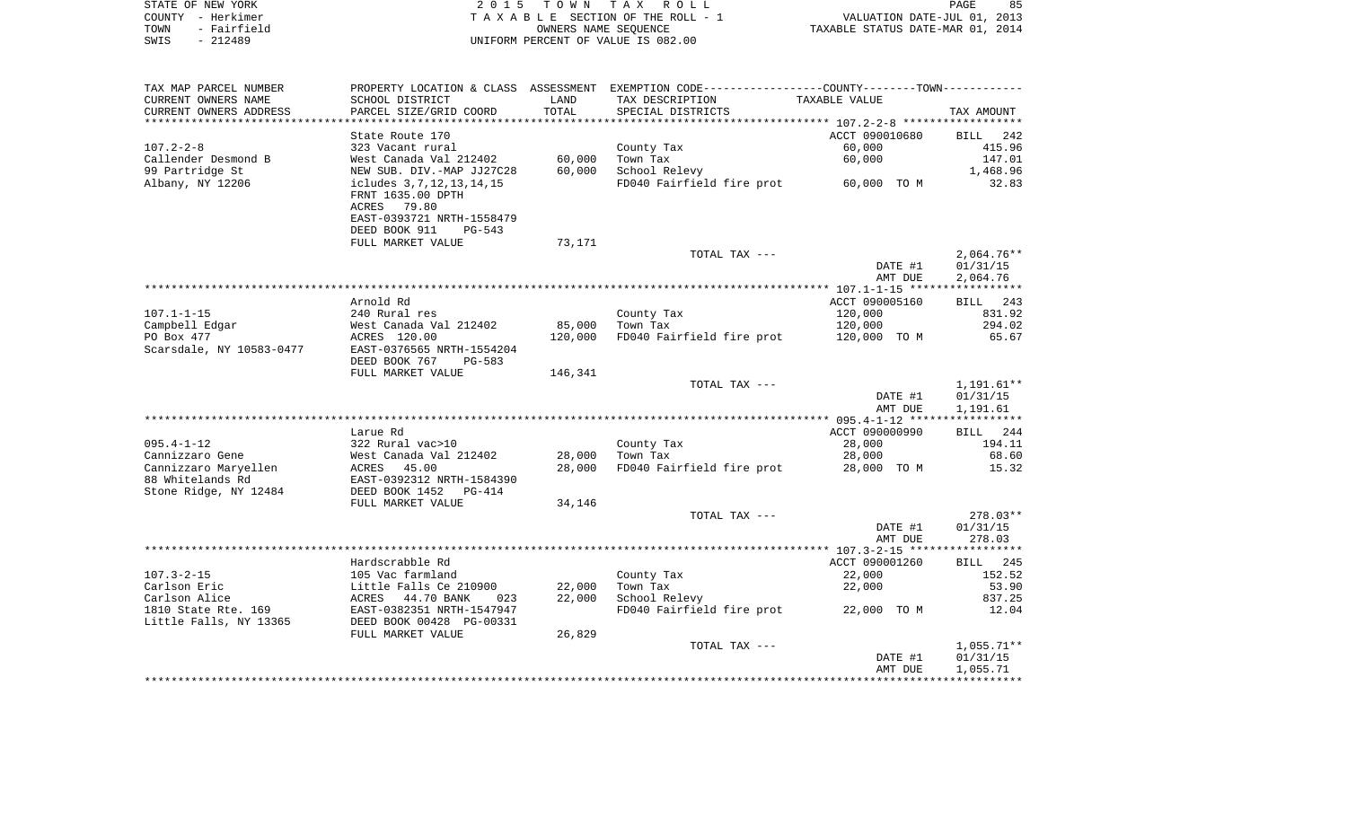| STATE OF NEW YORK   | 2015 TOWN TAX ROLL                 | 85<br>PAGE                       |
|---------------------|------------------------------------|----------------------------------|
| COUNTY - Herkimer   | TAXABLE SECTION OF THE ROLL - 1    | VALUATION DATE-JUL 01, 2013      |
| - Fairfield<br>TOWN | OWNERS NAME SEOUENCE               | TAXABLE STATUS DATE-MAR 01, 2014 |
| $-212489$<br>SWIS   | UNIFORM PERCENT OF VALUE IS 082.00 |                                  |

 $85$ <br> $2013$ <br> $2014$ 

| TAX MAP PARCEL NUMBER                    |                                                                                                         |         | PROPERTY LOCATION & CLASS ASSESSMENT EXEMPTION CODE----------------COUNTY-------TOWN---------- |                    |                      |
|------------------------------------------|---------------------------------------------------------------------------------------------------------|---------|------------------------------------------------------------------------------------------------|--------------------|----------------------|
| CURRENT OWNERS NAME                      | SCHOOL DISTRICT                                                                                         | LAND    | TAX DESCRIPTION                                                                                | TAXABLE VALUE      |                      |
| CURRENT OWNERS ADDRESS                   | PARCEL SIZE/GRID COORD                                                                                  | TOTAL   | SPECIAL DISTRICTS                                                                              |                    | TAX AMOUNT           |
|                                          |                                                                                                         |         |                                                                                                |                    |                      |
|                                          | State Route 170                                                                                         |         |                                                                                                | ACCT 090010680     | BILL<br>242          |
| $107.2 - 2 - 8$                          | 323 Vacant rural                                                                                        |         | County Tax                                                                                     | 60,000             | 415.96               |
| Callender Desmond B                      | West Canada Val 212402                                                                                  | 60,000  | Town Tax                                                                                       | 60,000             | 147.01               |
| 99 Partridge St                          | NEW SUB. DIV.-MAP JJ27C28                                                                               | 60,000  | School Relevy                                                                                  |                    | 1,468.96             |
| Albany, NY 12206                         | icludes 3,7,12,13,14,15<br>FRNT 1635.00 DPTH<br>ACRES<br>79.80                                          |         | FD040 Fairfield fire prot 60,000 TO M                                                          |                    | 32.83                |
|                                          | EAST-0393721 NRTH-1558479<br>DEED BOOK 911<br>$PG-543$                                                  |         |                                                                                                |                    |                      |
|                                          | FULL MARKET VALUE                                                                                       | 73,171  |                                                                                                |                    |                      |
|                                          |                                                                                                         |         | TOTAL TAX ---                                                                                  |                    | $2,064.76**$         |
|                                          |                                                                                                         |         |                                                                                                | DATE #1            | 01/31/15             |
|                                          |                                                                                                         |         |                                                                                                | AMT DUE            | 2,064.76             |
|                                          |                                                                                                         |         |                                                                                                |                    |                      |
|                                          | Arnold Rd                                                                                               |         |                                                                                                | ACCT 090005160     | BILL 243             |
| $107.1 - 1 - 15$                         | 240 Rural res                                                                                           |         | County Tax                                                                                     | 120,000            | 831.92               |
| Campbell Edgar                           | West Canada Val 212402                                                                                  | 85,000  | Town Tax                                                                                       | 120,000            | 294.02               |
| PO Box 477                               | ACRES 120.00                                                                                            | 120,000 | FD040 Fairfield fire prot                                                                      | 120,000 TO M       | 65.67                |
| Scarsdale, NY 10583-0477                 | EAST-0376565 NRTH-1554204                                                                               |         |                                                                                                |                    |                      |
|                                          | DEED BOOK 767<br>PG-583                                                                                 |         |                                                                                                |                    |                      |
|                                          | FULL MARKET VALUE                                                                                       | 146,341 | TOTAL TAX ---                                                                                  |                    | 1,191.61**           |
|                                          |                                                                                                         |         |                                                                                                | DATE #1<br>AMT DUE | 01/31/15<br>1,191.61 |
|                                          |                                                                                                         |         |                                                                                                |                    |                      |
|                                          | Larue Rd                                                                                                |         |                                                                                                | ACCT 090000990     | BILL 244             |
| $095.4 - 1 - 12$                         | 322 Rural vac>10                                                                                        |         | County Tax                                                                                     | 28,000             | 194.11               |
| Cannizzaro Gene                          | West Canada Val 212402                                                                                  | 28,000  | Town Tax                                                                                       | 28,000             | 68.60                |
| Cannizzaro Maryellen<br>88 Whitelands Rd | ACRES 45.00<br>EAST-0392312 NRTH-1584390                                                                | 28,000  | FD040 Fairfield fire prot                                                                      | 28,000 TO M        | 15.32                |
| Stone Ridge, NY 12484                    | DEED BOOK 1452<br>PG-414                                                                                | 34,146  |                                                                                                |                    |                      |
|                                          | FULL MARKET VALUE                                                                                       |         | TOTAL TAX ---                                                                                  |                    | $278.03**$           |
|                                          |                                                                                                         |         |                                                                                                | DATE #1            | 01/31/15             |
|                                          |                                                                                                         |         |                                                                                                | AMT DUE            | 278.03               |
|                                          |                                                                                                         |         |                                                                                                |                    |                      |
|                                          | Hardscrabble Rd                                                                                         |         |                                                                                                | ACCT 090001260     | BILL 245             |
| $107.3 - 2 - 15$                         | 105 Vac farmland                                                                                        |         | County Tax                                                                                     | 22,000             | 152.52               |
| Carlson Eric                             |                                                                                                         | 22,000  | Town Tax                                                                                       | 22,000             | 53.90                |
| Carlson Alice                            |                                                                                                         | 22,000  | School Relevy                                                                                  |                    | 837.25               |
| 1810 State Rte. 169                      | Little Falls Ce 210900<br>ACRES 44.70 BANK 023<br>EAST-0382351 NRTH-1547947<br>DEED BOOK 00428 PG-00331 |         | FD040 Fairfield fire prot                                                                      | 22,000 TO M        | 12.04                |
| Little Falls, NY 13365                   |                                                                                                         |         |                                                                                                |                    |                      |
|                                          | FULL MARKET VALUE                                                                                       | 26,829  |                                                                                                |                    |                      |
|                                          |                                                                                                         |         | TOTAL TAX ---                                                                                  |                    | 1,055.71**           |
|                                          |                                                                                                         |         |                                                                                                | DATE #1            | 01/31/15             |
|                                          |                                                                                                         |         |                                                                                                | AMT DUE            | 1,055.71             |
|                                          |                                                                                                         |         |                                                                                                |                    |                      |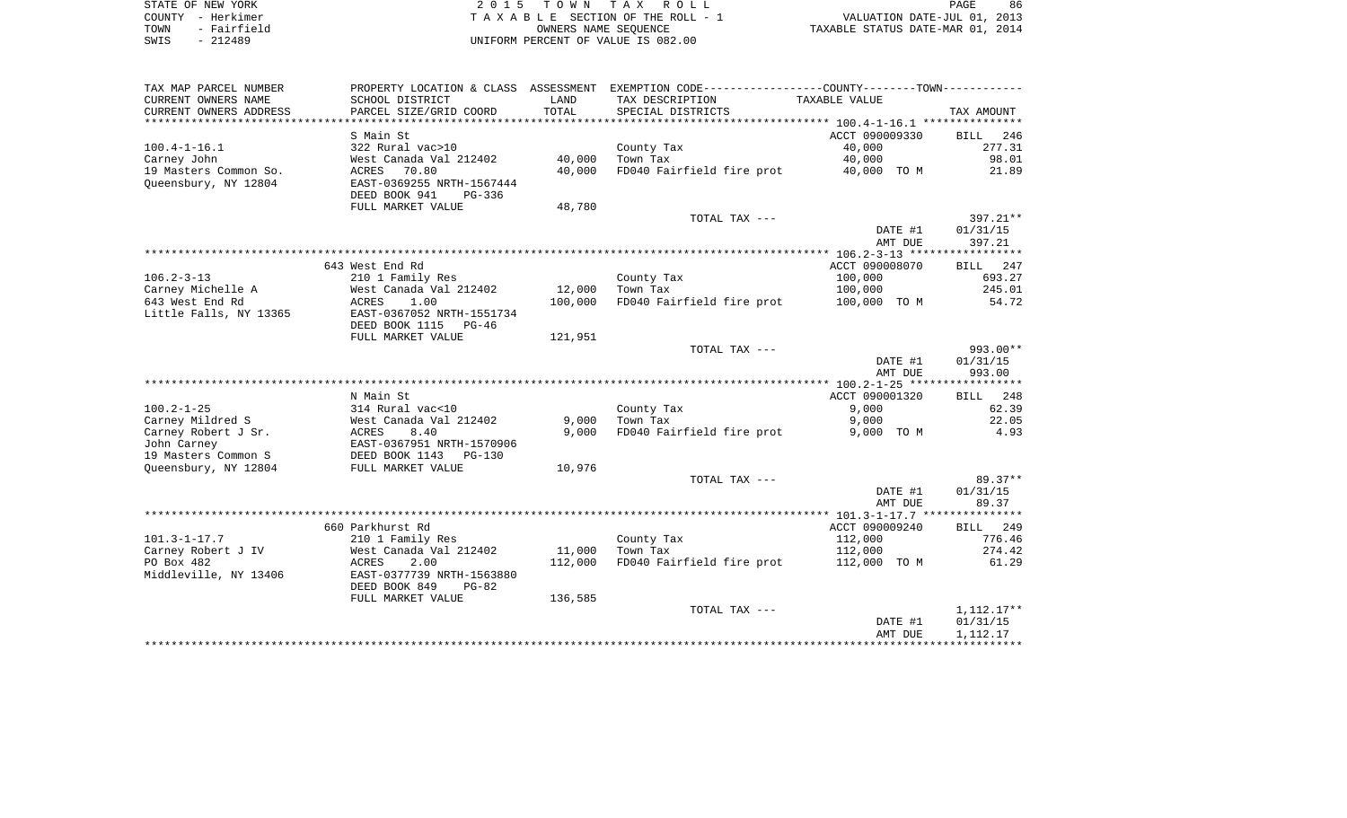| STATE OF NEW YORK |             |
|-------------------|-------------|
| COUNTY            | - Herkimer  |
| TOWN              | - Fairfield |
| SWIS              | $-212489$   |

2015 TOWN TAX ROLL TA X A B L E SECTION OF THE ROLL - 1 TOWN - Fairfield OWNERS NAME SEQUENCE TAXABLE STATUS DATE-MAR 01, 2014 SWIS - 212489 UNIFORM PERCENT OF VALUE IS 082.00

| TAX MAP PARCEL NUMBER                         | PROPERTY LOCATION & CLASS ASSESSMENT                                     |         | EXEMPTION CODE-----------------COUNTY-------TOWN----------- |                |                    |
|-----------------------------------------------|--------------------------------------------------------------------------|---------|-------------------------------------------------------------|----------------|--------------------|
| CURRENT OWNERS NAME                           | SCHOOL DISTRICT                                                          | LAND    | TAX DESCRIPTION                                             | TAXABLE VALUE  |                    |
| CURRENT OWNERS ADDRESS                        | PARCEL SIZE/GRID COORD                                                   | TOTAL   | SPECIAL DISTRICTS                                           |                | TAX AMOUNT         |
|                                               |                                                                          |         |                                                             |                |                    |
|                                               | S Main St                                                                |         |                                                             | ACCT 090009330 | 246<br><b>BILL</b> |
| $100.4 - 1 - 16.1$                            | 322 Rural vac>10                                                         |         | County Tax                                                  | 40,000         | 277.31             |
|                                               |                                                                          |         | Town Tax                                                    | 40,000         | 98.01              |
| Carney John                                   | West Canada Val 212402                                                   | 40,000  |                                                             |                |                    |
| 19 Masters Common So.<br>Oueensbury, NY 12804 | 70.80<br>ACRES<br>EAST-0369255 NRTH-1567444<br>DEED BOOK 941<br>$PG-336$ | 40,000  | FD040 Fairfield fire prot                                   | 40,000 TO M    | 21.89              |
|                                               | FULL MARKET VALUE                                                        | 48,780  |                                                             |                |                    |
|                                               |                                                                          |         | TOTAL TAX ---                                               |                | 397.21**           |
|                                               |                                                                          |         |                                                             | DATE #1        | 01/31/15           |
|                                               |                                                                          |         |                                                             |                |                    |
|                                               |                                                                          |         |                                                             | AMT DUE        | 397.21             |
|                                               |                                                                          |         |                                                             |                |                    |
|                                               | 643 West End Rd                                                          |         |                                                             | ACCT 090008070 | BILL 247           |
| $106.2 - 3 - 13$                              | 210 1 Family Res                                                         |         | County Tax                                                  | 100,000        | 693.27             |
| Carney Michelle A                             | West Canada Val 212402                                                   | 12,000  | Town Tax                                                    | 100,000        | 245.01             |
| 643 West End Rd                               | <b>ACRES</b><br>1.00                                                     | 100,000 | FD040 Fairfield fire prot                                   | 100,000 TO M   | 54.72              |
| Little Falls, NY 13365                        | EAST-0367052 NRTH-1551734                                                |         |                                                             |                |                    |
|                                               | DEED BOOK 1115 PG-46                                                     |         |                                                             |                |                    |
|                                               | FULL MARKET VALUE                                                        | 121,951 |                                                             |                |                    |
|                                               |                                                                          |         | TOTAL TAX ---                                               |                | $993.00**$         |
|                                               |                                                                          |         |                                                             | DATE #1        | 01/31/15           |
|                                               |                                                                          |         |                                                             | AMT DUE        | 993.00             |
|                                               |                                                                          |         |                                                             |                |                    |
|                                               | N Main St                                                                |         |                                                             | ACCT 090001320 | BILL 248           |
| $100.2 - 1 - 25$                              | 314 Rural vac<10                                                         |         | County Tax                                                  | 9,000          | 62.39              |
| Carney Mildred S                              | West Canada Val 212402                                                   | 9,000   | Town Tax                                                    | 9,000          | 22.05              |
| Carney Robert J Sr.                           | 8.40<br>ACRES                                                            | 9,000   | FD040 Fairfield fire prot                                   | 9,000 TO M     | 4.93               |
| John Carney                                   | EAST-0367951 NRTH-1570906                                                |         |                                                             |                |                    |
| 19 Masters Common S                           | DEED BOOK 1143<br>PG-130                                                 |         |                                                             |                |                    |
| Oueensbury, NY 12804                          | FULL MARKET VALUE                                                        | 10,976  |                                                             |                |                    |
|                                               |                                                                          |         | TOTAL TAX ---                                               |                | 89.37**            |
|                                               |                                                                          |         |                                                             | DATE #1        | 01/31/15           |
|                                               |                                                                          |         |                                                             | AMT DUE        | 89.37              |
|                                               |                                                                          |         |                                                             |                |                    |
|                                               |                                                                          |         |                                                             |                |                    |
|                                               | 660 Parkhurst Rd                                                         |         |                                                             | ACCT 090009240 | BILL 249           |
| $101.3 - 1 - 17.7$                            | 210 1 Family Res                                                         |         | County Tax                                                  | 112,000        | 776.46             |
| Carney Robert J IV                            | West Canada Val 212402                                                   | 11,000  | Town Tax                                                    | 112,000        | 274.42             |
| PO Box 482                                    | 2.00<br>ACRES                                                            | 112,000 | FD040 Fairfield fire prot                                   | 112,000 TO M   | 61.29              |
| Middleville, NY 13406                         | EAST-0377739 NRTH-1563880                                                |         |                                                             |                |                    |
|                                               | DEED BOOK 849<br>$PG-82$                                                 |         |                                                             |                |                    |
|                                               | FULL MARKET VALUE                                                        | 136,585 |                                                             |                |                    |
|                                               |                                                                          |         | TOTAL TAX ---                                               |                | 1,112.17**         |
|                                               |                                                                          |         |                                                             | DATE #1        | 01/31/15           |
|                                               |                                                                          |         |                                                             | AMT DUE        | 1,112.17           |
|                                               |                                                                          |         |                                                             |                |                    |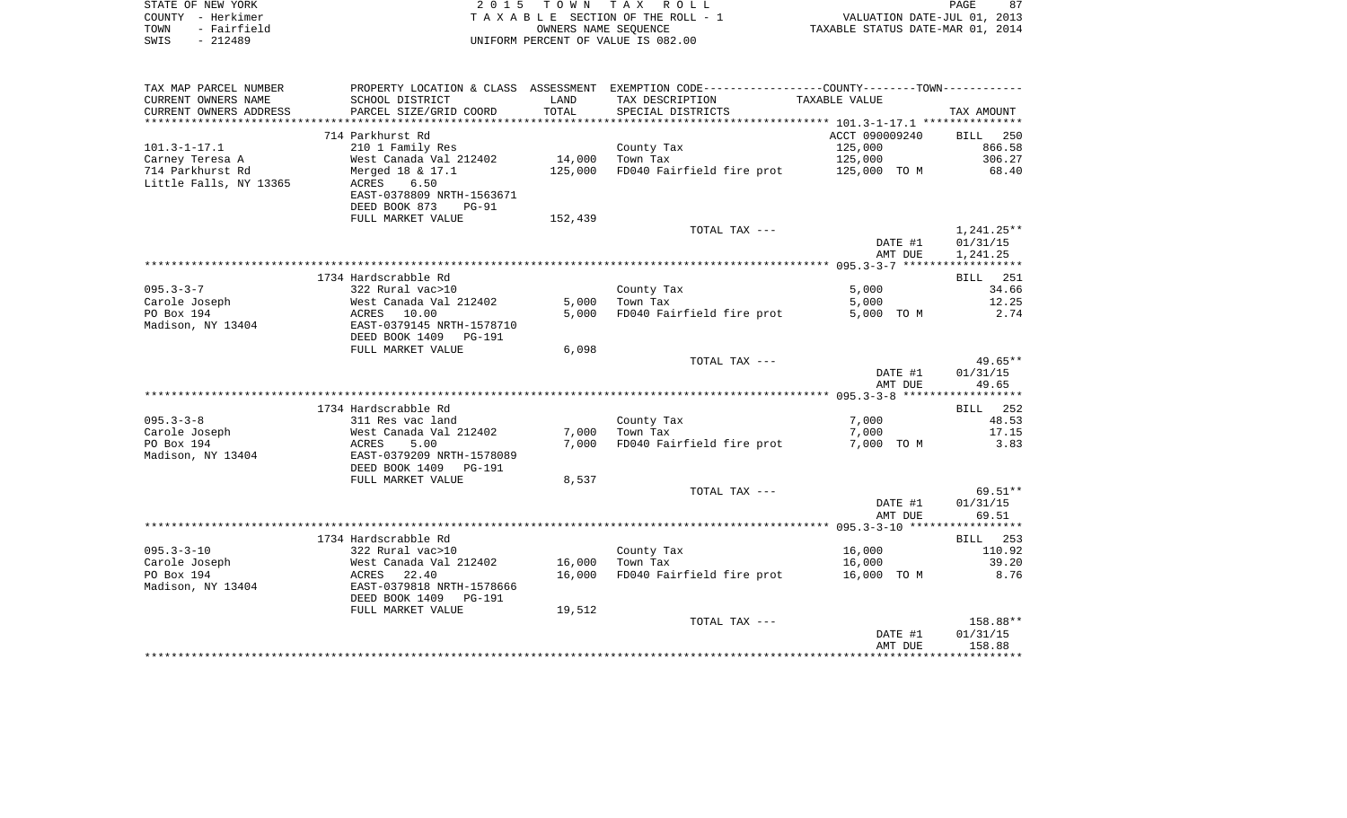|      | STATE OF NEW YORK | 2015 TOWN TAX ROLL                 |                                  | PAGE | 87 |
|------|-------------------|------------------------------------|----------------------------------|------|----|
|      | COUNTY - Herkimer | TAXABLE SECTION OF THE ROLL - 1    | VALUATION DATE-JUL 01, 2013      |      |    |
| TOWN | - Fairfield       | OWNERS NAME SEOUENCE               | TAXABLE STATUS DATE-MAR 01, 2014 |      |    |
| SWIS | - 212489          | UNIFORM PERCENT OF VALUE IS 082.00 |                                  |      |    |
|      |                   |                                    |                                  |      |    |

| CURRENT OWNERS NAME<br>SCHOOL DISTRICT<br>LAND<br>TAX DESCRIPTION<br>TAXABLE VALUE<br>TOTAL<br>CURRENT OWNERS ADDRESS<br>PARCEL SIZE/GRID COORD<br>SPECIAL DISTRICTS<br>TAX AMOUNT<br>714 Parkhurst Rd<br>ACCT 090009240<br>BILL 250<br>$101.3 - 1 - 17.1$<br>210 1 Family Res<br>125,000<br>866.58<br>County Tax<br>14,000<br>125,000<br>306.27<br>Carney Teresa A<br>West Canada Val 212402<br>Town Tax<br>FD040 Fairfield fire prot<br>714 Parkhurst Rd<br>Merged 18 & 17.1<br>125,000<br>125,000 TO M<br>68.40<br>Little Falls, NY 13365<br>ACRES<br>6.50<br>EAST-0378809 NRTH-1563671<br>DEED BOOK 873<br><b>PG-91</b><br>FULL MARKET VALUE<br>152,439<br>TOTAL TAX ---<br>1,241.25**<br>DATE #1<br>01/31/15<br>AMT DUE<br>1,241.25<br>1734 Hardscrabble Rd<br>251<br><b>BILL</b><br>$095.3 - 3 - 7$<br>322 Rural vac>10<br>5,000<br>34.66<br>County Tax<br>Carole Joseph<br>West Canada Val 212402<br>5,000<br>Town Tax<br>5,000<br>12.25<br>PO Box 194<br>2.74<br>ACRES 10.00<br>5,000<br>FD040 Fairfield fire prot<br>5,000 TO M<br>Madison, NY 13404<br>EAST-0379145 NRTH-1578710<br>DEED BOOK 1409<br>PG-191<br>6,098<br>FULL MARKET VALUE<br>TOTAL TAX ---<br>DATE #1<br>01/31/15<br>49.65<br>AMT DUE<br>1734 Hardscrabble Rd<br>BILL 252<br>$095.3 - 3 - 8$<br>7,000<br>311 Res vac land<br>County Tax<br>48.53<br>Carole Joseph<br>West Canada Val 212402<br>7,000<br>Town Tax<br>7,000<br>17.15<br>PO Box 194<br>FD040 Fairfield fire prot<br>7,000 TO M<br>3.83<br>ACRES<br>5.00<br>7,000<br>EAST-0379209 NRTH-1578089<br>Madison, NY 13404<br>DEED BOOK 1409<br>PG-191<br>FULL MARKET VALUE<br>8,537<br>TOTAL TAX ---<br>DATE #1<br>01/31/15<br>AMT DUE<br>69.51<br>1734 Hardscrabble Rd<br>BILL 253<br>$095.3 - 3 - 10$<br>322 Rural vac>10<br>16,000<br>110.92<br>County Tax<br>Carole Joseph<br>West Canada Val 212402<br>16,000<br>16,000<br>39.20<br>Town Tax<br>PO Box 194<br>FD040 Fairfield fire prot<br>8.76<br>ACRES 22.40<br>16,000<br>16,000 TO M<br>EAST-0379818 NRTH-1578666<br>Madison, NY 13404<br>DEED BOOK 1409 PG-191<br>FULL MARKET VALUE<br>19,512<br>TOTAL TAX ---<br>DATE #1<br>01/31/15<br>158.88<br>AMT DUE | TAX MAP PARCEL NUMBER |  | PROPERTY LOCATION & CLASS ASSESSMENT EXEMPTION CODE--------------COUNTY-------TOWN--------- |  |
|------------------------------------------------------------------------------------------------------------------------------------------------------------------------------------------------------------------------------------------------------------------------------------------------------------------------------------------------------------------------------------------------------------------------------------------------------------------------------------------------------------------------------------------------------------------------------------------------------------------------------------------------------------------------------------------------------------------------------------------------------------------------------------------------------------------------------------------------------------------------------------------------------------------------------------------------------------------------------------------------------------------------------------------------------------------------------------------------------------------------------------------------------------------------------------------------------------------------------------------------------------------------------------------------------------------------------------------------------------------------------------------------------------------------------------------------------------------------------------------------------------------------------------------------------------------------------------------------------------------------------------------------------------------------------------------------------------------------------------------------------------------------------------------------------------------------------------------------------------------------------------------------------------------------------------------------------------------------------------------------------------------------------------------------------------------------------------------------------------------------------------------------------|-----------------------|--|---------------------------------------------------------------------------------------------|--|
|                                                                                                                                                                                                                                                                                                                                                                                                                                                                                                                                                                                                                                                                                                                                                                                                                                                                                                                                                                                                                                                                                                                                                                                                                                                                                                                                                                                                                                                                                                                                                                                                                                                                                                                                                                                                                                                                                                                                                                                                                                                                                                                                                      |                       |  |                                                                                             |  |
|                                                                                                                                                                                                                                                                                                                                                                                                                                                                                                                                                                                                                                                                                                                                                                                                                                                                                                                                                                                                                                                                                                                                                                                                                                                                                                                                                                                                                                                                                                                                                                                                                                                                                                                                                                                                                                                                                                                                                                                                                                                                                                                                                      |                       |  |                                                                                             |  |
| $49.65**$<br>158.88**                                                                                                                                                                                                                                                                                                                                                                                                                                                                                                                                                                                                                                                                                                                                                                                                                                                                                                                                                                                                                                                                                                                                                                                                                                                                                                                                                                                                                                                                                                                                                                                                                                                                                                                                                                                                                                                                                                                                                                                                                                                                                                                                |                       |  |                                                                                             |  |
|                                                                                                                                                                                                                                                                                                                                                                                                                                                                                                                                                                                                                                                                                                                                                                                                                                                                                                                                                                                                                                                                                                                                                                                                                                                                                                                                                                                                                                                                                                                                                                                                                                                                                                                                                                                                                                                                                                                                                                                                                                                                                                                                                      |                       |  |                                                                                             |  |
|                                                                                                                                                                                                                                                                                                                                                                                                                                                                                                                                                                                                                                                                                                                                                                                                                                                                                                                                                                                                                                                                                                                                                                                                                                                                                                                                                                                                                                                                                                                                                                                                                                                                                                                                                                                                                                                                                                                                                                                                                                                                                                                                                      |                       |  |                                                                                             |  |
|                                                                                                                                                                                                                                                                                                                                                                                                                                                                                                                                                                                                                                                                                                                                                                                                                                                                                                                                                                                                                                                                                                                                                                                                                                                                                                                                                                                                                                                                                                                                                                                                                                                                                                                                                                                                                                                                                                                                                                                                                                                                                                                                                      |                       |  |                                                                                             |  |
|                                                                                                                                                                                                                                                                                                                                                                                                                                                                                                                                                                                                                                                                                                                                                                                                                                                                                                                                                                                                                                                                                                                                                                                                                                                                                                                                                                                                                                                                                                                                                                                                                                                                                                                                                                                                                                                                                                                                                                                                                                                                                                                                                      |                       |  |                                                                                             |  |
|                                                                                                                                                                                                                                                                                                                                                                                                                                                                                                                                                                                                                                                                                                                                                                                                                                                                                                                                                                                                                                                                                                                                                                                                                                                                                                                                                                                                                                                                                                                                                                                                                                                                                                                                                                                                                                                                                                                                                                                                                                                                                                                                                      |                       |  |                                                                                             |  |
| 69.51**                                                                                                                                                                                                                                                                                                                                                                                                                                                                                                                                                                                                                                                                                                                                                                                                                                                                                                                                                                                                                                                                                                                                                                                                                                                                                                                                                                                                                                                                                                                                                                                                                                                                                                                                                                                                                                                                                                                                                                                                                                                                                                                                              |                       |  |                                                                                             |  |
|                                                                                                                                                                                                                                                                                                                                                                                                                                                                                                                                                                                                                                                                                                                                                                                                                                                                                                                                                                                                                                                                                                                                                                                                                                                                                                                                                                                                                                                                                                                                                                                                                                                                                                                                                                                                                                                                                                                                                                                                                                                                                                                                                      |                       |  |                                                                                             |  |
|                                                                                                                                                                                                                                                                                                                                                                                                                                                                                                                                                                                                                                                                                                                                                                                                                                                                                                                                                                                                                                                                                                                                                                                                                                                                                                                                                                                                                                                                                                                                                                                                                                                                                                                                                                                                                                                                                                                                                                                                                                                                                                                                                      |                       |  |                                                                                             |  |
|                                                                                                                                                                                                                                                                                                                                                                                                                                                                                                                                                                                                                                                                                                                                                                                                                                                                                                                                                                                                                                                                                                                                                                                                                                                                                                                                                                                                                                                                                                                                                                                                                                                                                                                                                                                                                                                                                                                                                                                                                                                                                                                                                      |                       |  |                                                                                             |  |
|                                                                                                                                                                                                                                                                                                                                                                                                                                                                                                                                                                                                                                                                                                                                                                                                                                                                                                                                                                                                                                                                                                                                                                                                                                                                                                                                                                                                                                                                                                                                                                                                                                                                                                                                                                                                                                                                                                                                                                                                                                                                                                                                                      |                       |  |                                                                                             |  |
|                                                                                                                                                                                                                                                                                                                                                                                                                                                                                                                                                                                                                                                                                                                                                                                                                                                                                                                                                                                                                                                                                                                                                                                                                                                                                                                                                                                                                                                                                                                                                                                                                                                                                                                                                                                                                                                                                                                                                                                                                                                                                                                                                      |                       |  |                                                                                             |  |
|                                                                                                                                                                                                                                                                                                                                                                                                                                                                                                                                                                                                                                                                                                                                                                                                                                                                                                                                                                                                                                                                                                                                                                                                                                                                                                                                                                                                                                                                                                                                                                                                                                                                                                                                                                                                                                                                                                                                                                                                                                                                                                                                                      |                       |  |                                                                                             |  |
|                                                                                                                                                                                                                                                                                                                                                                                                                                                                                                                                                                                                                                                                                                                                                                                                                                                                                                                                                                                                                                                                                                                                                                                                                                                                                                                                                                                                                                                                                                                                                                                                                                                                                                                                                                                                                                                                                                                                                                                                                                                                                                                                                      |                       |  |                                                                                             |  |
|                                                                                                                                                                                                                                                                                                                                                                                                                                                                                                                                                                                                                                                                                                                                                                                                                                                                                                                                                                                                                                                                                                                                                                                                                                                                                                                                                                                                                                                                                                                                                                                                                                                                                                                                                                                                                                                                                                                                                                                                                                                                                                                                                      |                       |  |                                                                                             |  |
|                                                                                                                                                                                                                                                                                                                                                                                                                                                                                                                                                                                                                                                                                                                                                                                                                                                                                                                                                                                                                                                                                                                                                                                                                                                                                                                                                                                                                                                                                                                                                                                                                                                                                                                                                                                                                                                                                                                                                                                                                                                                                                                                                      |                       |  |                                                                                             |  |
|                                                                                                                                                                                                                                                                                                                                                                                                                                                                                                                                                                                                                                                                                                                                                                                                                                                                                                                                                                                                                                                                                                                                                                                                                                                                                                                                                                                                                                                                                                                                                                                                                                                                                                                                                                                                                                                                                                                                                                                                                                                                                                                                                      |                       |  |                                                                                             |  |
|                                                                                                                                                                                                                                                                                                                                                                                                                                                                                                                                                                                                                                                                                                                                                                                                                                                                                                                                                                                                                                                                                                                                                                                                                                                                                                                                                                                                                                                                                                                                                                                                                                                                                                                                                                                                                                                                                                                                                                                                                                                                                                                                                      |                       |  |                                                                                             |  |
|                                                                                                                                                                                                                                                                                                                                                                                                                                                                                                                                                                                                                                                                                                                                                                                                                                                                                                                                                                                                                                                                                                                                                                                                                                                                                                                                                                                                                                                                                                                                                                                                                                                                                                                                                                                                                                                                                                                                                                                                                                                                                                                                                      |                       |  |                                                                                             |  |
|                                                                                                                                                                                                                                                                                                                                                                                                                                                                                                                                                                                                                                                                                                                                                                                                                                                                                                                                                                                                                                                                                                                                                                                                                                                                                                                                                                                                                                                                                                                                                                                                                                                                                                                                                                                                                                                                                                                                                                                                                                                                                                                                                      |                       |  |                                                                                             |  |
|                                                                                                                                                                                                                                                                                                                                                                                                                                                                                                                                                                                                                                                                                                                                                                                                                                                                                                                                                                                                                                                                                                                                                                                                                                                                                                                                                                                                                                                                                                                                                                                                                                                                                                                                                                                                                                                                                                                                                                                                                                                                                                                                                      |                       |  |                                                                                             |  |
|                                                                                                                                                                                                                                                                                                                                                                                                                                                                                                                                                                                                                                                                                                                                                                                                                                                                                                                                                                                                                                                                                                                                                                                                                                                                                                                                                                                                                                                                                                                                                                                                                                                                                                                                                                                                                                                                                                                                                                                                                                                                                                                                                      |                       |  |                                                                                             |  |
|                                                                                                                                                                                                                                                                                                                                                                                                                                                                                                                                                                                                                                                                                                                                                                                                                                                                                                                                                                                                                                                                                                                                                                                                                                                                                                                                                                                                                                                                                                                                                                                                                                                                                                                                                                                                                                                                                                                                                                                                                                                                                                                                                      |                       |  |                                                                                             |  |
|                                                                                                                                                                                                                                                                                                                                                                                                                                                                                                                                                                                                                                                                                                                                                                                                                                                                                                                                                                                                                                                                                                                                                                                                                                                                                                                                                                                                                                                                                                                                                                                                                                                                                                                                                                                                                                                                                                                                                                                                                                                                                                                                                      |                       |  |                                                                                             |  |
|                                                                                                                                                                                                                                                                                                                                                                                                                                                                                                                                                                                                                                                                                                                                                                                                                                                                                                                                                                                                                                                                                                                                                                                                                                                                                                                                                                                                                                                                                                                                                                                                                                                                                                                                                                                                                                                                                                                                                                                                                                                                                                                                                      |                       |  |                                                                                             |  |
|                                                                                                                                                                                                                                                                                                                                                                                                                                                                                                                                                                                                                                                                                                                                                                                                                                                                                                                                                                                                                                                                                                                                                                                                                                                                                                                                                                                                                                                                                                                                                                                                                                                                                                                                                                                                                                                                                                                                                                                                                                                                                                                                                      |                       |  |                                                                                             |  |
|                                                                                                                                                                                                                                                                                                                                                                                                                                                                                                                                                                                                                                                                                                                                                                                                                                                                                                                                                                                                                                                                                                                                                                                                                                                                                                                                                                                                                                                                                                                                                                                                                                                                                                                                                                                                                                                                                                                                                                                                                                                                                                                                                      |                       |  |                                                                                             |  |
|                                                                                                                                                                                                                                                                                                                                                                                                                                                                                                                                                                                                                                                                                                                                                                                                                                                                                                                                                                                                                                                                                                                                                                                                                                                                                                                                                                                                                                                                                                                                                                                                                                                                                                                                                                                                                                                                                                                                                                                                                                                                                                                                                      |                       |  |                                                                                             |  |
|                                                                                                                                                                                                                                                                                                                                                                                                                                                                                                                                                                                                                                                                                                                                                                                                                                                                                                                                                                                                                                                                                                                                                                                                                                                                                                                                                                                                                                                                                                                                                                                                                                                                                                                                                                                                                                                                                                                                                                                                                                                                                                                                                      |                       |  |                                                                                             |  |
|                                                                                                                                                                                                                                                                                                                                                                                                                                                                                                                                                                                                                                                                                                                                                                                                                                                                                                                                                                                                                                                                                                                                                                                                                                                                                                                                                                                                                                                                                                                                                                                                                                                                                                                                                                                                                                                                                                                                                                                                                                                                                                                                                      |                       |  |                                                                                             |  |
|                                                                                                                                                                                                                                                                                                                                                                                                                                                                                                                                                                                                                                                                                                                                                                                                                                                                                                                                                                                                                                                                                                                                                                                                                                                                                                                                                                                                                                                                                                                                                                                                                                                                                                                                                                                                                                                                                                                                                                                                                                                                                                                                                      |                       |  |                                                                                             |  |
|                                                                                                                                                                                                                                                                                                                                                                                                                                                                                                                                                                                                                                                                                                                                                                                                                                                                                                                                                                                                                                                                                                                                                                                                                                                                                                                                                                                                                                                                                                                                                                                                                                                                                                                                                                                                                                                                                                                                                                                                                                                                                                                                                      |                       |  |                                                                                             |  |
|                                                                                                                                                                                                                                                                                                                                                                                                                                                                                                                                                                                                                                                                                                                                                                                                                                                                                                                                                                                                                                                                                                                                                                                                                                                                                                                                                                                                                                                                                                                                                                                                                                                                                                                                                                                                                                                                                                                                                                                                                                                                                                                                                      |                       |  |                                                                                             |  |
|                                                                                                                                                                                                                                                                                                                                                                                                                                                                                                                                                                                                                                                                                                                                                                                                                                                                                                                                                                                                                                                                                                                                                                                                                                                                                                                                                                                                                                                                                                                                                                                                                                                                                                                                                                                                                                                                                                                                                                                                                                                                                                                                                      |                       |  |                                                                                             |  |
|                                                                                                                                                                                                                                                                                                                                                                                                                                                                                                                                                                                                                                                                                                                                                                                                                                                                                                                                                                                                                                                                                                                                                                                                                                                                                                                                                                                                                                                                                                                                                                                                                                                                                                                                                                                                                                                                                                                                                                                                                                                                                                                                                      |                       |  |                                                                                             |  |
|                                                                                                                                                                                                                                                                                                                                                                                                                                                                                                                                                                                                                                                                                                                                                                                                                                                                                                                                                                                                                                                                                                                                                                                                                                                                                                                                                                                                                                                                                                                                                                                                                                                                                                                                                                                                                                                                                                                                                                                                                                                                                                                                                      |                       |  |                                                                                             |  |
|                                                                                                                                                                                                                                                                                                                                                                                                                                                                                                                                                                                                                                                                                                                                                                                                                                                                                                                                                                                                                                                                                                                                                                                                                                                                                                                                                                                                                                                                                                                                                                                                                                                                                                                                                                                                                                                                                                                                                                                                                                                                                                                                                      |                       |  |                                                                                             |  |
|                                                                                                                                                                                                                                                                                                                                                                                                                                                                                                                                                                                                                                                                                                                                                                                                                                                                                                                                                                                                                                                                                                                                                                                                                                                                                                                                                                                                                                                                                                                                                                                                                                                                                                                                                                                                                                                                                                                                                                                                                                                                                                                                                      |                       |  |                                                                                             |  |
|                                                                                                                                                                                                                                                                                                                                                                                                                                                                                                                                                                                                                                                                                                                                                                                                                                                                                                                                                                                                                                                                                                                                                                                                                                                                                                                                                                                                                                                                                                                                                                                                                                                                                                                                                                                                                                                                                                                                                                                                                                                                                                                                                      |                       |  |                                                                                             |  |
|                                                                                                                                                                                                                                                                                                                                                                                                                                                                                                                                                                                                                                                                                                                                                                                                                                                                                                                                                                                                                                                                                                                                                                                                                                                                                                                                                                                                                                                                                                                                                                                                                                                                                                                                                                                                                                                                                                                                                                                                                                                                                                                                                      |                       |  |                                                                                             |  |
|                                                                                                                                                                                                                                                                                                                                                                                                                                                                                                                                                                                                                                                                                                                                                                                                                                                                                                                                                                                                                                                                                                                                                                                                                                                                                                                                                                                                                                                                                                                                                                                                                                                                                                                                                                                                                                                                                                                                                                                                                                                                                                                                                      |                       |  |                                                                                             |  |
|                                                                                                                                                                                                                                                                                                                                                                                                                                                                                                                                                                                                                                                                                                                                                                                                                                                                                                                                                                                                                                                                                                                                                                                                                                                                                                                                                                                                                                                                                                                                                                                                                                                                                                                                                                                                                                                                                                                                                                                                                                                                                                                                                      |                       |  |                                                                                             |  |
|                                                                                                                                                                                                                                                                                                                                                                                                                                                                                                                                                                                                                                                                                                                                                                                                                                                                                                                                                                                                                                                                                                                                                                                                                                                                                                                                                                                                                                                                                                                                                                                                                                                                                                                                                                                                                                                                                                                                                                                                                                                                                                                                                      |                       |  |                                                                                             |  |
|                                                                                                                                                                                                                                                                                                                                                                                                                                                                                                                                                                                                                                                                                                                                                                                                                                                                                                                                                                                                                                                                                                                                                                                                                                                                                                                                                                                                                                                                                                                                                                                                                                                                                                                                                                                                                                                                                                                                                                                                                                                                                                                                                      |                       |  |                                                                                             |  |
|                                                                                                                                                                                                                                                                                                                                                                                                                                                                                                                                                                                                                                                                                                                                                                                                                                                                                                                                                                                                                                                                                                                                                                                                                                                                                                                                                                                                                                                                                                                                                                                                                                                                                                                                                                                                                                                                                                                                                                                                                                                                                                                                                      |                       |  |                                                                                             |  |
|                                                                                                                                                                                                                                                                                                                                                                                                                                                                                                                                                                                                                                                                                                                                                                                                                                                                                                                                                                                                                                                                                                                                                                                                                                                                                                                                                                                                                                                                                                                                                                                                                                                                                                                                                                                                                                                                                                                                                                                                                                                                                                                                                      |                       |  |                                                                                             |  |
|                                                                                                                                                                                                                                                                                                                                                                                                                                                                                                                                                                                                                                                                                                                                                                                                                                                                                                                                                                                                                                                                                                                                                                                                                                                                                                                                                                                                                                                                                                                                                                                                                                                                                                                                                                                                                                                                                                                                                                                                                                                                                                                                                      |                       |  |                                                                                             |  |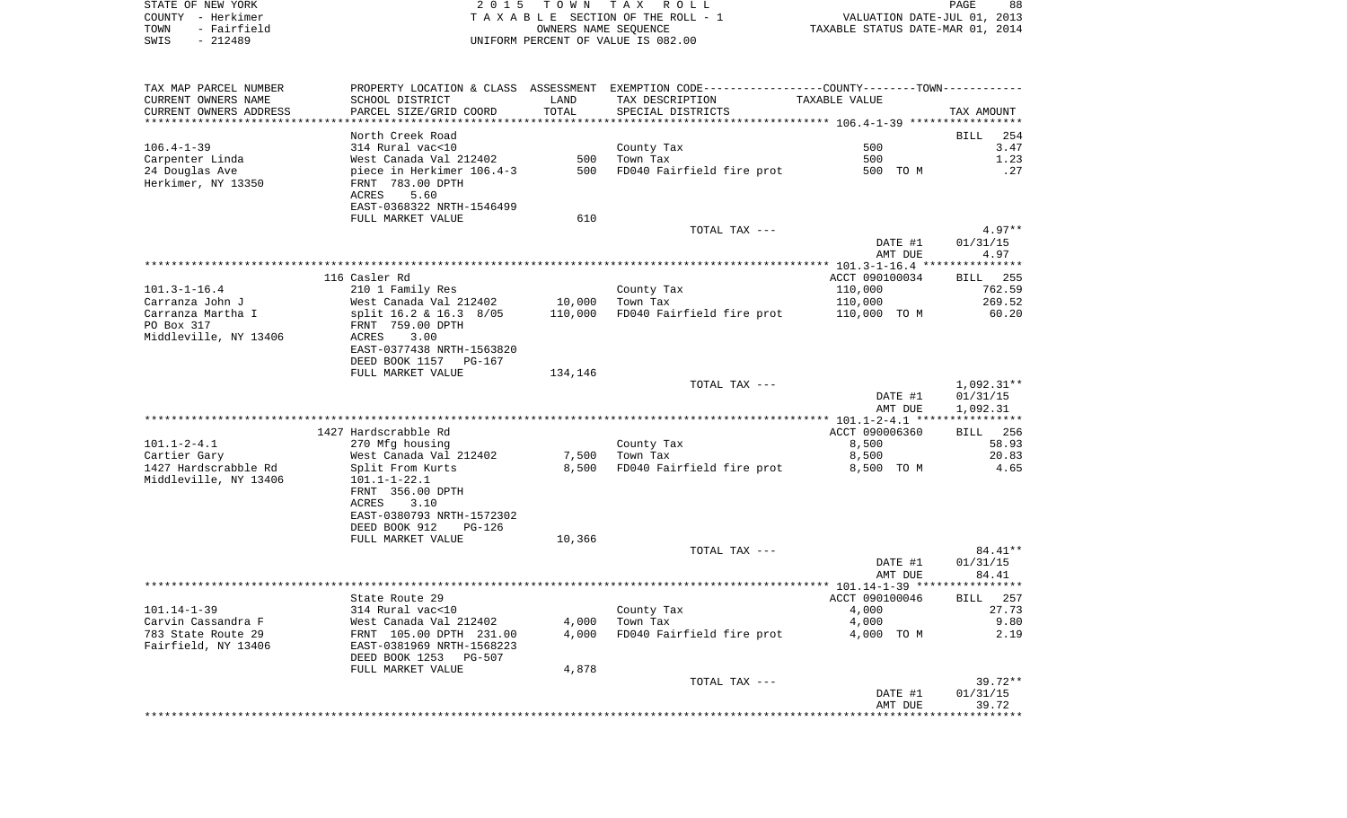STATE OF NEW YORK **EXECUTE:** A G L L 2 0 1 5 T O W N T A X R O L L COUNTY - Herkimer T A X A B L E SECTION OF THE ROLL - 1 VALUATION DATE-JUL 01, 2013 TOWN - Fairfield OWNERS NAME SEQUENCE TAXABLE STATUS DATE-MAR 01, 2014 SWIS - 212489 UNIFORM PERCENT OF VALUE IS 082.00

| TAX MAP PARCEL NUMBER  |                                 |         | PROPERTY LOCATION & CLASS ASSESSMENT EXEMPTION CODE----------------COUNTY-------TOWN---------- |                |                    |
|------------------------|---------------------------------|---------|------------------------------------------------------------------------------------------------|----------------|--------------------|
| CURRENT OWNERS NAME    | SCHOOL DISTRICT                 | LAND    | TAX DESCRIPTION                                                                                | TAXABLE VALUE  |                    |
| CURRENT OWNERS ADDRESS | PARCEL SIZE/GRID COORD          | TOTAL   | SPECIAL DISTRICTS                                                                              |                | TAX AMOUNT         |
| ********************** | ************************        |         |                                                                                                |                |                    |
|                        | North Creek Road                |         |                                                                                                |                | <b>BILL</b><br>254 |
| $106.4 - 1 - 39$       | 314 Rural vac<10                |         | County Tax                                                                                     | 500            | 3.47               |
| Carpenter Linda        | West Canada Val 212402          | 500     | Town Tax                                                                                       | 500            | 1.23               |
| 24 Douglas Ave         | piece in Herkimer 106.4-3       | 500     | FD040 Fairfield fire prot                                                                      | 500 TO M       | .27                |
| Herkimer, NY 13350     | FRNT 783.00 DPTH                |         |                                                                                                |                |                    |
|                        | ACRES<br>5.60                   |         |                                                                                                |                |                    |
|                        | EAST-0368322 NRTH-1546499       |         |                                                                                                |                |                    |
|                        | FULL MARKET VALUE               | 610     |                                                                                                |                |                    |
|                        |                                 |         | TOTAL TAX ---                                                                                  |                | $4.97**$           |
|                        |                                 |         |                                                                                                | DATE #1        | 01/31/15           |
|                        |                                 |         |                                                                                                | AMT DUE        | 4.97               |
|                        |                                 |         |                                                                                                |                |                    |
|                        | 116 Casler Rd                   |         |                                                                                                | ACCT 090100034 | 255<br><b>BILL</b> |
| $101.3 - 1 - 16.4$     | 210 1 Family Res                |         | County Tax                                                                                     | 110,000        | 762.59             |
| Carranza John J        | West Canada Val 212402          | 10,000  | Town Tax                                                                                       | 110,000        | 269.52             |
| Carranza Martha I      | split 16.2 & 16.3 8/05          | 110,000 | FD040 Fairfield fire prot                                                                      | 110,000 TO M   | 60.20              |
| PO Box 317             | FRNT 759.00 DPTH                |         |                                                                                                |                |                    |
| Middleville, NY 13406  | ACRES<br>3.00                   |         |                                                                                                |                |                    |
|                        | EAST-0377438 NRTH-1563820       |         |                                                                                                |                |                    |
|                        | DEED BOOK 1157<br>PG-167        |         |                                                                                                |                |                    |
|                        | FULL MARKET VALUE               | 134,146 |                                                                                                |                |                    |
|                        |                                 |         | TOTAL TAX ---                                                                                  |                | 1,092.31**         |
|                        |                                 |         |                                                                                                | DATE #1        | 01/31/15           |
|                        |                                 |         |                                                                                                | AMT DUE        | 1,092.31           |
|                        |                                 |         |                                                                                                |                | ******             |
|                        | 1427 Hardscrabble Rd            |         |                                                                                                | ACCT 090006360 | <b>BILL</b><br>256 |
| $101.1 - 2 - 4.1$      | 270 Mfg housing                 |         | County Tax                                                                                     | 8,500          | 58.93              |
| Cartier Gary           | West Canada Val 212402          | 7,500   | Town Tax                                                                                       | 8,500          | 20.83              |
| 1427 Hardscrabble Rd   | Split From Kurts                | 8,500   | FD040 Fairfield fire prot                                                                      | 8,500 TO M     | 4.65               |
| Middleville, NY 13406  | $101.1 - 1 - 22.1$              |         |                                                                                                |                |                    |
|                        | FRNT 356.00 DPTH                |         |                                                                                                |                |                    |
|                        | ACRES<br>3.10                   |         |                                                                                                |                |                    |
|                        | EAST-0380793 NRTH-1572302       |         |                                                                                                |                |                    |
|                        | DEED BOOK 912<br><b>PG-126</b>  |         |                                                                                                |                |                    |
|                        | FULL MARKET VALUE               | 10,366  |                                                                                                |                |                    |
|                        |                                 |         | TOTAL TAX ---                                                                                  |                | 84.41**            |
|                        |                                 |         |                                                                                                | DATE #1        | 01/31/15           |
|                        |                                 |         |                                                                                                | AMT DUE        | 84.41              |
|                        |                                 |         |                                                                                                |                |                    |
|                        | State Route 29                  |         |                                                                                                | ACCT 090100046 | 257<br>BILL        |
| $101.14 - 1 - 39$      | 314 Rural vac<10                |         | County Tax                                                                                     | 4,000          | 27.73              |
| Carvin Cassandra F     | West Canada Val 212402          | 4,000   | Town Tax                                                                                       | 4,000          | 9.80               |
| 783 State Route 29     | FRNT 105.00 DPTH 231.00         | 4,000   | FD040 Fairfield fire prot                                                                      | 4,000 TO M     | 2.19               |
| Fairfield, NY 13406    | EAST-0381969 NRTH-1568223       |         |                                                                                                |                |                    |
|                        | DEED BOOK 1253<br><b>PG-507</b> |         |                                                                                                |                |                    |
|                        | FULL MARKET VALUE               | 4,878   |                                                                                                |                |                    |
|                        |                                 |         | TOTAL TAX ---                                                                                  |                | $39.72**$          |
|                        |                                 |         |                                                                                                | DATE #1        | 01/31/15           |
|                        |                                 |         |                                                                                                | AMT DUE        | 39.72              |
|                        |                                 |         |                                                                                                |                |                    |
|                        |                                 |         |                                                                                                |                |                    |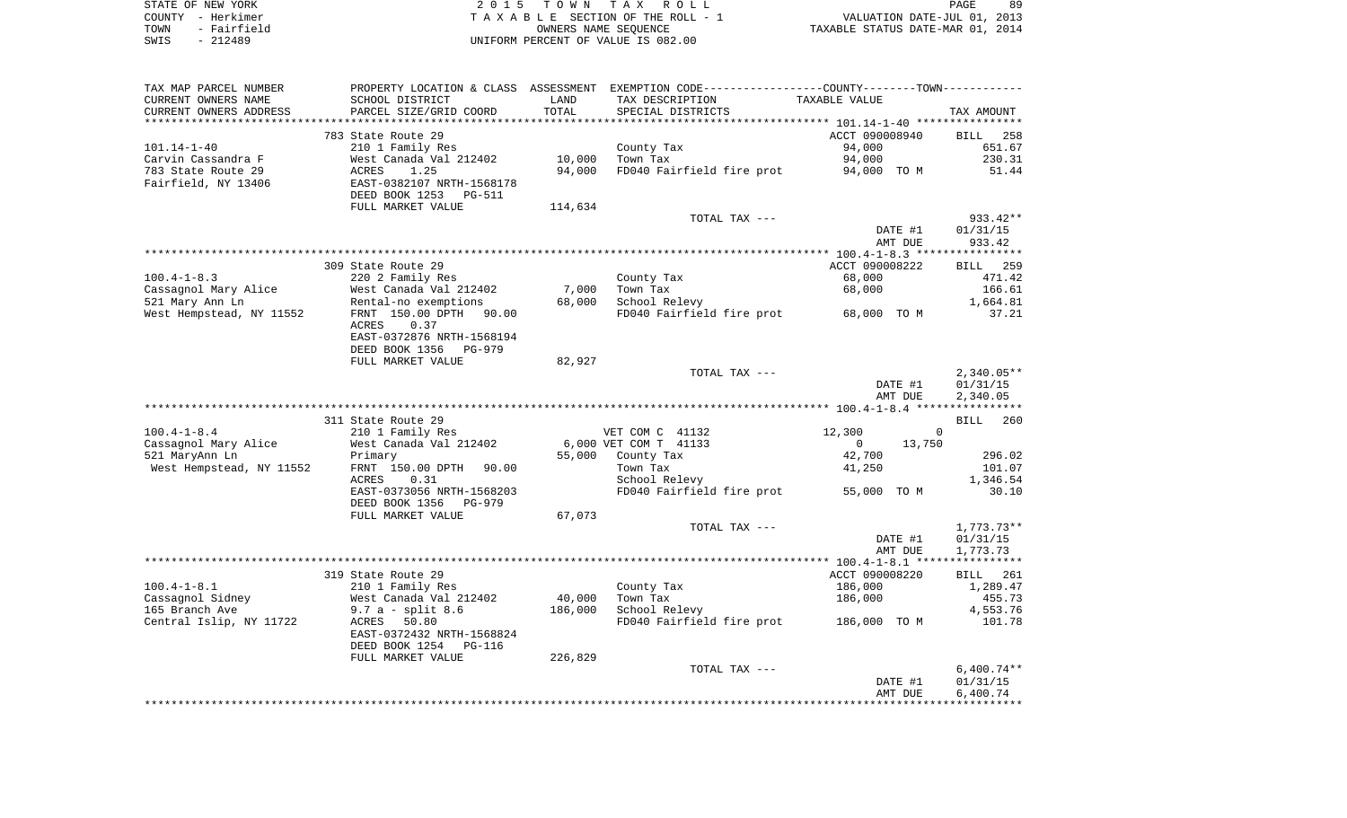| STATE OF NEW YORK   | 2015 TOWN TAX ROLL                 | 89<br>PAGE                       |
|---------------------|------------------------------------|----------------------------------|
| COUNTY - Herkimer   | TAXABLE SECTION OF THE ROLL - 1    | VALUATION DATE-JUL 01, 2013      |
| - Fairfield<br>TOWN | OWNERS NAME SEOUENCE               | TAXABLE STATUS DATE-MAR 01, 2014 |
| $-212489$<br>SWIS   | UNIFORM PERCENT OF VALUE IS 082.00 |                                  |

| TAX MAP PARCEL NUMBER                     |                                            |         | PROPERTY LOCATION & CLASS ASSESSMENT EXEMPTION CODE---------------COUNTY-------TOWN---------- |                                 |                         |
|-------------------------------------------|--------------------------------------------|---------|-----------------------------------------------------------------------------------------------|---------------------------------|-------------------------|
| CURRENT OWNERS NAME                       | SCHOOL DISTRICT                            | LAND    | TAX DESCRIPTION                                                                               | TAXABLE VALUE                   |                         |
| CURRENT OWNERS ADDRESS                    | PARCEL SIZE/GRID COORD                     | TOTAL   | SPECIAL DISTRICTS                                                                             |                                 | TAX AMOUNT              |
|                                           |                                            |         |                                                                                               |                                 |                         |
|                                           | 783 State Route 29                         |         |                                                                                               | ACCT 090008940                  | <b>BILL</b><br>258      |
| $101.14 - 1 - 40$<br>Carvin Cassandra F   | 210 1 Family Res<br>West Canada Val 212402 | 10,000  | County Tax<br>Town Tax                                                                        | 94,000<br>94,000                | 651.67<br>230.31        |
| 783 State Route 29                        | ACRES<br>1.25                              | 94,000  | FD040 Fairfield fire prot                                                                     | 94,000 TO M                     | 51.44                   |
| Fairfield, NY 13406                       | EAST-0382107 NRTH-1568178                  |         |                                                                                               |                                 |                         |
|                                           | DEED BOOK 1253<br>PG-511                   |         |                                                                                               |                                 |                         |
|                                           | FULL MARKET VALUE                          | 114,634 |                                                                                               |                                 |                         |
|                                           |                                            |         | TOTAL TAX ---                                                                                 |                                 | 933.42**                |
|                                           |                                            |         |                                                                                               | DATE #1                         | 01/31/15                |
|                                           |                                            |         |                                                                                               | AMT DUE                         | 933.42                  |
|                                           |                                            |         |                                                                                               |                                 |                         |
|                                           | 309 State Route 29                         |         |                                                                                               | ACCT 090008222                  | <b>BILL</b> 259         |
| $100.4 - 1 - 8.3$                         | 220 2 Family Res                           |         | County Tax                                                                                    | 68,000                          | 471.42                  |
| Cassagnol Mary Alice                      | West Canada Val 212402                     | 7,000   | Town Tax                                                                                      | 68,000                          | 166.61                  |
| 521 Mary Ann Ln                           | Rental-no exemptions                       | 68,000  | School Relevy                                                                                 |                                 | 1,664.81                |
| West Hempstead, NY 11552                  | FRNT 150.00 DPTH 90.00                     |         | FD040 Fairfield fire prot                                                                     | 68,000 TO M                     | 37.21                   |
|                                           | <b>ACRES</b><br>0.37                       |         |                                                                                               |                                 |                         |
|                                           | EAST-0372876 NRTH-1568194                  |         |                                                                                               |                                 |                         |
|                                           | DEED BOOK 1356<br>PG-979                   |         |                                                                                               |                                 |                         |
|                                           | FULL MARKET VALUE                          | 82,927  |                                                                                               |                                 |                         |
|                                           |                                            |         | TOTAL TAX ---                                                                                 |                                 | $2,340.05**$            |
|                                           |                                            |         |                                                                                               | DATE #1                         | 01/31/15                |
|                                           |                                            |         |                                                                                               | AMT DUE                         | 2,340.05                |
|                                           |                                            |         |                                                                                               |                                 |                         |
|                                           | 311 State Route 29                         |         |                                                                                               |                                 | BILL 260<br>$\mathbf 0$ |
| $100.4 - 1 - 8.4$<br>Cassagnol Mary Alice | 210 1 Family Res<br>West Canada Val 212402 |         | VET COM C 41132<br>6,000 VET COM T 41133                                                      | 12,300<br>13,750<br>$\mathbf 0$ |                         |
| 521 MaryAnn Ln                            | Primary                                    | 55,000  | County Tax                                                                                    | 42,700                          | 296.02                  |
| West Hempstead, NY 11552                  | FRNT 150.00 DPTH<br>90.00                  |         | Town Tax                                                                                      | 41,250                          | 101.07                  |
|                                           | ACRES<br>0.31                              |         | School Relevy                                                                                 |                                 | 1,346.54                |
|                                           | EAST-0373056 NRTH-1568203                  |         | FD040 Fairfield fire prot                                                                     | 55,000 TO M                     | 30.10                   |
|                                           | DEED BOOK 1356<br>PG-979                   |         |                                                                                               |                                 |                         |
|                                           | FULL MARKET VALUE                          | 67,073  |                                                                                               |                                 |                         |
|                                           |                                            |         | TOTAL TAX ---                                                                                 |                                 | $1,773.73**$            |
|                                           |                                            |         |                                                                                               | DATE #1                         | 01/31/15                |
|                                           |                                            |         |                                                                                               | AMT DUE                         | 1,773.73                |
|                                           |                                            |         |                                                                                               |                                 |                         |
|                                           | 319 State Route 29                         |         |                                                                                               | ACCT 090008220                  | BILL 261                |
| $100.4 - 1 - 8.1$                         | 210 1 Family Res                           |         | County Tax                                                                                    | 186,000                         | 1,289.47                |
| Cassagnol Sidney                          | West Canada Val 212402                     | 40,000  | Town Tax                                                                                      | 186,000                         | 455.73                  |
| 165 Branch Ave                            | $9.7 a - split 8.6$                        | 186,000 | School Relevy                                                                                 |                                 | 4,553.76                |
| Central Islip, NY 11722                   | 50.80<br>ACRES                             |         | FD040 Fairfield fire prot 186,000 TO M                                                        |                                 | 101.78                  |
|                                           | EAST-0372432 NRTH-1568824                  |         |                                                                                               |                                 |                         |
|                                           | DEED BOOK 1254<br>PG-116                   |         |                                                                                               |                                 |                         |
|                                           | FULL MARKET VALUE                          | 226,829 |                                                                                               |                                 |                         |
|                                           |                                            |         | TOTAL TAX ---                                                                                 |                                 | $6,400.74**$            |
|                                           |                                            |         |                                                                                               | DATE #1                         | 01/31/15                |
|                                           |                                            |         |                                                                                               | AMT DUE                         | 6,400.74                |
|                                           |                                            |         |                                                                                               |                                 |                         |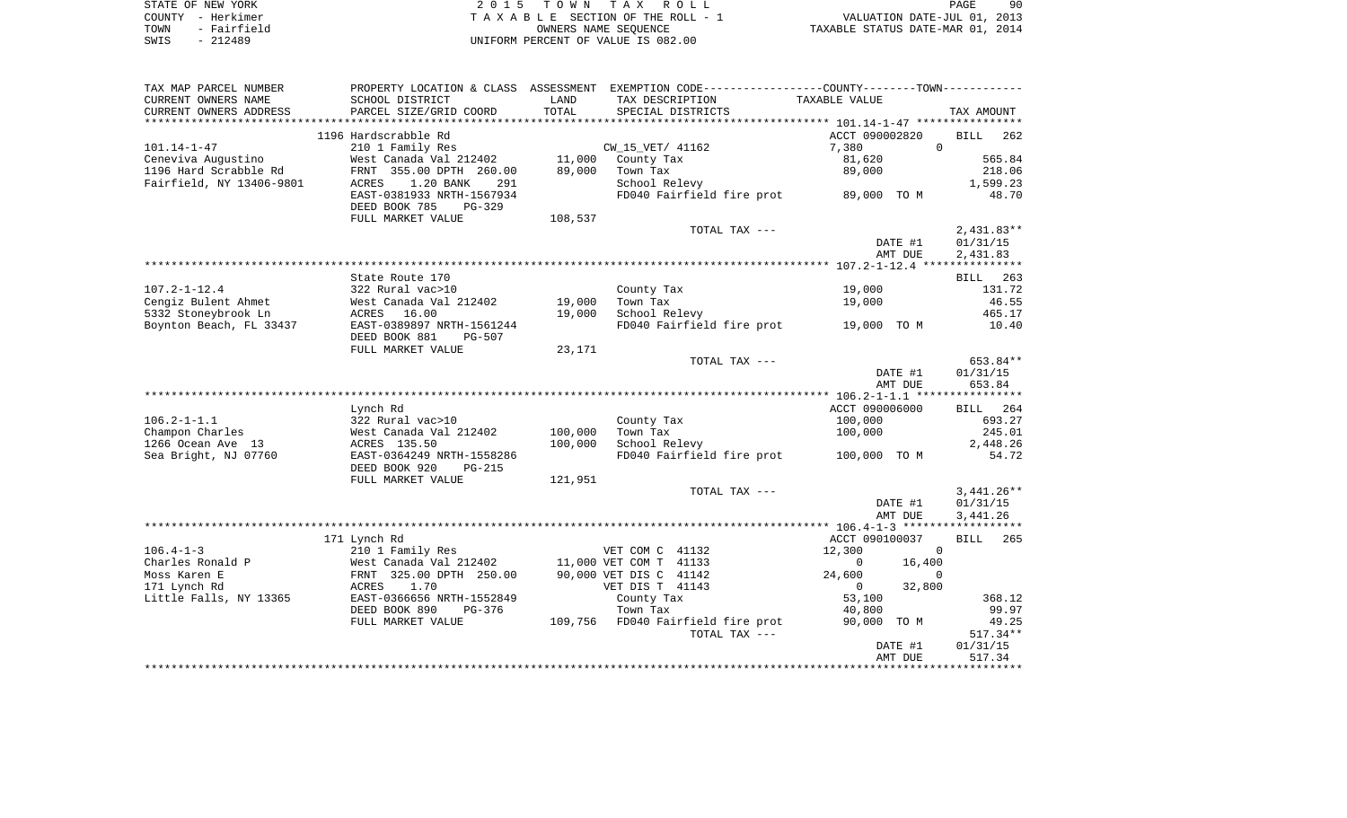| STATE OF NEW YORK   | 2015 TOWN TAX ROLL                 | 90<br>PAGE                       |
|---------------------|------------------------------------|----------------------------------|
| COUNTY - Herkimer   | TAXABLE SECTION OF THE ROLL - 1    | VALUATION DATE-JUL 01, 2013      |
| - Fairfield<br>TOWN | OWNERS NAME SEOUENCE               | TAXABLE STATUS DATE-MAR 01, 2014 |
| $-212489$<br>SWIS   | UNIFORM PERCENT OF VALUE IS 082.00 |                                  |

| TAX MAP PARCEL NUMBER    |                                |         | PROPERTY LOCATION & CLASS ASSESSMENT EXEMPTION CODE----------------COUNTY-------TOWN---------- |                          |                    |
|--------------------------|--------------------------------|---------|------------------------------------------------------------------------------------------------|--------------------------|--------------------|
| CURRENT OWNERS NAME      | SCHOOL DISTRICT                | LAND    | TAX DESCRIPTION                                                                                | TAXABLE VALUE            |                    |
| CURRENT OWNERS ADDRESS   | PARCEL SIZE/GRID COORD         | TOTAL   | SPECIAL DISTRICTS                                                                              |                          | TAX AMOUNT         |
|                          |                                |         |                                                                                                |                          |                    |
|                          | 1196 Hardscrabble Rd           |         |                                                                                                | ACCT 090002820           | <b>BILL</b><br>262 |
| $101.14 - 1 - 47$        | 210 1 Family Res               |         | CW_15_VET/ 41162                                                                               | 7,380<br>$\mathbf 0$     |                    |
| Ceneviva Augustino       | West Canada Val 212402         |         | 11,000 County Tax                                                                              | 81,620                   | 565.84             |
| 1196 Hard Scrabble Rd    | FRNT 355.00 DPTH 260.00        | 89,000  | Town Tax                                                                                       | 89,000                   | 218.06             |
| Fairfield, NY 13406-9801 | 1.20 BANK<br>ACRES<br>291      |         | School Relevy                                                                                  |                          | 1,599.23           |
|                          | EAST-0381933 NRTH-1567934      |         | FD040 Fairfield fire prot 89,000 TO M                                                          |                          | 48.70              |
|                          | DEED BOOK 785<br>$PG-329$      |         |                                                                                                |                          |                    |
|                          | FULL MARKET VALUE              | 108,537 |                                                                                                |                          |                    |
|                          |                                |         | TOTAL TAX ---                                                                                  |                          | $2,431.83**$       |
|                          |                                |         |                                                                                                | DATE #1                  | 01/31/15           |
|                          |                                |         |                                                                                                | AMT DUE                  | 2,431.83           |
|                          |                                |         |                                                                                                |                          |                    |
|                          | State Route 170                |         |                                                                                                |                          | 263<br>BILL        |
| $107.2 - 1 - 12.4$       | 322 Rural vac>10               |         | County Tax                                                                                     | 19,000                   | 131.72             |
| Cengiz Bulent Ahmet      | West Canada Val 212402         | 19,000  | Town Tax                                                                                       | 19,000                   | 46.55              |
| 5332 Stoneybrook Ln      | 16.00<br>ACRES                 | 19,000  | School Relevy                                                                                  |                          | 465.17             |
| Boynton Beach, FL 33437  | EAST-0389897 NRTH-1561244      |         | FD040 Fairfield fire prot 19,000 TO M                                                          |                          | 10.40              |
|                          | DEED BOOK 881<br><b>PG-507</b> |         |                                                                                                |                          |                    |
|                          | FULL MARKET VALUE              | 23,171  |                                                                                                |                          |                    |
|                          |                                |         | TOTAL TAX ---                                                                                  |                          | 653.84**           |
|                          |                                |         |                                                                                                | DATE #1                  | 01/31/15           |
|                          |                                |         |                                                                                                | AMT DUE                  | 653.84             |
|                          |                                |         |                                                                                                |                          |                    |
|                          | Lynch Rd                       |         |                                                                                                | ACCT 090006000           | BILL 264           |
| $106.2 - 1 - 1.1$        | 322 Rural vac>10               |         | County Tax                                                                                     | 100,000                  | 693.27             |
| Champon Charles          | West Canada Val 212402         | 100,000 | Town Tax                                                                                       | 100,000                  | 245.01             |
| 1266 Ocean Ave 13        | ACRES 135.50                   | 100,000 | School Relevy                                                                                  |                          | 2,448.26           |
| Sea Bright, NJ 07760     | EAST-0364249 NRTH-1558286      |         | FD040 Fairfield fire prot                                                                      | 100,000 TO M             | 54.72              |
|                          | DEED BOOK 920<br><b>PG-215</b> |         |                                                                                                |                          |                    |
|                          | FULL MARKET VALUE              | 121,951 |                                                                                                |                          |                    |
|                          |                                |         | TOTAL TAX ---                                                                                  |                          | $3,441.26**$       |
|                          |                                |         |                                                                                                | DATE #1                  | 01/31/15           |
|                          |                                |         |                                                                                                | AMT DUE                  | 3,441.26           |
|                          |                                |         |                                                                                                |                          |                    |
|                          | 171 Lynch Rd                   |         |                                                                                                | ACCT 090100037           | <b>BILL</b><br>265 |
| $106.4 - 1 - 3$          | 210 1 Family Res               |         | VET COM C 41132                                                                                | 12,300<br>$\Omega$       |                    |
| Charles Ronald P         | West Canada Val 212402         |         | 11,000 VET COM T 41133                                                                         | 16,400<br>$\mathbf 0$    |                    |
| Moss Karen E             | FRNT 325.00 DPTH 250.00        |         | 90,000 VET DIS C 41142                                                                         | 24,600<br>0              |                    |
| 171 Lynch Rd             | ACRES<br>1.70                  |         | VET DIS T 41143                                                                                | 32,800<br>$\overline{0}$ |                    |
| Little Falls, NY 13365   | EAST-0366656 NRTH-1552849      |         | County Tax                                                                                     | 53,100                   | 368.12             |
|                          | DEED BOOK 890<br>PG-376        |         | Town Tax                                                                                       | 40,800                   | 99.97              |
|                          | FULL MARKET VALUE              |         | 109,756 FD040 Fairfield fire prot                                                              | 90,000 TO M              | 49.25              |
|                          |                                |         | TOTAL TAX ---                                                                                  |                          | $517.34**$         |
|                          |                                |         |                                                                                                | DATE #1                  | 01/31/15           |
|                          |                                |         |                                                                                                | AMT DUE                  | 517.34             |
|                          |                                |         |                                                                                                |                          |                    |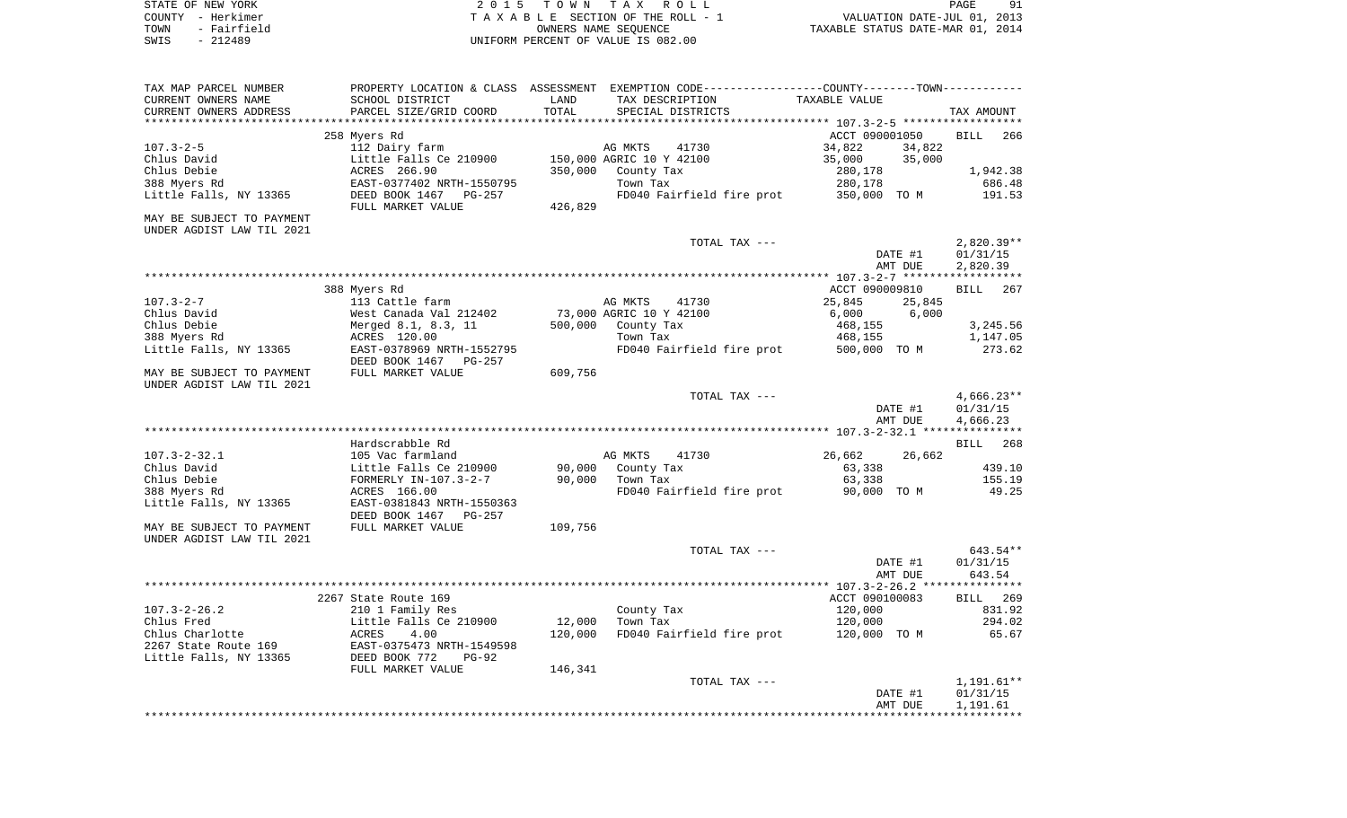| STATE OF NEW YORK   | 2015 TOWN TAX ROLL                 | 91<br>PAGE                       |
|---------------------|------------------------------------|----------------------------------|
| COUNTY - Herkimer   | TAXABLE SECTION OF THE ROLL - 1    | VALUATION DATE-JUL 01, 2013      |
| - Fairfield<br>TOWN | OWNERS NAME SEOUENCE               | TAXABLE STATUS DATE-MAR 01, 2014 |
| - 212489<br>SWIS    | UNIFORM PERCENT OF VALUE IS 082.00 |                                  |

| TAX MAP PARCEL NUMBER                         |                                           |               | PROPERTY LOCATION & CLASS ASSESSMENT EXEMPTION CODE---------------COUNTY-------TOWN---------- |                      |                      |
|-----------------------------------------------|-------------------------------------------|---------------|-----------------------------------------------------------------------------------------------|----------------------|----------------------|
| CURRENT OWNERS NAME<br>CURRENT OWNERS ADDRESS | SCHOOL DISTRICT<br>PARCEL SIZE/GRID COORD | LAND<br>TOTAL | TAX DESCRIPTION<br>SPECIAL DISTRICTS                                                          | <b>TAXABLE VALUE</b> | TAX AMOUNT           |
| **********************                        |                                           |               |                                                                                               |                      |                      |
|                                               | 258 Myers Rd                              |               |                                                                                               | ACCT 090001050       | <b>BILL</b><br>266   |
| $107.3 - 2 - 5$                               | 112 Dairy farm                            |               | AG MKTS<br>41730                                                                              | 34,822<br>34,822     |                      |
| Chlus David                                   | Little Falls Ce 210900                    |               | 150,000 AGRIC 10 Y 42100                                                                      | 35,000<br>35,000     |                      |
| Chlus Debie                                   | ACRES 266.90                              | 350,000       | County Tax                                                                                    | 280,178              | 1,942.38             |
| 388 Myers Rd                                  | EAST-0377402 NRTH-1550795                 |               | Town Tax                                                                                      | 280,178              | 686.48               |
| Little Falls, NY 13365                        | DEED BOOK 1467<br><b>PG-257</b>           |               | FD040 Fairfield fire prot                                                                     | 350,000 TO M         | 191.53               |
|                                               | FULL MARKET VALUE                         | 426,829       |                                                                                               |                      |                      |
| MAY BE SUBJECT TO PAYMENT                     |                                           |               |                                                                                               |                      |                      |
| UNDER AGDIST LAW TIL 2021                     |                                           |               |                                                                                               |                      |                      |
|                                               |                                           |               | TOTAL TAX ---                                                                                 |                      | $2,820.39**$         |
|                                               |                                           |               |                                                                                               | DATE #1              | 01/31/15             |
|                                               |                                           |               |                                                                                               | AMT DUE              | 2,820.39             |
|                                               | * * * * * * * * * * * * * *               |               |                                                                                               |                      |                      |
|                                               | 388 Myers Rd                              |               |                                                                                               | ACCT 090009810       | <b>BILL</b><br>267   |
| $107.3 - 2 - 7$                               | 113 Cattle farm                           |               | AG MKTS<br>41730                                                                              | 25,845<br>25,845     |                      |
| Chlus David                                   | West Canada Val 212402                    |               | 73,000 AGRIC 10 Y 42100                                                                       | 6,000<br>6,000       |                      |
| Chlus Debie                                   | Merged 8.1, 8.3, 11                       | 500,000       | County Tax                                                                                    | 468,155              | 3,245.56             |
| 388 Myers Rd                                  | ACRES 120.00                              |               | Town Tax                                                                                      | 468,155              | 1,147.05             |
| Little Falls, NY 13365                        | EAST-0378969 NRTH-1552795                 |               | FD040 Fairfield fire prot                                                                     | 500,000 TO M         | 273.62               |
|                                               | DEED BOOK 1467<br>PG-257                  |               |                                                                                               |                      |                      |
| MAY BE SUBJECT TO PAYMENT                     | FULL MARKET VALUE                         | 609,756       |                                                                                               |                      |                      |
| UNDER AGDIST LAW TIL 2021                     |                                           |               |                                                                                               |                      |                      |
|                                               |                                           |               | TOTAL TAX ---                                                                                 |                      | $4,666.23**$         |
|                                               |                                           |               |                                                                                               | DATE #1<br>AMT DUE   | 01/31/15<br>4,666.23 |
|                                               |                                           |               |                                                                                               |                      |                      |
|                                               | Hardscrabble Rd                           |               |                                                                                               |                      | 268<br><b>BILL</b>   |
| $107.3 - 2 - 32.1$                            | 105 Vac farmland                          |               | AG MKTS<br>41730                                                                              | 26,662<br>26,662     |                      |
| Chlus David                                   | Little Falls Ce 210900                    | 90,000        | County Tax                                                                                    | 63,338               | 439.10               |
| Chlus Debie                                   | FORMERLY IN-107.3-2-7                     | 90,000        | Town Tax                                                                                      | 63,338               | 155.19               |
| 388 Myers Rd                                  | ACRES 166.00                              |               | FD040 Fairfield fire prot                                                                     | 90,000 TO M          | 49.25                |
| Little Falls, NY 13365                        | EAST-0381843 NRTH-1550363                 |               |                                                                                               |                      |                      |
|                                               | DEED BOOK 1467<br><b>PG-257</b>           |               |                                                                                               |                      |                      |
| MAY BE SUBJECT TO PAYMENT                     | FULL MARKET VALUE                         | 109,756       |                                                                                               |                      |                      |
| UNDER AGDIST LAW TIL 2021                     |                                           |               |                                                                                               |                      |                      |
|                                               |                                           |               | TOTAL TAX ---                                                                                 |                      | 643.54**             |
|                                               |                                           |               |                                                                                               | DATE #1              | 01/31/15             |
|                                               |                                           |               |                                                                                               | AMT DUE              | 643.54               |
|                                               |                                           |               |                                                                                               |                      |                      |
|                                               | 2267 State Route 169                      |               |                                                                                               | ACCT 090100083       | 269<br>BILL          |
| $107.3 - 2 - 26.2$                            | 210 1 Family Res                          |               | County Tax                                                                                    | 120,000              | 831.92               |
| Chlus Fred                                    | Little Falls Ce 210900                    | 12,000        | Town Tax                                                                                      | 120,000              | 294.02               |
| Chlus Charlotte                               | ACRES<br>4.00                             | 120,000       | FD040 Fairfield fire prot                                                                     | 120,000 TO M         | 65.67                |
| 2267 State Route 169                          | EAST-0375473 NRTH-1549598                 |               |                                                                                               |                      |                      |
| Little Falls, NY 13365                        | DEED BOOK 772<br>$PG-92$                  |               |                                                                                               |                      |                      |
|                                               | FULL MARKET VALUE                         | 146,341       |                                                                                               |                      |                      |
|                                               |                                           |               | TOTAL TAX ---                                                                                 |                      | 1,191.61**           |
|                                               |                                           |               |                                                                                               | DATE #1              | 01/31/15             |
|                                               |                                           |               |                                                                                               | AMT DUE              | 1,191.61             |
|                                               |                                           |               |                                                                                               |                      |                      |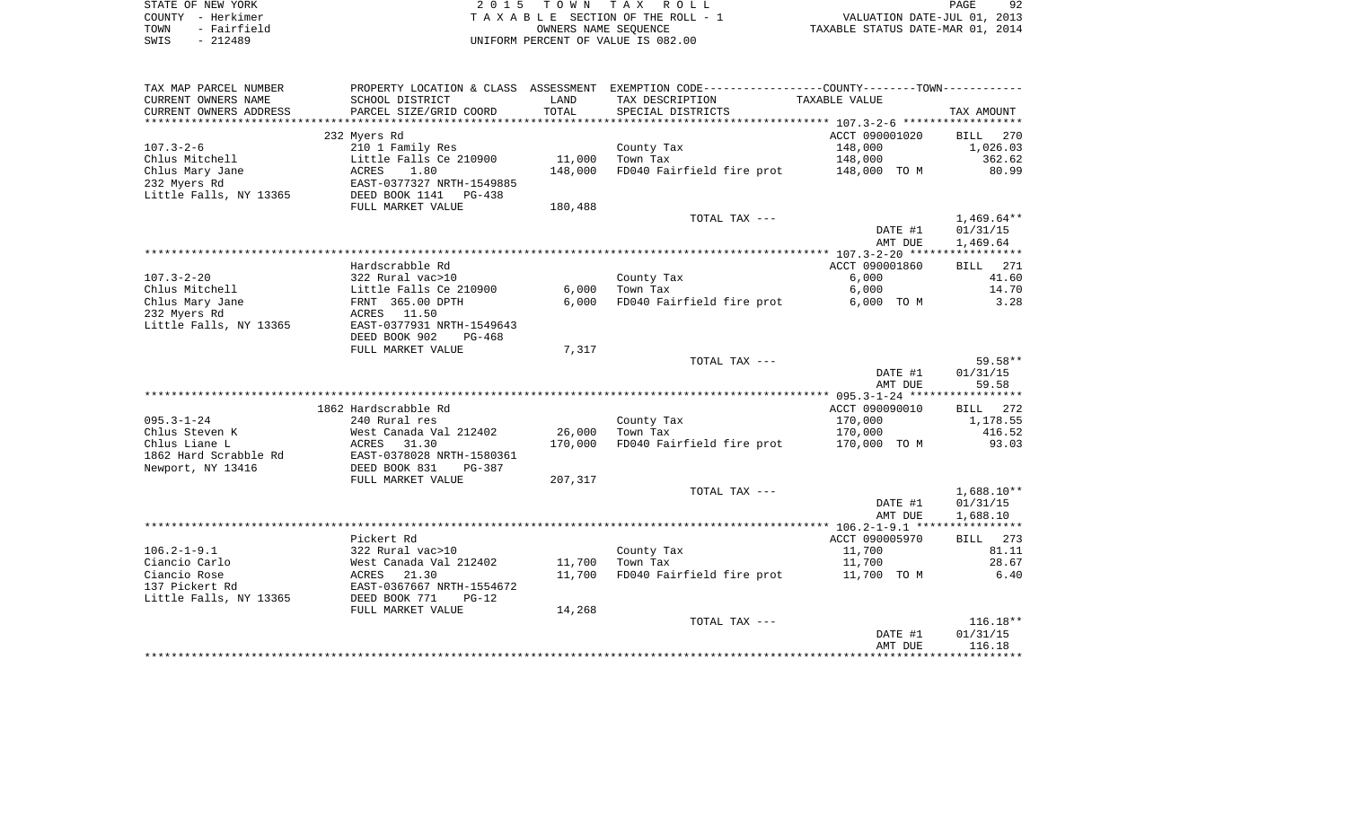| STATE OF NEW YORK |                   | 2015 TOWN TAX ROLL                 | 92<br>PAGE                       |
|-------------------|-------------------|------------------------------------|----------------------------------|
|                   | COUNTY - Herkimer | TAXABLE SECTION OF THE ROLL - 1    | VALUATION DATE-JUL 01, 2013      |
| TOWN              | - Fairfield       | OWNERS NAME SEOUENCE               | TAXABLE STATUS DATE-MAR 01, 2014 |
| SWIS              | $-212489$         | UNIFORM PERCENT OF VALUE IS 082.00 |                                  |

| TAX MAP PARCEL NUMBER<br>CURRENT OWNERS NAME | PROPERTY LOCATION & CLASS ASSESSMENT<br>SCHOOL DISTRICT | LAND    | EXEMPTION CODE----------------COUNTY-------TOWN----------- | TAXABLE VALUE  |                    |
|----------------------------------------------|---------------------------------------------------------|---------|------------------------------------------------------------|----------------|--------------------|
| CURRENT OWNERS ADDRESS                       | PARCEL SIZE/GRID COORD                                  | TOTAL   | TAX DESCRIPTION<br>SPECIAL DISTRICTS                       |                | TAX AMOUNT         |
|                                              |                                                         |         |                                                            |                |                    |
|                                              | 232 Myers Rd                                            |         |                                                            | ACCT 090001020 | 270<br>BILL        |
| $107.3 - 2 - 6$                              | 210 1 Family Res                                        |         | County Tax                                                 | 148,000        | 1,026.03           |
| Chlus Mitchell                               | Little Falls Ce 210900                                  | 11,000  | Town Tax                                                   | 148,000        | 362.62             |
| Chlus Mary Jane                              | 1.80<br>ACRES                                           | 148,000 | FD040 Fairfield fire prot                                  | 148,000 TO M   | 80.99              |
| 232 Myers Rd                                 | EAST-0377327 NRTH-1549885                               |         |                                                            |                |                    |
| Little Falls, NY 13365                       | DEED BOOK 1141<br><b>PG-438</b>                         |         |                                                            |                |                    |
|                                              | FULL MARKET VALUE                                       | 180,488 |                                                            |                |                    |
|                                              |                                                         |         | TOTAL TAX ---                                              |                | $1,469.64**$       |
|                                              |                                                         |         |                                                            | DATE #1        | 01/31/15           |
|                                              |                                                         |         |                                                            | AMT DUE        | 1,469.64           |
|                                              | Hardscrabble Rd                                         |         |                                                            | ACCT 090001860 | 271<br><b>BILL</b> |
| $107.3 - 2 - 20$                             | 322 Rural vac>10                                        |         | County Tax                                                 | 6,000          | 41.60              |
| Chlus Mitchell                               | Little Falls Ce 210900                                  | 6,000   | Town Tax                                                   | 6,000          | 14.70              |
| Chlus Mary Jane                              | FRNT 365.00 DPTH                                        | 6,000   | FD040 Fairfield fire prot                                  | 6,000 TO M     | 3.28               |
| 232 Myers Rd                                 | 11.50<br>ACRES                                          |         |                                                            |                |                    |
| Little Falls, NY 13365                       | EAST-0377931 NRTH-1549643                               |         |                                                            |                |                    |
|                                              | DEED BOOK 902<br>$PG-468$                               |         |                                                            |                |                    |
|                                              | FULL MARKET VALUE                                       | 7,317   |                                                            |                |                    |
|                                              |                                                         |         | TOTAL TAX ---                                              |                | $59.58**$          |
|                                              |                                                         |         |                                                            | DATE #1        | 01/31/15           |
|                                              |                                                         |         |                                                            | AMT DUE        | 59.58              |
|                                              |                                                         |         |                                                            |                |                    |
|                                              | 1862 Hardscrabble Rd                                    |         |                                                            | ACCT 090090010 | BILL<br>272        |
| $095.3 - 1 - 24$                             | 240 Rural res                                           |         | County Tax                                                 | 170,000        | 1,178.55           |
| Chlus Steven K                               | West Canada Val 212402                                  | 26,000  | Town Tax                                                   | 170,000        | 416.52             |
| Chlus Liane L                                | 31.30<br>ACRES                                          | 170,000 | FD040 Fairfield fire prot                                  | 170,000 TO M   | 93.03              |
| 1862 Hard Scrabble Rd                        | EAST-0378028 NRTH-1580361                               |         |                                                            |                |                    |
| Newport, NY 13416                            | DEED BOOK 831<br>$PG-387$                               |         |                                                            |                |                    |
|                                              | FULL MARKET VALUE                                       | 207,317 |                                                            |                |                    |
|                                              |                                                         |         | TOTAL TAX ---                                              |                | $1,688.10**$       |
|                                              |                                                         |         |                                                            | DATE #1        | 01/31/15           |
|                                              |                                                         |         |                                                            | AMT DUE        | 1,688.10           |
|                                              | Pickert Rd                                              |         |                                                            | ACCT 090005970 | 273<br><b>BILL</b> |
| $106.2 - 1 - 9.1$                            | 322 Rural vac>10                                        |         | County Tax                                                 | 11,700         | 81.11              |
| Ciancio Carlo                                | West Canada Val 212402                                  | 11,700  | Town Tax                                                   | 11,700         | 28.67              |
| Ciancio Rose                                 | ACRES<br>21.30                                          | 11,700  | FD040 Fairfield fire prot                                  | 11,700 TO M    | 6.40               |
| 137 Pickert Rd                               | EAST-0367667 NRTH-1554672                               |         |                                                            |                |                    |
| Little Falls, NY 13365                       | DEED BOOK 771<br>$PG-12$                                |         |                                                            |                |                    |
|                                              | FULL MARKET VALUE                                       | 14,268  |                                                            |                |                    |
|                                              |                                                         |         | TOTAL TAX ---                                              |                | $116.18**$         |
|                                              |                                                         |         |                                                            | DATE #1        | 01/31/15           |
|                                              |                                                         |         |                                                            | AMT DUE        | 116.18             |
|                                              |                                                         |         |                                                            |                |                    |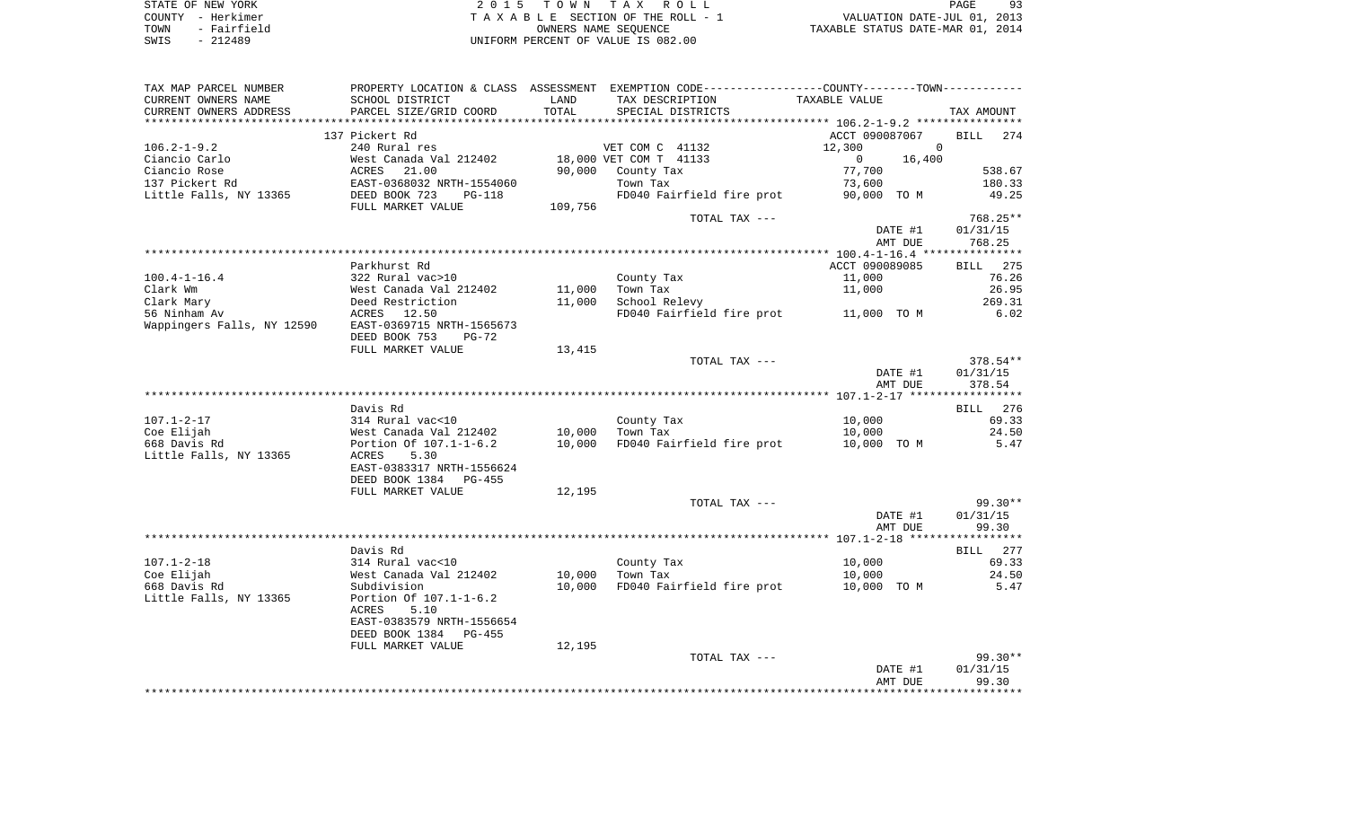| STATE OF NEW YORK   | 2015 TOWN TAX ROLL                 | PAGE                             |
|---------------------|------------------------------------|----------------------------------|
| COUNTY - Herkimer   | TAXABLE SECTION OF THE ROLL - 1    | VALUATION DATE-JUL 01, 2013      |
| - Fairfield<br>TOWN | OWNERS NAME SEOUENCE               | TAXABLE STATUS DATE-MAR 01, 2014 |
| SWIS<br>$-212489$   | UNIFORM PERCENT OF VALUE IS 082.00 |                                  |

| TAX MAP PARCEL NUMBER      |                                |         | PROPERTY LOCATION & CLASS ASSESSMENT EXEMPTION CODE----------------COUNTY--------TOWN----------- |                          |                    |
|----------------------------|--------------------------------|---------|--------------------------------------------------------------------------------------------------|--------------------------|--------------------|
| CURRENT OWNERS NAME        | SCHOOL DISTRICT                | LAND    | TAX DESCRIPTION                                                                                  | TAXABLE VALUE            |                    |
| CURRENT OWNERS ADDRESS     | PARCEL SIZE/GRID COORD         | TOTAL   | SPECIAL DISTRICTS                                                                                |                          | TAX AMOUNT         |
|                            |                                |         |                                                                                                  |                          |                    |
|                            | 137 Pickert Rd                 |         |                                                                                                  | ACCT 090087067           | <b>BILL</b><br>274 |
| $106.2 - 1 - 9.2$          | 240 Rural res                  |         | VET COM C 41132                                                                                  | $\Omega$<br>12,300       |                    |
| Ciancio Carlo              | West Canada Val 212402         |         | 18,000 VET COM T 41133                                                                           | $\overline{0}$<br>16,400 |                    |
| Ciancio Rose               | ACRES<br>21.00                 | 90,000  | County Tax                                                                                       | 77,700                   | 538.67             |
| 137 Pickert Rd             | EAST-0368032 NRTH-1554060      |         | Town Tax                                                                                         | 73,600                   | 180.33             |
| Little Falls, NY 13365     | DEED BOOK 723<br><b>PG-118</b> |         | FD040 Fairfield fire prot                                                                        | 90,000 TO M              | 49.25              |
|                            | FULL MARKET VALUE              | 109,756 |                                                                                                  |                          |                    |
|                            |                                |         | TOTAL TAX ---                                                                                    |                          | 768.25**           |
|                            |                                |         |                                                                                                  | DATE #1                  | 01/31/15           |
|                            |                                |         |                                                                                                  | AMT DUE                  | 768.25             |
|                            |                                |         |                                                                                                  |                          |                    |
|                            | Parkhurst Rd                   |         |                                                                                                  | ACCT 090089085           | <b>BILL</b> 275    |
| $100.4 - 1 - 16.4$         | 322 Rural vac>10               |         | County Tax                                                                                       | 11,000                   | 76.26              |
| Clark Wm                   | West Canada Val 212402         | 11,000  | Town Tax                                                                                         | 11,000                   | 26.95              |
| Clark Mary                 | Deed Restriction               | 11,000  | School Relevy                                                                                    |                          | 269.31             |
| 56 Ninham Av               | ACRES 12.50                    |         | FD040 Fairfield fire prot 11,000 TO M                                                            |                          | 6.02               |
| Wappingers Falls, NY 12590 | EAST-0369715 NRTH-1565673      |         |                                                                                                  |                          |                    |
|                            | DEED BOOK 753<br>$PG-72$       |         |                                                                                                  |                          |                    |
|                            | FULL MARKET VALUE              | 13,415  |                                                                                                  |                          |                    |
|                            |                                |         | TOTAL TAX ---                                                                                    |                          | 378.54**           |
|                            |                                |         |                                                                                                  | DATE #1                  | 01/31/15           |
|                            |                                |         |                                                                                                  | AMT DUE                  | 378.54             |
|                            |                                |         |                                                                                                  |                          |                    |
|                            | Davis Rd                       |         |                                                                                                  |                          | BILL 276           |
| $107.1 - 2 - 17$           | 314 Rural vac<10               |         | County Tax                                                                                       | 10,000                   | 69.33              |
| Coe Elijah                 | West Canada Val 212402         | 10,000  | Town Tax                                                                                         | 10,000                   | 24.50              |
| 668 Davis Rd               | Portion Of 107.1-1-6.2         | 10,000  | FD040 Fairfield fire prot                                                                        | 10,000 TO M              | 5.47               |
| Little Falls, NY 13365     | ACRES<br>5.30                  |         |                                                                                                  |                          |                    |
|                            | EAST-0383317 NRTH-1556624      |         |                                                                                                  |                          |                    |
|                            | DEED BOOK 1384<br>PG-455       |         |                                                                                                  |                          |                    |
|                            | FULL MARKET VALUE              | 12,195  |                                                                                                  |                          |                    |
|                            |                                |         | TOTAL TAX ---                                                                                    |                          | $99.30**$          |
|                            |                                |         |                                                                                                  | DATE #1                  | 01/31/15           |
|                            |                                |         |                                                                                                  | AMT DUE                  | 99.30              |
|                            |                                |         |                                                                                                  |                          |                    |
|                            | Davis Rd                       |         |                                                                                                  |                          | BILL 277           |
| $107.1 - 2 - 18$           | 314 Rural vac<10               |         | County Tax                                                                                       | 10,000                   | 69.33              |
| Coe Elijah                 | West Canada Val 212402         | 10,000  | Town Tax                                                                                         | 10,000                   | 24.50              |
| 668 Davis Rd               | Subdivision                    | 10,000  | FD040 Fairfield fire prot                                                                        | 10,000 TO M              | 5.47               |
| Little Falls, NY 13365     | Portion Of 107.1-1-6.2         |         |                                                                                                  |                          |                    |
|                            | ACRES<br>5.10                  |         |                                                                                                  |                          |                    |
|                            | EAST-0383579 NRTH-1556654      |         |                                                                                                  |                          |                    |
|                            | DEED BOOK 1384<br>PG-455       |         |                                                                                                  |                          |                    |
|                            | FULL MARKET VALUE              | 12,195  |                                                                                                  |                          |                    |
|                            |                                |         | TOTAL TAX ---                                                                                    |                          | $99.30**$          |
|                            |                                |         |                                                                                                  | DATE #1                  | 01/31/15<br>99.30  |
|                            |                                |         |                                                                                                  | AMT DUE                  |                    |
|                            |                                |         |                                                                                                  |                          |                    |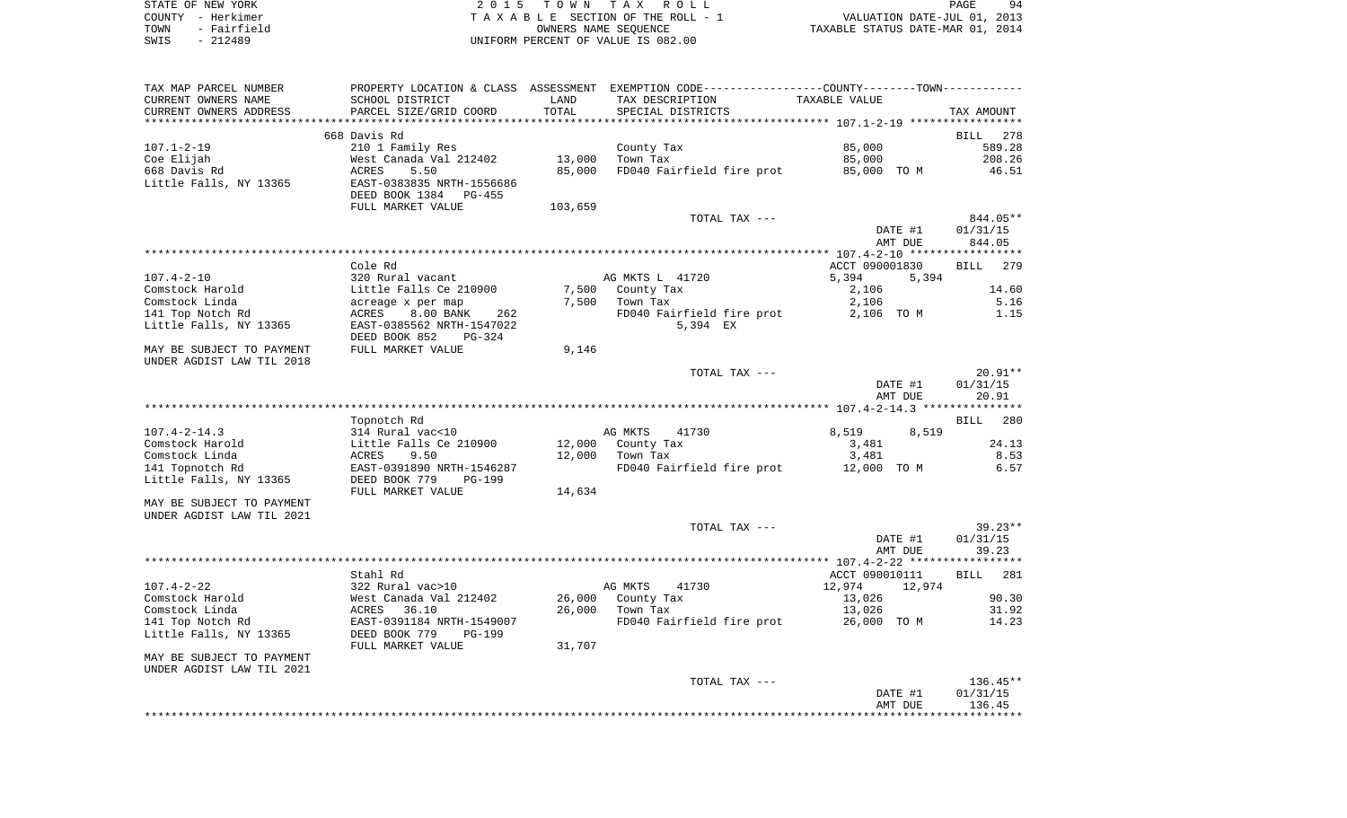| STATE OF NEW YORK   | 2015 TOWN TAX ROLL                 | 94<br>PAGE                       |
|---------------------|------------------------------------|----------------------------------|
| COUNTY - Herkimer   | TAXABLE SECTION OF THE ROLL - 1    | VALUATION DATE-JUL 01, 2013      |
| - Fairfield<br>TOWN | OWNERS NAME SEOUENCE               | TAXABLE STATUS DATE-MAR 01, 2014 |
| - 212489<br>SWIS    | UNIFORM PERCENT OF VALUE IS 082.00 |                                  |

| TAX MAP PARCEL NUMBER<br>CURRENT OWNERS NAME<br>CURRENT OWNERS ADDRESS   | PROPERTY LOCATION & CLASS ASSESSMENT<br>SCHOOL DISTRICT<br>PARCEL SIZE/GRID COORD        | LAND<br>TOTAL    | EXEMPTION CODE-----------------COUNTY-------TOWN-----------<br>TAX DESCRIPTION<br>SPECIAL DISTRICTS | <b>TAXABLE VALUE</b>                        | TAX AMOUNT                     |
|--------------------------------------------------------------------------|------------------------------------------------------------------------------------------|------------------|-----------------------------------------------------------------------------------------------------|---------------------------------------------|--------------------------------|
|                                                                          |                                                                                          |                  |                                                                                                     | ************************** 107.1-2-19 ***** |                                |
|                                                                          | 668 Davis Rd                                                                             |                  |                                                                                                     |                                             | <b>BILL</b><br>278             |
| $107.1 - 2 - 19$<br>Coe Elijah<br>668 Davis Rd<br>Little Falls, NY 13365 | 210 1 Family Res<br>West Canada Val 212402<br>5.50<br>ACRES<br>EAST-0383835 NRTH-1556686 | 13,000<br>85,000 | County Tax<br>Town Tax<br>FD040 Fairfield fire prot                                                 | 85,000<br>85,000<br>85,000 TO M             | 589.28<br>208.26<br>46.51      |
|                                                                          | DEED BOOK 1384<br>$PG-455$<br>FULL MARKET VALUE                                          | 103,659          |                                                                                                     |                                             |                                |
|                                                                          |                                                                                          |                  | TOTAL TAX ---                                                                                       | DATE #1<br>AMT DUE                          | 844.05**<br>01/31/15<br>844.05 |
|                                                                          |                                                                                          |                  |                                                                                                     |                                             |                                |
|                                                                          | Cole Rd                                                                                  |                  |                                                                                                     | ACCT 090001830                              | BILL<br>279                    |
| $107.4 - 2 - 10$                                                         | 320 Rural vacant                                                                         |                  | AG MKTS L 41720                                                                                     | 5,394<br>5,394                              |                                |
| Comstock Harold                                                          | Little Falls Ce 210900                                                                   | 7,500            | County Tax                                                                                          | 2,106                                       | 14.60                          |
| Comstock Linda                                                           | acreage x per map                                                                        | 7,500            | Town Tax                                                                                            | 2,106                                       | 5.16                           |
| 141 Top Notch Rd<br>Little Falls, NY 13365                               | 8.00 BANK<br>ACRES<br>262<br>EAST-0385562 NRTH-1547022<br>DEED BOOK 852<br>PG-324        |                  | FD040 Fairfield fire prot<br>5,394 EX                                                               | 2,106 TO M                                  | 1.15                           |
| MAY BE SUBJECT TO PAYMENT                                                | FULL MARKET VALUE                                                                        | 9,146            |                                                                                                     |                                             |                                |
| UNDER AGDIST LAW TIL 2018                                                |                                                                                          |                  |                                                                                                     |                                             |                                |
|                                                                          |                                                                                          |                  | TOTAL TAX ---                                                                                       | DATE #1<br>AMT DUE                          | $20.91**$<br>01/31/15<br>20.91 |
|                                                                          |                                                                                          |                  |                                                                                                     |                                             |                                |
|                                                                          | Topnotch Rd                                                                              |                  |                                                                                                     |                                             | <b>BILL</b><br>280             |
| $107.4 - 2 - 14.3$                                                       | 314 Rural vac<10                                                                         |                  | AG MKTS<br>41730                                                                                    | 8,519<br>8,519                              |                                |
| Comstock Harold                                                          | Little Falls Ce 210900                                                                   | 12,000           | County Tax                                                                                          | 3,481                                       | 24.13                          |
| Comstock Linda                                                           | ACRES<br>9.50                                                                            | 12,000           | Town Tax                                                                                            | 3,481                                       | 8.53                           |
| 141 Topnotch Rd<br>Little Falls, NY 13365                                | EAST-0391890 NRTH-1546287<br>DEED BOOK 779<br><b>PG-199</b><br>FULL MARKET VALUE         | 14,634           | FD040 Fairfield fire prot                                                                           | 12,000 TO M                                 | 6.57                           |
| MAY BE SUBJECT TO PAYMENT<br>UNDER AGDIST LAW TIL 2021                   |                                                                                          |                  |                                                                                                     |                                             |                                |
|                                                                          |                                                                                          |                  | TOTAL TAX ---                                                                                       |                                             | $39.23**$                      |
|                                                                          |                                                                                          |                  |                                                                                                     | DATE #1<br>AMT DUE                          | 01/31/15<br>39.23              |
|                                                                          | Stahl Rd                                                                                 |                  |                                                                                                     | ACCT 090010111                              | BILL<br>281                    |
| $107.4 - 2 - 22$                                                         | 322 Rural vac>10                                                                         |                  | AG MKTS<br>41730                                                                                    | 12,974<br>12,974                            |                                |
| Comstock Harold                                                          | West Canada Val 212402                                                                   | 26,000           | County Tax                                                                                          | 13,026                                      | 90.30                          |
| Comstock Linda                                                           | 36.10<br>ACRES                                                                           | 26,000           | Town Tax                                                                                            | 13,026                                      | 31.92                          |
| 141 Top Notch Rd                                                         | EAST-0391184 NRTH-1549007                                                                |                  | FD040 Fairfield fire prot                                                                           | 26,000 TO M                                 | 14.23                          |
| Little Falls, NY 13365                                                   | DEED BOOK 779<br>$PG-199$<br>FULL MARKET VALUE                                           | 31,707           |                                                                                                     |                                             |                                |
| MAY BE SUBJECT TO PAYMENT                                                |                                                                                          |                  |                                                                                                     |                                             |                                |
| UNDER AGDIST LAW TIL 2021                                                |                                                                                          |                  |                                                                                                     |                                             |                                |
|                                                                          |                                                                                          |                  | TOTAL TAX ---                                                                                       | DATE #1<br>AMT DUE                          | 136.45**<br>01/31/15<br>136.45 |
|                                                                          |                                                                                          |                  |                                                                                                     |                                             |                                |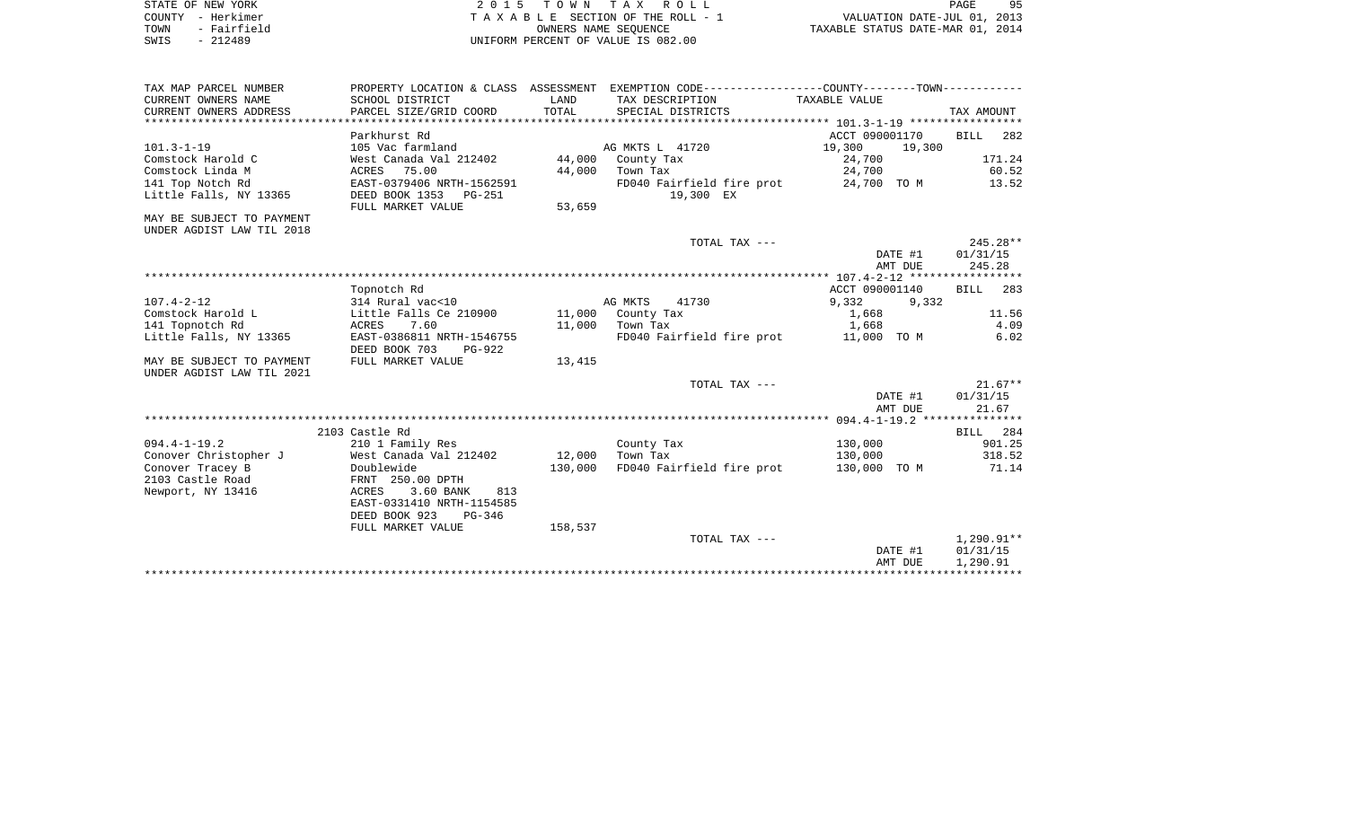|      | STATE OF NEW YORK | 2015 TOWN TAX ROLL                 | 9F<br>PAGE                       |
|------|-------------------|------------------------------------|----------------------------------|
|      | COUNTY - Herkimer | TAXABLE SECTION OF THE ROLL - 1    | VALUATION DATE-JUL 01, 2013      |
| TOWN | - Fairfield       | OWNERS NAME SEOUENCE               | TAXABLE STATUS DATE-MAR 01, 2014 |
| SWIS | - 212489          | UNIFORM PERCENT OF VALUE IS 082.00 |                                  |

| TAX MAP PARCEL NUMBER                         |                                                        |               | PROPERTY LOCATION & CLASS ASSESSMENT EXEMPTION CODE----------------COUNTY-------TOWN----------- |                  |                       |
|-----------------------------------------------|--------------------------------------------------------|---------------|-------------------------------------------------------------------------------------------------|------------------|-----------------------|
| CURRENT OWNERS NAME<br>CURRENT OWNERS ADDRESS | SCHOOL DISTRICT<br>PARCEL SIZE/GRID COORD              | LAND<br>TOTAL | TAX DESCRIPTION<br>SPECIAL DISTRICTS                                                            | TAXABLE VALUE    | TAX AMOUNT            |
|                                               |                                                        |               |                                                                                                 |                  |                       |
|                                               | Parkhurst Rd                                           |               |                                                                                                 | ACCT 090001170   | BILL 282              |
| $101.3 - 1 - 19$                              | 105 Vac farmland                                       |               | AG MKTS L 41720                                                                                 | 19,300<br>19,300 |                       |
| Comstock Harold C                             | West Canada Val 212402                                 | 44,000        | County Tax                                                                                      | 24,700           | 171.24                |
| Comstock Linda M                              | ACRES 75.00                                            | 44,000        | Town Tax                                                                                        | 24,700           | 60.52                 |
| 141 Top Notch Rd                              | EAST-0379406 NRTH-1562591                              |               | FD040 Fairfield fire prot                                                                       | 24,700 TO M      | 13.52                 |
| Little Falls, NY 13365                        | DEED BOOK 1353 PG-251<br>FULL MARKET VALUE             | 53,659        | 19,300 EX                                                                                       |                  |                       |
| MAY BE SUBJECT TO PAYMENT                     |                                                        |               |                                                                                                 |                  |                       |
| UNDER AGDIST LAW TIL 2018                     |                                                        |               |                                                                                                 |                  |                       |
|                                               |                                                        |               | TOTAL TAX ---                                                                                   |                  | $245.28**$            |
|                                               |                                                        |               |                                                                                                 | DATE #1          | 01/31/15              |
|                                               |                                                        |               |                                                                                                 | AMT DUE          | 245.28                |
|                                               |                                                        |               |                                                                                                 | ACCT 090001140   |                       |
| $107.4 - 2 - 12$                              | Topnotch Rd<br>314 Rural vac<10                        |               | AG MKTS<br>41730                                                                                | 9,332<br>9,332   | BILL 283              |
| Comstock Harold L                             | Little Falls Ce 210900                                 |               | 11,000 County Tax                                                                               | 1,668            | 11.56                 |
| 141 Topnotch Rd                               | ACRES 7.60                                             |               | 11,000 Town Tax                                                                                 | 1,668            | 4.09                  |
| Little Falls, NY 13365                        | EAST-0386811 NRTH-1546755                              |               | FD040 Fairfield fire prot 11,000 TO M                                                           |                  | 6.02                  |
|                                               | DEED BOOK 703<br>PG-922                                |               |                                                                                                 |                  |                       |
| MAY BE SUBJECT TO PAYMENT                     | FULL MARKET VALUE                                      | 13,415        |                                                                                                 |                  |                       |
| UNDER AGDIST LAW TIL 2021                     |                                                        |               |                                                                                                 |                  |                       |
|                                               |                                                        |               | TOTAL TAX ---                                                                                   | DATE #1          | $21.67**$<br>01/31/15 |
|                                               |                                                        |               |                                                                                                 | AMT DUE          | 21.67                 |
|                                               |                                                        |               |                                                                                                 |                  |                       |
|                                               | 2103 Castle Rd                                         |               |                                                                                                 |                  | BILL 284              |
| $094.4 - 1 - 19.2$                            | 210 1 Family Res                                       |               | County Tax                                                                                      | 130,000          | 901.25                |
| Conover Christopher J                         | West Canada Val 212402                                 | 12,000        | Town Tax                                                                                        | 130,000          | 318.52                |
| Conover Tracey B                              | Doublewide                                             | 130,000       | FD040 Fairfield fire prot                                                                       | 130,000 TO M     | 71.14                 |
| 2103 Castle Road                              | FRNT 250.00 DPTH                                       |               |                                                                                                 |                  |                       |
| Newport, NY 13416                             | ACRES<br>3.60 BANK<br>813<br>EAST-0331410 NRTH-1154585 |               |                                                                                                 |                  |                       |
|                                               | DEED BOOK 923<br>PG-346                                |               |                                                                                                 |                  |                       |
|                                               | FULL MARKET VALUE                                      | 158,537       |                                                                                                 |                  |                       |
|                                               |                                                        |               | TOTAL TAX ---                                                                                   |                  | 1,290.91**            |
|                                               |                                                        |               |                                                                                                 | DATE #1          | 01/31/15              |
|                                               |                                                        |               |                                                                                                 | AMT DUE          | 1,290.91              |
|                                               |                                                        |               |                                                                                                 |                  |                       |

PAGE 95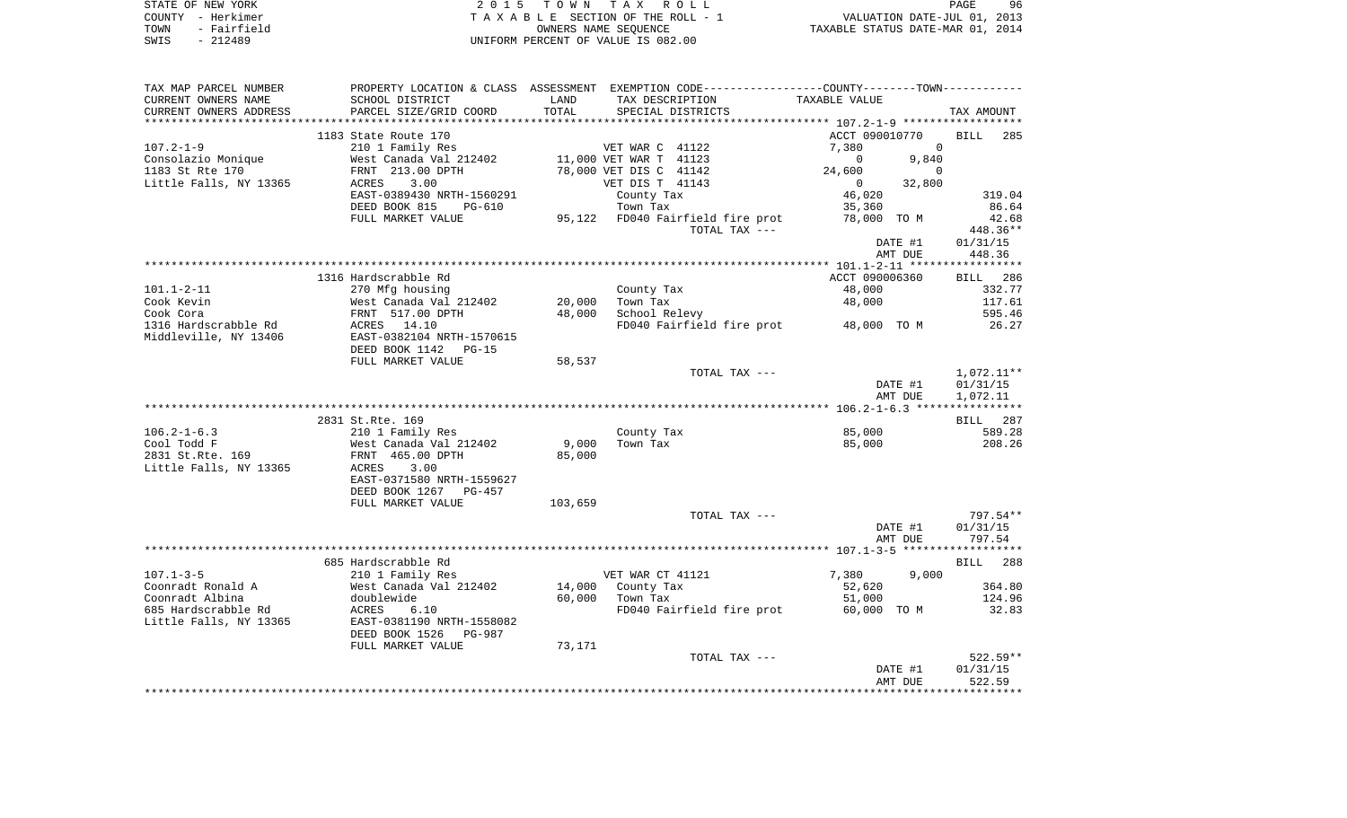| STATE OF NEW YORK   | 2015 TOWN TAX ROLL                 | 96<br>PAGE                       |
|---------------------|------------------------------------|----------------------------------|
| COUNTY - Herkimer   | TAXABLE SECTION OF THE ROLL - 1    | VALUATION DATE-JUL 01, 2013      |
| - Fairfield<br>TOWN | OWNERS NAME SEOUENCE               | TAXABLE STATUS DATE-MAR 01, 2014 |
| - 212489<br>SWIS    | UNIFORM PERCENT OF VALUE IS 082.00 |                                  |

| TAX MAP PARCEL NUMBER  |                           |         | PROPERTY LOCATION & CLASS ASSESSMENT EXEMPTION CODE---------------COUNTY-------TOWN---------- |                          |                    |
|------------------------|---------------------------|---------|-----------------------------------------------------------------------------------------------|--------------------------|--------------------|
| CURRENT OWNERS NAME    | SCHOOL DISTRICT           | LAND    | TAX DESCRIPTION                                                                               | TAXABLE VALUE            |                    |
| CURRENT OWNERS ADDRESS | PARCEL SIZE/GRID COORD    | TOTAL   | SPECIAL DISTRICTS                                                                             |                          | TAX AMOUNT         |
|                        |                           |         |                                                                                               |                          |                    |
|                        | 1183 State Route 170      |         |                                                                                               | ACCT 090010770           | <b>BILL</b><br>285 |
| $107.2 - 1 - 9$        | 210 1 Family Res          |         | VET WAR C 41122                                                                               | 7,380<br>$\overline{0}$  |                    |
| Consolazio Monique     | West Canada Val 212402    |         | 11,000 VET WAR T 41123                                                                        | $\overline{0}$<br>9,840  |                    |
| 1183 St Rte 170        | FRNT 213.00 DPTH          |         | 78,000 VET DIS C 41142                                                                        | 24,600<br>$\Omega$       |                    |
| Little Falls, NY 13365 | ACRES<br>3.00             |         | VET DIS T 41143                                                                               | 32,800<br>$\overline{0}$ |                    |
|                        | EAST-0389430 NRTH-1560291 |         | County Tax                                                                                    | 46,020                   | 319.04             |
|                        | DEED BOOK 815<br>PG-610   |         | Town Tax                                                                                      | 35,360                   | 86.64              |
|                        | FULL MARKET VALUE         |         | 95,122 FD040 Fairfield fire prot                                                              | 78,000 TO M              | 42.68              |
|                        |                           |         | TOTAL TAX ---                                                                                 |                          | 448.36**           |
|                        |                           |         |                                                                                               | DATE #1                  | 01/31/15           |
|                        |                           |         |                                                                                               | AMT DUE                  | 448.36             |
|                        |                           |         |                                                                                               |                          |                    |
|                        | 1316 Hardscrabble Rd      |         |                                                                                               | ACCT 090006360           | 286<br><b>BILL</b> |
| $101.1 - 2 - 11$       | 270 Mfg housing           |         | County Tax                                                                                    | 48,000                   | 332.77             |
| Cook Kevin             | West Canada Val 212402    | 20,000  | Town Tax                                                                                      | 48,000                   | 117.61             |
| Cook Cora              | FRNT 517.00 DPTH          | 48,000  | School Relevy                                                                                 |                          | 595.46             |
| 1316 Hardscrabble Rd   | ACRES 14.10               |         | FD040 Fairfield fire prot 48,000 TO M                                                         |                          | 26.27              |
| Middleville, NY 13406  | EAST-0382104 NRTH-1570615 |         |                                                                                               |                          |                    |
|                        | DEED BOOK 1142<br>PG-15   |         |                                                                                               |                          |                    |
|                        | FULL MARKET VALUE         | 58,537  |                                                                                               |                          |                    |
|                        |                           |         | TOTAL TAX ---                                                                                 |                          | $1,072.11**$       |
|                        |                           |         |                                                                                               | DATE #1                  | 01/31/15           |
|                        |                           |         |                                                                                               | AMT DUE                  | 1,072.11           |
|                        |                           |         |                                                                                               |                          |                    |
|                        | 2831 St.Rte. 169          |         |                                                                                               |                          | BILL 287           |
| $106.2 - 1 - 6.3$      | 210 1 Family Res          |         | County Tax                                                                                    | 85,000                   | 589.28             |
| Cool Todd F            | West Canada Val 212402    | 9,000   | Town Tax                                                                                      | 85,000                   | 208.26             |
| 2831 St.Rte. 169       | FRNT 465.00 DPTH          | 85,000  |                                                                                               |                          |                    |
| Little Falls, NY 13365 | ACRES<br>3.00             |         |                                                                                               |                          |                    |
|                        |                           |         |                                                                                               |                          |                    |
|                        | EAST-0371580 NRTH-1559627 |         |                                                                                               |                          |                    |
|                        | DEED BOOK 1267 PG-457     | 103,659 |                                                                                               |                          |                    |
|                        | FULL MARKET VALUE         |         |                                                                                               |                          |                    |
|                        |                           |         | TOTAL TAX ---                                                                                 |                          | 797.54**           |
|                        |                           |         |                                                                                               | DATE #1                  | 01/31/15           |
|                        |                           |         |                                                                                               | AMT DUE                  | 797.54             |
|                        |                           |         |                                                                                               |                          |                    |
|                        | 685 Hardscrabble Rd       |         |                                                                                               |                          | BILL 288           |
| $107.1 - 3 - 5$        | 210 1 Family Res          |         | VET WAR CT 41121                                                                              | 7,380<br>9.000           |                    |
| Coonradt Ronald A      | West Canada Val 212402    | 14,000  | County Tax                                                                                    | 52,620                   | 364.80             |
| Coonradt Albina        | doublewide                | 60,000  | Town Tax                                                                                      | 51,000                   | 124.96             |
| 685 Hardscrabble Rd    | 6.10<br>ACRES             |         | FD040 Fairfield fire prot 60,000 TO M                                                         |                          | 32.83              |
| Little Falls, NY 13365 | EAST-0381190 NRTH-1558082 |         |                                                                                               |                          |                    |
|                        | DEED BOOK 1526<br>PG-987  |         |                                                                                               |                          |                    |
|                        | FULL MARKET VALUE         | 73,171  |                                                                                               |                          |                    |
|                        |                           |         | TOTAL TAX ---                                                                                 |                          | $522.59**$         |
|                        |                           |         |                                                                                               | DATE #1                  | 01/31/15           |
|                        |                           |         |                                                                                               | AMT DUE                  | 522.59             |
|                        |                           |         |                                                                                               |                          |                    |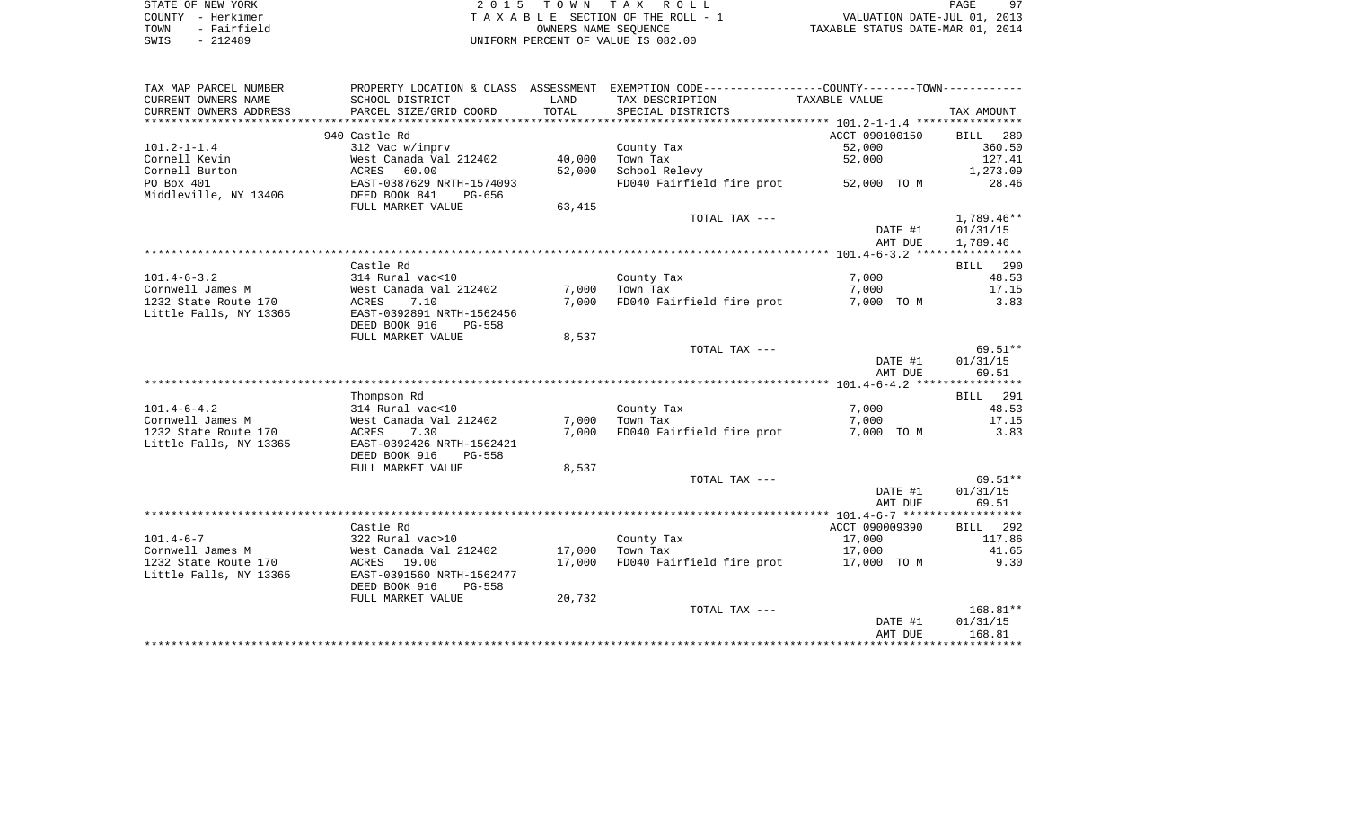| STATE OF NEW YORK   | 2015 TOWN TAX ROLL                 | 97<br>PAGE                       |
|---------------------|------------------------------------|----------------------------------|
| COUNTY - Herkimer   | TAXABLE SECTION OF THE ROLL - 1    | VALUATION DATE-JUL 01, 2013      |
| - Fairfield<br>TOWN | OWNERS NAME SEOUENCE               | TAXABLE STATUS DATE-MAR 01, 2014 |
| - 212489<br>SWIS    | UNIFORM PERCENT OF VALUE IS 082.00 |                                  |

| TAX MAP PARCEL NUMBER  |                                |        | PROPERTY LOCATION & CLASS ASSESSMENT EXEMPTION CODE----------------COUNTY--------TOWN---------- |                |             |
|------------------------|--------------------------------|--------|-------------------------------------------------------------------------------------------------|----------------|-------------|
| CURRENT OWNERS NAME    | SCHOOL DISTRICT                | LAND   | TAX DESCRIPTION                                                                                 | TAXABLE VALUE  |             |
| CURRENT OWNERS ADDRESS | PARCEL SIZE/GRID COORD         | TOTAL  | SPECIAL DISTRICTS                                                                               |                | TAX AMOUNT  |
|                        |                                |        |                                                                                                 |                |             |
|                        | 940 Castle Rd                  |        |                                                                                                 | ACCT 090100150 | 289<br>BILL |
| $101.2 - 1 - 1.4$      | 312 Vac w/imprv                |        | County Tax                                                                                      | 52,000         | 360.50      |
| Cornell Kevin          | West Canada Val 212402         | 40,000 | Town Tax                                                                                        | 52,000         | 127.41      |
| Cornell Burton         | 60.00<br>ACRES                 | 52,000 | School Relevy                                                                                   |                | 1,273.09    |
| PO Box 401             | EAST-0387629 NRTH-1574093      |        | FD040 Fairfield fire prot                                                                       | 52,000 TO M    | 28.46       |
| Middleville, NY 13406  | DEED BOOK 841<br>PG-656        |        |                                                                                                 |                |             |
|                        | FULL MARKET VALUE              | 63,415 |                                                                                                 |                |             |
|                        |                                |        | TOTAL TAX ---                                                                                   |                | 1,789.46**  |
|                        |                                |        |                                                                                                 | DATE #1        | 01/31/15    |
|                        |                                |        |                                                                                                 | AMT DUE        | 1,789.46    |
|                        |                                |        |                                                                                                 |                |             |
|                        | Castle Rd                      |        |                                                                                                 |                | BILL 290    |
| $101.4 - 6 - 3.2$      | 314 Rural vac<10               |        | County Tax                                                                                      | 7,000          | 48.53       |
| Cornwell James M       | West Canada Val 212402         | 7,000  | Town Tax                                                                                        | 7,000          | 17.15       |
| 1232 State Route 170   | 7.10<br>ACRES                  | 7,000  | FD040 Fairfield fire prot                                                                       | 7,000 TO M     | 3.83        |
| Little Falls, NY 13365 | EAST-0392891 NRTH-1562456      |        |                                                                                                 |                |             |
|                        | DEED BOOK 916<br><b>PG-558</b> |        |                                                                                                 |                |             |
|                        | FULL MARKET VALUE              | 8,537  |                                                                                                 |                |             |
|                        |                                |        | TOTAL TAX ---                                                                                   |                | $69.51**$   |
|                        |                                |        |                                                                                                 | DATE #1        | 01/31/15    |
|                        |                                |        |                                                                                                 | AMT DUE        | 69.51       |
|                        |                                |        |                                                                                                 |                |             |
|                        | Thompson Rd                    |        |                                                                                                 |                | BILL 291    |
| $101.4 - 6 - 4.2$      | 314 Rural vac<10               |        | County Tax                                                                                      | 7,000          | 48.53       |
| Cornwell James M       | West Canada Val 212402         | 7,000  | Town Tax                                                                                        | 7,000          | 17.15       |
| 1232 State Route 170   | ACRES<br>7.30                  | 7,000  | FD040 Fairfield fire prot                                                                       | 7,000 TO M     | 3.83        |
| Little Falls, NY 13365 | EAST-0392426 NRTH-1562421      |        |                                                                                                 |                |             |
|                        | DEED BOOK 916<br><b>PG-558</b> |        |                                                                                                 |                |             |
|                        | FULL MARKET VALUE              | 8,537  |                                                                                                 |                |             |
|                        |                                |        | TOTAL TAX ---                                                                                   |                | $69.51**$   |
|                        |                                |        |                                                                                                 | DATE #1        | 01/31/15    |
|                        |                                |        |                                                                                                 | AMT DUE        | 69.51       |
|                        |                                |        |                                                                                                 |                |             |
|                        | Castle Rd                      |        |                                                                                                 | ACCT 090009390 | BILL 292    |
| $101.4 - 6 - 7$        | 322 Rural vac>10               |        | County Tax                                                                                      | 17,000         | 117.86      |
| Cornwell James M       | West Canada Val 212402         | 17,000 | Town Tax                                                                                        | 17,000         | 41.65       |
| 1232 State Route 170   | ACRES<br>19.00                 | 17,000 | FD040 Fairfield fire prot 17,000 TO M                                                           |                | 9.30        |
| Little Falls, NY 13365 | EAST-0391560 NRTH-1562477      |        |                                                                                                 |                |             |
|                        | DEED BOOK 916<br><b>PG-558</b> |        |                                                                                                 |                |             |
|                        | FULL MARKET VALUE              | 20,732 |                                                                                                 |                |             |
|                        |                                |        | TOTAL TAX ---                                                                                   |                | $168.81**$  |
|                        |                                |        |                                                                                                 | DATE #1        | 01/31/15    |
|                        |                                |        |                                                                                                 | AMT DUE        | 168.81      |
|                        |                                |        |                                                                                                 |                |             |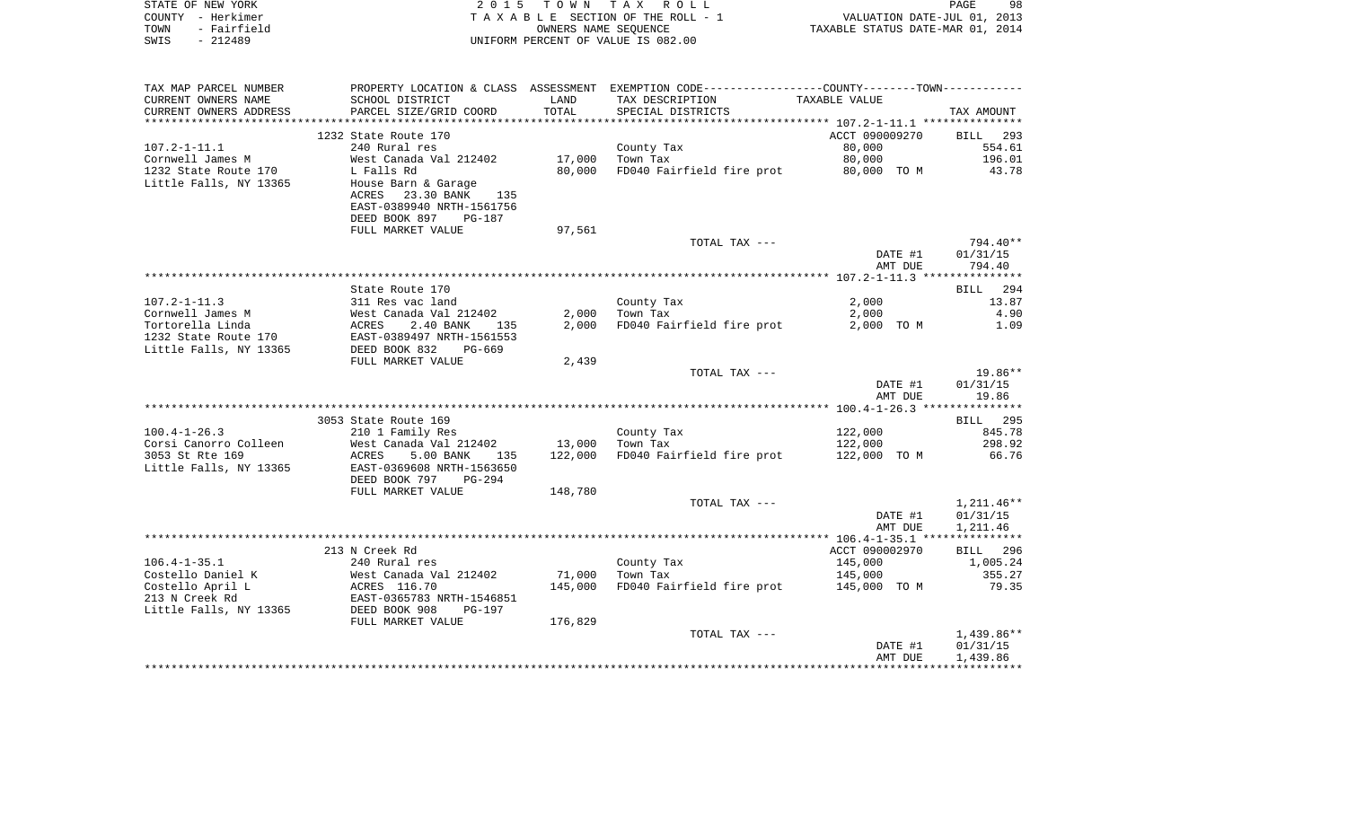| STATE OF NEW YORK                        | 2 0 1 5                                              | T O W N | TAX ROLL                                                                                      |                                  | PAGE<br>98                  |
|------------------------------------------|------------------------------------------------------|---------|-----------------------------------------------------------------------------------------------|----------------------------------|-----------------------------|
| COUNTY - Herkimer<br>- Fairfield<br>TOWN |                                                      |         | TAXABLE SECTION OF THE ROLL - 1<br>OWNERS NAME SEOUENCE                                       | TAXABLE STATUS DATE-MAR 01, 2014 | VALUATION DATE-JUL 01, 2013 |
| $-212489$<br>SWIS                        |                                                      |         | UNIFORM PERCENT OF VALUE IS 082.00                                                            |                                  |                             |
|                                          |                                                      |         |                                                                                               |                                  |                             |
| TAX MAP PARCEL NUMBER                    |                                                      |         | PROPERTY LOCATION & CLASS ASSESSMENT EXEMPTION CODE---------------COUNTY-------TOWN---------- |                                  |                             |
| CURRENT OWNERS NAME                      | SCHOOL DISTRICT                                      | LAND    | TAX DESCRIPTION                                                                               | TAXABLE VALUE                    |                             |
| CURRENT OWNERS ADDRESS                   | PARCEL SIZE/GRID COORD                               | TOTAL   | SPECIAL DISTRICTS                                                                             |                                  | TAX AMOUNT                  |
|                                          |                                                      |         |                                                                                               |                                  |                             |
| $107.2 - 1 - 11.1$                       | 1232 State Route 170<br>240 Rural res                |         | County Tax                                                                                    | ACCT 090009270<br>80,000         | BILL 293<br>554.61          |
| Cornwell James M                         | West Canada Val 212402                               |         | 17,000 Town Tax                                                                               | 80,000                           | 196.01                      |
| 1232 State Route 170                     | L Falls Rd                                           |         | 80,000 FD040 Fairfield fire prot                                                              | 80,000 TO M                      | 43.78                       |
| Little Falls, NY 13365                   | House Barn & Garage                                  |         |                                                                                               |                                  |                             |
|                                          | 23.30 BANK<br>ACRES<br>135                           |         |                                                                                               |                                  |                             |
|                                          | EAST-0389940 NRTH-1561756                            |         |                                                                                               |                                  |                             |
|                                          | DEED BOOK 897<br>PG-187                              |         |                                                                                               |                                  |                             |
|                                          | FULL MARKET VALUE                                    | 97,561  |                                                                                               |                                  |                             |
|                                          |                                                      |         | TOTAL TAX ---                                                                                 |                                  | 794.40**                    |
|                                          |                                                      |         |                                                                                               | DATE #1                          | 01/31/15                    |
|                                          |                                                      |         |                                                                                               | AMT DUE                          | 794.40                      |
|                                          | State Route 170                                      |         |                                                                                               |                                  | BILL 294                    |
| $107.2 - 1 - 11.3$                       | 311 Res vac land                                     |         | County Tax                                                                                    | 2,000                            | 13.87                       |
| Cornwell James M                         |                                                      |         | $2,000$ Town Tax                                                                              | 2,000                            | 4.90                        |
| Tortorella Linda                         | West Canada Val 212402<br>ACRES 2.40 BANK 135        |         | 2,000 FD040 Fairfield fire prot                                                               | 2,000 TO M                       | 1.09                        |
| 1232 State Route 170                     | EAST-0389497 NRTH-1561553                            |         |                                                                                               |                                  |                             |
| Little Falls, NY 13365                   | DEED BOOK 832<br>PG-669                              |         |                                                                                               |                                  |                             |
|                                          | FULL MARKET VALUE                                    | 2,439   |                                                                                               |                                  |                             |
|                                          |                                                      |         | TOTAL TAX ---                                                                                 |                                  | $19.86**$                   |
|                                          |                                                      |         |                                                                                               | DATE #1<br>AMT DUE               | 01/31/15<br>19.86           |
|                                          |                                                      |         |                                                                                               |                                  |                             |
|                                          | 3053 State Route 169                                 |         |                                                                                               |                                  | <b>BILL</b> 295             |
| $100.4 - 1 - 26.3$                       | 210 1 Family Res                                     |         | County Tax                                                                                    | 122,000                          | 845.78                      |
| Corsi Canorro Colleen                    | West Canada Val 212402                               |         | 13,000 Town Tax                                                                               | 122,000                          | 298.92                      |
| 3053 St Rte 169                          | ACRES<br>5.00 BANK<br>135                            | 122,000 | FD040 Fairfield fire prot                                                                     | 122,000 TO M                     | 66.76                       |
| Little Falls, NY 13365                   | EAST-0369608 NRTH-1563650                            |         |                                                                                               |                                  |                             |
|                                          | DEED BOOK 797 PG-294                                 |         |                                                                                               |                                  |                             |
|                                          | FULL MARKET VALUE                                    | 148,780 | TOTAL TAX ---                                                                                 |                                  | $1,211.46**$                |
|                                          |                                                      |         |                                                                                               | DATE #1                          | 01/31/15                    |
|                                          |                                                      |         |                                                                                               | AMT DUE                          | 1,211.46                    |
|                                          |                                                      |         |                                                                                               |                                  |                             |
|                                          | 213 N Creek Rd                                       |         |                                                                                               | ACCT 090002970                   | BILL 296                    |
| $106.4 - 1 - 35.1$                       | 240 Rural res                                        |         | County Tax                                                                                    | 145,000                          | 1,005.24                    |
| Costello Daniel K                        | West Canada Val 212402<br>ACRES 116.70               |         | 71,000 Town Tax                                                                               | 145,000                          | 355.27                      |
| Costello April L                         |                                                      | 145,000 | FD040 Fairfield fire prot                                                                     | 145,000 TO M                     | 79.35                       |
| 213 N Creek Rd                           | EAST-0365783 NRTH-1546851                            |         |                                                                                               |                                  |                             |
| Little Falls, NY 13365                   | DEED BOOK 908<br><b>PG-197</b><br>FIILL MADKET WALLE | 17690   |                                                                                               |                                  |                             |
|                                          |                                                      |         |                                                                                               |                                  |                             |

| FULL MARALI VALUL | $1/0$ , 042 |               |         |              |
|-------------------|-------------|---------------|---------|--------------|
|                   |             | TOTAL TAX --- |         | $1,439.86**$ |
|                   |             |               | DATE #1 | 01/31/15     |
|                   |             |               | AMT DUE | 1,439.86     |
|                   |             |               |         |              |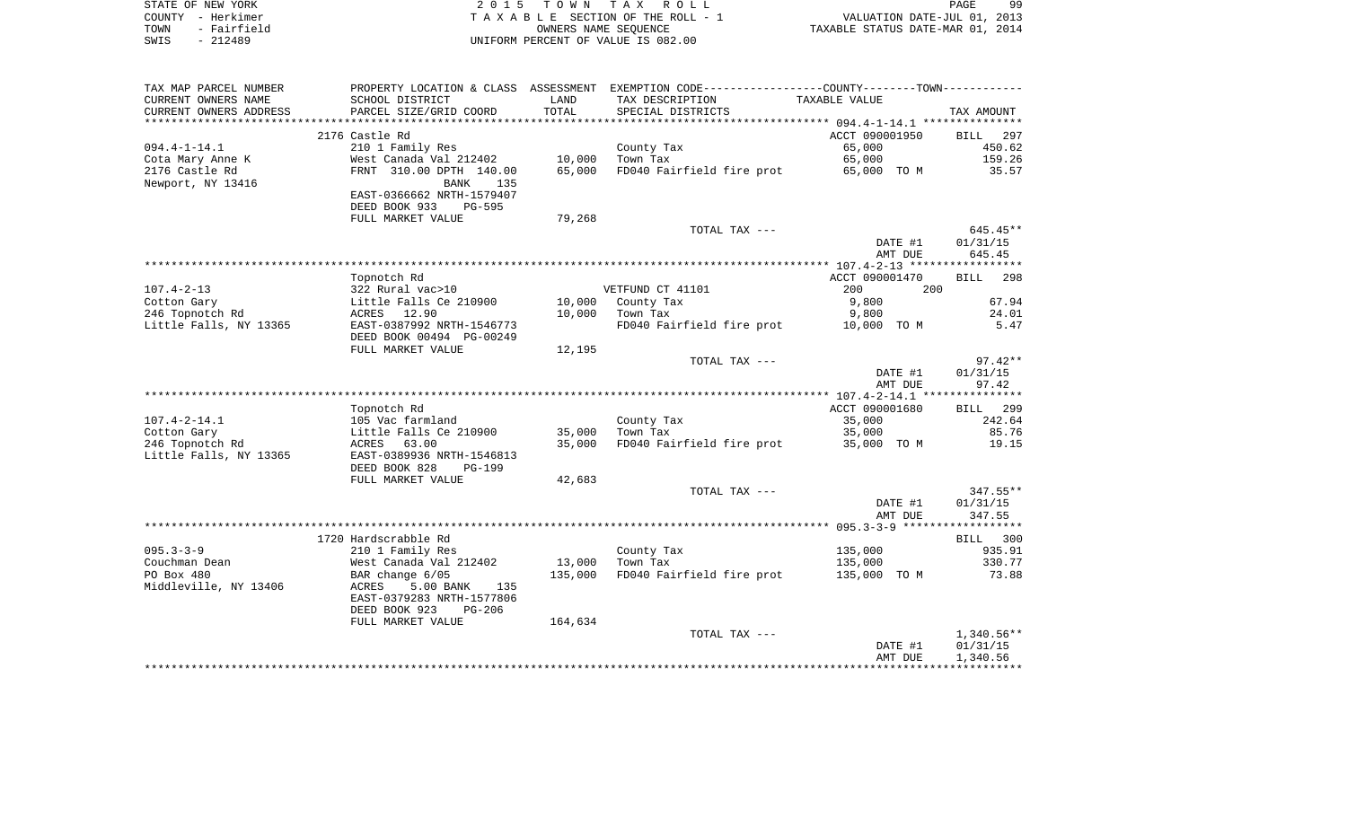| STATE OF NEW YORK   | 2015 TOWN TAX ROLL                 | 99<br>PAGE                       |
|---------------------|------------------------------------|----------------------------------|
| COUNTY - Herkimer   | TAXABLE SECTION OF THE ROLL - 1    | VALUATION DATE-JUL 01, 2013      |
| - Fairfield<br>TOWN | OWNERS NAME SEOUENCE               | TAXABLE STATUS DATE-MAR 01, 2014 |
| SWIS<br>- 212489    | UNIFORM PERCENT OF VALUE IS 082.00 |                                  |

| TAX MAP PARCEL NUMBER   |                                           |                   | PROPERTY LOCATION & CLASS ASSESSMENT EXEMPTION CODE---------------COUNTY-------TOWN---------- |                |                    |
|-------------------------|-------------------------------------------|-------------------|-----------------------------------------------------------------------------------------------|----------------|--------------------|
| CURRENT OWNERS NAME     | SCHOOL DISTRICT                           | LAND              | TAX DESCRIPTION                                                                               | TAXABLE VALUE  |                    |
| CURRENT OWNERS ADDRESS  | PARCEL SIZE/GRID COORD                    | TOTAL             | SPECIAL DISTRICTS                                                                             |                | TAX AMOUNT         |
| *********************** |                                           |                   |                                                                                               |                |                    |
|                         | 2176 Castle Rd                            |                   |                                                                                               | ACCT 090001950 | <b>BILL</b><br>297 |
| $094.4 - 1 - 14.1$      | 210 1 Family Res                          |                   | County Tax                                                                                    | 65,000         | 450.62             |
| Cota Mary Anne K        | West Canada Val 212402                    | 10,000            | Town Tax                                                                                      | 65,000         | 159.26             |
| 2176 Castle Rd          | FRNT 310.00 DPTH 140.00                   | 65,000            | FD040 Fairfield fire prot 65,000 TO M                                                         |                | 35.57              |
| Newport, NY 13416       | 135<br>BANK                               |                   |                                                                                               |                |                    |
|                         | EAST-0366662 NRTH-1579407                 |                   |                                                                                               |                |                    |
|                         | DEED BOOK 933<br><b>PG-595</b>            |                   |                                                                                               |                |                    |
|                         | FULL MARKET VALUE                         | 79,268            |                                                                                               |                |                    |
|                         |                                           |                   | TOTAL TAX ---                                                                                 |                | $645.45**$         |
|                         |                                           |                   |                                                                                               | DATE #1        | 01/31/15           |
|                         |                                           |                   |                                                                                               | AMT DUE        | 645.45             |
|                         |                                           |                   |                                                                                               |                |                    |
|                         | Topnotch Rd                               |                   |                                                                                               | ACCT 090001470 | <b>BILL</b><br>298 |
| $107.4 - 2 - 13$        | 322 Rural vac>10                          |                   | VETFUND CT 41101                                                                              | 200            | 200                |
| Cotton Gary             | Little Falls Ce 210900                    | 10,000            | County Tax                                                                                    | 9,800          | 67.94              |
| 246 Topnotch Rd         | ACRES 12.90                               | 10,000            | Town Tax                                                                                      | 9,800          | 24.01              |
| Little Falls, NY 13365  | EAST-0387992 NRTH-1546773                 |                   | FD040 Fairfield fire prot 10,000 TO M                                                         |                | 5.47               |
|                         | DEED BOOK 00494 PG-00249                  |                   |                                                                                               |                |                    |
|                         | FULL MARKET VALUE                         | 12,195            |                                                                                               |                |                    |
|                         |                                           |                   | TOTAL TAX ---                                                                                 |                | $97.42**$          |
|                         |                                           |                   |                                                                                               | DATE #1        | 01/31/15           |
|                         |                                           |                   |                                                                                               | AMT DUE        | 97.42              |
|                         |                                           |                   |                                                                                               |                |                    |
|                         | Topnotch Rd                               |                   |                                                                                               | ACCT 090001680 | BILL 299           |
| $107.4 - 2 - 14.1$      | 105 Vac farmland                          |                   | County Tax                                                                                    | 35,000         | 242.64             |
| Cotton Gary             | Little Falls Ce 210900                    | 35,000            | Town Tax                                                                                      | 35,000         | 85.76              |
| 246 Topnotch Rd         | 63.00<br>ACRES                            | 35,000            | FD040 Fairfield fire prot                                                                     | 35,000 TO M    | 19.15              |
| Little Falls, NY 13365  | EAST-0389936 NRTH-1546813                 |                   |                                                                                               |                |                    |
|                         | DEED BOOK 828<br><b>PG-199</b>            |                   |                                                                                               |                |                    |
|                         | FULL MARKET VALUE                         | 42,683            |                                                                                               |                |                    |
|                         |                                           |                   | TOTAL TAX ---                                                                                 |                | $347.55**$         |
|                         |                                           |                   |                                                                                               | DATE #1        | 01/31/15           |
|                         |                                           |                   |                                                                                               | AMT DUE        | 347.55             |
|                         |                                           |                   |                                                                                               |                | BILL 300           |
| $095.3 - 3 - 9$         | 1720 Hardscrabble Rd                      |                   |                                                                                               |                | 935.91             |
| Couchman Dean           | 210 1 Family Res                          |                   | County Tax<br>Town Tax                                                                        | 135,000        | 330.77             |
| PO Box 480              | West Canada Val 212402<br>BAR change 6/05 | 13,000<br>135,000 | FD040 Fairfield fire prot 135,000 TO M                                                        | 135,000        | 73.88              |
| Middleville, NY 13406   | ACRES<br>5.00 BANK<br>135                 |                   |                                                                                               |                |                    |
|                         | EAST-0379283 NRTH-1577806                 |                   |                                                                                               |                |                    |
|                         | DEED BOOK 923<br>PG-206                   |                   |                                                                                               |                |                    |
|                         | FULL MARKET VALUE                         | 164,634           |                                                                                               |                |                    |
|                         |                                           |                   | TOTAL TAX ---                                                                                 |                | $1,340.56**$       |
|                         |                                           |                   |                                                                                               | DATE #1        | 01/31/15           |
|                         |                                           |                   |                                                                                               | AMT DUE        | 1,340.56           |
|                         |                                           |                   |                                                                                               |                |                    |
|                         |                                           |                   |                                                                                               |                |                    |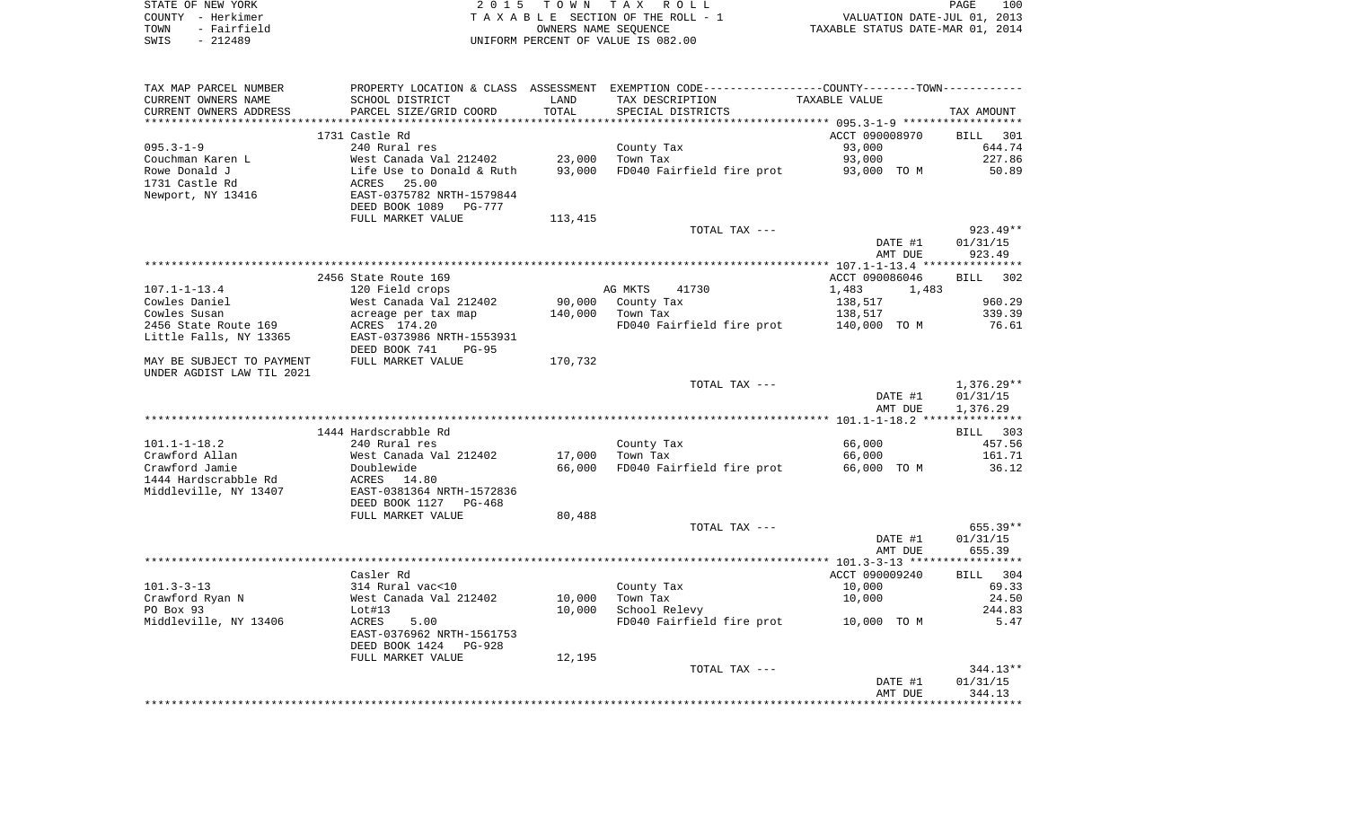| STATE OF NEW YORK   | 2015 TOWN TAX ROLL                 | 100<br>PAGE                      |
|---------------------|------------------------------------|----------------------------------|
| COUNTY - Herkimer   | TAXABLE SECTION OF THE ROLL - 1    | VALUATION DATE-JUL 01, 2013      |
| - Fairfield<br>TOWN | OWNERS NAME SEOUENCE               | TAXABLE STATUS DATE-MAR 01, 2014 |
| $-212489$<br>SWIS   | INIFORM PERCENT OF VALUE IS 082.00 |                                  |

 $\begin{array}{c} 100 \\ 2013 \\ 2014 \end{array}$ 

| TAX MAP PARCEL NUMBER     |                                                                                                 |         | PROPERTY LOCATION & CLASS ASSESSMENT EXEMPTION CODE----------------COUNTY--------TOWN---------- |                |              |
|---------------------------|-------------------------------------------------------------------------------------------------|---------|-------------------------------------------------------------------------------------------------|----------------|--------------|
| CURRENT OWNERS NAME       | SCHOOL DISTRICT                                                                                 | LAND    | TAX DESCRIPTION                                                                                 | TAXABLE VALUE  |              |
| CURRENT OWNERS ADDRESS    | PARCEL SIZE/GRID COORD                                                                          | TOTAL   | SPECIAL DISTRICTS                                                                               |                | TAX AMOUNT   |
|                           |                                                                                                 |         |                                                                                                 |                |              |
|                           | 1731 Castle Rd                                                                                  |         |                                                                                                 | ACCT 090008970 | BILL 301     |
| $095.3 - 1 - 9$           | 240 Rural res                                                                                   |         | County Tax                                                                                      | 93,000         | 644.74       |
| Couchman Karen L          | West Canada Val 212402                                                                          | 23,000  | Town Tax                                                                                        | 93,000         | 227.86       |
| Rowe Donald J             |                                                                                                 | 93,000  | FD040 Fairfield fire prot                                                                       | 93,000 TO M    | 50.89        |
| 1731 Castle Rd            | West Canada Val 212402<br>Life Use to Donald & Ruth<br>ACRES 25.00<br>EAST-0375782 NRTH-1579844 |         |                                                                                                 |                |              |
| Newport, NY 13416         |                                                                                                 |         |                                                                                                 |                |              |
|                           | DEED BOOK 1089 PG-777                                                                           |         |                                                                                                 |                |              |
|                           | FULL MARKET VALUE                                                                               | 113,415 |                                                                                                 |                |              |
|                           |                                                                                                 |         | TOTAL TAX ---                                                                                   |                | $923.49**$   |
|                           |                                                                                                 |         |                                                                                                 | DATE #1        | 01/31/15     |
|                           |                                                                                                 |         |                                                                                                 | AMT DUE        | 923.49       |
|                           |                                                                                                 |         |                                                                                                 |                |              |
|                           | 2456 State Route 169                                                                            |         |                                                                                                 | ACCT 090086046 | BILL 302     |
| 107.1-1-13.4              | 120 Field crops                                                                                 |         | 41730<br>AG MKTS                                                                                | 1,483<br>1,483 |              |
| Cowles Daniel             | West Canada Val 212402                                                                          |         | 90,000 County Tax                                                                               | 138,517        | 960.29       |
| Cowles Susan              | West Canada Val 2124<br>acreage per tax map                                                     | 140,000 | Town Tax                                                                                        | 138,517        | 339.39       |
| 2456 State Route 169      | ACRES 174.20                                                                                    |         | FD040 Fairfield fire prot 140,000 TO M                                                          |                | 76.61        |
| Little Falls, NY 13365    | EAST-0373986 NRTH-1553931                                                                       |         |                                                                                                 |                |              |
|                           | DEED BOOK 741<br>$PG-95$                                                                        |         |                                                                                                 |                |              |
| MAY BE SUBJECT TO PAYMENT | FULL MARKET VALUE                                                                               | 170,732 |                                                                                                 |                |              |
| UNDER AGDIST LAW TIL 2021 |                                                                                                 |         |                                                                                                 |                |              |
|                           |                                                                                                 |         | TOTAL TAX ---                                                                                   |                | $1,376.29**$ |
|                           |                                                                                                 |         |                                                                                                 | DATE #1        | 01/31/15     |
|                           |                                                                                                 |         |                                                                                                 | AMT DUE        | 1,376.29     |
|                           |                                                                                                 |         |                                                                                                 |                |              |
|                           | 1444 Hardscrabble Rd                                                                            |         |                                                                                                 |                | BILL 303     |
| $101.1 - 1 - 18.2$        | 240 Rural res                                                                                   |         | County Tax                                                                                      | 66,000         | 457.56       |
| Crawford Allan            | West Canada Val 212402                                                                          | 17,000  | Town Tax                                                                                        | 66,000         | 161.71       |
| Crawford Jamie            | Doublewide                                                                                      | 66,000  | FD040 Fairfield fire prot                                                                       | 66,000 TO M    | 36.12        |
| 1444 Hardscrabble Rd      | ACRES 14.80                                                                                     |         |                                                                                                 |                |              |
| Middleville, NY 13407     | EAST-0381364 NRTH-1572836                                                                       |         |                                                                                                 |                |              |
|                           | DEED BOOK 1127 PG-468                                                                           |         |                                                                                                 |                |              |
|                           | FULL MARKET VALUE                                                                               | 80,488  |                                                                                                 |                |              |
|                           |                                                                                                 |         | TOTAL TAX ---                                                                                   |                | $655.39**$   |
|                           |                                                                                                 |         |                                                                                                 | DATE #1        | 01/31/15     |
|                           |                                                                                                 |         |                                                                                                 | AMT DUE        | 655.39       |
|                           |                                                                                                 |         |                                                                                                 |                |              |
|                           | Casler Rd                                                                                       |         |                                                                                                 | ACCT 090009240 | BILL 304     |
| $101.3 - 3 - 13$          | 314 Rural vac<10<br>West Canada Val 212402                                                      |         | County Tax                                                                                      | 10,000         | 69.33        |
| Crawford Ryan N           |                                                                                                 | 10,000  | Town Tax                                                                                        | 10,000         | 24.50        |
| PO Box 93                 | Lot#13                                                                                          | 10,000  | School Relevy                                                                                   |                | 244.83       |
| Middleville, NY 13406     | ACRES<br>5.00                                                                                   |         | FD040 Fairfield fire prot                                                                       | 10,000 TO M    | 5.47         |
|                           | EAST-0376962 NRTH-1561753                                                                       |         |                                                                                                 |                |              |
|                           | DEED BOOK 1424 PG-928                                                                           |         |                                                                                                 |                |              |
|                           | FULL MARKET VALUE                                                                               | 12,195  |                                                                                                 |                |              |
|                           |                                                                                                 |         | TOTAL TAX ---                                                                                   |                | $344.13**$   |
|                           |                                                                                                 |         |                                                                                                 | DATE #1        | 01/31/15     |
|                           |                                                                                                 |         |                                                                                                 | AMT DUE        | 344.13       |
|                           |                                                                                                 |         |                                                                                                 |                |              |
|                           |                                                                                                 |         |                                                                                                 |                |              |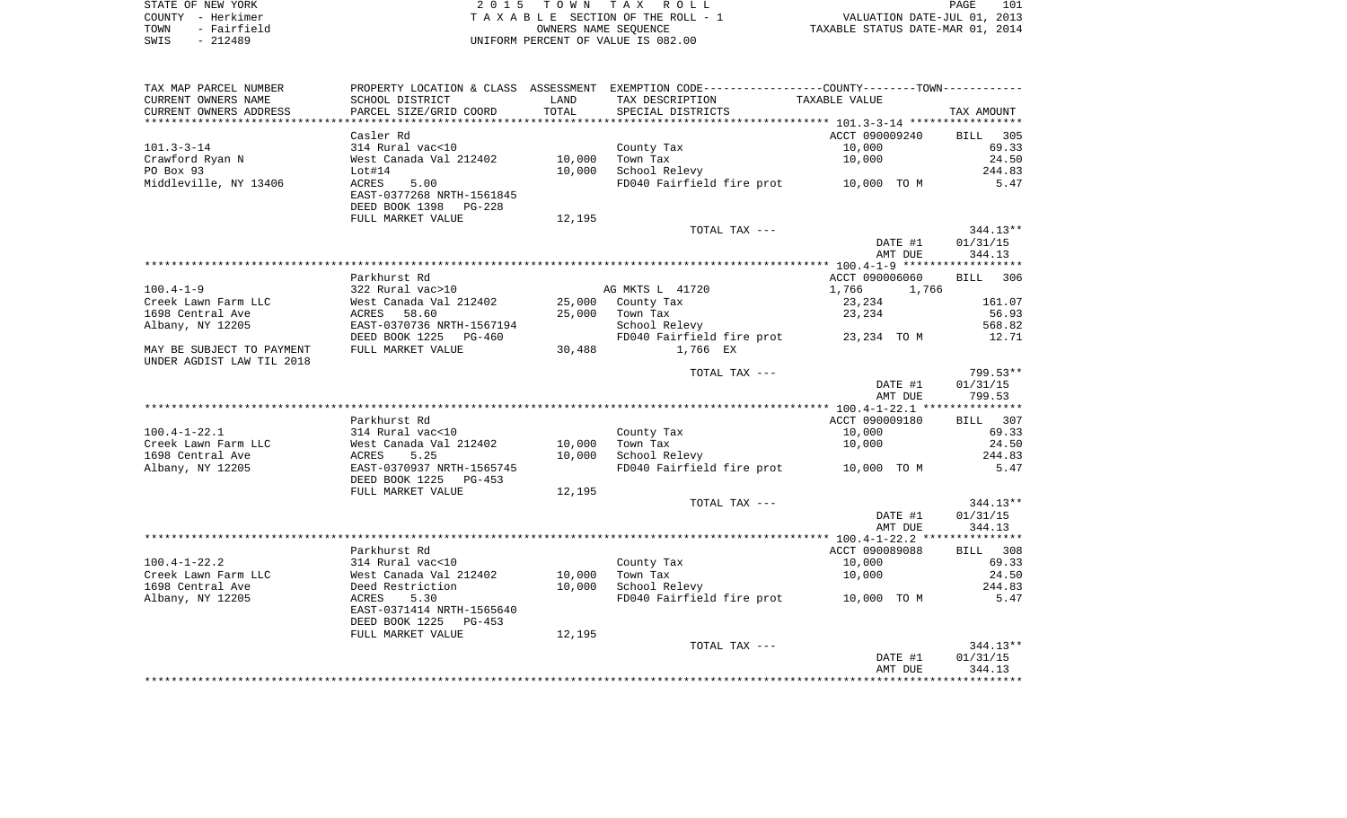| STATE OF NEW YORK   | 2015 TOWN TAX ROLL                 | 101<br>PAGE                      |
|---------------------|------------------------------------|----------------------------------|
| COUNTY - Herkimer   | TAXABLE SECTION OF THE ROLL - 1    | VALUATION DATE-JUL 01, 2013      |
| - Fairfield<br>TOWN | OWNERS NAME SEOUENCE               | TAXABLE STATUS DATE-MAR 01, 2014 |
| $-212489$<br>SWIS   | UNIFORM PERCENT OF VALUE IS 082.00 |                                  |

| TAX MAP PARCEL NUMBER     |                           |        | PROPERTY LOCATION & CLASS ASSESSMENT EXEMPTION CODE---------------COUNTY-------TOWN---------- |                |                    |
|---------------------------|---------------------------|--------|-----------------------------------------------------------------------------------------------|----------------|--------------------|
| CURRENT OWNERS NAME       | SCHOOL DISTRICT           | LAND   | TAX DESCRIPTION                                                                               | TAXABLE VALUE  |                    |
| CURRENT OWNERS ADDRESS    | PARCEL SIZE/GRID COORD    | TOTAL  | SPECIAL DISTRICTS                                                                             |                | TAX AMOUNT         |
|                           |                           |        |                                                                                               |                |                    |
|                           | Casler Rd                 |        |                                                                                               | ACCT 090009240 | <b>BILL</b><br>305 |
| $101.3 - 3 - 14$          | 314 Rural vac<10          |        | County Tax                                                                                    | 10,000         | 69.33              |
| Crawford Ryan N           | West Canada Val 212402    | 10,000 | Town Tax                                                                                      | 10,000         | 24.50              |
| PO Box 93                 | Lot#14                    | 10,000 | School Relevy                                                                                 |                | 244.83             |
| Middleville, NY 13406     | 5.00<br>ACRES             |        | FD040 Fairfield fire prot 10,000 TO M                                                         |                | 5.47               |
|                           | EAST-0377268 NRTH-1561845 |        |                                                                                               |                |                    |
|                           | DEED BOOK 1398<br>PG-228  |        |                                                                                               |                |                    |
|                           | FULL MARKET VALUE         | 12,195 |                                                                                               |                |                    |
|                           |                           |        | TOTAL TAX ---                                                                                 |                | $344.13**$         |
|                           |                           |        |                                                                                               | DATE #1        | 01/31/15           |
|                           |                           |        |                                                                                               | AMT DUE        | 344.13             |
|                           |                           |        |                                                                                               |                |                    |
|                           | Parkhurst Rd              |        |                                                                                               | ACCT 090006060 | BILL 306           |
| $100.4 - 1 - 9$           | 322 Rural vac>10          |        | AG MKTS L 41720                                                                               | 1,766<br>1,766 |                    |
| Creek Lawn Farm LLC       | West Canada Val 212402    | 25,000 | County Tax                                                                                    | 23,234         | 161.07             |
| 1698 Central Ave          | 58.60<br>ACRES            | 25,000 | Town Tax                                                                                      | 23,234         | 56.93              |
| Albany, NY 12205          | EAST-0370736 NRTH-1567194 |        | School Relevy                                                                                 |                | 568.82             |
|                           | DEED BOOK 1225<br>PG-460  |        | FD040 Fairfield fire prot                                                                     | 23,234 TO M    | 12.71              |
| MAY BE SUBJECT TO PAYMENT | FULL MARKET VALUE         | 30,488 | 1,766 EX                                                                                      |                |                    |
| UNDER AGDIST LAW TIL 2018 |                           |        |                                                                                               |                |                    |
|                           |                           |        | TOTAL TAX ---                                                                                 |                | 799.53**           |
|                           |                           |        |                                                                                               | DATE #1        | 01/31/15           |
|                           |                           |        |                                                                                               | AMT DUE        | 799.53             |
|                           |                           |        |                                                                                               |                |                    |
|                           | Parkhurst Rd              |        |                                                                                               | ACCT 090009180 | BILL 307           |
| $100.4 - 1 - 22.1$        | 314 Rural vac<10          |        | County Tax                                                                                    | 10,000         | 69.33              |
| Creek Lawn Farm LLC       | West Canada Val 212402    | 10,000 | Town Tax                                                                                      | 10,000         | 24.50              |
| 1698 Central Ave          | ACRES<br>5.25             | 10,000 | School Relevy                                                                                 |                | 244.83             |
| Albany, NY 12205          | EAST-0370937 NRTH-1565745 |        | FD040 Fairfield fire prot                                                                     | 10,000 TO M    | 5.47               |
|                           | DEED BOOK 1225<br>PG-453  |        |                                                                                               |                |                    |
|                           | FULL MARKET VALUE         | 12,195 |                                                                                               |                |                    |
|                           |                           |        | TOTAL TAX ---                                                                                 |                | $344.13**$         |
|                           |                           |        |                                                                                               | DATE #1        | 01/31/15           |
|                           |                           |        |                                                                                               | AMT DUE        | 344.13             |
|                           |                           |        |                                                                                               |                |                    |
|                           | Parkhurst Rd              |        |                                                                                               | ACCT 090089088 | BILL 308           |
| $100.4 - 1 - 22.2$        | 314 Rural vac<10          |        | County Tax                                                                                    | 10,000         | 69.33              |
| Creek Lawn Farm LLC       | West Canada Val 212402    | 10,000 | Town Tax                                                                                      | 10,000         | 24.50              |
| 1698 Central Ave          | Deed Restriction          | 10,000 | School Relevy                                                                                 |                | 244.83             |
| Albany, NY 12205          | ACRES<br>5.30             |        | FD040 Fairfield fire prot                                                                     | 10,000 TO M    | 5.47               |
|                           | EAST-0371414 NRTH-1565640 |        |                                                                                               |                |                    |
|                           | DEED BOOK 1225<br>PG-453  |        |                                                                                               |                |                    |
|                           | FULL MARKET VALUE         | 12,195 |                                                                                               |                |                    |
|                           |                           |        | TOTAL TAX ---                                                                                 |                | $344.13**$         |
|                           |                           |        |                                                                                               | DATE #1        | 01/31/15           |
|                           |                           |        |                                                                                               | AMT DUE        | 344.13             |
|                           |                           |        |                                                                                               |                |                    |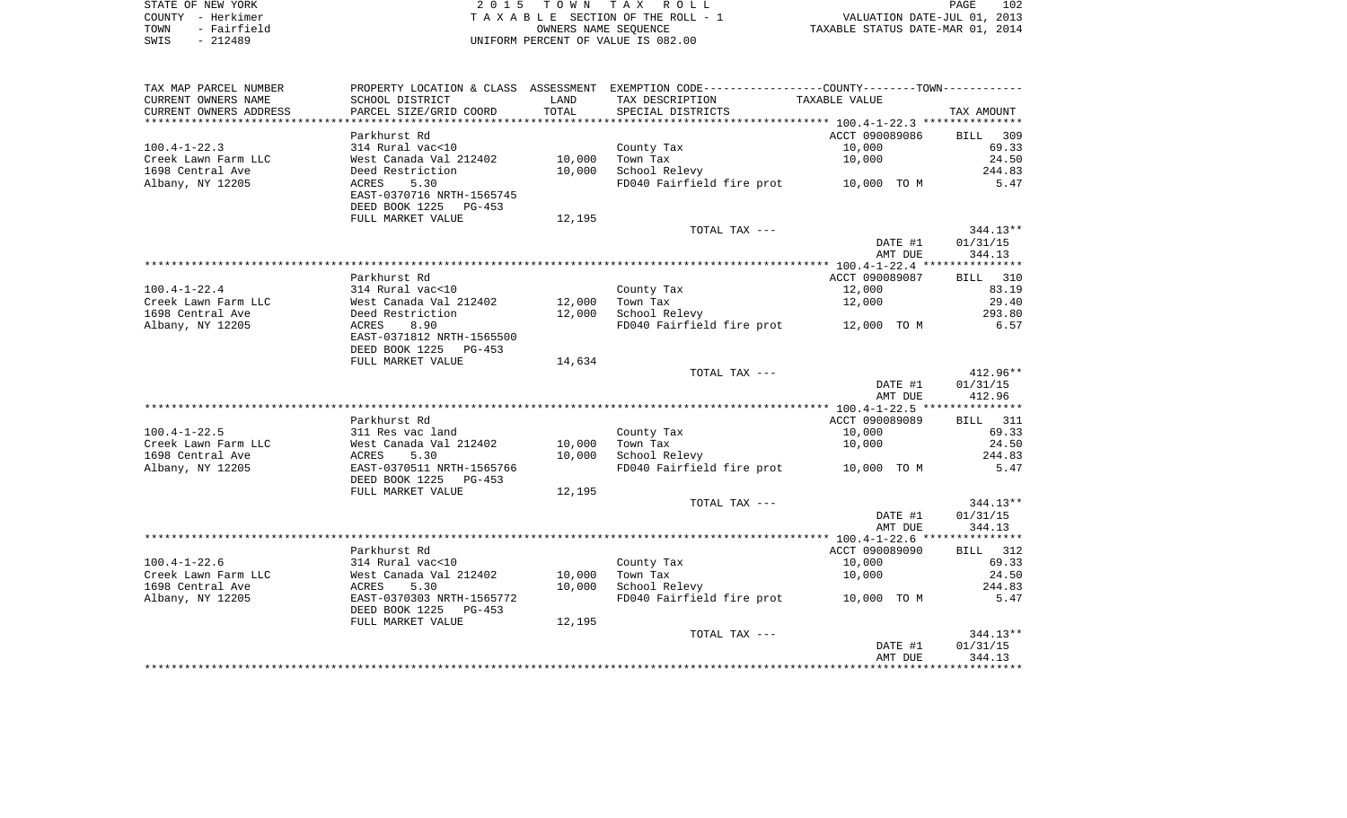|      | STATE OF NEW YORK | 2015 TOWN TAX ROLL                 | 102<br>PAGE                      |
|------|-------------------|------------------------------------|----------------------------------|
|      | COUNTY - Herkimer | TAXABLE SECTION OF THE ROLL - 1    | VALUATION DATE-JUL 01, 2013      |
| TOWN | - Fairfield       | OWNERS NAME SEOUENCE               | TAXABLE STATUS DATE-MAR 01, 2014 |
| SWIS | $-212489$         | UNIFORM PERCENT OF VALUE IS 082.00 |                                  |

| TAX MAP PARCEL NUMBER  |                                                       |                  | PROPERTY LOCATION & CLASS ASSESSMENT EXEMPTION CODE---------------COUNTY-------TOWN---------- |                |                 |
|------------------------|-------------------------------------------------------|------------------|-----------------------------------------------------------------------------------------------|----------------|-----------------|
| CURRENT OWNERS NAME    | SCHOOL DISTRICT                                       | LAND             | TAX DESCRIPTION                                                                               | TAXABLE VALUE  |                 |
| CURRENT OWNERS ADDRESS | PARCEL SIZE/GRID COORD                                | TOTAL            | SPECIAL DISTRICTS                                                                             |                | TAX AMOUNT      |
|                        |                                                       |                  |                                                                                               |                |                 |
|                        | Parkhurst Rd                                          |                  |                                                                                               | ACCT 090089086 | BILL 309        |
| $100.4 - 1 - 22.3$     | 314 Rural vac<10                                      |                  | County Tax                                                                                    | 10,000         | 69.33           |
| Creek Lawn Farm LLC    | West Canada Val 212402                                | 10,000           | Town Tax                                                                                      | 10,000         | 24.50           |
| 1698 Central Ave       | Deed Restriction                                      | 10,000           | School Relevy                                                                                 |                | 244.83          |
| Albany, NY 12205       | ACRES<br>5.30                                         |                  | FD040 Fairfield fire prot 10,000 TO M                                                         |                | 5.47            |
|                        | EAST-0370716 NRTH-1565745                             |                  |                                                                                               |                |                 |
|                        | DEED BOOK 1225 PG-453                                 |                  |                                                                                               |                |                 |
|                        | FULL MARKET VALUE                                     | 12,195           |                                                                                               |                |                 |
|                        |                                                       |                  | TOTAL TAX ---                                                                                 |                | $344.13**$      |
|                        |                                                       |                  |                                                                                               | DATE #1        | 01/31/15        |
|                        |                                                       |                  |                                                                                               | AMT DUE        | 344.13          |
|                        |                                                       |                  |                                                                                               |                |                 |
|                        | Parkhurst Rd                                          |                  |                                                                                               | ACCT 090089087 | BILL 310        |
| $100.4 - 1 - 22.4$     | 314 Rural vac<10                                      |                  | County Tax                                                                                    | 12,000         | 83.19           |
| Creek Lawn Farm LLC    | West Canada Val 212402                                | 12,000<br>12,000 | Town Tax<br>School Relevy                                                                     | 12,000         | 29.40<br>293.80 |
| 1698 Central Ave       | Deed Restriction<br>8.90<br>ACRES                     |                  | FD040 Fairfield fire prot 12,000 TO M                                                         |                | 6.57            |
| Albany, NY 12205       | EAST-0371812 NRTH-1565500                             |                  |                                                                                               |                |                 |
|                        | DEED BOOK 1225 PG-453                                 |                  |                                                                                               |                |                 |
|                        | FULL MARKET VALUE                                     | 14,634           |                                                                                               |                |                 |
|                        |                                                       |                  | TOTAL TAX ---                                                                                 |                | $412.96**$      |
|                        |                                                       |                  |                                                                                               | DATE #1        | 01/31/15        |
|                        |                                                       |                  |                                                                                               | AMT DUE        | 412.96          |
|                        |                                                       |                  |                                                                                               |                |                 |
|                        | Parkhurst Rd                                          |                  |                                                                                               | ACCT 090089089 | BILL 311        |
| $100.4 - 1 - 22.5$     | 311 Res vac land                                      |                  | County Tax                                                                                    | 10,000         | 69.33           |
| Creek Lawn Farm LLC    | West Canada Val 212402                                | 10,000           | Town Tax                                                                                      | 10,000         | 24.50           |
| 1698 Central Ave       | 5.30<br>ACRES                                         | 10,000           | School Relevy                                                                                 |                | 244.83          |
| Albany, NY 12205       | EAST-0370511 NRTH-1565766                             |                  | FD040 Fairfield fire prot 10,000 TO M                                                         |                | 5.47            |
|                        | DEED BOOK 1225<br>PG-453                              |                  |                                                                                               |                |                 |
|                        | FULL MARKET VALUE                                     | 12,195           |                                                                                               |                |                 |
|                        |                                                       |                  | TOTAL TAX ---                                                                                 |                | $344.13**$      |
|                        |                                                       |                  |                                                                                               | DATE #1        | 01/31/15        |
|                        |                                                       |                  |                                                                                               | AMT DUE        | 344.13          |
|                        |                                                       |                  |                                                                                               |                |                 |
|                        | Parkhurst Rd                                          |                  |                                                                                               | ACCT 090089090 | BILL 312        |
| $100.4 - 1 - 22.6$     | 314 Rural vac<10                                      |                  | County Tax                                                                                    | 10,000         | 69.33           |
| Creek Lawn Farm LLC    | West Canada Val 212402                                | 10,000           | Town Tax                                                                                      | 10,000         | 24.50           |
| 1698 Central Ave       | 5.30<br>ACRES                                         | 10,000           | School Relevy                                                                                 |                | 244.83          |
| Albany, NY 12205       | EAST-0370303 NRTH-1565772<br>DEED BOOK 1225<br>PG-453 |                  | FD040 Fairfield fire prot 10,000 TO M                                                         |                | 5.47            |
|                        | FULL MARKET VALUE                                     | 12,195           |                                                                                               |                |                 |
|                        |                                                       |                  | TOTAL TAX ---                                                                                 |                | $344.13**$      |
|                        |                                                       |                  |                                                                                               | DATE #1        | 01/31/15        |
|                        |                                                       |                  |                                                                                               | AMT DUE        | 344.13          |
|                        |                                                       |                  |                                                                                               |                |                 |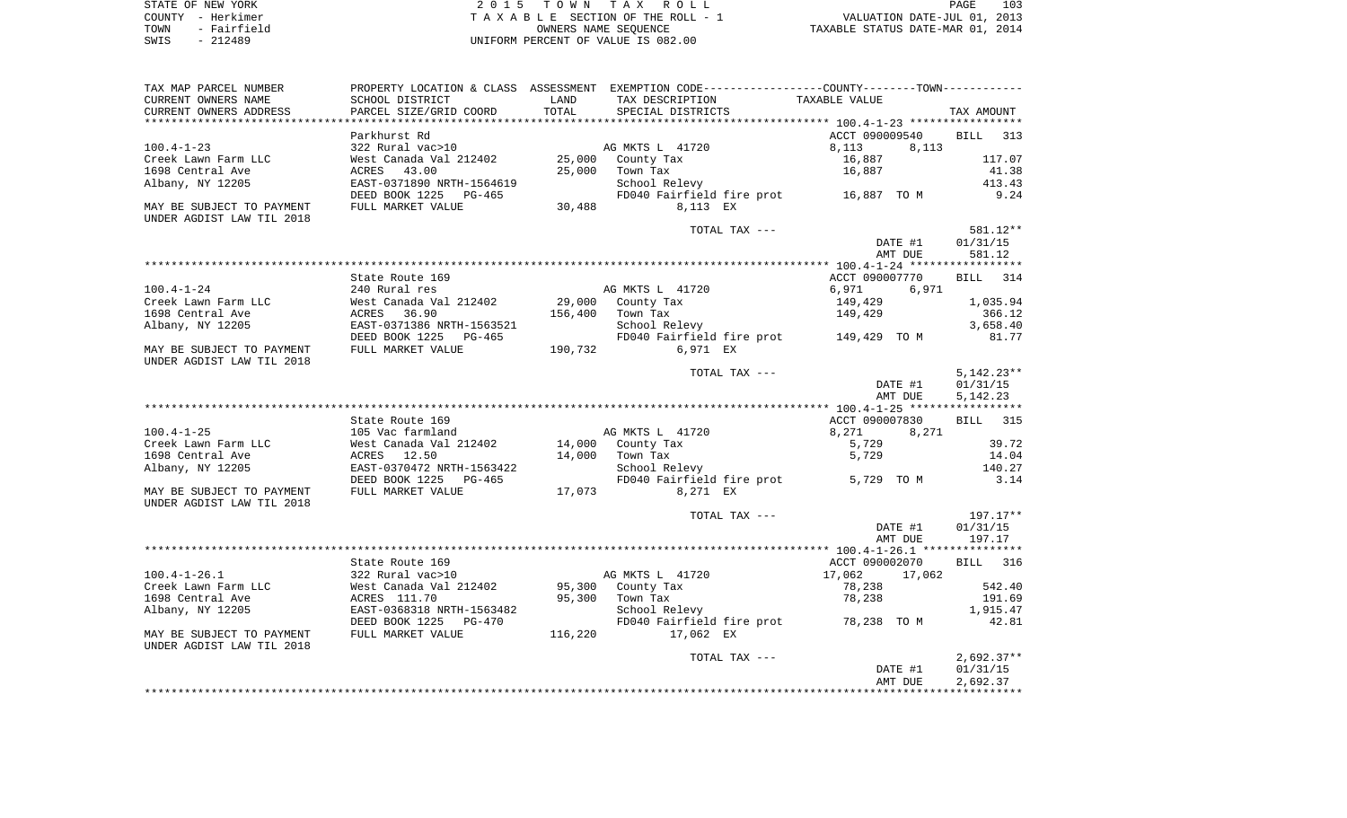| STATE OF NEW YORK   | 2015 TOWN TAX ROLL                 | 103<br>PAGE                      |
|---------------------|------------------------------------|----------------------------------|
| COUNTY - Herkimer   | TAXABLE SECTION OF THE ROLL - 1    | VALUATION DATE-JUL 01, 2013      |
| - Fairfield<br>TOWN | OWNERS NAME SEOUENCE               | TAXABLE STATUS DATE-MAR 01, 2014 |
| - 212489<br>SWIS    | UNIFORM PERCENT OF VALUE IS 082.00 |                                  |

| TAX MAP PARCEL NUMBER<br>CURRENT OWNERS NAME                                                                 | SCHOOL DISTRICT                                                                                                                            | LAND                       | PROPERTY LOCATION & CLASS ASSESSMENT EXEMPTION CODE---------------COUNTY-------TOWN---------<br>TAX DESCRIPTION | TAXABLE VALUE                                          |                                                    |
|--------------------------------------------------------------------------------------------------------------|--------------------------------------------------------------------------------------------------------------------------------------------|----------------------------|-----------------------------------------------------------------------------------------------------------------|--------------------------------------------------------|----------------------------------------------------|
| CURRENT OWNERS ADDRESS<br>***********************                                                            | PARCEL SIZE/GRID COORD                                                                                                                     | TOTAL                      | SPECIAL DISTRICTS                                                                                               |                                                        | TAX AMOUNT                                         |
| $100.4 - 1 - 23$<br>Creek Lawn Farm LLC<br>1698 Central Ave<br>Albany, NY 12205                              | Parkhurst Rd<br>322 Rural vac>10<br>West Canada Val 212402<br>ACRES<br>43.00<br>EAST-0371890 NRTH-1564619                                  | 25,000<br>25,000           | AG MKTS L 41720<br>County Tax<br>Town Tax<br>School Relevy                                                      | ACCT 090009540<br>8,113<br>8,113<br>16,887<br>16,887   | <b>BILL</b><br>313<br>117.07<br>41.38<br>413.43    |
| MAY BE SUBJECT TO PAYMENT<br>UNDER AGDIST LAW TIL 2018                                                       | DEED BOOK 1225<br>PG-465<br>FULL MARKET VALUE                                                                                              | 30,488                     | FD040 Fairfield fire prot<br>8,113 EX                                                                           | 16,887 TO M                                            | 9.24                                               |
|                                                                                                              |                                                                                                                                            |                            | TOTAL TAX ---                                                                                                   | DATE #1<br>AMT DUE                                     | 581.12**<br>01/31/15<br>581.12                     |
|                                                                                                              | State Route 169                                                                                                                            |                            |                                                                                                                 | ACCT 090007770                                         | <b>BILL</b><br>314                                 |
| $100.4 - 1 - 24$                                                                                             | 240 Rural res                                                                                                                              |                            | AG MKTS L 41720                                                                                                 | 6,971<br>6,971                                         |                                                    |
| Creek Lawn Farm LLC<br>1698 Central Ave<br>Albany, NY 12205                                                  | West Canada Val 212402<br>ACRES 36.90<br>EAST-0371386 NRTH-1563521<br>DEED BOOK 1225                                                       | 29,000<br>156,400          | County Tax<br>Town Tax<br>School Relevy                                                                         | 149,429<br>149,429                                     | 1,035.94<br>366.12<br>3,658.40<br>81.77            |
| MAY BE SUBJECT TO PAYMENT<br>UNDER AGDIST LAW TIL 2018                                                       | PG-465<br>FULL MARKET VALUE                                                                                                                | 190,732                    | FD040 Fairfield fire prot<br>6,971 EX                                                                           | 149,429   TO M                                         |                                                    |
|                                                                                                              |                                                                                                                                            |                            | TOTAL TAX ---                                                                                                   | DATE #1<br>AMT DUE                                     | $5,142.23**$<br>01/31/15<br>5, 142. 23             |
|                                                                                                              |                                                                                                                                            |                            |                                                                                                                 |                                                        |                                                    |
|                                                                                                              | State Route 169                                                                                                                            |                            |                                                                                                                 | ACCT 090007830                                         | 315<br><b>BILL</b>                                 |
| $100.4 - 1 - 25$<br>Creek Lawn Farm LLC<br>1698 Central Ave<br>Albany, NY 12205<br>MAY BE SUBJECT TO PAYMENT | 105 Vac farmland<br>West Canada Val 212402<br>ACRES<br>12.50<br>EAST-0370472 NRTH-1563422<br>DEED BOOK 1225<br>PG-465<br>FULL MARKET VALUE | 14,000<br>14,000<br>17,073 | AG MKTS L 41720<br>County Tax<br>Town Tax<br>School Relevy<br>FD040 Fairfield fire prot<br>8,271 EX             | 8,271<br>8,271<br>5,729<br>5,729<br>5,729 TO M         | 39.72<br>14.04<br>140.27<br>3.14                   |
| UNDER AGDIST LAW TIL 2018                                                                                    |                                                                                                                                            |                            | TOTAL TAX ---                                                                                                   | DATE #1                                                | 197.17**<br>01/31/15                               |
|                                                                                                              |                                                                                                                                            |                            |                                                                                                                 | AMT DUE                                                | 197.17                                             |
|                                                                                                              |                                                                                                                                            |                            |                                                                                                                 |                                                        |                                                    |
| $100.4 - 1 - 26.1$<br>Creek Lawn Farm LLC<br>1698 Central Ave<br>Albany, NY 12205                            | State Route 169<br>322 Rural vac>10<br>West Canada Val 212402<br>ACRES 111.70<br>EAST-0368318 NRTH-1563482                                 | 95,300<br>95,300           | AG MKTS L 41720<br>County Tax<br>Town Tax<br>School Relevy                                                      | ACCT 090002070<br>17,062<br>17,062<br>78,238<br>78,238 | <b>BILL</b><br>316<br>542.40<br>191.69<br>1,915.47 |
| MAY BE SUBJECT TO PAYMENT<br>UNDER AGDIST LAW TIL 2018                                                       | DEED BOOK 1225<br>PG-470<br>FULL MARKET VALUE                                                                                              | 116,220                    | FD040 Fairfield fire prot<br>17,062 EX                                                                          | 78,238 TO M                                            | 42.81                                              |
|                                                                                                              |                                                                                                                                            |                            | TOTAL TAX ---                                                                                                   | DATE #1<br>AMT DUE                                     | $2,692.37**$<br>01/31/15<br>2,692.37               |
|                                                                                                              |                                                                                                                                            |                            |                                                                                                                 |                                                        |                                                    |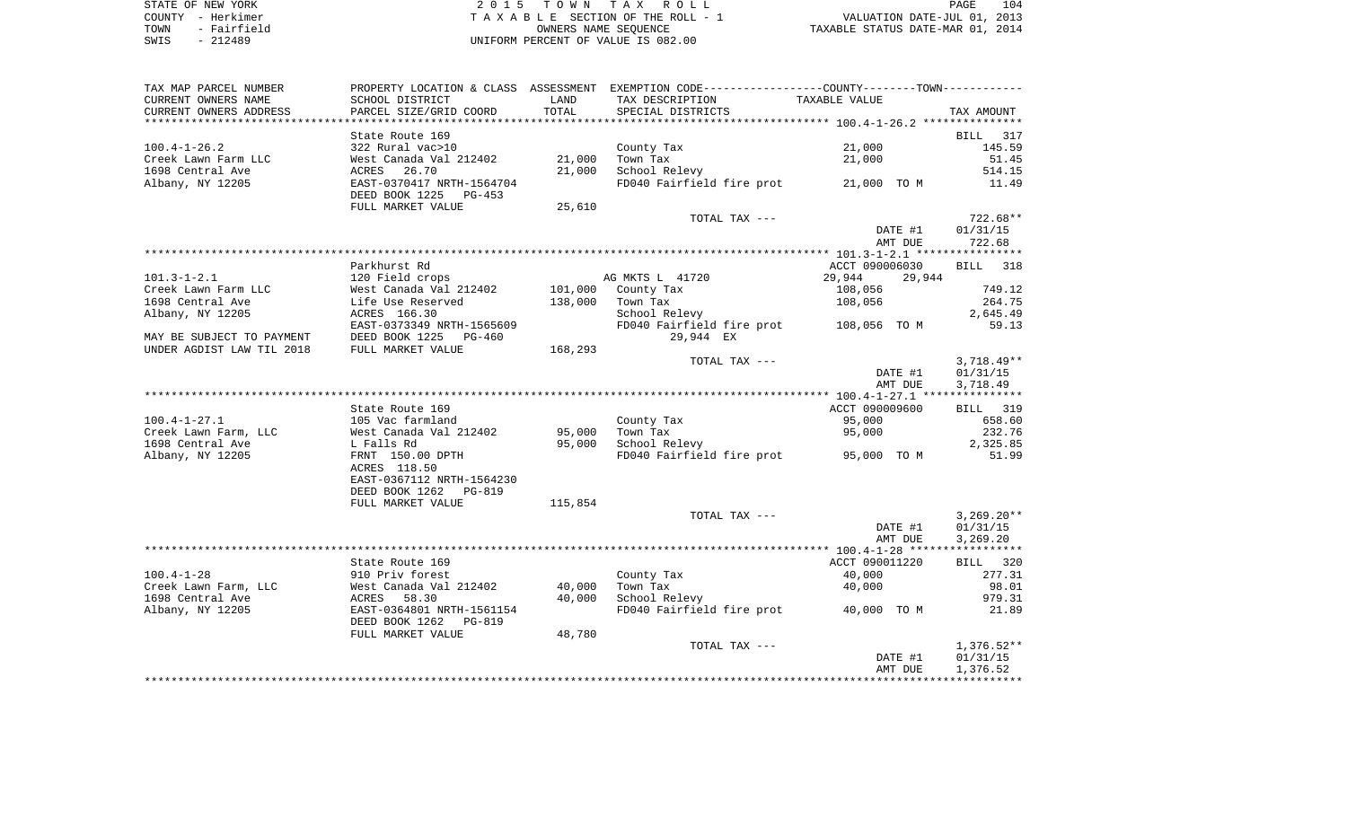| STATE OF NEW YORK |  |             |  |  |
|-------------------|--|-------------|--|--|
| COUNTY - Herkimer |  |             |  |  |
| TOWN              |  | - Fairfield |  |  |
| SWTS              |  | $-212489$   |  |  |

2015 TOWN TAX ROLL TA X A B L E SECTION OF THE ROLL - 1 TOWN - Fairfield OWNERS NAME SEQUENCE TAXABLE STATUS DATE-MAR 01, 2014 SWIS - 212489 UNIFORM PERCENT OF VALUE IS 082.00

| TAX MAP PARCEL NUMBER     |                           |         | PROPERTY LOCATION & CLASS ASSESSMENT EXEMPTION CODE---------------COUNTY-------TOWN--------- |                  |                 |
|---------------------------|---------------------------|---------|----------------------------------------------------------------------------------------------|------------------|-----------------|
| CURRENT OWNERS NAME       | SCHOOL DISTRICT           | LAND    | TAX DESCRIPTION                                                                              | TAXABLE VALUE    |                 |
| CURRENT OWNERS ADDRESS    | PARCEL SIZE/GRID COORD    | TOTAL   | SPECIAL DISTRICTS                                                                            |                  | TAX AMOUNT      |
|                           |                           |         |                                                                                              |                  |                 |
|                           | State Route 169           |         |                                                                                              |                  | BILL 317        |
| $100.4 - 1 - 26.2$        | 322 Rural vac>10          |         | County Tax                                                                                   | 21,000           | 145.59          |
| Creek Lawn Farm LLC       | West Canada Val 212402    | 21,000  | Town Tax                                                                                     | 21,000           | 51.45           |
|                           |                           |         |                                                                                              |                  |                 |
| 1698 Central Ave          | ACRES 26.70               | 21,000  | School Relevy                                                                                |                  | 514.15          |
| Albany, NY 12205          | EAST-0370417 NRTH-1564704 |         | FD040 Fairfield fire prot 21,000 TO M                                                        |                  | 11.49           |
|                           | DEED BOOK 1225 PG-453     |         |                                                                                              |                  |                 |
|                           | FULL MARKET VALUE         | 25,610  |                                                                                              |                  |                 |
|                           |                           |         | TOTAL TAX ---                                                                                |                  | $722.68**$      |
|                           |                           |         |                                                                                              | DATE #1          | 01/31/15        |
|                           |                           |         |                                                                                              | AMT DUE          | 722.68          |
|                           |                           |         |                                                                                              |                  |                 |
|                           | Parkhurst Rd              |         |                                                                                              | ACCT 090006030   | BILL 318        |
| $101.3 - 1 - 2.1$         | 120 Field crops           |         | AG MKTS L 41720                                                                              | 29,944<br>29,944 |                 |
|                           | West Canada Val 212402    |         |                                                                                              |                  | 749.12          |
| Creek Lawn Farm LLC       |                           |         | 101,000 County Tax                                                                           | 108,056          |                 |
| 1698 Central Ave          | Life Use Reserved         | 138,000 | Town Tax                                                                                     | 108,056          | 264.75          |
| Albany, NY 12205          | ACRES 166.30              |         | School Relevy                                                                                |                  | 2,645.49        |
|                           | EAST-0373349 NRTH-1565609 |         | FD040 Fairfield fire prot 108,056 TO M                                                       |                  | 59.13           |
| MAY BE SUBJECT TO PAYMENT | DEED BOOK 1225 PG-460     |         | 29,944 EX                                                                                    |                  |                 |
| UNDER AGDIST LAW TIL 2018 | FULL MARKET VALUE         | 168,293 |                                                                                              |                  |                 |
|                           |                           |         | TOTAL TAX ---                                                                                |                  | $3,718.49**$    |
|                           |                           |         |                                                                                              | DATE #1          | 01/31/15        |
|                           |                           |         |                                                                                              | AMT DUE          | 3,718.49        |
|                           |                           |         |                                                                                              |                  |                 |
|                           | State Route 169           |         |                                                                                              | ACCT 090009600   | <b>BILL</b> 319 |
| $100.4 - 1 - 27.1$        | 105 Vac farmland          |         | County Tax                                                                                   | 95,000           | 658.60          |
|                           |                           |         |                                                                                              |                  |                 |
| Creek Lawn Farm, LLC      | West Canada Val 212402    | 95,000  | Town Tax                                                                                     | 95,000           | 232.76          |
| 1698 Central Ave          | L Falls Rd                | 95,000  | School Relevy                                                                                |                  | 2,325.85        |
| Albany, NY 12205          | FRNT 150.00 DPTH          |         | FD040 Fairfield fire prot 95,000 TO M                                                        |                  | 51.99           |
|                           | ACRES 118.50              |         |                                                                                              |                  |                 |
|                           | EAST-0367112 NRTH-1564230 |         |                                                                                              |                  |                 |
|                           | DEED BOOK 1262 PG-819     |         |                                                                                              |                  |                 |
|                           | FULL MARKET VALUE         | 115,854 |                                                                                              |                  |                 |
|                           |                           |         | TOTAL TAX ---                                                                                |                  | $3,269.20**$    |
|                           |                           |         |                                                                                              | DATE #1          | 01/31/15        |
|                           |                           |         |                                                                                              | AMT DUE          | 3,269.20        |
|                           |                           |         |                                                                                              |                  |                 |
|                           |                           |         |                                                                                              | ACCT 090011220   |                 |
|                           | State Route 169           |         |                                                                                              |                  | BILL 320        |
| $100.4 - 1 - 28$          | 910 Priv forest           |         | County Tax                                                                                   | 40,000           | 277.31          |
| Creek Lawn Farm, LLC      | West Canada Val 212402    | 40,000  | Town Tax                                                                                     | 40,000           | 98.01           |
| 1698 Central Ave          | ACRES 58.30               | 40,000  | School Relevy                                                                                |                  | 979.31          |
| Albany, NY 12205          | EAST-0364801 NRTH-1561154 |         | FD040 Fairfield fire prot 40,000 TO M                                                        |                  | 21.89           |
|                           | DEED BOOK 1262 PG-819     |         |                                                                                              |                  |                 |
|                           | FULL MARKET VALUE         | 48,780  |                                                                                              |                  |                 |
|                           |                           |         | TOTAL TAX ---                                                                                |                  | $1,376.52**$    |
|                           |                           |         |                                                                                              | DATE #1          | 01/31/15        |
|                           |                           |         |                                                                                              | AMT DUE          | 1,376.52        |
|                           |                           |         |                                                                                              |                  |                 |
|                           |                           |         |                                                                                              |                  |                 |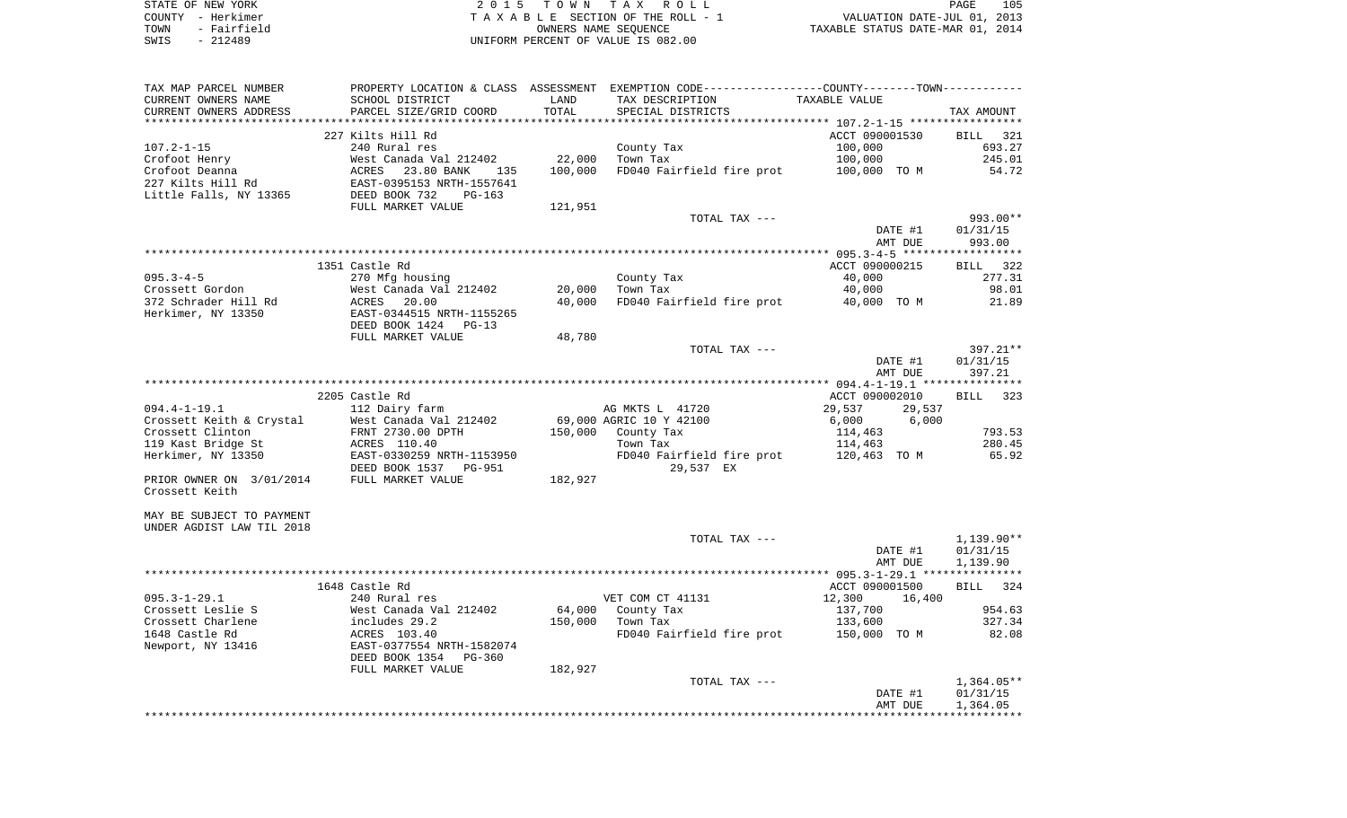| STATE OF NEW YORK   | 2015 TOWN TAX ROLL                 | 105<br>PAGE                      |
|---------------------|------------------------------------|----------------------------------|
| COUNTY - Herkimer   | TAXABLE SECTION OF THE ROLL - 1    | VALUATION DATE-JUL 01, 2013      |
| - Fairfield<br>TOWN | OWNERS NAME SEOUENCE               | TAXABLE STATUS DATE-MAR 01, 2014 |
| SWIS<br>$-212489$   | UNIFORM PERCENT OF VALUE IS 082.00 |                                  |

| TAX MAP PARCEL NUMBER<br>CURRENT OWNERS NAME<br>CURRENT OWNERS ADDRESS | SCHOOL DISTRICT<br>PARCEL SIZE/GRID COORD                                                  | LAND<br>TOTAL | PROPERTY LOCATION & CLASS ASSESSMENT EXEMPTION CODE----------------COUNTY--------TOWN----------<br>TAX DESCRIPTION<br>SPECIAL DISTRICTS | TAXABLE VALUE    | TAX AMOUNT         |
|------------------------------------------------------------------------|--------------------------------------------------------------------------------------------|---------------|-----------------------------------------------------------------------------------------------------------------------------------------|------------------|--------------------|
|                                                                        |                                                                                            |               |                                                                                                                                         |                  |                    |
|                                                                        | 227 Kilts Hill Rd                                                                          |               |                                                                                                                                         | ACCT 090001530   | BILL 321           |
| $107.2 - 1 - 15$                                                       | 240 Rural res                                                                              |               | County Tax                                                                                                                              | 100,000          | 693.27             |
| Crofoot Henry                                                          | West Canada Val 212402                                                                     | 22,000        | Town Tax                                                                                                                                | 100,000          | 245.01             |
| Crofoot Deanna                                                         |                                                                                            | 100,000       | FD040 Fairfield fire prot                                                                                                               | 100,000 TO M     | 54.72              |
| 227 Kilts Hill Rd                                                      |                                                                                            |               |                                                                                                                                         |                  |                    |
| Little Falls, NY 13365                                                 | ACRES 23.80 BANK<br>EAST-0395153 NRTH-1557641<br>DEED BOOK 732 PG-163<br>THIT MARKET VALUE |               |                                                                                                                                         |                  |                    |
|                                                                        |                                                                                            | 121,951       |                                                                                                                                         |                  |                    |
|                                                                        |                                                                                            |               | TOTAL TAX ---                                                                                                                           |                  | 993.00**           |
|                                                                        |                                                                                            |               |                                                                                                                                         | DATE #1          | 01/31/15           |
|                                                                        |                                                                                            |               |                                                                                                                                         | AMT DUE          | 993.00             |
|                                                                        |                                                                                            |               |                                                                                                                                         |                  |                    |
|                                                                        | 1351 Castle Rd                                                                             |               |                                                                                                                                         | ACCT 090000215   | BILL 322           |
| $095.3 - 4 - 5$                                                        | 270 Mfg housing                                                                            |               | County Tax                                                                                                                              | 40,000           | 277.31             |
| Crossett Gordon                                                        | West Canada Val 212402                                                                     | 20,000        | Town Tax                                                                                                                                | 40,000           | 98.01              |
| 372 Schrader Hill Rd                                                   | 20.00<br>ACRES                                                                             | 40,000        | FD040 Fairfield fire prot                                                                                                               | 40,000 TO M      | 21.89              |
| Herkimer, NY 13350                                                     | EAST-0344515 NRTH-1155265                                                                  |               |                                                                                                                                         |                  |                    |
|                                                                        | DEED BOOK 1424<br>$PG-13$                                                                  |               |                                                                                                                                         |                  |                    |
|                                                                        | FULL MARKET VALUE                                                                          | 48,780        |                                                                                                                                         |                  |                    |
|                                                                        |                                                                                            |               | TOTAL TAX ---                                                                                                                           |                  | 397.21**           |
|                                                                        |                                                                                            |               |                                                                                                                                         | DATE #1          | 01/31/15           |
|                                                                        |                                                                                            |               |                                                                                                                                         | AMT DUE          | 397.21             |
|                                                                        |                                                                                            |               |                                                                                                                                         |                  |                    |
|                                                                        | 2205 Castle Rd                                                                             |               |                                                                                                                                         | ACCT 090002010   | <b>BILL</b><br>323 |
| $094.4 - 1 - 19.1$                                                     | 112 Dairy farm                                                                             |               | AG MKTS L 41720                                                                                                                         | 29,537<br>29,537 |                    |
| Crossett Keith & Crystal                                               | West Canada Val 212402                                                                     |               | 69,000 AGRIC 10 Y 42100                                                                                                                 | 6,000<br>6,000   |                    |
| Crossett Clinton                                                       | FRNT 2730.00 DPTH                                                                          |               | 150,000 County Tax                                                                                                                      | 114,463          | 793.53             |
| 119 Kast Bridge St                                                     | ACRES 110.40                                                                               |               | Town Tax                                                                                                                                | 114,463          | 280.45             |
| Herkimer, NY 13350                                                     | ACRES 110.40<br>EAST-0330259 NRTH-1153950                                                  |               | FD040 Fairfield fire prot                                                                                                               | 120,463 TO M     | 65.92              |
|                                                                        | DEED BOOK 1537<br>PG-951                                                                   |               | 29,537 EX                                                                                                                               |                  |                    |
| PRIOR OWNER ON 3/01/2014                                               | FULL MARKET VALUE                                                                          | 182,927       |                                                                                                                                         |                  |                    |
| Crossett Keith                                                         |                                                                                            |               |                                                                                                                                         |                  |                    |
|                                                                        |                                                                                            |               |                                                                                                                                         |                  |                    |
| MAY BE SUBJECT TO PAYMENT                                              |                                                                                            |               |                                                                                                                                         |                  |                    |
| UNDER AGDIST LAW TIL 2018                                              |                                                                                            |               |                                                                                                                                         |                  |                    |
|                                                                        |                                                                                            |               | TOTAL TAX ---                                                                                                                           |                  | $1,139.90**$       |
|                                                                        |                                                                                            |               |                                                                                                                                         | DATE #1          | 01/31/15           |
|                                                                        |                                                                                            |               |                                                                                                                                         | AMT DUE          | 1,139.90           |
|                                                                        |                                                                                            |               |                                                                                                                                         |                  |                    |
|                                                                        | 1648 Castle Rd                                                                             |               |                                                                                                                                         | ACCT 090001500   | BILL 324           |
| $095.3 - 1 - 29.1$                                                     | 240 Rural res                                                                              |               | VET COM CT 41131                                                                                                                        | 12,300<br>16,400 |                    |
| Crossett Leslie S                                                      | West Canada Val 212402                                                                     | 64,000        | County Tax                                                                                                                              | 137,700          | 954.63             |
| Crossett Charlene                                                      | includes 29.2                                                                              | 150,000       | Town Tax                                                                                                                                | 133,600          | 327.34             |
| 1648 Castle Rd                                                         |                                                                                            |               | FD040 Fairfield fire prot 150,000 TO M                                                                                                  |                  | 82.08              |
| Newport, NY 13416                                                      | ACRES 103.40<br>EAST-0377554 NRTH-1582074                                                  |               |                                                                                                                                         |                  |                    |
|                                                                        | DEED BOOK 1354<br>PG-360                                                                   |               |                                                                                                                                         |                  |                    |
|                                                                        | FULL MARKET VALUE                                                                          | 182,927       |                                                                                                                                         |                  |                    |
|                                                                        |                                                                                            |               | TOTAL TAX ---                                                                                                                           |                  | $1,364.05**$       |
|                                                                        |                                                                                            |               |                                                                                                                                         | DATE #1          | 01/31/15           |
|                                                                        |                                                                                            |               |                                                                                                                                         | AMT DUE          | 1,364.05           |
|                                                                        |                                                                                            |               |                                                                                                                                         |                  |                    |
|                                                                        |                                                                                            |               |                                                                                                                                         |                  |                    |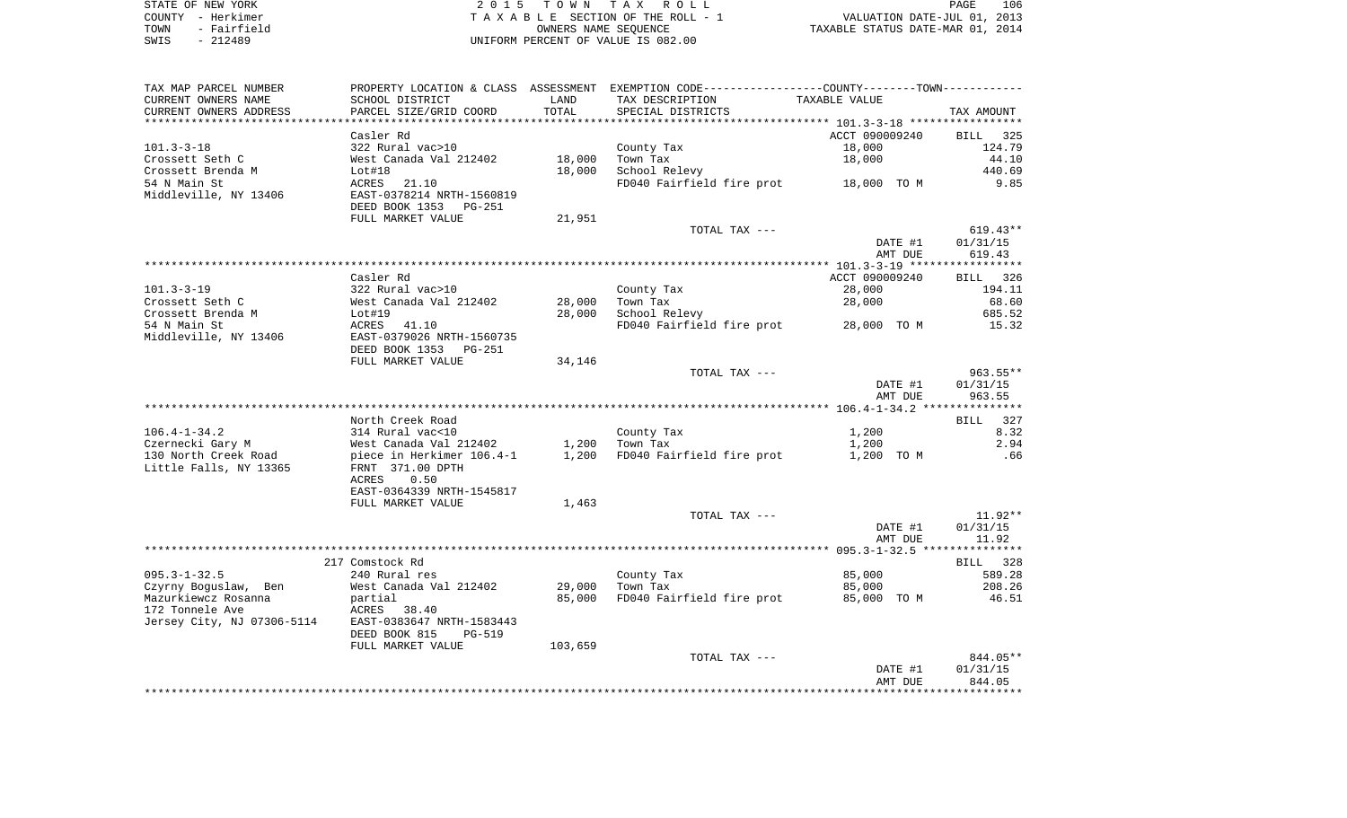| STATE OF NEW YORK   | 2015 TOWN TAX ROLL                 | 106<br>PAGE                      |
|---------------------|------------------------------------|----------------------------------|
| COUNTY - Herkimer   | TAXABLE SECTION OF THE ROLL - 1    | VALUATION DATE-JUL 01, 2013      |
| - Fairfield<br>TOWN | OWNERS NAME SEOUENCE               | TAXABLE STATUS DATE-MAR 01, 2014 |
| - 212489<br>SWIS    | UNIFORM PERCENT OF VALUE IS 082.00 |                                  |

| TAX MAP PARCEL NUMBER      |                           |         | PROPERTY LOCATION & CLASS ASSESSMENT EXEMPTION CODE---------------COUNTY-------TOWN---------- |                |             |
|----------------------------|---------------------------|---------|-----------------------------------------------------------------------------------------------|----------------|-------------|
| CURRENT OWNERS NAME        | SCHOOL DISTRICT           | LAND    | TAX DESCRIPTION                                                                               | TAXABLE VALUE  |             |
| CURRENT OWNERS ADDRESS     | PARCEL SIZE/GRID COORD    | TOTAL   | SPECIAL DISTRICTS                                                                             |                | TAX AMOUNT  |
|                            |                           |         |                                                                                               |                |             |
|                            | Casler Rd                 |         |                                                                                               | ACCT 090009240 | BILL 325    |
| $101.3 - 3 - 18$           | 322 Rural vac>10          |         | County Tax                                                                                    | 18,000         | 124.79      |
| Crossett Seth C            | West Canada Val 212402    | 18,000  | Town Tax                                                                                      | 18,000         | 44.10       |
| Crossett Brenda M          | Lot#18                    | 18,000  | School Relevy                                                                                 |                | 440.69      |
| 54 N Main St               | ACRES 21.10               |         | FD040 Fairfield fire prot 18,000 TO M                                                         |                | 9.85        |
| Middleville, NY 13406      | EAST-0378214 NRTH-1560819 |         |                                                                                               |                |             |
|                            | DEED BOOK 1353 PG-251     |         |                                                                                               |                |             |
|                            | FULL MARKET VALUE         | 21,951  |                                                                                               |                |             |
|                            |                           |         | TOTAL TAX ---                                                                                 |                | $619.43**$  |
|                            |                           |         |                                                                                               | DATE #1        | 01/31/15    |
|                            |                           |         |                                                                                               | AMT DUE        | 619.43      |
|                            |                           |         |                                                                                               |                |             |
|                            | Casler Rd                 |         |                                                                                               | ACCT 090009240 | BILL 326    |
| 101.3-3-19                 | 322 Rural vac>10          |         | County Tax                                                                                    | 28,000         | 194.11      |
| Crossett Seth C            | West Canada Val 212402    | 28,000  | Town Tax                                                                                      | 28,000         | 68.60       |
| Crossett Brenda M          | Lot#19                    | 28,000  | School Relevy                                                                                 |                | 685.52      |
| 54 N Main St               | ACRES 41.10               |         | FD040 Fairfield fire prot 28,000 TO M                                                         |                | 15.32       |
| Middleville, NY 13406      | EAST-0379026 NRTH-1560735 |         |                                                                                               |                |             |
|                            | DEED BOOK 1353 PG-251     |         |                                                                                               |                |             |
|                            | FULL MARKET VALUE         | 34,146  |                                                                                               |                |             |
|                            |                           |         | TOTAL TAX ---                                                                                 |                | $963.55***$ |
|                            |                           |         |                                                                                               | DATE #1        | 01/31/15    |
|                            |                           |         |                                                                                               | AMT DUE        | 963.55      |
|                            |                           |         |                                                                                               |                |             |
|                            | North Creek Road          |         |                                                                                               |                | 327<br>BILL |
| $106.4 - 1 - 34.2$         | 314 Rural vac<10          |         | County Tax                                                                                    | 1,200          | 8.32        |
| Czernecki Gary M           | West Canada Val 212402    | 1,200   | Town Tax                                                                                      | 1,200          | 2.94        |
| 130 North Creek Road       | piece in Herkimer 106.4-1 | 1,200   | FD040 Fairfield fire prot                                                                     | 1,200 TO M     | .66         |
| Little Falls, NY 13365     | FRNT 371.00 DPTH          |         |                                                                                               |                |             |
|                            | ACRES 0.50                |         |                                                                                               |                |             |
|                            | EAST-0364339 NRTH-1545817 |         |                                                                                               |                |             |
|                            | FULL MARKET VALUE         | 1,463   |                                                                                               |                |             |
|                            |                           |         | TOTAL TAX ---                                                                                 |                | $11.92**$   |
|                            |                           |         |                                                                                               | DATE #1        | 01/31/15    |
|                            |                           |         |                                                                                               | AMT DUE        | 11.92       |
|                            |                           |         |                                                                                               |                |             |
|                            | 217 Comstock Rd           |         |                                                                                               |                | BILL 328    |
| $095.3 - 1 - 32.5$         | 240 Rural res             |         | County Tax                                                                                    | 85,000         | 589.28      |
| Czyrny Boguslaw, Ben       | West Canada Val 212402    | 29,000  | Town Tax                                                                                      | 85,000         | 208.26      |
| Mazurkiewcz Rosanna        | partial                   | 85,000  | FD040 Fairfield fire prot                                                                     | 85,000 TO M    | 46.51       |
| 172 Tonnele Ave            | ACRES 38.40               |         |                                                                                               |                |             |
| Jersey City, NJ 07306-5114 | EAST-0383647 NRTH-1583443 |         |                                                                                               |                |             |
|                            | DEED BOOK 815<br>PG-519   |         |                                                                                               |                |             |
|                            | FULL MARKET VALUE         | 103,659 |                                                                                               |                |             |
|                            |                           |         | TOTAL TAX ---                                                                                 |                | 844.05**    |
|                            |                           |         |                                                                                               | DATE #1        | 01/31/15    |
|                            |                           |         |                                                                                               | AMT DUE        | 844.05      |
|                            |                           |         |                                                                                               |                |             |
|                            |                           |         |                                                                                               |                |             |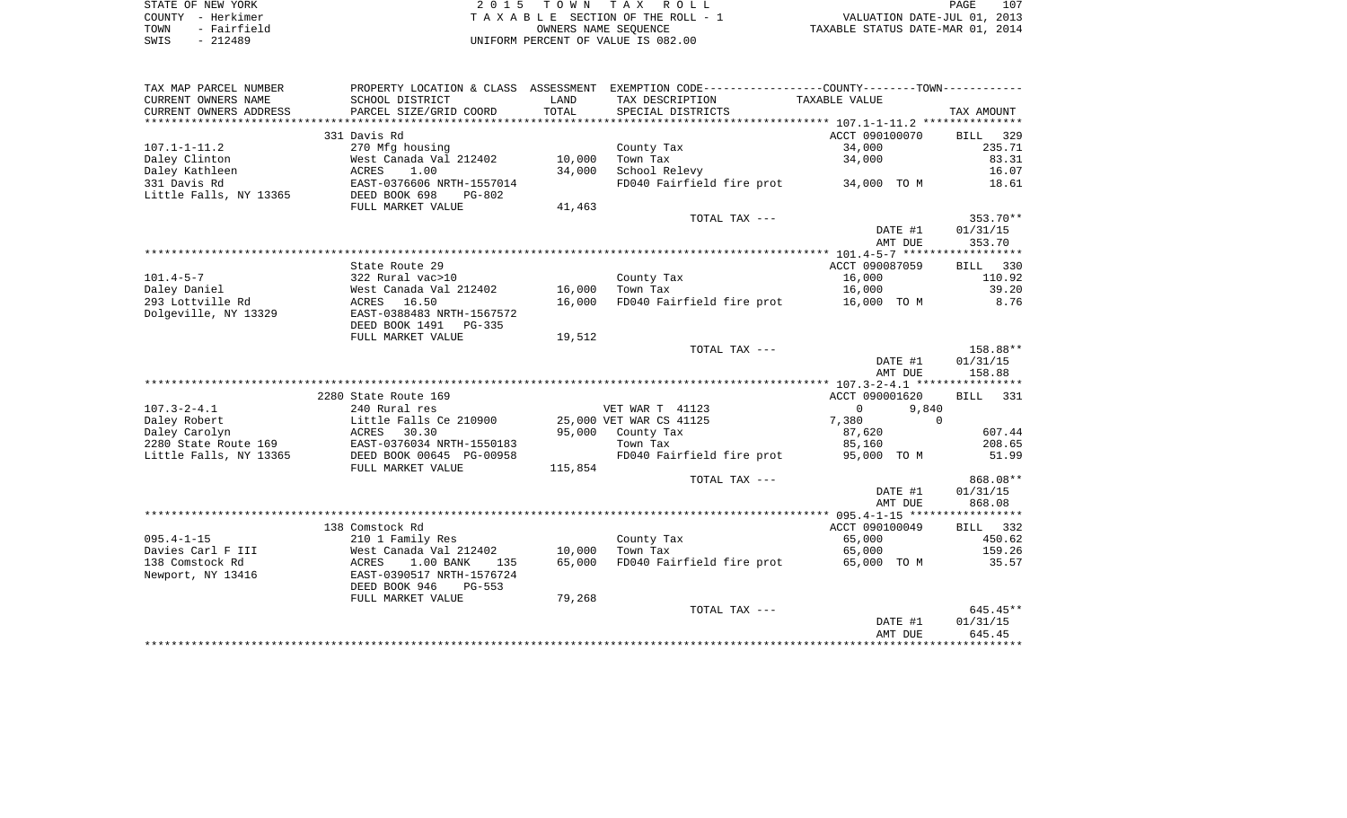| STATE OF NEW YORK   | 2015 TOWN TAX ROLL                 | 107<br>PAGE                      |
|---------------------|------------------------------------|----------------------------------|
| COUNTY - Herkimer   | TAXABLE SECTION OF THE ROLL - 1    | VALUATION DATE-JUL 01, 2013      |
| - Fairfield<br>TOWN | OWNERS NAME SEOUENCE               | TAXABLE STATUS DATE-MAR 01, 2014 |
| - 212489<br>SWIS    | UNIFORM PERCENT OF VALUE IS 082.00 |                                  |

 $\begin{array}{c} 107 \\ 2013 \end{array}$ 

| TAX MAP PARCEL NUMBER  | PROPERTY LOCATION & CLASS      | ASSESSMENT     | EXEMPTION CODE-----------------COUNTY--------TOWN----------- |                   |             |
|------------------------|--------------------------------|----------------|--------------------------------------------------------------|-------------------|-------------|
| CURRENT OWNERS NAME    | SCHOOL DISTRICT                | LAND           | TAX DESCRIPTION                                              | TAXABLE VALUE     |             |
| CURRENT OWNERS ADDRESS | PARCEL SIZE/GRID COORD         | TOTAL          | SPECIAL DISTRICTS                                            |                   | TAX AMOUNT  |
| *******************    |                                | ************** |                                                              |                   |             |
|                        | 331 Davis Rd                   |                |                                                              | ACCT 090100070    | 329<br>BILL |
| $107.1 - 1 - 11.2$     | 270 Mfg housing                |                | County Tax                                                   | 34,000            | 235.71      |
| Daley Clinton          | West Canada Val 212402         | 10,000         | Town Tax                                                     | 34,000            | 83.31       |
| Daley Kathleen         | ACRES<br>1.00                  | 34,000         | School Relevy                                                |                   | 16.07       |
| 331 Davis Rd           | EAST-0376606 NRTH-1557014      |                | FD040 Fairfield fire prot                                    | 34,000 TO M       | 18.61       |
| Little Falls, NY 13365 | DEED BOOK 698<br><b>PG-802</b> |                |                                                              |                   |             |
|                        | FULL MARKET VALUE              | 41,463         |                                                              |                   |             |
|                        |                                |                | TOTAL TAX ---                                                |                   | 353.70**    |
|                        |                                |                |                                                              | DATE #1           | 01/31/15    |
|                        |                                |                |                                                              | AMT DUE           | 353.70      |
|                        |                                |                |                                                              |                   |             |
|                        | State Route 29                 |                |                                                              | ACCT 090087059    | BILL 330    |
| $101.4 - 5 - 7$        | 322 Rural vac>10               |                | County Tax                                                   | 16,000            | 110.92      |
| Daley Daniel           | West Canada Val 212402         | 16,000         | Town Tax                                                     | 16,000            | 39.20       |
| 293 Lottville Rd       | ACRES<br>16.50                 | 16,000         | FD040 Fairfield fire prot                                    | 16,000 TO M       | 8.76        |
| Dolgeville, NY 13329   | EAST-0388483 NRTH-1567572      |                |                                                              |                   |             |
|                        | DEED BOOK 1491<br>PG-335       |                |                                                              |                   |             |
|                        | FULL MARKET VALUE              | 19,512         |                                                              |                   |             |
|                        |                                |                | TOTAL TAX ---                                                |                   | 158.88**    |
|                        |                                |                |                                                              | DATE #1           | 01/31/15    |
|                        |                                |                |                                                              | AMT DUE           | 158.88      |
|                        |                                |                |                                                              |                   |             |
|                        | 2280 State Route 169           |                |                                                              | ACCT 090001620    | 331<br>BILL |
| $107.3 - 2 - 4.1$      | 240 Rural res                  |                | VET WAR T 41123                                              | 9,840<br>$\Omega$ |             |
| Daley Robert           | Little Falls Ce 210900         |                | 25,000 VET WAR CS 41125                                      | 7,380             | $\Omega$    |
| Daley Carolyn          | ACRES<br>30.30                 |                | 95,000 County Tax                                            | 87,620            | 607.44      |
| 2280 State Route 169   | EAST-0376034 NRTH-1550183      |                | Town Tax                                                     | 85,160            | 208.65      |
| Little Falls, NY 13365 | DEED BOOK 00645 PG-00958       |                | FD040 Fairfield fire prot                                    | 95,000 TO M       | 51.99       |
|                        | FULL MARKET VALUE              | 115,854        |                                                              |                   |             |
|                        |                                |                | TOTAL TAX ---                                                |                   | 868.08**    |
|                        |                                |                |                                                              | DATE #1           | 01/31/15    |
|                        |                                |                |                                                              | AMT DUE           | 868.08      |
|                        |                                |                |                                                              |                   |             |
|                        | 138 Comstock Rd                |                |                                                              | ACCT 090100049    | BILL 332    |
| $095.4 - 1 - 15$       | 210 1 Family Res               |                | County Tax                                                   | 65,000            | 450.62      |
| Davies Carl F III      | West Canada Val 212402         | 10,000         | Town Tax                                                     | 65,000            | 159.26      |
| 138 Comstock Rd        | ACRES<br>1.00 BANK<br>135      | 65,000         | FD040 Fairfield fire prot 65,000 TO M                        |                   | 35.57       |
| Newport, NY 13416      | EAST-0390517 NRTH-1576724      |                |                                                              |                   |             |
|                        | DEED BOOK 946<br>$PG-553$      |                |                                                              |                   |             |
|                        | FULL MARKET VALUE              | 79,268         |                                                              |                   |             |
|                        |                                |                | TOTAL TAX ---                                                |                   | $645.45**$  |
|                        |                                |                |                                                              | DATE #1           | 01/31/15    |
|                        |                                |                |                                                              | AMT DUE           | 645.45      |
|                        |                                |                |                                                              |                   |             |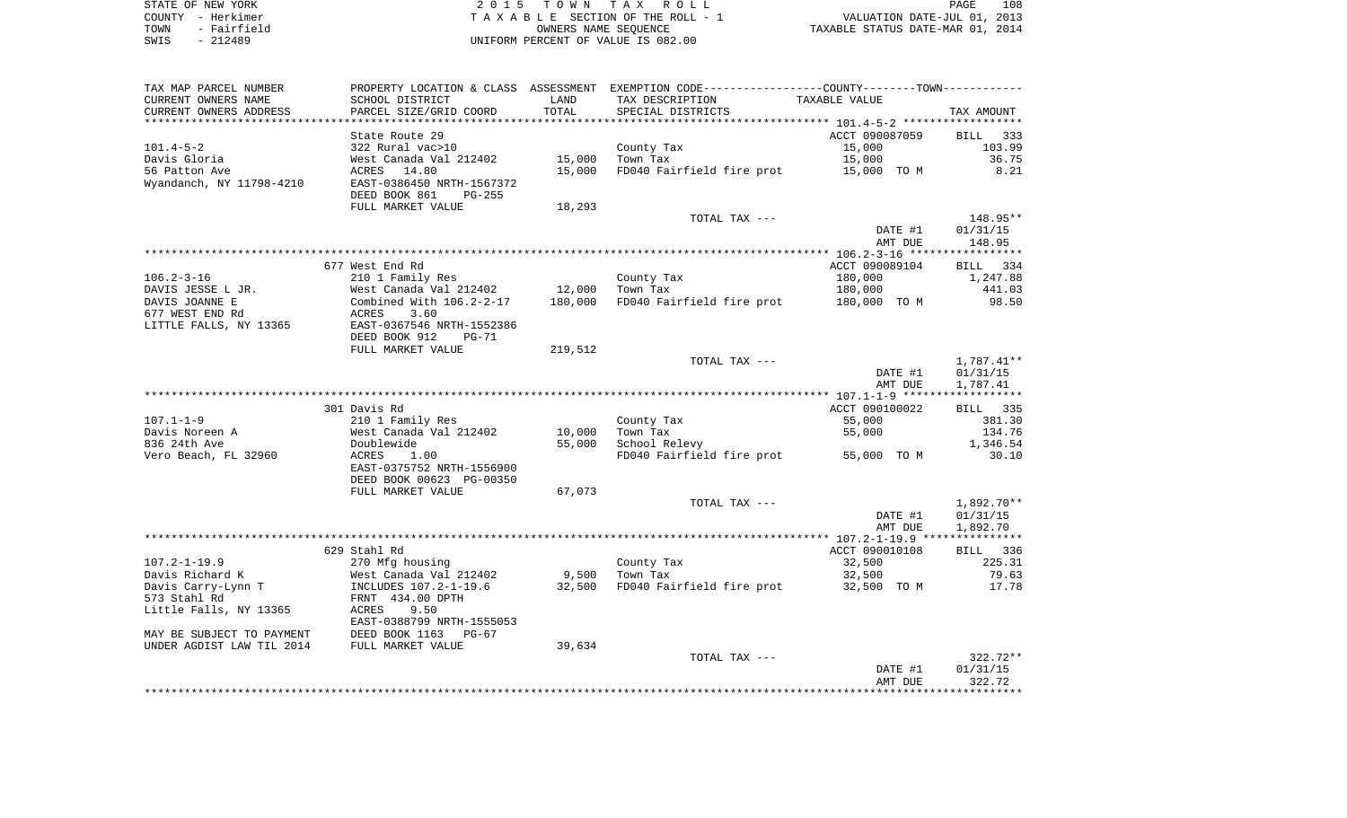| STATE OF NEW YORK   | 2015 TOWN TAX ROLL                 | 108<br>PAGE                      |
|---------------------|------------------------------------|----------------------------------|
| COUNTY - Herkimer   | TAXABLE SECTION OF THE ROLL - 1    | VALUATION DATE-JUL 01, 2013      |
| - Fairfield<br>TOWN | OWNERS NAME SEOUENCE               | TAXABLE STATUS DATE-MAR 01, 2014 |
| $-212489$<br>SWIS   | UNIFORM PERCENT OF VALUE IS 082.00 |                                  |

| TAX MAP PARCEL NUMBER     |                                   |         | PROPERTY LOCATION & CLASS ASSESSMENT EXEMPTION CODE---------------COUNTY-------TOWN--------- |                |                |
|---------------------------|-----------------------------------|---------|----------------------------------------------------------------------------------------------|----------------|----------------|
| CURRENT OWNERS NAME       | SCHOOL DISTRICT                   | LAND    | TAX DESCRIPTION                                                                              | TAXABLE VALUE  |                |
| CURRENT OWNERS ADDRESS    | PARCEL SIZE/GRID COORD            | TOTAL   | SPECIAL DISTRICTS                                                                            |                | TAX AMOUNT     |
|                           |                                   |         |                                                                                              |                |                |
|                           | State Route 29                    |         |                                                                                              | ACCT 090087059 | BILL<br>333    |
| $101.4 - 5 - 2$           | 322 Rural vac>10                  |         | County Tax                                                                                   | 15,000         | 103.99         |
| Davis Gloria              | West Canada Val 212402            | 15,000  | Town Tax                                                                                     | 15,000         | 36.75          |
| 56 Patton Ave             | ACRES<br>14.80                    | 15,000  | FD040 Fairfield fire prot                                                                    | 15,000 TO M    | 8.21           |
| Wyandanch, NY 11798-4210  | EAST-0386450 NRTH-1567372         |         |                                                                                              |                |                |
|                           | DEED BOOK 861<br>$PG-255$         |         |                                                                                              |                |                |
|                           | FULL MARKET VALUE                 | 18,293  |                                                                                              |                |                |
|                           |                                   |         | TOTAL TAX ---                                                                                |                | 148.95**       |
|                           |                                   |         |                                                                                              | DATE #1        | 01/31/15       |
|                           |                                   |         |                                                                                              | AMT DUE        | 148.95         |
|                           |                                   |         |                                                                                              |                |                |
|                           | 677 West End Rd                   |         |                                                                                              | ACCT 090089104 | BILL 334       |
| $106.2 - 3 - 16$          | 210 1 Family Res                  |         | County Tax                                                                                   | 180,000        | 1,247.88       |
| DAVIS JESSE L JR.         | West Canada Val 212402            | 12,000  | Town Tax                                                                                     | 180,000        | 441.03         |
| DAVIS JOANNE E            | Combined With $106.2 - 2 - 17$    | 180,000 | FD040 Fairfield fire prot                                                                    | 180,000 TO M   | 98.50          |
| 677 WEST END Rd           | 3.60<br>ACRES                     |         |                                                                                              |                |                |
| LITTLE FALLS, NY 13365    | EAST-0367546 NRTH-1552386         |         |                                                                                              |                |                |
|                           | DEED BOOK 912<br>$PG-71$          |         |                                                                                              |                |                |
|                           | FULL MARKET VALUE                 | 219,512 |                                                                                              |                |                |
|                           |                                   |         | TOTAL TAX ---                                                                                |                | $1,787.41**$   |
|                           |                                   |         |                                                                                              | DATE #1        | 01/31/15       |
|                           |                                   |         |                                                                                              | AMT DUE        | 1,787.41       |
|                           |                                   |         |                                                                                              |                |                |
|                           | 301 Davis Rd                      |         |                                                                                              | ACCT 090100022 | BILL 335       |
| $107.1 - 1 - 9$           | 210 1 Family Res                  |         | County Tax                                                                                   | 55,000         | 381.30         |
| Davis Noreen A            | West Canada Val 212402            | 10,000  | Town Tax                                                                                     | 55,000         | 134.76         |
| 836 24th Ave              | Doublewide                        | 55,000  | School Relevy                                                                                |                | 1,346.54       |
| Vero Beach, FL 32960      | ACRES<br>1.00                     |         | FD040 Fairfield fire prot                                                                    | 55,000 TO M    | 30.10          |
|                           | EAST-0375752 NRTH-1556900         |         |                                                                                              |                |                |
|                           | DEED BOOK 00623 PG-00350          |         |                                                                                              |                |                |
|                           | FULL MARKET VALUE                 | 67,073  |                                                                                              |                |                |
|                           |                                   |         | TOTAL TAX ---                                                                                |                | 1,892.70**     |
|                           |                                   |         |                                                                                              | DATE #1        | 01/31/15       |
|                           |                                   |         |                                                                                              | AMT DUE        | 1,892.70       |
|                           |                                   |         |                                                                                              |                |                |
|                           | 629 Stahl Rd                      |         |                                                                                              | ACCT 090010108 | BILL 336       |
| $107.2 - 1 - 19.9$        | 270 Mfg housing                   |         | County Tax                                                                                   | 32,500         | 225.31         |
| Davis Richard K           | West Canada Val 212402            | 9,500   | Town Tax                                                                                     | 32,500         | 79.63          |
|                           |                                   |         |                                                                                              |                | 17.78          |
| Davis Carry-Lynn T        | INCLUDES 107.2-1-19.6             | 32,500  | FD040 Fairfield fire prot                                                                    | 32,500 TO M    |                |
| 573 Stahl Rd              | FRNT 434.00 DPTH<br>9.50<br>ACRES |         |                                                                                              |                |                |
| Little Falls, NY 13365    | EAST-0388799 NRTH-1555053         |         |                                                                                              |                |                |
|                           |                                   |         |                                                                                              |                |                |
| MAY BE SUBJECT TO PAYMENT | DEED BOOK 1163<br>$PG-67$         |         |                                                                                              |                |                |
| UNDER AGDIST LAW TIL 2014 | FULL MARKET VALUE                 | 39,634  |                                                                                              |                |                |
|                           |                                   |         | TOTAL TAX ---                                                                                |                | $322.72**$     |
|                           |                                   |         |                                                                                              | DATE #1        | 01/31/15       |
|                           |                                   |         |                                                                                              | AMT DUE        | 322.72         |
|                           |                                   |         |                                                                                              |                | ************** |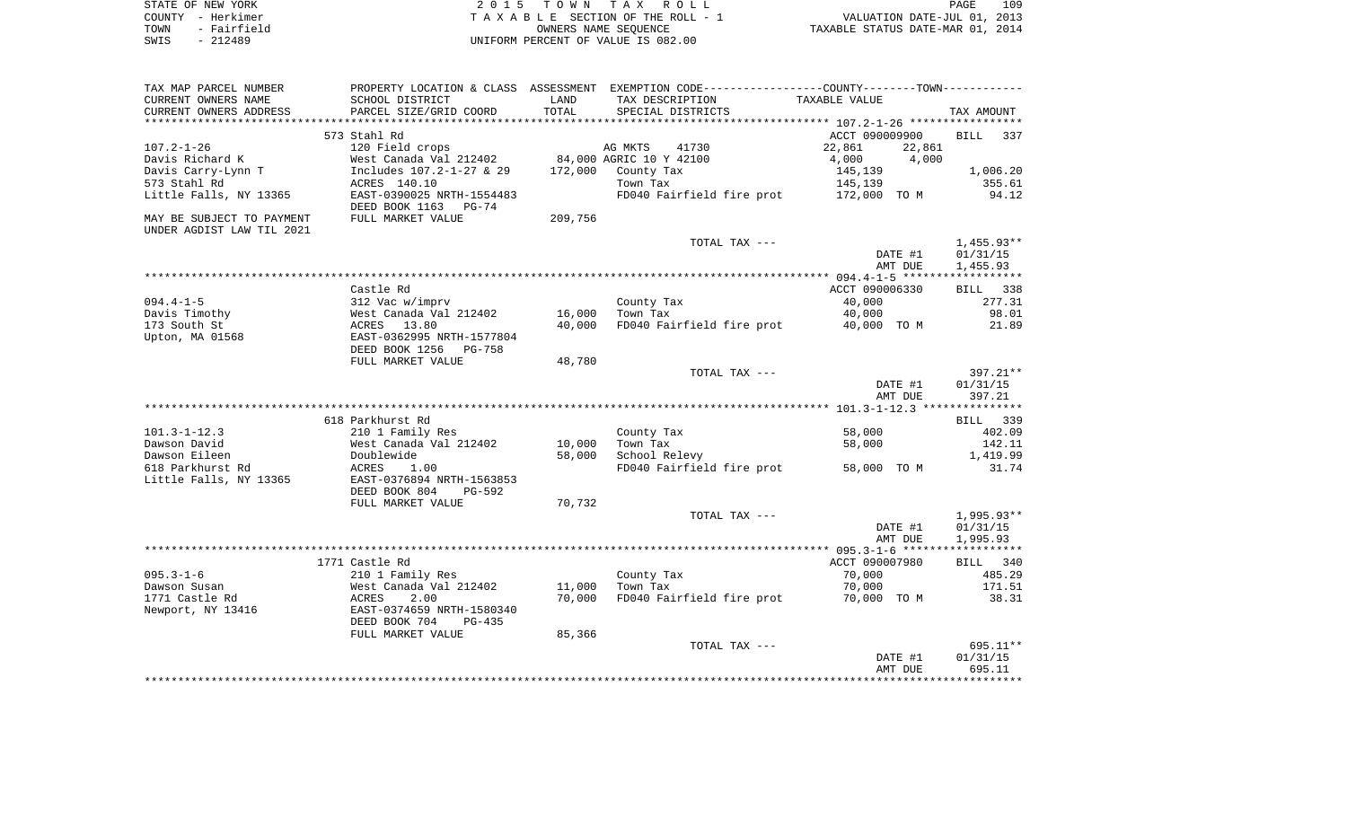|      | STATE OF NEW YORK | 2015 TOWN TAX ROLL                 | 109<br>PAGE                      |
|------|-------------------|------------------------------------|----------------------------------|
|      | COUNTY – Herkimer | TAXABLE SECTION OF THE ROLL - 1    | VALUATION DATE-JUL 01, 2013      |
| TOWN | - Fairfield       | OWNERS NAME SEOUENCE               | TAXABLE STATUS DATE-MAR 01, 2014 |
| SWIS | - 212489          | UNIFORM PERCENT OF VALUE IS 082.00 |                                  |

| TAX MAP PARCEL NUMBER         |                                           |                  | PROPERTY LOCATION & CLASS ASSESSMENT EXEMPTION CODE----------------COUNTY--------TOWN---------- |                         |                       |
|-------------------------------|-------------------------------------------|------------------|-------------------------------------------------------------------------------------------------|-------------------------|-----------------------|
| CURRENT OWNERS NAME           | SCHOOL DISTRICT                           | LAND             | TAX DESCRIPTION                                                                                 | TAXABLE VALUE           |                       |
| CURRENT OWNERS ADDRESS        | PARCEL SIZE/GRID COORD                    | TOTAL            | SPECIAL DISTRICTS                                                                               |                         | TAX AMOUNT            |
| ***********************       | *****************************             |                  |                                                                                                 |                         |                       |
|                               | 573 Stahl Rd                              |                  |                                                                                                 | ACCT 090009900          | <b>BILL</b><br>337    |
| $107.2 - 1 - 26$              | 120 Field crops                           |                  | AG MKTS<br>41730                                                                                | 22,861<br>22,861        |                       |
| Davis Richard K               | West Canada Val 212402                    |                  | 84,000 AGRIC 10 Y 42100                                                                         | 4,000<br>4,000          |                       |
| Davis Carry-Lynn T            | Includes 107.2-1-27 & 29                  | 172,000          | County Tax                                                                                      | 145,139                 | 1,006.20              |
| 573 Stahl Rd                  | ACRES 140.10<br>EAST-0390025 NRTH-1554483 |                  | Town Tax<br>FD040 Fairfield fire prot                                                           | 145,139<br>172,000 TO M | 355.61<br>94.12       |
| Little Falls, NY 13365        | DEED BOOK 1163<br>PG-74                   |                  |                                                                                                 |                         |                       |
| MAY BE SUBJECT TO PAYMENT     | FULL MARKET VALUE                         | 209,756          |                                                                                                 |                         |                       |
| UNDER AGDIST LAW TIL 2021     |                                           |                  |                                                                                                 |                         |                       |
|                               |                                           |                  | TOTAL TAX ---                                                                                   |                         | $1,455.93**$          |
|                               |                                           |                  |                                                                                                 | DATE #1                 | 01/31/15              |
|                               |                                           |                  |                                                                                                 | AMT DUE                 | 1,455.93              |
|                               |                                           |                  |                                                                                                 |                         |                       |
|                               | Castle Rd                                 |                  |                                                                                                 | ACCT 090006330          | BILL<br>338<br>277.31 |
| $094.4 - 1 - 5$               | 312 Vac w/imprv                           |                  | County Tax<br>Town Tax                                                                          | 40,000                  | 98.01                 |
| Davis Timothy<br>173 South St | West Canada Val 212402<br>ACRES 13.80     | 16,000<br>40,000 | FD040 Fairfield fire prot                                                                       | 40,000<br>40,000 TO M   | 21.89                 |
| Upton, MA 01568               | EAST-0362995 NRTH-1577804                 |                  |                                                                                                 |                         |                       |
|                               | DEED BOOK 1256<br>PG-758                  |                  |                                                                                                 |                         |                       |
|                               | FULL MARKET VALUE                         | 48,780           |                                                                                                 |                         |                       |
|                               |                                           |                  | TOTAL TAX ---                                                                                   |                         | 397.21**              |
|                               |                                           |                  |                                                                                                 | DATE #1                 | 01/31/15              |
|                               |                                           |                  |                                                                                                 | AMT DUE                 | 397.21                |
|                               |                                           |                  |                                                                                                 |                         |                       |
|                               | 618 Parkhurst Rd                          |                  |                                                                                                 |                         | BILL 339              |
| $101.3 - 1 - 12.3$            | 210 1 Family Res                          |                  | County Tax                                                                                      | 58,000                  | 402.09                |
| Dawson David                  | West Canada Val 212402                    | 10,000           | Town Tax                                                                                        | 58,000                  | 142.11                |
| Dawson Eileen                 | Doublewide                                | 58,000           | School Relevy                                                                                   |                         | 1,419.99              |
| 618 Parkhurst Rd              | <b>ACRES</b><br>1.00                      |                  | FD040 Fairfield fire prot                                                                       | 58,000 TO M             | 31.74                 |
| Little Falls, NY 13365        | EAST-0376894 NRTH-1563853                 |                  |                                                                                                 |                         |                       |
|                               | DEED BOOK 804<br>PG-592                   |                  |                                                                                                 |                         |                       |
|                               | FULL MARKET VALUE                         | 70,732           |                                                                                                 |                         |                       |
|                               |                                           |                  | TOTAL TAX ---                                                                                   |                         | $1,995.93**$          |
|                               |                                           |                  |                                                                                                 | DATE #1                 | 01/31/15              |
|                               |                                           |                  |                                                                                                 | AMT DUE                 | 1,995.93              |
|                               |                                           |                  |                                                                                                 |                         |                       |
|                               | 1771 Castle Rd                            |                  |                                                                                                 | ACCT 090007980          | BILL<br>340           |
| $095.3 - 1 - 6$               | 210 1 Family Res                          |                  | County Tax                                                                                      | 70,000                  | 485.29                |
| Dawson Susan                  | West Canada Val 212402                    | 11,000           | Town Tax                                                                                        | 70,000                  | 171.51                |
| 1771 Castle Rd                | 2.00<br>ACRES                             | 70,000           | FD040 Fairfield fire prot                                                                       | 70,000 TO M             | 38.31                 |
| Newport, NY 13416             | EAST-0374659 NRTH-1580340                 |                  |                                                                                                 |                         |                       |
|                               | DEED BOOK 704<br>$PG-435$                 |                  |                                                                                                 |                         |                       |
|                               | FULL MARKET VALUE                         | 85,366           | TOTAL TAX ---                                                                                   |                         | 695.11**              |
|                               |                                           |                  |                                                                                                 | DATE #1                 | 01/31/15              |
|                               |                                           |                  |                                                                                                 | AMT DUE                 | 695.11                |
|                               |                                           |                  |                                                                                                 |                         |                       |
|                               |                                           |                  |                                                                                                 |                         |                       |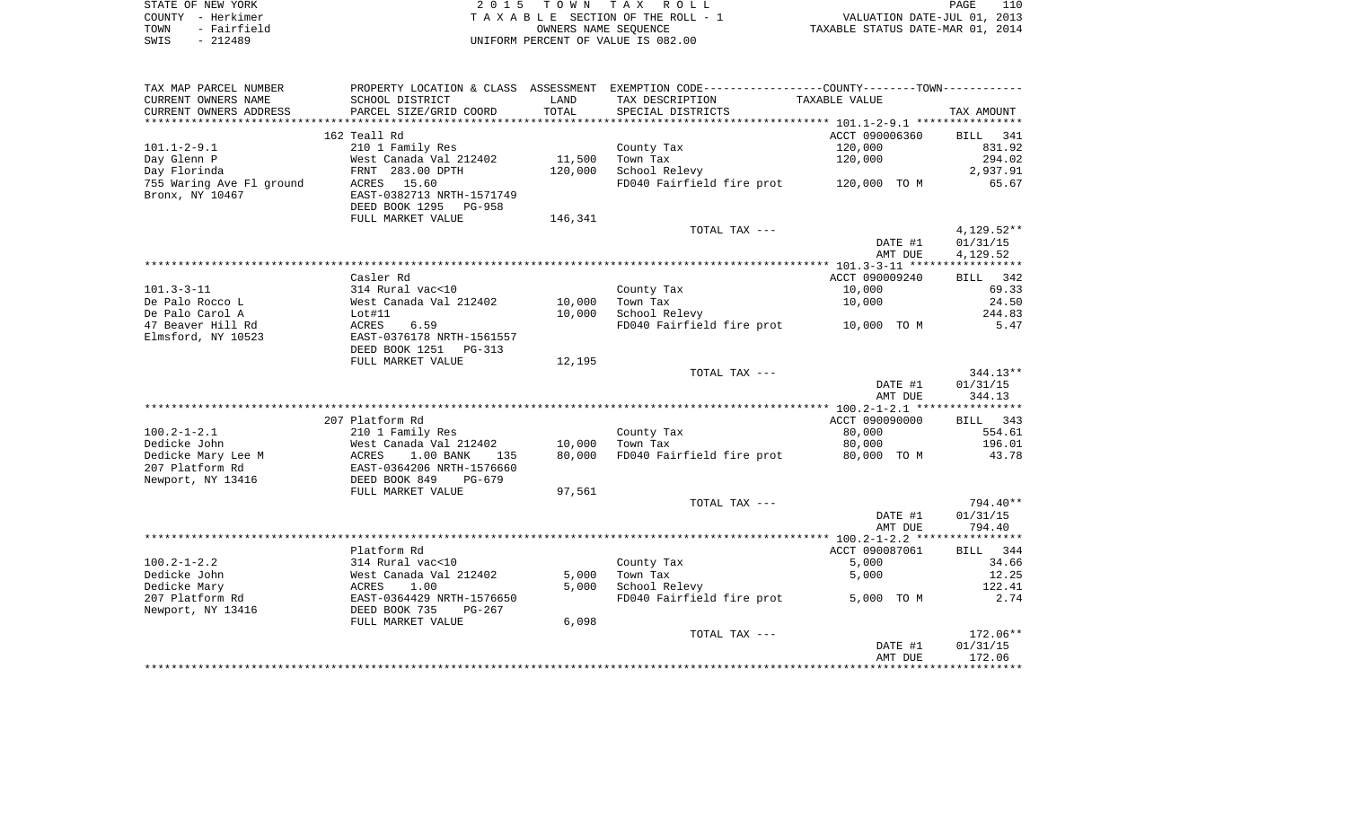|      | STATE OF NEW YORK | 2015 TOWN TAX ROLL                 | 110<br>PAGE                      |
|------|-------------------|------------------------------------|----------------------------------|
|      | COUNTY - Herkimer | TAXABLE SECTION OF THE ROLL - 1    | VALUATION DATE-JUL 01, 2013      |
| TOWN | - Fairfield       | OWNERS NAME SEOUENCE               | TAXABLE STATUS DATE-MAR 01, 2014 |
| SWIS | - 212489          | UNIFORM PERCENT OF VALUE IS 082.00 |                                  |

| TAX MAP PARCEL NUMBER    |                             |         | PROPERTY LOCATION & CLASS ASSESSMENT EXEMPTION CODE---------------COUNTY-------TOWN---------- |                |              |
|--------------------------|-----------------------------|---------|-----------------------------------------------------------------------------------------------|----------------|--------------|
| CURRENT OWNERS NAME      | SCHOOL DISTRICT             | LAND    | TAX DESCRIPTION                                                                               | TAXABLE VALUE  |              |
| CURRENT OWNERS ADDRESS   | PARCEL SIZE/GRID COORD      | TOTAL   | SPECIAL DISTRICTS                                                                             |                | TAX AMOUNT   |
|                          |                             |         |                                                                                               |                |              |
|                          | 162 Teall Rd                |         |                                                                                               | ACCT 090006360 | BILL 341     |
| $101.1 - 2 - 9.1$        | 210 1 Family Res            |         | County Tax                                                                                    | 120,000        | 831.92       |
| Day Glenn P              | West Canada Val 212402      | 11,500  | Town Tax                                                                                      | 120,000        | 294.02       |
| Day Florinda             | FRNT 283.00 DPTH            | 120,000 | School Relevy                                                                                 |                | 2,937.91     |
| 755 Waring Ave Fl ground | 15.60<br>ACRES              |         | FD040 Fairfield fire prot                                                                     | 120,000 TO M   | 65.67        |
| Bronx, NY 10467          | EAST-0382713 NRTH-1571749   |         |                                                                                               |                |              |
|                          | DEED BOOK 1295<br>PG-958    |         |                                                                                               |                |              |
|                          | FULL MARKET VALUE           | 146,341 |                                                                                               |                |              |
|                          |                             |         | TOTAL TAX ---                                                                                 |                | $4,129.52**$ |
|                          |                             |         |                                                                                               | DATE #1        | 01/31/15     |
|                          |                             |         |                                                                                               | AMT DUE        | 4,129.52     |
|                          |                             |         |                                                                                               |                |              |
|                          | Casler Rd                   |         |                                                                                               | ACCT 090009240 | BILL 342     |
| $101.3 - 3 - 11$         | 314 Rural vac<10            |         | County Tax                                                                                    | 10,000         | 69.33        |
| De Palo Rocco L          | West Canada Val 212402      | 10,000  | Town Tax                                                                                      | 10,000         | 24.50        |
| De Palo Carol A          | Lot#11                      | 10,000  | School Relevy                                                                                 |                | 244.83       |
| 47 Beaver Hill Rd        | 6.59<br>ACRES               |         | FD040 Fairfield fire prot                                                                     | 10,000 TO M    | 5.47         |
| Elmsford, NY 10523       | EAST-0376178 NRTH-1561557   |         |                                                                                               |                |              |
|                          | DEED BOOK 1251<br>PG-313    |         |                                                                                               |                |              |
|                          | FULL MARKET VALUE           | 12,195  |                                                                                               |                |              |
|                          |                             |         | TOTAL TAX ---                                                                                 |                | $344.13**$   |
|                          |                             |         |                                                                                               | DATE #1        | 01/31/15     |
|                          |                             |         |                                                                                               | AMT DUE        | 344.13       |
|                          |                             |         |                                                                                               |                |              |
|                          | 207 Platform Rd             |         |                                                                                               | ACCT 090090000 | BILL 343     |
| $100.2 - 1 - 2.1$        | 210 1 Family Res            |         | County Tax                                                                                    | 80,000         | 554.61       |
| Dedicke John             | West Canada Val 212402      | 10,000  | Town Tax                                                                                      | 80,000         | 196.01       |
| Dedicke Mary Lee M       | ACRES<br>$1.00$ BANK<br>135 | 80,000  | FD040 Fairfield fire prot                                                                     | 80,000 TO M    | 43.78        |
| 207 Platform Rd          | EAST-0364206 NRTH-1576660   |         |                                                                                               |                |              |
| Newport, NY 13416        | DEED BOOK 849<br>PG-679     |         |                                                                                               |                |              |
|                          | FULL MARKET VALUE           | 97,561  |                                                                                               |                |              |
|                          |                             |         | TOTAL TAX ---                                                                                 |                | 794.40**     |
|                          |                             |         |                                                                                               | DATE #1        | 01/31/15     |
|                          |                             |         |                                                                                               | AMT DUE        | 794.40       |
|                          |                             |         |                                                                                               |                |              |
|                          | Platform Rd                 |         |                                                                                               | ACCT 090087061 | BILL 344     |
| $100.2 - 1 - 2.2$        | 314 Rural vac<10            |         | County Tax                                                                                    | 5,000          | 34.66        |
| Dedicke John             | West Canada Val 212402      | 5,000   | Town Tax                                                                                      | 5,000          | 12.25        |
| Dedicke Mary             | ACRES<br>1.00               | 5,000   | School Relevy                                                                                 |                | 122.41       |
| 207 Platform Rd          | EAST-0364429 NRTH-1576650   |         | FD040 Fairfield fire prot                                                                     | 5,000 TO M     | 2.74         |
| Newport, NY 13416        | DEED BOOK 735<br>$PG-267$   |         |                                                                                               |                |              |
|                          | FULL MARKET VALUE           | 6,098   |                                                                                               |                |              |
|                          |                             |         | TOTAL TAX ---                                                                                 |                | 172.06**     |
|                          |                             |         |                                                                                               | DATE #1        | 01/31/15     |
|                          |                             |         |                                                                                               | AMT DUE        | 172.06       |
|                          |                             |         |                                                                                               |                |              |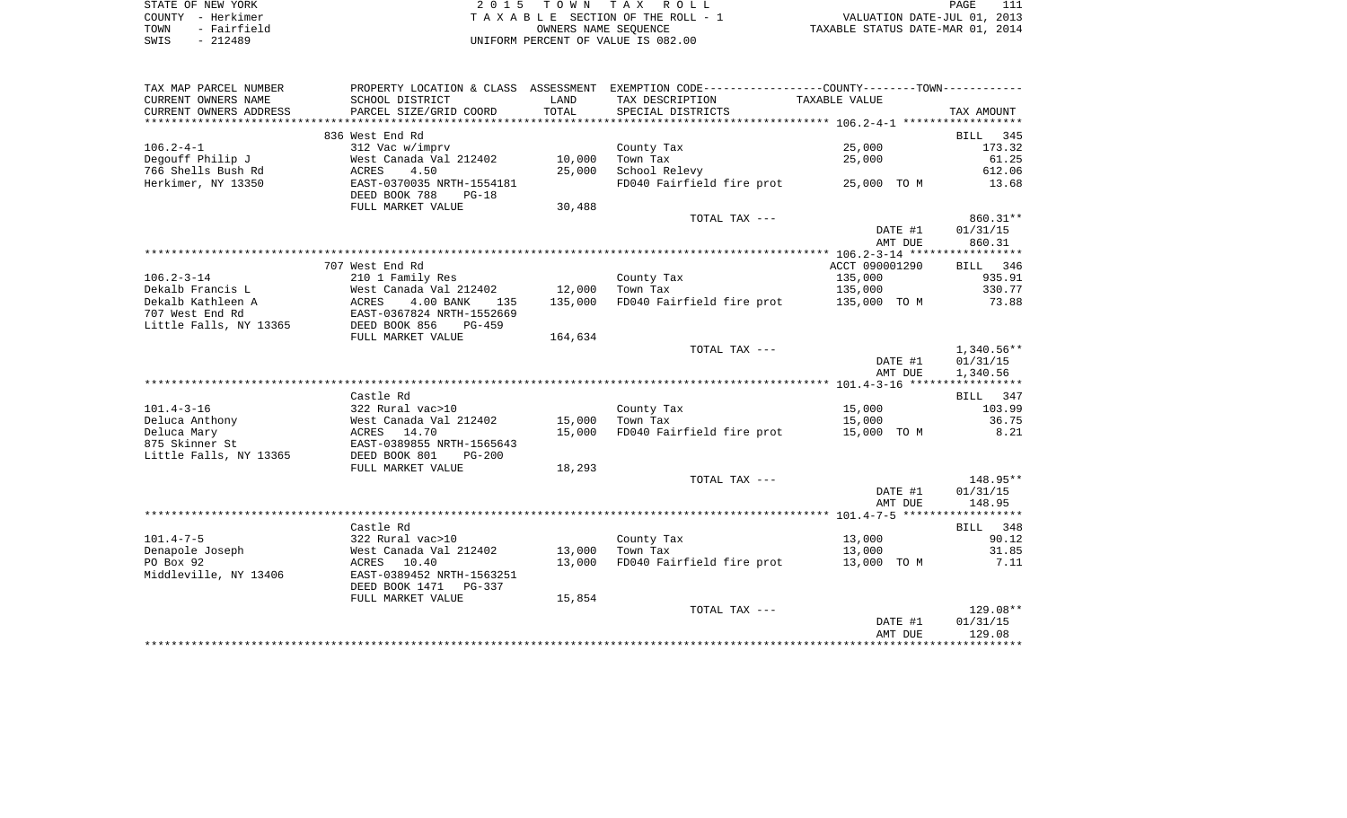| STATE OF NEW YORK   | 2015 TOWN TAX ROLL                 | PAGE                             |
|---------------------|------------------------------------|----------------------------------|
| COUNTY - Herkimer   | TAXABLE SECTION OF THE ROLL - 1    | VALUATION DATE-JUL 01, 2013      |
| - Fairfield<br>TOWN | OWNERS NAME SEOUENCE               | TAXABLE STATUS DATE-MAR 01, 2014 |
| SWIS<br>$-212489$   | UNIFORM PERCENT OF VALUE IS 082.00 |                                  |

| TAX MAP PARCEL NUMBER                    |                                                             |         | PROPERTY LOCATION & CLASS ASSESSMENT EXEMPTION CODE----------------COUNTY--------TOWN---------- |                    |                    |
|------------------------------------------|-------------------------------------------------------------|---------|-------------------------------------------------------------------------------------------------|--------------------|--------------------|
| CURRENT OWNERS NAME                      | SCHOOL DISTRICT                                             | LAND    | TAX DESCRIPTION                                                                                 | TAXABLE VALUE      |                    |
| CURRENT OWNERS ADDRESS                   | PARCEL SIZE/GRID COORD                                      | TOTAL   | SPECIAL DISTRICTS                                                                               |                    | TAX AMOUNT         |
|                                          |                                                             |         |                                                                                                 |                    |                    |
|                                          | 836 West End Rd                                             |         |                                                                                                 |                    | BILL<br>345        |
| $106.2 - 4 - 1$                          | 312 Vac w/imprv                                             |         | County Tax                                                                                      | 25,000             | 173.32             |
| Degouff Philip J                         | West Canada Val 212402                                      | 10,000  | Town Tax                                                                                        | 25,000             | 61.25              |
| 766 Shells Bush Rd                       | 4.50<br>ACRES                                               | 25,000  | School Relevy                                                                                   |                    | 612.06             |
| Herkimer, NY 13350                       | EAST-0370035 NRTH-1554181<br>DEED BOOK 788<br>$PG-18$       |         | FD040 Fairfield fire prot                                                                       | 25,000 TO M        | 13.68              |
|                                          | FULL MARKET VALUE                                           | 30,488  |                                                                                                 |                    |                    |
|                                          |                                                             |         | TOTAL TAX ---                                                                                   |                    | 860.31**           |
|                                          |                                                             |         |                                                                                                 | DATE #1            | 01/31/15           |
|                                          |                                                             |         |                                                                                                 | AMT DUE            | 860.31             |
|                                          |                                                             |         |                                                                                                 |                    |                    |
|                                          | 707 West End Rd                                             |         |                                                                                                 | ACCT 090001290     | BILL 346           |
| $106.2 - 3 - 14$                         | 210 1 Family Res                                            |         | County Tax                                                                                      | 135,000            | 935.91             |
| Dekalb Francis L                         | West Canada Val 212402                                      | 12,000  | Town Tax                                                                                        | 135,000            | 330.77             |
| Dekalb Kathleen A                        | ACRES<br>4.00 BANK<br>135                                   | 135,000 | FD040 Fairfield fire prot 135,000 TO M                                                          |                    | 73.88              |
| 707 West End Rd                          | EAST-0367824 NRTH-1552669                                   |         |                                                                                                 |                    |                    |
| Little Falls, NY 13365                   | DEED BOOK 856<br>PG-459                                     |         |                                                                                                 |                    |                    |
|                                          | FULL MARKET VALUE                                           | 164,634 |                                                                                                 |                    |                    |
|                                          |                                                             |         | TOTAL TAX ---                                                                                   |                    | $1,340.56**$       |
|                                          |                                                             |         |                                                                                                 | DATE #1            | 01/31/15           |
|                                          |                                                             |         |                                                                                                 | AMT DUE            | 1,340.56           |
|                                          |                                                             |         |                                                                                                 |                    |                    |
|                                          | Castle Rd                                                   |         |                                                                                                 |                    | BILL 347           |
| $101.4 - 3 - 16$                         | 322 Rural vac>10                                            |         | County Tax                                                                                      | 15,000             | 103.99             |
| Deluca Anthony                           | West Canada Val 212402                                      | 15,000  | Town Tax                                                                                        | 15,000             | 36.75              |
| Deluca Mary                              | ACRES 14.70                                                 | 15,000  | FD040 Fairfield fire prot                                                                       | 15,000 TO M        | 8.21               |
| 875 Skinner St<br>Little Falls, NY 13365 | EAST-0389855 NRTH-1565643<br>DEED BOOK 801<br><b>PG-200</b> |         |                                                                                                 |                    |                    |
|                                          | FULL MARKET VALUE                                           | 18,293  |                                                                                                 |                    |                    |
|                                          |                                                             |         | TOTAL TAX ---                                                                                   |                    | $148.95**$         |
|                                          |                                                             |         |                                                                                                 | DATE #1<br>AMT DUE | 01/31/15<br>148.95 |
|                                          |                                                             |         |                                                                                                 |                    |                    |
|                                          | Castle Rd                                                   |         |                                                                                                 |                    | BILL 348           |
| $101.4 - 7 - 5$                          | 322 Rural vac>10                                            |         | County Tax                                                                                      | 13,000             | 90.12              |
| Denapole Joseph                          | West Canada Val 212402                                      | 13,000  | Town Tax                                                                                        | 13,000             | 31.85              |
| PO Box 92                                | ACRES 10.40                                                 | 13,000  | FD040 Fairfield fire prot                                                                       | 13,000 TO M        | 7.11               |
| Middleville, NY 13406                    | EAST-0389452 NRTH-1563251<br>DEED BOOK 1471 PG-337          |         |                                                                                                 |                    |                    |
|                                          | FULL MARKET VALUE                                           | 15,854  |                                                                                                 |                    |                    |
|                                          |                                                             |         | TOTAL TAX ---                                                                                   |                    | 129.08**           |
|                                          |                                                             |         |                                                                                                 | DATE #1<br>AMT DUE | 01/31/15<br>129.08 |
|                                          |                                                             |         |                                                                                                 |                    |                    |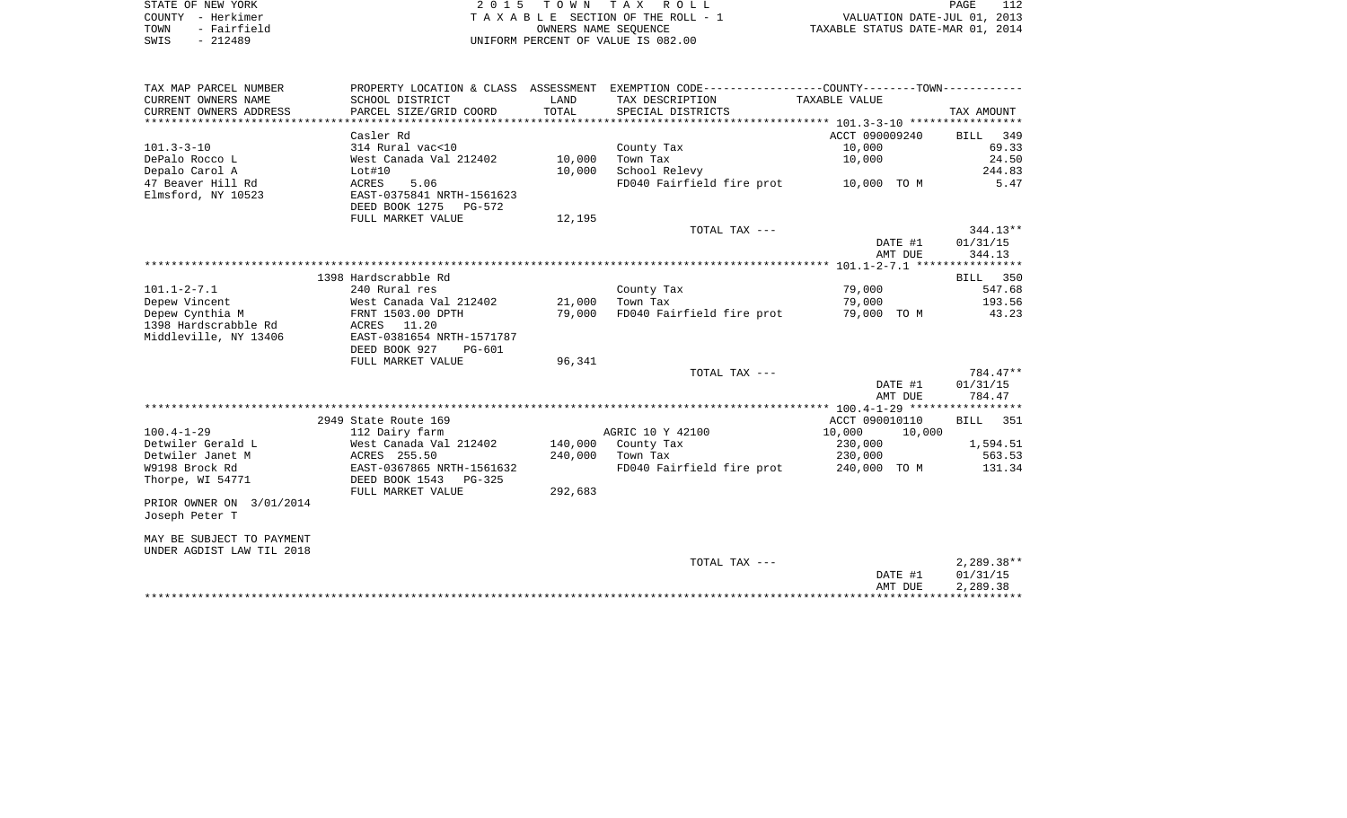| STATE OF NEW YORK   | 2015 TOWN TAX ROLL                 | PAGE                             |
|---------------------|------------------------------------|----------------------------------|
| COUNTY - Herkimer   | TAXABLE SECTION OF THE ROLL - 1    | VALUATION DATE-JUL 01, 2013      |
| - Fairfield<br>TOWN | OWNERS NAME SEOUENCE               | TAXABLE STATUS DATE-MAR 01, 2014 |
| - 212489<br>SWIS    | UNIFORM PERCENT OF VALUE IS 082.00 |                                  |

| TAX MAP PARCEL NUMBER     |                           |                 | PROPERTY LOCATION & CLASS ASSESSMENT EXEMPTION CODE----------------COUNTY--------TOWN----------- |                         |            |
|---------------------------|---------------------------|-----------------|--------------------------------------------------------------------------------------------------|-------------------------|------------|
| CURRENT OWNERS NAME       | SCHOOL DISTRICT           | LAND            | TAX DESCRIPTION                                                                                  | TAXABLE VALUE           |            |
| CURRENT OWNERS ADDRESS    | PARCEL SIZE/GRID COORD    | TOTAL           | SPECIAL DISTRICTS                                                                                |                         | TAX AMOUNT |
|                           |                           |                 |                                                                                                  |                         |            |
|                           | Casler Rd                 |                 |                                                                                                  | ACCT 090009240 BILL 349 |            |
| 101.3-3-10                | 314 Rural vac<10          |                 | County Tax                                                                                       | 10,000                  | 69.33      |
| DePalo Rocco L            | West Canada Val 212402    | 10,000          | Town Tax                                                                                         | 10,000                  | 24.50      |
| Depalo Carol A            | Lot#10                    | 10,000          | School Relevy                                                                                    |                         | 244.83     |
| 47 Beaver Hill Rd         | <b>ACRES</b><br>5.06      |                 | FD040 Fairfield fire prot 10,000 TO M                                                            |                         | 5.47       |
| Elmsford, NY 10523        | EAST-0375841 NRTH-1561623 |                 |                                                                                                  |                         |            |
|                           | DEED BOOK 1275 PG-572     |                 |                                                                                                  |                         |            |
|                           | FULL MARKET VALUE         | 12,195          |                                                                                                  |                         |            |
|                           |                           |                 | TOTAL TAX ---                                                                                    |                         | 344.13**   |
|                           |                           |                 |                                                                                                  | DATE #1                 | 01/31/15   |
|                           |                           |                 |                                                                                                  | AMT DUE                 | 344.13     |
|                           |                           |                 |                                                                                                  |                         |            |
|                           | 1398 Hardscrabble Rd      |                 |                                                                                                  |                         | BILL 350   |
| $101.1 - 2 - 7.1$         | 240 Rural res             |                 | County Tax                                                                                       | 79,000                  | 547.68     |
| Depew Vincent             | West Canada Val 212402    | 21,000 Town Tax |                                                                                                  | 79,000                  | 193.56     |
| Depew Cynthia M           | FRNT 1503.00 DPTH         | 79,000          | FD040 Fairfield fire prot 79,000 TO M 43.23                                                      |                         |            |
| 1398 Hardscrabble Rd      | ACRES 11.20               |                 |                                                                                                  |                         |            |
| Middleville, NY 13406     | EAST-0381654 NRTH-1571787 |                 |                                                                                                  |                         |            |
|                           | DEED BOOK 927<br>PG-601   |                 |                                                                                                  |                         |            |
|                           | FULL MARKET VALUE         | 96,341          |                                                                                                  |                         |            |
|                           |                           |                 | TOTAL TAX ---                                                                                    |                         | 784.47**   |
|                           |                           |                 |                                                                                                  | DATE #1                 | 01/31/15   |
|                           |                           |                 |                                                                                                  | AMT DUE                 | 784.47     |
|                           |                           |                 |                                                                                                  |                         |            |
|                           | 2949 State Route 169      |                 |                                                                                                  | ACCT 090010110          | BILL 351   |
| $100.4 - 1 - 29$          | 112 Dairy farm            |                 | AGRIC 10 Y 42100                                                                                 | 10,000<br>10,000        |            |
| Detwiler Gerald L         | West Canada Val 212402    |                 | 140,000 County Tax                                                                               | 230,000                 | 1,594.51   |
| Detwiler Janet M          | ACRES 255.50              |                 | 240,000 Town Tax                                                                                 | 230,000                 | 563.53     |
| W9198 Brock Rd            | EAST-0367865 NRTH-1561632 |                 | FD040 Fairfield fire prot                                                                        | 240,000 TO M            | 131.34     |
| Thorpe, WI 54771          | DEED BOOK 1543 PG-325     |                 |                                                                                                  |                         |            |
|                           | FULL MARKET VALUE         | 292,683         |                                                                                                  |                         |            |
| PRIOR OWNER ON 3/01/2014  |                           |                 |                                                                                                  |                         |            |
| Joseph Peter T            |                           |                 |                                                                                                  |                         |            |
| MAY BE SUBJECT TO PAYMENT |                           |                 |                                                                                                  |                         |            |
| UNDER AGDIST LAW TIL 2018 |                           |                 |                                                                                                  |                         |            |
|                           |                           |                 | TOTAL TAX ---                                                                                    |                         | 2,289.38** |
|                           |                           |                 |                                                                                                  | DATE #1                 | 01/31/15   |
|                           |                           |                 |                                                                                                  | AMT DUE                 | 2,289.38   |
|                           |                           |                 |                                                                                                  |                         |            |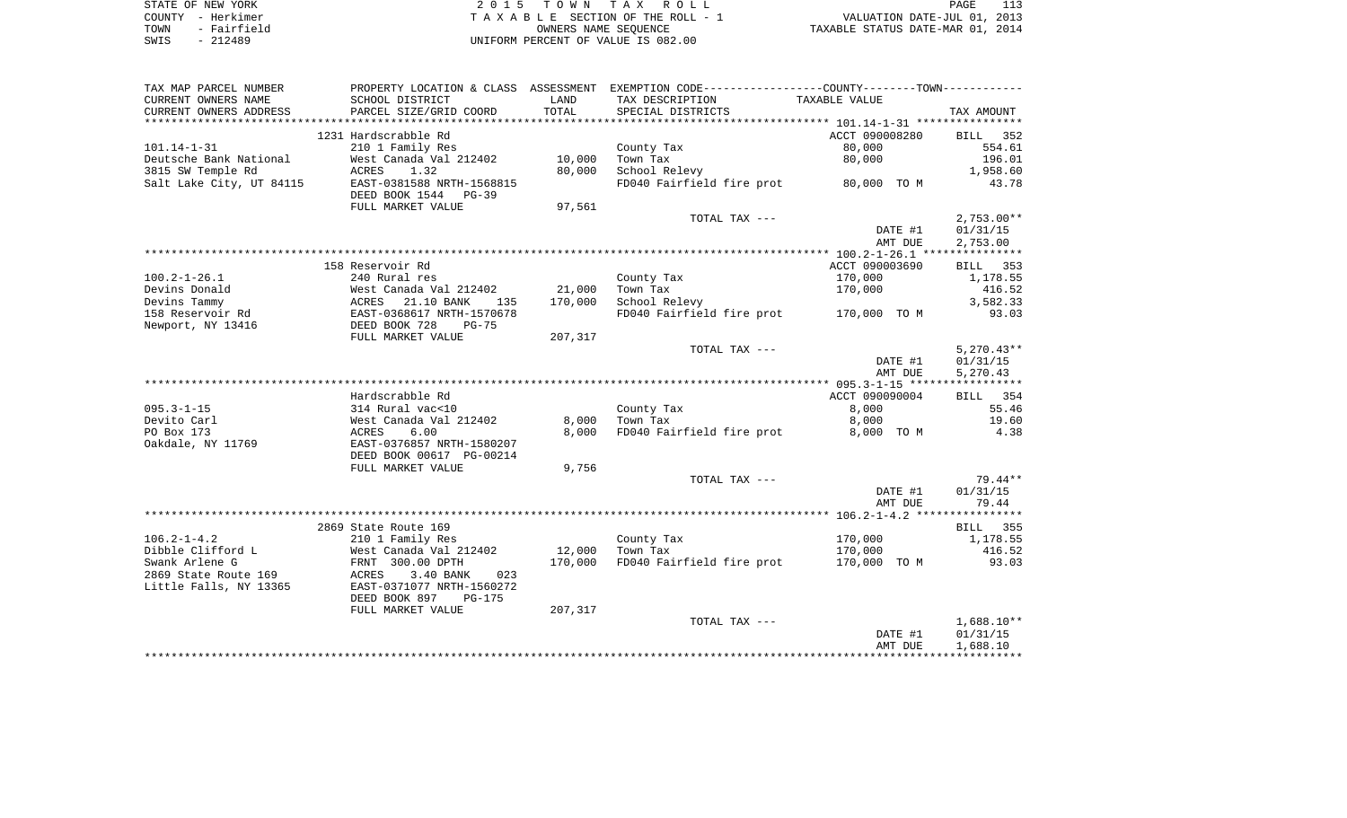| STATE OF NEW YORK   | 2015 TOWN TAX ROLL                 | PAGE                             |
|---------------------|------------------------------------|----------------------------------|
| COUNTY - Herkimer   | TAXABLE SECTION OF THE ROLL - 1    | VALUATION DATE-JUL 01, 2013      |
| - Fairfield<br>TOWN | OWNERS NAME SEOUENCE               | TAXABLE STATUS DATE-MAR 01, 2014 |
| SWIS<br>$-212489$   | UNIFORM PERCENT OF VALUE IS 082.00 |                                  |

| TAX MAP PARCEL NUMBER    | PROPERTY LOCATION & CLASS ASSESSMENT                   |         | EXEMPTION CODE-----------------COUNTY-------TOWN----------- |                |              |
|--------------------------|--------------------------------------------------------|---------|-------------------------------------------------------------|----------------|--------------|
| CURRENT OWNERS NAME      | SCHOOL DISTRICT                                        | LAND    | TAX DESCRIPTION                                             | TAXABLE VALUE  |              |
| CURRENT OWNERS ADDRESS   | PARCEL SIZE/GRID COORD                                 | TOTAL   | SPECIAL DISTRICTS                                           |                | TAX AMOUNT   |
| ************************ |                                                        |         |                                                             |                |              |
|                          | 1231 Hardscrabble Rd                                   |         |                                                             | ACCT 090008280 | BILL<br>352  |
| $101.14 - 1 - 31$        | 210 1 Family Res                                       |         | County Tax                                                  | 80,000         | 554.61       |
| Deutsche Bank National   | West Canada Val 212402                                 | 10,000  | Town Tax                                                    | 80,000         | 196.01       |
| 3815 SW Temple Rd        | 1.32<br>ACRES                                          | 80,000  | School Relevy                                               |                | 1,958.60     |
| Salt Lake City, UT 84115 | EAST-0381588 NRTH-1568815<br>DEED BOOK 1544<br>$PG-39$ |         | FD040 Fairfield fire prot                                   | 80,000 TO M    | 43.78        |
|                          | FULL MARKET VALUE                                      | 97,561  |                                                             |                |              |
|                          |                                                        |         | TOTAL TAX ---                                               |                | $2,753.00**$ |
|                          |                                                        |         |                                                             | DATE #1        | 01/31/15     |
|                          |                                                        |         |                                                             | AMT DUE        | 2,753.00     |
|                          |                                                        |         |                                                             |                |              |
|                          | 158 Reservoir Rd                                       |         |                                                             | ACCT 090003690 | BILL 353     |
| $100.2 - 1 - 26.1$       | 240 Rural res                                          |         | County Tax                                                  | 170,000        | 1,178.55     |
| Devins Donald            | West Canada Val 212402                                 | 21,000  | Town Tax                                                    | 170,000        | 416.52       |
| Devins Tammy             | 21.10 BANK<br>ACRES<br>135                             | 170,000 | School Relevy                                               |                | 3,582.33     |
| 158 Reservoir Rd         | EAST-0368617 NRTH-1570678                              |         | FD040 Fairfield fire prot                                   | 170,000 TO M   | 93.03        |
| Newport, NY 13416        | DEED BOOK 728<br>$PG-75$                               |         |                                                             |                |              |
|                          | FULL MARKET VALUE                                      | 207,317 | TOTAL TAX ---                                               |                | $5,270.43**$ |
|                          |                                                        |         |                                                             | DATE #1        | 01/31/15     |
|                          |                                                        |         |                                                             | AMT DUE        | 5,270.43     |
|                          |                                                        |         |                                                             |                |              |
|                          | Hardscrabble Rd                                        |         |                                                             | ACCT 090090004 | BILL 354     |
| $095.3 - 1 - 15$         | 314 Rural vac<10                                       |         | County Tax                                                  | 8,000          | 55.46        |
| Devito Carl              | West Canada Val 212402                                 | 8,000   | Town Tax                                                    | 8,000          | 19.60        |
| PO Box 173               | ACRES<br>6.00                                          | 8,000   | FD040 Fairfield fire prot                                   | 8,000 TO M     | 4.38         |
| Oakdale, NY 11769        | EAST-0376857 NRTH-1580207<br>DEED BOOK 00617 PG-00214  |         |                                                             |                |              |
|                          | FULL MARKET VALUE                                      | 9,756   |                                                             |                |              |
|                          |                                                        |         | TOTAL TAX ---                                               |                | $79.44**$    |
|                          |                                                        |         |                                                             | DATE #1        | 01/31/15     |
|                          |                                                        |         |                                                             | AMT DUE        | 79.44        |
|                          |                                                        |         |                                                             |                |              |
|                          | 2869 State Route 169                                   |         |                                                             |                | 355<br>BILL  |
| $106.2 - 1 - 4.2$        | 210 1 Family Res                                       |         | County Tax                                                  | 170,000        | 1,178.55     |
| Dibble Clifford L        | West Canada Val 212402                                 | 12,000  | Town Tax                                                    | 170,000        | 416.52       |
| Swank Arlene G           | FRNT 300.00 DPTH                                       | 170,000 | FD040 Fairfield fire prot                                   | 170,000 TO M   | 93.03        |
| 2869 State Route 169     | ACRES<br>3.40 BANK<br>023                              |         |                                                             |                |              |
| Little Falls, NY 13365   | EAST-0371077 NRTH-1560272                              |         |                                                             |                |              |
|                          | DEED BOOK 897<br><b>PG-175</b>                         |         |                                                             |                |              |
|                          | FULL MARKET VALUE                                      | 207,317 |                                                             |                |              |
|                          |                                                        |         | TOTAL TAX ---                                               |                | $1,688.10**$ |
|                          |                                                        |         |                                                             | DATE #1        | 01/31/15     |
|                          |                                                        |         |                                                             | AMT DUE        | 1,688.10     |
|                          |                                                        |         |                                                             |                |              |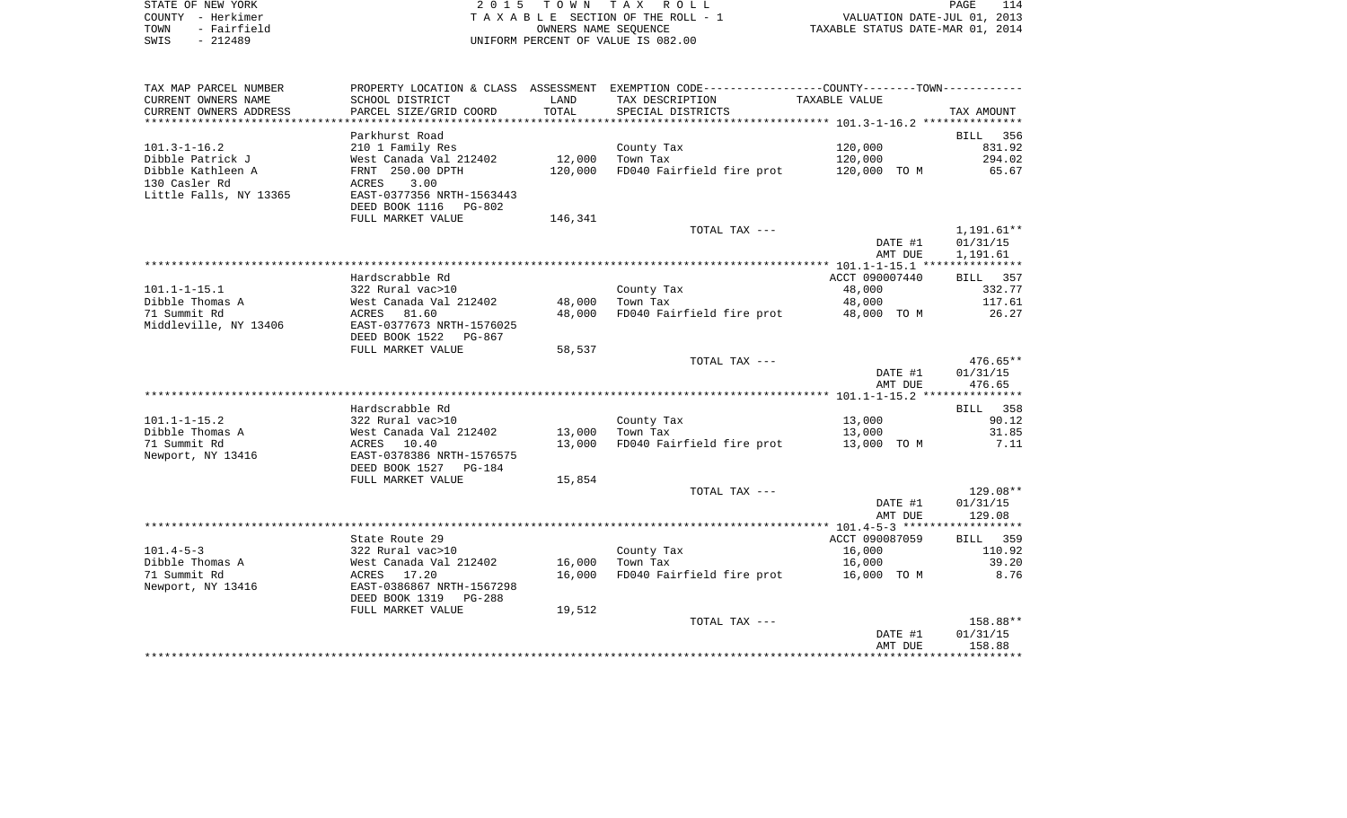| STATE OF NEW YORK |                   | 2015 TOWN TAX ROLL                 | PAGE                             |  |
|-------------------|-------------------|------------------------------------|----------------------------------|--|
|                   | COUNTY - Herkimer | TAXABLE SECTION OF THE ROLL - 1    | VALUATION DATE-JUL 01, 2013      |  |
| TOWN              | - Fairfield       | OWNERS NAME SEOUENCE               | TAXABLE STATUS DATE-MAR 01, 2014 |  |
| SWIS              | - 212489          | UNIFORM PERCENT OF VALUE IS 082.00 |                                  |  |

| TAX MAP PARCEL NUMBER  |                           |         | PROPERTY LOCATION & CLASS ASSESSMENT EXEMPTION CODE---------------COUNTY-------TOWN---------- |                |                    |
|------------------------|---------------------------|---------|-----------------------------------------------------------------------------------------------|----------------|--------------------|
| CURRENT OWNERS NAME    | SCHOOL DISTRICT           | LAND    | TAX DESCRIPTION                                                                               | TAXABLE VALUE  |                    |
| CURRENT OWNERS ADDRESS | PARCEL SIZE/GRID COORD    | TOTAL   | SPECIAL DISTRICTS                                                                             |                | TAX AMOUNT         |
| *******************    | *******************       |         |                                                                                               |                |                    |
|                        | Parkhurst Road            |         |                                                                                               |                | <b>BILL</b><br>356 |
| $101.3 - 1 - 16.2$     | 210 1 Family Res          |         | County Tax                                                                                    | 120,000        | 831.92             |
| Dibble Patrick J       | West Canada Val 212402    | 12,000  | Town Tax                                                                                      | 120,000        | 294.02             |
| Dibble Kathleen A      | FRNT 250.00 DPTH          | 120,000 | FD040 Fairfield fire prot                                                                     | 120,000 TO M   | 65.67              |
| 130 Casler Rd          | 3.00<br>ACRES             |         |                                                                                               |                |                    |
| Little Falls, NY 13365 | EAST-0377356 NRTH-1563443 |         |                                                                                               |                |                    |
|                        | DEED BOOK 1116<br>PG-802  |         |                                                                                               |                |                    |
|                        | FULL MARKET VALUE         | 146,341 |                                                                                               |                |                    |
|                        |                           |         | TOTAL TAX ---                                                                                 |                | 1,191.61**         |
|                        |                           |         |                                                                                               | DATE #1        | 01/31/15           |
|                        |                           |         |                                                                                               | AMT DUE        | 1,191.61           |
|                        |                           |         |                                                                                               |                |                    |
|                        | Hardscrabble Rd           |         |                                                                                               | ACCT 090007440 | <b>BILL</b><br>357 |
| $101.1 - 1 - 15.1$     | 322 Rural vac>10          |         | County Tax                                                                                    | 48,000         | 332.77             |
| Dibble Thomas A        | West Canada Val 212402    | 48,000  | Town Tax                                                                                      | 48,000         | 117.61             |
| 71 Summit Rd           | ACRES 81.60               | 48,000  | FD040 Fairfield fire prot                                                                     | 48,000 TO M    | 26.27              |
| Middleville, NY 13406  | EAST-0377673 NRTH-1576025 |         |                                                                                               |                |                    |
|                        | DEED BOOK 1522<br>PG-867  |         |                                                                                               |                |                    |
|                        | FULL MARKET VALUE         | 58,537  |                                                                                               |                |                    |
|                        |                           |         | TOTAL TAX ---                                                                                 |                | $476.65**$         |
|                        |                           |         |                                                                                               | DATE #1        | 01/31/15           |
|                        |                           |         |                                                                                               | AMT DUE        | 476.65             |
|                        |                           |         |                                                                                               |                |                    |
|                        | Hardscrabble Rd           |         |                                                                                               |                | BILL 358           |
| $101.1 - 1 - 15.2$     | 322 Rural vac>10          |         | County Tax                                                                                    | 13,000         | 90.12              |
| Dibble Thomas A        | West Canada Val 212402    | 13,000  | Town Tax                                                                                      | 13,000         | 31.85              |
| 71 Summit Rd           | ACRES 10.40               | 13,000  | FD040 Fairfield fire prot                                                                     | 13,000 TO M    | 7.11               |
| Newport, NY 13416      | EAST-0378386 NRTH-1576575 |         |                                                                                               |                |                    |
|                        | DEED BOOK 1527<br>PG-184  |         |                                                                                               |                |                    |
|                        | FULL MARKET VALUE         | 15,854  |                                                                                               |                |                    |
|                        |                           |         | TOTAL TAX ---                                                                                 |                | 129.08**           |
|                        |                           |         |                                                                                               | DATE #1        | 01/31/15           |
|                        |                           |         |                                                                                               | AMT DUE        | 129.08             |
|                        |                           |         |                                                                                               |                |                    |
|                        | State Route 29            |         |                                                                                               | ACCT 090087059 | BILL 359           |
| $101.4 - 5 - 3$        | 322 Rural vac>10          |         | County Tax                                                                                    | 16,000         | 110.92             |
| Dibble Thomas A        | West Canada Val 212402    | 16,000  | Town Tax                                                                                      | 16,000         | 39.20              |
| 71 Summit Rd           | ACRES 17.20               | 16,000  | FD040 Fairfield fire prot                                                                     | 16,000 TO M    | 8.76               |
| Newport, NY 13416      | EAST-0386867 NRTH-1567298 |         |                                                                                               |                |                    |
|                        | DEED BOOK 1319<br>PG-288  |         |                                                                                               |                |                    |
|                        | FULL MARKET VALUE         | 19,512  |                                                                                               |                |                    |
|                        |                           |         | TOTAL TAX ---                                                                                 |                | 158.88**           |
|                        |                           |         |                                                                                               | DATE #1        | 01/31/15           |
|                        |                           |         |                                                                                               | AMT DUE        | 158.88             |
|                        |                           |         |                                                                                               |                |                    |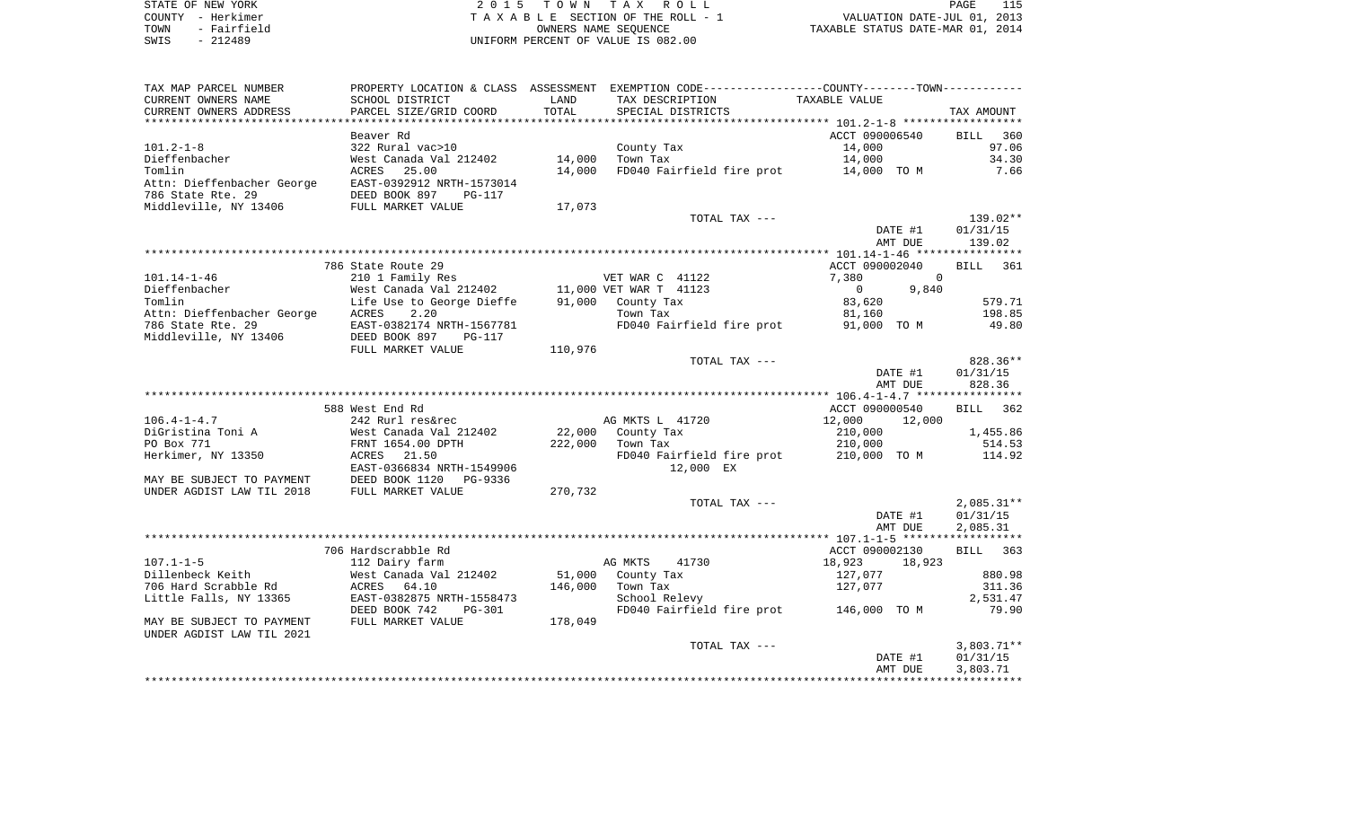| STATE OF NEW YORK |             |
|-------------------|-------------|
| COUNTY - Herkimer |             |
| TOWN              | - Fairfield |
| SWIS              | $-212489$   |

2015 TOWN TAX ROLL TA X A B L E SECTION OF THE ROLL - 1 TOWN - Fairfield OWNERS NAME SEQUENCE TAXABLE STATUS DATE-MAR 01, 2014 SWIS - 212489 UNIFORM PERCENT OF VALUE IS 082.00

| TAX MAP PARCEL NUMBER      |                                               |         | PROPERTY LOCATION & CLASS ASSESSMENT EXEMPTION CODE-----------------COUNTY-------TOWN----------- |                         |                 |
|----------------------------|-----------------------------------------------|---------|--------------------------------------------------------------------------------------------------|-------------------------|-----------------|
| CURRENT OWNERS NAME        | SCHOOL DISTRICT                               | LAND    | TAX DESCRIPTION                                                                                  | TAXABLE VALUE           |                 |
| CURRENT OWNERS ADDRESS     | PARCEL SIZE/GRID COORD                        | TOTAL   | SPECIAL DISTRICTS                                                                                |                         | TAX AMOUNT      |
|                            |                                               |         |                                                                                                  |                         |                 |
|                            | Beaver Rd                                     |         |                                                                                                  | ACCT 090006540          | BILL 360        |
| $101.2 - 1 - 8$            | 322 Rural vac>10                              |         | County Tax                                                                                       | 14,000                  | 97.06           |
| Dieffenbacher              | West Canada Val 212402                        | 14,000  | Town Tax                                                                                         | 14,000                  | 34.30           |
| Tomlin                     | 25.00<br>ACRES                                | 14,000  | FD040 Fairfield fire prot                                                                        | 14,000 TO M             | 7.66            |
| Attn: Dieffenbacher George | EAST-0392912 NRTH-1573014                     |         |                                                                                                  |                         |                 |
| 786 State Rte. 29          | DEED BOOK 897<br>PG-117                       |         |                                                                                                  |                         |                 |
| Middleville, NY 13406      | FULL MARKET VALUE                             | 17,073  |                                                                                                  |                         |                 |
|                            |                                               |         | TOTAL TAX ---                                                                                    |                         | 139.02**        |
|                            |                                               |         |                                                                                                  | DATE #1                 | 01/31/15        |
|                            |                                               |         |                                                                                                  |                         | 139.02          |
|                            |                                               |         |                                                                                                  | AMT DUE                 |                 |
|                            |                                               |         |                                                                                                  |                         |                 |
|                            | 786 State Route 29                            |         |                                                                                                  | ACCT 090002040          | <b>BILL</b> 361 |
| $101.14 - 1 - 46$          | 210 1 Family Res                              |         | VET WAR C 41122                                                                                  | $\Omega$<br>7,380       |                 |
| Dieffenbacher              | West Canada Val 212402 11,000 VET WAR T 41123 |         |                                                                                                  | $\overline{0}$<br>9,840 |                 |
| Tomlin                     | Life Use to George Dieffe                     |         | 91,000 County Tax                                                                                | 83,620                  | 579.71          |
| Attn: Dieffenbacher George | ACRES<br>2.20                                 |         | Town Tax                                                                                         | 81,160                  | 198.85          |
| 786 State Rte. 29          | EAST-0382174 NRTH-1567781                     |         | FD040 Fairfield fire prot                                                                        | 91,000 TO M             | 49.80           |
| Middleville, NY 13406      | DEED BOOK 897<br>PG-117                       |         |                                                                                                  |                         |                 |
|                            | FULL MARKET VALUE                             | 110,976 |                                                                                                  |                         |                 |
|                            |                                               |         | TOTAL TAX ---                                                                                    |                         | 828.36**        |
|                            |                                               |         |                                                                                                  | DATE #1                 | 01/31/15        |
|                            |                                               |         |                                                                                                  | AMT DUE                 | 828.36          |
|                            |                                               |         |                                                                                                  |                         |                 |
|                            | 588 West End Rd                               |         |                                                                                                  | ACCT 090000540          | BILL 362        |
| $106.4 - 1 - 4.7$          | 242 Rurl res&rec                              |         | AG MKTS L 41720                                                                                  | 12,000<br>12,000        |                 |
| DiGristina Toni A          | West Canada Val 212402                        | 22,000  | County Tax                                                                                       | 210,000                 | 1,455.86        |
| PO Box 771                 | FRNT 1654.00 DPTH                             | 222,000 | Town Tax                                                                                         | 210,000                 | 514.53          |
| Herkimer, NY 13350         | ACRES 21.50                                   |         | FD040 Fairfield fire prot 210,000 TO M                                                           |                         | 114.92          |
|                            | EAST-0366834 NRTH-1549906                     |         | 12,000 EX                                                                                        |                         |                 |
| MAY BE SUBJECT TO PAYMENT  | DEED BOOK 1120<br>PG-9336                     |         |                                                                                                  |                         |                 |
| UNDER AGDIST LAW TIL 2018  | FULL MARKET VALUE                             | 270,732 |                                                                                                  |                         |                 |
|                            |                                               |         | TOTAL TAX ---                                                                                    |                         | $2,085.31**$    |
|                            |                                               |         |                                                                                                  | DATE #1                 | 01/31/15        |
|                            |                                               |         |                                                                                                  | AMT DUE                 | 2,085.31        |
|                            |                                               |         |                                                                                                  |                         |                 |
|                            | 706 Hardscrabble Rd                           |         |                                                                                                  | ACCT 090002130          | BILL 363        |
| $107.1 - 1 - 5$            | 112 Dairy farm                                |         | AG MKTS<br>41730                                                                                 | 18,923<br>18,923        |                 |
| Dillenbeck Keith           | West Canada Val 212402                        |         | 51,000 County Tax                                                                                | 127,077                 | 880.98          |
| 706 Hard Scrabble Rd       | 64.10<br>ACRES                                | 146,000 | Town Tax                                                                                         | 127,077                 | 311.36          |
| Little Falls, NY 13365     | EAST-0382875 NRTH-1558473                     |         | School Relevy                                                                                    |                         | 2,531.47        |
|                            | DEED BOOK 742<br>$PG-301$                     |         | FD040 Fairfield fire prot                                                                        | 146,000 TO M            | 79.90           |
| MAY BE SUBJECT TO PAYMENT  | FULL MARKET VALUE                             | 178,049 |                                                                                                  |                         |                 |
| UNDER AGDIST LAW TIL 2021  |                                               |         |                                                                                                  |                         |                 |
|                            |                                               |         | TOTAL TAX ---                                                                                    |                         | $3,803.71**$    |
|                            |                                               |         |                                                                                                  | DATE #1                 | 01/31/15        |
|                            |                                               |         |                                                                                                  | AMT DUE                 | 3,803.71        |
|                            |                                               |         |                                                                                                  |                         |                 |
|                            |                                               |         |                                                                                                  |                         |                 |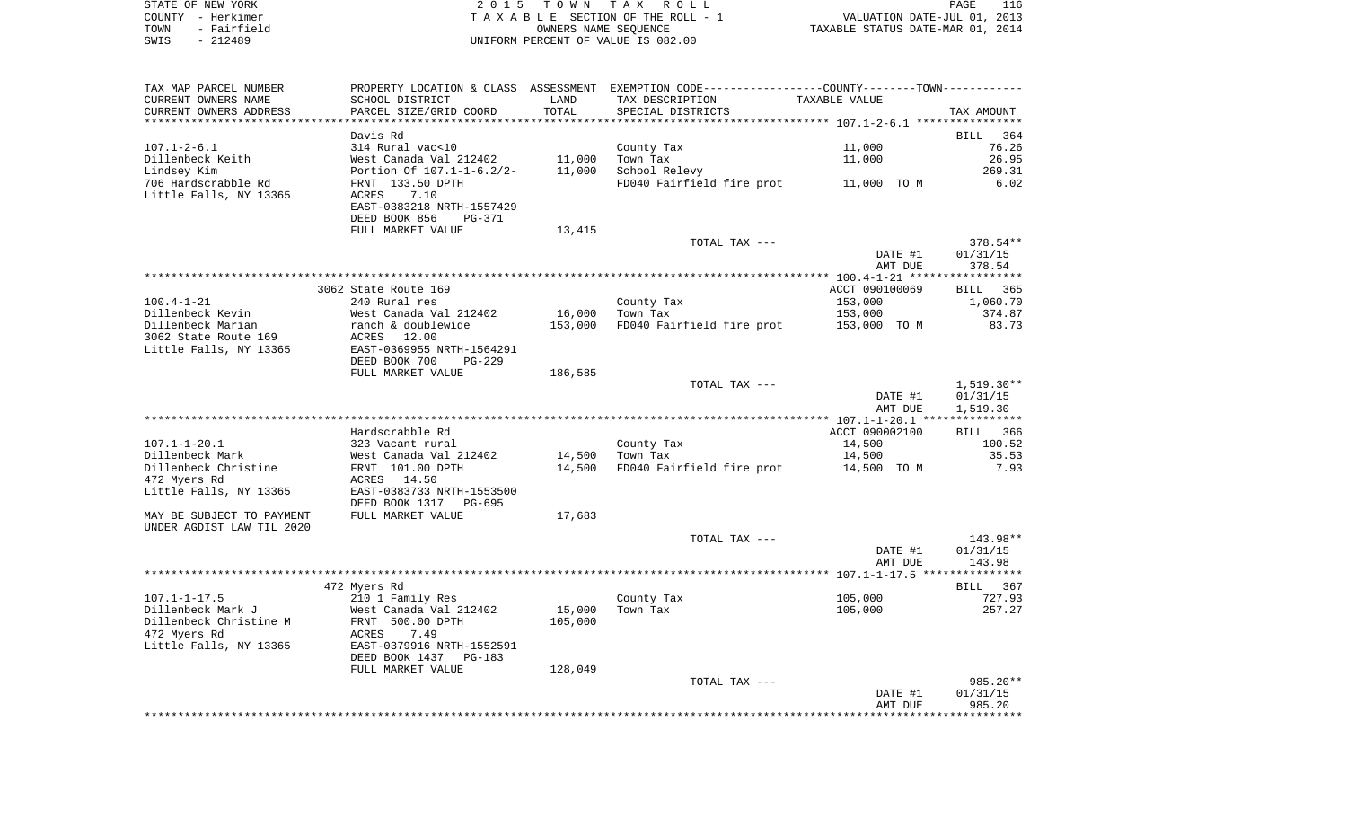|        | STATE OF NEW YORK | 2015 TOWN TAX ROLL                    | PAGE                             |  |
|--------|-------------------|---------------------------------------|----------------------------------|--|
| COUNTY | - Herkimer        | T A X A B L E SECTION OF THE ROLL - 1 | VALUATION DATE-JUL 01, 2013      |  |
| TOWN   | - Fairfield       | OWNERS NAME SEOUENCE                  | TAXABLE STATUS DATE-MAR 01, 2014 |  |
| SWIS   | $-212489$         | UNIFORM PERCENT OF VALUE IS 082.00    |                                  |  |

| TAX MAP PARCEL NUMBER                                  |                            |                        | PROPERTY LOCATION & CLASS ASSESSMENT EXEMPTION CODE----------------COUNTY-------TOWN----------- |                      |                    |
|--------------------------------------------------------|----------------------------|------------------------|-------------------------------------------------------------------------------------------------|----------------------|--------------------|
| CURRENT OWNERS NAME                                    | SCHOOL DISTRICT            | LAND                   | TAX DESCRIPTION                                                                                 | <b>TAXABLE VALUE</b> |                    |
| CURRENT OWNERS ADDRESS<br>**********************       | PARCEL SIZE/GRID COORD     | TOTAL<br>************* | SPECIAL DISTRICTS                                                                               |                      | TAX AMOUNT         |
|                                                        | Davis Rd                   |                        |                                                                                                 |                      | <b>BILL</b><br>364 |
| $107.1 - 2 - 6.1$                                      | 314 Rural vac<10           |                        | County Tax                                                                                      | 11,000               | 76.26              |
| Dillenbeck Keith                                       | West Canada Val 212402     | 11,000                 | Town Tax                                                                                        | 11,000               | 26.95              |
| Lindsey Kim                                            | Portion Of 107.1-1-6.2/2-  | 11,000                 | School Relevy                                                                                   |                      | 269.31             |
| 706 Hardscrabble Rd                                    | FRNT 133.50 DPTH           |                        | FD040 Fairfield fire prot                                                                       | 11,000 TO M          | 6.02               |
| Little Falls, NY 13365                                 | <b>ACRES</b><br>7.10       |                        |                                                                                                 |                      |                    |
|                                                        | EAST-0383218 NRTH-1557429  |                        |                                                                                                 |                      |                    |
|                                                        | DEED BOOK 856<br>PG-371    |                        |                                                                                                 |                      |                    |
|                                                        | FULL MARKET VALUE          | 13,415                 |                                                                                                 |                      |                    |
|                                                        |                            |                        | TOTAL TAX ---                                                                                   |                      | 378.54**           |
|                                                        |                            |                        |                                                                                                 | DATE #1              | 01/31/15           |
|                                                        |                            |                        |                                                                                                 | AMT DUE              | 378.54             |
|                                                        |                            |                        |                                                                                                 |                      | *********          |
|                                                        | 3062 State Route 169       |                        |                                                                                                 | ACCT 090100069       | 365<br>BILL        |
| $100.4 - 1 - 21$                                       | 240 Rural res              |                        | County Tax                                                                                      | 153,000              | 1,060.70           |
| Dillenbeck Kevin                                       | West Canada Val 212402     | 16,000                 | Town Tax                                                                                        | 153,000              | 374.87             |
| Dillenbeck Marian                                      | ranch & doublewide         | 153,000                | FD040 Fairfield fire prot                                                                       | 153,000 TO M         | 83.73              |
| 3062 State Route 169                                   | <b>ACRES</b><br>12.00      |                        |                                                                                                 |                      |                    |
| Little Falls, NY 13365                                 | EAST-0369955 NRTH-1564291  |                        |                                                                                                 |                      |                    |
|                                                        | DEED BOOK 700<br>$PG-229$  |                        |                                                                                                 |                      |                    |
|                                                        | FULL MARKET VALUE          | 186,585                | TOTAL TAX ---                                                                                   |                      | $1,519.30**$       |
|                                                        |                            |                        |                                                                                                 | DATE #1              | 01/31/15           |
|                                                        |                            |                        |                                                                                                 | AMT DUE              | 1,519.30           |
|                                                        |                            |                        |                                                                                                 |                      |                    |
|                                                        | Hardscrabble Rd            |                        |                                                                                                 | ACCT 090002100       | 366<br>BILL        |
| $107.1 - 1 - 20.1$                                     | 323 Vacant rural           |                        | County Tax                                                                                      | 14,500               | 100.52             |
| Dillenbeck Mark                                        | West Canada Val 212402     | 14,500                 | Town Tax                                                                                        | 14,500               | 35.53              |
| Dillenbeck Christine                                   | FRNT 101.00 DPTH           | 14,500                 | FD040 Fairfield fire prot                                                                       | 14,500 TO M          | 7.93               |
| 472 Myers Rd                                           | 14.50<br>ACRES             |                        |                                                                                                 |                      |                    |
| Little Falls, NY 13365                                 | EAST-0383733 NRTH-1553500  |                        |                                                                                                 |                      |                    |
|                                                        | DEED BOOK 1317<br>PG-695   |                        |                                                                                                 |                      |                    |
| MAY BE SUBJECT TO PAYMENT<br>UNDER AGDIST LAW TIL 2020 | FULL MARKET VALUE          | 17,683                 |                                                                                                 |                      |                    |
|                                                        |                            |                        | TOTAL TAX ---                                                                                   |                      | 143.98**           |
|                                                        |                            |                        |                                                                                                 | DATE #1              | 01/31/15           |
|                                                        |                            |                        |                                                                                                 | AMT DUE              | 143.98             |
|                                                        |                            |                        |                                                                                                 |                      | *********          |
|                                                        | 472 Myers Rd               |                        |                                                                                                 |                      | <b>BILL</b><br>367 |
| $107.1 - 1 - 17.5$                                     | 210 1 Family Res           |                        | County Tax                                                                                      | 105,000              | 727.93             |
| Dillenbeck Mark J                                      | West Canada Val 212402     | 15,000                 | Town Tax                                                                                        | 105,000              | 257.27             |
| Dillenbeck Christine M                                 | FRNT 500.00 DPTH           | 105,000                |                                                                                                 |                      |                    |
| 472 Myers Rd                                           | 7.49<br>ACRES              |                        |                                                                                                 |                      |                    |
| Little Falls, NY 13365                                 | EAST-0379916 NRTH-1552591  |                        |                                                                                                 |                      |                    |
|                                                        | DEED BOOK 1437<br>$PG-183$ |                        |                                                                                                 |                      |                    |
|                                                        | FULL MARKET VALUE          | 128,049                |                                                                                                 |                      |                    |
|                                                        |                            |                        | TOTAL TAX ---                                                                                   |                      | 985.20**           |
|                                                        |                            |                        |                                                                                                 | DATE #1              | 01/31/15           |
|                                                        |                            |                        |                                                                                                 | AMT DUE              | 985.20             |
|                                                        |                            |                        |                                                                                                 |                      |                    |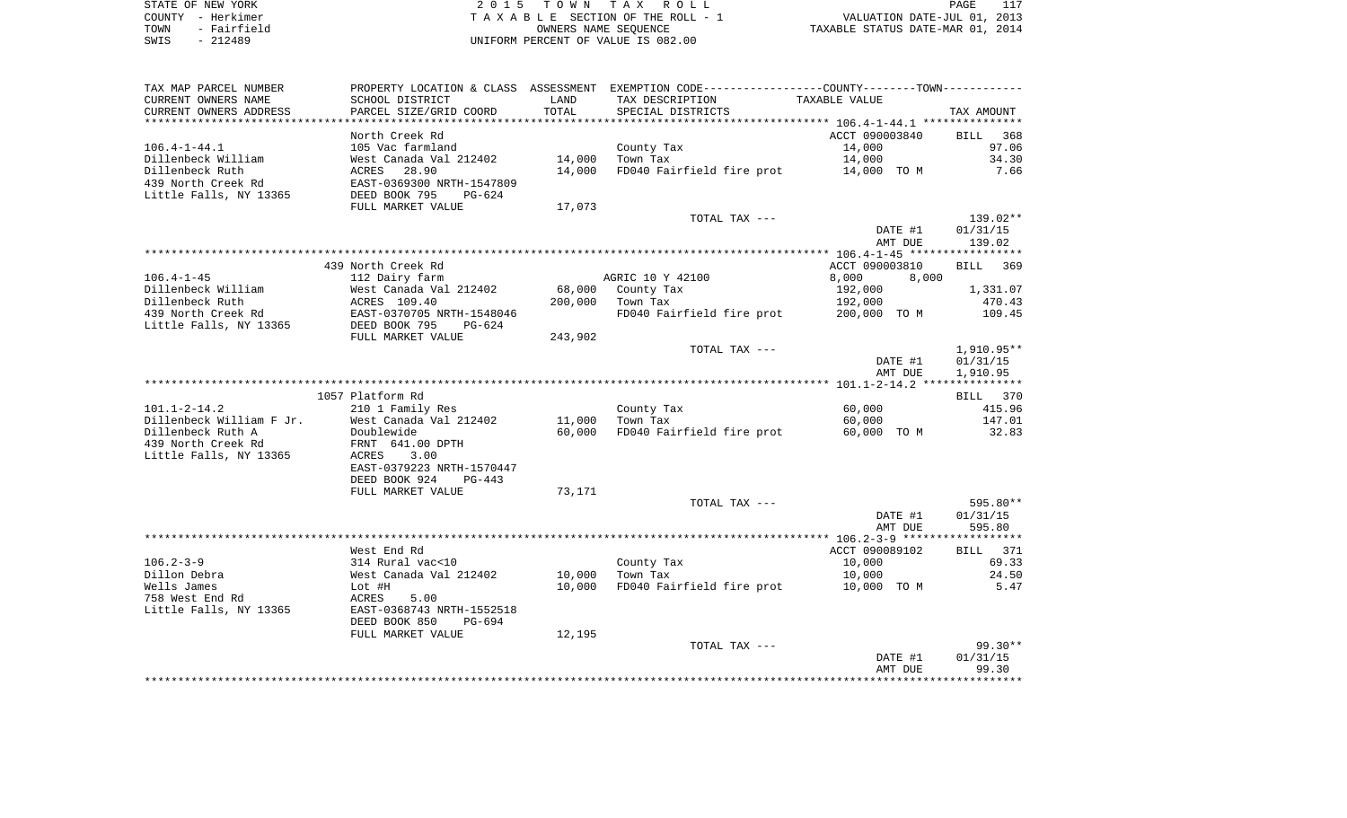|      | STATE OF NEW YORK | 2015 TOWN TAX ROLL                 | 117<br>PAGE                      |
|------|-------------------|------------------------------------|----------------------------------|
|      | COUNTY - Herkimer | TAXABLE SECTION OF THE ROLL - 1    | VALUATION DATE-JUL 01, 2013      |
| TOWN | - Fairfield       | OWNERS NAME SEOUENCE               | TAXABLE STATUS DATE-MAR 01, 2014 |
| SWIS | $-212489$         | UNIFORM PERCENT OF VALUE IS 082.00 |                                  |

| TAX MAP PARCEL NUMBER    |                                                   |         | PROPERTY LOCATION & CLASS ASSESSMENT EXEMPTION CODE---------------COUNTY-------TOWN---------- |                |                    |
|--------------------------|---------------------------------------------------|---------|-----------------------------------------------------------------------------------------------|----------------|--------------------|
| CURRENT OWNERS NAME      | SCHOOL DISTRICT                                   | LAND    | TAX DESCRIPTION                                                                               | TAXABLE VALUE  |                    |
| CURRENT OWNERS ADDRESS   | PARCEL SIZE/GRID COORD                            | TOTAL   | SPECIAL DISTRICTS                                                                             |                | TAX AMOUNT         |
|                          |                                                   |         |                                                                                               |                |                    |
|                          | North Creek Rd                                    |         |                                                                                               | ACCT 090003840 | BILL<br>368        |
| $106.4 - 1 - 44.1$       | 105 Vac farmland                                  |         | County Tax                                                                                    | 14,000         | 97.06              |
| Dillenbeck William       | West Canada Val 212402                            | 14,000  | Town Tax                                                                                      | 14,000         | 34.30              |
| Dillenbeck Ruth          | ACRES<br>28.90                                    | 14,000  | FD040 Fairfield fire prot                                                                     | 14,000 TO M    | 7.66               |
| 439 North Creek Rd       | EAST-0369300 NRTH-1547809                         |         |                                                                                               |                |                    |
| Little Falls, NY 13365   | DEED BOOK 795<br>PG-624                           |         |                                                                                               |                |                    |
|                          | FULL MARKET VALUE                                 | 17,073  |                                                                                               |                |                    |
|                          |                                                   |         | TOTAL TAX ---                                                                                 |                | 139.02**           |
|                          |                                                   |         |                                                                                               | DATE #1        | 01/31/15           |
|                          |                                                   |         |                                                                                               | AMT DUE        | 139.02             |
|                          |                                                   |         |                                                                                               |                |                    |
|                          | 439 North Creek Rd                                |         |                                                                                               | ACCT 090003810 | <b>BILL</b><br>369 |
| $106.4 - 1 - 45$         | 112 Dairy farm                                    |         | AGRIC 10 Y 42100                                                                              | 8,000<br>8,000 |                    |
| Dillenbeck William       | West Canada Val 212402                            | 68,000  | County Tax                                                                                    | 192,000        | 1,331.07           |
| Dillenbeck Ruth          | ACRES 109.40                                      | 200,000 | Town Tax                                                                                      | 192,000        | 470.43             |
| 439 North Creek Rd       | EAST-0370705 NRTH-1548046<br>DEED BOOK 795 PG-624 |         | FD040 Fairfield fire prot                                                                     | 200,000 TO M   | 109.45             |
| Little Falls, NY 13365   |                                                   |         |                                                                                               |                |                    |
|                          | FULL MARKET VALUE                                 | 243,902 |                                                                                               |                |                    |
|                          |                                                   |         | TOTAL TAX ---                                                                                 |                | 1,910.95**         |
|                          |                                                   |         |                                                                                               | DATE #1        | 01/31/15           |
|                          |                                                   |         |                                                                                               | AMT DUE        | 1,910.95           |
|                          |                                                   |         |                                                                                               |                |                    |
| $101.1 - 2 - 14.2$       | 1057 Platform Rd<br>210 1 Family Res              |         |                                                                                               | 60,000         | BILL 370           |
| Dillenbeck William F Jr. | West Canada Val 212402                            | 11,000  | County Tax<br>Town Tax                                                                        | 60,000         | 415.96<br>147.01   |
| Dillenbeck Ruth A        | Doublewide                                        | 60,000  | FD040 Fairfield fire prot                                                                     | 60,000 TO M    | 32.83              |
| 439 North Creek Rd       | FRNT 641.00 DPTH                                  |         |                                                                                               |                |                    |
| Little Falls, NY 13365   | ACRES<br>3.00                                     |         |                                                                                               |                |                    |
|                          | EAST-0379223 NRTH-1570447                         |         |                                                                                               |                |                    |
|                          | DEED BOOK 924<br>$PG-443$                         |         |                                                                                               |                |                    |
|                          | FULL MARKET VALUE                                 | 73,171  |                                                                                               |                |                    |
|                          |                                                   |         | TOTAL TAX ---                                                                                 |                | 595.80**           |
|                          |                                                   |         |                                                                                               | DATE #1        | 01/31/15           |
|                          |                                                   |         |                                                                                               | AMT DUE        | 595.80             |
|                          |                                                   |         |                                                                                               |                |                    |
|                          | West End Rd                                       |         |                                                                                               | ACCT 090089102 | BILL 371           |
| $106.2 - 3 - 9$          | 314 Rural vac<10                                  |         | County Tax                                                                                    | 10,000         | 69.33              |
| Dillon Debra             | West Canada Val 212402                            | 10,000  | Town Tax                                                                                      | 10,000         | 24.50              |
| Wells James              | Lot #H                                            | 10,000  | FD040 Fairfield fire prot                                                                     | 10,000 TO M    | 5.47               |
| 758 West End Rd          | ACRES<br>5.00                                     |         |                                                                                               |                |                    |
| Little Falls, NY 13365   | EAST-0368743 NRTH-1552518                         |         |                                                                                               |                |                    |
|                          | DEED BOOK 850<br>PG-694                           |         |                                                                                               |                |                    |
|                          | FULL MARKET VALUE                                 | 12,195  |                                                                                               |                |                    |
|                          |                                                   |         | TOTAL TAX ---                                                                                 |                | $99.30**$          |
|                          |                                                   |         |                                                                                               | DATE #1        | 01/31/15           |
|                          |                                                   |         |                                                                                               | AMT DUE        | 99.30              |
|                          |                                                   |         |                                                                                               |                |                    |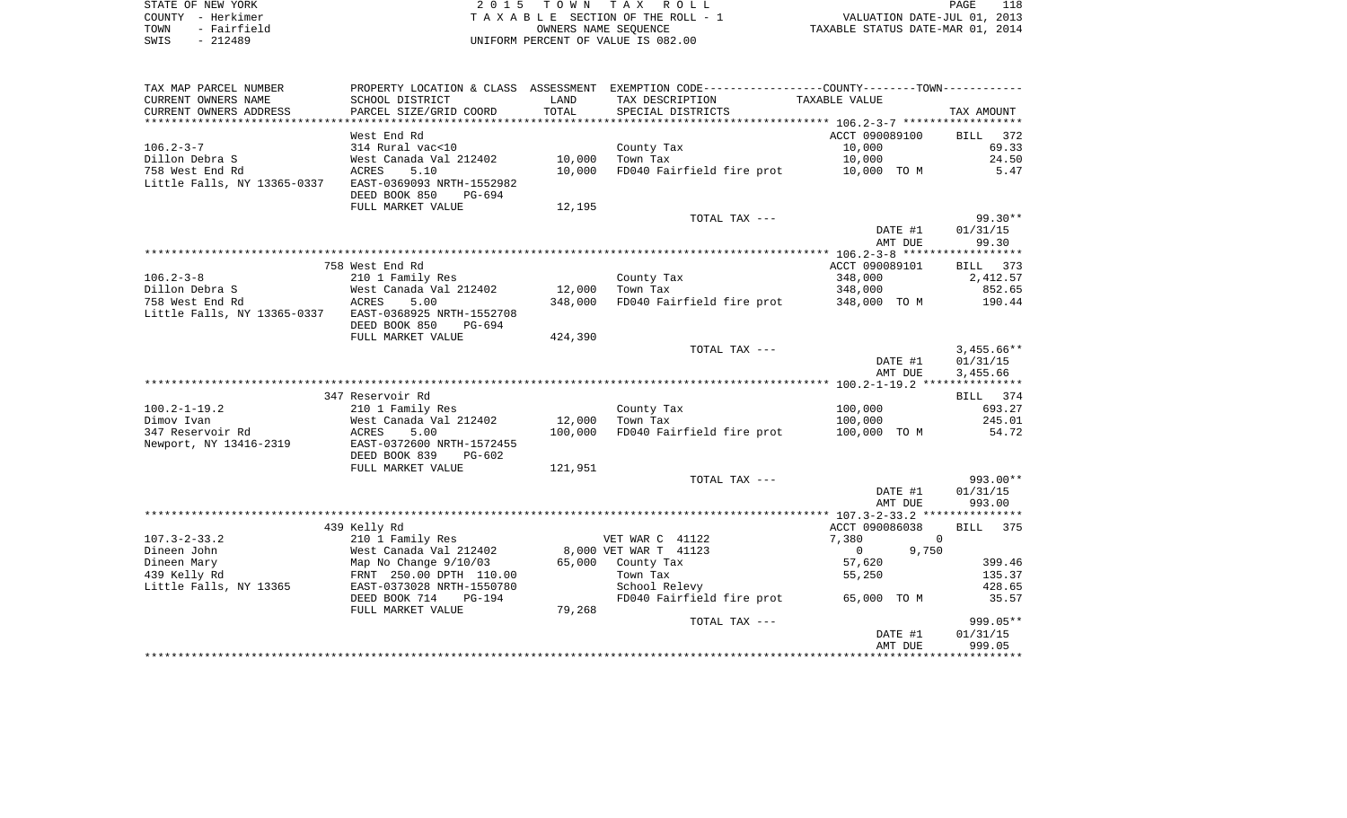| STATE OF NEW YORK   | 2015 TOWN TAX ROLL                 | 118<br>PAGE                      |
|---------------------|------------------------------------|----------------------------------|
| COUNTY - Herkimer   | TAXABLE SECTION OF THE ROLL - 1    | VALUATION DATE-JUL 01, 2013      |
| - Fairfield<br>TOWN | OWNERS NAME SEOUENCE               | TAXABLE STATUS DATE-MAR 01, 2014 |
| $-212489$<br>SWIS   | UNIFORM PERCENT OF VALUE IS 082.00 |                                  |

| TAX MAP PARCEL NUMBER       | PROPERTY LOCATION & CLASS ASSESSMENT                 |                | EXEMPTION CODE-----------------COUNTY-------TOWN----------- |                         |                    |
|-----------------------------|------------------------------------------------------|----------------|-------------------------------------------------------------|-------------------------|--------------------|
| CURRENT OWNERS NAME         | SCHOOL DISTRICT                                      | LAND           | TAX DESCRIPTION                                             | TAXABLE VALUE           |                    |
| CURRENT OWNERS ADDRESS      | PARCEL SIZE/GRID COORD                               | TOTAL          | SPECIAL DISTRICTS                                           |                         | TAX AMOUNT         |
|                             |                                                      | ************** |                                                             |                         |                    |
|                             | West End Rd                                          |                |                                                             | ACCT 090089100          | 372<br>BILL        |
| $106.2 - 3 - 7$             | 314 Rural vac<10                                     |                | County Tax                                                  | 10,000                  | 69.33              |
| Dillon Debra S              | West Canada Val 212402                               | 10,000         | Town Tax                                                    | 10,000                  | 24.50              |
| 758 West End Rd             | ACRES<br>5.10                                        | 10,000         | FD040 Fairfield fire prot                                   | 10,000 TO M             | 5.47               |
| Little Falls, NY 13365-0337 | EAST-0369093 NRTH-1552982<br>DEED BOOK 850<br>PG-694 |                |                                                             |                         |                    |
|                             | FULL MARKET VALUE                                    | 12,195         |                                                             |                         |                    |
|                             |                                                      |                | TOTAL TAX ---                                               |                         | $99.30**$          |
|                             |                                                      |                |                                                             | DATE #1                 | 01/31/15           |
|                             |                                                      |                |                                                             | AMT DUE                 | 99.30              |
|                             |                                                      |                |                                                             |                         |                    |
|                             | 758 West End Rd                                      |                |                                                             | ACCT 090089101          | 373<br>BILL        |
| $106.2 - 3 - 8$             | 210 1 Family Res                                     |                | County Tax                                                  | 348,000                 | 2,412.57           |
| Dillon Debra S              | West Canada Val 212402                               | 12,000         | Town Tax                                                    | 348,000                 | 852.65             |
| 758 West End Rd             | ACRES<br>5.00                                        | 348,000        | FD040 Fairfield fire prot 348,000 TO M                      |                         | 190.44             |
| Little Falls, NY 13365-0337 | EAST-0368925 NRTH-1552708<br>DEED BOOK 850<br>PG-694 |                |                                                             |                         |                    |
|                             | FULL MARKET VALUE                                    | 424,390        |                                                             |                         |                    |
|                             |                                                      |                | TOTAL TAX ---                                               |                         | $3,455.66**$       |
|                             |                                                      |                |                                                             | DATE #1                 | 01/31/15           |
|                             |                                                      |                |                                                             | AMT DUE                 | 3,455.66           |
|                             |                                                      |                |                                                             |                         |                    |
|                             | 347 Reservoir Rd                                     |                |                                                             |                         | BILL 374           |
| $100.2 - 1 - 19.2$          | 210 1 Family Res                                     |                | County Tax                                                  | 100,000                 | 693.27             |
| Dimov Ivan                  | West Canada Val 212402                               | 12,000         | Town Tax                                                    | 100,000                 | 245.01             |
| 347 Reservoir Rd            | ACRES<br>5.00                                        | 100,000        | FD040 Fairfield fire prot                                   | 100,000 TO M            | 54.72              |
| Newport, NY 13416-2319      | EAST-0372600 NRTH-1572455                            |                |                                                             |                         |                    |
|                             | DEED BOOK 839<br>PG-602                              |                |                                                             |                         |                    |
|                             | FULL MARKET VALUE                                    | 121,951        |                                                             |                         |                    |
|                             |                                                      |                | TOTAL TAX ---                                               |                         | 993.00**           |
|                             |                                                      |                |                                                             | DATE #1                 | 01/31/15           |
|                             |                                                      |                |                                                             | AMT DUE                 | 993.00             |
|                             |                                                      |                |                                                             |                         |                    |
|                             | 439 Kelly Rd                                         |                |                                                             | ACCT 090086038          | <b>BILL</b><br>375 |
| $107.3 - 2 - 33.2$          | 210 1 Family Res                                     |                | VET WAR C 41122                                             | 7,380                   | $\Omega$           |
| Dineen John                 | West Canada Val 212402                               |                | 8,000 VET WAR T 41123                                       | 9,750<br>$\overline{0}$ |                    |
| Dineen Mary                 | Map No Change 9/10/03                                | 65,000         | County Tax                                                  | 57,620                  | 399.46             |
| 439 Kelly Rd                | FRNT 250.00 DPTH 110.00                              |                | Town Tax                                                    | 55,250                  | 135.37             |
| Little Falls, NY 13365      | EAST-0373028 NRTH-1550780                            |                | School Relevy                                               |                         | 428.65             |
|                             | DEED BOOK 714<br>PG-194                              |                | FD040 Fairfield fire prot                                   | 65,000 TO M             | 35.57              |
|                             | FULL MARKET VALUE                                    | 79,268         |                                                             |                         |                    |
|                             |                                                      |                | TOTAL TAX ---                                               |                         | 999.05**           |
|                             |                                                      |                |                                                             | DATE #1<br>AMT DUE      | 01/31/15<br>999.05 |
|                             |                                                      |                |                                                             |                         |                    |
|                             |                                                      |                |                                                             |                         |                    |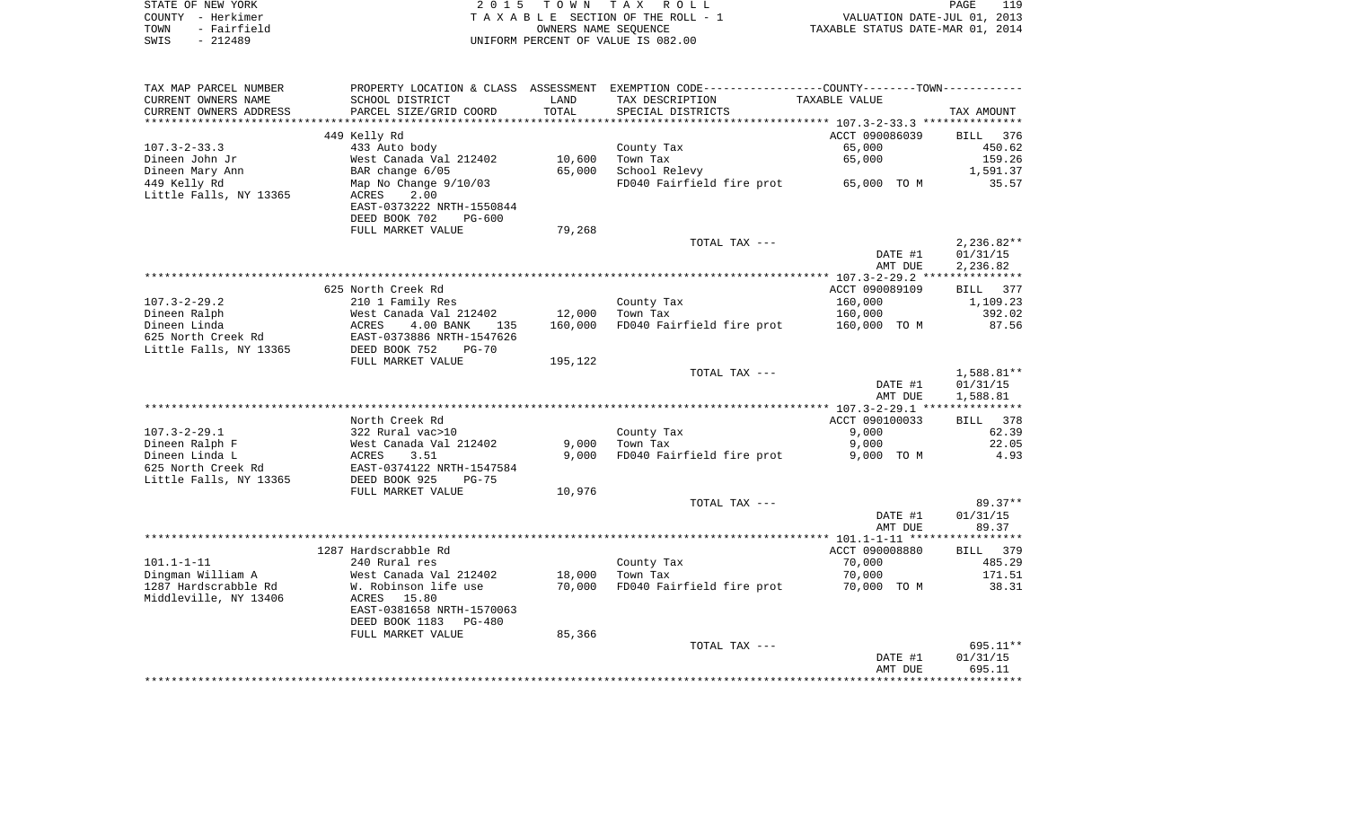| STATE OF NEW YORK   | 2015 TOWN TAX ROLL                 | 119<br>PAGE                      |
|---------------------|------------------------------------|----------------------------------|
| COUNTY - Herkimer   | TAXABLE SECTION OF THE ROLL - 1    | VALUATION DATE-JUL 01, 2013      |
| - Fairfield<br>TOWN | OWNERS NAME SEOUENCE               | TAXABLE STATUS DATE-MAR 01, 2014 |
| - 212489<br>SWIS    | UNIFORM PERCENT OF VALUE IS 082.00 |                                  |

| TAX MAP PARCEL NUMBER        | PROPERTY LOCATION & CLASS ASSESSMENT |         | EXEMPTION CODE-----------------COUNTY-------TOWN----------- |                |                       |
|------------------------------|--------------------------------------|---------|-------------------------------------------------------------|----------------|-----------------------|
| CURRENT OWNERS NAME          | SCHOOL DISTRICT                      | LAND    | TAX DESCRIPTION                                             | TAXABLE VALUE  |                       |
| CURRENT OWNERS ADDRESS       | PARCEL SIZE/GRID COORD               | TOTAL   | SPECIAL DISTRICTS                                           |                | TAX AMOUNT            |
|                              |                                      |         |                                                             |                |                       |
|                              | 449 Kelly Rd                         |         |                                                             | ACCT 090086039 | 376<br><b>BILL</b>    |
| $107.3 - 2 - 33.3$           | 433 Auto body                        |         | County Tax                                                  | 65,000         | 450.62                |
| Dineen John Jr               | West Canada Val 212402               | 10,600  | Town Tax                                                    | 65,000         | 159.26                |
| Dineen Mary Ann              | BAR change 6/05                      | 65,000  | School Relevy                                               |                | 1,591.37              |
| 449 Kelly Rd                 | Map No Change 9/10/03                |         | FD040 Fairfield fire prot                                   | 65,000 TO M    | 35.57                 |
| Little Falls, NY 13365       | 2.00<br>ACRES                        |         |                                                             |                |                       |
|                              | EAST-0373222 NRTH-1550844            |         |                                                             |                |                       |
|                              | DEED BOOK 702<br>$PG-600$            |         |                                                             |                |                       |
|                              | FULL MARKET VALUE                    | 79,268  |                                                             |                |                       |
|                              |                                      |         | TOTAL TAX ---                                               |                | $2,236.82**$          |
|                              |                                      |         |                                                             | DATE #1        | 01/31/15              |
|                              |                                      |         |                                                             | AMT DUE        | 2,236.82              |
|                              |                                      |         |                                                             |                |                       |
|                              | 625 North Creek Rd                   |         |                                                             | ACCT 090089109 | 377<br>BILL           |
| $107.3 - 2 - 29.2$           |                                      |         |                                                             | 160,000        | 1,109.23              |
|                              | 210 1 Family Res                     | 12,000  | County Tax<br>Town Tax                                      |                | 392.02                |
| Dineen Ralph<br>Dineen Linda | West Canada Val 212402<br>ACRES      | 160,000 |                                                             | 160,000        | 87.56                 |
|                              | 4.00 BANK<br>135                     |         | FD040 Fairfield fire prot                                   | 160,000 TO M   |                       |
| 625 North Creek Rd           | EAST-0373886 NRTH-1547626            |         |                                                             |                |                       |
| Little Falls, NY 13365       | DEED BOOK 752<br>$PG-70$             |         |                                                             |                |                       |
|                              | FULL MARKET VALUE                    | 195,122 |                                                             |                |                       |
|                              |                                      |         | TOTAL TAX ---                                               |                | $1,588.81**$          |
|                              |                                      |         |                                                             | DATE #1        | 01/31/15              |
|                              |                                      |         |                                                             | AMT DUE        | 1,588.81              |
|                              |                                      |         |                                                             |                |                       |
|                              | North Creek Rd                       |         |                                                             | ACCT 090100033 | 378<br>BILL           |
| $107.3 - 2 - 29.1$           | 322 Rural vac>10                     |         | County Tax                                                  | 9,000          | 62.39                 |
| Dineen Ralph F               | West Canada Val 212402               | 9,000   | Town Tax                                                    | 9,000          | 22.05                 |
| Dineen Linda L               | 3.51<br>ACRES                        | 9,000   | FD040 Fairfield fire prot                                   | 9,000 TO M     | 4.93                  |
| 625 North Creek Rd           | EAST-0374122 NRTH-1547584            |         |                                                             |                |                       |
| Little Falls, NY 13365       | DEED BOOK 925<br>$PG-75$             |         |                                                             |                |                       |
|                              | FULL MARKET VALUE                    | 10,976  |                                                             |                |                       |
|                              |                                      |         | TOTAL TAX ---                                               |                | $89.37**$             |
|                              |                                      |         |                                                             | DATE #1        | 01/31/15              |
|                              |                                      |         |                                                             | AMT DUE        | 89.37                 |
|                              |                                      |         |                                                             |                | * * * * * * * * * * * |
|                              | 1287 Hardscrabble Rd                 |         |                                                             | ACCT 090008880 | BILL 379              |
| $101.1 - 1 - 11$             | 240 Rural res                        |         | County Tax                                                  | 70,000         | 485.29                |
| Dingman William A            | West Canada Val 212402               | 18,000  | Town Tax                                                    | 70,000         | 171.51                |
| 1287 Hardscrabble Rd         | W. Robinson life use                 | 70,000  | FD040 Fairfield fire prot                                   | 70,000 TO M    | 38.31                 |
| Middleville, NY 13406        | 15.80<br>ACRES                       |         |                                                             |                |                       |
|                              | EAST-0381658 NRTH-1570063            |         |                                                             |                |                       |
|                              | DEED BOOK 1183<br>PG-480             |         |                                                             |                |                       |
|                              | FULL MARKET VALUE                    | 85,366  |                                                             |                |                       |
|                              |                                      |         | TOTAL TAX ---                                               |                | 695.11**              |
|                              |                                      |         |                                                             | DATE #1        | 01/31/15              |
|                              |                                      |         |                                                             | AMT DUE        | 695.11                |
|                              |                                      |         |                                                             |                |                       |
|                              |                                      |         |                                                             |                |                       |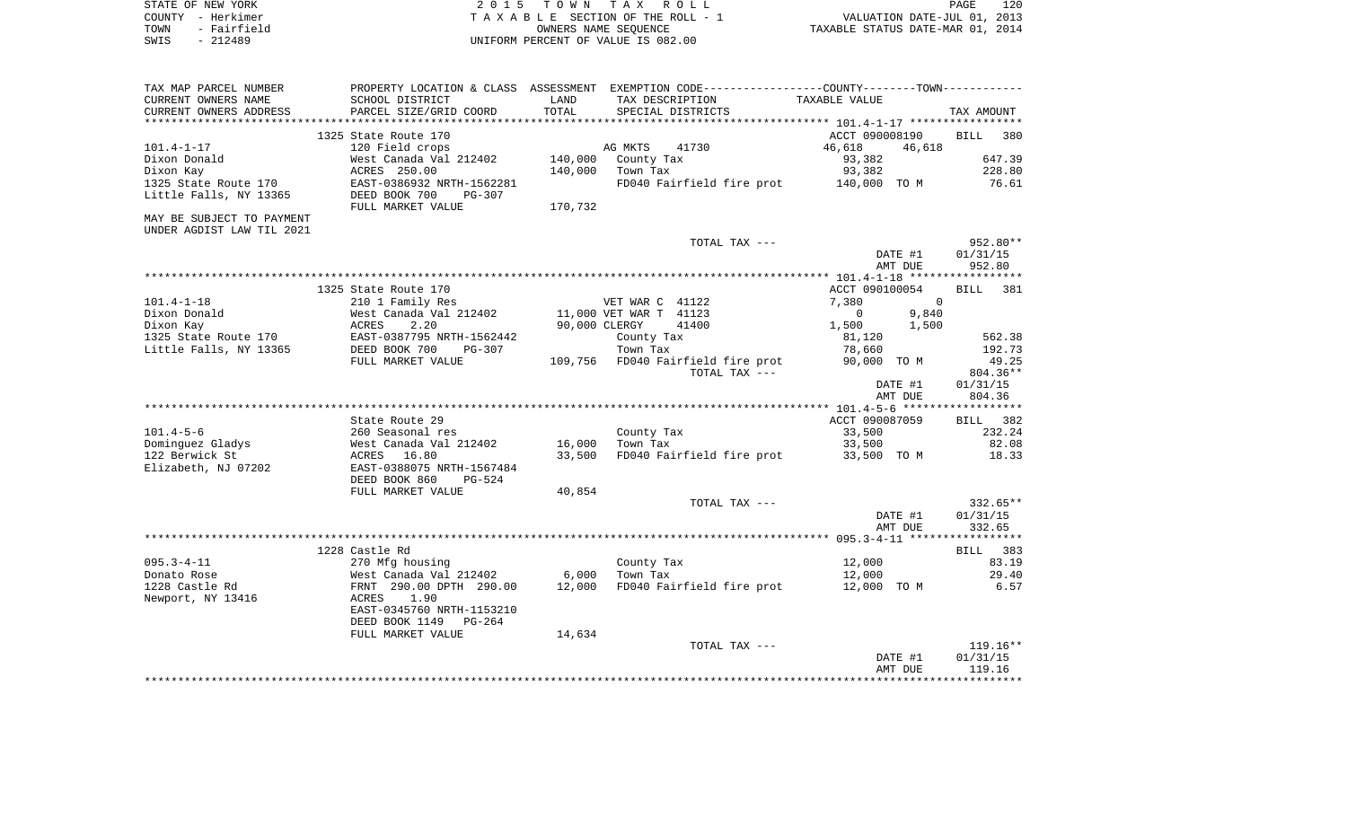|      | STATE OF NEW YORK | 2015 TOWN TAX ROLL                 | 120<br>PAGE                      |
|------|-------------------|------------------------------------|----------------------------------|
|      | COUNTY - Herkimer | TAXABLE SECTION OF THE ROLL - 1    | VALUATION DATE-JUL 01, 2013      |
| TOWN | - Fairfield       | OWNERS NAME SEOUENCE               | TAXABLE STATUS DATE-MAR 01, 2014 |
| SWIS | - 212489          | UNIFORM PERCENT OF VALUE IS 082.00 |                                  |

| SCHOOL DISTRICT<br>TAX DESCRIPTION<br>TAXABLE VALUE<br>LAND<br>TOTAL<br>PARCEL SIZE/GRID COORD<br>SPECIAL DISTRICTS<br>TAX AMOUNT<br>*****************************<br>1325 State Route 170<br>380<br>ACCT 090008190<br><b>BILL</b><br>120 Field crops<br>AG MKTS<br>41730<br>46,618<br>46,618<br>647.39<br>West Canada Val 212402<br>140,000<br>93,382<br>County Tax<br>ACRES 250.00<br>140,000<br>93,382<br>228.80<br>Town Tax<br>EAST-0386932 NRTH-1562281<br>FD040 Fairfield fire prot<br>140,000 TO M<br>76.61<br>DEED BOOK 700<br><b>PG-307</b><br>170,732<br>FULL MARKET VALUE<br>TOTAL TAX ---<br>952.80**<br>DATE #1<br>01/31/15<br>952.80<br>AMT DUE<br>1325 State Route 170<br>ACCT 090100054<br><b>BILL</b><br>381<br>$101.4 - 1 - 18$<br>210 1 Family Res<br>VET WAR C 41122<br>7,380<br>$\mathbf 0$<br>Dixon Donald<br>West Canada Val 212402<br>11,000 VET WAR T 41123<br>$\mathbf 0$<br>9,840<br>Dixon Kay<br>2.20<br>90,000 CLERGY<br>41400<br>1,500<br>1,500<br>ACRES<br>1325 State Route 170<br>EAST-0387795 NRTH-1562442<br>562.38<br>County Tax<br>81,120<br>Little Falls, NY 13365<br>DEED BOOK 700<br>Town Tax<br>192.73<br>$PG-307$<br>78,660<br>FULL MARKET VALUE<br>109,756 FD040 Fairfield fire prot<br>90,000 TO M<br>49.25<br>TOTAL TAX ---<br>804.36**<br>01/31/15<br>DATE #1<br>804.36<br>AMT DUE<br>State Route 29<br>ACCT 090087059<br>BILL 382<br>$101.4 - 5 - 6$<br>260 Seasonal res<br>County Tax<br>33,500<br>232.24<br>Town Tax<br>82.08<br>Dominguez Gladys<br>West Canada Val 212402<br>16,000<br>33,500<br>122 Berwick St<br>33,500<br>FD040 Fairfield fire prot<br>18.33<br>ACRES 16.80<br>33,500 TO M<br>Elizabeth, NJ 07202<br>EAST-0388075 NRTH-1567484<br>DEED BOOK 860<br>$PG-524$<br>40,854<br>FULL MARKET VALUE<br>332.65**<br>TOTAL TAX ---<br>01/31/15<br>DATE #1<br>332.65<br>AMT DUE<br>1228 Castle Rd<br>BILL 383<br>270 Mfg housing<br>12,000<br>83.19<br>County Tax<br>West Canada Val 212402<br>6,000<br>Town Tax<br>12,000<br>29.40<br>12,000 FD040 Fairfield fire prot<br>12,000 TO M<br>6.57<br>FRNT 290.00 DPTH 290.00<br>1.90<br>ACRES<br>EAST-0345760 NRTH-1153210<br>DEED BOOK 1149<br>PG-264<br>14,634<br>FULL MARKET VALUE<br>119.16**<br>TOTAL TAX ---<br>DATE #1<br>01/31/15<br>AMT DUE<br>119.16 | TAX MAP PARCEL NUMBER     | PROPERTY LOCATION & CLASS ASSESSMENT EXEMPTION CODE---------------COUNTY-------TOWN---------- |  |  |
|----------------------------------------------------------------------------------------------------------------------------------------------------------------------------------------------------------------------------------------------------------------------------------------------------------------------------------------------------------------------------------------------------------------------------------------------------------------------------------------------------------------------------------------------------------------------------------------------------------------------------------------------------------------------------------------------------------------------------------------------------------------------------------------------------------------------------------------------------------------------------------------------------------------------------------------------------------------------------------------------------------------------------------------------------------------------------------------------------------------------------------------------------------------------------------------------------------------------------------------------------------------------------------------------------------------------------------------------------------------------------------------------------------------------------------------------------------------------------------------------------------------------------------------------------------------------------------------------------------------------------------------------------------------------------------------------------------------------------------------------------------------------------------------------------------------------------------------------------------------------------------------------------------------------------------------------------------------------------------------------------------------------------------------------------------------------------------------------------------------------------------------------------------------------------------------------------------------------------------------------------------------------|---------------------------|-----------------------------------------------------------------------------------------------|--|--|
|                                                                                                                                                                                                                                                                                                                                                                                                                                                                                                                                                                                                                                                                                                                                                                                                                                                                                                                                                                                                                                                                                                                                                                                                                                                                                                                                                                                                                                                                                                                                                                                                                                                                                                                                                                                                                                                                                                                                                                                                                                                                                                                                                                                                                                                                      | CURRENT OWNERS NAME       |                                                                                               |  |  |
|                                                                                                                                                                                                                                                                                                                                                                                                                                                                                                                                                                                                                                                                                                                                                                                                                                                                                                                                                                                                                                                                                                                                                                                                                                                                                                                                                                                                                                                                                                                                                                                                                                                                                                                                                                                                                                                                                                                                                                                                                                                                                                                                                                                                                                                                      | CURRENT OWNERS ADDRESS    |                                                                                               |  |  |
|                                                                                                                                                                                                                                                                                                                                                                                                                                                                                                                                                                                                                                                                                                                                                                                                                                                                                                                                                                                                                                                                                                                                                                                                                                                                                                                                                                                                                                                                                                                                                                                                                                                                                                                                                                                                                                                                                                                                                                                                                                                                                                                                                                                                                                                                      | ************************  |                                                                                               |  |  |
|                                                                                                                                                                                                                                                                                                                                                                                                                                                                                                                                                                                                                                                                                                                                                                                                                                                                                                                                                                                                                                                                                                                                                                                                                                                                                                                                                                                                                                                                                                                                                                                                                                                                                                                                                                                                                                                                                                                                                                                                                                                                                                                                                                                                                                                                      |                           |                                                                                               |  |  |
|                                                                                                                                                                                                                                                                                                                                                                                                                                                                                                                                                                                                                                                                                                                                                                                                                                                                                                                                                                                                                                                                                                                                                                                                                                                                                                                                                                                                                                                                                                                                                                                                                                                                                                                                                                                                                                                                                                                                                                                                                                                                                                                                                                                                                                                                      | $101.4 - 1 - 17$          |                                                                                               |  |  |
|                                                                                                                                                                                                                                                                                                                                                                                                                                                                                                                                                                                                                                                                                                                                                                                                                                                                                                                                                                                                                                                                                                                                                                                                                                                                                                                                                                                                                                                                                                                                                                                                                                                                                                                                                                                                                                                                                                                                                                                                                                                                                                                                                                                                                                                                      | Dixon Donald              |                                                                                               |  |  |
|                                                                                                                                                                                                                                                                                                                                                                                                                                                                                                                                                                                                                                                                                                                                                                                                                                                                                                                                                                                                                                                                                                                                                                                                                                                                                                                                                                                                                                                                                                                                                                                                                                                                                                                                                                                                                                                                                                                                                                                                                                                                                                                                                                                                                                                                      | Dixon Kay                 |                                                                                               |  |  |
|                                                                                                                                                                                                                                                                                                                                                                                                                                                                                                                                                                                                                                                                                                                                                                                                                                                                                                                                                                                                                                                                                                                                                                                                                                                                                                                                                                                                                                                                                                                                                                                                                                                                                                                                                                                                                                                                                                                                                                                                                                                                                                                                                                                                                                                                      | 1325 State Route 170      |                                                                                               |  |  |
|                                                                                                                                                                                                                                                                                                                                                                                                                                                                                                                                                                                                                                                                                                                                                                                                                                                                                                                                                                                                                                                                                                                                                                                                                                                                                                                                                                                                                                                                                                                                                                                                                                                                                                                                                                                                                                                                                                                                                                                                                                                                                                                                                                                                                                                                      | Little Falls, NY 13365    |                                                                                               |  |  |
|                                                                                                                                                                                                                                                                                                                                                                                                                                                                                                                                                                                                                                                                                                                                                                                                                                                                                                                                                                                                                                                                                                                                                                                                                                                                                                                                                                                                                                                                                                                                                                                                                                                                                                                                                                                                                                                                                                                                                                                                                                                                                                                                                                                                                                                                      |                           |                                                                                               |  |  |
|                                                                                                                                                                                                                                                                                                                                                                                                                                                                                                                                                                                                                                                                                                                                                                                                                                                                                                                                                                                                                                                                                                                                                                                                                                                                                                                                                                                                                                                                                                                                                                                                                                                                                                                                                                                                                                                                                                                                                                                                                                                                                                                                                                                                                                                                      | MAY BE SUBJECT TO PAYMENT |                                                                                               |  |  |
|                                                                                                                                                                                                                                                                                                                                                                                                                                                                                                                                                                                                                                                                                                                                                                                                                                                                                                                                                                                                                                                                                                                                                                                                                                                                                                                                                                                                                                                                                                                                                                                                                                                                                                                                                                                                                                                                                                                                                                                                                                                                                                                                                                                                                                                                      | UNDER AGDIST LAW TIL 2021 |                                                                                               |  |  |
|                                                                                                                                                                                                                                                                                                                                                                                                                                                                                                                                                                                                                                                                                                                                                                                                                                                                                                                                                                                                                                                                                                                                                                                                                                                                                                                                                                                                                                                                                                                                                                                                                                                                                                                                                                                                                                                                                                                                                                                                                                                                                                                                                                                                                                                                      |                           |                                                                                               |  |  |
|                                                                                                                                                                                                                                                                                                                                                                                                                                                                                                                                                                                                                                                                                                                                                                                                                                                                                                                                                                                                                                                                                                                                                                                                                                                                                                                                                                                                                                                                                                                                                                                                                                                                                                                                                                                                                                                                                                                                                                                                                                                                                                                                                                                                                                                                      |                           |                                                                                               |  |  |
|                                                                                                                                                                                                                                                                                                                                                                                                                                                                                                                                                                                                                                                                                                                                                                                                                                                                                                                                                                                                                                                                                                                                                                                                                                                                                                                                                                                                                                                                                                                                                                                                                                                                                                                                                                                                                                                                                                                                                                                                                                                                                                                                                                                                                                                                      |                           |                                                                                               |  |  |
|                                                                                                                                                                                                                                                                                                                                                                                                                                                                                                                                                                                                                                                                                                                                                                                                                                                                                                                                                                                                                                                                                                                                                                                                                                                                                                                                                                                                                                                                                                                                                                                                                                                                                                                                                                                                                                                                                                                                                                                                                                                                                                                                                                                                                                                                      |                           |                                                                                               |  |  |
|                                                                                                                                                                                                                                                                                                                                                                                                                                                                                                                                                                                                                                                                                                                                                                                                                                                                                                                                                                                                                                                                                                                                                                                                                                                                                                                                                                                                                                                                                                                                                                                                                                                                                                                                                                                                                                                                                                                                                                                                                                                                                                                                                                                                                                                                      |                           |                                                                                               |  |  |
|                                                                                                                                                                                                                                                                                                                                                                                                                                                                                                                                                                                                                                                                                                                                                                                                                                                                                                                                                                                                                                                                                                                                                                                                                                                                                                                                                                                                                                                                                                                                                                                                                                                                                                                                                                                                                                                                                                                                                                                                                                                                                                                                                                                                                                                                      |                           |                                                                                               |  |  |
|                                                                                                                                                                                                                                                                                                                                                                                                                                                                                                                                                                                                                                                                                                                                                                                                                                                                                                                                                                                                                                                                                                                                                                                                                                                                                                                                                                                                                                                                                                                                                                                                                                                                                                                                                                                                                                                                                                                                                                                                                                                                                                                                                                                                                                                                      |                           |                                                                                               |  |  |
|                                                                                                                                                                                                                                                                                                                                                                                                                                                                                                                                                                                                                                                                                                                                                                                                                                                                                                                                                                                                                                                                                                                                                                                                                                                                                                                                                                                                                                                                                                                                                                                                                                                                                                                                                                                                                                                                                                                                                                                                                                                                                                                                                                                                                                                                      |                           |                                                                                               |  |  |
|                                                                                                                                                                                                                                                                                                                                                                                                                                                                                                                                                                                                                                                                                                                                                                                                                                                                                                                                                                                                                                                                                                                                                                                                                                                                                                                                                                                                                                                                                                                                                                                                                                                                                                                                                                                                                                                                                                                                                                                                                                                                                                                                                                                                                                                                      |                           |                                                                                               |  |  |
|                                                                                                                                                                                                                                                                                                                                                                                                                                                                                                                                                                                                                                                                                                                                                                                                                                                                                                                                                                                                                                                                                                                                                                                                                                                                                                                                                                                                                                                                                                                                                                                                                                                                                                                                                                                                                                                                                                                                                                                                                                                                                                                                                                                                                                                                      |                           |                                                                                               |  |  |
|                                                                                                                                                                                                                                                                                                                                                                                                                                                                                                                                                                                                                                                                                                                                                                                                                                                                                                                                                                                                                                                                                                                                                                                                                                                                                                                                                                                                                                                                                                                                                                                                                                                                                                                                                                                                                                                                                                                                                                                                                                                                                                                                                                                                                                                                      |                           |                                                                                               |  |  |
|                                                                                                                                                                                                                                                                                                                                                                                                                                                                                                                                                                                                                                                                                                                                                                                                                                                                                                                                                                                                                                                                                                                                                                                                                                                                                                                                                                                                                                                                                                                                                                                                                                                                                                                                                                                                                                                                                                                                                                                                                                                                                                                                                                                                                                                                      |                           |                                                                                               |  |  |
|                                                                                                                                                                                                                                                                                                                                                                                                                                                                                                                                                                                                                                                                                                                                                                                                                                                                                                                                                                                                                                                                                                                                                                                                                                                                                                                                                                                                                                                                                                                                                                                                                                                                                                                                                                                                                                                                                                                                                                                                                                                                                                                                                                                                                                                                      |                           |                                                                                               |  |  |
|                                                                                                                                                                                                                                                                                                                                                                                                                                                                                                                                                                                                                                                                                                                                                                                                                                                                                                                                                                                                                                                                                                                                                                                                                                                                                                                                                                                                                                                                                                                                                                                                                                                                                                                                                                                                                                                                                                                                                                                                                                                                                                                                                                                                                                                                      |                           |                                                                                               |  |  |
|                                                                                                                                                                                                                                                                                                                                                                                                                                                                                                                                                                                                                                                                                                                                                                                                                                                                                                                                                                                                                                                                                                                                                                                                                                                                                                                                                                                                                                                                                                                                                                                                                                                                                                                                                                                                                                                                                                                                                                                                                                                                                                                                                                                                                                                                      |                           |                                                                                               |  |  |
|                                                                                                                                                                                                                                                                                                                                                                                                                                                                                                                                                                                                                                                                                                                                                                                                                                                                                                                                                                                                                                                                                                                                                                                                                                                                                                                                                                                                                                                                                                                                                                                                                                                                                                                                                                                                                                                                                                                                                                                                                                                                                                                                                                                                                                                                      |                           |                                                                                               |  |  |
|                                                                                                                                                                                                                                                                                                                                                                                                                                                                                                                                                                                                                                                                                                                                                                                                                                                                                                                                                                                                                                                                                                                                                                                                                                                                                                                                                                                                                                                                                                                                                                                                                                                                                                                                                                                                                                                                                                                                                                                                                                                                                                                                                                                                                                                                      |                           |                                                                                               |  |  |
|                                                                                                                                                                                                                                                                                                                                                                                                                                                                                                                                                                                                                                                                                                                                                                                                                                                                                                                                                                                                                                                                                                                                                                                                                                                                                                                                                                                                                                                                                                                                                                                                                                                                                                                                                                                                                                                                                                                                                                                                                                                                                                                                                                                                                                                                      |                           |                                                                                               |  |  |
|                                                                                                                                                                                                                                                                                                                                                                                                                                                                                                                                                                                                                                                                                                                                                                                                                                                                                                                                                                                                                                                                                                                                                                                                                                                                                                                                                                                                                                                                                                                                                                                                                                                                                                                                                                                                                                                                                                                                                                                                                                                                                                                                                                                                                                                                      |                           |                                                                                               |  |  |
|                                                                                                                                                                                                                                                                                                                                                                                                                                                                                                                                                                                                                                                                                                                                                                                                                                                                                                                                                                                                                                                                                                                                                                                                                                                                                                                                                                                                                                                                                                                                                                                                                                                                                                                                                                                                                                                                                                                                                                                                                                                                                                                                                                                                                                                                      |                           |                                                                                               |  |  |
|                                                                                                                                                                                                                                                                                                                                                                                                                                                                                                                                                                                                                                                                                                                                                                                                                                                                                                                                                                                                                                                                                                                                                                                                                                                                                                                                                                                                                                                                                                                                                                                                                                                                                                                                                                                                                                                                                                                                                                                                                                                                                                                                                                                                                                                                      |                           |                                                                                               |  |  |
|                                                                                                                                                                                                                                                                                                                                                                                                                                                                                                                                                                                                                                                                                                                                                                                                                                                                                                                                                                                                                                                                                                                                                                                                                                                                                                                                                                                                                                                                                                                                                                                                                                                                                                                                                                                                                                                                                                                                                                                                                                                                                                                                                                                                                                                                      |                           |                                                                                               |  |  |
|                                                                                                                                                                                                                                                                                                                                                                                                                                                                                                                                                                                                                                                                                                                                                                                                                                                                                                                                                                                                                                                                                                                                                                                                                                                                                                                                                                                                                                                                                                                                                                                                                                                                                                                                                                                                                                                                                                                                                                                                                                                                                                                                                                                                                                                                      |                           |                                                                                               |  |  |
|                                                                                                                                                                                                                                                                                                                                                                                                                                                                                                                                                                                                                                                                                                                                                                                                                                                                                                                                                                                                                                                                                                                                                                                                                                                                                                                                                                                                                                                                                                                                                                                                                                                                                                                                                                                                                                                                                                                                                                                                                                                                                                                                                                                                                                                                      |                           |                                                                                               |  |  |
|                                                                                                                                                                                                                                                                                                                                                                                                                                                                                                                                                                                                                                                                                                                                                                                                                                                                                                                                                                                                                                                                                                                                                                                                                                                                                                                                                                                                                                                                                                                                                                                                                                                                                                                                                                                                                                                                                                                                                                                                                                                                                                                                                                                                                                                                      |                           |                                                                                               |  |  |
|                                                                                                                                                                                                                                                                                                                                                                                                                                                                                                                                                                                                                                                                                                                                                                                                                                                                                                                                                                                                                                                                                                                                                                                                                                                                                                                                                                                                                                                                                                                                                                                                                                                                                                                                                                                                                                                                                                                                                                                                                                                                                                                                                                                                                                                                      |                           |                                                                                               |  |  |
|                                                                                                                                                                                                                                                                                                                                                                                                                                                                                                                                                                                                                                                                                                                                                                                                                                                                                                                                                                                                                                                                                                                                                                                                                                                                                                                                                                                                                                                                                                                                                                                                                                                                                                                                                                                                                                                                                                                                                                                                                                                                                                                                                                                                                                                                      | $095.3 - 4 - 11$          |                                                                                               |  |  |
|                                                                                                                                                                                                                                                                                                                                                                                                                                                                                                                                                                                                                                                                                                                                                                                                                                                                                                                                                                                                                                                                                                                                                                                                                                                                                                                                                                                                                                                                                                                                                                                                                                                                                                                                                                                                                                                                                                                                                                                                                                                                                                                                                                                                                                                                      | Donato Rose               |                                                                                               |  |  |
|                                                                                                                                                                                                                                                                                                                                                                                                                                                                                                                                                                                                                                                                                                                                                                                                                                                                                                                                                                                                                                                                                                                                                                                                                                                                                                                                                                                                                                                                                                                                                                                                                                                                                                                                                                                                                                                                                                                                                                                                                                                                                                                                                                                                                                                                      | 1228 Castle Rd            |                                                                                               |  |  |
|                                                                                                                                                                                                                                                                                                                                                                                                                                                                                                                                                                                                                                                                                                                                                                                                                                                                                                                                                                                                                                                                                                                                                                                                                                                                                                                                                                                                                                                                                                                                                                                                                                                                                                                                                                                                                                                                                                                                                                                                                                                                                                                                                                                                                                                                      | Newport, NY 13416         |                                                                                               |  |  |
|                                                                                                                                                                                                                                                                                                                                                                                                                                                                                                                                                                                                                                                                                                                                                                                                                                                                                                                                                                                                                                                                                                                                                                                                                                                                                                                                                                                                                                                                                                                                                                                                                                                                                                                                                                                                                                                                                                                                                                                                                                                                                                                                                                                                                                                                      |                           |                                                                                               |  |  |
|                                                                                                                                                                                                                                                                                                                                                                                                                                                                                                                                                                                                                                                                                                                                                                                                                                                                                                                                                                                                                                                                                                                                                                                                                                                                                                                                                                                                                                                                                                                                                                                                                                                                                                                                                                                                                                                                                                                                                                                                                                                                                                                                                                                                                                                                      |                           |                                                                                               |  |  |
|                                                                                                                                                                                                                                                                                                                                                                                                                                                                                                                                                                                                                                                                                                                                                                                                                                                                                                                                                                                                                                                                                                                                                                                                                                                                                                                                                                                                                                                                                                                                                                                                                                                                                                                                                                                                                                                                                                                                                                                                                                                                                                                                                                                                                                                                      |                           |                                                                                               |  |  |
|                                                                                                                                                                                                                                                                                                                                                                                                                                                                                                                                                                                                                                                                                                                                                                                                                                                                                                                                                                                                                                                                                                                                                                                                                                                                                                                                                                                                                                                                                                                                                                                                                                                                                                                                                                                                                                                                                                                                                                                                                                                                                                                                                                                                                                                                      |                           |                                                                                               |  |  |
|                                                                                                                                                                                                                                                                                                                                                                                                                                                                                                                                                                                                                                                                                                                                                                                                                                                                                                                                                                                                                                                                                                                                                                                                                                                                                                                                                                                                                                                                                                                                                                                                                                                                                                                                                                                                                                                                                                                                                                                                                                                                                                                                                                                                                                                                      |                           |                                                                                               |  |  |
|                                                                                                                                                                                                                                                                                                                                                                                                                                                                                                                                                                                                                                                                                                                                                                                                                                                                                                                                                                                                                                                                                                                                                                                                                                                                                                                                                                                                                                                                                                                                                                                                                                                                                                                                                                                                                                                                                                                                                                                                                                                                                                                                                                                                                                                                      |                           |                                                                                               |  |  |
|                                                                                                                                                                                                                                                                                                                                                                                                                                                                                                                                                                                                                                                                                                                                                                                                                                                                                                                                                                                                                                                                                                                                                                                                                                                                                                                                                                                                                                                                                                                                                                                                                                                                                                                                                                                                                                                                                                                                                                                                                                                                                                                                                                                                                                                                      |                           |                                                                                               |  |  |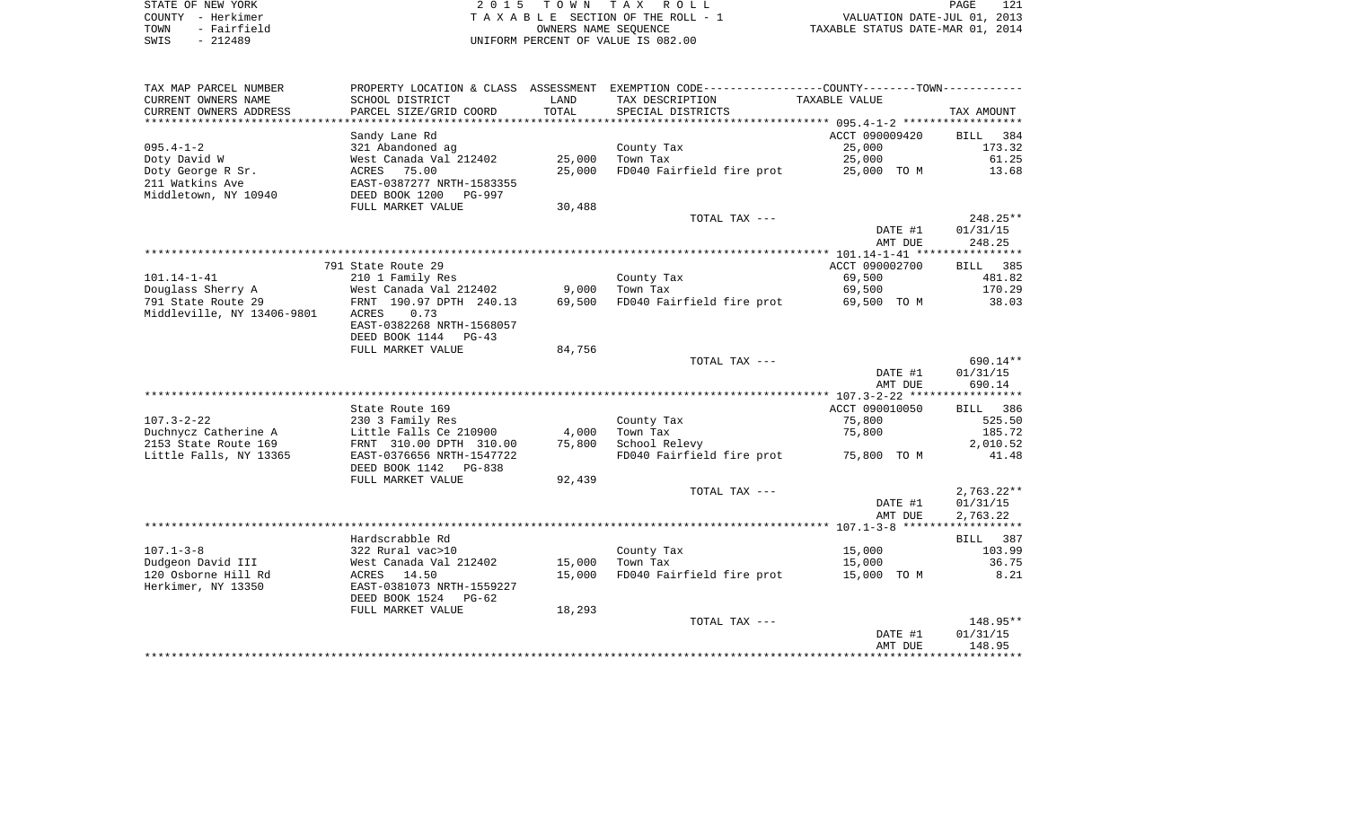| STATE OF NEW YORK   | 2015 TOWN TAX ROLL                 | 121<br>PAGE                      |
|---------------------|------------------------------------|----------------------------------|
| COUNTY - Herkimer   | TAXABLE SECTION OF THE ROLL - 1    | VALUATION DATE-JUL 01, 2013      |
| - Fairfield<br>TOWN | OWNERS NAME SEOUENCE               | TAXABLE STATUS DATE-MAR 01, 2014 |
| - 212489<br>SWIS    | UNIFORM PERCENT OF VALUE IS 082.00 |                                  |

| TAX MAP PARCEL NUMBER<br>CURRENT OWNERS NAME     | SCHOOL DISTRICT                                                          | LAND            | PROPERTY LOCATION & CLASS ASSESSMENT EXEMPTION CODE----------------COUNTY-------TOWN----------<br>TAX DESCRIPTION | TAXABLE VALUE            |                              |
|--------------------------------------------------|--------------------------------------------------------------------------|-----------------|-------------------------------------------------------------------------------------------------------------------|--------------------------|------------------------------|
| CURRENT OWNERS ADDRESS                           | PARCEL SIZE/GRID COORD                                                   | TOTAL           | SPECIAL DISTRICTS                                                                                                 |                          | TAX AMOUNT                   |
| $095.4 - 1 - 2$                                  | Sandy Lane Rd<br>321 Abandoned ag                                        |                 |                                                                                                                   | ACCT 090009420<br>25,000 | 384<br><b>BILL</b><br>173.32 |
| Doty David W                                     | West Canada Val 212402                                                   | 25,000          | County Tax<br>Town Tax                                                                                            | 25,000                   | 61.25                        |
| Doty George R Sr.                                | ACRES 75.00                                                              | 25,000          | FD040 Fairfield fire prot                                                                                         | 25,000 TO M              | 13.68                        |
| 211 Watkins Ave<br>Middletown, NY 10940          | EAST-0387277 NRTH-1583355<br>DEED BOOK 1200<br><b>PG-997</b>             |                 |                                                                                                                   |                          |                              |
|                                                  | FULL MARKET VALUE                                                        | 30,488          |                                                                                                                   |                          |                              |
|                                                  |                                                                          |                 | TOTAL TAX ---                                                                                                     |                          | 248.25**                     |
|                                                  |                                                                          |                 |                                                                                                                   | DATE #1                  | 01/31/15                     |
|                                                  |                                                                          |                 |                                                                                                                   | AMT DUE                  | 248.25                       |
|                                                  | 791 State Route 29                                                       |                 |                                                                                                                   | ACCT 090002700           | BILL 385                     |
| 101.14-1-41                                      | 210 1 Family Res                                                         |                 | County Tax                                                                                                        | 69,500                   | 481.82                       |
| Douglass Sherry A                                | West Canada Val 212402                                                   | 9,000           | Town Tax                                                                                                          | 69,500                   | 170.29                       |
| 791 State Route 29<br>Middleville, NY 13406-9801 | FRNT 190.97 DPTH 240.13<br>0.73<br>ACRES                                 | 69,500          | FD040 Fairfield fire prot                                                                                         | 69,500 TO M              | 38.03                        |
|                                                  | EAST-0382268 NRTH-1568057<br>DEED BOOK 1144<br>PG-43                     |                 |                                                                                                                   |                          |                              |
|                                                  | FULL MARKET VALUE                                                        | 84,756          |                                                                                                                   |                          |                              |
|                                                  |                                                                          |                 | TOTAL TAX ---                                                                                                     |                          | 690.14**                     |
|                                                  |                                                                          |                 |                                                                                                                   | DATE #1                  | 01/31/15                     |
|                                                  |                                                                          |                 |                                                                                                                   | AMT DUE                  | 690.14                       |
|                                                  |                                                                          |                 |                                                                                                                   |                          |                              |
|                                                  | State Route 169                                                          |                 |                                                                                                                   | ACCT 090010050           | BILL 386                     |
| $107.3 - 2 - 22$                                 | 230 3 Family Res                                                         |                 | County Tax                                                                                                        | 75,800                   | 525.50                       |
| Duchnycz Catherine A<br>2153 State Route 169     | Little Falls Ce 210900<br>FRNT 310.00 DPTH 310.00                        | 4,000<br>75,800 | Town Tax<br>School Relevy                                                                                         | 75,800                   | 185.72<br>2,010.52           |
| Little Falls, NY 13365                           | EAST-0376656 NRTH-1547722<br>DEED BOOK 1142<br>$PG-8.38$                 |                 | FD040 Fairfield fire prot                                                                                         | 75,800 TO M              | 41.48                        |
|                                                  | FULL MARKET VALUE                                                        | 92,439          |                                                                                                                   |                          |                              |
|                                                  |                                                                          |                 | TOTAL TAX ---                                                                                                     |                          | $2,763.22**$                 |
|                                                  |                                                                          |                 |                                                                                                                   | DATE #1<br>AMT DUE       | 01/31/15<br>2,763.22         |
|                                                  |                                                                          |                 |                                                                                                                   |                          |                              |
|                                                  | Hardscrabble Rd                                                          |                 |                                                                                                                   |                          | 387<br>BILL                  |
| $107.1 - 3 - 8$                                  | 322 Rural vac>10                                                         |                 | County Tax                                                                                                        | 15,000                   | 103.99                       |
| Dudgeon David III                                | West Canada Val 212402                                                   | 15,000          | Town Tax                                                                                                          | 15,000                   | 36.75                        |
| 120 Osborne Hill Rd<br>Herkimer, NY 13350        | 14.50<br>ACRES<br>EAST-0381073 NRTH-1559227<br>DEED BOOK 1524<br>$PG-62$ | 15,000          | FD040 Fairfield fire prot                                                                                         | 15,000 TO M              | 8.21                         |
|                                                  | FULL MARKET VALUE                                                        | 18,293          |                                                                                                                   |                          |                              |
|                                                  |                                                                          |                 | TOTAL TAX ---                                                                                                     |                          | 148.95**                     |
|                                                  |                                                                          |                 |                                                                                                                   | DATE #1<br>AMT DUE       | 01/31/15<br>148.95           |
|                                                  |                                                                          |                 |                                                                                                                   |                          |                              |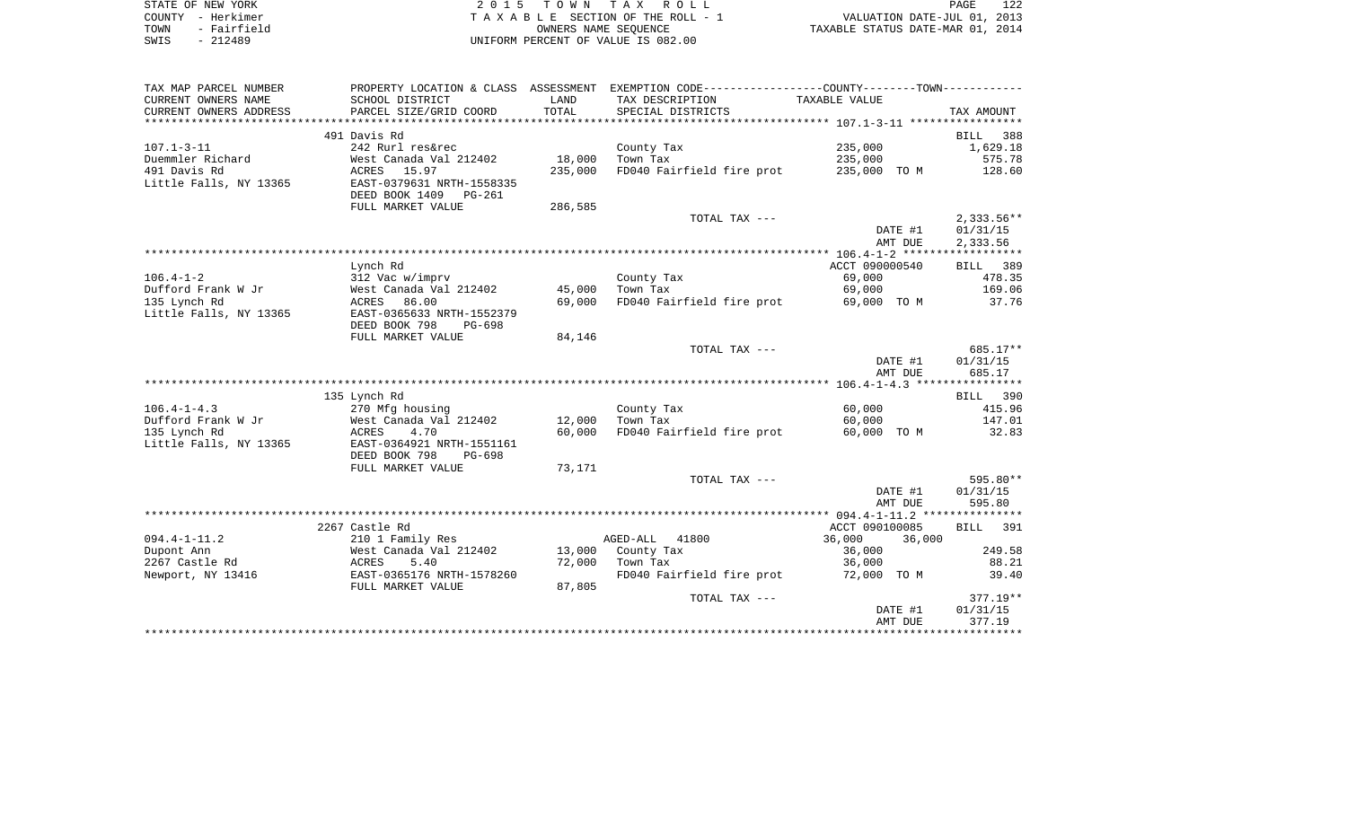| STATE OF NEW YORK   | 2015 TOWN TAX ROLL                 | 122<br>PAGE                      |
|---------------------|------------------------------------|----------------------------------|
| COUNTY - Herkimer   | TAXABLE SECTION OF THE ROLL - 1    | VALUATION DATE-JUL 01, 2013      |
| - Fairfield<br>TOWN | OWNERS NAME SEOUENCE               | TAXABLE STATUS DATE-MAR 01, 2014 |
| - 212489<br>SWIS    | UNIFORM PERCENT OF VALUE IS 082.00 |                                  |

| TAX MAP PARCEL NUMBER  |                           |         | PROPERTY LOCATION & CLASS ASSESSMENT EXEMPTION CODE----------------COUNTY--------TOWN---------- |                  |              |
|------------------------|---------------------------|---------|-------------------------------------------------------------------------------------------------|------------------|--------------|
| CURRENT OWNERS NAME    | SCHOOL DISTRICT           | LAND    | TAX DESCRIPTION                                                                                 | TAXABLE VALUE    |              |
| CURRENT OWNERS ADDRESS | PARCEL SIZE/GRID COORD    | TOTAL   | SPECIAL DISTRICTS                                                                               |                  | TAX AMOUNT   |
|                        |                           |         |                                                                                                 |                  |              |
|                        | 491 Davis Rd              |         |                                                                                                 |                  | 388<br>BILL  |
| $107.1 - 3 - 11$       | 242 Rurl res&rec          |         | County Tax                                                                                      | 235,000          | 1,629.18     |
| Duemmler Richard       | West Canada Val 212402    | 18,000  | Town Tax                                                                                        | 235,000          | 575.78       |
| 491 Davis Rd           | ACRES 15.97               | 235,000 | FD040 Fairfield fire prot                                                                       | 235,000 TO M     | 128.60       |
| Little Falls, NY 13365 | EAST-0379631 NRTH-1558335 |         |                                                                                                 |                  |              |
|                        | DEED BOOK 1409 PG-261     |         |                                                                                                 |                  |              |
|                        | FULL MARKET VALUE         | 286,585 |                                                                                                 |                  |              |
|                        |                           |         | TOTAL TAX ---                                                                                   |                  | $2,333.56**$ |
|                        |                           |         |                                                                                                 | DATE #1          | 01/31/15     |
|                        |                           |         |                                                                                                 | AMT DUE          | 2,333.56     |
|                        |                           |         |                                                                                                 |                  |              |
|                        | Lynch Rd                  |         |                                                                                                 | ACCT 090000540   | BILL 389     |
| $106.4 - 1 - 2$        | 312 Vac w/imprv           |         | County Tax                                                                                      | 69,000           | 478.35       |
| Dufford Frank W Jr     | West Canada Val 212402    | 45,000  | Town Tax                                                                                        | 69,000           | 169.06       |
| 135 Lynch Rd           | 86.00<br>ACRES            | 69,000  | FD040 Fairfield fire prot                                                                       | 69,000 TO M      | 37.76        |
| Little Falls, NY 13365 | EAST-0365633 NRTH-1552379 |         |                                                                                                 |                  |              |
|                        | DEED BOOK 798<br>PG-698   |         |                                                                                                 |                  |              |
|                        | FULL MARKET VALUE         | 84,146  |                                                                                                 |                  |              |
|                        |                           |         | TOTAL TAX ---                                                                                   |                  | 685.17**     |
|                        |                           |         |                                                                                                 | DATE #1          | 01/31/15     |
|                        |                           |         |                                                                                                 | AMT DUE          | 685.17       |
|                        |                           |         |                                                                                                 |                  |              |
|                        | 135 Lynch Rd              |         |                                                                                                 |                  | BILL 390     |
| $106.4 - 1 - 4.3$      | 270 Mfg housing           |         | County Tax                                                                                      | 60,000           | 415.96       |
| Dufford Frank W Jr     | West Canada Val 212402    | 12,000  | Town Tax                                                                                        | 60,000           | 147.01       |
| 135 Lynch Rd           | ACRES<br>4.70             | 60,000  | FD040 Fairfield fire prot                                                                       | 60,000 TO M      | 32.83        |
| Little Falls, NY 13365 | EAST-0364921 NRTH-1551161 |         |                                                                                                 |                  |              |
|                        | DEED BOOK 798<br>PG-698   |         |                                                                                                 |                  |              |
|                        | FULL MARKET VALUE         | 73,171  |                                                                                                 |                  |              |
|                        |                           |         | TOTAL TAX ---                                                                                   |                  | 595.80**     |
|                        |                           |         |                                                                                                 | DATE #1          | 01/31/15     |
|                        |                           |         |                                                                                                 | AMT DUE          | 595.80       |
|                        |                           |         |                                                                                                 |                  |              |
|                        | 2267 Castle Rd            |         |                                                                                                 | ACCT 090100085   | BILL 391     |
| $094.4 - 1 - 11.2$     | 210 1 Family Res          |         | AGED-ALL<br>41800                                                                               | 36,000<br>36,000 |              |
| Dupont Ann             | West Canada Val 212402    |         | 13,000 County Tax                                                                               | 36,000           | 249.58       |
| 2267 Castle Rd         | 5.40<br>ACRES             | 72,000  | Town Tax                                                                                        | 36,000           | 88.21        |
| Newport, NY 13416      | EAST-0365176 NRTH-1578260 |         | FD040 Fairfield fire prot                                                                       | 72,000 TO M      | 39.40        |
|                        | FULL MARKET VALUE         | 87,805  |                                                                                                 |                  |              |
|                        |                           |         | TOTAL TAX ---                                                                                   |                  | $377.19**$   |
|                        |                           |         |                                                                                                 | DATE #1          | 01/31/15     |
|                        |                           |         |                                                                                                 | AMT DUE          | 377.19       |
|                        |                           |         |                                                                                                 |                  |              |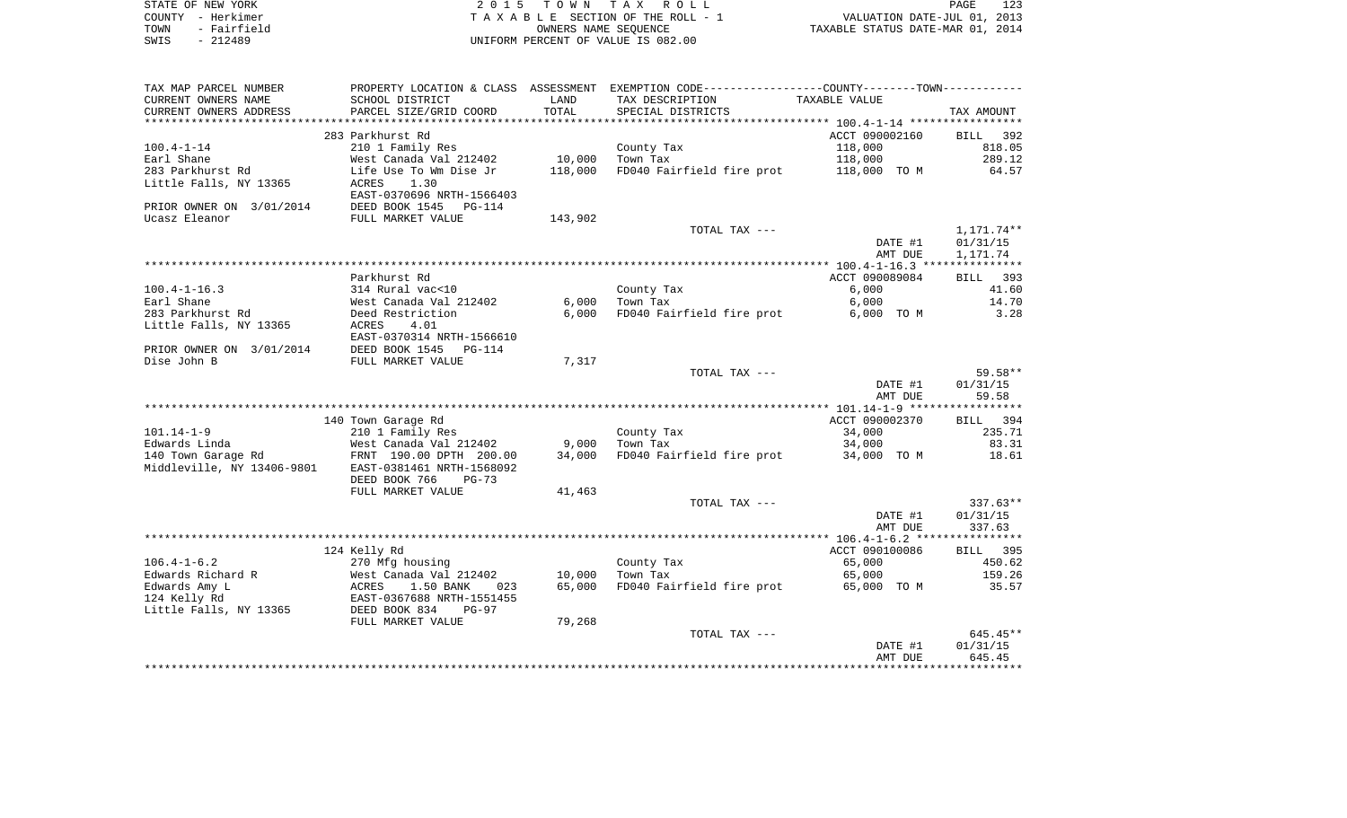| STATE OF NEW YORK   | 2015 TOWN TAX ROLL                 | 123<br>PAGE                      |
|---------------------|------------------------------------|----------------------------------|
| COUNTY - Herkimer   | TAXABLE SECTION OF THE ROLL - 1    | VALUATION DATE-JUL 01, 2013      |
| - Fairfield<br>TOWN | OWNERS NAME SEOUENCE               | TAXABLE STATUS DATE-MAR 01, 2014 |
| SWIS<br>- 212489    | UNIFORM PERCENT OF VALUE IS 082.00 |                                  |

 $\begin{array}{c} 123 \\ 2013 \\ 2014 \end{array}$ 

| TAX MAP PARCEL NUMBER          |                                   |         | PROPERTY LOCATION & CLASS ASSESSMENT EXEMPTION CODE---------------COUNTY-------TOWN--------- |                |               |
|--------------------------------|-----------------------------------|---------|----------------------------------------------------------------------------------------------|----------------|---------------|
| CURRENT OWNERS NAME            | SCHOOL DISTRICT                   | LAND    | TAX DESCRIPTION                                                                              | TAXABLE VALUE  |               |
| CURRENT OWNERS ADDRESS         | PARCEL SIZE/GRID COORD            | TOTAL   | SPECIAL DISTRICTS                                                                            |                | TAX AMOUNT    |
| ***********************        |                                   |         |                                                                                              |                |               |
|                                | 283 Parkhurst Rd                  |         |                                                                                              | ACCT 090002160 | BILL<br>392   |
| $100.4 - 1 - 14$               | 210 1 Family Res                  |         | County Tax                                                                                   | 118,000        | 818.05        |
| Earl Shane                     | West Canada Val 212402            | 10,000  | Town Tax                                                                                     | 118,000        | 289.12        |
| 283 Parkhurst Rd               | Life Use To Wm Dise Jr            | 118,000 | FD040 Fairfield fire prot                                                                    | 118,000 TO M   | 64.57         |
| Little Falls, NY 13365         | 1.30<br>ACRES                     |         |                                                                                              |                |               |
|                                | EAST-0370696 NRTH-1566403         |         |                                                                                              |                |               |
| PRIOR OWNER ON 3/01/2014       | DEED BOOK 1545<br>PG-114          |         |                                                                                              |                |               |
| Ucasz Eleanor                  | FULL MARKET VALUE                 | 143,902 |                                                                                              |                |               |
|                                |                                   |         | TOTAL TAX ---                                                                                |                | 1,171.74**    |
|                                |                                   |         |                                                                                              | DATE #1        | 01/31/15      |
|                                |                                   |         |                                                                                              | AMT DUE        | 1,171.74      |
|                                |                                   |         |                                                                                              |                |               |
|                                | Parkhurst Rd                      |         |                                                                                              | ACCT 090089084 | BILL<br>393   |
| $100.4 - 1 - 16.3$             | 314 Rural vac<10                  |         | County Tax                                                                                   | 6,000          | 41.60         |
| Earl Shane<br>283 Parkhurst Rd | West Canada Val 212402            | 6,000   | Town Tax<br>FD040 Fairfield fire prot                                                        | 6,000          | 14.70<br>3.28 |
| Little Falls, NY 13365         | Deed Restriction<br>ACRES<br>4.01 | 6,000   |                                                                                              | 6,000 TO M     |               |
|                                | EAST-0370314 NRTH-1566610         |         |                                                                                              |                |               |
| PRIOR OWNER ON 3/01/2014       | DEED BOOK 1545<br>PG-114          |         |                                                                                              |                |               |
| Dise John B                    | FULL MARKET VALUE                 | 7,317   |                                                                                              |                |               |
|                                |                                   |         | TOTAL TAX ---                                                                                |                | 59.58**       |
|                                |                                   |         |                                                                                              | DATE #1        | 01/31/15      |
|                                |                                   |         |                                                                                              | AMT DUE        | 59.58         |
|                                |                                   |         |                                                                                              |                |               |
|                                | 140 Town Garage Rd                |         |                                                                                              | ACCT 090002370 | BILL 394      |
| $101.14 - 1 - 9$               | 210 1 Family Res                  |         | County Tax                                                                                   | 34,000         | 235.71        |
| Edwards Linda                  | West Canada Val 212402            | 9,000   | Town Tax                                                                                     | 34,000         | 83.31         |
| 140 Town Garage Rd             | FRNT 190.00 DPTH 200.00           | 34,000  | FD040 Fairfield fire prot                                                                    | 34,000 TO M    | 18.61         |
| Middleville, NY 13406-9801     | EAST-0381461 NRTH-1568092         |         |                                                                                              |                |               |
|                                | DEED BOOK 766<br>$PG-73$          |         |                                                                                              |                |               |
|                                | FULL MARKET VALUE                 | 41,463  |                                                                                              |                |               |
|                                |                                   |         | TOTAL TAX ---                                                                                |                | $337.63**$    |
|                                |                                   |         |                                                                                              | DATE #1        | 01/31/15      |
|                                |                                   |         |                                                                                              | AMT DUE        | 337.63        |
|                                |                                   |         |                                                                                              |                |               |
|                                | 124 Kelly Rd                      |         |                                                                                              | ACCT 090100086 | BILL 395      |
| $106.4 - 1 - 6.2$              | 270 Mfg housing                   |         | County Tax                                                                                   | 65,000         | 450.62        |
| Edwards Richard R              | West Canada Val 212402            | 10,000  | Town Tax                                                                                     | 65,000         | 159.26        |
| Edwards Amy L                  | ACRES<br>1.50 BANK<br>023         | 65,000  | FD040 Fairfield fire prot                                                                    | 65,000 TO M    | 35.57         |
| 124 Kelly Rd                   | EAST-0367688 NRTH-1551455         |         |                                                                                              |                |               |
| Little Falls, NY 13365         | DEED BOOK 834<br>$PG-97$          |         |                                                                                              |                |               |
|                                | FULL MARKET VALUE                 | 79,268  |                                                                                              |                | $645.45**$    |
|                                |                                   |         | TOTAL TAX ---                                                                                | DATE #1        | 01/31/15      |
|                                |                                   |         |                                                                                              | AMT DUE        | 645.45        |
|                                |                                   |         |                                                                                              |                |               |
|                                |                                   |         |                                                                                              |                |               |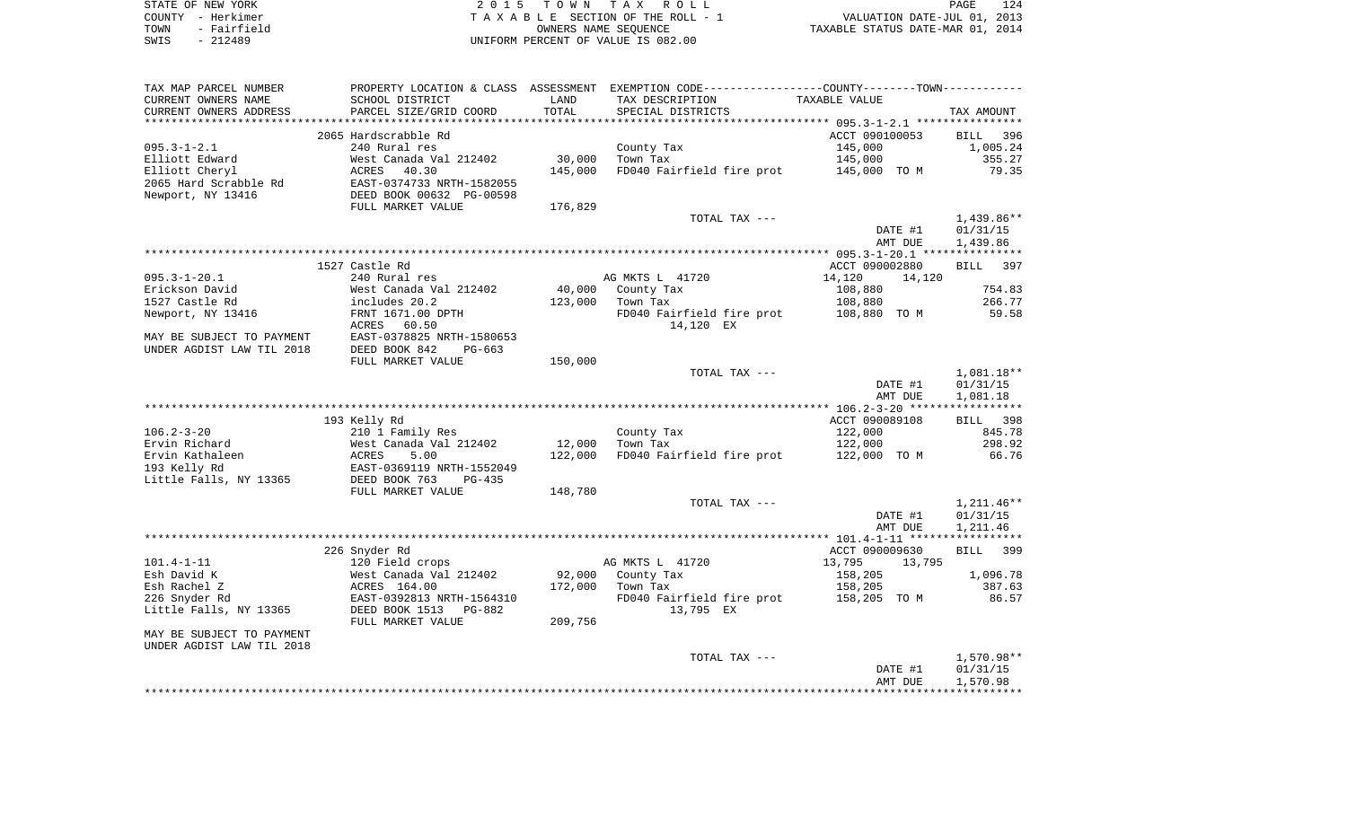|      | STATE OF NEW YORK | 2015 TOWN TAX ROLL                 | 124<br>PAGE                      |
|------|-------------------|------------------------------------|----------------------------------|
|      | COUNTY - Herkimer | TAXABLE SECTION OF THE ROLL - 1    | VALUATION DATE-JUL 01, 2013      |
| TOWN | - Fairfield       | OWNERS NAME SEOUENCE               | TAXABLE STATUS DATE-MAR 01, 2014 |
| SWIS | $-212489$         | UNIFORM PERCENT OF VALUE IS 082.00 |                                  |

| TAX MAP PARCEL NUMBER     |                           |         | PROPERTY LOCATION & CLASS ASSESSMENT EXEMPTION CODE----------------COUNTY--------TOWN---------- |                  |                    |
|---------------------------|---------------------------|---------|-------------------------------------------------------------------------------------------------|------------------|--------------------|
| CURRENT OWNERS NAME       | SCHOOL DISTRICT           | LAND    | TAX DESCRIPTION                                                                                 | TAXABLE VALUE    |                    |
| CURRENT OWNERS ADDRESS    | PARCEL SIZE/GRID COORD    | TOTAL   | SPECIAL DISTRICTS                                                                               |                  | TAX AMOUNT         |
|                           |                           |         |                                                                                                 |                  |                    |
|                           | 2065 Hardscrabble Rd      |         |                                                                                                 | ACCT 090100053   | BILL<br>396        |
| $095.3 - 1 - 2.1$         | 240 Rural res             |         | County Tax                                                                                      | 145,000          | 1,005.24           |
| Elliott Edward            | West Canada Val 212402    | 30,000  | Town Tax                                                                                        | 145,000          | 355.27             |
| Elliott Cheryl            | <b>ACRES</b><br>40.30     | 145,000 | FD040 Fairfield fire prot                                                                       | 145,000 TO M     | 79.35              |
| 2065 Hard Scrabble Rd     | EAST-0374733 NRTH-1582055 |         |                                                                                                 |                  |                    |
| Newport, NY 13416         | DEED BOOK 00632 PG-00598  |         |                                                                                                 |                  |                    |
|                           | FULL MARKET VALUE         | 176,829 |                                                                                                 |                  |                    |
|                           |                           |         | TOTAL TAX ---                                                                                   |                  | $1,439.86**$       |
|                           |                           |         |                                                                                                 | DATE #1          | 01/31/15           |
|                           |                           |         |                                                                                                 | AMT DUE          | 1,439.86           |
|                           |                           |         |                                                                                                 |                  |                    |
|                           | 1527 Castle Rd            |         |                                                                                                 | ACCT 090002880   | <b>BILL</b><br>397 |
| $095.3 - 1 - 20.1$        | 240 Rural res             |         | AG MKTS L 41720                                                                                 | 14,120<br>14,120 |                    |
| Erickson David            | West Canada Val 212402    | 40,000  | County Tax                                                                                      | 108,880          | 754.83             |
| 1527 Castle Rd            | includes 20.2             | 123,000 | Town Tax                                                                                        | 108,880          | 266.77             |
| Newport, NY 13416         | FRNT 1671.00 DPTH         |         | FD040 Fairfield fire prot                                                                       | 108,880 TO M     | 59.58              |
|                           | 60.50<br>ACRES            |         | 14,120 EX                                                                                       |                  |                    |
| MAY BE SUBJECT TO PAYMENT | EAST-0378825 NRTH-1580653 |         |                                                                                                 |                  |                    |
| UNDER AGDIST LAW TIL 2018 | DEED BOOK 842<br>$PG-663$ |         |                                                                                                 |                  |                    |
|                           | FULL MARKET VALUE         | 150,000 |                                                                                                 |                  |                    |
|                           |                           |         | TOTAL TAX ---                                                                                   |                  | 1,081.18**         |
|                           |                           |         |                                                                                                 | DATE #1          | 01/31/15           |
|                           |                           |         |                                                                                                 | AMT DUE          | 1,081.18           |
|                           |                           |         |                                                                                                 |                  |                    |
|                           | 193 Kelly Rd              |         |                                                                                                 | ACCT 090089108   | BILL<br>398        |
| $106.2 - 3 - 20$          | 210 1 Family Res          |         | County Tax                                                                                      | 122,000          | 845.78             |
| Ervin Richard             | West Canada Val 212402    | 12,000  | Town Tax                                                                                        | 122,000          | 298.92             |
| Ervin Kathaleen           | ACRES<br>5.00             | 122,000 | FD040 Fairfield fire prot                                                                       | 122,000 TO M     | 66.76              |
| 193 Kelly Rd              | EAST-0369119 NRTH-1552049 |         |                                                                                                 |                  |                    |
| Little Falls, NY 13365    | DEED BOOK 763<br>$PG-435$ |         |                                                                                                 |                  |                    |
|                           | FULL MARKET VALUE         | 148,780 | TOTAL TAX ---                                                                                   |                  | $1,211.46**$       |
|                           |                           |         |                                                                                                 | DATE #1          | 01/31/15           |
|                           |                           |         |                                                                                                 | AMT DUE          | 1,211.46           |
|                           |                           |         |                                                                                                 |                  |                    |
|                           | 226 Snyder Rd             |         |                                                                                                 | ACCT 090009630   | 399<br><b>BILL</b> |
| $101.4 - 1 - 11$          | 120 Field crops           |         | AG MKTS L 41720                                                                                 | 13,795<br>13,795 |                    |
| Esh David K               | West Canada Val 212402    | 92,000  | County Tax                                                                                      | 158,205          | 1,096.78           |
| Esh Rachel Z              | ACRES 164.00              | 172,000 | Town Tax                                                                                        | 158,205          | 387.63             |
| 226 Snyder Rd             | EAST-0392813 NRTH-1564310 |         | FD040 Fairfield fire prot                                                                       | 158,205 TO M     | 86.57              |
| Little Falls, NY 13365    | DEED BOOK 1513<br>PG-882  |         | 13,795 EX                                                                                       |                  |                    |
|                           | FULL MARKET VALUE         | 209,756 |                                                                                                 |                  |                    |
| MAY BE SUBJECT TO PAYMENT |                           |         |                                                                                                 |                  |                    |
| UNDER AGDIST LAW TIL 2018 |                           |         |                                                                                                 |                  |                    |
|                           |                           |         | TOTAL TAX ---                                                                                   |                  | 1,570.98**         |
|                           |                           |         |                                                                                                 | DATE #1          | 01/31/15           |
|                           |                           |         |                                                                                                 | AMT DUE          | 1,570.98           |
|                           |                           |         |                                                                                                 |                  |                    |
|                           |                           |         |                                                                                                 |                  |                    |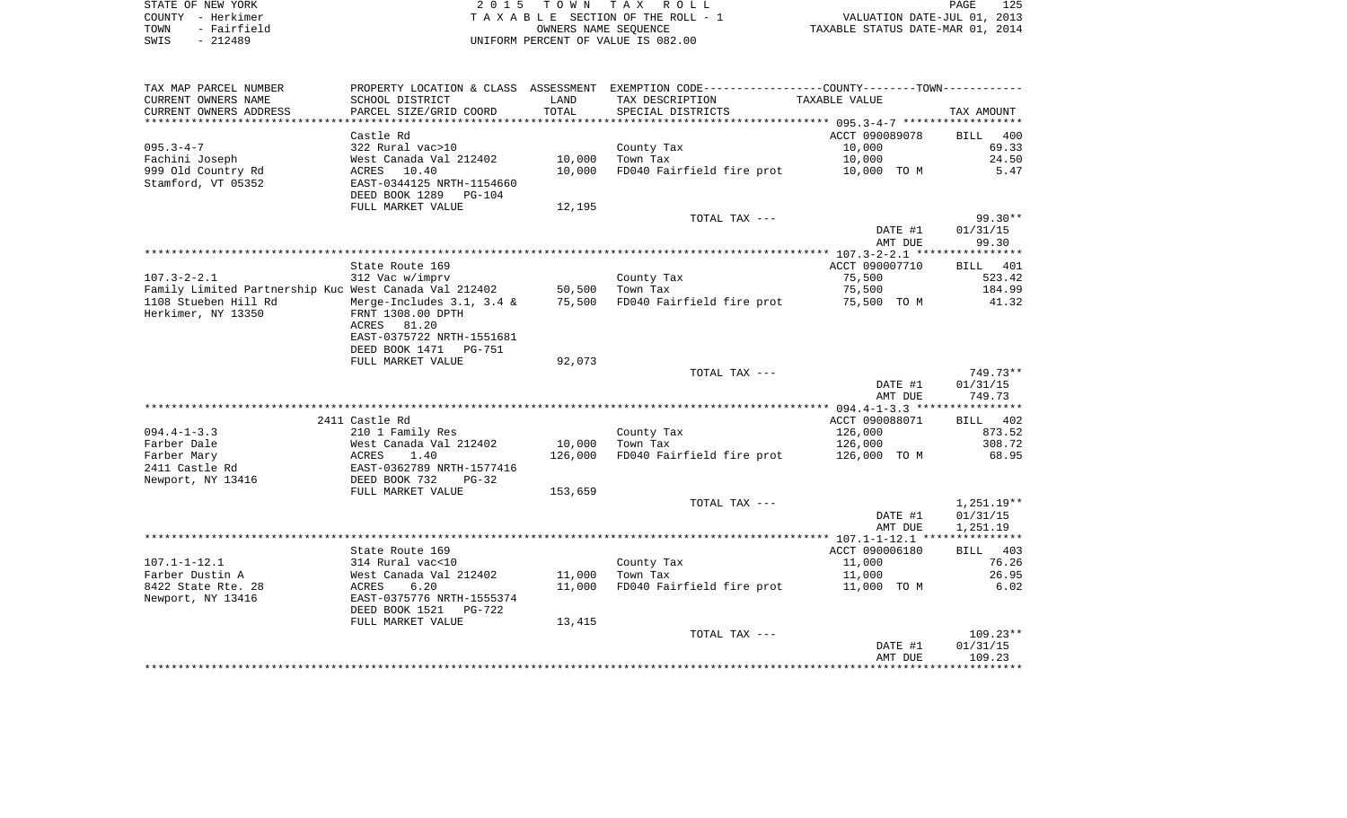| STATE OF NEW YORK   | 2015 TOWN TAX ROLL                 | 125.<br>PAGE                     |
|---------------------|------------------------------------|----------------------------------|
| COUNTY - Herkimer   | TAXABLE SECTION OF THE ROLL - 1    | VALUATION DATE-JUL 01, 2013      |
| - Fairfield<br>TOWN | OWNERS NAME SEOUENCE               | TAXABLE STATUS DATE-MAR 01, 2014 |
| $-212489$<br>SWIS   | UNIFORM PERCENT OF VALUE IS 082.00 |                                  |

| TAX MAP PARCEL NUMBER                                 |                                            |         | PROPERTY LOCATION & CLASS ASSESSMENT EXEMPTION CODE---------------COUNTY-------TOWN---------- |                |                    |
|-------------------------------------------------------|--------------------------------------------|---------|-----------------------------------------------------------------------------------------------|----------------|--------------------|
| CURRENT OWNERS NAME                                   | SCHOOL DISTRICT                            | LAND    | TAX DESCRIPTION                                                                               | TAXABLE VALUE  |                    |
| CURRENT OWNERS ADDRESS                                | PARCEL SIZE/GRID COORD                     | TOTAL   | SPECIAL DISTRICTS                                                                             |                | TAX AMOUNT         |
| **********************                                | ****************************               |         |                                                                                               |                |                    |
|                                                       | Castle Rd                                  |         |                                                                                               | ACCT 090089078 | BILL 400           |
| $095.3 - 4 - 7$                                       | 322 Rural vac>10                           |         | County Tax                                                                                    | 10,000         | 69.33              |
| Fachini Joseph                                        | West Canada Val 212402                     | 10,000  | Town Tax                                                                                      | 10,000         | 24.50              |
| 999 Old Country Rd                                    | ACRES 10.40                                | 10,000  | FD040 Fairfield fire prot                                                                     | 10,000 TO M    | 5.47               |
| Stamford, VT 05352                                    | EAST-0344125 NRTH-1154660                  |         |                                                                                               |                |                    |
|                                                       | DEED BOOK 1289<br>PG-104                   |         |                                                                                               |                |                    |
|                                                       | FULL MARKET VALUE                          | 12,195  |                                                                                               |                |                    |
|                                                       |                                            |         | TOTAL TAX ---                                                                                 |                | $99.30**$          |
|                                                       |                                            |         |                                                                                               | DATE #1        | 01/31/15           |
|                                                       |                                            |         |                                                                                               | AMT DUE        | 99.30              |
|                                                       |                                            |         |                                                                                               |                |                    |
|                                                       | State Route 169                            |         |                                                                                               | ACCT 090007710 | BILL 401           |
| $107.3 - 2 - 2.1$                                     | 312 Vac w/imprv                            |         | County Tax                                                                                    | 75,500         | 523.42             |
| Family Limited Partnership Kuc West Canada Val 212402 |                                            |         | 50,500 Town Tax                                                                               | 75,500         | 184.99             |
| 1108 Stueben Hill Rd                                  | Merge-Includes 3.1, 3.4 &                  | 75,500  | FD040 Fairfield fire prot                                                                     | 75,500 TO M    | 41.32              |
| Herkimer, NY 13350                                    | FRNT 1308.00 DPTH                          |         |                                                                                               |                |                    |
|                                                       | 81.20<br>ACRES                             |         |                                                                                               |                |                    |
|                                                       | EAST-0375722 NRTH-1551681                  |         |                                                                                               |                |                    |
|                                                       | DEED BOOK 1471<br>PG-751                   |         |                                                                                               |                |                    |
|                                                       | FULL MARKET VALUE                          | 92,073  |                                                                                               |                |                    |
|                                                       |                                            |         | TOTAL TAX ---                                                                                 |                | 749.73**           |
|                                                       |                                            |         |                                                                                               | DATE #1        | 01/31/15           |
|                                                       |                                            |         |                                                                                               | AMT DUE        | 749.73             |
|                                                       |                                            |         |                                                                                               |                |                    |
|                                                       | 2411 Castle Rd                             |         |                                                                                               | ACCT 090088071 | BILL 402           |
| $094.4 - 1 - 3.3$                                     | 210 1 Family Res                           |         | County Tax                                                                                    | 126,000        | 873.52             |
| Farber Dale                                           | West Canada Val 212402                     | 10,000  | Town Tax                                                                                      | 126,000        | 308.72             |
| Farber Mary                                           | ACRES<br>1.40                              | 126,000 | FD040 Fairfield fire prot                                                                     | 126,000 TO M   | 68.95              |
| 2411 Castle Rd                                        | EAST-0362789 NRTH-1577416                  |         |                                                                                               |                |                    |
| Newport, NY 13416                                     | DEED BOOK 732<br>$PG-32$                   |         |                                                                                               |                |                    |
|                                                       | FULL MARKET VALUE                          | 153,659 |                                                                                               |                |                    |
|                                                       |                                            |         | TOTAL TAX ---                                                                                 |                | 1,251.19**         |
|                                                       |                                            |         |                                                                                               | DATE #1        | 01/31/15           |
|                                                       |                                            |         |                                                                                               | AMT DUE        | 1,251.19           |
|                                                       |                                            |         |                                                                                               |                |                    |
|                                                       | State Route 169                            |         |                                                                                               | ACCT 090006180 | BILL 403           |
| $107.1 - 1 - 12.1$<br>Farber Dustin A                 | 314 Rural vac<10                           |         | County Tax                                                                                    | 11,000         | 76.26              |
|                                                       | West Canada Val 212402                     | 11,000  | Town Tax                                                                                      | 11,000         | 26.95              |
| 8422 State Rte. 28<br>Newport, NY 13416               | 6.20<br>ACRES<br>EAST-0375776 NRTH-1555374 | 11,000  | FD040 Fairfield fire prot                                                                     | 11,000 TO M    | 6.02               |
|                                                       | DEED BOOK 1521                             |         |                                                                                               |                |                    |
|                                                       | PG-722                                     |         |                                                                                               |                |                    |
|                                                       | FULL MARKET VALUE                          | 13,415  |                                                                                               |                | $109.23**$         |
|                                                       |                                            |         | TOTAL TAX ---                                                                                 | DATE #1        |                    |
|                                                       |                                            |         |                                                                                               | AMT DUE        | 01/31/15<br>109.23 |
|                                                       |                                            |         |                                                                                               |                |                    |
|                                                       |                                            |         |                                                                                               |                |                    |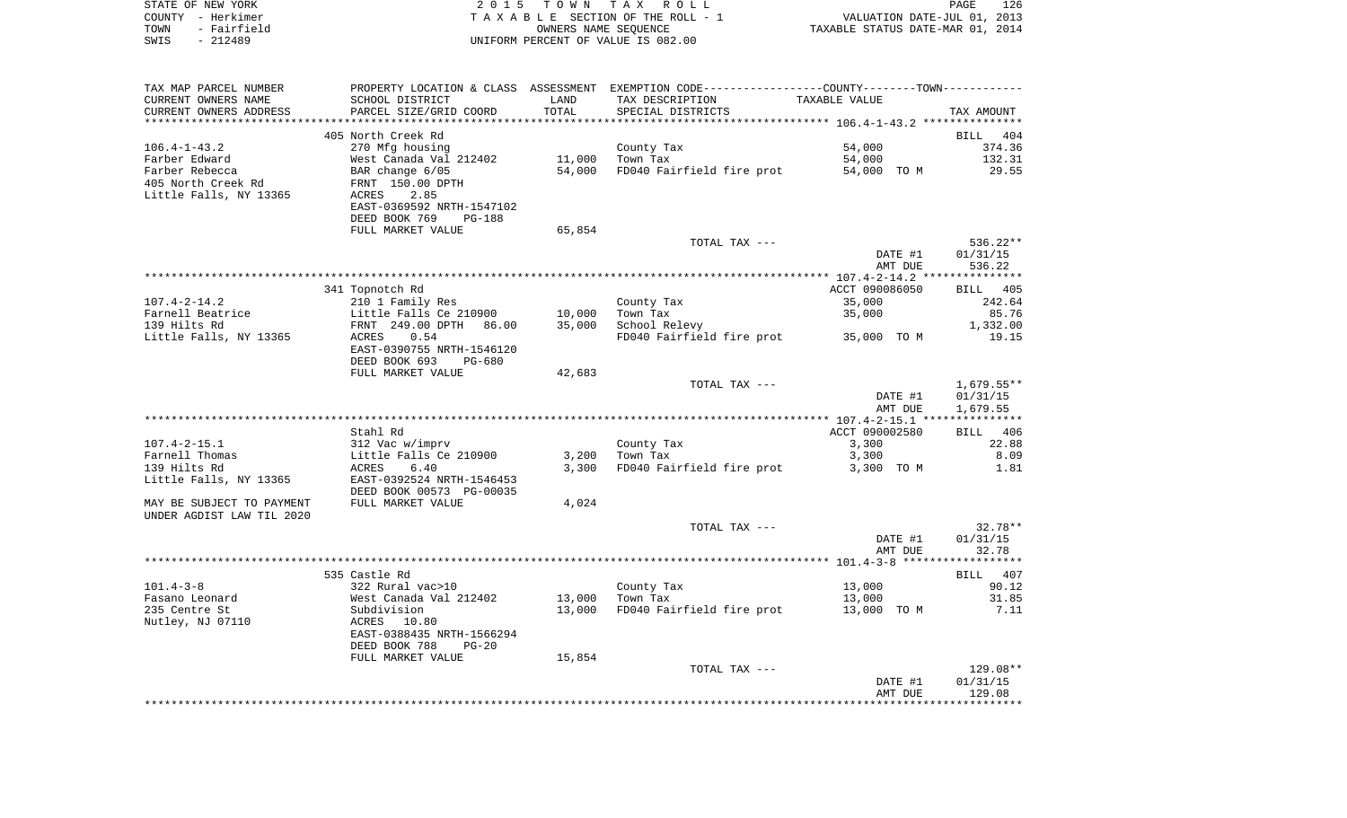|      | STATE OF NEW YORK | 2015 TOWN TAX ROLL                 | PAGE                             | 126 |
|------|-------------------|------------------------------------|----------------------------------|-----|
|      | COUNTY - Herkimer | TAXABLE SECTION OF THE ROLL - 1    | VALUATION DATE-JUL 01, 2013      |     |
| TOWN | - Fairfield       | OWNERS NAME SEOUENCE               | TAXABLE STATUS DATE-MAR 01, 2014 |     |
| SWIS | $-212489$         | UNIFORM PERCENT OF VALUE IS 082.00 |                                  |     |

| TAX MAP PARCEL NUMBER     |                                |        | PROPERTY LOCATION & CLASS ASSESSMENT EXEMPTION CODE---------------COUNTY-------TOWN---------- |                |                    |
|---------------------------|--------------------------------|--------|-----------------------------------------------------------------------------------------------|----------------|--------------------|
| CURRENT OWNERS NAME       | SCHOOL DISTRICT                | LAND   | TAX DESCRIPTION                                                                               | TAXABLE VALUE  |                    |
| CURRENT OWNERS ADDRESS    | PARCEL SIZE/GRID COORD         | TOTAL  | SPECIAL DISTRICTS                                                                             |                | TAX AMOUNT         |
|                           |                                |        |                                                                                               |                |                    |
|                           | 405 North Creek Rd             |        |                                                                                               |                | BILL 404           |
| $106.4 - 1 - 43.2$        | 270 Mfg housing                |        | County Tax                                                                                    | 54,000         | 374.36             |
| Farber Edward             | West Canada Val 212402         | 11,000 | Town Tax                                                                                      | 54,000         | 132.31             |
| Farber Rebecca            | BAR change 6/05                | 54,000 | FD040 Fairfield fire prot                                                                     | 54,000 TO M    | 29.55              |
| 405 North Creek Rd        | FRNT 150.00 DPTH               |        |                                                                                               |                |                    |
| Little Falls, NY 13365    | 2.85<br>ACRES                  |        |                                                                                               |                |                    |
|                           | EAST-0369592 NRTH-1547102      |        |                                                                                               |                |                    |
|                           | DEED BOOK 769<br><b>PG-188</b> |        |                                                                                               |                |                    |
|                           | FULL MARKET VALUE              | 65,854 |                                                                                               |                |                    |
|                           |                                |        | TOTAL TAX ---                                                                                 |                | 536.22**           |
|                           |                                |        |                                                                                               | DATE #1        | 01/31/15           |
|                           |                                |        |                                                                                               | AMT DUE        | 536.22             |
|                           |                                |        |                                                                                               |                |                    |
|                           | 341 Topnotch Rd                |        |                                                                                               | ACCT 090086050 | <b>BILL</b> 405    |
| $107.4 - 2 - 14.2$        |                                |        |                                                                                               | 35,000         | 242.64             |
|                           | 210 1 Family Res               | 10,000 | County Tax                                                                                    | 35,000         | 85.76              |
| Farnell Beatrice          | Little Falls Ce 210900         |        | Town Tax                                                                                      |                |                    |
| 139 Hilts Rd              | FRNT 249.00 DPTH<br>86.00      | 35,000 | School Relevy                                                                                 |                | 1,332.00           |
| Little Falls, NY 13365    | ACRES<br>0.54                  |        | FD040 Fairfield fire prot 35,000 TO M                                                         |                | 19.15              |
|                           | EAST-0390755 NRTH-1546120      |        |                                                                                               |                |                    |
|                           | DEED BOOK 693<br>PG-680        |        |                                                                                               |                |                    |
|                           | FULL MARKET VALUE              | 42,683 |                                                                                               |                |                    |
|                           |                                |        | TOTAL TAX ---                                                                                 |                | $1,679.55**$       |
|                           |                                |        |                                                                                               | DATE #1        | 01/31/15           |
|                           |                                |        |                                                                                               | AMT DUE        | 1,679.55           |
|                           |                                |        |                                                                                               |                |                    |
|                           | Stahl Rd                       |        |                                                                                               | ACCT 090002580 | BILL 406           |
| $107.4 - 2 - 15.1$        | 312 Vac w/imprv                |        | County Tax                                                                                    | 3,300          | 22.88              |
| Farnell Thomas            | Little Falls Ce 210900         | 3,200  | Town Tax                                                                                      | 3,300          | 8.09               |
| 139 Hilts Rd              | 6.40<br>ACRES                  | 3,300  | FD040 Fairfield fire prot                                                                     | 3,300 TO M     | 1.81               |
| Little Falls, NY 13365    | EAST-0392524 NRTH-1546453      |        |                                                                                               |                |                    |
|                           | DEED BOOK 00573 PG-00035       |        |                                                                                               |                |                    |
| MAY BE SUBJECT TO PAYMENT | FULL MARKET VALUE              | 4,024  |                                                                                               |                |                    |
| UNDER AGDIST LAW TIL 2020 |                                |        |                                                                                               |                |                    |
|                           |                                |        | TOTAL TAX ---                                                                                 |                | $32.78**$          |
|                           |                                |        |                                                                                               | DATE #1        | 01/31/15           |
|                           |                                |        |                                                                                               | AMT DUE        | 32.78              |
|                           |                                |        |                                                                                               |                | ****************** |
|                           | 535 Castle Rd                  |        |                                                                                               |                | BILL 407           |
| $101.4 - 3 - 8$           | 322 Rural vac>10               |        | County Tax                                                                                    | 13,000         | 90.12              |
| Fasano Leonard            | West Canada Val 212402         | 13,000 | Town Tax                                                                                      | 13,000         | 31.85              |
| 235 Centre St             | Subdivision                    | 13,000 | FD040 Fairfield fire prot                                                                     | 13,000 TO M    | 7.11               |
| Nutley, NJ 07110          | ACRES 10.80                    |        |                                                                                               |                |                    |
|                           | EAST-0388435 NRTH-1566294      |        |                                                                                               |                |                    |
|                           | DEED BOOK 788<br>$PG-20$       |        |                                                                                               |                |                    |
|                           | FULL MARKET VALUE              | 15,854 |                                                                                               |                |                    |
|                           |                                |        | TOTAL TAX ---                                                                                 |                | $129.08**$         |
|                           |                                |        |                                                                                               | DATE #1        | 01/31/15           |
|                           |                                |        |                                                                                               | AMT DUE        | 129.08             |
|                           |                                |        |                                                                                               |                |                    |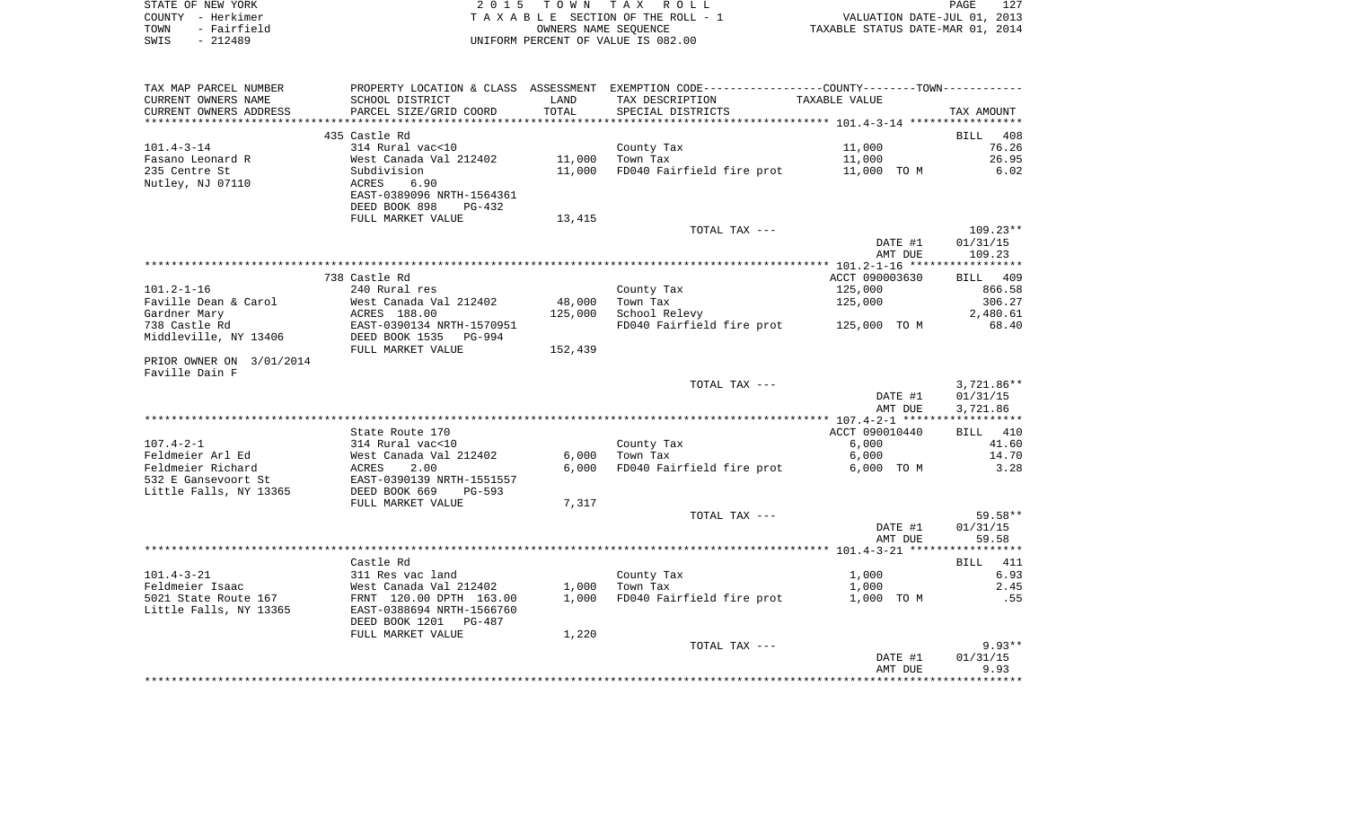| STATE OF NEW YORK   | 2015 TOWN TAX ROLL                 | 127<br>PAGE                      |
|---------------------|------------------------------------|----------------------------------|
| COUNTY - Herkimer   | TAXABLE SECTION OF THE ROLL - 1    | VALUATION DATE-JUL 01, 2013      |
| - Fairfield<br>TOWN | OWNERS NAME SEOUENCE               | TAXABLE STATUS DATE-MAR 01, 2014 |
| $-212489$<br>SWIS   | UNIFORM PERCENT OF VALUE IS 082.00 |                                  |

| TAX MAP PARCEL NUMBER                |                                        |                   | PROPERTY LOCATION & CLASS ASSESSMENT EXEMPTION CODE---------------COUNTY-------TOWN---------- |                |                    |
|--------------------------------------|----------------------------------------|-------------------|-----------------------------------------------------------------------------------------------|----------------|--------------------|
| CURRENT OWNERS NAME                  | SCHOOL DISTRICT                        | LAND              | TAX DESCRIPTION                                                                               | TAXABLE VALUE  |                    |
| CURRENT OWNERS ADDRESS               | PARCEL SIZE/GRID COORD                 | <b>TOTAL</b>      | SPECIAL DISTRICTS                                                                             |                | TAX AMOUNT         |
| *******************                  | *************************              |                   |                                                                                               |                |                    |
|                                      | 435 Castle Rd                          |                   |                                                                                               |                | <b>BILL</b><br>408 |
| $101.4 - 3 - 14$                     | 314 Rural vac<10                       |                   | County Tax                                                                                    | 11,000         | 76.26              |
| Fasano Leonard R                     | West Canada Val 212402                 | 11,000            | Town Tax                                                                                      | 11,000         | 26.95              |
| 235 Centre St                        | Subdivision                            | 11,000            | FD040 Fairfield fire prot                                                                     | 11,000 TO M    | 6.02               |
| Nutley, NJ 07110                     | 6.90<br>ACRES                          |                   |                                                                                               |                |                    |
|                                      | EAST-0389096 NRTH-1564361              |                   |                                                                                               |                |                    |
|                                      | DEED BOOK 898<br>$PG-432$              |                   |                                                                                               |                |                    |
|                                      | FULL MARKET VALUE                      | 13,415            |                                                                                               |                |                    |
|                                      |                                        |                   | TOTAL TAX ---                                                                                 |                | $109.23**$         |
|                                      |                                        |                   |                                                                                               | DATE #1        | 01/31/15           |
|                                      |                                        |                   |                                                                                               | AMT DUE        | 109.23             |
|                                      |                                        |                   |                                                                                               |                |                    |
|                                      | 738 Castle Rd                          |                   |                                                                                               | ACCT 090003630 | BILL 409           |
| $101.2 - 1 - 16$                     | 240 Rural res                          |                   | County Tax                                                                                    | 125,000        | 866.58             |
| Faville Dean & Carol<br>Gardner Mary | West Canada Val 212402<br>ACRES 188.00 | 48,000<br>125,000 | Town Tax                                                                                      | 125,000        | 306.27<br>2,480.61 |
| 738 Castle Rd                        | EAST-0390134 NRTH-1570951              |                   | School Relevy<br>FD040 Fairfield fire prot                                                    | 125,000 TO M   | 68.40              |
| Middleville, NY 13406                | DEED BOOK 1535<br>PG-994               |                   |                                                                                               |                |                    |
|                                      | FULL MARKET VALUE                      | 152,439           |                                                                                               |                |                    |
| PRIOR OWNER ON 3/01/2014             |                                        |                   |                                                                                               |                |                    |
| Faville Dain F                       |                                        |                   |                                                                                               |                |                    |
|                                      |                                        |                   | TOTAL TAX ---                                                                                 |                | $3,721.86**$       |
|                                      |                                        |                   |                                                                                               | DATE #1        | 01/31/15           |
|                                      |                                        |                   |                                                                                               | AMT DUE        | 3,721.86           |
|                                      |                                        |                   |                                                                                               |                |                    |
|                                      | State Route 170                        |                   |                                                                                               | ACCT 090010440 | BILL 410           |
| $107.4 - 2 - 1$                      | 314 Rural vac<10                       |                   | County Tax                                                                                    | 6,000          | 41.60              |
| Feldmeier Arl Ed                     | West Canada Val 212402                 | 6,000             | Town Tax                                                                                      | 6,000          | 14.70              |
| Feldmeier Richard                    | ACRES<br>2.00                          | 6.000             | FD040 Fairfield fire prot                                                                     | 6,000 TO M     | 3.28               |
| 532 E Gansevoort St                  | EAST-0390139 NRTH-1551557              |                   |                                                                                               |                |                    |
| Little Falls, NY 13365               | DEED BOOK 669<br>PG-593                |                   |                                                                                               |                |                    |
|                                      | FULL MARKET VALUE                      | 7,317             |                                                                                               |                |                    |
|                                      |                                        |                   | TOTAL TAX ---                                                                                 |                | 59.58**            |
|                                      |                                        |                   |                                                                                               | DATE #1        | 01/31/15           |
|                                      |                                        |                   |                                                                                               | AMT DUE        | 59.58              |
|                                      |                                        |                   |                                                                                               |                |                    |
|                                      | Castle Rd                              |                   |                                                                                               |                | 411<br>BILL        |
| $101.4 - 3 - 21$                     | 311 Res vac land                       |                   | County Tax                                                                                    | 1,000          | 6.93               |
| Feldmeier Isaac                      | West Canada Val 212402                 | 1,000             | Town Tax                                                                                      | 1,000          | 2.45               |
| 5021 State Route 167                 | FRNT 120.00 DPTH 163.00                | 1,000             | FD040 Fairfield fire prot                                                                     | 1,000 TO M     | .55                |
| Little Falls, NY 13365               | EAST-0388694 NRTH-1566760              |                   |                                                                                               |                |                    |
|                                      | DEED BOOK 1201<br>PG-487               |                   |                                                                                               |                |                    |
|                                      | FULL MARKET VALUE                      | 1,220             |                                                                                               |                | $9.93**$           |
|                                      |                                        |                   | TOTAL TAX ---                                                                                 | DATE #1        | 01/31/15           |
|                                      |                                        |                   |                                                                                               | AMT DUE        | 9.93               |
|                                      |                                        |                   |                                                                                               |                |                    |
|                                      |                                        |                   |                                                                                               |                |                    |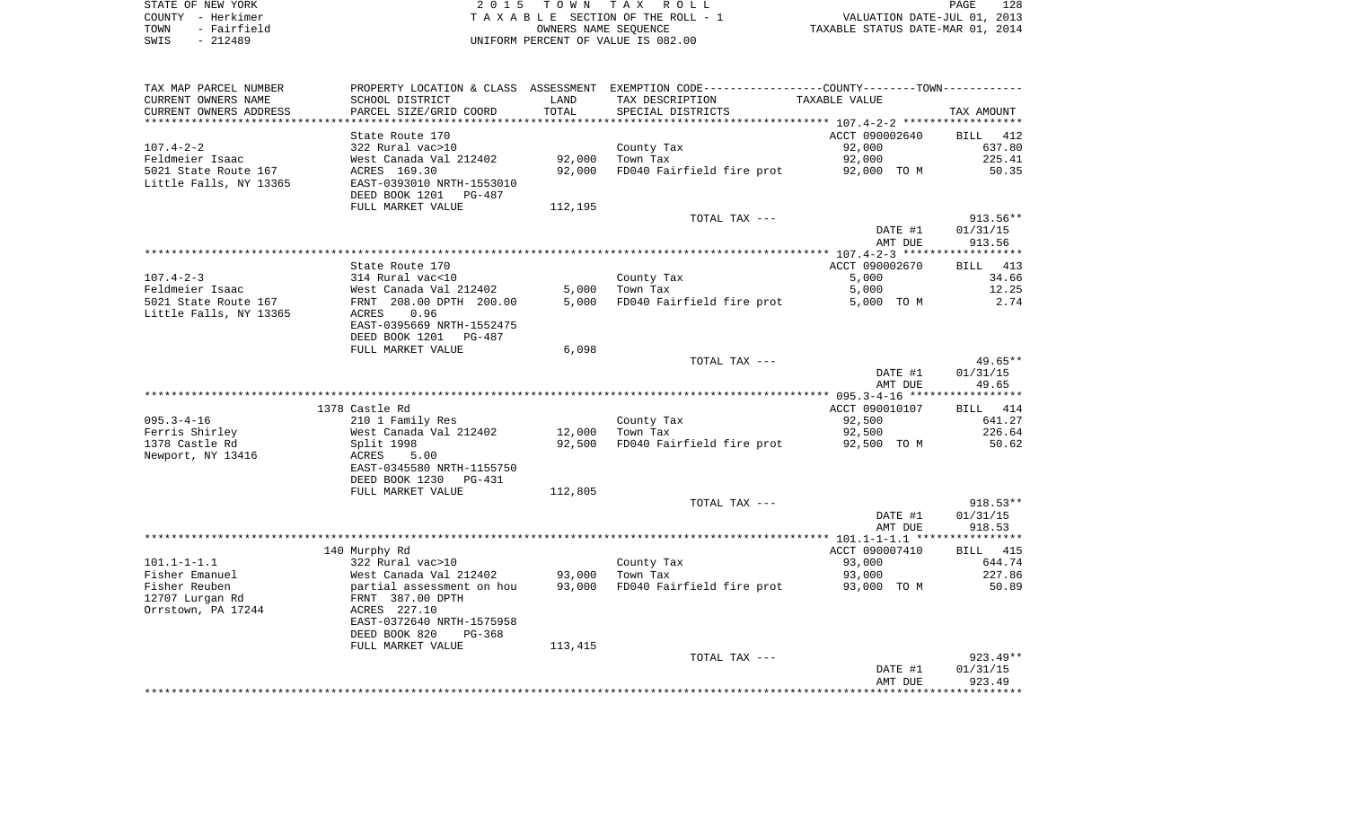| STATE OF NEW YORK   | 2015 TOWN TAX ROLL                 | 128<br>PAGE                      |
|---------------------|------------------------------------|----------------------------------|
| COUNTY - Herkimer   | TAXABLE SECTION OF THE ROLL - 1    | VALUATION DATE-JUL 01, 2013      |
| - Fairfield<br>TOWN | OWNERS NAME SEOUENCE               | TAXABLE STATUS DATE-MAR 01, 2014 |
| $-212489$<br>SWIS   | UNIFORM PERCENT OF VALUE IS 082.00 |                                  |

| TAX MAP PARCEL NUMBER<br>CURRENT OWNERS NAME | SCHOOL DISTRICT                                     | LAND    | PROPERTY LOCATION & CLASS ASSESSMENT EXEMPTION CODE---------------COUNTY-------TOWN----------<br>TAX DESCRIPTION | TAXABLE VALUE    |                  |
|----------------------------------------------|-----------------------------------------------------|---------|------------------------------------------------------------------------------------------------------------------|------------------|------------------|
| CURRENT OWNERS ADDRESS                       | PARCEL SIZE/GRID COORD                              | TOTAL   | SPECIAL DISTRICTS                                                                                                |                  | TAX AMOUNT       |
|                                              |                                                     |         |                                                                                                                  |                  |                  |
|                                              | State Route 170                                     |         |                                                                                                                  | ACCT 090002640   | BILL 412         |
| $107.4 - 2 - 2$                              | 322 Rural vac>10                                    |         | County Tax                                                                                                       | 92,000           | 637.80           |
| Feldmeier Isaac                              | West Canada Val 212402                              | 92,000  | Town Tax                                                                                                         | 92,000           | 225.41           |
| 5021 State Route 167                         | ACRES 169.30                                        | 92,000  | FD040 Fairfield fire prot                                                                                        | 92,000 TO M      | 50.35            |
| Little Falls, NY 13365                       | EAST-0393010 NRTH-1553010                           |         |                                                                                                                  |                  |                  |
|                                              | DEED BOOK 1201 PG-487                               |         |                                                                                                                  |                  |                  |
|                                              | FULL MARKET VALUE                                   | 112,195 |                                                                                                                  |                  |                  |
|                                              |                                                     |         | TOTAL TAX ---                                                                                                    |                  | $913.56**$       |
|                                              |                                                     |         |                                                                                                                  | DATE #1          | 01/31/15         |
|                                              |                                                     |         |                                                                                                                  | AMT DUE          | 913.56           |
|                                              |                                                     |         |                                                                                                                  |                  |                  |
|                                              | State Route 170                                     |         |                                                                                                                  | ACCT 090002670   | BILL 413         |
| $107.4 - 2 - 3$                              | 314 Rural vac<10                                    |         | County Tax                                                                                                       | 5,000            | 34.66            |
| Feldmeier Isaac                              | West Canada Val 212402                              | 5,000   | Town Tax                                                                                                         | 5,000            | 12.25            |
| 5021 State Route 167                         | FRNT 208.00 DPTH 200.00                             | 5,000   | FD040 Fairfield fire prot                                                                                        | 5,000 TO M       | 2.74             |
| Little Falls, NY 13365                       | ACRES<br>0.96                                       |         |                                                                                                                  |                  |                  |
|                                              | EAST-0395669 NRTH-1552475                           |         |                                                                                                                  |                  |                  |
|                                              | DEED BOOK 1201<br>PG-487                            |         |                                                                                                                  |                  |                  |
|                                              | FULL MARKET VALUE                                   | 6,098   | TOTAL TAX ---                                                                                                    |                  | 49.65**          |
|                                              |                                                     |         |                                                                                                                  | DATE #1          | 01/31/15         |
|                                              |                                                     |         |                                                                                                                  | AMT DUE          | 49.65            |
|                                              |                                                     |         |                                                                                                                  |                  |                  |
|                                              | 1378 Castle Rd                                      |         |                                                                                                                  | ACCT 090010107   | BILL 414         |
| $095.3 - 4 - 16$                             | 210 1 Family Res                                    |         | County Tax                                                                                                       | 92,500           | 641.27           |
| Ferris Shirley                               | West Canada Val 212402                              | 12,000  | Town Tax                                                                                                         | 92,500           | 226.64           |
| 1378 Castle Rd                               | Split 1998                                          | 92,500  | FD040 Fairfield fire prot                                                                                        | 92,500 TO M      | 50.62            |
| Newport, NY 13416                            | ACRES<br>5.00                                       |         |                                                                                                                  |                  |                  |
|                                              | EAST-0345580 NRTH-1155750                           |         |                                                                                                                  |                  |                  |
|                                              | DEED BOOK 1230<br>PG-431                            |         |                                                                                                                  |                  |                  |
|                                              | FULL MARKET VALUE                                   | 112,805 |                                                                                                                  |                  |                  |
|                                              |                                                     |         | TOTAL TAX ---                                                                                                    |                  | $918.53**$       |
|                                              |                                                     |         |                                                                                                                  | DATE #1          | 01/31/15         |
|                                              |                                                     |         |                                                                                                                  | AMT DUE          | 918.53           |
|                                              |                                                     |         |                                                                                                                  |                  |                  |
|                                              | 140 Murphy Rd                                       |         |                                                                                                                  | ACCT 090007410   | <b>BILL</b> 415  |
| $101.1 - 1 - 1.1$                            | 322 Rural vac>10                                    | 93,000  | County Tax                                                                                                       | 93,000<br>93,000 | 644.74<br>227.86 |
| Fisher Emanuel<br>Fisher Reuben              | West Canada Val 212402<br>partial assessment on hou | 93,000  | Town Tax<br>FD040 Fairfield fire prot                                                                            | 93,000 TO M      | 50.89            |
| 12707 Lurgan Rd                              | FRNT 387.00 DPTH                                    |         |                                                                                                                  |                  |                  |
| Orrstown, PA 17244                           | ACRES 227.10                                        |         |                                                                                                                  |                  |                  |
|                                              | EAST-0372640 NRTH-1575958                           |         |                                                                                                                  |                  |                  |
|                                              | DEED BOOK 820<br>PG-368                             |         |                                                                                                                  |                  |                  |
|                                              | FULL MARKET VALUE                                   | 113,415 |                                                                                                                  |                  |                  |
|                                              |                                                     |         | TOTAL TAX ---                                                                                                    |                  | $923.49**$       |
|                                              |                                                     |         |                                                                                                                  | DATE #1          | 01/31/15         |
|                                              |                                                     |         |                                                                                                                  | AMT DUE          | 923.49           |
|                                              |                                                     |         |                                                                                                                  |                  |                  |
|                                              |                                                     |         |                                                                                                                  |                  |                  |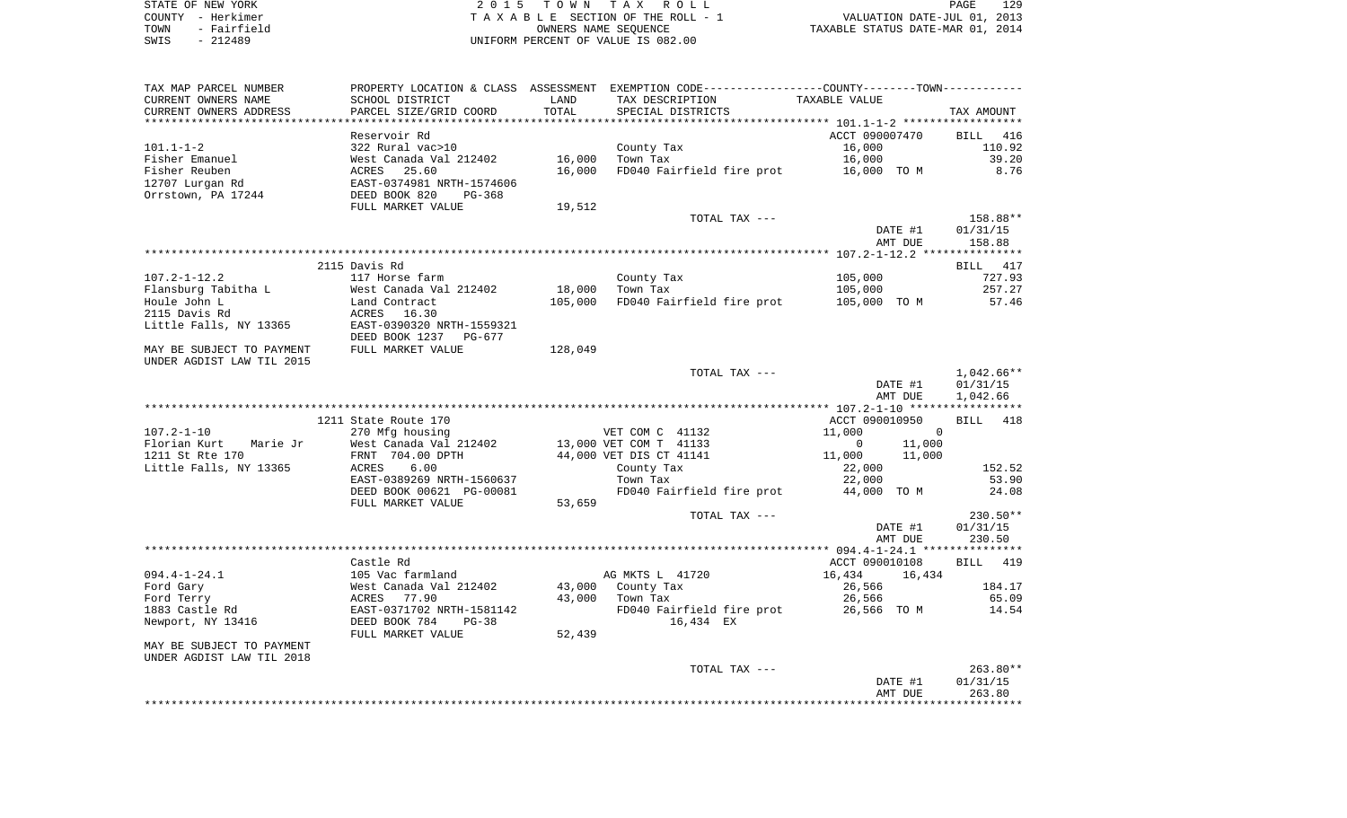| STATE OF NEW YORK |  |                   |  |
|-------------------|--|-------------------|--|
|                   |  | COUNTY - Herkimer |  |
| TOWN              |  | - Fairfield       |  |
| SWTS              |  | $-212489$         |  |

STATE OF NEW YORK 2 0 1 5 T O W N T A X R O L L PAGE 129TA X A B L E SECTION OF THE ROLL - 1 TOWN - Fairfield OWNERS NAME SEQUENCE TAXABLE STATUS DATE-MAR 01, 2014 SWIS - 212489 UNIFORM PERCENT OF VALUE IS 082.00

| TAX MAP PARCEL NUMBER     |                           |         | PROPERTY LOCATION & CLASS ASSESSMENT EXEMPTION CODE---------------COUNTY-------TOWN---------- |                          |              |
|---------------------------|---------------------------|---------|-----------------------------------------------------------------------------------------------|--------------------------|--------------|
| CURRENT OWNERS NAME       | SCHOOL DISTRICT           | LAND    | TAX DESCRIPTION                                                                               | TAXABLE VALUE            |              |
| CURRENT OWNERS ADDRESS    | PARCEL SIZE/GRID COORD    | TOTAL   | SPECIAL DISTRICTS                                                                             |                          | TAX AMOUNT   |
|                           |                           |         |                                                                                               |                          |              |
|                           | Reservoir Rd              |         |                                                                                               | ACCT 090007470           | BILL 416     |
| $101.1 - 1 - 2$           | 322 Rural vac>10          |         | County Tax                                                                                    | 16,000                   | 110.92       |
| Fisher Emanuel            | West Canada Val 212402    | 16,000  | Town Tax                                                                                      | 16,000                   | 39.20        |
| Fisher Reuben             | 25.60<br>ACRES            | 16,000  | FD040 Fairfield fire prot                                                                     | 16,000 TO M              | 8.76         |
| 12707 Lurgan Rd           | EAST-0374981 NRTH-1574606 |         |                                                                                               |                          |              |
| Orrstown, PA 17244        | DEED BOOK 820<br>PG-368   |         |                                                                                               |                          |              |
|                           | FULL MARKET VALUE         | 19,512  |                                                                                               |                          |              |
|                           |                           |         | TOTAL TAX ---                                                                                 |                          | 158.88**     |
|                           |                           |         |                                                                                               | DATE #1                  | 01/31/15     |
|                           |                           |         |                                                                                               | AMT DUE                  | 158.88       |
|                           |                           |         |                                                                                               |                          |              |
|                           | 2115 Davis Rd             |         |                                                                                               |                          | BILL 417     |
| $107.2 - 1 - 12.2$        | 117 Horse farm            |         | County Tax                                                                                    | 105,000                  | 727.93       |
| Flansburg Tabitha L       | West Canada Val 212402    | 18,000  | Town Tax                                                                                      | 105,000                  | 257.27       |
| Houle John L              | Land Contract             | 105,000 | FD040 Fairfield fire prot                                                                     | 105,000 TO M             | 57.46        |
| 2115 Davis Rd             | ACRES 16.30               |         |                                                                                               |                          |              |
| Little Falls, NY 13365    | EAST-0390320 NRTH-1559321 |         |                                                                                               |                          |              |
|                           | DEED BOOK 1237<br>PG-677  |         |                                                                                               |                          |              |
| MAY BE SUBJECT TO PAYMENT | FULL MARKET VALUE         | 128,049 |                                                                                               |                          |              |
| UNDER AGDIST LAW TIL 2015 |                           |         |                                                                                               |                          |              |
|                           |                           |         | TOTAL TAX ---                                                                                 |                          | $1,042.66**$ |
|                           |                           |         |                                                                                               | DATE #1                  | 01/31/15     |
|                           |                           |         |                                                                                               | AMT DUE                  | 1,042.66     |
|                           |                           |         |                                                                                               |                          |              |
|                           | 1211 State Route 170      |         |                                                                                               | ACCT 090010950           | BILL 418     |
| $107.2 - 1 - 10$          | 270 Mfg housing           |         | VET COM C 41132                                                                               | 11,000<br>$\overline{0}$ |              |
| Florian Kurt<br>Marie Jr  | West Canada Val 212402    |         | 13,000 VET COM T 41133                                                                        | $\overline{0}$<br>11,000 |              |
| 1211 St Rte 170           | FRNT 704.00 DPTH          |         | 44,000 VET DIS CT 41141                                                                       | 11,000<br>11,000         |              |
| Little Falls, NY 13365    | 6.00<br>ACRES             |         | County Tax                                                                                    | 22,000                   | 152.52       |
|                           | EAST-0389269 NRTH-1560637 |         | Town Tax                                                                                      | 22,000                   | 53.90        |
|                           | DEED BOOK 00621 PG-00081  |         | FD040 Fairfield fire prot                                                                     | 44,000 TO M              | 24.08        |
|                           | FULL MARKET VALUE         | 53,659  |                                                                                               |                          |              |
|                           |                           |         | TOTAL TAX ---                                                                                 |                          | 230.50**     |
|                           |                           |         |                                                                                               | DATE #1                  | 01/31/15     |
|                           |                           |         |                                                                                               | AMT DUE                  | 230.50       |
|                           |                           |         |                                                                                               |                          |              |
|                           | Castle Rd                 |         |                                                                                               | ACCT 090010108           | BILL 419     |
| $094.4 - 1 - 24.1$        | 105 Vac farmland          |         | AG MKTS L 41720                                                                               | 16,434<br>16,434         |              |
| Ford Gary                 | West Canada Val 212402    |         | 43,000 County Tax                                                                             | 26,566                   | 184.17       |
| Ford Terry                | 77.90<br>ACRES            | 43,000  | Town Tax                                                                                      | 26,566                   | 65.09        |
| 1883 Castle Rd            | EAST-0371702 NRTH-1581142 |         | FD040 Fairfield fire prot                                                                     | 26,566 TO M              | 14.54        |
| Newport, NY 13416         | DEED BOOK 784<br>$PG-38$  |         | 16,434 EX                                                                                     |                          |              |
|                           | FULL MARKET VALUE         | 52,439  |                                                                                               |                          |              |
| MAY BE SUBJECT TO PAYMENT |                           |         |                                                                                               |                          |              |
| UNDER AGDIST LAW TIL 2018 |                           |         |                                                                                               |                          |              |
|                           |                           |         | TOTAL TAX ---                                                                                 |                          | 263.80**     |
|                           |                           |         |                                                                                               | DATE #1                  | 01/31/15     |
|                           |                           |         |                                                                                               | AMT DUE                  | 263.80       |
|                           |                           |         |                                                                                               |                          |              |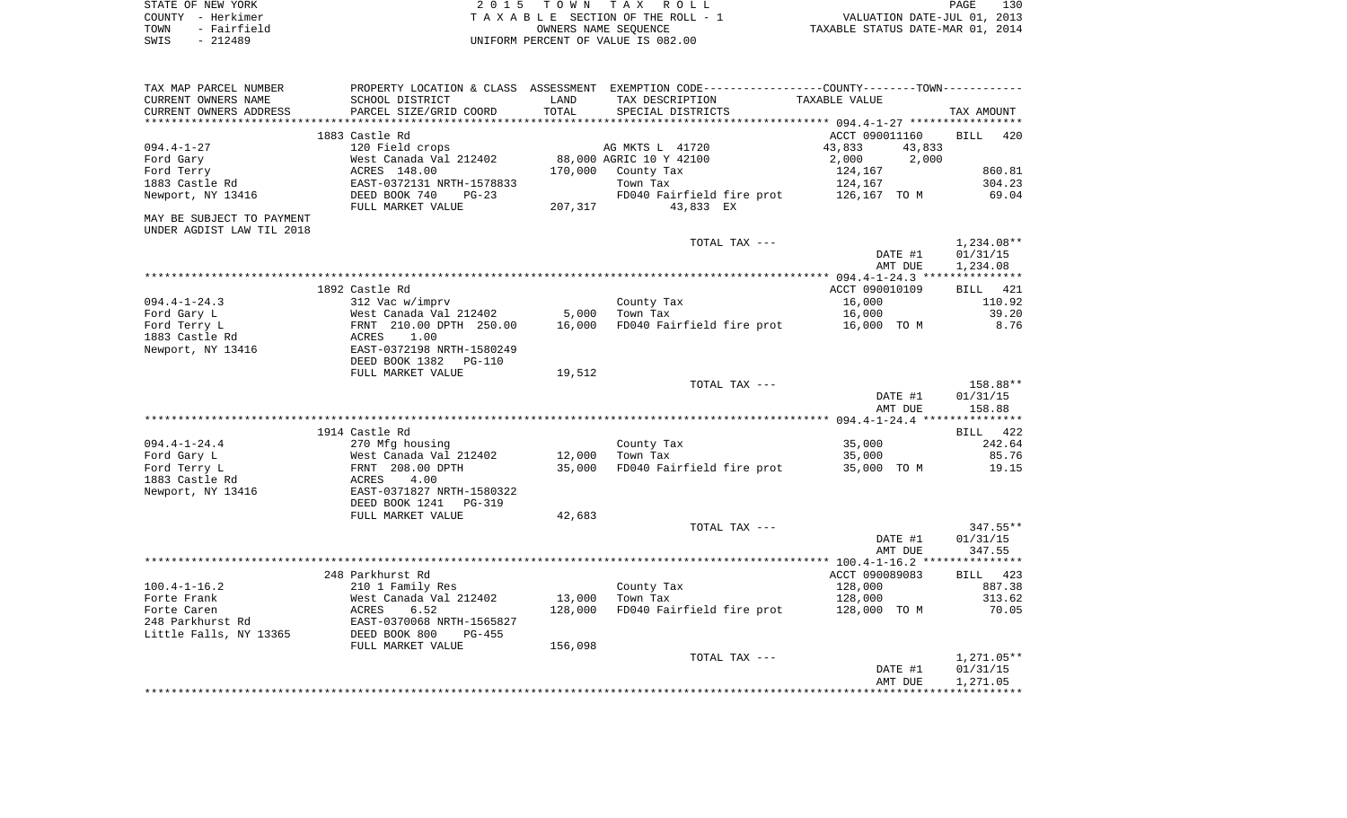| STATE OF NEW YORK   | 2015 TOWN TAX ROLL                 | 130<br>PAGE                      |
|---------------------|------------------------------------|----------------------------------|
| COUNTY - Herkimer   | TAXABLE SECTION OF THE ROLL - 1    | VALUATION DATE-JUL 01, 2013      |
| - Fairfield<br>TOWN | OWNERS NAME SEOUENCE               | TAXABLE STATUS DATE-MAR 01, 2014 |
| - 212489<br>SWIS    | UNIFORM PERCENT OF VALUE IS 082.00 |                                  |

| TAX MAP PARCEL NUMBER     |                                 |               | PROPERTY LOCATION & CLASS ASSESSMENT EXEMPTION CODE----------------COUNTY-------TOWN---------- |                  |                    |
|---------------------------|---------------------------------|---------------|------------------------------------------------------------------------------------------------|------------------|--------------------|
| CURRENT OWNERS NAME       | SCHOOL DISTRICT                 | LAND<br>TOTAL | TAX DESCRIPTION                                                                                | TAXABLE VALUE    |                    |
| CURRENT OWNERS ADDRESS    | PARCEL SIZE/GRID COORD          |               | SPECIAL DISTRICTS                                                                              |                  | TAX AMOUNT         |
|                           | 1883 Castle Rd                  |               |                                                                                                | ACCT 090011160   | 420<br><b>BILL</b> |
|                           |                                 |               |                                                                                                |                  |                    |
| $094.4 - 1 - 27$          | 120 Field crops                 |               | AG MKTS L 41720                                                                                | 43,833<br>43,833 |                    |
| Ford Gary                 | West Canada Val 212402          |               | 88,000 AGRIC 10 Y 42100                                                                        | 2,000<br>2,000   |                    |
| Ford Terry                | ACRES 148.00                    | 170,000       | County Tax                                                                                     | 124,167          | 860.81             |
| 1883 Castle Rd            | EAST-0372131 NRTH-1578833       |               | Town Tax                                                                                       | 124,167          | 304.23             |
| Newport, NY 13416         | DEED BOOK 740<br>$PG-23$        |               | FD040 Fairfield fire prot                                                                      | 126,167 TO M     | 69.04              |
|                           | FULL MARKET VALUE               | 207,317       | 43,833 EX                                                                                      |                  |                    |
| MAY BE SUBJECT TO PAYMENT |                                 |               |                                                                                                |                  |                    |
| UNDER AGDIST LAW TIL 2018 |                                 |               |                                                                                                |                  |                    |
|                           |                                 |               | TOTAL TAX ---                                                                                  |                  | $1,234.08**$       |
|                           |                                 |               |                                                                                                | DATE #1          | 01/31/15           |
|                           |                                 |               |                                                                                                | AMT DUE          | 1,234.08           |
|                           |                                 |               |                                                                                                |                  |                    |
|                           | 1892 Castle Rd                  |               |                                                                                                | ACCT 090010109   | 421<br>BILL        |
| $094.4 - 1 - 24.3$        | 312 Vac w/imprv                 |               | County Tax                                                                                     | 16,000           | 110.92             |
| Ford Gary L               | West Canada Val 212402          | 5,000         | Town Tax                                                                                       | 16,000           | 39.20              |
| Ford Terry L              | FRNT 210.00 DPTH 250.00         | 16,000        | FD040 Fairfield fire prot                                                                      | 16,000 TO M      | 8.76               |
| 1883 Castle Rd            | 1.00<br>ACRES                   |               |                                                                                                |                  |                    |
| Newport, NY 13416         | EAST-0372198 NRTH-1580249       |               |                                                                                                |                  |                    |
|                           | DEED BOOK 1382<br><b>PG-110</b> |               |                                                                                                |                  |                    |
|                           | FULL MARKET VALUE               | 19,512        |                                                                                                |                  |                    |
|                           |                                 |               | TOTAL TAX ---                                                                                  |                  | 158.88**           |
|                           |                                 |               |                                                                                                | DATE #1          | 01/31/15           |
|                           |                                 |               |                                                                                                |                  |                    |
|                           |                                 |               |                                                                                                | AMT DUE          | 158.88             |
|                           |                                 |               |                                                                                                |                  |                    |
|                           | 1914 Castle Rd                  |               |                                                                                                |                  | BILL 422           |
| $094.4 - 1 - 24.4$        | 270 Mfg housing                 |               | County Tax                                                                                     | 35,000           | 242.64             |
| Ford Gary L               | West Canada Val 212402          | 12,000        | Town Tax                                                                                       | 35,000           | 85.76              |
| Ford Terry L              | FRNT 208.00 DPTH                | 35,000        | FD040 Fairfield fire prot                                                                      | 35,000 TO M      | 19.15              |
| 1883 Castle Rd            | ACRES<br>4.00                   |               |                                                                                                |                  |                    |
| Newport, NY 13416         | EAST-0371827 NRTH-1580322       |               |                                                                                                |                  |                    |
|                           | DEED BOOK 1241<br>PG-319        |               |                                                                                                |                  |                    |
|                           | FULL MARKET VALUE               | 42,683        |                                                                                                |                  |                    |
|                           |                                 |               | TOTAL TAX ---                                                                                  |                  | $347.55**$         |
|                           |                                 |               |                                                                                                | DATE #1          | 01/31/15           |
|                           |                                 |               |                                                                                                | AMT DUE          | 347.55             |
|                           |                                 |               |                                                                                                |                  |                    |
|                           | 248 Parkhurst Rd                |               |                                                                                                | ACCT 090089083   | BILL<br>423        |
| $100.4 - 1 - 16.2$        | 210 1 Family Res                |               | County Tax                                                                                     | 128,000          | 887.38             |
| Forte Frank               | West Canada Val 212402          | 13,000        | Town Tax                                                                                       | 128,000          | 313.62             |
| Forte Caren               | ACRES<br>6.52                   | 128,000       | FD040 Fairfield fire prot                                                                      | 128,000 TO M     | 70.05              |
| 248 Parkhurst Rd          | EAST-0370068 NRTH-1565827       |               |                                                                                                |                  |                    |
| Little Falls, NY 13365    | DEED BOOK 800<br>$PG-455$       |               |                                                                                                |                  |                    |
|                           | FULL MARKET VALUE               | 156,098       |                                                                                                |                  |                    |
|                           |                                 |               | TOTAL TAX ---                                                                                  |                  | $1,271.05**$       |
|                           |                                 |               |                                                                                                | DATE #1          | 01/31/15           |
|                           |                                 |               |                                                                                                | AMT DUE          | 1,271.05           |
|                           |                                 |               |                                                                                                |                  |                    |
|                           |                                 |               |                                                                                                |                  |                    |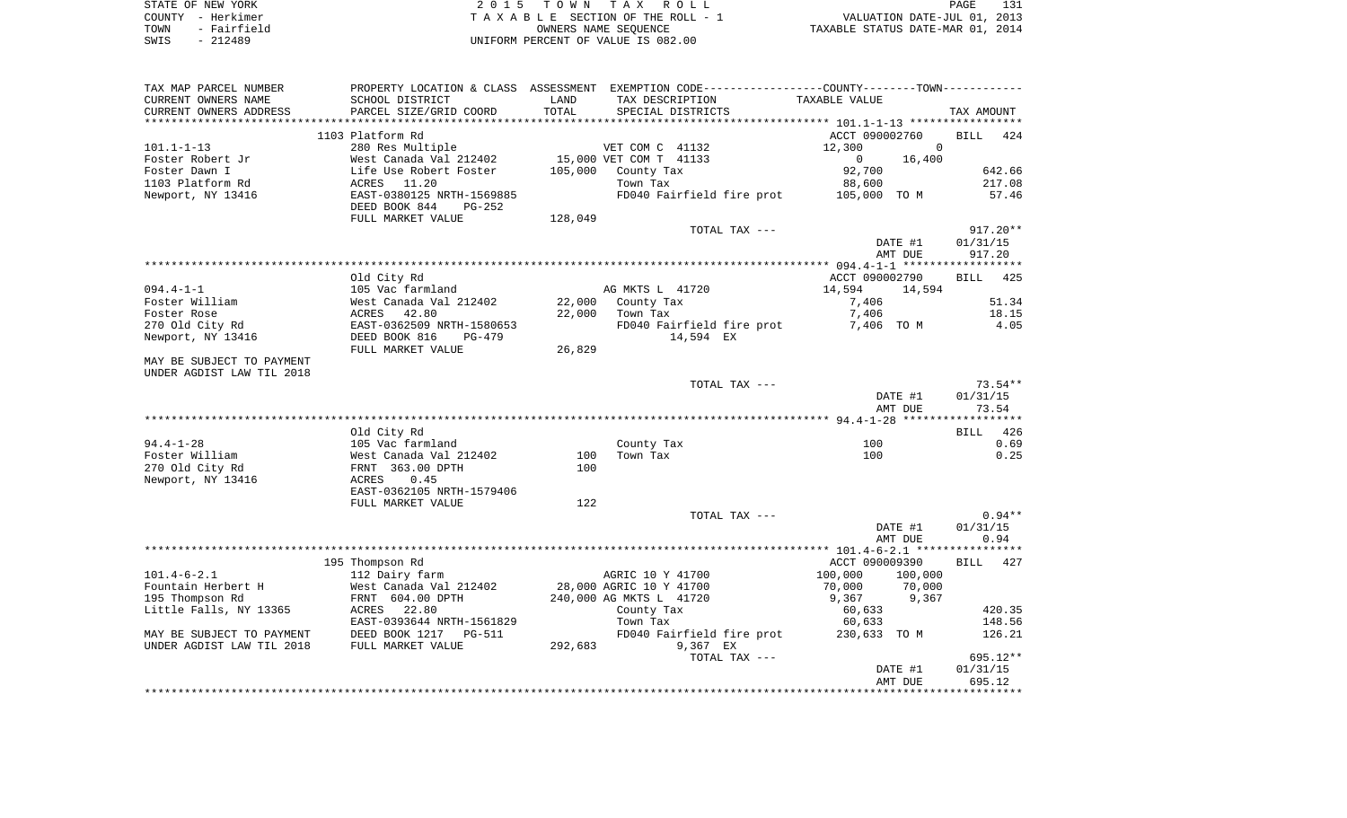| STATE OF NEW YORK   | 2015 TOWN TAX ROLL                 | 131<br>PAGE                      |
|---------------------|------------------------------------|----------------------------------|
| COUNTY - Herkimer   | TAXABLE SECTION OF THE ROLL - 1    | VALUATION DATE-JUL 01, 2013      |
| - Fairfield<br>TOWN | OWNERS NAME SEOUENCE               | TAXABLE STATUS DATE-MAR 01, 2014 |
| SWIS<br>- 212489    | UNIFORM PERCENT OF VALUE IS 082.00 |                                  |

| TAX MAP PARCEL NUMBER     |                                                             |         | PROPERTY LOCATION & CLASS ASSESSMENT EXEMPTION CODE---------------COUNTY-------TOWN---------- |                        |                    |
|---------------------------|-------------------------------------------------------------|---------|-----------------------------------------------------------------------------------------------|------------------------|--------------------|
| CURRENT OWNERS NAME       | SCHOOL DISTRICT                                             | LAND    | TAX DESCRIPTION                                                                               | TAXABLE VALUE          |                    |
| CURRENT OWNERS ADDRESS    | PARCEL SIZE/GRID COORD                                      | TOTAL   | SPECIAL DISTRICTS                                                                             |                        | TAX AMOUNT         |
|                           |                                                             |         |                                                                                               |                        |                    |
|                           | 1103 Platform Rd                                            |         |                                                                                               | ACCT 090002760         | 424<br><b>BILL</b> |
| $101.1 - 1 - 13$          | 280 Res Multiple                                            |         | VET COM C 41132                                                                               | 12,300<br>$\Omega$     |                    |
| Foster Robert Jr          | West Canada Val 212402                                      |         | 15,000 VET COM T 41133                                                                        | $\mathbf{0}$<br>16,400 |                    |
| Foster Dawn I             | Life Use Robert Foster                                      | 105,000 | County Tax                                                                                    | 92,700                 | 642.66             |
| 1103 Platform Rd          | ACRES<br>11.20                                              |         | Town Tax                                                                                      | 88,600                 | 217.08             |
| Newport, NY 13416         | EAST-0380125 NRTH-1569885<br>DEED BOOK 844<br><b>PG-252</b> |         | FD040 Fairfield fire prot                                                                     | 105,000 TO M           | 57.46              |
|                           | FULL MARKET VALUE                                           | 128,049 |                                                                                               |                        |                    |
|                           |                                                             |         | TOTAL TAX ---                                                                                 |                        | $917.20**$         |
|                           |                                                             |         |                                                                                               | DATE #1                | 01/31/15           |
|                           |                                                             |         |                                                                                               | AMT DUE                | 917.20             |
|                           |                                                             |         |                                                                                               |                        | ****************** |
|                           | Old City Rd                                                 |         |                                                                                               | ACCT 090002790         | BILL 425           |
| $094.4 - 1 - 1$           | 105 Vac farmland                                            |         | AG MKTS L 41720                                                                               | 14,594<br>14,594       |                    |
| Foster William            | West Canada Val 212402                                      | 22,000  | County Tax                                                                                    | 7,406                  | 51.34              |
| Foster Rose               | 42.80<br>ACRES                                              | 22,000  | Town Tax                                                                                      | 7,406                  | 18.15              |
| 270 Old City Rd           | EAST-0362509 NRTH-1580653                                   |         | FD040 Fairfield fire prot                                                                     | 7,406 TO M             | 4.05               |
| Newport, NY 13416         | DEED BOOK 816<br>$PG-479$<br>FULL MARKET VALUE              | 26,829  | 14,594 EX                                                                                     |                        |                    |
| MAY BE SUBJECT TO PAYMENT |                                                             |         |                                                                                               |                        |                    |
| UNDER AGDIST LAW TIL 2018 |                                                             |         |                                                                                               |                        |                    |
|                           |                                                             |         | TOTAL TAX ---                                                                                 |                        | $73.54**$          |
|                           |                                                             |         |                                                                                               | DATE #1                | 01/31/15           |
|                           |                                                             |         |                                                                                               | AMT DUE                | 73.54              |
|                           |                                                             |         |                                                                                               |                        |                    |
|                           | Old City Rd                                                 |         |                                                                                               |                        | <b>BILL</b><br>426 |
| $94.4 - 1 - 28$           | 105 Vac farmland                                            |         | County Tax                                                                                    | 100                    | 0.69               |
| Foster William            | West Canada Val 212402                                      | 100     | Town Tax                                                                                      | 100                    | 0.25               |
| 270 Old City Rd           | FRNT 363.00 DPTH                                            | 100     |                                                                                               |                        |                    |
| Newport, NY 13416         | 0.45<br>ACRES                                               |         |                                                                                               |                        |                    |
|                           | EAST-0362105 NRTH-1579406                                   |         |                                                                                               |                        |                    |
|                           | FULL MARKET VALUE                                           | 122     |                                                                                               |                        |                    |
|                           |                                                             |         | TOTAL TAX ---                                                                                 |                        | $0.94**$           |
|                           |                                                             |         |                                                                                               | DATE #1                | 01/31/15<br>0.94   |
|                           |                                                             |         |                                                                                               | AMT DUE                |                    |
|                           |                                                             |         |                                                                                               | ACCT 090009390         | <b>BILL</b><br>427 |
| $101.4 - 6 - 2.1$         | 195 Thompson Rd<br>112 Dairy farm                           |         | AGRIC 10 Y 41700                                                                              | 100,000<br>100,000     |                    |
| Fountain Herbert H        | West Canada Val 212402                                      |         | 28,000 AGRIC 10 Y 41700                                                                       | 70,000<br>70,000       |                    |
| 195 Thompson Rd           | FRNT 604.00 DPTH                                            |         | 240,000 AG MKTS L 41720                                                                       | 9,367<br>9,367         |                    |
| Little Falls, NY 13365    | ACRES 22.80                                                 |         | County Tax                                                                                    | 60,633                 | 420.35             |
|                           | EAST-0393644 NRTH-1561829                                   |         | Town Tax                                                                                      | 60,633                 | 148.56             |
| MAY BE SUBJECT TO PAYMENT | DEED BOOK 1217<br>PG-511                                    |         | FD040 Fairfield fire prot                                                                     | 230,633 TO M           | 126.21             |
| UNDER AGDIST LAW TIL 2018 | FULL MARKET VALUE                                           | 292,683 | 9,367 EX                                                                                      |                        |                    |
|                           |                                                             |         | TOTAL TAX ---                                                                                 |                        | 695.12**           |
|                           |                                                             |         |                                                                                               | DATE #1                | 01/31/15           |
|                           |                                                             |         |                                                                                               | AMT DUE                | 695.12             |
|                           |                                                             |         |                                                                                               |                        |                    |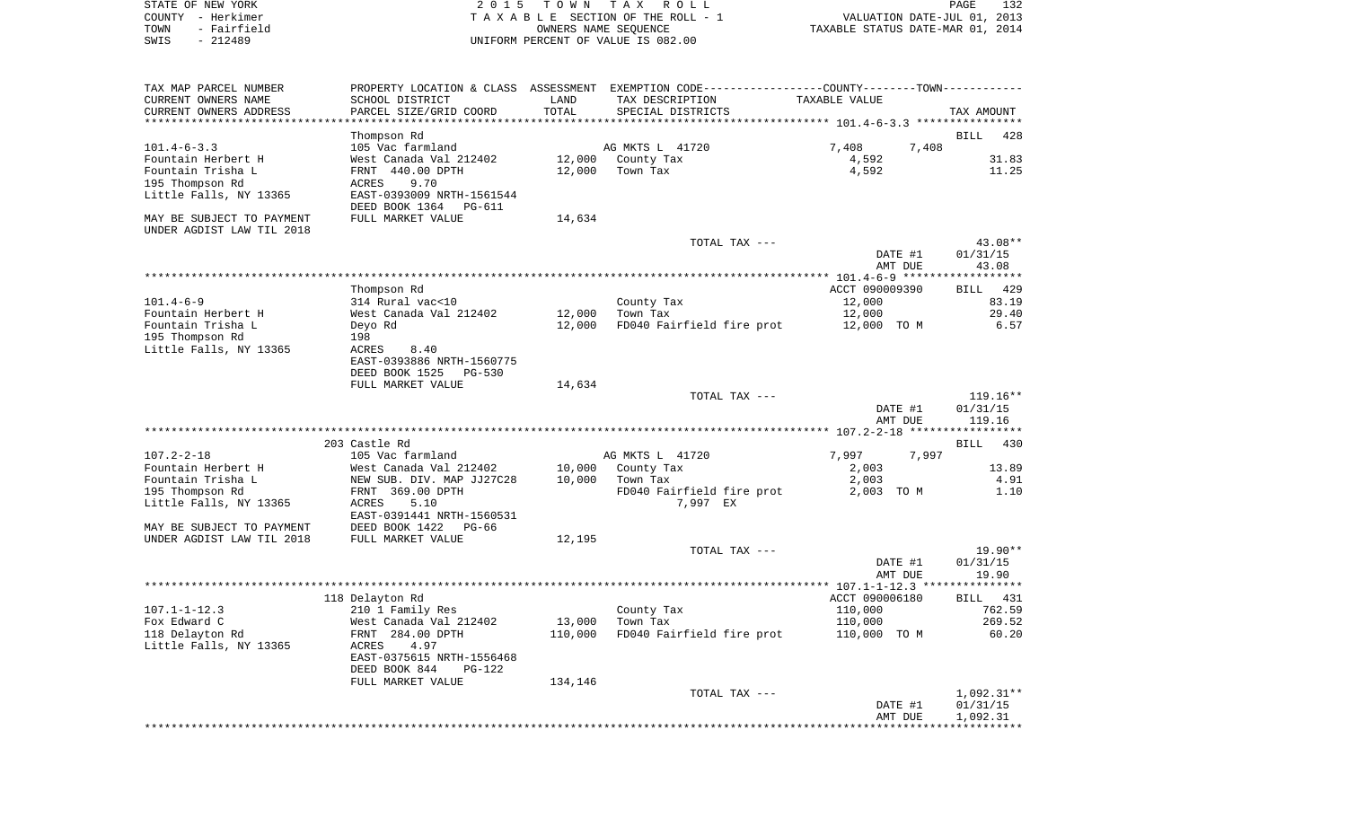| COUNTY - Herkimer<br>- Fairfield        |                                            |                  | TAXABLE SECTION OF THE ROLL - 1                                                                | VALUATION DATE-JUL 01, 2013      |                    |
|-----------------------------------------|--------------------------------------------|------------------|------------------------------------------------------------------------------------------------|----------------------------------|--------------------|
| TOWN<br>SWIS<br>$-212489$               |                                            |                  | OWNERS NAME SEQUENCE<br>UNIFORM PERCENT OF VALUE IS 082.00                                     | TAXABLE STATUS DATE-MAR 01, 2014 |                    |
|                                         |                                            |                  |                                                                                                |                                  |                    |
| TAX MAP PARCEL NUMBER                   |                                            |                  | PROPERTY LOCATION & CLASS ASSESSMENT EXEMPTION CODE----------------COUNTY-------TOWN---------- |                                  |                    |
| CURRENT OWNERS NAME                     | SCHOOL DISTRICT                            | LAND             | TAX DESCRIPTION                                                                                | TAXABLE VALUE                    |                    |
| CURRENT OWNERS ADDRESS                  | PARCEL SIZE/GRID COORD                     | TOTAL            | SPECIAL DISTRICTS                                                                              |                                  | TAX AMOUNT         |
| ***********************                 |                                            |                  |                                                                                                |                                  |                    |
|                                         | Thompson Rd                                |                  |                                                                                                |                                  | <b>BILL</b><br>428 |
| $101.4 - 6 - 3.3$                       | 105 Vac farmland                           |                  | AG MKTS L 41720                                                                                | 7,408<br>7,408                   |                    |
| Fountain Herbert H<br>Fountain Trisha L | West Canada Val 212402<br>FRNT 440.00 DPTH | 12,000           | 12,000 County Tax<br>Town Tax                                                                  | 4,592<br>4,592                   | 31.83<br>11.25     |
| 195 Thompson Rd                         | 9.70<br>ACRES                              |                  |                                                                                                |                                  |                    |
| Little Falls, NY 13365                  | EAST-0393009 NRTH-1561544                  |                  |                                                                                                |                                  |                    |
|                                         | DEED BOOK 1364 PG-611                      |                  |                                                                                                |                                  |                    |
| MAY BE SUBJECT TO PAYMENT               | FULL MARKET VALUE                          | 14,634           |                                                                                                |                                  |                    |
| UNDER AGDIST LAW TIL 2018               |                                            |                  |                                                                                                |                                  |                    |
|                                         |                                            |                  | TOTAL TAX ---                                                                                  |                                  | 43.08**            |
|                                         |                                            |                  |                                                                                                | DATE #1                          | 01/31/15           |
|                                         |                                            |                  |                                                                                                | AMT DUE                          | 43.08              |
|                                         |                                            |                  |                                                                                                |                                  |                    |
|                                         | Thompson Rd                                |                  |                                                                                                | ACCT 090009390                   | BILL<br>429        |
| $101.4 - 6 - 9$<br>Fountain Herbert H   | 314 Rural vac<10<br>West Canada Val 212402 |                  | County Tax<br>Town Tax                                                                         | 12,000<br>12,000                 | 83.19<br>29.40     |
| Fountain Trisha L                       | Deyo Rd                                    | 12,000<br>12,000 | FD040 Fairfield fire prot                                                                      | 12,000 TO M                      | 6.57               |
| 195 Thompson Rd                         | 198                                        |                  |                                                                                                |                                  |                    |
| Little Falls, NY 13365                  | ACRES<br>8.40                              |                  |                                                                                                |                                  |                    |
|                                         | EAST-0393886 NRTH-1560775                  |                  |                                                                                                |                                  |                    |
|                                         | DEED BOOK 1525<br>PG-530                   |                  |                                                                                                |                                  |                    |
|                                         | FULL MARKET VALUE                          | 14,634           |                                                                                                |                                  |                    |
|                                         |                                            |                  | TOTAL TAX ---                                                                                  |                                  | $119.16**$         |
|                                         |                                            |                  |                                                                                                | DATE #1                          | 01/31/15           |
|                                         |                                            |                  |                                                                                                | AMT DUE                          | 119.16             |
|                                         | 203 Castle Rd                              |                  |                                                                                                |                                  | 430<br>BILL        |
| $107.2 - 2 - 18$                        | 105 Vac farmland                           |                  | AG MKTS L 41720                                                                                | 7,997<br>7,997                   |                    |
| Fountain Herbert H                      | West Canada Val 212402                     |                  | 10,000 County Tax                                                                              | 2,003                            | 13.89              |
| Fountain Trisha L                       | NEW SUB. DIV. MAP JJ27C28                  | 10,000           | Town Tax                                                                                       | 2,003                            | 4.91               |
| 195 Thompson Rd                         | FRNT 369.00 DPTH                           |                  | FD040 Fairfield fire prot                                                                      | 2,003 TO M                       | 1.10               |
| Little Falls, NY 13365                  | ACRES<br>5.10                              |                  | 7,997 EX                                                                                       |                                  |                    |
|                                         | EAST-0391441 NRTH-1560531                  |                  |                                                                                                |                                  |                    |
| MAY BE SUBJECT TO PAYMENT               | DEED BOOK 1422 PG-66                       |                  |                                                                                                |                                  |                    |
| UNDER AGDIST LAW TIL 2018               | FULL MARKET VALUE                          | 12,195           |                                                                                                |                                  |                    |
|                                         |                                            |                  | TOTAL TAX ---                                                                                  |                                  | 19.90**            |
|                                         |                                            |                  |                                                                                                | DATE #1                          | 01/31/15           |
|                                         |                                            |                  |                                                                                                | AMT DUE                          | 19.90              |
|                                         | 118 Delayton Rd                            |                  |                                                                                                | ACCT 090006180                   | BILL 431           |
| $107.1 - 1 - 12.3$                      | 210 1 Family Res                           |                  | County Tax                                                                                     | 110,000                          | 762.59             |
| Fox Edward C                            | West Canada Val 212402                     | 13,000           | Town Tax                                                                                       | 110,000                          | 269.52             |
| 118 Delayton Rd                         | FRNT 284.00 DPTH                           | 110,000          | FD040 Fairfield fire prot                                                                      | 110,000 TO M                     | 60.20              |
| Little Falls, NY 13365                  | 4.97<br>ACRES                              |                  |                                                                                                |                                  |                    |
|                                         | EAST-0375615 NRTH-1556468                  |                  |                                                                                                |                                  |                    |
|                                         | DEED BOOK 844<br>PG-122                    |                  |                                                                                                |                                  |                    |
|                                         | FULL MARKET VALUE                          | 134,146          |                                                                                                |                                  |                    |
|                                         |                                            |                  | TOTAL TAX ---                                                                                  |                                  | $1,092.31**$       |
|                                         |                                            |                  |                                                                                                | DATE #1                          | 01/31/15           |
|                                         |                                            |                  |                                                                                                | AMT DUE                          | 1,092.31           |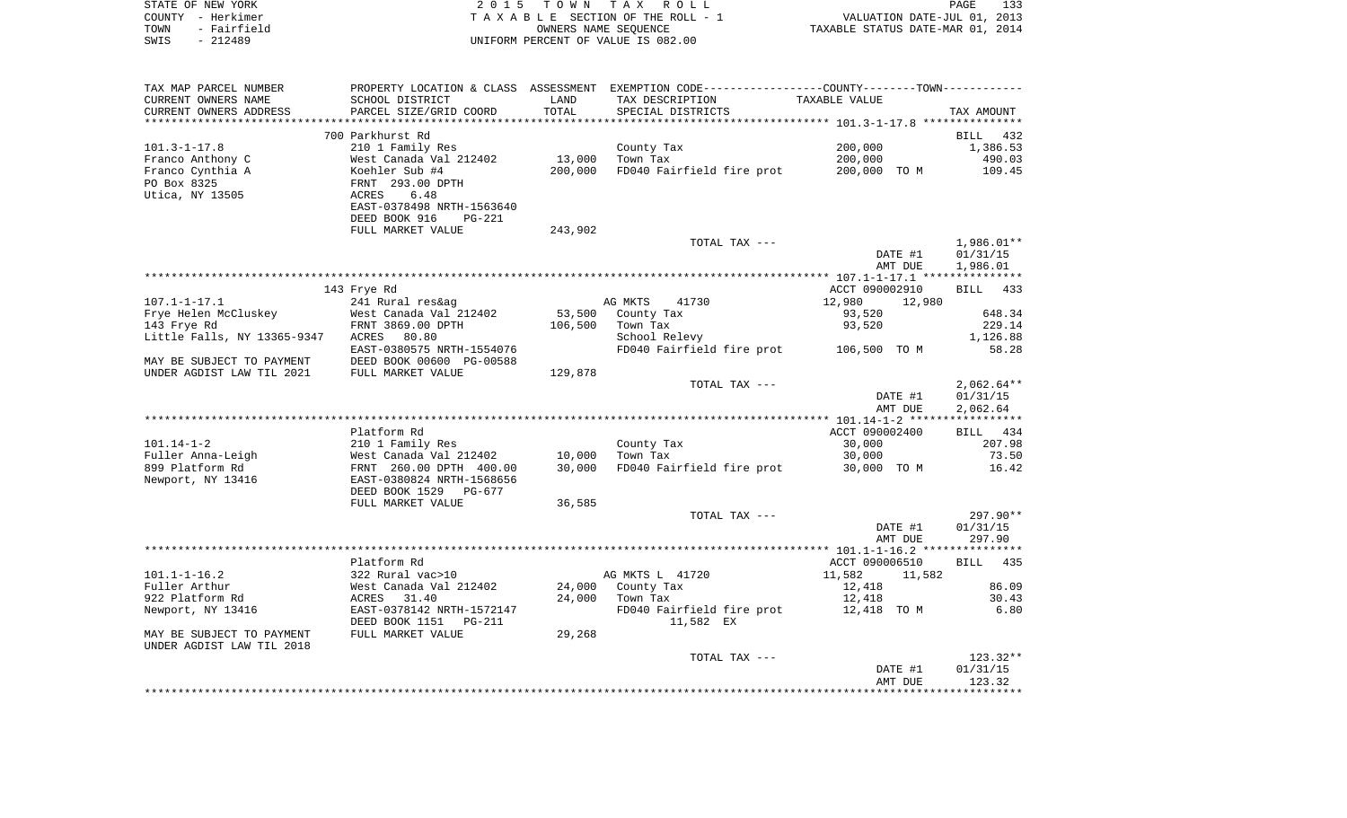| STATE OF NEW YORK   | 2015 TOWN TAX ROLL                 |                                  | PAGE                        | 133 |
|---------------------|------------------------------------|----------------------------------|-----------------------------|-----|
| COUNTY - Herkimer   | TAXABLE SECTION OF THE ROLL - 1    |                                  | VALUATION DATE-JUL 01, 2013 |     |
| TOWN<br>- Fairfield | OWNERS NAME SEOUENCE               | TAXABLE STATUS DATE-MAR 01, 2014 |                             |     |
| SWIS - 212489       | UNIFORM PERCENT OF VALUE IS 082.00 |                                  |                             |     |
|                     |                                    |                                  |                             |     |

| TAX MAP PARCEL NUMBER       |                           |         | PROPERTY LOCATION & CLASS ASSESSMENT EXEMPTION CODE----------------COUNTY-------TOWN--------- |                  |              |
|-----------------------------|---------------------------|---------|-----------------------------------------------------------------------------------------------|------------------|--------------|
| CURRENT OWNERS NAME         | SCHOOL DISTRICT           | LAND    | TAX DESCRIPTION                                                                               | TAXABLE VALUE    |              |
| CURRENT OWNERS ADDRESS      | PARCEL SIZE/GRID COORD    | TOTAL   | SPECIAL DISTRICTS                                                                             |                  | TAX AMOUNT   |
|                             |                           |         |                                                                                               |                  |              |
|                             | 700 Parkhurst Rd          |         |                                                                                               |                  | BILL 432     |
| $101.3 - 1 - 17.8$          | 210 1 Family Res          |         | County Tax                                                                                    | 200,000          | 1,386.53     |
| Franco Anthony C            | West Canada Val 212402    | 13,000  | Town Tax                                                                                      | 200,000          | 490.03       |
| Franco Cynthia A            | Koehler Sub #4            | 200,000 | FD040 Fairfield fire prot                                                                     | 200,000 TO M     | 109.45       |
| PO Box 8325                 | FRNT 293.00 DPTH          |         |                                                                                               |                  |              |
| Utica, NY 13505             | 6.48<br>ACRES             |         |                                                                                               |                  |              |
|                             | EAST-0378498 NRTH-1563640 |         |                                                                                               |                  |              |
|                             | DEED BOOK 916<br>$PG-221$ |         |                                                                                               |                  |              |
|                             | FULL MARKET VALUE         | 243,902 |                                                                                               |                  |              |
|                             |                           |         | TOTAL TAX ---                                                                                 |                  | $1,986.01**$ |
|                             |                           |         |                                                                                               | DATE #1          | 01/31/15     |
|                             |                           |         |                                                                                               | AMT DUE          | 1,986.01     |
|                             |                           |         |                                                                                               |                  |              |
|                             |                           |         |                                                                                               | ACCT 090002910   | BILL 433     |
|                             | 143 Frye Rd               |         |                                                                                               |                  |              |
| $107.1 - 1 - 17.1$          | 241 Rural res&ag          |         | AG MKTS<br>41730                                                                              | 12,980<br>12,980 |              |
| Frye Helen McCluskey        | West Canada Val 212402    | 53,500  | County Tax                                                                                    | 93,520           | 648.34       |
| 143 Frye Rd                 | FRNT 3869.00 DPTH         | 106,500 | Town Tax                                                                                      | 93,520           | 229.14       |
| Little Falls, NY 13365-9347 | 80.80<br>ACRES            |         | School Relevy<br>FD040 Fairfield fire prot 106,500 TO M                                       |                  | 1,126.88     |
|                             | EAST-0380575 NRTH-1554076 |         |                                                                                               |                  | 58.28        |
| MAY BE SUBJECT TO PAYMENT   | DEED BOOK 00600 PG-00588  |         |                                                                                               |                  |              |
| UNDER AGDIST LAW TIL 2021   | FULL MARKET VALUE         | 129,878 |                                                                                               |                  |              |
|                             |                           |         | TOTAL TAX ---                                                                                 |                  | $2,062.64**$ |
|                             |                           |         |                                                                                               | DATE #1          | 01/31/15     |
|                             |                           |         |                                                                                               | AMT DUE          | 2,062.64     |
|                             |                           |         |                                                                                               |                  |              |
|                             | Platform Rd               |         |                                                                                               | ACCT 090002400   | BILL 434     |
| $101.14 - 1 - 2$            | 210 1 Family Res          |         | County Tax                                                                                    | 30,000           | 207.98       |
| Fuller Anna-Leigh           | West Canada Val 212402    | 10,000  | Town Tax                                                                                      | 30,000           | 73.50        |
| 899 Platform Rd             | FRNT 260.00 DPTH 400.00   | 30,000  | FD040 Fairfield fire prot 30,000 TO M                                                         |                  | 16.42        |
| Newport, NY 13416           | EAST-0380824 NRTH-1568656 |         |                                                                                               |                  |              |
|                             | DEED BOOK 1529<br>PG-677  |         |                                                                                               |                  |              |
|                             | FULL MARKET VALUE         | 36,585  |                                                                                               |                  |              |
|                             |                           |         | TOTAL TAX ---                                                                                 |                  | 297.90**     |
|                             |                           |         |                                                                                               | DATE #1          | 01/31/15     |
|                             |                           |         |                                                                                               | AMT DUE          | 297.90       |
|                             |                           |         |                                                                                               |                  |              |
|                             | Platform Rd               |         |                                                                                               | ACCT 090006510   | BILL 435     |
| $101.1 - 1 - 16.2$          | 322 Rural vac>10          |         | AG MKTS L 41720                                                                               | 11,582<br>11,582 |              |
| Fuller Arthur               | West Canada Val 212402    |         | 24,000 County Tax                                                                             | 12,418           | 86.09        |
| 922 Platform Rd             | ACRES 31.40               |         | 24,000 Town Tax                                                                               | 12,418           | 30.43        |
| Newport, NY 13416           | EAST-0378142 NRTH-1572147 |         | FD040 Fairfield fire prot 12,418 TO M                                                         |                  | 6.80         |
|                             | DEED BOOK 1151 PG-211     |         | 11,582 EX                                                                                     |                  |              |
| MAY BE SUBJECT TO PAYMENT   | FULL MARKET VALUE         | 29,268  |                                                                                               |                  |              |
| UNDER AGDIST LAW TIL 2018   |                           |         |                                                                                               |                  |              |
|                             |                           |         | TOTAL TAX ---                                                                                 |                  | $123.32**$   |
|                             |                           |         |                                                                                               | DATE #1          | 01/31/15     |
|                             |                           |         |                                                                                               | AMT DUE          | 123.32       |
|                             |                           |         |                                                                                               |                  |              |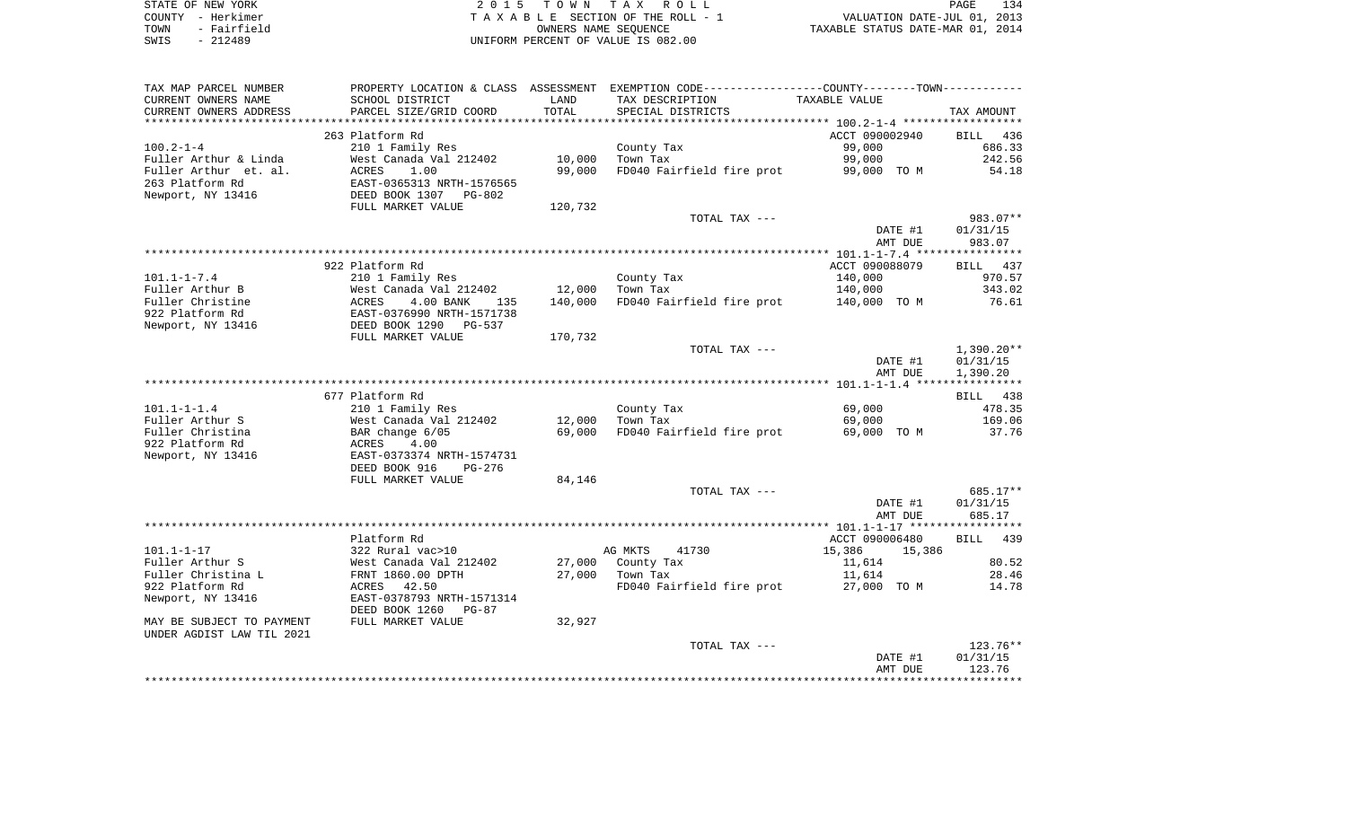| STATE OF NEW YORK |             | 2015 TOWN TAX ROLL                 | PAGE                             | 134 |
|-------------------|-------------|------------------------------------|----------------------------------|-----|
| COUNTY - Herkimer |             | TAXABLE SECTION OF THE ROLL - 1    | VALUATION DATE-JUL 01, 2013      |     |
| TOWN              | - Fairfield | OWNERS NAME SEOUENCE               | TAXABLE STATUS DATE-MAR 01, 2014 |     |
| SWIS              | $-212489$   | UNIFORM PERCENT OF VALUE IS 082.00 |                                  |     |

| TAX MAP PARCEL NUMBER     | PROPERTY LOCATION & CLASS ASSESSMENT                   |                 |                           | EXEMPTION CODE-----------------COUNTY--------TOWN----------- |                    |
|---------------------------|--------------------------------------------------------|-----------------|---------------------------|--------------------------------------------------------------|--------------------|
| CURRENT OWNERS NAME       | SCHOOL DISTRICT                                        | LAND            | TAX DESCRIPTION           | TAXABLE VALUE                                                |                    |
| CURRENT OWNERS ADDRESS    | PARCEL SIZE/GRID COORD                                 | TOTAL           | SPECIAL DISTRICTS         |                                                              | TAX AMOUNT         |
| *******************       | *************************                              | *************** |                           |                                                              |                    |
|                           | 263 Platform Rd                                        |                 |                           | ACCT 090002940                                               | 436<br><b>BILL</b> |
| $100.2 - 1 - 4$           | 210 1 Family Res                                       |                 | County Tax                | 99,000                                                       | 686.33             |
| Fuller Arthur & Linda     | West Canada Val 212402                                 | 10,000          | Town Tax                  | 99,000                                                       | 242.56             |
| Fuller Arthur et. al.     | <b>ACRES</b><br>1.00                                   | 99,000          | FD040 Fairfield fire prot | 99,000 TO M                                                  | 54.18              |
| 263 Platform Rd           | EAST-0365313 NRTH-1576565                              |                 |                           |                                                              |                    |
| Newport, NY 13416         | DEED BOOK 1307 PG-802                                  |                 |                           |                                                              |                    |
|                           | FULL MARKET VALUE                                      | 120,732         |                           |                                                              |                    |
|                           |                                                        |                 | TOTAL TAX ---             |                                                              | 983.07**           |
|                           |                                                        |                 |                           | DATE #1                                                      | 01/31/15           |
|                           |                                                        |                 |                           | AMT DUE                                                      | 983.07             |
|                           |                                                        |                 |                           |                                                              |                    |
|                           | 922 Platform Rd                                        |                 |                           | ACCT 090088079                                               | 437<br>BILL        |
| $101.1 - 1 - 7.4$         | 210 1 Family Res                                       |                 | County Tax                | 140,000                                                      | 970.57             |
| Fuller Arthur B           | West Canada Val 212402                                 | 12,000          | Town Tax                  | 140,000                                                      | 343.02             |
| Fuller Christine          | ACRES<br>4.00 BANK<br>135                              | 140,000         | FD040 Fairfield fire prot | 140,000 TO M                                                 | 76.61              |
| 922 Platform Rd           | EAST-0376990 NRTH-1571738                              |                 |                           |                                                              |                    |
| Newport, NY 13416         | DEED BOOK 1290<br>PG-537                               |                 |                           |                                                              |                    |
|                           | FULL MARKET VALUE                                      | 170,732         |                           |                                                              |                    |
|                           |                                                        |                 | TOTAL TAX ---             |                                                              | $1,390.20**$       |
|                           |                                                        |                 |                           | DATE #1                                                      | 01/31/15           |
|                           |                                                        |                 |                           | AMT DUE                                                      | 1,390.20           |
|                           |                                                        |                 |                           |                                                              |                    |
|                           | 677 Platform Rd                                        |                 |                           |                                                              | 438<br>BILL        |
| $101.1 - 1 - 1.4$         | 210 1 Family Res                                       |                 | County Tax                | 69,000                                                       | 478.35             |
| Fuller Arthur S           | West Canada Val 212402                                 | 12,000          | Town Tax                  | 69,000                                                       | 169.06             |
| Fuller Christina          | BAR change 6/05                                        | 69,000          | FD040 Fairfield fire prot | 69,000 TO M                                                  | 37.76              |
| 922 Platform Rd           | ACRES<br>4.00                                          |                 |                           |                                                              |                    |
| Newport, NY 13416         | EAST-0373374 NRTH-1574731                              |                 |                           |                                                              |                    |
|                           | DEED BOOK 916<br>PG-276                                |                 |                           |                                                              |                    |
|                           | FULL MARKET VALUE                                      | 84,146          |                           |                                                              |                    |
|                           |                                                        |                 | TOTAL TAX ---             |                                                              | 685.17**           |
|                           |                                                        |                 |                           | DATE #1                                                      | 01/31/15           |
|                           |                                                        |                 |                           | AMT DUE                                                      | 685.17             |
|                           |                                                        |                 |                           |                                                              |                    |
|                           | Platform Rd                                            |                 |                           | ACCT 090006480                                               | 439<br>BILL        |
| $101.1 - 1 - 17$          | 322 Rural vac>10                                       |                 | AG MKTS<br>41730          | 15,386<br>15,386                                             |                    |
| Fuller Arthur S           | West Canada Val 212402                                 | 27,000          | County Tax                | 11,614                                                       | 80.52              |
| Fuller Christina L        | FRNT 1860.00 DPTH                                      | 27,000          | Town Tax                  | 11,614                                                       | 28.46              |
| 922 Platform Rd           | 42.50<br>ACRES                                         |                 | FD040 Fairfield fire prot | 27,000 TO M                                                  | 14.78              |
| Newport, NY 13416         | EAST-0378793 NRTH-1571314<br>DEED BOOK 1260<br>$PG-87$ |                 |                           |                                                              |                    |
| MAY BE SUBJECT TO PAYMENT | FULL MARKET VALUE                                      | 32,927          |                           |                                                              |                    |
| UNDER AGDIST LAW TIL 2021 |                                                        |                 |                           |                                                              |                    |
|                           |                                                        |                 | TOTAL TAX ---             |                                                              | 123.76**           |
|                           |                                                        |                 |                           | DATE #1                                                      | 01/31/15           |
|                           |                                                        |                 |                           | AMT DUE                                                      | 123.76             |
|                           |                                                        |                 |                           |                                                              |                    |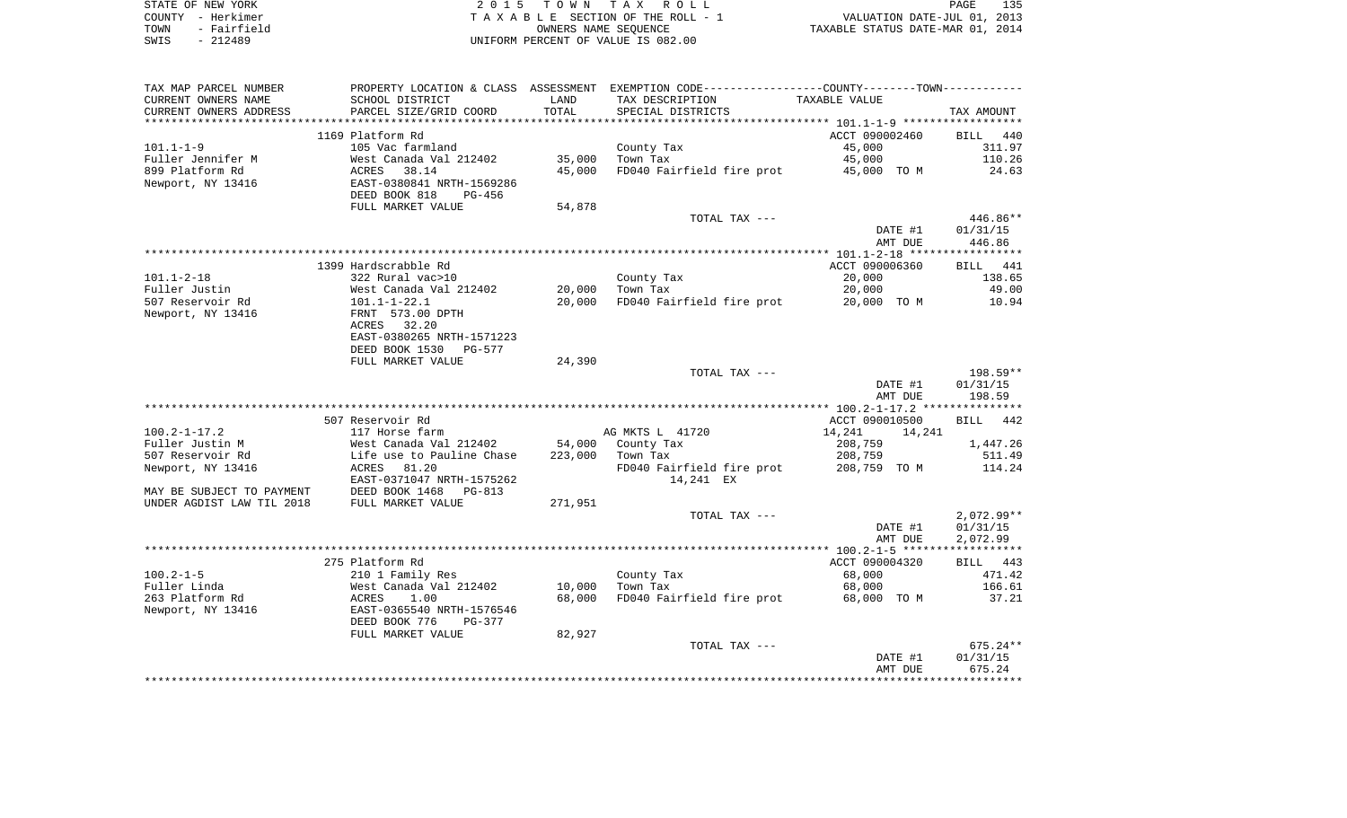|      | STATE OF NEW YORK | 2015 TOWN TAX ROLL                 | 135<br>PAGE                      |  |
|------|-------------------|------------------------------------|----------------------------------|--|
|      | COUNTY - Herkimer | TAXABLE SECTION OF THE ROLL - 1    | VALUATION DATE-JUL 01, 2013      |  |
| TOWN | - Fairfield       | OWNERS NAME SEOUENCE               | TAXABLE STATUS DATE-MAR 01, 2014 |  |
| SWIS | - 212489          | UNIFORM PERCENT OF VALUE IS 082.00 |                                  |  |

| TAX MAP PARCEL NUMBER     |                                                                       |         | PROPERTY LOCATION & CLASS ASSESSMENT EXEMPTION CODE---------------COUNTY-------TOWN---------- |                  |              |
|---------------------------|-----------------------------------------------------------------------|---------|-----------------------------------------------------------------------------------------------|------------------|--------------|
| CURRENT OWNERS NAME       | SCHOOL DISTRICT                                                       | LAND    | TAX DESCRIPTION                                                                               | TAXABLE VALUE    |              |
| CURRENT OWNERS ADDRESS    | PARCEL SIZE/GRID COORD                                                | TOTAL   | SPECIAL DISTRICTS                                                                             |                  | TAX AMOUNT   |
| **********************    | ***************************                                           |         |                                                                                               |                  |              |
|                           | 1169 Platform Rd                                                      |         |                                                                                               | ACCT 090002460   | BILL 440     |
| $101.1 - 1 - 9$           | 105 Vac farmland                                                      |         | County Tax                                                                                    | 45,000           | 311.97       |
| Fuller Jennifer M         |                                                                       | 35,000  | Town Tax                                                                                      | 45,000           | 110.26       |
| 899 Platform Rd           | Nest Canada Val 212402<br>ACRES 38.14<br>EAST-0380841 NRTH-1569286    | 45,000  | FD040 Fairfield fire prot 45,000 TO M                                                         |                  | 24.63        |
| Newport, NY 13416         |                                                                       |         |                                                                                               |                  |              |
|                           | DEED BOOK 818<br>PG-456                                               |         |                                                                                               |                  |              |
|                           | FULL MARKET VALUE                                                     | 54,878  |                                                                                               |                  |              |
|                           |                                                                       |         | TOTAL TAX ---                                                                                 |                  | 446.86**     |
|                           |                                                                       |         |                                                                                               | DATE #1          | 01/31/15     |
|                           |                                                                       |         |                                                                                               | AMT DUE          | 446.86       |
|                           | 1399 Hardscrabble Rd                                                  |         |                                                                                               | ACCT 090006360   | BILL 441     |
| $101.1 - 2 - 18$          | 322 Rural vac>10                                                      |         | County Tax                                                                                    | 20,000           | 138.65       |
| Fuller Justin             |                                                                       | 20,000  | Town Tax                                                                                      | 20,000           | 49.00        |
| 507 Reservoir Rd          | West Canada Val 212402<br>101.1-1-22.1<br>FRNT 573.00 DPTH            | 20,000  | FD040 Fairfield fire prot 20,000 TO M                                                         |                  | 10.94        |
| Newport, NY 13416         |                                                                       |         |                                                                                               |                  |              |
|                           | ACRES 32.20                                                           |         |                                                                                               |                  |              |
|                           | EAST-0380265 NRTH-1571223                                             |         |                                                                                               |                  |              |
|                           | DEED BOOK 1530 PG-577                                                 |         |                                                                                               |                  |              |
|                           | FULL MARKET VALUE                                                     | 24,390  |                                                                                               |                  |              |
|                           |                                                                       |         | TOTAL TAX ---                                                                                 |                  | 198.59**     |
|                           |                                                                       |         |                                                                                               | DATE #1          | 01/31/15     |
|                           |                                                                       |         |                                                                                               | AMT DUE          | 198.59       |
|                           |                                                                       |         |                                                                                               |                  |              |
|                           | 507 Reservoir Rd                                                      |         |                                                                                               | ACCT 090010500   | BILL 442     |
| 100.2-1-17.2              | 117 Horse farm                                                        |         | AG MKTS L 41720                                                                               | 14,241<br>14,241 |              |
| Fuller Justin M           | West Canada Val 212402<br>Life use to Pauline Chase                   | 54,000  | County Tax                                                                                    | 208,759          | 1,447.26     |
| 507 Reservoir Rd          |                                                                       | 223,000 | Town Tax                                                                                      | 208,759          | 511.49       |
| Newport, NY 13416         | ACRES 81.20                                                           |         | FD040 Fairfield fire prot                                                                     | 208,759 TO M     | 114.24       |
|                           | EAST-0371047 NRTH-1575262                                             |         | 14,241 EX                                                                                     |                  |              |
| MAY BE SUBJECT TO PAYMENT | DEED BOOK 1468 F<br>FULL MARKET VALUE<br>PG-813                       |         |                                                                                               |                  |              |
| UNDER AGDIST LAW TIL 2018 |                                                                       | 271,951 | TOTAL TAX ---                                                                                 |                  | $2,072.99**$ |
|                           |                                                                       |         |                                                                                               | DATE #1          | 01/31/15     |
|                           |                                                                       |         |                                                                                               | AMT DUE          | 2,072.99     |
|                           |                                                                       |         |                                                                                               |                  |              |
|                           | 275 Platform Rd                                                       |         |                                                                                               | ACCT 090004320   | BILL 443     |
| $100.2 - 1 - 5$           | 210 1 Family Res                                                      |         | County Tax                                                                                    | 68,000           | 471.42       |
| Fuller Linda              |                                                                       | 10,000  | Town Tax                                                                                      | 68,000           | 166.61       |
| 263 Platform Rd           |                                                                       | 68,000  | FD040 Fairfield fire prot                                                                     | 68,000 TO M      | 37.21        |
| Newport, NY 13416         | West Canada Val 212402<br>ACRES     1.00<br>EAST-0365540 NRTH-1576546 |         |                                                                                               |                  |              |
|                           | DEED BOOK 776<br>PG-377                                               |         |                                                                                               |                  |              |
|                           | FULL MARKET VALUE                                                     | 82,927  |                                                                                               |                  |              |
|                           |                                                                       |         | TOTAL TAX ---                                                                                 |                  | $675.24**$   |
|                           |                                                                       |         |                                                                                               | DATE #1          | 01/31/15     |
|                           |                                                                       |         |                                                                                               | AMT DUE          | 675.24       |
|                           |                                                                       |         |                                                                                               |                  |              |
|                           |                                                                       |         |                                                                                               |                  |              |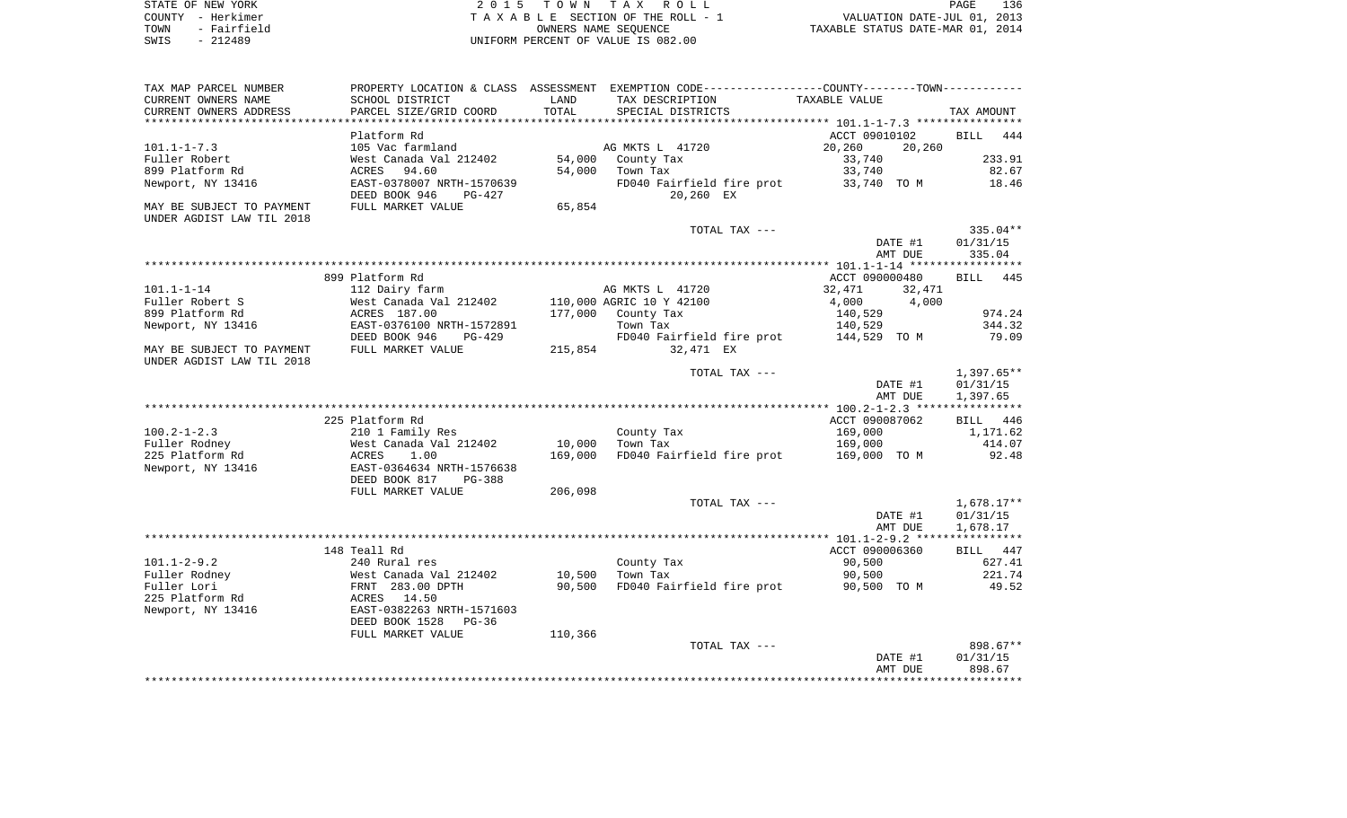| STATE OF NEW YORK   | 2015 TOWN TAX ROLL                 | 136<br>PAGE                      |
|---------------------|------------------------------------|----------------------------------|
| COUNTY - Herkimer   | TAXABLE SECTION OF THE ROLL - 1    | VALUATION DATE-JUL 01, 2013      |
| - Fairfield<br>TOWN | OWNERS NAME SEOUENCE               | TAXABLE STATUS DATE-MAR 01, 2014 |
| SWIS<br>$-212489$   | UNIFORM PERCENT OF VALUE IS 082.00 |                                  |

| PROPERTY LOCATION & CLASS ASSESSMENT EXEMPTION CODE----------------COUNTY--------TOWN-----------<br>TAX AMOUNT<br>444<br>233.91<br>82.67<br>18.46<br>335.04**<br>01/31/15<br>335.04<br>BILL 445<br>974.24<br>344.32 |
|---------------------------------------------------------------------------------------------------------------------------------------------------------------------------------------------------------------------|
|                                                                                                                                                                                                                     |
|                                                                                                                                                                                                                     |
|                                                                                                                                                                                                                     |
|                                                                                                                                                                                                                     |
|                                                                                                                                                                                                                     |
|                                                                                                                                                                                                                     |
|                                                                                                                                                                                                                     |
|                                                                                                                                                                                                                     |
|                                                                                                                                                                                                                     |
|                                                                                                                                                                                                                     |
|                                                                                                                                                                                                                     |
|                                                                                                                                                                                                                     |
|                                                                                                                                                                                                                     |
|                                                                                                                                                                                                                     |
|                                                                                                                                                                                                                     |
|                                                                                                                                                                                                                     |
|                                                                                                                                                                                                                     |
|                                                                                                                                                                                                                     |
| 79.09                                                                                                                                                                                                               |
|                                                                                                                                                                                                                     |
| $1,397.65**$                                                                                                                                                                                                        |
| 01/31/15                                                                                                                                                                                                            |
| 1,397.65                                                                                                                                                                                                            |
|                                                                                                                                                                                                                     |
| 446                                                                                                                                                                                                                 |
| 1,171.62                                                                                                                                                                                                            |
| 414.07                                                                                                                                                                                                              |
| 92.48                                                                                                                                                                                                               |
|                                                                                                                                                                                                                     |
|                                                                                                                                                                                                                     |
|                                                                                                                                                                                                                     |
| $1,678.17**$                                                                                                                                                                                                        |
| 01/31/15                                                                                                                                                                                                            |
| 1,678.17                                                                                                                                                                                                            |
|                                                                                                                                                                                                                     |
| BILL 447                                                                                                                                                                                                            |
| 627.41                                                                                                                                                                                                              |
| 221.74                                                                                                                                                                                                              |
| 49.52                                                                                                                                                                                                               |
|                                                                                                                                                                                                                     |
|                                                                                                                                                                                                                     |
|                                                                                                                                                                                                                     |
|                                                                                                                                                                                                                     |
|                                                                                                                                                                                                                     |
| 898.67**                                                                                                                                                                                                            |
| 01/31/15<br>898.67                                                                                                                                                                                                  |
|                                                                                                                                                                                                                     |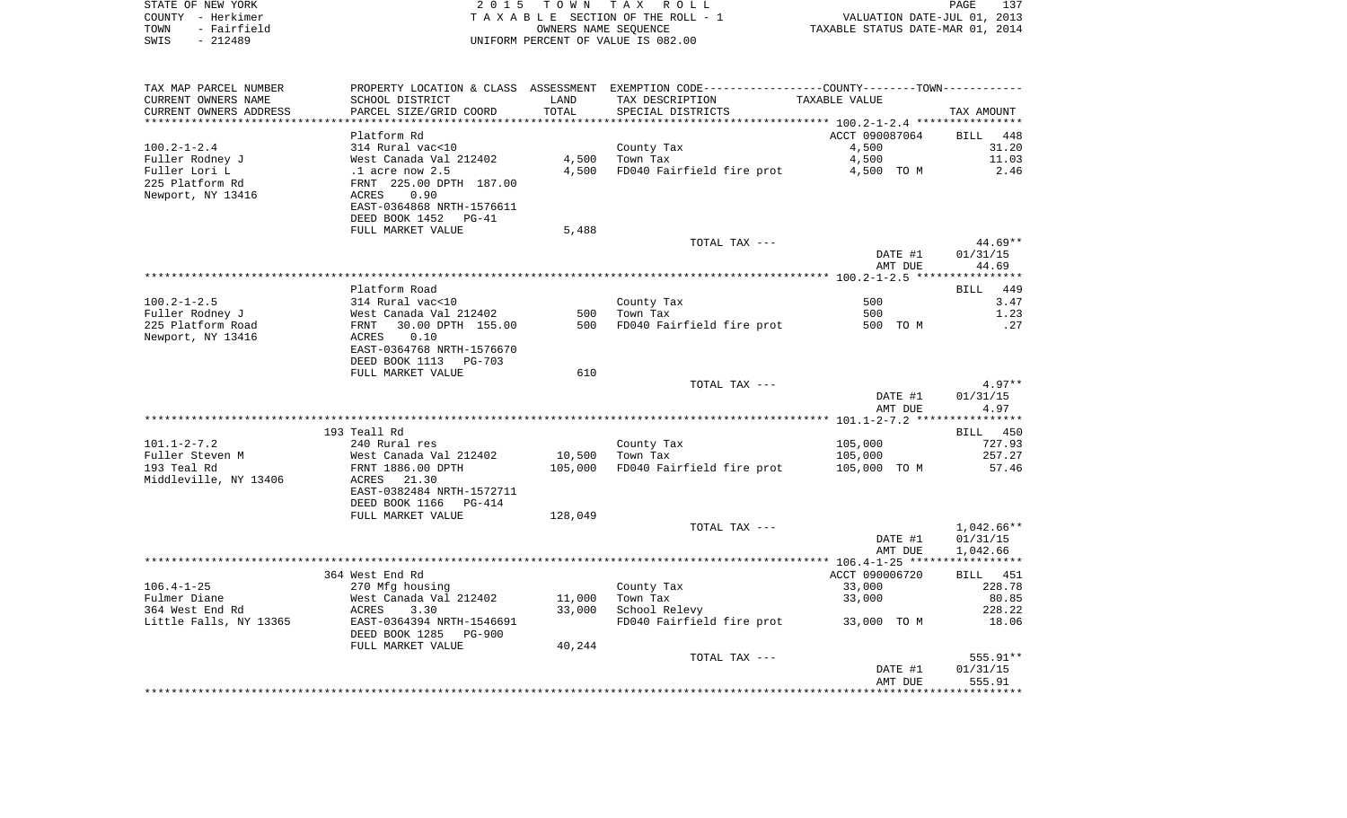| STATE OF NEW YORK   | 2015 TOWN TAX ROLL                 | 137<br>PAGE                      |
|---------------------|------------------------------------|----------------------------------|
| COUNTY - Herkimer   | TAXABLE SECTION OF THE ROLL - 1    | VALUATION DATE-JUL 01, 2013      |
| - Fairfield<br>TOWN | OWNERS NAME SEOUENCE               | TAXABLE STATUS DATE-MAR 01, 2014 |
| - 212489<br>SWIS    | UNIFORM PERCENT OF VALUE IS 082.00 |                                  |

| TAX MAP PARCEL NUMBER  |                                 |         | PROPERTY LOCATION & CLASS ASSESSMENT EXEMPTION CODE----------------COUNTY--------TOWN----------- |                |              |
|------------------------|---------------------------------|---------|--------------------------------------------------------------------------------------------------|----------------|--------------|
| CURRENT OWNERS NAME    | SCHOOL DISTRICT                 | LAND    | TAX DESCRIPTION                                                                                  | TAXABLE VALUE  |              |
| CURRENT OWNERS ADDRESS | PARCEL SIZE/GRID COORD          | TOTAL   | SPECIAL DISTRICTS                                                                                |                | TAX AMOUNT   |
| ********************** | ******************************  |         |                                                                                                  |                |              |
|                        | Platform Rd                     |         |                                                                                                  | ACCT 090087064 | BILL<br>448  |
| $100.2 - 1 - 2.4$      | 314 Rural vac<10                |         | County Tax                                                                                       | 4,500          | 31.20        |
| Fuller Rodney J        | West Canada Val 212402          | 4,500   | Town Tax                                                                                         | 4,500          | 11.03        |
| Fuller Lori L          | $.1$ acre now $2.5$             | 4,500   | FD040 Fairfield fire prot                                                                        | 4,500 TO M     | 2.46         |
| 225 Platform Rd        | FRNT 225.00 DPTH 187.00         |         |                                                                                                  |                |              |
| Newport, NY 13416      | 0.90<br>ACRES                   |         |                                                                                                  |                |              |
|                        | EAST-0364868 NRTH-1576611       |         |                                                                                                  |                |              |
|                        | DEED BOOK 1452<br>$PG-41$       |         |                                                                                                  |                |              |
|                        | FULL MARKET VALUE               | 5,488   |                                                                                                  |                |              |
|                        |                                 |         | TOTAL TAX ---                                                                                    |                | $44.69**$    |
|                        |                                 |         |                                                                                                  | DATE #1        | 01/31/15     |
|                        |                                 |         |                                                                                                  | AMT DUE        | 44.69        |
|                        |                                 |         |                                                                                                  |                |              |
|                        | Platform Road                   |         |                                                                                                  |                | 449<br>BILL  |
| $100.2 - 1 - 2.5$      | 314 Rural vac<10                |         | County Tax                                                                                       | 500            | 3.47         |
| Fuller Rodney J        | West Canada Val 212402          | 500     | Town Tax                                                                                         | 500            | 1.23         |
| 225 Platform Road      | 30.00 DPTH 155.00<br>FRNT       | 500     | FD040 Fairfield fire prot                                                                        | 500 TO M       | .27          |
| Newport, NY 13416      | ACRES<br>0.10                   |         |                                                                                                  |                |              |
|                        |                                 |         |                                                                                                  |                |              |
|                        | EAST-0364768 NRTH-1576670       |         |                                                                                                  |                |              |
|                        | DEED BOOK 1113<br>PG-703        |         |                                                                                                  |                |              |
|                        | FULL MARKET VALUE               | 610     |                                                                                                  |                |              |
|                        |                                 |         | TOTAL TAX ---                                                                                    |                | $4.97**$     |
|                        |                                 |         |                                                                                                  | DATE #1        | 01/31/15     |
|                        |                                 |         |                                                                                                  | AMT DUE        | 4.97         |
|                        |                                 |         |                                                                                                  |                |              |
|                        | 193 Teall Rd                    |         |                                                                                                  |                | BILL 450     |
| $101.1 - 2 - 7.2$      | 240 Rural res                   |         | County Tax                                                                                       | 105,000        | 727.93       |
| Fuller Steven M        | West Canada Val 212402          | 10,500  | Town Tax                                                                                         | 105,000        | 257.27       |
| 193 Teal Rd            | FRNT 1886.00 DPTH               | 105,000 | FD040 Fairfield fire prot                                                                        | 105,000 TO M   | 57.46        |
| Middleville, NY 13406  | ACRES 21.30                     |         |                                                                                                  |                |              |
|                        | EAST-0382484 NRTH-1572711       |         |                                                                                                  |                |              |
|                        | DEED BOOK 1166<br>PG-414        |         |                                                                                                  |                |              |
|                        | FULL MARKET VALUE               | 128,049 |                                                                                                  |                |              |
|                        |                                 |         | TOTAL TAX ---                                                                                    |                | $1,042.66**$ |
|                        |                                 |         |                                                                                                  | DATE #1        | 01/31/15     |
|                        |                                 |         |                                                                                                  | AMT DUE        | 1,042.66     |
|                        |                                 |         |                                                                                                  |                |              |
|                        | 364 West End Rd                 |         |                                                                                                  | ACCT 090006720 | BILL 451     |
| $106.4 - 1 - 25$       | 270 Mfg housing                 |         | County Tax                                                                                       | 33,000         | 228.78       |
| Fulmer Diane           | West Canada Val 212402          | 11,000  | Town Tax                                                                                         | 33,000         | 80.85        |
| 364 West End Rd        | ACRES<br>3.30                   | 33,000  | School Relevy                                                                                    |                | 228.22       |
| Little Falls, NY 13365 | EAST-0364394 NRTH-1546691       |         | FD040 Fairfield fire prot                                                                        | 33,000 TO M    | 18.06        |
|                        | DEED BOOK 1285<br><b>PG-900</b> |         |                                                                                                  |                |              |
|                        | FULL MARKET VALUE               | 40,244  |                                                                                                  |                |              |
|                        |                                 |         | TOTAL TAX ---                                                                                    |                | 555.91**     |
|                        |                                 |         |                                                                                                  | DATE #1        | 01/31/15     |
|                        |                                 |         |                                                                                                  | AMT DUE        | 555.91       |
|                        |                                 |         |                                                                                                  |                |              |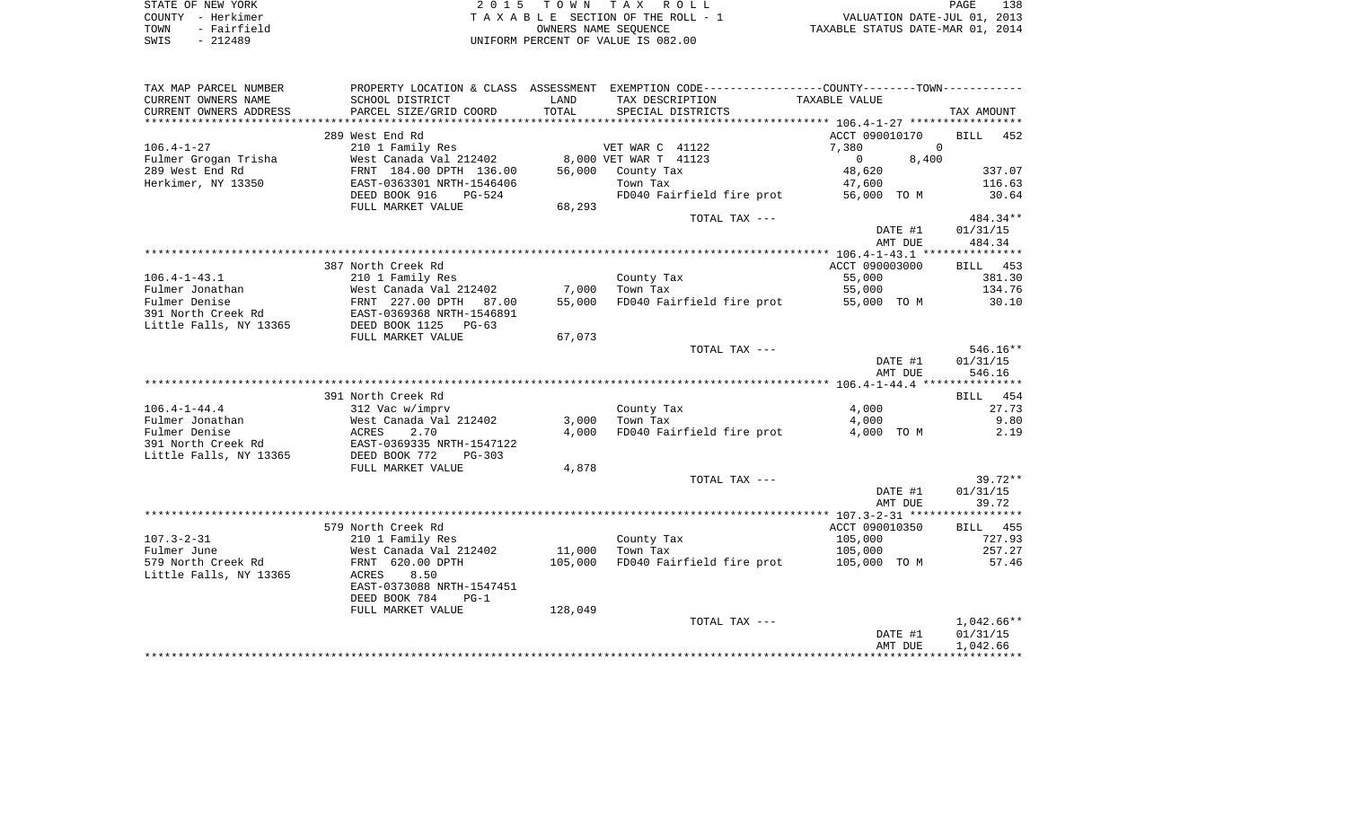| STATE OF NEW YORK |             | 2015 TOWN TAX ROLL                 |                                  | PAGE | 138 |
|-------------------|-------------|------------------------------------|----------------------------------|------|-----|
| COUNTY - Herkimer |             | TAXABLE SECTION OF THE ROLL - 1    | VALUATION DATE-JUL 01, 2013      |      |     |
| TOWN              | - Fairfield | OWNERS NAME SEOUENCE               | TAXABLE STATUS DATE-MAR 01, 2014 |      |     |
| SWIS              | $-212489$   | UNIFORM PERCENT OF VALUE IS 082.00 |                                  |      |     |

| TAX MAP PARCEL NUMBER  | PROPERTY LOCATION & CLASS ASSESSMENT |         | EXEMPTION CODE-----------------COUNTY-------TOWN----------- |                   |                    |
|------------------------|--------------------------------------|---------|-------------------------------------------------------------|-------------------|--------------------|
| CURRENT OWNERS NAME    | SCHOOL DISTRICT                      | LAND    | TAX DESCRIPTION                                             | TAXABLE VALUE     |                    |
| CURRENT OWNERS ADDRESS | PARCEL SIZE/GRID COORD               | TOTAL   | SPECIAL DISTRICTS                                           |                   | TAX AMOUNT         |
| *******************    |                                      |         |                                                             |                   |                    |
|                        | 289 West End Rd                      |         |                                                             | ACCT 090010170    | 452<br><b>BILL</b> |
| $106.4 - 1 - 27$       | 210 1 Family Res                     |         | VET WAR C 41122                                             | 7,380             | $\mathbf 0$        |
| Fulmer Grogan Trisha   | West Canada Val 212402               |         | 8,000 VET WAR T 41123                                       | $\Omega$<br>8,400 |                    |
| 289 West End Rd        | FRNT 184.00 DPTH 136.00              | 56,000  | County Tax                                                  | 48,620            | 337.07             |
| Herkimer, NY 13350     | EAST-0363301 NRTH-1546406            |         | Town Tax                                                    | 47,600            | 116.63             |
|                        | DEED BOOK 916<br>$PG-524$            |         | FD040 Fairfield fire prot                                   | 56,000 TO M       | 30.64              |
|                        | FULL MARKET VALUE                    | 68,293  |                                                             |                   |                    |
|                        |                                      |         | TOTAL TAX ---                                               |                   | 484.34**           |
|                        |                                      |         |                                                             | DATE #1           | 01/31/15           |
|                        |                                      |         |                                                             | AMT DUE           | 484.34             |
|                        |                                      |         |                                                             |                   |                    |
|                        | 387 North Creek Rd                   |         |                                                             | ACCT 090003000    | 453<br>BILL        |
| $106.4 - 1 - 43.1$     | 210 1 Family Res                     |         | County Tax                                                  | 55,000            | 381.30             |
| Fulmer Jonathan        | West Canada Val 212402               | 7,000   | Town Tax                                                    | 55,000            | 134.76             |
| Fulmer Denise          | FRNT 227.00 DPTH<br>87.00            | 55,000  | FD040 Fairfield fire prot                                   | 55,000 TO M       | 30.10              |
| 391 North Creek Rd     | EAST-0369368 NRTH-1546891            |         |                                                             |                   |                    |
| Little Falls, NY 13365 | DEED BOOK 1125<br>$PG-63$            |         |                                                             |                   |                    |
|                        | FULL MARKET VALUE                    | 67,073  |                                                             |                   |                    |
|                        |                                      |         | TOTAL TAX ---                                               |                   | $546.16**$         |
|                        |                                      |         |                                                             | DATE #1           | 01/31/15           |
|                        |                                      |         |                                                             | AMT DUE           | 546.16             |
|                        |                                      |         |                                                             |                   |                    |
|                        | 391 North Creek Rd                   |         |                                                             |                   | 454<br>BILL        |
| $106.4 - 1 - 44.4$     | 312 Vac w/imprv                      |         | County Tax                                                  | 4,000             | 27.73              |
| Fulmer Jonathan        | West Canada Val 212402               | 3,000   | Town Tax                                                    | 4,000             | 9.80               |
| Fulmer Denise          | 2.70<br>ACRES                        | 4,000   | FD040 Fairfield fire prot                                   | 4,000 TO M        | 2.19               |
| 391 North Creek Rd     | EAST-0369335 NRTH-1547122            |         |                                                             |                   |                    |
| Little Falls, NY 13365 | DEED BOOK 772<br>$PG-303$            |         |                                                             |                   |                    |
|                        | FULL MARKET VALUE                    | 4,878   |                                                             |                   |                    |
|                        |                                      |         | TOTAL TAX ---                                               |                   | $39.72**$          |
|                        |                                      |         |                                                             | DATE #1           | 01/31/15           |
|                        |                                      |         |                                                             | AMT DUE           | 39.72              |
|                        |                                      |         |                                                             |                   |                    |
|                        | 579 North Creek Rd                   |         |                                                             | ACCT 090010350    | BILL 455           |
| $107.3 - 2 - 31$       |                                      |         |                                                             | 105,000           | 727.93             |
| Fulmer June            | 210 1 Family Res                     | 11,000  | County Tax<br>Town Tax                                      |                   | 257.27             |
|                        | West Canada Val 212402               |         |                                                             | 105,000           |                    |
| 579 North Creek Rd     | FRNT 620.00 DPTH                     | 105,000 | FD040 Fairfield fire prot                                   | 105,000 TO M      | 57.46              |
| Little Falls, NY 13365 | 8.50<br>ACRES                        |         |                                                             |                   |                    |
|                        | EAST-0373088 NRTH-1547451            |         |                                                             |                   |                    |
|                        | DEED BOOK 784<br>$PG-1$              |         |                                                             |                   |                    |
|                        | FULL MARKET VALUE                    | 128,049 |                                                             |                   |                    |
|                        |                                      |         | TOTAL TAX ---                                               |                   | 1,042.66**         |
|                        |                                      |         |                                                             | DATE #1           | 01/31/15           |
|                        |                                      |         |                                                             | AMT DUE           | 1,042.66           |
|                        |                                      |         |                                                             |                   |                    |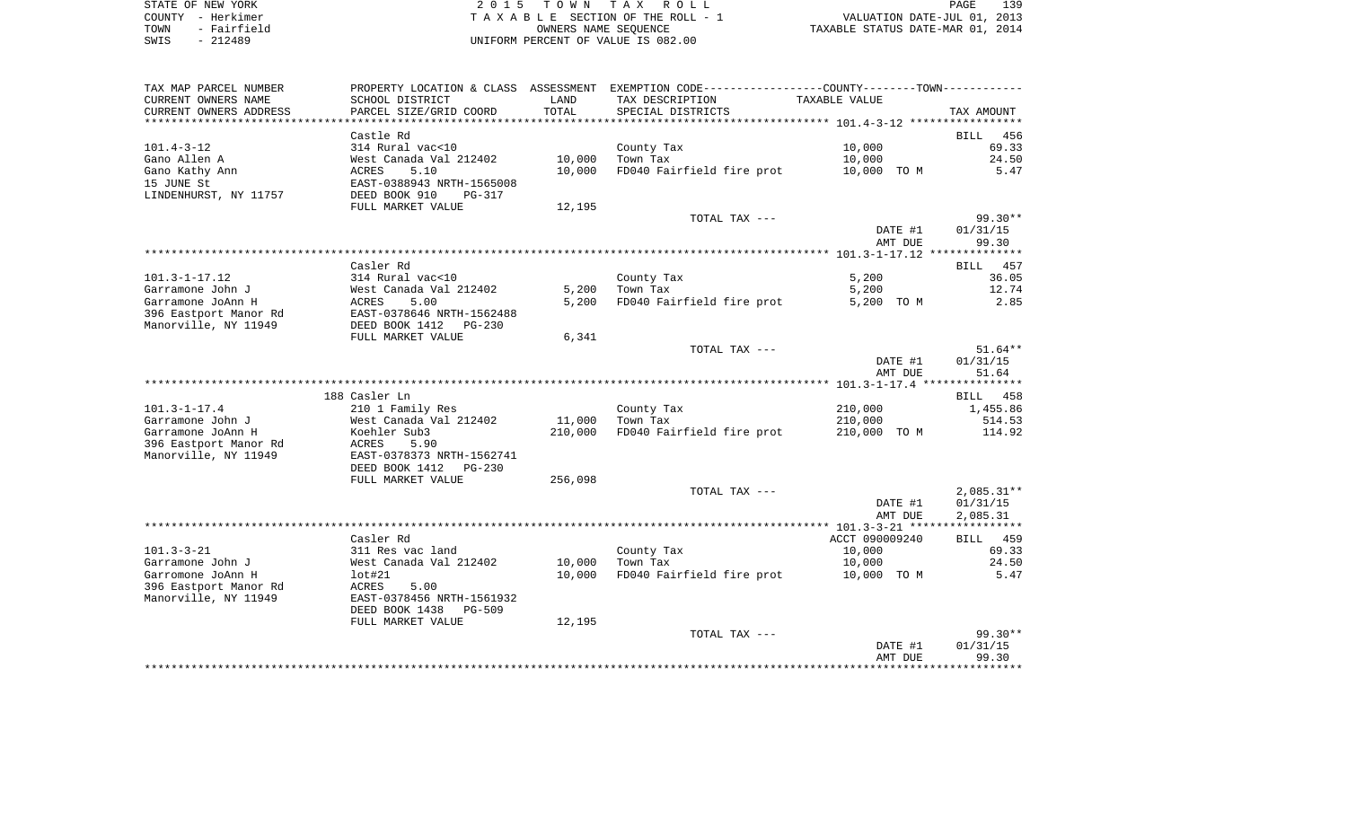| STATE OF NEW YORK   | 2015 TOWN TAX ROLL                 | 139<br>PAGE                      |
|---------------------|------------------------------------|----------------------------------|
| COUNTY - Herkimer   | TAXABLE SECTION OF THE ROLL - 1    | VALUATION DATE-JUL 01, 2013      |
| - Fairfield<br>TOWN | OWNERS NAME SEOUENCE               | TAXABLE STATUS DATE-MAR 01, 2014 |
| $-212489$<br>SWIS   | UNIFORM PERCENT OF VALUE IS 082.00 |                                  |

| TAX MAP PARCEL NUMBER  |                                 |         | PROPERTY LOCATION & CLASS ASSESSMENT EXEMPTION CODE---------------COUNTY-------TOWN---------- |                |              |
|------------------------|---------------------------------|---------|-----------------------------------------------------------------------------------------------|----------------|--------------|
| CURRENT OWNERS NAME    | SCHOOL DISTRICT                 | LAND    | TAX DESCRIPTION                                                                               | TAXABLE VALUE  |              |
| CURRENT OWNERS ADDRESS | PARCEL SIZE/GRID COORD          | TOTAL   | SPECIAL DISTRICTS                                                                             |                | TAX AMOUNT   |
| ********************** |                                 |         |                                                                                               |                |              |
|                        | Castle Rd                       |         |                                                                                               |                | BILL<br>456  |
| $101.4 - 3 - 12$       | 314 Rural vac<10                |         | County Tax                                                                                    | 10,000         | 69.33        |
| Gano Allen A           | West Canada Val 212402          | 10,000  | Town Tax                                                                                      | 10,000         | 24.50        |
| Gano Kathy Ann         | ACRES<br>5.10                   | 10,000  | FD040 Fairfield fire prot                                                                     | 10,000 TO M    | 5.47         |
| 15 JUNE St             | EAST-0388943 NRTH-1565008       |         |                                                                                               |                |              |
| LINDENHURST, NY 11757  | DEED BOOK 910<br>PG-317         |         |                                                                                               |                |              |
|                        | FULL MARKET VALUE               | 12,195  |                                                                                               |                |              |
|                        |                                 |         | TOTAL TAX ---                                                                                 |                | $99.30**$    |
|                        |                                 |         |                                                                                               | DATE #1        | 01/31/15     |
|                        |                                 |         |                                                                                               | AMT DUE        | 99.30        |
|                        |                                 |         |                                                                                               |                |              |
|                        | Casler Rd                       |         |                                                                                               |                | BILL 457     |
| $101.3 - 1 - 17.12$    | 314 Rural vac<10                |         | County Tax                                                                                    | 5,200          | 36.05        |
| Garramone John J       | West Canada Val 212402          | 5,200   | Town Tax                                                                                      | 5,200          | 12.74        |
| Garramone JoAnn H      | 5.00<br>ACRES                   | 5,200   | FD040 Fairfield fire prot                                                                     | 5,200 TO M     | 2.85         |
| 396 Eastport Manor Rd  | EAST-0378646 NRTH-1562488       |         |                                                                                               |                |              |
| Manorville, NY 11949   | DEED BOOK 1412<br>$PG-230$      |         |                                                                                               |                |              |
|                        | FULL MARKET VALUE               | 6,341   | TOTAL TAX ---                                                                                 |                | $51.64**$    |
|                        |                                 |         |                                                                                               | DATE #1        | 01/31/15     |
|                        |                                 |         |                                                                                               | AMT DUE        | 51.64        |
|                        |                                 |         |                                                                                               |                |              |
|                        | 188 Casler Ln                   |         |                                                                                               |                | BILL 458     |
| $101.3 - 1 - 17.4$     | 210 1 Family Res                |         | County Tax                                                                                    | 210,000        | 1,455.86     |
| Garramone John J       | West Canada Val 212402          | 11,000  | Town Tax                                                                                      | 210,000        | 514.53       |
| Garramone JoAnn H      | Koehler Sub3                    | 210,000 | FD040 Fairfield fire prot                                                                     | 210,000 TO M   | 114.92       |
| 396 Eastport Manor Rd  | ACRES<br>5.90                   |         |                                                                                               |                |              |
| Manorville, NY 11949   | EAST-0378373 NRTH-1562741       |         |                                                                                               |                |              |
|                        | DEED BOOK 1412<br>PG-230        |         |                                                                                               |                |              |
|                        | FULL MARKET VALUE               | 256,098 |                                                                                               |                |              |
|                        |                                 |         | TOTAL TAX ---                                                                                 |                | $2,085.31**$ |
|                        |                                 |         |                                                                                               | DATE #1        | 01/31/15     |
|                        |                                 |         |                                                                                               | AMT DUE        | 2,085.31     |
|                        |                                 |         |                                                                                               |                |              |
|                        | Casler Rd                       |         |                                                                                               | ACCT 090009240 | BILL 459     |
| $101.3 - 3 - 21$       | 311 Res vac land                |         | County Tax                                                                                    | 10,000         | 69.33        |
| Garramone John J       | West Canada Val 212402          | 10,000  | Town Tax                                                                                      | 10,000         | 24.50        |
| Garromone JoAnn H      | lot#21                          | 10,000  | FD040 Fairfield fire prot                                                                     | 10,000 TO M    | 5.47         |
| 396 Eastport Manor Rd  | ACRES<br>5.00                   |         |                                                                                               |                |              |
| Manorville, NY 11949   | EAST-0378456 NRTH-1561932       |         |                                                                                               |                |              |
|                        | DEED BOOK 1438<br><b>PG-509</b> |         |                                                                                               |                |              |
|                        | FULL MARKET VALUE               | 12,195  |                                                                                               |                |              |
|                        |                                 |         | TOTAL TAX ---                                                                                 |                | $99.30**$    |
|                        |                                 |         |                                                                                               | DATE #1        | 01/31/15     |
|                        |                                 |         |                                                                                               | AMT DUE        | 99.30        |
|                        |                                 |         |                                                                                               |                |              |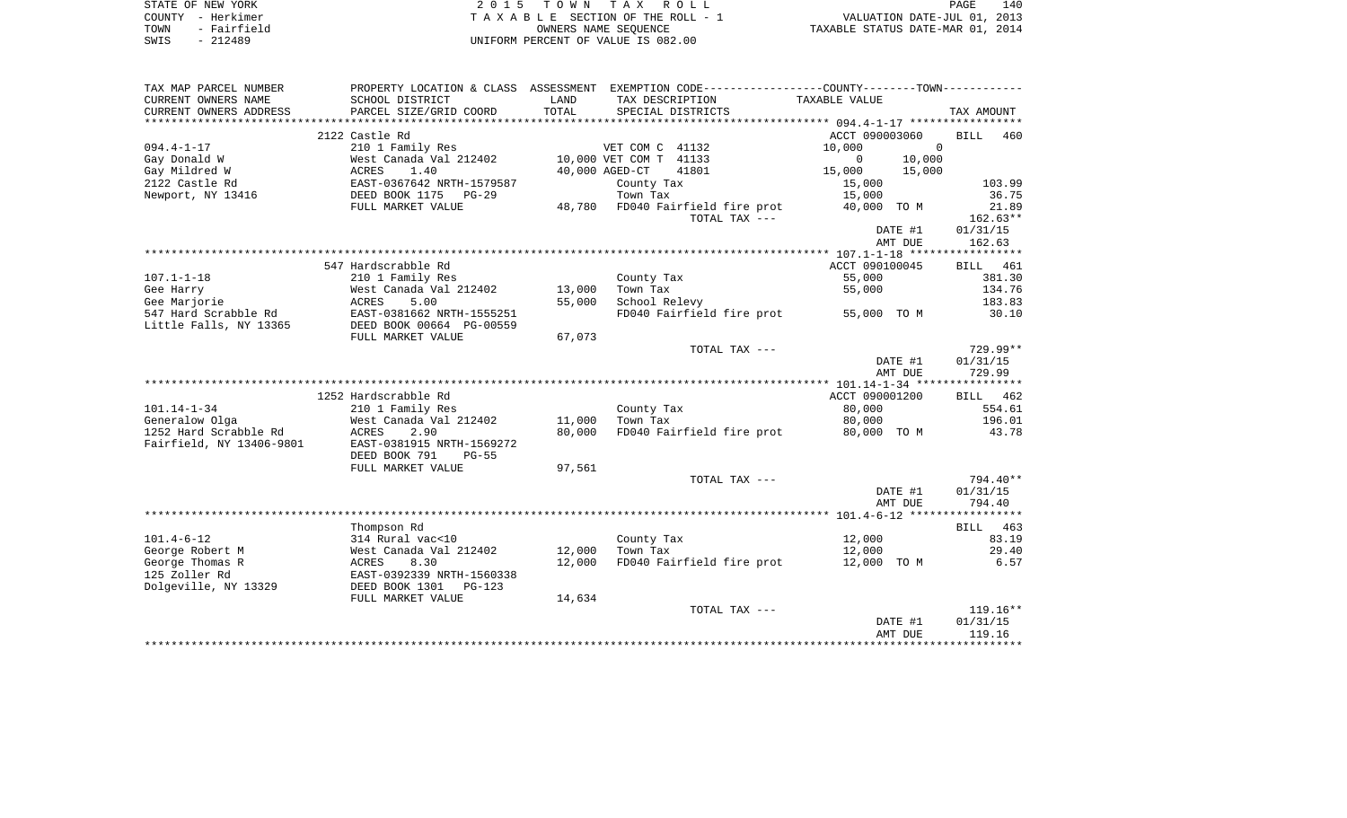|      | STATE OF NEW YORK | 2015 TOWN TAX ROLL                 | 140<br>PAGE                      |  |
|------|-------------------|------------------------------------|----------------------------------|--|
|      | COUNTY - Herkimer | TAXABLE SECTION OF THE ROLL - 1    | VALUATION DATE-JUL 01, 2013      |  |
| TOWN | - Fairfield       | OWNERS NAME SEOUENCE               | TAXABLE STATUS DATE-MAR 01, 2014 |  |
| SWIS | $-212489$         | INIFORM PERCENT OF VALUE IS 082.00 |                                  |  |

| TAX MAP PARCEL NUMBER    |                                    |        | PROPERTY LOCATION & CLASS ASSESSMENT EXEMPTION CODE---------------COUNTY-------TOWN--------- |                          |                                |
|--------------------------|------------------------------------|--------|----------------------------------------------------------------------------------------------|--------------------------|--------------------------------|
| CURRENT OWNERS NAME      | SCHOOL DISTRICT                    | LAND   | TAX DESCRIPTION                                                                              | TAXABLE VALUE            |                                |
| CURRENT OWNERS ADDRESS   | PARCEL SIZE/GRID COORD             | TOTAL  | SPECIAL DISTRICTS                                                                            |                          | TAX AMOUNT                     |
|                          |                                    |        |                                                                                              |                          |                                |
| $094.4 - 1 - 17$         | 2122 Castle Rd<br>210 1 Family Res |        | VET COM C 41132                                                                              | ACCT 090003060<br>10,000 | <b>BILL</b><br>460<br>$\Omega$ |
| Gay Donald W             | West Canada Val 212402             |        | 10,000 VET COM T 41133                                                                       | $\overline{0}$<br>10,000 |                                |
| Gay Mildred W            | ACRES<br>1.40                      |        | 40,000 AGED-CT<br>41801                                                                      | 15,000<br>15,000         |                                |
| 2122 Castle Rd           | EAST-0367642 NRTH-1579587          |        | County Tax                                                                                   | 15,000                   | 103.99                         |
| Newport, NY 13416        | DEED BOOK 1175 PG-29               |        | Town Tax                                                                                     | 15,000                   | 36.75                          |
|                          | FULL MARKET VALUE                  |        | 48,780 FD040 Fairfield fire prot                                                             | 40,000 TO M              | 21.89                          |
|                          |                                    |        | TOTAL TAX ---                                                                                |                          | $162.63**$                     |
|                          |                                    |        |                                                                                              | DATE #1                  | 01/31/15                       |
|                          |                                    |        |                                                                                              | AMT DUE                  | 162.63                         |
|                          |                                    |        |                                                                                              |                          |                                |
|                          | 547 Hardscrabble Rd                |        |                                                                                              | ACCT 090100045           | BILL 461                       |
| $107.1 - 1 - 18$         | 210 1 Family Res                   |        | County Tax                                                                                   | 55,000                   | 381.30                         |
| Gee Harry                | West Canada Val 212402             | 13,000 | Town Tax                                                                                     | 55,000                   | 134.76                         |
| Gee Marjorie             | ACRES<br>5.00                      | 55,000 | School Relevy                                                                                |                          | 183.83                         |
| 547 Hard Scrabble Rd     | EAST-0381662 NRTH-1555251          |        | FD040 Fairfield fire prot                                                                    | 55,000 TO M              | 30.10                          |
| Little Falls, NY 13365   | DEED BOOK 00664 PG-00559           |        |                                                                                              |                          |                                |
|                          | FULL MARKET VALUE                  | 67,073 | TOTAL TAX ---                                                                                |                          | $729.99**$                     |
|                          |                                    |        |                                                                                              | DATE #1                  | 01/31/15                       |
|                          |                                    |        |                                                                                              | AMT DUE                  | 729.99                         |
|                          |                                    |        |                                                                                              |                          |                                |
|                          | 1252 Hardscrabble Rd               |        |                                                                                              | ACCT 090001200           | BILL 462                       |
| $101.14 - 1 - 34$        | 210 1 Family Res                   |        | County Tax                                                                                   | 80,000                   | 554.61                         |
| Generalow Olga           | West Canada Val 212402             | 11,000 | Town Tax                                                                                     | 80,000                   | 196.01                         |
| 1252 Hard Scrabble Rd    | ACRES<br>2.90                      | 80,000 | FD040 Fairfield fire prot                                                                    | 80,000 TO M              | 43.78                          |
| Fairfield, NY 13406-9801 | EAST-0381915 NRTH-1569272          |        |                                                                                              |                          |                                |
|                          | DEED BOOK 791<br>$PG-55$           |        |                                                                                              |                          |                                |
|                          | FULL MARKET VALUE                  | 97,561 |                                                                                              |                          |                                |
|                          |                                    |        | TOTAL TAX ---                                                                                |                          | 794.40**                       |
|                          |                                    |        |                                                                                              | DATE #1                  | 01/31/15                       |
|                          |                                    |        |                                                                                              | AMT DUE                  | 794.40                         |
|                          |                                    |        |                                                                                              |                          |                                |
| $101.4 - 6 - 12$         | Thompson Rd<br>314 Rural vac<10    |        | County Tax                                                                                   | 12,000                   | BILL 463<br>83.19              |
| George Robert M          | West Canada Val 212402             | 12,000 | Town Tax                                                                                     | 12,000                   | 29.40                          |
| George Thomas R          | ACRES<br>8.30                      | 12,000 | FD040 Fairfield fire prot                                                                    | 12,000 TO M              | 6.57                           |
| 125 Zoller Rd            | EAST-0392339 NRTH-1560338          |        |                                                                                              |                          |                                |
| Dolgeville, NY 13329     | DEED BOOK 1301<br>$PG-123$         |        |                                                                                              |                          |                                |
|                          | FULL MARKET VALUE                  | 14,634 |                                                                                              |                          |                                |
|                          |                                    |        | TOTAL TAX ---                                                                                |                          | 119.16**                       |
|                          |                                    |        |                                                                                              | DATE #1                  | 01/31/15                       |
|                          |                                    |        |                                                                                              | AMT DUE                  | 119.16                         |
|                          |                                    |        |                                                                                              |                          | ******************             |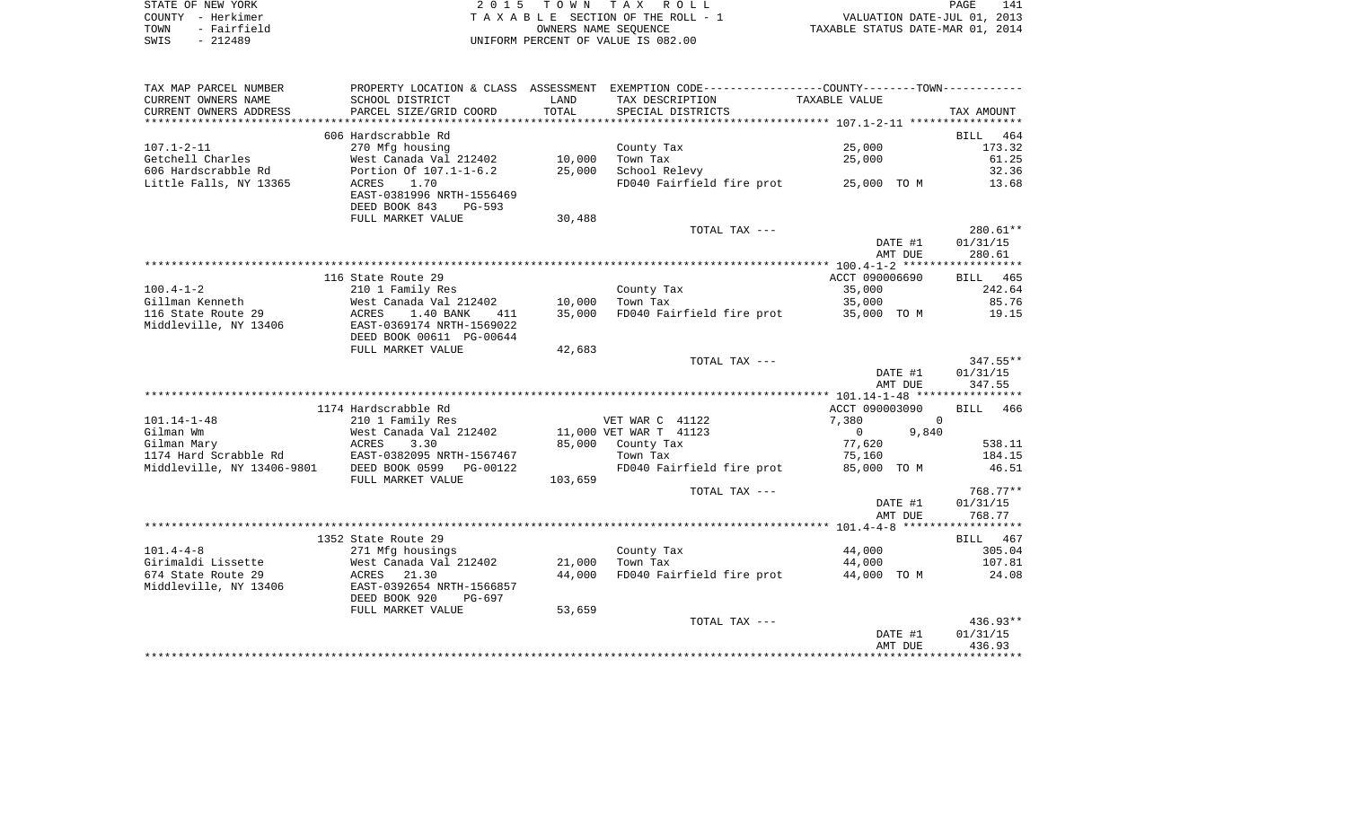| STATE OF NEW YORK   | 2015 TOWN TAX ROLL                 | 141<br>PAGE                      |
|---------------------|------------------------------------|----------------------------------|
| COUNTY - Herkimer   | TAXABLE SECTION OF THE ROLL - 1    | VALUATION DATE-JUL 01, 2013      |
| - Fairfield<br>TOWN | OWNERS NAME SEOUENCE               | TAXABLE STATUS DATE-MAR 01, 2014 |
| SWIS<br>- 212489    | UNIFORM PERCENT OF VALUE IS 082.00 |                                  |

| TAX MAP PARCEL NUMBER                       |                                                                                    |         | PROPERTY LOCATION & CLASS ASSESSMENT EXEMPTION CODE---------------COUNTY-------TOWN---------- |                    |                    |
|---------------------------------------------|------------------------------------------------------------------------------------|---------|-----------------------------------------------------------------------------------------------|--------------------|--------------------|
| CURRENT OWNERS NAME                         | SCHOOL DISTRICT                                                                    | LAND    | TAX DESCRIPTION                                                                               | TAXABLE VALUE      |                    |
| CURRENT OWNERS ADDRESS                      | PARCEL SIZE/GRID COORD                                                             | TOTAL   | SPECIAL DISTRICTS                                                                             |                    | TAX AMOUNT         |
| **********************                      |                                                                                    |         |                                                                                               |                    |                    |
|                                             | 606 Hardscrabble Rd                                                                |         |                                                                                               |                    | <b>BILL</b><br>464 |
| $107.1 - 2 - 11$                            | 270 Mfg housing                                                                    |         | County Tax                                                                                    | 25,000             | 173.32             |
| Getchell Charles                            | West Canada Val 212402                                                             | 10,000  | Town Tax                                                                                      | 25,000             | 61.25              |
| 606 Hardscrabble Rd                         | Portion Of 107.1-1-6.2                                                             | 25,000  | School Relevy                                                                                 |                    | 32.36              |
| Little Falls, NY 13365                      | ACRES<br>1.70<br>EAST-0381996 NRTH-1556469<br>DEED BOOK 843<br>PG-593              |         | FD040 Fairfield fire prot 25,000 TO M                                                         |                    | 13.68              |
|                                             | FULL MARKET VALUE                                                                  | 30,488  |                                                                                               |                    |                    |
|                                             |                                                                                    |         | TOTAL TAX ---                                                                                 |                    | 280.61**           |
|                                             |                                                                                    |         |                                                                                               | DATE #1            | 01/31/15           |
|                                             |                                                                                    |         |                                                                                               | AMT DUE            | 280.61             |
|                                             |                                                                                    |         |                                                                                               |                    |                    |
|                                             | 116 State Route 29                                                                 |         |                                                                                               | ACCT 090006690     | BILL 465           |
| $100.4 - 1 - 2$                             | 210 1 Family Res                                                                   |         | County Tax                                                                                    | 35,000             | 242.64             |
| Gillman Kenneth                             | West Canada Val 212402                                                             | 10,000  | Town Tax                                                                                      | 35,000             | 85.76              |
| 116 State Route 29<br>Middleville, NY 13406 | ACRES<br>1.40 BANK<br>411<br>EAST-0369174 NRTH-1569022<br>DEED BOOK 00611 PG-00644 | 35,000  | FD040 Fairfield fire prot                                                                     | 35,000 TO M        | 19.15              |
|                                             | FULL MARKET VALUE                                                                  | 42,683  |                                                                                               |                    |                    |
|                                             |                                                                                    |         | TOTAL TAX ---                                                                                 |                    | $347.55**$         |
|                                             |                                                                                    |         |                                                                                               | DATE #1            | 01/31/15           |
|                                             |                                                                                    |         |                                                                                               | AMT DUE            | 347.55             |
|                                             |                                                                                    |         |                                                                                               |                    |                    |
|                                             | 1174 Hardscrabble Rd                                                               |         |                                                                                               | ACCT 090003090     | BILL 466           |
| $101.14 - 1 - 48$                           | 210 1 Family Res                                                                   |         | VET WAR C 41122                                                                               | 7,380<br>$\Omega$  |                    |
| Gilman Wm                                   | West Canada Val 212402                                                             |         | 11,000 VET WAR T 41123                                                                        | 9,840<br>$\Omega$  |                    |
| Gilman Mary                                 | 3.30<br>ACRES                                                                      | 85,000  | County Tax                                                                                    | 77,620             | 538.11             |
| 1174 Hard Scrabble Rd                       | EAST-0382095 NRTH-1567467                                                          |         | Town Tax                                                                                      | 75,160             | 184.15             |
| Middleville, NY 13406-9801                  | DEED BOOK 0599<br>PG-00122                                                         |         | FD040 Fairfield fire prot                                                                     | 85,000 TO M        | 46.51              |
|                                             | FULL MARKET VALUE                                                                  | 103,659 |                                                                                               |                    |                    |
|                                             |                                                                                    |         | TOTAL TAX ---                                                                                 |                    | 768.77**           |
|                                             |                                                                                    |         |                                                                                               | DATE #1            | 01/31/15           |
|                                             |                                                                                    |         |                                                                                               | AMT DUE            | 768.77             |
|                                             |                                                                                    |         |                                                                                               |                    |                    |
|                                             | 1352 State Route 29                                                                |         |                                                                                               |                    | BILL 467           |
| $101.4 - 4 - 8$                             | 271 Mfg housings                                                                   |         | County Tax                                                                                    | 44,000             | 305.04             |
| Girimaldi Lissette                          | West Canada Val 212402                                                             | 21,000  | Town Tax                                                                                      | 44,000             | 107.81             |
| 674 State Route 29                          | ACRES<br>21.30                                                                     | 44,000  | FD040 Fairfield fire prot                                                                     | 44,000 TO M        | 24.08              |
| Middleville, NY 13406                       | EAST-0392654 NRTH-1566857<br>DEED BOOK 920<br>PG-697                               |         |                                                                                               |                    |                    |
|                                             | FULL MARKET VALUE                                                                  | 53,659  |                                                                                               |                    |                    |
|                                             |                                                                                    |         | TOTAL TAX ---                                                                                 |                    | $436.93**$         |
|                                             |                                                                                    |         |                                                                                               | DATE #1<br>AMT DUE | 01/31/15<br>436.93 |
|                                             |                                                                                    |         |                                                                                               |                    |                    |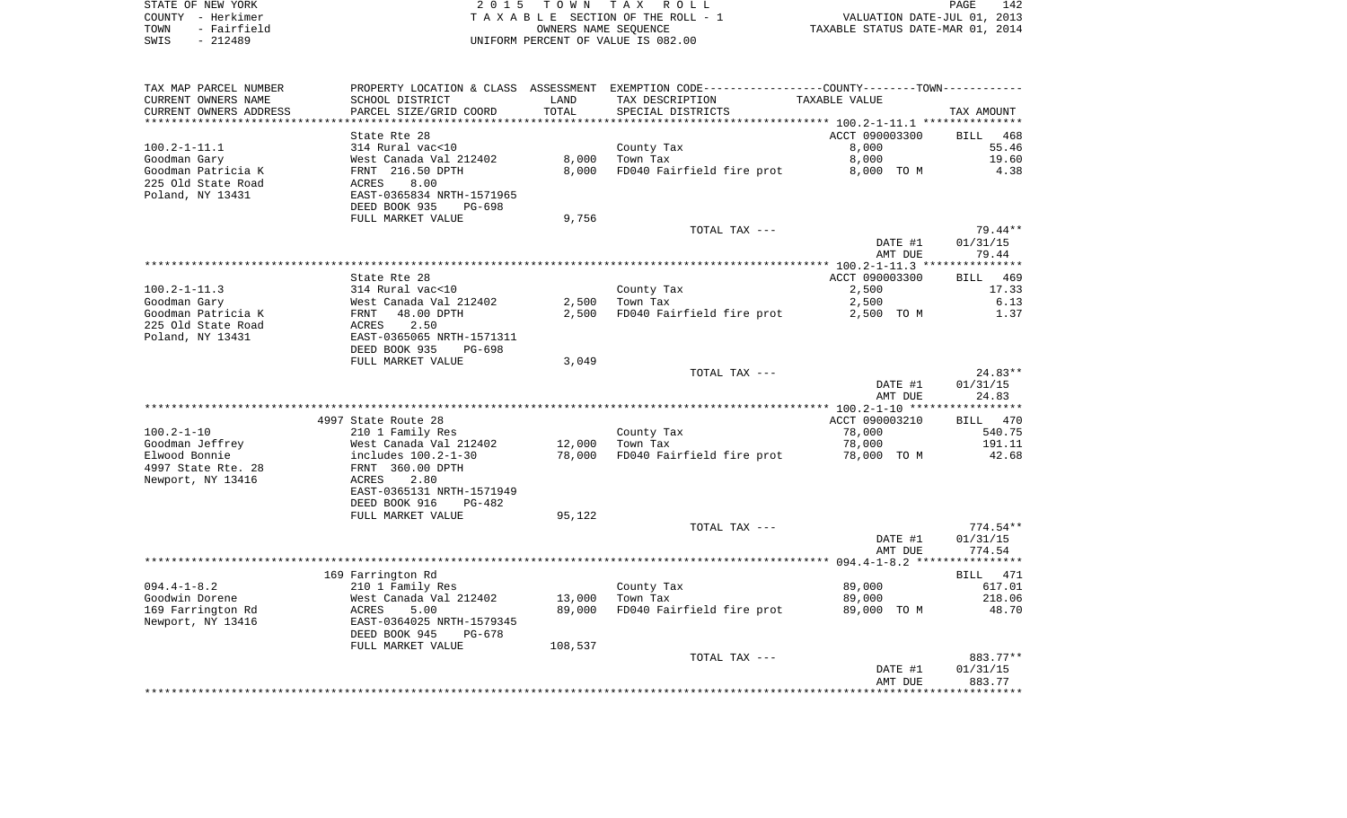|      | STATE OF NEW YORK | 2015 TOWN TAX ROLL                 | PAGE                             | 142 |
|------|-------------------|------------------------------------|----------------------------------|-----|
|      | COUNTY - Herkimer | TAXABLE SECTION OF THE ROLL - 1    | VALUATION DATE-JUL 01, 2013      |     |
| TOWN | - Fairfield       | OWNERS NAME SEOUENCE               | TAXABLE STATUS DATE-MAR 01, 2014 |     |
| SWIS | - 212489          | UNIFORM PERCENT OF VALUE IS 082.00 |                                  |     |

| TAX MAP PARCEL NUMBER  |                           |         | PROPERTY LOCATION & CLASS ASSESSMENT EXEMPTION CODE---------------COUNTY-------TOWN---------- |                |             |
|------------------------|---------------------------|---------|-----------------------------------------------------------------------------------------------|----------------|-------------|
| CURRENT OWNERS NAME    | SCHOOL DISTRICT           | LAND    | TAX DESCRIPTION                                                                               | TAXABLE VALUE  |             |
| CURRENT OWNERS ADDRESS | PARCEL SIZE/GRID COORD    | TOTAL   | SPECIAL DISTRICTS                                                                             |                | TAX AMOUNT  |
|                        |                           |         |                                                                                               |                |             |
|                        | State Rte 28              |         |                                                                                               | ACCT 090003300 | 468<br>BILL |
| 100.2-1-11.1           | 314 Rural vac<10          |         | County Tax                                                                                    | 8,000          | 55.46       |
| Goodman Gary           | West Canada Val 212402    | 8,000   | Town Tax                                                                                      | 8,000          | 19.60       |
| Goodman Patricia K     | FRNT 216.50 DPTH          | 8,000   | FD040 Fairfield fire prot                                                                     | 8,000 TO M     | 4.38        |
| 225 Old State Road     | ACRES<br>8.00             |         |                                                                                               |                |             |
| Poland, NY 13431       | EAST-0365834 NRTH-1571965 |         |                                                                                               |                |             |
|                        | DEED BOOK 935<br>PG-698   |         |                                                                                               |                |             |
|                        | FULL MARKET VALUE         | 9,756   |                                                                                               |                |             |
|                        |                           |         | TOTAL TAX ---                                                                                 |                | 79.44**     |
|                        |                           |         |                                                                                               | DATE #1        | 01/31/15    |
|                        |                           |         |                                                                                               | AMT DUE        | 79.44       |
|                        |                           |         |                                                                                               |                |             |
|                        | State Rte 28              |         |                                                                                               | ACCT 090003300 | BILL 469    |
| $100.2 - 1 - 11.3$     | 314 Rural vac<10          |         | County Tax                                                                                    | 2,500          | 17.33       |
| Goodman Gary           | West Canada Val 212402    | 2,500   | Town Tax                                                                                      | 2,500          | 6.13        |
| Goodman Patricia K     | FRNT<br>48.00 DPTH        | 2,500   | FD040 Fairfield fire prot                                                                     | 2,500 TO M     | 1.37        |
| 225 Old State Road     | 2.50<br>ACRES             |         |                                                                                               |                |             |
| Poland, NY 13431       | EAST-0365065 NRTH-1571311 |         |                                                                                               |                |             |
|                        | DEED BOOK 935<br>PG-698   |         |                                                                                               |                |             |
|                        | FULL MARKET VALUE         | 3,049   | TOTAL TAX ---                                                                                 |                | $24.83**$   |
|                        |                           |         |                                                                                               | DATE #1        | 01/31/15    |
|                        |                           |         |                                                                                               | AMT DUE        | 24.83       |
|                        |                           |         |                                                                                               |                |             |
|                        | 4997 State Route 28       |         |                                                                                               | ACCT 090003210 | BILL 470    |
| 100.2-1-10             | 210 1 Family Res          |         | County Tax                                                                                    | 78,000         | 540.75      |
| Goodman Jeffrey        | West Canada Val 212402    | 12,000  | Town Tax                                                                                      | 78,000         | 191.11      |
| Elwood Bonnie          | includes 100.2-1-30       | 78,000  | FD040 Fairfield fire prot                                                                     | 78,000 TO M    | 42.68       |
| 4997 State Rte. 28     | FRNT 360.00 DPTH          |         |                                                                                               |                |             |
| Newport, NY 13416      | ACRES<br>2.80             |         |                                                                                               |                |             |
|                        | EAST-0365131 NRTH-1571949 |         |                                                                                               |                |             |
|                        | DEED BOOK 916<br>PG-482   |         |                                                                                               |                |             |
|                        | FULL MARKET VALUE         | 95,122  |                                                                                               |                |             |
|                        |                           |         | TOTAL TAX ---                                                                                 |                | $774.54**$  |
|                        |                           |         |                                                                                               | DATE #1        | 01/31/15    |
|                        |                           |         |                                                                                               | AMT DUE        | 774.54      |
|                        |                           |         |                                                                                               |                |             |
|                        | 169 Farrington Rd         |         |                                                                                               |                | BILL 471    |
| $094.4 - 1 - 8.2$      | 210 1 Family Res          |         | County Tax                                                                                    | 89,000         | 617.01      |
| Goodwin Dorene         | West Canada Val 212402    | 13,000  | Town Tax                                                                                      | 89,000         | 218.06      |
| 169 Farrington Rd      | 5.00<br>ACRES             | 89,000  | FD040 Fairfield fire prot                                                                     | 89,000 TO M    | 48.70       |
| Newport, NY 13416      | EAST-0364025 NRTH-1579345 |         |                                                                                               |                |             |
|                        | DEED BOOK 945<br>PG-678   |         |                                                                                               |                |             |
|                        | FULL MARKET VALUE         | 108,537 |                                                                                               |                |             |
|                        |                           |         | TOTAL TAX ---                                                                                 |                | 883.77**    |
|                        |                           |         |                                                                                               | DATE #1        | 01/31/15    |
|                        |                           |         |                                                                                               | AMT DUE        | 883.77      |
|                        |                           |         |                                                                                               |                |             |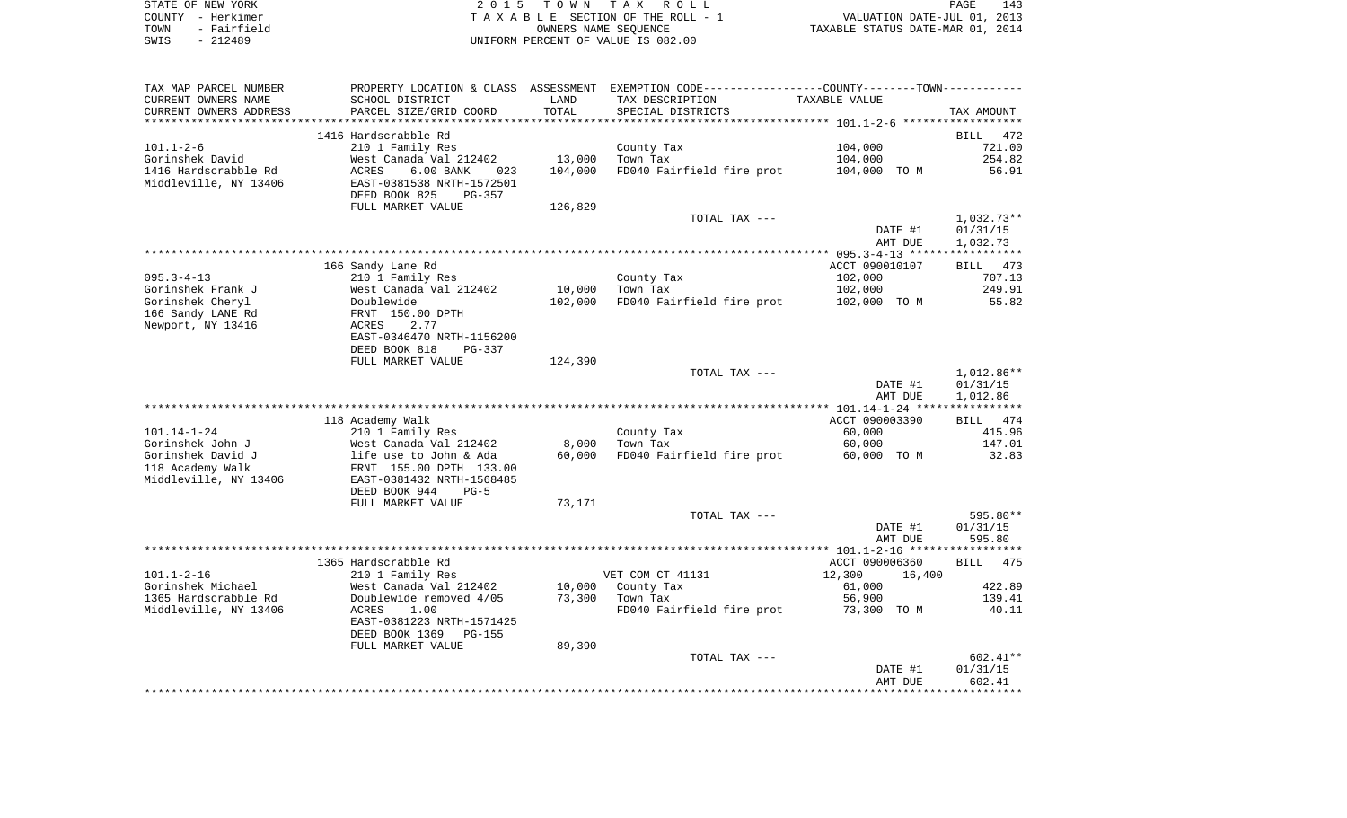|      | STATE OF NEW YORK | 2015 TOWN TAX ROLL                 | 143<br>PAGE                      |
|------|-------------------|------------------------------------|----------------------------------|
|      | COUNTY - Herkimer | TAXABLE SECTION OF THE ROLL - 1    | VALUATION DATE-JUL 01, 2013      |
| TOWN | - Fairfield       | OWNERS NAME SEOUENCE               | TAXABLE STATUS DATE-MAR 01, 2014 |
| SWIS | - 212489          | UNIFORM PERCENT OF VALUE IS 082.00 |                                  |

| TAX MAP PARCEL NUMBER                 |                                                      |                 | PROPERTY LOCATION & CLASS ASSESSMENT EXEMPTION CODE---------------COUNTY--------TOWN---------- |                       |                 |
|---------------------------------------|------------------------------------------------------|-----------------|------------------------------------------------------------------------------------------------|-----------------------|-----------------|
| CURRENT OWNERS NAME                   | SCHOOL DISTRICT                                      | LAND            | TAX DESCRIPTION                                                                                | TAXABLE VALUE         |                 |
| CURRENT OWNERS ADDRESS                | PARCEL SIZE/GRID COORD                               | TOTAL           | SPECIAL DISTRICTS                                                                              |                       | TAX AMOUNT      |
|                                       |                                                      |                 |                                                                                                |                       |                 |
|                                       | 1416 Hardscrabble Rd                                 |                 |                                                                                                |                       | BILL<br>472     |
| 101.1-2-6                             | 210 1 Family Res                                     |                 | County Tax                                                                                     | 104,000               | 721.00          |
| Gorinshek David                       | West Canada Val 212402                               | 13,000          | Town Tax                                                                                       | 104,000               | 254.82          |
| 1416 Hardscrabble Rd                  | ACRES<br>$6.00$ BANK<br>023                          | 104,000         | FD040 Fairfield fire prot                                                                      | 104,000 TO M          | 56.91           |
| Middleville, NY 13406                 | EAST-0381538 NRTH-1572501<br>DEED BOOK 825<br>PG-357 |                 |                                                                                                |                       |                 |
|                                       | FULL MARKET VALUE                                    | 126,829         |                                                                                                |                       |                 |
|                                       |                                                      |                 | TOTAL TAX ---                                                                                  |                       | 1,032.73**      |
|                                       |                                                      |                 |                                                                                                | DATE #1               | 01/31/15        |
|                                       |                                                      |                 |                                                                                                | AMT DUE               | 1,032.73        |
|                                       |                                                      |                 |                                                                                                |                       |                 |
|                                       | 166 Sandy Lane Rd                                    |                 |                                                                                                | ACCT 090010107        | BILL 473        |
| $095.3 - 4 - 13$                      | 210 1 Family Res                                     |                 | County Tax                                                                                     | 102,000               | 707.13          |
| Gorinshek Frank J                     | West Canada Val 212402                               | 10,000          | Town Tax                                                                                       | 102,000               | 249.91          |
| Gorinshek Cheryl                      | Doublewide                                           | 102,000         | FD040 Fairfield fire prot                                                                      | 102,000 TO M          | 55.82           |
| 166 Sandy LANE Rd                     | FRNT 150.00 DPTH                                     |                 |                                                                                                |                       |                 |
| Newport, NY 13416                     | 2.77<br>ACRES                                        |                 |                                                                                                |                       |                 |
|                                       | EAST-0346470 NRTH-1156200                            |                 |                                                                                                |                       |                 |
|                                       | DEED BOOK 818<br>PG-337                              |                 |                                                                                                |                       |                 |
|                                       | FULL MARKET VALUE                                    | 124,390         |                                                                                                |                       |                 |
|                                       |                                                      |                 | TOTAL TAX ---                                                                                  |                       | $1,012.86**$    |
|                                       |                                                      |                 |                                                                                                | DATE #1               | 01/31/15        |
|                                       |                                                      |                 |                                                                                                | AMT DUE               | 1,012.86        |
|                                       |                                                      |                 |                                                                                                |                       |                 |
|                                       | 118 Academy Walk                                     |                 |                                                                                                | ACCT 090003390        | BILL 474        |
| 101.14-1-24                           | 210 1 Family Res                                     |                 | County Tax                                                                                     | 60,000                | 415.96          |
| Gorinshek John J<br>Gorinshek David J | West Canada Val 212402<br>life use to John & Ada     | 8,000<br>60,000 | Town Tax<br>FD040 Fairfield fire prot                                                          | 60,000<br>60,000 TO M | 147.01<br>32.83 |
| 118 Academy Walk                      | FRNT 155.00 DPTH 133.00                              |                 |                                                                                                |                       |                 |
| Middleville, NY 13406                 | EAST-0381432 NRTH-1568485                            |                 |                                                                                                |                       |                 |
|                                       | DEED BOOK 944<br>$PG-5$                              |                 |                                                                                                |                       |                 |
|                                       | FULL MARKET VALUE                                    | 73,171          |                                                                                                |                       |                 |
|                                       |                                                      |                 | TOTAL TAX ---                                                                                  |                       | 595.80**        |
|                                       |                                                      |                 |                                                                                                | DATE #1               | 01/31/15        |
|                                       |                                                      |                 |                                                                                                | AMT DUE               | 595.80          |
|                                       |                                                      |                 |                                                                                                |                       |                 |
|                                       | 1365 Hardscrabble Rd                                 |                 |                                                                                                | ACCT 090006360        | BILL 475        |
| $101.1 - 2 - 16$                      | 210 1 Family Res                                     |                 | VET COM CT 41131                                                                               | 12,300<br>16,400      |                 |
| Gorinshek Michael                     | West Canada Val 212402                               | 10,000          | County Tax                                                                                     | 61,000                | 422.89          |
| 1365 Hardscrabble Rd                  | Doublewide removed 4/05                              | 73,300          | Town Tax                                                                                       | 56,900                | 139.41          |
| Middleville, NY 13406                 | ACRES<br>1.00                                        |                 | FD040 Fairfield fire prot                                                                      | 73,300 TO M           | 40.11           |
|                                       | EAST-0381223 NRTH-1571425                            |                 |                                                                                                |                       |                 |
|                                       | DEED BOOK 1369<br>PG-155                             |                 |                                                                                                |                       |                 |
|                                       | FULL MARKET VALUE                                    | 89,390          |                                                                                                |                       |                 |
|                                       |                                                      |                 | TOTAL TAX ---                                                                                  |                       | $602.41**$      |
|                                       |                                                      |                 |                                                                                                | DATE #1               | 01/31/15        |
|                                       |                                                      |                 |                                                                                                | AMT DUE               | 602.41          |
|                                       |                                                      |                 |                                                                                                |                       |                 |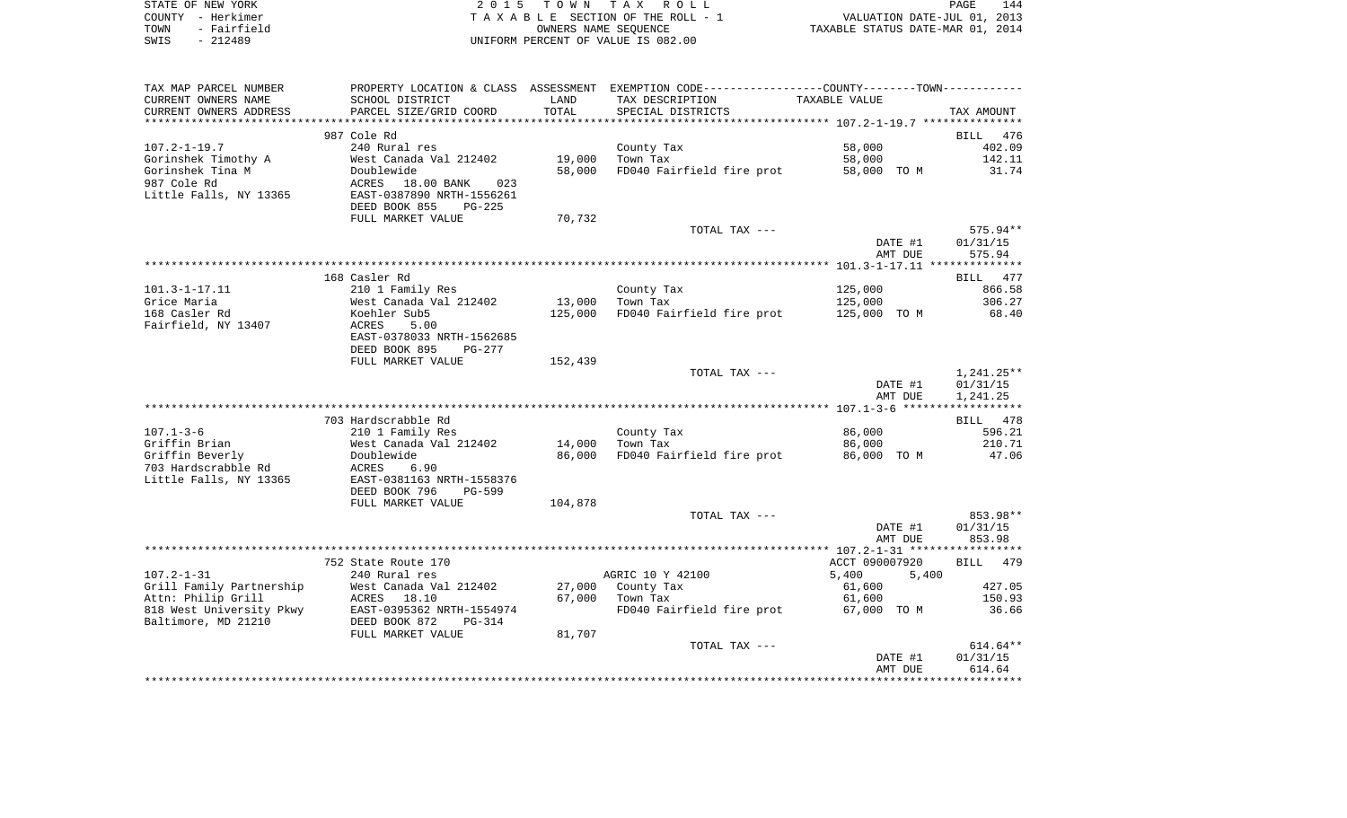|      | STATE OF NEW YORK | 2015 TOWN TAX ROLL                 | PAGE                             | 144 |
|------|-------------------|------------------------------------|----------------------------------|-----|
|      | COUNTY - Herkimer | TAXABLE SECTION OF THE ROLL - 1    | VALUATION DATE-JUL 01, 2013      |     |
| TOWN | - Fairfield       | OWNERS NAME SEOUENCE               | TAXABLE STATUS DATE-MAR 01, 2014 |     |
| SWIS | - 212489          | UNIFORM PERCENT OF VALUE IS 082.00 |                                  |     |

| TAX MAP PARCEL NUMBER    |                                |         | PROPERTY LOCATION & CLASS ASSESSMENT EXEMPTION CODE---------------COUNTY-------TOWN---------- |                |              |
|--------------------------|--------------------------------|---------|-----------------------------------------------------------------------------------------------|----------------|--------------|
| CURRENT OWNERS NAME      | SCHOOL DISTRICT                | LAND    | TAX DESCRIPTION                                                                               | TAXABLE VALUE  |              |
| CURRENT OWNERS ADDRESS   | PARCEL SIZE/GRID COORD         | TOTAL   | SPECIAL DISTRICTS                                                                             |                | TAX AMOUNT   |
|                          |                                |         |                                                                                               |                |              |
|                          | 987 Cole Rd                    |         |                                                                                               |                | BILL 476     |
| $107.2 - 1 - 19.7$       | 240 Rural res                  |         | County Tax                                                                                    | 58,000         | 402.09       |
| Gorinshek Timothy A      | West Canada Val 212402         | 19,000  | Town Tax                                                                                      | 58,000         | 142.11       |
| Gorinshek Tina M         | Doublewide                     | 58,000  | FD040 Fairfield fire prot                                                                     | 58,000 TO M    | 31.74        |
|                          |                                |         |                                                                                               |                |              |
| 987 Cole Rd              | ACRES 18.00 BANK<br>023        |         |                                                                                               |                |              |
| Little Falls, NY 13365   | EAST-0387890 NRTH-1556261      |         |                                                                                               |                |              |
|                          | DEED BOOK 855<br>$PG-225$      |         |                                                                                               |                |              |
|                          | FULL MARKET VALUE              | 70,732  |                                                                                               |                |              |
|                          |                                |         | TOTAL TAX ---                                                                                 |                | 575.94**     |
|                          |                                |         |                                                                                               | DATE #1        | 01/31/15     |
|                          |                                |         |                                                                                               | AMT DUE        | 575.94       |
|                          |                                |         |                                                                                               |                |              |
|                          | 168 Casler Rd                  |         |                                                                                               |                | BILL 477     |
| $101.3 - 1 - 17.11$      | 210 1 Family Res               |         | County Tax                                                                                    | 125,000        | 866.58       |
| Grice Maria              | West Canada Val 212402         | 13,000  | Town Tax                                                                                      | 125,000        | 306.27       |
| 168 Casler Rd            | Koehler Sub5                   | 125,000 | FD040 Fairfield fire prot                                                                     | 125,000 TO M   | 68.40        |
| Fairfield, NY 13407      | ACRES<br>5.00                  |         |                                                                                               |                |              |
|                          | EAST-0378033 NRTH-1562685      |         |                                                                                               |                |              |
|                          |                                |         |                                                                                               |                |              |
|                          | DEED BOOK 895<br>PG-277        |         |                                                                                               |                |              |
|                          | FULL MARKET VALUE              | 152,439 |                                                                                               |                |              |
|                          |                                |         | TOTAL TAX ---                                                                                 |                | $1,241.25**$ |
|                          |                                |         |                                                                                               | DATE #1        | 01/31/15     |
|                          |                                |         |                                                                                               | AMT DUE        | 1,241.25     |
|                          |                                |         |                                                                                               |                |              |
|                          | 703 Hardscrabble Rd            |         |                                                                                               |                | BILL 478     |
| $107.1 - 3 - 6$          | 210 1 Family Res               |         | County Tax                                                                                    | 86,000         | 596.21       |
| Griffin Brian            | West Canada Val 212402         | 14,000  | Town Tax                                                                                      | 86,000         | 210.71       |
| Griffin Beverly          | Doublewide                     | 86,000  | FD040 Fairfield fire prot                                                                     | 86,000 TO M    | 47.06        |
| 703 Hardscrabble Rd      | ACRES<br>6.90                  |         |                                                                                               |                |              |
| Little Falls, NY 13365   | EAST-0381163 NRTH-1558376      |         |                                                                                               |                |              |
|                          | DEED BOOK 796<br><b>PG-599</b> |         |                                                                                               |                |              |
|                          | FULL MARKET VALUE              | 104,878 |                                                                                               |                |              |
|                          |                                |         | TOTAL TAX ---                                                                                 |                | 853.98**     |
|                          |                                |         |                                                                                               | DATE #1        | 01/31/15     |
|                          |                                |         |                                                                                               | AMT DUE        | 853.98       |
|                          |                                |         |                                                                                               |                |              |
|                          | 752 State Route 170            |         |                                                                                               | ACCT 090007920 | BILL 479     |
| $107.2 - 1 - 31$         |                                |         |                                                                                               |                |              |
|                          | 240 Rural res                  |         | AGRIC 10 Y 42100                                                                              | 5,400<br>5,400 |              |
| Grill Family Partnership | West Canada Val 212402         |         | 27,000 County Tax                                                                             | 61,600         | 427.05       |
| Attn: Philip Grill       | 18.10<br>ACRES                 | 67,000  | Town Tax                                                                                      | 61,600         | 150.93       |
| 818 West University Pkwy | EAST-0395362 NRTH-1554974      |         | FD040 Fairfield fire prot                                                                     | 67,000 TO M    | 36.66        |
| Baltimore, MD 21210      | DEED BOOK 872<br>$PG-314$      |         |                                                                                               |                |              |
|                          | FULL MARKET VALUE              | 81,707  |                                                                                               |                |              |
|                          |                                |         | TOTAL TAX ---                                                                                 |                | 614.64**     |
|                          |                                |         |                                                                                               | DATE #1        | 01/31/15     |
|                          |                                |         |                                                                                               | AMT DUE        | 614.64       |
|                          |                                |         |                                                                                               |                |              |
|                          |                                |         |                                                                                               |                |              |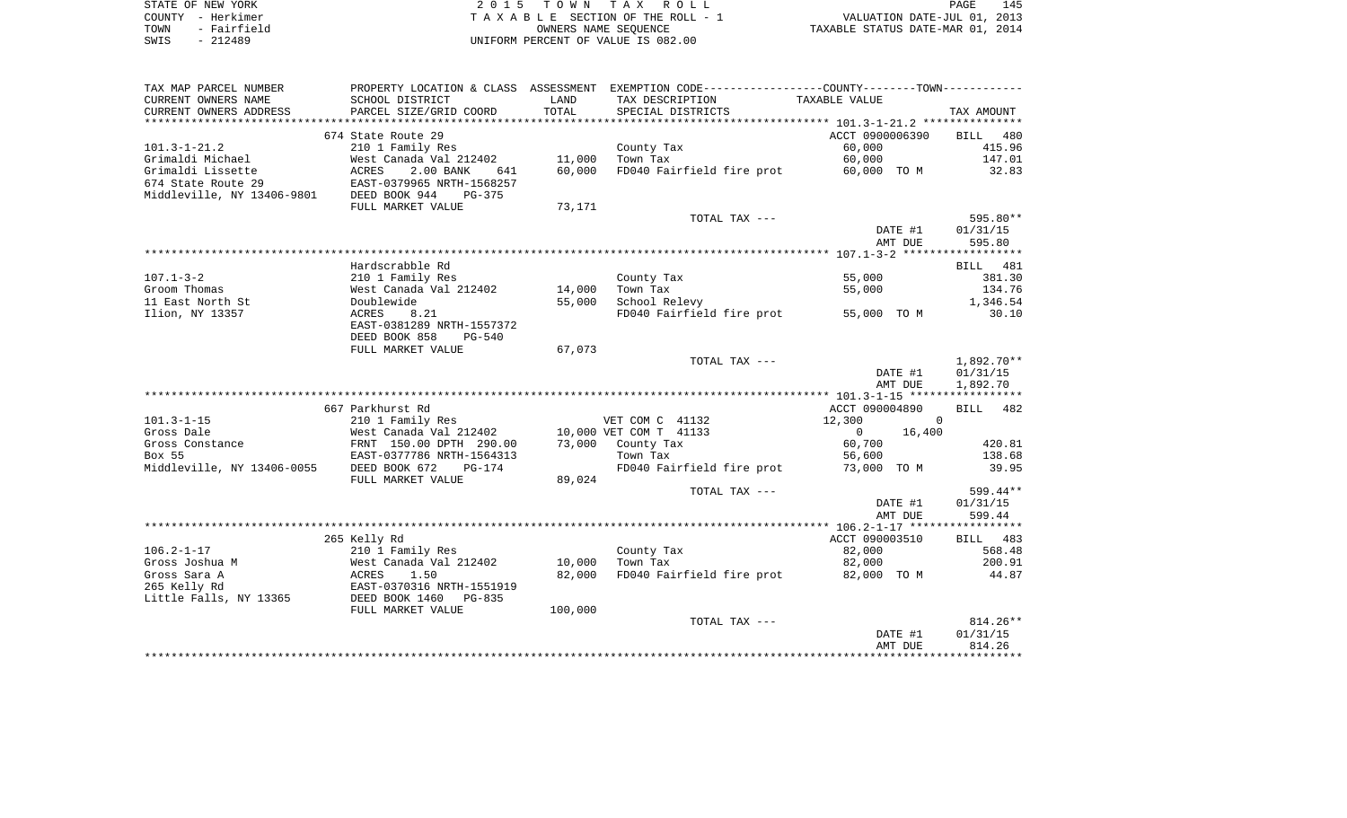| STATE OF NEW YORK   | 2015 TOWN TAX ROLL                 | 145<br>PAGE                      |
|---------------------|------------------------------------|----------------------------------|
| COUNTY - Herkimer   | TAXABLE SECTION OF THE ROLL - 1    | VALUATION DATE-JUL 01, 2013      |
| - Fairfield<br>TOWN | OWNERS NAME SEOUENCE               | TAXABLE STATUS DATE-MAR 01, 2014 |
| $-212489$<br>SWIS   | UNIFORM PERCENT OF VALUE IS 082.00 |                                  |

| TAX MAP PARCEL NUMBER      |                           |         | PROPERTY LOCATION & CLASS ASSESSMENT EXEMPTION CODE----------------COUNTY-------TOWN---------- |                          |              |
|----------------------------|---------------------------|---------|------------------------------------------------------------------------------------------------|--------------------------|--------------|
| CURRENT OWNERS NAME        | SCHOOL DISTRICT           | LAND    | TAX DESCRIPTION                                                                                | TAXABLE VALUE            |              |
| CURRENT OWNERS ADDRESS     | PARCEL SIZE/GRID COORD    | TOTAL   | SPECIAL DISTRICTS                                                                              |                          | TAX AMOUNT   |
|                            |                           |         |                                                                                                |                          |              |
|                            | 674 State Route 29        |         |                                                                                                | ACCT 0900006390          | BILL<br>480  |
| $101.3 - 1 - 21.2$         | 210 1 Family Res          |         | County Tax                                                                                     | 60,000                   | 415.96       |
| Grimaldi Michael           | West Canada Val 212402    | 11,000  | Town Tax                                                                                       | 60,000                   | 147.01       |
| Grimaldi Lissette          | ACRES<br>2.00 BANK<br>641 | 60,000  | FD040 Fairfield fire prot                                                                      | 60,000 TO M              | 32.83        |
| 674 State Route 29         | EAST-0379965 NRTH-1568257 |         |                                                                                                |                          |              |
| Middleville, NY 13406-9801 | DEED BOOK 944<br>PG-375   |         |                                                                                                |                          |              |
|                            | FULL MARKET VALUE         | 73,171  |                                                                                                |                          |              |
|                            |                           |         | TOTAL TAX ---                                                                                  |                          | 595.80**     |
|                            |                           |         |                                                                                                | DATE #1                  | 01/31/15     |
|                            |                           |         |                                                                                                | AMT DUE                  | 595.80       |
|                            |                           |         |                                                                                                |                          |              |
|                            | Hardscrabble Rd           |         |                                                                                                |                          | BILL 481     |
| $107.1 - 3 - 2$            | 210 1 Family Res          |         | County Tax                                                                                     | 55,000                   | 381.30       |
| Groom Thomas               | West Canada Val 212402    | 14,000  | Town Tax                                                                                       | 55,000                   | 134.76       |
| 11 East North St           | Doublewide                | 55,000  | School Relevy                                                                                  |                          | 1,346.54     |
| Ilion, NY 13357            | 8.21<br>ACRES             |         | FD040 Fairfield fire prot                                                                      | 55,000 TO M              | 30.10        |
|                            | EAST-0381289 NRTH-1557372 |         |                                                                                                |                          |              |
|                            | DEED BOOK 858<br>$PG-540$ |         |                                                                                                |                          |              |
|                            | FULL MARKET VALUE         | 67,073  |                                                                                                |                          |              |
|                            |                           |         | TOTAL TAX ---                                                                                  |                          | $1,892.70**$ |
|                            |                           |         |                                                                                                | DATE #1                  | 01/31/15     |
|                            |                           |         |                                                                                                | AMT DUE                  | 1,892.70     |
|                            |                           |         |                                                                                                |                          |              |
|                            | 667 Parkhurst Rd          |         |                                                                                                | ACCT 090004890           | BILL 482     |
| $101.3 - 1 - 15$           | 210 1 Family Res          |         | VET COM C 41132                                                                                | 12,300                   | $\Omega$     |
| Gross Dale                 | West Canada Val 212402    |         | 10,000 VET COM T 41133                                                                         | $\overline{0}$<br>16,400 |              |
| Gross Constance            | FRNT 150.00 DPTH 290.00   | 73,000  | County Tax                                                                                     | 60,700                   | 420.81       |
| Box 55                     | EAST-0377786 NRTH-1564313 |         | Town Tax                                                                                       | 56,600                   | 138.68       |
| Middleville, NY 13406-0055 | DEED BOOK 672<br>PG-174   |         | FD040 Fairfield fire prot                                                                      | 73,000 TO M              | 39.95        |
|                            | FULL MARKET VALUE         | 89,024  |                                                                                                |                          |              |
|                            |                           |         | TOTAL TAX ---                                                                                  |                          | 599.44**     |
|                            |                           |         |                                                                                                | DATE #1                  | 01/31/15     |
|                            |                           |         |                                                                                                | AMT DUE                  | 599.44       |
|                            |                           |         |                                                                                                |                          |              |
|                            | 265 Kelly Rd              |         |                                                                                                | ACCT 090003510           | BILL 483     |
| $106.2 - 1 - 17$           | 210 1 Family Res          |         | County Tax                                                                                     | 82,000                   | 568.48       |
| Gross Joshua M             | West Canada Val 212402    | 10,000  | Town Tax                                                                                       | 82,000                   | 200.91       |
| Gross Sara A               | ACRES<br>1.50             | 82,000  | FD040 Fairfield fire prot                                                                      | 82,000 TO M              | 44.87        |
| 265 Kelly Rd               | EAST-0370316 NRTH-1551919 |         |                                                                                                |                          |              |
| Little Falls, NY 13365     | DEED BOOK 1460<br>PG-835  |         |                                                                                                |                          |              |
|                            | FULL MARKET VALUE         | 100,000 |                                                                                                |                          |              |
|                            |                           |         | TOTAL TAX ---                                                                                  |                          | $814.26**$   |
|                            |                           |         |                                                                                                | DATE #1                  | 01/31/15     |
|                            |                           |         |                                                                                                | AMT DUE                  | 814.26       |
|                            |                           |         |                                                                                                |                          |              |
|                            |                           |         |                                                                                                |                          |              |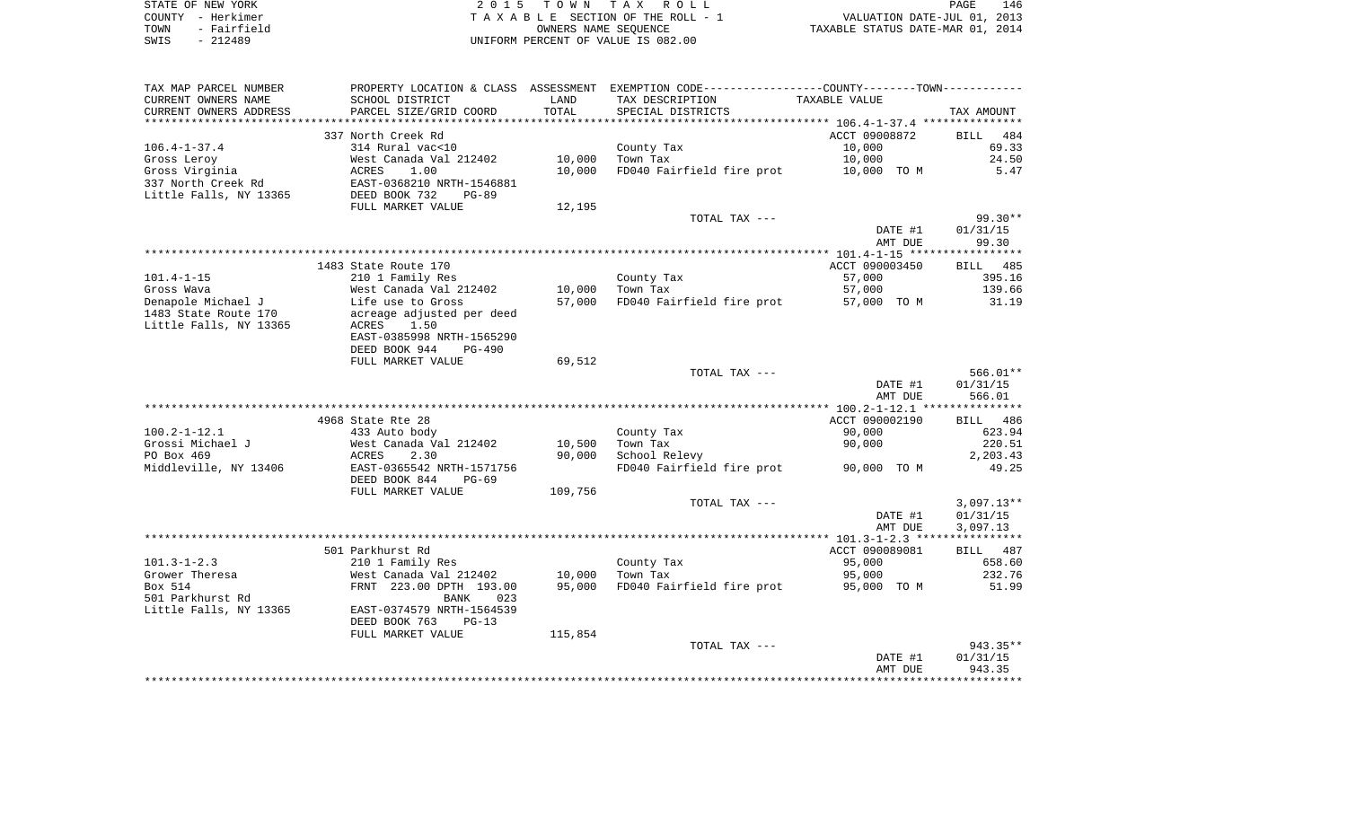| STATE OF NEW YORK   | 2015 TOWN TAX ROLL                 | 146<br>PAGE                      |
|---------------------|------------------------------------|----------------------------------|
| COUNTY - Herkimer   | TAXABLE SECTION OF THE ROLL - 1    | VALUATION DATE-JUL 01, 2013      |
| - Fairfield<br>TOWN | OWNERS NAME SEOUENCE               | TAXABLE STATUS DATE-MAR 01, 2014 |
| - 212489<br>SWIS    | UNIFORM PERCENT OF VALUE IS 082.00 |                                  |

| TAX MAP PARCEL NUMBER  | PROPERTY LOCATION & CLASS ASSESSMENT |         | EXEMPTION CODE-----------------COUNTY--------TOWN----------- |                |                    |
|------------------------|--------------------------------------|---------|--------------------------------------------------------------|----------------|--------------------|
| CURRENT OWNERS NAME    | SCHOOL DISTRICT                      | LAND    | TAX DESCRIPTION                                              | TAXABLE VALUE  |                    |
| CURRENT OWNERS ADDRESS | PARCEL SIZE/GRID COORD               | TOTAL   | SPECIAL DISTRICTS                                            |                | TAX AMOUNT         |
|                        |                                      |         |                                                              |                |                    |
|                        | 337 North Creek Rd                   |         |                                                              | ACCT 09008872  | 484<br><b>BILL</b> |
| $106.4 - 1 - 37.4$     | 314 Rural vac<10                     |         | County Tax                                                   | 10,000         | 69.33              |
| Gross Leroy            | West Canada Val 212402               | 10,000  | Town Tax                                                     | 10,000         | 24.50              |
| Gross Virginia         | ACRES<br>1.00                        | 10,000  | FD040 Fairfield fire prot                                    | 10,000 TO M    | 5.47               |
| 337 North Creek Rd     | EAST-0368210 NRTH-1546881            |         |                                                              |                |                    |
| Little Falls, NY 13365 | DEED BOOK 732<br>$PG-89$             |         |                                                              |                |                    |
|                        | FULL MARKET VALUE                    | 12,195  |                                                              |                |                    |
|                        |                                      |         | TOTAL TAX ---                                                |                | $99.30**$          |
|                        |                                      |         |                                                              | DATE #1        | 01/31/15           |
|                        |                                      |         |                                                              | AMT DUE        | 99.30              |
|                        |                                      |         |                                                              |                |                    |
|                        | 1483 State Route 170                 |         |                                                              | ACCT 090003450 | <b>BILL</b> 485    |
| $101.4 - 1 - 15$       | 210 1 Family Res                     |         | County Tax                                                   | 57,000         | 395.16             |
| Gross Wava             | West Canada Val 212402               | 10,000  | Town Tax                                                     | 57,000         | 139.66             |
| Denapole Michael J     | Life use to Gross                    | 57,000  | FD040 Fairfield fire prot                                    | 57,000 TO M    | 31.19              |
| 1483 State Route 170   | acreage adjusted per deed            |         |                                                              |                |                    |
| Little Falls, NY 13365 | ACRES<br>1.50                        |         |                                                              |                |                    |
|                        | EAST-0385998 NRTH-1565290            |         |                                                              |                |                    |
|                        | DEED BOOK 944<br>$PG-490$            |         |                                                              |                |                    |
|                        | FULL MARKET VALUE                    | 69,512  |                                                              |                |                    |
|                        |                                      |         | TOTAL TAX ---                                                |                | $566.01**$         |
|                        |                                      |         |                                                              | DATE #1        | 01/31/15           |
|                        |                                      |         |                                                              | AMT DUE        | 566.01             |
|                        |                                      |         |                                                              |                |                    |
|                        | 4968 State Rte 28                    |         |                                                              | ACCT 090002190 | BILL 486           |
| $100.2 - 1 - 12.1$     | 433 Auto body                        |         | County Tax                                                   | 90,000         | 623.94             |
| Grossi Michael J       | West Canada Val 212402               | 10,500  | Town Tax                                                     | 90,000         | 220.51             |
| PO Box 469             | ACRES<br>2.30                        | 90,000  | School Relevy                                                |                | 2,203.43           |
| Middleville, NY 13406  | EAST-0365542 NRTH-1571756            |         | FD040 Fairfield fire prot                                    | 90,000 TO M    | 49.25              |
|                        | DEED BOOK 844<br>$PG-69$             |         |                                                              |                |                    |
|                        | FULL MARKET VALUE                    | 109,756 |                                                              |                |                    |
|                        |                                      |         | TOTAL TAX ---                                                |                | $3,097.13**$       |
|                        |                                      |         |                                                              | DATE #1        | 01/31/15           |
|                        |                                      |         |                                                              | AMT DUE        | 3,097.13           |
|                        |                                      |         |                                                              |                |                    |
|                        | 501 Parkhurst Rd                     |         |                                                              | ACCT 090089081 | BILL 487           |
| $101.3 - 1 - 2.3$      | 210 1 Family Res                     |         | County Tax                                                   | 95,000         | 658.60             |
| Grower Theresa         | West Canada Val 212402               | 10,000  | Town Tax                                                     | 95,000         | 232.76             |
| Box 514                | FRNT 223.00 DPTH 193.00              | 95,000  | FD040 Fairfield fire prot                                    | 95,000 TO M    | 51.99              |
| 501 Parkhurst Rd       | <b>BANK</b><br>023                   |         |                                                              |                |                    |
| Little Falls, NY 13365 | EAST-0374579 NRTH-1564539            |         |                                                              |                |                    |
|                        | DEED BOOK 763<br>$PG-13$             |         |                                                              |                |                    |
|                        | FULL MARKET VALUE                    | 115,854 |                                                              |                |                    |
|                        |                                      |         | TOTAL TAX ---                                                |                | 943.35**           |
|                        |                                      |         |                                                              | DATE #1        | 01/31/15           |
|                        |                                      |         |                                                              | AMT DUE        | 943.35             |
|                        |                                      |         |                                                              |                |                    |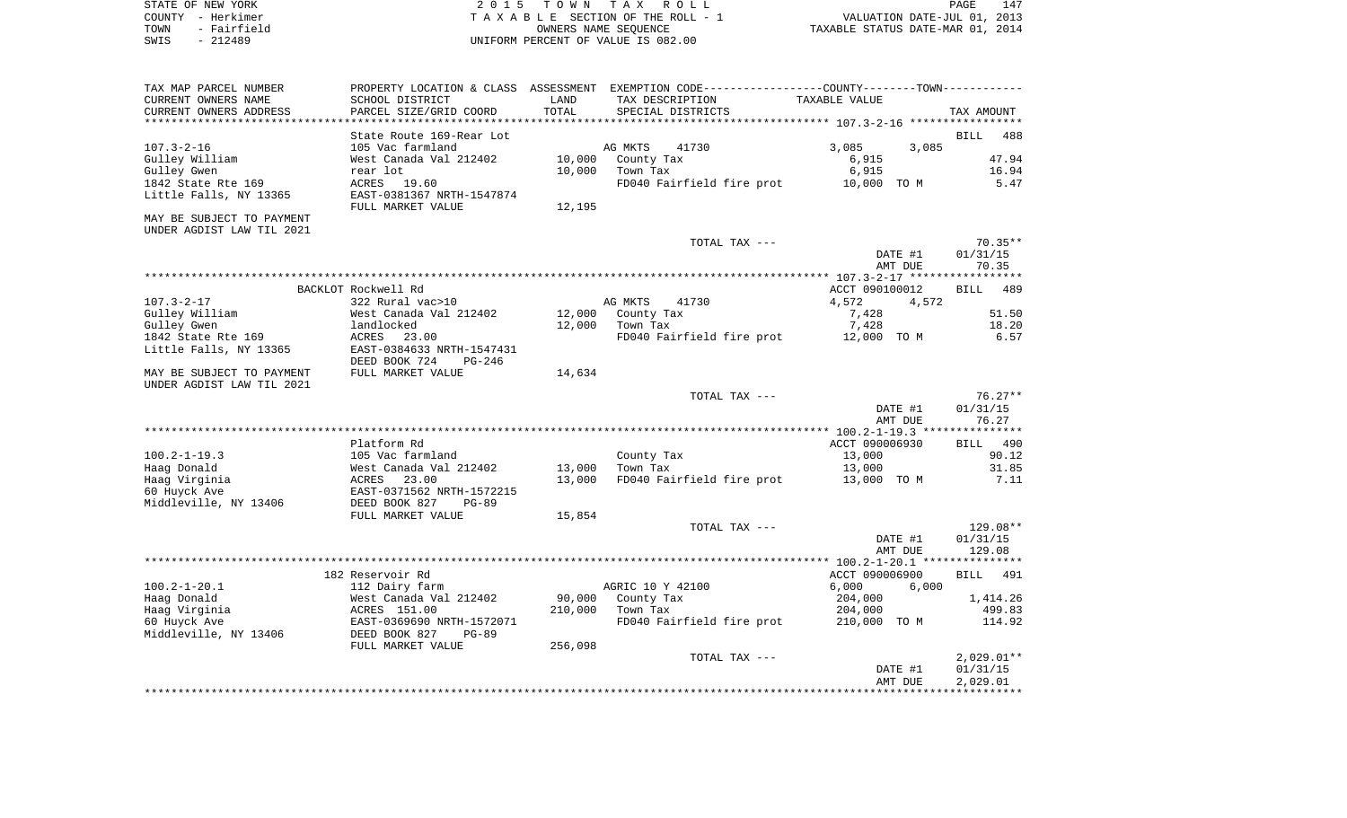| STATE OF NEW YORK<br>2015 TOWN TAX ROLL                | 147<br>PAGE                      |
|--------------------------------------------------------|----------------------------------|
| COUNTY - Herkimer<br>TAXABLE SECTION OF THE ROLL - 1   | VALUATION DATE-JUL 01, 2013      |
| TOWN<br>- Fairfield<br>OWNERS NAME SEOUENCE            | TAXABLE STATUS DATE-MAR 01, 2014 |
| SWIS<br>UNIFORM PERCENT OF VALUE IS 082.00<br>- 212489 |                                  |

| TAX MAP PARCEL NUMBER     | PROPERTY LOCATION & CLASS | ASSESSMENT | EXEMPTION CODE-----------------COUNTY--------TOWN----------- |                                                     |                    |
|---------------------------|---------------------------|------------|--------------------------------------------------------------|-----------------------------------------------------|--------------------|
| CURRENT OWNERS NAME       | SCHOOL DISTRICT           | LAND       | TAX DESCRIPTION                                              | TAXABLE VALUE                                       |                    |
| CURRENT OWNERS ADDRESS    | PARCEL SIZE/GRID COORD    | TOTAL      | SPECIAL DISTRICTS                                            |                                                     | TAX AMOUNT         |
|                           | ************************  |            | ****************************                                 | ********************* 107.3-2-16 ****************** |                    |
|                           | State Route 169-Rear Lot  |            |                                                              |                                                     | <b>BILL</b><br>488 |
| $107.3 - 2 - 16$          | 105 Vac farmland          |            | AG MKTS<br>41730                                             | 3,085<br>3,085                                      |                    |
| Gulley William            | West Canada Val 212402    | 10,000     | County Tax                                                   | 6,915                                               | 47.94              |
| Gulley Gwen               | rear lot                  | 10,000     | Town Tax                                                     | 6,915                                               | 16.94              |
|                           |                           |            |                                                              |                                                     |                    |
| 1842 State Rte 169        | ACRES 19.60               |            | FD040 Fairfield fire prot                                    | 10,000 TO M                                         | 5.47               |
| Little Falls, NY 13365    | EAST-0381367 NRTH-1547874 |            |                                                              |                                                     |                    |
|                           | FULL MARKET VALUE         | 12,195     |                                                              |                                                     |                    |
| MAY BE SUBJECT TO PAYMENT |                           |            |                                                              |                                                     |                    |
| UNDER AGDIST LAW TIL 2021 |                           |            |                                                              |                                                     |                    |
|                           |                           |            | TOTAL TAX ---                                                |                                                     | $70.35**$          |
|                           |                           |            |                                                              | DATE #1                                             | 01/31/15           |
|                           |                           |            |                                                              | AMT DUE                                             | 70.35              |
|                           |                           |            |                                                              |                                                     |                    |
|                           | BACKLOT Rockwell Rd       |            |                                                              | ACCT 090100012                                      | 489<br>BILL        |
| $107.3 - 2 - 17$          | 322 Rural vac>10          |            | AG MKTS<br>41730                                             | 4,572<br>4,572                                      |                    |
| Gulley William            | West Canada Val 212402    | 12,000     | County Tax                                                   | 7,428                                               | 51.50              |
|                           |                           |            |                                                              |                                                     |                    |
| Gulley Gwen               | landlocked                | 12,000     | Town Tax                                                     | 7,428                                               | 18.20              |
| 1842 State Rte 169        | ACRES<br>23.00            |            | FD040 Fairfield fire prot                                    | 12,000 TO M                                         | 6.57               |
| Little Falls, NY 13365    | EAST-0384633 NRTH-1547431 |            |                                                              |                                                     |                    |
|                           | DEED BOOK 724<br>$PG-246$ |            |                                                              |                                                     |                    |
| MAY BE SUBJECT TO PAYMENT | FULL MARKET VALUE         | 14,634     |                                                              |                                                     |                    |
| UNDER AGDIST LAW TIL 2021 |                           |            |                                                              |                                                     |                    |
|                           |                           |            | TOTAL TAX ---                                                |                                                     | $76.27**$          |
|                           |                           |            |                                                              | DATE #1                                             | 01/31/15           |
|                           |                           |            |                                                              | AMT DUE                                             | 76.27              |
|                           |                           |            |                                                              |                                                     |                    |
|                           | Platform Rd               |            |                                                              | ACCT 090006930                                      | BILL 490           |
| $100.2 - 1 - 19.3$        | 105 Vac farmland          |            | County Tax                                                   | 13,000                                              | 90.12              |
|                           |                           |            |                                                              |                                                     |                    |
| Haag Donald               | West Canada Val 212402    | 13,000     | Town Tax                                                     | 13,000                                              | 31.85              |
| Haag Virginia             | ACRES 23.00               | 13,000     | FD040 Fairfield fire prot                                    | 13,000 TO M                                         | 7.11               |
| 60 Huyck Ave              | EAST-0371562 NRTH-1572215 |            |                                                              |                                                     |                    |
| Middleville, NY 13406     | DEED BOOK 827<br>$PG-89$  |            |                                                              |                                                     |                    |
|                           | FULL MARKET VALUE         | 15,854     |                                                              |                                                     |                    |
|                           |                           |            | TOTAL TAX ---                                                |                                                     | 129.08**           |
|                           |                           |            |                                                              | DATE #1                                             | 01/31/15           |
|                           |                           |            |                                                              | AMT DUE                                             | 129.08             |
|                           |                           |            |                                                              |                                                     |                    |
|                           | 182 Reservoir Rd          |            |                                                              | ACCT 090006900                                      | BILL<br>491        |
| $100.2 - 1 - 20.1$        | 112 Dairy farm            |            | AGRIC 10 Y 42100                                             | 6,000<br>6,000                                      |                    |
| Haag Donald               | West Canada Val 212402    | 90,000     | County Tax                                                   | 204,000                                             | 1,414.26           |
|                           | ACRES 151.00              | 210,000    |                                                              |                                                     | 499.83             |
| Haag Virginia             |                           |            | Town Tax                                                     | 204,000                                             |                    |
| 60 Huyck Ave              | EAST-0369690 NRTH-1572071 |            | FD040 Fairfield fire prot                                    | 210,000 TO M                                        | 114.92             |
| Middleville, NY 13406     | DEED BOOK 827<br>$PG-89$  |            |                                                              |                                                     |                    |
|                           | FULL MARKET VALUE         | 256,098    |                                                              |                                                     |                    |
|                           |                           |            | TOTAL TAX ---                                                |                                                     | $2,029.01**$       |
|                           |                           |            |                                                              | DATE #1                                             | 01/31/15           |
|                           |                           |            |                                                              | AMT DUE                                             | 2,029.01           |
|                           |                           |            |                                                              |                                                     |                    |
|                           |                           |            |                                                              |                                                     |                    |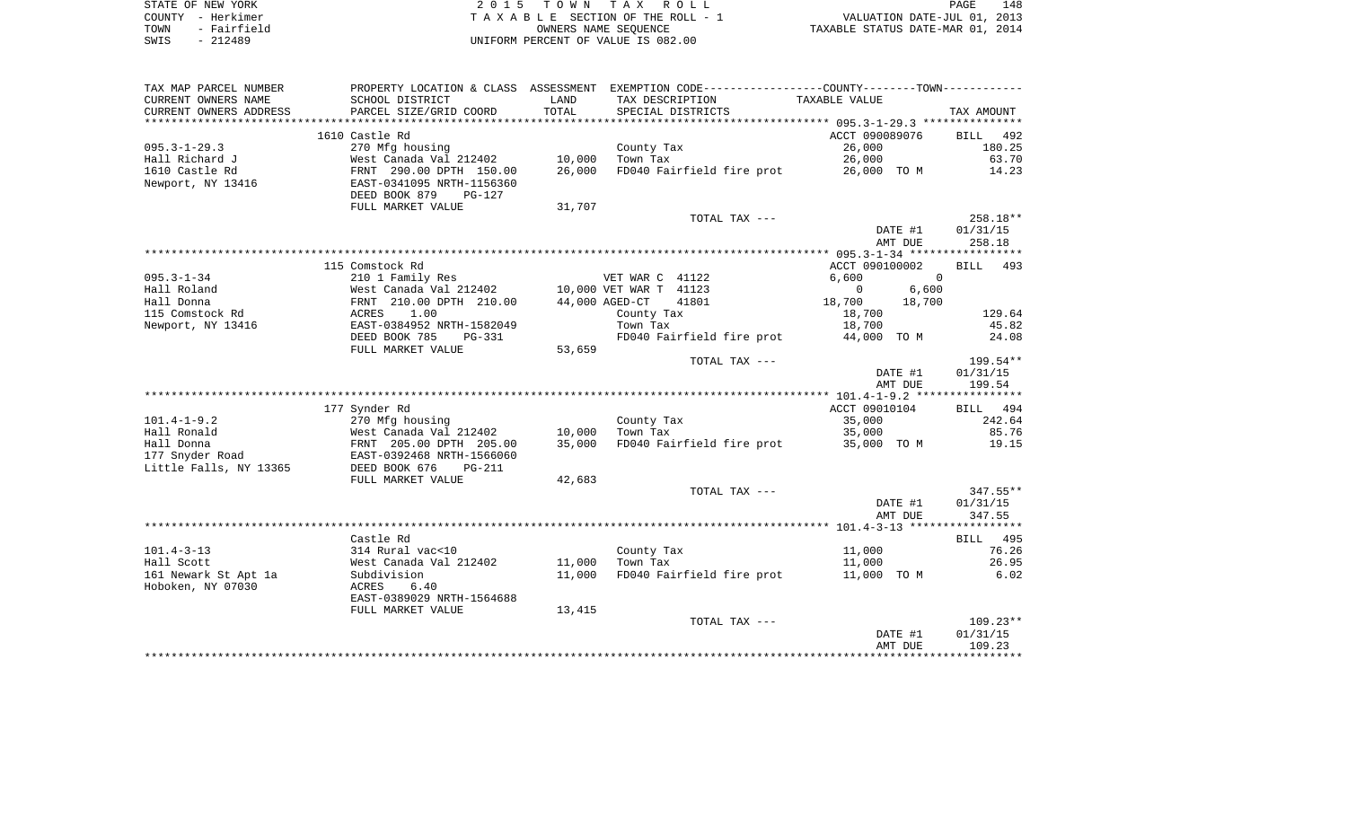| STATE OF NEW YORK   | 2015 TOWN TAX ROLL                 | 148<br>PAGE                      |
|---------------------|------------------------------------|----------------------------------|
| COUNTY - Herkimer   | TAXABLE SECTION OF THE ROLL - 1    | VALUATION DATE-JUL 01, 2013      |
| - Fairfield<br>TOWN | OWNERS NAME SEOUENCE               | TAXABLE STATUS DATE-MAR 01, 2014 |
| - 212489<br>SWIS    | UNIFORM PERCENT OF VALUE IS 082.00 |                                  |

| TAX MAP PARCEL NUMBER  |                                |                | PROPERTY LOCATION & CLASS ASSESSMENT EXEMPTION CODE---------------COUNTY-------TOWN---------- |                      |                   |
|------------------------|--------------------------------|----------------|-----------------------------------------------------------------------------------------------|----------------------|-------------------|
| CURRENT OWNERS NAME    | SCHOOL DISTRICT                | LAND           | TAX DESCRIPTION                                                                               | TAXABLE VALUE        |                   |
| CURRENT OWNERS ADDRESS | PARCEL SIZE/GRID COORD         | TOTAL          | SPECIAL DISTRICTS                                                                             |                      | TAX AMOUNT        |
|                        |                                |                |                                                                                               |                      |                   |
|                        | 1610 Castle Rd                 |                |                                                                                               | ACCT 090089076       | BILL 492          |
| $095.3 - 1 - 29.3$     | 270 Mfg housing                |                | County Tax                                                                                    | 26,000               | 180.25            |
| Hall Richard J         | West Canada Val 212402         | 10,000         | Town Tax                                                                                      | 26,000               | 63.70             |
| 1610 Castle Rd         | FRNT 290.00 DPTH 150.00        | 26,000         | FD040 Fairfield fire prot                                                                     | 26,000 TO M          | 14.23             |
| Newport, NY 13416      | EAST-0341095 NRTH-1156360      |                |                                                                                               |                      |                   |
|                        | DEED BOOK 879<br>$PG-127$      |                |                                                                                               |                      |                   |
|                        | FULL MARKET VALUE              | 31,707         |                                                                                               |                      |                   |
|                        |                                |                | TOTAL TAX ---                                                                                 |                      | 258.18**          |
|                        |                                |                |                                                                                               | DATE #1              | 01/31/15          |
|                        |                                |                |                                                                                               | AMT DUE              | 258.18            |
|                        |                                |                |                                                                                               |                      |                   |
|                        | 115 Comstock Rd                |                |                                                                                               | ACCT 090100002       | BILL 493          |
| $095.3 - 1 - 34$       | 210 1 Family Res               |                | VET WAR C 41122                                                                               | 6,600<br>$\Omega$    |                   |
| Hall Roland            | West Canada Val 212402         |                | 10,000 VET WAR T 41123                                                                        | $\mathbf 0$<br>6,600 |                   |
| Hall Donna             | FRNT 210.00 DPTH 210.00        | 44,000 AGED-CT | 41801                                                                                         | 18,700<br>18,700     |                   |
| 115 Comstock Rd        | 1.00<br>ACRES                  |                | County Tax                                                                                    | 18,700               | 129.64            |
| Newport, NY 13416      | EAST-0384952 NRTH-1582049      |                | Town Tax                                                                                      | 18,700               | 45.82             |
|                        | DEED BOOK 785<br><b>PG-331</b> |                | FD040 Fairfield fire prot                                                                     | 44,000 TO M          | 24.08             |
|                        | FULL MARKET VALUE              | 53,659         |                                                                                               |                      |                   |
|                        |                                |                | TOTAL TAX ---                                                                                 |                      | 199.54**          |
|                        |                                |                |                                                                                               | DATE #1              | 01/31/15          |
|                        |                                |                |                                                                                               | AMT DUE              | 199.54            |
|                        |                                |                |                                                                                               |                      |                   |
|                        | 177 Synder Rd                  |                |                                                                                               | ACCT 09010104        | BILL 494          |
| $101.4 - 1 - 9.2$      | 270 Mfg housing                |                | County Tax                                                                                    | 35,000               | 242.64            |
| Hall Ronald            | West Canada Val 212402         | 10,000         | Town Tax                                                                                      | 35,000               | 85.76             |
| Hall Donna             | FRNT 205.00 DPTH 205.00        | 35,000         | FD040 Fairfield fire prot 35,000 TO M                                                         |                      | 19.15             |
| 177 Snyder Road        | EAST-0392468 NRTH-1566060      |                |                                                                                               |                      |                   |
| Little Falls, NY 13365 | DEED BOOK 676<br>$PG-211$      |                |                                                                                               |                      |                   |
|                        | FULL MARKET VALUE              | 42,683         |                                                                                               |                      |                   |
|                        |                                |                | TOTAL TAX ---                                                                                 |                      | $347.55**$        |
|                        |                                |                |                                                                                               | DATE #1              | 01/31/15          |
|                        |                                |                |                                                                                               | AMT DUE              | 347.55            |
|                        |                                |                |                                                                                               |                      |                   |
|                        | Castle Rd                      |                |                                                                                               |                      |                   |
|                        |                                |                |                                                                                               |                      | BILL 495<br>76.26 |
| $101.4 - 3 - 13$       | 314 Rural vac<10               |                | County Tax                                                                                    | 11,000               |                   |
| Hall Scott             | West Canada Val 212402         | 11,000         | Town Tax                                                                                      | 11,000               | 26.95             |
| 161 Newark St Apt 1a   | Subdivision                    | 11,000         | FD040 Fairfield fire prot                                                                     | 11,000 TO M          | 6.02              |
| Hoboken, NY 07030      | ACRES<br>6.40                  |                |                                                                                               |                      |                   |
|                        | EAST-0389029 NRTH-1564688      |                |                                                                                               |                      |                   |
|                        | FULL MARKET VALUE              | 13,415         |                                                                                               |                      |                   |
|                        |                                |                | TOTAL TAX ---                                                                                 |                      | $109.23**$        |
|                        |                                |                |                                                                                               | DATE #1              | 01/31/15          |
|                        |                                |                |                                                                                               | AMT DUE              | 109.23            |
|                        |                                |                |                                                                                               |                      |                   |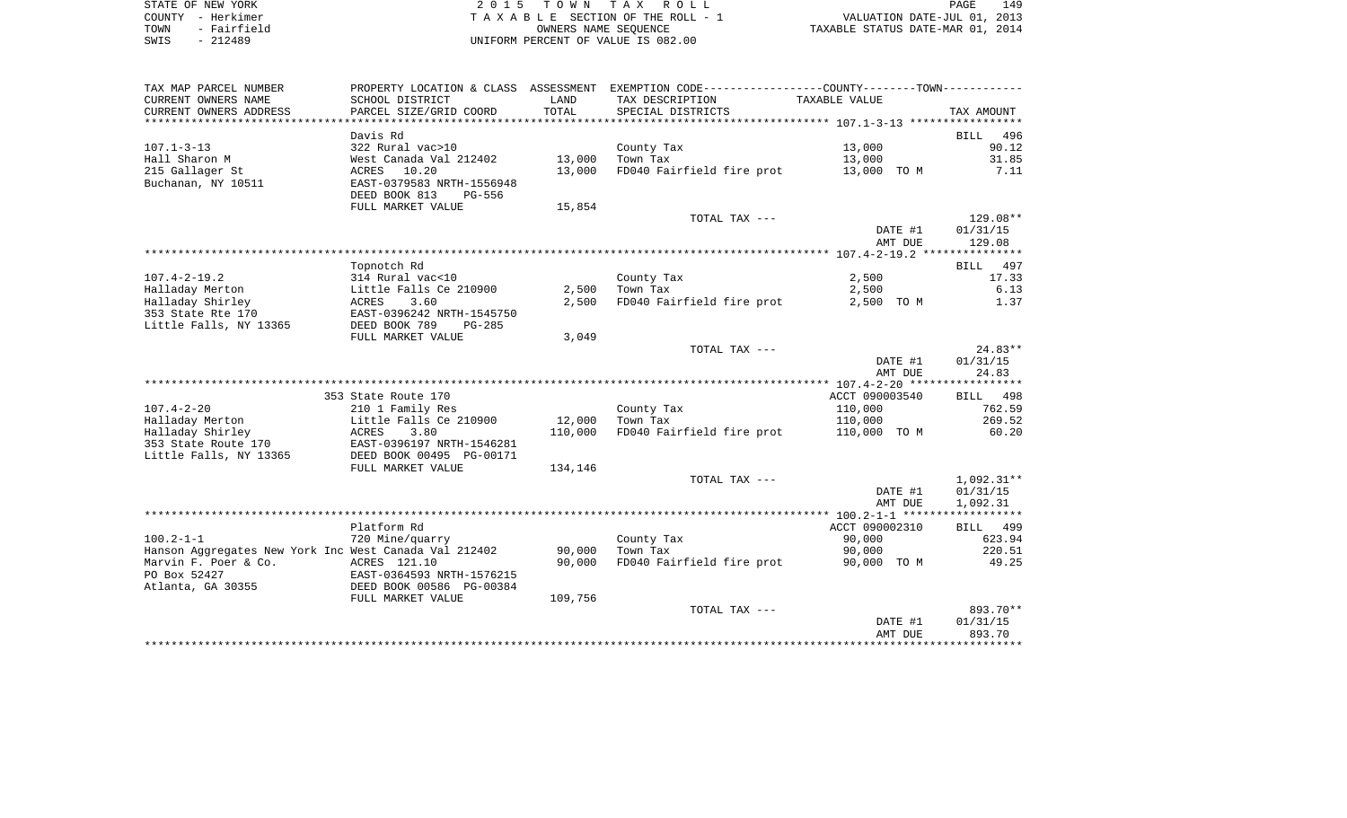| STATE OF NEW YORK   | 2015 TOWN TAX ROLL                 | 149<br>PAGE                      |
|---------------------|------------------------------------|----------------------------------|
| COUNTY - Herkimer   | TAXABLE SECTION OF THE ROLL - 1    | VALUATION DATE-JUL 01, 2013      |
| - Fairfield<br>TOWN | OWNERS NAME SEOUENCE               | TAXABLE STATUS DATE-MAR 01, 2014 |
| SWIS<br>$-212489$   | UNIFORM PERCENT OF VALUE IS 082.00 |                                  |

| TAX MAP PARCEL NUMBER                                             |                                                                               |         | PROPERTY LOCATION & CLASS ASSESSMENT EXEMPTION CODE---------------COUNTY-------TOWN--------- |                          |                                |
|-------------------------------------------------------------------|-------------------------------------------------------------------------------|---------|----------------------------------------------------------------------------------------------|--------------------------|--------------------------------|
| CURRENT OWNERS NAME                                               | SCHOOL DISTRICT                                                               | LAND    | TAX DESCRIPTION                                                                              | TAXABLE VALUE            |                                |
| CURRENT OWNERS ADDRESS                                            | PARCEL SIZE/GRID COORD                                                        | TOTAL   | SPECIAL DISTRICTS                                                                            |                          | TAX AMOUNT                     |
|                                                                   | Davis Rd                                                                      |         |                                                                                              |                          | 496<br>BILL                    |
| $107.1 - 3 - 13$                                                  | 322 Rural vac>10                                                              |         | County Tax                                                                                   | 13,000                   | 90.12                          |
| Hall Sharon M                                                     | West Canada Val 212402                                                        | 13,000  | Town Tax                                                                                     | 13,000                   | 31.85                          |
| 215 Gallager St<br>Buchanan, NY 10511                             | ACRES<br>10.20<br>EAST-0379583 NRTH-1556948<br>DEED BOOK 813<br><b>PG-556</b> | 13,000  | FD040 Fairfield fire prot                                                                    | 13,000 TO M              | 7.11                           |
|                                                                   | FULL MARKET VALUE                                                             | 15,854  |                                                                                              |                          |                                |
|                                                                   |                                                                               |         | TOTAL TAX ---                                                                                | DATE #1<br>AMT DUE       | 129.08**<br>01/31/15<br>129.08 |
|                                                                   |                                                                               |         |                                                                                              |                          |                                |
|                                                                   | Topnotch Rd                                                                   |         |                                                                                              |                          | BILL 497                       |
| $107.4 - 2 - 19.2$                                                | 314 Rural vac<10                                                              |         | County Tax                                                                                   | 2,500                    | 17.33                          |
| Halladay Merton                                                   | Little Falls Ce 210900                                                        | 2,500   | Town Tax                                                                                     | 2,500                    | 6.13                           |
| Halladay Shirley<br>353 State Rte 170<br>Little Falls, NY 13365   | ACRES<br>3.60<br>EAST-0396242 NRTH-1545750<br>DEED BOOK 789<br>$PG-285$       | 2,500   | FD040 Fairfield fire prot                                                                    | 2,500 TO M               | 1.37                           |
|                                                                   | FULL MARKET VALUE                                                             | 3,049   |                                                                                              |                          |                                |
|                                                                   |                                                                               |         | TOTAL TAX ---                                                                                |                          | $24.83**$                      |
|                                                                   |                                                                               |         |                                                                                              | DATE #1<br>AMT DUE       | 01/31/15<br>24.83              |
|                                                                   | 353 State Route 170                                                           |         |                                                                                              | ACCT 090003540           | BILL 498                       |
| $107.4 - 2 - 20$                                                  | 210 1 Family Res                                                              |         | County Tax                                                                                   | 110,000                  | 762.59                         |
| Halladay Merton                                                   | Little Falls Ce 210900                                                        | 12,000  | Town Tax                                                                                     | 110,000                  | 269.52                         |
| Halladay Shirley<br>353 State Route 170<br>Little Falls, NY 13365 | ACRES<br>3.80<br>EAST-0396197 NRTH-1546281<br>DEED BOOK 00495 PG-00171        | 110,000 | FD040 Fairfield fire prot                                                                    | 110,000 TO M             | 60.20                          |
|                                                                   | FULL MARKET VALUE                                                             | 134,146 |                                                                                              |                          |                                |
|                                                                   |                                                                               |         | TOTAL TAX ---                                                                                |                          | $1,092.31**$                   |
|                                                                   |                                                                               |         |                                                                                              | DATE #1<br>AMT DUE       | 01/31/15<br>1,092.31           |
|                                                                   |                                                                               |         |                                                                                              |                          | BILL 499                       |
| $100.2 - 1 - 1$                                                   | Platform Rd<br>720 Mine/quarry                                                |         | County Tax                                                                                   | ACCT 090002310<br>90,000 | 623.94                         |
| Hanson Aggregates New York Inc West Canada Val 212402             |                                                                               | 90,000  | Town Tax                                                                                     | 90,000                   | 220.51                         |
| Marvin F. Poer & Co.<br>PO Box 52427<br>Atlanta, GA 30355         | ACRES 121.10<br>EAST-0364593 NRTH-1576215<br>DEED BOOK 00586 PG-00384         | 90,000  | FD040 Fairfield fire prot                                                                    | 90,000 TO M              | 49.25                          |
|                                                                   | FULL MARKET VALUE                                                             | 109,756 |                                                                                              |                          |                                |
|                                                                   |                                                                               |         | TOTAL TAX ---                                                                                |                          | 893.70**                       |
|                                                                   |                                                                               |         |                                                                                              | DATE #1<br>AMT DUE       | 01/31/15<br>893.70             |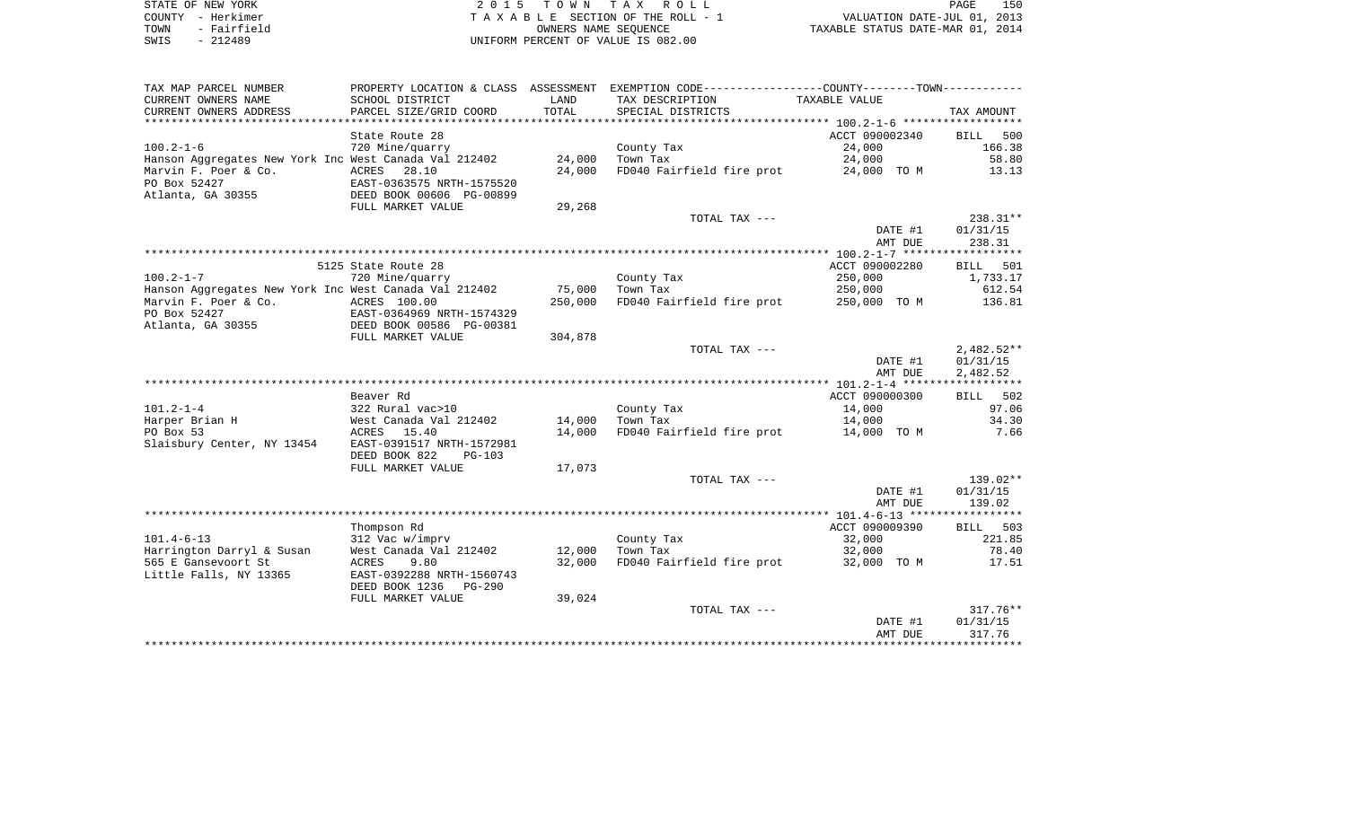| STATE OF NEW YORK   | 2015 TOWN TAX ROLL                 | 150<br>PAGE                      |
|---------------------|------------------------------------|----------------------------------|
| COUNTY - Herkimer   | TAXABLE SECTION OF THE ROLL - 1    | VALUATION DATE-JUL 01, 2013      |
| - Fairfield<br>TOWN | OWNERS NAME SEOUENCE               | TAXABLE STATUS DATE-MAR 01, 2014 |
| $-212489$<br>SWIS   | UNIFORM PERCENT OF VALUE IS 082.00 |                                  |

| TAX MAP PARCEL NUMBER                                 |                                             |         | PROPERTY LOCATION & CLASS ASSESSMENT EXEMPTION CODE---------------COUNTY--------TOWN---------- |                |              |
|-------------------------------------------------------|---------------------------------------------|---------|------------------------------------------------------------------------------------------------|----------------|--------------|
| CURRENT OWNERS NAME                                   | SCHOOL DISTRICT                             | LAND    | TAX DESCRIPTION                                                                                | TAXABLE VALUE  |              |
| CURRENT OWNERS ADDRESS                                | PARCEL SIZE/GRID COORD                      | TOTAL   | SPECIAL DISTRICTS                                                                              |                | TAX AMOUNT   |
|                                                       |                                             |         |                                                                                                |                |              |
|                                                       | State Route 28                              |         |                                                                                                | ACCT 090002340 | 500<br>BILL  |
| $100.2 - 1 - 6$                                       | 720 Mine/quarry                             |         | County Tax                                                                                     | 24,000         | 166.38       |
| Hanson Aggregates New York Inc West Canada Val 212402 |                                             | 24,000  | Town Tax                                                                                       | 24,000         | 58.80        |
| Marvin F. Poer & Co.<br>PO Box 52427                  | ACRES<br>28.10<br>EAST-0363575 NRTH-1575520 | 24,000  | FD040 Fairfield fire prot                                                                      | 24,000 TO M    | 13.13        |
| Atlanta, GA 30355                                     | DEED BOOK 00606 PG-00899                    |         |                                                                                                |                |              |
|                                                       | FULL MARKET VALUE                           | 29,268  |                                                                                                |                |              |
|                                                       |                                             |         | TOTAL TAX ---                                                                                  |                | 238.31**     |
|                                                       |                                             |         |                                                                                                | DATE #1        | 01/31/15     |
|                                                       |                                             |         |                                                                                                | AMT DUE        | 238.31       |
|                                                       |                                             |         |                                                                                                |                |              |
|                                                       | 5125 State Route 28                         |         |                                                                                                | ACCT 090002280 | BILL 501     |
| $100.2 - 1 - 7$                                       | 720 Mine/quarry                             |         | County Tax                                                                                     | 250,000        | 1,733.17     |
| Hanson Aggregates New York Inc West Canada Val 212402 |                                             | 75,000  | Town Tax                                                                                       | 250,000        | 612.54       |
| Marvin F. Poer & Co.                                  | ACRES 100.00                                | 250,000 | FD040 Fairfield fire prot                                                                      | 250,000 TO M   | 136.81       |
| PO Box 52427                                          | EAST-0364969 NRTH-1574329                   |         |                                                                                                |                |              |
| Atlanta, GA 30355                                     | DEED BOOK 00586 PG-00381                    |         |                                                                                                |                |              |
|                                                       | FULL MARKET VALUE                           | 304,878 | TOTAL TAX ---                                                                                  |                | $2,482.52**$ |
|                                                       |                                             |         |                                                                                                | DATE #1        | 01/31/15     |
|                                                       |                                             |         |                                                                                                | AMT DUE        | 2,482.52     |
|                                                       |                                             |         |                                                                                                |                |              |
|                                                       | Beaver Rd                                   |         |                                                                                                | ACCT 090000300 | BILL 502     |
| $101.2 - 1 - 4$                                       | 322 Rural vac>10                            |         | County Tax                                                                                     | 14,000         | 97.06        |
| Harper Brian H                                        | West Canada Val 212402                      | 14,000  | Town Tax                                                                                       | 14,000         | 34.30        |
| PO Box 53                                             | ACRES 15.40                                 | 14,000  | FD040 Fairfield fire prot 14,000 TO M                                                          |                | 7.66         |
| Slaisbury Center, NY 13454                            | EAST-0391517 NRTH-1572981                   |         |                                                                                                |                |              |
|                                                       | DEED BOOK 822<br><b>PG-103</b>              |         |                                                                                                |                |              |
|                                                       | FULL MARKET VALUE                           | 17,073  |                                                                                                |                |              |
|                                                       |                                             |         | TOTAL TAX ---                                                                                  |                | 139.02**     |
|                                                       |                                             |         |                                                                                                | DATE #1        | 01/31/15     |
|                                                       |                                             |         |                                                                                                | AMT DUE        | 139.02       |
|                                                       | Thompson Rd                                 |         |                                                                                                | ACCT 090009390 | BILL 503     |
| $101.4 - 6 - 13$                                      | 312 Vac w/imprv                             |         | County Tax                                                                                     | 32,000         | 221.85       |
| Harrington Darryl & Susan                             | West Canada Val 212402                      | 12,000  | Town Tax                                                                                       | 32,000         | 78.40        |
| 565 E Gansevoort St                                   | 9.80<br>ACRES                               | 32,000  | FD040 Fairfield fire prot                                                                      | 32,000 TO M    | 17.51        |
| Little Falls, NY 13365                                | EAST-0392288 NRTH-1560743                   |         |                                                                                                |                |              |
|                                                       | DEED BOOK 1236<br>$PG-290$                  |         |                                                                                                |                |              |
|                                                       | FULL MARKET VALUE                           | 39,024  |                                                                                                |                |              |
|                                                       |                                             |         | TOTAL TAX ---                                                                                  |                | $317.76**$   |
|                                                       |                                             |         |                                                                                                | DATE #1        | 01/31/15     |
|                                                       |                                             |         |                                                                                                | AMT DUE        | 317.76       |
|                                                       |                                             |         |                                                                                                |                |              |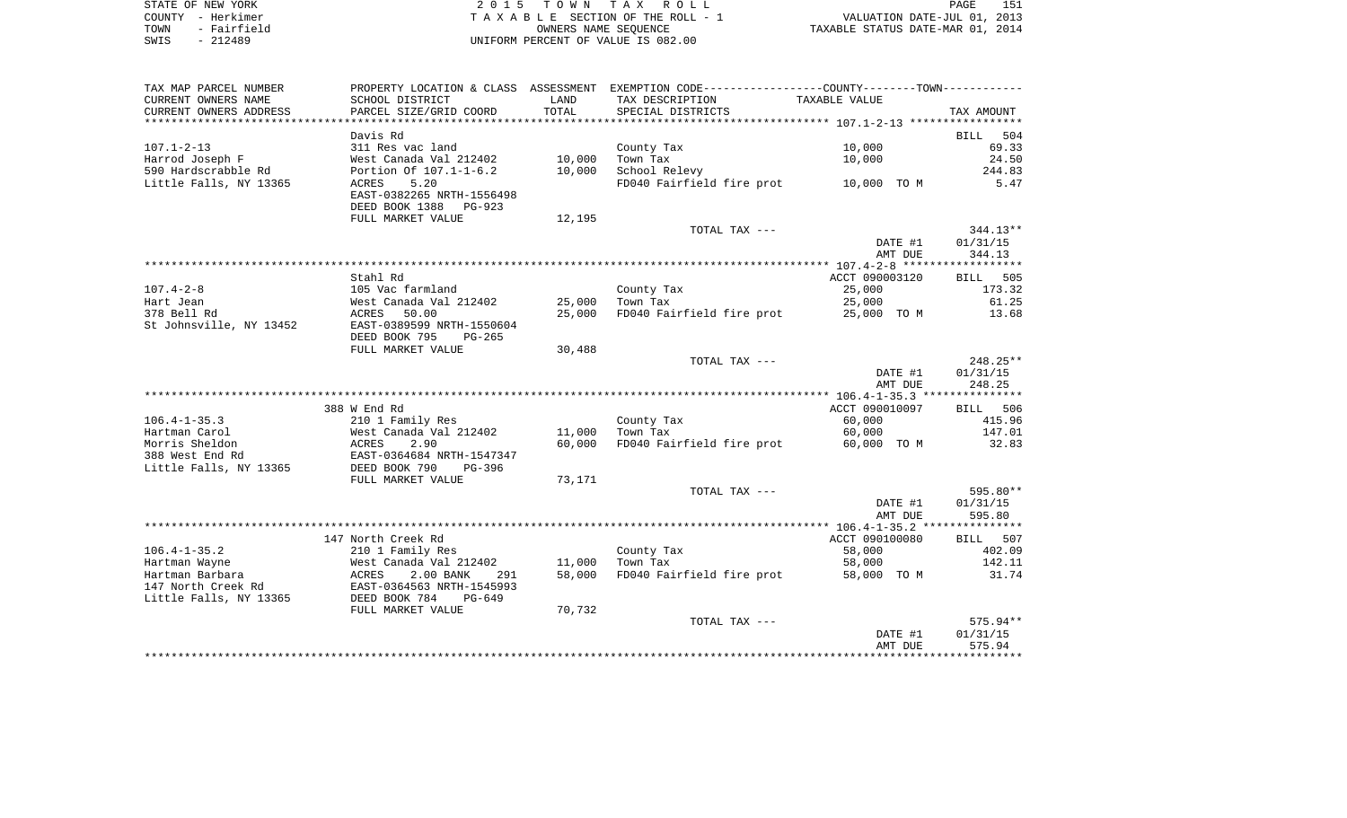|      | STATE OF NEW YORK | 2015 TOWN TAX ROLL                 | 151<br>PAGE                      |
|------|-------------------|------------------------------------|----------------------------------|
|      | COUNTY - Herkimer | TAXABLE SECTION OF THE ROLL - 1    | VALUATION DATE-JUL 01, 2013      |
| TOWN | - Fairfield       | OWNERS NAME SEOUENCE               | TAXABLE STATUS DATE-MAR 01, 2014 |
| SWIS | - 212489          | UNIFORM PERCENT OF VALUE IS 082.00 |                                  |

| TAX MAP PARCEL NUMBER   |                           |        | PROPERTY LOCATION & CLASS ASSESSMENT EXEMPTION CODE----------------COUNTY-------TOWN---------- |                |                    |
|-------------------------|---------------------------|--------|------------------------------------------------------------------------------------------------|----------------|--------------------|
| CURRENT OWNERS NAME     | SCHOOL DISTRICT           | LAND   | TAX DESCRIPTION                                                                                | TAXABLE VALUE  |                    |
| CURRENT OWNERS ADDRESS  | PARCEL SIZE/GRID COORD    | TOTAL  | SPECIAL DISTRICTS                                                                              |                | TAX AMOUNT         |
|                         |                           |        |                                                                                                |                |                    |
|                         | Davis Rd                  |        |                                                                                                |                | <b>BILL</b><br>504 |
| $107.1 - 2 - 13$        | 311 Res vac land          |        | County Tax                                                                                     | 10,000         | 69.33              |
| Harrod Joseph F         | West Canada Val 212402    | 10,000 | Town Tax                                                                                       | 10,000         | 24.50              |
| 590 Hardscrabble Rd     | Portion Of 107.1-1-6.2    | 10,000 | School Relevy                                                                                  |                | 244.83             |
| Little Falls, NY 13365  | 5.20<br>ACRES             |        | FD040 Fairfield fire prot                                                                      | 10,000 TO M    | 5.47               |
|                         | EAST-0382265 NRTH-1556498 |        |                                                                                                |                |                    |
|                         | DEED BOOK 1388<br>PG-923  |        |                                                                                                |                |                    |
|                         | FULL MARKET VALUE         | 12,195 |                                                                                                |                |                    |
|                         |                           |        | TOTAL TAX ---                                                                                  |                | 344.13**           |
|                         |                           |        |                                                                                                | DATE #1        | 01/31/15           |
|                         |                           |        |                                                                                                | AMT DUE        | 344.13             |
|                         |                           |        |                                                                                                |                |                    |
|                         | Stahl Rd                  |        |                                                                                                | ACCT 090003120 | 505<br><b>BILL</b> |
| $107.4 - 2 - 8$         | 105 Vac farmland          |        | County Tax                                                                                     | 25,000         | 173.32             |
| Hart Jean               | West Canada Val 212402    | 25,000 | Town Tax                                                                                       | 25,000         | 61.25              |
| 378 Bell Rd             | 50.00<br>ACRES            | 25,000 | FD040 Fairfield fire prot                                                                      | 25,000 TO M    | 13.68              |
| St Johnsville, NY 13452 | EAST-0389599 NRTH-1550604 |        |                                                                                                |                |                    |
|                         | DEED BOOK 795<br>$PG-265$ |        |                                                                                                |                |                    |
|                         | FULL MARKET VALUE         | 30,488 |                                                                                                |                |                    |
|                         |                           |        | TOTAL TAX ---                                                                                  |                | 248.25**           |
|                         |                           |        |                                                                                                | DATE #1        | 01/31/15           |
|                         |                           |        |                                                                                                | AMT DUE        | 248.25             |
|                         |                           |        |                                                                                                |                |                    |
|                         | 388 W End Rd              |        |                                                                                                | ACCT 090010097 | BILL 506           |
| $106.4 - 1 - 35.3$      | 210 1 Family Res          |        | County Tax                                                                                     | 60,000         | 415.96             |
| Hartman Carol           | West Canada Val 212402    | 11,000 | Town Tax                                                                                       | 60,000         | 147.01             |
| Morris Sheldon          | ACRES<br>2.90             | 60,000 | FD040 Fairfield fire prot                                                                      | 60,000 TO M    | 32.83              |
| 388 West End Rd         | EAST-0364684 NRTH-1547347 |        |                                                                                                |                |                    |
| Little Falls, NY 13365  | DEED BOOK 790<br>PG-396   |        |                                                                                                |                |                    |
|                         | FULL MARKET VALUE         | 73,171 |                                                                                                |                |                    |
|                         |                           |        | TOTAL TAX ---                                                                                  |                | 595.80**           |
|                         |                           |        |                                                                                                | DATE #1        | 01/31/15           |
|                         |                           |        |                                                                                                | AMT DUE        | 595.80             |
|                         |                           |        |                                                                                                |                |                    |
|                         | 147 North Creek Rd        |        |                                                                                                | ACCT 090100080 | BILL 507           |
| $106.4 - 1 - 35.2$      | 210 1 Family Res          |        | County Tax                                                                                     | 58,000         | 402.09             |
| Hartman Wayne           | West Canada Val 212402    | 11,000 | Town Tax                                                                                       | 58,000         | 142.11             |
| Hartman Barbara         | 2.00 BANK<br>ACRES<br>291 | 58,000 | FD040 Fairfield fire prot                                                                      | 58,000 TO M    | 31.74              |
| 147 North Creek Rd      | EAST-0364563 NRTH-1545993 |        |                                                                                                |                |                    |
| Little Falls, NY 13365  | DEED BOOK 784<br>PG-649   |        |                                                                                                |                |                    |
|                         | FULL MARKET VALUE         | 70,732 |                                                                                                |                |                    |
|                         |                           |        | TOTAL TAX ---                                                                                  |                | 575.94**           |
|                         |                           |        |                                                                                                | DATE #1        | 01/31/15           |
|                         |                           |        |                                                                                                | AMT DUE        | 575.94             |
|                         |                           |        |                                                                                                |                |                    |
|                         |                           |        |                                                                                                |                |                    |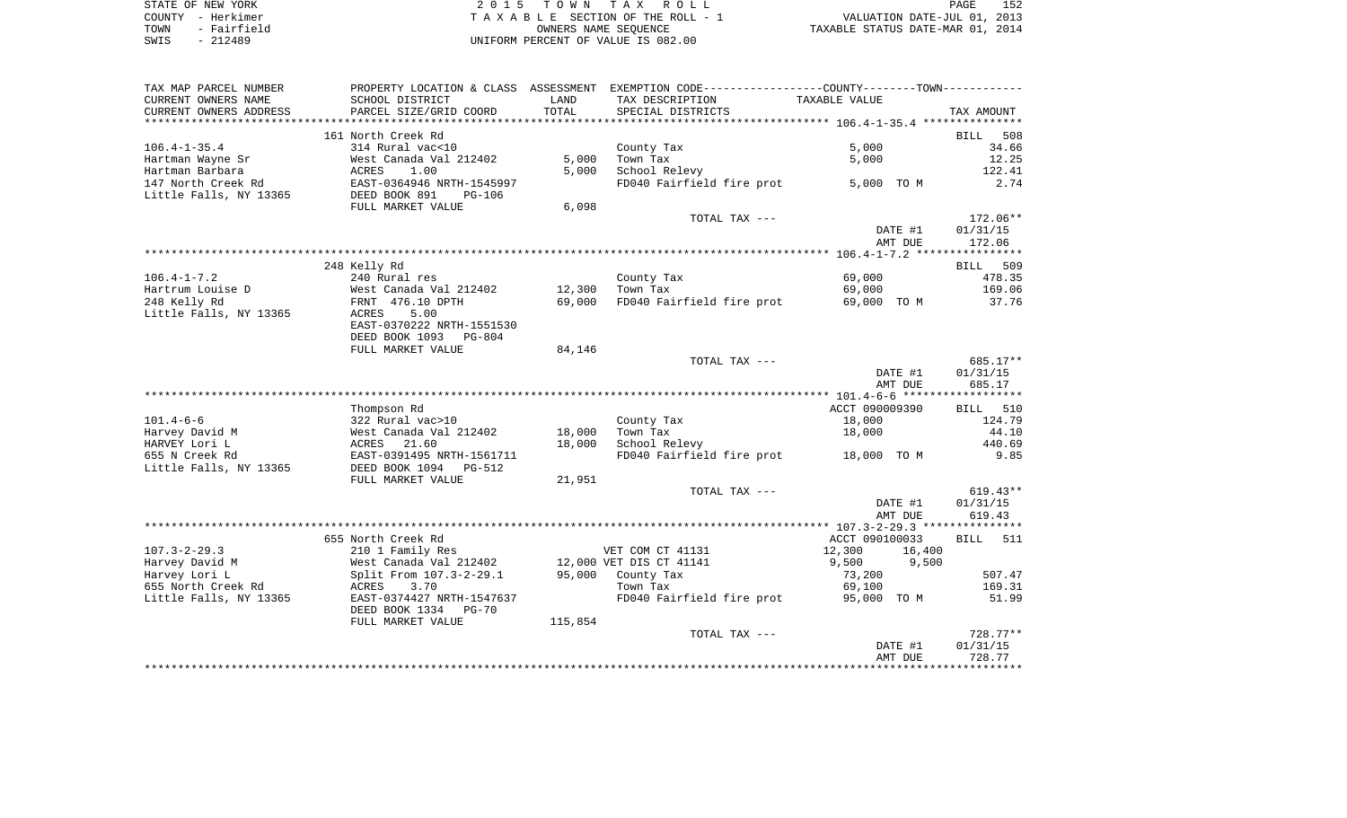| STATE OF NEW YORK   | 2015 TOWN TAX ROLL                 | 152<br>PAGE                      |
|---------------------|------------------------------------|----------------------------------|
| COUNTY - Herkimer   | TAXABLE SECTION OF THE ROLL - 1    | VALUATION DATE-JUL 01, 2013      |
| - Fairfield<br>TOWN | OWNERS NAME SEOUENCE               | TAXABLE STATUS DATE-MAR 01, 2014 |
| SWIS<br>$-212489$   | UNIFORM PERCENT OF VALUE IS 082.00 |                                  |

| TAX MAP PARCEL NUMBER     |                                                             |         | PROPERTY LOCATION & CLASS ASSESSMENT EXEMPTION CODE---------------COUNTY--------TOWN---------- |                  |                    |
|---------------------------|-------------------------------------------------------------|---------|------------------------------------------------------------------------------------------------|------------------|--------------------|
| CURRENT OWNERS NAME       | SCHOOL DISTRICT                                             | LAND    | TAX DESCRIPTION                                                                                | TAXABLE VALUE    |                    |
| CURRENT OWNERS ADDRESS    | PARCEL SIZE/GRID COORD                                      | TOTAL   | SPECIAL DISTRICTS                                                                              |                  | TAX AMOUNT         |
| ************************* |                                                             |         |                                                                                                |                  |                    |
|                           | 161 North Creek Rd                                          |         |                                                                                                |                  | <b>BILL</b><br>508 |
| $106.4 - 1 - 35.4$        | 314 Rural vac<10                                            |         | County Tax                                                                                     | 5,000            | 34.66              |
| Hartman Wayne Sr          | West Canada Val 212402                                      | 5,000   | Town Tax                                                                                       | 5,000            | 12.25              |
| Hartman Barbara           | ACRES 1.00<br>EAST-0364946 NRTH-1545997                     | 5,000   | School Relevy                                                                                  |                  | 122.41             |
| 147 North Creek Rd        |                                                             |         | FD040 Fairfield fire prot 5,000 TO M                                                           |                  | 2.74               |
| Little Falls, NY 13365    | DEED BOOK 891<br>PG-106                                     |         |                                                                                                |                  |                    |
|                           | FULL MARKET VALUE                                           | 6,098   |                                                                                                |                  |                    |
|                           |                                                             |         | TOTAL TAX ---                                                                                  |                  | 172.06**           |
|                           |                                                             |         |                                                                                                | DATE #1          | 01/31/15           |
|                           |                                                             |         |                                                                                                | AMT DUE          | 172.06             |
|                           |                                                             |         |                                                                                                |                  |                    |
| $106.4 - 1 - 7.2$         | 248 Kelly Rd<br>240 Rural res                               |         | County Tax                                                                                     | 69,000           | BILL 509<br>478.35 |
| Hartrum Louise D          | West Canada Val 212402                                      | 12,300  | Town Tax                                                                                       | 69,000           | 169.06             |
| 248 Kelly Rd              | FRNT 476.10 DPTH                                            | 69,000  | FD040 Fairfield fire prot                                                                      | 69,000 TO M      | 37.76              |
| Little Falls, NY 13365    | ACRES<br>5.00                                               |         |                                                                                                |                  |                    |
|                           | EAST-0370222 NRTH-1551530                                   |         |                                                                                                |                  |                    |
|                           | DEED BOOK 1093<br>PG-804                                    |         |                                                                                                |                  |                    |
|                           | FULL MARKET VALUE                                           | 84,146  |                                                                                                |                  |                    |
|                           |                                                             |         | TOTAL TAX ---                                                                                  |                  | 685.17**           |
|                           |                                                             |         |                                                                                                | DATE #1          | 01/31/15           |
|                           |                                                             |         |                                                                                                | AMT DUE          | 685.17             |
|                           |                                                             |         |                                                                                                |                  |                    |
|                           | Thompson Rd                                                 |         |                                                                                                | ACCT 090009390   | BILL 510           |
| $101.4 - 6 - 6$           | 322 Rural vac>10                                            |         | County Tax                                                                                     | 18,000           | 124.79             |
| Harvey David M            | West Canada Val 212402                                      | 18,000  | Town Tax                                                                                       | 18,000           | 44.10              |
| HARVEY Lori L             | 21.60<br>ACRES                                              | 18,000  | School Relevy                                                                                  |                  | 440.69             |
| 655 N Creek Rd            | EAST-0391495 NRTH-1561711                                   |         | FD040 Fairfield fire prot 18,000 TO M                                                          |                  | 9.85               |
| Little Falls, NY 13365    | DEED BOOK 1094<br>PG-512                                    |         |                                                                                                |                  |                    |
|                           | FULL MARKET VALUE                                           | 21,951  |                                                                                                |                  |                    |
|                           |                                                             |         | TOTAL TAX ---                                                                                  |                  | $619.43**$         |
|                           |                                                             |         |                                                                                                | DATE #1          | 01/31/15           |
|                           |                                                             |         |                                                                                                | AMT DUE          | 619.43             |
|                           |                                                             |         |                                                                                                |                  |                    |
|                           | 655 North Creek Rd                                          |         |                                                                                                | ACCT 090100033   | BILL 511           |
| $107.3 - 2 - 29.3$        | 210 1 Family Res                                            |         | VET COM CT 41131                                                                               | 12,300<br>16,400 |                    |
| Harvey David M            | West Canada Val 212402                                      |         | 12,000 VET DIS CT 41141                                                                        | 9,500<br>9,500   |                    |
| Harvey Lori L             | Split From 107.3-2-29.1                                     |         | 95,000 County Tax                                                                              | 73,200           | 507.47             |
| 655 North Creek Rd        | ACRES<br>3.70                                               |         | Town Tax<br>FD040 Fairfield fire prot                                                          | 69,100           | 169.31             |
| Little Falls, NY 13365    | EAST-0374427 NRTH-1547637<br>DEED BOOK 1334<br><b>PG-70</b> |         |                                                                                                | 95,000 TO M      | 51.99              |
|                           | FULL MARKET VALUE                                           | 115,854 |                                                                                                |                  |                    |
|                           |                                                             |         | TOTAL TAX ---                                                                                  |                  | $728.77**$         |
|                           |                                                             |         |                                                                                                | DATE #1          | 01/31/15           |
|                           |                                                             |         |                                                                                                | AMT DUE          | 728.77             |
|                           |                                                             |         |                                                                                                |                  |                    |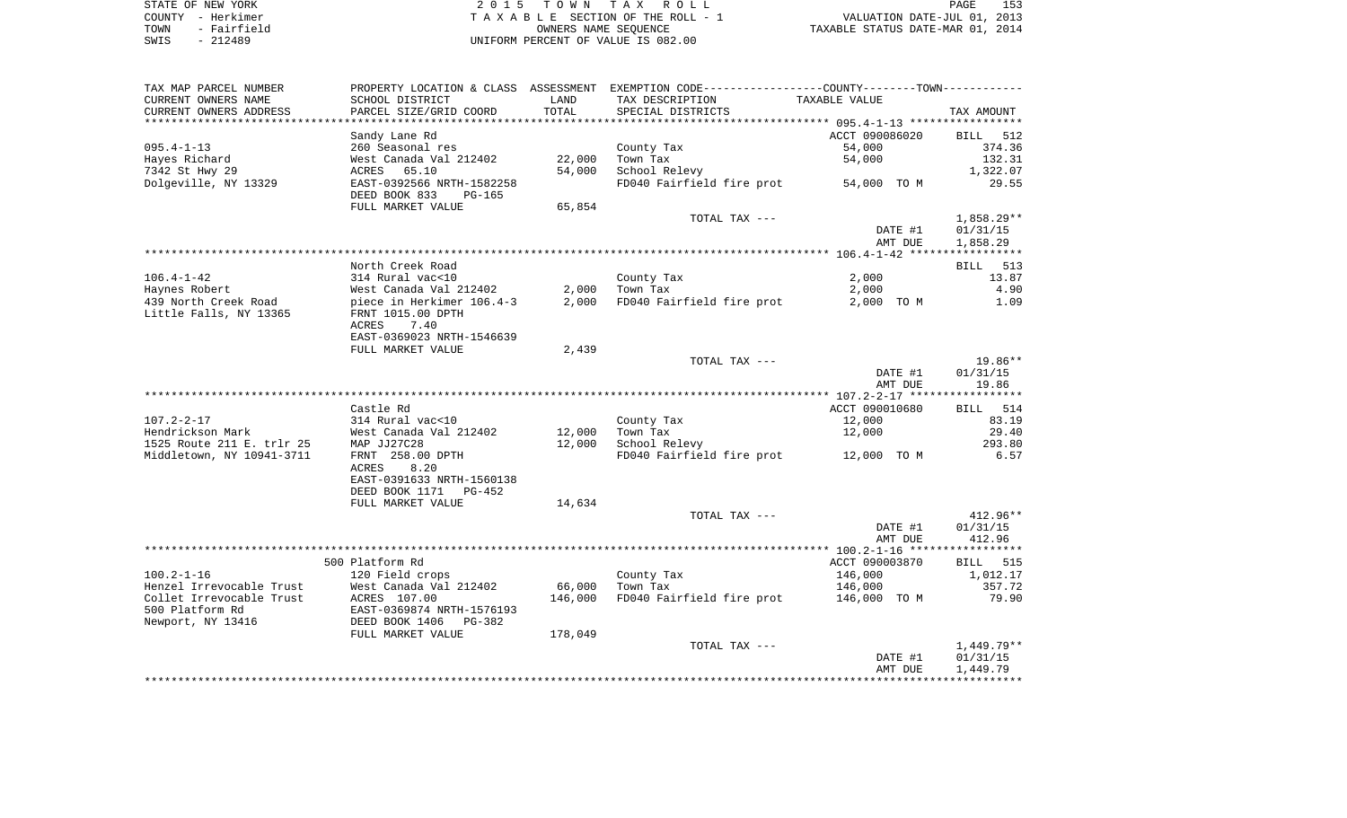| STATE OF NEW YORK   | 2015 TOWN TAX ROLL                 | PAGE                             |
|---------------------|------------------------------------|----------------------------------|
| COUNTY - Herkimer   | TAXABLE SECTION OF THE ROLL - 1    | VALUATION DATE-JUL 01, 2013      |
| - Fairfield<br>TOWN | OWNERS NAME SEOUENCE               | TAXABLE STATUS DATE-MAR 01, 2014 |
| - 212489<br>SWIS    | UNIFORM PERCENT OF VALUE IS 082.00 |                                  |

| TAX MAP PARCEL NUMBER     |                                                          |         | PROPERTY LOCATION & CLASS ASSESSMENT EXEMPTION CODE----------------COUNTY--------TOWN----------- |                    |                      |
|---------------------------|----------------------------------------------------------|---------|--------------------------------------------------------------------------------------------------|--------------------|----------------------|
| CURRENT OWNERS NAME       | SCHOOL DISTRICT                                          | LAND    | TAX DESCRIPTION                                                                                  | TAXABLE VALUE      |                      |
| CURRENT OWNERS ADDRESS    | PARCEL SIZE/GRID COORD                                   | TOTAL   | SPECIAL DISTRICTS                                                                                |                    | TAX AMOUNT           |
| **********************    | **********************                                   |         |                                                                                                  |                    |                      |
|                           | Sandy Lane Rd                                            |         |                                                                                                  | ACCT 090086020     | BILL 512             |
| $095.4 - 1 - 13$          | 260 Seasonal res                                         |         | County Tax                                                                                       | 54,000             | 374.36               |
| Hayes Richard             | West Canada Val 212402                                   | 22,000  | Town Tax                                                                                         | 54,000             | 132.31               |
| 7342 St Hwy 29            | ACRES 65.10                                              | 54,000  | School Relevy                                                                                    |                    | 1,322.07             |
| Dolgeville, NY 13329      | EAST-0392566 NRTH-1582258                                |         | FD040 Fairfield fire prot 54,000 TO M                                                            |                    | 29.55                |
|                           | DEED BOOK 833<br>PG-165                                  |         |                                                                                                  |                    |                      |
|                           | FULL MARKET VALUE                                        | 65,854  |                                                                                                  |                    |                      |
|                           |                                                          |         | TOTAL TAX ---                                                                                    |                    | $1,858.29**$         |
|                           |                                                          |         |                                                                                                  | DATE #1<br>AMT DUE | 01/31/15<br>1,858.29 |
|                           |                                                          |         |                                                                                                  |                    |                      |
|                           | North Creek Road                                         |         |                                                                                                  |                    | BILL 513             |
| 106.4-1-42                |                                                          |         | County Tax                                                                                       | 2,000              | 13.87                |
| Haynes Robert             | 314 Rural vac<10<br>West Canada Val 212402               |         | $2,000$ Town Tax                                                                                 | 2,000              | 4.90                 |
| 439 North Creek Road      | piece in Herkimer 106.4-3                                | 2,000   | FD040 Fairfield fire prot                                                                        | 2,000 TO M         | 1.09                 |
| Little Falls, NY 13365    | FRNT 1015.00 DPTH                                        |         |                                                                                                  |                    |                      |
|                           | ACRES<br>7.40                                            |         |                                                                                                  |                    |                      |
|                           | EAST-0369023 NRTH-1546639                                |         |                                                                                                  |                    |                      |
|                           | FULL MARKET VALUE                                        | 2,439   |                                                                                                  |                    |                      |
|                           |                                                          |         | TOTAL TAX ---                                                                                    |                    | 19.86**              |
|                           |                                                          |         |                                                                                                  | DATE #1            | 01/31/15             |
|                           |                                                          |         |                                                                                                  | AMT DUE            | 19.86                |
|                           |                                                          |         |                                                                                                  |                    |                      |
|                           | Castle Rd                                                |         |                                                                                                  | ACCT 090010680     | BILL 514             |
|                           |                                                          |         | County Tax                                                                                       | 12,000             | 83.19                |
|                           |                                                          | 12,000  | Town Tax                                                                                         | 12,000             | 29.40                |
| Middletown, NY 10941-3711 | FRNT 258.00 DPTH                                         | 12,000  | School Relevy<br>FD040 Fairfield fire prot 12,000 TO M                                           |                    | 293.80<br>6.57       |
|                           | 8.20<br>ACRES                                            |         |                                                                                                  |                    |                      |
|                           | EAST-0391633 NRTH-1560138                                |         |                                                                                                  |                    |                      |
|                           | DEED BOOK 1171 PG-452                                    |         |                                                                                                  |                    |                      |
|                           | FULL MARKET VALUE                                        | 14,634  |                                                                                                  |                    |                      |
|                           |                                                          |         | TOTAL TAX ---                                                                                    |                    | $412.96**$           |
|                           |                                                          |         |                                                                                                  | DATE #1            | 01/31/15             |
|                           |                                                          |         |                                                                                                  | AMT DUE            | 412.96               |
|                           |                                                          |         |                                                                                                  |                    |                      |
|                           | 500 Platform Rd                                          |         |                                                                                                  | ACCT 090003870     | BILL 515             |
| $100.2 - 1 - 16$          | 120 Field crops                                          |         | County Tax                                                                                       | 146,000            | 1,012.17             |
| Henzel Irrevocable Trust  | West Canada Val 212402<br>West Canada Va<br>ACRES 107.00 | 66,000  | Town Tax                                                                                         | 146,000            | 357.72               |
| Collet Irrevocable Trust  |                                                          | 146,000 | FD040 Fairfield fire prot                                                                        | 146,000 TO M       | 79.90                |
| 500 Platform Rd           | EAST-0369874 NRTH-1576193                                |         |                                                                                                  |                    |                      |
| Newport, NY 13416         | DEED BOOK 1406 PG-382                                    |         |                                                                                                  |                    |                      |
|                           | FULL MARKET VALUE                                        | 178,049 |                                                                                                  |                    |                      |
|                           |                                                          |         | TOTAL TAX ---                                                                                    |                    | 1,449.79**           |
|                           |                                                          |         |                                                                                                  | DATE #1            | 01/31/15             |
|                           |                                                          |         |                                                                                                  | AMT DUE            | 1,449.79             |
|                           |                                                          |         |                                                                                                  |                    |                      |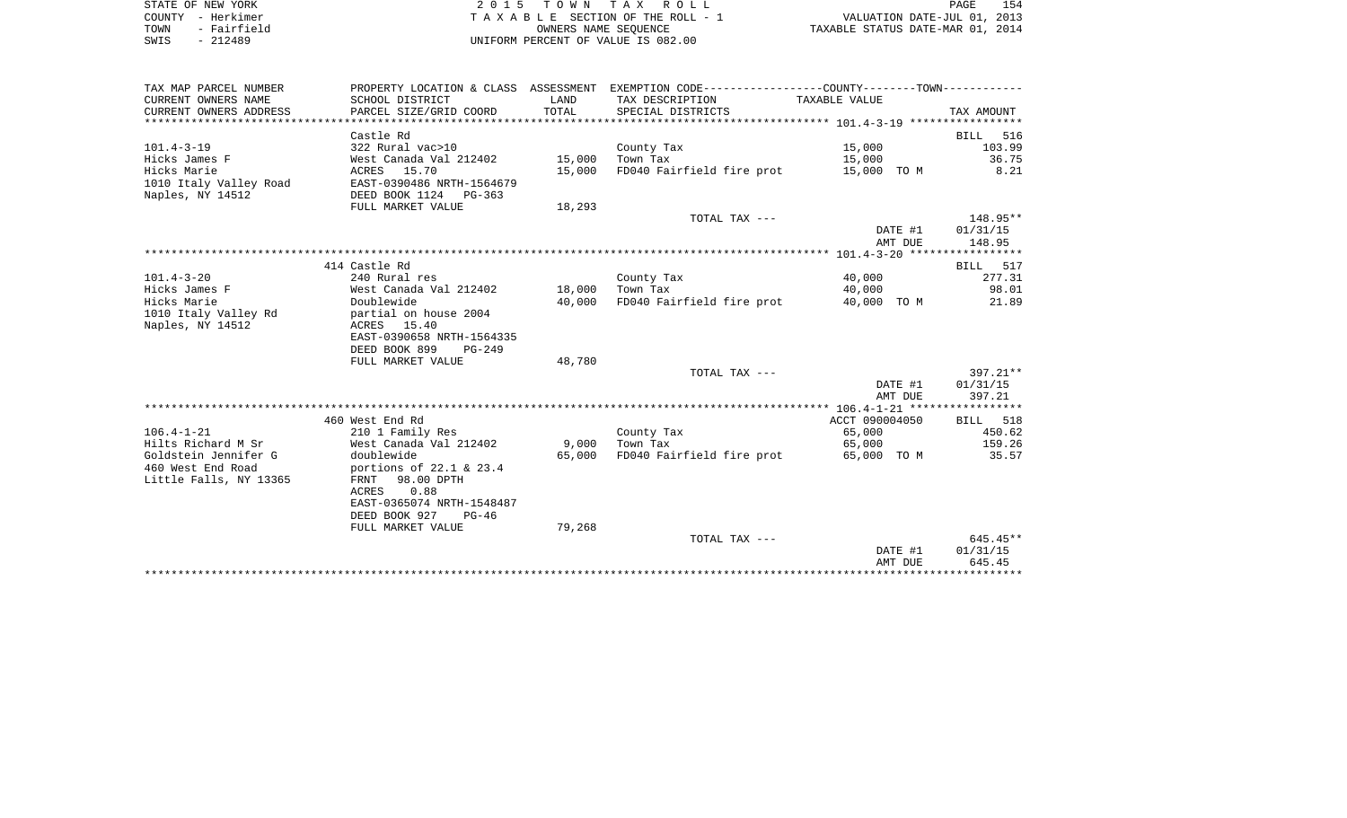| STATE OF NEW YORK          | 2015 TOWN TAX ROLL                  | 154<br>PAGE                      |
|----------------------------|-------------------------------------|----------------------------------|
| COUNTY - Herkimer          | TAXABLE SECTION OF THE ROLL - 1     | VALUATION DATE-JUL 01, 2013      |
| TOWN - Fairfield           | OWNERS NAME SEOUENCE                | TAXABLE STATUS DATE-MAR 01, 2014 |
| сыте <sub>–</sub> 21.2400. | LINITOOM DEDCENT OF WAILE TO 000 00 |                                  |

| STATE OF NEW YORK | 2015 TOWN TAX ROLL                  |
|-------------------|-------------------------------------|
| COUNTY - Herkimer | T A X A B L E SECTION OF THE ROLL - |
| TOWN - Fairfield  | OWNERS NAME SEOUENCE                |
| SWIS - 212489     | UNIFORM PERCENT OF VALUE IS 082.00  |

| TAX MAP PARCEL NUMBER  |                                            |        | PROPERTY LOCATION & CLASS ASSESSMENT EXEMPTION CODE----------------COUNTY-------TOWN---------- |                |            |
|------------------------|--------------------------------------------|--------|------------------------------------------------------------------------------------------------|----------------|------------|
| CURRENT OWNERS NAME    | SCHOOL DISTRICT                            | LAND   | TAX DESCRIPTION                                                                                | TAXABLE VALUE  |            |
| CURRENT OWNERS ADDRESS | PARCEL SIZE/GRID COORD                     | TOTAL  | SPECIAL DISTRICTS                                                                              |                | TAX AMOUNT |
|                        | Castle Rd                                  |        |                                                                                                |                | BILL 516   |
| $101.4 - 3 - 19$       | 322 Rural vac>10                           |        | County Tax                                                                                     | 15,000         | 103.99     |
| Hicks James F          | West Canada Val 212402                     | 15,000 | Town Tax                                                                                       | 15,000         | 36.75      |
| Hicks Marie            | ACRES 15.70                                | 15,000 | FD040 Fairfield fire prot 15,000 TO M                                                          |                | 8.21       |
| 1010 Italy Valley Road | EAST-0390486 NRTH-1564679                  |        |                                                                                                |                |            |
| Naples, NY 14512       | DEED BOOK 1124 PG-363                      |        |                                                                                                |                |            |
|                        | FULL MARKET VALUE                          | 18,293 |                                                                                                |                |            |
|                        |                                            |        | TOTAL TAX ---                                                                                  |                | 148.95**   |
|                        |                                            |        |                                                                                                | DATE #1        | 01/31/15   |
|                        |                                            |        |                                                                                                | AMT DUE        | 148.95     |
|                        |                                            |        |                                                                                                |                |            |
|                        | 414 Castle Rd                              |        |                                                                                                |                | BILL 517   |
| $101.4 - 3 - 20$       | 240 Rural res                              |        | County Tax                                                                                     | 40,000         | 277.31     |
| Hicks James F          | West Canada Val 212402                     | 18,000 | Town Tax                                                                                       | 40,000         | 98.01      |
| Hicks Marie            | Doublewide                                 | 40,000 | FD040 Fairfield fire prot                                                                      | 40,000 TO M    | 21.89      |
| 1010 Italy Valley Rd   | partial on house 2004                      |        |                                                                                                |                |            |
| Naples, NY 14512       | ACRES 15.40                                |        |                                                                                                |                |            |
|                        | EAST-0390658 NRTH-1564335                  |        |                                                                                                |                |            |
|                        | DEED BOOK 899<br>$PG-249$                  |        |                                                                                                |                |            |
|                        | FULL MARKET VALUE                          | 48,780 |                                                                                                |                |            |
|                        |                                            |        | TOTAL TAX ---                                                                                  |                | $397.21**$ |
|                        |                                            |        |                                                                                                | DATE #1        | 01/31/15   |
|                        |                                            |        |                                                                                                | AMT DUE        | 397.21     |
|                        |                                            |        |                                                                                                |                |            |
|                        | 460 West End Rd                            |        |                                                                                                | ACCT 090004050 | BILL 518   |
| $106.4 - 1 - 21$       | 210 1 Family Res                           |        | County Tax                                                                                     | 65,000         | 450.62     |
| Hilts Richard M Sr     | ---<br>West Canada Val 212402              | 9,000  | Town Tax                                                                                       | 65,000         | 159.26     |
| Goldstein Jennifer G   | doublewide                                 | 65,000 | FD040 Fairfield fire prot                                                                      | 65,000 TO M    | 35.57      |
| 460 West End Road      | portions of 22.1 & 23.4                    |        |                                                                                                |                |            |
| Little Falls, NY 13365 | FRNT 98.00 DPTH                            |        |                                                                                                |                |            |
|                        | 0.88<br>ACRES<br>EAST-0365074 NRTH-1548487 |        |                                                                                                |                |            |
|                        | DEED BOOK 927 PG-46                        |        |                                                                                                |                |            |
|                        | FULL MARKET VALUE                          | 79,268 |                                                                                                |                |            |
|                        |                                            |        | TOTAL TAX ---                                                                                  |                | $645.45**$ |
|                        |                                            |        |                                                                                                | DATE #1        | 01/31/15   |
|                        |                                            |        |                                                                                                | AMT DUE        | 645.45     |
|                        |                                            |        |                                                                                                |                |            |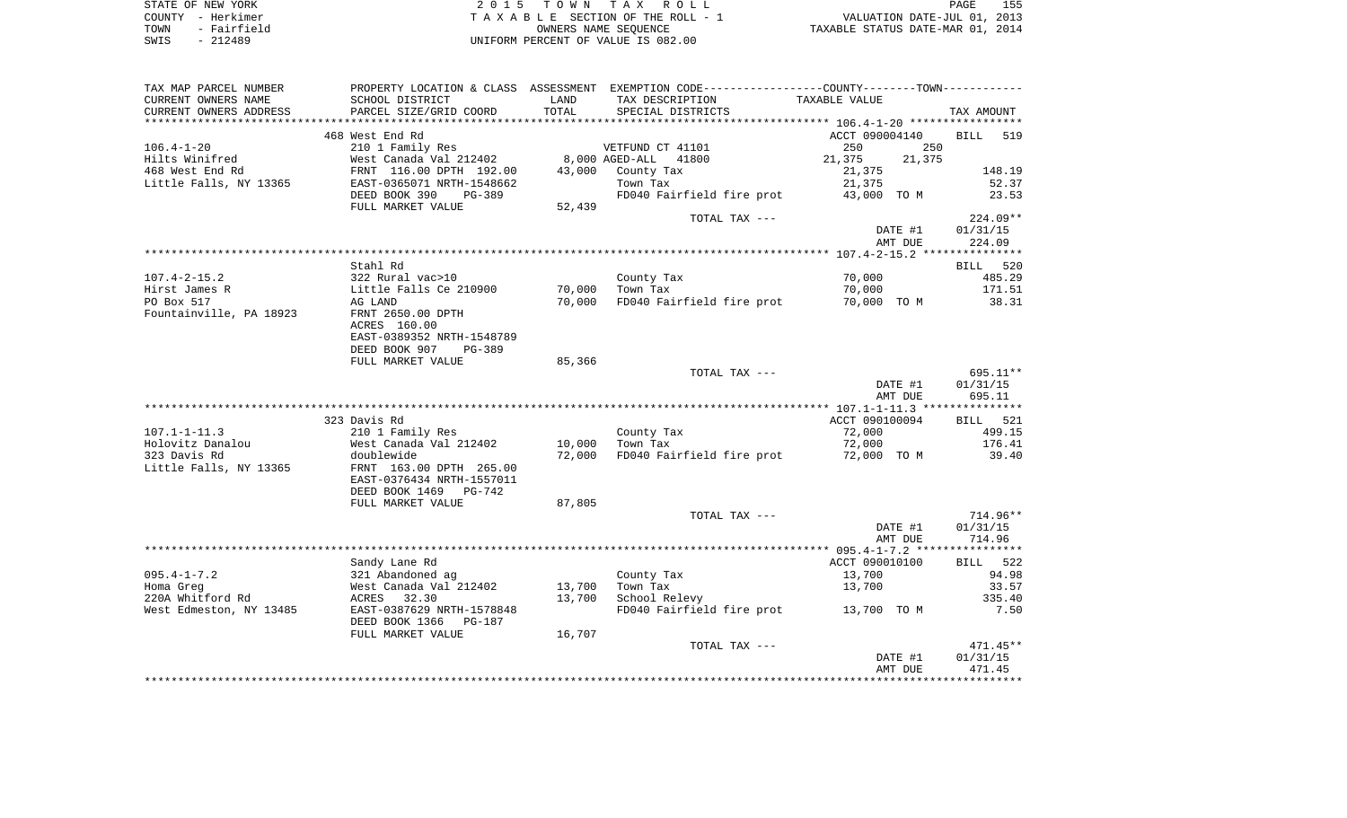| STATE OF NEW YORK   | 2015 TOWN TAX ROLL                 | 155<br>PAGE                      |
|---------------------|------------------------------------|----------------------------------|
| COUNTY - Herkimer   | TAXABLE SECTION OF THE ROLL - 1    | VALUATION DATE-JUL 01, 2013      |
| - Fairfield<br>TOWN | OWNERS NAME SEOUENCE               | TAXABLE STATUS DATE-MAR 01, 2014 |
| $-212489$<br>SWIS   | UNIFORM PERCENT OF VALUE IS 082.00 |                                  |

| TAX MAP PARCEL NUMBER   |                                          |        | PROPERTY LOCATION & CLASS ASSESSMENT EXEMPTION CODE---------------COUNTY-------TOWN---------- |                  |                    |
|-------------------------|------------------------------------------|--------|-----------------------------------------------------------------------------------------------|------------------|--------------------|
| CURRENT OWNERS NAME     | SCHOOL DISTRICT                          | LAND   | TAX DESCRIPTION                                                                               | TAXABLE VALUE    |                    |
| CURRENT OWNERS ADDRESS  | PARCEL SIZE/GRID COORD                   | TOTAL  | SPECIAL DISTRICTS                                                                             |                  | TAX AMOUNT         |
|                         |                                          |        |                                                                                               |                  |                    |
|                         | 468 West End Rd                          |        |                                                                                               | ACCT 090004140   | <b>BILL</b><br>519 |
| 106.4-1-20              | 210 1 Family Res                         |        | VETFUND CT 41101                                                                              | 250<br>250       |                    |
| Hilts Winifred          | West Canada Val 212402                   |        | 8,000 AGED-ALL<br>41800                                                                       | 21,375<br>21,375 |                    |
| 468 West End Rd         | FRNT 116.00 DPTH 192.00                  | 43,000 | County Tax                                                                                    | 21,375           | 148.19             |
| Little Falls, NY 13365  | EAST-0365071 NRTH-1548662                |        | Town Tax                                                                                      | 21,375           | 52.37              |
|                         | DEED BOOK 390<br>PG-389                  |        | FD040 Fairfield fire prot                                                                     | 43,000 TO M      | 23.53              |
|                         | FULL MARKET VALUE                        | 52,439 |                                                                                               |                  |                    |
|                         |                                          |        | TOTAL TAX ---                                                                                 |                  | 224.09**           |
|                         |                                          |        |                                                                                               | DATE #1          | 01/31/15           |
|                         |                                          |        |                                                                                               | AMT DUE          | 224.09             |
|                         | Stahl Rd                                 |        |                                                                                               |                  |                    |
| 107.4-2-15.2            | 322 Rural vac>10                         |        | County Tax                                                                                    | 70,000           | BILL 520<br>485.29 |
| Hirst James R           | Little Falls Ce 210900                   | 70,000 | Town Tax                                                                                      | 70,000           | 171.51             |
| PO Box 517              | AG LAND                                  | 70,000 | FD040 Fairfield fire prot                                                                     | 70,000 TO M      | 38.31              |
| Fountainville, PA 18923 | FRNT 2650.00 DPTH                        |        |                                                                                               |                  |                    |
|                         | ACRES 160.00                             |        |                                                                                               |                  |                    |
|                         | EAST-0389352 NRTH-1548789                |        |                                                                                               |                  |                    |
|                         | DEED BOOK 907<br>PG-389                  |        |                                                                                               |                  |                    |
|                         | FULL MARKET VALUE                        | 85,366 |                                                                                               |                  |                    |
|                         |                                          |        | TOTAL TAX ---                                                                                 |                  | 695.11**           |
|                         |                                          |        |                                                                                               | DATE #1          | 01/31/15           |
|                         |                                          |        |                                                                                               | AMT DUE          | 695.11             |
|                         |                                          |        |                                                                                               |                  |                    |
|                         | 323 Davis Rd                             |        |                                                                                               | ACCT 090100094   | BILL 521           |
| $107.1 - 1 - 11.3$      | 210 1 Family Res                         |        | County Tax                                                                                    | 72,000           | 499.15             |
| Holovitz Danalou        | West Canada Val 212402                   | 10,000 | Town Tax                                                                                      | 72,000           | 176.41             |
| 323 Davis Rd            | doublewide                               | 72,000 | FD040 Fairfield fire prot                                                                     | 72,000 TO M      | 39.40              |
| Little Falls, NY 13365  | FRNT 163.00 DPTH 265.00                  |        |                                                                                               |                  |                    |
|                         | EAST-0376434 NRTH-1557011                |        |                                                                                               |                  |                    |
|                         | DEED BOOK 1469<br>PG-742                 |        |                                                                                               |                  |                    |
|                         | FULL MARKET VALUE                        | 87,805 |                                                                                               |                  |                    |
|                         |                                          |        | TOTAL TAX ---                                                                                 |                  | 714.96**           |
|                         |                                          |        |                                                                                               | DATE #1          | 01/31/15           |
|                         |                                          |        |                                                                                               | AMT DUE          | 714.96             |
|                         | Sandy Lane Rd                            |        |                                                                                               | ACCT 090010100   | BILL 522           |
| $095.4 - 1 - 7.2$       | 321 Abandoned ag                         |        | County Tax                                                                                    | 13,700           | 94.98              |
| Homa Greg               |                                          | 13,700 | Town Tax                                                                                      | 13,700           | 33.57              |
| 220A Whitford Rd        | West Canada Val 212402<br>ACRES    32.30 | 13,700 | School Relevy                                                                                 |                  | 335.40             |
| West Edmeston, NY 13485 | EAST-0387629 NRTH-1578848                |        | FD040 Fairfield fire prot 13,700 TO M                                                         |                  | 7.50               |
|                         | DEED BOOK 1366<br>PG-187                 |        |                                                                                               |                  |                    |
|                         | FULL MARKET VALUE                        | 16,707 |                                                                                               |                  |                    |
|                         |                                          |        | TOTAL TAX ---                                                                                 |                  | $471.45**$         |
|                         |                                          |        |                                                                                               | DATE #1          | 01/31/15           |
|                         |                                          |        |                                                                                               | AMT DUE          | 471.45             |
|                         |                                          |        |                                                                                               |                  |                    |
|                         |                                          |        |                                                                                               |                  |                    |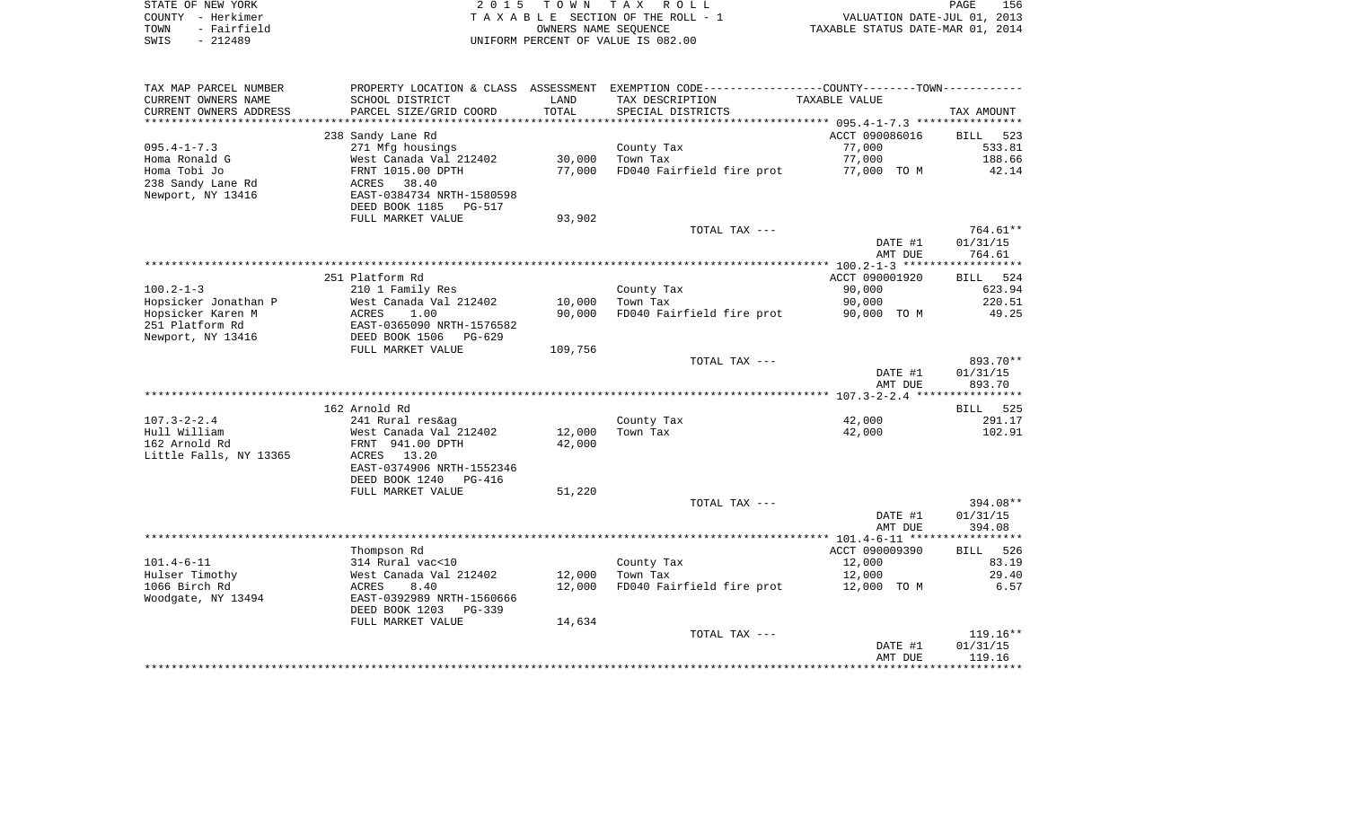| STATE OF NEW YORK   | 2015 TOWN TAX ROLL                 | 156<br>PAGE                      |
|---------------------|------------------------------------|----------------------------------|
| COUNTY - Herkimer   | TAXABLE SECTION OF THE ROLL - 1    | VALUATION DATE-JUL 01, 2013      |
| - Fairfield<br>TOWN | OWNERS NAME SEOUENCE               | TAXABLE STATUS DATE-MAR 01, 2014 |
| SWIS<br>- 212489    | UNIFORM PERCENT OF VALUE IS 082.00 |                                  |

| TAX MAP PARCEL NUMBER                     |                                         |         | PROPERTY LOCATION & CLASS ASSESSMENT EXEMPTION CODE---------------COUNTY-------TOWN---------- |                  |                    |
|-------------------------------------------|-----------------------------------------|---------|-----------------------------------------------------------------------------------------------|------------------|--------------------|
| CURRENT OWNERS NAME                       | SCHOOL DISTRICT                         | LAND    | TAX DESCRIPTION                                                                               | TAXABLE VALUE    |                    |
| CURRENT OWNERS ADDRESS                    | PARCEL SIZE/GRID COORD                  | TOTAL   | SPECIAL DISTRICTS                                                                             |                  | TAX AMOUNT         |
| *******************                       |                                         |         |                                                                                               |                  |                    |
|                                           | 238 Sandy Lane Rd                       |         |                                                                                               | ACCT 090086016   | BILL<br>523        |
| $095.4 - 1 - 7.3$                         | 271 Mfg housings                        |         | County Tax                                                                                    | 77,000           | 533.81             |
| Homa Ronald G                             | West Canada Val 212402                  | 30,000  | Town Tax                                                                                      | 77,000           | 188.66             |
| Homa Tobi Jo                              | FRNT 1015.00 DPTH                       | 77,000  | FD040 Fairfield fire prot                                                                     | 77,000 TO M      | 42.14              |
| 238 Sandy Lane Rd                         | ACRES<br>38.40                          |         |                                                                                               |                  |                    |
| Newport, NY 13416                         | EAST-0384734 NRTH-1580598               |         |                                                                                               |                  |                    |
|                                           | DEED BOOK 1185<br>PG-517                |         |                                                                                               |                  |                    |
|                                           | FULL MARKET VALUE                       | 93,902  |                                                                                               |                  |                    |
|                                           |                                         |         | TOTAL TAX ---                                                                                 |                  | 764.61**           |
|                                           |                                         |         |                                                                                               | DATE #1          | 01/31/15           |
|                                           |                                         |         |                                                                                               | AMT DUE          | 764.61             |
|                                           |                                         |         |                                                                                               |                  |                    |
| $100.2 - 1 - 3$                           | 251 Platform Rd                         |         |                                                                                               | ACCT 090001920   | BILL 524<br>623.94 |
|                                           | 210 1 Family Res                        | 10,000  | County Tax<br>Town Tax                                                                        | 90,000<br>90,000 | 220.51             |
| Hopsicker Jonathan P<br>Hopsicker Karen M | West Canada Val 212402<br>ACRES<br>1.00 | 90,000  | FD040 Fairfield fire prot                                                                     | 90,000 TO M      | 49.25              |
| 251 Platform Rd                           | EAST-0365090 NRTH-1576582               |         |                                                                                               |                  |                    |
| Newport, NY 13416                         | DEED BOOK 1506<br>PG-629                |         |                                                                                               |                  |                    |
|                                           | FULL MARKET VALUE                       | 109,756 |                                                                                               |                  |                    |
|                                           |                                         |         | TOTAL TAX ---                                                                                 |                  | 893.70**           |
|                                           |                                         |         |                                                                                               | DATE #1          | 01/31/15           |
|                                           |                                         |         |                                                                                               | AMT DUE          | 893.70             |
|                                           |                                         |         |                                                                                               |                  |                    |
|                                           | 162 Arnold Rd                           |         |                                                                                               |                  | BILL 525           |
| $107.3 - 2 - 2.4$                         | 241 Rural res&ag                        |         | County Tax                                                                                    | 42,000           | 291.17             |
| Hull William                              | West Canada Val 212402                  | 12,000  | Town Tax                                                                                      | 42,000           | 102.91             |
| 162 Arnold Rd                             | FRNT 941.00 DPTH                        | 42,000  |                                                                                               |                  |                    |
| Little Falls, NY 13365                    | 13.20<br>ACRES                          |         |                                                                                               |                  |                    |
|                                           | EAST-0374906 NRTH-1552346               |         |                                                                                               |                  |                    |
|                                           | DEED BOOK 1240<br>PG-416                |         |                                                                                               |                  |                    |
|                                           | FULL MARKET VALUE                       | 51,220  |                                                                                               |                  |                    |
|                                           |                                         |         | TOTAL TAX ---                                                                                 |                  | 394.08**           |
|                                           |                                         |         |                                                                                               | DATE #1          | 01/31/15           |
|                                           |                                         |         |                                                                                               | AMT DUE          | 394.08             |
|                                           |                                         |         |                                                                                               |                  |                    |
|                                           | Thompson Rd                             |         |                                                                                               | ACCT 090009390   | BILL 526           |
| $101.4 - 6 - 11$                          | 314 Rural vac<10                        |         | County Tax                                                                                    | 12,000           | 83.19              |
| Hulser Timothy                            | West Canada Val 212402                  | 12,000  | Town Tax                                                                                      | 12,000           | 29.40              |
| 1066 Birch Rd                             | ACRES<br>8.40                           | 12,000  | FD040 Fairfield fire prot                                                                     | 12,000 TO M      | 6.57               |
| Woodgate, NY 13494                        | EAST-0392989 NRTH-1560666               |         |                                                                                               |                  |                    |
|                                           | DEED BOOK 1203<br>PG-339                |         |                                                                                               |                  |                    |
|                                           | FULL MARKET VALUE                       | 14,634  |                                                                                               |                  |                    |
|                                           |                                         |         | TOTAL TAX ---                                                                                 |                  | $119.16**$         |
|                                           |                                         |         |                                                                                               | DATE #1          | 01/31/15           |
|                                           |                                         |         |                                                                                               | AMT DUE          | 119.16             |
|                                           |                                         |         |                                                                                               |                  |                    |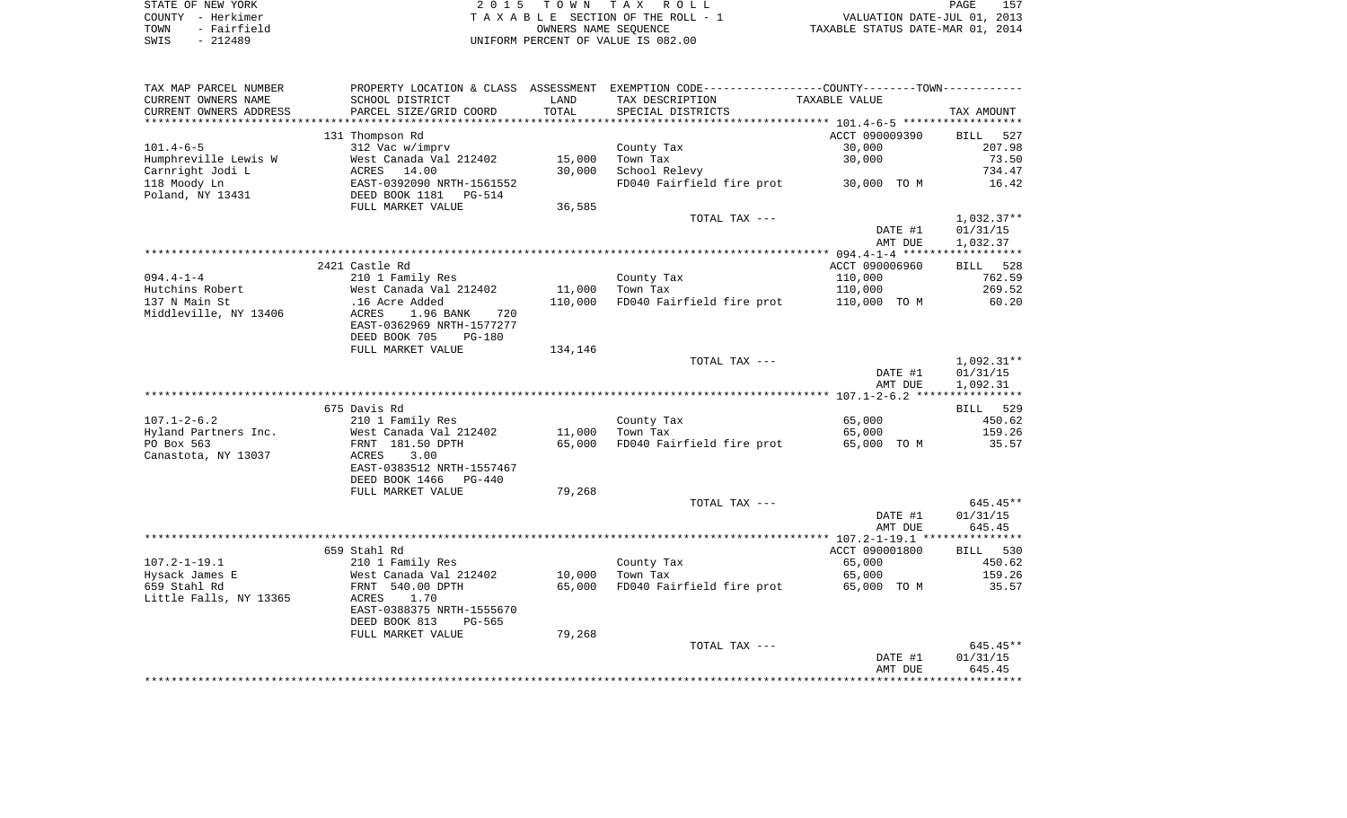| STATE OF NEW YORK   | 2015 TOWN TAX ROLL                 | 157<br>PAGE                      |
|---------------------|------------------------------------|----------------------------------|
| COUNTY - Herkimer   | TAXABLE SECTION OF THE ROLL - 1    | VALUATION DATE-JUL 01, 2013      |
| - Fairfield<br>TOWN | OWNERS NAME SEOUENCE               | TAXABLE STATUS DATE-MAR 01, 2014 |
| - 212489<br>SWIS    | UNIFORM PERCENT OF VALUE IS 082.00 |                                  |

| TAX MAP PARCEL NUMBER                  |                                                    |         | PROPERTY LOCATION & CLASS ASSESSMENT EXEMPTION CODE---------------COUNTY-------TOWN---------- |                |              |
|----------------------------------------|----------------------------------------------------|---------|-----------------------------------------------------------------------------------------------|----------------|--------------|
| CURRENT OWNERS NAME                    | SCHOOL DISTRICT                                    | LAND    | TAX DESCRIPTION                                                                               | TAXABLE VALUE  |              |
| CURRENT OWNERS ADDRESS                 | PARCEL SIZE/GRID COORD                             | TOTAL   | SPECIAL DISTRICTS                                                                             |                | TAX AMOUNT   |
|                                        |                                                    |         |                                                                                               |                |              |
|                                        | 131 Thompson Rd                                    |         |                                                                                               | ACCT 090009390 | BILL 527     |
| $101.4 - 6 - 5$                        | 312 Vac w/imprv                                    |         | County Tax                                                                                    | 30,000         | 207.98       |
| Humphreville Lewis W                   | West Canada Val 212402                             | 15,000  | Town Tax                                                                                      | 30,000         | 73.50        |
| Carnright Jodi L                       | ACRES 14.00                                        | 30,000  | School Relevy                                                                                 |                | 734.47       |
| 118 Moody Ln                           | EAST-0392090 NRTH-1561552<br>DEED BOOK 1181 PG-514 |         | FD040 Fairfield fire prot 30,000 TO M                                                         |                | 16.42        |
| Poland, NY 13431                       |                                                    |         |                                                                                               |                |              |
|                                        | FULL MARKET VALUE                                  | 36,585  |                                                                                               |                |              |
|                                        |                                                    |         | TOTAL TAX ---                                                                                 |                | 1,032.37**   |
|                                        |                                                    |         |                                                                                               | DATE #1        | 01/31/15     |
|                                        |                                                    |         |                                                                                               | AMT DUE        | 1,032.37     |
|                                        |                                                    |         |                                                                                               |                |              |
|                                        | 2421 Castle Rd                                     |         |                                                                                               | ACCT 090006960 | BILL 528     |
| $094.4 - 1 - 4$                        | 210 1 Family Res                                   |         | County Tax                                                                                    | 110,000        | 762.59       |
| Hutchins Robert                        | West Canada Val 212402                             | 11,000  | Town Tax                                                                                      | 110,000        | 269.52       |
| 137 N Main St<br>Middleville, NY 13406 | .16 Acre Added<br>720                              | 110,000 | FD040 Fairfield fire prot                                                                     | 110,000 TO M   | 60.20        |
|                                        | 1.96 BANK<br>ACRES<br>EAST-0362969 NRTH-1577277    |         |                                                                                               |                |              |
|                                        | DEED BOOK 705<br><b>PG-180</b>                     |         |                                                                                               |                |              |
|                                        | FULL MARKET VALUE                                  | 134,146 |                                                                                               |                |              |
|                                        |                                                    |         | TOTAL TAX ---                                                                                 |                | $1,092.31**$ |
|                                        |                                                    |         |                                                                                               | DATE #1        | 01/31/15     |
|                                        |                                                    |         |                                                                                               | AMT DUE        | 1,092.31     |
|                                        |                                                    |         |                                                                                               |                |              |
|                                        | 675 Davis Rd                                       |         |                                                                                               |                | BILL 529     |
| $107.1 - 2 - 6.2$                      | 210 1 Family Res                                   |         | County Tax                                                                                    | 65,000         | 450.62       |
| Hyland Partners Inc.                   | West Canada Val 212402                             | 11,000  | Town Tax                                                                                      | 65,000         | 159.26       |
| PO Box 563                             | FRNT 181.50 DPTH                                   | 65,000  | FD040 Fairfield fire prot                                                                     | 65,000 TO M    | 35.57        |
| Canastota, NY 13037                    | ACRES<br>3.00                                      |         |                                                                                               |                |              |
|                                        | EAST-0383512 NRTH-1557467                          |         |                                                                                               |                |              |
|                                        | DEED BOOK 1466<br>PG-440                           |         |                                                                                               |                |              |
|                                        | FULL MARKET VALUE                                  | 79,268  |                                                                                               |                |              |
|                                        |                                                    |         | TOTAL TAX ---                                                                                 |                | 645.45**     |
|                                        |                                                    |         |                                                                                               | DATE #1        | 01/31/15     |
|                                        |                                                    |         |                                                                                               | AMT DUE        | 645.45       |
|                                        |                                                    |         |                                                                                               |                |              |
|                                        | 659 Stahl Rd                                       |         |                                                                                               | ACCT 090001800 | BILL 530     |
| $107.2 - 1 - 19.1$                     | 210 1 Family Res                                   |         | County Tax                                                                                    | 65,000         | 450.62       |
| Hysack James E                         | West Canada Val 212402                             | 10,000  | Town Tax                                                                                      | 65,000         | 159.26       |
| 659 Stahl Rd                           | FRNT 540.00 DPTH                                   | 65,000  | FD040 Fairfield fire prot                                                                     | 65,000 TO M    | 35.57        |
| Little Falls, NY 13365                 | ACRES<br>1.70<br>EAST-0388375 NRTH-1555670         |         |                                                                                               |                |              |
|                                        | DEED BOOK 813<br>PG-565                            |         |                                                                                               |                |              |
|                                        | FULL MARKET VALUE                                  | 79,268  |                                                                                               |                |              |
|                                        |                                                    |         | TOTAL TAX ---                                                                                 |                | 645.45**     |
|                                        |                                                    |         |                                                                                               | DATE #1        | 01/31/15     |
|                                        |                                                    |         |                                                                                               | AMT DUE        | 645.45       |
|                                        |                                                    |         |                                                                                               |                |              |
|                                        |                                                    |         |                                                                                               |                |              |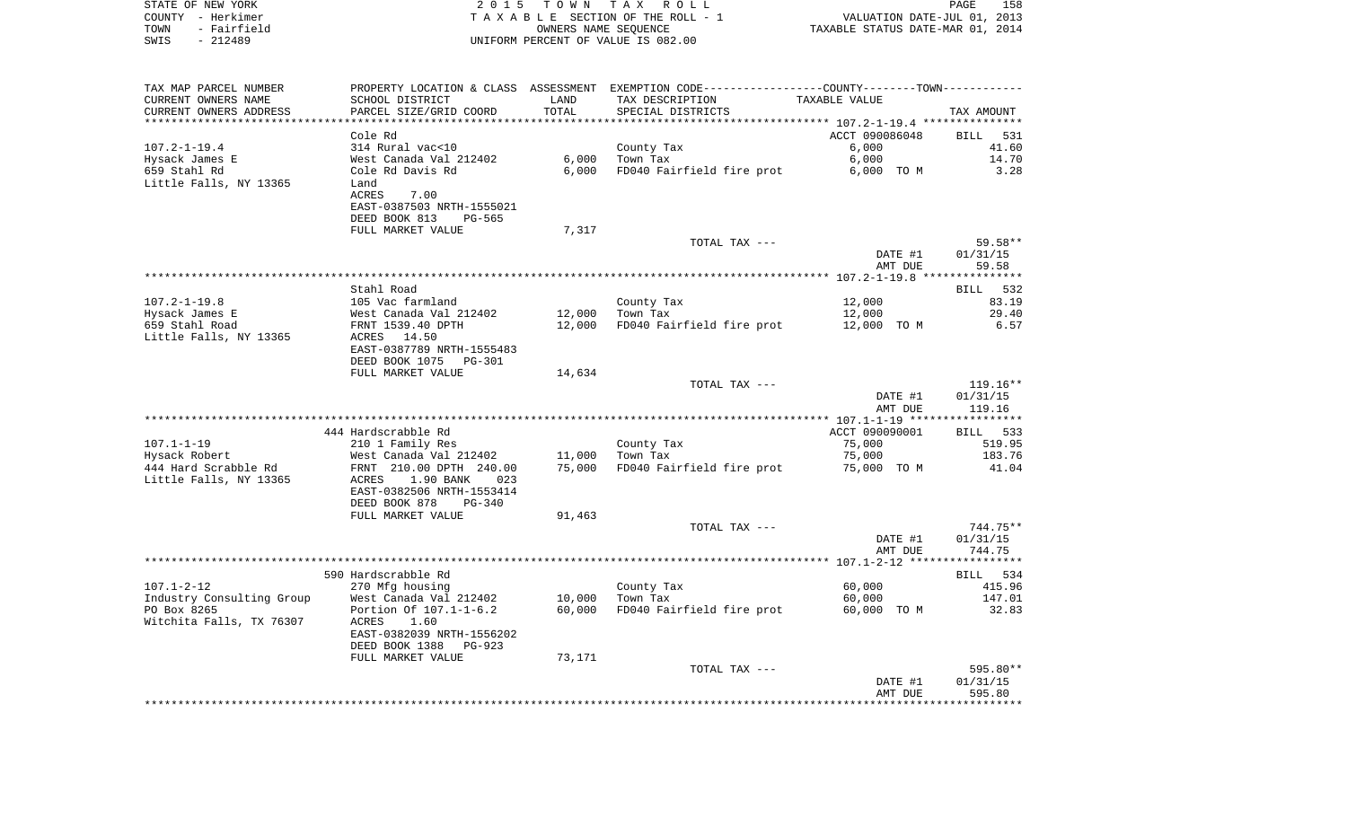| STATE OF NEW YORK<br>COUNTY - Herkimer<br>TOWN<br>- Fairfield<br>$-212489$<br>SWIS | 2 0 1 5                                                             | OWNERS NAME SEQUENCE | TOWN TAX ROLL<br>TAXABLE SECTION OF THE ROLL - 1<br>UNIFORM PERCENT OF VALUE IS 082.00        | VALUATION DATE-JUL 01, 2013<br>TAXABLE STATUS DATE-MAR 01, 2014 | PAGE<br>158          |
|------------------------------------------------------------------------------------|---------------------------------------------------------------------|----------------------|-----------------------------------------------------------------------------------------------|-----------------------------------------------------------------|----------------------|
| TAX MAP PARCEL NUMBER                                                              |                                                                     |                      | PROPERTY LOCATION & CLASS ASSESSMENT EXEMPTION CODE---------------COUNTY-------TOWN---------- |                                                                 |                      |
| CURRENT OWNERS NAME                                                                | SCHOOL DISTRICT                                                     | LAND                 | TAX DESCRIPTION                                                                               | TAXABLE VALUE                                                   |                      |
| CURRENT OWNERS ADDRESS<br>***********************                                  | PARCEL SIZE/GRID COORD<br>***********************                   | TOTAL                | SPECIAL DISTRICTS                                                                             |                                                                 | TAX AMOUNT           |
|                                                                                    | Cole Rd                                                             |                      |                                                                                               | ACCT 090086048                                                  | BILL 531             |
| $107.2 - 1 - 19.4$                                                                 | 314 Rural vac<10                                                    |                      | County Tax                                                                                    | 6,000                                                           | 41.60                |
| Hysack James E                                                                     | West Canada Val 212402                                              | 6,000                | Town Tax                                                                                      | 6,000                                                           | 14.70                |
| 659 Stahl Rd                                                                       | Cole Rd Davis Rd                                                    | 6.000                | FD040 Fairfield fire prot                                                                     | 6,000 TO M                                                      | 3.28                 |
| Little Falls, NY 13365                                                             | Land                                                                |                      |                                                                                               |                                                                 |                      |
|                                                                                    | ACRES<br>7.00                                                       |                      |                                                                                               |                                                                 |                      |
|                                                                                    | EAST-0387503 NRTH-1555021<br>DEED BOOK 813<br>PG-565                |                      |                                                                                               |                                                                 |                      |
|                                                                                    | FULL MARKET VALUE                                                   | 7,317                |                                                                                               |                                                                 |                      |
|                                                                                    |                                                                     |                      | TOTAL TAX ---                                                                                 |                                                                 | 59.58**              |
|                                                                                    |                                                                     |                      |                                                                                               | DATE #1                                                         | 01/31/15             |
|                                                                                    |                                                                     |                      |                                                                                               | AMT DUE                                                         | 59.58                |
|                                                                                    | Stahl Road                                                          |                      |                                                                                               |                                                                 |                      |
| $107.2 - 1 - 19.8$                                                                 | 105 Vac farmland                                                    |                      | County Tax                                                                                    | 12,000                                                          | BILL 532<br>83.19    |
| Hysack James E                                                                     | West Canada Val 212402                                              | 12,000               | Town Tax                                                                                      | 12,000                                                          | 29.40                |
| 659 Stahl Road                                                                     | FRNT 1539.40 DPTH                                                   | 12,000               | FD040 Fairfield fire prot                                                                     | 12,000 TO M                                                     | 6.57                 |
| Little Falls, NY 13365                                                             | ACRES 14.50                                                         |                      |                                                                                               |                                                                 |                      |
|                                                                                    | EAST-0387789 NRTH-1555483                                           |                      |                                                                                               |                                                                 |                      |
|                                                                                    | DEED BOOK 1075<br>PG-301<br>FULL MARKET VALUE                       | 14,634               |                                                                                               |                                                                 |                      |
|                                                                                    |                                                                     |                      | TOTAL TAX ---                                                                                 |                                                                 | $119.16**$           |
|                                                                                    |                                                                     |                      |                                                                                               | DATE #1                                                         | 01/31/15             |
|                                                                                    |                                                                     |                      |                                                                                               | AMT DUE                                                         | 119.16               |
|                                                                                    |                                                                     |                      |                                                                                               |                                                                 |                      |
| $107.1 - 1 - 19$                                                                   | 444 Hardscrabble Rd<br>210 1 Family Res                             |                      | County Tax                                                                                    | ACCT 090090001<br>75,000                                        | BILL 533<br>519.95   |
| Hysack Robert                                                                      | West Canada Val 212402                                              | 11,000               | Town Tax                                                                                      | 75,000                                                          | 183.76               |
| 444 Hard Scrabble Rd                                                               | FRNT 210.00 DPTH 240.00                                             | 75,000               | FD040 Fairfield fire prot                                                                     | 75,000 TO M                                                     | 41.04                |
| Little Falls, NY 13365                                                             | ACRES<br>1.90 BANK<br>023                                           |                      |                                                                                               |                                                                 |                      |
|                                                                                    | EAST-0382506 NRTH-1553414                                           |                      |                                                                                               |                                                                 |                      |
|                                                                                    | DEED BOOK 878<br>PG-340                                             |                      |                                                                                               |                                                                 |                      |
|                                                                                    | FULL MARKET VALUE                                                   | 91,463               | TOTAL TAX ---                                                                                 |                                                                 | 744.75**             |
|                                                                                    |                                                                     |                      |                                                                                               | DATE #1                                                         | 01/31/15             |
|                                                                                    |                                                                     |                      |                                                                                               | AMT DUE                                                         | 744.75               |
|                                                                                    |                                                                     |                      |                                                                                               |                                                                 |                      |
|                                                                                    | 590 Hardscrabble Rd                                                 |                      |                                                                                               |                                                                 | BILL 534             |
| $107.1 - 2 - 12$                                                                   | 270 Mfg housing<br>Industry Consulting Group West Canada Val 212402 |                      | County Tax<br>$10,000$ Town Tax                                                               | 60,000<br>60,000                                                | 415.96<br>147.01     |
| PO Box 8265                                                                        | Portion Of 107.1-1-6.2                                              | 60,000               | FD040 Fairfield fire prot                                                                     | 60,000 TO M                                                     | 32.83                |
| Witchita Falls, TX 76307                                                           | ACRES<br>1.60                                                       |                      |                                                                                               |                                                                 |                      |
|                                                                                    | EAST-0382039 NRTH-1556202                                           |                      |                                                                                               |                                                                 |                      |
|                                                                                    | DEED BOOK 1388<br>PG-923                                            |                      |                                                                                               |                                                                 |                      |
|                                                                                    | FULL MARKET VALUE                                                   | 73,171               |                                                                                               |                                                                 |                      |
|                                                                                    |                                                                     |                      | TOTAL TAX ---                                                                                 | DATE #1                                                         | 595.80**<br>01/31/15 |
|                                                                                    |                                                                     |                      |                                                                                               | AMT DUE                                                         | 595.80               |
|                                                                                    |                                                                     |                      |                                                                                               |                                                                 |                      |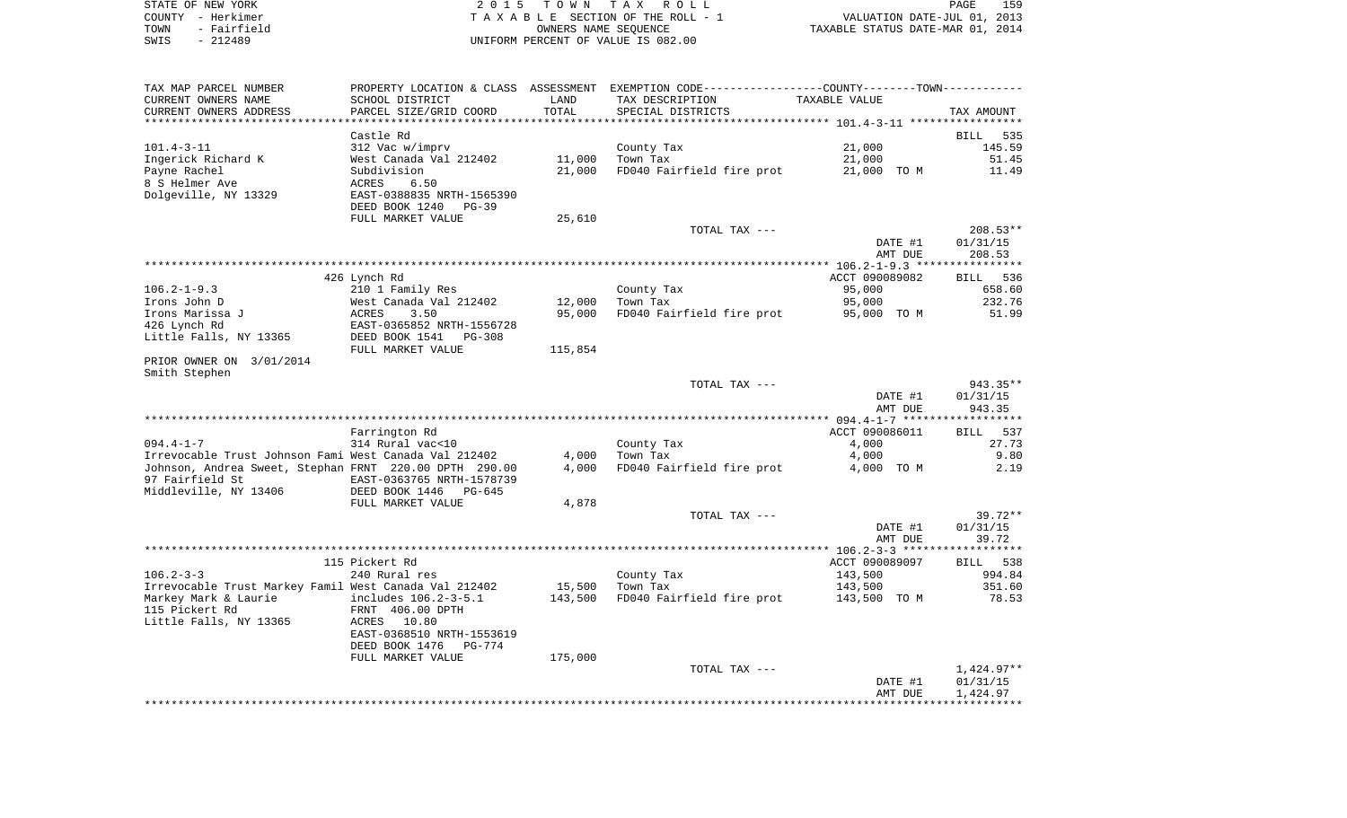|      | STATE OF NEW YORK | 2015 TOWN TAX ROLL                 | PAGE                             | 159 |
|------|-------------------|------------------------------------|----------------------------------|-----|
|      | COUNTY - Herkimer | TAXABLE SECTION OF THE ROLL - 1    | VALUATION DATE-JUL 01, 2013      |     |
| TOWN | - Fairfield       | OWNERS NAME SEOUENCE               | TAXABLE STATUS DATE-MAR 01, 2014 |     |
| SWIS | $-212489$         | UNIFORM PERCENT OF VALUE IS 082.00 |                                  |     |

| TAX MAP PARCEL NUMBER                                  |                                 |                | PROPERTY LOCATION & CLASS ASSESSMENT EXEMPTION CODE---------------COUNTY-------TOWN---------- |                |                    |
|--------------------------------------------------------|---------------------------------|----------------|-----------------------------------------------------------------------------------------------|----------------|--------------------|
| CURRENT OWNERS NAME                                    | SCHOOL DISTRICT                 | LAND           | TAX DESCRIPTION                                                                               | TAXABLE VALUE  |                    |
| CURRENT OWNERS ADDRESS                                 | PARCEL SIZE/GRID COORD          | TOTAL          | SPECIAL DISTRICTS                                                                             |                | TAX AMOUNT         |
| ********************                                   | *******************             | ************** |                                                                                               |                |                    |
|                                                        | Castle Rd                       |                |                                                                                               |                | <b>BILL</b><br>535 |
| $101.4 - 3 - 11$                                       | 312 Vac w/imprv                 |                | County Tax                                                                                    | 21,000         | 145.59             |
| Ingerick Richard K                                     | West Canada Val 212402          | 11,000         | Town Tax                                                                                      | 21,000         | 51.45              |
| Payne Rachel                                           | Subdivision                     | 21,000         | FD040 Fairfield fire prot                                                                     | 21,000 TO M    | 11.49              |
| 8 S Helmer Ave                                         | 6.50<br>ACRES                   |                |                                                                                               |                |                    |
| Dolgeville, NY 13329                                   | EAST-0388835 NRTH-1565390       |                |                                                                                               |                |                    |
|                                                        | DEED BOOK 1240<br>PG-39         |                |                                                                                               |                |                    |
|                                                        | FULL MARKET VALUE               | 25,610         |                                                                                               |                |                    |
|                                                        |                                 |                | TOTAL TAX ---                                                                                 |                | $208.53**$         |
|                                                        |                                 |                |                                                                                               | DATE #1        | 01/31/15           |
|                                                        |                                 |                |                                                                                               | AMT DUE        | 208.53             |
|                                                        |                                 |                |                                                                                               |                |                    |
|                                                        | 426 Lynch Rd                    |                |                                                                                               | ACCT 090089082 | 536<br>BILL        |
| $106.2 - 1 - 9.3$                                      | 210 1 Family Res                |                | County Tax                                                                                    | 95,000         | 658.60             |
| Irons John D                                           | West Canada Val 212402          | 12,000         | Town Tax                                                                                      | 95,000         | 232.76             |
| Irons Marissa J                                        | 3.50<br>ACRES                   | 95,000         | FD040 Fairfield fire prot                                                                     | 95,000 TO M    | 51.99              |
| 426 Lynch Rd                                           | EAST-0365852 NRTH-1556728       |                |                                                                                               |                |                    |
| Little Falls, NY 13365                                 | DEED BOOK 1541<br><b>PG-308</b> |                |                                                                                               |                |                    |
|                                                        | FULL MARKET VALUE               | 115,854        |                                                                                               |                |                    |
| PRIOR OWNER ON 3/01/2014                               |                                 |                |                                                                                               |                |                    |
| Smith Stephen                                          |                                 |                |                                                                                               |                |                    |
|                                                        |                                 |                | TOTAL TAX ---                                                                                 |                | 943.35**           |
|                                                        |                                 |                |                                                                                               | DATE #1        | 01/31/15           |
|                                                        |                                 |                |                                                                                               | AMT DUE        | 943.35             |
|                                                        |                                 |                |                                                                                               |                |                    |
|                                                        | Farrington Rd                   |                |                                                                                               | ACCT 090086011 | <b>BILL</b><br>537 |
| $094.4 - 1 - 7$                                        | 314 Rural vac<10                |                | County Tax                                                                                    | 4,000          | 27.73              |
| Irrevocable Trust Johnson Fami West Canada Val 212402  |                                 | 4,000          | Town Tax                                                                                      | 4,000          | 9.80               |
| Johnson, Andrea Sweet, Stephan FRNT 220.00 DPTH 290.00 |                                 | 4,000          | FD040 Fairfield fire prot                                                                     | 4,000 TO M     | 2.19               |
| 97 Fairfield St                                        | EAST-0363765 NRTH-1578739       |                |                                                                                               |                |                    |
| Middleville, NY 13406                                  | DEED BOOK 1446<br>$PG-645$      |                |                                                                                               |                |                    |
|                                                        | FULL MARKET VALUE               | 4,878          |                                                                                               |                |                    |
|                                                        |                                 |                | TOTAL TAX ---                                                                                 |                | $39.72**$          |
|                                                        |                                 |                |                                                                                               | DATE #1        | 01/31/15           |
|                                                        |                                 |                |                                                                                               | AMT DUE        | 39.72              |
|                                                        |                                 |                |                                                                                               |                |                    |
|                                                        | 115 Pickert Rd                  |                |                                                                                               | ACCT 090089097 | <b>BILL</b><br>538 |
| $106.2 - 3 - 3$                                        | 240 Rural res                   |                | County Tax                                                                                    | 143,500        | 994.84             |
| Irrevocable Trust Markey Famil West Canada Val 212402  |                                 | 15,500         | Town Tax                                                                                      | 143,500        | 351.60             |
| Markey Mark & Laurie                                   | includes 106.2-3-5.1            | 143,500        | FD040 Fairfield fire prot                                                                     | 143,500 TO M   | 78.53              |
| 115 Pickert Rd                                         | FRNT 406.00 DPTH                |                |                                                                                               |                |                    |
| Little Falls, NY 13365                                 | 10.80<br>ACRES                  |                |                                                                                               |                |                    |
|                                                        | EAST-0368510 NRTH-1553619       |                |                                                                                               |                |                    |
|                                                        | DEED BOOK 1476<br>PG-774        |                |                                                                                               |                |                    |
|                                                        | FULL MARKET VALUE               | 175,000        |                                                                                               |                |                    |
|                                                        |                                 |                | TOTAL TAX ---                                                                                 |                | 1,424.97**         |
|                                                        |                                 |                |                                                                                               | DATE #1        | 01/31/15           |
|                                                        |                                 |                |                                                                                               | AMT DUE        | 1,424.97           |
|                                                        |                                 |                |                                                                                               |                |                    |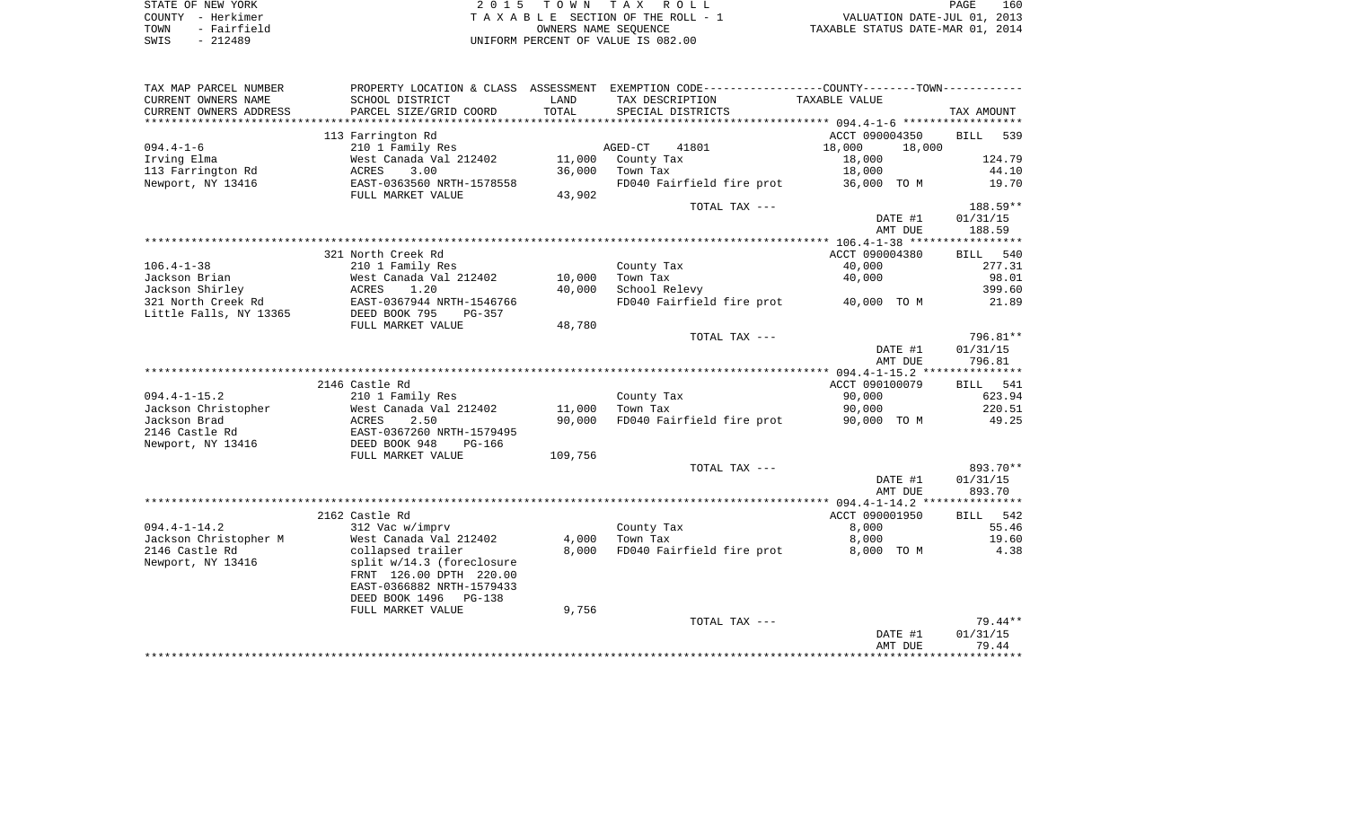| STATE OF NEW YORK   | 2015 TOWN TAX ROLL                 | 160<br>PAGE                      |
|---------------------|------------------------------------|----------------------------------|
| COUNTY - Herkimer   | TAXABLE SECTION OF THE ROLL - 1    | VALUATION DATE-JUL 01, 2013      |
| - Fairfield<br>TOWN | OWNERS NAME SEOUENCE               | TAXABLE STATUS DATE-MAR 01, 2014 |
| $-212489$<br>SWIS   | UNIFORM PERCENT OF VALUE IS 082.00 |                                  |

| TAX MAP PARCEL NUMBER  |                            |         | PROPERTY LOCATION & CLASS ASSESSMENT EXEMPTION CODE---------------COUNTY-------TOWN---------- |                  |                    |
|------------------------|----------------------------|---------|-----------------------------------------------------------------------------------------------|------------------|--------------------|
| CURRENT OWNERS NAME    | SCHOOL DISTRICT            | LAND    | TAX DESCRIPTION                                                                               | TAXABLE VALUE    |                    |
| CURRENT OWNERS ADDRESS | PARCEL SIZE/GRID COORD     | TOTAL   | SPECIAL DISTRICTS                                                                             |                  | TAX AMOUNT         |
| ********************** |                            |         |                                                                                               |                  |                    |
|                        | 113 Farrington Rd          |         |                                                                                               | ACCT 090004350   | <b>BILL</b><br>539 |
| $094.4 - 1 - 6$        | 210 1 Family Res           |         | AGED-CT<br>41801                                                                              | 18,000<br>18,000 |                    |
| Irving Elma            | West Canada Val 212402     | 11,000  | County Tax                                                                                    | 18,000           | 124.79             |
| 113 Farrington Rd      | 3.00<br><b>ACRES</b>       | 36,000  | Town Tax                                                                                      | 18,000           | 44.10              |
| Newport, NY 13416      | EAST-0363560 NRTH-1578558  |         | FD040 Fairfield fire prot                                                                     | 36,000 TO M      | 19.70              |
|                        | FULL MARKET VALUE          | 43,902  |                                                                                               |                  |                    |
|                        |                            |         | TOTAL TAX ---                                                                                 |                  | $188.59**$         |
|                        |                            |         |                                                                                               | DATE #1          | 01/31/15           |
|                        |                            |         |                                                                                               | AMT DUE          | 188.59             |
|                        |                            |         |                                                                                               |                  |                    |
|                        | 321 North Creek Rd         |         |                                                                                               | ACCT 090004380   | 540<br>BILL        |
| $106.4 - 1 - 38$       | 210 1 Family Res           |         | County Tax                                                                                    | 40,000           | 277.31             |
| Jackson Brian          | West Canada Val 212402     | 10,000  | Town Tax                                                                                      | 40,000           | 98.01              |
| Jackson Shirley        | ACRES<br>1.20              | 40,000  | School Relevy                                                                                 |                  | 399.60             |
| 321 North Creek Rd     | EAST-0367944 NRTH-1546766  |         | FD040 Fairfield fire prot                                                                     | 40,000 TO M      | 21.89              |
| Little Falls, NY 13365 | DEED BOOK 795<br>PG-357    |         |                                                                                               |                  |                    |
|                        | FULL MARKET VALUE          | 48,780  |                                                                                               |                  |                    |
|                        |                            |         | TOTAL TAX ---                                                                                 |                  | 796.81**           |
|                        |                            |         |                                                                                               | DATE #1          | 01/31/15           |
|                        |                            |         |                                                                                               | AMT DUE          | 796.81             |
|                        |                            |         |                                                                                               |                  |                    |
|                        | 2146 Castle Rd             |         |                                                                                               | ACCT 090100079   | BILL<br>541        |
| $094.4 - 1 - 15.2$     | 210 1 Family Res           |         | County Tax                                                                                    | 90,000           | 623.94             |
| Jackson Christopher    | West Canada Val 212402     | 11,000  | Town Tax                                                                                      | 90,000           | 220.51             |
| Jackson Brad           | 2.50<br>ACRES              | 90,000  | FD040 Fairfield fire prot                                                                     | 90,000 TO M      | 49.25              |
| 2146 Castle Rd         | EAST-0367260 NRTH-1579495  |         |                                                                                               |                  |                    |
| Newport, NY 13416      | DEED BOOK 948<br>PG-166    |         |                                                                                               |                  |                    |
|                        | FULL MARKET VALUE          | 109,756 |                                                                                               |                  |                    |
|                        |                            |         | TOTAL TAX ---                                                                                 |                  | 893.70**           |
|                        |                            |         |                                                                                               | DATE #1          | 01/31/15           |
|                        |                            |         |                                                                                               | AMT DUE          | 893.70             |
|                        |                            |         |                                                                                               |                  |                    |
|                        | 2162 Castle Rd             |         |                                                                                               | ACCT 090001950   | 542<br>BILL        |
| $094.4 - 1 - 14.2$     | 312 Vac w/imprv            |         | County Tax                                                                                    | 8,000            | 55.46              |
| Jackson Christopher M  | West Canada Val 212402     | 4,000   | Town Tax                                                                                      | 8,000            | 19.60              |
| 2146 Castle Rd         | collapsed trailer          | 8.000   | FD040 Fairfield fire prot                                                                     | 8,000 TO M       | 4.38               |
| Newport, NY 13416      | split w/14.3 (foreclosure  |         |                                                                                               |                  |                    |
|                        | FRNT 126.00 DPTH 220.00    |         |                                                                                               |                  |                    |
|                        | EAST-0366882 NRTH-1579433  |         |                                                                                               |                  |                    |
|                        | DEED BOOK 1496<br>$PG-138$ |         |                                                                                               |                  |                    |
|                        | FULL MARKET VALUE          | 9,756   |                                                                                               |                  |                    |
|                        |                            |         | TOTAL TAX ---                                                                                 |                  | $79.44**$          |
|                        |                            |         |                                                                                               | DATE #1          | 01/31/15           |
|                        |                            |         |                                                                                               | AMT DUE          | 79.44              |
|                        |                            |         |                                                                                               |                  |                    |
|                        |                            |         |                                                                                               |                  |                    |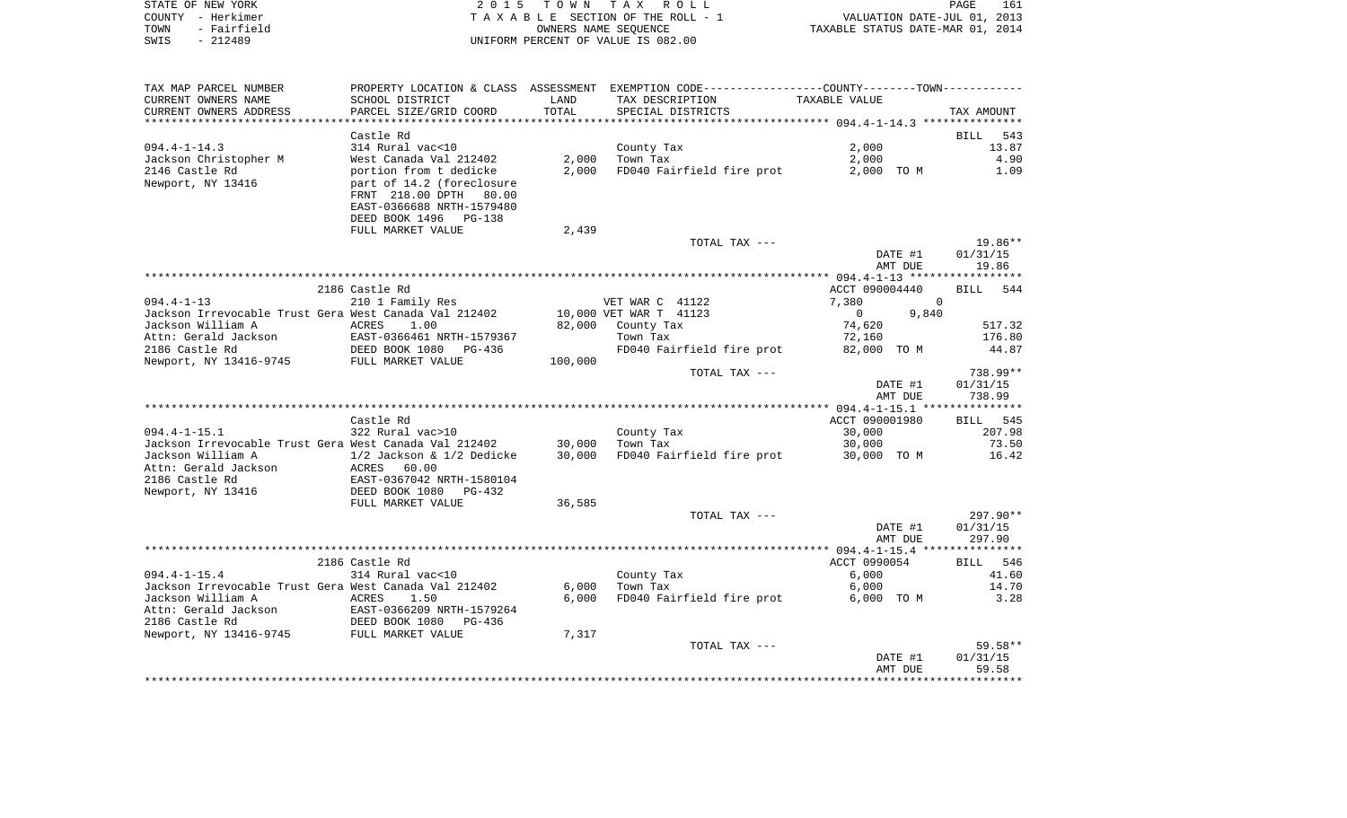|      | STATE OF NEW YORK | 2015 TOWN TAX ROLL                 | 161<br>PAGE                      |
|------|-------------------|------------------------------------|----------------------------------|
|      | COUNTY - Herkimer | TAXABLE SECTION OF THE ROLL - 1    | VALUATION DATE-JUL 01, 2013      |
| TOWN | - Fairfield       | OWNERS NAME SEOUENCE               | TAXABLE STATUS DATE-MAR 01, 2014 |
| SWIS | - 212489          | UNIFORM PERCENT OF VALUE IS 082.00 |                                  |

| TAX MAP PARCEL NUMBER                                                 |                                                    |         | PROPERTY LOCATION & CLASS ASSESSMENT EXEMPTION CODE---------------COUNTY-------TOWN--------- |                         |             |
|-----------------------------------------------------------------------|----------------------------------------------------|---------|----------------------------------------------------------------------------------------------|-------------------------|-------------|
| CURRENT OWNERS NAME                                                   | SCHOOL DISTRICT                                    | LAND    | TAX DESCRIPTION                                                                              | TAXABLE VALUE           |             |
| CURRENT OWNERS ADDRESS                                                | PARCEL SIZE/GRID COORD                             | TOTAL   | SPECIAL DISTRICTS                                                                            |                         | TAX AMOUNT  |
|                                                                       |                                                    |         |                                                                                              |                         |             |
|                                                                       | Castle Rd                                          |         |                                                                                              |                         | BILL<br>543 |
| $094.4 - 1 - 14.3$                                                    | 314 Rural vac<10                                   |         | County Tax                                                                                   | 2,000                   | 13.87       |
| Jackson Christopher M                                                 | West Canada Val 212402                             | 2,000   | Town Tax                                                                                     | 2,000                   | 4.90        |
|                                                                       |                                                    |         |                                                                                              |                         |             |
| 2146 Castle Rd                                                        | portion from t dedicke                             | 2,000   | FD040 Fairfield fire prot                                                                    | 2,000 TO M              | 1.09        |
| Newport, NY 13416                                                     | part of 14.2 (foreclosure                          |         |                                                                                              |                         |             |
|                                                                       | FRNT 218.00 DPTH<br>80.00                          |         |                                                                                              |                         |             |
|                                                                       | EAST-0366688 NRTH-1579480                          |         |                                                                                              |                         |             |
|                                                                       | DEED BOOK 1496 PG-138                              |         |                                                                                              |                         |             |
|                                                                       | FULL MARKET VALUE                                  | 2,439   |                                                                                              |                         |             |
|                                                                       |                                                    |         | TOTAL TAX ---                                                                                |                         | 19.86**     |
|                                                                       |                                                    |         |                                                                                              | DATE #1                 | 01/31/15    |
|                                                                       |                                                    |         |                                                                                              | AMT DUE                 | 19.86       |
|                                                                       |                                                    |         |                                                                                              |                         |             |
|                                                                       | 2186 Castle Rd                                     |         |                                                                                              | ACCT 090004440          |             |
|                                                                       |                                                    |         |                                                                                              |                         | BILL 544    |
| $094.4 - 1 - 13$                                                      | 210 1 Family Res                                   |         | VET WAR C 41122                                                                              | 7,380<br>$\Omega$       |             |
| Jackson Irrevocable Trust Gera West Canada Val 212402                 |                                                    |         | 10,000 VET WAR T 41123                                                                       | 9,840<br>$\overline{0}$ |             |
| Jackson William A                                                     | ACRES<br>1.00                                      |         | 82,000 County Tax                                                                            | 74,620                  | 517.32      |
|                                                                       |                                                    |         | Town Tax                                                                                     | 72,160                  | 176.80      |
|                                                                       |                                                    |         | FD040 Fairfield fire prot 82,000 TO M                                                        |                         | 44.87       |
| Newport, NY 13416-9745 FULL MARKET VALUE                              |                                                    | 100,000 |                                                                                              |                         |             |
|                                                                       |                                                    |         | TOTAL TAX ---                                                                                |                         | 738.99**    |
|                                                                       |                                                    |         |                                                                                              | DATE #1                 | 01/31/15    |
|                                                                       |                                                    |         |                                                                                              | AMT DUE                 | 738.99      |
|                                                                       |                                                    |         |                                                                                              |                         |             |
|                                                                       | Castle Rd                                          |         |                                                                                              | ACCT 090001980          | BILL 545    |
|                                                                       |                                                    |         |                                                                                              |                         |             |
| $094.4 - 1 - 15.1$                                                    | 322 Rural vac>10                                   |         | County Tax                                                                                   | 30,000                  | 207.98      |
| Jackson Irrevocable Trust Gera West Canada Val 212402 30,000 Town Tax |                                                    |         |                                                                                              | 30,000                  | 73.50       |
| Jackson William A                                                     | $1/2$ Jackson & $1/2$ Dedicke                      | 30,000  | FD040 Fairfield fire prot 30,000 TO M                                                        |                         | 16.42       |
|                                                                       |                                                    |         |                                                                                              |                         |             |
|                                                                       | EAST-0367042 NRTH-1580104                          |         |                                                                                              |                         |             |
| Newport, NY 13416                                                     | DEED BOOK 1080<br>PG-432                           |         |                                                                                              |                         |             |
|                                                                       | FULL MARKET VALUE                                  | 36,585  |                                                                                              |                         |             |
|                                                                       |                                                    |         | TOTAL TAX ---                                                                                |                         | $297.90**$  |
|                                                                       |                                                    |         |                                                                                              | DATE #1                 | 01/31/15    |
|                                                                       |                                                    |         |                                                                                              | AMT DUE                 | 297.90      |
|                                                                       |                                                    |         |                                                                                              |                         |             |
|                                                                       | 2186 Castle Rd                                     |         |                                                                                              | ACCT 0990054            | BILL 546    |
| $094.4 - 1 - 15.4$                                                    | 314 Rural vac<10                                   |         |                                                                                              | 6,000                   |             |
|                                                                       |                                                    |         | County Tax                                                                                   |                         | 41.60       |
| Jackson Irrevocable Trust Gera West Canada Val 212402                 |                                                    | 6,000   | Town Tax                                                                                     | 6,000                   | 14.70       |
| Jackson William A                                                     | ACRES<br>1.50                                      | 6.000   | FD040 Fairfield fire prot 6,000 TO M                                                         |                         | 3.28        |
| Attn: Gerald Jackson                                                  | EAST-0366209 NRTH-1579264<br>DEED BOOK 1080 PG-436 |         |                                                                                              |                         |             |
| 2186 Castle Rd                                                        |                                                    |         |                                                                                              |                         |             |
| Newport, NY 13416-9745 FULL MARKET VALUE                              |                                                    | 7,317   |                                                                                              |                         |             |
|                                                                       |                                                    |         | TOTAL TAX ---                                                                                |                         | 59.58**     |
|                                                                       |                                                    |         |                                                                                              | DATE #1                 | 01/31/15    |
|                                                                       |                                                    |         |                                                                                              | AMT DUE                 | 59.58       |
|                                                                       |                                                    |         |                                                                                              |                         |             |
|                                                                       |                                                    |         |                                                                                              |                         |             |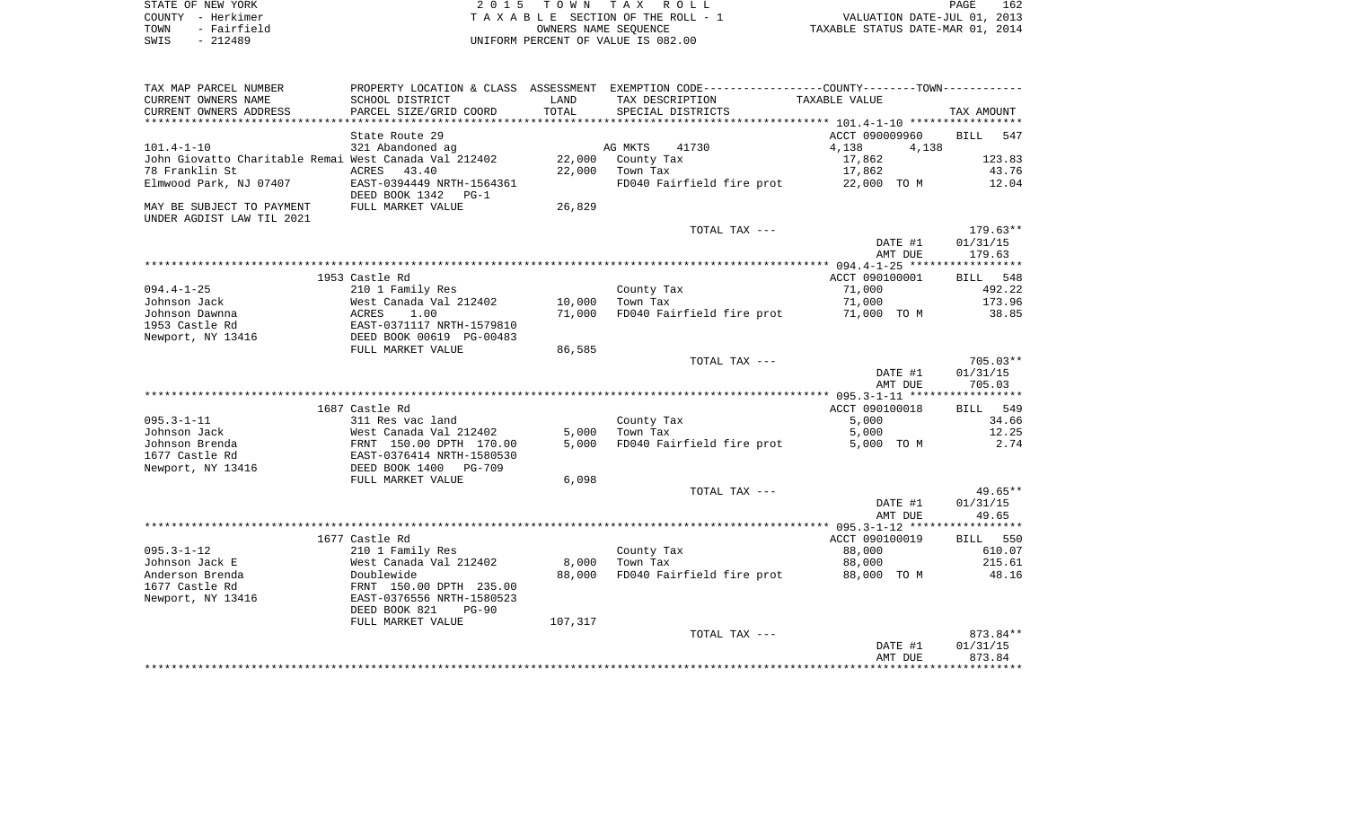| STATE OF NEW YORK   | 2015 TOWN TAX ROLL                 | 162<br>PAGE                      |
|---------------------|------------------------------------|----------------------------------|
| COUNTY - Herkimer   | TAXABLE SECTION OF THE ROLL - 1    | VALUATION DATE-JUL 01, 2013      |
| - Fairfield<br>TOWN | OWNERS NAME SEOUENCE               | TAXABLE STATUS DATE-MAR 01, 2014 |
| SWIS<br>$-212489$   | UNIFORM PERCENT OF VALUE IS 082.00 |                                  |

| TAX MAP PARCEL NUMBER                                 |                            |         | PROPERTY LOCATION & CLASS ASSESSMENT EXEMPTION CODE---------------COUNTY-------TOWN---------- |                |                    |
|-------------------------------------------------------|----------------------------|---------|-----------------------------------------------------------------------------------------------|----------------|--------------------|
| CURRENT OWNERS NAME                                   | SCHOOL DISTRICT            | LAND    | TAX DESCRIPTION                                                                               | TAXABLE VALUE  |                    |
| CURRENT OWNERS ADDRESS                                | PARCEL SIZE/GRID COORD     | TOTAL   | SPECIAL DISTRICTS                                                                             |                | TAX AMOUNT         |
| *********************                                 |                            |         |                                                                                               |                |                    |
|                                                       | State Route 29             |         |                                                                                               | ACCT 090009960 | <b>BILL</b><br>547 |
| $101.4 - 1 - 10$                                      | 321 Abandoned ag           |         | AG MKTS<br>41730                                                                              | 4,138<br>4,138 |                    |
| John Giovatto Charitable Remai West Canada Val 212402 |                            | 22,000  | County Tax                                                                                    | 17,862         | 123.83             |
| 78 Franklin St                                        | <b>ACRES</b><br>43.40      | 22,000  | Town Tax                                                                                      | 17,862         | 43.76              |
| Elmwood Park, NJ 07407                                | EAST-0394449 NRTH-1564361  |         | FD040 Fairfield fire prot                                                                     | 22,000 TO M    | 12.04              |
|                                                       | DEED BOOK 1342<br>$PG-1$   |         |                                                                                               |                |                    |
| MAY BE SUBJECT TO PAYMENT                             | FULL MARKET VALUE          | 26,829  |                                                                                               |                |                    |
| UNDER AGDIST LAW TIL 2021                             |                            |         |                                                                                               |                |                    |
|                                                       |                            |         | TOTAL TAX ---                                                                                 |                | 179.63**           |
|                                                       |                            |         |                                                                                               | DATE #1        | 01/31/15           |
|                                                       |                            |         |                                                                                               | AMT DUE        | 179.63             |
|                                                       |                            |         |                                                                                               |                |                    |
|                                                       | 1953 Castle Rd             |         |                                                                                               | ACCT 090100001 | BILL 548           |
| $094.4 - 1 - 25$                                      | 210 1 Family Res           |         | County Tax                                                                                    | 71,000         | 492.22             |
| Johnson Jack                                          | West Canada Val 212402     | 10,000  | Town Tax                                                                                      | 71,000         | 173.96             |
| Johnson Dawnna                                        | ACRES<br>1.00              | 71,000  | FD040 Fairfield fire prot                                                                     | 71,000 TO M    | 38.85              |
| 1953 Castle Rd                                        | EAST-0371117 NRTH-1579810  |         |                                                                                               |                |                    |
| Newport, NY 13416                                     | DEED BOOK 00619 PG-00483   |         |                                                                                               |                |                    |
|                                                       | FULL MARKET VALUE          | 86,585  |                                                                                               |                | $705.03**$         |
|                                                       |                            |         | TOTAL TAX ---                                                                                 | DATE #1        | 01/31/15           |
|                                                       |                            |         |                                                                                               | AMT DUE        | 705.03             |
|                                                       |                            |         |                                                                                               |                |                    |
|                                                       | 1687 Castle Rd             |         |                                                                                               | ACCT 090100018 | 549<br>BILL        |
| $095.3 - 1 - 11$                                      | 311 Res vac land           |         | County Tax                                                                                    | 5,000          | 34.66              |
| Johnson Jack                                          | West Canada Val 212402     | 5,000   | Town Tax                                                                                      | 5,000          | 12.25              |
| Johnson Brenda                                        | FRNT 150.00 DPTH 170.00    | 5,000   | FD040 Fairfield fire prot                                                                     | 5,000 TO M     | 2.74               |
| 1677 Castle Rd                                        | EAST-0376414 NRTH-1580530  |         |                                                                                               |                |                    |
| Newport, NY 13416                                     | DEED BOOK 1400<br>$PG-709$ |         |                                                                                               |                |                    |
|                                                       | FULL MARKET VALUE          | 6,098   |                                                                                               |                |                    |
|                                                       |                            |         | TOTAL TAX ---                                                                                 |                | $49.65**$          |
|                                                       |                            |         |                                                                                               | DATE #1        | 01/31/15           |
|                                                       |                            |         |                                                                                               | AMT DUE        | 49.65              |
|                                                       |                            |         |                                                                                               |                |                    |
|                                                       | 1677 Castle Rd             |         |                                                                                               | ACCT 090100019 | BILL 550           |
| $095.3 - 1 - 12$                                      | 210 1 Family Res           |         | County Tax                                                                                    | 88,000         | 610.07             |
| Johnson Jack E                                        | West Canada Val 212402     | 8,000   | Town Tax                                                                                      | 88,000         | 215.61             |
| Anderson Brenda                                       | Doublewide                 | 88,000  | FD040 Fairfield fire prot                                                                     | 88,000 TO M    | 48.16              |
| 1677 Castle Rd                                        | FRNT 150.00 DPTH 235.00    |         |                                                                                               |                |                    |
| Newport, NY 13416                                     | EAST-0376556 NRTH-1580523  |         |                                                                                               |                |                    |
|                                                       | DEED BOOK 821<br>$PG-90$   |         |                                                                                               |                |                    |
|                                                       | FULL MARKET VALUE          | 107,317 |                                                                                               |                |                    |
|                                                       |                            |         | TOTAL TAX ---                                                                                 |                | 873.84**           |
|                                                       |                            |         |                                                                                               | DATE #1        | 01/31/15           |
|                                                       |                            |         |                                                                                               | AMT DUE        | 873.84             |
|                                                       |                            |         |                                                                                               |                |                    |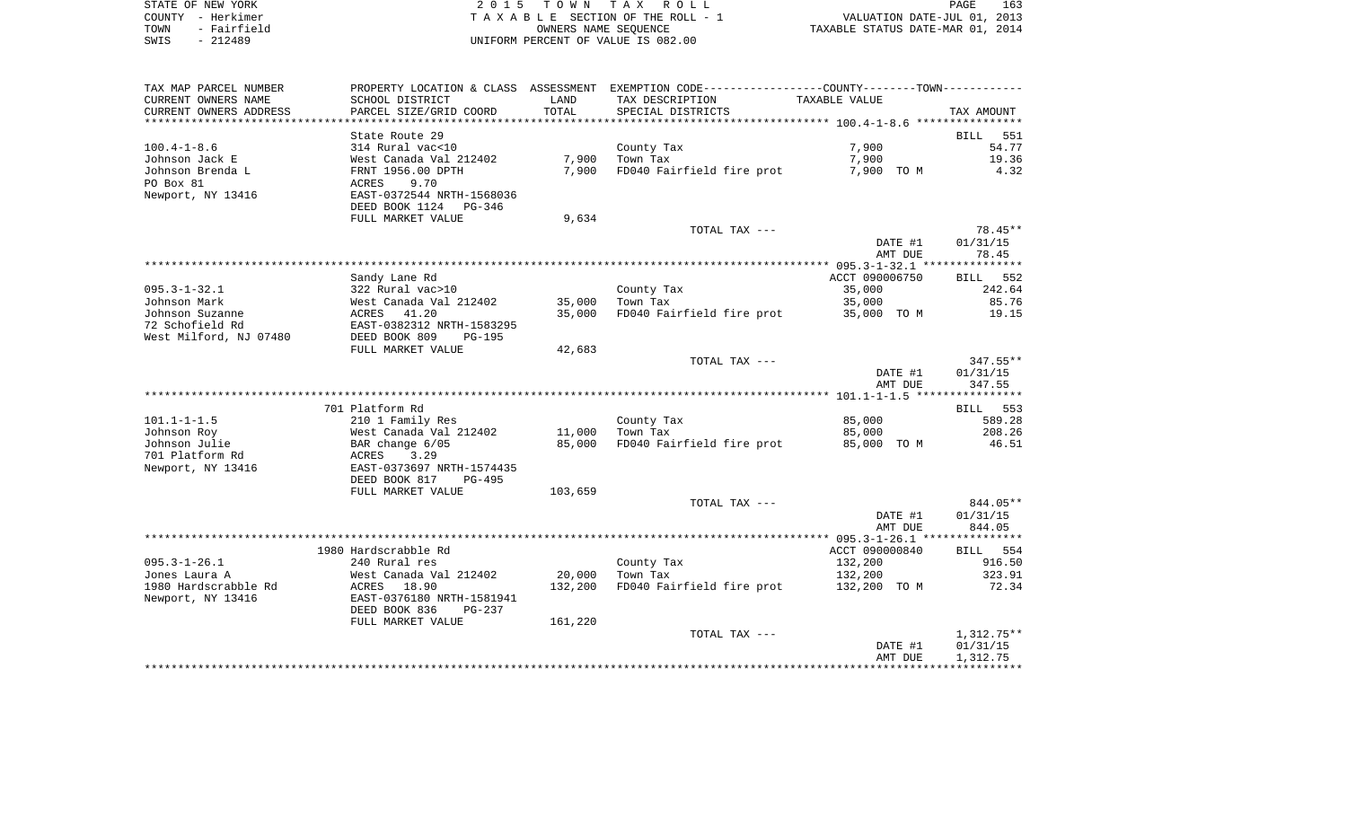| STATE OF NEW YORK   | 2015 TOWN TAX ROLL                 | 163<br>PAGE                      |
|---------------------|------------------------------------|----------------------------------|
| COUNTY - Herkimer   | TAXABLE SECTION OF THE ROLL - 1    | VALUATION DATE-JUL 01, 2013      |
| - Fairfield<br>TOWN | OWNERS NAME SEOUENCE               | TAXABLE STATUS DATE-MAR 01, 2014 |
| - 212489<br>SWIS    | UNIFORM PERCENT OF VALUE IS 082.00 |                                  |

| TAX MAP PARCEL NUMBER  |                                                                      |         | PROPERTY LOCATION & CLASS ASSESSMENT EXEMPTION CODE---------------COUNTY-------TOWN---------- |                      |             |
|------------------------|----------------------------------------------------------------------|---------|-----------------------------------------------------------------------------------------------|----------------------|-------------|
| CURRENT OWNERS NAME    | SCHOOL DISTRICT                                                      | LAND    | TAX DESCRIPTION                                                                               | <b>TAXABLE VALUE</b> |             |
| CURRENT OWNERS ADDRESS | PARCEL SIZE/GRID COORD                                               | TOTAL   | SPECIAL DISTRICTS                                                                             |                      | TAX AMOUNT  |
|                        |                                                                      |         |                                                                                               |                      |             |
|                        | State Route 29                                                       |         |                                                                                               |                      | BILL<br>551 |
| $100.4 - 1 - 8.6$      | 314 Rural vac<10                                                     |         | County Tax                                                                                    | 7,900                | 54.77       |
| Johnson Jack E         | West Canada Val 212402                                               | 7,900   | Town Tax                                                                                      | 7,900                | 19.36       |
| Johnson Brenda L       | FRNT 1956.00 DPTH                                                    | 7,900   | FD040 Fairfield fire prot                                                                     | 7,900 TO M           | 4.32        |
| PO Box 81              | ACRES<br>9.70                                                        |         |                                                                                               |                      |             |
| Newport, NY 13416      | EAST-0372544 NRTH-1568036                                            |         |                                                                                               |                      |             |
|                        | DEED BOOK 1124 PG-346                                                |         |                                                                                               |                      |             |
|                        | FULL MARKET VALUE                                                    | 9,634   |                                                                                               |                      |             |
|                        |                                                                      |         | TOTAL TAX ---                                                                                 |                      | 78.45**     |
|                        |                                                                      |         |                                                                                               | DATE #1              | 01/31/15    |
|                        |                                                                      |         |                                                                                               | AMT DUE              | 78.45       |
|                        |                                                                      |         |                                                                                               | ACCT 090006750       | BILL 552    |
| $095.3 - 1 - 32.1$     | Sandy Lane Rd<br>322 Rural vac>10                                    |         | County Tax                                                                                    | 35,000               | 242.64      |
| Johnson Mark           |                                                                      | 35,000  | Town Tax                                                                                      | 35,000               | 85.76       |
| Johnson Suzanne        |                                                                      | 35,000  | FD040 Fairfield fire prot                                                                     | 35,000 TO M          | 19.15       |
| 72 Schofield Rd        | West Canada Val 212402<br>ACRES   41.20<br>EAST-0382312 NRTH-1583295 |         |                                                                                               |                      |             |
| West Milford, NJ 07480 | DEED BOOK 809<br>$PG-195$                                            |         |                                                                                               |                      |             |
|                        | FULL MARKET VALUE                                                    | 42,683  |                                                                                               |                      |             |
|                        |                                                                      |         | TOTAL TAX ---                                                                                 |                      | $347.55**$  |
|                        |                                                                      |         |                                                                                               | DATE #1              | 01/31/15    |
|                        |                                                                      |         |                                                                                               | AMT DUE              | 347.55      |
|                        |                                                                      |         |                                                                                               |                      |             |
|                        | 701 Platform Rd                                                      |         |                                                                                               |                      | BILL 553    |
| $101.1 - 1 - 1.5$      | 210 1 Family Res                                                     |         | County Tax                                                                                    | 85,000               | 589.28      |
| Johnson Roy            |                                                                      | 11,000  | Town Tax                                                                                      | 85,000               | 208.26      |
| Johnson Julie          | West Canada Val 212402<br>BAR change 6/05<br>ACRES   3.29            | 85,000  | FD040 Fairfield fire prot                                                                     | 85,000 TO M          | 46.51       |
| 701 Platform Rd        |                                                                      |         |                                                                                               |                      |             |
| Newport, NY 13416      | EAST-0373697 NRTH-1574435                                            |         |                                                                                               |                      |             |
|                        | DEED BOOK 817<br>PG-495                                              |         |                                                                                               |                      |             |
|                        | FULL MARKET VALUE                                                    | 103,659 | TOTAL TAX ---                                                                                 |                      | 844.05**    |
|                        |                                                                      |         |                                                                                               | DATE #1              | 01/31/15    |
|                        |                                                                      |         |                                                                                               | AMT DUE              | 844.05      |
|                        |                                                                      |         |                                                                                               |                      |             |
|                        | 1980 Hardscrabble Rd                                                 |         |                                                                                               | ACCT 090000840       | BILL 554    |
| $095.3 - 1 - 26.1$     | 240 Rural res                                                        |         | County Tax                                                                                    | 132,200              | 916.50      |
| Jones Laura A          | West Canada Val 212402                                               | 20,000  | Town Tax                                                                                      | 132,200              | 323.91      |
| 1980 Hardscrabble Rd   | ACRES 18.90                                                          | 132,200 | FD040 Fairfield fire prot                                                                     | 132,200 TO M         | 72.34       |
| Newport, NY 13416      | EAST-0376180 NRTH-1581941                                            |         |                                                                                               |                      |             |
|                        | DEED BOOK 836<br>$PG-237$                                            |         |                                                                                               |                      |             |
|                        | FULL MARKET VALUE                                                    | 161,220 |                                                                                               |                      |             |
|                        |                                                                      |         | TOTAL TAX ---                                                                                 |                      | 1,312.75**  |
|                        |                                                                      |         |                                                                                               | DATE #1              | 01/31/15    |
|                        |                                                                      |         |                                                                                               | AMT DUE              | 1,312.75    |
|                        |                                                                      |         |                                                                                               |                      |             |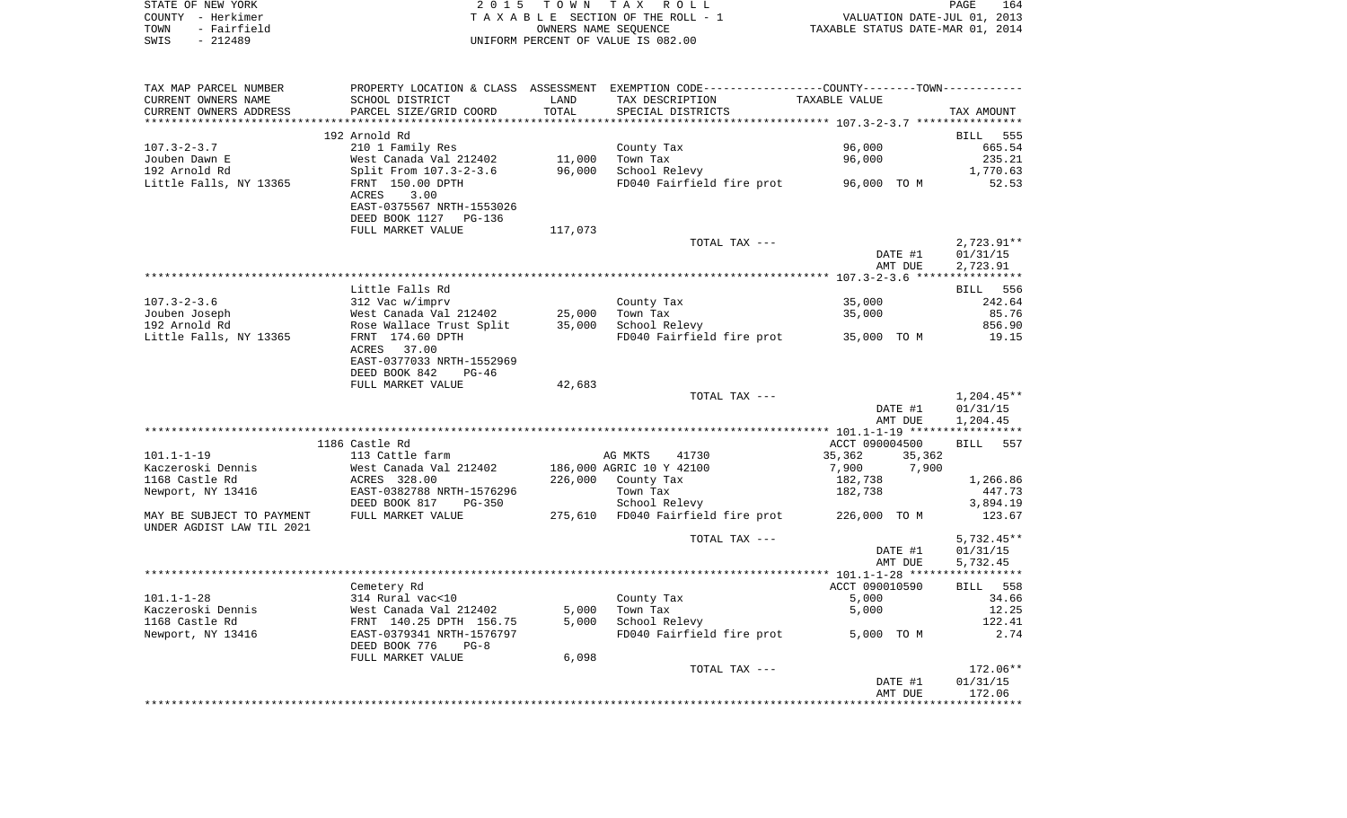| STATE OF NEW YORK   | 2015 TOWN TAX ROLL                 | 164<br>PAGE                      |
|---------------------|------------------------------------|----------------------------------|
| COUNTY - Herkimer   | TAXABLE SECTION OF THE ROLL - 1    | VALUATION DATE-JUL 01, 2013      |
| - Fairfield<br>TOWN | OWNERS NAME SEOUENCE               | TAXABLE STATUS DATE-MAR 01, 2014 |
| - 212489<br>SWIS    | UNIFORM PERCENT OF VALUE IS 082.00 |                                  |

| TAX MAP PARCEL NUMBER<br>CURRENT OWNERS NAME | SCHOOL DISTRICT                                             | LAND    | PROPERTY LOCATION & CLASS ASSESSMENT EXEMPTION CODE---------------COUNTY-------TOWN----------<br>TAX DESCRIPTION | TAXABLE VALUE    |                    |
|----------------------------------------------|-------------------------------------------------------------|---------|------------------------------------------------------------------------------------------------------------------|------------------|--------------------|
| CURRENT OWNERS ADDRESS                       | PARCEL SIZE/GRID COORD                                      | TOTAL   | SPECIAL DISTRICTS                                                                                                |                  | TAX AMOUNT         |
|                                              |                                                             |         |                                                                                                                  |                  |                    |
|                                              | 192 Arnold Rd                                               |         |                                                                                                                  |                  | 555<br><b>BILL</b> |
| $107.3 - 2 - 3.7$                            | 210 1 Family Res                                            |         | County Tax                                                                                                       | 96,000           | 665.54             |
| Jouben Dawn E                                | West Canada Val 212402                                      | 11,000  | Town Tax                                                                                                         | 96,000           | 235.21             |
| 192 Arnold Rd                                | Split From 107.3-2-3.6                                      | 96,000  | School Relevy                                                                                                    |                  | 1,770.63           |
| Little Falls, NY 13365                       | FRNT 150.00 DPTH                                            |         | FD040 Fairfield fire prot                                                                                        | 96,000 TO M      | 52.53              |
|                                              | 3.00<br>ACRES                                               |         |                                                                                                                  |                  |                    |
|                                              | EAST-0375567 NRTH-1553026                                   |         |                                                                                                                  |                  |                    |
|                                              | DEED BOOK 1127<br>PG-136                                    |         |                                                                                                                  |                  |                    |
|                                              | FULL MARKET VALUE                                           | 117,073 |                                                                                                                  |                  |                    |
|                                              |                                                             |         | TOTAL TAX ---                                                                                                    |                  | $2,723.91**$       |
|                                              |                                                             |         |                                                                                                                  | DATE #1          | 01/31/15           |
|                                              |                                                             |         |                                                                                                                  | AMT DUE          | 2,723.91           |
|                                              | Little Falls Rd                                             |         |                                                                                                                  |                  | <b>BILL</b><br>556 |
| $107.3 - 2 - 3.6$                            | 312 Vac w/imprv                                             |         | County Tax                                                                                                       | 35,000           | 242.64             |
| Jouben Joseph                                | West Canada Val 212402                                      | 25,000  | Town Tax                                                                                                         | 35,000           | 85.76              |
| 192 Arnold Rd                                | Rose Wallace Trust Split                                    | 35,000  | School Relevy                                                                                                    |                  | 856.90             |
| Little Falls, NY 13365                       | FRNT 174.60 DPTH                                            |         | FD040 Fairfield fire prot                                                                                        | 35,000 TO M      | 19.15              |
|                                              | ACRES<br>37.00                                              |         |                                                                                                                  |                  |                    |
|                                              | EAST-0377033 NRTH-1552969                                   |         |                                                                                                                  |                  |                    |
|                                              | DEED BOOK 842<br>$PG-46$                                    |         |                                                                                                                  |                  |                    |
|                                              | FULL MARKET VALUE                                           | 42,683  |                                                                                                                  |                  |                    |
|                                              |                                                             |         | TOTAL TAX ---                                                                                                    |                  | 1,204.45**         |
|                                              |                                                             |         |                                                                                                                  | DATE #1          | 01/31/15           |
|                                              |                                                             |         |                                                                                                                  | AMT DUE          | 1,204.45           |
|                                              |                                                             |         |                                                                                                                  |                  |                    |
|                                              | 1186 Castle Rd                                              |         |                                                                                                                  | ACCT 090004500   | 557<br>BILL        |
| $101.1 - 1 - 19$                             | 113 Cattle farm                                             |         | AG MKTS<br>41730                                                                                                 | 35,362<br>35,362 |                    |
| Kaczeroski Dennis                            | West Canada Val 212402                                      |         | 186,000 AGRIC 10 Y 42100                                                                                         | 7,900<br>7,900   |                    |
| 1168 Castle Rd                               | ACRES 328.00                                                | 226,000 | County Tax                                                                                                       | 182,738          | 1,266.86           |
| Newport, NY 13416                            | EAST-0382788 NRTH-1576296<br>DEED BOOK 817<br><b>PG-350</b> |         | Town Tax<br>School Relevy                                                                                        | 182,738          | 447.73<br>3,894.19 |
| MAY BE SUBJECT TO PAYMENT                    | FULL MARKET VALUE                                           | 275,610 | FD040 Fairfield fire prot                                                                                        | 226,000 TO M     | 123.67             |
| UNDER AGDIST LAW TIL 2021                    |                                                             |         |                                                                                                                  |                  |                    |
|                                              |                                                             |         | TOTAL TAX ---                                                                                                    |                  | $5,732.45**$       |
|                                              |                                                             |         |                                                                                                                  | DATE #1          | 01/31/15           |
|                                              |                                                             |         |                                                                                                                  | AMT DUE          | 5,732.45           |
|                                              |                                                             |         |                                                                                                                  |                  |                    |
|                                              | Cemetery Rd                                                 |         |                                                                                                                  | ACCT 090010590   | 558<br>BILL        |
| $101.1 - 1 - 28$                             | 314 Rural vac<10                                            |         | County Tax                                                                                                       | 5,000            | 34.66              |
| Kaczeroski Dennis                            | West Canada Val 212402                                      | 5,000   | Town Tax                                                                                                         | 5,000            | 12.25              |
| 1168 Castle Rd                               | FRNT 140.25 DPTH 156.75                                     | 5,000   | School Relevy                                                                                                    |                  | 122.41             |
| Newport, NY 13416                            | EAST-0379341 NRTH-1576797                                   |         | FD040 Fairfield fire prot                                                                                        | 5,000 TO M       | 2.74               |
|                                              | DEED BOOK 776<br>$PG-8$                                     |         |                                                                                                                  |                  |                    |
|                                              | FULL MARKET VALUE                                           | 6,098   |                                                                                                                  |                  |                    |
|                                              |                                                             |         | TOTAL TAX ---                                                                                                    |                  | 172.06**           |
|                                              |                                                             |         |                                                                                                                  | DATE #1          | 01/31/15           |
|                                              |                                                             |         |                                                                                                                  | AMT DUE          | 172.06             |
|                                              |                                                             |         |                                                                                                                  |                  |                    |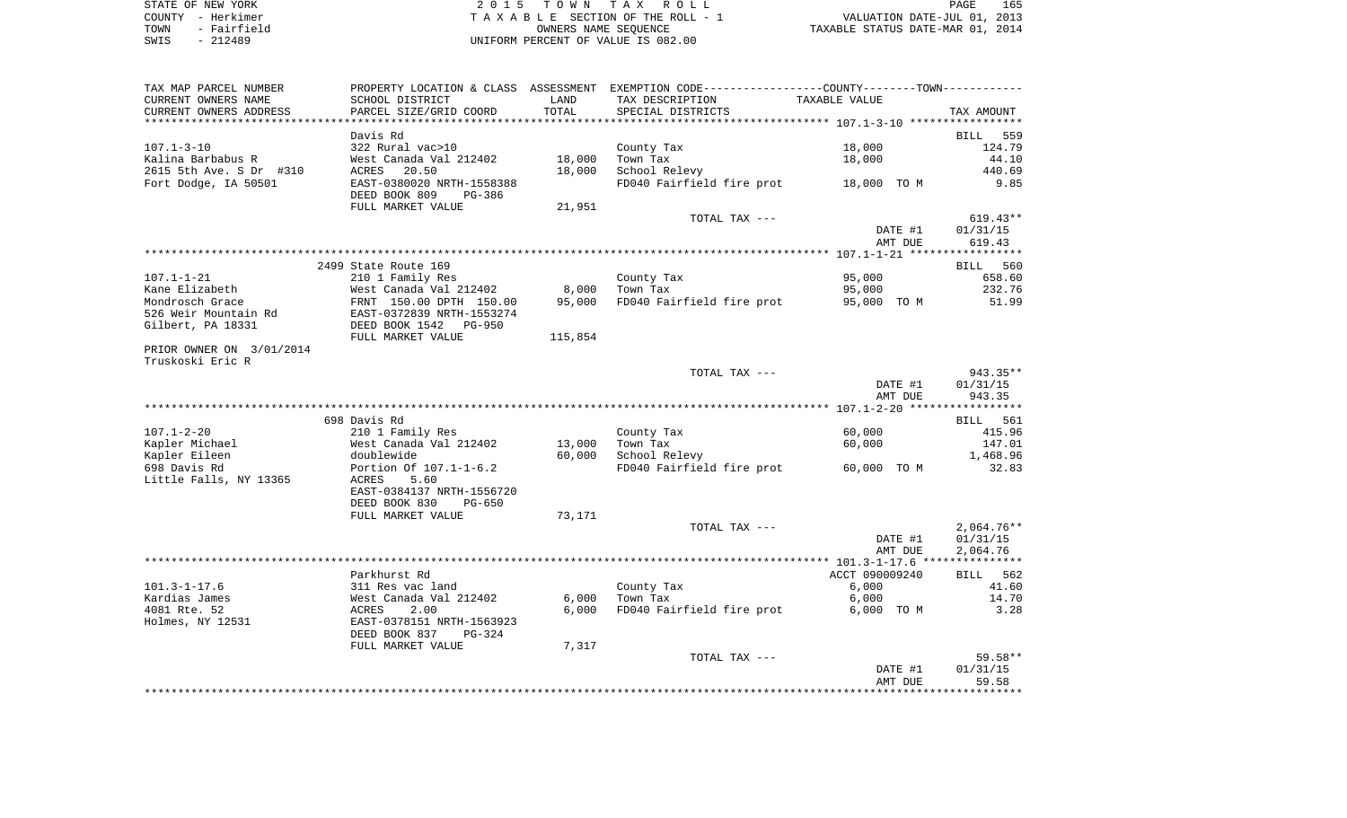| STATE OF NEW YORK   | 2015 TOWN TAX ROLL                 | 165<br>PAGE                      |
|---------------------|------------------------------------|----------------------------------|
| COUNTY - Herkimer   | TAXABLE SECTION OF THE ROLL - 1    | VALUATION DATE-JUL 01, 2013      |
| - Fairfield<br>TOWN | OWNERS NAME SEOUENCE               | TAXABLE STATUS DATE-MAR 01, 2014 |
| - 212489<br>SWIS    | UNIFORM PERCENT OF VALUE IS 082.00 |                                  |

| TAX MAP PARCEL NUMBER    |                                                   |         | PROPERTY LOCATION & CLASS ASSESSMENT EXEMPTION CODE---------------COUNTY-------TOWN---------- |                |              |
|--------------------------|---------------------------------------------------|---------|-----------------------------------------------------------------------------------------------|----------------|--------------|
| CURRENT OWNERS NAME      | SCHOOL DISTRICT                                   | LAND    | TAX DESCRIPTION                                                                               | TAXABLE VALUE  |              |
| CURRENT OWNERS ADDRESS   | PARCEL SIZE/GRID COORD                            | TOTAL   | SPECIAL DISTRICTS                                                                             |                | TAX AMOUNT   |
|                          |                                                   |         |                                                                                               |                |              |
|                          | Davis Rd                                          |         |                                                                                               |                | BILL 559     |
| $107.1 - 3 - 10$         | 322 Rural vac>10                                  |         | County Tax                                                                                    | 18,000         | 124.79       |
| Kalina Barbabus R        | West Canada Val 212402                            | 18,000  | Town Tax                                                                                      | 18,000         | 44.10        |
| 2615 5th Ave. S Dr #310  | ACRES<br>20.50                                    | 18,000  | School Relevy                                                                                 |                | 440.69       |
| Fort Dodge, IA 50501     | EAST-0380020 NRTH-1558388                         |         | FD040 Fairfield fire prot 18,000 TO M                                                         |                | 9.85         |
|                          | DEED BOOK 809<br>PG-386                           |         |                                                                                               |                |              |
|                          | FULL MARKET VALUE                                 | 21,951  |                                                                                               |                |              |
|                          |                                                   |         | TOTAL TAX ---                                                                                 |                | $619.43**$   |
|                          |                                                   |         |                                                                                               | DATE #1        | 01/31/15     |
|                          |                                                   |         |                                                                                               | AMT DUE        | 619.43       |
|                          |                                                   |         |                                                                                               |                |              |
|                          | 2499 State Route 169                              |         |                                                                                               |                |              |
| $107.1 - 1 - 21$         |                                                   |         |                                                                                               | 95,000         | BILL 560     |
|                          | 210 1 Family Res                                  |         | County Tax                                                                                    |                | 658.60       |
| Kane Elizabeth           | West Canada Val 212402<br>FRNT 150.00 DPTH 150.00 | 8,000   | Town Tax                                                                                      | 95,000         | 232.76       |
| Mondrosch Grace          |                                                   | 95,000  | FD040 Fairfield fire prot                                                                     | 95,000 TO M    | 51.99        |
| 526 Weir Mountain Rd     | EAST-0372839 NRTH-1553274                         |         |                                                                                               |                |              |
| Gilbert, PA 18331        | DEED BOOK 1542    PG-950                          |         |                                                                                               |                |              |
|                          | FULL MARKET VALUE                                 | 115,854 |                                                                                               |                |              |
| PRIOR OWNER ON 3/01/2014 |                                                   |         |                                                                                               |                |              |
| Truskoski Eric R         |                                                   |         |                                                                                               |                |              |
|                          |                                                   |         | TOTAL TAX ---                                                                                 |                | 943.35**     |
|                          |                                                   |         |                                                                                               | DATE #1        | 01/31/15     |
|                          |                                                   |         |                                                                                               | AMT DUE        | 943.35       |
|                          |                                                   |         |                                                                                               |                |              |
|                          | 698 Davis Rd                                      |         |                                                                                               |                | BILL 561     |
| 107.1-2-20               | 210 1 Family Res                                  |         | County Tax                                                                                    | 60,000         | 415.96       |
| Kapler Michael           | West Canada Val 212402                            | 13,000  | Town Tax                                                                                      | 60,000         | 147.01       |
| Kapler Eileen            | doublewide                                        | 60,000  | School Relevy                                                                                 |                | 1,468.96     |
| 698 Davis Rd             | Portion Of 107.1-1-6.2                            |         | FD040 Fairfield fire prot 60,000 TO M                                                         |                | 32.83        |
| Little Falls, NY 13365   | ACRES<br>5.60                                     |         |                                                                                               |                |              |
|                          | EAST-0384137 NRTH-1556720                         |         |                                                                                               |                |              |
|                          | DEED BOOK 830<br>PG-650                           |         |                                                                                               |                |              |
|                          | FULL MARKET VALUE                                 | 73,171  |                                                                                               |                |              |
|                          |                                                   |         | TOTAL TAX ---                                                                                 |                | $2,064.76**$ |
|                          |                                                   |         |                                                                                               | DATE #1        |              |
|                          |                                                   |         |                                                                                               |                | 01/31/15     |
|                          |                                                   |         |                                                                                               | AMT DUE        | 2,064.76     |
|                          |                                                   |         |                                                                                               |                |              |
|                          | Parkhurst Rd                                      |         |                                                                                               | ACCT 090009240 | BILL 562     |
| 101.3-1-17.6             | 311 Res vac land                                  |         | County Tax                                                                                    | 6,000          | 41.60        |
| Kardias James            | West Canada Val 212402<br>ACRES    2.00           | 6,000   | Town Tax                                                                                      | 6,000          | 14.70        |
| 4081 Rte. 52             |                                                   | 6,000   | FD040 Fairfield fire prot                                                                     | 6,000 TO M     | 3.28         |
| Holmes, NY 12531         | EAST-0378151 NRTH-1563923                         |         |                                                                                               |                |              |
|                          | DEED BOOK 837<br>PG-324                           |         |                                                                                               |                |              |
|                          | FULL MARKET VALUE                                 | 7,317   |                                                                                               |                |              |
|                          |                                                   |         | TOTAL TAX ---                                                                                 |                | $59.58**$    |
|                          |                                                   |         |                                                                                               | DATE #1        | 01/31/15     |
|                          |                                                   |         |                                                                                               | AMT DUE        | 59.58        |
|                          |                                                   |         |                                                                                               |                |              |
|                          |                                                   |         |                                                                                               |                |              |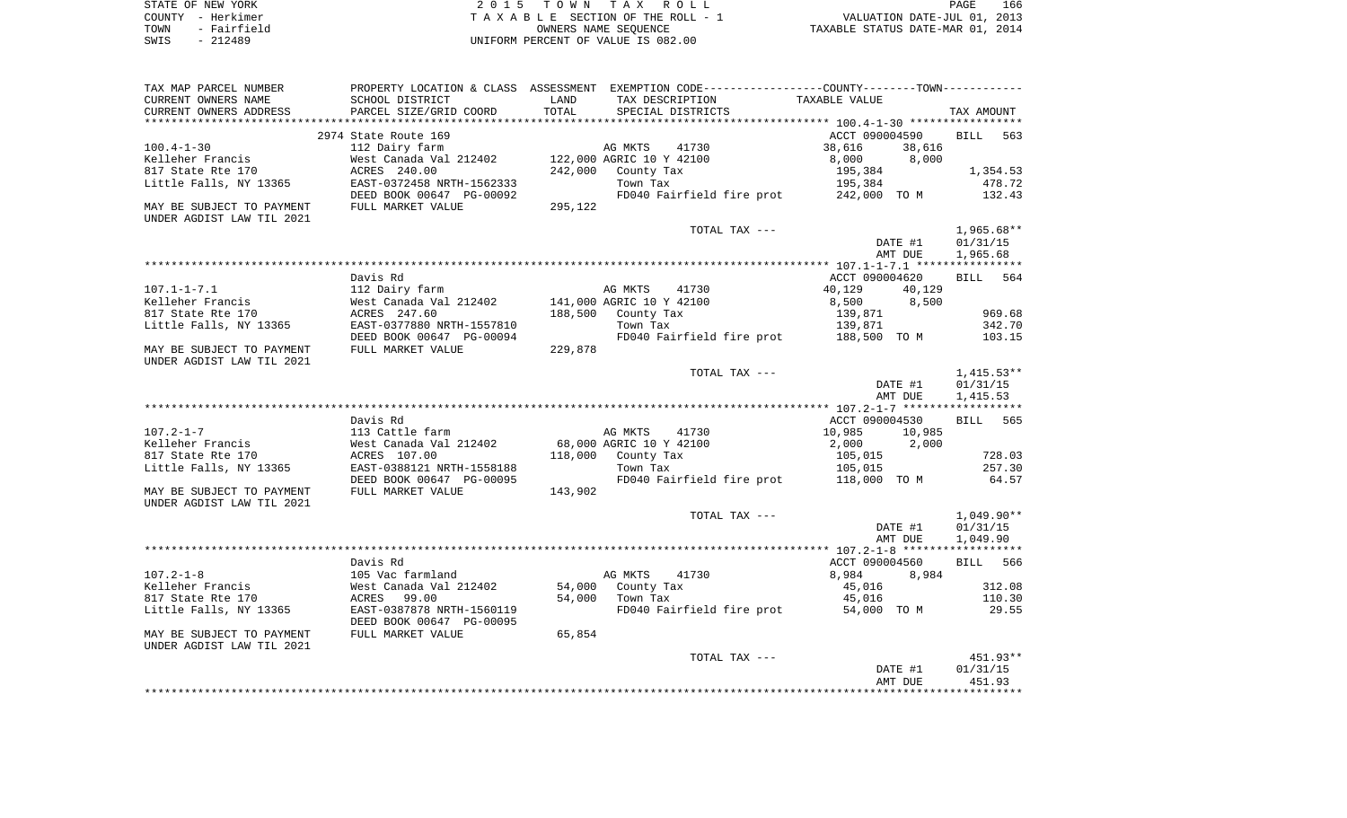| STATE OF NEW YORK |             | 2015 TOWN TAX ROLL                 |                      |                                  | PAGE | 166 |
|-------------------|-------------|------------------------------------|----------------------|----------------------------------|------|-----|
| COUNTY - Herkimer |             | TAXABLE SECTION OF THE ROLL - 1    |                      | VALUATION DATE-JUL 01, 2013      |      |     |
| TOWN              | - Fairfield |                                    | OWNERS NAME SEOUENCE | TAXABLE STATUS DATE-MAR 01, 2014 |      |     |
| SWIS              | $-212489$   | UNIFORM PERCENT OF VALUE IS 082.00 |                      |                                  |      |     |

| TAX MAP PARCEL NUMBER<br>CURRENT OWNERS NAME                                        | SCHOOL DISTRICT                                                                       | LAND    | PROPERTY LOCATION & CLASS ASSESSMENT EXEMPTION CODE---------------COUNTY--------TOWN----------<br>TAX DESCRIPTION | TAXABLE VALUE                                            |                                      |
|-------------------------------------------------------------------------------------|---------------------------------------------------------------------------------------|---------|-------------------------------------------------------------------------------------------------------------------|----------------------------------------------------------|--------------------------------------|
| CURRENT OWNERS ADDRESS<br>*******************                                       | PARCEL SIZE/GRID COORD                                                                | TOTAL   | SPECIAL DISTRICTS                                                                                                 |                                                          | TAX AMOUNT                           |
|                                                                                     | 2974 State Route 169                                                                  |         |                                                                                                                   | ACCT 090004590                                           | <b>BILL</b><br>563                   |
| $100.4 - 1 - 30$<br>Kelleher Francis<br>817 State Rte 170<br>Little Falls, NY 13365 | 112 Dairy farm<br>West Canada Val 212402<br>ACRES 240.00<br>EAST-0372458 NRTH-1562333 | 242,000 | AG MKTS<br>41730<br>122,000 AGRIC 10 Y 42100<br>County Tax<br>Town Tax                                            | 38,616<br>38,616<br>8,000<br>8,000<br>195,384<br>195,384 | 1,354.53<br>478.72                   |
| MAY BE SUBJECT TO PAYMENT                                                           | DEED BOOK 00647 PG-00092<br>FULL MARKET VALUE                                         | 295,122 | FD040 Fairfield fire prot 242,000 TO M                                                                            |                                                          | 132.43                               |
| UNDER AGDIST LAW TIL 2021                                                           |                                                                                       |         |                                                                                                                   |                                                          |                                      |
|                                                                                     |                                                                                       |         | TOTAL TAX ---                                                                                                     | DATE #1<br>AMT DUE                                       | $1,965.68**$<br>01/31/15<br>1,965.68 |
|                                                                                     |                                                                                       |         |                                                                                                                   |                                                          |                                      |
| $107.1 - 1 - 7.1$                                                                   | Davis Rd<br>112 Dairy farm                                                            |         | AG MKTS<br>41730                                                                                                  | ACCT 090004620<br>40,129<br>40,129                       | BILL 564                             |
| Kelleher Francis<br>817 State Rte 170                                               | West Canada Val 212402<br>ACRES 247.60                                                |         | 141,000 AGRIC 10 Y 42100<br>188,500 County Tax                                                                    | 8,500<br>8,500<br>139,871                                | 969.68                               |
| Little Falls, NY 13365                                                              | EAST-0377880 NRTH-1557810<br>DEED BOOK 00647 PG-00094                                 |         | Town Tax<br>FD040 Fairfield fire prot 188,500 TO M                                                                | 139,871                                                  | 342.70<br>103.15                     |
| MAY BE SUBJECT TO PAYMENT<br>UNDER AGDIST LAW TIL 2021                              | FULL MARKET VALUE                                                                     | 229,878 |                                                                                                                   |                                                          |                                      |
|                                                                                     |                                                                                       |         | TOTAL TAX ---                                                                                                     | DATE #1                                                  | $1,415.53**$<br>01/31/15             |
|                                                                                     |                                                                                       |         |                                                                                                                   | AMT DUE                                                  | 1,415.53                             |
|                                                                                     |                                                                                       |         |                                                                                                                   |                                                          |                                      |
|                                                                                     | Davis Rd                                                                              |         |                                                                                                                   | ACCT 090004530                                           | 565<br>BILL                          |
| $107.2 - 1 - 7$<br>Kelleher Francis                                                 | 113 Cattle farm<br>West Canada Val 212402                                             |         | AG MKTS<br>41730<br>68,000 AGRIC 10 Y 42100                                                                       | 10,985<br>10,985<br>2,000<br>2,000                       |                                      |
| 817 State Rte 170<br>Little Falls, NY 13365                                         | ACRES 107.00<br>EAST-0388121 NRTH-1558188                                             |         | 118,000 County Tax<br>Town Tax                                                                                    | 105,015<br>105,015                                       | 728.03<br>257.30                     |
| MAY BE SUBJECT TO PAYMENT<br>UNDER AGDIST LAW TIL 2021                              | DEED BOOK 00647 PG-00095<br>FULL MARKET VALUE                                         | 143,902 | FD040 Fairfield fire prot 118,000 TO M                                                                            |                                                          | 64.57                                |
|                                                                                     |                                                                                       |         | TOTAL TAX ---                                                                                                     |                                                          | $1,049.90**$                         |
|                                                                                     |                                                                                       |         |                                                                                                                   | DATE #1<br>AMT DUE                                       | 01/31/15<br>1,049.90                 |
|                                                                                     |                                                                                       |         |                                                                                                                   |                                                          |                                      |
| $107.2 - 1 - 8$                                                                     | Davis Rd<br>105 Vac farmland                                                          |         | AG MKTS<br>41730                                                                                                  | ACCT 090004560<br>8,984<br>8,984                         | BILL 566                             |
| Kelleher Francis<br>817 State Rte 170                                               | West Canada Val 212402<br>99.00<br>ACRES                                              | 54,000  | County Tax<br>54,000 Town Tax                                                                                     | 45,016<br>45,016                                         | 312.08<br>110.30                     |
| Little Falls, NY 13365                                                              | EAST-0387878 NRTH-1560119<br>DEED BOOK 00647 PG-00095                                 |         | FD040 Fairfield fire prot 54,000 TO M                                                                             |                                                          | 29.55                                |
| MAY BE SUBJECT TO PAYMENT<br>UNDER AGDIST LAW TIL 2021                              | FULL MARKET VALUE                                                                     | 65,854  |                                                                                                                   |                                                          |                                      |
|                                                                                     |                                                                                       |         | TOTAL TAX ---                                                                                                     |                                                          | 451.93**                             |
|                                                                                     |                                                                                       |         |                                                                                                                   | DATE #1<br>AMT DUE                                       | 01/31/15<br>451.93                   |
|                                                                                     |                                                                                       |         |                                                                                                                   |                                                          |                                      |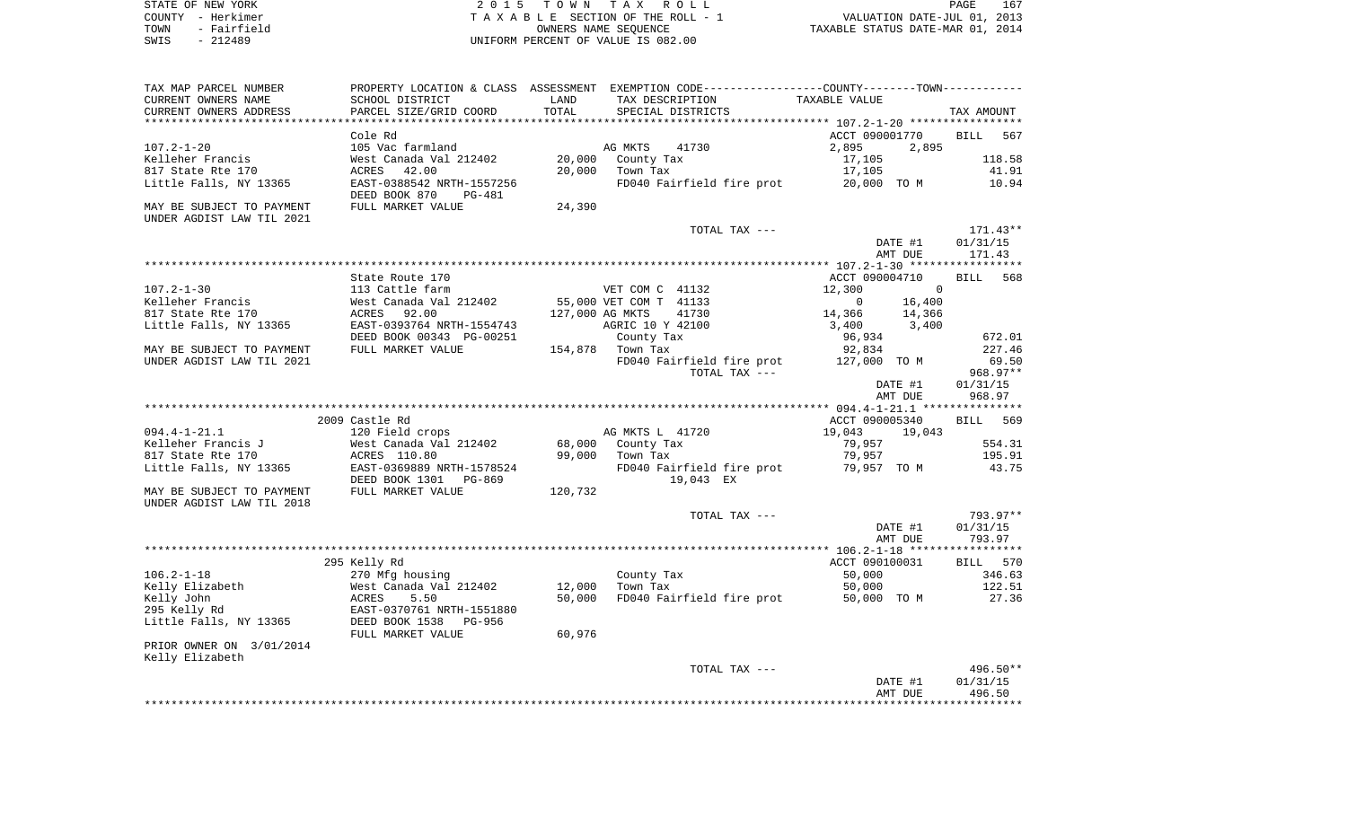| STATE OF NEW YORK   | 2015 TOWN TAX ROLL                 | 167<br>PAGE                      |
|---------------------|------------------------------------|----------------------------------|
| COUNTY - Herkimer   | TAXABLE SECTION OF THE ROLL - 1    | VALUATION DATE-JUL 01, 2013      |
| - Fairfield<br>TOWN | OWNERS NAME SEOUENCE               | TAXABLE STATUS DATE-MAR 01, 2014 |
| SWIS<br>- 212489    | UNIFORM PERCENT OF VALUE IS 082.00 |                                  |

| TAX MAP PARCEL NUMBER                                  | PROPERTY LOCATION & CLASS ASSESSMENT EXEMPTION CODE---------------COUNTY-------TOWN---------- |         |                        |                           |                |                    |                    |
|--------------------------------------------------------|-----------------------------------------------------------------------------------------------|---------|------------------------|---------------------------|----------------|--------------------|--------------------|
| CURRENT OWNERS NAME                                    | SCHOOL DISTRICT                                                                               | LAND    | TAX DESCRIPTION        |                           | TAXABLE VALUE  |                    |                    |
| CURRENT OWNERS ADDRESS                                 | PARCEL SIZE/GRID COORD                                                                        | TOTAL   | SPECIAL DISTRICTS      |                           |                |                    | TAX AMOUNT         |
| ***********************                                | *****************************                                                                 |         |                        |                           |                |                    |                    |
|                                                        | Cole Rd                                                                                       |         |                        |                           | ACCT 090001770 |                    | <b>BILL</b><br>567 |
| $107.2 - 1 - 20$                                       | 105 Vac farmland                                                                              |         | AG MKTS                | 41730                     | 2,895          | 2,895              |                    |
| Kelleher Francis                                       | West Canada Val 212402                                                                        | 20,000  | County Tax             |                           | 17,105         |                    | 118.58             |
| 817 State Rte 170                                      | 42.00<br>ACRES                                                                                | 20,000  | Town Tax               |                           | 17,105         |                    | 41.91              |
| Little Falls, NY 13365                                 | EAST-0388542 NRTH-1557256<br>DEED BOOK 870<br>PG-481                                          |         |                        | FD040 Fairfield fire prot | 20,000 TO M    |                    | 10.94              |
| MAY BE SUBJECT TO PAYMENT<br>UNDER AGDIST LAW TIL 2021 | FULL MARKET VALUE                                                                             | 24,390  |                        |                           |                |                    |                    |
|                                                        |                                                                                               |         |                        | TOTAL TAX ---             |                |                    | $171.43**$         |
|                                                        |                                                                                               |         |                        |                           |                | DATE #1            | 01/31/15           |
|                                                        |                                                                                               |         |                        |                           |                | AMT DUE            | 171.43             |
|                                                        |                                                                                               |         |                        |                           |                |                    |                    |
|                                                        | State Route 170                                                                               |         |                        |                           | ACCT 090004710 |                    | <b>BILL</b><br>568 |
| $107.2 - 1 - 30$                                       | 113 Cattle farm                                                                               |         | VET COM C 41132        |                           | 12,300         | $\overline{0}$     |                    |
| Kelleher Francis                                       | West Canada Val 212402                                                                        |         | 55,000 VET COM T 41133 |                           | $\overline{0}$ | 16,400             |                    |
| 817 State Rte 170                                      | 92.00<br>ACRES                                                                                |         | 127,000 AG MKTS        | 41730                     | 14,366         | 14,366             |                    |
| Little Falls, NY 13365                                 | EAST-0393764 NRTH-1554743                                                                     |         | AGRIC 10 Y 42100       |                           | 3,400          | 3,400              |                    |
|                                                        | DEED BOOK 00343 PG-00251                                                                      |         | County Tax             |                           | 96,934         |                    | 672.01             |
| MAY BE SUBJECT TO PAYMENT                              | FULL MARKET VALUE                                                                             |         | 154,878 Town Tax       |                           | 92,834         |                    | 227.46             |
| UNDER AGDIST LAW TIL 2021                              |                                                                                               |         |                        | FD040 Fairfield fire prot | 127,000 TO M   |                    | 69.50              |
|                                                        |                                                                                               |         |                        | TOTAL TAX ---             |                |                    | 968.97**           |
|                                                        |                                                                                               |         |                        |                           |                | DATE #1            | 01/31/15           |
|                                                        |                                                                                               |         |                        |                           |                | AMT DUE            | 968.97             |
|                                                        |                                                                                               |         |                        |                           |                |                    |                    |
|                                                        | 2009 Castle Rd                                                                                |         |                        |                           | ACCT 090005340 |                    | BILL 569           |
| $094.4 - 1 - 21.1$                                     | 120 Field crops                                                                               |         | AG MKTS L 41720        |                           | 19,043         | 19,043             |                    |
| Kelleher Francis J                                     | West Canada Val 212402                                                                        |         | 68,000 County Tax      |                           | 79,957         |                    | 554.31             |
| 817 State Rte 170                                      | ACRES 110.80                                                                                  | 99,000  | Town Tax               |                           | 79,957         |                    | 195.91             |
| Little Falls, NY 13365                                 | EAST-0369889 NRTH-1578524                                                                     |         |                        | FD040 Fairfield fire prot | 79,957 TO M    |                    | 43.75              |
|                                                        | DEED BOOK 1301 PG-869                                                                         |         |                        | 19,043 EX                 |                |                    |                    |
| MAY BE SUBJECT TO PAYMENT                              | FULL MARKET VALUE                                                                             | 120,732 |                        |                           |                |                    |                    |
| UNDER AGDIST LAW TIL 2018                              |                                                                                               |         |                        |                           |                |                    | 793.97**           |
|                                                        |                                                                                               |         |                        | TOTAL TAX ---             |                |                    | 01/31/15           |
|                                                        |                                                                                               |         |                        |                           |                | DATE #1<br>AMT DUE | 793.97             |
|                                                        |                                                                                               |         |                        |                           |                |                    | ***********        |
|                                                        | 295 Kelly Rd                                                                                  |         |                        |                           | ACCT 090100031 |                    | BILL 570           |
| $106.2 - 1 - 18$                                       | 270 Mfg housing                                                                               |         | County Tax             |                           | 50,000         |                    | 346.63             |
| Kelly Elizabeth                                        | West Canada Val 212402                                                                        | 12,000  | Town Tax               |                           | 50,000         |                    | 122.51             |
| Kelly John                                             | 5.50<br>ACRES                                                                                 | 50,000  |                        | FD040 Fairfield fire prot | 50,000 TO M    |                    | 27.36              |
| 295 Kelly Rd                                           | EAST-0370761 NRTH-1551880                                                                     |         |                        |                           |                |                    |                    |
| Little Falls, NY 13365                                 | DEED BOOK 1538<br>PG-956                                                                      |         |                        |                           |                |                    |                    |
|                                                        | FULL MARKET VALUE                                                                             | 60,976  |                        |                           |                |                    |                    |
| PRIOR OWNER ON 3/01/2014                               |                                                                                               |         |                        |                           |                |                    |                    |
| Kelly Elizabeth                                        |                                                                                               |         |                        |                           |                |                    |                    |
|                                                        |                                                                                               |         |                        | TOTAL TAX ---             |                |                    | $496.50**$         |
|                                                        |                                                                                               |         |                        |                           |                | DATE #1            | 01/31/15           |
|                                                        |                                                                                               |         |                        |                           |                | AMT DUE            | 496.50             |
|                                                        |                                                                                               |         |                        |                           |                |                    |                    |
|                                                        |                                                                                               |         |                        |                           |                |                    |                    |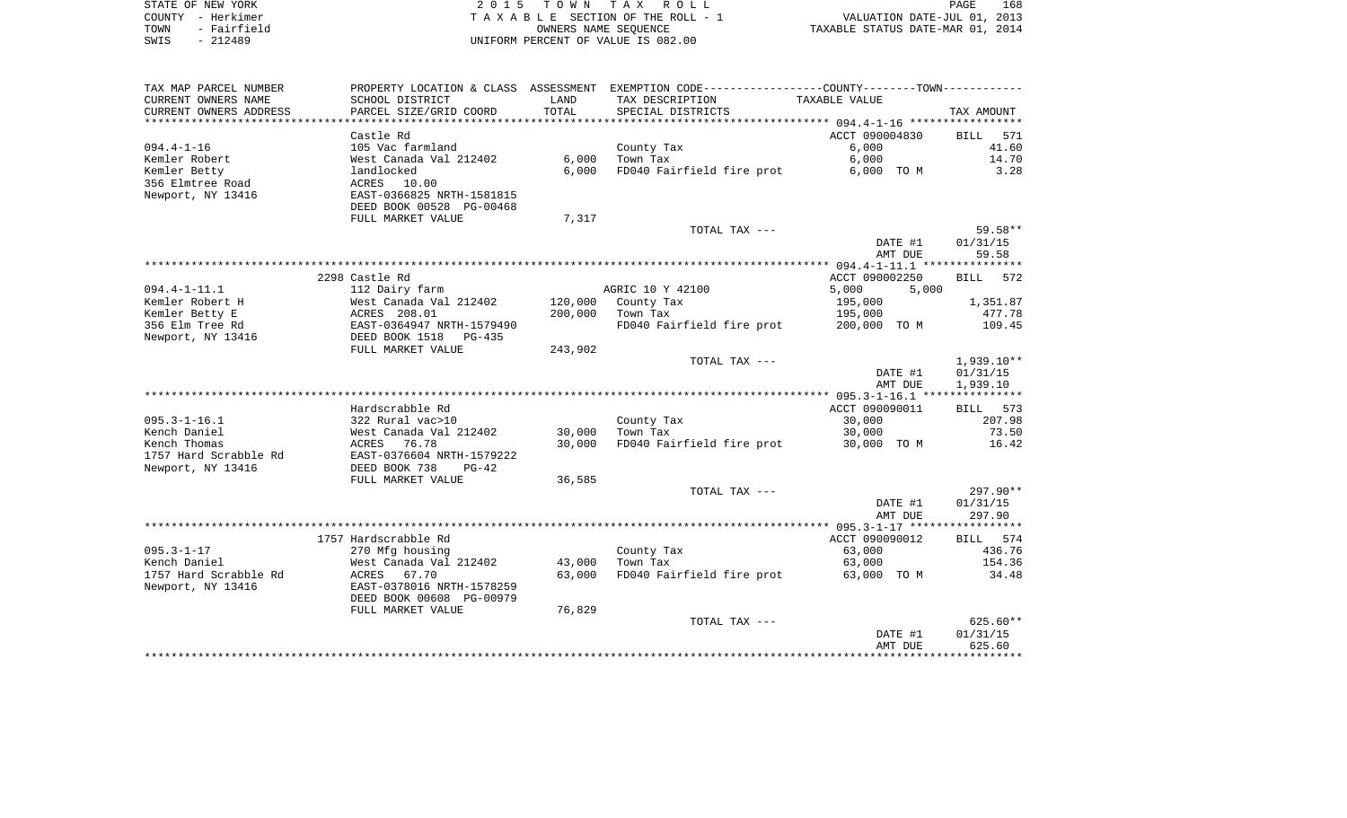|      | STATE OF NEW YORK | 2015 TOWN TAX ROLL                 | 168<br>PAGE                      |
|------|-------------------|------------------------------------|----------------------------------|
|      | COUNTY - Herkimer | TAXABLE SECTION OF THE ROLL - 1    | VALUATION DATE-JUL 01, 2013      |
| TOWN | - Fairfield       | OWNERS NAME SEOUENCE               | TAXABLE STATUS DATE-MAR 01, 2014 |
| SWIS | - 212489          | UNIFORM PERCENT OF VALUE IS 082.00 |                                  |

| TAX MAP PARCEL NUMBER  | PROPERTY LOCATION & CLASS ASSESSMENT |            | EXEMPTION CODE----------------COUNTY-------TOWN----------- |                |                    |
|------------------------|--------------------------------------|------------|------------------------------------------------------------|----------------|--------------------|
| CURRENT OWNERS NAME    | SCHOOL DISTRICT                      | LAND       | TAX DESCRIPTION                                            | TAXABLE VALUE  |                    |
| CURRENT OWNERS ADDRESS | PARCEL SIZE/GRID COORD               | TOTAL      | SPECIAL DISTRICTS                                          |                | TAX AMOUNT         |
|                        |                                      | ********** |                                                            |                |                    |
|                        | Castle Rd                            |            |                                                            | ACCT 090004830 | <b>BILL</b><br>571 |
| $094.4 - 1 - 16$       | 105 Vac farmland                     |            | County Tax                                                 | 6,000          | 41.60              |
| Kemler Robert          | West Canada Val 212402               | 6,000      | Town Tax                                                   | 6,000          | 14.70              |
| Kemler Betty           | landlocked                           | 6,000      | FD040 Fairfield fire prot                                  | 6,000 TO M     | 3.28               |
| 356 Elmtree Road       | ACRES 10.00                          |            |                                                            |                |                    |
| Newport, NY 13416      | EAST-0366825 NRTH-1581815            |            |                                                            |                |                    |
|                        | DEED BOOK 00528 PG-00468             |            |                                                            |                |                    |
|                        | FULL MARKET VALUE                    | 7,317      |                                                            |                |                    |
|                        |                                      |            | TOTAL TAX ---                                              |                | $59.58**$          |
|                        |                                      |            |                                                            | DATE #1        | 01/31/15           |
|                        |                                      |            |                                                            | AMT DUE        | 59.58              |
|                        |                                      |            |                                                            |                |                    |
|                        | 2298 Castle Rd                       |            |                                                            | ACCT 090002250 | 572<br><b>BILL</b> |
| $094.4 - 1 - 11.1$     | 112 Dairy farm                       |            | AGRIC 10 Y 42100                                           | 5,000<br>5,000 |                    |
| Kemler Robert H        | West Canada Val 212402               | 120,000    | County Tax                                                 | 195,000        | 1,351.87           |
| Kemler Betty E         | ACRES 208.01                         | 200,000    | Town Tax                                                   | 195,000        | 477.78             |
| 356 Elm Tree Rd        | EAST-0364947 NRTH-1579490            |            | FD040 Fairfield fire prot                                  | 200,000 TO M   | 109.45             |
| Newport, NY 13416      | DEED BOOK 1518<br>$PG-435$           |            |                                                            |                |                    |
|                        | FULL MARKET VALUE                    | 243,902    |                                                            |                |                    |
|                        |                                      |            | TOTAL TAX ---                                              |                | $1,939.10**$       |
|                        |                                      |            |                                                            | DATE #1        | 01/31/15           |
|                        |                                      |            |                                                            | AMT DUE        | 1,939.10           |
|                        |                                      |            |                                                            |                |                    |
|                        | Hardscrabble Rd                      |            |                                                            | ACCT 090090011 | 573<br>BILL        |
| $095.3 - 1 - 16.1$     | 322 Rural vac>10                     |            | County Tax                                                 | 30,000         | 207.98             |
| Kench Daniel           | West Canada Val 212402               | 30,000     | Town Tax                                                   | 30,000         | 73.50              |
| Kench Thomas           | ACRES<br>76.78                       | 30,000     | FD040 Fairfield fire prot                                  | 30,000 TO M    | 16.42              |
| 1757 Hard Scrabble Rd  | EAST-0376604 NRTH-1579222            |            |                                                            |                |                    |
| Newport, NY 13416      | DEED BOOK 738<br>$PG-42$             |            |                                                            |                |                    |
|                        | FULL MARKET VALUE                    | 36,585     |                                                            |                |                    |
|                        |                                      |            | TOTAL TAX ---                                              |                | 297.90**           |
|                        |                                      |            |                                                            | DATE #1        | 01/31/15           |
|                        |                                      |            |                                                            | AMT DUE        | 297.90             |
|                        |                                      |            |                                                            |                |                    |
|                        | 1757 Hardscrabble Rd                 |            |                                                            | ACCT 090090012 | BILL 574           |
| $095.3 - 1 - 17$       | 270 Mfg housing                      |            | County Tax                                                 | 63,000         | 436.76             |
| Kench Daniel           | West Canada Val 212402               | 43,000     | Town Tax                                                   | 63,000         | 154.36             |
| 1757 Hard Scrabble Rd  | ACRES<br>67.70                       | 63,000     | FD040 Fairfield fire prot                                  | 63,000 TO M    | 34.48              |
| Newport, NY 13416      | EAST-0378016 NRTH-1578259            |            |                                                            |                |                    |
|                        | DEED BOOK 00608 PG-00979             |            |                                                            |                |                    |
|                        | FULL MARKET VALUE                    | 76,829     |                                                            |                |                    |
|                        |                                      |            | TOTAL TAX ---                                              |                | $625.60**$         |
|                        |                                      |            |                                                            | DATE #1        | 01/31/15           |
|                        |                                      |            |                                                            | AMT DUE        | 625.60             |
|                        |                                      |            |                                                            |                |                    |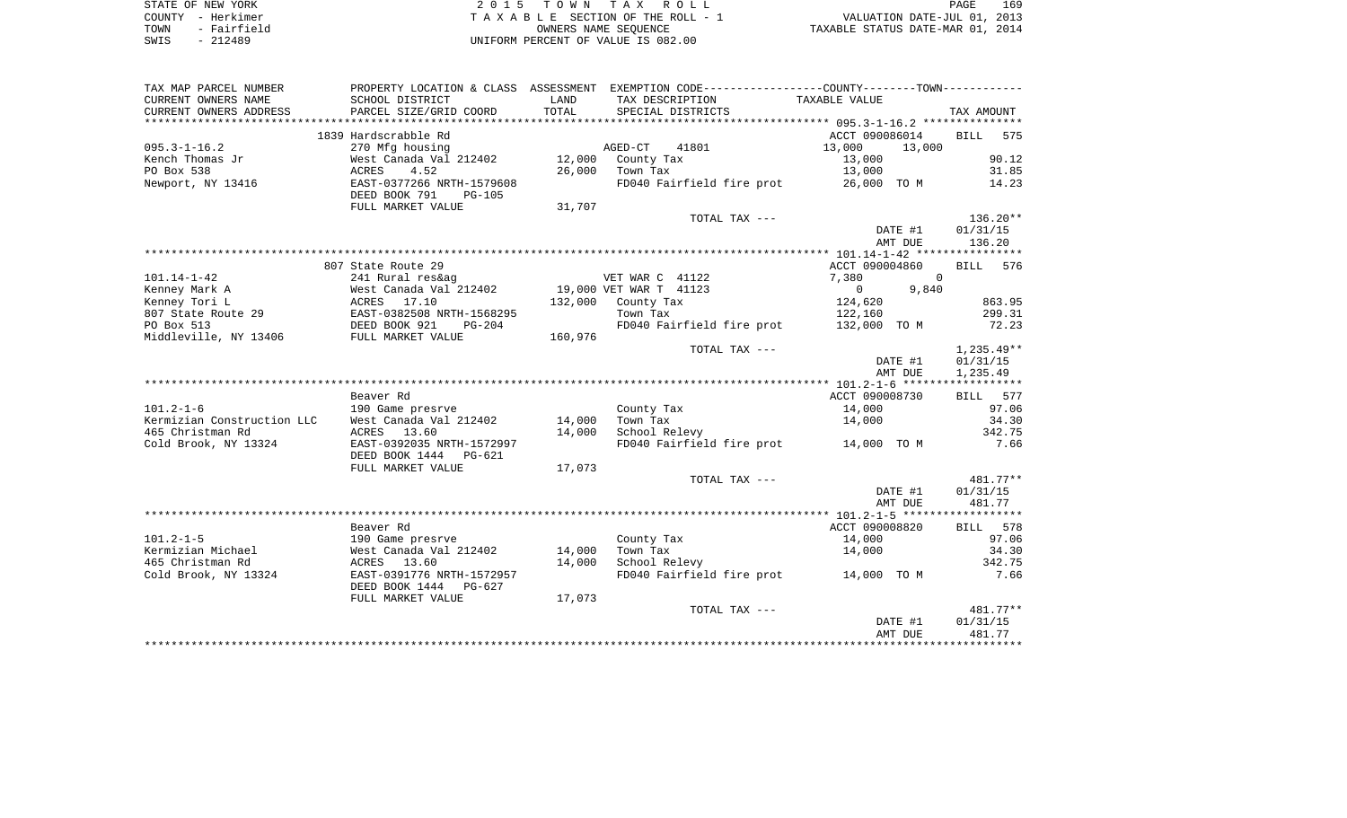|      | STATE OF NEW YORK | 2015 TOWN TAX ROLL                 | 169<br>PAGE                      |
|------|-------------------|------------------------------------|----------------------------------|
|      | COUNTY - Herkimer | TAXABLE SECTION OF THE ROLL - 1    | VALUATION DATE-JUL 01, 2013      |
| TOWN | - Fairfield       | OWNERS NAME SEOUENCE               | TAXABLE STATUS DATE-MAR 01, 2014 |
| SWIS | - 212489          | UNIFORM PERCENT OF VALUE IS 082.00 |                                  |

| TAX MAP PARCEL NUMBER                         | PROPERTY LOCATION & CLASS ASSESSMENT        |               | EXEMPTION CODE-----------------COUNTY-------TOWN----------- |                            |                         |
|-----------------------------------------------|---------------------------------------------|---------------|-------------------------------------------------------------|----------------------------|-------------------------|
| CURRENT OWNERS NAME<br>CURRENT OWNERS ADDRESS | SCHOOL DISTRICT<br>PARCEL SIZE/GRID COORD   | LAND<br>TOTAL | TAX DESCRIPTION<br>SPECIAL DISTRICTS                        | TAXABLE VALUE              | TAX AMOUNT              |
|                                               |                                             |               |                                                             |                            |                         |
|                                               | 1839 Hardscrabble Rd                        |               |                                                             | ACCT 090086014             | <b>BILL</b><br>575      |
| $095.3 - 1 - 16.2$<br>Kench Thomas Jr         | 270 Mfg housing<br>West Canada Val 212402   | 12,000        | AGED-CT<br>41801<br>County Tax                              | 13,000<br>13,000<br>13,000 | 90.12                   |
| PO Box 538                                    | ACRES<br>4.52                               | 26,000        | Town Tax                                                    | 13,000                     | 31.85                   |
| Newport, NY 13416                             | EAST-0377266 NRTH-1579608                   |               | FD040 Fairfield fire prot                                   | 26,000 TO M                | 14.23                   |
|                                               | DEED BOOK 791<br><b>PG-105</b>              |               |                                                             |                            |                         |
|                                               | FULL MARKET VALUE                           | 31,707        |                                                             |                            |                         |
|                                               |                                             |               | TOTAL TAX ---                                               |                            | 136.20**                |
|                                               |                                             |               |                                                             | DATE #1                    | 01/31/15                |
|                                               |                                             |               |                                                             | AMT DUE                    | 136.20                  |
|                                               |                                             |               |                                                             |                            |                         |
|                                               | 807 State Route 29                          |               |                                                             | ACCT 090004860             | <b>BILL</b><br>576      |
| $101.14 - 1 - 42$                             | 241 Rural res&ag                            |               | VET WAR C 41122                                             | 7,380<br>$\Omega$          |                         |
| Kenney Mark A                                 | West Canada Val 212402                      |               | 19,000 VET WAR T 41123                                      | $\circ$<br>9,840           |                         |
| Kenney Tori L                                 | ACRES 17.10                                 | 132,000       | County Tax                                                  | 124,620                    | 863.95                  |
| 807 State Route 29                            | EAST-0382508 NRTH-1568295                   |               | Town Tax                                                    | 122,160                    | 299.31                  |
| PO Box 513                                    | DEED BOOK 921<br>$PG-204$                   |               | FD040 Fairfield fire prot                                   | 132,000 TO M               | 72.23                   |
| Middleville, NY 13406                         | FULL MARKET VALUE                           | 160,976       |                                                             |                            |                         |
|                                               |                                             |               | TOTAL TAX ---                                               |                            | $1,235.49**$            |
|                                               |                                             |               |                                                             | DATE #1                    | 01/31/15                |
|                                               |                                             |               |                                                             | AMT DUE                    | 1,235.49<br>*********** |
|                                               | Beaver Rd                                   |               |                                                             | ACCT 090008730             | 577<br>BILL             |
| $101.2 - 1 - 6$                               | 190 Game presrve                            |               | County Tax                                                  | 14,000                     | 97.06                   |
| Kermizian Construction LLC                    | West Canada Val 212402                      | 14,000        | Town Tax                                                    | 14,000                     | 34.30                   |
| 465 Christman Rd                              | ACRES 13.60                                 | 14,000        | School Relevy                                               |                            | 342.75                  |
| Cold Brook, NY 13324                          | EAST-0392035 NRTH-1572997                   |               | FD040 Fairfield fire prot                                   | 14,000 TO M                | 7.66                    |
|                                               | DEED BOOK 1444<br>PG-621                    |               |                                                             |                            |                         |
|                                               | FULL MARKET VALUE                           | 17,073        |                                                             |                            |                         |
|                                               |                                             |               | TOTAL TAX ---                                               |                            | 481.77**                |
|                                               |                                             |               |                                                             | DATE #1                    | 01/31/15                |
|                                               |                                             |               |                                                             | AMT DUE                    | 481.77                  |
|                                               |                                             |               |                                                             |                            |                         |
|                                               | Beaver Rd                                   |               |                                                             | ACCT 090008820             | 578<br>BILL             |
| $101.2 - 1 - 5$                               | 190 Game presrve                            |               | County Tax                                                  | 14,000                     | 97.06                   |
| Kermizian Michael                             | West Canada Val 212402                      | 14,000        | Town Tax                                                    | 14,000                     | 34.30                   |
| 465 Christman Rd<br>Cold Brook, NY 13324      | ACRES<br>13.60<br>EAST-0391776 NRTH-1572957 | 14,000        | School Relevy<br>FD040 Fairfield fire prot                  | 14,000 TO M                | 342.75<br>7.66          |
|                                               | DEED BOOK 1444<br>PG-627                    |               |                                                             |                            |                         |
|                                               | FULL MARKET VALUE                           | 17,073        |                                                             |                            |                         |
|                                               |                                             |               | TOTAL TAX ---                                               |                            | $481.77**$              |
|                                               |                                             |               |                                                             | DATE #1                    | 01/31/15                |
|                                               |                                             |               |                                                             | AMT DUE                    | 481.77                  |
|                                               |                                             |               |                                                             |                            |                         |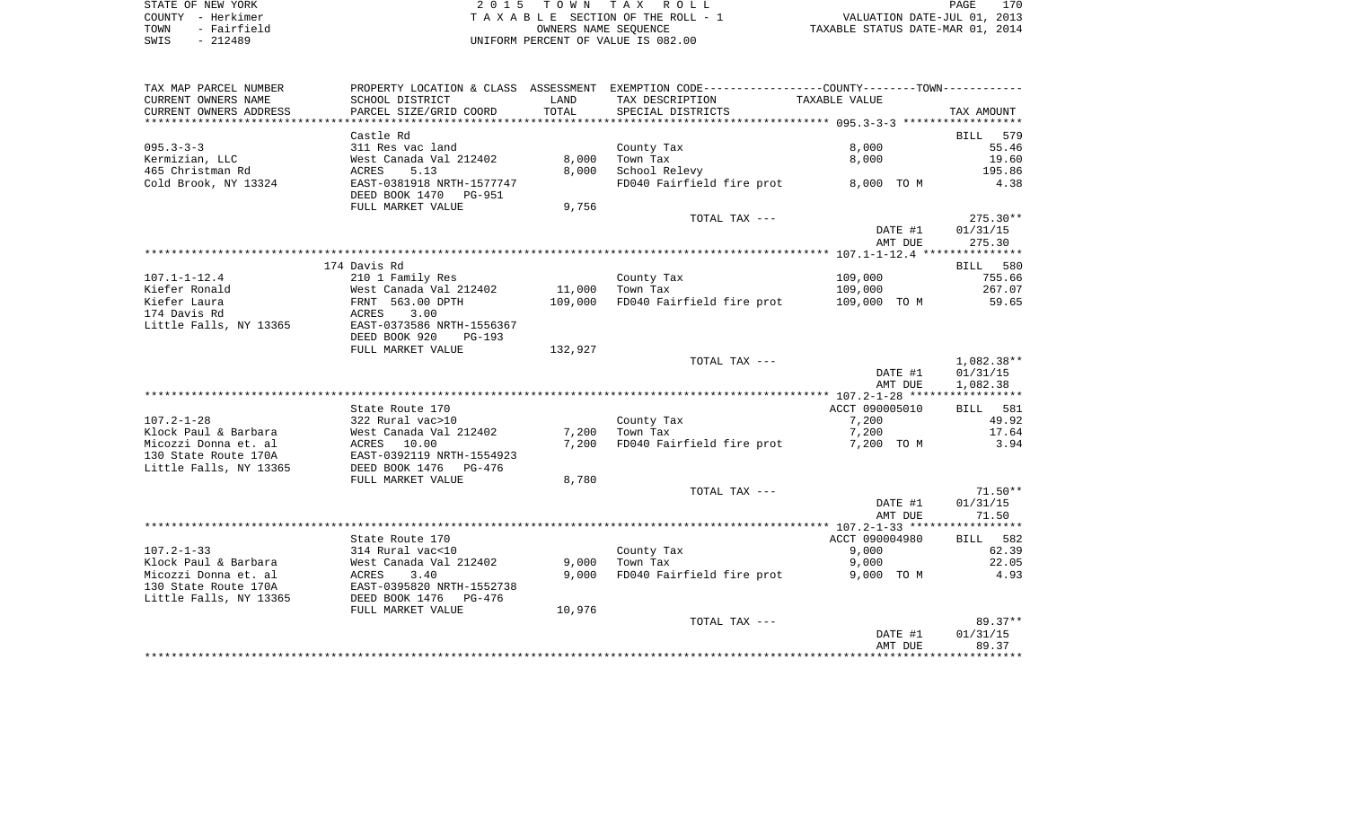| STATE OF NEW YORK   | 2015 TOWN TAX ROLL                 | 170<br>PAGE                      |
|---------------------|------------------------------------|----------------------------------|
| COUNTY - Herkimer   | TAXABLE SECTION OF THE ROLL - 1    | VALUATION DATE-JUL 01, 2013      |
| - Fairfield<br>TOWN | OWNERS NAME SEOUENCE               | TAXABLE STATUS DATE-MAR 01, 2014 |
| $-212489$<br>SWIS   | UNIFORM PERCENT OF VALUE IS 082.00 |                                  |

| SCHOOL DISTRICT<br>TAX DESCRIPTION<br>TAXABLE VALUE<br>LAND<br>TOTAL<br>CURRENT OWNERS ADDRESS<br>PARCEL SIZE/GRID COORD<br>SPECIAL DISTRICTS<br>TAX AMOUNT<br>Castle Rd<br>BILL<br>579<br>8,000<br>$095.3 - 3 - 3$<br>55.46<br>311 Res vac land<br>County Tax<br>8,000<br>Kermizian, LLC<br>Town Tax<br>8,000<br>19.60<br>West Canada Val 212402<br>465 Christman Rd<br>School Relevy<br>195.86<br>ACRES<br>5.13<br>8,000<br>Cold Brook, NY 13324<br>EAST-0381918 NRTH-1577747<br>FD040 Fairfield fire prot<br>8,000 TO M<br>4.38<br>DEED BOOK 1470 PG-951<br>FULL MARKET VALUE<br>9,756<br>$275.30**$<br>TOTAL TAX ---<br>DATE #1<br>01/31/15<br>AMT DUE<br>275.30<br>174 Davis Rd<br>BILL 580<br>$107.1 - 1 - 12.4$<br>109,000<br>210 1 Family Res<br>County Tax<br>755.66<br>West Canada Val 212402<br>Kiefer Ronald<br>11,000<br>Town Tax<br>109,000<br>267.07<br>FD040 Fairfield fire prot<br>Kiefer Laura<br>FRNT 563.00 DPTH<br>109,000<br>109,000 TO M<br>59.65<br>174 Davis Rd<br>ACRES<br>3.00<br>Little Falls, NY 13365<br>EAST-0373586 NRTH-1556367<br>DEED BOOK 920<br>PG-193<br>FULL MARKET VALUE<br>132,927<br>1,082.38**<br>TOTAL TAX ---<br>01/31/15<br>DATE #1<br>1,082.38<br>AMT DUE<br>ACCT 090005010<br>State Route 170<br>BILL 581<br>322 Rural vac>10<br>County Tax<br>7,200<br>49.92<br>West Canada Val 212402<br>Town Tax<br>7,200<br>17.64<br>7,200<br>FD040 Fairfield fire prot<br>3.94<br>ACRES 10.00<br>7,200<br>7,200 TO M<br>EAST-0392119 NRTH-1554923<br>DEED BOOK 1476<br>PG-476<br>FULL MARKET VALUE<br>8,780<br>$71.50**$<br>TOTAL TAX ---<br>DATE #1<br>01/31/15<br>71.50<br>AMT DUE<br>ACCT 090004980<br>BILL 582<br>State Route 170<br>$107.2 - 1 - 33$<br>314 Rural vac<10<br>County Tax<br>9,000<br>62.39<br>Klock Paul & Barbara<br>West Canada Val 212402<br>9,000<br>Town Tax<br>9,000<br>22.05<br>Micozzi Donna et. al<br>9.000<br>FD040 Fairfield fire prot<br>4.93<br>9,000 TO M<br>130 State Route 170A<br>Little Falls, NY 13365<br>DEED BOOK 1476<br>PG-476<br>10,976<br>FULL MARKET VALUE<br>$89.37**$<br>TOTAL TAX ---<br>DATE #1<br>01/31/15<br>89.37<br>AMT DUE | TAX MAP PARCEL NUMBER  |  | PROPERTY LOCATION & CLASS ASSESSMENT EXEMPTION CODE----------------COUNTY--------TOWN---------- |  |
|-----------------------------------------------------------------------------------------------------------------------------------------------------------------------------------------------------------------------------------------------------------------------------------------------------------------------------------------------------------------------------------------------------------------------------------------------------------------------------------------------------------------------------------------------------------------------------------------------------------------------------------------------------------------------------------------------------------------------------------------------------------------------------------------------------------------------------------------------------------------------------------------------------------------------------------------------------------------------------------------------------------------------------------------------------------------------------------------------------------------------------------------------------------------------------------------------------------------------------------------------------------------------------------------------------------------------------------------------------------------------------------------------------------------------------------------------------------------------------------------------------------------------------------------------------------------------------------------------------------------------------------------------------------------------------------------------------------------------------------------------------------------------------------------------------------------------------------------------------------------------------------------------------------------------------------------------------------------------------------------------------------------------------------------------------------------------------------------------------------------------|------------------------|--|-------------------------------------------------------------------------------------------------|--|
|                                                                                                                                                                                                                                                                                                                                                                                                                                                                                                                                                                                                                                                                                                                                                                                                                                                                                                                                                                                                                                                                                                                                                                                                                                                                                                                                                                                                                                                                                                                                                                                                                                                                                                                                                                                                                                                                                                                                                                                                                                                                                                                       | CURRENT OWNERS NAME    |  |                                                                                                 |  |
|                                                                                                                                                                                                                                                                                                                                                                                                                                                                                                                                                                                                                                                                                                                                                                                                                                                                                                                                                                                                                                                                                                                                                                                                                                                                                                                                                                                                                                                                                                                                                                                                                                                                                                                                                                                                                                                                                                                                                                                                                                                                                                                       |                        |  |                                                                                                 |  |
|                                                                                                                                                                                                                                                                                                                                                                                                                                                                                                                                                                                                                                                                                                                                                                                                                                                                                                                                                                                                                                                                                                                                                                                                                                                                                                                                                                                                                                                                                                                                                                                                                                                                                                                                                                                                                                                                                                                                                                                                                                                                                                                       |                        |  |                                                                                                 |  |
|                                                                                                                                                                                                                                                                                                                                                                                                                                                                                                                                                                                                                                                                                                                                                                                                                                                                                                                                                                                                                                                                                                                                                                                                                                                                                                                                                                                                                                                                                                                                                                                                                                                                                                                                                                                                                                                                                                                                                                                                                                                                                                                       |                        |  |                                                                                                 |  |
|                                                                                                                                                                                                                                                                                                                                                                                                                                                                                                                                                                                                                                                                                                                                                                                                                                                                                                                                                                                                                                                                                                                                                                                                                                                                                                                                                                                                                                                                                                                                                                                                                                                                                                                                                                                                                                                                                                                                                                                                                                                                                                                       |                        |  |                                                                                                 |  |
|                                                                                                                                                                                                                                                                                                                                                                                                                                                                                                                                                                                                                                                                                                                                                                                                                                                                                                                                                                                                                                                                                                                                                                                                                                                                                                                                                                                                                                                                                                                                                                                                                                                                                                                                                                                                                                                                                                                                                                                                                                                                                                                       |                        |  |                                                                                                 |  |
|                                                                                                                                                                                                                                                                                                                                                                                                                                                                                                                                                                                                                                                                                                                                                                                                                                                                                                                                                                                                                                                                                                                                                                                                                                                                                                                                                                                                                                                                                                                                                                                                                                                                                                                                                                                                                                                                                                                                                                                                                                                                                                                       |                        |  |                                                                                                 |  |
|                                                                                                                                                                                                                                                                                                                                                                                                                                                                                                                                                                                                                                                                                                                                                                                                                                                                                                                                                                                                                                                                                                                                                                                                                                                                                                                                                                                                                                                                                                                                                                                                                                                                                                                                                                                                                                                                                                                                                                                                                                                                                                                       |                        |  |                                                                                                 |  |
|                                                                                                                                                                                                                                                                                                                                                                                                                                                                                                                                                                                                                                                                                                                                                                                                                                                                                                                                                                                                                                                                                                                                                                                                                                                                                                                                                                                                                                                                                                                                                                                                                                                                                                                                                                                                                                                                                                                                                                                                                                                                                                                       |                        |  |                                                                                                 |  |
|                                                                                                                                                                                                                                                                                                                                                                                                                                                                                                                                                                                                                                                                                                                                                                                                                                                                                                                                                                                                                                                                                                                                                                                                                                                                                                                                                                                                                                                                                                                                                                                                                                                                                                                                                                                                                                                                                                                                                                                                                                                                                                                       |                        |  |                                                                                                 |  |
|                                                                                                                                                                                                                                                                                                                                                                                                                                                                                                                                                                                                                                                                                                                                                                                                                                                                                                                                                                                                                                                                                                                                                                                                                                                                                                                                                                                                                                                                                                                                                                                                                                                                                                                                                                                                                                                                                                                                                                                                                                                                                                                       |                        |  |                                                                                                 |  |
|                                                                                                                                                                                                                                                                                                                                                                                                                                                                                                                                                                                                                                                                                                                                                                                                                                                                                                                                                                                                                                                                                                                                                                                                                                                                                                                                                                                                                                                                                                                                                                                                                                                                                                                                                                                                                                                                                                                                                                                                                                                                                                                       |                        |  |                                                                                                 |  |
|                                                                                                                                                                                                                                                                                                                                                                                                                                                                                                                                                                                                                                                                                                                                                                                                                                                                                                                                                                                                                                                                                                                                                                                                                                                                                                                                                                                                                                                                                                                                                                                                                                                                                                                                                                                                                                                                                                                                                                                                                                                                                                                       |                        |  |                                                                                                 |  |
|                                                                                                                                                                                                                                                                                                                                                                                                                                                                                                                                                                                                                                                                                                                                                                                                                                                                                                                                                                                                                                                                                                                                                                                                                                                                                                                                                                                                                                                                                                                                                                                                                                                                                                                                                                                                                                                                                                                                                                                                                                                                                                                       |                        |  |                                                                                                 |  |
|                                                                                                                                                                                                                                                                                                                                                                                                                                                                                                                                                                                                                                                                                                                                                                                                                                                                                                                                                                                                                                                                                                                                                                                                                                                                                                                                                                                                                                                                                                                                                                                                                                                                                                                                                                                                                                                                                                                                                                                                                                                                                                                       |                        |  |                                                                                                 |  |
|                                                                                                                                                                                                                                                                                                                                                                                                                                                                                                                                                                                                                                                                                                                                                                                                                                                                                                                                                                                                                                                                                                                                                                                                                                                                                                                                                                                                                                                                                                                                                                                                                                                                                                                                                                                                                                                                                                                                                                                                                                                                                                                       |                        |  |                                                                                                 |  |
|                                                                                                                                                                                                                                                                                                                                                                                                                                                                                                                                                                                                                                                                                                                                                                                                                                                                                                                                                                                                                                                                                                                                                                                                                                                                                                                                                                                                                                                                                                                                                                                                                                                                                                                                                                                                                                                                                                                                                                                                                                                                                                                       |                        |  |                                                                                                 |  |
|                                                                                                                                                                                                                                                                                                                                                                                                                                                                                                                                                                                                                                                                                                                                                                                                                                                                                                                                                                                                                                                                                                                                                                                                                                                                                                                                                                                                                                                                                                                                                                                                                                                                                                                                                                                                                                                                                                                                                                                                                                                                                                                       |                        |  |                                                                                                 |  |
|                                                                                                                                                                                                                                                                                                                                                                                                                                                                                                                                                                                                                                                                                                                                                                                                                                                                                                                                                                                                                                                                                                                                                                                                                                                                                                                                                                                                                                                                                                                                                                                                                                                                                                                                                                                                                                                                                                                                                                                                                                                                                                                       |                        |  |                                                                                                 |  |
|                                                                                                                                                                                                                                                                                                                                                                                                                                                                                                                                                                                                                                                                                                                                                                                                                                                                                                                                                                                                                                                                                                                                                                                                                                                                                                                                                                                                                                                                                                                                                                                                                                                                                                                                                                                                                                                                                                                                                                                                                                                                                                                       |                        |  |                                                                                                 |  |
|                                                                                                                                                                                                                                                                                                                                                                                                                                                                                                                                                                                                                                                                                                                                                                                                                                                                                                                                                                                                                                                                                                                                                                                                                                                                                                                                                                                                                                                                                                                                                                                                                                                                                                                                                                                                                                                                                                                                                                                                                                                                                                                       |                        |  |                                                                                                 |  |
|                                                                                                                                                                                                                                                                                                                                                                                                                                                                                                                                                                                                                                                                                                                                                                                                                                                                                                                                                                                                                                                                                                                                                                                                                                                                                                                                                                                                                                                                                                                                                                                                                                                                                                                                                                                                                                                                                                                                                                                                                                                                                                                       |                        |  |                                                                                                 |  |
|                                                                                                                                                                                                                                                                                                                                                                                                                                                                                                                                                                                                                                                                                                                                                                                                                                                                                                                                                                                                                                                                                                                                                                                                                                                                                                                                                                                                                                                                                                                                                                                                                                                                                                                                                                                                                                                                                                                                                                                                                                                                                                                       |                        |  |                                                                                                 |  |
|                                                                                                                                                                                                                                                                                                                                                                                                                                                                                                                                                                                                                                                                                                                                                                                                                                                                                                                                                                                                                                                                                                                                                                                                                                                                                                                                                                                                                                                                                                                                                                                                                                                                                                                                                                                                                                                                                                                                                                                                                                                                                                                       |                        |  |                                                                                                 |  |
|                                                                                                                                                                                                                                                                                                                                                                                                                                                                                                                                                                                                                                                                                                                                                                                                                                                                                                                                                                                                                                                                                                                                                                                                                                                                                                                                                                                                                                                                                                                                                                                                                                                                                                                                                                                                                                                                                                                                                                                                                                                                                                                       |                        |  |                                                                                                 |  |
|                                                                                                                                                                                                                                                                                                                                                                                                                                                                                                                                                                                                                                                                                                                                                                                                                                                                                                                                                                                                                                                                                                                                                                                                                                                                                                                                                                                                                                                                                                                                                                                                                                                                                                                                                                                                                                                                                                                                                                                                                                                                                                                       | $107.2 - 1 - 28$       |  |                                                                                                 |  |
|                                                                                                                                                                                                                                                                                                                                                                                                                                                                                                                                                                                                                                                                                                                                                                                                                                                                                                                                                                                                                                                                                                                                                                                                                                                                                                                                                                                                                                                                                                                                                                                                                                                                                                                                                                                                                                                                                                                                                                                                                                                                                                                       | Klock Paul & Barbara   |  |                                                                                                 |  |
|                                                                                                                                                                                                                                                                                                                                                                                                                                                                                                                                                                                                                                                                                                                                                                                                                                                                                                                                                                                                                                                                                                                                                                                                                                                                                                                                                                                                                                                                                                                                                                                                                                                                                                                                                                                                                                                                                                                                                                                                                                                                                                                       | Micozzi Donna et. al   |  |                                                                                                 |  |
|                                                                                                                                                                                                                                                                                                                                                                                                                                                                                                                                                                                                                                                                                                                                                                                                                                                                                                                                                                                                                                                                                                                                                                                                                                                                                                                                                                                                                                                                                                                                                                                                                                                                                                                                                                                                                                                                                                                                                                                                                                                                                                                       | 130 State Route 170A   |  |                                                                                                 |  |
|                                                                                                                                                                                                                                                                                                                                                                                                                                                                                                                                                                                                                                                                                                                                                                                                                                                                                                                                                                                                                                                                                                                                                                                                                                                                                                                                                                                                                                                                                                                                                                                                                                                                                                                                                                                                                                                                                                                                                                                                                                                                                                                       | Little Falls, NY 13365 |  |                                                                                                 |  |
|                                                                                                                                                                                                                                                                                                                                                                                                                                                                                                                                                                                                                                                                                                                                                                                                                                                                                                                                                                                                                                                                                                                                                                                                                                                                                                                                                                                                                                                                                                                                                                                                                                                                                                                                                                                                                                                                                                                                                                                                                                                                                                                       |                        |  |                                                                                                 |  |
|                                                                                                                                                                                                                                                                                                                                                                                                                                                                                                                                                                                                                                                                                                                                                                                                                                                                                                                                                                                                                                                                                                                                                                                                                                                                                                                                                                                                                                                                                                                                                                                                                                                                                                                                                                                                                                                                                                                                                                                                                                                                                                                       |                        |  |                                                                                                 |  |
|                                                                                                                                                                                                                                                                                                                                                                                                                                                                                                                                                                                                                                                                                                                                                                                                                                                                                                                                                                                                                                                                                                                                                                                                                                                                                                                                                                                                                                                                                                                                                                                                                                                                                                                                                                                                                                                                                                                                                                                                                                                                                                                       |                        |  |                                                                                                 |  |
|                                                                                                                                                                                                                                                                                                                                                                                                                                                                                                                                                                                                                                                                                                                                                                                                                                                                                                                                                                                                                                                                                                                                                                                                                                                                                                                                                                                                                                                                                                                                                                                                                                                                                                                                                                                                                                                                                                                                                                                                                                                                                                                       |                        |  |                                                                                                 |  |
|                                                                                                                                                                                                                                                                                                                                                                                                                                                                                                                                                                                                                                                                                                                                                                                                                                                                                                                                                                                                                                                                                                                                                                                                                                                                                                                                                                                                                                                                                                                                                                                                                                                                                                                                                                                                                                                                                                                                                                                                                                                                                                                       |                        |  |                                                                                                 |  |
|                                                                                                                                                                                                                                                                                                                                                                                                                                                                                                                                                                                                                                                                                                                                                                                                                                                                                                                                                                                                                                                                                                                                                                                                                                                                                                                                                                                                                                                                                                                                                                                                                                                                                                                                                                                                                                                                                                                                                                                                                                                                                                                       |                        |  |                                                                                                 |  |
|                                                                                                                                                                                                                                                                                                                                                                                                                                                                                                                                                                                                                                                                                                                                                                                                                                                                                                                                                                                                                                                                                                                                                                                                                                                                                                                                                                                                                                                                                                                                                                                                                                                                                                                                                                                                                                                                                                                                                                                                                                                                                                                       |                        |  |                                                                                                 |  |
|                                                                                                                                                                                                                                                                                                                                                                                                                                                                                                                                                                                                                                                                                                                                                                                                                                                                                                                                                                                                                                                                                                                                                                                                                                                                                                                                                                                                                                                                                                                                                                                                                                                                                                                                                                                                                                                                                                                                                                                                                                                                                                                       |                        |  |                                                                                                 |  |
|                                                                                                                                                                                                                                                                                                                                                                                                                                                                                                                                                                                                                                                                                                                                                                                                                                                                                                                                                                                                                                                                                                                                                                                                                                                                                                                                                                                                                                                                                                                                                                                                                                                                                                                                                                                                                                                                                                                                                                                                                                                                                                                       |                        |  |                                                                                                 |  |
|                                                                                                                                                                                                                                                                                                                                                                                                                                                                                                                                                                                                                                                                                                                                                                                                                                                                                                                                                                                                                                                                                                                                                                                                                                                                                                                                                                                                                                                                                                                                                                                                                                                                                                                                                                                                                                                                                                                                                                                                                                                                                                                       |                        |  |                                                                                                 |  |
|                                                                                                                                                                                                                                                                                                                                                                                                                                                                                                                                                                                                                                                                                                                                                                                                                                                                                                                                                                                                                                                                                                                                                                                                                                                                                                                                                                                                                                                                                                                                                                                                                                                                                                                                                                                                                                                                                                                                                                                                                                                                                                                       |                        |  |                                                                                                 |  |
|                                                                                                                                                                                                                                                                                                                                                                                                                                                                                                                                                                                                                                                                                                                                                                                                                                                                                                                                                                                                                                                                                                                                                                                                                                                                                                                                                                                                                                                                                                                                                                                                                                                                                                                                                                                                                                                                                                                                                                                                                                                                                                                       |                        |  |                                                                                                 |  |
|                                                                                                                                                                                                                                                                                                                                                                                                                                                                                                                                                                                                                                                                                                                                                                                                                                                                                                                                                                                                                                                                                                                                                                                                                                                                                                                                                                                                                                                                                                                                                                                                                                                                                                                                                                                                                                                                                                                                                                                                                                                                                                                       |                        |  |                                                                                                 |  |
|                                                                                                                                                                                                                                                                                                                                                                                                                                                                                                                                                                                                                                                                                                                                                                                                                                                                                                                                                                                                                                                                                                                                                                                                                                                                                                                                                                                                                                                                                                                                                                                                                                                                                                                                                                                                                                                                                                                                                                                                                                                                                                                       |                        |  |                                                                                                 |  |
|                                                                                                                                                                                                                                                                                                                                                                                                                                                                                                                                                                                                                                                                                                                                                                                                                                                                                                                                                                                                                                                                                                                                                                                                                                                                                                                                                                                                                                                                                                                                                                                                                                                                                                                                                                                                                                                                                                                                                                                                                                                                                                                       |                        |  |                                                                                                 |  |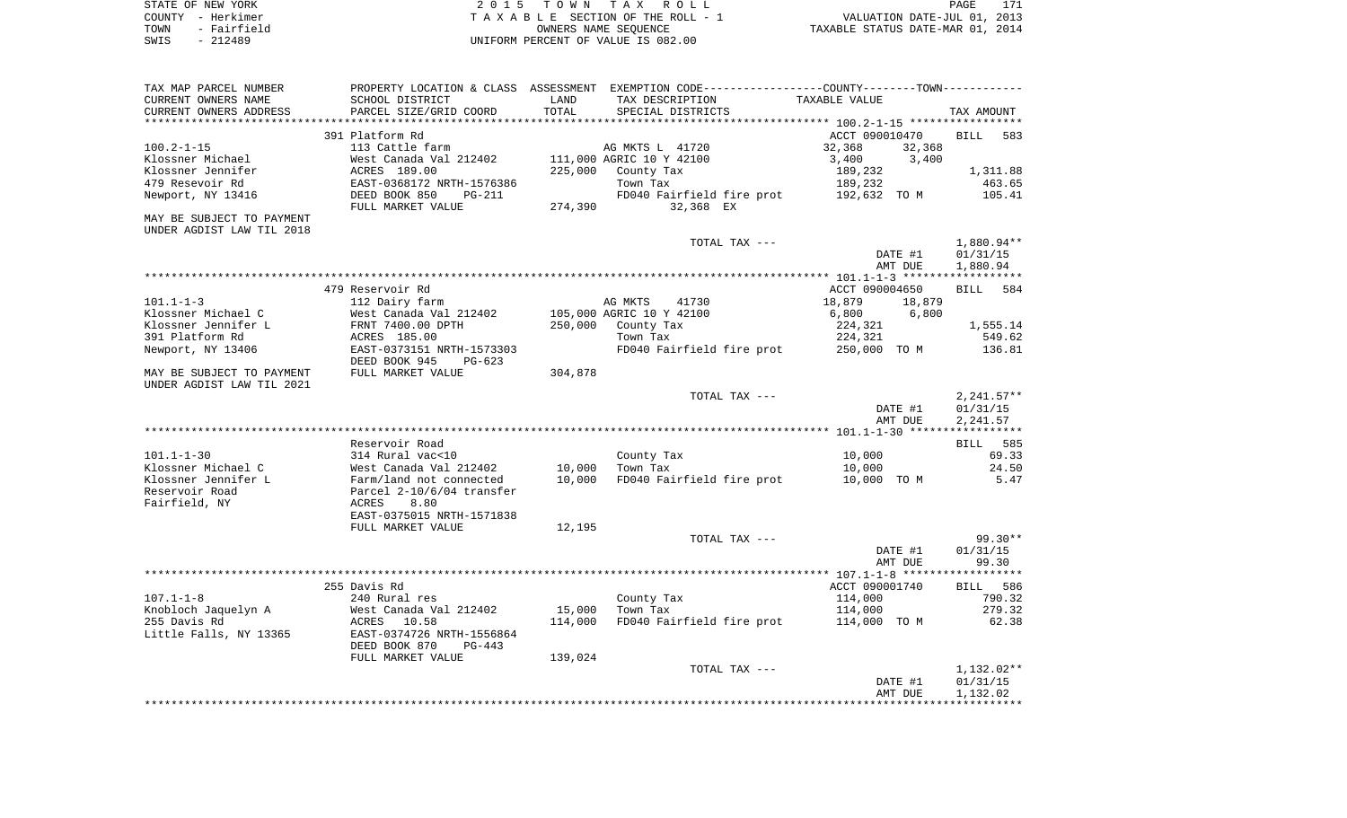|      | STATE OF NEW YORK | 2015 TOWN TAX ROLL                 |                                  | PAGE | 171 |
|------|-------------------|------------------------------------|----------------------------------|------|-----|
|      | COUNTY - Herkimer | TAXABLE SECTION OF THE ROLL - 1    | VALUATION DATE-JUL 01, 2013      |      |     |
| TOWN | - Fairfield       | OWNERS NAME SEOUENCE               | TAXABLE STATUS DATE-MAR 01, 2014 |      |     |
| SWIS | - 212489          | UNIFORM PERCENT OF VALUE IS 082.00 |                                  |      |     |
|      |                   |                                    |                                  |      |     |

| TAX MAP PARCEL NUMBER     |                           |         | PROPERTY LOCATION & CLASS ASSESSMENT EXEMPTION CODE----------------COUNTY-------TOWN----------- |                  |                    |
|---------------------------|---------------------------|---------|-------------------------------------------------------------------------------------------------|------------------|--------------------|
| CURRENT OWNERS NAME       | SCHOOL DISTRICT           | LAND    | TAX DESCRIPTION                                                                                 | TAXABLE VALUE    |                    |
| CURRENT OWNERS ADDRESS    | PARCEL SIZE/GRID COORD    | TOTAL   | SPECIAL DISTRICTS                                                                               |                  | TAX AMOUNT         |
|                           |                           |         |                                                                                                 |                  |                    |
|                           | 391 Platform Rd           |         |                                                                                                 | ACCT 090010470   | <b>BILL</b><br>583 |
| $100.2 - 1 - 15$          | 113 Cattle farm           |         | AG MKTS L 41720                                                                                 | 32,368<br>32,368 |                    |
| Klossner Michael          | West Canada Val 212402    |         | 111,000 AGRIC 10 Y 42100                                                                        | 3,400<br>3,400   |                    |
| Klossner Jennifer         | ACRES 189.00              | 225,000 | County Tax                                                                                      | 189,232          | 1,311.88           |
| 479 Resevoir Rd           | EAST-0368172 NRTH-1576386 |         | Town Tax                                                                                        | 189,232          | 463.65             |
| Newport, NY 13416         | DEED BOOK 850<br>PG-211   |         | FD040 Fairfield fire prot                                                                       | 192,632 TO M     | 105.41             |
|                           | FULL MARKET VALUE         | 274,390 | 32,368 EX                                                                                       |                  |                    |
|                           |                           |         |                                                                                                 |                  |                    |
| MAY BE SUBJECT TO PAYMENT |                           |         |                                                                                                 |                  |                    |
| UNDER AGDIST LAW TIL 2018 |                           |         |                                                                                                 |                  |                    |
|                           |                           |         | TOTAL TAX ---                                                                                   |                  | 1,880.94**         |
|                           |                           |         |                                                                                                 | DATE #1          | 01/31/15           |
|                           |                           |         |                                                                                                 | AMT DUE          | 1,880.94           |
|                           |                           |         |                                                                                                 |                  |                    |
|                           | 479 Reservoir Rd          |         |                                                                                                 | ACCT 090004650   | BILL<br>584        |
| $101.1 - 1 - 3$           | 112 Dairy farm            |         | AG MKTS<br>41730                                                                                | 18,879<br>18,879 |                    |
| Klossner Michael C        | West Canada Val 212402    |         | 105,000 AGRIC 10 Y 42100                                                                        | 6,800<br>6,800   |                    |
| Klossner Jennifer L       | FRNT 7400.00 DPTH         | 250,000 | County Tax                                                                                      | 224,321          | 1,555.14           |
| 391 Platform Rd           | ACRES 185.00              |         | Town Tax                                                                                        | 224,321          | 549.62             |
| Newport, NY 13406         | EAST-0373151 NRTH-1573303 |         | FD040 Fairfield fire prot 250,000 TO M                                                          |                  | 136.81             |
|                           | DEED BOOK 945<br>PG-623   |         |                                                                                                 |                  |                    |
| MAY BE SUBJECT TO PAYMENT | FULL MARKET VALUE         | 304,878 |                                                                                                 |                  |                    |
| UNDER AGDIST LAW TIL 2021 |                           |         |                                                                                                 |                  |                    |
|                           |                           |         | TOTAL TAX ---                                                                                   |                  | $2,241.57**$       |
|                           |                           |         |                                                                                                 | DATE #1          | 01/31/15           |
|                           |                           |         |                                                                                                 | AMT DUE          | 2,241.57           |
|                           |                           |         |                                                                                                 |                  |                    |
|                           | Reservoir Road            |         |                                                                                                 |                  | <b>BILL</b> 585    |
| $101.1 - 1 - 30$          | 314 Rural vac<10          |         | County Tax                                                                                      | 10,000           | 69.33              |
| Klossner Michael C        | West Canada Val 212402    | 10,000  | Town Tax                                                                                        | 10,000           | 24.50              |
| Klossner Jennifer L       | Farm/land not connected   | 10,000  | FD040 Fairfield fire prot                                                                       | 10,000 TO M      | 5.47               |
| Reservoir Road            | Parcel 2-10/6/04 transfer |         |                                                                                                 |                  |                    |
|                           | 8.80                      |         |                                                                                                 |                  |                    |
| Fairfield, NY             | ACRES                     |         |                                                                                                 |                  |                    |
|                           | EAST-0375015 NRTH-1571838 |         |                                                                                                 |                  |                    |
|                           | FULL MARKET VALUE         | 12,195  |                                                                                                 |                  |                    |
|                           |                           |         | TOTAL TAX ---                                                                                   |                  | 99.30**            |
|                           |                           |         |                                                                                                 | DATE #1          | 01/31/15           |
|                           |                           |         |                                                                                                 | AMT DUE          | 99.30              |
|                           |                           |         |                                                                                                 |                  |                    |
|                           | 255 Davis Rd              |         |                                                                                                 | ACCT 090001740   | BILL 586           |
| $107.1 - 1 - 8$           | 240 Rural res             |         | County Tax                                                                                      | 114,000          | 790.32             |
| Knobloch Jaquelyn A       | West Canada Val 212402    | 15,000  | Town Tax                                                                                        | 114,000          | 279.32             |
| 255 Davis Rd              | ACRES 10.58               | 114,000 | FD040 Fairfield fire prot                                                                       | 114,000 TO M     | 62.38              |
| Little Falls, NY 13365    | EAST-0374726 NRTH-1556864 |         |                                                                                                 |                  |                    |
|                           | DEED BOOK 870<br>PG-443   |         |                                                                                                 |                  |                    |
|                           | FULL MARKET VALUE         | 139,024 |                                                                                                 |                  |                    |
|                           |                           |         | TOTAL TAX ---                                                                                   |                  | $1,132.02**$       |
|                           |                           |         |                                                                                                 | DATE #1          | 01/31/15           |
|                           |                           |         |                                                                                                 | AMT DUE          | 1,132.02           |
|                           |                           |         |                                                                                                 |                  |                    |
|                           |                           |         |                                                                                                 |                  |                    |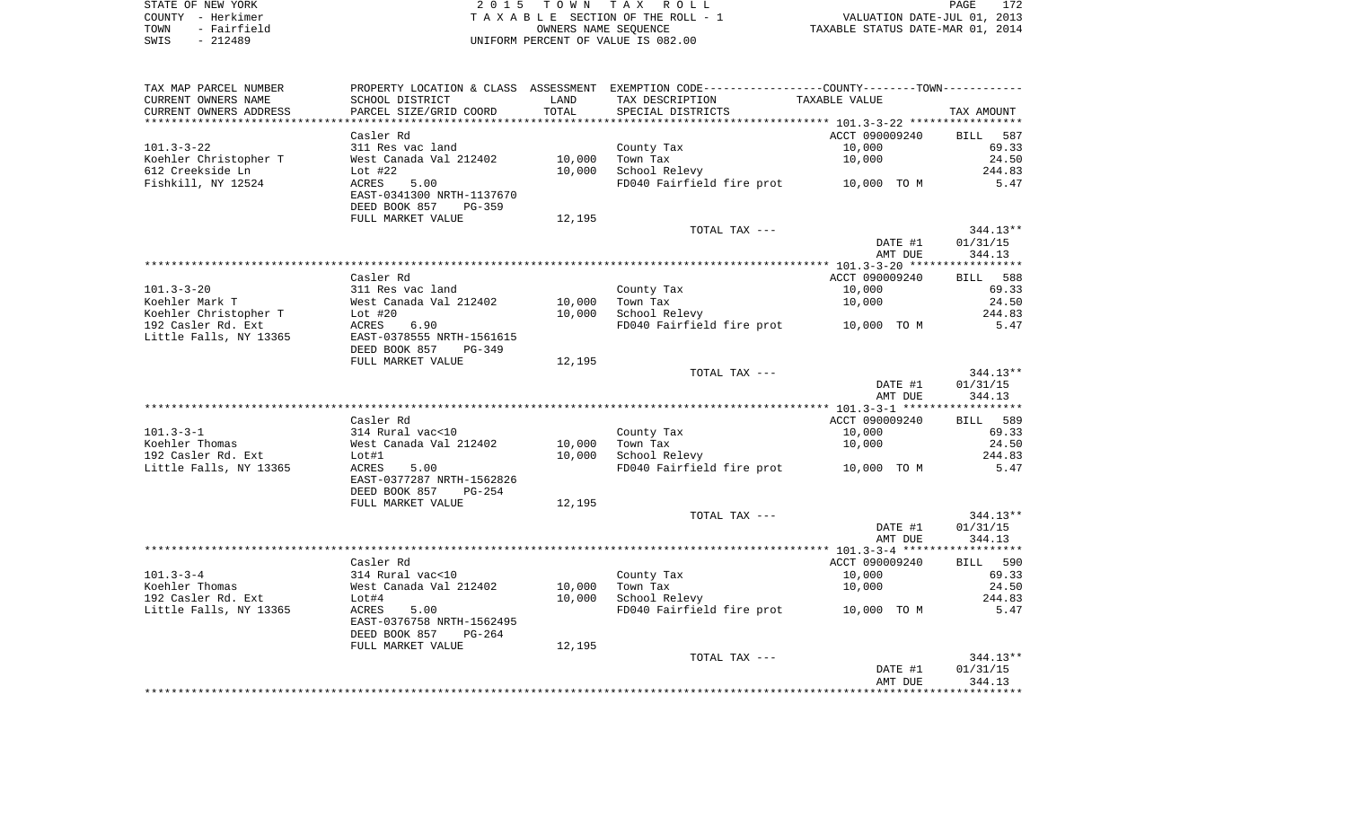| STATE OF NEW YORK   | 2015 TOWN TAX ROLL                 | 172<br>PAGE                      |
|---------------------|------------------------------------|----------------------------------|
| COUNTY - Herkimer   | TAXABLE SECTION OF THE ROLL - 1    | VALUATION DATE-JUL 01, 2013      |
| - Fairfield<br>TOWN | OWNERS NAME SEOUENCE               | TAXABLE STATUS DATE-MAR 01, 2014 |
| - 212489<br>SWIS    | UNIFORM PERCENT OF VALUE IS 082.00 |                                  |

| TAX MAP PARCEL NUMBER  |                           |        | PROPERTY LOCATION & CLASS ASSESSMENT EXEMPTION CODE---------------COUNTY-------TOWN---------- |                          |                   |
|------------------------|---------------------------|--------|-----------------------------------------------------------------------------------------------|--------------------------|-------------------|
| CURRENT OWNERS NAME    | SCHOOL DISTRICT           | LAND   | TAX DESCRIPTION                                                                               | TAXABLE VALUE            |                   |
| CURRENT OWNERS ADDRESS | PARCEL SIZE/GRID COORD    | TOTAL  | SPECIAL DISTRICTS                                                                             |                          | TAX AMOUNT        |
|                        |                           |        |                                                                                               |                          |                   |
|                        | Casler Rd                 |        |                                                                                               | ACCT 090009240           | BILL 587          |
| $101.3 - 3 - 22$       | 311 Res vac land          |        | County Tax                                                                                    | 10,000                   | 69.33             |
| Koehler Christopher T  | West Canada Val 212402    | 10,000 | Town Tax                                                                                      | 10,000                   | 24.50             |
| 612 Creekside Ln       | Lot $#22$                 | 10,000 | School Relevy                                                                                 |                          | 244.83            |
| Fishkill, NY 12524     | ACRES<br>5.00             |        | FD040 Fairfield fire prot 10,000 TO M                                                         |                          | 5.47              |
|                        | EAST-0341300 NRTH-1137670 |        |                                                                                               |                          |                   |
|                        | DEED BOOK 857<br>PG-359   |        |                                                                                               |                          |                   |
|                        | FULL MARKET VALUE         | 12,195 |                                                                                               |                          |                   |
|                        |                           |        | TOTAL TAX ---                                                                                 |                          | 344.13**          |
|                        |                           |        |                                                                                               | DATE #1                  | 01/31/15          |
|                        |                           |        |                                                                                               | AMT DUE                  | 344.13            |
|                        |                           |        |                                                                                               |                          |                   |
|                        | Casler Rd                 |        |                                                                                               | ACCT 090009240           | BILL 588          |
| $101.3 - 3 - 20$       | 311 Res vac land          |        | County Tax                                                                                    | 10,000                   | 69.33             |
| Koehler Mark T         | West Canada Val 212402    | 10,000 | Town Tax                                                                                      | 10,000                   | 24.50             |
| Koehler Christopher T  | Lot #20                   | 10,000 | School Relevy                                                                                 |                          | 244.83            |
| 192 Casler Rd. Ext     | ACRES<br>6.90             |        | FD040 Fairfield fire prot                                                                     | 10,000 TO M              | 5.47              |
| Little Falls, NY 13365 | EAST-0378555 NRTH-1561615 |        |                                                                                               |                          |                   |
|                        | DEED BOOK 857<br>PG-349   |        |                                                                                               |                          |                   |
|                        | FULL MARKET VALUE         | 12,195 |                                                                                               |                          |                   |
|                        |                           |        | TOTAL TAX ---                                                                                 |                          | $344.13**$        |
|                        |                           |        |                                                                                               | DATE #1                  | 01/31/15          |
|                        |                           |        |                                                                                               | AMT DUE                  | 344.13            |
|                        |                           |        |                                                                                               |                          |                   |
|                        | Casler Rd                 |        |                                                                                               | ACCT 090009240           | BILL 589          |
| $101.3 - 3 - 1$        | 314 Rural vac<10          |        | County Tax                                                                                    | 10,000                   | 69.33             |
| Koehler Thomas         | West Canada Val 212402    | 10,000 | Town Tax                                                                                      | 10,000                   | 24.50             |
| 192 Casler Rd. Ext     | Lot#1                     | 10,000 | School Relevy                                                                                 |                          | 244.83            |
| Little Falls, NY 13365 | ACRES<br>5.00             |        | FD040 Fairfield fire prot 10,000 TO M                                                         |                          | 5.47              |
|                        | EAST-0377287 NRTH-1562826 |        |                                                                                               |                          |                   |
|                        | DEED BOOK 857<br>$PG-254$ |        |                                                                                               |                          |                   |
|                        | FULL MARKET VALUE         | 12,195 |                                                                                               |                          |                   |
|                        |                           |        | TOTAL TAX ---                                                                                 |                          | 344.13**          |
|                        |                           |        |                                                                                               | DATE #1                  | 01/31/15          |
|                        |                           |        |                                                                                               | AMT DUE                  | 344.13            |
|                        | Casler Rd                 |        |                                                                                               |                          |                   |
| $101.3 - 3 - 4$        | 314 Rural vac<10          |        | County Tax                                                                                    | ACCT 090009240<br>10,000 | BILL 590<br>69.33 |
| Koehler Thomas         | West Canada Val 212402    | 10,000 | Town Tax                                                                                      | 10,000                   | 24.50             |
| 192 Casler Rd. Ext     | Lot#4                     | 10,000 | School Relevy                                                                                 |                          | 244.83            |
| Little Falls, NY 13365 | 5.00<br>ACRES             |        | FD040 Fairfield fire prot 10,000 TO M                                                         |                          | 5.47              |
|                        | EAST-0376758 NRTH-1562495 |        |                                                                                               |                          |                   |
|                        | DEED BOOK 857<br>$PG-264$ |        |                                                                                               |                          |                   |
|                        | FULL MARKET VALUE         | 12,195 |                                                                                               |                          |                   |
|                        |                           |        | TOTAL TAX ---                                                                                 |                          | $344.13**$        |
|                        |                           |        |                                                                                               | DATE #1                  | 01/31/15          |
|                        |                           |        |                                                                                               | AMT DUE                  | 344.13            |
|                        |                           |        |                                                                                               |                          |                   |
|                        |                           |        |                                                                                               |                          |                   |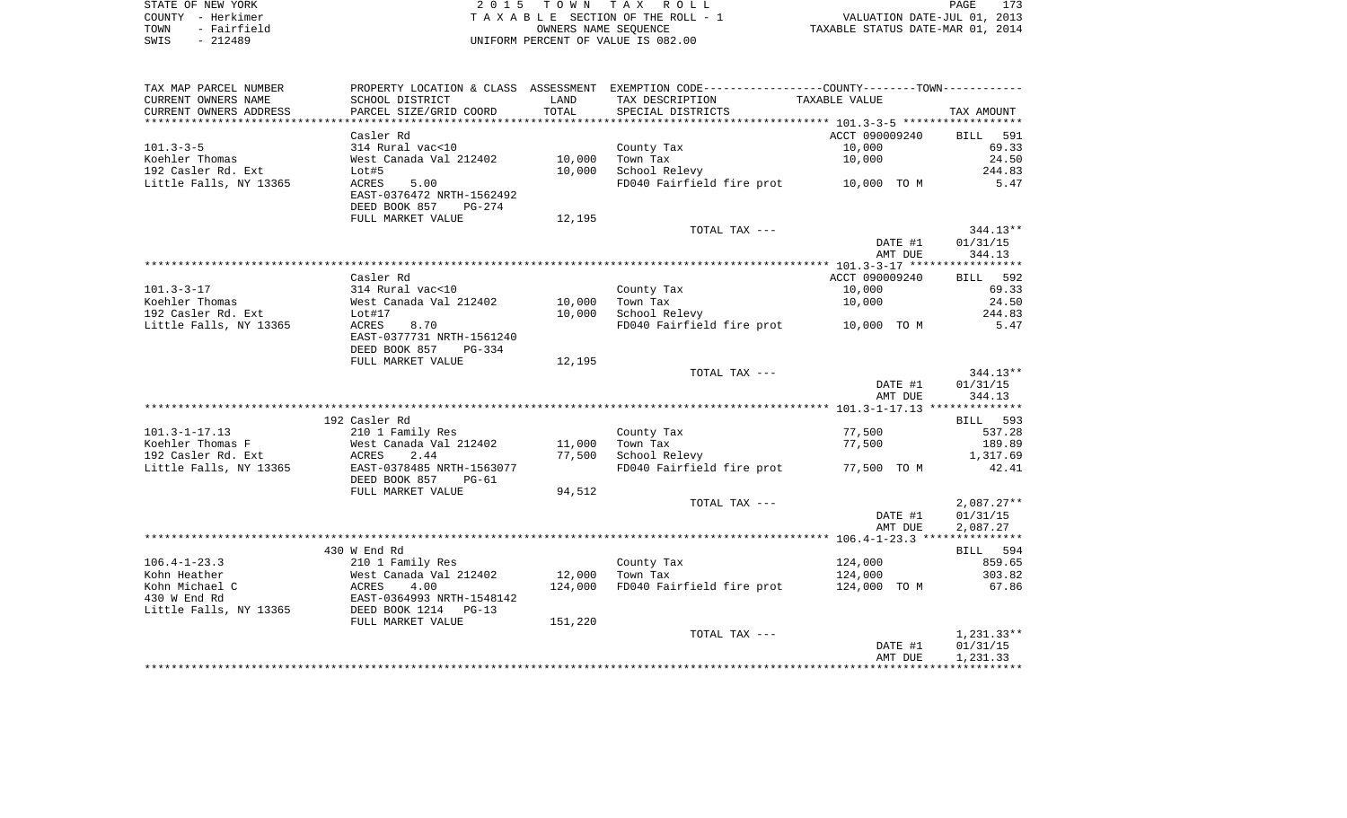| STATE OF NEW YORK   | 2015 TOWN TAX ROLL                 | PAGE                             |
|---------------------|------------------------------------|----------------------------------|
| COUNTY - Herkimer   | TAXABLE SECTION OF THE ROLL - 1    | VALUATION DATE-JUL 01, 2013      |
| - Fairfield<br>TOWN | OWNERS NAME SEOUENCE               | TAXABLE STATUS DATE-MAR 01, 2014 |
| - 212489<br>SWIS    | UNIFORM PERCENT OF VALUE IS 082.00 |                                  |

| TAXABLE VALUE<br>SCHOOL DISTRICT<br>LAND<br>TAX DESCRIPTION<br>PARCEL SIZE/GRID COORD<br>TOTAL<br>SPECIAL DISTRICTS<br>TAX AMOUNT<br>Casler Rd<br>ACCT 090009240<br>BILL 591<br>314 Rural vac<10<br>10,000<br>69.33<br>County Tax<br>Koehler Thomas<br>10,000<br>10,000<br>24.50<br>West Canada Val 212402<br>Town Tax<br>192 Casler Rd. Ext<br>Lot#5<br>10,000<br>School Relevy<br>244.83<br>Little Falls, NY 13365<br>FD040 Fairfield fire prot 10,000 TO M<br>ACRES<br>5.00<br>5.47<br>EAST-0376472 NRTH-1562492<br>DEED BOOK 857<br>PG-274<br>FULL MARKET VALUE<br>12,195<br>TOTAL TAX ---<br>$344.13**$<br>DATE #1<br>01/31/15<br>344.13<br>AMT DUE<br>Casler Rd<br>ACCT 090009240<br>BILL 592<br>$101.3 - 3 - 17$<br>314 Rural vac<10<br>69.33<br>County Tax<br>10,000<br>Koehler Thomas<br>10,000<br>24.50<br>West Canada Val 212402<br>Town Tax<br>10,000<br>192 Casler Rd. Ext<br>10,000<br>School Relevy<br>244.83<br>Lot#17<br>FD040 Fairfield fire prot 10,000 TO M<br>Little Falls, NY 13365<br>8.70<br>5.47<br>ACRES<br>EAST-0377731 NRTH-1561240<br>DEED BOOK 857<br>PG-334<br>FULL MARKET VALUE<br>12,195<br>$344.13**$<br>TOTAL TAX ---<br>DATE #1<br>01/31/15<br>AMT DUE<br>344.13<br>192 Casler Rd<br>BILL 593<br>$101.3 - 1 - 17.13$<br>210 1 Family Res<br>77,500<br>County Tax<br>537.28<br>Koehler Thomas F<br>West Canada Val 212402<br>11,000<br>77,500<br>189.89<br>Town Tax<br>192 Casler Rd. Ext<br>77,500<br>ACRES<br>2.44<br>School Relevy<br>1,317.69<br>Little Falls, NY 13365<br>EAST-0378485 NRTH-1563077<br>FD040 Fairfield fire prot 77,500 TO M<br>42.41<br>DEED BOOK 857<br>PG-61<br>94,512<br>FULL MARKET VALUE<br>$2,087.27**$<br>TOTAL TAX ---<br>DATE #1<br>01/31/15<br>AMT DUE<br>2,087.27<br>430 W End Rd<br>BILL 594<br>$106.4 - 1 - 23.3$<br>859.65<br>210 1 Family Res<br>County Tax<br>124,000<br>12,000<br>Kohn Heather<br>West Canada Val 212402<br>Town Tax<br>124,000<br>303.82<br><b>ACRES</b><br>Kohn Michael C<br>4.00<br>124,000<br>FD040 Fairfield fire prot<br>124,000 TO M<br>67.86<br>430 W End Rd<br>EAST-0364993 NRTH-1548142<br>DEED BOOK 1214<br>Little Falls, NY 13365<br>$PG-13$<br>151,220<br>FULL MARKET VALUE<br>$1,231.33**$<br>TOTAL TAX ---<br>01/31/15<br>DATE #1<br>1,231.33<br>AMT DUE | TAX MAP PARCEL NUMBER  |  | PROPERTY LOCATION & CLASS ASSESSMENT EXEMPTION CODE----------------COUNTY--------TOWN---------- |  |
|-------------------------------------------------------------------------------------------------------------------------------------------------------------------------------------------------------------------------------------------------------------------------------------------------------------------------------------------------------------------------------------------------------------------------------------------------------------------------------------------------------------------------------------------------------------------------------------------------------------------------------------------------------------------------------------------------------------------------------------------------------------------------------------------------------------------------------------------------------------------------------------------------------------------------------------------------------------------------------------------------------------------------------------------------------------------------------------------------------------------------------------------------------------------------------------------------------------------------------------------------------------------------------------------------------------------------------------------------------------------------------------------------------------------------------------------------------------------------------------------------------------------------------------------------------------------------------------------------------------------------------------------------------------------------------------------------------------------------------------------------------------------------------------------------------------------------------------------------------------------------------------------------------------------------------------------------------------------------------------------------------------------------------------------------------------------------------------------------------------------------------------------------------------------------------------------------------------------------------------------------------------------|------------------------|--|-------------------------------------------------------------------------------------------------|--|
|                                                                                                                                                                                                                                                                                                                                                                                                                                                                                                                                                                                                                                                                                                                                                                                                                                                                                                                                                                                                                                                                                                                                                                                                                                                                                                                                                                                                                                                                                                                                                                                                                                                                                                                                                                                                                                                                                                                                                                                                                                                                                                                                                                                                                                                                   | CURRENT OWNERS NAME    |  |                                                                                                 |  |
|                                                                                                                                                                                                                                                                                                                                                                                                                                                                                                                                                                                                                                                                                                                                                                                                                                                                                                                                                                                                                                                                                                                                                                                                                                                                                                                                                                                                                                                                                                                                                                                                                                                                                                                                                                                                                                                                                                                                                                                                                                                                                                                                                                                                                                                                   | CURRENT OWNERS ADDRESS |  |                                                                                                 |  |
|                                                                                                                                                                                                                                                                                                                                                                                                                                                                                                                                                                                                                                                                                                                                                                                                                                                                                                                                                                                                                                                                                                                                                                                                                                                                                                                                                                                                                                                                                                                                                                                                                                                                                                                                                                                                                                                                                                                                                                                                                                                                                                                                                                                                                                                                   |                        |  |                                                                                                 |  |
|                                                                                                                                                                                                                                                                                                                                                                                                                                                                                                                                                                                                                                                                                                                                                                                                                                                                                                                                                                                                                                                                                                                                                                                                                                                                                                                                                                                                                                                                                                                                                                                                                                                                                                                                                                                                                                                                                                                                                                                                                                                                                                                                                                                                                                                                   |                        |  |                                                                                                 |  |
|                                                                                                                                                                                                                                                                                                                                                                                                                                                                                                                                                                                                                                                                                                                                                                                                                                                                                                                                                                                                                                                                                                                                                                                                                                                                                                                                                                                                                                                                                                                                                                                                                                                                                                                                                                                                                                                                                                                                                                                                                                                                                                                                                                                                                                                                   | $101.3 - 3 - 5$        |  |                                                                                                 |  |
|                                                                                                                                                                                                                                                                                                                                                                                                                                                                                                                                                                                                                                                                                                                                                                                                                                                                                                                                                                                                                                                                                                                                                                                                                                                                                                                                                                                                                                                                                                                                                                                                                                                                                                                                                                                                                                                                                                                                                                                                                                                                                                                                                                                                                                                                   |                        |  |                                                                                                 |  |
|                                                                                                                                                                                                                                                                                                                                                                                                                                                                                                                                                                                                                                                                                                                                                                                                                                                                                                                                                                                                                                                                                                                                                                                                                                                                                                                                                                                                                                                                                                                                                                                                                                                                                                                                                                                                                                                                                                                                                                                                                                                                                                                                                                                                                                                                   |                        |  |                                                                                                 |  |
|                                                                                                                                                                                                                                                                                                                                                                                                                                                                                                                                                                                                                                                                                                                                                                                                                                                                                                                                                                                                                                                                                                                                                                                                                                                                                                                                                                                                                                                                                                                                                                                                                                                                                                                                                                                                                                                                                                                                                                                                                                                                                                                                                                                                                                                                   |                        |  |                                                                                                 |  |
|                                                                                                                                                                                                                                                                                                                                                                                                                                                                                                                                                                                                                                                                                                                                                                                                                                                                                                                                                                                                                                                                                                                                                                                                                                                                                                                                                                                                                                                                                                                                                                                                                                                                                                                                                                                                                                                                                                                                                                                                                                                                                                                                                                                                                                                                   |                        |  |                                                                                                 |  |
|                                                                                                                                                                                                                                                                                                                                                                                                                                                                                                                                                                                                                                                                                                                                                                                                                                                                                                                                                                                                                                                                                                                                                                                                                                                                                                                                                                                                                                                                                                                                                                                                                                                                                                                                                                                                                                                                                                                                                                                                                                                                                                                                                                                                                                                                   |                        |  |                                                                                                 |  |
|                                                                                                                                                                                                                                                                                                                                                                                                                                                                                                                                                                                                                                                                                                                                                                                                                                                                                                                                                                                                                                                                                                                                                                                                                                                                                                                                                                                                                                                                                                                                                                                                                                                                                                                                                                                                                                                                                                                                                                                                                                                                                                                                                                                                                                                                   |                        |  |                                                                                                 |  |
|                                                                                                                                                                                                                                                                                                                                                                                                                                                                                                                                                                                                                                                                                                                                                                                                                                                                                                                                                                                                                                                                                                                                                                                                                                                                                                                                                                                                                                                                                                                                                                                                                                                                                                                                                                                                                                                                                                                                                                                                                                                                                                                                                                                                                                                                   |                        |  |                                                                                                 |  |
|                                                                                                                                                                                                                                                                                                                                                                                                                                                                                                                                                                                                                                                                                                                                                                                                                                                                                                                                                                                                                                                                                                                                                                                                                                                                                                                                                                                                                                                                                                                                                                                                                                                                                                                                                                                                                                                                                                                                                                                                                                                                                                                                                                                                                                                                   |                        |  |                                                                                                 |  |
|                                                                                                                                                                                                                                                                                                                                                                                                                                                                                                                                                                                                                                                                                                                                                                                                                                                                                                                                                                                                                                                                                                                                                                                                                                                                                                                                                                                                                                                                                                                                                                                                                                                                                                                                                                                                                                                                                                                                                                                                                                                                                                                                                                                                                                                                   |                        |  |                                                                                                 |  |
|                                                                                                                                                                                                                                                                                                                                                                                                                                                                                                                                                                                                                                                                                                                                                                                                                                                                                                                                                                                                                                                                                                                                                                                                                                                                                                                                                                                                                                                                                                                                                                                                                                                                                                                                                                                                                                                                                                                                                                                                                                                                                                                                                                                                                                                                   |                        |  |                                                                                                 |  |
|                                                                                                                                                                                                                                                                                                                                                                                                                                                                                                                                                                                                                                                                                                                                                                                                                                                                                                                                                                                                                                                                                                                                                                                                                                                                                                                                                                                                                                                                                                                                                                                                                                                                                                                                                                                                                                                                                                                                                                                                                                                                                                                                                                                                                                                                   |                        |  |                                                                                                 |  |
|                                                                                                                                                                                                                                                                                                                                                                                                                                                                                                                                                                                                                                                                                                                                                                                                                                                                                                                                                                                                                                                                                                                                                                                                                                                                                                                                                                                                                                                                                                                                                                                                                                                                                                                                                                                                                                                                                                                                                                                                                                                                                                                                                                                                                                                                   |                        |  |                                                                                                 |  |
|                                                                                                                                                                                                                                                                                                                                                                                                                                                                                                                                                                                                                                                                                                                                                                                                                                                                                                                                                                                                                                                                                                                                                                                                                                                                                                                                                                                                                                                                                                                                                                                                                                                                                                                                                                                                                                                                                                                                                                                                                                                                                                                                                                                                                                                                   |                        |  |                                                                                                 |  |
|                                                                                                                                                                                                                                                                                                                                                                                                                                                                                                                                                                                                                                                                                                                                                                                                                                                                                                                                                                                                                                                                                                                                                                                                                                                                                                                                                                                                                                                                                                                                                                                                                                                                                                                                                                                                                                                                                                                                                                                                                                                                                                                                                                                                                                                                   |                        |  |                                                                                                 |  |
|                                                                                                                                                                                                                                                                                                                                                                                                                                                                                                                                                                                                                                                                                                                                                                                                                                                                                                                                                                                                                                                                                                                                                                                                                                                                                                                                                                                                                                                                                                                                                                                                                                                                                                                                                                                                                                                                                                                                                                                                                                                                                                                                                                                                                                                                   |                        |  |                                                                                                 |  |
|                                                                                                                                                                                                                                                                                                                                                                                                                                                                                                                                                                                                                                                                                                                                                                                                                                                                                                                                                                                                                                                                                                                                                                                                                                                                                                                                                                                                                                                                                                                                                                                                                                                                                                                                                                                                                                                                                                                                                                                                                                                                                                                                                                                                                                                                   |                        |  |                                                                                                 |  |
|                                                                                                                                                                                                                                                                                                                                                                                                                                                                                                                                                                                                                                                                                                                                                                                                                                                                                                                                                                                                                                                                                                                                                                                                                                                                                                                                                                                                                                                                                                                                                                                                                                                                                                                                                                                                                                                                                                                                                                                                                                                                                                                                                                                                                                                                   |                        |  |                                                                                                 |  |
|                                                                                                                                                                                                                                                                                                                                                                                                                                                                                                                                                                                                                                                                                                                                                                                                                                                                                                                                                                                                                                                                                                                                                                                                                                                                                                                                                                                                                                                                                                                                                                                                                                                                                                                                                                                                                                                                                                                                                                                                                                                                                                                                                                                                                                                                   |                        |  |                                                                                                 |  |
|                                                                                                                                                                                                                                                                                                                                                                                                                                                                                                                                                                                                                                                                                                                                                                                                                                                                                                                                                                                                                                                                                                                                                                                                                                                                                                                                                                                                                                                                                                                                                                                                                                                                                                                                                                                                                                                                                                                                                                                                                                                                                                                                                                                                                                                                   |                        |  |                                                                                                 |  |
|                                                                                                                                                                                                                                                                                                                                                                                                                                                                                                                                                                                                                                                                                                                                                                                                                                                                                                                                                                                                                                                                                                                                                                                                                                                                                                                                                                                                                                                                                                                                                                                                                                                                                                                                                                                                                                                                                                                                                                                                                                                                                                                                                                                                                                                                   |                        |  |                                                                                                 |  |
|                                                                                                                                                                                                                                                                                                                                                                                                                                                                                                                                                                                                                                                                                                                                                                                                                                                                                                                                                                                                                                                                                                                                                                                                                                                                                                                                                                                                                                                                                                                                                                                                                                                                                                                                                                                                                                                                                                                                                                                                                                                                                                                                                                                                                                                                   |                        |  |                                                                                                 |  |
|                                                                                                                                                                                                                                                                                                                                                                                                                                                                                                                                                                                                                                                                                                                                                                                                                                                                                                                                                                                                                                                                                                                                                                                                                                                                                                                                                                                                                                                                                                                                                                                                                                                                                                                                                                                                                                                                                                                                                                                                                                                                                                                                                                                                                                                                   |                        |  |                                                                                                 |  |
|                                                                                                                                                                                                                                                                                                                                                                                                                                                                                                                                                                                                                                                                                                                                                                                                                                                                                                                                                                                                                                                                                                                                                                                                                                                                                                                                                                                                                                                                                                                                                                                                                                                                                                                                                                                                                                                                                                                                                                                                                                                                                                                                                                                                                                                                   |                        |  |                                                                                                 |  |
|                                                                                                                                                                                                                                                                                                                                                                                                                                                                                                                                                                                                                                                                                                                                                                                                                                                                                                                                                                                                                                                                                                                                                                                                                                                                                                                                                                                                                                                                                                                                                                                                                                                                                                                                                                                                                                                                                                                                                                                                                                                                                                                                                                                                                                                                   |                        |  |                                                                                                 |  |
|                                                                                                                                                                                                                                                                                                                                                                                                                                                                                                                                                                                                                                                                                                                                                                                                                                                                                                                                                                                                                                                                                                                                                                                                                                                                                                                                                                                                                                                                                                                                                                                                                                                                                                                                                                                                                                                                                                                                                                                                                                                                                                                                                                                                                                                                   |                        |  |                                                                                                 |  |
|                                                                                                                                                                                                                                                                                                                                                                                                                                                                                                                                                                                                                                                                                                                                                                                                                                                                                                                                                                                                                                                                                                                                                                                                                                                                                                                                                                                                                                                                                                                                                                                                                                                                                                                                                                                                                                                                                                                                                                                                                                                                                                                                                                                                                                                                   |                        |  |                                                                                                 |  |
|                                                                                                                                                                                                                                                                                                                                                                                                                                                                                                                                                                                                                                                                                                                                                                                                                                                                                                                                                                                                                                                                                                                                                                                                                                                                                                                                                                                                                                                                                                                                                                                                                                                                                                                                                                                                                                                                                                                                                                                                                                                                                                                                                                                                                                                                   |                        |  |                                                                                                 |  |
|                                                                                                                                                                                                                                                                                                                                                                                                                                                                                                                                                                                                                                                                                                                                                                                                                                                                                                                                                                                                                                                                                                                                                                                                                                                                                                                                                                                                                                                                                                                                                                                                                                                                                                                                                                                                                                                                                                                                                                                                                                                                                                                                                                                                                                                                   |                        |  |                                                                                                 |  |
|                                                                                                                                                                                                                                                                                                                                                                                                                                                                                                                                                                                                                                                                                                                                                                                                                                                                                                                                                                                                                                                                                                                                                                                                                                                                                                                                                                                                                                                                                                                                                                                                                                                                                                                                                                                                                                                                                                                                                                                                                                                                                                                                                                                                                                                                   |                        |  |                                                                                                 |  |
|                                                                                                                                                                                                                                                                                                                                                                                                                                                                                                                                                                                                                                                                                                                                                                                                                                                                                                                                                                                                                                                                                                                                                                                                                                                                                                                                                                                                                                                                                                                                                                                                                                                                                                                                                                                                                                                                                                                                                                                                                                                                                                                                                                                                                                                                   |                        |  |                                                                                                 |  |
|                                                                                                                                                                                                                                                                                                                                                                                                                                                                                                                                                                                                                                                                                                                                                                                                                                                                                                                                                                                                                                                                                                                                                                                                                                                                                                                                                                                                                                                                                                                                                                                                                                                                                                                                                                                                                                                                                                                                                                                                                                                                                                                                                                                                                                                                   |                        |  |                                                                                                 |  |
|                                                                                                                                                                                                                                                                                                                                                                                                                                                                                                                                                                                                                                                                                                                                                                                                                                                                                                                                                                                                                                                                                                                                                                                                                                                                                                                                                                                                                                                                                                                                                                                                                                                                                                                                                                                                                                                                                                                                                                                                                                                                                                                                                                                                                                                                   |                        |  |                                                                                                 |  |
|                                                                                                                                                                                                                                                                                                                                                                                                                                                                                                                                                                                                                                                                                                                                                                                                                                                                                                                                                                                                                                                                                                                                                                                                                                                                                                                                                                                                                                                                                                                                                                                                                                                                                                                                                                                                                                                                                                                                                                                                                                                                                                                                                                                                                                                                   |                        |  |                                                                                                 |  |
|                                                                                                                                                                                                                                                                                                                                                                                                                                                                                                                                                                                                                                                                                                                                                                                                                                                                                                                                                                                                                                                                                                                                                                                                                                                                                                                                                                                                                                                                                                                                                                                                                                                                                                                                                                                                                                                                                                                                                                                                                                                                                                                                                                                                                                                                   |                        |  |                                                                                                 |  |
|                                                                                                                                                                                                                                                                                                                                                                                                                                                                                                                                                                                                                                                                                                                                                                                                                                                                                                                                                                                                                                                                                                                                                                                                                                                                                                                                                                                                                                                                                                                                                                                                                                                                                                                                                                                                                                                                                                                                                                                                                                                                                                                                                                                                                                                                   |                        |  |                                                                                                 |  |
|                                                                                                                                                                                                                                                                                                                                                                                                                                                                                                                                                                                                                                                                                                                                                                                                                                                                                                                                                                                                                                                                                                                                                                                                                                                                                                                                                                                                                                                                                                                                                                                                                                                                                                                                                                                                                                                                                                                                                                                                                                                                                                                                                                                                                                                                   |                        |  |                                                                                                 |  |
|                                                                                                                                                                                                                                                                                                                                                                                                                                                                                                                                                                                                                                                                                                                                                                                                                                                                                                                                                                                                                                                                                                                                                                                                                                                                                                                                                                                                                                                                                                                                                                                                                                                                                                                                                                                                                                                                                                                                                                                                                                                                                                                                                                                                                                                                   |                        |  |                                                                                                 |  |
|                                                                                                                                                                                                                                                                                                                                                                                                                                                                                                                                                                                                                                                                                                                                                                                                                                                                                                                                                                                                                                                                                                                                                                                                                                                                                                                                                                                                                                                                                                                                                                                                                                                                                                                                                                                                                                                                                                                                                                                                                                                                                                                                                                                                                                                                   |                        |  |                                                                                                 |  |
|                                                                                                                                                                                                                                                                                                                                                                                                                                                                                                                                                                                                                                                                                                                                                                                                                                                                                                                                                                                                                                                                                                                                                                                                                                                                                                                                                                                                                                                                                                                                                                                                                                                                                                                                                                                                                                                                                                                                                                                                                                                                                                                                                                                                                                                                   |                        |  |                                                                                                 |  |
|                                                                                                                                                                                                                                                                                                                                                                                                                                                                                                                                                                                                                                                                                                                                                                                                                                                                                                                                                                                                                                                                                                                                                                                                                                                                                                                                                                                                                                                                                                                                                                                                                                                                                                                                                                                                                                                                                                                                                                                                                                                                                                                                                                                                                                                                   |                        |  |                                                                                                 |  |
|                                                                                                                                                                                                                                                                                                                                                                                                                                                                                                                                                                                                                                                                                                                                                                                                                                                                                                                                                                                                                                                                                                                                                                                                                                                                                                                                                                                                                                                                                                                                                                                                                                                                                                                                                                                                                                                                                                                                                                                                                                                                                                                                                                                                                                                                   |                        |  |                                                                                                 |  |
|                                                                                                                                                                                                                                                                                                                                                                                                                                                                                                                                                                                                                                                                                                                                                                                                                                                                                                                                                                                                                                                                                                                                                                                                                                                                                                                                                                                                                                                                                                                                                                                                                                                                                                                                                                                                                                                                                                                                                                                                                                                                                                                                                                                                                                                                   |                        |  |                                                                                                 |  |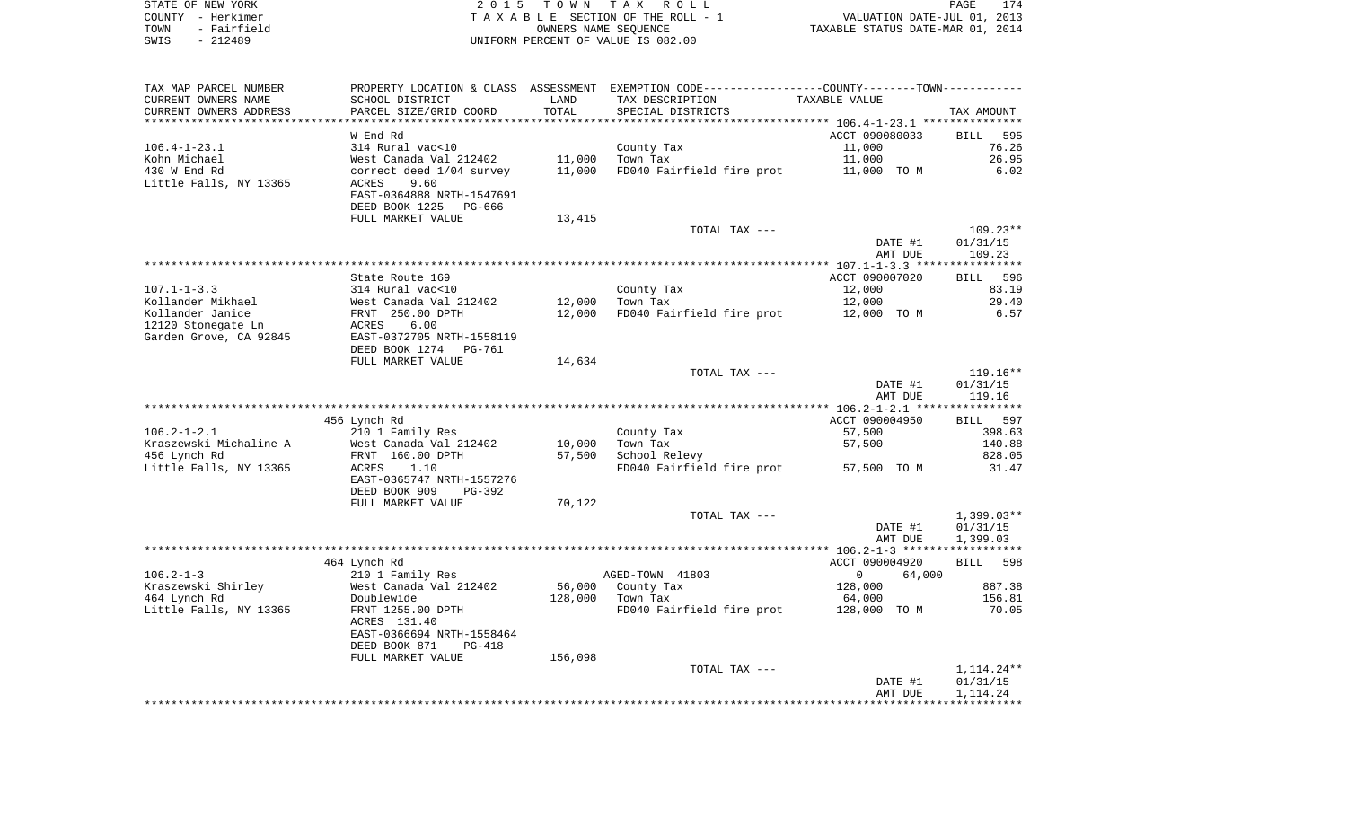|      | STATE OF NEW YORK | 2015 TOWN TAX ROLL                 | 174<br>PAGE                      |
|------|-------------------|------------------------------------|----------------------------------|
|      | COUNTY - Herkimer | TAXABLE SECTION OF THE ROLL - 1    | VALUATION DATE-JUL 01, 2013      |
| TOWN | - Fairfield       | OWNERS NAME SEOUENCE               | TAXABLE STATUS DATE-MAR 01, 2014 |
| SWIS | - 212489          | UNIFORM PERCENT OF VALUE IS 082.00 |                                  |

| TAX MAP PARCEL NUMBER                  |                                               |         | PROPERTY LOCATION & CLASS ASSESSMENT EXEMPTION CODE----------------COUNTY--------TOWN---------- |                        |                      |
|----------------------------------------|-----------------------------------------------|---------|-------------------------------------------------------------------------------------------------|------------------------|----------------------|
| CURRENT OWNERS NAME                    | SCHOOL DISTRICT                               | LAND    | TAX DESCRIPTION                                                                                 | TAXABLE VALUE          |                      |
| CURRENT OWNERS ADDRESS                 | PARCEL SIZE/GRID COORD                        | TOTAL   | SPECIAL DISTRICTS                                                                               |                        | TAX AMOUNT           |
| *********************                  | ************************                      |         |                                                                                                 |                        |                      |
|                                        | W End Rd                                      |         |                                                                                                 | ACCT 090080033         | <b>BILL</b><br>595   |
| $106.4 - 1 - 23.1$                     | 314 Rural vac<10                              |         | County Tax                                                                                      | 11,000                 | 76.26                |
| Kohn Michael                           | West Canada Val 212402                        | 11,000  | Town Tax                                                                                        | 11,000                 | 26.95                |
| 430 W End Rd<br>Little Falls, NY 13365 | correct deed 1/04 survey<br>ACRES<br>9.60     | 11,000  | FD040 Fairfield fire prot                                                                       | 11,000 TO M            | 6.02                 |
|                                        | EAST-0364888 NRTH-1547691                     |         |                                                                                                 |                        |                      |
|                                        | DEED BOOK 1225<br>PG-666                      |         |                                                                                                 |                        |                      |
|                                        | FULL MARKET VALUE                             | 13,415  |                                                                                                 |                        |                      |
|                                        |                                               |         | TOTAL TAX ---                                                                                   |                        | $109.23**$           |
|                                        |                                               |         |                                                                                                 | DATE #1                | 01/31/15             |
|                                        |                                               |         |                                                                                                 | AMT DUE                | 109.23               |
|                                        |                                               |         |                                                                                                 |                        |                      |
|                                        | State Route 169                               |         |                                                                                                 | ACCT 090007020         | BILL 596             |
| $107.1 - 1 - 3.3$                      | 314 Rural vac<10                              |         | County Tax                                                                                      | 12,000                 | 83.19                |
| Kollander Mikhael                      | West Canada Val 212402                        | 12,000  | Town Tax                                                                                        | 12,000                 | 29.40                |
| Kollander Janice                       | FRNT 250.00 DPTH                              | 12,000  | FD040 Fairfield fire prot                                                                       | 12,000 TO M            | 6.57                 |
| 12120 Stonegate Ln                     | ACRES<br>6.00                                 |         |                                                                                                 |                        |                      |
| Garden Grove, CA 92845                 | EAST-0372705 NRTH-1558119                     |         |                                                                                                 |                        |                      |
|                                        | DEED BOOK 1274<br>PG-761<br>FULL MARKET VALUE | 14,634  |                                                                                                 |                        |                      |
|                                        |                                               |         | TOTAL TAX ---                                                                                   |                        | $119.16**$           |
|                                        |                                               |         |                                                                                                 | DATE #1                | 01/31/15             |
|                                        |                                               |         |                                                                                                 | AMT DUE                | 119.16               |
|                                        |                                               |         |                                                                                                 |                        |                      |
|                                        | 456 Lynch Rd                                  |         |                                                                                                 | ACCT 090004950         | BILL 597             |
| $106.2 - 1 - 2.1$                      | 210 1 Family Res                              |         | County Tax                                                                                      | 57,500                 | 398.63               |
| Kraszewski Michaline A                 | West Canada Val 212402                        | 10,000  | Town Tax                                                                                        | 57,500                 | 140.88               |
| 456 Lynch Rd                           | FRNT 160.00 DPTH                              | 57,500  | School Relevy                                                                                   |                        | 828.05               |
| Little Falls, NY 13365                 | 1.10<br>ACRES                                 |         | FD040 Fairfield fire prot                                                                       | 57,500 TO M            | 31.47                |
|                                        | EAST-0365747 NRTH-1557276                     |         |                                                                                                 |                        |                      |
|                                        | DEED BOOK 909<br>PG-392                       |         |                                                                                                 |                        |                      |
|                                        | FULL MARKET VALUE                             | 70,122  | TOTAL TAX ---                                                                                   |                        | $1,399.03**$         |
|                                        |                                               |         |                                                                                                 | DATE #1                | 01/31/15             |
|                                        |                                               |         |                                                                                                 | AMT DUE                | 1,399.03             |
|                                        |                                               |         |                                                                                                 |                        |                      |
|                                        | 464 Lynch Rd                                  |         |                                                                                                 | ACCT 090004920         | 598<br><b>BILL</b>   |
| $106.2 - 1 - 3$                        | 210 1 Family Res                              |         | AGED-TOWN 41803                                                                                 | $\mathbf{0}$<br>64,000 |                      |
| Kraszewski Shirley                     | West Canada Val 212402                        | 56,000  | County Tax                                                                                      | 128,000                | 887.38               |
| 464 Lynch Rd                           | Doublewide                                    | 128,000 | Town Tax                                                                                        | 64,000                 | 156.81               |
| Little Falls, NY 13365                 | FRNT 1255.00 DPTH                             |         | FD040 Fairfield fire prot                                                                       | 128,000 TO M           | 70.05                |
|                                        | ACRES 131.40                                  |         |                                                                                                 |                        |                      |
|                                        | EAST-0366694 NRTH-1558464                     |         |                                                                                                 |                        |                      |
|                                        | DEED BOOK 871<br><b>PG-418</b>                |         |                                                                                                 |                        |                      |
|                                        | FULL MARKET VALUE                             | 156,098 |                                                                                                 |                        |                      |
|                                        |                                               |         | TOTAL TAX ---                                                                                   | DATE #1                | $1,114.24**$         |
|                                        |                                               |         |                                                                                                 | AMT DUE                | 01/31/15<br>1,114.24 |
|                                        |                                               |         |                                                                                                 |                        |                      |
|                                        |                                               |         |                                                                                                 |                        |                      |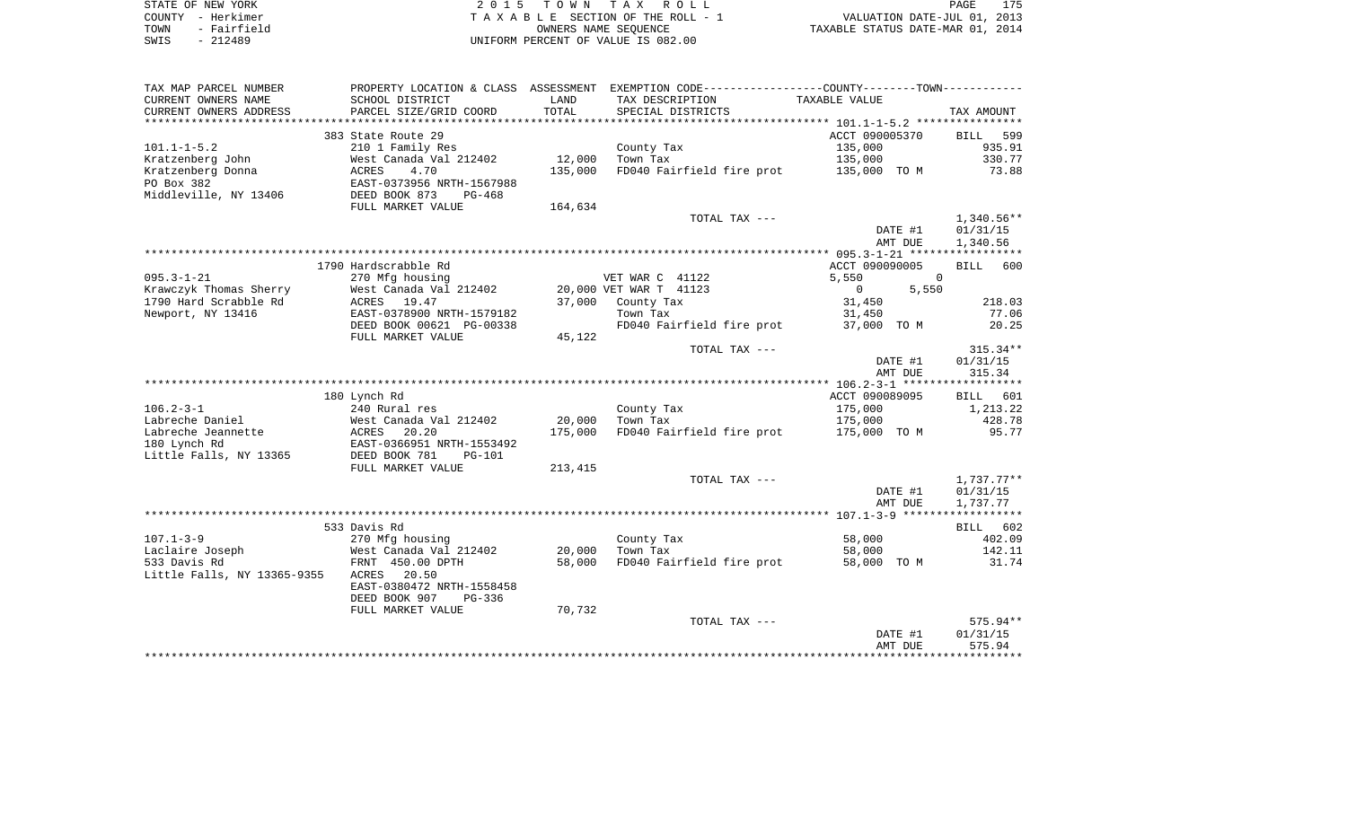|      | STATE OF NEW YORK | 2015 TOWN TAX ROLL                 | ユワロ<br>PAGE                      |
|------|-------------------|------------------------------------|----------------------------------|
|      | COUNTY - Herkimer | TAXABLE SECTION OF THE ROLL - 1    | VALUATION DATE-JUL 01, 2013      |
| TOWN | - Fairfield       | OWNERS NAME SEOUENCE               | TAXABLE STATUS DATE-MAR 01, 2014 |
| SWIS | $-212489$         | UNIFORM PERCENT OF VALUE IS 082.00 |                                  |

| TAX MAP PARCEL NUMBER       |                           |                 | PROPERTY LOCATION & CLASS ASSESSMENT EXEMPTION CODE---------------COUNTY-------TOWN---------- |                            |            |
|-----------------------------|---------------------------|-----------------|-----------------------------------------------------------------------------------------------|----------------------------|------------|
| CURRENT OWNERS NAME         | SCHOOL DISTRICT           | LAND            | TAX DESCRIPTION                                                                               | TAXABLE VALUE              |            |
| CURRENT OWNERS ADDRESS      | PARCEL SIZE/GRID COORD    | TOTAL           | SPECIAL DISTRICTS                                                                             |                            | TAX AMOUNT |
| *******************         | ************************  | *************** |                                                                                               |                            |            |
|                             | 383 State Route 29        |                 |                                                                                               | ACCT 090005370             | BILL 599   |
| $101.1 - 1 - 5.2$           | 210 1 Family Res          |                 | County Tax                                                                                    | 135,000                    | 935.91     |
| Kratzenberg John            | West Canada Val 212402    | 12,000          | Town Tax                                                                                      | 135,000                    | 330.77     |
| Kratzenberg Donna           | 4.70<br>ACRES             | 135,000         | FD040 Fairfield fire prot 135,000 TO M                                                        |                            | 73.88      |
| PO Box 382                  | EAST-0373956 NRTH-1567988 |                 |                                                                                               |                            |            |
| Middleville, NY 13406       | DEED BOOK 873<br>$PG-468$ |                 |                                                                                               |                            |            |
|                             | FULL MARKET VALUE         | 164,634         |                                                                                               |                            |            |
|                             |                           |                 | TOTAL TAX ---                                                                                 |                            | 1,340.56** |
|                             |                           |                 |                                                                                               | DATE #1                    | 01/31/15   |
|                             |                           |                 |                                                                                               | AMT DUE                    | 1,340.56   |
|                             |                           |                 |                                                                                               |                            |            |
|                             | 1790 Hardscrabble Rd      |                 |                                                                                               | ACCT 090090005             | BILL 600   |
| $095.3 - 1 - 21$            | 270 Mfg housing           |                 | VET WAR C 41122                                                                               | 5,550<br>$\Omega$          |            |
| Krawczyk Thomas Sherry      | West Canada Val 212402    |                 | 20,000 VET WAR T 41123                                                                        | 5,550<br>$0 \qquad \qquad$ |            |
| 1790 Hard Scrabble Rd       | ACRES 19.47               | 37,000          | County Tax                                                                                    | 31,450                     | 218.03     |
| Newport, NY 13416           | EAST-0378900 NRTH-1579182 |                 | Town Tax                                                                                      | 31,450                     | 77.06      |
|                             | DEED BOOK 00621 PG-00338  |                 | FD040 Fairfield fire prot                                                                     | 37,000 TO M                | 20.25      |
|                             | FULL MARKET VALUE         | 45,122          |                                                                                               |                            |            |
|                             |                           |                 | TOTAL TAX ---                                                                                 |                            | $315.34**$ |
|                             |                           |                 |                                                                                               | DATE #1                    | 01/31/15   |
|                             |                           |                 |                                                                                               | AMT DUE                    | 315.34     |
|                             |                           |                 |                                                                                               |                            |            |
|                             | 180 Lynch Rd              |                 |                                                                                               | ACCT 090089095             | BILL 601   |
| $106.2 - 3 - 1$             | 240 Rural res             |                 | County Tax                                                                                    | 175,000                    | 1,213.22   |
| Labreche Daniel             | West Canada Val 212402    | 20,000          | Town Tax                                                                                      | 175,000                    | 428.78     |
| Labreche Jeannette          | ACRES<br>20.20            | 175,000         | FD040 Fairfield fire prot 175,000 TO M                                                        |                            | 95.77      |
| 180 Lynch Rd                | EAST-0366951 NRTH-1553492 |                 |                                                                                               |                            |            |
| Little Falls, NY 13365      | DEED BOOK 781<br>PG-101   |                 |                                                                                               |                            |            |
|                             | FULL MARKET VALUE         | 213,415         |                                                                                               |                            |            |
|                             |                           |                 | TOTAL TAX ---                                                                                 |                            | 1,737.77** |
|                             |                           |                 |                                                                                               | DATE #1                    | 01/31/15   |
|                             |                           |                 |                                                                                               | AMT DUE                    | 1,737.77   |
|                             |                           |                 |                                                                                               |                            |            |
|                             | 533 Davis Rd              |                 |                                                                                               |                            | BILL 602   |
| $107.1 - 3 - 9$             | 270 Mfg housing           |                 | County Tax                                                                                    | 58,000                     | 402.09     |
| Laclaire Joseph             | West Canada Val 212402    | 20,000          | Town Tax                                                                                      | 58,000                     | 142.11     |
| 533 Davis Rd                | FRNT 450.00 DPTH          | 58,000          | FD040 Fairfield fire prot                                                                     | 58,000 TO M                | 31.74      |
| Little Falls, NY 13365-9355 | 20.50<br>ACRES            |                 |                                                                                               |                            |            |
|                             | EAST-0380472 NRTH-1558458 |                 |                                                                                               |                            |            |
|                             | DEED BOOK 907<br>PG-336   |                 |                                                                                               |                            |            |
|                             | FULL MARKET VALUE         | 70,732          |                                                                                               |                            |            |
|                             |                           |                 | TOTAL TAX ---                                                                                 |                            | 575.94**   |
|                             |                           |                 |                                                                                               | DATE #1                    | 01/31/15   |
|                             |                           |                 |                                                                                               | AMT DUE                    | 575.94     |
|                             |                           |                 |                                                                                               |                            |            |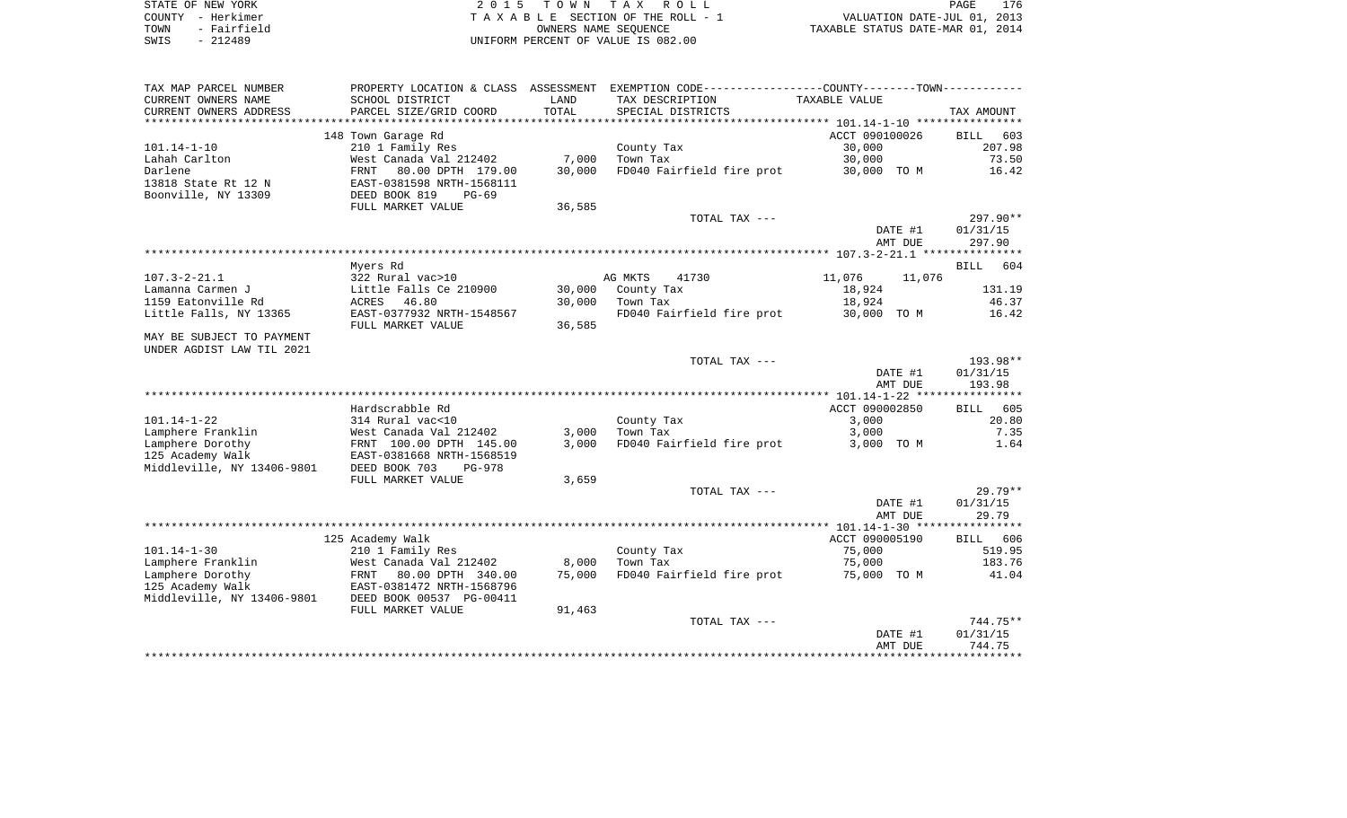| STATE OF NEW YORK   | 2015 TOWN TAX ROLL                 | 176<br>PAGE                      |
|---------------------|------------------------------------|----------------------------------|
| COUNTY - Herkimer   | TAXABLE SECTION OF THE ROLL - 1    | VALUATION DATE-JUL 01, 2013      |
| - Fairfield<br>TOWN | OWNERS NAME SEOUENCE               | TAXABLE STATUS DATE-MAR 01, 2014 |
| SWIS<br>$-212489$   | UNIFORM PERCENT OF VALUE IS 082.00 |                                  |

| TAX MAP PARCEL NUMBER      | PROPERTY LOCATION & CLASS |            | ASSESSMENT EXEMPTION CODE-----------------COUNTY-------TOWN----------- |                    |                    |
|----------------------------|---------------------------|------------|------------------------------------------------------------------------|--------------------|--------------------|
| CURRENT OWNERS NAME        | SCHOOL DISTRICT           | LAND       | TAX DESCRIPTION                                                        | TAXABLE VALUE      |                    |
| CURRENT OWNERS ADDRESS     | PARCEL SIZE/GRID COORD    | TOTAL      | SPECIAL DISTRICTS                                                      |                    | TAX AMOUNT         |
|                            |                           | ********** |                                                                        |                    |                    |
|                            | 148 Town Garage Rd        |            |                                                                        | ACCT 090100026     | BILL<br>603        |
| $101.14 - 1 - 10$          | 210 1 Family Res          |            | County Tax                                                             | 30,000             | 207.98             |
| Lahah Carlton              | West Canada Val 212402    | 7,000      | Town Tax                                                               | 30,000             | 73.50              |
| Darlene                    | 80.00 DPTH 179.00<br>FRNT | 30,000     | FD040 Fairfield fire prot                                              | 30,000 TO M        | 16.42              |
| 13818 State Rt 12 N        | EAST-0381598 NRTH-1568111 |            |                                                                        |                    |                    |
| Boonville, NY 13309        | DEED BOOK 819<br>$PG-69$  |            |                                                                        |                    |                    |
|                            | FULL MARKET VALUE         | 36,585     |                                                                        |                    |                    |
|                            |                           |            | TOTAL TAX ---                                                          |                    | 297.90**           |
|                            |                           |            |                                                                        | DATE #1            | 01/31/15           |
|                            |                           |            |                                                                        | AMT DUE            | 297.90             |
|                            |                           |            |                                                                        |                    |                    |
|                            | Myers Rd                  |            |                                                                        |                    | BILL<br>604        |
| $107.3 - 2 - 21.1$         | 322 Rural vac>10          |            | AG MKTS<br>41730                                                       | 11,076<br>11,076   |                    |
| Lamanna Carmen J           | Little Falls Ce 210900    | 30,000     | County Tax                                                             | 18,924             | 131.19             |
| 1159 Eatonville Rd         | ACRES<br>46.80            | 30,000     | Town Tax                                                               | 18,924             | 46.37              |
| Little Falls, NY 13365     | EAST-0377932 NRTH-1548567 |            | FD040 Fairfield fire prot                                              | 30,000 TO M        | 16.42              |
|                            | FULL MARKET VALUE         | 36,585     |                                                                        |                    |                    |
| MAY BE SUBJECT TO PAYMENT  |                           |            |                                                                        |                    |                    |
| UNDER AGDIST LAW TIL 2021  |                           |            |                                                                        |                    |                    |
|                            |                           |            | TOTAL TAX ---                                                          |                    | 193.98**           |
|                            |                           |            |                                                                        | DATE #1<br>AMT DUE | 01/31/15<br>193.98 |
|                            |                           |            |                                                                        |                    |                    |
|                            | Hardscrabble Rd           |            |                                                                        | ACCT 090002850     | BILL 605           |
| $101.14 - 1 - 22$          | 314 Rural vac<10          |            | County Tax                                                             | 3,000              | 20.80              |
| Lamphere Franklin          | West Canada Val 212402    | 3,000      | Town Tax                                                               | 3,000              | 7.35               |
| Lamphere Dorothy           | FRNT 100.00 DPTH 145.00   | 3,000      | FD040 Fairfield fire prot                                              | 3,000 TO M         | 1.64               |
| 125 Academy Walk           | EAST-0381668 NRTH-1568519 |            |                                                                        |                    |                    |
| Middleville, NY 13406-9801 | DEED BOOK 703<br>$PG-978$ |            |                                                                        |                    |                    |
|                            | FULL MARKET VALUE         | 3,659      |                                                                        |                    |                    |
|                            |                           |            | TOTAL TAX ---                                                          |                    | $29.79**$          |
|                            |                           |            |                                                                        | DATE #1            | 01/31/15           |
|                            |                           |            |                                                                        | AMT DUE            | 29.79              |
|                            |                           |            |                                                                        |                    |                    |
|                            | 125 Academy Walk          |            |                                                                        | ACCT 090005190     | BILL 606           |
| $101.14 - 1 - 30$          | 210 1 Family Res          |            | County Tax                                                             | 75,000             | 519.95             |
| Lamphere Franklin          | West Canada Val 212402    | 8,000      | Town Tax                                                               | 75,000             | 183.76             |
| Lamphere Dorothy           | 80.00 DPTH 340.00<br>FRNT | 75,000     | FD040 Fairfield fire prot 75,000 TO M                                  |                    | 41.04              |
| 125 Academy Walk           | EAST-0381472 NRTH-1568796 |            |                                                                        |                    |                    |
| Middleville, NY 13406-9801 | DEED BOOK 00537 PG-00411  |            |                                                                        |                    |                    |
|                            | FULL MARKET VALUE         | 91,463     |                                                                        |                    |                    |
|                            |                           |            | TOTAL TAX ---                                                          |                    | 744.75**           |
|                            |                           |            |                                                                        | DATE #1            | 01/31/15           |
|                            |                           |            |                                                                        | AMT DUE            | 744.75             |
|                            |                           |            |                                                                        |                    |                    |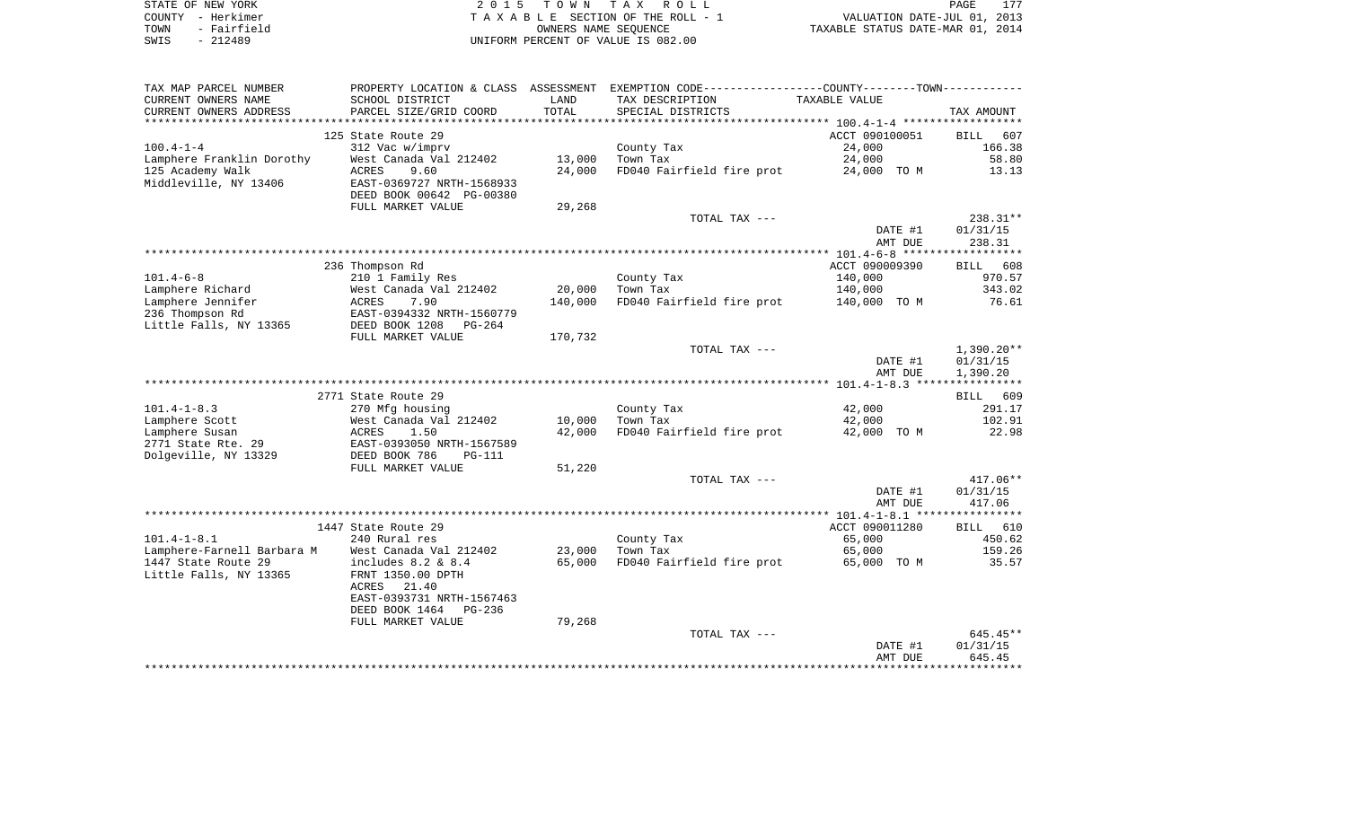| STATE OF NEW YORK   | 2015 TOWN TAX ROLL                 | 177<br>PAGE                      |
|---------------------|------------------------------------|----------------------------------|
| COUNTY - Herkimer   | TAXABLE SECTION OF THE ROLL - 1    | VALUATION DATE-JUL 01, 2013      |
| - Fairfield<br>TOWN | OWNERS NAME SEOUENCE               | TAXABLE STATUS DATE-MAR 01, 2014 |
| - 212489<br>SWIS    | UNIFORM PERCENT OF VALUE IS 082.00 |                                  |

| TAX MAP PARCEL NUMBER      |                                |         | PROPERTY LOCATION & CLASS ASSESSMENT EXEMPTION CODE---------------COUNTY-------TOWN---------- |                |                        |
|----------------------------|--------------------------------|---------|-----------------------------------------------------------------------------------------------|----------------|------------------------|
| CURRENT OWNERS NAME        | SCHOOL DISTRICT                | LAND    | TAX DESCRIPTION                                                                               | TAXABLE VALUE  |                        |
| CURRENT OWNERS ADDRESS     | PARCEL SIZE/GRID COORD         | TOTAL   | SPECIAL DISTRICTS                                                                             |                | TAX AMOUNT             |
| ********************       |                                |         |                                                                                               |                |                        |
|                            | 125 State Route 29             |         |                                                                                               | ACCT 090100051 | BILL<br>607            |
| $100.4 - 1 - 4$            | 312 Vac w/imprv                |         | County Tax                                                                                    | 24,000         | 166.38                 |
| Lamphere Franklin Dorothy  | West Canada Val 212402         | 13,000  | Town Tax                                                                                      | 24,000         | 58.80                  |
| 125 Academy Walk           | 9.60<br>ACRES                  | 24,000  | FD040 Fairfield fire prot                                                                     | 24,000 TO M    | 13.13                  |
| Middleville, NY 13406      | EAST-0369727 NRTH-1568933      |         |                                                                                               |                |                        |
|                            | DEED BOOK 00642 PG-00380       |         |                                                                                               |                |                        |
|                            | FULL MARKET VALUE              | 29,268  |                                                                                               |                |                        |
|                            |                                |         | TOTAL TAX ---                                                                                 |                | 238.31**               |
|                            |                                |         |                                                                                               | DATE #1        | 01/31/15               |
|                            |                                |         |                                                                                               | AMT DUE        | 238.31                 |
|                            |                                |         |                                                                                               |                |                        |
|                            | 236 Thompson Rd                |         |                                                                                               | ACCT 090009390 | BILL 608               |
| $101.4 - 6 - 8$            | 210 1 Family Res               |         | County Tax                                                                                    | 140,000        | 970.57                 |
| Lamphere Richard           | West Canada Val 212402         | 20,000  | Town Tax                                                                                      | 140,000        | 343.02                 |
| Lamphere Jennifer          | ACRES<br>7.90                  | 140,000 | FD040 Fairfield fire prot                                                                     | 140,000 TO M   | 76.61                  |
| 236 Thompson Rd            | EAST-0394332 NRTH-1560779      |         |                                                                                               |                |                        |
| Little Falls, NY 13365     | DEED BOOK 1208<br>PG-264       |         |                                                                                               |                |                        |
|                            | FULL MARKET VALUE              | 170,732 | TOTAL TAX ---                                                                                 |                |                        |
|                            |                                |         |                                                                                               | DATE #1        | 1,390.20**<br>01/31/15 |
|                            |                                |         |                                                                                               | AMT DUE        | 1,390.20               |
|                            |                                |         |                                                                                               |                |                        |
|                            | 2771 State Route 29            |         |                                                                                               |                | BILL 609               |
| $101.4 - 1 - 8.3$          | 270 Mfg housing                |         | County Tax                                                                                    | 42,000         | 291.17                 |
| Lamphere Scott             | West Canada Val 212402         | 10,000  | Town Tax                                                                                      | 42,000         | 102.91                 |
| Lamphere Susan             | ACRES<br>1.50                  | 42,000  | FD040 Fairfield fire prot                                                                     | 42,000 TO M    | 22.98                  |
| 2771 State Rte. 29         | EAST-0393050 NRTH-1567589      |         |                                                                                               |                |                        |
| Dolgeville, NY 13329       | DEED BOOK 786<br><b>PG-111</b> |         |                                                                                               |                |                        |
|                            | FULL MARKET VALUE              | 51,220  |                                                                                               |                |                        |
|                            |                                |         | TOTAL TAX ---                                                                                 |                | $417.06**$             |
|                            |                                |         |                                                                                               | DATE #1        | 01/31/15               |
|                            |                                |         |                                                                                               | AMT DUE        | 417.06                 |
|                            |                                |         |                                                                                               |                |                        |
|                            | 1447 State Route 29            |         |                                                                                               | ACCT 090011280 | BILL 610               |
| $101.4 - 1 - 8.1$          | 240 Rural res                  |         | County Tax                                                                                    | 65,000         | 450.62                 |
| Lamphere-Farnell Barbara M | West Canada Val 212402         | 23,000  | Town Tax                                                                                      | 65,000         | 159.26                 |
| 1447 State Route 29        | includes $8.2 \& 8.4$          | 65,000  | FD040 Fairfield fire prot 65,000 TO M                                                         |                | 35.57                  |
| Little Falls, NY 13365     | FRNT 1350.00 DPTH              |         |                                                                                               |                |                        |
|                            | ACRES<br>21.40                 |         |                                                                                               |                |                        |
|                            | EAST-0393731 NRTH-1567463      |         |                                                                                               |                |                        |
|                            | DEED BOOK 1464<br>PG-236       |         |                                                                                               |                |                        |
|                            | FULL MARKET VALUE              | 79,268  |                                                                                               |                |                        |
|                            |                                |         | TOTAL TAX ---                                                                                 |                | $645.45**$             |
|                            |                                |         |                                                                                               | DATE #1        | 01/31/15               |
|                            |                                |         |                                                                                               | AMT DUE        | 645.45                 |
|                            |                                |         |                                                                                               |                |                        |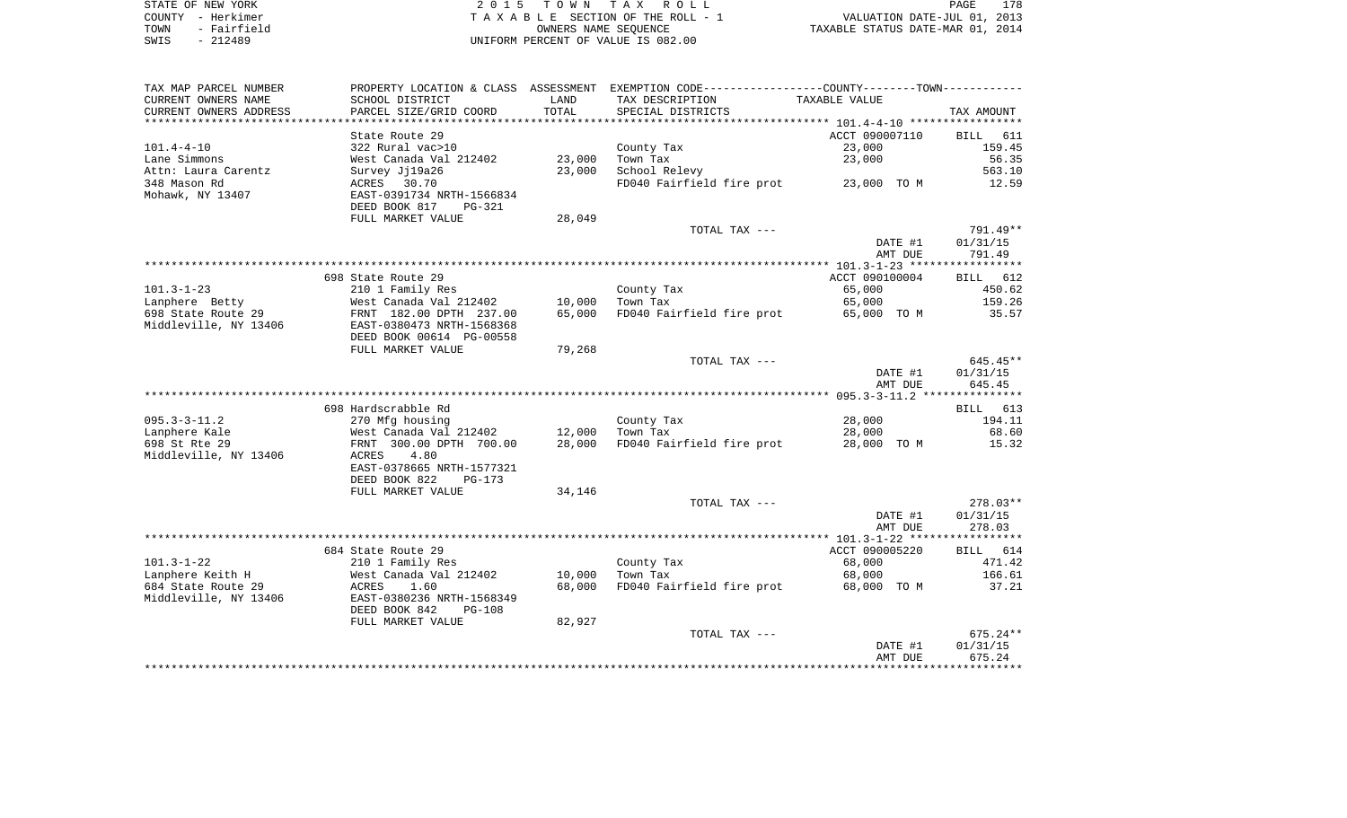| STATE OF NEW YORK   | 2015 TOWN TAX ROLL                 | 178<br>PAGE                      |
|---------------------|------------------------------------|----------------------------------|
| COUNTY - Herkimer   | TAXABLE SECTION OF THE ROLL - 1    | VALUATION DATE-JUL 01, 2013      |
| - Fairfield<br>TOWN | OWNERS NAME SEOUENCE               | TAXABLE STATUS DATE-MAR 01, 2014 |
| $-212489$<br>SWIS   | UNIFORM PERCENT OF VALUE IS 082.00 |                                  |

| TAX MAP PARCEL NUMBER                |                                                      |                  | PROPERTY LOCATION & CLASS ASSESSMENT EXEMPTION CODE----------------COUNTY--------TOWN---------- |                    |                    |
|--------------------------------------|------------------------------------------------------|------------------|-------------------------------------------------------------------------------------------------|--------------------|--------------------|
| CURRENT OWNERS NAME                  | SCHOOL DISTRICT                                      | LAND             | TAX DESCRIPTION                                                                                 | TAXABLE VALUE      |                    |
| CURRENT OWNERS ADDRESS               | PARCEL SIZE/GRID COORD                               | TOTAL            | SPECIAL DISTRICTS                                                                               |                    | TAX AMOUNT         |
|                                      |                                                      | **************   |                                                                                                 |                    |                    |
|                                      | State Route 29                                       |                  |                                                                                                 | ACCT 090007110     | BILL 611           |
| $101.4 - 4 - 10$                     | 322 Rural vac>10                                     |                  | County Tax                                                                                      | 23,000             | 159.45             |
| Lane Simmons                         | West Canada Val 212402                               | 23,000           | Town Tax                                                                                        | 23,000             | 56.35              |
| Attn: Laura Carentz                  | Survey Jj19a26                                       | 23,000           | School Relevy                                                                                   |                    | 563.10             |
| 348 Mason Rd                         | ACRES 30.70                                          |                  | FD040 Fairfield fire prot 23,000 TO M                                                           |                    | 12.59              |
| Mohawk, NY 13407                     | EAST-0391734 NRTH-1566834                            |                  |                                                                                                 |                    |                    |
|                                      | DEED BOOK 817<br>PG-321                              |                  |                                                                                                 |                    |                    |
|                                      | FULL MARKET VALUE                                    | 28,049           |                                                                                                 |                    |                    |
|                                      |                                                      |                  | TOTAL TAX ---                                                                                   |                    | 791.49**           |
|                                      |                                                      |                  |                                                                                                 | DATE #1            | 01/31/15           |
|                                      |                                                      |                  |                                                                                                 | AMT DUE            | 791.49             |
|                                      |                                                      |                  |                                                                                                 |                    |                    |
|                                      | 698 State Route 29                                   |                  |                                                                                                 | ACCT 090100004     | BILL 612           |
| $101.3 - 1 - 23$                     | 210 1 Family Res                                     |                  | County Tax                                                                                      | 65,000             | 450.62             |
| Lanphere Betty<br>698 State Route 29 | West Canada Val 212402                               | 10,000<br>65,000 | Town Tax<br>FD040 Fairfield fire prot                                                           | 65,000             | 159.26<br>35.57    |
| Middleville, NY 13406                | FRNT 182.00 DPTH 237.00<br>EAST-0380473 NRTH-1568368 |                  |                                                                                                 | 65,000 TO M        |                    |
|                                      | DEED BOOK 00614 PG-00558                             |                  |                                                                                                 |                    |                    |
|                                      | FULL MARKET VALUE                                    | 79,268           |                                                                                                 |                    |                    |
|                                      |                                                      |                  | TOTAL TAX ---                                                                                   |                    | $645.45**$         |
|                                      |                                                      |                  |                                                                                                 | DATE #1            | 01/31/15           |
|                                      |                                                      |                  |                                                                                                 | AMT DUE            | 645.45             |
|                                      |                                                      |                  |                                                                                                 |                    |                    |
|                                      | 698 Hardscrabble Rd                                  |                  |                                                                                                 |                    | BILL 613           |
| $095.3 - 3 - 11.2$                   | 270 Mfg housing                                      |                  | County Tax                                                                                      | 28,000             | 194.11             |
| Lanphere Kale                        | West Canada Val 212402                               | 12,000           | Town Tax                                                                                        | 28,000             | 68.60              |
| 698 St Rte 29                        | FRNT 300.00 DPTH 700.00                              | 28,000           | FD040 Fairfield fire prot                                                                       | 28,000 TO M        | 15.32              |
| Middleville, NY 13406                | ACRES<br>4.80                                        |                  |                                                                                                 |                    |                    |
|                                      | EAST-0378665 NRTH-1577321                            |                  |                                                                                                 |                    |                    |
|                                      | DEED BOOK 822<br>$PG-173$                            |                  |                                                                                                 |                    |                    |
|                                      | FULL MARKET VALUE                                    | 34,146           |                                                                                                 |                    |                    |
|                                      |                                                      |                  | TOTAL TAX ---                                                                                   |                    | $278.03**$         |
|                                      |                                                      |                  |                                                                                                 | DATE #1            | 01/31/15           |
|                                      |                                                      |                  |                                                                                                 | AMT DUE            | 278.03             |
|                                      |                                                      |                  |                                                                                                 |                    |                    |
|                                      | 684 State Route 29                                   |                  |                                                                                                 | ACCT 090005220     | BILL 614           |
| $101.3 - 1 - 22$                     | 210 1 Family Res                                     |                  | County Tax                                                                                      | 68,000             | 471.42             |
| Lanphere Keith H                     | West Canada Val 212402                               | 10,000           | Town Tax                                                                                        | 68,000             | 166.61             |
| 684 State Route 29                   | ACRES<br>1.60                                        | 68,000           | FD040 Fairfield fire prot                                                                       | 68,000 TO M        | 37.21              |
| Middleville, NY 13406                | EAST-0380236 NRTH-1568349                            |                  |                                                                                                 |                    |                    |
|                                      | DEED BOOK 842<br><b>PG-108</b>                       |                  |                                                                                                 |                    |                    |
|                                      | FULL MARKET VALUE                                    | 82,927           |                                                                                                 |                    |                    |
|                                      |                                                      |                  | TOTAL TAX ---                                                                                   |                    | $675.24**$         |
|                                      |                                                      |                  |                                                                                                 | DATE #1<br>AMT DUE | 01/31/15<br>675.24 |
|                                      |                                                      |                  |                                                                                                 |                    |                    |
|                                      |                                                      |                  |                                                                                                 |                    |                    |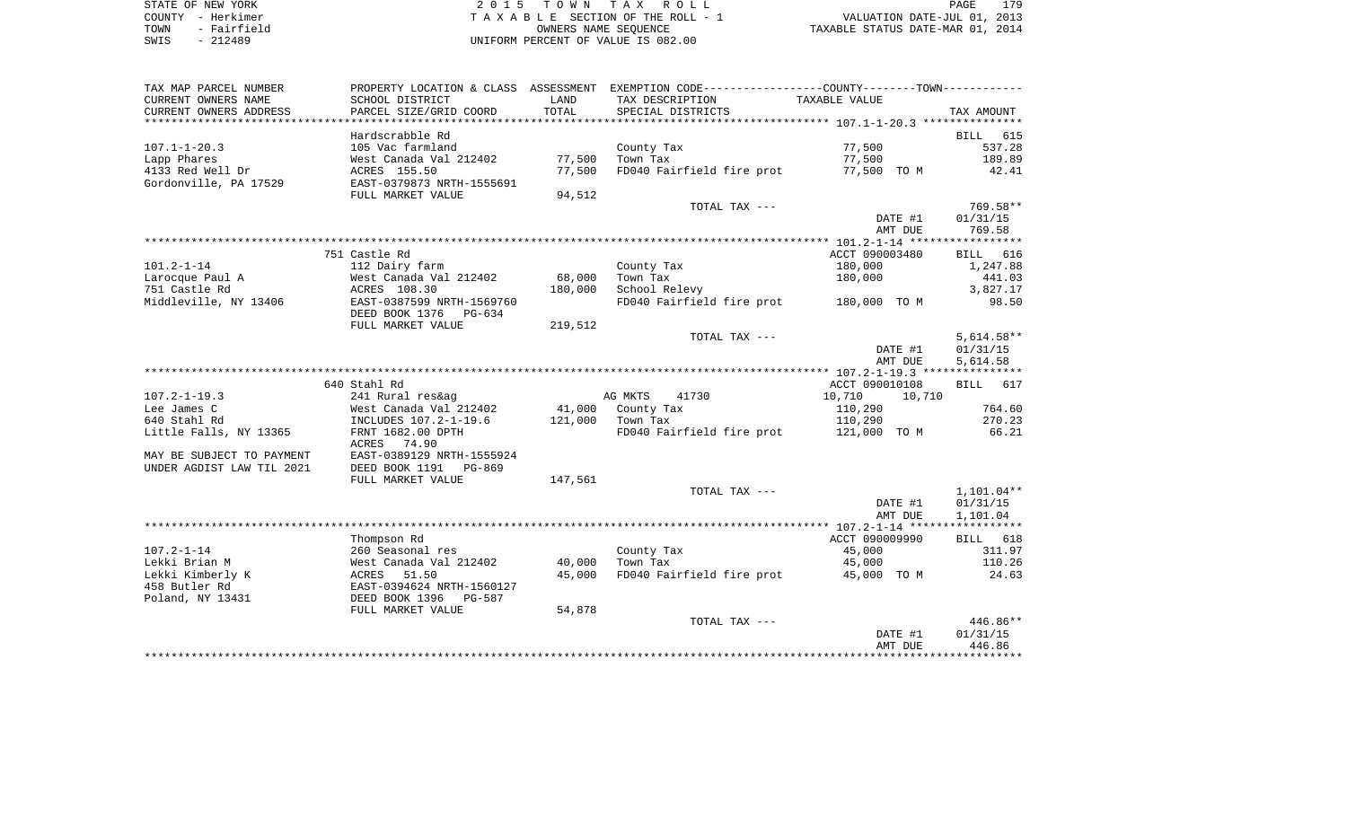| STATE OF NEW YORK    | T O W N<br>TAX <sup>T</sup><br>R O L L<br>-15 | .70<br>PAGE                      |
|----------------------|-----------------------------------------------|----------------------------------|
| - Herkimer<br>COUNTY | TAXABLE SECTION OF THE ROLL - 1               | VALUATION DATE-JUL 01, 2013      |
| Fairfield<br>TOWN    | OWNERS NAME SEOUENCE                          | TAXABLE STATUS DATE-MAR 01, 2014 |
| 212489<br>SWIS       | UNIFORM PERCENT OF VALUE IS 082.00            |                                  |

| TAX MAP PARCEL NUMBER      | PROPERTY LOCATION & CLASS ASSESSMENT |         | EXEMPTION CODE-----------------COUNTY-------TOWN----------- |                  |              |
|----------------------------|--------------------------------------|---------|-------------------------------------------------------------|------------------|--------------|
| CURRENT OWNERS NAME        | SCHOOL DISTRICT                      | LAND    | TAX DESCRIPTION                                             | TAXABLE VALUE    |              |
| CURRENT OWNERS ADDRESS     | PARCEL SIZE/GRID COORD               | TOTAL   | SPECIAL DISTRICTS                                           |                  | TAX AMOUNT   |
| ************************** |                                      |         |                                                             |                  |              |
|                            | Hardscrabble Rd                      |         |                                                             |                  | 615<br>BILL  |
| $107.1 - 1 - 20.3$         | 105 Vac farmland                     |         | County Tax                                                  | 77,500           | 537.28       |
| Lapp Phares                | West Canada Val 212402               | 77,500  | Town Tax                                                    | 77,500           | 189.89       |
| 4133 Red Well Dr           | ACRES 155.50                         | 77,500  | FD040 Fairfield fire prot                                   | 77,500 TO M      | 42.41        |
| Gordonville, PA 17529      | EAST-0379873 NRTH-1555691            |         |                                                             |                  |              |
|                            | FULL MARKET VALUE                    | 94,512  |                                                             |                  |              |
|                            |                                      |         | TOTAL TAX ---                                               |                  | 769.58**     |
|                            |                                      |         |                                                             | DATE #1          | 01/31/15     |
|                            |                                      |         |                                                             | AMT DUE          | 769.58       |
|                            |                                      |         |                                                             |                  |              |
|                            | 751 Castle Rd                        |         |                                                             | ACCT 090003480   | BILL 616     |
| $101.2 - 1 - 14$           | 112 Dairy farm                       |         | County Tax                                                  | 180,000          | 1,247.88     |
| Larocque Paul A            | West Canada Val 212402               | 68,000  | Town Tax                                                    | 180,000          | 441.03       |
| 751 Castle Rd              | ACRES 108.30                         | 180,000 | School Relevy                                               |                  | 3,827.17     |
| Middleville, NY 13406      | EAST-0387599 NRTH-1569760            |         | FD040 Fairfield fire prot 180,000 TO M                      |                  | 98.50        |
|                            | DEED BOOK 1376 PG-634                |         |                                                             |                  |              |
|                            | FULL MARKET VALUE                    | 219,512 |                                                             |                  |              |
|                            |                                      |         | TOTAL TAX ---                                               |                  | $5,614.58**$ |
|                            |                                      |         |                                                             | DATE #1          | 01/31/15     |
|                            |                                      |         |                                                             | AMT DUE          | 5,614.58     |
|                            |                                      |         |                                                             |                  |              |
|                            | 640 Stahl Rd                         |         |                                                             | ACCT 090010108   | BILL 617     |
| $107.2 - 1 - 19.3$         | 241 Rural res&ag                     |         | AG MKTS<br>41730                                            | 10,710<br>10,710 |              |
| Lee James C                | West Canada Val 212402               | 41,000  | County Tax                                                  | 110,290          | 764.60       |
| 640 Stahl Rd               | INCLUDES 107.2-1-19.6                | 121,000 | Town Tax                                                    | 110,290          | 270.23       |
| Little Falls, NY 13365     | FRNT 1682.00 DPTH                    |         | FD040 Fairfield fire prot                                   | 121,000 TO M     | 66.21        |
|                            | ACRES 74.90                          |         |                                                             |                  |              |
| MAY BE SUBJECT TO PAYMENT  | EAST-0389129 NRTH-1555924            |         |                                                             |                  |              |
| UNDER AGDIST LAW TIL 2021  | DEED BOOK 1191 PG-869                |         |                                                             |                  |              |
|                            | FULL MARKET VALUE                    | 147,561 |                                                             |                  |              |
|                            |                                      |         | TOTAL TAX ---                                               |                  | $1,101.04**$ |
|                            |                                      |         |                                                             | DATE #1          | 01/31/15     |
|                            |                                      |         |                                                             | AMT DUE          | 1,101.04     |
|                            |                                      |         |                                                             |                  |              |
|                            | Thompson Rd                          |         |                                                             | ACCT 090009990   | BILL 618     |
| $107.2 - 1 - 14$           | 260 Seasonal res                     |         | County Tax                                                  | 45,000           | 311.97       |
| Lekki Brian M              | West Canada Val 212402               | 40,000  | Town Tax                                                    | 45,000           | 110.26       |
| Lekki Kimberly K           | ACRES 51.50                          | 45,000  | FD040 Fairfield fire prot 45,000 TO M                       |                  | 24.63        |
| 458 Butler Rd              | EAST-0394624 NRTH-1560127            |         |                                                             |                  |              |
| Poland, NY 13431           | DEED BOOK 1396 PG-587                |         |                                                             |                  |              |
|                            | FULL MARKET VALUE                    | 54,878  |                                                             |                  |              |
|                            |                                      |         | TOTAL TAX ---                                               |                  | 446.86**     |
|                            |                                      |         |                                                             | DATE #1          | 01/31/15     |
|                            |                                      |         |                                                             | AMT DUE          | 446.86       |
|                            |                                      |         |                                                             |                  |              |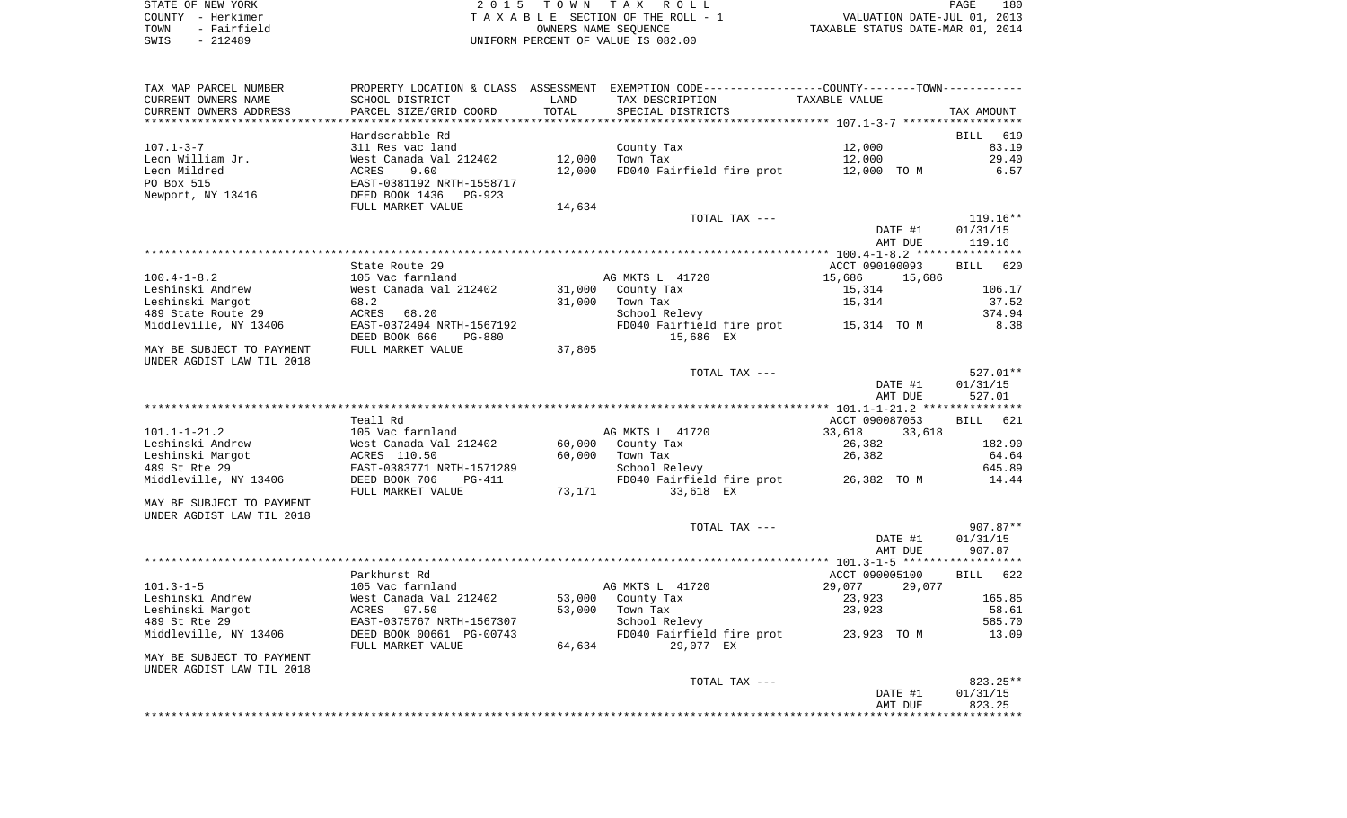STATE OF NEW YORK **EXECUTE:**  $2015$  TOWN TAX ROLL COUNTY - Herkimer T A X A B L E SECTION OF THE ROLL - 1 VALUATION DATE-JUL 01, 2013 TOWN - Fairfield OWNERS NAME SEQUENCE TAXABLE STATUS DATE-MAR 01, 2014

SWIS - 212489 UNIFORM PERCENT OF VALUE IS 082.00

| TAX MAP PARCEL NUMBER     | PROPERTY LOCATION & CLASS      | ASSESSMENT | EXEMPTION CODE-----------------COUNTY-------TOWN----------- |                  |                    |
|---------------------------|--------------------------------|------------|-------------------------------------------------------------|------------------|--------------------|
| CURRENT OWNERS NAME       | SCHOOL DISTRICT                | LAND       | TAX DESCRIPTION                                             | TAXABLE VALUE    |                    |
| CURRENT OWNERS ADDRESS    | PARCEL SIZE/GRID COORD         | TOTAL      | SPECIAL DISTRICTS                                           |                  | TAX AMOUNT         |
| **********************    |                                |            |                                                             |                  |                    |
|                           | Hardscrabble Rd                |            |                                                             |                  | BILL 619           |
| $107.1 - 3 - 7$           | 311 Res vac land               |            | County Tax                                                  | 12,000           | 83.19              |
| Leon William Jr.          | West Canada Val 212402         | 12,000     | Town Tax                                                    | 12,000           | 29.40              |
| Leon Mildred              | ACRES<br>9.60                  | 12,000     | FD040 Fairfield fire prot                                   | 12,000 TO M      | 6.57               |
| PO Box 515                | EAST-0381192 NRTH-1558717      |            |                                                             |                  |                    |
| Newport, NY 13416         | DEED BOOK 1436<br>PG-923       |            |                                                             |                  |                    |
|                           | FULL MARKET VALUE              | 14,634     |                                                             |                  |                    |
|                           |                                |            | TOTAL TAX ---                                               |                  | $119.16**$         |
|                           |                                |            |                                                             | DATE #1          | 01/31/15           |
|                           |                                |            |                                                             | AMT DUE          | 119.16             |
|                           |                                |            |                                                             |                  |                    |
|                           | State Route 29                 |            |                                                             | ACCT 090100093   | 620<br>BILL        |
| $100.4 - 1 - 8.2$         | 105 Vac farmland               |            | AG MKTS L 41720                                             | 15,686<br>15,686 |                    |
| Leshinski Andrew          |                                | 31,000     | County Tax                                                  |                  | 106.17             |
|                           | West Canada Val 212402         |            |                                                             | 15,314           |                    |
| Leshinski Margot          | 68.2                           | 31,000     | Town Tax                                                    | 15,314           | 37.52              |
| 489 State Route 29        | ACRES 68.20                    |            | School Relevy                                               |                  | 374.94             |
| Middleville, NY 13406     | EAST-0372494 NRTH-1567192      |            | FD040 Fairfield fire prot 15,314 TO M                       |                  | 8.38               |
|                           | DEED BOOK 666<br>PG-880        |            | 15,686 EX                                                   |                  |                    |
| MAY BE SUBJECT TO PAYMENT | FULL MARKET VALUE              | 37,805     |                                                             |                  |                    |
| UNDER AGDIST LAW TIL 2018 |                                |            |                                                             |                  |                    |
|                           |                                |            | TOTAL TAX ---                                               |                  | 527.01**           |
|                           |                                |            |                                                             | DATE #1          | 01/31/15           |
|                           |                                |            |                                                             | AMT DUE          | 527.01             |
|                           |                                |            |                                                             |                  |                    |
|                           | Teall Rd                       |            |                                                             | ACCT 090087053   | <b>BILL</b><br>621 |
| $101.1 - 1 - 21.2$        | 105 Vac farmland               |            | AG MKTS L 41720                                             | 33,618<br>33,618 |                    |
| Leshinski Andrew          | West Canada Val 212402         | 60,000     | County Tax                                                  | 26,382           | 182.90             |
| Leshinski Margot          | ACRES 110.50                   | 60,000     | Town Tax                                                    | 26,382           | 64.64              |
| 489 St Rte 29             | EAST-0383771 NRTH-1571289      |            | School Relevy                                               |                  | 645.89             |
| Middleville, NY 13406     | DEED BOOK 706<br><b>PG-411</b> |            | FD040 Fairfield fire prot                                   | 26,382 TO M      | 14.44              |
|                           | FULL MARKET VALUE              | 73,171     | 33,618 EX                                                   |                  |                    |
| MAY BE SUBJECT TO PAYMENT |                                |            |                                                             |                  |                    |
| UNDER AGDIST LAW TIL 2018 |                                |            |                                                             |                  |                    |
|                           |                                |            | TOTAL TAX ---                                               |                  | 907.87**           |
|                           |                                |            |                                                             | DATE #1          | 01/31/15           |
|                           |                                |            |                                                             | AMT DUE          | 907.87             |
|                           |                                |            |                                                             |                  |                    |
|                           | Parkhurst Rd                   |            |                                                             | ACCT 090005100   | 622<br>BILL        |
| $101.3 - 1 - 5$           | 105 Vac farmland               |            | AG MKTS L 41720                                             | 29,077<br>29,077 |                    |
| Leshinski Andrew          | West Canada Val 212402         | 53,000     | County Tax                                                  | 23,923           | 165.85             |
| Leshinski Margot          | 97.50<br>ACRES                 | 53,000     | Town Tax                                                    | 23,923           | 58.61              |
| 489 St Rte 29             | EAST-0375767 NRTH-1567307      |            | School Relevy                                               |                  | 585.70             |
| Middleville, NY 13406     | DEED BOOK 00661 PG-00743       |            | FD040 Fairfield fire prot                                   | 23,923 TO M      | 13.09              |
|                           | FULL MARKET VALUE              | 64,634     | 29,077 EX                                                   |                  |                    |
| MAY BE SUBJECT TO PAYMENT |                                |            |                                                             |                  |                    |
| UNDER AGDIST LAW TIL 2018 |                                |            |                                                             |                  |                    |
|                           |                                |            | TOTAL TAX ---                                               |                  | 823.25**           |
|                           |                                |            |                                                             | DATE #1          | 01/31/15           |
|                           |                                |            |                                                             | AMT DUE          | 823.25             |
|                           |                                |            |                                                             |                  |                    |
|                           |                                |            |                                                             |                  |                    |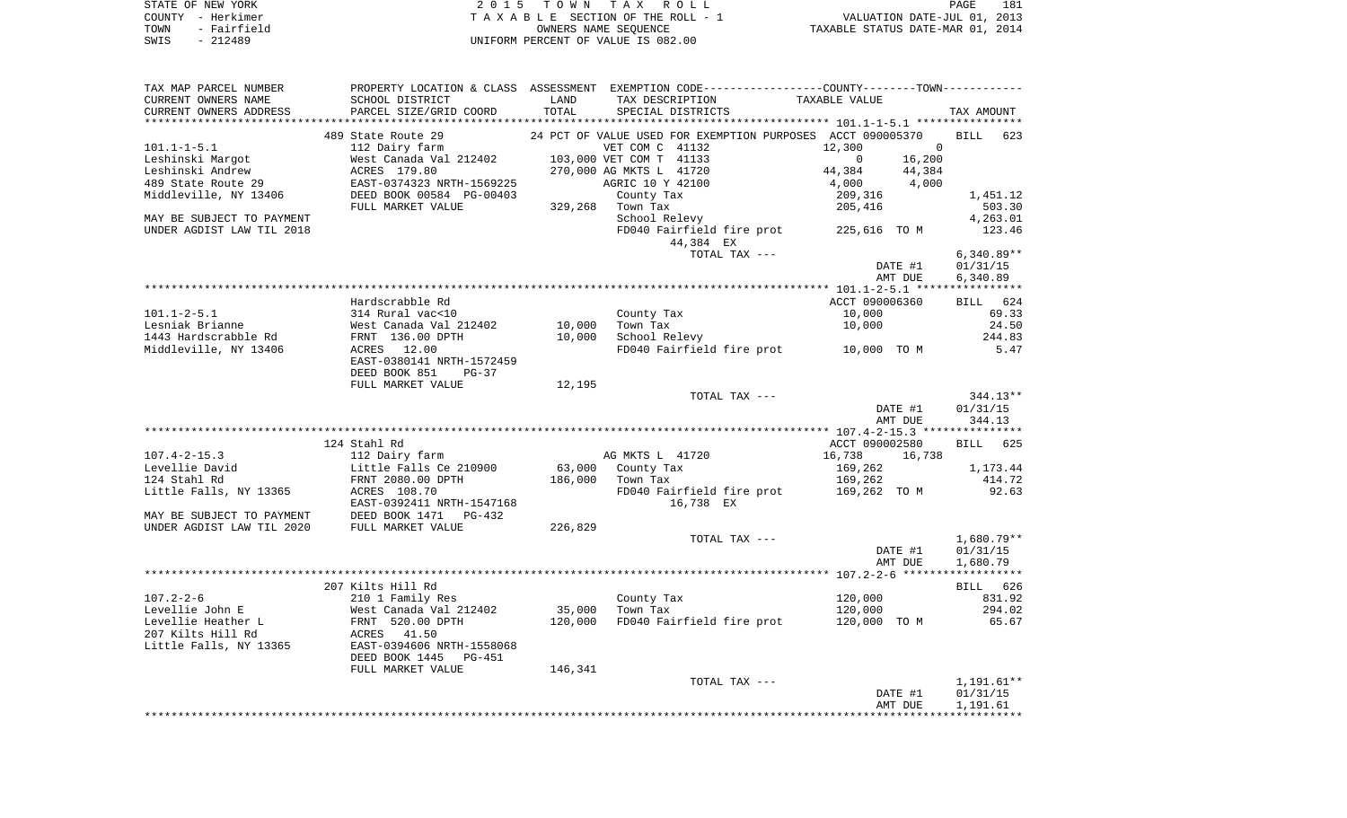| STATE OF NEW YORK   | 2015 TOWN TAX ROLL                 | 181<br><b>PAGE</b>               |
|---------------------|------------------------------------|----------------------------------|
| COUNTY - Herkimer   | TAXABLE SECTION OF THE ROLL - 1    | VALUATION DATE-JUL 01, 2013      |
| - Fairfield<br>TOWN | OWNERS NAME SEOUENCE               | TAXABLE STATUS DATE-MAR 01, 2014 |
| $-212489$<br>SWIS   | UNIFORM PERCENT OF VALUE IS 082.00 |                                  |

| TAX MAP PARCEL NUMBER                                                                                                                        |                                                          |                            | PROPERTY LOCATION & CLASS ASSESSMENT EXEMPTION CODE---------------COUNTY--------TOWN----------- |                                       |                      |
|----------------------------------------------------------------------------------------------------------------------------------------------|----------------------------------------------------------|----------------------------|-------------------------------------------------------------------------------------------------|---------------------------------------|----------------------|
| CURRENT OWNERS NAME                                                                                                                          | SCHOOL DISTRICT                                          | LAND                       | TAX DESCRIPTION                                                                                 | TAXABLE VALUE                         |                      |
| CURRENT OWNERS ADDRESS                                                                                                                       | PARCEL SIZE/GRID COORD                                   | TOTAL                      | SPECIAL DISTRICTS                                                                               |                                       | TAX AMOUNT           |
|                                                                                                                                              | 489 State Route 29                                       |                            | 24 PCT OF VALUE USED FOR EXEMPTION PURPOSES ACCT 090005370                                      |                                       | BILL 623             |
| $101.1 - 1 - 5.1$                                                                                                                            | 112 Dairy farm                                           |                            | VET COM C 41132                                                                                 | $\Omega$                              |                      |
| Leshinski Margot                                                                                                                             | 112 Dairy farm<br>West Canada Val 212402<br>ACRES 179.80 |                            | 103,000 VET COM T 41133                                                                         | 12,300<br>$\sim$ 0<br>16,200          |                      |
| Leshinski Andrew                                                                                                                             |                                                          |                            | 270,000 AG MKTS L 41720                                                                         | 44,384 44,384                         |                      |
| 489 State Route 29                                                                                                                           | EAST-0374323 NRTH-1569225                                |                            |                                                                                                 | $4,000$ $4,000$                       |                      |
| Middleville, NY 13406                                                                                                                        | DEED BOOK 00584 PG-00403                                 |                            | AGRIC 10 Y 42100<br>County Tax                                                                  |                                       | 1,451.12             |
|                                                                                                                                              | FULL MARKET VALUE                                        | $329,268$ Town Tax         |                                                                                                 | 209,316<br>205,416                    | 503.30               |
| MAY BE SUBJECT TO PAYMENT                                                                                                                    |                                                          |                            | School Relevy                                                                                   |                                       | 4,263.01             |
| UNDER AGDIST LAW TIL 2018                                                                                                                    |                                                          |                            | FD040 Fairfield fire prot 225,616 TO M                                                          |                                       | 123.46               |
|                                                                                                                                              |                                                          |                            | 44,384 EX                                                                                       |                                       |                      |
|                                                                                                                                              |                                                          |                            | TOTAL TAX ---                                                                                   |                                       | $6,340.89**$         |
|                                                                                                                                              |                                                          |                            |                                                                                                 | DATE #1                               | 01/31/15             |
|                                                                                                                                              |                                                          |                            |                                                                                                 | AMT DUE                               | 6,340.89             |
|                                                                                                                                              |                                                          |                            |                                                                                                 |                                       |                      |
|                                                                                                                                              | Hardscrabble Rd                                          |                            |                                                                                                 | ACCT 090006360                        | BILL 624             |
| $101.1 - 2 - 5.1$                                                                                                                            | 314 Rural vac<10                                         |                            | County Tax                                                                                      | 10,000                                | 69.33                |
| Lesniak Brianne                                                                                                                              | West Canada Val 212402 10,000                            |                            | Town Tax                                                                                        | 10,000                                | 24.50                |
| 1443 Hardscrabble Rd                                                                                                                         | FRNT 136.00 DPTH                                         | 10,000                     | School Relevy                                                                                   |                                       | 244.83               |
| Middleville, NY 13406                                                                                                                        | ACRES 12.00                                              |                            |                                                                                                 | FD040 Fairfield fire prot 10,000 TO M | 5.47                 |
|                                                                                                                                              | EAST-0380141 NRTH-1572459                                |                            |                                                                                                 |                                       |                      |
|                                                                                                                                              | DEED BOOK 851 PG-37                                      |                            |                                                                                                 |                                       |                      |
|                                                                                                                                              | FULL MARKET VALUE                                        | 12,195                     |                                                                                                 |                                       |                      |
|                                                                                                                                              |                                                          |                            | TOTAL TAX ---                                                                                   |                                       | $344.13**$           |
|                                                                                                                                              |                                                          |                            |                                                                                                 | DATE #1                               | 01/31/15             |
|                                                                                                                                              |                                                          |                            |                                                                                                 |                                       |                      |
|                                                                                                                                              |                                                          |                            |                                                                                                 | AMT DUE                               | 344.13               |
|                                                                                                                                              |                                                          |                            |                                                                                                 |                                       |                      |
|                                                                                                                                              | 124 Stahl Rd                                             |                            |                                                                                                 | ACCT 090002580                        | BILL 625             |
| $107.4 - 2 - 15.3$                                                                                                                           |                                                          |                            | AG MKTS L 41720                                                                                 | 16,738<br>16,738                      |                      |
|                                                                                                                                              | 112 Dairy farm<br>Little Falls Ce 210900                 |                            |                                                                                                 | 169,262                               | 1,173.44             |
|                                                                                                                                              | FRNT 2080.00 DPTH 186,000 Town Tax                       |                            |                                                                                                 | 169,262                               | 414.72               |
| Little Falls, NY 13365                                                                                                                       | ACRES 108.70                                             |                            | FD040 Fairfield fire prot 169,262 TO M                                                          |                                       | 92.63                |
|                                                                                                                                              | EAST-0392411 NRTH-1547168                                |                            | 16,738 EX                                                                                       |                                       |                      |
| MAY BE SUBJECT TO PAYMENT                                                                                                                    | DEED BOOK 1471 PG-432                                    |                            |                                                                                                 |                                       |                      |
| UNDER AGDIST LAW TIL 2020                                                                                                                    | FULL MARKET VALUE                                        | 226,829                    |                                                                                                 |                                       |                      |
|                                                                                                                                              |                                                          |                            | TOTAL TAX ---                                                                                   |                                       | $1,680.79**$         |
|                                                                                                                                              |                                                          |                            |                                                                                                 | DATE #1<br>AMT DUE                    | 01/31/15<br>1,680.79 |
|                                                                                                                                              |                                                          |                            |                                                                                                 |                                       |                      |
|                                                                                                                                              | 207 Kilts Hill Rd                                        |                            |                                                                                                 |                                       | BILL 626             |
| $107.2 - 2 - 6$                                                                                                                              | 210 1 Family Res                                         |                            | County Tax                                                                                      | 120,000                               | 831.92               |
|                                                                                                                                              | West Canada Val 212402                                   |                            |                                                                                                 | 120,000                               | 294.02               |
|                                                                                                                                              |                                                          | 35,000 Town Tax<br>120,000 | FD040 Fairfield fire prot 120,000 TO M                                                          |                                       | 65.67                |
|                                                                                                                                              | FRNT 520.00 DPTH                                         |                            |                                                                                                 |                                       |                      |
| Levellie John E West Canada Va<br>Levellie Heather L FRNT 520.00 I<br>207 Kilts Hill Rd ACRES 41.50<br>Little Falls, NY 13365 EAST-0394606 N | EAST-0394606 NRTH-1558068                                |                            |                                                                                                 |                                       |                      |
|                                                                                                                                              | DEED BOOK 1445 PG-451                                    |                            |                                                                                                 |                                       |                      |
|                                                                                                                                              | FULL MARKET VALUE                                        | 146,341                    |                                                                                                 |                                       |                      |
|                                                                                                                                              |                                                          |                            | TOTAL TAX ---                                                                                   |                                       | $1,191.61**$         |
|                                                                                                                                              |                                                          |                            |                                                                                                 | DATE #1                               | 01/31/15             |
|                                                                                                                                              |                                                          |                            |                                                                                                 | AMT DUE                               | 1,191.61             |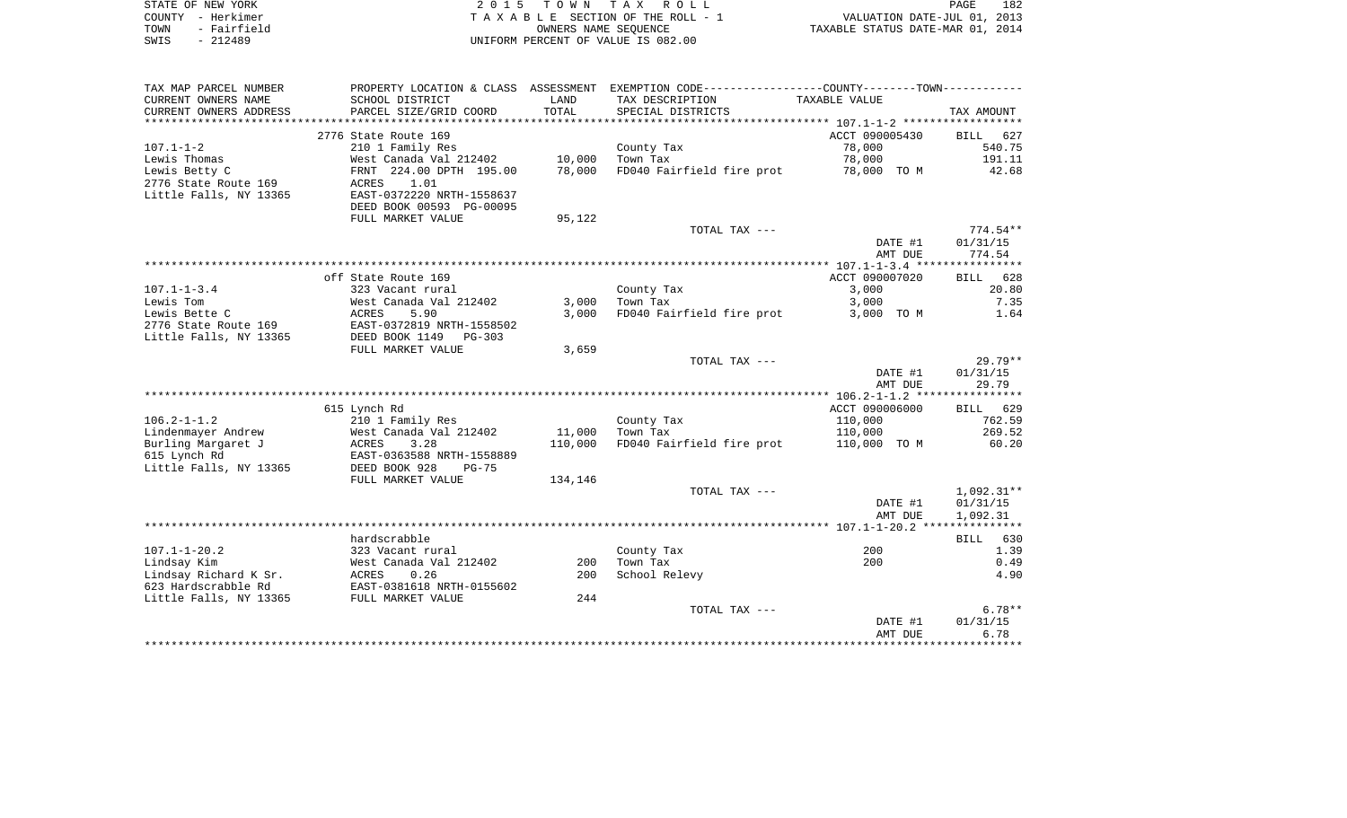| STATE OF NEW YORK   | 2015 TOWN TAX ROLL                 | 182<br>PAGE                      |
|---------------------|------------------------------------|----------------------------------|
| COUNTY – Herkimer   | TAXABLE SECTION OF THE ROLL - 1    | VALUATION DATE-JUL 01, 2013      |
| - Fairfield<br>TOWN | OWNERS NAME SEOUENCE               | TAXABLE STATUS DATE-MAR 01, 2014 |
| SWIS<br>- 212489    | UNIFORM PERCENT OF VALUE IS 082.00 |                                  |

| CURRENT OWNERS NAME<br>SCHOOL DISTRICT<br>LAND<br>TAX DESCRIPTION<br>TAXABLE VALUE<br>CURRENT OWNERS ADDRESS<br>TOTAL<br>PARCEL SIZE/GRID COORD<br>SPECIAL DISTRICTS<br>TAX AMOUNT<br>**************<br>ACCT 090005430<br>2776 State Route 169<br>627<br>BILL<br>78,000<br>210 1 Family Res<br>540.75<br>County Tax<br>191.11<br>West Canada Val 212402<br>10,000<br>Town Tax<br>78,000<br>FRNT 224.00 DPTH 195.00<br>78,000<br>FD040 Fairfield fire prot<br>78,000 TO M<br>42.68<br>ACRES<br>1.01<br>EAST-0372220 NRTH-1558637<br>DEED BOOK 00593 PG-00095<br>95,122<br>FULL MARKET VALUE<br>$774.54**$<br>TOTAL TAX ---<br>DATE #1<br>01/31/15<br>AMT DUE<br>774.54<br>ACCT 090007020<br>off State Route 169<br>628<br>BILL<br>323 Vacant rural<br>County Tax<br>3,000<br>20.80<br>Lewis Tom<br>West Canada Val 212402<br>3,000<br>Town Tax<br>3,000<br>7.35<br>FD040 Fairfield fire prot<br>1.64<br>Lewis Bette C<br>ACRES<br>5.90<br>3,000<br>3,000 TO M<br>2776 State Route 169<br>EAST-0372819 NRTH-1558502<br>Little Falls, NY 13365<br>DEED BOOK 1149<br>$PG-303$<br>FULL MARKET VALUE<br>3,659<br>$29.79**$<br>TOTAL TAX ---<br>01/31/15<br>DATE #1<br>AMT DUE<br>29.79<br>ACCT 090006000<br>629<br>615 Lynch Rd<br>BILL<br>$106.2 - 1 - 1.2$<br>210 1 Family Res<br>110,000<br>762.59<br>County Tax<br>269.52<br>Lindenmayer Andrew<br>West Canada Val 212402<br>11,000<br>110,000<br>Town Tax<br>Burling Margaret J<br>3.28<br>110,000<br>FD040 Fairfield fire prot<br>60.20<br>ACRES<br>110,000 TO M<br>615 Lynch Rd<br>EAST-0363588 NRTH-1558889<br>Little Falls, NY 13365<br>DEED BOOK 928<br>$PG-75$<br>FULL MARKET VALUE<br>134,146<br>$1,092.31**$<br>TOTAL TAX ---<br>01/31/15<br>DATE #1<br>AMT DUE<br>1,092.31<br>hardscrabble<br>BILL<br>630<br>$107.1 - 1 - 20.2$<br>1.39<br>323 Vacant rural<br>County Tax<br>200<br>Lindsay Kim<br>West Canada Val 212402<br>Town Tax<br>200<br>0.49<br>200<br>School Relevy<br>4.90<br>Lindsay Richard K Sr.<br>ACRES<br>0.26<br>200<br>623 Hardscrabble Rd<br>EAST-0381618 NRTH-0155602<br>Little Falls, NY 13365<br>FULL MARKET VALUE<br>244<br>$6.78**$<br>TOTAL TAX ---<br>DATE #1<br>01/31/15<br>6.78<br>AMT DUE<br>************************************ | TAX MAP PARCEL NUMBER  | PROPERTY LOCATION & CLASS | ASSESSMENT | EXEMPTION CODE-----------------COUNTY--------TOWN----------- |  |
|------------------------------------------------------------------------------------------------------------------------------------------------------------------------------------------------------------------------------------------------------------------------------------------------------------------------------------------------------------------------------------------------------------------------------------------------------------------------------------------------------------------------------------------------------------------------------------------------------------------------------------------------------------------------------------------------------------------------------------------------------------------------------------------------------------------------------------------------------------------------------------------------------------------------------------------------------------------------------------------------------------------------------------------------------------------------------------------------------------------------------------------------------------------------------------------------------------------------------------------------------------------------------------------------------------------------------------------------------------------------------------------------------------------------------------------------------------------------------------------------------------------------------------------------------------------------------------------------------------------------------------------------------------------------------------------------------------------------------------------------------------------------------------------------------------------------------------------------------------------------------------------------------------------------------------------------------------------------------------------------------------------------------------------------------------------------------------------------------------------------------------------------------------------------------------------------------------------------|------------------------|---------------------------|------------|--------------------------------------------------------------|--|
|                                                                                                                                                                                                                                                                                                                                                                                                                                                                                                                                                                                                                                                                                                                                                                                                                                                                                                                                                                                                                                                                                                                                                                                                                                                                                                                                                                                                                                                                                                                                                                                                                                                                                                                                                                                                                                                                                                                                                                                                                                                                                                                                                                                                                        |                        |                           |            |                                                              |  |
|                                                                                                                                                                                                                                                                                                                                                                                                                                                                                                                                                                                                                                                                                                                                                                                                                                                                                                                                                                                                                                                                                                                                                                                                                                                                                                                                                                                                                                                                                                                                                                                                                                                                                                                                                                                                                                                                                                                                                                                                                                                                                                                                                                                                                        |                        |                           |            |                                                              |  |
|                                                                                                                                                                                                                                                                                                                                                                                                                                                                                                                                                                                                                                                                                                                                                                                                                                                                                                                                                                                                                                                                                                                                                                                                                                                                                                                                                                                                                                                                                                                                                                                                                                                                                                                                                                                                                                                                                                                                                                                                                                                                                                                                                                                                                        |                        |                           |            |                                                              |  |
|                                                                                                                                                                                                                                                                                                                                                                                                                                                                                                                                                                                                                                                                                                                                                                                                                                                                                                                                                                                                                                                                                                                                                                                                                                                                                                                                                                                                                                                                                                                                                                                                                                                                                                                                                                                                                                                                                                                                                                                                                                                                                                                                                                                                                        |                        |                           |            |                                                              |  |
|                                                                                                                                                                                                                                                                                                                                                                                                                                                                                                                                                                                                                                                                                                                                                                                                                                                                                                                                                                                                                                                                                                                                                                                                                                                                                                                                                                                                                                                                                                                                                                                                                                                                                                                                                                                                                                                                                                                                                                                                                                                                                                                                                                                                                        | $107.1 - 1 - 2$        |                           |            |                                                              |  |
|                                                                                                                                                                                                                                                                                                                                                                                                                                                                                                                                                                                                                                                                                                                                                                                                                                                                                                                                                                                                                                                                                                                                                                                                                                                                                                                                                                                                                                                                                                                                                                                                                                                                                                                                                                                                                                                                                                                                                                                                                                                                                                                                                                                                                        | Lewis Thomas           |                           |            |                                                              |  |
|                                                                                                                                                                                                                                                                                                                                                                                                                                                                                                                                                                                                                                                                                                                                                                                                                                                                                                                                                                                                                                                                                                                                                                                                                                                                                                                                                                                                                                                                                                                                                                                                                                                                                                                                                                                                                                                                                                                                                                                                                                                                                                                                                                                                                        | Lewis Betty C          |                           |            |                                                              |  |
|                                                                                                                                                                                                                                                                                                                                                                                                                                                                                                                                                                                                                                                                                                                                                                                                                                                                                                                                                                                                                                                                                                                                                                                                                                                                                                                                                                                                                                                                                                                                                                                                                                                                                                                                                                                                                                                                                                                                                                                                                                                                                                                                                                                                                        | 2776 State Route 169   |                           |            |                                                              |  |
|                                                                                                                                                                                                                                                                                                                                                                                                                                                                                                                                                                                                                                                                                                                                                                                                                                                                                                                                                                                                                                                                                                                                                                                                                                                                                                                                                                                                                                                                                                                                                                                                                                                                                                                                                                                                                                                                                                                                                                                                                                                                                                                                                                                                                        | Little Falls, NY 13365 |                           |            |                                                              |  |
|                                                                                                                                                                                                                                                                                                                                                                                                                                                                                                                                                                                                                                                                                                                                                                                                                                                                                                                                                                                                                                                                                                                                                                                                                                                                                                                                                                                                                                                                                                                                                                                                                                                                                                                                                                                                                                                                                                                                                                                                                                                                                                                                                                                                                        |                        |                           |            |                                                              |  |
|                                                                                                                                                                                                                                                                                                                                                                                                                                                                                                                                                                                                                                                                                                                                                                                                                                                                                                                                                                                                                                                                                                                                                                                                                                                                                                                                                                                                                                                                                                                                                                                                                                                                                                                                                                                                                                                                                                                                                                                                                                                                                                                                                                                                                        |                        |                           |            |                                                              |  |
|                                                                                                                                                                                                                                                                                                                                                                                                                                                                                                                                                                                                                                                                                                                                                                                                                                                                                                                                                                                                                                                                                                                                                                                                                                                                                                                                                                                                                                                                                                                                                                                                                                                                                                                                                                                                                                                                                                                                                                                                                                                                                                                                                                                                                        |                        |                           |            |                                                              |  |
|                                                                                                                                                                                                                                                                                                                                                                                                                                                                                                                                                                                                                                                                                                                                                                                                                                                                                                                                                                                                                                                                                                                                                                                                                                                                                                                                                                                                                                                                                                                                                                                                                                                                                                                                                                                                                                                                                                                                                                                                                                                                                                                                                                                                                        |                        |                           |            |                                                              |  |
|                                                                                                                                                                                                                                                                                                                                                                                                                                                                                                                                                                                                                                                                                                                                                                                                                                                                                                                                                                                                                                                                                                                                                                                                                                                                                                                                                                                                                                                                                                                                                                                                                                                                                                                                                                                                                                                                                                                                                                                                                                                                                                                                                                                                                        |                        |                           |            |                                                              |  |
|                                                                                                                                                                                                                                                                                                                                                                                                                                                                                                                                                                                                                                                                                                                                                                                                                                                                                                                                                                                                                                                                                                                                                                                                                                                                                                                                                                                                                                                                                                                                                                                                                                                                                                                                                                                                                                                                                                                                                                                                                                                                                                                                                                                                                        |                        |                           |            |                                                              |  |
|                                                                                                                                                                                                                                                                                                                                                                                                                                                                                                                                                                                                                                                                                                                                                                                                                                                                                                                                                                                                                                                                                                                                                                                                                                                                                                                                                                                                                                                                                                                                                                                                                                                                                                                                                                                                                                                                                                                                                                                                                                                                                                                                                                                                                        |                        |                           |            |                                                              |  |
|                                                                                                                                                                                                                                                                                                                                                                                                                                                                                                                                                                                                                                                                                                                                                                                                                                                                                                                                                                                                                                                                                                                                                                                                                                                                                                                                                                                                                                                                                                                                                                                                                                                                                                                                                                                                                                                                                                                                                                                                                                                                                                                                                                                                                        | $107.1 - 1 - 3.4$      |                           |            |                                                              |  |
|                                                                                                                                                                                                                                                                                                                                                                                                                                                                                                                                                                                                                                                                                                                                                                                                                                                                                                                                                                                                                                                                                                                                                                                                                                                                                                                                                                                                                                                                                                                                                                                                                                                                                                                                                                                                                                                                                                                                                                                                                                                                                                                                                                                                                        |                        |                           |            |                                                              |  |
|                                                                                                                                                                                                                                                                                                                                                                                                                                                                                                                                                                                                                                                                                                                                                                                                                                                                                                                                                                                                                                                                                                                                                                                                                                                                                                                                                                                                                                                                                                                                                                                                                                                                                                                                                                                                                                                                                                                                                                                                                                                                                                                                                                                                                        |                        |                           |            |                                                              |  |
|                                                                                                                                                                                                                                                                                                                                                                                                                                                                                                                                                                                                                                                                                                                                                                                                                                                                                                                                                                                                                                                                                                                                                                                                                                                                                                                                                                                                                                                                                                                                                                                                                                                                                                                                                                                                                                                                                                                                                                                                                                                                                                                                                                                                                        |                        |                           |            |                                                              |  |
|                                                                                                                                                                                                                                                                                                                                                                                                                                                                                                                                                                                                                                                                                                                                                                                                                                                                                                                                                                                                                                                                                                                                                                                                                                                                                                                                                                                                                                                                                                                                                                                                                                                                                                                                                                                                                                                                                                                                                                                                                                                                                                                                                                                                                        |                        |                           |            |                                                              |  |
|                                                                                                                                                                                                                                                                                                                                                                                                                                                                                                                                                                                                                                                                                                                                                                                                                                                                                                                                                                                                                                                                                                                                                                                                                                                                                                                                                                                                                                                                                                                                                                                                                                                                                                                                                                                                                                                                                                                                                                                                                                                                                                                                                                                                                        |                        |                           |            |                                                              |  |
|                                                                                                                                                                                                                                                                                                                                                                                                                                                                                                                                                                                                                                                                                                                                                                                                                                                                                                                                                                                                                                                                                                                                                                                                                                                                                                                                                                                                                                                                                                                                                                                                                                                                                                                                                                                                                                                                                                                                                                                                                                                                                                                                                                                                                        |                        |                           |            |                                                              |  |
|                                                                                                                                                                                                                                                                                                                                                                                                                                                                                                                                                                                                                                                                                                                                                                                                                                                                                                                                                                                                                                                                                                                                                                                                                                                                                                                                                                                                                                                                                                                                                                                                                                                                                                                                                                                                                                                                                                                                                                                                                                                                                                                                                                                                                        |                        |                           |            |                                                              |  |
|                                                                                                                                                                                                                                                                                                                                                                                                                                                                                                                                                                                                                                                                                                                                                                                                                                                                                                                                                                                                                                                                                                                                                                                                                                                                                                                                                                                                                                                                                                                                                                                                                                                                                                                                                                                                                                                                                                                                                                                                                                                                                                                                                                                                                        |                        |                           |            |                                                              |  |
|                                                                                                                                                                                                                                                                                                                                                                                                                                                                                                                                                                                                                                                                                                                                                                                                                                                                                                                                                                                                                                                                                                                                                                                                                                                                                                                                                                                                                                                                                                                                                                                                                                                                                                                                                                                                                                                                                                                                                                                                                                                                                                                                                                                                                        |                        |                           |            |                                                              |  |
|                                                                                                                                                                                                                                                                                                                                                                                                                                                                                                                                                                                                                                                                                                                                                                                                                                                                                                                                                                                                                                                                                                                                                                                                                                                                                                                                                                                                                                                                                                                                                                                                                                                                                                                                                                                                                                                                                                                                                                                                                                                                                                                                                                                                                        |                        |                           |            |                                                              |  |
|                                                                                                                                                                                                                                                                                                                                                                                                                                                                                                                                                                                                                                                                                                                                                                                                                                                                                                                                                                                                                                                                                                                                                                                                                                                                                                                                                                                                                                                                                                                                                                                                                                                                                                                                                                                                                                                                                                                                                                                                                                                                                                                                                                                                                        |                        |                           |            |                                                              |  |
|                                                                                                                                                                                                                                                                                                                                                                                                                                                                                                                                                                                                                                                                                                                                                                                                                                                                                                                                                                                                                                                                                                                                                                                                                                                                                                                                                                                                                                                                                                                                                                                                                                                                                                                                                                                                                                                                                                                                                                                                                                                                                                                                                                                                                        |                        |                           |            |                                                              |  |
|                                                                                                                                                                                                                                                                                                                                                                                                                                                                                                                                                                                                                                                                                                                                                                                                                                                                                                                                                                                                                                                                                                                                                                                                                                                                                                                                                                                                                                                                                                                                                                                                                                                                                                                                                                                                                                                                                                                                                                                                                                                                                                                                                                                                                        |                        |                           |            |                                                              |  |
|                                                                                                                                                                                                                                                                                                                                                                                                                                                                                                                                                                                                                                                                                                                                                                                                                                                                                                                                                                                                                                                                                                                                                                                                                                                                                                                                                                                                                                                                                                                                                                                                                                                                                                                                                                                                                                                                                                                                                                                                                                                                                                                                                                                                                        |                        |                           |            |                                                              |  |
|                                                                                                                                                                                                                                                                                                                                                                                                                                                                                                                                                                                                                                                                                                                                                                                                                                                                                                                                                                                                                                                                                                                                                                                                                                                                                                                                                                                                                                                                                                                                                                                                                                                                                                                                                                                                                                                                                                                                                                                                                                                                                                                                                                                                                        |                        |                           |            |                                                              |  |
|                                                                                                                                                                                                                                                                                                                                                                                                                                                                                                                                                                                                                                                                                                                                                                                                                                                                                                                                                                                                                                                                                                                                                                                                                                                                                                                                                                                                                                                                                                                                                                                                                                                                                                                                                                                                                                                                                                                                                                                                                                                                                                                                                                                                                        |                        |                           |            |                                                              |  |
|                                                                                                                                                                                                                                                                                                                                                                                                                                                                                                                                                                                                                                                                                                                                                                                                                                                                                                                                                                                                                                                                                                                                                                                                                                                                                                                                                                                                                                                                                                                                                                                                                                                                                                                                                                                                                                                                                                                                                                                                                                                                                                                                                                                                                        |                        |                           |            |                                                              |  |
|                                                                                                                                                                                                                                                                                                                                                                                                                                                                                                                                                                                                                                                                                                                                                                                                                                                                                                                                                                                                                                                                                                                                                                                                                                                                                                                                                                                                                                                                                                                                                                                                                                                                                                                                                                                                                                                                                                                                                                                                                                                                                                                                                                                                                        |                        |                           |            |                                                              |  |
|                                                                                                                                                                                                                                                                                                                                                                                                                                                                                                                                                                                                                                                                                                                                                                                                                                                                                                                                                                                                                                                                                                                                                                                                                                                                                                                                                                                                                                                                                                                                                                                                                                                                                                                                                                                                                                                                                                                                                                                                                                                                                                                                                                                                                        |                        |                           |            |                                                              |  |
|                                                                                                                                                                                                                                                                                                                                                                                                                                                                                                                                                                                                                                                                                                                                                                                                                                                                                                                                                                                                                                                                                                                                                                                                                                                                                                                                                                                                                                                                                                                                                                                                                                                                                                                                                                                                                                                                                                                                                                                                                                                                                                                                                                                                                        |                        |                           |            |                                                              |  |
|                                                                                                                                                                                                                                                                                                                                                                                                                                                                                                                                                                                                                                                                                                                                                                                                                                                                                                                                                                                                                                                                                                                                                                                                                                                                                                                                                                                                                                                                                                                                                                                                                                                                                                                                                                                                                                                                                                                                                                                                                                                                                                                                                                                                                        |                        |                           |            |                                                              |  |
|                                                                                                                                                                                                                                                                                                                                                                                                                                                                                                                                                                                                                                                                                                                                                                                                                                                                                                                                                                                                                                                                                                                                                                                                                                                                                                                                                                                                                                                                                                                                                                                                                                                                                                                                                                                                                                                                                                                                                                                                                                                                                                                                                                                                                        |                        |                           |            |                                                              |  |
|                                                                                                                                                                                                                                                                                                                                                                                                                                                                                                                                                                                                                                                                                                                                                                                                                                                                                                                                                                                                                                                                                                                                                                                                                                                                                                                                                                                                                                                                                                                                                                                                                                                                                                                                                                                                                                                                                                                                                                                                                                                                                                                                                                                                                        |                        |                           |            |                                                              |  |
|                                                                                                                                                                                                                                                                                                                                                                                                                                                                                                                                                                                                                                                                                                                                                                                                                                                                                                                                                                                                                                                                                                                                                                                                                                                                                                                                                                                                                                                                                                                                                                                                                                                                                                                                                                                                                                                                                                                                                                                                                                                                                                                                                                                                                        |                        |                           |            |                                                              |  |
|                                                                                                                                                                                                                                                                                                                                                                                                                                                                                                                                                                                                                                                                                                                                                                                                                                                                                                                                                                                                                                                                                                                                                                                                                                                                                                                                                                                                                                                                                                                                                                                                                                                                                                                                                                                                                                                                                                                                                                                                                                                                                                                                                                                                                        |                        |                           |            |                                                              |  |
|                                                                                                                                                                                                                                                                                                                                                                                                                                                                                                                                                                                                                                                                                                                                                                                                                                                                                                                                                                                                                                                                                                                                                                                                                                                                                                                                                                                                                                                                                                                                                                                                                                                                                                                                                                                                                                                                                                                                                                                                                                                                                                                                                                                                                        |                        |                           |            |                                                              |  |
|                                                                                                                                                                                                                                                                                                                                                                                                                                                                                                                                                                                                                                                                                                                                                                                                                                                                                                                                                                                                                                                                                                                                                                                                                                                                                                                                                                                                                                                                                                                                                                                                                                                                                                                                                                                                                                                                                                                                                                                                                                                                                                                                                                                                                        |                        |                           |            |                                                              |  |
|                                                                                                                                                                                                                                                                                                                                                                                                                                                                                                                                                                                                                                                                                                                                                                                                                                                                                                                                                                                                                                                                                                                                                                                                                                                                                                                                                                                                                                                                                                                                                                                                                                                                                                                                                                                                                                                                                                                                                                                                                                                                                                                                                                                                                        |                        |                           |            |                                                              |  |
|                                                                                                                                                                                                                                                                                                                                                                                                                                                                                                                                                                                                                                                                                                                                                                                                                                                                                                                                                                                                                                                                                                                                                                                                                                                                                                                                                                                                                                                                                                                                                                                                                                                                                                                                                                                                                                                                                                                                                                                                                                                                                                                                                                                                                        |                        |                           |            |                                                              |  |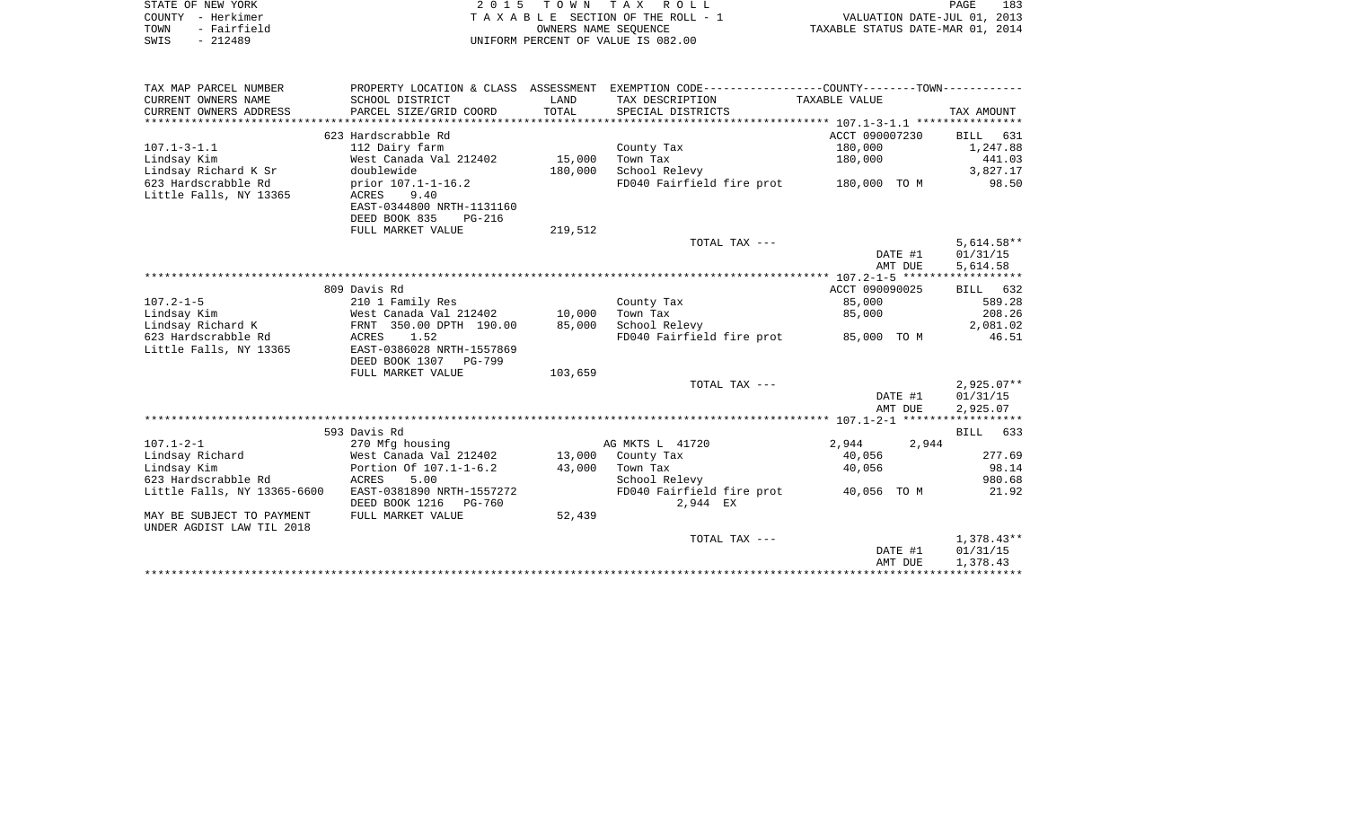| STATE OF NEW YORK   | 2015 TOWN TAX ROLL                 | 183<br>PAGE                      |
|---------------------|------------------------------------|----------------------------------|
| COUNTY - Herkimer   | TAXABLE SECTION OF THE ROLL - 1    | VALUATION DATE-JUL 01, 2013      |
| - Fairfield<br>TOWN | OWNERS NAME SEOUENCE               | TAXABLE STATUS DATE-MAR 01, 2014 |
| $-212489$<br>SWIS   | UNIFORM PERCENT OF VALUE IS 082.00 |                                  |

| TAX MAP PARCEL NUMBER       |                                |         | PROPERTY LOCATION & CLASS ASSESSMENT EXEMPTION CODE----------------COUNTY--------TOWN---------- |                |              |
|-----------------------------|--------------------------------|---------|-------------------------------------------------------------------------------------------------|----------------|--------------|
| CURRENT OWNERS NAME         | SCHOOL DISTRICT                | LAND    | TAX DESCRIPTION                                                                                 | TAXABLE VALUE  |              |
| CURRENT OWNERS ADDRESS      | PARCEL SIZE/GRID COORD         | TOTAL   | SPECIAL DISTRICTS                                                                               |                | TAX AMOUNT   |
|                             |                                |         |                                                                                                 |                |              |
|                             | 623 Hardscrabble Rd            |         |                                                                                                 | ACCT 090007230 | BILL 631     |
| $107.1 - 3 - 1.1$           | 112 Dairy farm                 |         | County Tax                                                                                      | 180,000        | 1,247.88     |
| Lindsay Kim                 | West Canada Val 212402         | 15,000  | Town Tax                                                                                        | 180,000        | 441.03       |
| Lindsay Richard K Sr        | doublewide                     | 180,000 | School Relevy                                                                                   |                | 3,827.17     |
| 623 Hardscrabble Rd         | prior 107.1-1-16.2             |         | FD040 Fairfield fire prot 180,000 TO M                                                          |                | 98.50        |
| Little Falls, NY 13365      | ACRES<br>9.40                  |         |                                                                                                 |                |              |
|                             | EAST-0344800 NRTH-1131160      |         |                                                                                                 |                |              |
|                             | DEED BOOK 835<br><b>PG-216</b> |         |                                                                                                 |                |              |
|                             | FULL MARKET VALUE              | 219,512 |                                                                                                 |                |              |
|                             |                                |         | TOTAL TAX ---                                                                                   |                | $5,614.58**$ |
|                             |                                |         |                                                                                                 | DATE #1        | 01/31/15     |
|                             |                                |         |                                                                                                 | AMT DUE        | 5,614.58     |
|                             |                                |         |                                                                                                 |                |              |
|                             | 809 Davis Rd                   |         |                                                                                                 | ACCT 090090025 | BILL 632     |
| $107.2 - 1 - 5$             | 210 1 Family Res               |         | County Tax                                                                                      | 85,000         | 589.28       |
| Lindsay Kim                 | West Canada Val 212402         | 10,000  | Town Tax                                                                                        | 85,000         | 208.26       |
| Lindsay Richard K           | FRNT 350.00 DPTH 190.00        | 85,000  | School Relevy                                                                                   |                | 2,081.02     |
| 623 Hardscrabble Rd         | 1.52<br>ACRES                  |         | FD040 Fairfield fire prot 85,000 TO M                                                           |                | 46.51        |
| Little Falls, NY 13365      | EAST-0386028 NRTH-1557869      |         |                                                                                                 |                |              |
|                             | DEED BOOK 1307 PG-799          |         |                                                                                                 |                |              |
|                             | FULL MARKET VALUE              | 103,659 |                                                                                                 |                |              |
|                             |                                |         | TOTAL TAX ---                                                                                   |                | $2,925.07**$ |
|                             |                                |         |                                                                                                 | DATE #1        | 01/31/15     |
|                             |                                |         |                                                                                                 | AMT DUE        | 2,925.07     |
|                             |                                |         |                                                                                                 |                |              |
|                             | 593 Davis Rd                   |         |                                                                                                 |                | BILL 633     |
| $107.1 - 2 - 1$             | 270 Mfg housing                |         | AG MKTS L 41720                                                                                 | 2,944<br>2,944 |              |
| Lindsay Richard             | West Canada Val 212402         |         | 13,000 County Tax                                                                               | 40,056         | 277.69       |
| Lindsay Kim                 | Portion Of 107.1-1-6.2         | 43,000  | Town Tax                                                                                        | 40,056         | 98.14        |
| 623 Hardscrabble Rd         | ACRES<br>5.00                  |         | School Relevy                                                                                   |                | 980.68       |
| Little Falls, NY 13365-6600 | EAST-0381890 NRTH-1557272      |         | FD040 Fairfield fire prot                                                                       | 40,056 TO M    | 21.92        |
|                             | DEED BOOK 1216 PG-760          |         | 2,944 EX                                                                                        |                |              |
| MAY BE SUBJECT TO PAYMENT   | FULL MARKET VALUE              | 52,439  |                                                                                                 |                |              |
| UNDER AGDIST LAW TIL 2018   |                                |         |                                                                                                 |                |              |
|                             |                                |         | TOTAL TAX ---                                                                                   |                | 1,378.43**   |
|                             |                                |         |                                                                                                 | DATE #1        | 01/31/15     |
|                             |                                |         |                                                                                                 | AMT DUE        | 1,378.43     |
|                             |                                |         |                                                                                                 |                |              |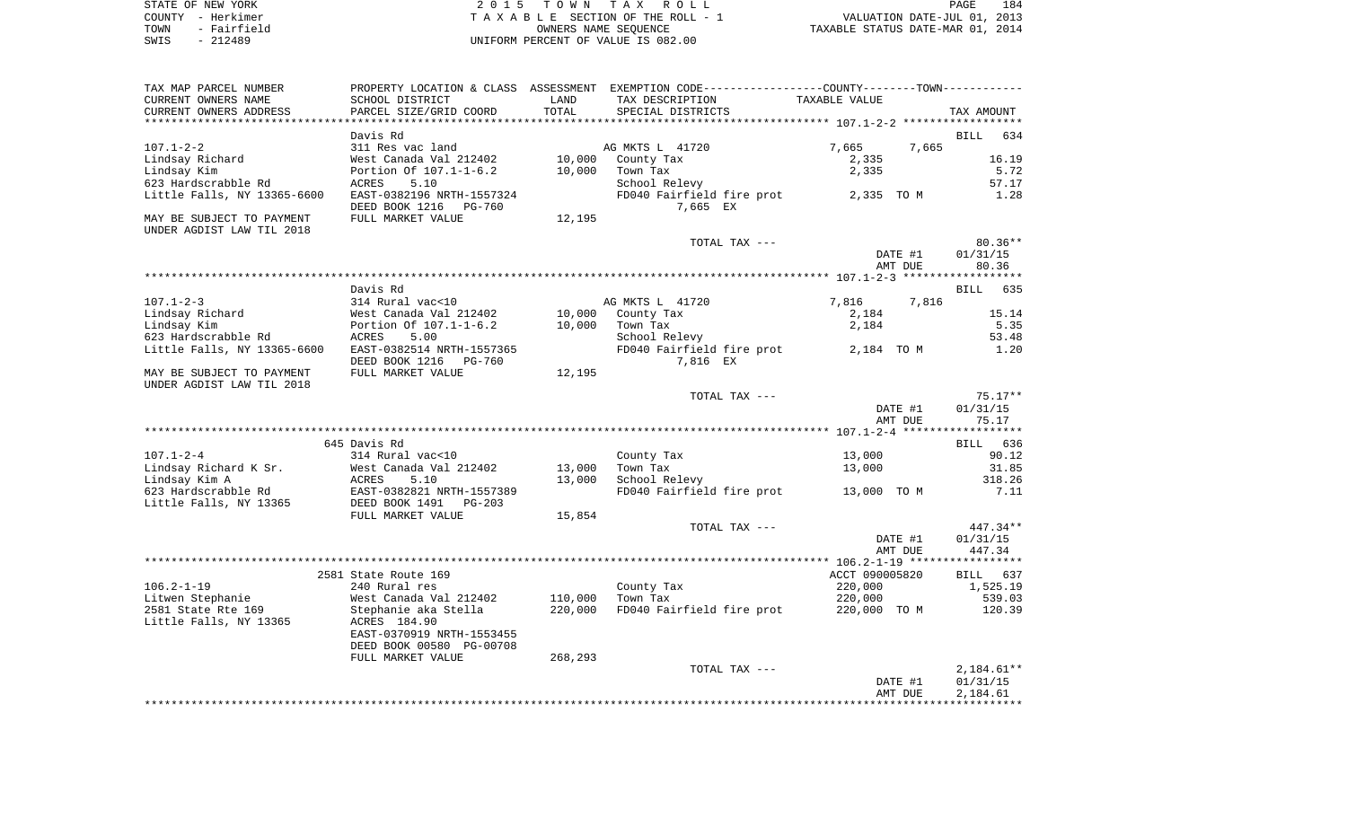| STATE OF NEW YORK   | 2015 TOWN TAX ROLL                 | 184<br>PAGE                      |
|---------------------|------------------------------------|----------------------------------|
| COUNTY - Herkimer   | TAXABLE SECTION OF THE ROLL - 1    | VALUATION DATE-JUL 01, 2013      |
| - Fairfield<br>TOWN | OWNERS NAME SEOUENCE               | TAXABLE STATUS DATE-MAR 01, 2014 |
| - 212489<br>SWIS    | UNIFORM PERCENT OF VALUE IS 082.00 |                                  |

| TAX MAP PARCEL NUMBER                                  |                                                       |         | PROPERTY LOCATION & CLASS ASSESSMENT EXEMPTION CODE----------------COUNTY--------TOWN---------- |                |                    |
|--------------------------------------------------------|-------------------------------------------------------|---------|-------------------------------------------------------------------------------------------------|----------------|--------------------|
| CURRENT OWNERS NAME                                    | SCHOOL DISTRICT                                       | LAND    | TAX DESCRIPTION                                                                                 | TAXABLE VALUE  |                    |
| CURRENT OWNERS ADDRESS                                 | PARCEL SIZE/GRID COORD                                | TOTAL   | SPECIAL DISTRICTS                                                                               |                | TAX AMOUNT         |
|                                                        |                                                       |         |                                                                                                 |                |                    |
|                                                        | Davis Rd                                              |         |                                                                                                 |                | <b>BILL</b><br>634 |
| $107.1 - 2 - 2$                                        | 311 Res vac land                                      |         | AG MKTS L 41720                                                                                 | 7,665<br>7,665 |                    |
| Lindsay Richard                                        | West Canada Val 212402                                | 10,000  | County Tax                                                                                      | 2,335          | 16.19              |
| Lindsay Kim                                            | Portion Of 107.1-1-6.2                                | 10,000  | Town Tax                                                                                        | 2,335          | 5.72               |
| 623 Hardscrabble Rd                                    | ACRES<br>5.10                                         |         | School Relevy                                                                                   |                | 57.17              |
| Little Falls, NY 13365-6600                            | EAST-0382196 NRTH-1557324<br>DEED BOOK 1216<br>PG-760 |         | FD040 Fairfield fire prot<br>7,665 EX                                                           | 2,335 TO M     | 1.28               |
| MAY BE SUBJECT TO PAYMENT<br>UNDER AGDIST LAW TIL 2018 | FULL MARKET VALUE                                     | 12,195  |                                                                                                 |                |                    |
|                                                        |                                                       |         | TOTAL TAX ---                                                                                   |                | $80.36**$          |
|                                                        |                                                       |         |                                                                                                 | DATE #1        | 01/31/15           |
|                                                        |                                                       |         |                                                                                                 | AMT DUE        | 80.36              |
|                                                        |                                                       |         |                                                                                                 |                |                    |
|                                                        | Davis Rd                                              |         |                                                                                                 |                | <b>BILL</b><br>635 |
| $107.1 - 2 - 3$                                        | 314 Rural vac<10                                      |         | AG MKTS L 41720                                                                                 | 7,816<br>7,816 |                    |
| Lindsay Richard                                        | West Canada Val 212402                                | 10,000  | County Tax                                                                                      | 2,184          | 15.14              |
| Lindsay Kim                                            | Portion Of 107.1-1-6.2                                | 10,000  | Town Tax                                                                                        | 2,184          | 5.35               |
| 623 Hardscrabble Rd                                    | 5.00<br>ACRES<br>EAST-0382514 NRTH-1557365            |         | School Relevy                                                                                   | 2,184 TO M     | 53.48<br>1.20      |
| Little Falls, NY 13365-6600                            | DEED BOOK 1216<br>PG-760                              |         | FD040 Fairfield fire prot<br>7,816 EX                                                           |                |                    |
| MAY BE SUBJECT TO PAYMENT                              | FULL MARKET VALUE                                     | 12,195  |                                                                                                 |                |                    |
| UNDER AGDIST LAW TIL 2018                              |                                                       |         |                                                                                                 |                |                    |
|                                                        |                                                       |         | TOTAL TAX ---                                                                                   |                | $75.17**$          |
|                                                        |                                                       |         |                                                                                                 | DATE #1        | 01/31/15           |
|                                                        |                                                       |         |                                                                                                 | AMT DUE        | 75.17              |
|                                                        |                                                       |         |                                                                                                 |                |                    |
|                                                        | 645 Davis Rd                                          |         |                                                                                                 |                | BILL 636           |
| $107.1 - 2 - 4$                                        | 314 Rural vac<10                                      |         | County Tax                                                                                      | 13,000         | 90.12              |
| Lindsay Richard K Sr.                                  | West Canada Val 212402                                | 13,000  | Town Tax                                                                                        | 13,000         | 31.85              |
| Lindsay Kim A                                          | ACRES<br>5.10                                         | 13,000  | School Relevy                                                                                   |                | 318.26             |
| 623 Hardscrabble Rd                                    | EAST-0382821 NRTH-1557389<br>DEED BOOK 1491 PG-203    |         | FD040 Fairfield fire prot 13,000 TO M                                                           |                | 7.11               |
| Little Falls, NY 13365                                 |                                                       |         |                                                                                                 |                |                    |
|                                                        | FULL MARKET VALUE                                     | 15,854  |                                                                                                 |                |                    |
|                                                        |                                                       |         | TOTAL TAX ---                                                                                   |                | 447.34**           |
|                                                        |                                                       |         |                                                                                                 | DATE #1        | 01/31/15           |
|                                                        |                                                       |         |                                                                                                 | AMT DUE        | 447.34             |
|                                                        |                                                       |         |                                                                                                 |                |                    |
|                                                        | 2581 State Route 169                                  |         |                                                                                                 | ACCT 090005820 | BILL 637           |
| $106.2 - 1 - 19$                                       | 240 Rural res                                         |         | County Tax                                                                                      | 220,000        | 1,525.19           |
| Litwen Stephanie                                       | West Canada Val 212402                                | 110,000 | Town Tax                                                                                        | 220,000        | 539.03             |
| 2581 State Rte 169                                     | Stephanie aka Stella                                  | 220,000 | FD040 Fairfield fire prot                                                                       | 220,000 TO M   | 120.39             |
| Little Falls, NY 13365                                 | ACRES 184.90<br>EAST-0370919 NRTH-1553455             |         |                                                                                                 |                |                    |
|                                                        | DEED BOOK 00580 PG-00708                              |         |                                                                                                 |                |                    |
|                                                        | FULL MARKET VALUE                                     | 268,293 |                                                                                                 |                |                    |
|                                                        |                                                       |         | TOTAL TAX ---                                                                                   |                | $2,184.61**$       |
|                                                        |                                                       |         |                                                                                                 | DATE #1        | 01/31/15           |
|                                                        |                                                       |         |                                                                                                 | AMT DUE        | 2,184.61           |
|                                                        |                                                       |         |                                                                                                 |                |                    |
|                                                        |                                                       |         |                                                                                                 |                |                    |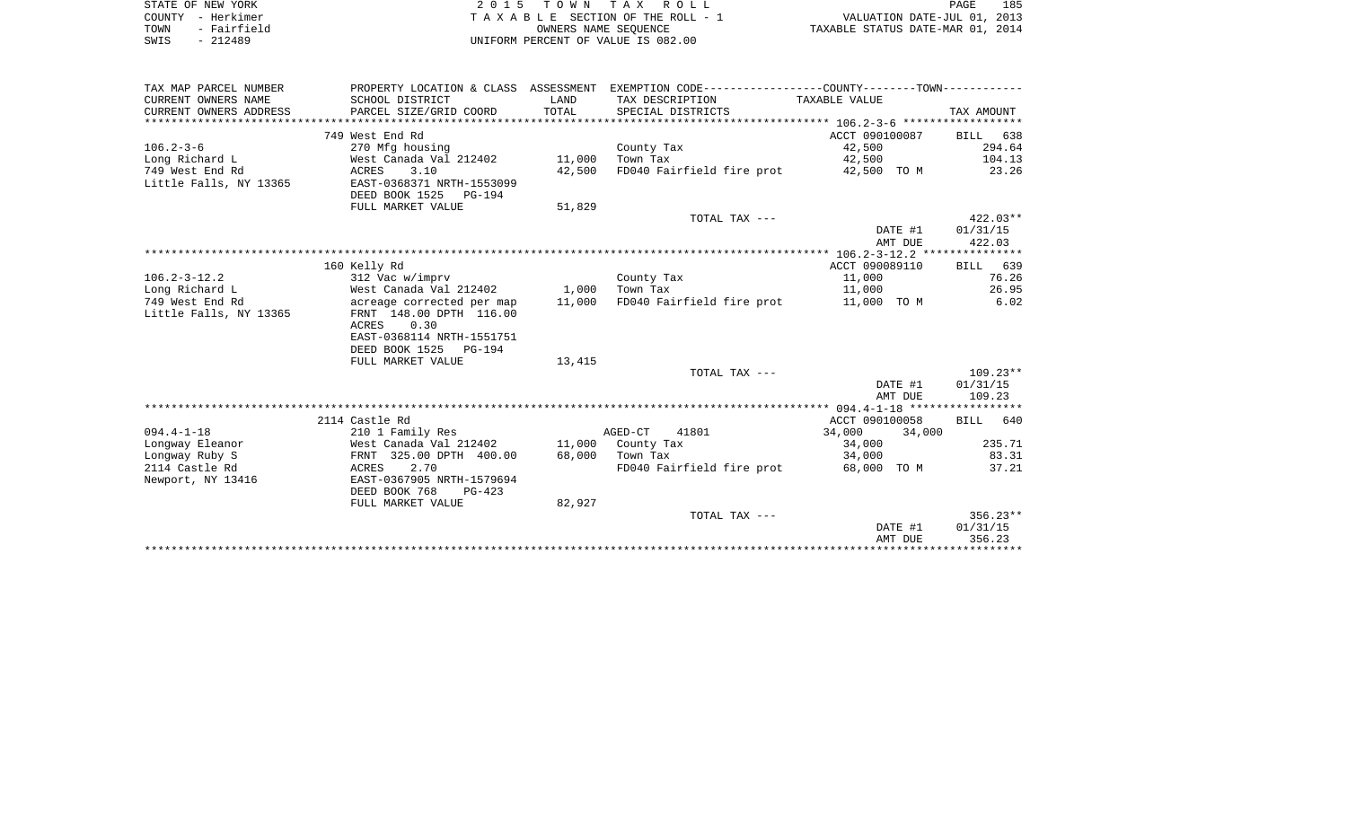| STATE OF NEW YORK     | 2015 TOWN TAX ROLL                 | 185<br>PAGE                      |
|-----------------------|------------------------------------|----------------------------------|
| COUNTY - Herkimer     | TAXABLE SECTION OF THE ROLL - 1    | VALUATION DATE-JUL 01, 2013      |
| - Fairfield<br>TOWN   | OWNERS NAME SEOUENCE               | TAXABLE STATUS DATE-MAR 01, 2014 |
| 212489<br>SWIS<br>$-$ | UNIFORM PERCENT OF VALUE IS 082.00 |                                  |

| TAX MAP PARCEL NUMBER  | PROPERTY LOCATION & CLASS ASSESSMENT |        | EXEMPTION CODE-----------------COUNTY-------TOWN----------- |                  |                 |
|------------------------|--------------------------------------|--------|-------------------------------------------------------------|------------------|-----------------|
| CURRENT OWNERS NAME    | SCHOOL DISTRICT                      | LAND   | TAX DESCRIPTION TAXABLE VALUE                               |                  |                 |
| CURRENT OWNERS ADDRESS | PARCEL SIZE/GRID COORD               | TOTAL  | SPECIAL DISTRICTS                                           |                  | TAX AMOUNT      |
|                        |                                      |        |                                                             |                  |                 |
|                        | 749 West End Rd                      |        |                                                             | ACCT 090100087   | BILL 638        |
| $106.2 - 3 - 6$        | 270 Mfg housing                      |        | County Tax                                                  | 42,500           | 294.64          |
| Long Richard L         | West Canada Val 212402               | 11,000 | Town Tax                                                    | 42,500           | 104.13          |
| 749 West End Rd        | ACRES<br>3.10                        | 42,500 | FD040 Fairfield fire prot                                   | 42,500 TO M      | 23.26           |
| Little Falls, NY 13365 | EAST-0368371 NRTH-1553099            |        |                                                             |                  |                 |
|                        | DEED BOOK 1525 PG-194                |        |                                                             |                  |                 |
|                        | FULL MARKET VALUE                    | 51,829 |                                                             |                  |                 |
|                        |                                      |        | TOTAL TAX ---                                               |                  | $422.03**$      |
|                        |                                      |        |                                                             | DATE #1          | 01/31/15        |
|                        |                                      |        |                                                             | AMT DUE          | 422.03          |
|                        |                                      |        |                                                             |                  |                 |
|                        | 160 Kelly Rd                         |        |                                                             | ACCT 090089110   | <b>BILL</b> 639 |
| $106.2 - 3 - 12.2$     | 312 Vac w/imprv                      |        | County Tax                                                  | 11,000           | 76.26           |
| Long Richard L         | West Canada Val 212402 1,000         |        | Town Tax                                                    | 11,000           | 26.95           |
| 749 West End Rd        | acreage corrected per map 11,000     |        | FD040 Fairfield fire prot 11,000 TO M                       |                  | 6.02            |
| Little Falls, NY 13365 | FRNT 148.00 DPTH 116.00              |        |                                                             |                  |                 |
|                        | ACRES<br>0.30                        |        |                                                             |                  |                 |
|                        | EAST-0368114 NRTH-1551751            |        |                                                             |                  |                 |
|                        | DEED BOOK 1525 PG-194                |        |                                                             |                  |                 |
|                        | FULL MARKET VALUE                    | 13,415 |                                                             |                  |                 |
|                        |                                      |        | TOTAL TAX ---                                               |                  | $109.23**$      |
|                        |                                      |        |                                                             | DATE #1          | 01/31/15        |
|                        |                                      |        |                                                             | AMT DUE          | 109.23          |
|                        |                                      |        |                                                             |                  |                 |
|                        | 2114 Castle Rd                       |        |                                                             | ACCT 090100058   | BILL 640        |
| $094.4 - 1 - 18$       | 210 1 Family Res                     |        | AGED-CT<br>41801                                            | 34,000<br>34,000 |                 |
| Lonqway Eleanor        | West Canada Val 212402               |        | 11,000 County Tax                                           | 34,000           | 235.71          |
| Longway Ruby S         | FRNT 325.00 DPTH 400.00              | 68,000 | Town Tax                                                    | 34,000           | 83.31           |
| 2114 Castle Rd         | ACRES 2.70                           |        | FD040 Fairfield fire prot 68,000 TO M                       |                  | 37.21           |
| Newport, NY 13416      | EAST-0367905 NRTH-1579694            |        |                                                             |                  |                 |
|                        | DEED BOOK 768<br>$PG-423$            |        |                                                             |                  |                 |
|                        | FULL MARKET VALUE                    | 82,927 |                                                             |                  |                 |
|                        |                                      |        | TOTAL TAX ---                                               |                  | $356.23**$      |
|                        |                                      |        |                                                             | DATE #1          | 01/31/15        |
|                        |                                      |        |                                                             | AMT DUE          | 356.23          |
|                        |                                      |        |                                                             |                  |                 |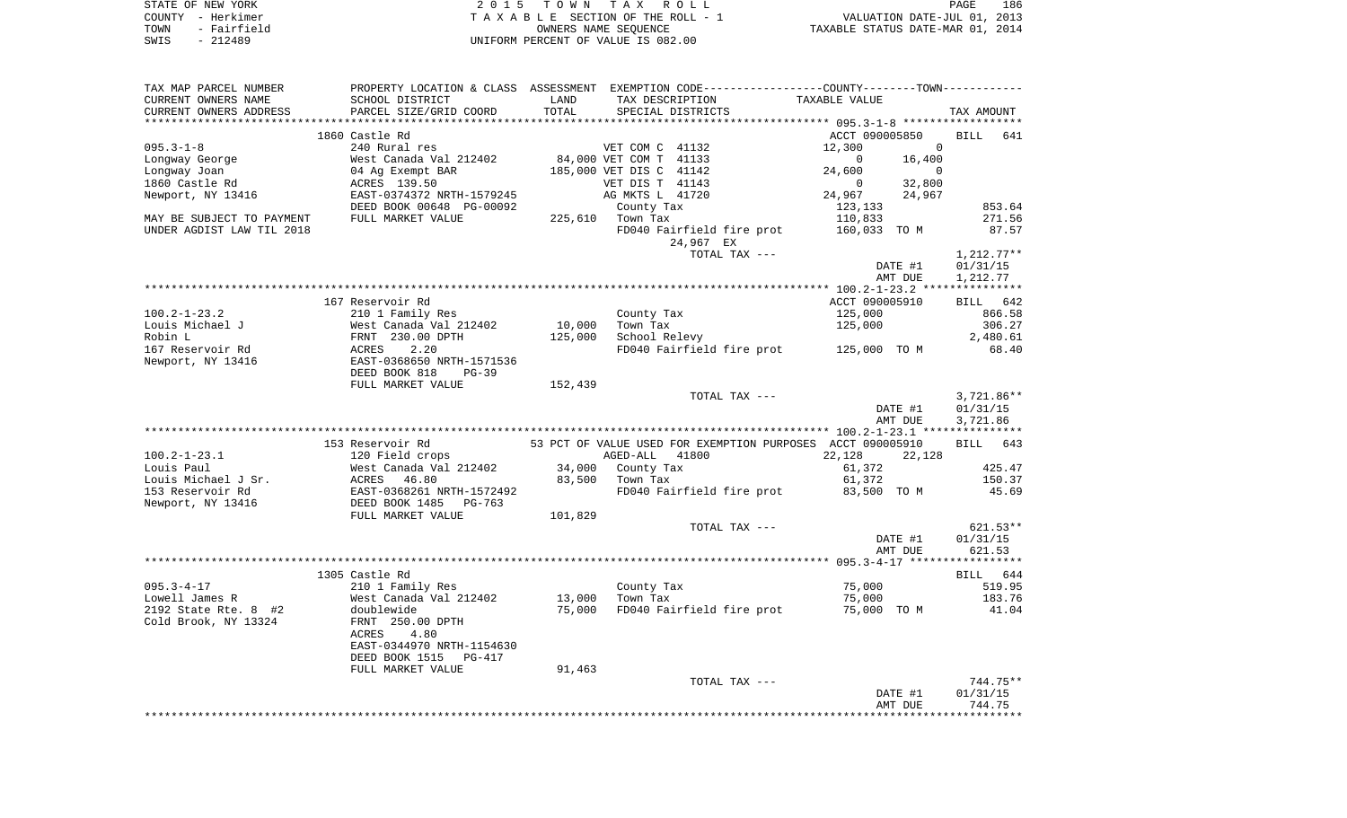| STATE OF NEW YORK   | 2015 TOWN TAX ROLL                 |                                  | PAGE                        | 186 |
|---------------------|------------------------------------|----------------------------------|-----------------------------|-----|
| COUNTY - Herkimer   | TAXABLE SECTION OF THE ROLL - 1    |                                  | VALUATION DATE-JUL 01, 2013 |     |
| - Fairfield<br>TOWN | OWNERS NAME SEOUENCE               | TAXABLE STATUS DATE-MAR 01, 2014 |                             |     |
| - 212489<br>SWIS    | UNIFORM PERCENT OF VALUE IS 082.00 |                                  |                             |     |

| TAX MAP PARCEL NUMBER     |                                                                   |         | PROPERTY LOCATION & CLASS ASSESSMENT EXEMPTION CODE-----------------COUNTY-------TOWN----------- |                          |                    |
|---------------------------|-------------------------------------------------------------------|---------|--------------------------------------------------------------------------------------------------|--------------------------|--------------------|
| CURRENT OWNERS NAME       | SCHOOL DISTRICT                                                   | LAND    | TAX DESCRIPTION                                                                                  | TAXABLE VALUE            |                    |
| CURRENT OWNERS ADDRESS    | PARCEL SIZE/GRID COORD                                            | TOTAL   | SPECIAL DISTRICTS                                                                                |                          | TAX AMOUNT         |
|                           |                                                                   |         |                                                                                                  |                          |                    |
|                           | 1860 Castle Rd                                                    |         |                                                                                                  | ACCT 090005850           | BILL 641           |
| $095.3 - 1 - 8$           | 240 Rural res                                                     |         | VET COM C 41132                                                                                  | 12,300<br>$\sim$ 0       |                    |
| Longway George            | West Canada Val 212402                                            |         | 84,000 VET COM T 41133                                                                           | 16,400<br>$\Omega$       |                    |
| Longway Joan              | 04 Ag Exempt BAR                                                  |         | 185,000 VET DIS C 41142                                                                          | 24,600<br>$\overline{0}$ |                    |
| 1860 Castle Rd            | ACRES 139.50                                                      |         | VET DIS T 41143                                                                                  | 32,800<br>$\Omega$       |                    |
| Newport, NY 13416         | EAST-0374372 NRTH-1579245                                         |         | AG MKTS L 41720                                                                                  | 24,967<br>24,967         |                    |
|                           | DEED BOOK 00648 PG-00092                                          |         | County Tax                                                                                       | 123,133                  | 853.64             |
| MAY BE SUBJECT TO PAYMENT | FULL MARKET VALUE                                                 |         | 225,610 Town Tax                                                                                 | 110,833                  | 271.56             |
| UNDER AGDIST LAW TIL 2018 |                                                                   |         | FD040 Fairfield fire prot                                                                        | 160,033 TO M             | 87.57              |
|                           |                                                                   |         | 24,967 EX                                                                                        |                          |                    |
|                           |                                                                   |         | TOTAL TAX ---                                                                                    |                          | $1,212.77**$       |
|                           |                                                                   |         |                                                                                                  | DATE #1                  | 01/31/15           |
|                           |                                                                   |         |                                                                                                  | AMT DUE                  | 1,212.77           |
|                           |                                                                   |         |                                                                                                  |                          |                    |
|                           | 167 Reservoir Rd                                                  |         |                                                                                                  | ACCT 090005910           | BILL 642           |
| $100.2 - 1 - 23.2$        | 210 1 Family Res                                                  |         | County Tax                                                                                       | 125,000                  | 866.58             |
| Louis Michael J           | West Canada Val 212402<br>West Canada Val 21<br>FRNT  230.00 DPTH | 10,000  | Town Tax                                                                                         | 125,000                  | 306.27             |
| Robin L                   |                                                                   | 125,000 | School Relevy                                                                                    |                          | 2,480.61           |
| 167 Reservoir Rd          | <b>ACRES</b><br>2.20                                              |         | FD040 Fairfield fire prot 125,000 TO M                                                           |                          | 68.40              |
| Newport, NY 13416         | EAST-0368650 NRTH-1571536                                         |         |                                                                                                  |                          |                    |
|                           | DEED BOOK 818<br>$PG-39$                                          |         |                                                                                                  |                          |                    |
|                           | FULL MARKET VALUE                                                 | 152,439 |                                                                                                  |                          |                    |
|                           |                                                                   |         | TOTAL TAX ---                                                                                    |                          | $3,721.86**$       |
|                           |                                                                   |         |                                                                                                  | DATE #1                  | 01/31/15           |
|                           |                                                                   |         |                                                                                                  | AMT DUE                  | 3,721.86           |
|                           |                                                                   |         |                                                                                                  |                          |                    |
|                           | 153 Reservoir Rd                                                  |         | 53 PCT OF VALUE USED FOR EXEMPTION PURPOSES ACCT 090005910                                       |                          | BILL 643           |
| $100.2 - 1 - 23.1$        | 120 Field crops                                                   |         | AGED-ALL<br>41800                                                                                | 22,128<br>22,128         |                    |
| Louis Paul                | West Canada Val 212402                                            |         | 34,000 County Tax                                                                                | 61,372                   | 425.47             |
| Louis Michael J Sr.       |                                                                   |         | 83,500 Town Tax                                                                                  | 61,372                   | 150.37             |
| 153 Reservoir Rd          | ACRES 46.80<br>EAST-0368261 NRTH-1572492<br>DEED BOOK 1485 PG-763 |         | FD040 Fairfield fire prot                                                                        | 83,500 TO M              | 45.69              |
| Newport, NY 13416         |                                                                   |         |                                                                                                  |                          |                    |
|                           | FULL MARKET VALUE                                                 | 101,829 |                                                                                                  |                          |                    |
|                           |                                                                   |         | TOTAL TAX ---                                                                                    |                          | $621.53**$         |
|                           |                                                                   |         |                                                                                                  | DATE #1<br>AMT DUE       | 01/31/15<br>621.53 |
|                           |                                                                   |         |                                                                                                  |                          |                    |
|                           | 1305 Castle Rd                                                    |         |                                                                                                  |                          | BILL 644           |
| $095.3 - 4 - 17$          | 210 1 Family Res                                                  |         | County Tax                                                                                       | 75,000                   | 519.95             |
| Lowell James R            | West Canada Val 212402                                            | 13,000  | Town Tax                                                                                         | 75,000                   | 183.76             |
| 2192 State Rte. 8 #2      | doublewide                                                        | 75,000  | FD040 Fairfield fire prot                                                                        | 75,000 TO M              | 41.04              |
| Cold Brook, NY 13324      | FRNT 250.00 DPTH                                                  |         |                                                                                                  |                          |                    |
|                           | ACRES<br>4.80                                                     |         |                                                                                                  |                          |                    |
|                           | EAST-0344970 NRTH-1154630                                         |         |                                                                                                  |                          |                    |
|                           | DEED BOOK 1515<br>PG-417                                          |         |                                                                                                  |                          |                    |
|                           | FULL MARKET VALUE                                                 | 91,463  |                                                                                                  |                          |                    |
|                           |                                                                   |         | TOTAL TAX ---                                                                                    |                          | 744.75**           |
|                           |                                                                   |         |                                                                                                  | DATE #1                  | 01/31/15           |
|                           |                                                                   |         |                                                                                                  | AMT DUE                  | 744.75             |
|                           |                                                                   |         |                                                                                                  |                          |                    |
|                           |                                                                   |         |                                                                                                  |                          |                    |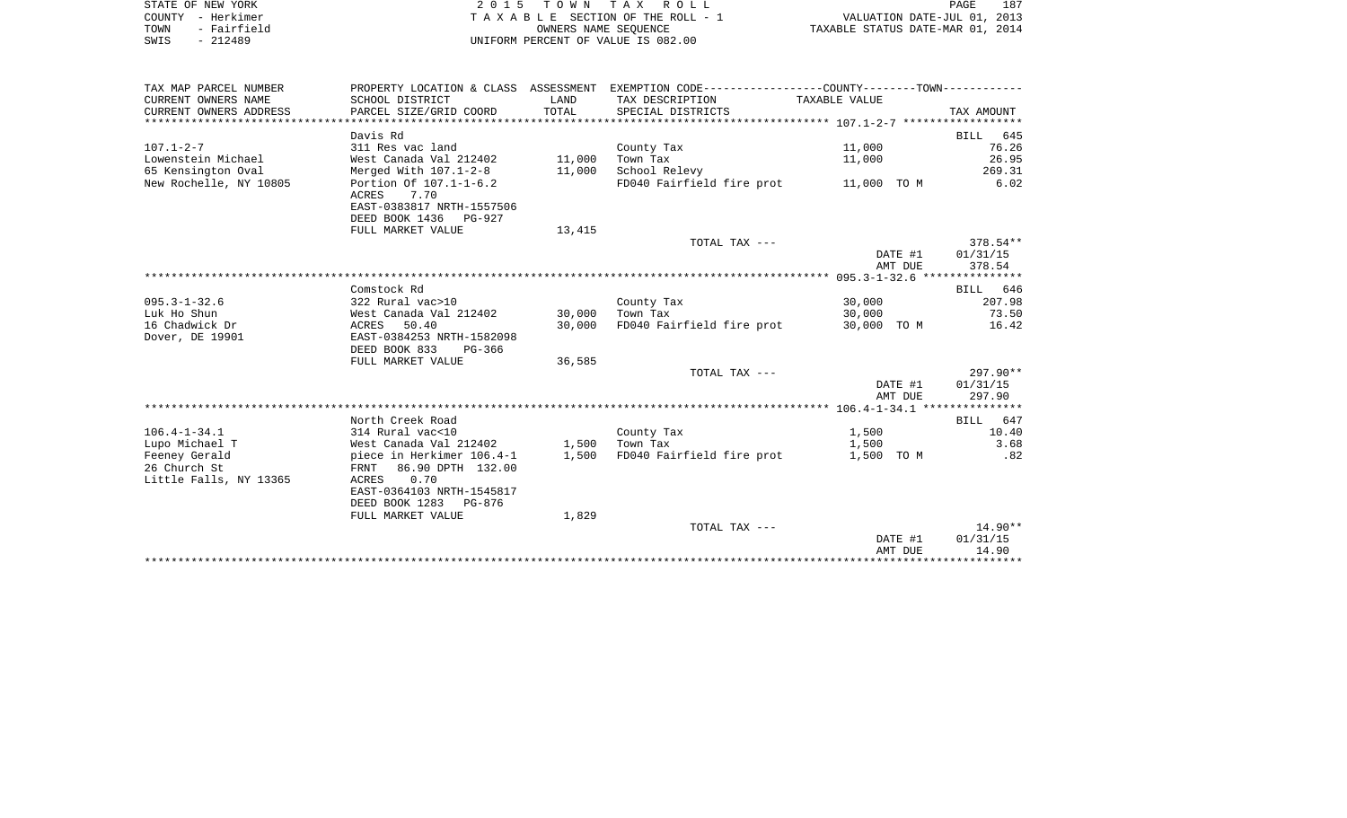|      | STATE OF NEW YORK | 2015 TOWN TAX ROLL                 | 187<br>PAGE                      |
|------|-------------------|------------------------------------|----------------------------------|
|      | COUNTY - Herkimer | TAXABLE SECTION OF THE ROLL - 1    | VALUATION DATE-JUL 01, 2013      |
| TOWN | - Fairfield       | OWNERS NAME SEOUENCE               | TAXABLE STATUS DATE-MAR 01, 2014 |
| SWIS | - 212489          | UNIFORM PERCENT OF VALUE IS 082.00 |                                  |

| TAX MAP PARCEL NUMBER  |                                       |        | PROPERTY LOCATION & CLASS ASSESSMENT EXEMPTION CODE---------------COUNTY-------TOWN---------- |             |            |
|------------------------|---------------------------------------|--------|-----------------------------------------------------------------------------------------------|-------------|------------|
| CURRENT OWNERS NAME    | SCHOOL DISTRICT                       | LAND   | TAX DESCRIPTION TAXABLE VALUE                                                                 |             |            |
| CURRENT OWNERS ADDRESS | PARCEL SIZE/GRID COORD                | TOTAL  | SPECIAL DISTRICTS                                                                             |             | TAX AMOUNT |
|                        |                                       |        |                                                                                               |             |            |
|                        | Davis Rd                              |        |                                                                                               |             | BILL 645   |
| $107.1 - 2 - 7$        | 311 Res vac land                      |        | County Tax                                                                                    | 11,000      | 76.26      |
| Lowenstein Michael     | West Canada Val 212402 11,000         |        | Town Tax                                                                                      | 11,000      | 26.95      |
| 65 Kensington Oval     | Merged With 107.1-2-8 11,000          |        | School Relevy                                                                                 |             | 269.31     |
| New Rochelle, NY 10805 | Portion Of 107.1-1-6.2                |        | FD040 Fairfield fire prot 11,000 TO M                                                         |             | 6.02       |
|                        | ACRES<br>7.70                         |        |                                                                                               |             |            |
|                        | EAST-0383817 NRTH-1557506             |        |                                                                                               |             |            |
|                        | DEED BOOK 1436 PG-927                 |        |                                                                                               |             |            |
|                        | FULL MARKET VALUE                     | 13,415 |                                                                                               |             |            |
|                        |                                       |        | TOTAL TAX ---                                                                                 |             | 378.54**   |
|                        |                                       |        |                                                                                               | DATE #1     | 01/31/15   |
|                        |                                       |        |                                                                                               | AMT DUE     | 378.54     |
|                        |                                       |        |                                                                                               |             |            |
|                        | Comstock Rd                           |        |                                                                                               |             | BILL 646   |
| $095.3 - 1 - 32.6$     | 322 Rural vac>10                      |        | County Tax                                                                                    | 30,000      | 207.98     |
| Luk Ho Shun            | West Canada Val 212402                | 30,000 | Town Tax                                                                                      | 30,000      | 73.50      |
| 16 Chadwick Dr         | ACRES 50.40                           | 30,000 | FD040 Fairfield fire prot                                                                     | 30,000 TO M | 16.42      |
| Dover, DE 19901        | EAST-0384253 NRTH-1582098             |        |                                                                                               |             |            |
|                        | DEED BOOK 833<br>PG-366               |        |                                                                                               |             |            |
|                        | FULL MARKET VALUE                     | 36,585 |                                                                                               |             |            |
|                        |                                       |        | TOTAL TAX ---                                                                                 |             | 297.90**   |
|                        |                                       |        |                                                                                               | DATE #1     | 01/31/15   |
|                        |                                       |        |                                                                                               | AMT DUE     | 297.90     |
|                        |                                       |        |                                                                                               |             |            |
|                        | North Creek Road                      |        |                                                                                               |             | BILL 647   |
| $106.4 - 1 - 34.1$     | 314 Rural vac<10                      |        | County Tax                                                                                    | 1,500       | 10.40      |
| Lupo Michael T         | West Canada Val 212402 1.500 Town Tax |        |                                                                                               | 1,500       | 3.68       |
| Feeney Gerald          | piece in Herkimer 106.4-1             | 1,500  | FD040 Fairfield fire prot                                                                     | 1,500 TO M  | .82        |
| 26 Church St           | FRNT 86.90 DPTH 132.00                |        |                                                                                               |             |            |
| Little Falls, NY 13365 | 0.70<br>ACRES                         |        |                                                                                               |             |            |
|                        | EAST-0364103 NRTH-1545817             |        |                                                                                               |             |            |
|                        | DEED BOOK 1283 PG-876                 |        |                                                                                               |             |            |
|                        | FULL MARKET VALUE                     | 1,829  |                                                                                               |             |            |
|                        |                                       |        | TOTAL TAX ---                                                                                 |             | 14.90**    |
|                        |                                       |        |                                                                                               | DATE #1     | 01/31/15   |
|                        |                                       |        |                                                                                               | AMT DUE     | 14.90      |
|                        |                                       |        |                                                                                               |             |            |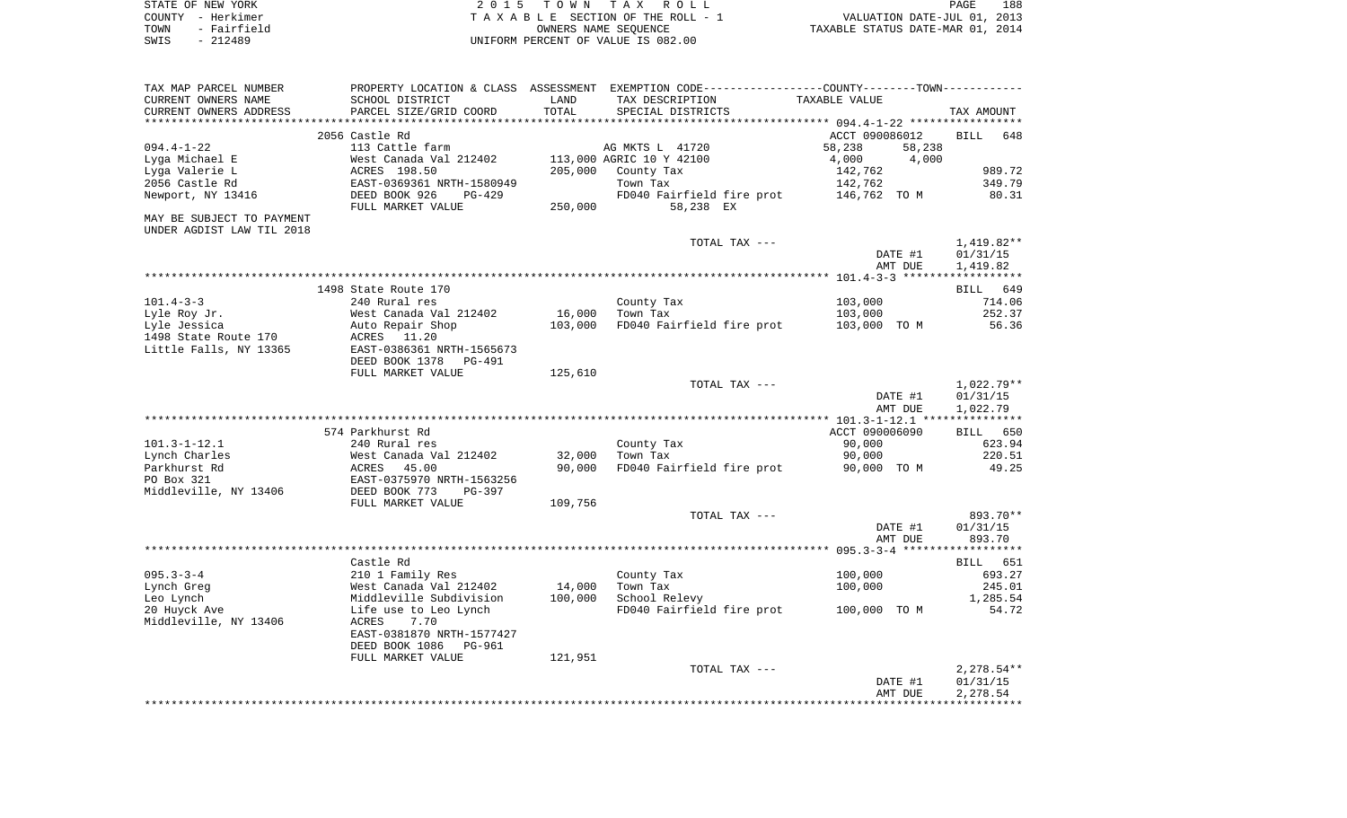| STATE OF NEW YORK |             | 2015 TOWN TAX ROLL                 |                                  | PAGE                        | 188 |
|-------------------|-------------|------------------------------------|----------------------------------|-----------------------------|-----|
| COUNTY - Herkimer |             | TAXABLE SECTION OF THE ROLL - 1    |                                  | VALUATION DATE-JUL 01, 2013 |     |
| TOWN              | - Fairfield | OWNERS NAME SEOUENCE               | TAXABLE STATUS DATE-MAR 01, 2014 |                             |     |
| $-212489$<br>SWIS |             | UNIFORM PERCENT OF VALUE IS 082.00 |                                  |                             |     |

| TAX MAP PARCEL NUMBER<br>CURRENT OWNERS NAME<br>CURRENT OWNERS ADDRESS<br>****************** | PROPERTY LOCATION & CLASS<br>SCHOOL DISTRICT<br>PARCEL SIZE/GRID COORD                                                                                     | ASSESSMENT<br>LAND<br>TOTAL | EXEMPTION CODE-----------------COUNTY-------TOWN-----------<br>TAX DESCRIPTION<br>SPECIAL DISTRICTS             | TAXABLE VALUE                                                                              | TAX AMOUNT                               |
|----------------------------------------------------------------------------------------------|------------------------------------------------------------------------------------------------------------------------------------------------------------|-----------------------------|-----------------------------------------------------------------------------------------------------------------|--------------------------------------------------------------------------------------------|------------------------------------------|
| $094.4 - 1 - 22$<br>Lyga Michael E<br>Lyga Valerie L<br>2056 Castle Rd<br>Newport, NY 13416  | 2056 Castle Rd<br>113 Cattle farm<br>West Canada Val 212402<br>ACRES 198.50<br>EAST-0369361 NRTH-1580949<br>DEED BOOK 926<br>$PG-429$<br>FULL MARKET VALUE | 205,000<br>250,000          | AG MKTS L 41720<br>113,000 AGRIC 10 Y 42100<br>County Tax<br>Town Tax<br>FD040 Fairfield fire prot<br>58,238 EX | ACCT 090086012<br>58,238<br>58,238<br>4,000<br>4,000<br>142,762<br>142,762<br>146,762 TO M | 648<br>BILL<br>989.72<br>349.79<br>80.31 |
| MAY BE SUBJECT TO PAYMENT<br>UNDER AGDIST LAW TIL 2018                                       |                                                                                                                                                            |                             |                                                                                                                 |                                                                                            |                                          |
|                                                                                              |                                                                                                                                                            |                             | TOTAL TAX ---                                                                                                   | DATE #1<br>AMT DUE                                                                         | 1,419.82**<br>01/31/15<br>1,419.82       |
|                                                                                              |                                                                                                                                                            |                             |                                                                                                                 |                                                                                            |                                          |
|                                                                                              | 1498 State Route 170                                                                                                                                       |                             |                                                                                                                 |                                                                                            | <b>BILL</b><br>649                       |
| $101.4 - 3 - 3$<br>Lyle Roy Jr.                                                              | 240 Rural res<br>West Canada Val 212402                                                                                                                    | 16,000                      | County Tax<br>Town Tax                                                                                          | 103,000<br>103,000                                                                         | 714.06<br>252.37                         |
| Lyle Jessica<br>1498 State Route 170<br>Little Falls, NY 13365                               | Auto Repair Shop<br>11.20<br>ACRES<br>EAST-0386361 NRTH-1565673<br>DEED BOOK 1378<br>PG-491                                                                | 103,000                     | FD040 Fairfield fire prot                                                                                       | 103,000 TO M                                                                               | 56.36                                    |
|                                                                                              | FULL MARKET VALUE                                                                                                                                          | 125,610                     |                                                                                                                 |                                                                                            |                                          |
|                                                                                              |                                                                                                                                                            |                             | TOTAL TAX ---                                                                                                   | DATE #1<br>AMT DUE                                                                         | $1,022.79**$<br>01/31/15<br>1,022.79     |
|                                                                                              |                                                                                                                                                            |                             |                                                                                                                 |                                                                                            |                                          |
|                                                                                              | 574 Parkhurst Rd                                                                                                                                           |                             |                                                                                                                 | ACCT 090006090                                                                             | <b>BILL</b><br>650                       |
| $101.3 - 1 - 12.1$                                                                           | 240 Rural res                                                                                                                                              |                             | County Tax                                                                                                      | 90,000                                                                                     | 623.94                                   |
| Lynch Charles<br>Parkhurst Rd<br>PO Box 321                                                  | West Canada Val 212402<br>ACRES<br>45.00<br>EAST-0375970 NRTH-1563256                                                                                      | 32,000<br>90,000            | Town Tax<br>FD040 Fairfield fire prot                                                                           | 90,000<br>90,000 TO M                                                                      | 220.51<br>49.25                          |
| Middleville, NY 13406                                                                        | DEED BOOK 773<br>$PG-397$<br>FULL MARKET VALUE                                                                                                             | 109,756                     |                                                                                                                 |                                                                                            |                                          |
|                                                                                              |                                                                                                                                                            |                             | TOTAL TAX ---                                                                                                   | DATE #1<br>AMT DUE                                                                         | 893.70**<br>01/31/15<br>893.70           |
|                                                                                              |                                                                                                                                                            |                             |                                                                                                                 |                                                                                            |                                          |
|                                                                                              | Castle Rd                                                                                                                                                  |                             |                                                                                                                 |                                                                                            | 651<br>BILL                              |
| $095.3 - 3 - 4$                                                                              | 210 1 Family Res                                                                                                                                           |                             | County Tax                                                                                                      | 100,000                                                                                    | 693.27                                   |
| Lynch Greg                                                                                   | West Canada Val 212402                                                                                                                                     | 14,000                      | Town Tax                                                                                                        | 100,000                                                                                    | 245.01                                   |
| Leo Lynch<br>20 Huyck Ave<br>Middleville, NY 13406                                           | Middleville Subdivision<br>Life use to Leo Lynch<br>ACRES<br>7.70                                                                                          | 100,000                     | School Relevy<br>FD040 Fairfield fire prot                                                                      | 100,000 TO M                                                                               | 1,285.54<br>54.72                        |
|                                                                                              | EAST-0381870 NRTH-1577427<br>DEED BOOK 1086<br><b>PG-961</b>                                                                                               |                             |                                                                                                                 |                                                                                            |                                          |
|                                                                                              | FULL MARKET VALUE                                                                                                                                          | 121,951                     |                                                                                                                 |                                                                                            |                                          |
|                                                                                              |                                                                                                                                                            |                             | TOTAL TAX ---                                                                                                   |                                                                                            | $2,278.54**$                             |
|                                                                                              |                                                                                                                                                            |                             |                                                                                                                 | DATE #1<br>AMT DUE                                                                         | 01/31/15<br>2,278.54                     |
|                                                                                              |                                                                                                                                                            |                             |                                                                                                                 |                                                                                            |                                          |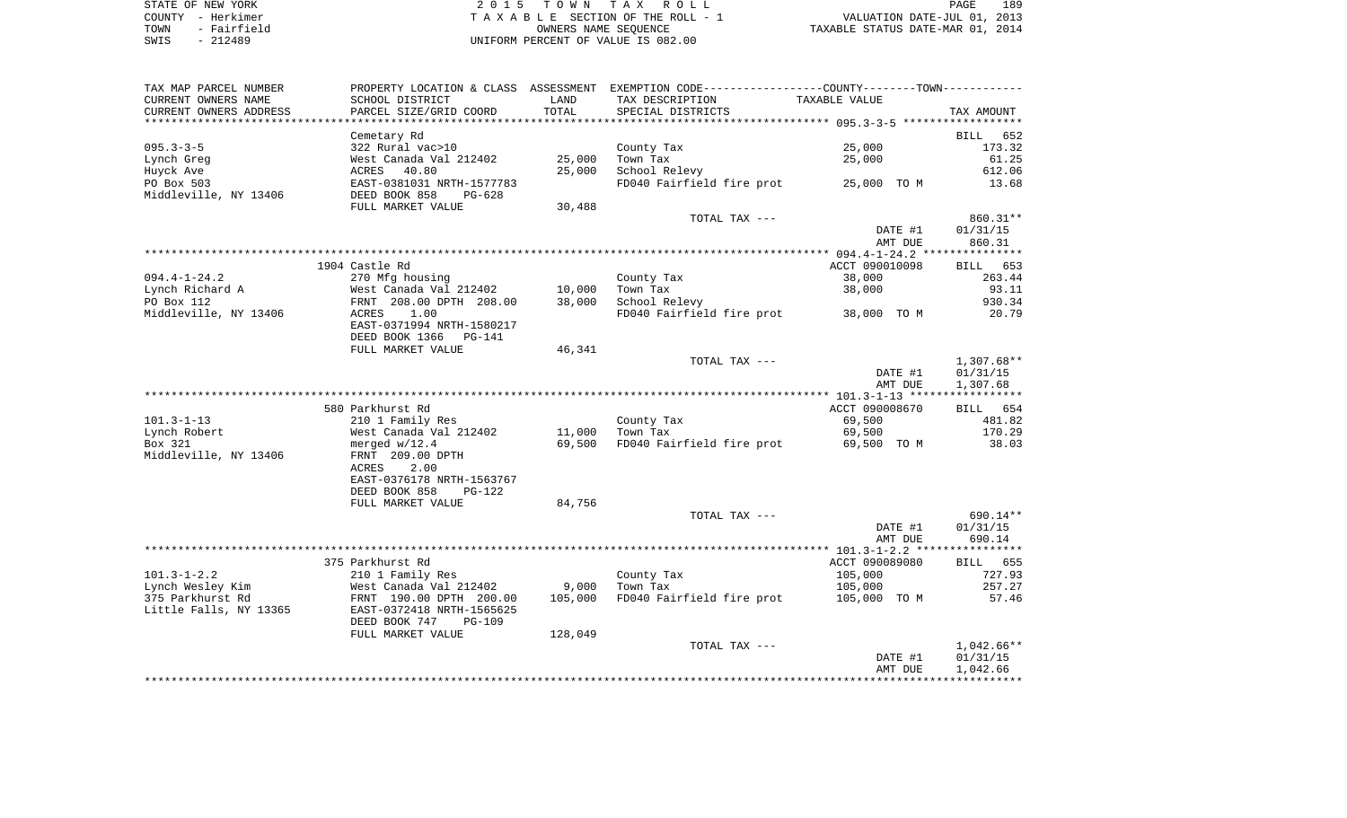| STATE OF NEW YORK   | 2015 TOWN TAX ROLL                 | 189<br>PAGE                      |
|---------------------|------------------------------------|----------------------------------|
| COUNTY - Herkimer   | TAXABLE SECTION OF THE ROLL - 1    | VALUATION DATE-JUL 01, 2013      |
| - Fairfield<br>TOWN | OWNERS NAME SEOUENCE               | TAXABLE STATUS DATE-MAR 01, 2014 |
| - 212489<br>SWIS    | UNIFORM PERCENT OF VALUE IS 082.00 |                                  |

| TAX MAP PARCEL NUMBER  | PROPERTY LOCATION & CLASS ASSESSMENT EXEMPTION CODE---------------COUNTY-------TOWN---------- |         |                                       |                |              |
|------------------------|-----------------------------------------------------------------------------------------------|---------|---------------------------------------|----------------|--------------|
| CURRENT OWNERS NAME    | SCHOOL DISTRICT                                                                               | LAND    | TAX DESCRIPTION                       | TAXABLE VALUE  |              |
| CURRENT OWNERS ADDRESS | PARCEL SIZE/GRID COORD                                                                        | TOTAL   | SPECIAL DISTRICTS                     |                | TAX AMOUNT   |
|                        |                                                                                               |         |                                       |                |              |
|                        | Cemetary Rd                                                                                   |         |                                       |                | BILL 652     |
| $095.3 - 3 - 5$        | 322 Rural vac>10                                                                              |         | County Tax                            | 25,000         | 173.32       |
| Lynch Greg             | West Canada Val 212402                                                                        | 25,000  | Town Tax                              | 25,000         | 61.25        |
| Huyck Ave              | ACRES 40.80                                                                                   | 25,000  | School Relevy                         |                | 612.06       |
| PO Box 503             | EAST-0381031 NRTH-1577783                                                                     |         | FD040 Fairfield fire prot 25,000 TO M |                | 13.68        |
| Middleville, NY 13406  | DEED BOOK 858<br>PG-628                                                                       |         |                                       |                |              |
|                        | FULL MARKET VALUE                                                                             | 30,488  |                                       |                |              |
|                        |                                                                                               |         | TOTAL TAX ---                         |                | 860.31**     |
|                        |                                                                                               |         |                                       | DATE #1        | 01/31/15     |
|                        |                                                                                               |         |                                       | AMT DUE        | 860.31       |
|                        |                                                                                               |         |                                       |                |              |
|                        | 1904 Castle Rd                                                                                |         |                                       | ACCT 090010098 | BILL 653     |
| $094.4 - 1 - 24.2$     | 270 Mfg housing                                                                               |         | County Tax                            | 38,000         | 263.44       |
| Lynch Richard A        | West Canada Val 212402                                                                        | 10,000  | Town Tax                              | 38,000         | 93.11        |
| PO Box 112             | FRNT 208.00 DPTH 208.00                                                                       | 38,000  | School Relevy                         |                | 930.34       |
| Middleville, NY 13406  | 1.00<br>ACRES                                                                                 |         | FD040 Fairfield fire prot 38,000 TO M |                | 20.79        |
|                        | EAST-0371994 NRTH-1580217                                                                     |         |                                       |                |              |
|                        | DEED BOOK 1366<br>PG-141<br>FULL MARKET VALUE                                                 | 46,341  |                                       |                |              |
|                        |                                                                                               |         | TOTAL TAX ---                         |                | 1,307.68**   |
|                        |                                                                                               |         |                                       | DATE #1        | 01/31/15     |
|                        |                                                                                               |         |                                       | AMT DUE        | 1,307.68     |
|                        |                                                                                               |         |                                       |                |              |
|                        | 580 Parkhurst Rd                                                                              |         |                                       | ACCT 090008670 | BILL 654     |
| $101.3 - 1 - 13$       | 210 1 Family Res                                                                              |         | County Tax                            | 69,500         | 481.82       |
| Lynch Robert           | West Canada Val 212402                                                                        | 11,000  | Town Tax                              | 69,500         | 170.29       |
| Box 321                | merged w/12.4                                                                                 | 69,500  | FD040 Fairfield fire prot             | 69,500 TO M    | 38.03        |
| Middleville, NY 13406  | FRNT 209.00 DPTH                                                                              |         |                                       |                |              |
|                        | ACRES<br>2.00                                                                                 |         |                                       |                |              |
|                        | EAST-0376178 NRTH-1563767                                                                     |         |                                       |                |              |
|                        | DEED BOOK 858<br>PG-122                                                                       |         |                                       |                |              |
|                        | FULL MARKET VALUE                                                                             | 84,756  |                                       |                |              |
|                        |                                                                                               |         | TOTAL TAX ---                         |                | 690.14**     |
|                        |                                                                                               |         |                                       | DATE #1        | 01/31/15     |
|                        |                                                                                               |         |                                       | AMT DUE        | 690.14       |
|                        |                                                                                               |         |                                       |                |              |
|                        | 375 Parkhurst Rd                                                                              |         |                                       | ACCT 090089080 | BILL 655     |
| $101.3 - 1 - 2.2$      | 210 1 Family Res                                                                              |         | County Tax                            | 105,000        | 727.93       |
| Lynch Wesley Kim       | West Canada Val 212402                                                                        | 9,000   | Town Tax                              | 105,000        | 257.27       |
| 375 Parkhurst Rd       | FRNT 190.00 DPTH 200.00                                                                       | 105,000 | FD040 Fairfield fire prot             | 105,000 TO M   | 57.46        |
| Little Falls, NY 13365 | EAST-0372418 NRTH-1565625                                                                     |         |                                       |                |              |
|                        | DEED BOOK 747<br>PG-109                                                                       |         |                                       |                |              |
|                        | FULL MARKET VALUE                                                                             | 128,049 |                                       |                |              |
|                        |                                                                                               |         | TOTAL TAX ---                         |                | $1,042.66**$ |
|                        |                                                                                               |         |                                       | DATE #1        | 01/31/15     |
|                        |                                                                                               |         |                                       | AMT DUE        | 1,042.66     |
|                        |                                                                                               |         |                                       |                |              |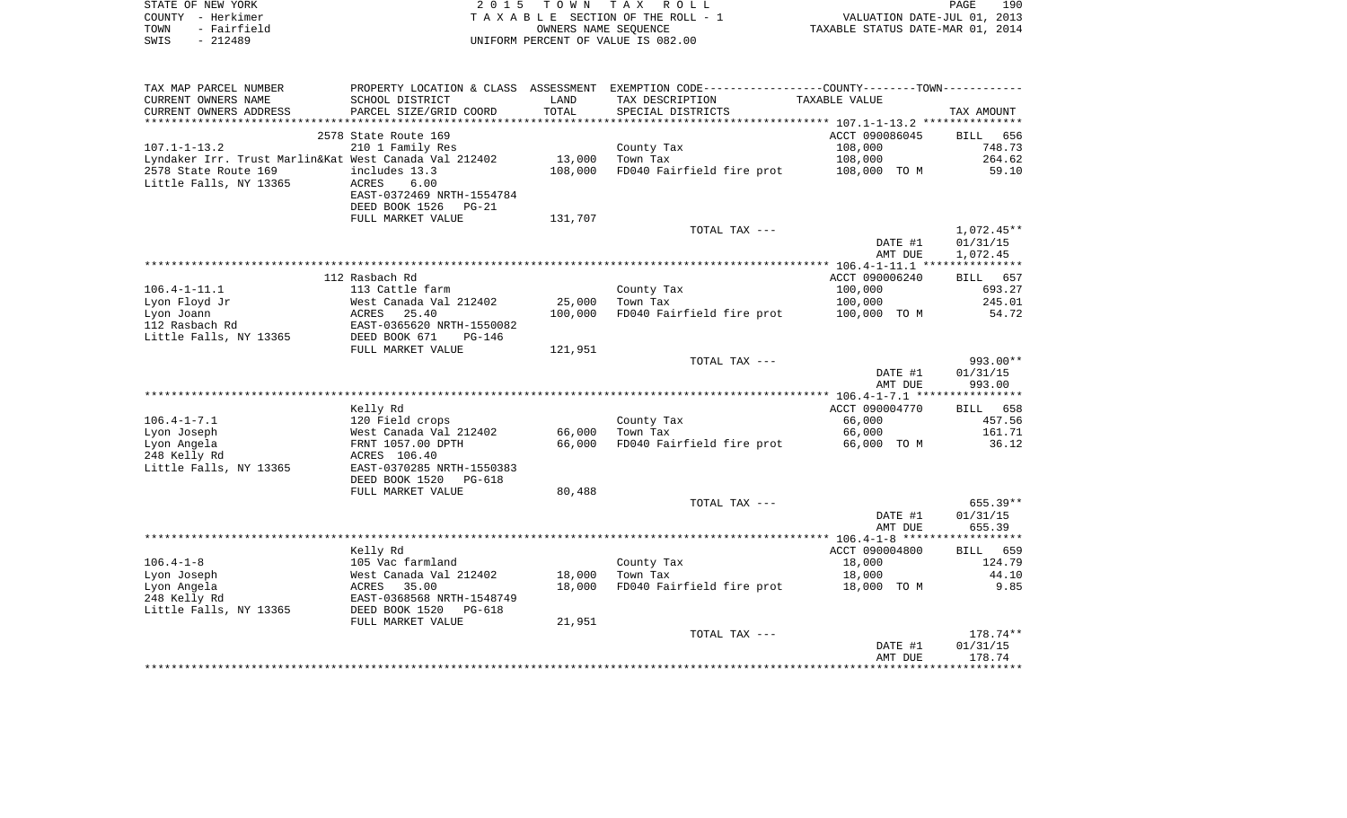| STATE OF NEW YORK   | 2015 TOWN TAX ROLL                 | PAGE                             | 190 |
|---------------------|------------------------------------|----------------------------------|-----|
| COUNTY - Herkimer   | TAXABLE SECTION OF THE ROLL - 1    | VALUATION DATE-JUL 01, 2013      |     |
| TOWN<br>- Fairfield | OWNERS NAME SEOUENCE               | TAXABLE STATUS DATE-MAR 01, 2014 |     |
| SWIS<br>- 212489    | UNIFORM PERCENT OF VALUE IS 082.00 |                                  |     |

| TAX MAP PARCEL NUMBER<br>CURRENT OWNERS NAME          | PROPERTY LOCATION & CLASS ASSESSMENT<br>SCHOOL DISTRICT | LAND    | EXEMPTION CODE-----------------COUNTY-------TOWN-----------<br>TAX DESCRIPTION | TAXABLE VALUE      |                    |
|-------------------------------------------------------|---------------------------------------------------------|---------|--------------------------------------------------------------------------------|--------------------|--------------------|
| CURRENT OWNERS ADDRESS<br>********************        | PARCEL SIZE/GRID COORD                                  | TOTAL   | SPECIAL DISTRICTS                                                              |                    | TAX AMOUNT         |
|                                                       | 2578 State Route 169                                    |         |                                                                                | ACCT 090086045     | 656<br><b>BILL</b> |
| $107.1 - 1 - 13.2$                                    | 210 1 Family Res                                        |         | County Tax                                                                     | 108,000            | 748.73             |
| Lyndaker Irr. Trust Marlin&Kat West Canada Val 212402 |                                                         | 13,000  | Town Tax                                                                       | 108,000            | 264.62             |
| 2578 State Route 169                                  | includes 13.3                                           | 108,000 | FD040 Fairfield fire prot                                                      | 108,000 TO M       | 59.10              |
| Little Falls, NY 13365                                | ACRES<br>6.00                                           |         |                                                                                |                    |                    |
|                                                       | EAST-0372469 NRTH-1554784<br>DEED BOOK 1526<br>$PG-21$  |         |                                                                                |                    |                    |
|                                                       | FULL MARKET VALUE                                       | 131,707 |                                                                                |                    |                    |
|                                                       |                                                         |         | TOTAL TAX ---                                                                  |                    | $1,072.45**$       |
|                                                       |                                                         |         |                                                                                | DATE #1            | 01/31/15           |
|                                                       |                                                         |         |                                                                                | AMT DUE            | 1,072.45           |
|                                                       |                                                         |         |                                                                                |                    |                    |
|                                                       | 112 Rasbach Rd                                          |         |                                                                                | ACCT 090006240     | BILL<br>657        |
| $106.4 - 1 - 11.1$<br>Lyon Floyd Jr                   | 113 Cattle farm<br>West Canada Val 212402               | 25,000  | County Tax<br>Town Tax                                                         | 100,000<br>100,000 | 693.27<br>245.01   |
| Lyon Joann                                            | ACRES<br>25.40                                          | 100,000 | FD040 Fairfield fire prot                                                      | 100,000 TO M       | 54.72              |
| 112 Rasbach Rd                                        | EAST-0365620 NRTH-1550082                               |         |                                                                                |                    |                    |
| Little Falls, NY 13365                                | DEED BOOK 671<br>$PG-146$                               |         |                                                                                |                    |                    |
|                                                       | FULL MARKET VALUE                                       | 121,951 |                                                                                |                    |                    |
|                                                       |                                                         |         | TOTAL TAX ---                                                                  |                    | $993.00**$         |
|                                                       |                                                         |         |                                                                                | DATE #1            | 01/31/15           |
|                                                       |                                                         |         |                                                                                | AMT DUE            | 993.00             |
|                                                       | Kelly Rd                                                |         |                                                                                | ACCT 090004770     | BILL 658           |
| $106.4 - 1 - 7.1$                                     | 120 Field crops                                         |         | County Tax                                                                     | 66,000             | 457.56             |
| Lyon Joseph                                           | West Canada Val 212402                                  | 66,000  | Town Tax                                                                       | 66,000             | 161.71             |
| Lyon Angela                                           | FRNT 1057.00 DPTH                                       | 66,000  | FD040 Fairfield fire prot                                                      | 66,000 TO M        | 36.12              |
| 248 Kelly Rd                                          | ACRES 106.40                                            |         |                                                                                |                    |                    |
| Little Falls, NY 13365                                | EAST-0370285 NRTH-1550383                               |         |                                                                                |                    |                    |
|                                                       | DEED BOOK 1520<br>PG-618                                |         |                                                                                |                    |                    |
|                                                       | FULL MARKET VALUE                                       | 80,488  | TOTAL TAX ---                                                                  |                    | $655.39**$         |
|                                                       |                                                         |         |                                                                                | DATE #1            | 01/31/15           |
|                                                       |                                                         |         |                                                                                | AMT DUE            | 655.39             |
|                                                       |                                                         |         |                                                                                |                    |                    |
|                                                       | Kelly Rd                                                |         |                                                                                | ACCT 090004800     | <b>BILL</b><br>659 |
| $106.4 - 1 - 8$                                       | 105 Vac farmland                                        |         | County Tax                                                                     | 18,000             | 124.79             |
| Lyon Joseph                                           | West Canada Val 212402                                  | 18,000  | Town Tax                                                                       | 18,000             | 44.10              |
| Lyon Angela<br>248 Kelly Rd                           | ACRES<br>35.00<br>EAST-0368568 NRTH-1548749             | 18,000  | FD040 Fairfield fire prot                                                      | 18,000 TO M        | 9.85               |
| Little Falls, NY 13365                                | DEED BOOK 1520<br>PG-618                                |         |                                                                                |                    |                    |
|                                                       | FULL MARKET VALUE                                       | 21,951  |                                                                                |                    |                    |
|                                                       |                                                         |         | TOTAL TAX ---                                                                  |                    | $178.74**$         |
|                                                       |                                                         |         |                                                                                | DATE #1            | 01/31/15           |
|                                                       |                                                         |         |                                                                                | AMT DUE            | 178.74             |
|                                                       |                                                         |         |                                                                                |                    |                    |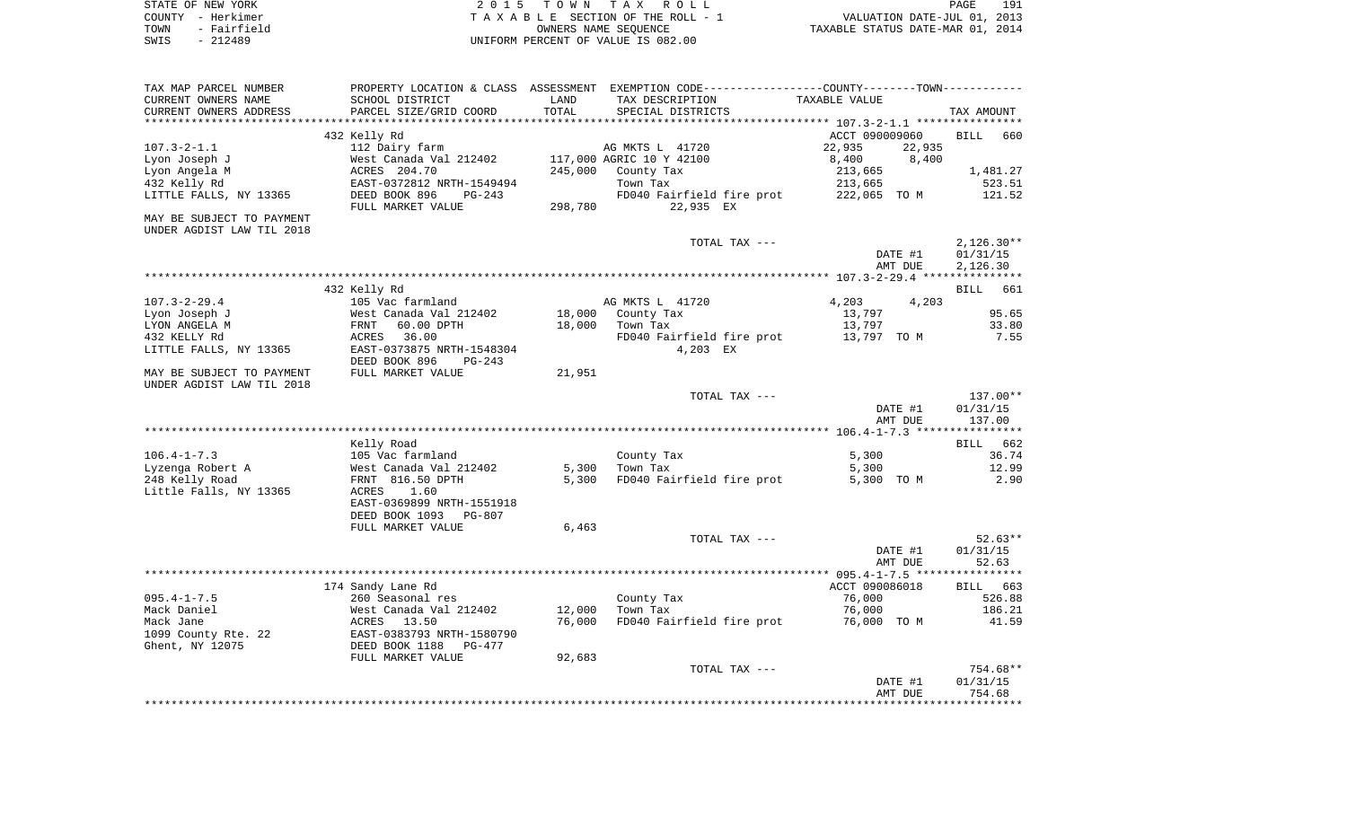| STATE OF NEW YORK   | 2015 TOWN TAX ROLL                 | 191<br>PAGE                      |
|---------------------|------------------------------------|----------------------------------|
| COUNTY - Herkimer   | TAXABLE SECTION OF THE ROLL - 1    | VALUATION DATE-JUL 01, 2013      |
| - Fairfield<br>TOWN | OWNERS NAME SEOUENCE               | TAXABLE STATUS DATE-MAR 01, 2014 |
| - 212489<br>SWIS    | UNIFORM PERCENT OF VALUE IS 082.00 |                                  |

| TAX MAP PARCEL NUMBER                                  |                                                        |         | PROPERTY LOCATION & CLASS ASSESSMENT EXEMPTION CODE---------------COUNTY-------TOWN---------- |                  |                    |
|--------------------------------------------------------|--------------------------------------------------------|---------|-----------------------------------------------------------------------------------------------|------------------|--------------------|
| CURRENT OWNERS NAME                                    | SCHOOL DISTRICT                                        | LAND    | TAX DESCRIPTION                                                                               | TAXABLE VALUE    |                    |
| CURRENT OWNERS ADDRESS                                 | PARCEL SIZE/GRID COORD                                 | TOTAL   | SPECIAL DISTRICTS                                                                             |                  | TAX AMOUNT         |
|                                                        |                                                        |         |                                                                                               |                  |                    |
|                                                        | 432 Kelly Rd                                           |         |                                                                                               | ACCT 090009060   | <b>BILL</b><br>660 |
| $107.3 - 2 - 1.1$                                      | 112 Dairy farm                                         |         | AG MKTS L 41720                                                                               | 22,935<br>22,935 |                    |
| Lyon Joseph J                                          | West Canada Val 212402                                 |         | 117,000 AGRIC 10 Y 42100                                                                      | 8,400<br>8,400   |                    |
| Lyon Angela M                                          | ACRES 204.70                                           | 245,000 | County Tax                                                                                    | 213,665          | 1,481.27           |
| 432 Kelly Rd                                           | EAST-0372812 NRTH-1549494                              |         | Town Tax                                                                                      | 213,665          | 523.51             |
| LITTLE FALLS, NY 13365                                 | DEED BOOK 896<br>$PG-243$<br>FULL MARKET VALUE         | 298,780 | FD040 Fairfield fire prot<br>22,935 EX                                                        | 222,065 TO M     | 121.52             |
| MAY BE SUBJECT TO PAYMENT                              |                                                        |         |                                                                                               |                  |                    |
| UNDER AGDIST LAW TIL 2018                              |                                                        |         |                                                                                               |                  |                    |
|                                                        |                                                        |         | TOTAL TAX ---                                                                                 |                  | $2,126.30**$       |
|                                                        |                                                        |         |                                                                                               | DATE #1          | 01/31/15           |
|                                                        |                                                        |         |                                                                                               | AMT DUE          | 2,126.30           |
|                                                        |                                                        |         |                                                                                               |                  |                    |
|                                                        | 432 Kelly Rd                                           |         |                                                                                               |                  | <b>BILL</b><br>661 |
| $107.3 - 2 - 29.4$                                     | 105 Vac farmland                                       |         | AG MKTS L 41720                                                                               | 4,203<br>4,203   |                    |
| Lyon Joseph J                                          | West Canada Val 212402                                 | 18,000  | County Tax                                                                                    | 13,797           | 95.65              |
| LYON ANGELA M                                          | FRNT<br>60.00 DPTH                                     | 18,000  | Town Tax                                                                                      | 13,797           | 33.80              |
| 432 KELLY Rd                                           | ACRES<br>36.00                                         |         | FD040 Fairfield fire prot                                                                     | 13,797 TO M      | 7.55               |
| LITTLE FALLS, NY 13365                                 | EAST-0373875 NRTH-1548304<br>DEED BOOK 896<br>$PG-243$ |         | 4,203 EX                                                                                      |                  |                    |
|                                                        | FULL MARKET VALUE                                      | 21,951  |                                                                                               |                  |                    |
| MAY BE SUBJECT TO PAYMENT<br>UNDER AGDIST LAW TIL 2018 |                                                        |         |                                                                                               |                  |                    |
|                                                        |                                                        |         | TOTAL TAX ---                                                                                 |                  | 137.00**           |
|                                                        |                                                        |         |                                                                                               | DATE #1          | 01/31/15           |
|                                                        |                                                        |         |                                                                                               | AMT DUE          | 137.00             |
|                                                        |                                                        |         |                                                                                               |                  |                    |
|                                                        | Kelly Road                                             |         |                                                                                               |                  | <b>BILL</b><br>662 |
| $106.4 - 1 - 7.3$                                      | 105 Vac farmland                                       |         | County Tax                                                                                    | 5,300            | 36.74              |
| Lyzenga Robert A                                       | West Canada Val 212402                                 | 5,300   | Town Tax                                                                                      | 5,300            | 12.99              |
| 248 Kelly Road                                         | FRNT 816.50 DPTH                                       | 5,300   | FD040 Fairfield fire prot                                                                     | 5,300 TO M       | 2.90               |
| Little Falls, NY 13365                                 | ACRES<br>1.60                                          |         |                                                                                               |                  |                    |
|                                                        | EAST-0369899 NRTH-1551918                              |         |                                                                                               |                  |                    |
|                                                        | DEED BOOK 1093<br><b>PG-807</b>                        |         |                                                                                               |                  |                    |
|                                                        | FULL MARKET VALUE                                      | 6,463   |                                                                                               |                  |                    |
|                                                        |                                                        |         | TOTAL TAX ---                                                                                 |                  | $52.63**$          |
|                                                        |                                                        |         |                                                                                               | DATE #1          | 01/31/15           |
|                                                        |                                                        |         |                                                                                               | AMT DUE          | 52.63              |
|                                                        |                                                        |         |                                                                                               |                  |                    |
|                                                        | 174 Sandy Lane Rd                                      |         |                                                                                               | ACCT 090086018   | BILL 663           |
| $095.4 - 1 - 7.5$                                      | 260 Seasonal res                                       |         | County Tax                                                                                    | 76,000           | 526.88             |
| Mack Daniel                                            | West Canada Val 212402                                 | 12,000  | Town Tax                                                                                      | 76,000           | 186.21             |
| Mack Jane                                              | 13.50<br>ACRES                                         | 76,000  | FD040 Fairfield fire prot                                                                     | 76,000 TO M      | 41.59              |
| 1099 County Rte. 22                                    | EAST-0383793 NRTH-1580790                              |         |                                                                                               |                  |                    |
| Ghent, NY 12075                                        | DEED BOOK 1188<br>PG-477                               |         |                                                                                               |                  |                    |
|                                                        | FULL MARKET VALUE                                      | 92,683  |                                                                                               |                  |                    |
|                                                        |                                                        |         | TOTAL TAX ---                                                                                 |                  | 754.68**           |
|                                                        |                                                        |         |                                                                                               | DATE #1          | 01/31/15           |
|                                                        |                                                        |         |                                                                                               | AMT DUE          | 754.68             |
|                                                        |                                                        |         |                                                                                               |                  |                    |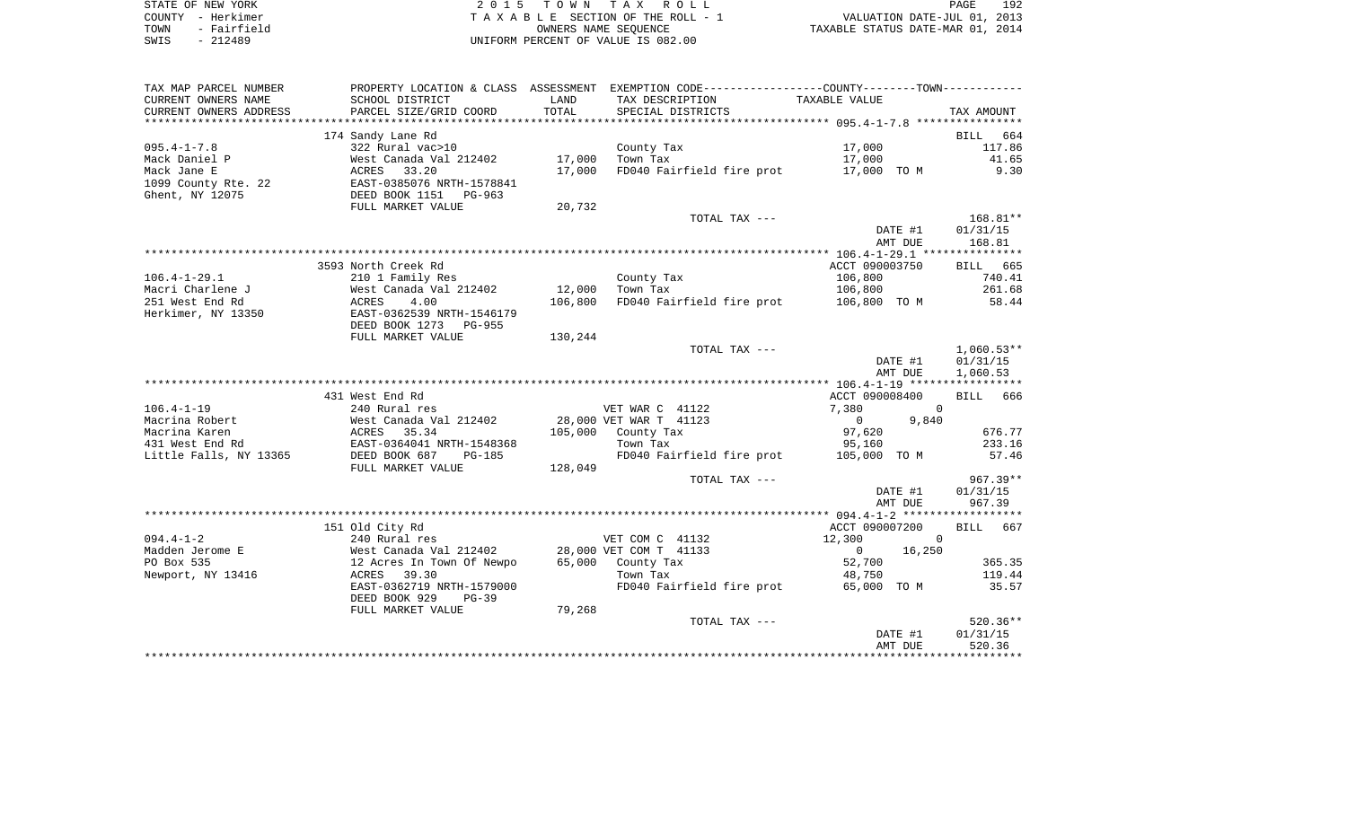| STATE OF NEW YORK   | 2015 TOWN TAX ROLL                 | 192<br>PAGE                      |
|---------------------|------------------------------------|----------------------------------|
| COUNTY - Herkimer   | TAXABLE SECTION OF THE ROLL - 1    | VALUATION DATE-JUL 01, 2013      |
| - Fairfield<br>TOWN | OWNERS NAME SEOUENCE               | TAXABLE STATUS DATE-MAR 01, 2014 |
| - 212489<br>SWIS    | UNIFORM PERCENT OF VALUE IS 082.00 |                                  |

| TAX MAP PARCEL NUMBER  | PROPERTY LOCATION & CLASS ASSESSMENT EXEMPTION CODE---------------COUNTY-------TOWN---------- |         |                           |                                        |                    |
|------------------------|-----------------------------------------------------------------------------------------------|---------|---------------------------|----------------------------------------|--------------------|
| CURRENT OWNERS NAME    | SCHOOL DISTRICT                                                                               | LAND    | TAX DESCRIPTION           | TAXABLE VALUE                          |                    |
| CURRENT OWNERS ADDRESS | PARCEL SIZE/GRID COORD                                                                        | TOTAL   | SPECIAL DISTRICTS         |                                        | TAX AMOUNT         |
|                        |                                                                                               |         |                           |                                        |                    |
|                        | 174 Sandy Lane Rd                                                                             |         |                           |                                        | <b>BILL</b><br>664 |
| $095.4 - 1 - 7.8$      | 322 Rural vac>10                                                                              |         | County Tax                | 17,000                                 | 117.86             |
| Mack Daniel P          | West Canada Val 212402                                                                        | 17,000  | Town Tax                  | 17,000                                 | 41.65              |
| Mack Jane E            | ACRES 33.20                                                                                   | 17,000  | FD040 Fairfield fire prot | 17,000 TO M                            | 9.30               |
| 1099 County Rte. 22    | EAST-0385076 NRTH-1578841                                                                     |         |                           |                                        |                    |
| Ghent, NY 12075        | DEED BOOK 1151 PG-963                                                                         |         |                           |                                        |                    |
|                        | FULL MARKET VALUE                                                                             | 20,732  |                           |                                        |                    |
|                        |                                                                                               |         | TOTAL TAX ---             |                                        | $168.81**$         |
|                        |                                                                                               |         |                           | DATE #1                                | 01/31/15           |
|                        |                                                                                               |         |                           | AMT DUE                                | 168.81             |
|                        | 3593 North Creek Rd                                                                           |         |                           | ACCT 090003750                         | BILL 665           |
| $106.4 - 1 - 29.1$     | 210 1 Family Res                                                                              |         | County Tax                | 106,800                                | 740.41             |
| Macri Charlene J       | West Canada Val 212402                                                                        | 12,000  | Town Tax                  | 106,800                                | 261.68             |
| 251 West End Rd        | ACRES<br>4.00                                                                                 | 106,800 |                           | FD040 Fairfield fire prot 106,800 TO M | 58.44              |
| Herkimer, NY 13350     | EAST-0362539 NRTH-1546179                                                                     |         |                           |                                        |                    |
|                        | DEED BOOK 1273<br>PG-955                                                                      |         |                           |                                        |                    |
|                        | FULL MARKET VALUE                                                                             | 130,244 |                           |                                        |                    |
|                        |                                                                                               |         | TOTAL TAX ---             |                                        | $1,060.53**$       |
|                        |                                                                                               |         |                           | DATE #1                                | 01/31/15           |
|                        |                                                                                               |         |                           | AMT DUE                                | 1,060.53           |
|                        |                                                                                               |         |                           |                                        |                    |
|                        | 431 West End Rd                                                                               |         |                           | ACCT 090008400                         | BILL 666           |
| $106.4 - 1 - 19$       | 240 Rural res                                                                                 |         | VET WAR C 41122           | 7,380                                  | $\Omega$           |
| Macrina Robert         | West Canada Val 212402                                                                        |         | 28,000 VET WAR T 41123    | $\mathbf 0$<br>9,840                   |                    |
| Macrina Karen          | 35.34<br>ACRES                                                                                | 105,000 | County Tax                | 97,620                                 | 676.77             |
| 431 West End Rd        | EAST-0364041 NRTH-1548368                                                                     |         | Town Tax                  | 95,160                                 | 233.16             |
| Little Falls, NY 13365 | DEED BOOK 687<br>PG-185                                                                       |         | FD040 Fairfield fire prot | 105,000 TO M                           | 57.46              |
|                        | FULL MARKET VALUE                                                                             | 128,049 |                           |                                        |                    |
|                        |                                                                                               |         | TOTAL TAX ---             |                                        | $967.39**$         |
|                        |                                                                                               |         |                           | DATE #1                                | 01/31/15           |
|                        |                                                                                               |         |                           | AMT DUE                                | 967.39             |
|                        | 151 Old City Rd                                                                               |         |                           | ACCT 090007200                         | 667<br><b>BILL</b> |
| $094.4 - 1 - 2$        | 240 Rural res                                                                                 |         | VET COM C 41132           | 12,300                                 | $\Omega$           |
| Madden Jerome E        | West Canada Val 212402                                                                        |         | 28,000 VET COM T 41133    | 16,250<br>$\mathbf{0}$                 |                    |
| PO Box 535             | 12 Acres In Town Of Newpo                                                                     |         | 65,000 County Tax         | 52,700                                 | 365.35             |
| Newport, NY 13416      | 39.30<br>ACRES                                                                                |         | Town Tax                  | 48,750                                 | 119.44             |
|                        | EAST-0362719 NRTH-1579000                                                                     |         | FD040 Fairfield fire prot | 65,000 TO M                            | 35.57              |
|                        | DEED BOOK 929<br>$PG-39$                                                                      |         |                           |                                        |                    |
|                        | FULL MARKET VALUE                                                                             | 79,268  |                           |                                        |                    |
|                        |                                                                                               |         | TOTAL TAX ---             |                                        | $520.36**$         |
|                        |                                                                                               |         |                           | DATE #1                                | 01/31/15           |
|                        |                                                                                               |         |                           | AMT DUE                                | 520.36             |
|                        |                                                                                               |         |                           |                                        |                    |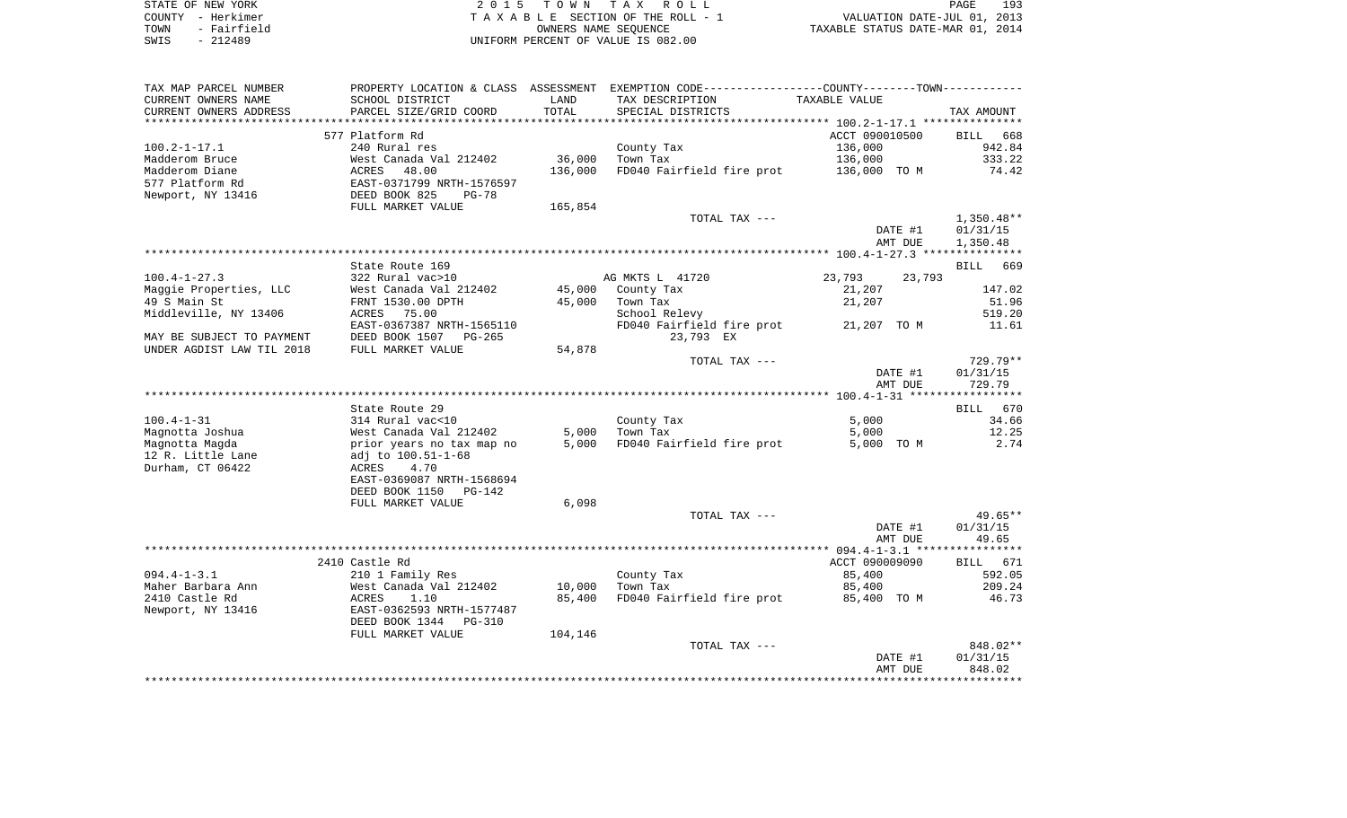| STATE OF NEW YORK   | 2015 TOWN TAX ROLL                 | 193<br>PAGE                      |
|---------------------|------------------------------------|----------------------------------|
| COUNTY - Herkimer   | TAXABLE SECTION OF THE ROLL - 1    | VALUATION DATE-JUL 01, 2013      |
| - Fairfield<br>TOWN | OWNERS NAME SEOUENCE               | TAXABLE STATUS DATE-MAR 01, 2014 |
| $-212489$<br>SWIS   | UNIFORM PERCENT OF VALUE IS 082.00 |                                  |

| TAX MAP PARCEL NUMBER                                  |                                    |         | PROPERTY LOCATION & CLASS ASSESSMENT EXEMPTION CODE----------------COUNTY-------TOWN----------- |                  |                    |
|--------------------------------------------------------|------------------------------------|---------|-------------------------------------------------------------------------------------------------|------------------|--------------------|
| CURRENT OWNERS NAME                                    | SCHOOL DISTRICT                    | LAND    | TAX DESCRIPTION                                                                                 | TAXABLE VALUE    |                    |
| CURRENT OWNERS ADDRESS                                 | PARCEL SIZE/GRID COORD             | TOTAL   | SPECIAL DISTRICTS                                                                               |                  | TAX AMOUNT         |
| *********************                                  | ***************************        |         |                                                                                                 |                  |                    |
|                                                        | 577 Platform Rd                    |         |                                                                                                 | ACCT 090010500   | <b>BILL</b><br>668 |
| $100.2 - 1 - 17.1$                                     | 240 Rural res                      |         | County Tax                                                                                      | 136,000          | 942.84             |
| Madderom Bruce                                         | West Canada Val 212402             | 36,000  | Town Tax                                                                                        | 136,000          | 333.22             |
| Madderom Diane                                         | ACRES<br>48.00                     | 136,000 | FD040 Fairfield fire prot                                                                       | 136,000 TO M     | 74.42              |
| 577 Platform Rd                                        | EAST-0371799 NRTH-1576597          |         |                                                                                                 |                  |                    |
| Newport, NY 13416                                      | DEED BOOK 825<br>$PG-78$           |         |                                                                                                 |                  |                    |
|                                                        | FULL MARKET VALUE                  | 165,854 |                                                                                                 |                  |                    |
|                                                        |                                    |         | TOTAL TAX ---                                                                                   |                  | $1,350.48**$       |
|                                                        |                                    |         |                                                                                                 | DATE #1          | 01/31/15           |
|                                                        |                                    |         |                                                                                                 | AMT DUE          | 1,350.48           |
|                                                        |                                    |         |                                                                                                 |                  |                    |
|                                                        | State Route 169                    |         |                                                                                                 |                  | <b>BILL</b><br>669 |
| $100.4 - 1 - 27.3$                                     | 322 Rural vac>10                   |         | AG MKTS L 41720                                                                                 | 23,793<br>23,793 |                    |
| Maggie Properties, LLC                                 | West Canada Val 212402             | 45,000  | County Tax                                                                                      | 21,207           | 147.02             |
| 49 S Main St<br>Middleville, NY 13406                  | FRNT 1530.00 DPTH<br>75.00         | 45,000  | Town Tax                                                                                        | 21,207           | 51.96<br>519.20    |
|                                                        | ACRES<br>EAST-0367387 NRTH-1565110 |         | School Relevy<br>FD040 Fairfield fire prot                                                      |                  | 11.61              |
|                                                        | DEED BOOK 1507<br>$PG-265$         |         | 23,793 EX                                                                                       | 21,207 TO M      |                    |
| MAY BE SUBJECT TO PAYMENT<br>UNDER AGDIST LAW TIL 2018 | FULL MARKET VALUE                  | 54,878  |                                                                                                 |                  |                    |
|                                                        |                                    |         | TOTAL TAX ---                                                                                   |                  | 729.79**           |
|                                                        |                                    |         |                                                                                                 | DATE #1          | 01/31/15           |
|                                                        |                                    |         |                                                                                                 | AMT DUE          | 729.79             |
|                                                        |                                    |         |                                                                                                 |                  |                    |
|                                                        | State Route 29                     |         |                                                                                                 |                  | BILL 670           |
| $100.4 - 1 - 31$                                       | 314 Rural vac<10                   |         | County Tax                                                                                      | 5,000            | 34.66              |
| Magnotta Joshua                                        | West Canada Val 212402             | 5,000   | Town Tax                                                                                        | 5,000            | 12.25              |
| Magnotta Magda                                         | prior years no tax map no          | 5,000   | FD040 Fairfield fire prot                                                                       | 5,000 TO M       | 2.74               |
| 12 R. Little Lane                                      | adj to 100.51-1-68                 |         |                                                                                                 |                  |                    |
| Durham, CT 06422                                       | ACRES<br>4.70                      |         |                                                                                                 |                  |                    |
|                                                        | EAST-0369087 NRTH-1568694          |         |                                                                                                 |                  |                    |
|                                                        | DEED BOOK 1150<br>$PG-142$         |         |                                                                                                 |                  |                    |
|                                                        | FULL MARKET VALUE                  | 6,098   |                                                                                                 |                  |                    |
|                                                        |                                    |         | TOTAL TAX ---                                                                                   |                  | $49.65**$          |
|                                                        |                                    |         |                                                                                                 | DATE #1          | 01/31/15           |
|                                                        |                                    |         |                                                                                                 | AMT DUE          | 49.65              |
|                                                        |                                    |         |                                                                                                 |                  |                    |
|                                                        | 2410 Castle Rd                     |         |                                                                                                 | ACCT 090009090   | <b>BILL</b><br>671 |
| $094.4 - 1 - 3.1$                                      | 210 1 Family Res                   |         | County Tax                                                                                      | 85,400           | 592.05             |
| Maher Barbara Ann                                      | West Canada Val 212402             | 10,000  | Town Tax                                                                                        | 85,400           | 209.24             |
| 2410 Castle Rd                                         | ACRES<br>1.10                      | 85,400  | FD040 Fairfield fire prot                                                                       | 85,400 TO M      | 46.73              |
| Newport, NY 13416                                      | EAST-0362593 NRTH-1577487          |         |                                                                                                 |                  |                    |
|                                                        | DEED BOOK 1344<br><b>PG-310</b>    |         |                                                                                                 |                  |                    |
|                                                        | FULL MARKET VALUE                  | 104,146 |                                                                                                 |                  |                    |
|                                                        |                                    |         | TOTAL TAX ---                                                                                   |                  | 848.02**           |
|                                                        |                                    |         |                                                                                                 | DATE #1          | 01/31/15           |
|                                                        |                                    |         |                                                                                                 | AMT DUE          | 848.02             |
|                                                        |                                    |         |                                                                                                 |                  |                    |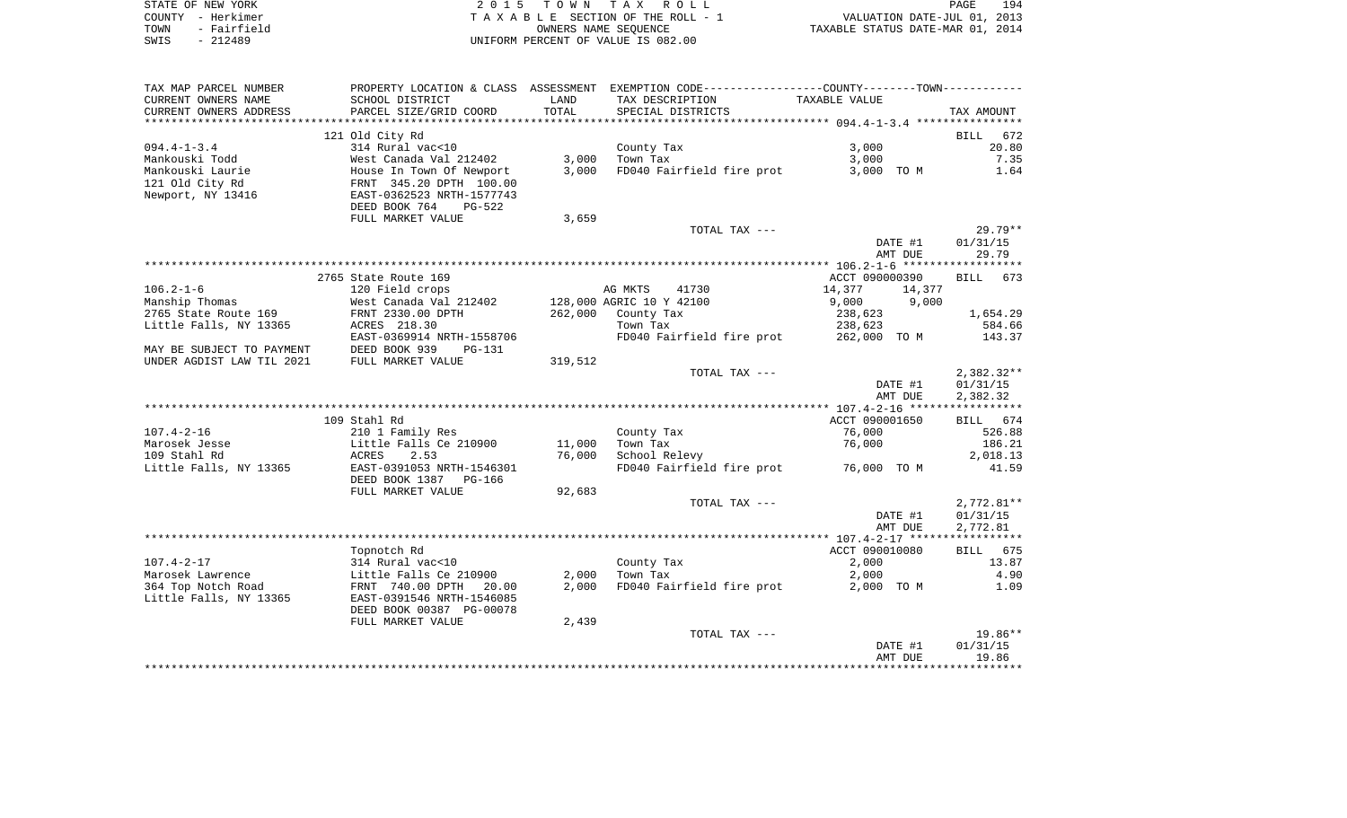| STATE OF NEW YORK   | 2015 TOWN TAX ROLL                 | 194<br>PAGE                      |
|---------------------|------------------------------------|----------------------------------|
| COUNTY - Herkimer   | TAXABLE SECTION OF THE ROLL - 1    | VALUATION DATE-JUL 01, 2013      |
| - Fairfield<br>TOWN | OWNERS NAME SEOUENCE               | TAXABLE STATUS DATE-MAR 01, 2014 |
| SWIS<br>- 212489    | UNIFORM PERCENT OF VALUE IS 082.00 |                                  |

| TAX MAP PARCEL NUMBER         |                                            |                  | PROPERTY LOCATION & CLASS ASSESSMENT EXEMPTION CODE---------------COUNTY-------TOWN---------- |                    |                       |
|-------------------------------|--------------------------------------------|------------------|-----------------------------------------------------------------------------------------------|--------------------|-----------------------|
| CURRENT OWNERS NAME           | SCHOOL DISTRICT                            | LAND             | TAX DESCRIPTION                                                                               | TAXABLE VALUE      |                       |
| CURRENT OWNERS ADDRESS        | PARCEL SIZE/GRID COORD                     | TOTAL            | SPECIAL DISTRICTS                                                                             |                    | TAX AMOUNT            |
| *******************           |                                            |                  |                                                                                               |                    |                       |
|                               | 121 Old City Rd                            |                  |                                                                                               |                    | 672<br><b>BILL</b>    |
| $094.4 - 1 - 3.4$             | 314 Rural vac<10                           |                  | County Tax                                                                                    | 3,000              | 20.80                 |
| Mankouski Todd                | West Canada Val 212402                     | 3,000            | Town Tax                                                                                      | 3,000              | 7.35                  |
| Mankouski Laurie              | House In Town Of Newport                   | 3,000            | FD040 Fairfield fire prot                                                                     | 3,000 TO M         | 1.64                  |
| 121 Old City Rd               | FRNT 345.20 DPTH 100.00                    |                  |                                                                                               |                    |                       |
| Newport, NY 13416             | EAST-0362523 NRTH-1577743                  |                  |                                                                                               |                    |                       |
|                               | DEED BOOK 764<br>PG-522                    |                  |                                                                                               |                    |                       |
|                               | FULL MARKET VALUE                          | 3,659            |                                                                                               |                    |                       |
|                               |                                            |                  | TOTAL TAX ---                                                                                 | DATE #1            | $29.79**$<br>01/31/15 |
|                               |                                            |                  |                                                                                               | AMT DUE            | 29.79                 |
|                               |                                            |                  |                                                                                               |                    |                       |
|                               | 2765 State Route 169                       |                  |                                                                                               | ACCT 090000390     | BILL<br>673           |
| $106.2 - 1 - 6$               | 120 Field crops                            |                  | AG MKTS<br>41730                                                                              | 14,377<br>14,377   |                       |
| Manship Thomas                | West Canada Val 212402                     |                  | 128,000 AGRIC 10 Y 42100                                                                      | 9,000<br>9,000     |                       |
| 2765 State Route 169          | FRNT 2330.00 DPTH                          | 262,000          | County Tax                                                                                    | 238,623            | 1,654.29              |
| Little Falls, NY 13365        | ACRES 218.30                               |                  | Town Tax                                                                                      | 238,623            | 584.66                |
|                               | EAST-0369914 NRTH-1558706                  |                  | FD040 Fairfield fire prot 262,000 TO M                                                        |                    | 143.37                |
| MAY BE SUBJECT TO PAYMENT     | DEED BOOK 939<br>PG-131                    |                  |                                                                                               |                    |                       |
| UNDER AGDIST LAW TIL 2021     | FULL MARKET VALUE                          | 319,512          |                                                                                               |                    |                       |
|                               |                                            |                  | TOTAL TAX ---                                                                                 |                    | 2,382.32**            |
|                               |                                            |                  |                                                                                               | DATE #1            | 01/31/15              |
|                               |                                            |                  |                                                                                               | AMT DUE            | 2,382.32              |
|                               |                                            |                  |                                                                                               |                    |                       |
|                               | 109 Stahl Rd                               |                  |                                                                                               | ACCT 090001650     | BILL 674              |
| $107.4 - 2 - 16$              | 210 1 Family Res<br>Little Falls Ce 210900 |                  | County Tax                                                                                    | 76,000             | 526.88                |
| Marosek Jesse<br>109 Stahl Rd | ACRES<br>2.53                              | 11,000<br>76,000 | Town Tax<br>School Relevy                                                                     | 76,000             | 186.21<br>2,018.13    |
| Little Falls, NY 13365        | EAST-0391053 NRTH-1546301                  |                  | FD040 Fairfield fire prot 76,000 TO M                                                         |                    | 41.59                 |
|                               | DEED BOOK 1387 PG-166                      |                  |                                                                                               |                    |                       |
|                               | FULL MARKET VALUE                          | 92,683           |                                                                                               |                    |                       |
|                               |                                            |                  | TOTAL TAX ---                                                                                 |                    | $2,772.81**$          |
|                               |                                            |                  |                                                                                               | DATE #1            | 01/31/15              |
|                               |                                            |                  |                                                                                               | AMT DUE            | 2,772.81              |
|                               |                                            |                  |                                                                                               |                    |                       |
|                               | Topnotch Rd                                |                  |                                                                                               | ACCT 090010080     | BILL 675              |
| $107.4 - 2 - 17$              | 314 Rural vac<10                           |                  | County Tax                                                                                    | 2,000              | 13.87                 |
| Marosek Lawrence              | Little Falls Ce 210900                     | 2,000            | Town Tax                                                                                      | 2,000              | 4.90                  |
| 364 Top Notch Road            | FRNT 740.00 DPTH<br>20.00                  | 2,000            | FD040 Fairfield fire prot                                                                     | 2,000 TO M         | 1.09                  |
| Little Falls, NY 13365        | EAST-0391546 NRTH-1546085                  |                  |                                                                                               |                    |                       |
|                               | DEED BOOK 00387 PG-00078                   |                  |                                                                                               |                    |                       |
|                               | FULL MARKET VALUE                          | 2,439            |                                                                                               |                    |                       |
|                               |                                            |                  | TOTAL TAX ---                                                                                 |                    | $19.86**$             |
|                               |                                            |                  |                                                                                               | DATE #1<br>AMT DUE | 01/31/15<br>19.86     |
|                               |                                            |                  |                                                                                               |                    |                       |
|                               |                                            |                  |                                                                                               |                    |                       |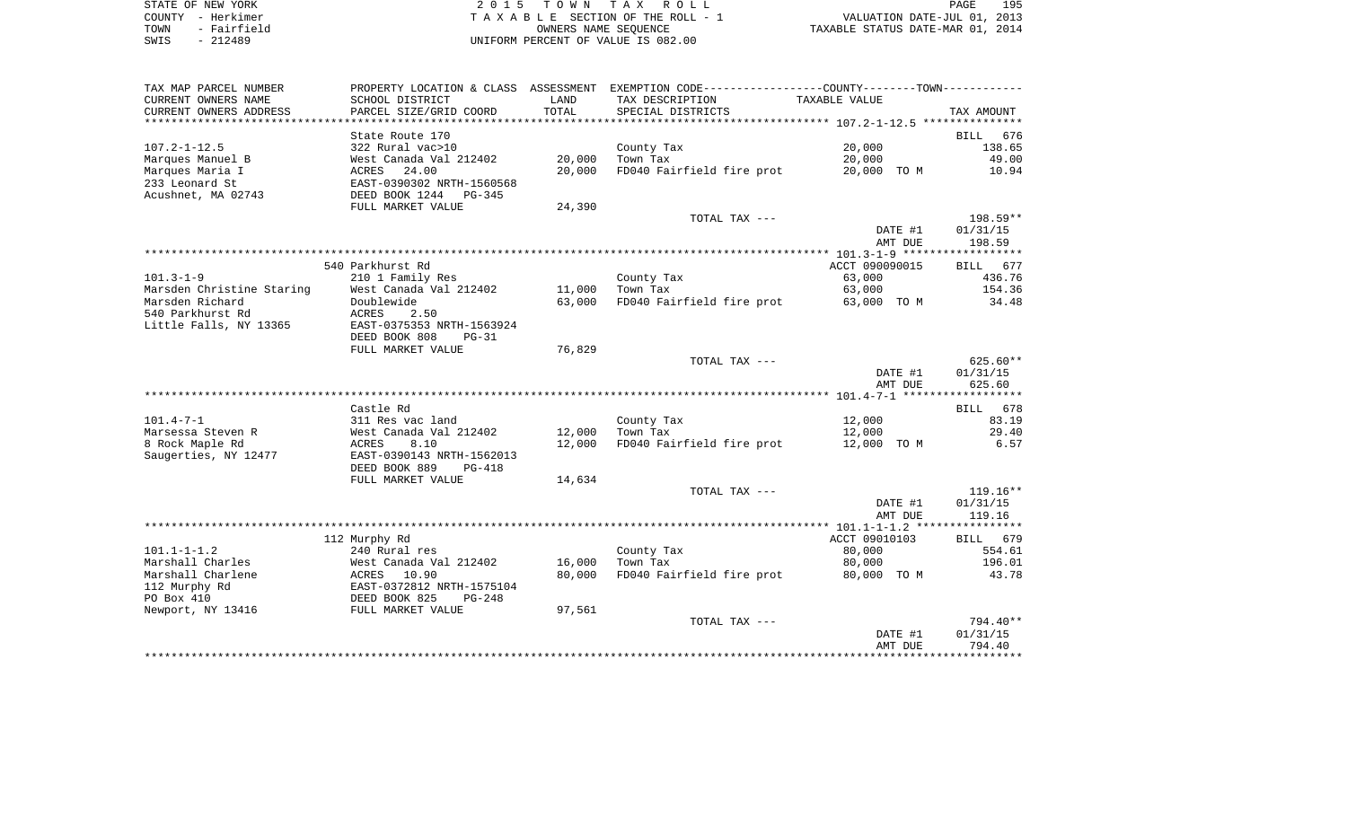| STATE OF NEW YORK   | 2015 TOWN TAX ROLL                 | 195<br>PAGE                      |
|---------------------|------------------------------------|----------------------------------|
| COUNTY - Herkimer   | TAXABLE SECTION OF THE ROLL - 1    | VALUATION DATE-JUL 01, 2013      |
| - Fairfield<br>TOWN | OWNERS NAME SEOUENCE               | TAXABLE STATUS DATE-MAR 01, 2014 |
| $-212489$<br>SWIS   | UNIFORM PERCENT OF VALUE IS 082.00 |                                  |

| TAX MAP PARCEL NUMBER                  |                                          |                  | PROPERTY LOCATION & CLASS ASSESSMENT EXEMPTION CODE----------------COUNTY--------TOWN----------- |                       |                       |
|----------------------------------------|------------------------------------------|------------------|--------------------------------------------------------------------------------------------------|-----------------------|-----------------------|
| CURRENT OWNERS NAME                    | SCHOOL DISTRICT                          | LAND             | TAX DESCRIPTION                                                                                  | TAXABLE VALUE         |                       |
| CURRENT OWNERS ADDRESS                 | PARCEL SIZE/GRID COORD                   | TOTAL            | SPECIAL DISTRICTS                                                                                |                       | TAX AMOUNT            |
|                                        |                                          |                  |                                                                                                  |                       |                       |
|                                        | State Route 170<br>322 Rural vac>10      |                  |                                                                                                  | 20,000                | 676<br>BILL<br>138.65 |
| $107.2 - 1 - 12.5$<br>Marques Manuel B | West Canada Val 212402                   | 20,000           | County Tax<br>Town Tax                                                                           | 20,000                | 49.00                 |
| Marques Maria I                        | 24.00<br>ACRES                           | 20,000           | FD040 Fairfield fire prot                                                                        | 20,000 TO M           | 10.94                 |
| 233 Leonard St                         | EAST-0390302 NRTH-1560568                |                  |                                                                                                  |                       |                       |
| Acushnet, MA 02743                     | DEED BOOK 1244<br>PG-345                 |                  |                                                                                                  |                       |                       |
|                                        | FULL MARKET VALUE                        | 24,390           |                                                                                                  |                       |                       |
|                                        |                                          |                  | TOTAL TAX ---                                                                                    |                       | 198.59**              |
|                                        |                                          |                  |                                                                                                  | DATE #1               | 01/31/15              |
|                                        |                                          |                  |                                                                                                  | AMT DUE               | 198.59                |
|                                        |                                          |                  |                                                                                                  |                       |                       |
|                                        | 540 Parkhurst Rd                         |                  |                                                                                                  | ACCT 090090015        | BILL 677              |
| $101.3 - 1 - 9$                        | 210 1 Family Res                         |                  | County Tax                                                                                       | 63,000                | 436.76                |
| Marsden Christine Staring              | West Canada Val 212402                   | 11,000           | Town Tax                                                                                         | 63,000                | 154.36                |
| Marsden Richard                        | Doublewide                               | 63,000           | FD040 Fairfield fire prot 63,000 TO M                                                            |                       | 34.48                 |
| 540 Parkhurst Rd                       | ACRES<br>2.50                            |                  |                                                                                                  |                       |                       |
| Little Falls, NY 13365                 | EAST-0375353 NRTH-1563924                |                  |                                                                                                  |                       |                       |
|                                        | DEED BOOK 808<br>$PG-31$                 |                  |                                                                                                  |                       |                       |
|                                        | FULL MARKET VALUE                        | 76,829           |                                                                                                  |                       |                       |
|                                        |                                          |                  | TOTAL TAX ---                                                                                    |                       | $625.60**$            |
|                                        |                                          |                  |                                                                                                  | DATE #1<br>AMT DUE    | 01/31/15<br>625.60    |
|                                        |                                          |                  |                                                                                                  |                       |                       |
|                                        | Castle Rd                                |                  |                                                                                                  |                       | BILL 678              |
| $101.4 - 7 - 1$                        | 311 Res vac land                         |                  | County Tax                                                                                       | 12,000                | 83.19                 |
| Marsessa Steven R                      | West Canada Val 212402                   | 12,000           | Town Tax                                                                                         | 12,000                | 29.40                 |
| 8 Rock Maple Rd                        | 8.10<br>ACRES                            | 12,000           | FD040 Fairfield fire prot                                                                        | 12,000 TO M           | 6.57                  |
| Saugerties, NY 12477                   | EAST-0390143 NRTH-1562013                |                  |                                                                                                  |                       |                       |
|                                        | DEED BOOK 889<br>PG-418                  |                  |                                                                                                  |                       |                       |
|                                        | FULL MARKET VALUE                        | 14,634           |                                                                                                  |                       |                       |
|                                        |                                          |                  | TOTAL TAX ---                                                                                    |                       | $119.16***$           |
|                                        |                                          |                  |                                                                                                  | DATE #1               | 01/31/15              |
|                                        |                                          |                  |                                                                                                  | AMT DUE               | 119.16                |
|                                        |                                          |                  |                                                                                                  |                       |                       |
|                                        | 112 Murphy Rd                            |                  |                                                                                                  | ACCT 09010103         | BILL 679              |
| $101.1 - 1 - 1.2$                      | 240 Rural res                            |                  | County Tax                                                                                       | 80,000                | 554.61                |
| Marshall Charles<br>Marshall Charlene  | West Canada Val 212402<br>ACRES<br>10.90 | 16,000<br>80,000 | Town Tax<br>FD040 Fairfield fire prot                                                            | 80,000<br>80,000 TO M | 196.01<br>43.78       |
| 112 Murphy Rd                          | EAST-0372812 NRTH-1575104                |                  |                                                                                                  |                       |                       |
| PO Box 410                             | DEED BOOK 825<br>$PG-248$                |                  |                                                                                                  |                       |                       |
| Newport, NY 13416                      | FULL MARKET VALUE                        | 97,561           |                                                                                                  |                       |                       |
|                                        |                                          |                  | TOTAL TAX ---                                                                                    |                       | 794.40**              |
|                                        |                                          |                  |                                                                                                  | DATE #1               | 01/31/15              |
|                                        |                                          |                  |                                                                                                  | AMT DUE               | 794.40                |
|                                        |                                          |                  |                                                                                                  |                       |                       |
|                                        |                                          |                  |                                                                                                  |                       |                       |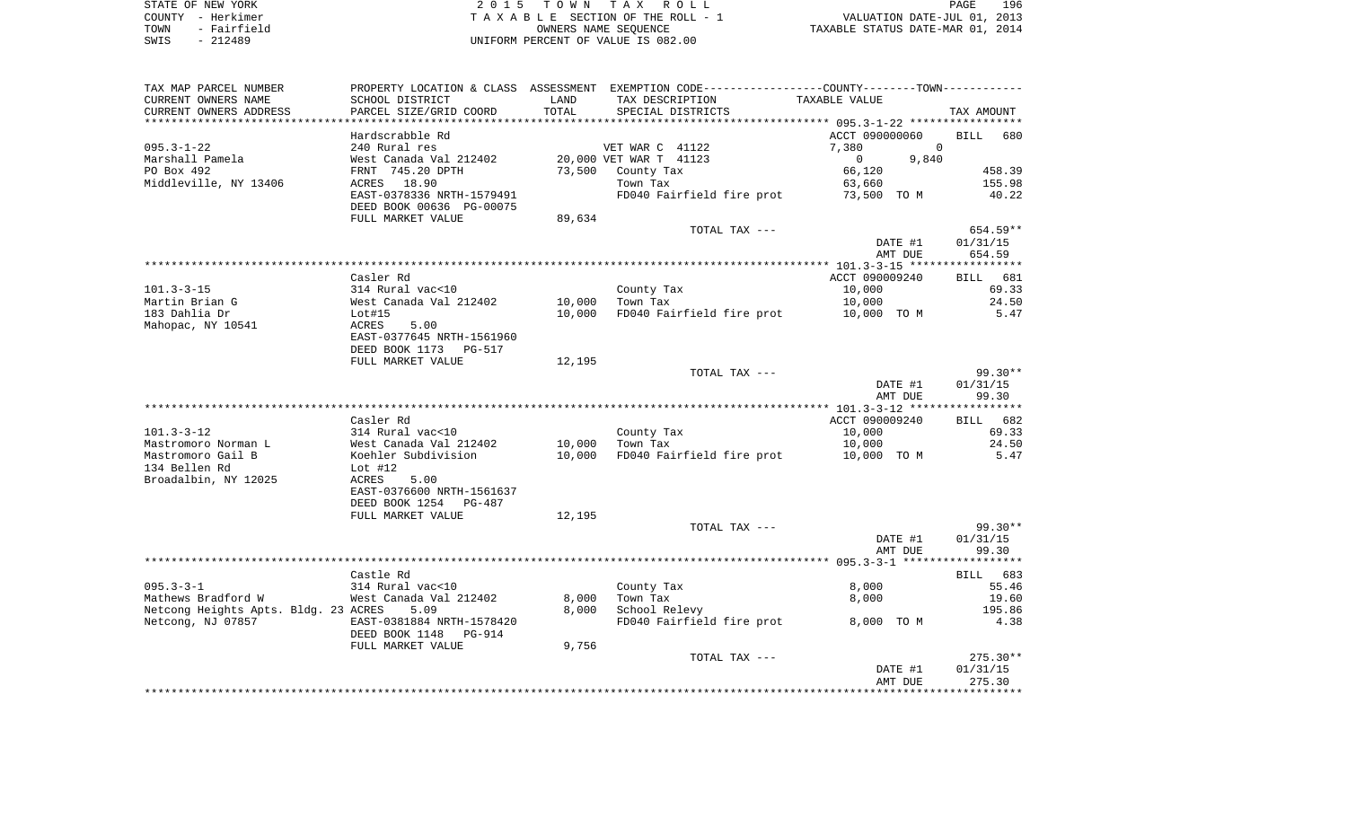|      | STATE OF NEW YORK | 2015 TOWN TAX ROLL                 | 196<br>PAGE                      |
|------|-------------------|------------------------------------|----------------------------------|
|      | COUNTY - Herkimer | TAXABLE SECTION OF THE ROLL - 1    | VALUATION DATE-JUL 01, 2013      |
| TOWN | - Fairfield       | OWNERS NAME SEOUENCE               | TAXABLE STATUS DATE-MAR 01, 2014 |
| SWIS | $-212489$         | UNIFORM PERCENT OF VALUE IS 082.00 |                                  |

| TAX MAP PARCEL NUMBER                |                                            |        | PROPERTY LOCATION & CLASS ASSESSMENT EXEMPTION CODE---------------COUNTY--------TOWN---------- |                         |                    |
|--------------------------------------|--------------------------------------------|--------|------------------------------------------------------------------------------------------------|-------------------------|--------------------|
| CURRENT OWNERS NAME                  | SCHOOL DISTRICT                            | LAND   | TAX DESCRIPTION                                                                                | TAXABLE VALUE           |                    |
| CURRENT OWNERS ADDRESS               | PARCEL SIZE/GRID COORD                     | TOTAL  | SPECIAL DISTRICTS                                                                              |                         | TAX AMOUNT         |
| ******************************       |                                            |        |                                                                                                |                         |                    |
|                                      | Hardscrabble Rd                            |        |                                                                                                | ACCT 090000060          | <b>BILL</b><br>680 |
| $095.3 - 1 - 22$                     | 240 Rural res                              |        | VET WAR C 41122                                                                                | $\Omega$<br>7,380       |                    |
| Marshall Pamela                      | West Canada Val 212402                     |        | 20,000 VET WAR T 41123                                                                         | $\overline{0}$<br>9,840 |                    |
| PO Box 492                           | FRNT 745.20 DPTH                           | 73,500 | County Tax                                                                                     | 66,120                  | 458.39             |
| Middleville, NY 13406                | ACRES 18.90                                |        | Town Tax                                                                                       | 63,660                  | 155.98             |
|                                      | EAST-0378336 NRTH-1579491                  |        | FD040 Fairfield fire prot                                                                      | 73,500 TO M             | 40.22              |
|                                      | DEED BOOK 00636 PG-00075                   |        |                                                                                                |                         |                    |
|                                      | FULL MARKET VALUE                          | 89,634 | TOTAL TAX ---                                                                                  |                         | $654.59**$         |
|                                      |                                            |        |                                                                                                | DATE #1                 | 01/31/15           |
|                                      |                                            |        |                                                                                                | AMT DUE                 | 654.59             |
|                                      |                                            |        |                                                                                                |                         |                    |
|                                      | Casler Rd                                  |        |                                                                                                | ACCT 090009240          | BILL 681           |
| $101.3 - 3 - 15$                     | 314 Rural vac<10                           |        | County Tax                                                                                     | 10,000                  | 69.33              |
| Martin Brian G                       | West Canada Val 212402                     | 10,000 | Town Tax                                                                                       | 10,000                  | 24.50              |
| 183 Dahlia Dr                        | Lot#15                                     | 10,000 | FD040 Fairfield fire prot 10,000 TO M                                                          |                         | 5.47               |
| Mahopac, NY 10541                    | ACRES<br>5.00                              |        |                                                                                                |                         |                    |
|                                      | EAST-0377645 NRTH-1561960                  |        |                                                                                                |                         |                    |
|                                      | DEED BOOK 1173<br>PG-517                   |        |                                                                                                |                         |                    |
|                                      | FULL MARKET VALUE                          | 12,195 |                                                                                                |                         |                    |
|                                      |                                            |        | TOTAL TAX ---                                                                                  |                         | $99.30**$          |
|                                      |                                            |        |                                                                                                | DATE #1                 | 01/31/15           |
|                                      |                                            |        |                                                                                                | AMT DUE                 | 99.30              |
|                                      |                                            |        |                                                                                                |                         |                    |
|                                      | Casler Rd                                  |        |                                                                                                | ACCT 090009240          | BILL 682           |
| $101.3 - 3 - 12$                     | 314 Rural vac<10                           |        | County Tax                                                                                     | 10,000                  | 69.33              |
| Mastromoro Norman L                  | West Canada Val 212402                     | 10,000 | Town Tax                                                                                       | 10,000                  | 24.50              |
| Mastromoro Gail B                    | Koehler Subdivision                        | 10,000 | FD040 Fairfield fire prot                                                                      | 10,000 TO M             | 5.47               |
| 134 Bellen Rd                        | Lot #12                                    |        |                                                                                                |                         |                    |
| Broadalbin, NY 12025                 | ACRES<br>5.00<br>EAST-0376600 NRTH-1561637 |        |                                                                                                |                         |                    |
|                                      | DEED BOOK 1254 PG-487                      |        |                                                                                                |                         |                    |
|                                      | FULL MARKET VALUE                          | 12,195 |                                                                                                |                         |                    |
|                                      |                                            |        | TOTAL TAX ---                                                                                  |                         | 99.30**            |
|                                      |                                            |        |                                                                                                | DATE #1                 | 01/31/15           |
|                                      |                                            |        |                                                                                                | AMT DUE                 | 99.30              |
|                                      |                                            |        |                                                                                                |                         |                    |
|                                      | Castle Rd                                  |        |                                                                                                |                         | BILL 683           |
| $095.3 - 3 - 1$                      | 314 Rural vac<10                           |        | County Tax                                                                                     | 8,000                   | 55.46              |
| Mathews Bradford W                   | West Canada Val 212402                     | 8,000  | Town Tax                                                                                       | 8,000                   | 19.60              |
| Netcong Heights Apts. Bldg. 23 ACRES | 5.09                                       | 8,000  | School Relevy                                                                                  |                         | 195.86             |
| Netcong, NJ 07857                    | EAST-0381884 NRTH-1578420                  |        | FD040 Fairfield fire prot                                                                      | 8,000 TO M              | 4.38               |
|                                      | DEED BOOK 1148<br>PG-914                   |        |                                                                                                |                         |                    |
|                                      | FULL MARKET VALUE                          | 9,756  |                                                                                                |                         |                    |
|                                      |                                            |        | TOTAL TAX ---                                                                                  |                         | $275.30**$         |
|                                      |                                            |        |                                                                                                | DATE #1                 | 01/31/15           |
|                                      |                                            |        |                                                                                                | AMT DUE                 | 275.30             |
|                                      |                                            |        |                                                                                                |                         |                    |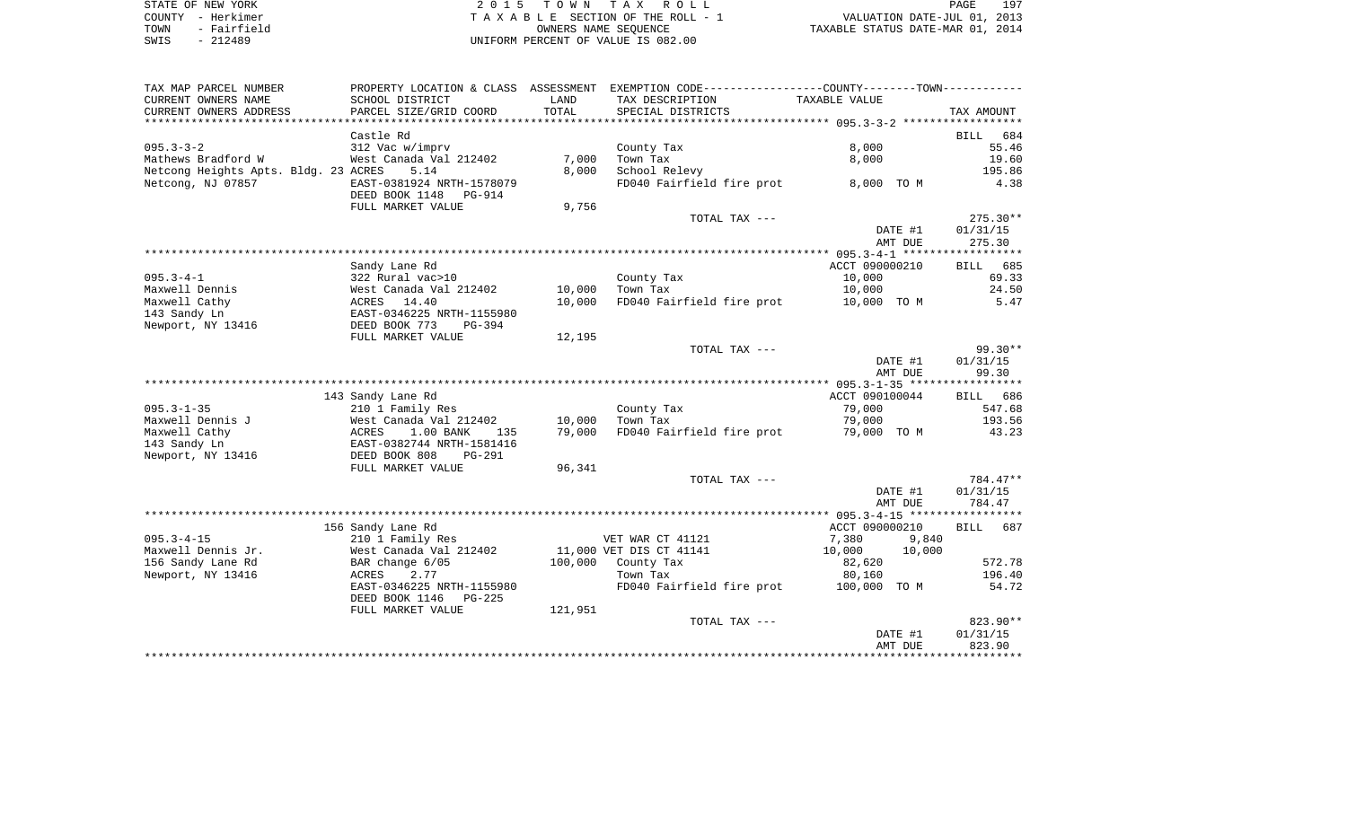| STATE OF NEW YORK   | 2015 TOWN TAX ROLL                 | 197<br>PAGE                      |
|---------------------|------------------------------------|----------------------------------|
| COUNTY - Herkimer   | TAXABLE SECTION OF THE ROLL - 1    | VALUATION DATE-JUL 01, 2013      |
| - Fairfield<br>TOWN | OWNERS NAME SEOUENCE               | TAXABLE STATUS DATE-MAR 01, 2014 |
| - 212489<br>SWIS    | UNIFORM PERCENT OF VALUE IS 082.00 |                                  |

| TAX MAP PARCEL NUMBER                  | PROPERTY LOCATION & CLASS ASSESSMENT                         |                  | EXEMPTION CODE-----------------COUNTY--------TOWN----------- |                       |                    |
|----------------------------------------|--------------------------------------------------------------|------------------|--------------------------------------------------------------|-----------------------|--------------------|
| CURRENT OWNERS NAME                    | SCHOOL DISTRICT                                              | LAND             | TAX DESCRIPTION                                              | TAXABLE VALUE         |                    |
| CURRENT OWNERS ADDRESS                 | PARCEL SIZE/GRID COORD                                       | TOTAL            | SPECIAL DISTRICTS                                            |                       | TAX AMOUNT         |
|                                        |                                                              |                  |                                                              |                       |                    |
|                                        | Castle Rd                                                    |                  |                                                              |                       | 684<br><b>BILL</b> |
| $095.3 - 3 - 2$                        | 312 Vac w/imprv                                              |                  | County Tax                                                   | 8,000                 | 55.46              |
| Mathews Bradford W                     | West Canada Val 212402                                       | 7,000            | Town Tax                                                     | 8,000                 | 19.60              |
| Netcong Heights Apts. Bldg. 23 ACRES   | 5.14                                                         | 8,000            | School Relevy                                                |                       | 195.86             |
| Netcong, NJ 07857                      | EAST-0381924 NRTH-1578079<br>DEED BOOK 1148<br><b>PG-914</b> |                  | FD040 Fairfield fire prot                                    | 8,000 TO M            | 4.38               |
|                                        | FULL MARKET VALUE                                            | 9,756            |                                                              |                       |                    |
|                                        |                                                              |                  | TOTAL TAX ---                                                |                       | $275.30**$         |
|                                        |                                                              |                  |                                                              | DATE #1               | 01/31/15           |
|                                        |                                                              |                  |                                                              | AMT DUE               | 275.30             |
|                                        |                                                              |                  |                                                              |                       |                    |
|                                        | Sandy Lane Rd                                                |                  |                                                              | ACCT 090000210        | 685<br>BILL        |
| $095.3 - 4 - 1$<br>Maxwell Dennis      | 322 Rural vac>10                                             |                  | County Tax                                                   | 10,000                | 69.33<br>24.50     |
| Maxwell Cathy                          | West Canada Val 212402                                       | 10,000<br>10,000 | Town Tax<br>FD040 Fairfield fire prot                        | 10,000<br>10,000 TO M | 5.47               |
| 143 Sandy Ln                           | ACRES<br>14.40<br>EAST-0346225 NRTH-1155980                  |                  |                                                              |                       |                    |
| Newport, NY 13416                      | DEED BOOK 773<br>$PG-394$                                    |                  |                                                              |                       |                    |
|                                        | FULL MARKET VALUE                                            | 12,195           |                                                              |                       |                    |
|                                        |                                                              |                  | TOTAL TAX ---                                                |                       | $99.30**$          |
|                                        |                                                              |                  |                                                              | DATE #1               | 01/31/15           |
|                                        |                                                              |                  |                                                              | AMT DUE               | 99.30              |
|                                        |                                                              |                  |                                                              |                       |                    |
|                                        | 143 Sandy Lane Rd                                            |                  |                                                              | ACCT 090100044        | BILL 686           |
| $095.3 - 1 - 35$                       | 210 1 Family Res                                             |                  | County Tax                                                   | 79,000                | 547.68             |
| Maxwell Dennis J                       | West Canada Val 212402                                       | 10,000           | Town Tax                                                     | 79,000                | 193.56             |
| Maxwell Cathy                          | ACRES<br>1.00 BANK<br>135                                    | 79,000           | FD040 Fairfield fire prot                                    | 79,000 TO M           | 43.23              |
| 143 Sandy Ln                           | EAST-0382744 NRTH-1581416                                    |                  |                                                              |                       |                    |
| Newport, NY 13416                      | DEED BOOK 808<br>PG-291                                      |                  |                                                              |                       |                    |
|                                        | FULL MARKET VALUE                                            | 96,341           |                                                              |                       |                    |
|                                        |                                                              |                  | TOTAL TAX ---                                                |                       | 784.47**           |
|                                        |                                                              |                  |                                                              | DATE #1               | 01/31/15           |
|                                        |                                                              |                  |                                                              | AMT DUE               | 784.47             |
|                                        |                                                              |                  |                                                              |                       |                    |
|                                        | 156 Sandy Lane Rd                                            |                  |                                                              | ACCT 090000210        | <b>BILL</b><br>687 |
| $095.3 - 4 - 15$                       | 210 1 Family Res                                             |                  | VET WAR CT 41121                                             | 7,380                 | 9,840              |
| Maxwell Dennis Jr.                     | West Canada Val 212402                                       |                  | 11,000 VET DIS CT 41141                                      | 10,000<br>10,000      |                    |
| 156 Sandy Lane Rd<br>Newport, NY 13416 | BAR change 6/05<br>2.77<br>ACRES                             | 100,000          | County Tax<br>Town Tax                                       | 82,620<br>80,160      | 572.78<br>196.40   |
|                                        | EAST-0346225 NRTH-1155980                                    |                  | FD040 Fairfield fire prot                                    | 100,000 TO M          | 54.72              |
|                                        | DEED BOOK 1146<br>$PG-225$                                   |                  |                                                              |                       |                    |
|                                        | FULL MARKET VALUE                                            | 121,951          |                                                              |                       |                    |
|                                        |                                                              |                  | TOTAL TAX ---                                                |                       | $823.90**$         |
|                                        |                                                              |                  |                                                              | DATE #1               | 01/31/15           |
|                                        |                                                              |                  |                                                              | AMT DUE               | 823.90             |
|                                        |                                                              |                  |                                                              |                       |                    |
|                                        |                                                              |                  |                                                              |                       |                    |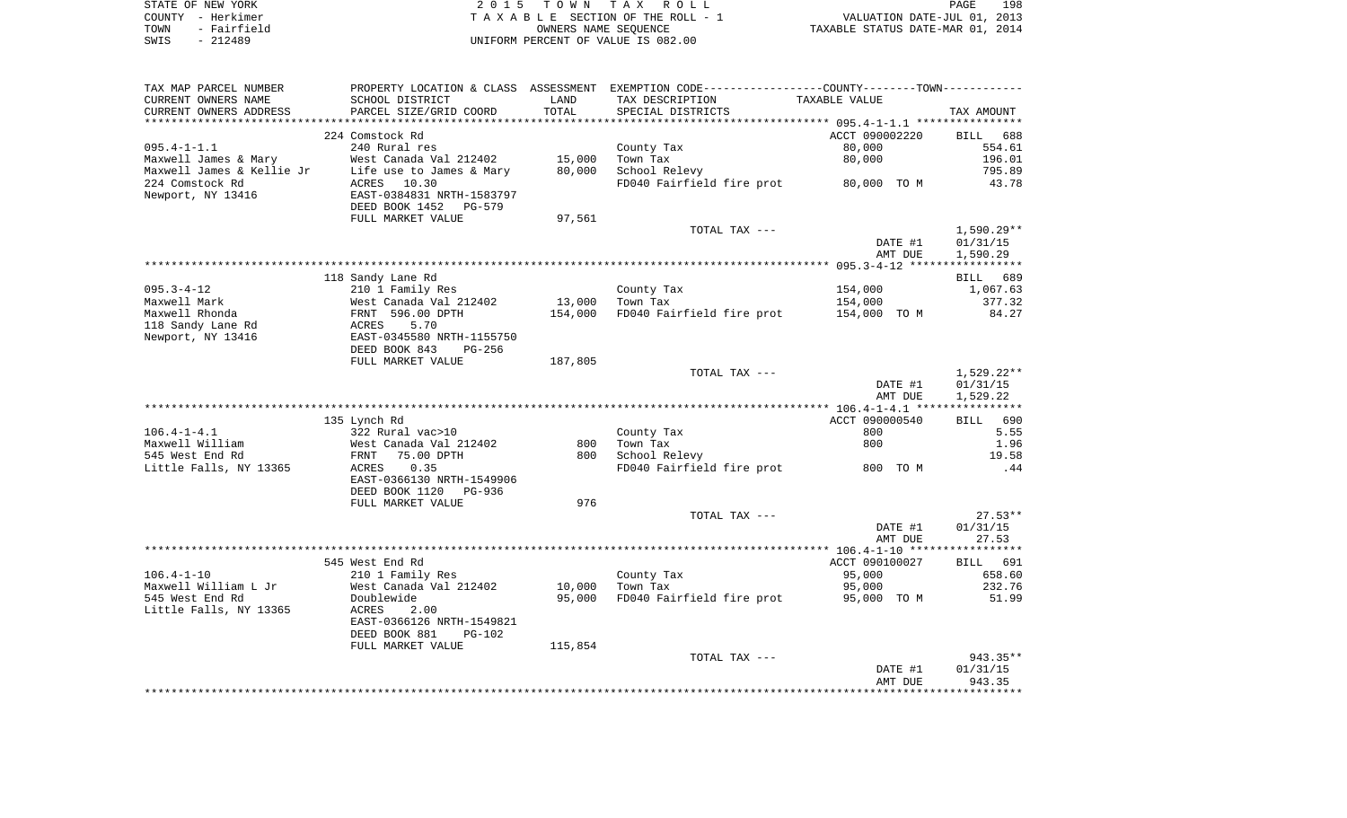|      | STATE OF NEW YORK | 2015 TOWN TAX ROLL                 | 198<br><b>PAGE</b>               |
|------|-------------------|------------------------------------|----------------------------------|
|      | COUNTY - Herkimer | TAXABLE SECTION OF THE ROLL - 1    | VALUATION DATE-JUL 01, 2013      |
| TOWN | - Fairfield       | OWNERS NAME SEOUENCE               | TAXABLE STATUS DATE-MAR 01, 2014 |
| SWIS | - 212489          | UNIFORM PERCENT OF VALUE IS 082.00 |                                  |

| TAX MAP PARCEL NUMBER  |                                             |         | PROPERTY LOCATION & CLASS ASSESSMENT EXEMPTION CODE---------------COUNTY-------TOWN---------- |                |              |
|------------------------|---------------------------------------------|---------|-----------------------------------------------------------------------------------------------|----------------|--------------|
| CURRENT OWNERS NAME    | SCHOOL DISTRICT                             | LAND    | TAX DESCRIPTION                                                                               | TAXABLE VALUE  |              |
| CURRENT OWNERS ADDRESS | PARCEL SIZE/GRID COORD                      | TOTAL   | SPECIAL DISTRICTS                                                                             |                | TAX AMOUNT   |
|                        |                                             |         |                                                                                               |                |              |
|                        | 224 Comstock Rd                             |         |                                                                                               | ACCT 090002220 | BILL 688     |
|                        |                                             |         |                                                                                               |                |              |
| $095.4 - 1 - 1.1$      | 240 Rural res                               |         | County Tax                                                                                    | 80,000         | 554.61       |
|                        | West Canada Val 212402                      | 15,000  | Town Tax                                                                                      | 80,000         | 196.01       |
|                        |                                             | 80,000  | School Relevy                                                                                 |                | 795.89       |
| 224 Comstock Rd        | ACRES<br>10.30                              |         | FD040 Fairfield fire prot 80,000 TO M                                                         |                | 43.78        |
| Newport, NY 13416      | EAST-0384831 NRTH-1583797                   |         |                                                                                               |                |              |
|                        | DEED BOOK 1452 PG-579                       |         |                                                                                               |                |              |
|                        | FULL MARKET VALUE                           | 97,561  |                                                                                               |                |              |
|                        |                                             |         | TOTAL TAX ---                                                                                 |                | $1,590.29**$ |
|                        |                                             |         |                                                                                               |                |              |
|                        |                                             |         |                                                                                               | DATE #1        | 01/31/15     |
|                        |                                             |         |                                                                                               | AMT DUE        | 1,590.29     |
|                        |                                             |         |                                                                                               |                |              |
|                        | 118 Sandy Lane Rd                           |         |                                                                                               |                | BILL 689     |
| $095.3 - 4 - 12$       | 210 1 Family Res                            |         | County Tax                                                                                    | 154,000        | 1,067.63     |
| Maxwell Mark           | West Canada Val 212402                      | 13,000  | Town Tax                                                                                      | 154,000        | 377.32       |
| Maxwell Rhonda         | FRNT 596.00 DPTH                            | 154,000 | FD040 Fairfield fire prot 154,000 TO M                                                        |                | 84.27        |
| 118 Sandy Lane Rd      | ACRES<br>5.70                               |         |                                                                                               |                |              |
|                        | EAST-0345580 NRTH-1155750                   |         |                                                                                               |                |              |
| Newport, NY 13416      |                                             |         |                                                                                               |                |              |
|                        | DEED BOOK 843<br>PG-256                     |         |                                                                                               |                |              |
|                        | FULL MARKET VALUE                           | 187,805 |                                                                                               |                |              |
|                        |                                             |         | TOTAL TAX ---                                                                                 |                | $1,529.22**$ |
|                        |                                             |         |                                                                                               | DATE #1        | 01/31/15     |
|                        |                                             |         |                                                                                               | AMT DUE        | 1,529.22     |
|                        |                                             |         |                                                                                               |                |              |
|                        | 135 Lynch Rd                                |         |                                                                                               | ACCT 090000540 | BILL 690     |
| $106.4 - 1 - 4.1$      | 322 Rural vac>10                            |         | County Tax                                                                                    | 800            | 5.55         |
|                        |                                             |         |                                                                                               |                |              |
| Maxwell William        | vest Canada Val 212402<br>FRNT   75.00 DPTH | 800     | Town Tax                                                                                      | 800            | 1.96         |
| 545 West End Rd        |                                             | 800     | School Relevy                                                                                 |                | 19.58        |
| Little Falls, NY 13365 | 0.35<br>ACRES                               |         | FD040 Fairfield fire prot 800 TO M                                                            |                | .44          |
|                        | EAST-0366130 NRTH-1549906                   |         |                                                                                               |                |              |
|                        | DEED BOOK 1120<br>PG-936                    |         |                                                                                               |                |              |
|                        | FULL MARKET VALUE                           | 976     |                                                                                               |                |              |
|                        |                                             |         | TOTAL TAX ---                                                                                 |                | $27.53**$    |
|                        |                                             |         |                                                                                               | DATE #1        | 01/31/15     |
|                        |                                             |         |                                                                                               |                |              |
|                        |                                             |         |                                                                                               | AMT DUE        | 27.53        |
|                        |                                             |         |                                                                                               |                |              |
|                        | 545 West End Rd                             |         |                                                                                               | ACCT 090100027 | BILL 691     |
| $106.4 - 1 - 10$       | 210 1 Family Res                            |         | County Tax                                                                                    | 95,000         | 658.60       |
| Maxwell William L Jr   | West Canada Val 212402                      | 10,000  | Town Tax                                                                                      | 95,000         | 232.76       |
| 545 West End Rd        | Doublewide                                  | 95,000  | FD040 Fairfield fire prot 95,000 TO M                                                         |                | 51.99        |
| Little Falls, NY 13365 | ACRES<br>2.00                               |         |                                                                                               |                |              |
|                        | EAST-0366126 NRTH-1549821                   |         |                                                                                               |                |              |
|                        |                                             |         |                                                                                               |                |              |
|                        | DEED BOOK 881<br>$PG-102$                   |         |                                                                                               |                |              |
|                        | FULL MARKET VALUE                           | 115,854 |                                                                                               |                |              |
|                        |                                             |         | TOTAL TAX ---                                                                                 |                | 943.35**     |
|                        |                                             |         |                                                                                               | DATE #1        | 01/31/15     |
|                        |                                             |         |                                                                                               | AMT DUE        | 943.35       |
|                        |                                             |         |                                                                                               |                |              |
|                        |                                             |         |                                                                                               |                |              |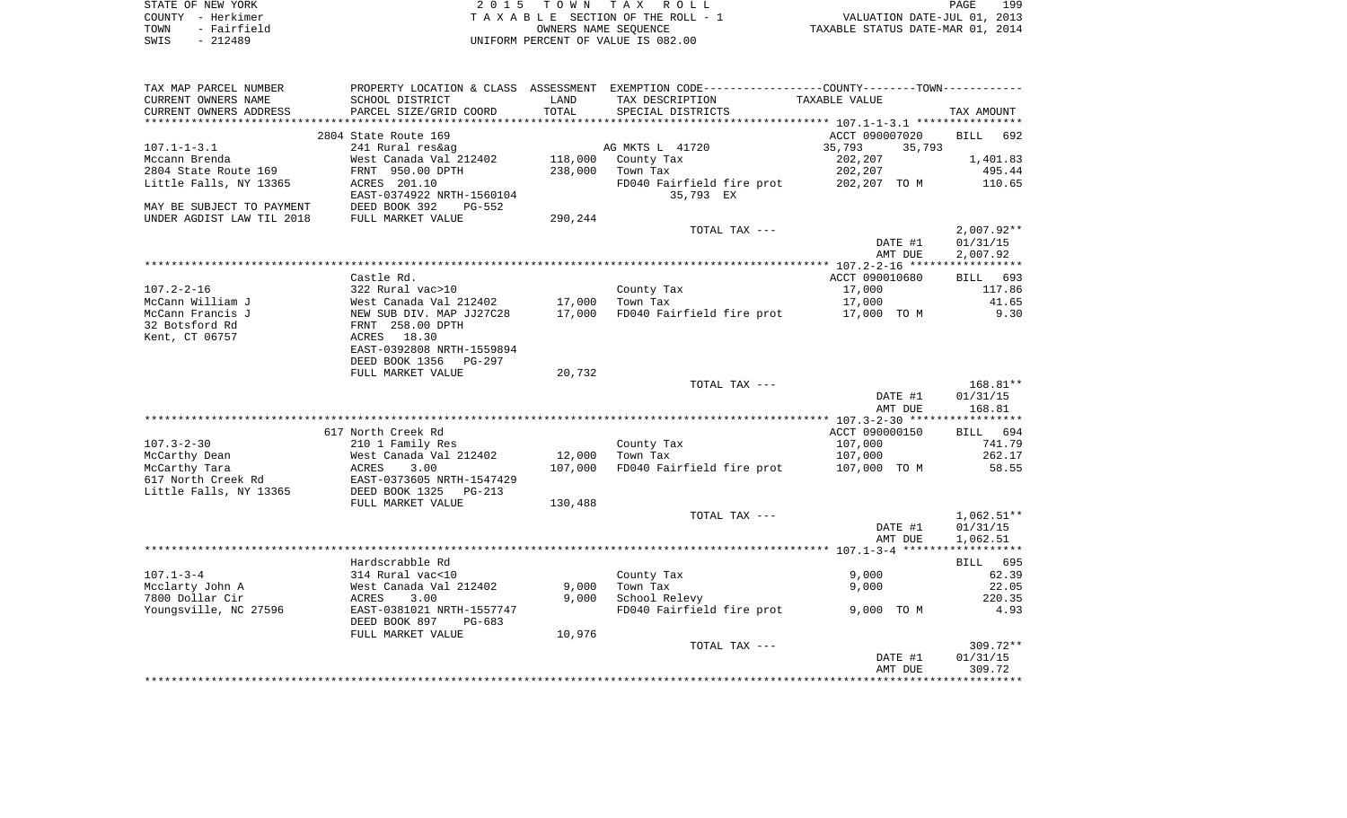| STATE OF NEW YORK   | 2015 TOWN TAX ROLL                 | 199<br>PAGE                      |
|---------------------|------------------------------------|----------------------------------|
| COUNTY – Herkimer   | TAXABLE SECTION OF THE ROLL - 1    | VALUATION DATE-JUL 01, 2013      |
| - Fairfield<br>TOWN | OWNERS NAME SEOUENCE               | TAXABLE STATUS DATE-MAR 01, 2014 |
| - 212489<br>SWIS    | UNIFORM PERCENT OF VALUE IS 082.00 |                                  |

| TAX MAP PARCEL NUMBER     |                               |         | PROPERTY LOCATION & CLASS ASSESSMENT EXEMPTION CODE----------------COUNTY-------TOWN---------- |                  |                    |
|---------------------------|-------------------------------|---------|------------------------------------------------------------------------------------------------|------------------|--------------------|
| CURRENT OWNERS NAME       | SCHOOL DISTRICT               | LAND    | TAX DESCRIPTION                                                                                | TAXABLE VALUE    |                    |
| CURRENT OWNERS ADDRESS    | PARCEL SIZE/GRID COORD        | TOTAL   | SPECIAL DISTRICTS                                                                              |                  | TAX AMOUNT         |
| ***********************   | ***************************** |         |                                                                                                |                  |                    |
|                           | 2804 State Route 169          |         |                                                                                                | ACCT 090007020   | <b>BILL</b><br>692 |
| $107.1 - 1 - 3.1$         | 241 Rural res&ag              |         | AG MKTS L 41720                                                                                | 35,793<br>35,793 |                    |
| Mccann Brenda             | West Canada Val 212402        | 118,000 | County Tax                                                                                     | 202,207          | 1,401.83           |
| 2804 State Route 169      | FRNT 950.00 DPTH              | 238,000 | Town Tax                                                                                       | 202,207          | 495.44             |
| Little Falls, NY 13365    | ACRES 201.10                  |         | FD040 Fairfield fire prot                                                                      | 202,207 TO M     | 110.65             |
|                           | EAST-0374922 NRTH-1560104     |         | 35,793 EX                                                                                      |                  |                    |
| MAY BE SUBJECT TO PAYMENT | DEED BOOK 392<br>PG-552       |         |                                                                                                |                  |                    |
| UNDER AGDIST LAW TIL 2018 | FULL MARKET VALUE             | 290,244 |                                                                                                |                  |                    |
|                           |                               |         | TOTAL TAX ---                                                                                  |                  | $2,007.92**$       |
|                           |                               |         |                                                                                                | DATE #1          | 01/31/15           |
|                           |                               |         |                                                                                                | AMT DUE          | 2,007.92           |
|                           |                               |         |                                                                                                |                  |                    |
|                           | Castle Rd.                    |         |                                                                                                | ACCT 090010680   | BILL 693           |
| $107.2 - 2 - 16$          | 322 Rural vac>10              |         | County Tax                                                                                     | 17,000           | 117.86             |
| McCann William J          | West Canada Val 212402        | 17,000  | Town Tax                                                                                       | 17,000           | 41.65              |
| McCann Francis J          | NEW SUB DIV. MAP JJ27C28      | 17,000  | FD040 Fairfield fire prot                                                                      | 17,000 TO M      | 9.30               |
| 32 Botsford Rd            | FRNT 258.00 DPTH              |         |                                                                                                |                  |                    |
| Kent, CT 06757            | 18.30<br>ACRES                |         |                                                                                                |                  |                    |
|                           | EAST-0392808 NRTH-1559894     |         |                                                                                                |                  |                    |
|                           | DEED BOOK 1356<br>$PG-297$    |         |                                                                                                |                  |                    |
|                           | FULL MARKET VALUE             | 20,732  |                                                                                                |                  |                    |
|                           |                               |         | TOTAL TAX ---                                                                                  |                  | $168.81**$         |
|                           |                               |         |                                                                                                | DATE #1          | 01/31/15           |
|                           |                               |         |                                                                                                | AMT DUE          | 168.81             |
|                           |                               |         |                                                                                                |                  |                    |
|                           | 617 North Creek Rd            |         |                                                                                                | ACCT 090000150   | 694<br>BILL        |
| $107.3 - 2 - 30$          | 210 1 Family Res              |         | County Tax                                                                                     | 107,000          | 741.79             |
| McCarthy Dean             | West Canada Val 212402        | 12,000  | Town Tax                                                                                       | 107,000          | 262.17             |
| McCarthy Tara             | 3.00<br>ACRES                 | 107,000 | FD040 Fairfield fire prot                                                                      | 107,000 TO M     | 58.55              |
| 617 North Creek Rd        | EAST-0373605 NRTH-1547429     |         |                                                                                                |                  |                    |
| Little Falls, NY 13365    | DEED BOOK 1325<br>$PG-213$    |         |                                                                                                |                  |                    |
|                           | FULL MARKET VALUE             | 130,488 |                                                                                                |                  |                    |
|                           |                               |         | TOTAL TAX ---                                                                                  |                  | $1,062.51**$       |
|                           |                               |         |                                                                                                | DATE #1          | 01/31/15           |
|                           |                               |         |                                                                                                | AMT DUE          | 1,062.51           |
|                           |                               |         |                                                                                                |                  |                    |
|                           | Hardscrabble Rd               |         |                                                                                                |                  | 695<br>BILL        |
| $107.1 - 3 - 4$           | 314 Rural vac<10              |         | County Tax                                                                                     | 9,000            | 62.39              |
| Mcclarty John A           | West Canada Val 212402        | 9,000   | Town Tax                                                                                       | 9,000            | 22.05              |
| 7800 Dollar Cir           | ACRES<br>3.00                 | 9.000   | School Relevy                                                                                  |                  | 220.35             |
| Youngsville, NC 27596     | EAST-0381021 NRTH-1557747     |         | FD040 Fairfield fire prot                                                                      | 9,000 TO M       | 4.93               |
|                           | DEED BOOK 897<br>PG-683       |         |                                                                                                |                  |                    |
|                           | FULL MARKET VALUE             | 10,976  |                                                                                                |                  |                    |
|                           |                               |         | TOTAL TAX ---                                                                                  |                  | $309.72**$         |
|                           |                               |         |                                                                                                | DATE #1          | 01/31/15           |
|                           |                               |         |                                                                                                | AMT DUE          | 309.72             |
|                           |                               |         |                                                                                                |                  |                    |
|                           |                               |         |                                                                                                |                  |                    |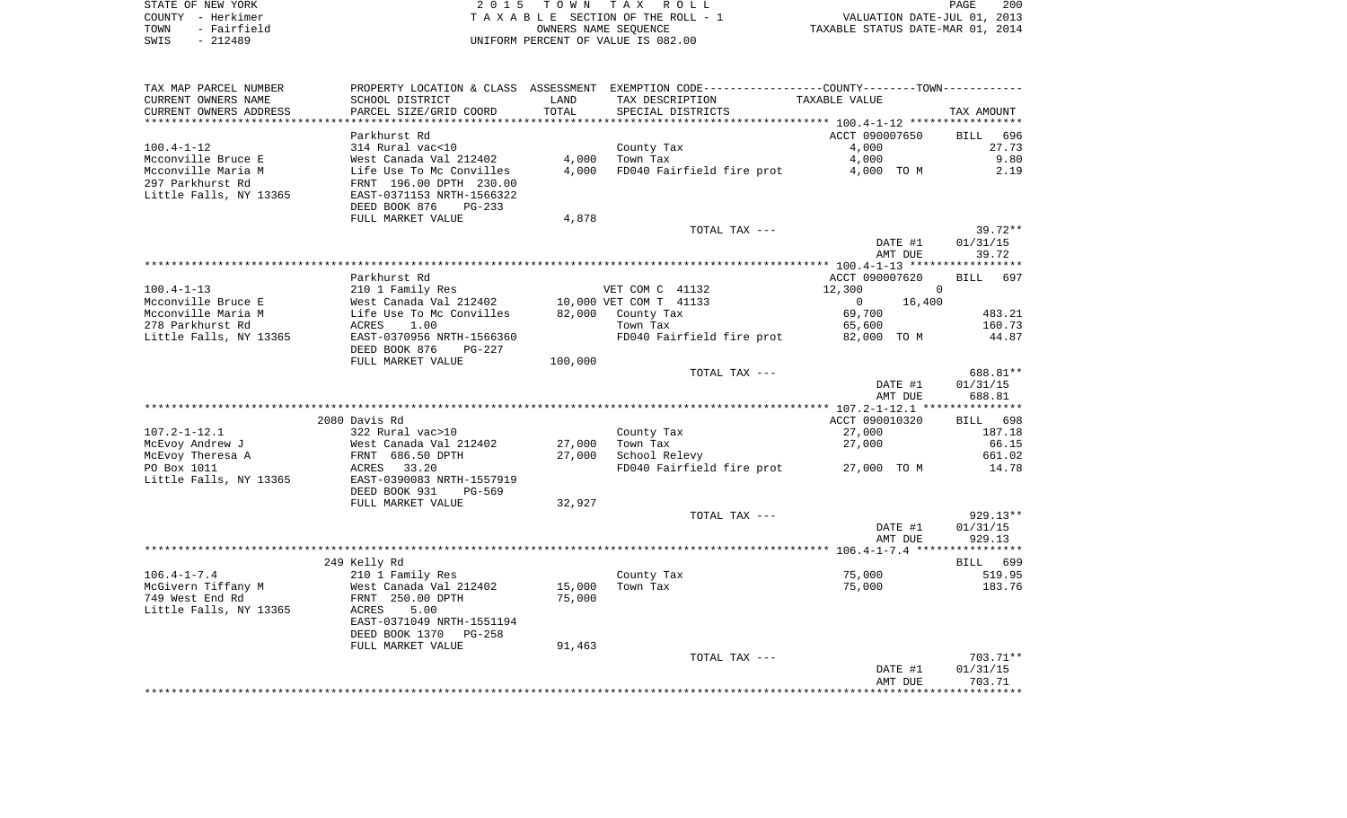|      | STATE OF NEW YORK | 2015 TOWN TAX ROLL                 | 200<br>PAGE                      |
|------|-------------------|------------------------------------|----------------------------------|
|      | COUNTY - Herkimer | TAXABLE SECTION OF THE ROLL - 1    | VALUATION DATE-JUL 01, 2013      |
| TOWN | - Fairfield       | OWNERS NAME SEOUENCE               | TAXABLE STATUS DATE-MAR 01, 2014 |
| SWIS | $-212489$         | UNIFORM PERCENT OF VALUE IS 082.00 |                                  |

| TAX MAP PARCEL NUMBER  |                            |         | PROPERTY LOCATION & CLASS ASSESSMENT EXEMPTION CODE----------------COUNTY-------TOWN---------- |                       |                    |
|------------------------|----------------------------|---------|------------------------------------------------------------------------------------------------|-----------------------|--------------------|
| CURRENT OWNERS NAME    | SCHOOL DISTRICT            | LAND    | TAX DESCRIPTION                                                                                | TAXABLE VALUE         |                    |
| CURRENT OWNERS ADDRESS | PARCEL SIZE/GRID COORD     | TOTAL   | SPECIAL DISTRICTS                                                                              |                       | TAX AMOUNT         |
| *********************  | ************************** |         |                                                                                                |                       |                    |
|                        | Parkhurst Rd               |         |                                                                                                | ACCT 090007650        | <b>BILL</b><br>696 |
| $100.4 - 1 - 12$       | 314 Rural vac<10           |         | County Tax                                                                                     | 4,000                 | 27.73              |
| Mcconville Bruce E     | West Canada Val 212402     | 4,000   | Town Tax                                                                                       | 4,000                 | 9.80               |
| Mcconville Maria M     | Life Use To Mc Convilles   | 4,000   | FD040 Fairfield fire prot                                                                      | 4,000 TO M            | 2.19               |
| 297 Parkhurst Rd       | FRNT 196.00 DPTH 230.00    |         |                                                                                                |                       |                    |
| Little Falls, NY 13365 | EAST-0371153 NRTH-1566322  |         |                                                                                                |                       |                    |
|                        | DEED BOOK 876<br>$PG-233$  |         |                                                                                                |                       |                    |
|                        | FULL MARKET VALUE          | 4,878   |                                                                                                |                       |                    |
|                        |                            |         | TOTAL TAX ---                                                                                  |                       | $39.72**$          |
|                        |                            |         |                                                                                                | DATE #1               | 01/31/15           |
|                        |                            |         |                                                                                                | AMT DUE               | 39.72              |
|                        |                            |         |                                                                                                |                       |                    |
|                        | Parkhurst Rd               |         |                                                                                                | ACCT 090007620        | BILL 697           |
| $100.4 - 1 - 13$       | 210 1 Family Res           |         | VET COM C 41132                                                                                | 12,300                | $\mathbf 0$        |
| Mcconville Bruce E     | West Canada Val 212402     |         | 10,000 VET COM T 41133                                                                         | $\mathbf 0$<br>16,400 |                    |
| Mcconville Maria M     | Life Use To Mc Convilles   | 82,000  | County Tax                                                                                     | 69,700                | 483.21             |
| 278 Parkhurst Rd       | 1.00<br>ACRES              |         | Town Tax                                                                                       | 65,600                | 160.73             |
| Little Falls, NY 13365 | EAST-0370956 NRTH-1566360  |         | FD040 Fairfield fire prot                                                                      | 82,000 TO M           | 44.87              |
|                        | DEED BOOK 876<br>$PG-227$  |         |                                                                                                |                       |                    |
|                        | FULL MARKET VALUE          | 100,000 |                                                                                                |                       |                    |
|                        |                            |         | TOTAL TAX ---                                                                                  |                       | 688.81**           |
|                        |                            |         |                                                                                                | DATE #1               | 01/31/15           |
|                        |                            |         |                                                                                                | AMT DUE               | 688.81             |
|                        | 2080 Davis Rd              |         |                                                                                                | ACCT 090010320        | BILL 698           |
| $107.2 - 1 - 12.1$     | 322 Rural vac>10           |         | County Tax                                                                                     | 27,000                | 187.18             |
| McEvoy Andrew J        | West Canada Val 212402     | 27,000  | Town Tax                                                                                       | 27,000                | 66.15              |
| McEvoy Theresa A       | FRNT 686.50 DPTH           | 27,000  | School Relevy                                                                                  |                       | 661.02             |
| PO Box 1011            | 33.20<br>ACRES             |         | FD040 Fairfield fire prot                                                                      | 27,000 TO M           | 14.78              |
| Little Falls, NY 13365 | EAST-0390083 NRTH-1557919  |         |                                                                                                |                       |                    |
|                        | DEED BOOK 931<br>PG-569    |         |                                                                                                |                       |                    |
|                        | FULL MARKET VALUE          | 32,927  |                                                                                                |                       |                    |
|                        |                            |         | TOTAL TAX ---                                                                                  |                       | $929.13**$         |
|                        |                            |         |                                                                                                | DATE #1               | 01/31/15           |
|                        |                            |         |                                                                                                | AMT DUE               | 929.13             |
|                        |                            |         |                                                                                                |                       |                    |
|                        | 249 Kelly Rd               |         |                                                                                                |                       | BILL 699           |
| $106.4 - 1 - 7.4$      | 210 1 Family Res           |         | County Tax                                                                                     | 75,000                | 519.95             |
| McGivern Tiffany M     | West Canada Val 212402     | 15,000  | Town Tax                                                                                       | 75,000                | 183.76             |
| 749 West End Rd        | FRNT 250.00 DPTH           | 75,000  |                                                                                                |                       |                    |
| Little Falls, NY 13365 | 5.00<br>ACRES              |         |                                                                                                |                       |                    |
|                        | EAST-0371049 NRTH-1551194  |         |                                                                                                |                       |                    |
|                        | DEED BOOK 1370<br>$PG-258$ |         |                                                                                                |                       |                    |
|                        | FULL MARKET VALUE          | 91,463  |                                                                                                |                       |                    |
|                        |                            |         | TOTAL TAX ---                                                                                  |                       | $703.71**$         |
|                        |                            |         |                                                                                                |                       |                    |
|                        |                            |         |                                                                                                | DATE #1               | 01/31/15           |
|                        |                            |         |                                                                                                | AMT DUE               | 703.71             |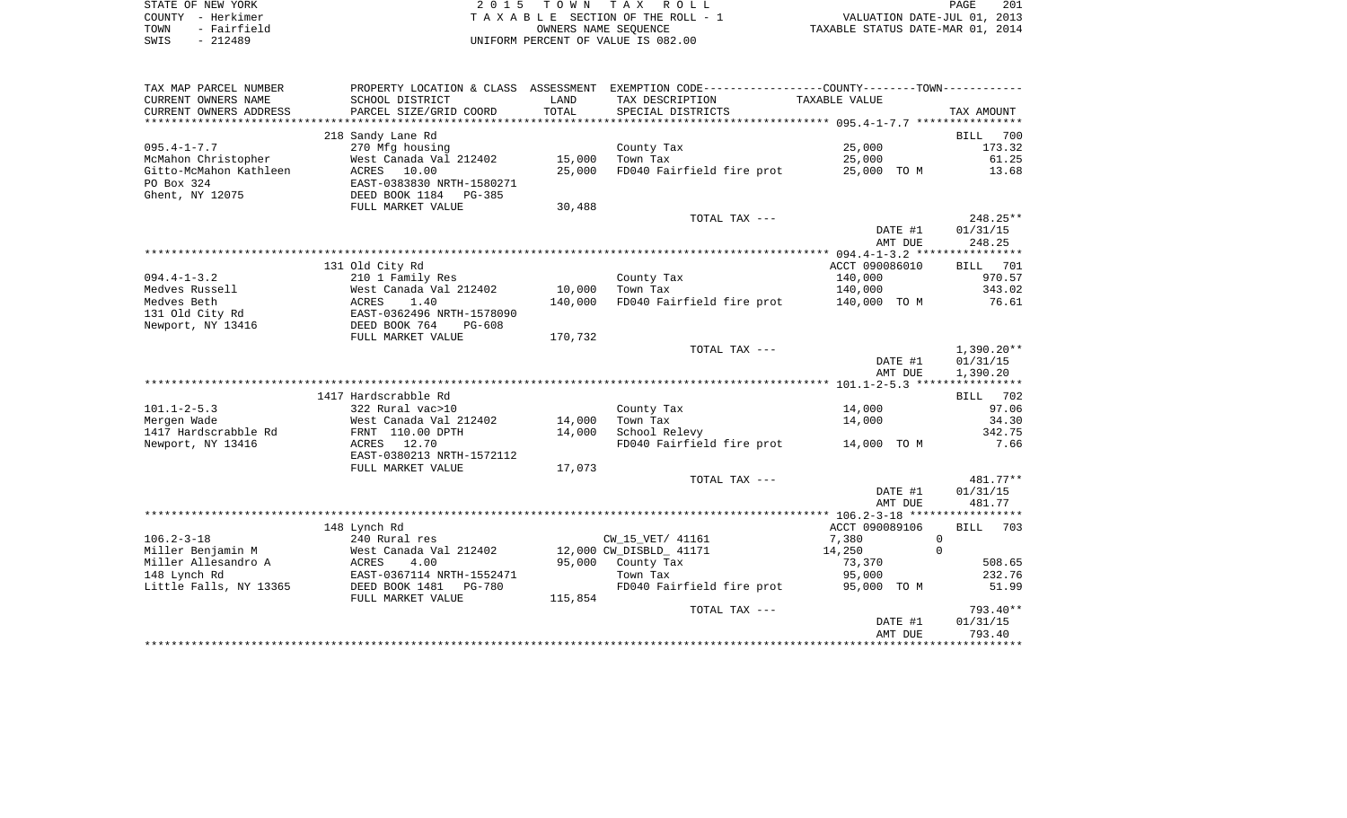| STATE OF NEW YORK   | 2015 TOWN TAX ROLL                 | 201<br>PAGE                      |
|---------------------|------------------------------------|----------------------------------|
| COUNTY - Herkimer   | TAXABLE SECTION OF THE ROLL - 1    | VALUATION DATE-JUL 01, 2013      |
| - Fairfield<br>TOWN | OWNERS NAME SEOUENCE               | TAXABLE STATUS DATE-MAR 01, 2014 |
| - 212489<br>SWIS    | UNIFORM PERCENT OF VALUE IS 082.00 |                                  |

 $\begin{array}{c} 201 \\ 2013 \end{array}$ 

| TAX MAP PARCEL NUMBER     | PROPERTY LOCATION & CLASS ASSESSMENT |         | EXEMPTION CODE----------------COUNTY-------TOWN----------- |                    |                          |
|---------------------------|--------------------------------------|---------|------------------------------------------------------------|--------------------|--------------------------|
| CURRENT OWNERS NAME       | SCHOOL DISTRICT                      | LAND    | TAX DESCRIPTION                                            | TAXABLE VALUE      |                          |
| CURRENT OWNERS ADDRESS    | PARCEL SIZE/GRID COORD               | TOTAL   | SPECIAL DISTRICTS                                          |                    | TAX AMOUNT               |
| ************************* |                                      |         |                                                            |                    |                          |
|                           | 218 Sandy Lane Rd                    |         |                                                            |                    | <b>BILL</b><br>700       |
| $095.4 - 1 - 7.7$         | 270 Mfg housing                      |         | County Tax                                                 | 25,000             | 173.32                   |
| McMahon Christopher       | West Canada Val 212402               | 15,000  | Town Tax                                                   | 25,000             | 61.25                    |
| Gitto-McMahon Kathleen    | ACRES 10.00                          | 25,000  | FD040 Fairfield fire prot                                  | 25,000 TO M        | 13.68                    |
| PO Box 324                | EAST-0383830 NRTH-1580271            |         |                                                            |                    |                          |
| Ghent, NY 12075           | DEED BOOK 1184<br><b>PG-385</b>      |         |                                                            |                    |                          |
|                           | FULL MARKET VALUE                    | 30,488  |                                                            |                    |                          |
|                           |                                      |         | TOTAL TAX ---                                              |                    | 248.25**                 |
|                           |                                      |         |                                                            | DATE #1            | 01/31/15                 |
|                           |                                      |         |                                                            | AMT DUE            | 248.25                   |
|                           |                                      |         |                                                            |                    |                          |
|                           | 131 Old City Rd                      |         |                                                            | ACCT 090086010     | BILL<br>701              |
| $094.4 - 1 - 3.2$         | 210 1 Family Res                     |         | County Tax                                                 | 140,000            | 970.57                   |
| Medves Russell            | West Canada Val 212402               | 10,000  | Town Tax                                                   | 140,000            | 343.02                   |
| Medves Beth               | ACRES<br>1.40                        | 140,000 | FD040 Fairfield fire prot                                  | 140,000 TO M       | 76.61                    |
| 131 Old City Rd           | EAST-0362496 NRTH-1578090            |         |                                                            |                    |                          |
| Newport, NY 13416         | DEED BOOK 764<br>PG-608              |         |                                                            |                    |                          |
|                           | FULL MARKET VALUE                    | 170,732 |                                                            |                    |                          |
|                           |                                      |         | TOTAL TAX ---                                              |                    | $1,390.20**$<br>01/31/15 |
|                           |                                      |         |                                                            | DATE #1<br>AMT DUE |                          |
|                           |                                      |         |                                                            |                    | 1,390.20                 |
|                           | 1417 Hardscrabble Rd                 |         |                                                            |                    | 702<br>BILL              |
| $101.1 - 2 - 5.3$         | 322 Rural vac>10                     |         | County Tax                                                 | 14,000             | 97.06                    |
| Mergen Wade               | West Canada Val 212402               | 14,000  | Town Tax                                                   | 14,000             | 34.30                    |
| 1417 Hardscrabble Rd      | FRNT 110.00 DPTH                     | 14,000  | School Relevy                                              |                    | 342.75                   |
| Newport, NY 13416         | 12.70<br>ACRES                       |         | FD040 Fairfield fire prot                                  | 14,000 TO M        | 7.66                     |
|                           | EAST-0380213 NRTH-1572112            |         |                                                            |                    |                          |
|                           | FULL MARKET VALUE                    | 17,073  |                                                            |                    |                          |
|                           |                                      |         | TOTAL TAX ---                                              |                    | $481.77**$               |
|                           |                                      |         |                                                            | DATE #1            | 01/31/15                 |
|                           |                                      |         |                                                            | AMT DUE            | 481.77                   |
|                           |                                      |         |                                                            |                    |                          |
|                           | 148 Lynch Rd                         |         |                                                            | ACCT 090089106     | <b>BILL</b><br>703       |
| $106.2 - 3 - 18$          | 240 Rural res                        |         | CW_15_VET/ 41161                                           | 7,380              | $\Omega$                 |
| Miller Benjamin M         | West Canada Val 212402               |         | 12,000 CW_DISBLD_ 41171                                    | 14,250             | $\Omega$                 |
| Miller Allesandro A       | ACRES<br>4.00                        | 95,000  | County Tax                                                 | 73,370             | 508.65                   |
| 148 Lynch Rd              | EAST-0367114 NRTH-1552471            |         | Town Tax                                                   | 95,000             | 232.76                   |
| Little Falls, NY 13365    | DEED BOOK 1481<br><b>PG-780</b>      |         | FD040 Fairfield fire prot                                  | 95,000 TO M        | 51.99                    |
|                           | FULL MARKET VALUE                    | 115,854 |                                                            |                    |                          |
|                           |                                      |         | TOTAL TAX ---                                              |                    | 793.40**                 |
|                           |                                      |         |                                                            | DATE #1            | 01/31/15                 |
|                           |                                      |         |                                                            | AMT DUE            | 793.40                   |
|                           |                                      |         |                                                            |                    |                          |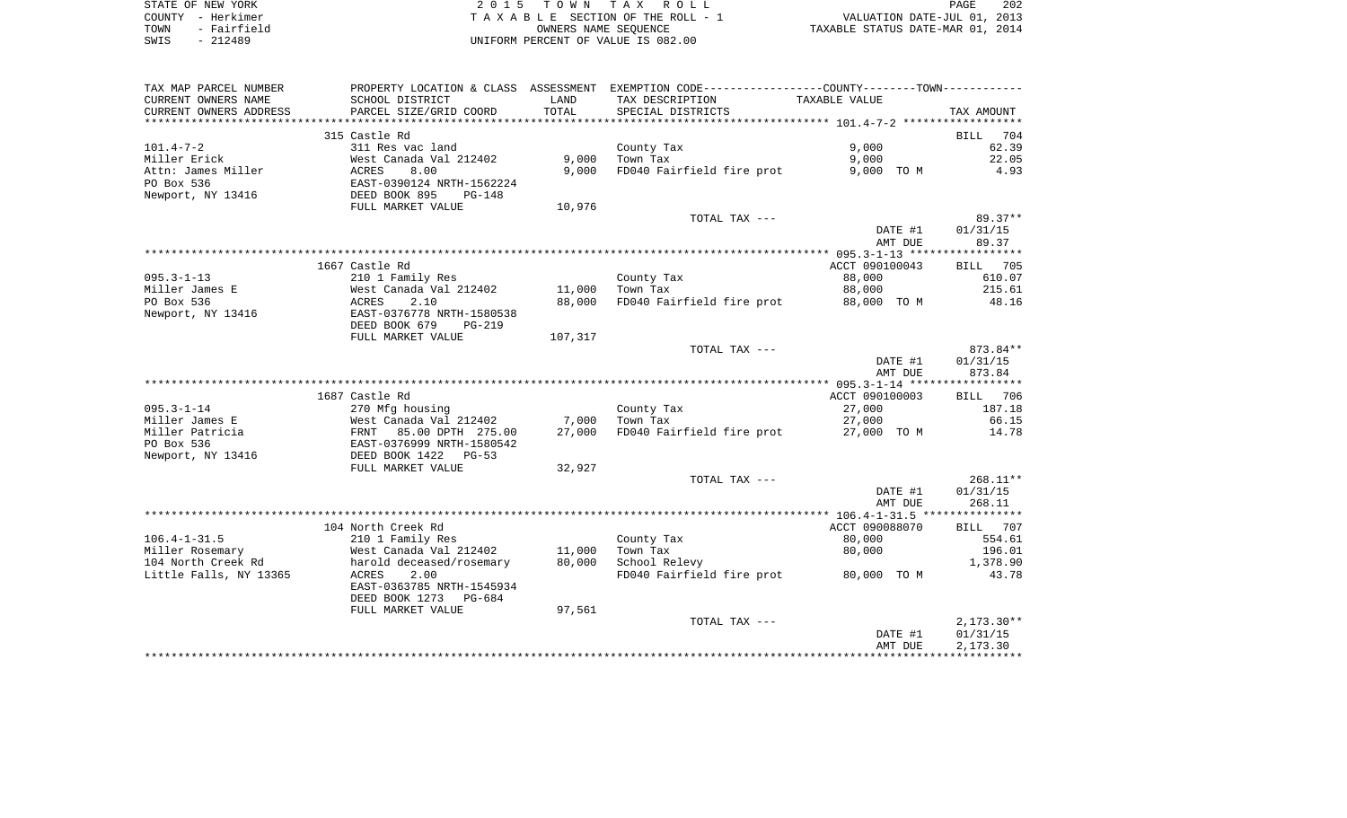| STATE OF NEW YORK   | 2015 TOWN TAX ROLL                 | 202<br>PAGE                      |
|---------------------|------------------------------------|----------------------------------|
| COUNTY - Herkimer   | TAXABLE SECTION OF THE ROLL - 1    | VALUATION DATE-JUL 01, 2013      |
| - Fairfield<br>TOWN | OWNERS NAME SEOUENCE               | TAXABLE STATUS DATE-MAR 01, 2014 |
| $-212489$<br>SWIS   | UNIFORM PERCENT OF VALUE IS 082.00 |                                  |

| TAX MAP PARCEL NUMBER              |                                           |         | PROPERTY LOCATION & CLASS ASSESSMENT EXEMPTION CODE---------------COUNTY-------TOWN---------- |                  |                              |
|------------------------------------|-------------------------------------------|---------|-----------------------------------------------------------------------------------------------|------------------|------------------------------|
| CURRENT OWNERS NAME                | SCHOOL DISTRICT                           | LAND    | TAX DESCRIPTION                                                                               | TAXABLE VALUE    |                              |
| CURRENT OWNERS ADDRESS             | PARCEL SIZE/GRID COORD                    | TOTAL   | SPECIAL DISTRICTS                                                                             |                  | TAX AMOUNT                   |
|                                    |                                           |         |                                                                                               |                  |                              |
|                                    | 315 Castle Rd                             |         |                                                                                               |                  | <b>BILL</b><br>704           |
| $101.4 - 7 - 2$                    | 311 Res vac land                          |         | County Tax                                                                                    | 9,000            | 62.39                        |
| Miller Erick                       | West Canada Val 212402                    | 9,000   | Town Tax                                                                                      | 9,000            | 22.05                        |
| Attn: James Miller                 | 8.00<br>ACRES                             | 9,000   | FD040 Fairfield fire prot                                                                     | 9,000 TO M       | 4.93                         |
| PO Box 536                         | EAST-0390124 NRTH-1562224                 |         |                                                                                               |                  |                              |
| Newport, NY 13416                  | DEED BOOK 895<br><b>PG-148</b>            |         |                                                                                               |                  |                              |
|                                    | FULL MARKET VALUE                         | 10,976  |                                                                                               |                  |                              |
|                                    |                                           |         | TOTAL TAX ---                                                                                 |                  | $89.37**$                    |
|                                    |                                           |         |                                                                                               | DATE #1          | 01/31/15                     |
|                                    |                                           |         |                                                                                               | AMT DUE          | 89.37                        |
|                                    |                                           |         |                                                                                               |                  |                              |
|                                    | 1667 Castle Rd                            |         |                                                                                               | ACCT 090100043   | BILL 705                     |
| $095.3 - 1 - 13$                   | 210 1 Family Res                          |         | County Tax                                                                                    | 88,000           | 610.07                       |
| Miller James E                     | West Canada Val 212402                    | 11,000  | Town Tax                                                                                      | 88,000           | 215.61                       |
| PO Box 536                         | ACRES<br>2.10                             | 88,000  | FD040 Fairfield fire prot                                                                     | 88,000 TO M      | 48.16                        |
| Newport, NY 13416                  | EAST-0376778 NRTH-1580538                 |         |                                                                                               |                  |                              |
|                                    | DEED BOOK 679<br>PG-219                   |         |                                                                                               |                  |                              |
|                                    | FULL MARKET VALUE                         | 107,317 |                                                                                               |                  |                              |
|                                    |                                           |         | TOTAL TAX ---                                                                                 |                  | 873.84**                     |
|                                    |                                           |         |                                                                                               | DATE #1          | 01/31/15                     |
|                                    |                                           |         |                                                                                               | AMT DUE          | 873.84                       |
|                                    | 1687 Castle Rd                            |         |                                                                                               | ACCT 090100003   |                              |
|                                    |                                           |         |                                                                                               |                  | <b>BILL</b><br>706<br>187.18 |
| $095.3 - 1 - 14$<br>Miller James E | 270 Mfg housing<br>West Canada Val 212402 | 7,000   | County Tax<br>Town Tax                                                                        | 27,000<br>27,000 | 66.15                        |
| Miller Patricia                    | 85.00 DPTH 275.00<br>FRNT                 | 27,000  | FD040 Fairfield fire prot                                                                     | 27,000 TO M      | 14.78                        |
| PO Box 536                         | EAST-0376999 NRTH-1580542                 |         |                                                                                               |                  |                              |
| Newport, NY 13416                  | DEED BOOK 1422<br>$PG-53$                 |         |                                                                                               |                  |                              |
|                                    | FULL MARKET VALUE                         | 32,927  |                                                                                               |                  |                              |
|                                    |                                           |         | TOTAL TAX ---                                                                                 |                  | $268.11**$                   |
|                                    |                                           |         |                                                                                               | DATE #1          | 01/31/15                     |
|                                    |                                           |         |                                                                                               | AMT DUE          | 268.11                       |
|                                    |                                           |         |                                                                                               |                  |                              |
|                                    | 104 North Creek Rd                        |         |                                                                                               | ACCT 090088070   | BILL<br>707                  |
| $106.4 - 1 - 31.5$                 | 210 1 Family Res                          |         | County Tax                                                                                    | 80,000           | 554.61                       |
| Miller Rosemary                    | West Canada Val 212402                    | 11,000  | Town Tax                                                                                      | 80,000           | 196.01                       |
| 104 North Creek Rd                 | harold deceased/rosemary                  | 80,000  | School Relevy                                                                                 |                  | 1,378.90                     |
| Little Falls, NY 13365             | ACRES<br>2.00                             |         | FD040 Fairfield fire prot                                                                     | 80,000 TO M      | 43.78                        |
|                                    | EAST-0363785 NRTH-1545934                 |         |                                                                                               |                  |                              |
|                                    | DEED BOOK 1273<br>PG-684                  |         |                                                                                               |                  |                              |
|                                    | FULL MARKET VALUE                         | 97,561  |                                                                                               |                  |                              |
|                                    |                                           |         | TOTAL TAX ---                                                                                 |                  | $2,173.30**$                 |
|                                    |                                           |         |                                                                                               | DATE #1          | 01/31/15                     |
|                                    |                                           |         |                                                                                               | AMT DUE          | 2,173.30                     |
|                                    |                                           |         |                                                                                               |                  |                              |
|                                    |                                           |         |                                                                                               |                  |                              |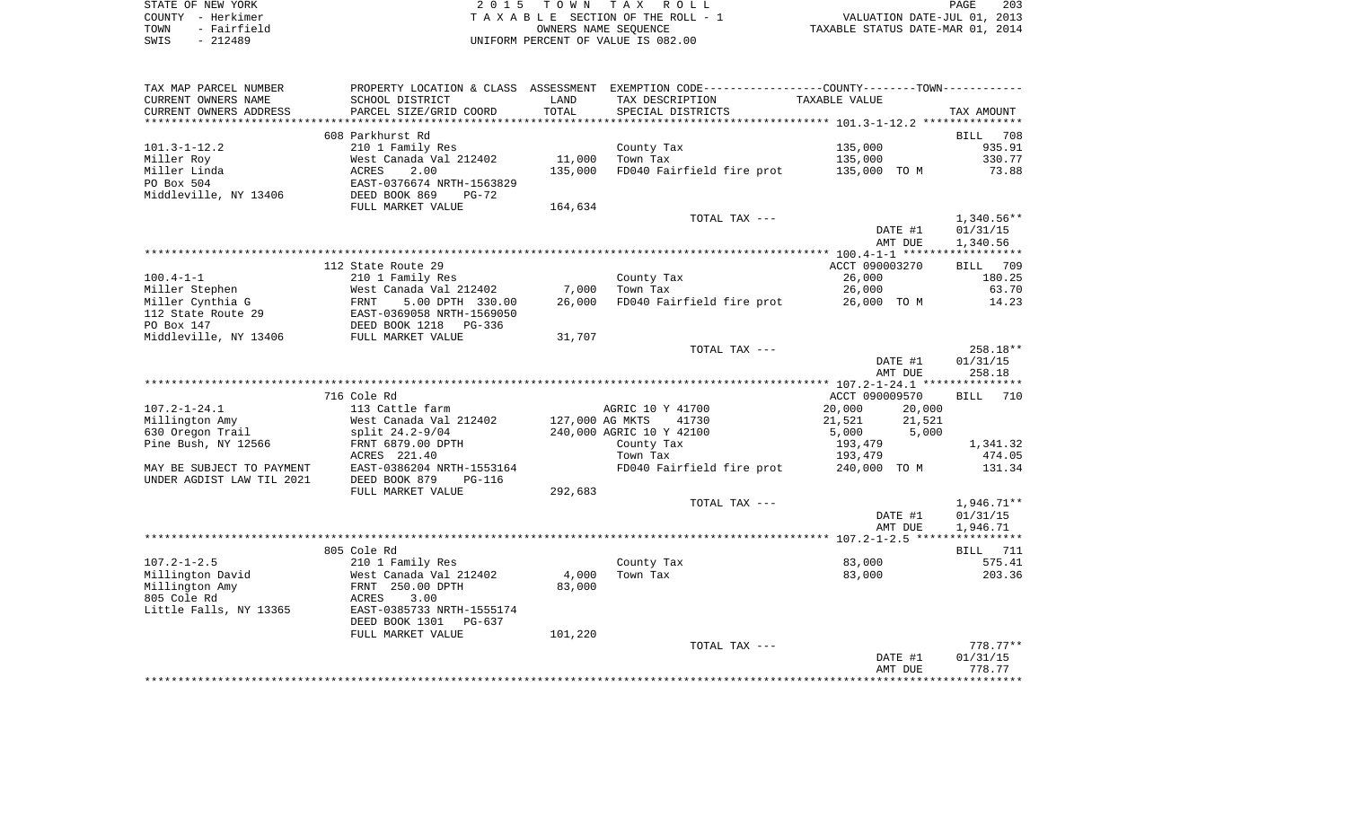| STATE OF NEW YORK   | 2015 TOWN TAX ROLL                 | 203<br>PAGE                      |
|---------------------|------------------------------------|----------------------------------|
| COUNTY - Herkimer   | TAXABLE SECTION OF THE ROLL - 1    | VALUATION DATE-JUL 01, 2013      |
| - Fairfield<br>TOWN | OWNERS NAME SEOUENCE               | TAXABLE STATUS DATE-MAR 01, 2014 |
| $-212489$<br>SWIS   | UNIFORM PERCENT OF VALUE IS 082.00 |                                  |

| SCHOOL DISTRICT<br>TAX DESCRIPTION<br>TAXABLE VALUE<br>LAND<br>TOTAL<br>PARCEL SIZE/GRID COORD<br>SPECIAL DISTRICTS<br>TAX AMOUNT<br>608 Parkhurst Rd<br>BILL 708<br>135,000<br>210 1 Family Res<br>935.91<br>County Tax<br>11,000<br>West Canada Val 212402<br>Town Tax<br>135,000<br>330.77<br>ACRES<br>2.00<br>135,000<br>FD040 Fairfield fire prot<br>135,000 TO M<br>73.88<br>EAST-0376674 NRTH-1563829<br>DEED BOOK 869<br>$PG-72$<br>FULL MARKET VALUE<br>164,634<br>TOTAL TAX ---<br>$1,340.56**$<br>DATE #1<br>01/31/15<br>AMT DUE<br>1,340.56<br>112 State Route 29<br>ACCT 090003270<br>BILL 709<br>210 1 Family Res<br>County Tax<br>26,000<br>180.25<br>7,000<br>26,000<br>63.70<br>Miller Stephen<br>West Canada Val 212402<br>Town Tax<br>FD040 Fairfield fire prot 26,000 TO M<br>Miller Cynthia G<br>FRNT<br>5.00 DPTH 330.00<br>26,000<br>14.23<br>EAST-0369058 NRTH-1569050<br>PG-336<br>31,707<br>TOTAL TAX ---<br>258.18**<br>01/31/15<br>DATE #1<br>AMT DUE<br>258.18<br>716 Cole Rd<br>ACCT 090009570<br><b>BILL</b><br>710<br>$107.2 - 1 - 24.1$<br>113 Cattle farm<br>20,000<br>AGRIC 10 Y 41700<br>20,000<br>127,000 AG MKTS<br>Millington Amy<br>West Canada Val 212402<br>41730<br>21,521<br>21,521<br>5,000<br>630 Oregon Trail<br>240,000 AGRIC 10 Y 42100<br>5,000<br>split 24.2-9/04<br>Pine Bush, NY 12566<br>FRNT 6879.00 DPTH<br>County Tax<br>193,479<br>1,341.32<br>ACRES 221.40<br>474.05<br>Town Tax<br>193,479<br>MAY BE SUBJECT TO PAYMENT<br>EAST-0386204 NRTH-1553164<br>FD040 Fairfield fire prot<br>240,000 TO M<br>131.34<br>DEED BOOK 879<br>$PG-116$<br>FULL MARKET VALUE<br>292,683<br>1,946.71**<br>TOTAL TAX ---<br>DATE #1<br>01/31/15<br>AMT DUE<br>1,946.71<br>805 Cole Rd<br>BILL 711<br>83,000<br>575.41<br>County Tax<br>210 1 Family Res<br>West Canada Val 212402<br>Millington David<br>4,000<br>Town Tax<br>83,000<br>203.36<br>Millington Amy<br>FRNT 250.00 DPTH<br>83,000<br>3.00<br>ACRES<br>Little Falls, NY 13365<br>EAST-0385733 NRTH-1555174<br>DEED BOOK 1301<br>PG-637<br>FULL MARKET VALUE<br>101,220<br>$778.77**$<br>TOTAL TAX ---<br>01/31/15<br>DATE #1<br>778.77<br>AMT DUE | TAX MAP PARCEL NUMBER     |  | PROPERTY LOCATION & CLASS ASSESSMENT EXEMPTION CODE----------------COUNTY--------TOWN---------- |  |
|----------------------------------------------------------------------------------------------------------------------------------------------------------------------------------------------------------------------------------------------------------------------------------------------------------------------------------------------------------------------------------------------------------------------------------------------------------------------------------------------------------------------------------------------------------------------------------------------------------------------------------------------------------------------------------------------------------------------------------------------------------------------------------------------------------------------------------------------------------------------------------------------------------------------------------------------------------------------------------------------------------------------------------------------------------------------------------------------------------------------------------------------------------------------------------------------------------------------------------------------------------------------------------------------------------------------------------------------------------------------------------------------------------------------------------------------------------------------------------------------------------------------------------------------------------------------------------------------------------------------------------------------------------------------------------------------------------------------------------------------------------------------------------------------------------------------------------------------------------------------------------------------------------------------------------------------------------------------------------------------------------------------------------------------------------------------------------------------------------------------------------------------------------|---------------------------|--|-------------------------------------------------------------------------------------------------|--|
|                                                                                                                                                                                                                                                                                                                                                                                                                                                                                                                                                                                                                                                                                                                                                                                                                                                                                                                                                                                                                                                                                                                                                                                                                                                                                                                                                                                                                                                                                                                                                                                                                                                                                                                                                                                                                                                                                                                                                                                                                                                                                                                                                          | CURRENT OWNERS NAME       |  |                                                                                                 |  |
|                                                                                                                                                                                                                                                                                                                                                                                                                                                                                                                                                                                                                                                                                                                                                                                                                                                                                                                                                                                                                                                                                                                                                                                                                                                                                                                                                                                                                                                                                                                                                                                                                                                                                                                                                                                                                                                                                                                                                                                                                                                                                                                                                          | CURRENT OWNERS ADDRESS    |  |                                                                                                 |  |
|                                                                                                                                                                                                                                                                                                                                                                                                                                                                                                                                                                                                                                                                                                                                                                                                                                                                                                                                                                                                                                                                                                                                                                                                                                                                                                                                                                                                                                                                                                                                                                                                                                                                                                                                                                                                                                                                                                                                                                                                                                                                                                                                                          |                           |  |                                                                                                 |  |
|                                                                                                                                                                                                                                                                                                                                                                                                                                                                                                                                                                                                                                                                                                                                                                                                                                                                                                                                                                                                                                                                                                                                                                                                                                                                                                                                                                                                                                                                                                                                                                                                                                                                                                                                                                                                                                                                                                                                                                                                                                                                                                                                                          |                           |  |                                                                                                 |  |
|                                                                                                                                                                                                                                                                                                                                                                                                                                                                                                                                                                                                                                                                                                                                                                                                                                                                                                                                                                                                                                                                                                                                                                                                                                                                                                                                                                                                                                                                                                                                                                                                                                                                                                                                                                                                                                                                                                                                                                                                                                                                                                                                                          | $101.3 - 1 - 12.2$        |  |                                                                                                 |  |
|                                                                                                                                                                                                                                                                                                                                                                                                                                                                                                                                                                                                                                                                                                                                                                                                                                                                                                                                                                                                                                                                                                                                                                                                                                                                                                                                                                                                                                                                                                                                                                                                                                                                                                                                                                                                                                                                                                                                                                                                                                                                                                                                                          | Miller Roy                |  |                                                                                                 |  |
|                                                                                                                                                                                                                                                                                                                                                                                                                                                                                                                                                                                                                                                                                                                                                                                                                                                                                                                                                                                                                                                                                                                                                                                                                                                                                                                                                                                                                                                                                                                                                                                                                                                                                                                                                                                                                                                                                                                                                                                                                                                                                                                                                          | Miller Linda              |  |                                                                                                 |  |
|                                                                                                                                                                                                                                                                                                                                                                                                                                                                                                                                                                                                                                                                                                                                                                                                                                                                                                                                                                                                                                                                                                                                                                                                                                                                                                                                                                                                                                                                                                                                                                                                                                                                                                                                                                                                                                                                                                                                                                                                                                                                                                                                                          | PO Box 504                |  |                                                                                                 |  |
|                                                                                                                                                                                                                                                                                                                                                                                                                                                                                                                                                                                                                                                                                                                                                                                                                                                                                                                                                                                                                                                                                                                                                                                                                                                                                                                                                                                                                                                                                                                                                                                                                                                                                                                                                                                                                                                                                                                                                                                                                                                                                                                                                          | Middleville, NY 13406     |  |                                                                                                 |  |
|                                                                                                                                                                                                                                                                                                                                                                                                                                                                                                                                                                                                                                                                                                                                                                                                                                                                                                                                                                                                                                                                                                                                                                                                                                                                                                                                                                                                                                                                                                                                                                                                                                                                                                                                                                                                                                                                                                                                                                                                                                                                                                                                                          |                           |  |                                                                                                 |  |
|                                                                                                                                                                                                                                                                                                                                                                                                                                                                                                                                                                                                                                                                                                                                                                                                                                                                                                                                                                                                                                                                                                                                                                                                                                                                                                                                                                                                                                                                                                                                                                                                                                                                                                                                                                                                                                                                                                                                                                                                                                                                                                                                                          |                           |  |                                                                                                 |  |
|                                                                                                                                                                                                                                                                                                                                                                                                                                                                                                                                                                                                                                                                                                                                                                                                                                                                                                                                                                                                                                                                                                                                                                                                                                                                                                                                                                                                                                                                                                                                                                                                                                                                                                                                                                                                                                                                                                                                                                                                                                                                                                                                                          |                           |  |                                                                                                 |  |
|                                                                                                                                                                                                                                                                                                                                                                                                                                                                                                                                                                                                                                                                                                                                                                                                                                                                                                                                                                                                                                                                                                                                                                                                                                                                                                                                                                                                                                                                                                                                                                                                                                                                                                                                                                                                                                                                                                                                                                                                                                                                                                                                                          |                           |  |                                                                                                 |  |
|                                                                                                                                                                                                                                                                                                                                                                                                                                                                                                                                                                                                                                                                                                                                                                                                                                                                                                                                                                                                                                                                                                                                                                                                                                                                                                                                                                                                                                                                                                                                                                                                                                                                                                                                                                                                                                                                                                                                                                                                                                                                                                                                                          |                           |  |                                                                                                 |  |
|                                                                                                                                                                                                                                                                                                                                                                                                                                                                                                                                                                                                                                                                                                                                                                                                                                                                                                                                                                                                                                                                                                                                                                                                                                                                                                                                                                                                                                                                                                                                                                                                                                                                                                                                                                                                                                                                                                                                                                                                                                                                                                                                                          |                           |  |                                                                                                 |  |
|                                                                                                                                                                                                                                                                                                                                                                                                                                                                                                                                                                                                                                                                                                                                                                                                                                                                                                                                                                                                                                                                                                                                                                                                                                                                                                                                                                                                                                                                                                                                                                                                                                                                                                                                                                                                                                                                                                                                                                                                                                                                                                                                                          | $100.4 - 1 - 1$           |  |                                                                                                 |  |
|                                                                                                                                                                                                                                                                                                                                                                                                                                                                                                                                                                                                                                                                                                                                                                                                                                                                                                                                                                                                                                                                                                                                                                                                                                                                                                                                                                                                                                                                                                                                                                                                                                                                                                                                                                                                                                                                                                                                                                                                                                                                                                                                                          |                           |  |                                                                                                 |  |
|                                                                                                                                                                                                                                                                                                                                                                                                                                                                                                                                                                                                                                                                                                                                                                                                                                                                                                                                                                                                                                                                                                                                                                                                                                                                                                                                                                                                                                                                                                                                                                                                                                                                                                                                                                                                                                                                                                                                                                                                                                                                                                                                                          |                           |  |                                                                                                 |  |
|                                                                                                                                                                                                                                                                                                                                                                                                                                                                                                                                                                                                                                                                                                                                                                                                                                                                                                                                                                                                                                                                                                                                                                                                                                                                                                                                                                                                                                                                                                                                                                                                                                                                                                                                                                                                                                                                                                                                                                                                                                                                                                                                                          | 112 State Route 29        |  |                                                                                                 |  |
|                                                                                                                                                                                                                                                                                                                                                                                                                                                                                                                                                                                                                                                                                                                                                                                                                                                                                                                                                                                                                                                                                                                                                                                                                                                                                                                                                                                                                                                                                                                                                                                                                                                                                                                                                                                                                                                                                                                                                                                                                                                                                                                                                          |                           |  |                                                                                                 |  |
|                                                                                                                                                                                                                                                                                                                                                                                                                                                                                                                                                                                                                                                                                                                                                                                                                                                                                                                                                                                                                                                                                                                                                                                                                                                                                                                                                                                                                                                                                                                                                                                                                                                                                                                                                                                                                                                                                                                                                                                                                                                                                                                                                          |                           |  |                                                                                                 |  |
|                                                                                                                                                                                                                                                                                                                                                                                                                                                                                                                                                                                                                                                                                                                                                                                                                                                                                                                                                                                                                                                                                                                                                                                                                                                                                                                                                                                                                                                                                                                                                                                                                                                                                                                                                                                                                                                                                                                                                                                                                                                                                                                                                          |                           |  |                                                                                                 |  |
|                                                                                                                                                                                                                                                                                                                                                                                                                                                                                                                                                                                                                                                                                                                                                                                                                                                                                                                                                                                                                                                                                                                                                                                                                                                                                                                                                                                                                                                                                                                                                                                                                                                                                                                                                                                                                                                                                                                                                                                                                                                                                                                                                          |                           |  |                                                                                                 |  |
|                                                                                                                                                                                                                                                                                                                                                                                                                                                                                                                                                                                                                                                                                                                                                                                                                                                                                                                                                                                                                                                                                                                                                                                                                                                                                                                                                                                                                                                                                                                                                                                                                                                                                                                                                                                                                                                                                                                                                                                                                                                                                                                                                          |                           |  |                                                                                                 |  |
|                                                                                                                                                                                                                                                                                                                                                                                                                                                                                                                                                                                                                                                                                                                                                                                                                                                                                                                                                                                                                                                                                                                                                                                                                                                                                                                                                                                                                                                                                                                                                                                                                                                                                                                                                                                                                                                                                                                                                                                                                                                                                                                                                          |                           |  |                                                                                                 |  |
|                                                                                                                                                                                                                                                                                                                                                                                                                                                                                                                                                                                                                                                                                                                                                                                                                                                                                                                                                                                                                                                                                                                                                                                                                                                                                                                                                                                                                                                                                                                                                                                                                                                                                                                                                                                                                                                                                                                                                                                                                                                                                                                                                          |                           |  |                                                                                                 |  |
|                                                                                                                                                                                                                                                                                                                                                                                                                                                                                                                                                                                                                                                                                                                                                                                                                                                                                                                                                                                                                                                                                                                                                                                                                                                                                                                                                                                                                                                                                                                                                                                                                                                                                                                                                                                                                                                                                                                                                                                                                                                                                                                                                          |                           |  |                                                                                                 |  |
|                                                                                                                                                                                                                                                                                                                                                                                                                                                                                                                                                                                                                                                                                                                                                                                                                                                                                                                                                                                                                                                                                                                                                                                                                                                                                                                                                                                                                                                                                                                                                                                                                                                                                                                                                                                                                                                                                                                                                                                                                                                                                                                                                          |                           |  |                                                                                                 |  |
|                                                                                                                                                                                                                                                                                                                                                                                                                                                                                                                                                                                                                                                                                                                                                                                                                                                                                                                                                                                                                                                                                                                                                                                                                                                                                                                                                                                                                                                                                                                                                                                                                                                                                                                                                                                                                                                                                                                                                                                                                                                                                                                                                          |                           |  |                                                                                                 |  |
|                                                                                                                                                                                                                                                                                                                                                                                                                                                                                                                                                                                                                                                                                                                                                                                                                                                                                                                                                                                                                                                                                                                                                                                                                                                                                                                                                                                                                                                                                                                                                                                                                                                                                                                                                                                                                                                                                                                                                                                                                                                                                                                                                          |                           |  |                                                                                                 |  |
|                                                                                                                                                                                                                                                                                                                                                                                                                                                                                                                                                                                                                                                                                                                                                                                                                                                                                                                                                                                                                                                                                                                                                                                                                                                                                                                                                                                                                                                                                                                                                                                                                                                                                                                                                                                                                                                                                                                                                                                                                                                                                                                                                          |                           |  |                                                                                                 |  |
|                                                                                                                                                                                                                                                                                                                                                                                                                                                                                                                                                                                                                                                                                                                                                                                                                                                                                                                                                                                                                                                                                                                                                                                                                                                                                                                                                                                                                                                                                                                                                                                                                                                                                                                                                                                                                                                                                                                                                                                                                                                                                                                                                          |                           |  |                                                                                                 |  |
|                                                                                                                                                                                                                                                                                                                                                                                                                                                                                                                                                                                                                                                                                                                                                                                                                                                                                                                                                                                                                                                                                                                                                                                                                                                                                                                                                                                                                                                                                                                                                                                                                                                                                                                                                                                                                                                                                                                                                                                                                                                                                                                                                          | UNDER AGDIST LAW TIL 2021 |  |                                                                                                 |  |
|                                                                                                                                                                                                                                                                                                                                                                                                                                                                                                                                                                                                                                                                                                                                                                                                                                                                                                                                                                                                                                                                                                                                                                                                                                                                                                                                                                                                                                                                                                                                                                                                                                                                                                                                                                                                                                                                                                                                                                                                                                                                                                                                                          |                           |  |                                                                                                 |  |
|                                                                                                                                                                                                                                                                                                                                                                                                                                                                                                                                                                                                                                                                                                                                                                                                                                                                                                                                                                                                                                                                                                                                                                                                                                                                                                                                                                                                                                                                                                                                                                                                                                                                                                                                                                                                                                                                                                                                                                                                                                                                                                                                                          |                           |  |                                                                                                 |  |
|                                                                                                                                                                                                                                                                                                                                                                                                                                                                                                                                                                                                                                                                                                                                                                                                                                                                                                                                                                                                                                                                                                                                                                                                                                                                                                                                                                                                                                                                                                                                                                                                                                                                                                                                                                                                                                                                                                                                                                                                                                                                                                                                                          |                           |  |                                                                                                 |  |
|                                                                                                                                                                                                                                                                                                                                                                                                                                                                                                                                                                                                                                                                                                                                                                                                                                                                                                                                                                                                                                                                                                                                                                                                                                                                                                                                                                                                                                                                                                                                                                                                                                                                                                                                                                                                                                                                                                                                                                                                                                                                                                                                                          |                           |  |                                                                                                 |  |
|                                                                                                                                                                                                                                                                                                                                                                                                                                                                                                                                                                                                                                                                                                                                                                                                                                                                                                                                                                                                                                                                                                                                                                                                                                                                                                                                                                                                                                                                                                                                                                                                                                                                                                                                                                                                                                                                                                                                                                                                                                                                                                                                                          |                           |  |                                                                                                 |  |
|                                                                                                                                                                                                                                                                                                                                                                                                                                                                                                                                                                                                                                                                                                                                                                                                                                                                                                                                                                                                                                                                                                                                                                                                                                                                                                                                                                                                                                                                                                                                                                                                                                                                                                                                                                                                                                                                                                                                                                                                                                                                                                                                                          |                           |  |                                                                                                 |  |
|                                                                                                                                                                                                                                                                                                                                                                                                                                                                                                                                                                                                                                                                                                                                                                                                                                                                                                                                                                                                                                                                                                                                                                                                                                                                                                                                                                                                                                                                                                                                                                                                                                                                                                                                                                                                                                                                                                                                                                                                                                                                                                                                                          | $107.2 - 1 - 2.5$         |  |                                                                                                 |  |
|                                                                                                                                                                                                                                                                                                                                                                                                                                                                                                                                                                                                                                                                                                                                                                                                                                                                                                                                                                                                                                                                                                                                                                                                                                                                                                                                                                                                                                                                                                                                                                                                                                                                                                                                                                                                                                                                                                                                                                                                                                                                                                                                                          |                           |  |                                                                                                 |  |
|                                                                                                                                                                                                                                                                                                                                                                                                                                                                                                                                                                                                                                                                                                                                                                                                                                                                                                                                                                                                                                                                                                                                                                                                                                                                                                                                                                                                                                                                                                                                                                                                                                                                                                                                                                                                                                                                                                                                                                                                                                                                                                                                                          |                           |  |                                                                                                 |  |
|                                                                                                                                                                                                                                                                                                                                                                                                                                                                                                                                                                                                                                                                                                                                                                                                                                                                                                                                                                                                                                                                                                                                                                                                                                                                                                                                                                                                                                                                                                                                                                                                                                                                                                                                                                                                                                                                                                                                                                                                                                                                                                                                                          | 805 Cole Rd               |  |                                                                                                 |  |
|                                                                                                                                                                                                                                                                                                                                                                                                                                                                                                                                                                                                                                                                                                                                                                                                                                                                                                                                                                                                                                                                                                                                                                                                                                                                                                                                                                                                                                                                                                                                                                                                                                                                                                                                                                                                                                                                                                                                                                                                                                                                                                                                                          |                           |  |                                                                                                 |  |
|                                                                                                                                                                                                                                                                                                                                                                                                                                                                                                                                                                                                                                                                                                                                                                                                                                                                                                                                                                                                                                                                                                                                                                                                                                                                                                                                                                                                                                                                                                                                                                                                                                                                                                                                                                                                                                                                                                                                                                                                                                                                                                                                                          |                           |  |                                                                                                 |  |
|                                                                                                                                                                                                                                                                                                                                                                                                                                                                                                                                                                                                                                                                                                                                                                                                                                                                                                                                                                                                                                                                                                                                                                                                                                                                                                                                                                                                                                                                                                                                                                                                                                                                                                                                                                                                                                                                                                                                                                                                                                                                                                                                                          |                           |  |                                                                                                 |  |
|                                                                                                                                                                                                                                                                                                                                                                                                                                                                                                                                                                                                                                                                                                                                                                                                                                                                                                                                                                                                                                                                                                                                                                                                                                                                                                                                                                                                                                                                                                                                                                                                                                                                                                                                                                                                                                                                                                                                                                                                                                                                                                                                                          |                           |  |                                                                                                 |  |
|                                                                                                                                                                                                                                                                                                                                                                                                                                                                                                                                                                                                                                                                                                                                                                                                                                                                                                                                                                                                                                                                                                                                                                                                                                                                                                                                                                                                                                                                                                                                                                                                                                                                                                                                                                                                                                                                                                                                                                                                                                                                                                                                                          |                           |  |                                                                                                 |  |
|                                                                                                                                                                                                                                                                                                                                                                                                                                                                                                                                                                                                                                                                                                                                                                                                                                                                                                                                                                                                                                                                                                                                                                                                                                                                                                                                                                                                                                                                                                                                                                                                                                                                                                                                                                                                                                                                                                                                                                                                                                                                                                                                                          |                           |  |                                                                                                 |  |
|                                                                                                                                                                                                                                                                                                                                                                                                                                                                                                                                                                                                                                                                                                                                                                                                                                                                                                                                                                                                                                                                                                                                                                                                                                                                                                                                                                                                                                                                                                                                                                                                                                                                                                                                                                                                                                                                                                                                                                                                                                                                                                                                                          |                           |  |                                                                                                 |  |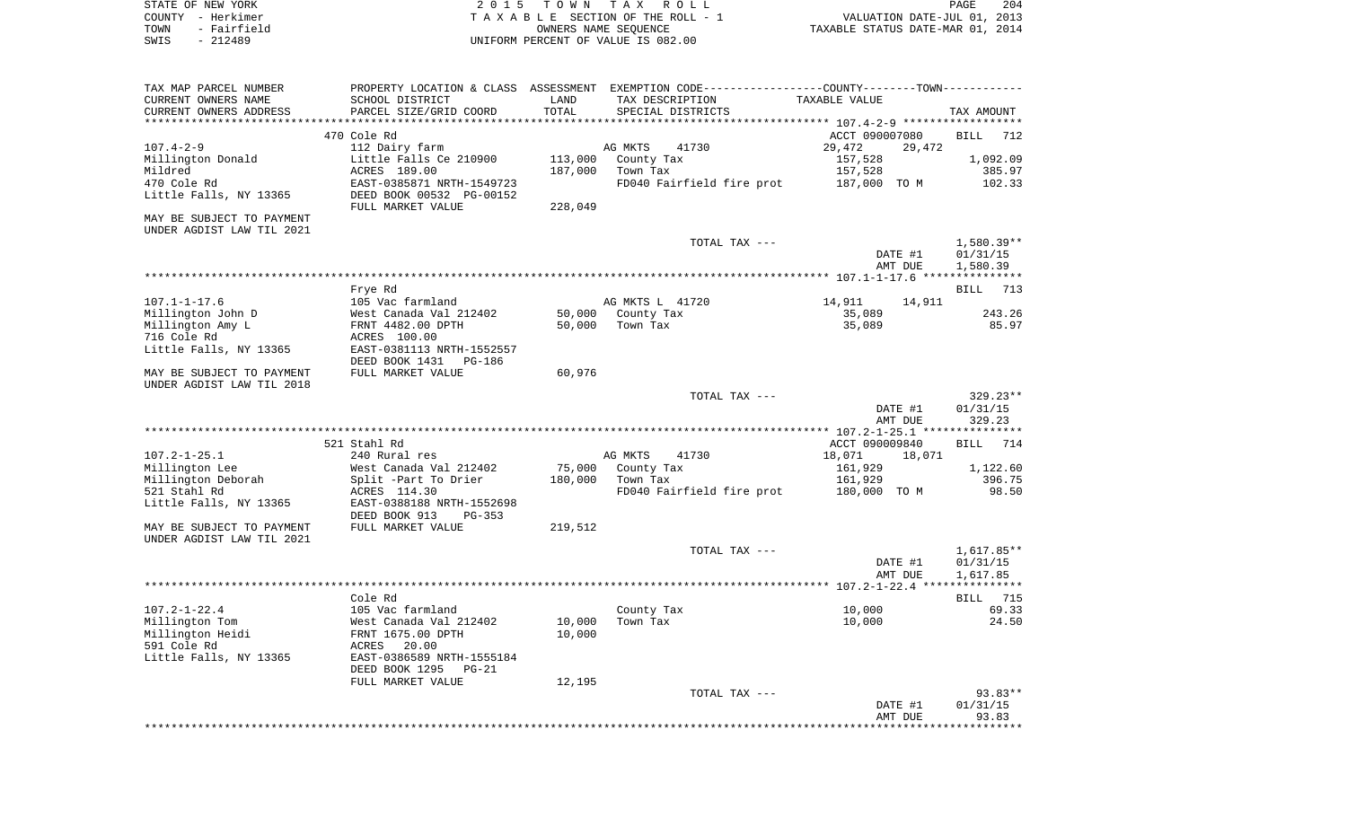| STATE OF NEW YORK         | 2 0 1 5                   |         | TOWN TAX ROLL                                                                                 |                                  | PAGE<br>204  |
|---------------------------|---------------------------|---------|-----------------------------------------------------------------------------------------------|----------------------------------|--------------|
| COUNTY - Herkimer         |                           |         | TAXABLE SECTION OF THE ROLL - 1                                                               | VALUATION DATE-JUL 01, 2013      |              |
| TOWN<br>- Fairfield       |                           |         | OWNERS NAME SEQUENCE                                                                          | TAXABLE STATUS DATE-MAR 01, 2014 |              |
| $-212489$<br>SWIS         |                           |         | UNIFORM PERCENT OF VALUE IS 082.00                                                            |                                  |              |
|                           |                           |         |                                                                                               |                                  |              |
| TAX MAP PARCEL NUMBER     |                           |         | PROPERTY LOCATION & CLASS ASSESSMENT EXEMPTION CODE---------------COUNTY-------TOWN---------- |                                  |              |
| CURRENT OWNERS NAME       | SCHOOL DISTRICT           | LAND    | TAX DESCRIPTION                                                                               | TAXABLE VALUE                    |              |
| CURRENT OWNERS ADDRESS    | PARCEL SIZE/GRID COORD    | TOTAL   | SPECIAL DISTRICTS                                                                             |                                  | TAX AMOUNT   |
| ************************* |                           |         |                                                                                               |                                  |              |
|                           | 470 Cole Rd               |         |                                                                                               | ACCT 090007080                   | BILL<br>712  |
| $107.4 - 2 - 9$           | 112 Dairy farm            |         | AG MKTS<br>41730                                                                              | 29,472<br>29,472                 |              |
| Millington Donald         | Little Falls Ce 210900    | 113,000 | County Tax                                                                                    | 157,528                          | 1,092.09     |
| Mildred                   | ACRES 189.00              | 187,000 | Town Tax                                                                                      | 157,528                          | 385.97       |
| 470 Cole Rd               | EAST-0385871 NRTH-1549723 |         | FD040 Fairfield fire prot                                                                     | 187,000 TO M                     | 102.33       |
| Little Falls, NY 13365    | DEED BOOK 00532 PG-00152  |         |                                                                                               |                                  |              |
|                           | FULL MARKET VALUE         | 228,049 |                                                                                               |                                  |              |
| MAY BE SUBJECT TO PAYMENT |                           |         |                                                                                               |                                  |              |
| UNDER AGDIST LAW TIL 2021 |                           |         |                                                                                               |                                  |              |
|                           |                           |         | TOTAL TAX ---                                                                                 |                                  | $1,580.39**$ |
|                           |                           |         |                                                                                               | DATE #1                          | 01/31/15     |
|                           |                           |         |                                                                                               | AMT DUE                          | 1,580.39     |
|                           |                           |         |                                                                                               |                                  |              |
|                           | Frye Rd                   |         |                                                                                               |                                  | BILL<br>713  |
| $107.1 - 1 - 17.6$        | 105 Vac farmland          |         | AG MKTS L 41720                                                                               | 14,911<br>14,911                 |              |
| Millington John D         | West Canada Val 212402    | 50,000  | County Tax                                                                                    | 35,089                           | 243.26       |
| Millington Amy L          | FRNT 4482.00 DPTH         | 50,000  | Town Tax                                                                                      | 35,089                           | 85.97        |
| 716 Cole Rd               | ACRES 100.00              |         |                                                                                               |                                  |              |
| Little Falls, NY 13365    | EAST-0381113 NRTH-1552557 |         |                                                                                               |                                  |              |
|                           | DEED BOOK 1431<br>PG-186  |         |                                                                                               |                                  |              |
| MAY BE SUBJECT TO PAYMENT | FULL MARKET VALUE         | 60,976  |                                                                                               |                                  |              |
| UNDER AGDIST LAW TIL 2018 |                           |         |                                                                                               |                                  |              |
|                           |                           |         | TOTAL TAX ---                                                                                 |                                  | 329.23**     |
|                           |                           |         |                                                                                               | DATE #1                          | 01/31/15     |
|                           |                           |         |                                                                                               | AMT DUE                          | 329.23       |
|                           |                           |         |                                                                                               |                                  |              |
|                           | 521 Stahl Rd              |         |                                                                                               | ACCT 090009840                   | 714<br>BILL  |
| $107.2 - 1 - 25.1$        | 240 Rural res             |         | AG MKTS<br>41730                                                                              | 18,071<br>18,071                 |              |
| Millington Lee            | West Canada Val 212402    | 75,000  | County Tax                                                                                    | 161,929                          | 1,122.60     |
| Millington Deborah        | Split -Part To Drier      | 180,000 | Town Tax                                                                                      | 161,929                          | 396.75       |
| 521 Stahl Rd              | ACRES 114.30              |         | FD040 Fairfield fire prot                                                                     | 180,000 TO M                     | 98.50        |
| Little Falls, NY 13365    | EAST-0388188 NRTH-1552698 |         |                                                                                               |                                  |              |
|                           | DEED BOOK 913<br>PG-353   |         |                                                                                               |                                  |              |
| MAY BE SUBJECT TO PAYMENT | FULL MARKET VALUE         | 219,512 |                                                                                               |                                  |              |
| UNDER AGDIST LAW TIL 2021 |                           |         |                                                                                               |                                  |              |
|                           |                           |         | TOTAL TAX ---                                                                                 |                                  | 1,617.85**   |
|                           |                           |         |                                                                                               | DATE #1                          | 01/31/15     |
|                           |                           |         |                                                                                               | AMT DUE                          | 1,617.85     |
|                           |                           |         |                                                                                               |                                  |              |
|                           | Cole Rd                   |         |                                                                                               |                                  | BILL 715     |
| $107.2 - 1 - 22.4$        | 105 Vac farmland          |         | County Tax                                                                                    | 10,000                           | 69.33        |
| Millington Tom            | West Canada Val 212402    | 10,000  | Town Tax                                                                                      | 10,000                           | 24.50        |
| Millington Heidi          | FRNT 1675.00 DPTH         | 10,000  |                                                                                               |                                  |              |
| 591 Cole Rd               | 20.00<br>ACRES            |         |                                                                                               |                                  |              |
| Little Falls, NY 13365    | EAST-0386589 NRTH-1555184 |         |                                                                                               |                                  |              |
|                           | DEED BOOK 1295<br>$PG-21$ |         |                                                                                               |                                  |              |
|                           | FULL MARKET VALUE         | 12,195  |                                                                                               |                                  |              |
|                           |                           |         | TOTAL TAX ---                                                                                 |                                  | 93.83**      |
|                           |                           |         |                                                                                               | DATE #1                          | 01/31/15     |
|                           |                           |         |                                                                                               | AMT DUE                          | 93.83        |
|                           |                           |         |                                                                                               |                                  |              |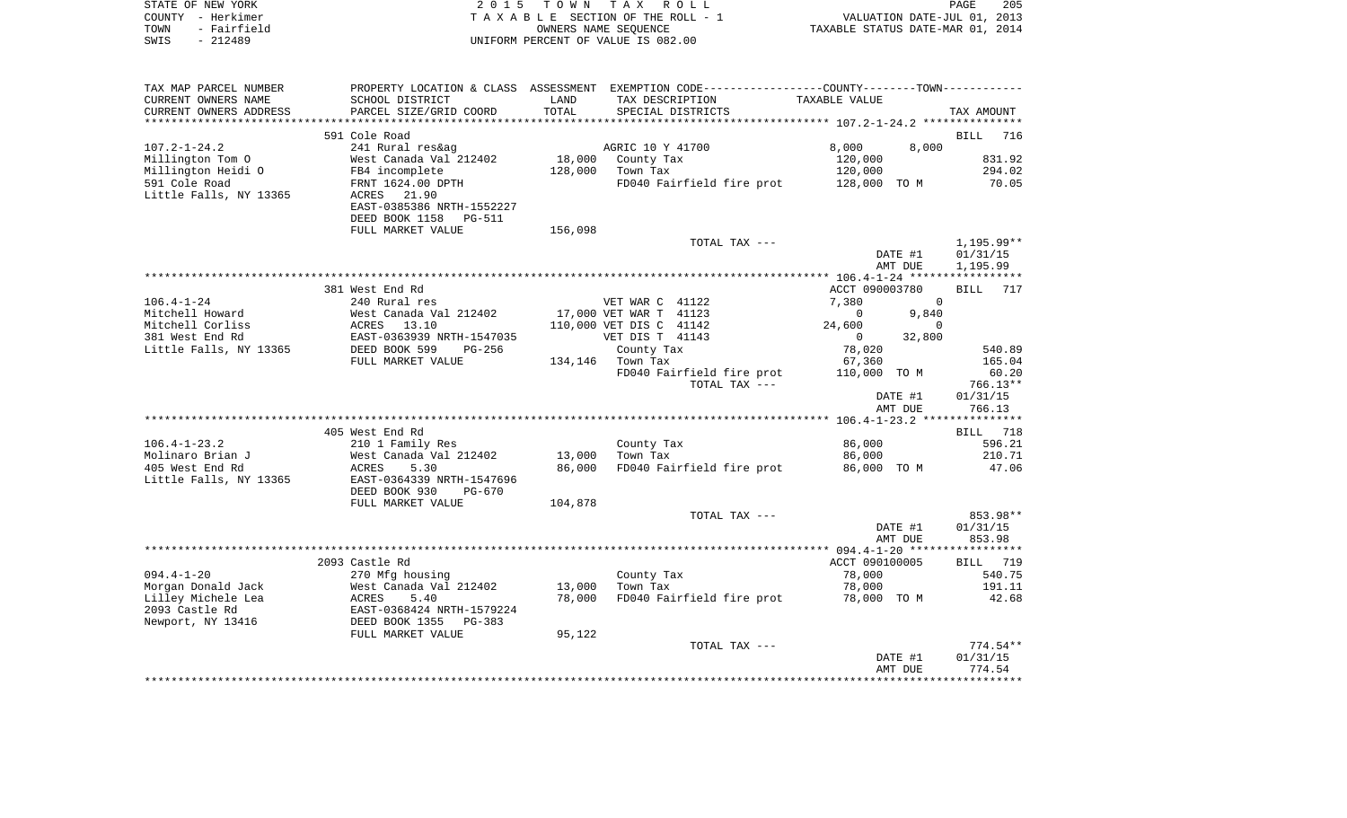| TOWN<br>SWIS       | COUNTY - Herkimer<br>- Fairfield<br>$-212489$ |                                                                                                                 |         | TAXABLE SECTION OF THE ROLL - 1<br>OWNERS NAME SEOUENCE<br>UNIFORM PERCENT OF VALUE IS 082.00 | VALUATION DATE-JUL 01, 2013<br>TAXABLE STATUS DATE-MAR 01, 2014 |                    |
|--------------------|-----------------------------------------------|-----------------------------------------------------------------------------------------------------------------|---------|-----------------------------------------------------------------------------------------------|-----------------------------------------------------------------|--------------------|
|                    |                                               |                                                                                                                 |         |                                                                                               |                                                                 |                    |
|                    | TAX MAP PARCEL NUMBER                         |                                                                                                                 |         | PROPERTY LOCATION & CLASS ASSESSMENT EXEMPTION CODE---------------COUNTY-------TOWN---------- |                                                                 |                    |
|                    | CURRENT OWNERS NAME                           | SCHOOL DISTRICT                                                                                                 | LAND    | TAX DESCRIPTION                                                                               | TAXABLE VALUE                                                   |                    |
|                    | CURRENT OWNERS ADDRESS                        | PARCEL SIZE/GRID COORD                                                                                          | TOTAL   | SPECIAL DISTRICTS                                                                             |                                                                 | TAX AMOUNT         |
|                    |                                               |                                                                                                                 |         |                                                                                               |                                                                 | BILL 716           |
| $107.2 - 1 - 24.2$ |                                               | 591 Cole Road<br>241 Rural res&ag                                                                               |         | AGRIC 10 Y 41700                                                                              | 8,000<br>8,000                                                  |                    |
|                    | Millington Tom O                              | West Canada Val 212402                                                                                          | 18,000  | County Tax                                                                                    | 120,000                                                         | 831.92             |
|                    | Millington Heidi O                            | FB4 incomplete                                                                                                  | 128,000 | Town Tax                                                                                      | 120,000                                                         | 294.02             |
| 591 Cole Road      |                                               | FRNT 1624.00 DPTH                                                                                               |         | FD040 Fairfield fire prot 128,000 TO M                                                        |                                                                 | 70.05              |
|                    | Little Falls, NY 13365                        | ACRES 21.90                                                                                                     |         |                                                                                               |                                                                 |                    |
|                    |                                               | EAST-0385386 NRTH-1552227                                                                                       |         |                                                                                               |                                                                 |                    |
|                    |                                               | DEED BOOK 1158 PG-511                                                                                           |         |                                                                                               |                                                                 |                    |
|                    |                                               | FULL MARKET VALUE                                                                                               | 156,098 |                                                                                               |                                                                 |                    |
|                    |                                               |                                                                                                                 |         | TOTAL TAX ---                                                                                 |                                                                 | $1,195.99**$       |
|                    |                                               |                                                                                                                 |         |                                                                                               | DATE #1                                                         | 01/31/15           |
|                    |                                               |                                                                                                                 |         |                                                                                               | AMT DUE                                                         | 1,195.99           |
|                    |                                               |                                                                                                                 |         |                                                                                               |                                                                 |                    |
|                    |                                               | 381 West End Rd                                                                                                 |         |                                                                                               | ACCT 090003780                                                  | 717<br>BILL        |
| $106.4 - 1 - 24$   |                                               | 240 Rural res                                                                                                   |         | VET WAR C 41122                                                                               | 7,380<br>$\overline{0}$                                         |                    |
|                    | Mitchell Howard                               |                                                                                                                 |         | 17,000 VET WAR T 41123                                                                        | 9,840<br>$\overline{0}$                                         |                    |
|                    | Mitchell Corliss                              | West Canada Val 212402<br>ACRES 13.10<br>EAST-0363939 NRTH-1547035<br>DEED BOOK 599 PG-256<br>ETIL MARKET WALUE |         | 110,000 VET DIS C 41142                                                                       | 24,600<br>$\mathbf 0$                                           |                    |
|                    | 381 West End Rd                               |                                                                                                                 |         | VET DIS T 41143                                                                               | $\begin{bmatrix} 1 & 0 & 0 \\ 0 & 32 & 800 \end{bmatrix}$       |                    |
|                    | Little Falls, NY 13365                        |                                                                                                                 |         | County Tax                                                                                    | 78,020                                                          | 540.89             |
|                    |                                               | FULL MARKET VALUE                                                                                               |         | 134,146 Town Tax                                                                              | 67,360                                                          | 165.04             |
|                    |                                               |                                                                                                                 |         | FD040 Fairfield fire prot                                                                     | 110,000 TO M                                                    | 60.20              |
|                    |                                               |                                                                                                                 |         | TOTAL TAX ---                                                                                 |                                                                 | 766.13**           |
|                    |                                               |                                                                                                                 |         |                                                                                               | DATE #1                                                         | 01/31/15           |
|                    |                                               |                                                                                                                 |         |                                                                                               | AMT DUE                                                         | 766.13             |
|                    |                                               |                                                                                                                 |         |                                                                                               |                                                                 |                    |
|                    |                                               | 405 West End Rd                                                                                                 |         |                                                                                               |                                                                 | BILL 718           |
| $106.4 - 1 - 23.2$ |                                               | 210 1 Family Res                                                                                                |         | County Tax                                                                                    | 86,000                                                          | 596.21             |
|                    | Molinaro Brian J                              | West Canada Val 212402                                                                                          | 13,000  | Town Tax                                                                                      | 86,000                                                          | 210.71             |
|                    | 405 West End Rd                               | 5.30<br>ACRES                                                                                                   | 86,000  | FD040 Fairfield fire prot                                                                     | 86,000 TO M                                                     | 47.06              |
|                    | Little Falls, NY 13365                        | EAST-0364339 NRTH-1547696                                                                                       |         |                                                                                               |                                                                 |                    |
|                    |                                               | DEED BOOK 930<br><b>PG-670</b>                                                                                  |         |                                                                                               |                                                                 |                    |
|                    |                                               | FULL MARKET VALUE                                                                                               | 104,878 |                                                                                               |                                                                 |                    |
|                    |                                               |                                                                                                                 |         | TOTAL TAX ---                                                                                 |                                                                 | 853.98**           |
|                    |                                               |                                                                                                                 |         |                                                                                               | DATE #1                                                         | 01/31/15           |
|                    |                                               |                                                                                                                 |         |                                                                                               | AMT DUE                                                         | 853.98             |
|                    |                                               |                                                                                                                 |         |                                                                                               |                                                                 |                    |
| $094.4 - 1 - 20$   |                                               | 2093 Castle Rd                                                                                                  |         |                                                                                               | ACCT 090100005<br>78,000                                        | BILL 719<br>540.75 |
|                    | Morgan Donald Jack                            | 270 Mfg housing                                                                                                 | 13,000  | County Tax<br>Town Tax                                                                        | 78,000                                                          | 191.11             |
|                    | Lilley Michele Lea                            |                                                                                                                 | 78,000  | FD040 Fairfield fire prot                                                                     | 78,000 TO M                                                     | 42.68              |
| 2093 Castle Rd     |                                               | West Canada Val 212402<br>ACRES 5.40<br>EAST-0368424 NRTH-1579224<br>DEED BOOK 1355 PG-383                      |         |                                                                                               |                                                                 |                    |
|                    | Newport, NY 13416                             |                                                                                                                 |         |                                                                                               |                                                                 |                    |
|                    |                                               | FULL MARKET VALUE                                                                                               | 95,122  |                                                                                               |                                                                 |                    |
|                    |                                               |                                                                                                                 |         | TOTAL TAX ---                                                                                 |                                                                 | 774.54**           |
|                    |                                               |                                                                                                                 |         |                                                                                               | DATE #1                                                         | 01/31/15           |
|                    |                                               |                                                                                                                 |         |                                                                                               | AMT DUE                                                         | 774.54             |
|                    |                                               |                                                                                                                 |         |                                                                                               |                                                                 |                    |

PAGE 205

STATE OF NEW YORK **EXECUTE:**  $2015$  TOWN TAX ROLL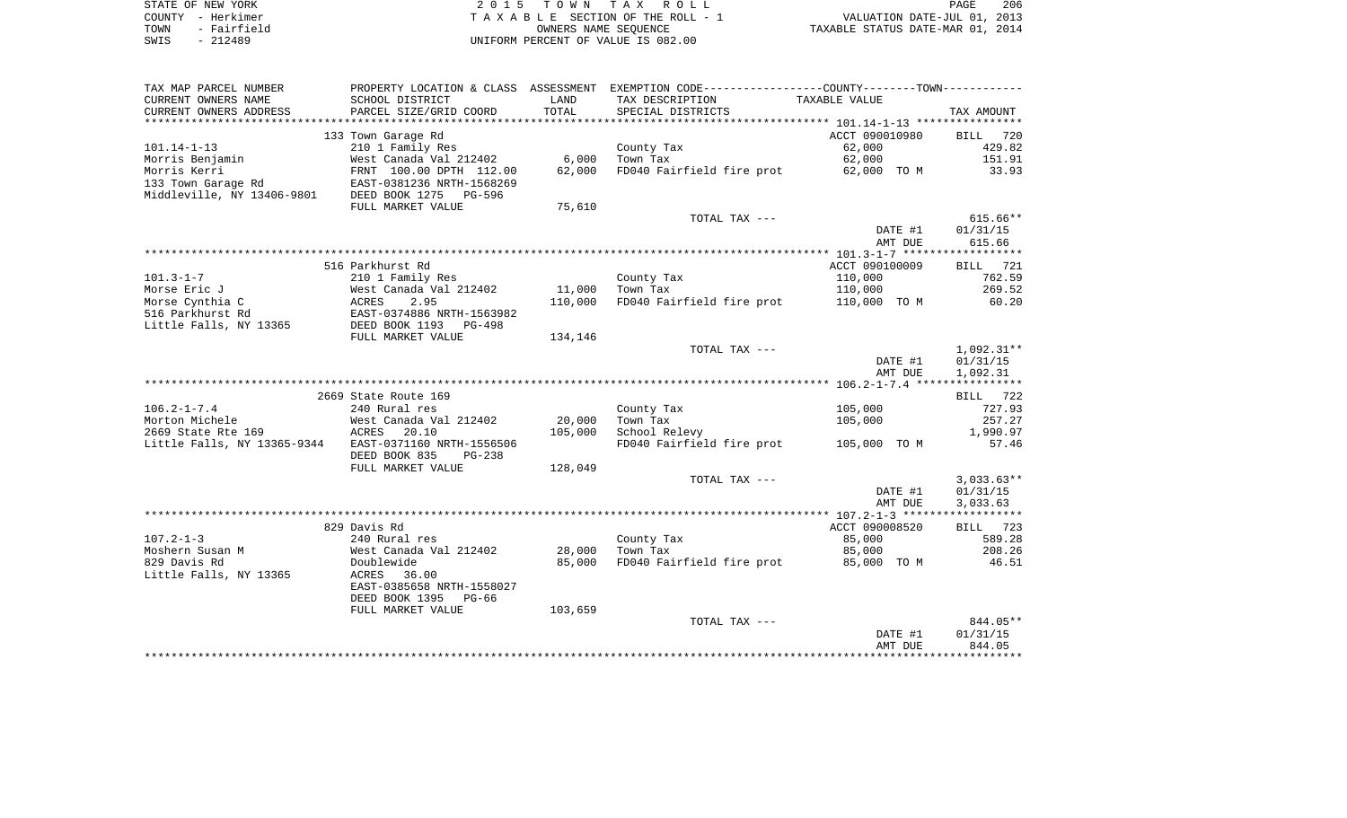| STATE OF NEW YORK   | 2015 TOWN TAX ROLL                 | 206<br>PAGE                      |
|---------------------|------------------------------------|----------------------------------|
| COUNTY - Herkimer   | TAXABLE SECTION OF THE ROLL - 1    | VALUATION DATE-JUL 01, 2013      |
| - Fairfield<br>TOWN | OWNERS NAME SEOUENCE               | TAXABLE STATUS DATE-MAR 01, 2014 |
| $-212489$<br>SWIS   | UNIFORM PERCENT OF VALUE IS 082.00 |                                  |

| TAX MAP PARCEL NUMBER       |                           |         | PROPERTY LOCATION & CLASS ASSESSMENT EXEMPTION CODE---------------COUNTY-------TOWN---------- |                    |                      |
|-----------------------------|---------------------------|---------|-----------------------------------------------------------------------------------------------|--------------------|----------------------|
| CURRENT OWNERS NAME         | SCHOOL DISTRICT           | LAND    | TAX DESCRIPTION                                                                               | TAXABLE VALUE      |                      |
| CURRENT OWNERS ADDRESS      | PARCEL SIZE/GRID COORD    | TOTAL   | SPECIAL DISTRICTS                                                                             |                    | TAX AMOUNT           |
| ***********************     |                           |         |                                                                                               |                    |                      |
|                             | 133 Town Garage Rd        |         |                                                                                               | ACCT 090010980     | BILL<br>720          |
| $101.14 - 1 - 13$           | 210 1 Family Res          |         | County Tax                                                                                    | 62,000             | 429.82               |
| Morris Benjamin             | West Canada Val 212402    | 6,000   | Town Tax                                                                                      | 62,000             | 151.91               |
| Morris Kerri                | FRNT 100.00 DPTH 112.00   | 62,000  | FD040 Fairfield fire prot                                                                     | 62,000 TO M        | 33.93                |
| 133 Town Garage Rd          | EAST-0381236 NRTH-1568269 |         |                                                                                               |                    |                      |
| Middleville, NY 13406-9801  | DEED BOOK 1275<br>PG-596  |         |                                                                                               |                    |                      |
|                             | FULL MARKET VALUE         | 75,610  |                                                                                               |                    |                      |
|                             |                           |         | TOTAL TAX ---                                                                                 |                    | $615.66**$           |
|                             |                           |         |                                                                                               | DATE #1            | 01/31/15             |
|                             |                           |         |                                                                                               | AMT DUE            | 615.66               |
|                             | 516 Parkhurst Rd          |         |                                                                                               | ACCT 090100009     | BILL 721             |
| $101.3 - 1 - 7$             | 210 1 Family Res          |         | County Tax                                                                                    | 110,000            | 762.59               |
| Morse Eric J                | West Canada Val 212402    | 11,000  | Town Tax                                                                                      | 110,000            | 269.52               |
| Morse Cynthia C             | <b>ACRES</b><br>2.95      | 110,000 | FD040 Fairfield fire prot 110,000 TO M                                                        |                    | 60.20                |
| 516 Parkhurst Rd            | EAST-0374886 NRTH-1563982 |         |                                                                                               |                    |                      |
| Little Falls, NY 13365      | DEED BOOK 1193<br>PG-498  |         |                                                                                               |                    |                      |
|                             | FULL MARKET VALUE         | 134,146 |                                                                                               |                    |                      |
|                             |                           |         | TOTAL TAX ---                                                                                 |                    | 1,092.31**           |
|                             |                           |         |                                                                                               | DATE #1            | 01/31/15             |
|                             |                           |         |                                                                                               | AMT DUE            | 1,092.31             |
|                             |                           |         |                                                                                               |                    |                      |
|                             | 2669 State Route 169      |         |                                                                                               |                    | BILL 722             |
| $106.2 - 1 - 7.4$           | 240 Rural res             |         | County Tax                                                                                    | 105,000            | 727.93               |
| Morton Michele              | West Canada Val 212402    | 20,000  | Town Tax                                                                                      | 105,000            | 257.27               |
| 2669 State Rte 169          | 20.10<br>ACRES            | 105,000 | School Relevy                                                                                 |                    | 1,990.97             |
| Little Falls, NY 13365-9344 | EAST-0371160 NRTH-1556506 |         | FD040 Fairfield fire prot                                                                     | 105,000 TO M       | 57.46                |
|                             | DEED BOOK 835<br>$PG-238$ |         |                                                                                               |                    |                      |
|                             | FULL MARKET VALUE         | 128,049 |                                                                                               |                    |                      |
|                             |                           |         | TOTAL TAX ---                                                                                 |                    | $3,033.63**$         |
|                             |                           |         |                                                                                               | DATE #1<br>AMT DUE | 01/31/15<br>3,033.63 |
|                             |                           |         |                                                                                               |                    |                      |
|                             | 829 Davis Rd              |         |                                                                                               | ACCT 090008520     | BILL 723             |
| $107.2 - 1 - 3$             | 240 Rural res             |         | County Tax                                                                                    | 85,000             | 589.28               |
| Moshern Susan M             | West Canada Val 212402    | 28,000  | Town Tax                                                                                      | 85,000             | 208.26               |
| 829 Davis Rd                | Doublewide                | 85,000  | FD040 Fairfield fire prot                                                                     | 85,000 TO M        | 46.51                |
| Little Falls, NY 13365      | 36.00<br>ACRES            |         |                                                                                               |                    |                      |
|                             | EAST-0385658 NRTH-1558027 |         |                                                                                               |                    |                      |
|                             | DEED BOOK 1395 PG-66      |         |                                                                                               |                    |                      |
|                             | FULL MARKET VALUE         | 103,659 |                                                                                               |                    |                      |
|                             |                           |         | TOTAL TAX ---                                                                                 |                    | 844.05**             |
|                             |                           |         |                                                                                               | DATE #1            | 01/31/15             |
|                             |                           |         |                                                                                               | AMT DUE            | 844.05               |
|                             |                           |         |                                                                                               |                    |                      |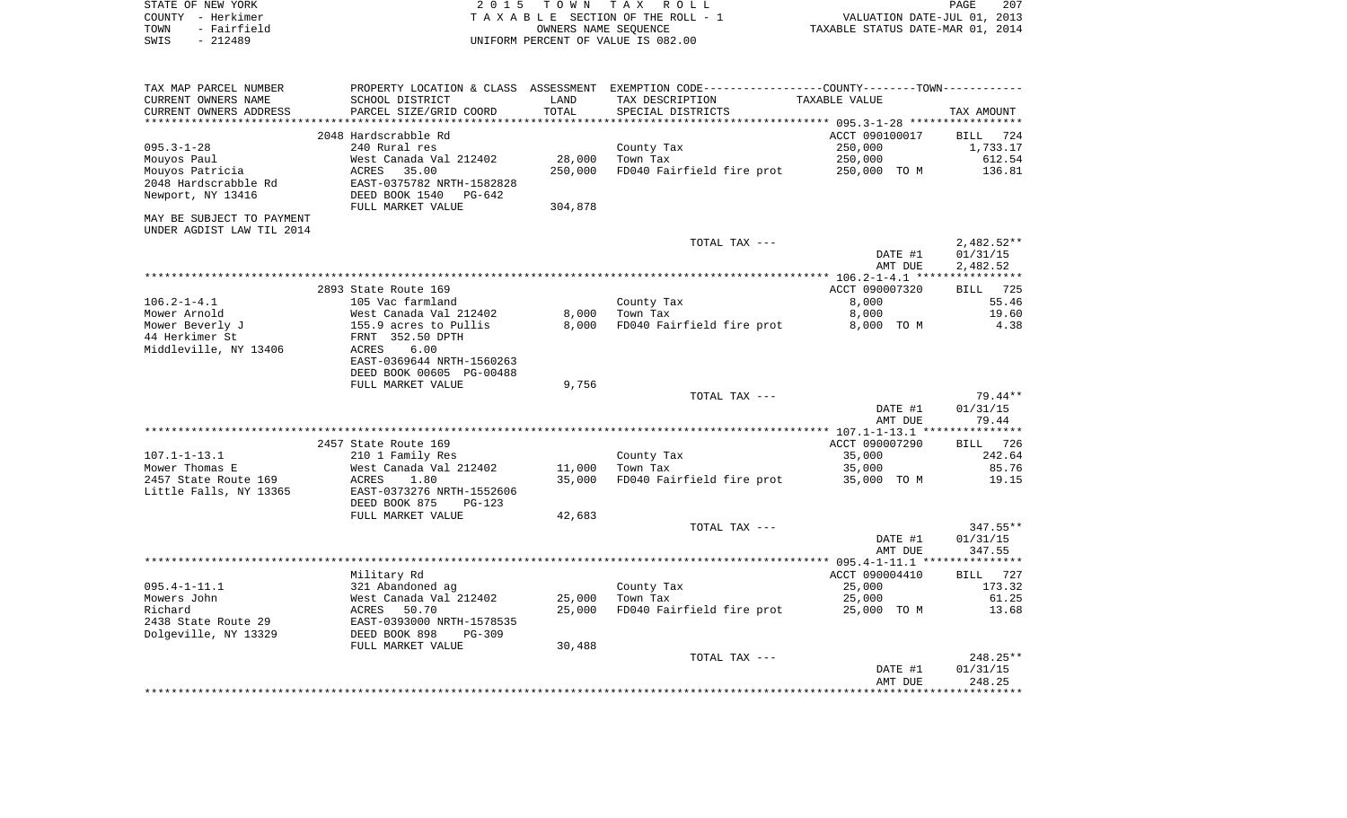| COUNTY - Herkimer<br>TOWN<br>- Fairfield |                                                                                                                                      |         | TAXABLE SECTION OF THE ROLL - 1<br>OWNERS NAME SEQUENCE | VALUATION DATE-JUL 01, 2013<br>TAXABLE STATUS DATE-MAR 01, 2014 |                    |
|------------------------------------------|--------------------------------------------------------------------------------------------------------------------------------------|---------|---------------------------------------------------------|-----------------------------------------------------------------|--------------------|
| SWIS<br>$-212489$                        |                                                                                                                                      |         | UNIFORM PERCENT OF VALUE IS 082.00                      |                                                                 |                    |
| TAX MAP PARCEL NUMBER                    | PROPERTY LOCATION & CLASS ASSESSMENT EXEMPTION CODE-----------------COUNTY--------TOWN----------                                     |         |                                                         |                                                                 |                    |
| CURRENT OWNERS NAME                      | SCHOOL DISTRICT                                                                                                                      | LAND    | TAX DESCRIPTION TAXABLE VALUE                           |                                                                 |                    |
| CURRENT OWNERS ADDRESS                   | PARCEL SIZE/GRID COORD                                                                                                               | TOTAL   | SPECIAL DISTRICTS                                       |                                                                 | TAX AMOUNT         |
|                                          |                                                                                                                                      |         |                                                         |                                                                 |                    |
|                                          | 2048 Hardscrabble Rd                                                                                                                 |         |                                                         | ACCT 090100017                                                  | BILL 724           |
| $095.3 - 1 - 28$<br>Mouyos Paul          | 240 Rural res<br>West Canada Val 212402                                                                                              | 28,000  | County Tax<br>Town Tax                                  | 250,000<br>250,000                                              | 1,733.17<br>612.54 |
| Mouyos Patricia                          | 35.00<br>ACRES                                                                                                                       | 250,000 | FD040 Fairfield fire prot 250,000 TO M                  |                                                                 | 136.81             |
| 2048 Hardscrabble Rd                     | EAST-0375782 NRTH-1582828                                                                                                            |         |                                                         |                                                                 |                    |
| Newport, NY 13416                        | DEED BOOK 1540 PG-642                                                                                                                |         |                                                         |                                                                 |                    |
|                                          | FULL MARKET VALUE                                                                                                                    | 304,878 |                                                         |                                                                 |                    |
| MAY BE SUBJECT TO PAYMENT                |                                                                                                                                      |         |                                                         |                                                                 |                    |
| UNDER AGDIST LAW TIL 2014                |                                                                                                                                      |         | TOTAL TAX ---                                           |                                                                 | $2,482.52**$       |
|                                          |                                                                                                                                      |         |                                                         | DATE #1                                                         | 01/31/15           |
|                                          |                                                                                                                                      |         |                                                         | AMT DUE                                                         | 2,482.52           |
|                                          |                                                                                                                                      |         |                                                         |                                                                 |                    |
|                                          | 2893 State Route 169                                                                                                                 |         |                                                         | ACCT 090007320                                                  | BILL 725           |
| 106.2-1-4.1                              | 105 Vac farmland                                                                                                                     |         | County Tax                                              | 8,000                                                           | 55.46              |
| Mower Arnold                             | West Canada Val 212402                                                                                                               |         | 8,000 Town Tax                                          | 8,000                                                           | 19.60              |
| Mower Beverly J                          | 155.9 acres to Pullis                                                                                                                | 8,000   | FD040 Fairfield fire prot 8,000 TO M                    |                                                                 | 4.38               |
| 44 Herkimer St<br>Middleville, NY 13406  | FRNT 352.50 DPTH<br>ACRES<br>6.00                                                                                                    |         |                                                         |                                                                 |                    |
|                                          | EAST-0369644 NRTH-1560263                                                                                                            |         |                                                         |                                                                 |                    |
|                                          | DEED BOOK 00605 PG-00488                                                                                                             |         |                                                         |                                                                 |                    |
|                                          | FULL MARKET VALUE                                                                                                                    | 9,756   |                                                         |                                                                 |                    |
|                                          |                                                                                                                                      |         | TOTAL TAX ---                                           |                                                                 | 79.44**            |
|                                          |                                                                                                                                      |         |                                                         | DATE #1                                                         | 01/31/15           |
|                                          |                                                                                                                                      |         |                                                         | AMT DUE                                                         | 79.44              |
|                                          | 2457 State Route 169                                                                                                                 |         |                                                         | ACCT 090007290                                                  | BILL 726           |
| 107.1-1-13.1                             | 210 1 Family Res                                                                                                                     |         | County Tax                                              | 35,000                                                          | 242.64             |
| Mower Thomas E                           | West Canada Val 212402                                                                                                               | 11,000  | Town Tax                                                | 35,000                                                          | 85.76              |
| 2457 State Route 169                     | ACRES<br>1.80                                                                                                                        | 35,000  | FD040 Fairfield fire prot 35,000 TO M                   |                                                                 | 19.15              |
| Little Falls, NY 13365                   | EAST-0373276 NRTH-1552606                                                                                                            |         |                                                         |                                                                 |                    |
|                                          | DEED BOOK 875<br>PG-123                                                                                                              |         |                                                         |                                                                 |                    |
|                                          | FULL MARKET VALUE                                                                                                                    | 42,683  | TOTAL TAX ---                                           |                                                                 | $347.55**$         |
|                                          |                                                                                                                                      |         |                                                         | DATE #1                                                         | 01/31/15           |
|                                          |                                                                                                                                      |         |                                                         | AMT DUE                                                         | 347.55             |
|                                          |                                                                                                                                      |         |                                                         |                                                                 |                    |
|                                          | Military Rd                                                                                                                          |         |                                                         | ACCT 090004410                                                  | BILL 727           |
| $095.4 - 1 - 11.1$                       |                                                                                                                                      |         | County Tax                                              | 25,000                                                          | 173.32             |
| Mowers John<br>Richard                   |                                                                                                                                      | 25,000  | Town Tax                                                | 25,000                                                          | 61.25              |
| 2438 State Route 29                      | 321 Abandoned ag<br>West Canada Val 212402<br>ACRES 50.70<br>EAST-0393000 NRTH-1578535<br>DEED BOOK 898 PG-309<br>FIILL MAPKET VALUE | 25,000  | FD040 Fairfield fire prot 25,000 TO M                   |                                                                 | 13.68              |
| Dolgeville, NY 13329                     |                                                                                                                                      |         |                                                         |                                                                 |                    |
|                                          | FULL MARKET VALUE                                                                                                                    | 30,488  |                                                         |                                                                 |                    |
|                                          |                                                                                                                                      |         | TOTAL TAX ---                                           |                                                                 | 248.25**           |
|                                          |                                                                                                                                      |         |                                                         | DATE #1                                                         | 01/31/15           |
|                                          |                                                                                                                                      |         |                                                         | AMT DUE                                                         | 248.25             |
|                                          |                                                                                                                                      |         |                                                         |                                                                 |                    |

PAGE 207

STATE OF NEW YORK **EXECUTE:**  $2015$  TOWN TAX ROLL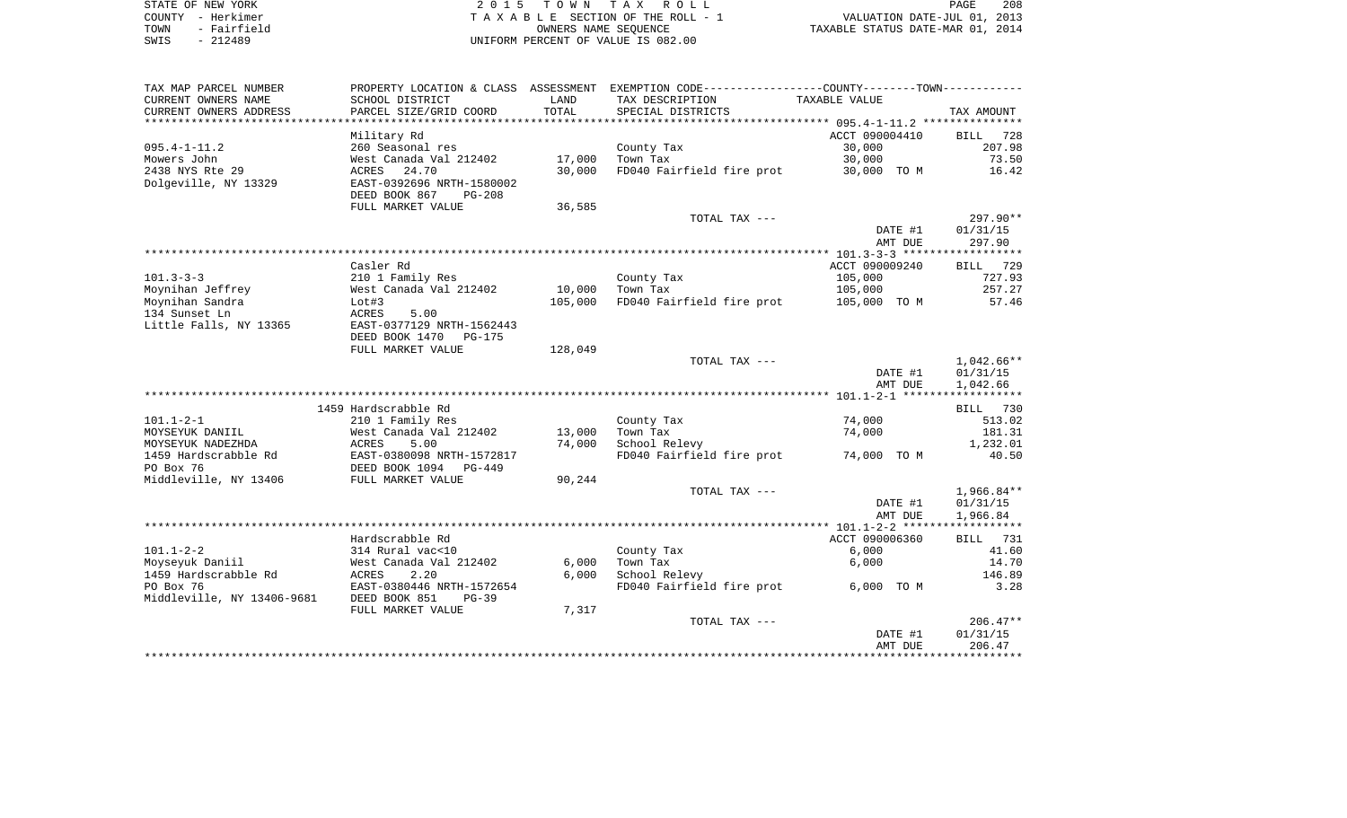| STATE OF NEW YORK   | 2015 TOWN TAX ROLL                 | 208<br>PAGE                      |
|---------------------|------------------------------------|----------------------------------|
| COUNTY - Herkimer   | TAXABLE SECTION OF THE ROLL - 1    | VALUATION DATE-JUL 01, 2013      |
| - Fairfield<br>TOWN | OWNERS NAME SEOUENCE               | TAXABLE STATUS DATE-MAR 01, 2014 |
| $-212489$<br>SWIS   | UNIFORM PERCENT OF VALUE IS 082.00 |                                  |

| TAX MAP PARCEL NUMBER      | PROPERTY LOCATION & CLASS ASSESSMENT                   |         | EXEMPTION CODE----------------COUNTY-------TOWN----------- |                |                    |
|----------------------------|--------------------------------------------------------|---------|------------------------------------------------------------|----------------|--------------------|
| CURRENT OWNERS NAME        | SCHOOL DISTRICT                                        | LAND    | TAX DESCRIPTION                                            | TAXABLE VALUE  |                    |
| CURRENT OWNERS ADDRESS     | PARCEL SIZE/GRID COORD                                 | TOTAL   | SPECIAL DISTRICTS                                          |                | TAX AMOUNT         |
| *******************        |                                                        |         |                                                            |                |                    |
|                            | Military Rd                                            |         |                                                            | ACCT 090004410 | 728<br>BILL        |
| $095.4 - 1 - 11.2$         | 260 Seasonal res                                       |         | County Tax                                                 | 30,000         | 207.98             |
| Mowers John                | West Canada Val 212402                                 | 17,000  | Town Tax                                                   | 30,000         | 73.50              |
| 2438 NYS Rte 29            | 24.70<br>ACRES                                         | 30,000  | FD040 Fairfield fire prot                                  | 30,000 TO M    | 16.42              |
| Dolgeville, NY 13329       | EAST-0392696 NRTH-1580002<br>DEED BOOK 867<br>$PG-208$ |         |                                                            |                |                    |
|                            | FULL MARKET VALUE                                      | 36,585  |                                                            |                |                    |
|                            |                                                        |         | TOTAL TAX ---                                              |                | 297.90**           |
|                            |                                                        |         |                                                            | DATE #1        | 01/31/15           |
|                            |                                                        |         |                                                            | AMT DUE        | 297.90             |
|                            |                                                        |         |                                                            |                |                    |
|                            | Casler Rd                                              |         |                                                            | ACCT 090009240 | BILL 729           |
| $101.3 - 3 - 3$            | 210 1 Family Res                                       |         | County Tax                                                 | 105,000        | 727.93             |
| Moynihan Jeffrey           | West Canada Val 212402                                 | 10,000  | Town Tax                                                   | 105,000        | 257.27             |
| Moynihan Sandra            | Lot#3                                                  | 105,000 | FD040 Fairfield fire prot                                  | 105,000 TO M   | 57.46              |
| 134 Sunset Ln              | 5.00<br>ACRES                                          |         |                                                            |                |                    |
| Little Falls, NY 13365     | EAST-0377129 NRTH-1562443                              |         |                                                            |                |                    |
|                            | DEED BOOK 1470<br><b>PG-175</b>                        |         |                                                            |                |                    |
|                            | FULL MARKET VALUE                                      | 128,049 |                                                            |                |                    |
|                            |                                                        |         | TOTAL TAX ---                                              |                | $1,042.66**$       |
|                            |                                                        |         |                                                            | DATE #1        | 01/31/15           |
|                            |                                                        |         |                                                            | AMT DUE        | 1,042.66           |
|                            | 1459 Hardscrabble Rd                                   |         |                                                            |                | BILL 730           |
| $101.1 - 2 - 1$            | 210 1 Family Res                                       |         | County Tax                                                 | 74,000         | 513.02             |
| MOYSEYUK DANIIL            | West Canada Val 212402                                 | 13,000  | Town Tax                                                   | 74,000         | 181.31             |
| MOYSEYUK NADEZHDA          | ACRES<br>5.00                                          | 74,000  | School Relevy                                              |                | 1,232.01           |
| 1459 Hardscrabble Rd       | EAST-0380098 NRTH-1572817                              |         | FD040 Fairfield fire prot                                  | 74,000 TO M    | 40.50              |
| PO Box 76                  | DEED BOOK 1094<br>PG-449                               |         |                                                            |                |                    |
| Middleville, NY 13406      | FULL MARKET VALUE                                      | 90,244  |                                                            |                |                    |
|                            |                                                        |         | TOTAL TAX ---                                              |                | $1,966.84**$       |
|                            |                                                        |         |                                                            | DATE #1        | 01/31/15           |
|                            |                                                        |         |                                                            | AMT DUE        | 1,966.84           |
|                            |                                                        |         |                                                            |                | ****************** |
|                            | Hardscrabble Rd                                        |         |                                                            | ACCT 090006360 | 731<br><b>BILL</b> |
| $101.1 - 2 - 2$            | 314 Rural vac<10                                       |         | County Tax                                                 | 6,000          | 41.60              |
| Moyseyuk Daniil            | West Canada Val 212402                                 | 6,000   | Town Tax                                                   | 6,000          | 14.70              |
| 1459 Hardscrabble Rd       | ACRES<br>2.20                                          | 6,000   | School Relevy                                              |                | 146.89             |
| PO Box 76                  | EAST-0380446 NRTH-1572654                              |         | FD040 Fairfield fire prot                                  | 6,000 TO M     | 3.28               |
| Middleville, NY 13406-9681 | DEED BOOK 851<br>$PG-39$                               |         |                                                            |                |                    |
|                            | FULL MARKET VALUE                                      | 7,317   |                                                            |                |                    |
|                            |                                                        |         | TOTAL TAX ---                                              |                | $206.47**$         |
|                            |                                                        |         |                                                            | DATE #1        | 01/31/15           |
|                            |                                                        |         |                                                            | AMT DUE        | 206.47             |
|                            |                                                        |         |                                                            |                |                    |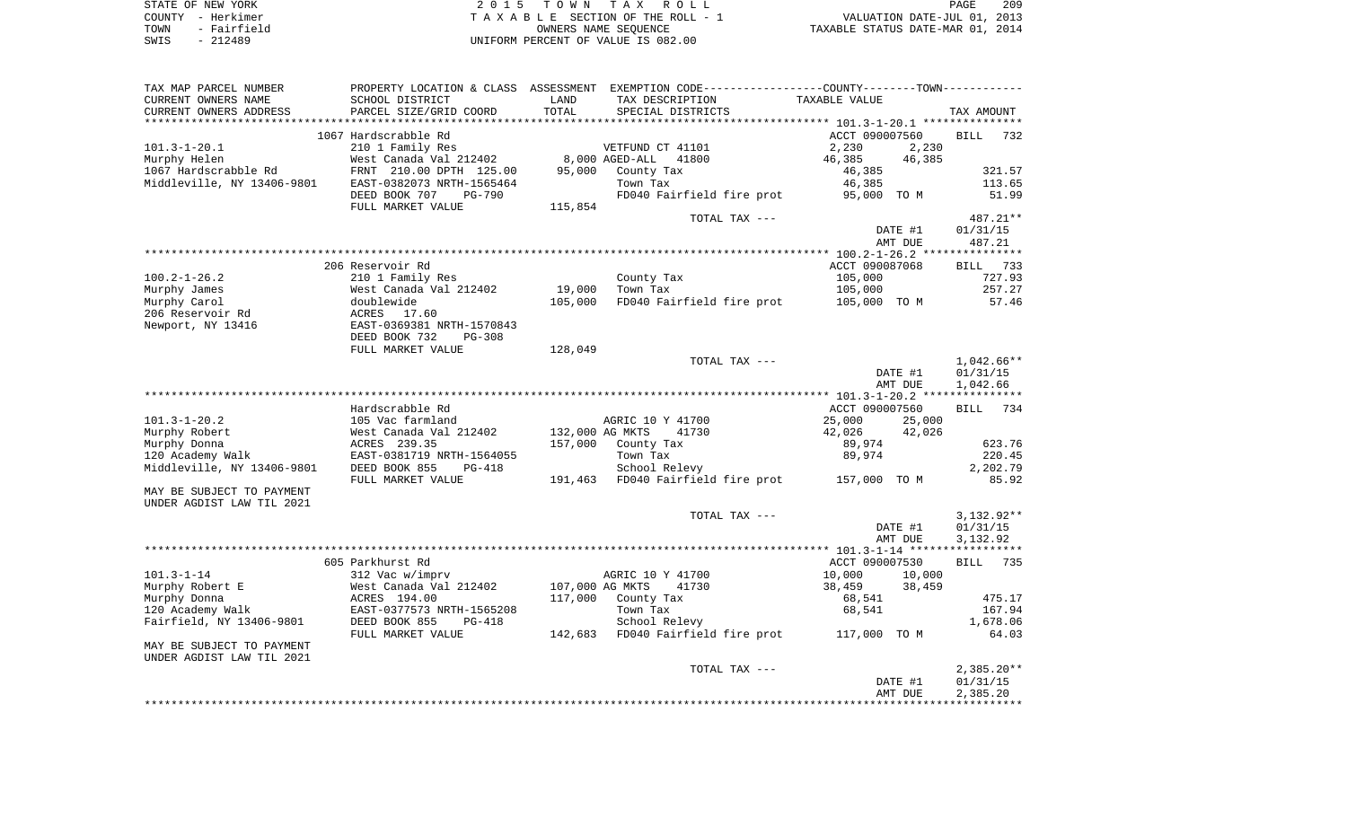| STATE OF NEW YORK   | 2015 TOWN TAX ROLL                 | 209<br>PAGE                      |
|---------------------|------------------------------------|----------------------------------|
| COUNTY - Herkimer   | TAXABLE SECTION OF THE ROLL - 1    | VALUATION DATE-JUL 01, 2013      |
| - Fairfield<br>TOWN | OWNERS NAME SEOUENCE               | TAXABLE STATUS DATE-MAR 01, 2014 |
| $-212489$<br>SWIS   | UNIFORM PERCENT OF VALUE IS 082.00 |                                  |

| TAX MAP PARCEL NUMBER      |                                |                 | PROPERTY LOCATION & CLASS ASSESSMENT EXEMPTION CODE---------------COUNTY-------TOWN---------- |                                              |         |                          |        |
|----------------------------|--------------------------------|-----------------|-----------------------------------------------------------------------------------------------|----------------------------------------------|---------|--------------------------|--------|
| CURRENT OWNERS NAME        | SCHOOL DISTRICT                | LAND            | TAX DESCRIPTION                                                                               | TAXABLE VALUE                                |         |                          |        |
| CURRENT OWNERS ADDRESS     | PARCEL SIZE/GRID COORD         | TOTAL           | SPECIAL DISTRICTS                                                                             |                                              |         | TAX AMOUNT               |        |
|                            |                                |                 |                                                                                               |                                              |         |                          |        |
|                            | 1067 Hardscrabble Rd           |                 |                                                                                               | ACCT 090007560                               |         | <b>BILL</b>              | 732    |
| $101.3 - 1 - 20.1$         | 210 1 Family Res               |                 | VETFUND CT 41101                                                                              | 2,230                                        | 2,230   |                          |        |
| Murphy Helen               | West Canada Val 212402         |                 | 8,000 AGED-ALL<br>41800                                                                       | 46,385                                       | 46,385  |                          |        |
| 1067 Hardscrabble Rd       | FRNT 210.00 DPTH 125.00        | 95,000          | County Tax                                                                                    | 46,385                                       |         |                          | 321.57 |
| Middleville, NY 13406-9801 | EAST-0382073 NRTH-1565464      |                 | Town Tax                                                                                      | 46,385                                       |         |                          | 113.65 |
|                            | DEED BOOK 707<br><b>PG-790</b> |                 | FD040 Fairfield fire prot                                                                     | 95,000 TO M                                  |         |                          | 51.99  |
|                            | FULL MARKET VALUE              | 115,854         |                                                                                               |                                              |         |                          |        |
|                            |                                |                 | TOTAL TAX ---                                                                                 |                                              |         | 487.21**                 |        |
|                            |                                |                 |                                                                                               |                                              | DATE #1 | 01/31/15                 |        |
|                            |                                |                 |                                                                                               |                                              | AMT DUE | 487.21                   |        |
|                            |                                |                 |                                                                                               |                                              |         |                          |        |
|                            | 206 Reservoir Rd               |                 |                                                                                               | ACCT 090087068                               |         | BILL                     | 733    |
| $100.2 - 1 - 26.2$         | 210 1 Family Res               |                 | County Tax                                                                                    | 105,000                                      |         |                          | 727.93 |
| Murphy James               | West Canada Val 212402         | 19,000          | Town Tax                                                                                      | 105,000                                      |         |                          | 257.27 |
| Murphy Carol               | doublewide                     | 105,000         | FD040 Fairfield fire prot                                                                     | 105,000 TO M                                 |         |                          | 57.46  |
| 206 Reservoir Rd           | ACRES<br>17.60                 |                 |                                                                                               |                                              |         |                          |        |
| Newport, NY 13416          | EAST-0369381 NRTH-1570843      |                 |                                                                                               |                                              |         |                          |        |
|                            | DEED BOOK 732<br>$PG-308$      |                 |                                                                                               |                                              |         |                          |        |
|                            | FULL MARKET VALUE              | 128,049         | TOTAL TAX ---                                                                                 |                                              |         | 1,042.66**               |        |
|                            |                                |                 |                                                                                               |                                              | DATE #1 | 01/31/15                 |        |
|                            |                                |                 |                                                                                               |                                              | AMT DUE | 1,042.66                 |        |
|                            |                                |                 |                                                                                               | ************** 101.3-1-20.2 **************** |         |                          |        |
|                            | Hardscrabble Rd                |                 |                                                                                               | ACCT 090007560                               |         | <b>BILL</b>              | 734    |
| $101.3 - 1 - 20.2$         | 105 Vac farmland               |                 | AGRIC 10 Y 41700                                                                              | 25,000                                       | 25,000  |                          |        |
| Murphy Robert              | West Canada Val 212402         | 132,000 AG MKTS | 41730                                                                                         | 42,026                                       | 42,026  |                          |        |
| Murphy Donna               | ACRES 239.35                   | 157,000         | County Tax                                                                                    | 89,974                                       |         |                          | 623.76 |
| 120 Academy Walk           | EAST-0381719 NRTH-1564055      |                 | Town Tax                                                                                      | 89,974                                       |         |                          | 220.45 |
| Middleville, NY 13406-9801 | DEED BOOK 855<br>PG-418        |                 | School Relevy                                                                                 |                                              |         | 2,202.79                 |        |
|                            | FULL MARKET VALUE              | 191,463         | FD040 Fairfield fire prot                                                                     | 157,000 TO M                                 |         |                          | 85.92  |
| MAY BE SUBJECT TO PAYMENT  |                                |                 |                                                                                               |                                              |         |                          |        |
| UNDER AGDIST LAW TIL 2021  |                                |                 |                                                                                               |                                              |         |                          |        |
|                            |                                |                 | TOTAL TAX ---                                                                                 |                                              |         | $3,132.92**$             |        |
|                            |                                |                 |                                                                                               |                                              | DATE #1 | 01/31/15                 |        |
|                            |                                |                 |                                                                                               |                                              | AMT DUE | 3,132.92                 |        |
|                            |                                |                 |                                                                                               |                                              |         |                          |        |
|                            | 605 Parkhurst Rd               |                 |                                                                                               | ACCT 090007530                               |         | <b>BILL</b>              | 735    |
| $101.3 - 1 - 14$           | 312 Vac w/imprv                |                 | AGRIC 10 Y 41700                                                                              | 10,000                                       | 10,000  |                          |        |
| Murphy Robert E            | West Canada Val 212402         | 107,000 AG MKTS | 41730                                                                                         | 38,459                                       | 38,459  |                          |        |
| Murphy Donna               | ACRES 194.00                   | 117,000         | County Tax                                                                                    | 68,541                                       |         |                          | 475.17 |
| 120 Academy Walk           | EAST-0377573 NRTH-1565208      |                 | Town Tax                                                                                      | 68,541                                       |         | 167.94                   |        |
| Fairfield, NY 13406-9801   | DEED BOOK 855<br>$PG-418$      |                 | School Relevy                                                                                 |                                              |         | 1,678.06                 |        |
|                            | FULL MARKET VALUE              | 142,683         | FD040 Fairfield fire prot                                                                     | 117,000 TO M                                 |         |                          | 64.03  |
| MAY BE SUBJECT TO PAYMENT  |                                |                 |                                                                                               |                                              |         |                          |        |
| UNDER AGDIST LAW TIL 2021  |                                |                 |                                                                                               |                                              |         |                          |        |
|                            |                                |                 | TOTAL TAX ---                                                                                 |                                              | DATE #1 | $2,385.20**$<br>01/31/15 |        |
|                            |                                |                 |                                                                                               |                                              | AMT DUE | 2,385.20                 |        |
|                            |                                |                 |                                                                                               |                                              |         |                          |        |
|                            |                                |                 |                                                                                               |                                              |         |                          |        |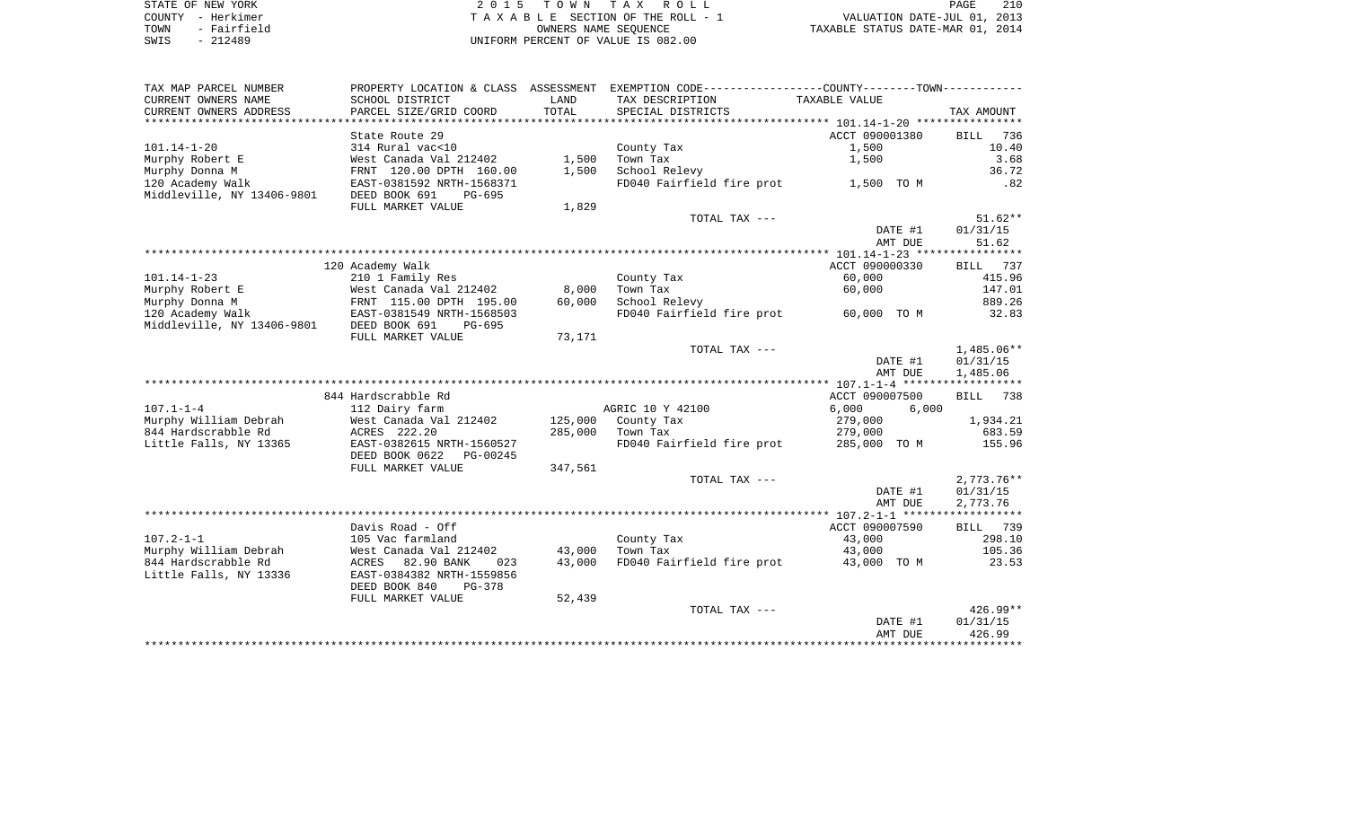| STATE OF NEW YORK |             |
|-------------------|-------------|
| COUNTY            | - Herkimer  |
| TOWN              | - Fairfield |
| SWIS              | $-212489$   |

STATE OF NEW YORK 2 0 1 5 T O W N T A X R O L L PAGE 210TA X A B L E SECTION OF THE ROLL - 1 TOWN - Fairfield OWNERS NAME SEQUENCE TAXABLE STATUS DATE-MAR 01, 2014 SWIS - 212489 UNIFORM PERCENT OF VALUE IS 082.00

| TAX MAP PARCEL NUMBER                         |                                                         |         | PROPERTY LOCATION & CLASS ASSESSMENT EXEMPTION CODE---------------COUNTY-------TOWN---------- |                |                    |
|-----------------------------------------------|---------------------------------------------------------|---------|-----------------------------------------------------------------------------------------------|----------------|--------------------|
| CURRENT OWNERS NAME                           | SCHOOL DISTRICT                                         | LAND    | TAX DESCRIPTION                                                                               | TAXABLE VALUE  |                    |
| CURRENT OWNERS ADDRESS                        | PARCEL SIZE/GRID COORD                                  | TOTAL   | SPECIAL DISTRICTS                                                                             |                | TAX AMOUNT         |
|                                               |                                                         |         |                                                                                               |                |                    |
|                                               | State Route 29                                          |         |                                                                                               | ACCT 090001380 | <b>BILL</b><br>736 |
| $101.14 - 1 - 20$                             | 314 Rural vac<10                                        |         | County Tax                                                                                    | 1,500          | 10.40              |
| Murphy Robert E                               | West Canada Val 212402                                  | 1,500   | Town Tax                                                                                      | 1,500          | 3.68               |
| Murphy Donna M                                | FRNT 120.00 DPTH 160.00                                 | 1,500   | School Relevy                                                                                 |                | 36.72              |
| 120 Academy Walk                              | EAST-0381592 NRTH-1568371                               |         | FD040 Fairfield fire prot                                                                     | 1,500 TO M     | .82                |
| Middleville, NY 13406-9801                    | DEED BOOK 691<br>$PG-695$                               |         |                                                                                               |                |                    |
|                                               | FULL MARKET VALUE                                       | 1,829   |                                                                                               |                |                    |
|                                               |                                                         |         | TOTAL TAX ---                                                                                 |                | $51.62**$          |
|                                               |                                                         |         |                                                                                               | DATE #1        | 01/31/15           |
|                                               |                                                         |         |                                                                                               | AMT DUE        | 51.62              |
|                                               |                                                         |         |                                                                                               |                |                    |
|                                               | 120 Academy Walk                                        |         |                                                                                               | ACCT 090000330 | BILL 737           |
| $101.14 - 1 - 23$                             | 210 1 Family Res                                        |         | County Tax                                                                                    | 60,000         | 415.96             |
| Murphy Robert E                               | West Canada Val 212402                                  | 8,000   | Town Tax                                                                                      | 60,000         | 147.01             |
| Murphy Donna M                                | FRNT 115.00 DPTH 195.00                                 | 60,000  | School Relevy                                                                                 |                | 889.26             |
| 120 Academy Walk                              | EAST-0381549 NRTH-1568503                               |         | FD040 Fairfield fire prot                                                                     | 60,000 TO M    | 32.83              |
| Middleville, NY 13406-9801                    | DEED BOOK 691<br>PG-695                                 |         |                                                                                               |                |                    |
|                                               | FULL MARKET VALUE                                       | 73,171  |                                                                                               |                |                    |
|                                               |                                                         |         | TOTAL TAX ---                                                                                 |                | $1,485.06**$       |
|                                               |                                                         |         |                                                                                               | DATE #1        | 01/31/15           |
|                                               |                                                         |         |                                                                                               | AMT DUE        | 1,485.06           |
|                                               |                                                         |         |                                                                                               |                |                    |
|                                               | 844 Hardscrabble Rd                                     |         |                                                                                               | ACCT 090007500 | <b>BILL</b><br>738 |
| $107.1 - 1 - 4$                               | 112 Dairy farm                                          |         | AGRIC 10 Y 42100                                                                              | 6,000<br>6,000 |                    |
| Murphy William Debrah                         | West Canada Val 212402                                  | 125,000 | County Tax                                                                                    | 279,000        | 1,934.21           |
| 844 Hardscrabble Rd                           | ACRES 222.20                                            | 285,000 | Town Tax                                                                                      | 279,000        | 683.59             |
| Little Falls, NY 13365                        | EAST-0382615 NRTH-1560527                               |         | FD040 Fairfield fire prot                                                                     | 285,000 TO M   | 155.96             |
|                                               | DEED BOOK 0622<br>PG-00245                              |         |                                                                                               |                |                    |
|                                               | FULL MARKET VALUE                                       | 347,561 |                                                                                               |                |                    |
|                                               |                                                         |         | TOTAL TAX ---                                                                                 |                | $2,773.76**$       |
|                                               |                                                         |         |                                                                                               | DATE #1        | 01/31/15           |
|                                               |                                                         |         |                                                                                               | AMT DUE        | 2,773.76           |
|                                               |                                                         |         |                                                                                               |                |                    |
| $107.2 - 1 - 1$                               | Davis Road - Off                                        |         |                                                                                               | ACCT 090007590 | 739<br>BILL        |
| Murphy William Debrah                         | 105 Vac farmland                                        | 43,000  | County Tax<br>Town Tax                                                                        | 43,000         | 298.10<br>105.36   |
|                                               | West Canada Val 212402                                  | 43,000  | FD040 Fairfield fire prot                                                                     | 43,000         |                    |
| 844 Hardscrabble Rd<br>Little Falls, NY 13336 | ACRES<br>82.90 BANK<br>023<br>EAST-0384382 NRTH-1559856 |         |                                                                                               | 43,000 TO M    | 23.53              |
|                                               | DEED BOOK 840<br>PG-378                                 |         |                                                                                               |                |                    |
|                                               | FULL MARKET VALUE                                       | 52,439  |                                                                                               |                |                    |
|                                               |                                                         |         | TOTAL TAX ---                                                                                 |                | $426.99**$         |
|                                               |                                                         |         |                                                                                               | DATE #1        | 01/31/15           |
|                                               |                                                         |         |                                                                                               | AMT DUE        | 426.99             |
|                                               |                                                         |         |                                                                                               |                |                    |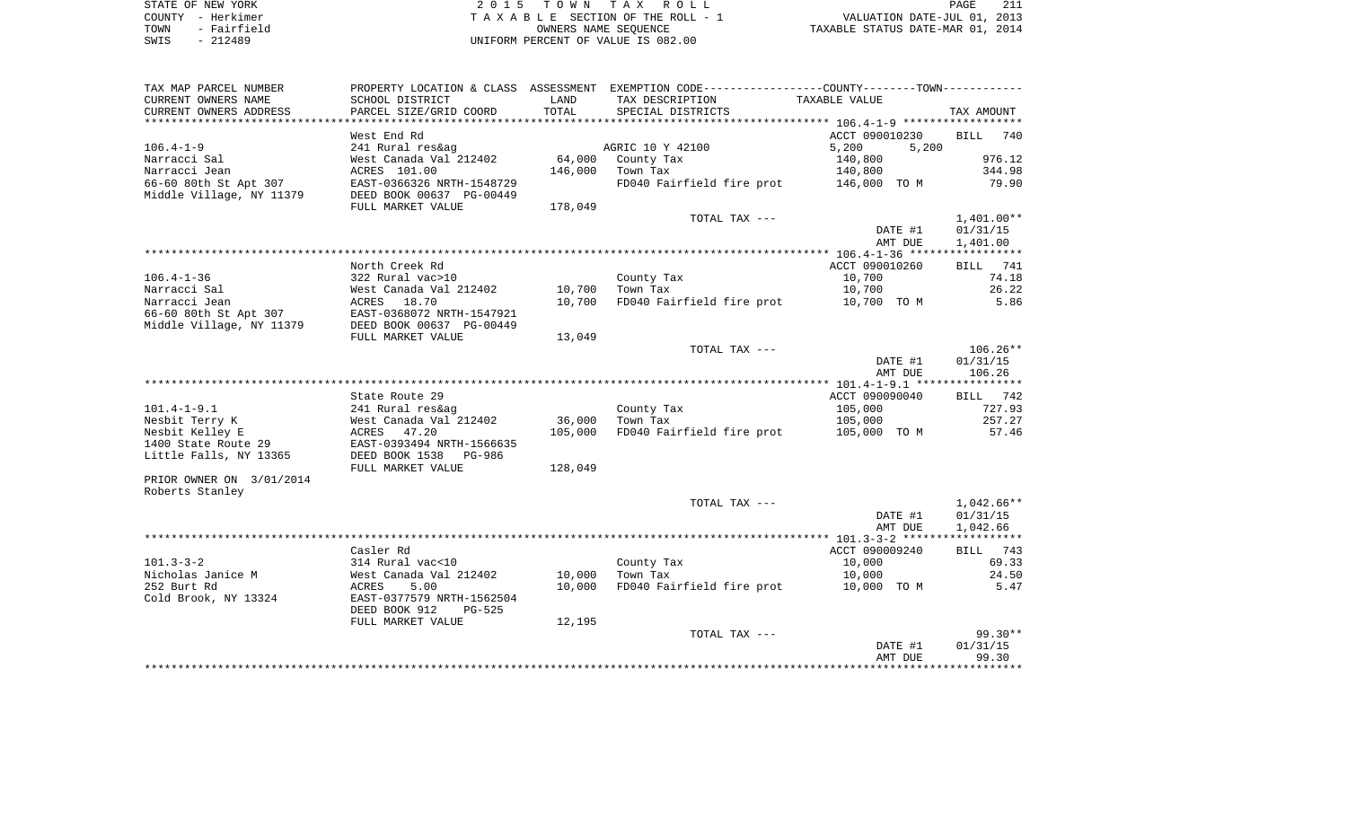| STATE OF NEW YORK   | 2015 TOWN TAX ROLL                 | 211<br>PAGE                      |
|---------------------|------------------------------------|----------------------------------|
| COUNTY - Herkimer   | TAXABLE SECTION OF THE ROLL - 1    | VALUATION DATE-JUL 01, 2013      |
| - Fairfield<br>TOWN | OWNERS NAME SEOUENCE               | TAXABLE STATUS DATE-MAR 01, 2014 |
| $-212489$<br>SWIS   | UNIFORM PERCENT OF VALUE IS 082.00 |                                  |

| TAX MAP PARCEL NUMBER    |                                |         | PROPERTY LOCATION & CLASS ASSESSMENT EXEMPTION CODE---------------COUNTY--------TOWN---------- |                |              |
|--------------------------|--------------------------------|---------|------------------------------------------------------------------------------------------------|----------------|--------------|
| CURRENT OWNERS NAME      | SCHOOL DISTRICT                | LAND    | TAX DESCRIPTION                                                                                | TAXABLE VALUE  |              |
| CURRENT OWNERS ADDRESS   | PARCEL SIZE/GRID COORD         | TOTAL   | SPECIAL DISTRICTS                                                                              |                | TAX AMOUNT   |
| *******************      |                                |         |                                                                                                |                |              |
|                          | West End Rd                    |         |                                                                                                | ACCT 090010230 | BILL<br>740  |
| $106.4 - 1 - 9$          | 241 Rural res&ag               |         | AGRIC 10 Y 42100                                                                               | 5,200<br>5,200 |              |
| Narracci Sal             | West Canada Val 212402         | 64,000  | County Tax                                                                                     | 140,800        | 976.12       |
| Narracci Jean            | ACRES 101.00                   | 146,000 | Town Tax                                                                                       | 140,800        | 344.98       |
| 66-60 80th St Apt 307    | EAST-0366326 NRTH-1548729      |         | FD040 Fairfield fire prot                                                                      | 146,000 TO M   | 79.90        |
| Middle Village, NY 11379 | DEED BOOK 00637 PG-00449       |         |                                                                                                |                |              |
|                          | FULL MARKET VALUE              | 178,049 |                                                                                                |                |              |
|                          |                                |         | TOTAL TAX ---                                                                                  |                | $1,401.00**$ |
|                          |                                |         |                                                                                                | DATE #1        | 01/31/15     |
|                          |                                |         |                                                                                                | AMT DUE        | 1,401.00     |
|                          |                                |         |                                                                                                |                |              |
|                          | North Creek Rd                 |         |                                                                                                | ACCT 090010260 | BILL 741     |
| $106.4 - 1 - 36$         | 322 Rural vac>10               |         | County Tax                                                                                     | 10,700         | 74.18        |
| Narracci Sal             | West Canada Val 212402         | 10,700  | Town Tax                                                                                       | 10,700         | 26.22        |
| Narracci Jean            | ACRES 18.70                    | 10,700  | FD040 Fairfield fire prot                                                                      | 10,700 TO M    | 5.86         |
| 66-60 80th St Apt 307    | EAST-0368072 NRTH-1547921      |         |                                                                                                |                |              |
| Middle Village, NY 11379 | DEED BOOK 00637 PG-00449       |         |                                                                                                |                |              |
|                          | FULL MARKET VALUE              | 13,049  |                                                                                                |                |              |
|                          |                                |         | TOTAL TAX ---                                                                                  |                | $106.26**$   |
|                          |                                |         |                                                                                                | DATE #1        | 01/31/15     |
|                          |                                |         |                                                                                                | AMT DUE        | 106.26       |
|                          |                                |         |                                                                                                |                |              |
|                          | State Route 29                 |         |                                                                                                | ACCT 090090040 | BILL 742     |
| $101.4 - 1 - 9.1$        | 241 Rural res&ag               |         | County Tax                                                                                     | 105,000        | 727.93       |
| Nesbit Terry K           | West Canada Val 212402         | 36,000  | Town Tax                                                                                       | 105,000        | 257.27       |
| Nesbit Kelley E          | ACRES 47.20                    | 105,000 | FD040 Fairfield fire prot                                                                      | 105,000 TO M   | 57.46        |
| 1400 State Route 29      | EAST-0393494 NRTH-1566635      |         |                                                                                                |                |              |
| Little Falls, NY 13365   | DEED BOOK 1538<br>PG-986       |         |                                                                                                |                |              |
|                          | FULL MARKET VALUE              | 128,049 |                                                                                                |                |              |
| PRIOR OWNER ON 3/01/2014 |                                |         |                                                                                                |                |              |
| Roberts Stanley          |                                |         |                                                                                                |                |              |
|                          |                                |         | TOTAL TAX ---                                                                                  |                | 1,042.66**   |
|                          |                                |         |                                                                                                | DATE #1        | 01/31/15     |
|                          |                                |         |                                                                                                | AMT DUE        | 1,042.66     |
|                          |                                |         |                                                                                                |                |              |
|                          | Casler Rd                      |         |                                                                                                | ACCT 090009240 | BILL 743     |
| $101.3 - 3 - 2$          | 314 Rural vac<10               |         |                                                                                                | 10,000         | 69.33        |
| Nicholas Janice M        |                                |         | County Tax                                                                                     |                | 24.50        |
|                          | West Canada Val 212402         | 10,000  | Town Tax                                                                                       | 10,000         |              |
| 252 Burt Rd              | ACRES<br>5.00                  | 10,000  | FD040 Fairfield fire prot                                                                      | 10,000 TO M    | 5.47         |
| Cold Brook, NY 13324     | EAST-0377579 NRTH-1562504      |         |                                                                                                |                |              |
|                          | DEED BOOK 912<br><b>PG-525</b> |         |                                                                                                |                |              |
|                          | FULL MARKET VALUE              | 12,195  |                                                                                                |                |              |
|                          |                                |         | TOTAL TAX ---                                                                                  |                | $99.30**$    |
|                          |                                |         |                                                                                                | DATE #1        | 01/31/15     |
|                          |                                |         |                                                                                                | AMT DUE        | 99.30        |
|                          |                                |         |                                                                                                |                |              |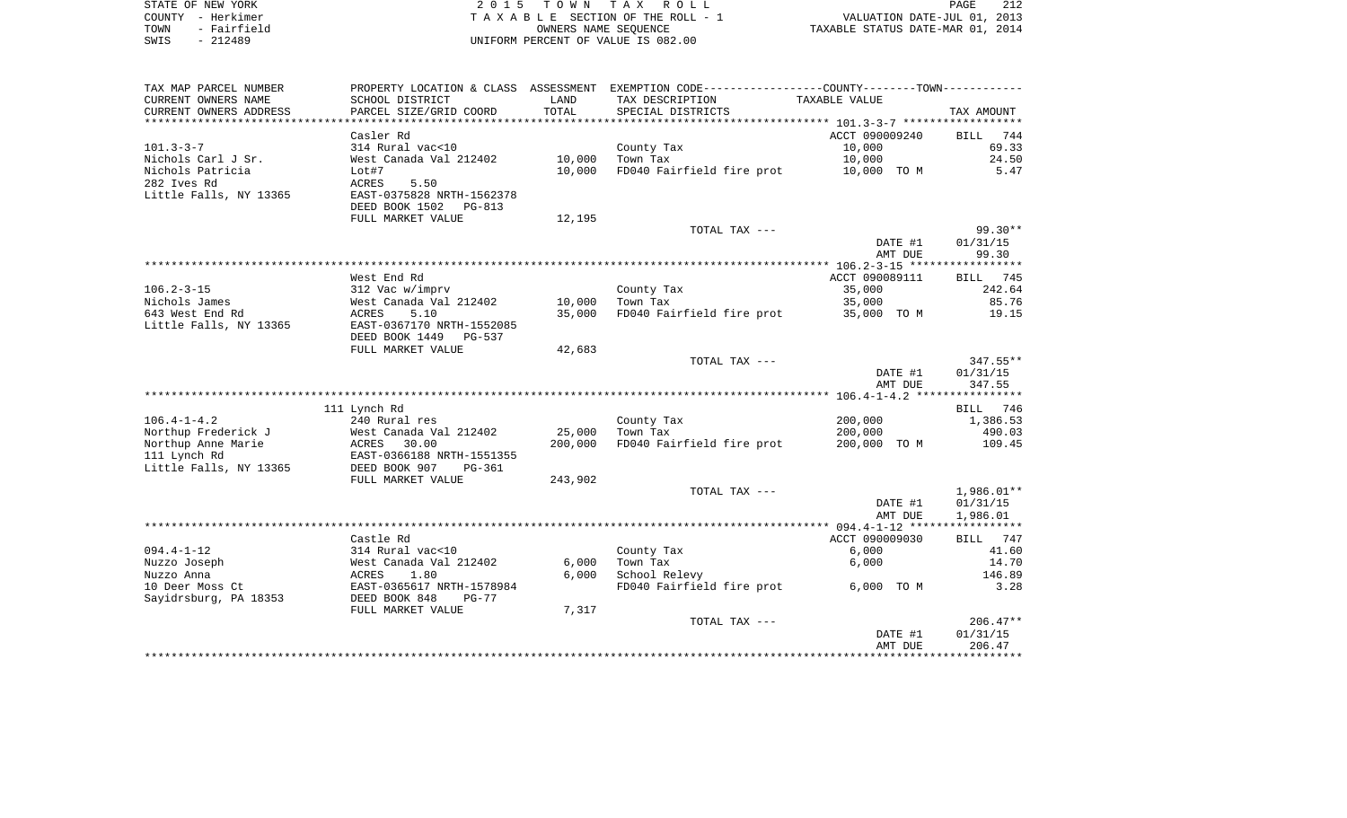|        | STATE OF NEW YORK | 2015 TOWN TAX ROLL                 | 212<br>PAGE                      |
|--------|-------------------|------------------------------------|----------------------------------|
| COUNTY | - Herkimer        | TAXABLE SECTION OF THE ROLL - 1    | VALUATION DATE-JUL 01, 2013      |
| TOWN   | - Fairfield       | OWNERS NAME SEOUENCE               | TAXABLE STATUS DATE-MAR 01, 2014 |
| SWIS   | $-212489$         | UNIFORM PERCENT OF VALUE IS 082.00 |                                  |

| TAX MAP PARCEL NUMBER  |                           |         | PROPERTY LOCATION & CLASS ASSESSMENT EXEMPTION CODE---------------COUNTY-------TOWN---------- |                |                    |
|------------------------|---------------------------|---------|-----------------------------------------------------------------------------------------------|----------------|--------------------|
| CURRENT OWNERS NAME    | SCHOOL DISTRICT           | LAND    | TAX DESCRIPTION                                                                               | TAXABLE VALUE  |                    |
| CURRENT OWNERS ADDRESS | PARCEL SIZE/GRID COORD    | TOTAL   | SPECIAL DISTRICTS                                                                             |                | TAX AMOUNT         |
|                        |                           |         |                                                                                               |                |                    |
|                        | Casler Rd                 |         |                                                                                               | ACCT 090009240 | 744<br><b>BILL</b> |
| $101.3 - 3 - 7$        | 314 Rural vac<10          |         | County Tax                                                                                    | 10,000         | 69.33              |
| Nichols Carl J Sr.     | West Canada Val 212402    | 10,000  | Town Tax                                                                                      | 10,000         | 24.50              |
| Nichols Patricia       | Lot#7                     | 10,000  | FD040 Fairfield fire prot                                                                     | 10,000 TO M    | 5.47               |
| 282 Ives Rd            | ACRES<br>5.50             |         |                                                                                               |                |                    |
| Little Falls, NY 13365 | EAST-0375828 NRTH-1562378 |         |                                                                                               |                |                    |
|                        | DEED BOOK 1502<br>PG-813  |         |                                                                                               |                |                    |
|                        | FULL MARKET VALUE         | 12,195  |                                                                                               |                |                    |
|                        |                           |         | TOTAL TAX ---                                                                                 |                | $99.30**$          |
|                        |                           |         |                                                                                               | DATE #1        | 01/31/15           |
|                        |                           |         |                                                                                               | AMT DUE        | 99.30              |
|                        |                           |         |                                                                                               |                |                    |
|                        | West End Rd               |         |                                                                                               | ACCT 090089111 | BILL 745           |
| $106.2 - 3 - 15$       | 312 Vac w/imprv           |         | County Tax                                                                                    | 35,000         | 242.64             |
| Nichols James          | West Canada Val 212402    | 10,000  | Town Tax                                                                                      | 35,000         | 85.76              |
| 643 West End Rd        | 5.10<br>ACRES             | 35,000  | FD040 Fairfield fire prot                                                                     | 35,000 TO M    | 19.15              |
| Little Falls, NY 13365 | EAST-0367170 NRTH-1552085 |         |                                                                                               |                |                    |
|                        | DEED BOOK 1449<br>PG-537  |         |                                                                                               |                |                    |
|                        | FULL MARKET VALUE         | 42,683  |                                                                                               |                |                    |
|                        |                           |         | TOTAL TAX ---                                                                                 |                | $347.55**$         |
|                        |                           |         |                                                                                               | DATE #1        | 01/31/15           |
|                        |                           |         |                                                                                               | AMT DUE        | 347.55             |
|                        |                           |         |                                                                                               |                |                    |
|                        | 111 Lynch Rd              |         |                                                                                               |                | BILL 746           |
| $106.4 - 1 - 4.2$      | 240 Rural res             |         | County Tax                                                                                    | 200,000        | 1,386.53           |
| Northup Frederick J    | West Canada Val 212402    | 25,000  | Town Tax                                                                                      | 200,000        | 490.03             |
| Northup Anne Marie     | 30.00<br>ACRES            | 200,000 | FD040 Fairfield fire prot                                                                     | 200,000 TO M   | 109.45             |
| 111 Lynch Rd           | EAST-0366188 NRTH-1551355 |         |                                                                                               |                |                    |
| Little Falls, NY 13365 | DEED BOOK 907<br>PG-361   |         |                                                                                               |                |                    |
|                        | FULL MARKET VALUE         | 243,902 |                                                                                               |                |                    |
|                        |                           |         | TOTAL TAX ---                                                                                 |                | $1,986.01**$       |
|                        |                           |         |                                                                                               | DATE #1        | 01/31/15           |
|                        |                           |         |                                                                                               | AMT DUE        | 1,986.01           |
|                        |                           |         |                                                                                               |                |                    |
|                        | Castle Rd                 |         |                                                                                               | ACCT 090009030 | BILL<br>747        |
| $094.4 - 1 - 12$       | 314 Rural vac<10          |         | County Tax                                                                                    | 6,000          | 41.60              |
| Nuzzo Joseph           | West Canada Val 212402    | 6,000   | Town Tax                                                                                      | 6,000          | 14.70              |
| Nuzzo Anna             | 1.80<br>ACRES             | 6,000   | School Relevy                                                                                 |                | 146.89             |
| 10 Deer Moss Ct        | EAST-0365617 NRTH-1578984 |         | FD040 Fairfield fire prot                                                                     | 6,000 TO M     | 3.28               |
| Sayidrsburg, PA 18353  | DEED BOOK 848<br>$PG-77$  |         |                                                                                               |                |                    |
|                        | FULL MARKET VALUE         | 7,317   |                                                                                               |                |                    |
|                        |                           |         | TOTAL TAX ---                                                                                 |                | $206.47**$         |
|                        |                           |         |                                                                                               | DATE #1        | 01/31/15           |
|                        |                           |         |                                                                                               | AMT DUE        | 206.47             |
|                        |                           |         |                                                                                               |                |                    |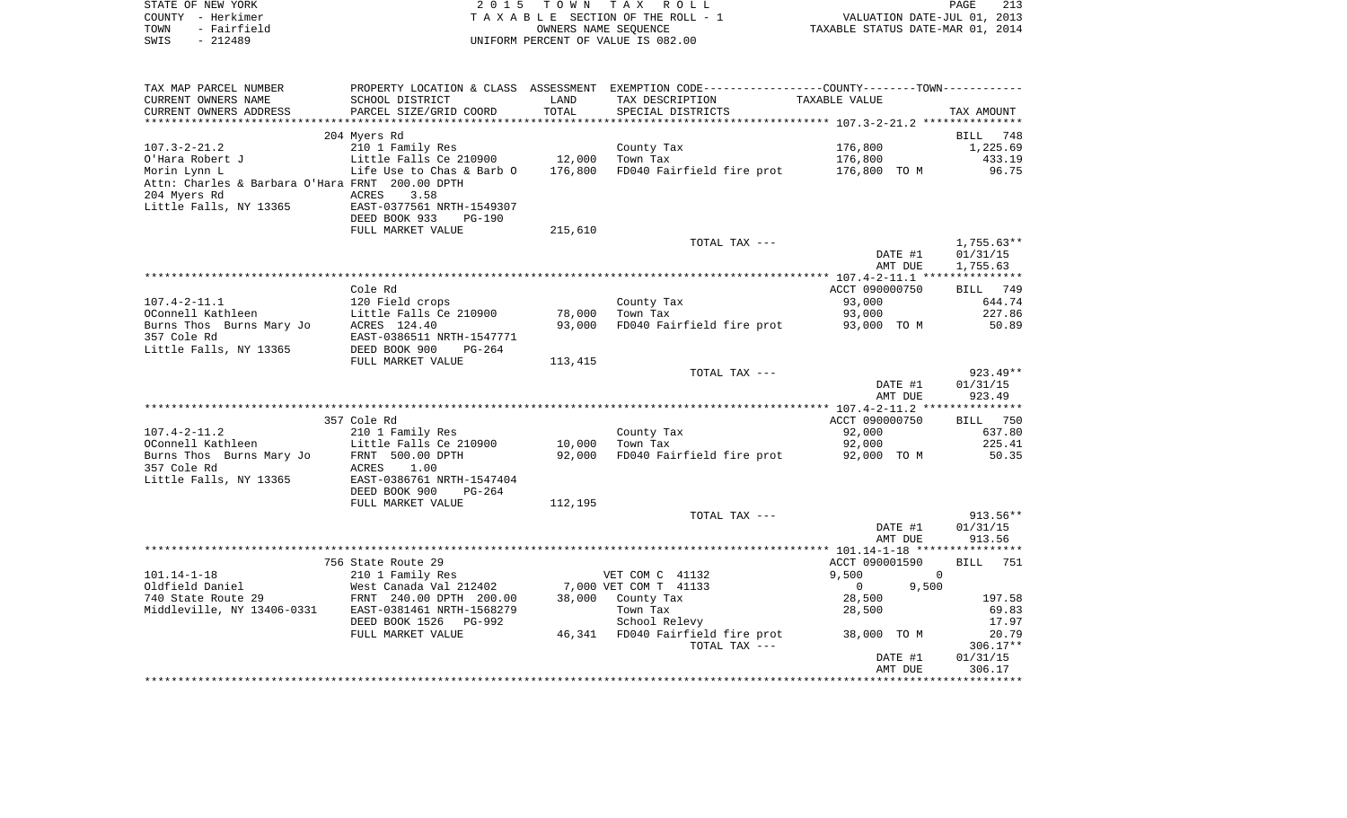| STATE OF NEW YORK   | 2015 TOWN TAX ROLL                 | 213<br>PAGE                      |
|---------------------|------------------------------------|----------------------------------|
| COUNTY - Herkimer   | TAXABLE SECTION OF THE ROLL - 1    | VALUATION DATE-JUL 01, 2013      |
| - Fairfield<br>TOWN | OWNERS NAME SEOUENCE               | TAXABLE STATUS DATE-MAR 01, 2014 |
| SWIS<br>- 212489    | UNIFORM PERCENT OF VALUE IS 082.00 |                                  |

| TAX MAP PARCEL NUMBER                           |                                                                                  |         | PROPERTY LOCATION & CLASS ASSESSMENT EXEMPTION CODE---------------COUNTY-------TOWN---------- |                         |                    |
|-------------------------------------------------|----------------------------------------------------------------------------------|---------|-----------------------------------------------------------------------------------------------|-------------------------|--------------------|
| CURRENT OWNERS NAME                             | SCHOOL DISTRICT                                                                  | LAND    | TAX DESCRIPTION                                                                               | TAXABLE VALUE           |                    |
| CURRENT OWNERS ADDRESS                          | PARCEL SIZE/GRID COORD                                                           | TOTAL   | SPECIAL DISTRICTS                                                                             |                         | TAX AMOUNT         |
|                                                 |                                                                                  |         |                                                                                               |                         |                    |
|                                                 | 204 Myers Rd                                                                     |         |                                                                                               |                         | BILL 748           |
| $107.3 - 2 - 21.2$                              | 210 1 Family Res                                                                 |         | County Tax                                                                                    | 176,800                 | 1,225.69           |
| O'Hara Robert J                                 |                                                                                  | 12,000  | Town Tax                                                                                      | 176,800                 | 433.19             |
| Morin Lynn L                                    | Little Falls Ce 210900<br>Life Use to Chas & Barb O<br>Life Use to Chas & Barb O | 176,800 | FD040 Fairfield fire prot                                                                     | 176,800 TO M            | 96.75              |
| Attn: Charles & Barbara O'Hara FRNT 200.00 DPTH |                                                                                  |         |                                                                                               |                         |                    |
| 204 Myers Rd                                    | ACRES<br>3.58                                                                    |         |                                                                                               |                         |                    |
|                                                 |                                                                                  |         |                                                                                               |                         |                    |
| Little Falls, NY 13365                          | EAST-0377561 NRTH-1549307                                                        |         |                                                                                               |                         |                    |
|                                                 | DEED BOOK 933<br>$PG-190$                                                        |         |                                                                                               |                         |                    |
|                                                 | FULL MARKET VALUE                                                                | 215,610 |                                                                                               |                         |                    |
|                                                 |                                                                                  |         | TOTAL TAX ---                                                                                 |                         | $1,755.63**$       |
|                                                 |                                                                                  |         |                                                                                               | DATE #1                 | 01/31/15           |
|                                                 |                                                                                  |         |                                                                                               | AMT DUE                 | 1,755.63           |
|                                                 |                                                                                  |         |                                                                                               |                         |                    |
|                                                 | Cole Rd                                                                          |         |                                                                                               | ACCT 090000750          | BILL 749           |
| $107.4 - 2 - 11.1$                              | 120 Field crops                                                                  |         | County Tax                                                                                    | 93,000                  | 644.74             |
| OConnell Kathleen                               | Little Falls Ce 210900                                                           | 78,000  | Town Tax                                                                                      | 93,000                  | 227.86             |
| Burns Thos Burns Mary Jo                        | ACRES 124.40                                                                     | 93,000  | FD040 Fairfield fire prot                                                                     | 93,000 TO M             | 50.89              |
| 357 Cole Rd                                     | EAST-0386511 NRTH-1547771                                                        |         |                                                                                               |                         |                    |
| Little Falls, NY 13365                          | DEED BOOK 900<br>PG-264                                                          |         |                                                                                               |                         |                    |
|                                                 | FULL MARKET VALUE                                                                | 113,415 |                                                                                               |                         |                    |
|                                                 |                                                                                  |         | TOTAL TAX ---                                                                                 |                         | $923.49**$         |
|                                                 |                                                                                  |         |                                                                                               | DATE #1                 | 01/31/15           |
|                                                 |                                                                                  |         |                                                                                               | AMT DUE                 | 923.49             |
|                                                 |                                                                                  |         |                                                                                               |                         |                    |
|                                                 | 357 Cole Rd                                                                      |         |                                                                                               | ACCT 090000750          | BILL 750           |
| $107.4 - 2 - 11.2$                              | 210 1 Family Res                                                                 |         | County Tax                                                                                    | 92,000                  | 637.80             |
| OConnell Kathleen                               | Little Falls Ce 210900                                                           | 10,000  | Town Tax                                                                                      | 92,000                  | 225.41             |
| Burns Thos Burns Mary Jo                        | FRNT 500.00 DPTH                                                                 | 92,000  | FD040 Fairfield fire prot                                                                     | 92,000 TO M             | 50.35              |
| 357 Cole Rd                                     | ACRES<br>1.00                                                                    |         |                                                                                               |                         |                    |
|                                                 | EAST-0386761 NRTH-1547404                                                        |         |                                                                                               |                         |                    |
| Little Falls, NY 13365                          |                                                                                  |         |                                                                                               |                         |                    |
|                                                 | DEED BOOK 900<br>PG-264                                                          |         |                                                                                               |                         |                    |
|                                                 | FULL MARKET VALUE                                                                | 112,195 |                                                                                               |                         |                    |
|                                                 |                                                                                  |         | TOTAL TAX ---                                                                                 |                         | $913.56**$         |
|                                                 |                                                                                  |         |                                                                                               | DATE #1                 | 01/31/15           |
|                                                 |                                                                                  |         |                                                                                               | AMT DUE                 | 913.56             |
|                                                 |                                                                                  |         |                                                                                               |                         |                    |
|                                                 | 756 State Route 29                                                               |         |                                                                                               | ACCT 090001590          | <b>BILL</b><br>751 |
| $101.14 - 1 - 18$                               | 210 1 Family Res                                                                 |         | VET COM C 41132                                                                               | 9,500<br>$\overline{0}$ |                    |
| Oldfield Daniel                                 | West Canada Val 212402                                                           |         | 7,000 VET COM T 41133                                                                         | 9,500<br>$\overline{0}$ |                    |
| 740 State Route 29                              | FRNT 240.00 DPTH 200.00                                                          |         | 38,000 County Tax                                                                             | 28,500                  | 197.58             |
| Middleville, NY 13406-0331                      | EAST-0381461 NRTH-1568279                                                        |         | Town Tax                                                                                      | 28,500                  | 69.83              |
|                                                 | DEED BOOK 1526 PG-992                                                            |         | School Relevy                                                                                 |                         | 17.97              |
|                                                 | FULL MARKET VALUE                                                                |         | 46,341 FD040 Fairfield fire prot                                                              | 38,000 TO M             | 20.79              |
|                                                 |                                                                                  |         | TOTAL TAX ---                                                                                 |                         | $306.17**$         |
|                                                 |                                                                                  |         |                                                                                               | DATE #1                 | 01/31/15           |
|                                                 |                                                                                  |         |                                                                                               | AMT DUE                 | 306.17             |
|                                                 |                                                                                  |         |                                                                                               |                         |                    |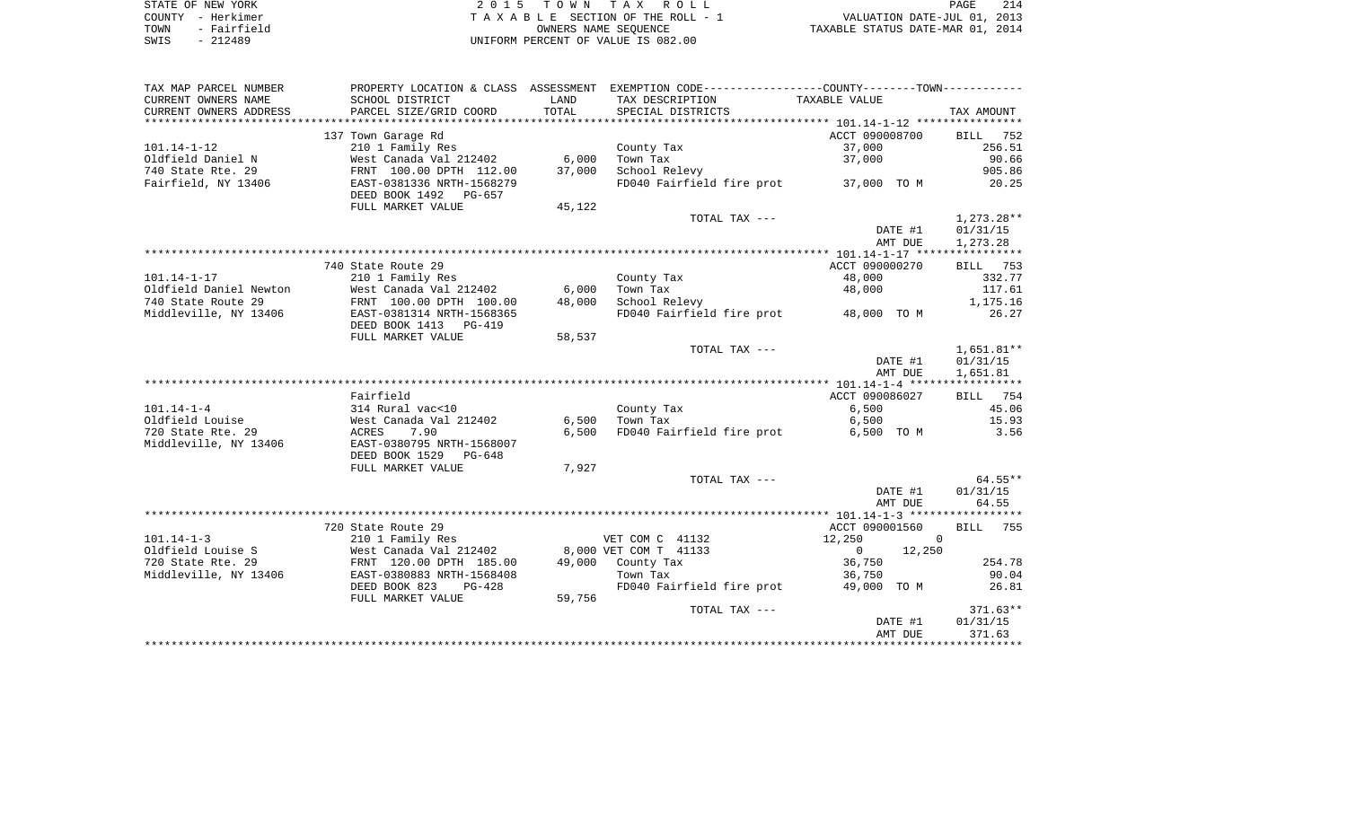| STATE OF NEW YORK   | 2015 TOWN TAX ROLL                 | 214<br>PAGE                      |
|---------------------|------------------------------------|----------------------------------|
| COUNTY - Herkimer   | TAXABLE SECTION OF THE ROLL - 1    | VALUATION DATE-JUL 01, 2013      |
| - Fairfield<br>TOWN | OWNERS NAME SEOUENCE               | TAXABLE STATUS DATE-MAR 01, 2014 |
| SWIS<br>$-212489$   | UNIFORM PERCENT OF VALUE IS 082.00 |                                  |

| TAX MAP PARCEL NUMBER                      |                                                                        |        | PROPERTY LOCATION & CLASS ASSESSMENT EXEMPTION CODE----------------COUNTY--------TOWN---------- |                          |                    |
|--------------------------------------------|------------------------------------------------------------------------|--------|-------------------------------------------------------------------------------------------------|--------------------------|--------------------|
| CURRENT OWNERS NAME                        | SCHOOL DISTRICT                                                        | LAND   | TAX DESCRIPTION                                                                                 | TAXABLE VALUE            |                    |
| CURRENT OWNERS ADDRESS                     | PARCEL SIZE/GRID COORD                                                 | TOTAL  | SPECIAL DISTRICTS                                                                               |                          | TAX AMOUNT         |
| ************************                   |                                                                        |        |                                                                                                 |                          |                    |
|                                            | 137 Town Garage Rd                                                     |        |                                                                                                 | ACCT 090008700           | <b>BILL</b><br>752 |
| $101.14 - 1 - 12$                          | 210 1 Family Res                                                       |        | County Tax                                                                                      | 37,000                   | 256.51             |
| Oldfield Daniel N                          | West Canada Val 212402                                                 | 6,000  | Town Tax                                                                                        | 37,000                   | 90.66              |
| 740 State Rte. 29                          | FRNT 100.00 DPTH 112.00                                                | 37,000 | School Relevy                                                                                   |                          | 905.86             |
| Fairfield, NY 13406                        | EAST-0381336 NRTH-1568279<br>DEED BOOK 1492 PG-657                     |        | FD040 Fairfield fire prot                                                                       | 37,000 TO M              | 20.25              |
|                                            | FULL MARKET VALUE                                                      | 45,122 |                                                                                                 |                          |                    |
|                                            |                                                                        |        | TOTAL TAX ---                                                                                   |                          | $1,273.28**$       |
|                                            |                                                                        |        |                                                                                                 | DATE #1                  | 01/31/15           |
|                                            |                                                                        |        |                                                                                                 | AMT DUE                  | 1,273.28           |
|                                            |                                                                        |        |                                                                                                 |                          |                    |
|                                            | 740 State Route 29                                                     |        |                                                                                                 | ACCT 090000270           | BILL 753           |
| $101.14 - 1 - 17$                          | 210 1 Family Res                                                       |        | County Tax                                                                                      | 48,000                   | 332.77             |
| Oldfield Daniel Newton                     | West Canada Val 212402                                                 | 6,000  | Town Tax                                                                                        | 48,000                   | 117.61             |
| 740 State Route 29                         | FRNT 100.00 DPTH 100.00                                                | 48,000 | School Relevy                                                                                   |                          | 1,175.16           |
| Middleville, NY 13406                      | EAST-0381314 NRTH-1568365                                              |        | FD040 Fairfield fire prot 48,000 TO M                                                           |                          | 26.27              |
|                                            | DEED BOOK 1413 PG-419                                                  |        |                                                                                                 |                          |                    |
|                                            | FULL MARKET VALUE                                                      | 58,537 |                                                                                                 |                          |                    |
|                                            |                                                                        |        | TOTAL TAX ---                                                                                   |                          | $1,651.81**$       |
|                                            |                                                                        |        |                                                                                                 | DATE #1                  | 01/31/15           |
|                                            |                                                                        |        |                                                                                                 | AMT DUE                  | 1,651.81           |
|                                            |                                                                        |        |                                                                                                 |                          |                    |
|                                            | Fairfield                                                              |        |                                                                                                 | ACCT 090086027           | <b>BILL</b> 754    |
| $101.14 - 1 - 4$                           | 314 Rural vac<10                                                       |        | County Tax                                                                                      | 6,500                    | 45.06              |
| Oldfield Louise                            | West Canada Val 212402                                                 | 6,500  | Town Tax                                                                                        | 6,500                    | 15.93              |
| 720 State Rte. 29<br>Middleville, NY 13406 | ACRES<br>7.90<br>EAST-0380795 NRTH-1568007<br>DEED BOOK 1529<br>PG-648 | 6.500  | FD040 Fairfield fire prot                                                                       | 6,500 TO M               | 3.56               |
|                                            | FULL MARKET VALUE                                                      | 7,927  |                                                                                                 |                          |                    |
|                                            |                                                                        |        | TOTAL TAX ---                                                                                   |                          | $64.55**$          |
|                                            |                                                                        |        |                                                                                                 | DATE #1                  | 01/31/15           |
|                                            |                                                                        |        |                                                                                                 | AMT DUE                  | 64.55              |
|                                            |                                                                        |        |                                                                                                 |                          |                    |
|                                            | 720 State Route 29                                                     |        |                                                                                                 | ACCT 090001560           | BILL 755           |
| $101.14 - 1 - 3$                           | 210 1 Family Res                                                       |        | VET COM C 41132                                                                                 | 12,250                   | $\Omega$           |
| Oldfield Louise S                          | West Canada Val 212402                                                 |        | 8,000 VET COM T 41133                                                                           | $\overline{0}$<br>12,250 |                    |
| 720 State Rte. 29                          | FRNT 120.00 DPTH 185.00                                                |        | 49,000 County Tax                                                                               | 36,750                   | 254.78             |
| Middleville, NY 13406                      | EAST-0380883 NRTH-1568408                                              |        | Town Tax                                                                                        | 36,750                   | 90.04              |
|                                            | DEED BOOK 823<br>PG-428                                                |        | FD040 Fairfield fire prot                                                                       | 49,000 TO M              | 26.81              |
|                                            | FULL MARKET VALUE                                                      | 59,756 |                                                                                                 |                          |                    |
|                                            |                                                                        |        | TOTAL TAX ---                                                                                   |                          | $371.63**$         |
|                                            |                                                                        |        |                                                                                                 | DATE #1                  | 01/31/15           |
|                                            |                                                                        |        |                                                                                                 | AMT DUE                  | 371.63             |
|                                            |                                                                        |        |                                                                                                 |                          |                    |
|                                            |                                                                        |        |                                                                                                 |                          |                    |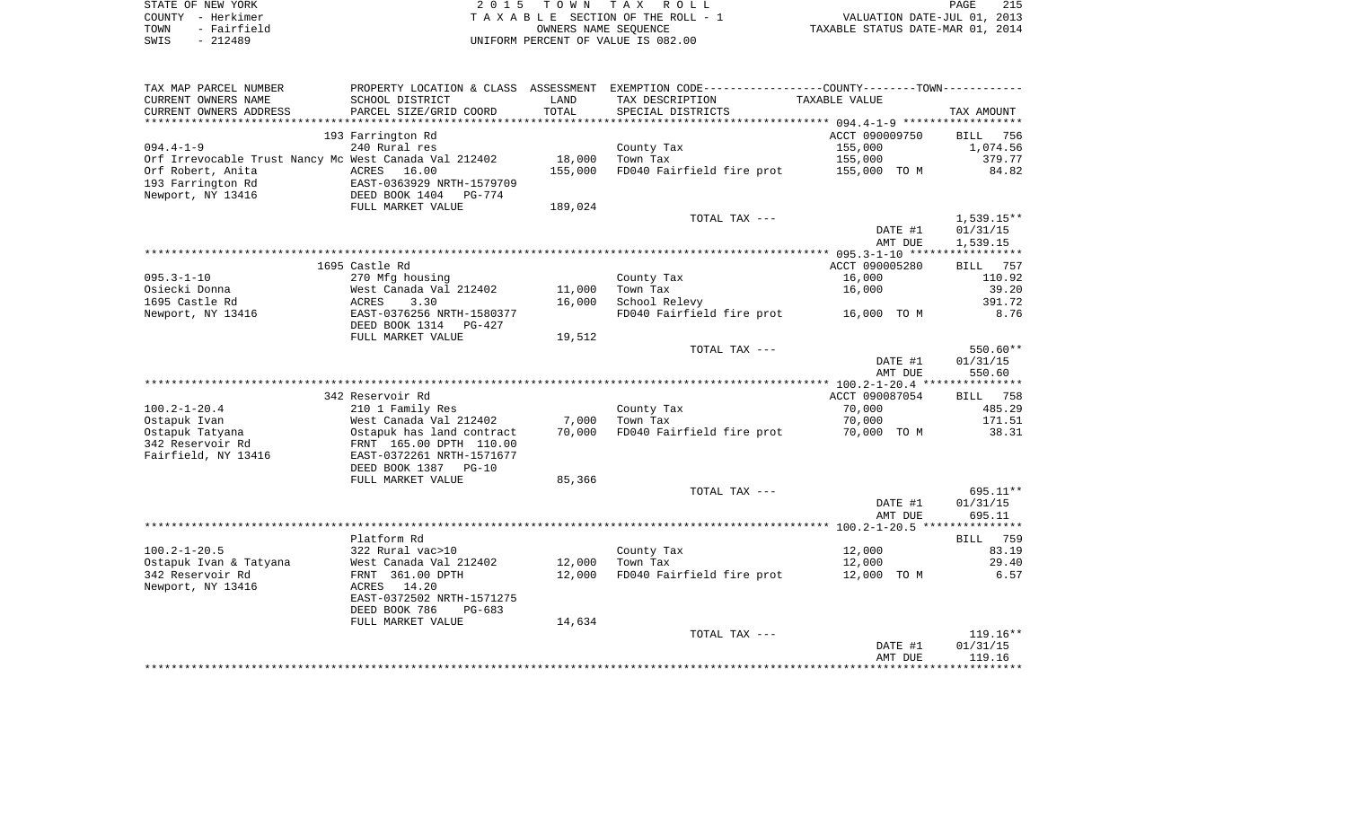| STATE OF NEW YORK   | 2015 TOWN TAX ROLL<br>PAGE                                     | 215 |
|---------------------|----------------------------------------------------------------|-----|
| COUNTY - Herkimer   | VALUATION DATE-JUL 01, 2013<br>TAXABLE SECTION OF THE ROLL - 1 |     |
| - Fairfield<br>TOWN | TAXABLE STATUS DATE-MAR 01, 2014<br>OWNERS NAME SEOUENCE       |     |
| - 212489<br>SWIS    | UNIFORM PERCENT OF VALUE IS 082.00                             |     |

| TAX MAP PARCEL NUMBER                                 |                           |         | PROPERTY LOCATION & CLASS ASSESSMENT EXEMPTION CODE---------------COUNTY--------TOWN---------- |                      |                    |
|-------------------------------------------------------|---------------------------|---------|------------------------------------------------------------------------------------------------|----------------------|--------------------|
| CURRENT OWNERS NAME                                   | SCHOOL DISTRICT           | LAND    | TAX DESCRIPTION                                                                                | <b>TAXABLE VALUE</b> |                    |
| CURRENT OWNERS ADDRESS                                | PARCEL SIZE/GRID COORD    | TOTAL   | SPECIAL DISTRICTS                                                                              |                      | TAX AMOUNT         |
| **************************                            |                           |         |                                                                                                |                      |                    |
|                                                       | 193 Farrington Rd         |         |                                                                                                | ACCT 090009750       | <b>BILL</b><br>756 |
| $094.4 - 1 - 9$                                       | 240 Rural res             |         | County Tax                                                                                     | 155,000              | 1,074.56           |
| Orf Irrevocable Trust Nancy Mc West Canada Val 212402 |                           | 18,000  | Town Tax                                                                                       | 155,000              | 379.77             |
| Orf Robert, Anita                                     | ACRES 16.00               | 155,000 | FD040 Fairfield fire prot                                                                      | 155,000 TO M         | 84.82              |
| 193 Farrington Rd                                     | EAST-0363929 NRTH-1579709 |         |                                                                                                |                      |                    |
| Newport, NY 13416                                     | DEED BOOK 1404<br>PG-774  |         |                                                                                                |                      |                    |
|                                                       | FULL MARKET VALUE         | 189,024 |                                                                                                |                      |                    |
|                                                       |                           |         | TOTAL TAX ---                                                                                  |                      | 1,539.15**         |
|                                                       |                           |         |                                                                                                | DATE #1              | 01/31/15           |
|                                                       |                           |         |                                                                                                | AMT DUE              | 1,539.15           |
|                                                       |                           |         |                                                                                                |                      |                    |
|                                                       | 1695 Castle Rd            |         |                                                                                                | ACCT 090005280       | BILL<br>757        |
| $095.3 - 1 - 10$                                      | 270 Mfg housing           |         | County Tax                                                                                     | 16,000               | 110.92             |
| Osiecki Donna                                         | West Canada Val 212402    | 11,000  | Town Tax                                                                                       | 16,000               | 39.20              |
| 1695 Castle Rd                                        | 3.30<br>ACRES             | 16,000  | School Relevy                                                                                  |                      | 391.72             |
| Newport, NY 13416                                     | EAST-0376256 NRTH-1580377 |         | FD040 Fairfield fire prot                                                                      | 16,000 TO M          | 8.76               |
|                                                       | DEED BOOK 1314<br>PG-427  |         |                                                                                                |                      |                    |
|                                                       | FULL MARKET VALUE         | 19,512  |                                                                                                |                      |                    |
|                                                       |                           |         | TOTAL TAX ---                                                                                  |                      | 550.60**           |
|                                                       |                           |         |                                                                                                | DATE #1              | 01/31/15           |
|                                                       |                           |         |                                                                                                | AMT DUE              | 550.60             |
|                                                       | 342 Reservoir Rd          |         |                                                                                                | ACCT 090087054       | BILL 758           |
| $100.2 - 1 - 20.4$                                    | 210 1 Family Res          |         | County Tax                                                                                     | 70,000               | 485.29             |
| Ostapuk Ivan                                          | West Canada Val 212402    | 7,000   | Town Tax                                                                                       | 70,000               | 171.51             |
| Ostapuk Tatyana                                       | Ostapuk has land contract | 70,000  | FD040 Fairfield fire prot                                                                      | 70,000 TO M          | 38.31              |
| 342 Reservoir Rd                                      | FRNT 165.00 DPTH 110.00   |         |                                                                                                |                      |                    |
| Fairfield, NY 13416                                   | EAST-0372261 NRTH-1571677 |         |                                                                                                |                      |                    |
|                                                       | DEED BOOK 1387<br>$PG-10$ |         |                                                                                                |                      |                    |
|                                                       | FULL MARKET VALUE         | 85,366  |                                                                                                |                      |                    |
|                                                       |                           |         | TOTAL TAX ---                                                                                  |                      | 695.11**           |
|                                                       |                           |         |                                                                                                | DATE #1              | 01/31/15           |
|                                                       |                           |         |                                                                                                | AMT DUE              | 695.11             |
|                                                       |                           |         |                                                                                                |                      |                    |
|                                                       | Platform Rd               |         |                                                                                                |                      | 759<br>BILL        |
| $100.2 - 1 - 20.5$                                    | 322 Rural vac>10          |         | County Tax                                                                                     | 12,000               | 83.19              |
| Ostapuk Ivan & Tatyana                                | West Canada Val 212402    | 12,000  | Town Tax                                                                                       | 12,000               | 29.40              |
| 342 Reservoir Rd                                      | FRNT 361.00 DPTH          | 12,000  | FD040 Fairfield fire prot                                                                      | 12,000 TO M          | 6.57               |
| Newport, NY 13416                                     | 14.20<br>ACRES            |         |                                                                                                |                      |                    |
|                                                       | EAST-0372502 NRTH-1571275 |         |                                                                                                |                      |                    |
|                                                       | DEED BOOK 786<br>PG-683   |         |                                                                                                |                      |                    |
|                                                       | FULL MARKET VALUE         | 14,634  |                                                                                                |                      |                    |
|                                                       |                           |         | TOTAL TAX ---                                                                                  |                      | $119.16**$         |
|                                                       |                           |         |                                                                                                | DATE #1              | 01/31/15           |
|                                                       |                           |         |                                                                                                | AMT DUE              | 119.16             |
|                                                       |                           |         |                                                                                                |                      |                    |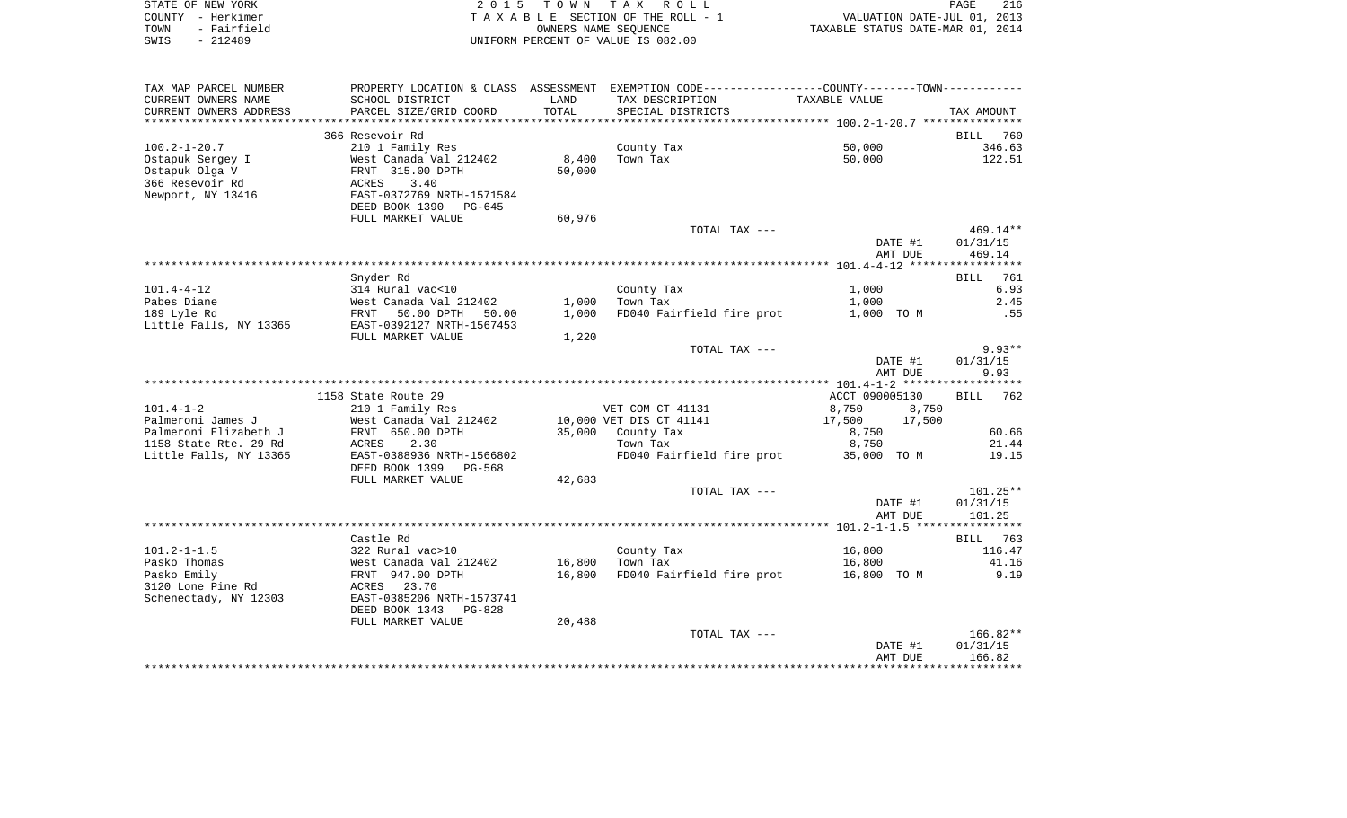|      | STATE OF NEW YORK | 2015 TOWN TAX ROLL                 | PAGE                             | 216 |
|------|-------------------|------------------------------------|----------------------------------|-----|
|      | COUNTY - Herkimer | TAXABLE SECTION OF THE ROLL - 1    | VALUATION DATE-JUL 01, 2013      |     |
| TOWN | - Fairfield       | OWNERS NAME SEOUENCE               | TAXABLE STATUS DATE-MAR 01, 2014 |     |
| SWIS | $-212489$         | UNIFORM PERCENT OF VALUE IS 082.00 |                                  |     |

| TAX MAP PARCEL NUMBER<br>CURRENT OWNERS NAME<br>CURRENT OWNERS ADDRESS                           | PROPERTY LOCATION & CLASS ASSESSMENT<br>SCHOOL DISTRICT<br>PARCEL SIZE/GRID COORD                                                     | LAND<br>TOTAL   | EXEMPTION CODE----------------COUNTY-------TOWN-----------<br>TAX DESCRIPTION<br>SPECIAL DISTRICTS | TAXABLE VALUE        | TAX AMOUNT                       |
|--------------------------------------------------------------------------------------------------|---------------------------------------------------------------------------------------------------------------------------------------|-----------------|----------------------------------------------------------------------------------------------------|----------------------|----------------------------------|
| *******************                                                                              |                                                                                                                                       |                 |                                                                                                    |                      |                                  |
|                                                                                                  | 366 Resevoir Rd                                                                                                                       |                 |                                                                                                    |                      | 760<br>BILL                      |
| $100.2 - 1 - 20.7$<br>Ostapuk Sergey I<br>Ostapuk Olga V<br>366 Resevoir Rd<br>Newport, NY 13416 | 210 1 Family Res<br>West Canada Val 212402<br>FRNT 315.00 DPTH<br>ACRES<br>3.40<br>EAST-0372769 NRTH-1571584<br>DEED BOOK 1390 PG-645 | 8,400<br>50,000 | County Tax<br>Town Tax                                                                             | 50,000<br>50,000     | 346.63<br>122.51                 |
|                                                                                                  | FULL MARKET VALUE                                                                                                                     | 60,976          |                                                                                                    |                      |                                  |
|                                                                                                  |                                                                                                                                       |                 | TOTAL TAX ---                                                                                      | DATE #1<br>AMT DUE   | $469.14**$<br>01/31/15<br>469.14 |
|                                                                                                  |                                                                                                                                       |                 |                                                                                                    |                      |                                  |
|                                                                                                  | Snyder Rd                                                                                                                             |                 |                                                                                                    |                      | <b>BILL</b><br>761               |
| $101.4 - 4 - 12$<br>Pabes Diane                                                                  | 314 Rural vac<10<br>West Canada Val 212402                                                                                            | 1,000           | County Tax<br>Town Tax                                                                             | 1,000<br>1,000       | 6.93<br>2.45                     |
| 189 Lyle Rd                                                                                      | FRNT<br>50.00 DPTH 50.00                                                                                                              | 1,000           | FD040 Fairfield fire prot                                                                          | 1,000 TO M           | .55                              |
| Little Falls, NY 13365                                                                           | EAST-0392127 NRTH-1567453                                                                                                             |                 |                                                                                                    |                      |                                  |
|                                                                                                  | FULL MARKET VALUE                                                                                                                     | 1,220           |                                                                                                    |                      |                                  |
|                                                                                                  |                                                                                                                                       |                 | TOTAL TAX ---                                                                                      |                      | $9.93**$                         |
|                                                                                                  |                                                                                                                                       |                 |                                                                                                    | DATE #1<br>AMT DUE   | 01/31/15<br>9.93                 |
|                                                                                                  |                                                                                                                                       |                 |                                                                                                    |                      |                                  |
|                                                                                                  | 1158 State Route 29                                                                                                                   |                 |                                                                                                    | ACCT 090005130       | <b>BILL</b><br>762               |
| $101.4 - 1 - 2$                                                                                  | 210 1 Family Res                                                                                                                      |                 | VET COM CT 41131                                                                                   | 8,750<br>8,750       |                                  |
| Palmeroni James J                                                                                | West Canada Val 212402                                                                                                                |                 | 10,000 VET DIS CT 41141                                                                            | 17,500<br>17,500     |                                  |
| Palmeroni Elizabeth J                                                                            | FRNT 650.00 DPTH                                                                                                                      |                 | 35,000 County Tax                                                                                  | 8,750                | 60.66                            |
| 1158 State Rte. 29 Rd<br>Little Falls, NY 13365                                                  | 2.30<br>ACRES<br>EAST-0388936 NRTH-1566802<br>DEED BOOK 1399<br>PG-568                                                                |                 | Town Tax<br>FD040 Fairfield fire prot                                                              | 8,750<br>35,000 TO M | 21.44<br>19.15                   |
|                                                                                                  | FULL MARKET VALUE                                                                                                                     | 42,683          | TOTAL TAX ---                                                                                      |                      | $101.25**$                       |
|                                                                                                  |                                                                                                                                       |                 |                                                                                                    | DATE #1<br>AMT DUE   | 01/31/15<br>101.25               |
|                                                                                                  |                                                                                                                                       |                 |                                                                                                    |                      |                                  |
|                                                                                                  | Castle Rd                                                                                                                             |                 |                                                                                                    |                      | <b>BILL</b><br>763               |
| $101.2 - 1 - 1.5$<br>Pasko Thomas                                                                | 322 Rural vac>10<br>West Canada Val 212402                                                                                            | 16,800          | County Tax<br>Town Tax                                                                             | 16,800<br>16,800     | 116.47<br>41.16                  |
| Pasko Emily                                                                                      | FRNT 947.00 DPTH                                                                                                                      | 16,800          | FD040 Fairfield fire prot                                                                          | 16,800 TO M          | 9.19                             |
| 3120 Lone Pine Rd<br>Schenectady, NY 12303                                                       | ACRES 23.70<br>EAST-0385206 NRTH-1573741                                                                                              |                 |                                                                                                    |                      |                                  |
|                                                                                                  | DEED BOOK 1343<br>PG-828<br>FULL MARKET VALUE                                                                                         | 20,488          |                                                                                                    |                      |                                  |
|                                                                                                  |                                                                                                                                       |                 | TOTAL TAX ---                                                                                      |                      | $166.82**$                       |
|                                                                                                  |                                                                                                                                       |                 |                                                                                                    | DATE #1              | 01/31/15                         |
|                                                                                                  |                                                                                                                                       |                 |                                                                                                    | AMT DUE              | 166.82                           |
|                                                                                                  |                                                                                                                                       |                 |                                                                                                    |                      |                                  |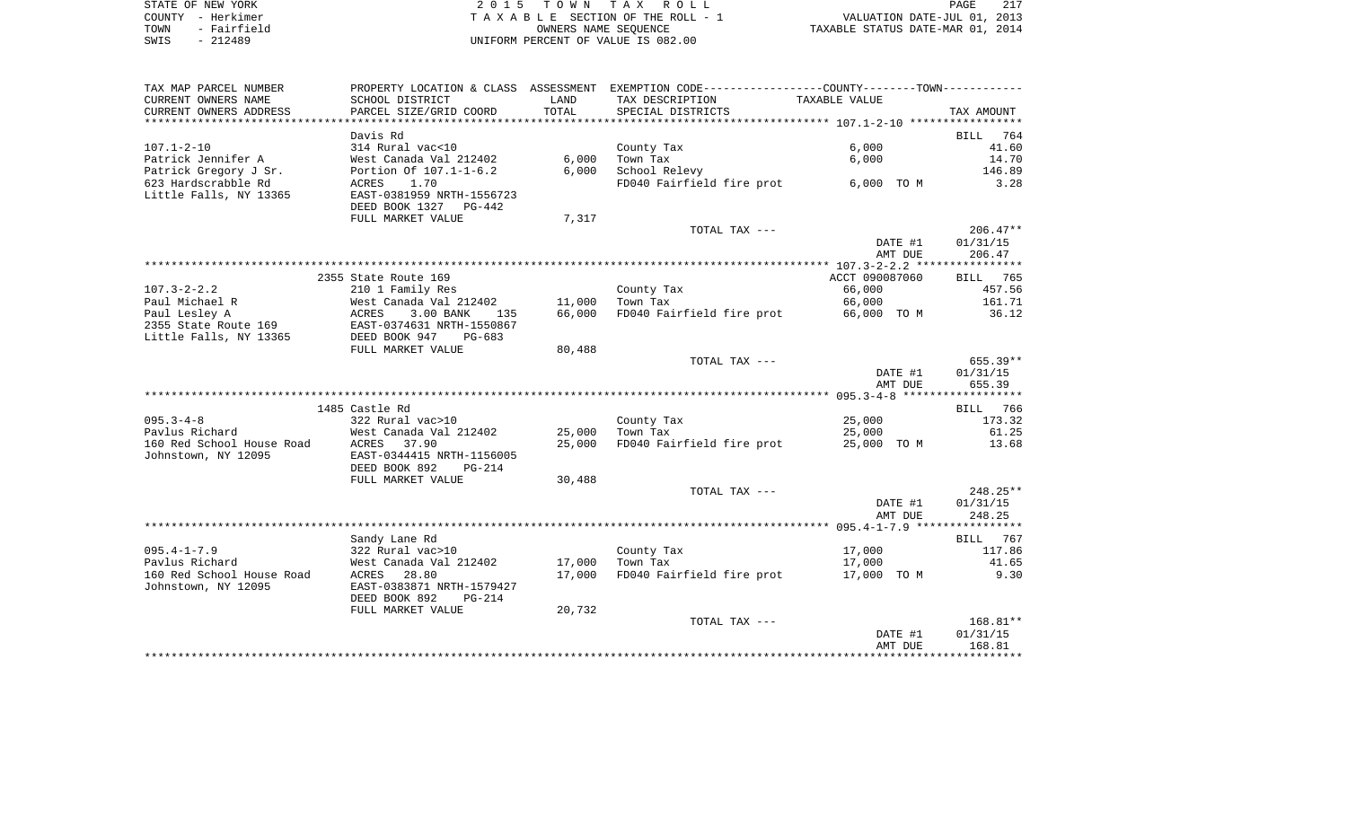| STATE OF NEW YORK   | 2015 TOWN TAX ROLL                 | PAGE                             |
|---------------------|------------------------------------|----------------------------------|
| COUNTY - Herkimer   | TAXABLE SECTION OF THE ROLL - 1    | VALUATION DATE-JUL 01, 2013      |
| - Fairfield<br>TOWN | OWNERS NAME SEOUENCE               | TAXABLE STATUS DATE-MAR 01, 2014 |
| - 212489<br>SWIS    | UNIFORM PERCENT OF VALUE IS 082.00 |                                  |

| TAX MAP PARCEL NUMBER      |                                                |        | PROPERTY LOCATION & CLASS ASSESSMENT EXEMPTION CODE----------------COUNTY--------TOWN----------- |                |             |
|----------------------------|------------------------------------------------|--------|--------------------------------------------------------------------------------------------------|----------------|-------------|
| CURRENT OWNERS NAME        | SCHOOL DISTRICT                                | LAND   | TAX DESCRIPTION                                                                                  | TAXABLE VALUE  |             |
| CURRENT OWNERS ADDRESS     | PARCEL SIZE/GRID COORD                         | TOTAL  | SPECIAL DISTRICTS                                                                                |                | TAX AMOUNT  |
| ************************** |                                                |        |                                                                                                  |                |             |
|                            | Davis Rd                                       |        |                                                                                                  |                | 764<br>BILL |
| $107.1 - 2 - 10$           | 314 Rural vac<10                               |        | County Tax                                                                                       | 6,000          | 41.60       |
| Patrick Jennifer A         | West Canada Val 212402                         | 6,000  | Town Tax                                                                                         | 6,000          | 14.70       |
| Patrick Gregory J Sr.      | Portion Of 107.1-1-6.2                         | 6,000  | School Relevy                                                                                    |                | 146.89      |
| 623 Hardscrabble Rd        | ACRES<br>1.70                                  |        | FD040 Fairfield fire prot 6,000 TO M                                                             |                | 3.28        |
| Little Falls, NY 13365     | EAST-0381959 NRTH-1556723                      |        |                                                                                                  |                |             |
|                            | DEED BOOK 1327<br>PG-442                       |        |                                                                                                  |                |             |
|                            | FULL MARKET VALUE                              | 7,317  |                                                                                                  |                |             |
|                            |                                                |        | TOTAL TAX ---                                                                                    |                | $206.47**$  |
|                            |                                                |        |                                                                                                  | DATE #1        | 01/31/15    |
|                            |                                                |        |                                                                                                  | AMT DUE        | 206.47      |
|                            |                                                |        |                                                                                                  |                |             |
|                            | 2355 State Route 169                           |        |                                                                                                  | ACCT 090087060 | BILL 765    |
| $107.3 - 2 - 2.2$          | 210 1 Family Res                               |        | County Tax                                                                                       | 66,000         | 457.56      |
| Paul Michael R             | West Canada Val 212402                         | 11,000 | Town Tax                                                                                         | 66,000         | 161.71      |
| Paul Lesley A              | ACRES<br>3.00 BANK<br>135                      | 66,000 | FD040 Fairfield fire prot                                                                        | 66,000 TO M    | 36.12       |
| 2355 State Route 169       | EAST-0374631 NRTH-1550867                      |        |                                                                                                  |                |             |
| Little Falls, NY 13365     | DEED BOOK 947<br>$PG-683$<br>FULL MARKET VALUE | 80,488 |                                                                                                  |                |             |
|                            |                                                |        | TOTAL TAX ---                                                                                    |                | $655.39**$  |
|                            |                                                |        |                                                                                                  | DATE #1        | 01/31/15    |
|                            |                                                |        |                                                                                                  | AMT DUE        | 655.39      |
|                            |                                                |        |                                                                                                  |                |             |
|                            | 1485 Castle Rd                                 |        |                                                                                                  |                | BILL 766    |
| $095.3 - 4 - 8$            | 322 Rural vac>10                               |        | County Tax                                                                                       | 25,000         | 173.32      |
| Pavlus Richard             | West Canada Val 212402                         | 25,000 | Town Tax                                                                                         | 25,000         | 61.25       |
| 160 Red School House Road  | 37.90<br>ACRES                                 | 25,000 | FD040 Fairfield fire prot                                                                        | 25,000 TO M    | 13.68       |
| Johnstown, NY 12095        | EAST-0344415 NRTH-1156005                      |        |                                                                                                  |                |             |
|                            | DEED BOOK 892<br>$PG-214$                      |        |                                                                                                  |                |             |
|                            | FULL MARKET VALUE                              | 30,488 |                                                                                                  |                |             |
|                            |                                                |        | TOTAL TAX ---                                                                                    |                | 248.25**    |
|                            |                                                |        |                                                                                                  | DATE #1        | 01/31/15    |
|                            |                                                |        |                                                                                                  | AMT DUE        | 248.25      |
|                            |                                                |        |                                                                                                  |                |             |
|                            | Sandy Lane Rd                                  |        |                                                                                                  |                | BILL 767    |
| $095.4 - 1 - 7.9$          | 322 Rural vac>10                               |        | County Tax                                                                                       | 17,000         | 117.86      |
| Pavlus Richard             | West Canada Val 212402                         | 17,000 | Town Tax                                                                                         | 17,000         | 41.65       |
| 160 Red School House Road  | ACRES 28.80                                    | 17,000 | FD040 Fairfield fire prot                                                                        | 17,000 TO M    | 9.30        |
| Johnstown, NY 12095        | EAST-0383871 NRTH-1579427                      |        |                                                                                                  |                |             |
|                            | DEED BOOK 892<br>$PG-214$                      |        |                                                                                                  |                |             |
|                            | FULL MARKET VALUE                              | 20,732 |                                                                                                  |                |             |
|                            |                                                |        | TOTAL TAX ---                                                                                    |                | 168.81**    |
|                            |                                                |        |                                                                                                  | DATE #1        | 01/31/15    |
|                            |                                                |        |                                                                                                  | AMT DUE        | 168.81      |
|                            |                                                |        |                                                                                                  |                |             |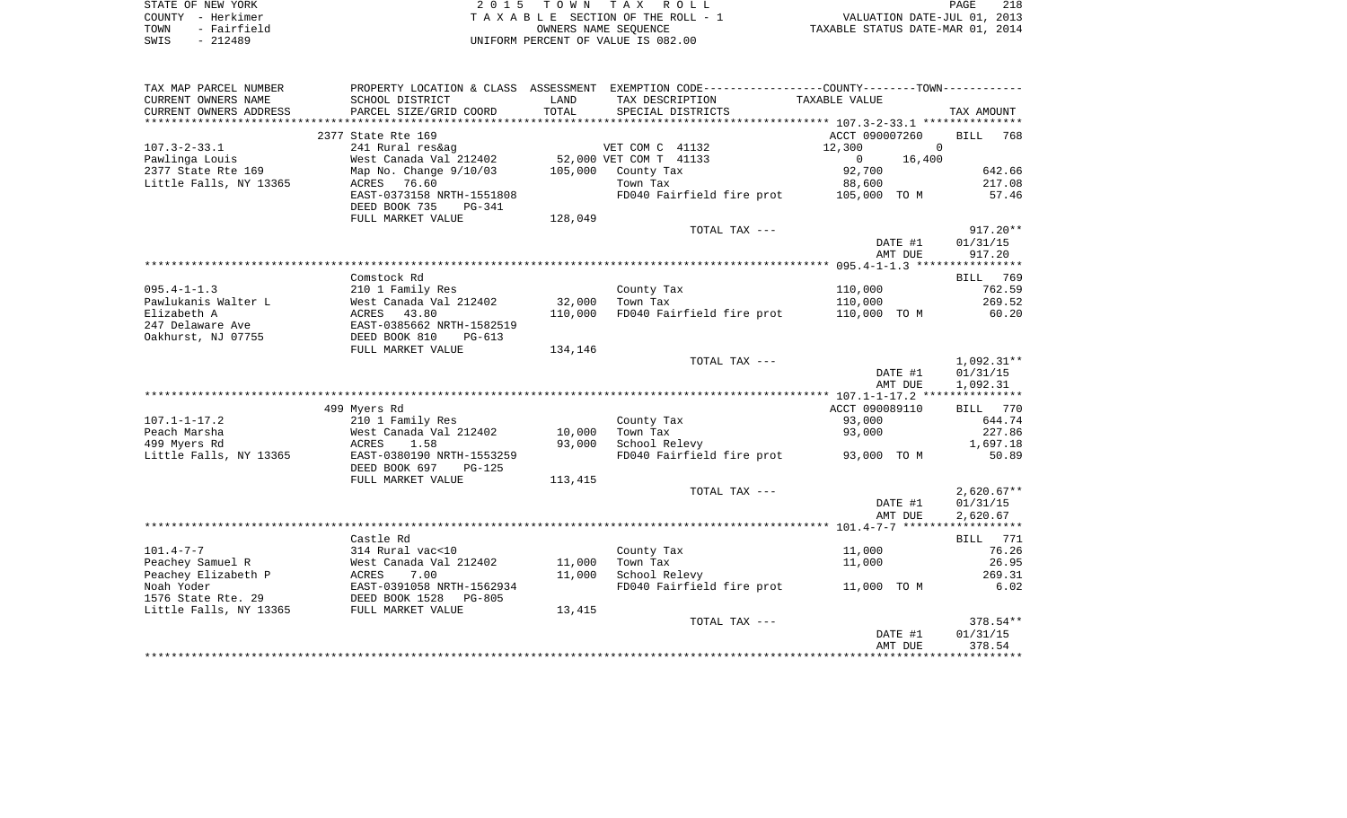| STATE OF NEW YORK   | 2015 TOWN TAX ROLL                 | 218<br>PAGE                      |
|---------------------|------------------------------------|----------------------------------|
| COUNTY - Herkimer   | TAXABLE SECTION OF THE ROLL - 1    | VALUATION DATE-JUL 01, 2013      |
| - Fairfield<br>TOWN | OWNERS NAME SEOUENCE               | TAXABLE STATUS DATE-MAR 01, 2014 |
| SWIS<br>$-212489$   | UNIFORM PERCENT OF VALUE IS 082.00 |                                  |

| TAX MAP PARCEL NUMBER  |                                    |         | PROPERTY LOCATION & CLASS ASSESSMENT EXEMPTION CODE---------------COUNTY-------TOWN---------- |                    |                    |
|------------------------|------------------------------------|---------|-----------------------------------------------------------------------------------------------|--------------------|--------------------|
| CURRENT OWNERS NAME    | SCHOOL DISTRICT                    | LAND    | TAX DESCRIPTION                                                                               | TAXABLE VALUE      |                    |
| CURRENT OWNERS ADDRESS | PARCEL SIZE/GRID COORD             | TOTAL   | SPECIAL DISTRICTS                                                                             |                    | TAX AMOUNT         |
|                        |                                    |         |                                                                                               |                    |                    |
|                        | 2377 State Rte 169                 |         |                                                                                               | ACCT 090007260     | <b>BILL</b><br>768 |
| $107.3 - 2 - 33.1$     | 241 Rural res&ag                   |         | VET COM C 41132                                                                               | 12,300<br>$\Omega$ |                    |
| Pawlinga Louis         | West Canada Val 212402             |         | 52,000 VET COM T 41133                                                                        | $\Omega$<br>16,400 |                    |
| 2377 State Rte 169     | Map No. Change 9/10/03             | 105,000 | County Tax                                                                                    | 92,700             | 642.66             |
| Little Falls, NY 13365 | ACRES 76.60                        |         | Town Tax                                                                                      | 88,600             | 217.08             |
|                        | EAST-0373158 NRTH-1551808          |         | FD040 Fairfield fire prot 105,000 TO M                                                        |                    | 57.46              |
|                        | DEED BOOK 735<br>PG-341            |         |                                                                                               |                    |                    |
|                        | FULL MARKET VALUE                  | 128,049 |                                                                                               |                    |                    |
|                        |                                    |         | TOTAL TAX ---                                                                                 |                    | $917.20**$         |
|                        |                                    |         |                                                                                               | DATE #1            | 01/31/15           |
|                        |                                    |         |                                                                                               | AMT DUE            | 917.20             |
|                        |                                    |         |                                                                                               |                    |                    |
|                        | Comstock Rd                        |         |                                                                                               |                    | 769<br>BILL        |
| $095.4 - 1 - 1.3$      | 210 1 Family Res                   |         | County Tax                                                                                    | 110,000            | 762.59             |
| Pawlukanis Walter L    | West Canada Val 212402             | 32,000  | Town Tax                                                                                      | 110,000            | 269.52             |
| Elizabeth A            | 43.80<br>ACRES                     | 110,000 | FD040 Fairfield fire prot                                                                     | 110,000 TO M       | 60.20              |
| 247 Delaware Ave       | EAST-0385662 NRTH-1582519          |         |                                                                                               |                    |                    |
| Oakhurst, NJ 07755     | DEED BOOK 810<br>$PG-613$          |         |                                                                                               |                    |                    |
|                        | FULL MARKET VALUE                  | 134,146 |                                                                                               |                    |                    |
|                        |                                    |         | TOTAL TAX ---                                                                                 |                    | $1,092.31**$       |
|                        |                                    |         |                                                                                               | DATE #1            | 01/31/15           |
|                        |                                    |         |                                                                                               | AMT DUE            | 1,092.31           |
|                        |                                    |         |                                                                                               |                    |                    |
|                        | 499 Myers Rd                       |         |                                                                                               | ACCT 090089110     | BILL 770           |
| $107.1 - 1 - 17.2$     | 210 1 Family Res                   |         | County Tax                                                                                    | 93,000             | 644.74             |
| Peach Marsha           | West Canada Val 212402             |         | Town Tax                                                                                      | 93,000             | 227.86             |
|                        | 1.58                               | 10,000  |                                                                                               |                    |                    |
| 499 Myers Rd           | ACRES<br>EAST-0380190 NRTH-1553259 | 93,000  | School Relevy                                                                                 |                    | 1,697.18<br>50.89  |
| Little Falls, NY 13365 |                                    |         | FD040 Fairfield fire prot                                                                     | 93,000 TO M        |                    |
|                        | DEED BOOK 697<br><b>PG-125</b>     |         |                                                                                               |                    |                    |
|                        | FULL MARKET VALUE                  | 113,415 |                                                                                               |                    |                    |
|                        |                                    |         | TOTAL TAX ---                                                                                 |                    | $2,620.67**$       |
|                        |                                    |         |                                                                                               | DATE #1            | 01/31/15           |
|                        |                                    |         |                                                                                               | AMT DUE            | 2,620.67           |
|                        |                                    |         |                                                                                               |                    |                    |
|                        | Castle Rd                          |         |                                                                                               |                    | 771<br>BILL        |
| $101.4 - 7 - 7$        | 314 Rural vac<10                   |         | County Tax                                                                                    | 11,000             | 76.26              |
| Peachey Samuel R       | West Canada Val 212402             | 11,000  | Town Tax                                                                                      | 11,000             | 26.95              |
| Peachey Elizabeth P    | ACRES<br>7.00                      | 11,000  | School Relevy                                                                                 |                    | 269.31             |
| Noah Yoder             | EAST-0391058 NRTH-1562934          |         | FD040 Fairfield fire prot                                                                     | 11,000 TO M        | 6.02               |
| 1576 State Rte. 29     | DEED BOOK 1528<br>$PG-805$         |         |                                                                                               |                    |                    |
| Little Falls, NY 13365 | FULL MARKET VALUE                  | 13,415  |                                                                                               |                    |                    |
|                        |                                    |         | TOTAL TAX ---                                                                                 |                    | $378.54**$         |
|                        |                                    |         |                                                                                               | DATE #1            | 01/31/15           |
|                        |                                    |         |                                                                                               | AMT DUE            | 378.54             |
|                        |                                    |         |                                                                                               |                    |                    |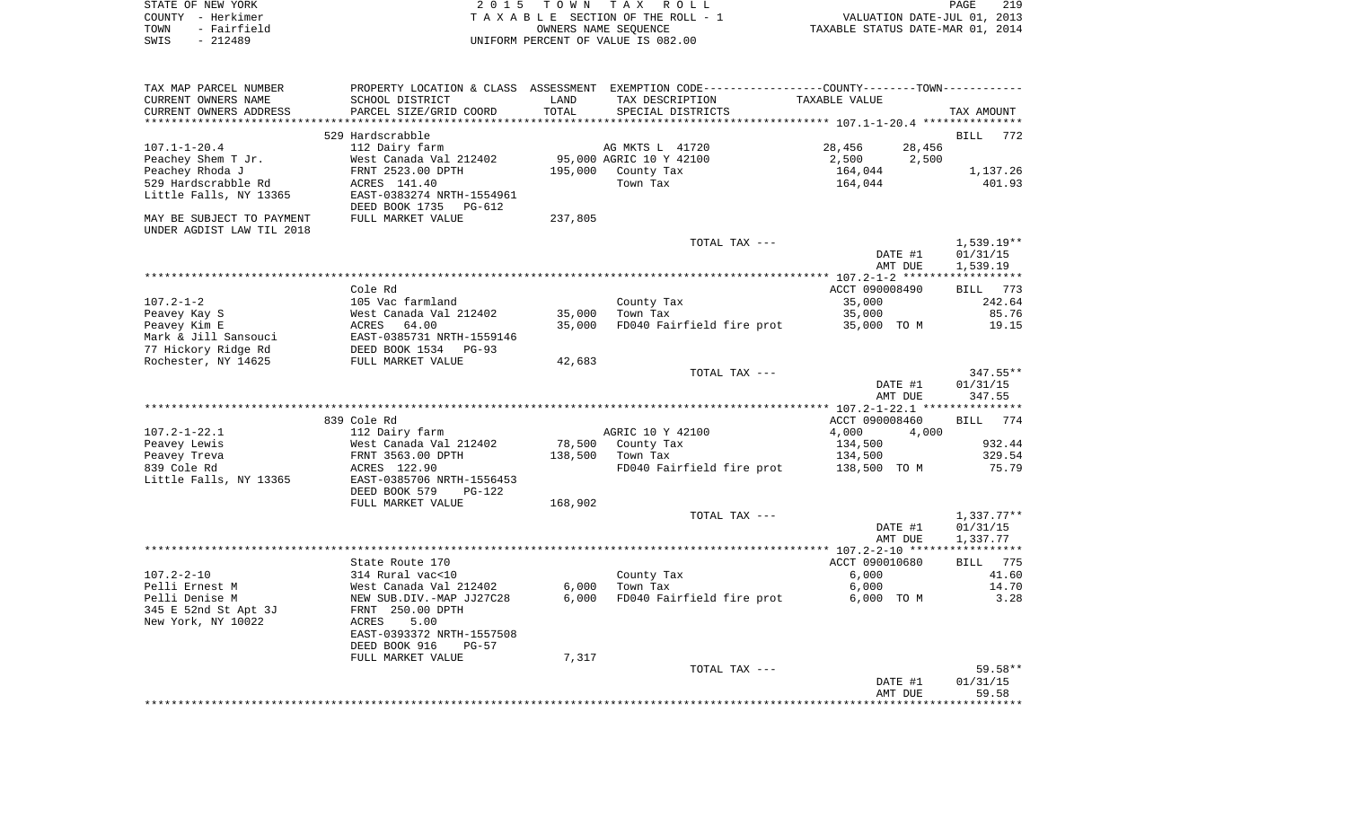| STATE OF NEW YORK   | 2015 TOWN TAX ROLL<br>PAGE                                     | 219 |
|---------------------|----------------------------------------------------------------|-----|
| COUNTY - Herkimer   | VALUATION DATE-JUL 01, 2013<br>TAXABLE SECTION OF THE ROLL - 1 |     |
| - Fairfield<br>TOWN | TAXABLE STATUS DATE-MAR 01, 2014<br>OWNERS NAME SEOUENCE       |     |
| $-212489$<br>SWIS   | UNIFORM PERCENT OF VALUE IS 082.00                             |     |

| TAX MAP PARCEL NUMBER<br>CURRENT OWNERS NAME<br>CURRENT OWNERS ADDRESS         | PROPERTY LOCATION & CLASS ASSESSMENT EXEMPTION CODE----------------COUNTY--------TOWN-----------<br>SCHOOL DISTRICT<br>PARCEL SIZE/GRID COORD    | LAND<br>TOTAL  | TAX DESCRIPTION<br>SPECIAL DISTRICTS                             | TAXABLE VALUE                                 | TAX AMOUNT                           |
|--------------------------------------------------------------------------------|--------------------------------------------------------------------------------------------------------------------------------------------------|----------------|------------------------------------------------------------------|-----------------------------------------------|--------------------------------------|
|                                                                                |                                                                                                                                                  |                |                                                                  |                                               |                                      |
|                                                                                | 529 Hardscrabble                                                                                                                                 |                |                                                                  |                                               | <b>BILL</b><br>772                   |
| $107.1 - 1 - 20.4$<br>Peachey Shem T Jr.<br>Peachey Rhoda J                    | 112 Dairy farm<br>West Canada Val 212402<br>FRNT 2523.00 DPTH                                                                                    |                | AG MKTS L 41720<br>95,000 AGRIC 10 Y 42100<br>195,000 County Tax | 28,456<br>28,456<br>2,500<br>2,500<br>164,044 | 1,137.26                             |
| 529 Hardscrabble Rd<br>Little Falls, NY 13365                                  | ACRES 141.40<br>EAST-0383274 NRTH-1554961<br>DEED BOOK 1735 PG-612                                                                               |                | Town Tax                                                         | 164,044                                       | 401.93                               |
| MAY BE SUBJECT TO PAYMENT<br>UNDER AGDIST LAW TIL 2018                         | FULL MARKET VALUE                                                                                                                                | 237,805        |                                                                  |                                               |                                      |
|                                                                                |                                                                                                                                                  |                | TOTAL TAX ---                                                    | DATE #1<br>AMT DUE                            | $1,539.19**$<br>01/31/15<br>1,539.19 |
|                                                                                |                                                                                                                                                  |                |                                                                  |                                               |                                      |
|                                                                                | Cole Rd                                                                                                                                          |                |                                                                  | ACCT 090008490                                | BILL 773                             |
| $107.2 - 1 - 2$                                                                | 105 Vac farmland                                                                                                                                 |                | County Tax                                                       | 35,000                                        | 242.64                               |
| Peavey Kay S                                                                   | West Canada Val 212402                                                                                                                           | 35,000         | Town Tax                                                         | 35,000                                        | 85.76                                |
| Peavey Kim E                                                                   | ACRES 64.00                                                                                                                                      | 35,000         | FD040 Fairfield fire prot                                        | 35,000 TO M                                   | 19.15                                |
| Mark & Jill Sansouci                                                           | EAST-0385731 NRTH-1559146                                                                                                                        |                |                                                                  |                                               |                                      |
| 77 Hickory Ridge Rd                                                            | DEED BOOK 1534 PG-93                                                                                                                             |                |                                                                  |                                               |                                      |
| Rochester, NY 14625                                                            | FULL MARKET VALUE                                                                                                                                | 42,683         |                                                                  |                                               |                                      |
|                                                                                |                                                                                                                                                  |                | TOTAL TAX ---                                                    | DATE #1<br>AMT DUE                            | $347.55**$<br>01/31/15<br>347.55     |
|                                                                                |                                                                                                                                                  |                |                                                                  |                                               |                                      |
|                                                                                | 839 Cole Rd                                                                                                                                      |                |                                                                  | ACCT 090008460                                | BILL 774                             |
| $107.2 - 1 - 22.1$                                                             | 112 Dairy farm                                                                                                                                   |                | AGRIC 10 Y 42100                                                 | 4,000<br>4,000                                |                                      |
| Peavey Lewis                                                                   | West Canada Val 212402                                                                                                                           | 78,500         | County Tax                                                       | 134,500                                       | 932.44                               |
| Peavey Treva                                                                   | FRNT 3563.00 DPTH                                                                                                                                | 138,500        | Town Tax                                                         | 134,500                                       | 329.54                               |
| 839 Cole Rd                                                                    | ACRES 122.90                                                                                                                                     |                | FD040 Fairfield fire prot                                        | 138,500 TO M                                  | 75.79                                |
| Little Falls, NY 13365                                                         | EAST-0385706 NRTH-1556453<br>DEED BOOK 579<br>$PG-122$                                                                                           |                |                                                                  |                                               |                                      |
|                                                                                | FULL MARKET VALUE                                                                                                                                | 168,902        |                                                                  |                                               |                                      |
|                                                                                |                                                                                                                                                  |                | TOTAL TAX ---                                                    |                                               | $1,337.77**$                         |
|                                                                                |                                                                                                                                                  |                |                                                                  | DATE #1<br>AMT DUE                            | 01/31/15<br>1,337.77                 |
|                                                                                |                                                                                                                                                  |                |                                                                  |                                               |                                      |
| $107.2 - 2 - 10$                                                               | State Route 170<br>314 Rural vac<10                                                                                                              |                | County Tax                                                       | ACCT 090010680<br>6,000                       | 775<br><b>BILL</b><br>41.60<br>14.70 |
| Pelli Ernest M<br>Pelli Denise M<br>345 E 52nd St Apt 3J<br>New York, NY 10022 | West Canada Val 212402<br>NEW SUB.DIV.-MAP JJ27C28<br>FRNT 250.00 DPTH<br>5.00<br>ACRES<br>EAST-0393372 NRTH-1557508<br>DEED BOOK 916<br>$PG-57$ | 6,000<br>6,000 | Town Tax<br>FD040 Fairfield fire prot                            | 6,000<br>6,000 TO M                           | 3.28                                 |
|                                                                                | FULL MARKET VALUE                                                                                                                                | 7,317          |                                                                  |                                               |                                      |
|                                                                                |                                                                                                                                                  |                | TOTAL TAX ---                                                    |                                               | 59.58**                              |
|                                                                                |                                                                                                                                                  |                |                                                                  | DATE #1                                       | 01/31/15                             |
|                                                                                |                                                                                                                                                  |                |                                                                  | AMT DUE                                       | 59.58                                |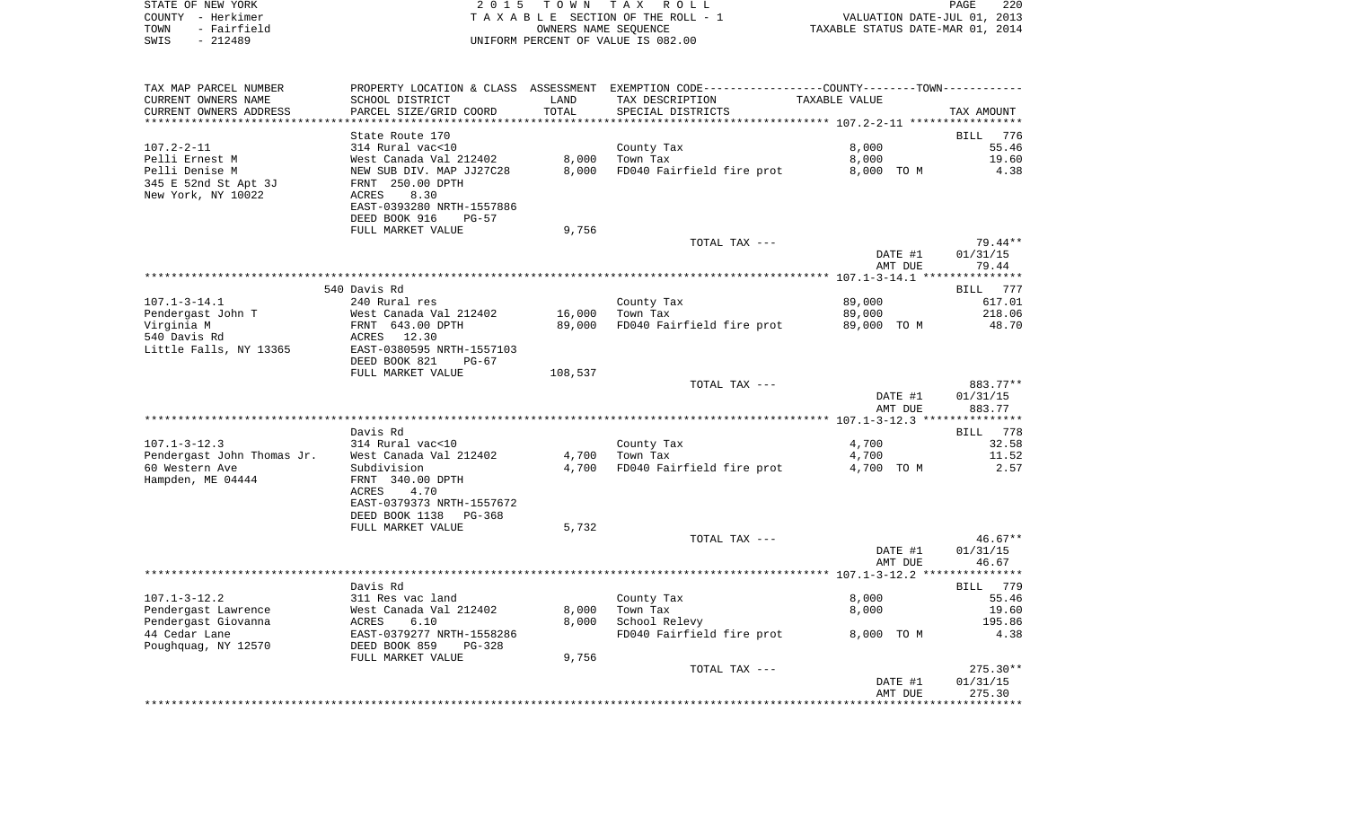|      | STATE OF NEW YORK | 2015 TOWN TAX ROLL                 | <b>PAGE</b>                      | 220 |
|------|-------------------|------------------------------------|----------------------------------|-----|
|      | COUNTY - Herkimer | TAXABLE SECTION OF THE ROLL - 1    | VALUATION DATE-JUL 01, 2013      |     |
| TOWN | - Fairfield       | OWNERS NAME SEOUENCE               | TAXABLE STATUS DATE-MAR 01, 2014 |     |
| SWIS | - 212489          | UNIFORM PERCENT OF VALUE IS 082.00 |                                  |     |

| TAX MAP PARCEL NUMBER      |                           |         | PROPERTY LOCATION & CLASS ASSESSMENT EXEMPTION CODE---------------COUNTY-------TOWN---------- |                                                  |            |
|----------------------------|---------------------------|---------|-----------------------------------------------------------------------------------------------|--------------------------------------------------|------------|
| CURRENT OWNERS NAME        | SCHOOL DISTRICT           | LAND    | TAX DESCRIPTION                                                                               | TAXABLE VALUE                                    |            |
| CURRENT OWNERS ADDRESS     | PARCEL SIZE/GRID COORD    | TOTAL   | SPECIAL DISTRICTS                                                                             |                                                  | TAX AMOUNT |
|                            |                           |         |                                                                                               | ****************** 107.2-2-11 ****************** |            |
|                            | State Route 170           |         |                                                                                               |                                                  | BILL 776   |
| $107.2 - 2 - 11$           | 314 Rural vac<10          |         | County Tax                                                                                    | 8,000                                            | 55.46      |
| Pelli Ernest M             | West Canada Val 212402    | 8,000   | Town Tax                                                                                      | 8,000                                            | 19.60      |
| Pelli Denise M             | NEW SUB DIV. MAP JJ27C28  | 8,000   | FD040 Fairfield fire prot                                                                     | 8,000 TO M                                       | 4.38       |
| 345 E 52nd St Apt 3J       | FRNT 250.00 DPTH          |         |                                                                                               |                                                  |            |
| New York, NY 10022         | ACRES<br>8.30             |         |                                                                                               |                                                  |            |
|                            | EAST-0393280 NRTH-1557886 |         |                                                                                               |                                                  |            |
|                            | DEED BOOK 916<br>$PG-57$  |         |                                                                                               |                                                  |            |
|                            | FULL MARKET VALUE         | 9,756   |                                                                                               |                                                  |            |
|                            |                           |         | TOTAL TAX ---                                                                                 |                                                  | 79.44**    |
|                            |                           |         |                                                                                               |                                                  |            |
|                            |                           |         |                                                                                               | DATE #1                                          | 01/31/15   |
|                            |                           |         |                                                                                               | AMT DUE                                          | 79.44      |
|                            |                           |         |                                                                                               |                                                  |            |
|                            | 540 Davis Rd              |         |                                                                                               |                                                  | BILL 777   |
| $107.1 - 3 - 14.1$         | 240 Rural res             |         | County Tax                                                                                    | 89,000                                           | 617.01     |
| Pendergast John T          | West Canada Val 212402    | 16,000  | Town Tax                                                                                      | 89,000                                           | 218.06     |
| Virginia M                 | FRNT 643.00 DPTH          | 89,000  | FD040 Fairfield fire prot                                                                     | 89,000 TO M                                      | 48.70      |
| 540 Davis Rd               | ACRES 12.30               |         |                                                                                               |                                                  |            |
| Little Falls, NY 13365     | EAST-0380595 NRTH-1557103 |         |                                                                                               |                                                  |            |
|                            | DEED BOOK 821<br>$PG-67$  |         |                                                                                               |                                                  |            |
|                            | FULL MARKET VALUE         | 108,537 |                                                                                               |                                                  |            |
|                            |                           |         | TOTAL TAX ---                                                                                 |                                                  | 883.77**   |
|                            |                           |         |                                                                                               | DATE #1                                          | 01/31/15   |
|                            |                           |         |                                                                                               | AMT DUE                                          | 883.77     |
|                            |                           |         |                                                                                               |                                                  |            |
|                            | Davis Rd                  |         |                                                                                               |                                                  | BILL 778   |
| $107.1 - 3 - 12.3$         | 314 Rural vac<10          |         | County Tax                                                                                    | 4,700                                            | 32.58      |
| Pendergast John Thomas Jr. | West Canada Val 212402    | 4,700   | Town Tax                                                                                      | 4,700                                            | 11.52      |
| 60 Western Ave             | Subdivision               | 4,700   | FD040 Fairfield fire prot                                                                     | 4,700 TO M                                       | 2.57       |
| Hampden, ME 04444          | FRNT 340.00 DPTH          |         |                                                                                               |                                                  |            |
|                            | 4.70<br>ACRES             |         |                                                                                               |                                                  |            |
|                            | EAST-0379373 NRTH-1557672 |         |                                                                                               |                                                  |            |
|                            | DEED BOOK 1138<br>PG-368  |         |                                                                                               |                                                  |            |
|                            | FULL MARKET VALUE         | 5,732   |                                                                                               |                                                  |            |
|                            |                           |         | TOTAL TAX ---                                                                                 |                                                  | $46.67**$  |
|                            |                           |         |                                                                                               | DATE #1                                          | 01/31/15   |
|                            |                           |         |                                                                                               | AMT DUE                                          | 46.67      |
|                            |                           |         |                                                                                               |                                                  |            |
|                            | Davis Rd                  |         |                                                                                               |                                                  | BILL 779   |
| $107.1 - 3 - 12.2$         | 311 Res vac land          |         | County Tax                                                                                    | 8.000                                            | 55.46      |
|                            |                           |         |                                                                                               |                                                  |            |
| Pendergast Lawrence        | West Canada Val 212402    | 8,000   | Town Tax                                                                                      | 8,000                                            | 19.60      |
| Pendergast Giovanna        | ACRES<br>6.10             | 8,000   | School Relevy                                                                                 |                                                  | 195.86     |
| 44 Cedar Lane              | EAST-0379277 NRTH-1558286 |         | FD040 Fairfield fire prot                                                                     | 8,000 TO M                                       | 4.38       |
| Poughquag, NY 12570        | DEED BOOK 859<br>$PG-328$ |         |                                                                                               |                                                  |            |
|                            | FULL MARKET VALUE         | 9,756   |                                                                                               |                                                  |            |
|                            |                           |         | TOTAL TAX ---                                                                                 |                                                  | $275.30**$ |
|                            |                           |         |                                                                                               | DATE #1                                          | 01/31/15   |
|                            |                           |         |                                                                                               | AMT DUE                                          | 275.30     |
|                            |                           |         |                                                                                               |                                                  |            |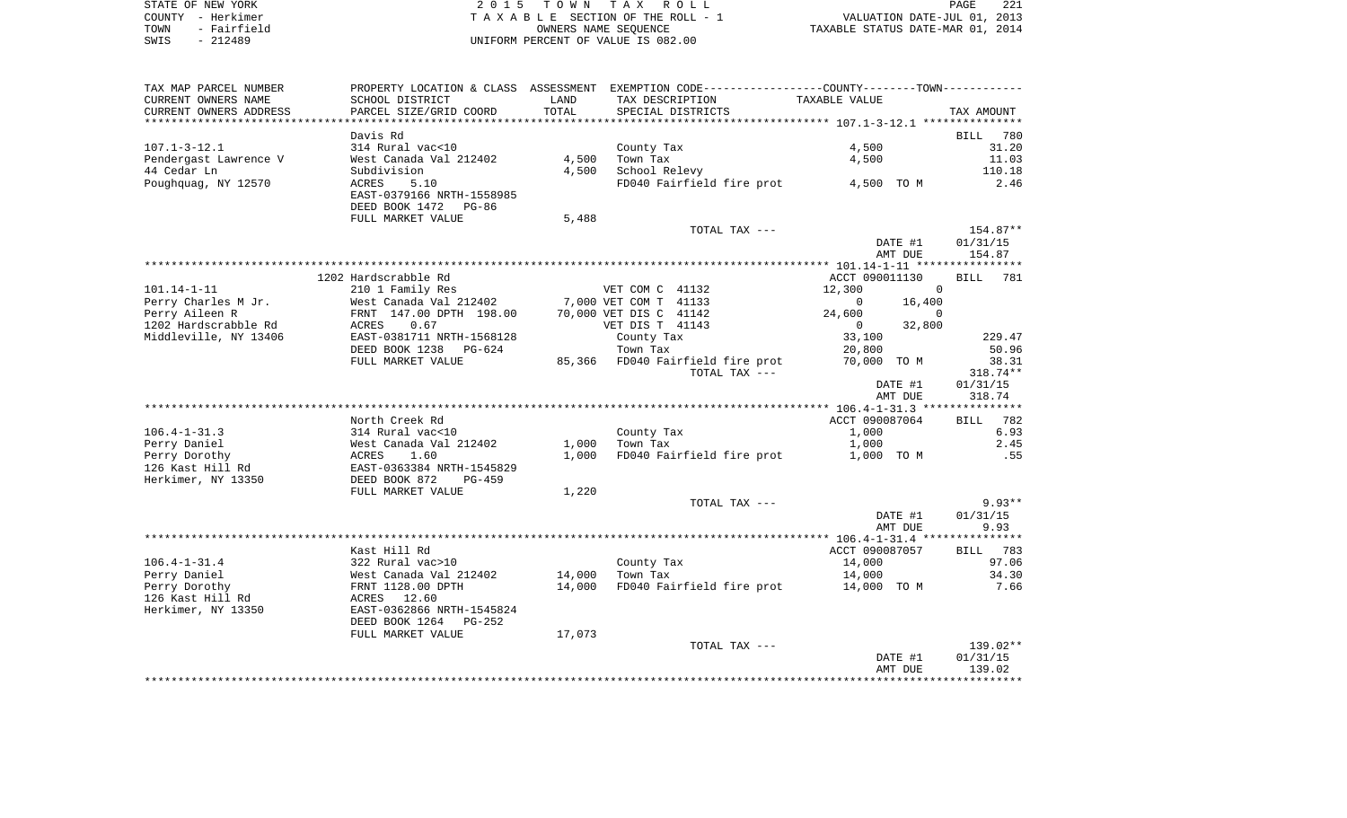| STATE OF NEW YORK   | 2015 TOWN TAX ROLL                 | 221<br>PAGE                      |
|---------------------|------------------------------------|----------------------------------|
| COUNTY - Herkimer   | TAXABLE SECTION OF THE ROLL - 1    | VALUATION DATE-JUL 01, 2013      |
| - Fairfield<br>TOWN | OWNERS NAME SEOUENCE               | TAXABLE STATUS DATE-MAR 01, 2014 |
| - 212489<br>SWIS    | UNIFORM PERCENT OF VALUE IS 082.00 |                                  |

| TAX AMOUNT<br>780<br>31.20<br>11.03<br>110.18<br>2.46<br>154.87**<br>01/31/15 |
|-------------------------------------------------------------------------------|
|                                                                               |
|                                                                               |
|                                                                               |
|                                                                               |
|                                                                               |
|                                                                               |
|                                                                               |
|                                                                               |
|                                                                               |
|                                                                               |
|                                                                               |
|                                                                               |
|                                                                               |
| 154.87                                                                        |
|                                                                               |
| 781                                                                           |
|                                                                               |
|                                                                               |
|                                                                               |
|                                                                               |
| 229.47<br>50.96                                                               |
| 38.31                                                                         |
| 318.74**                                                                      |
| 01/31/15                                                                      |
| 318.74                                                                        |
|                                                                               |
| 782                                                                           |
| 6.93                                                                          |
| 2.45                                                                          |
| .55                                                                           |
|                                                                               |
|                                                                               |
|                                                                               |
| $9.93**$                                                                      |
| 01/31/15                                                                      |
| 9.93                                                                          |
|                                                                               |
| 783                                                                           |
| 97.06                                                                         |
| 34.30                                                                         |
| 7.66                                                                          |
|                                                                               |
|                                                                               |
|                                                                               |
|                                                                               |
| $139.02**$                                                                    |
| 01/31/15                                                                      |
| 139.02                                                                        |
|                                                                               |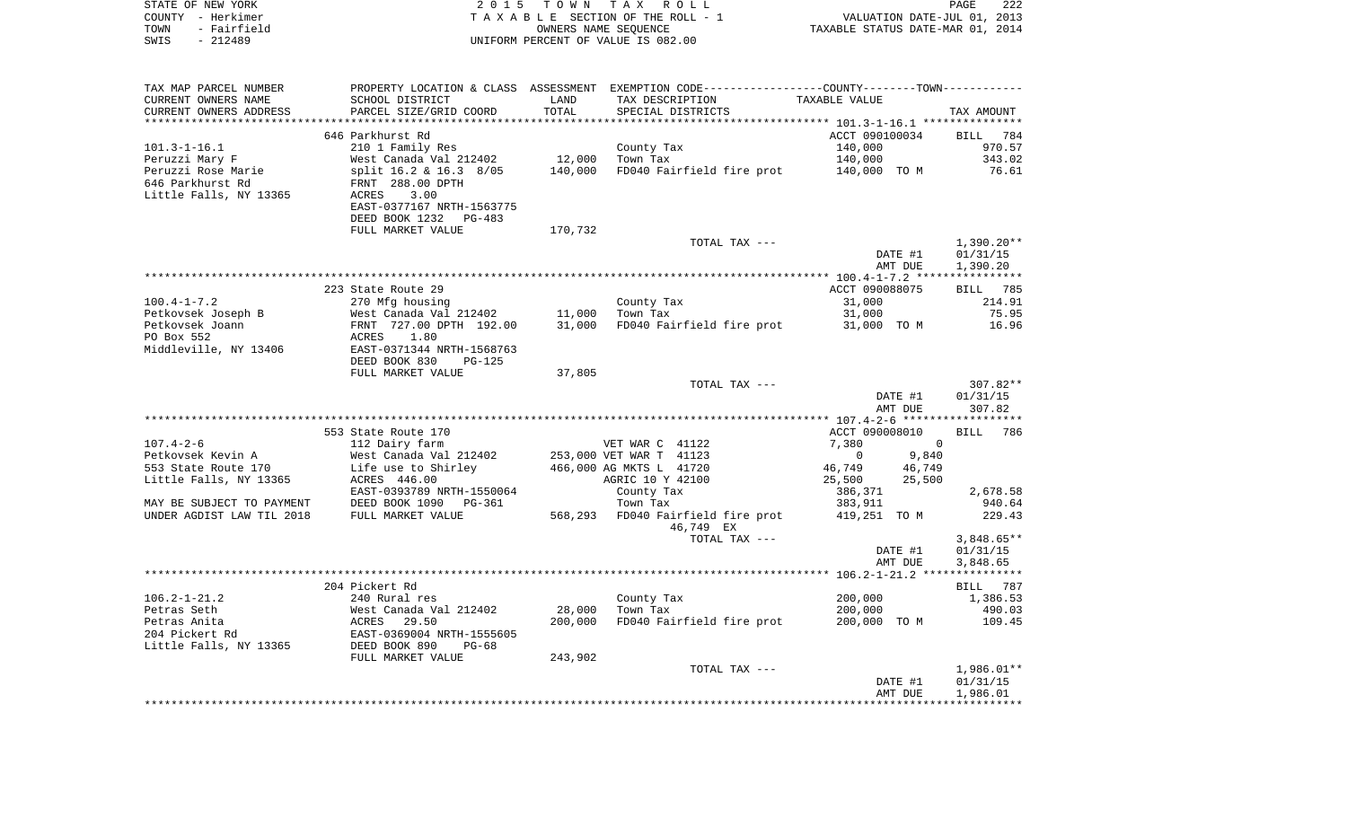| STATE OF NEW YORK<br>COUNTY - Herkimer<br>- Fairfield<br>TOWN<br>$-212489$<br>SWIS | 2 0 1 5                                          | T O W N           | TAX ROLL<br>TAXABLE SECTION OF THE ROLL - 1<br>OWNERS NAME SEQUENCE<br>UNIFORM PERCENT OF VALUE IS 082.00 | TAXABLE STATUS DATE-MAR 01, 2014              | PAGE<br>222<br>VALUATION DATE-JUL 01, 2013 |
|------------------------------------------------------------------------------------|--------------------------------------------------|-------------------|-----------------------------------------------------------------------------------------------------------|-----------------------------------------------|--------------------------------------------|
| TAX MAP PARCEL NUMBER                                                              |                                                  |                   | PROPERTY LOCATION & CLASS ASSESSMENT EXEMPTION CODE---------------COUNTY-------TOWN----------             |                                               |                                            |
| CURRENT OWNERS NAME                                                                | SCHOOL DISTRICT                                  | LAND              | TAX DESCRIPTION                                                                                           | TAXABLE VALUE                                 |                                            |
| CURRENT OWNERS ADDRESS                                                             | PARCEL SIZE/GRID COORD                           | TOTAL             | SPECIAL DISTRICTS                                                                                         |                                               | TAX AMOUNT                                 |
| *******************                                                                |                                                  | ***********       |                                                                                                           |                                               |                                            |
|                                                                                    | 646 Parkhurst Rd                                 |                   |                                                                                                           | ACCT 090100034                                | <b>BILL</b><br>784                         |
| $101.3 - 1 - 16.1$                                                                 | 210 1 Family Res                                 |                   | County Tax                                                                                                | 140,000                                       | 970.57                                     |
| Peruzzi Mary F<br>Peruzzi Rose Marie                                               | West Canada Val 212402<br>split 16.2 & 16.3 8/05 | 12,000<br>140,000 | Town Tax<br>FD040 Fairfield fire prot                                                                     | 140,000<br>140,000 TO M                       | 343.02<br>76.61                            |
| 646 Parkhurst Rd                                                                   | FRNT 288.00 DPTH                                 |                   |                                                                                                           |                                               |                                            |
| Little Falls, NY 13365                                                             | 3.00<br>ACRES                                    |                   |                                                                                                           |                                               |                                            |
|                                                                                    | EAST-0377167 NRTH-1563775                        |                   |                                                                                                           |                                               |                                            |
|                                                                                    | DEED BOOK 1232<br>PG-483                         |                   |                                                                                                           |                                               |                                            |
|                                                                                    | FULL MARKET VALUE                                | 170,732           |                                                                                                           |                                               |                                            |
|                                                                                    |                                                  |                   | TOTAL TAX ---                                                                                             |                                               | $1,390.20**$                               |
|                                                                                    |                                                  |                   |                                                                                                           | DATE #1<br>AMT DUE                            | 01/31/15<br>1,390.20                       |
|                                                                                    |                                                  |                   |                                                                                                           |                                               |                                            |
|                                                                                    | 223 State Route 29                               |                   |                                                                                                           | ACCT 090088075                                | BILL 785                                   |
| $100.4 - 1 - 7.2$                                                                  | 270 Mfg housing                                  |                   | County Tax                                                                                                | 31,000                                        | 214.91                                     |
| Petkovsek Joseph B                                                                 | West Canada Val 212402                           | 11,000            | Town Tax                                                                                                  | 31,000                                        | 75.95                                      |
| Petkovsek Joann                                                                    | FRNT 727.00 DPTH 192.00                          | 31,000            | FD040 Fairfield fire prot                                                                                 | 31,000 TO M                                   | 16.96                                      |
| PO Box 552                                                                         | 1.80<br>ACRES                                    |                   |                                                                                                           |                                               |                                            |
| Middleville, NY 13406                                                              | EAST-0371344 NRTH-1568763<br>DEED BOOK 830       |                   |                                                                                                           |                                               |                                            |
|                                                                                    | PG-125<br>FULL MARKET VALUE                      | 37,805            |                                                                                                           |                                               |                                            |
|                                                                                    |                                                  |                   | TOTAL TAX ---                                                                                             |                                               | 307.82**                                   |
|                                                                                    |                                                  |                   |                                                                                                           | DATE #1                                       | 01/31/15                                   |
|                                                                                    |                                                  |                   |                                                                                                           | AMT DUE                                       | 307.82                                     |
|                                                                                    |                                                  |                   |                                                                                                           | **************** 107.4-2-6 ****************** |                                            |
|                                                                                    | 553 State Route 170                              |                   |                                                                                                           | ACCT 090008010                                | <b>BILL</b><br>786                         |
| $107.4 - 2 - 6$                                                                    | 112 Dairy farm                                   |                   | VET WAR C 41122                                                                                           | 7,380                                         | $\mathbf 0$                                |
| Petkovsek Kevin A<br>553 State Route 170                                           | West Canada Val 212402<br>Life use to Shirley    |                   | 253,000 VET WAR T 41123<br>466,000 AG MKTS L 41720                                                        | 0<br>9,840<br>46,749<br>46,749                |                                            |
| Little Falls, NY 13365                                                             | ACRES 446.00                                     |                   | AGRIC 10 Y 42100                                                                                          | 25,500<br>25,500                              |                                            |
|                                                                                    | EAST-0393789 NRTH-1550064                        |                   | County Tax                                                                                                | 386,371                                       | 2,678.58                                   |
| MAY BE SUBJECT TO PAYMENT                                                          | DEED BOOK 1090<br>PG-361                         |                   | Town Tax                                                                                                  | 383,911                                       | 940.64                                     |
| UNDER AGDIST LAW TIL 2018                                                          | FULL MARKET VALUE                                | 568,293           | FD040 Fairfield fire prot                                                                                 | 419,251 TO M                                  | 229.43                                     |
|                                                                                    |                                                  |                   | 46,749 EX                                                                                                 |                                               |                                            |
|                                                                                    |                                                  |                   | TOTAL TAX ---                                                                                             |                                               | $3,848.65**$                               |
|                                                                                    |                                                  |                   |                                                                                                           | DATE #1                                       | 01/31/15                                   |
|                                                                                    |                                                  |                   |                                                                                                           | AMT DUE                                       | 3,848.65                                   |
|                                                                                    | 204 Pickert Rd                                   |                   |                                                                                                           |                                               | 787<br>BILL                                |
| $106.2 - 1 - 21.2$                                                                 | 240 Rural res                                    |                   | County Tax                                                                                                | 200,000                                       | 1,386.53                                   |
| Petras Seth                                                                        | West Canada Val 212402                           | 28,000            | Town Tax                                                                                                  | 200,000                                       | 490.03                                     |
| Petras Anita                                                                       | ACRES<br>29.50                                   | 200,000           | FD040 Fairfield fire prot                                                                                 | 200,000 TO M                                  | 109.45                                     |
| 204 Pickert Rd                                                                     | EAST-0369004 NRTH-1555605                        |                   |                                                                                                           |                                               |                                            |
| Little Falls, NY 13365                                                             | DEED BOOK 890<br>PG-68                           |                   |                                                                                                           |                                               |                                            |
|                                                                                    | FULL MARKET VALUE                                | 243,902           |                                                                                                           |                                               |                                            |
|                                                                                    |                                                  |                   | TOTAL TAX ---                                                                                             | DATE #1                                       | $1,986.01**$<br>01/31/15                   |
|                                                                                    |                                                  |                   |                                                                                                           | AMT DUE                                       | 1,986.01                                   |
|                                                                                    |                                                  |                   |                                                                                                           |                                               |                                            |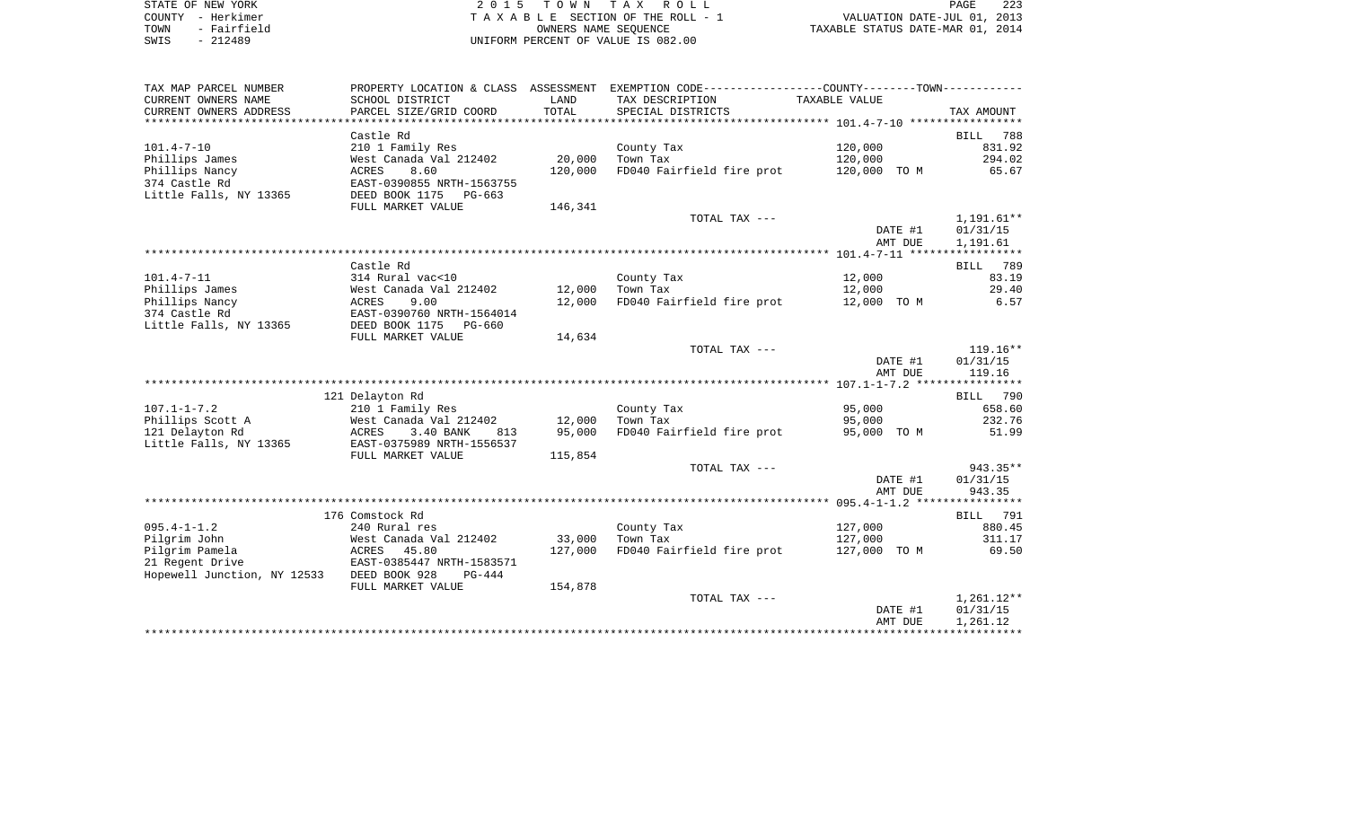| STATE OF NEW YORK   | 2015 TOWN TAX ROLL                 | 223<br>PAGE                      |
|---------------------|------------------------------------|----------------------------------|
| COUNTY - Herkimer   | TAXABLE SECTION OF THE ROLL - 1    | VALUATION DATE-JUL 01, 2013      |
| - Fairfield<br>TOWN | OWNERS NAME SEOUENCE               | TAXABLE STATUS DATE-MAR 01, 2014 |
| $-212489$<br>SWIS   | UNIFORM PERCENT OF VALUE IS 082.00 |                                  |

| TAX MAP PARCEL NUMBER       |                           |         | PROPERTY LOCATION & CLASS ASSESSMENT EXEMPTION CODE----------------COUNTY--------TOWN----------- |               |                    |
|-----------------------------|---------------------------|---------|--------------------------------------------------------------------------------------------------|---------------|--------------------|
| CURRENT OWNERS NAME         | SCHOOL DISTRICT           | LAND    | TAX DESCRIPTION                                                                                  | TAXABLE VALUE |                    |
| CURRENT OWNERS ADDRESS      | PARCEL SIZE/GRID COORD    | TOTAL   | SPECIAL DISTRICTS                                                                                |               | TAX AMOUNT         |
|                             |                           |         |                                                                                                  |               |                    |
|                             | Castle Rd                 |         |                                                                                                  |               | 788<br><b>BILL</b> |
| $101.4 - 7 - 10$            | 210 1 Family Res          |         | County Tax                                                                                       | 120,000       | 831.92             |
| Phillips James              | West Canada Val 212402    | 20,000  | Town Tax                                                                                         | 120,000       | 294.02             |
| Phillips Nancy              | ACRES<br>8.60             | 120,000 | FD040 Fairfield fire prot                                                                        | 120,000 TO M  | 65.67              |
| 374 Castle Rd               | EAST-0390855 NRTH-1563755 |         |                                                                                                  |               |                    |
| Little Falls, NY 13365      | DEED BOOK 1175<br>PG-663  |         |                                                                                                  |               |                    |
|                             | FULL MARKET VALUE         | 146,341 |                                                                                                  |               |                    |
|                             |                           |         | TOTAL TAX ---                                                                                    |               | 1,191.61**         |
|                             |                           |         |                                                                                                  | DATE #1       | 01/31/15           |
|                             |                           |         |                                                                                                  | AMT DUE       | 1,191.61           |
|                             |                           |         |                                                                                                  |               |                    |
|                             | Castle Rd                 |         |                                                                                                  |               | BILL<br>789        |
| $101.4 - 7 - 11$            | 314 Rural vac<10          |         | County Tax                                                                                       | 12,000        | 83.19              |
| Phillips James              | West Canada Val 212402    | 12,000  | Town Tax                                                                                         | 12,000        | 29.40              |
| Phillips Nancy              | 9.00<br>ACRES             | 12,000  | FD040 Fairfield fire prot                                                                        | 12,000 TO M   | 6.57               |
| 374 Castle Rd               | EAST-0390760 NRTH-1564014 |         |                                                                                                  |               |                    |
| Little Falls, NY 13365      | DEED BOOK 1175<br>PG-660  |         |                                                                                                  |               |                    |
|                             | FULL MARKET VALUE         | 14,634  |                                                                                                  |               |                    |
|                             |                           |         | TOTAL TAX ---                                                                                    |               | $119.16**$         |
|                             |                           |         |                                                                                                  | DATE #1       | 01/31/15           |
|                             |                           |         |                                                                                                  | AMT DUE       | 119.16             |
|                             |                           |         |                                                                                                  |               |                    |
|                             | 121 Delayton Rd           |         |                                                                                                  |               | BILL 790           |
| $107.1 - 1 - 7.2$           | 210 1 Family Res          |         | County Tax                                                                                       | 95,000        | 658.60             |
| Phillips Scott A            | West Canada Val 212402    | 12,000  | Town Tax                                                                                         | 95,000        | 232.76             |
| 121 Delayton Rd             | 3.40 BANK<br>ACRES<br>813 | 95,000  | FD040 Fairfield fire prot                                                                        | 95,000 TO M   | 51.99              |
| Little Falls, NY 13365      | EAST-0375989 NRTH-1556537 |         |                                                                                                  |               |                    |
|                             | FULL MARKET VALUE         | 115,854 |                                                                                                  |               |                    |
|                             |                           |         | TOTAL TAX ---                                                                                    |               | 943.35**           |
|                             |                           |         |                                                                                                  | DATE #1       | 01/31/15           |
|                             |                           |         |                                                                                                  | AMT DUE       | 943.35             |
|                             |                           |         |                                                                                                  |               |                    |
|                             | 176 Comstock Rd           |         |                                                                                                  |               | BILL 791           |
| $095.4 - 1 - 1.2$           | 240 Rural res             |         | County Tax                                                                                       | 127,000       | 880.45             |
| Pilgrim John                | West Canada Val 212402    | 33,000  | Town Tax                                                                                         | 127,000       | 311.17             |
| Pilgrim Pamela              | 45.80<br>ACRES            | 127,000 | FD040 Fairfield fire prot                                                                        | 127,000 TO M  | 69.50              |
| 21 Regent Drive             | EAST-0385447 NRTH-1583571 |         |                                                                                                  |               |                    |
| Hopewell Junction, NY 12533 | DEED BOOK 928<br>$PG-444$ |         |                                                                                                  |               |                    |
|                             | FULL MARKET VALUE         | 154,878 |                                                                                                  |               |                    |
|                             |                           |         | TOTAL TAX ---                                                                                    |               | $1,261.12**$       |
|                             |                           |         |                                                                                                  | DATE #1       | 01/31/15           |
|                             |                           |         |                                                                                                  | AMT DUE       | 1,261.12           |
|                             |                           |         |                                                                                                  |               |                    |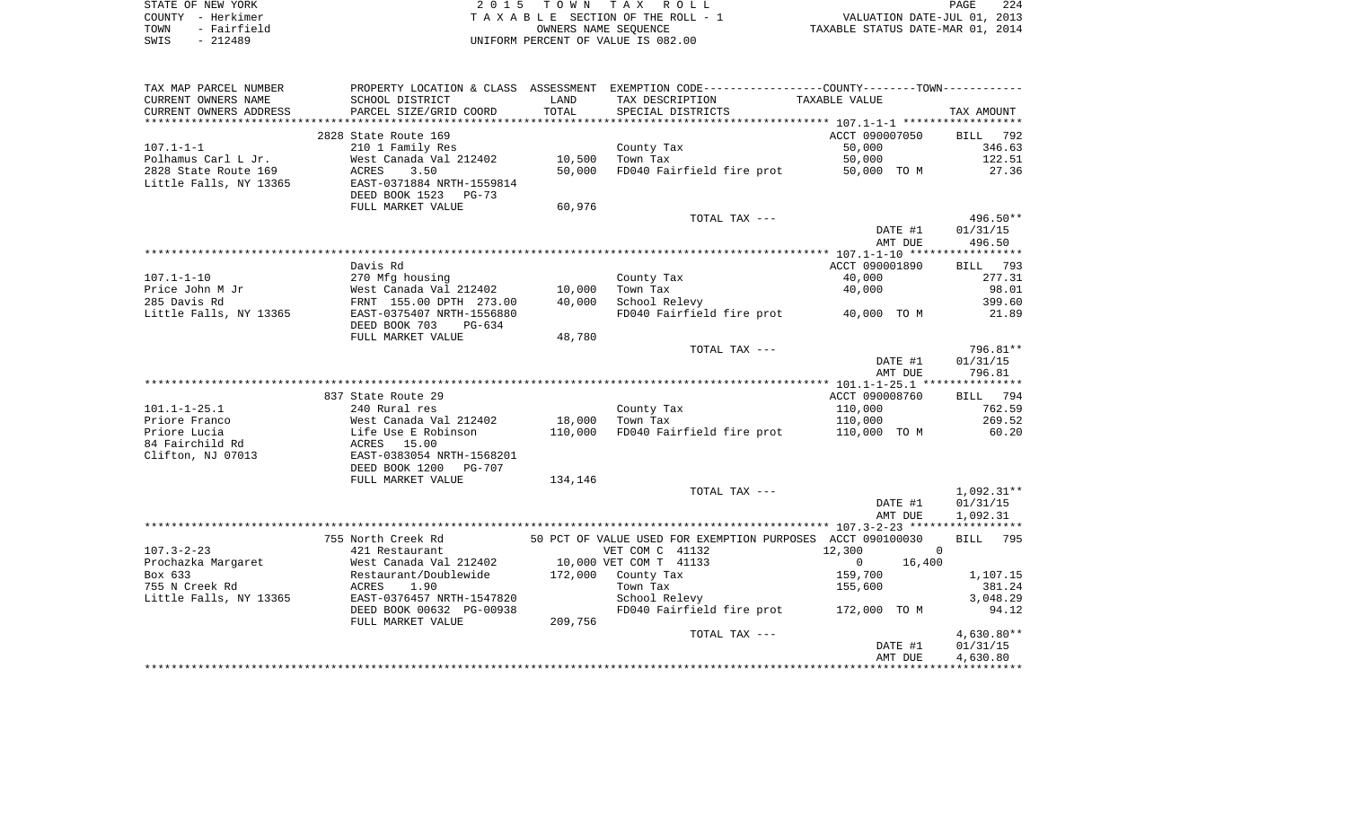| STATE OF NEW YORK   | 2015 TOWN TAX ROLL                 | 224<br>PAGE                      |
|---------------------|------------------------------------|----------------------------------|
| COUNTY - Herkimer   | TAXABLE SECTION OF THE ROLL - 1    | VALUATION DATE-JUL 01, 2013      |
| - Fairfield<br>TOWN | OWNERS NAME SEOUENCE               | TAXABLE STATUS DATE-MAR 01, 2014 |
| - 212489<br>SWIS    | UNIFORM PERCENT OF VALUE IS 082.00 |                                  |

| TAX MAP PARCEL NUMBER  |                           |         | PROPERTY LOCATION & CLASS ASSESSMENT EXEMPTION CODE---------------COUNTY-------TOWN---------- |                |                    |
|------------------------|---------------------------|---------|-----------------------------------------------------------------------------------------------|----------------|--------------------|
| CURRENT OWNERS NAME    | SCHOOL DISTRICT           | LAND    | TAX DESCRIPTION                                                                               | TAXABLE VALUE  |                    |
| CURRENT OWNERS ADDRESS | PARCEL SIZE/GRID COORD    | TOTAL   | SPECIAL DISTRICTS                                                                             |                | TAX AMOUNT         |
| ********************** |                           |         |                                                                                               |                |                    |
|                        | 2828 State Route 169      |         |                                                                                               | ACCT 090007050 | BILL 792           |
| $107.1 - 1 - 1$        | 210 1 Family Res          |         | County Tax                                                                                    | 50,000         | 346.63             |
| Polhamus Carl L Jr.    | West Canada Val 212402    | 10,500  | Town Tax                                                                                      | 50,000         | 122.51             |
| 2828 State Route 169   | ACRES<br>3.50             | 50,000  | FD040 Fairfield fire prot                                                                     | 50,000 TO M    | 27.36              |
| Little Falls, NY 13365 | EAST-0371884 NRTH-1559814 |         |                                                                                               |                |                    |
|                        | DEED BOOK 1523<br>$PG-73$ |         |                                                                                               |                |                    |
|                        | FULL MARKET VALUE         | 60,976  |                                                                                               |                |                    |
|                        |                           |         | TOTAL TAX ---                                                                                 |                | 496.50**           |
|                        |                           |         |                                                                                               | DATE #1        | 01/31/15           |
|                        |                           |         |                                                                                               | AMT DUE        | 496.50             |
|                        |                           |         |                                                                                               |                |                    |
|                        | Davis Rd                  |         |                                                                                               | ACCT 090001890 | BILL 793           |
| $107.1 - 1 - 10$       | 270 Mfg housing           |         | County Tax                                                                                    | 40,000         | 277.31             |
| Price John M Jr        | West Canada Val 212402    | 10,000  | Town Tax                                                                                      | 40,000         | 98.01              |
| 285 Davis Rd           | FRNT 155.00 DPTH 273.00   | 40,000  | School Relevy                                                                                 |                | 399.60             |
| Little Falls, NY 13365 | EAST-0375407 NRTH-1556880 |         | FD040 Fairfield fire prot 40,000 TO M                                                         |                | 21.89              |
|                        | DEED BOOK 703<br>PG-634   |         |                                                                                               |                |                    |
|                        | FULL MARKET VALUE         | 48,780  |                                                                                               |                |                    |
|                        |                           |         | TOTAL TAX ---                                                                                 |                | 796.81**           |
|                        |                           |         |                                                                                               | DATE #1        | 01/31/15           |
|                        |                           |         |                                                                                               | AMT DUE        | 796.81             |
|                        |                           |         |                                                                                               |                |                    |
|                        | 837 State Route 29        |         |                                                                                               | ACCT 090008760 | BILL 794           |
| $101.1 - 1 - 25.1$     | 240 Rural res             |         | County Tax                                                                                    | 110,000        | 762.59             |
| Priore Franco          | West Canada Val 212402    | 18,000  | Town Tax                                                                                      | 110,000        | 269.52             |
| Priore Lucia           | Life Use E Robinson       | 110,000 | FD040 Fairfield fire prot                                                                     | 110,000 TO M   | 60.20              |
| 84 Fairchild Rd        | 15.00<br>ACRES            |         |                                                                                               |                |                    |
| Clifton, NJ 07013      | EAST-0383054 NRTH-1568201 |         |                                                                                               |                |                    |
|                        | DEED BOOK 1200<br>PG-707  |         |                                                                                               |                |                    |
|                        | FULL MARKET VALUE         | 134,146 |                                                                                               |                |                    |
|                        |                           |         | TOTAL TAX ---                                                                                 |                | 1,092.31**         |
|                        |                           |         |                                                                                               | DATE #1        | 01/31/15           |
|                        |                           |         |                                                                                               | AMT DUE        | 1,092.31           |
|                        |                           |         |                                                                                               |                |                    |
|                        | 755 North Creek Rd        |         | 50 PCT OF VALUE USED FOR EXEMPTION PURPOSES ACCT 090100030                                    |                | <b>BILL</b><br>795 |
| $107.3 - 2 - 23$       | 421 Restaurant            |         | VET COM C 41132                                                                               | 12,300         | $\overline{0}$     |
|                        |                           |         | 10,000 VET COM T 41133                                                                        | $\overline{0}$ |                    |
| Prochazka Margaret     | West Canada Val 212402    |         |                                                                                               | 16,400         |                    |
| Box 633                | Restaurant/Doublewide     |         | 172,000 County Tax                                                                            | 159,700        | 1,107.15           |
| 755 N Creek Rd         | ACRES<br>1.90             |         | Town Tax                                                                                      | 155,600        | 381.24             |
| Little Falls, NY 13365 | EAST-0376457 NRTH-1547820 |         | School Relevy                                                                                 |                | 3,048.29           |
|                        | DEED BOOK 00632 PG-00938  |         | FD040 Fairfield fire prot 172,000 TO M                                                        |                | 94.12              |
|                        | FULL MARKET VALUE         | 209,756 |                                                                                               |                |                    |
|                        |                           |         | TOTAL TAX ---                                                                                 |                | $4,630.80**$       |
|                        |                           |         |                                                                                               | DATE #1        | 01/31/15           |
|                        |                           |         |                                                                                               | AMT DUE        | 4,630.80           |
|                        |                           |         |                                                                                               |                |                    |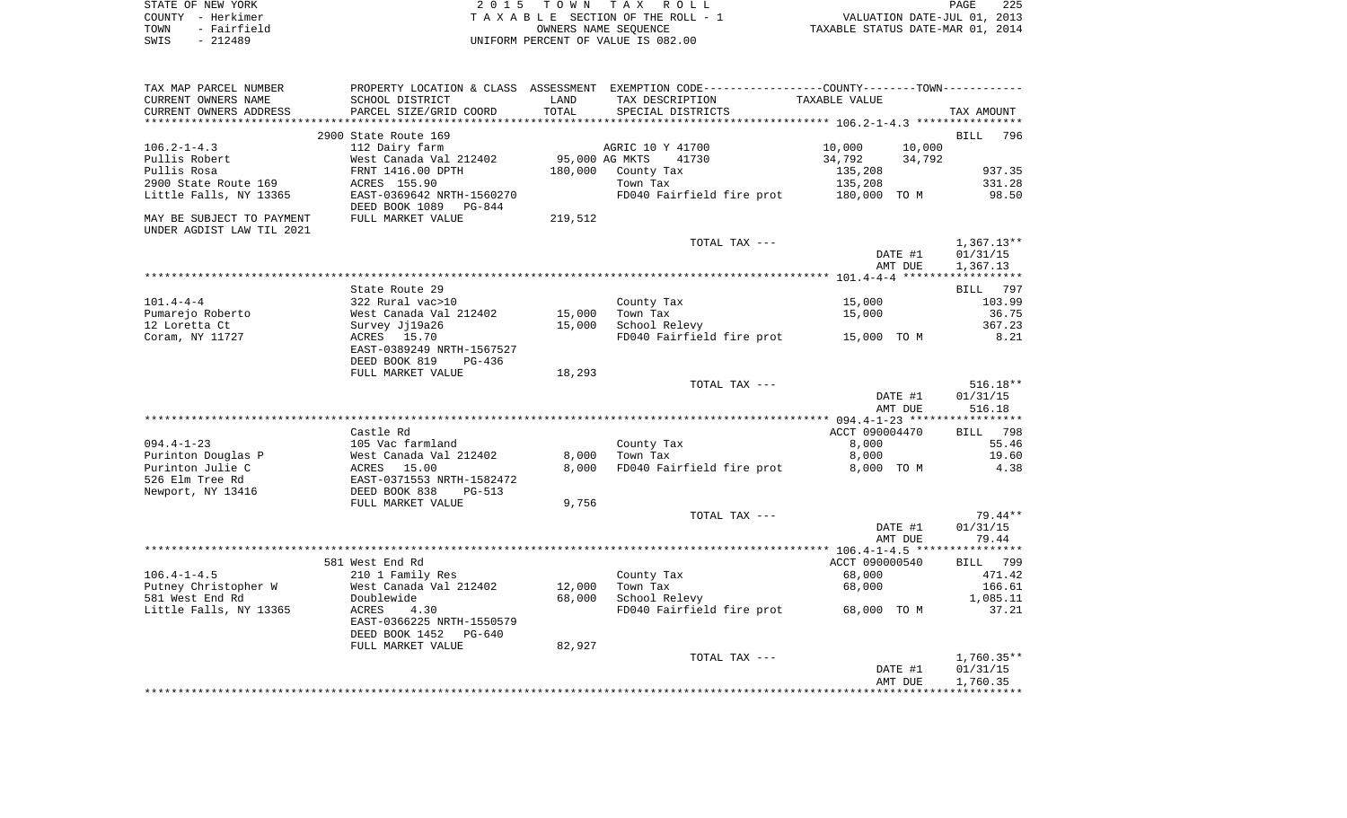| STATE OF NEW YORK   | 2015 TOWN TAX ROLL                 | 225<br>PAGE                      |
|---------------------|------------------------------------|----------------------------------|
| COUNTY - Herkimer   | TAXABLE SECTION OF THE ROLL - 1    | VALUATION DATE-JUL 01, 2013      |
| - Fairfield<br>TOWN | OWNERS NAME SEOUENCE               | TAXABLE STATUS DATE-MAR 01, 2014 |
| SWIS - 212489       | UNIFORM PERCENT OF VALUE IS 082.00 |                                  |

| TAX MAP PARCEL NUMBER     |                           |                | PROPERTY LOCATION & CLASS ASSESSMENT EXEMPTION CODE----------------COUNTY-------TOWN---------- | TAXABLE VALUE    |                    |
|---------------------------|---------------------------|----------------|------------------------------------------------------------------------------------------------|------------------|--------------------|
| CURRENT OWNERS NAME       | SCHOOL DISTRICT           | LAND<br>TOTAL  | TAX DESCRIPTION                                                                                |                  |                    |
| CURRENT OWNERS ADDRESS    | PARCEL SIZE/GRID COORD    |                | SPECIAL DISTRICTS                                                                              |                  | TAX AMOUNT         |
|                           |                           |                |                                                                                                |                  |                    |
|                           | 2900 State Route 169      |                |                                                                                                |                  | <b>BILL</b><br>796 |
| $106.2 - 1 - 4.3$         | 112 Dairy farm            |                | AGRIC 10 Y 41700                                                                               | 10,000<br>10,000 |                    |
| Pullis Robert             | West Canada Val 212402    | 95,000 AG MKTS | 41730                                                                                          | 34,792<br>34,792 |                    |
| Pullis Rosa               | FRNT 1416.00 DPTH         | 180,000        | County Tax                                                                                     | 135,208          | 937.35             |
| 2900 State Route 169      | ACRES 155.90              |                | Town Tax                                                                                       | 135,208          | 331.28             |
| Little Falls, NY 13365    | EAST-0369642 NRTH-1560270 |                | FD040 Fairfield fire prot                                                                      | 180,000 TO M     | 98.50              |
|                           | DEED BOOK 1089<br>PG-844  |                |                                                                                                |                  |                    |
| MAY BE SUBJECT TO PAYMENT | FULL MARKET VALUE         | 219,512        |                                                                                                |                  |                    |
| UNDER AGDIST LAW TIL 2021 |                           |                |                                                                                                |                  |                    |
|                           |                           |                | TOTAL TAX ---                                                                                  |                  | $1,367.13**$       |
|                           |                           |                |                                                                                                | DATE #1          | 01/31/15           |
|                           |                           |                |                                                                                                | AMT DUE          | 1,367.13           |
|                           |                           |                |                                                                                                |                  |                    |
|                           |                           |                |                                                                                                |                  |                    |
|                           | State Route 29            |                |                                                                                                |                  | 797<br>BILL        |
| $101.4 - 4 - 4$           | 322 Rural vac>10          |                | County Tax                                                                                     | 15,000           | 103.99             |
| Pumarejo Roberto          | West Canada Val 212402    | 15,000         | Town Tax                                                                                       | 15,000           | 36.75              |
| 12 Loretta Ct             | Survey Jj19a26            | 15,000         | School Relevy                                                                                  |                  | 367.23             |
| Coram, NY 11727           | ACRES 15.70               |                | FD040 Fairfield fire prot 15,000 TO M                                                          |                  | 8.21               |
|                           | EAST-0389249 NRTH-1567527 |                |                                                                                                |                  |                    |
|                           | DEED BOOK 819<br>PG-436   |                |                                                                                                |                  |                    |
|                           | FULL MARKET VALUE         | 18,293         |                                                                                                |                  |                    |
|                           |                           |                | TOTAL TAX ---                                                                                  |                  | $516.18**$         |
|                           |                           |                |                                                                                                | DATE #1          | 01/31/15           |
|                           |                           |                |                                                                                                | AMT DUE          | 516.18             |
|                           |                           |                |                                                                                                |                  |                    |
|                           | Castle Rd                 |                |                                                                                                | ACCT 090004470   | BILL 798           |
| $094.4 - 1 - 23$          |                           |                |                                                                                                |                  |                    |
|                           | 105 Vac farmland          |                | County Tax                                                                                     | 8,000            | 55.46              |
| Purinton Douglas P        | West Canada Val 212402    | 8,000          | Town Tax                                                                                       | 8,000            | 19.60              |
| Purinton Julie C          | 15.00<br>ACRES            | 8,000          | FD040 Fairfield fire prot                                                                      | 8,000 TO M       | 4.38               |
| 526 Elm Tree Rd           | EAST-0371553 NRTH-1582472 |                |                                                                                                |                  |                    |
| Newport, NY 13416         | DEED BOOK 838<br>$PG-513$ |                |                                                                                                |                  |                    |
|                           | FULL MARKET VALUE         | 9,756          |                                                                                                |                  |                    |
|                           |                           |                | TOTAL TAX ---                                                                                  |                  | 79.44**            |
|                           |                           |                |                                                                                                | DATE #1          | 01/31/15           |
|                           |                           |                |                                                                                                | AMT DUE          | 79.44              |
|                           |                           |                |                                                                                                |                  |                    |
|                           | 581 West End Rd           |                |                                                                                                | ACCT 090000540   | BILL 799           |
| $106.4 - 1 - 4.5$         | 210 1 Family Res          |                | County Tax                                                                                     | 68,000           | 471.42             |
| Putney Christopher W      | West Canada Val 212402    | 12,000         | Town Tax                                                                                       | 68,000           | 166.61             |
| 581 West End Rd           |                           |                |                                                                                                |                  |                    |
|                           | Doublewide                | 68,000         | School Relevy                                                                                  |                  | 1,085.11           |
| Little Falls, NY 13365    | ACRES<br>4.30             |                | FD040 Fairfield fire prot 68,000 TO M                                                          |                  | 37.21              |
|                           | EAST-0366225 NRTH-1550579 |                |                                                                                                |                  |                    |
|                           | DEED BOOK 1452<br>PG-640  |                |                                                                                                |                  |                    |
|                           | FULL MARKET VALUE         | 82,927         |                                                                                                |                  |                    |
|                           |                           |                | TOTAL TAX ---                                                                                  |                  | $1,760.35**$       |
|                           |                           |                |                                                                                                | DATE #1          | 01/31/15           |
|                           |                           |                |                                                                                                | AMT DUE          | 1,760.35           |
|                           |                           |                |                                                                                                |                  |                    |
|                           |                           |                |                                                                                                |                  |                    |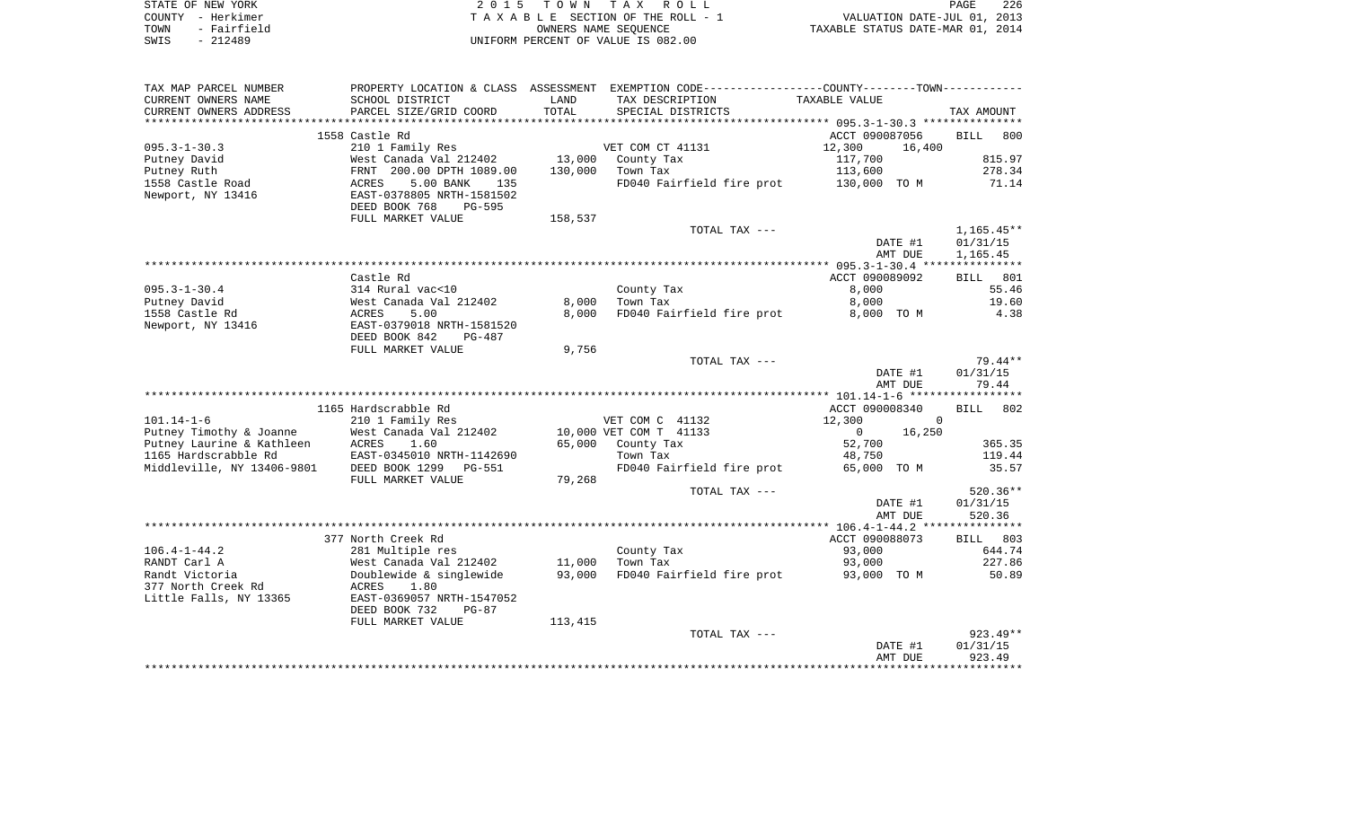| STATE OF NEW YORK   | 2015 TOWN TAX ROLL                 | 226<br><b>PAGE</b>               |
|---------------------|------------------------------------|----------------------------------|
| COUNTY - Herkimer   | TAXABLE SECTION OF THE ROLL - 1    | VALUATION DATE-JUL 01, 2013      |
| - Fairfield<br>TOWN | OWNERS NAME SEOUENCE               | TAXABLE STATUS DATE-MAR 01, 2014 |
| - 212489<br>SWIS    | UNIFORM PERCENT OF VALUE IS 082.00 |                                  |

| TAX MAP PARCEL NUMBER      | PROPERTY LOCATION & CLASS        | ASSESSMENT | EXEMPTION CODE-----------------COUNTY--------TOWN----------- |                        |                    |
|----------------------------|----------------------------------|------------|--------------------------------------------------------------|------------------------|--------------------|
| CURRENT OWNERS NAME        | SCHOOL DISTRICT                  | LAND       | TAX DESCRIPTION                                              | TAXABLE VALUE          |                    |
| CURRENT OWNERS ADDRESS     | PARCEL SIZE/GRID COORD           | TOTAL      | SPECIAL DISTRICTS                                            |                        | TAX AMOUNT         |
| *******************        | *************************        |            |                                                              |                        |                    |
|                            | 1558 Castle Rd                   |            |                                                              | ACCT 090087056         | <b>BILL</b><br>800 |
| $095.3 - 1 - 30.3$         | 210 1 Family Res                 |            | VET COM CT 41131                                             | 12,300<br>16,400       |                    |
| Putney David               | West Canada Val 212402           | 13,000     | County Tax                                                   | 117,700                | 815.97             |
| Putney Ruth                | FRNT 200.00 DPTH 1089.00         | 130,000    | Town Tax                                                     | 113,600                | 278.34             |
| 1558 Castle Road           | <b>ACRES</b><br>5.00 BANK<br>135 |            | FD040 Fairfield fire prot                                    | 130,000 TO M           | 71.14              |
| Newport, NY 13416          | EAST-0378805 NRTH-1581502        |            |                                                              |                        |                    |
|                            | DEED BOOK 768<br><b>PG-595</b>   |            |                                                              |                        |                    |
|                            | FULL MARKET VALUE                | 158,537    |                                                              |                        |                    |
|                            |                                  |            | TOTAL TAX ---                                                |                        | $1,165.45**$       |
|                            |                                  |            |                                                              | DATE #1                | 01/31/15           |
|                            |                                  |            |                                                              | AMT DUE                | 1,165.45           |
|                            |                                  |            |                                                              |                        |                    |
|                            | Castle Rd                        |            |                                                              | ACCT 090089092         | 801<br>BILL        |
| $095.3 - 1 - 30.4$         | 314 Rural vac<10                 |            | County Tax                                                   | 8,000                  | 55.46              |
| Putney David               | West Canada Val 212402           | 8,000      | Town Tax                                                     | 8,000                  | 19.60              |
| 1558 Castle Rd             | ACRES<br>5.00                    | 8,000      | FD040 Fairfield fire prot                                    | 8,000 TO M             | 4.38               |
| Newport, NY 13416          | EAST-0379018 NRTH-1581520        |            |                                                              |                        |                    |
|                            | DEED BOOK 842<br>PG-487          |            |                                                              |                        |                    |
|                            | FULL MARKET VALUE                | 9,756      |                                                              |                        | $79.44**$          |
|                            |                                  |            | TOTAL TAX ---                                                | DATE #1                | 01/31/15           |
|                            |                                  |            |                                                              | AMT DUE                | 79.44              |
|                            |                                  |            |                                                              |                        |                    |
|                            | 1165 Hardscrabble Rd             |            |                                                              | ACCT 090008340         | BILL<br>802        |
| $101.14 - 1 - 6$           | 210 1 Family Res                 |            | VET COM C 41132                                              | 12,300<br>$\Omega$     |                    |
| Putney Timothy & Joanne    | West Canada Val 212402           |            | 10,000 VET COM T 41133                                       | 16,250<br>$\mathbf{0}$ |                    |
| Putney Laurine & Kathleen  | ACRES<br>1.60                    | 65,000     | County Tax                                                   | 52,700                 | 365.35             |
| 1165 Hardscrabble Rd       | EAST-0345010 NRTH-1142690        |            | Town Tax                                                     | 48,750                 | 119.44             |
| Middleville, NY 13406-9801 | DEED BOOK 1299<br><b>PG-551</b>  |            | FD040 Fairfield fire prot                                    | 65,000 TO M            | 35.57              |
|                            | FULL MARKET VALUE                | 79,268     |                                                              |                        |                    |
|                            |                                  |            | TOTAL TAX ---                                                |                        | 520.36**           |
|                            |                                  |            |                                                              | DATE #1                | 01/31/15           |
|                            |                                  |            |                                                              | AMT DUE                | 520.36             |
|                            |                                  |            |                                                              |                        |                    |
|                            | 377 North Creek Rd               |            |                                                              | ACCT 090088073         | BILL 803           |
| $106.4 - 1 - 44.2$         | 281 Multiple res                 |            | County Tax                                                   | 93,000                 | 644.74             |
| RANDT Carl A               | West Canada Val 212402           | 11,000     | Town Tax                                                     | 93,000                 | 227.86             |
| Randt Victoria             | Doublewide & singlewide          | 93,000     | FD040 Fairfield fire prot                                    | 93,000 TO M            | 50.89              |
| 377 North Creek Rd         | 1.80<br>ACRES                    |            |                                                              |                        |                    |
| Little Falls, NY 13365     | EAST-0369057 NRTH-1547052        |            |                                                              |                        |                    |
|                            | DEED BOOK 732<br>$PG-87$         |            |                                                              |                        |                    |
|                            | FULL MARKET VALUE                | 113,415    |                                                              |                        |                    |
|                            |                                  |            | TOTAL TAX ---                                                |                        | $923.49**$         |
|                            |                                  |            |                                                              | DATE #1                | 01/31/15           |
|                            |                                  |            |                                                              | AMT DUE                | 923.49             |
|                            |                                  |            |                                                              |                        |                    |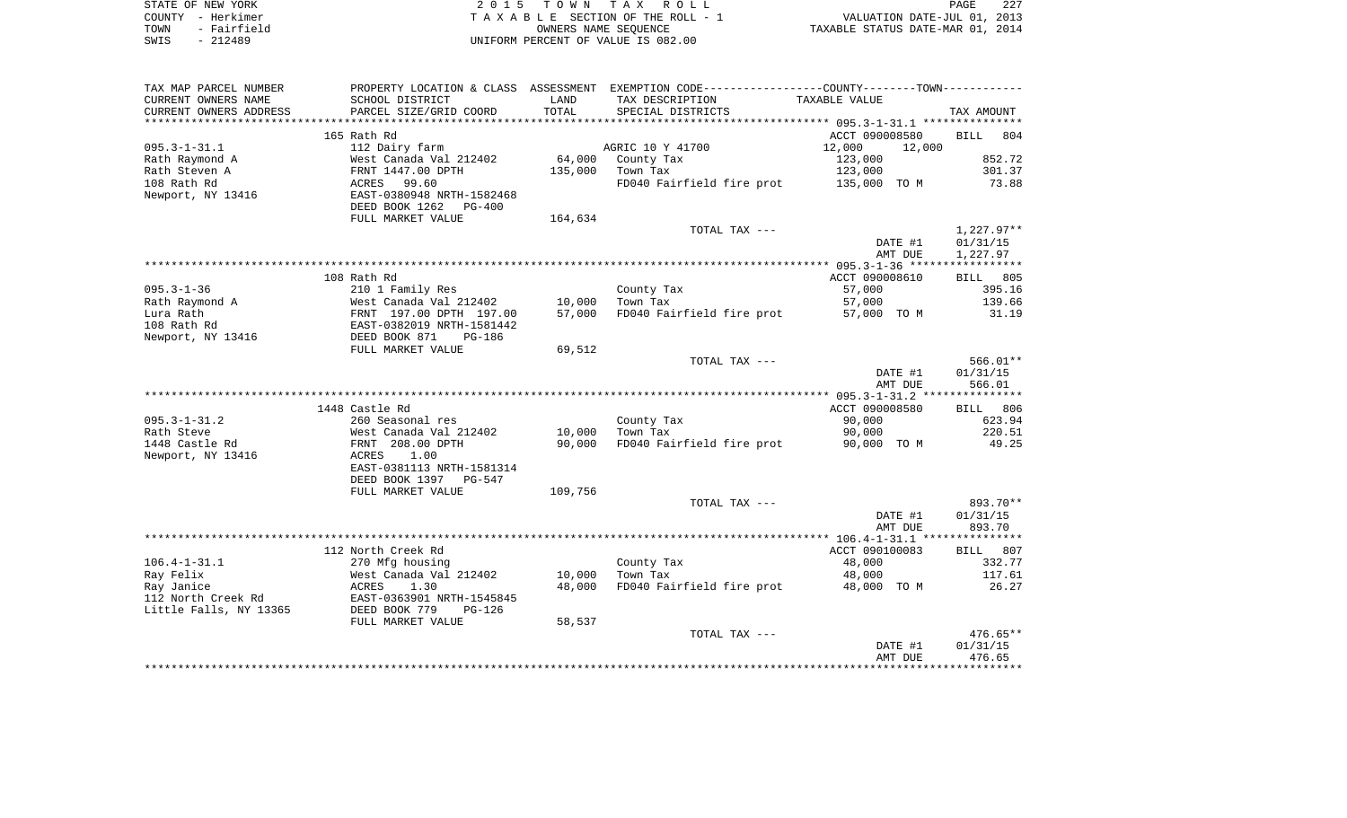| STATE OF NEW YORK   | 2015 TOWN TAX ROLL                 | 227<br><b>PAGE</b>               |
|---------------------|------------------------------------|----------------------------------|
| COUNTY - Herkimer   | TAXABLE SECTION OF THE ROLL - 1    | VALUATION DATE-JUL 01, 2013      |
| - Fairfield<br>TOWN | OWNERS NAME SEOUENCE               | TAXABLE STATUS DATE-MAR 01, 2014 |
| SWIS<br>- 212489    | UNIFORM PERCENT OF VALUE IS 082.00 |                                  |

| CURRENT OWNERS NAME<br>SCHOOL DISTRICT<br>LAND<br>TAX DESCRIPTION<br>TAXABLE VALUE<br>TOTAL<br>PARCEL SIZE/GRID COORD<br>CURRENT OWNERS ADDRESS<br>SPECIAL DISTRICTS<br>TAX AMOUNT<br>165 Rath Rd<br>ACCT 090008580<br>804<br><b>BILL</b><br>$095.3 - 1 - 31.1$<br>AGRIC 10 Y 41700<br>112 Dairy farm<br>12,000<br>12,000<br>852.72<br>West Canada Val 212402<br>64,000<br>County Tax<br>123,000<br>301.37<br>Rath Steven A<br>FRNT 1447.00 DPTH<br>135,000<br>Town Tax<br>123,000<br>99.60<br>73.88<br>FD040 Fairfield fire prot<br>135,000 TO M<br>ACRES<br>EAST-0380948 NRTH-1582468<br>DEED BOOK 1262<br>PG-400<br>FULL MARKET VALUE<br>164,634<br>$1,227.97**$<br>TOTAL TAX ---<br>DATE #1<br>01/31/15<br>1,227.97<br>AMT DUE<br>108 Rath Rd<br>ACCT 090008610<br>BILL 805<br>$095.3 - 1 - 36$<br>210 1 Family Res<br>County Tax<br>395.16<br>57,000<br>139.66<br>Rath Raymond A<br>West Canada Val 212402<br>10,000<br>Town Tax<br>57,000<br>Lura Rath<br>FRNT 197.00 DPTH 197.00<br>57,000<br>FD040 Fairfield fire prot<br>31.19<br>57,000 TO M<br>108 Rath Rd<br>EAST-0382019 NRTH-1581442<br>Newport, NY 13416<br>DEED BOOK 871<br>PG-186<br>FULL MARKET VALUE<br>69,512<br>$566.01**$<br>TOTAL TAX ---<br>01/31/15<br>DATE #1<br>566.01<br>AMT DUE<br>1448 Castle Rd<br>ACCT 090008580<br>806<br>BILL<br>$095.3 - 1 - 31.2$<br>260 Seasonal res<br>County Tax<br>90,000<br>623.94<br>220.51<br>Rath Steve<br>West Canada Val 212402<br>10,000<br>Town Tax<br>90,000<br>1448 Castle Rd<br>49.25<br>FRNT 208.00 DPTH<br>90,000<br>FD040 Fairfield fire prot<br>90,000 TO M<br>Newport, NY 13416<br>ACRES<br>1.00<br>EAST-0381113 NRTH-1581314<br>DEED BOOK 1397<br>PG-547<br>FULL MARKET VALUE<br>109,756<br>893.70**<br>TOTAL TAX ---<br>DATE #1<br>01/31/15<br>AMT DUE<br>893.70<br>112 North Creek Rd<br>ACCT 090100083<br>807<br><b>BILL</b><br>$106.4 - 1 - 31.1$<br>48,000<br>332.77<br>270 Mfg housing<br>County Tax<br>Ray Felix<br>West Canada Val 212402<br>10,000<br>Town Tax<br>48,000<br>117.61<br>Ray Janice<br>ACRES<br>1.30<br>48,000<br>FD040 Fairfield fire prot<br>48,000 TO M<br>26.27<br>112 North Creek Rd<br>EAST-0363901 NRTH-1545845<br>Little Falls, NY 13365<br>DEED BOOK 779<br>$PG-126$<br>FULL MARKET VALUE<br>58,537<br>$476.65**$<br>TOTAL TAX ---<br>DATE #1<br>01/31/15<br>AMT DUE<br>476.65 | TAX MAP PARCEL NUMBER |  | PROPERTY LOCATION & CLASS ASSESSMENT EXEMPTION CODE----------------COUNTY-------TOWN---------- |  |
|----------------------------------------------------------------------------------------------------------------------------------------------------------------------------------------------------------------------------------------------------------------------------------------------------------------------------------------------------------------------------------------------------------------------------------------------------------------------------------------------------------------------------------------------------------------------------------------------------------------------------------------------------------------------------------------------------------------------------------------------------------------------------------------------------------------------------------------------------------------------------------------------------------------------------------------------------------------------------------------------------------------------------------------------------------------------------------------------------------------------------------------------------------------------------------------------------------------------------------------------------------------------------------------------------------------------------------------------------------------------------------------------------------------------------------------------------------------------------------------------------------------------------------------------------------------------------------------------------------------------------------------------------------------------------------------------------------------------------------------------------------------------------------------------------------------------------------------------------------------------------------------------------------------------------------------------------------------------------------------------------------------------------------------------------------------------------------------------------------------------------------------------------------------------------------------------------------------------------------------------------------------------------------------------------------------------------------------|-----------------------|--|------------------------------------------------------------------------------------------------|--|
|                                                                                                                                                                                                                                                                                                                                                                                                                                                                                                                                                                                                                                                                                                                                                                                                                                                                                                                                                                                                                                                                                                                                                                                                                                                                                                                                                                                                                                                                                                                                                                                                                                                                                                                                                                                                                                                                                                                                                                                                                                                                                                                                                                                                                                                                                                                                        |                       |  |                                                                                                |  |
|                                                                                                                                                                                                                                                                                                                                                                                                                                                                                                                                                                                                                                                                                                                                                                                                                                                                                                                                                                                                                                                                                                                                                                                                                                                                                                                                                                                                                                                                                                                                                                                                                                                                                                                                                                                                                                                                                                                                                                                                                                                                                                                                                                                                                                                                                                                                        |                       |  |                                                                                                |  |
|                                                                                                                                                                                                                                                                                                                                                                                                                                                                                                                                                                                                                                                                                                                                                                                                                                                                                                                                                                                                                                                                                                                                                                                                                                                                                                                                                                                                                                                                                                                                                                                                                                                                                                                                                                                                                                                                                                                                                                                                                                                                                                                                                                                                                                                                                                                                        |                       |  |                                                                                                |  |
|                                                                                                                                                                                                                                                                                                                                                                                                                                                                                                                                                                                                                                                                                                                                                                                                                                                                                                                                                                                                                                                                                                                                                                                                                                                                                                                                                                                                                                                                                                                                                                                                                                                                                                                                                                                                                                                                                                                                                                                                                                                                                                                                                                                                                                                                                                                                        |                       |  |                                                                                                |  |
|                                                                                                                                                                                                                                                                                                                                                                                                                                                                                                                                                                                                                                                                                                                                                                                                                                                                                                                                                                                                                                                                                                                                                                                                                                                                                                                                                                                                                                                                                                                                                                                                                                                                                                                                                                                                                                                                                                                                                                                                                                                                                                                                                                                                                                                                                                                                        |                       |  |                                                                                                |  |
|                                                                                                                                                                                                                                                                                                                                                                                                                                                                                                                                                                                                                                                                                                                                                                                                                                                                                                                                                                                                                                                                                                                                                                                                                                                                                                                                                                                                                                                                                                                                                                                                                                                                                                                                                                                                                                                                                                                                                                                                                                                                                                                                                                                                                                                                                                                                        | Rath Raymond A        |  |                                                                                                |  |
|                                                                                                                                                                                                                                                                                                                                                                                                                                                                                                                                                                                                                                                                                                                                                                                                                                                                                                                                                                                                                                                                                                                                                                                                                                                                                                                                                                                                                                                                                                                                                                                                                                                                                                                                                                                                                                                                                                                                                                                                                                                                                                                                                                                                                                                                                                                                        |                       |  |                                                                                                |  |
|                                                                                                                                                                                                                                                                                                                                                                                                                                                                                                                                                                                                                                                                                                                                                                                                                                                                                                                                                                                                                                                                                                                                                                                                                                                                                                                                                                                                                                                                                                                                                                                                                                                                                                                                                                                                                                                                                                                                                                                                                                                                                                                                                                                                                                                                                                                                        | 108 Rath Rd           |  |                                                                                                |  |
|                                                                                                                                                                                                                                                                                                                                                                                                                                                                                                                                                                                                                                                                                                                                                                                                                                                                                                                                                                                                                                                                                                                                                                                                                                                                                                                                                                                                                                                                                                                                                                                                                                                                                                                                                                                                                                                                                                                                                                                                                                                                                                                                                                                                                                                                                                                                        | Newport, NY 13416     |  |                                                                                                |  |
|                                                                                                                                                                                                                                                                                                                                                                                                                                                                                                                                                                                                                                                                                                                                                                                                                                                                                                                                                                                                                                                                                                                                                                                                                                                                                                                                                                                                                                                                                                                                                                                                                                                                                                                                                                                                                                                                                                                                                                                                                                                                                                                                                                                                                                                                                                                                        |                       |  |                                                                                                |  |
|                                                                                                                                                                                                                                                                                                                                                                                                                                                                                                                                                                                                                                                                                                                                                                                                                                                                                                                                                                                                                                                                                                                                                                                                                                                                                                                                                                                                                                                                                                                                                                                                                                                                                                                                                                                                                                                                                                                                                                                                                                                                                                                                                                                                                                                                                                                                        |                       |  |                                                                                                |  |
|                                                                                                                                                                                                                                                                                                                                                                                                                                                                                                                                                                                                                                                                                                                                                                                                                                                                                                                                                                                                                                                                                                                                                                                                                                                                                                                                                                                                                                                                                                                                                                                                                                                                                                                                                                                                                                                                                                                                                                                                                                                                                                                                                                                                                                                                                                                                        |                       |  |                                                                                                |  |
|                                                                                                                                                                                                                                                                                                                                                                                                                                                                                                                                                                                                                                                                                                                                                                                                                                                                                                                                                                                                                                                                                                                                                                                                                                                                                                                                                                                                                                                                                                                                                                                                                                                                                                                                                                                                                                                                                                                                                                                                                                                                                                                                                                                                                                                                                                                                        |                       |  |                                                                                                |  |
|                                                                                                                                                                                                                                                                                                                                                                                                                                                                                                                                                                                                                                                                                                                                                                                                                                                                                                                                                                                                                                                                                                                                                                                                                                                                                                                                                                                                                                                                                                                                                                                                                                                                                                                                                                                                                                                                                                                                                                                                                                                                                                                                                                                                                                                                                                                                        |                       |  |                                                                                                |  |
|                                                                                                                                                                                                                                                                                                                                                                                                                                                                                                                                                                                                                                                                                                                                                                                                                                                                                                                                                                                                                                                                                                                                                                                                                                                                                                                                                                                                                                                                                                                                                                                                                                                                                                                                                                                                                                                                                                                                                                                                                                                                                                                                                                                                                                                                                                                                        |                       |  |                                                                                                |  |
|                                                                                                                                                                                                                                                                                                                                                                                                                                                                                                                                                                                                                                                                                                                                                                                                                                                                                                                                                                                                                                                                                                                                                                                                                                                                                                                                                                                                                                                                                                                                                                                                                                                                                                                                                                                                                                                                                                                                                                                                                                                                                                                                                                                                                                                                                                                                        |                       |  |                                                                                                |  |
|                                                                                                                                                                                                                                                                                                                                                                                                                                                                                                                                                                                                                                                                                                                                                                                                                                                                                                                                                                                                                                                                                                                                                                                                                                                                                                                                                                                                                                                                                                                                                                                                                                                                                                                                                                                                                                                                                                                                                                                                                                                                                                                                                                                                                                                                                                                                        |                       |  |                                                                                                |  |
|                                                                                                                                                                                                                                                                                                                                                                                                                                                                                                                                                                                                                                                                                                                                                                                                                                                                                                                                                                                                                                                                                                                                                                                                                                                                                                                                                                                                                                                                                                                                                                                                                                                                                                                                                                                                                                                                                                                                                                                                                                                                                                                                                                                                                                                                                                                                        |                       |  |                                                                                                |  |
|                                                                                                                                                                                                                                                                                                                                                                                                                                                                                                                                                                                                                                                                                                                                                                                                                                                                                                                                                                                                                                                                                                                                                                                                                                                                                                                                                                                                                                                                                                                                                                                                                                                                                                                                                                                                                                                                                                                                                                                                                                                                                                                                                                                                                                                                                                                                        |                       |  |                                                                                                |  |
|                                                                                                                                                                                                                                                                                                                                                                                                                                                                                                                                                                                                                                                                                                                                                                                                                                                                                                                                                                                                                                                                                                                                                                                                                                                                                                                                                                                                                                                                                                                                                                                                                                                                                                                                                                                                                                                                                                                                                                                                                                                                                                                                                                                                                                                                                                                                        |                       |  |                                                                                                |  |
|                                                                                                                                                                                                                                                                                                                                                                                                                                                                                                                                                                                                                                                                                                                                                                                                                                                                                                                                                                                                                                                                                                                                                                                                                                                                                                                                                                                                                                                                                                                                                                                                                                                                                                                                                                                                                                                                                                                                                                                                                                                                                                                                                                                                                                                                                                                                        |                       |  |                                                                                                |  |
|                                                                                                                                                                                                                                                                                                                                                                                                                                                                                                                                                                                                                                                                                                                                                                                                                                                                                                                                                                                                                                                                                                                                                                                                                                                                                                                                                                                                                                                                                                                                                                                                                                                                                                                                                                                                                                                                                                                                                                                                                                                                                                                                                                                                                                                                                                                                        |                       |  |                                                                                                |  |
|                                                                                                                                                                                                                                                                                                                                                                                                                                                                                                                                                                                                                                                                                                                                                                                                                                                                                                                                                                                                                                                                                                                                                                                                                                                                                                                                                                                                                                                                                                                                                                                                                                                                                                                                                                                                                                                                                                                                                                                                                                                                                                                                                                                                                                                                                                                                        |                       |  |                                                                                                |  |
|                                                                                                                                                                                                                                                                                                                                                                                                                                                                                                                                                                                                                                                                                                                                                                                                                                                                                                                                                                                                                                                                                                                                                                                                                                                                                                                                                                                                                                                                                                                                                                                                                                                                                                                                                                                                                                                                                                                                                                                                                                                                                                                                                                                                                                                                                                                                        |                       |  |                                                                                                |  |
|                                                                                                                                                                                                                                                                                                                                                                                                                                                                                                                                                                                                                                                                                                                                                                                                                                                                                                                                                                                                                                                                                                                                                                                                                                                                                                                                                                                                                                                                                                                                                                                                                                                                                                                                                                                                                                                                                                                                                                                                                                                                                                                                                                                                                                                                                                                                        |                       |  |                                                                                                |  |
|                                                                                                                                                                                                                                                                                                                                                                                                                                                                                                                                                                                                                                                                                                                                                                                                                                                                                                                                                                                                                                                                                                                                                                                                                                                                                                                                                                                                                                                                                                                                                                                                                                                                                                                                                                                                                                                                                                                                                                                                                                                                                                                                                                                                                                                                                                                                        |                       |  |                                                                                                |  |
|                                                                                                                                                                                                                                                                                                                                                                                                                                                                                                                                                                                                                                                                                                                                                                                                                                                                                                                                                                                                                                                                                                                                                                                                                                                                                                                                                                                                                                                                                                                                                                                                                                                                                                                                                                                                                                                                                                                                                                                                                                                                                                                                                                                                                                                                                                                                        |                       |  |                                                                                                |  |
|                                                                                                                                                                                                                                                                                                                                                                                                                                                                                                                                                                                                                                                                                                                                                                                                                                                                                                                                                                                                                                                                                                                                                                                                                                                                                                                                                                                                                                                                                                                                                                                                                                                                                                                                                                                                                                                                                                                                                                                                                                                                                                                                                                                                                                                                                                                                        |                       |  |                                                                                                |  |
|                                                                                                                                                                                                                                                                                                                                                                                                                                                                                                                                                                                                                                                                                                                                                                                                                                                                                                                                                                                                                                                                                                                                                                                                                                                                                                                                                                                                                                                                                                                                                                                                                                                                                                                                                                                                                                                                                                                                                                                                                                                                                                                                                                                                                                                                                                                                        |                       |  |                                                                                                |  |
|                                                                                                                                                                                                                                                                                                                                                                                                                                                                                                                                                                                                                                                                                                                                                                                                                                                                                                                                                                                                                                                                                                                                                                                                                                                                                                                                                                                                                                                                                                                                                                                                                                                                                                                                                                                                                                                                                                                                                                                                                                                                                                                                                                                                                                                                                                                                        |                       |  |                                                                                                |  |
|                                                                                                                                                                                                                                                                                                                                                                                                                                                                                                                                                                                                                                                                                                                                                                                                                                                                                                                                                                                                                                                                                                                                                                                                                                                                                                                                                                                                                                                                                                                                                                                                                                                                                                                                                                                                                                                                                                                                                                                                                                                                                                                                                                                                                                                                                                                                        |                       |  |                                                                                                |  |
|                                                                                                                                                                                                                                                                                                                                                                                                                                                                                                                                                                                                                                                                                                                                                                                                                                                                                                                                                                                                                                                                                                                                                                                                                                                                                                                                                                                                                                                                                                                                                                                                                                                                                                                                                                                                                                                                                                                                                                                                                                                                                                                                                                                                                                                                                                                                        |                       |  |                                                                                                |  |
|                                                                                                                                                                                                                                                                                                                                                                                                                                                                                                                                                                                                                                                                                                                                                                                                                                                                                                                                                                                                                                                                                                                                                                                                                                                                                                                                                                                                                                                                                                                                                                                                                                                                                                                                                                                                                                                                                                                                                                                                                                                                                                                                                                                                                                                                                                                                        |                       |  |                                                                                                |  |
|                                                                                                                                                                                                                                                                                                                                                                                                                                                                                                                                                                                                                                                                                                                                                                                                                                                                                                                                                                                                                                                                                                                                                                                                                                                                                                                                                                                                                                                                                                                                                                                                                                                                                                                                                                                                                                                                                                                                                                                                                                                                                                                                                                                                                                                                                                                                        |                       |  |                                                                                                |  |
|                                                                                                                                                                                                                                                                                                                                                                                                                                                                                                                                                                                                                                                                                                                                                                                                                                                                                                                                                                                                                                                                                                                                                                                                                                                                                                                                                                                                                                                                                                                                                                                                                                                                                                                                                                                                                                                                                                                                                                                                                                                                                                                                                                                                                                                                                                                                        |                       |  |                                                                                                |  |
|                                                                                                                                                                                                                                                                                                                                                                                                                                                                                                                                                                                                                                                                                                                                                                                                                                                                                                                                                                                                                                                                                                                                                                                                                                                                                                                                                                                                                                                                                                                                                                                                                                                                                                                                                                                                                                                                                                                                                                                                                                                                                                                                                                                                                                                                                                                                        |                       |  |                                                                                                |  |
|                                                                                                                                                                                                                                                                                                                                                                                                                                                                                                                                                                                                                                                                                                                                                                                                                                                                                                                                                                                                                                                                                                                                                                                                                                                                                                                                                                                                                                                                                                                                                                                                                                                                                                                                                                                                                                                                                                                                                                                                                                                                                                                                                                                                                                                                                                                                        |                       |  |                                                                                                |  |
|                                                                                                                                                                                                                                                                                                                                                                                                                                                                                                                                                                                                                                                                                                                                                                                                                                                                                                                                                                                                                                                                                                                                                                                                                                                                                                                                                                                                                                                                                                                                                                                                                                                                                                                                                                                                                                                                                                                                                                                                                                                                                                                                                                                                                                                                                                                                        |                       |  |                                                                                                |  |
|                                                                                                                                                                                                                                                                                                                                                                                                                                                                                                                                                                                                                                                                                                                                                                                                                                                                                                                                                                                                                                                                                                                                                                                                                                                                                                                                                                                                                                                                                                                                                                                                                                                                                                                                                                                                                                                                                                                                                                                                                                                                                                                                                                                                                                                                                                                                        |                       |  |                                                                                                |  |
|                                                                                                                                                                                                                                                                                                                                                                                                                                                                                                                                                                                                                                                                                                                                                                                                                                                                                                                                                                                                                                                                                                                                                                                                                                                                                                                                                                                                                                                                                                                                                                                                                                                                                                                                                                                                                                                                                                                                                                                                                                                                                                                                                                                                                                                                                                                                        |                       |  |                                                                                                |  |
|                                                                                                                                                                                                                                                                                                                                                                                                                                                                                                                                                                                                                                                                                                                                                                                                                                                                                                                                                                                                                                                                                                                                                                                                                                                                                                                                                                                                                                                                                                                                                                                                                                                                                                                                                                                                                                                                                                                                                                                                                                                                                                                                                                                                                                                                                                                                        |                       |  |                                                                                                |  |
|                                                                                                                                                                                                                                                                                                                                                                                                                                                                                                                                                                                                                                                                                                                                                                                                                                                                                                                                                                                                                                                                                                                                                                                                                                                                                                                                                                                                                                                                                                                                                                                                                                                                                                                                                                                                                                                                                                                                                                                                                                                                                                                                                                                                                                                                                                                                        |                       |  |                                                                                                |  |
|                                                                                                                                                                                                                                                                                                                                                                                                                                                                                                                                                                                                                                                                                                                                                                                                                                                                                                                                                                                                                                                                                                                                                                                                                                                                                                                                                                                                                                                                                                                                                                                                                                                                                                                                                                                                                                                                                                                                                                                                                                                                                                                                                                                                                                                                                                                                        |                       |  |                                                                                                |  |
|                                                                                                                                                                                                                                                                                                                                                                                                                                                                                                                                                                                                                                                                                                                                                                                                                                                                                                                                                                                                                                                                                                                                                                                                                                                                                                                                                                                                                                                                                                                                                                                                                                                                                                                                                                                                                                                                                                                                                                                                                                                                                                                                                                                                                                                                                                                                        |                       |  |                                                                                                |  |
|                                                                                                                                                                                                                                                                                                                                                                                                                                                                                                                                                                                                                                                                                                                                                                                                                                                                                                                                                                                                                                                                                                                                                                                                                                                                                                                                                                                                                                                                                                                                                                                                                                                                                                                                                                                                                                                                                                                                                                                                                                                                                                                                                                                                                                                                                                                                        |                       |  |                                                                                                |  |
|                                                                                                                                                                                                                                                                                                                                                                                                                                                                                                                                                                                                                                                                                                                                                                                                                                                                                                                                                                                                                                                                                                                                                                                                                                                                                                                                                                                                                                                                                                                                                                                                                                                                                                                                                                                                                                                                                                                                                                                                                                                                                                                                                                                                                                                                                                                                        |                       |  |                                                                                                |  |
|                                                                                                                                                                                                                                                                                                                                                                                                                                                                                                                                                                                                                                                                                                                                                                                                                                                                                                                                                                                                                                                                                                                                                                                                                                                                                                                                                                                                                                                                                                                                                                                                                                                                                                                                                                                                                                                                                                                                                                                                                                                                                                                                                                                                                                                                                                                                        |                       |  |                                                                                                |  |
|                                                                                                                                                                                                                                                                                                                                                                                                                                                                                                                                                                                                                                                                                                                                                                                                                                                                                                                                                                                                                                                                                                                                                                                                                                                                                                                                                                                                                                                                                                                                                                                                                                                                                                                                                                                                                                                                                                                                                                                                                                                                                                                                                                                                                                                                                                                                        |                       |  |                                                                                                |  |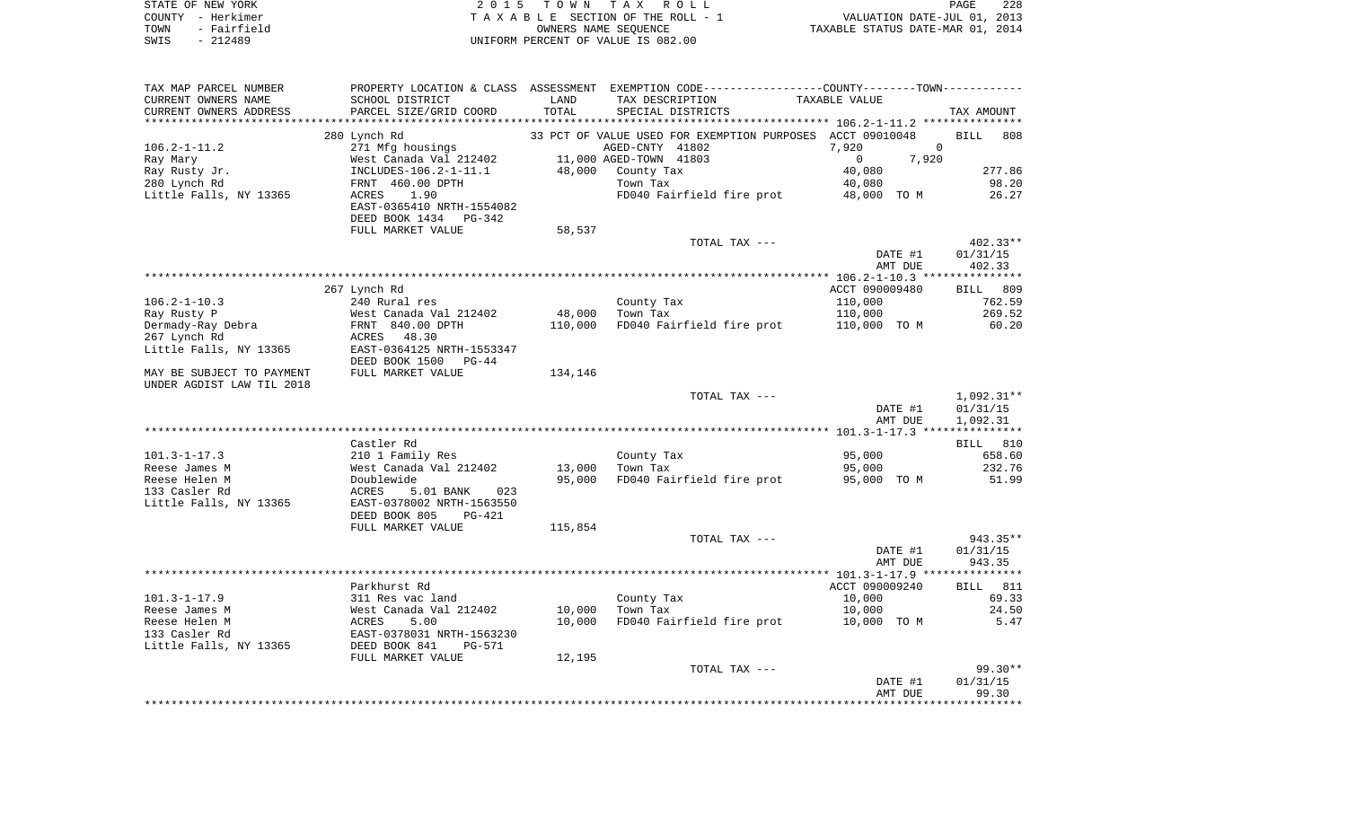| STATE OF NEW YORK   | 2015 TOWN TAX ROLL                 | 228<br>PAGE                      |
|---------------------|------------------------------------|----------------------------------|
| COUNTY - Herkimer   | TAXABLE SECTION OF THE ROLL - 1    | VALUATION DATE-JUL 01, 2013      |
| - Fairfield<br>TOWN | OWNERS NAME SEOUENCE               | TAXABLE STATUS DATE-MAR 01, 2014 |
| $-212489$<br>SWIS   | INIFORM PERCENT OF VALUE IS 082.00 |                                  |

| TAX MAP PARCEL NUMBER                                  |                                            |         | PROPERTY LOCATION & CLASS ASSESSMENT EXEMPTION CODE---------------COUNTY-------TOWN---------- |                       |                    |
|--------------------------------------------------------|--------------------------------------------|---------|-----------------------------------------------------------------------------------------------|-----------------------|--------------------|
| CURRENT OWNERS NAME                                    | SCHOOL DISTRICT                            | LAND    | TAX DESCRIPTION                                                                               | TAXABLE VALUE         |                    |
| CURRENT OWNERS ADDRESS                                 | PARCEL SIZE/GRID COORD                     | TOTAL   | SPECIAL DISTRICTS                                                                             |                       | TAX AMOUNT         |
|                                                        | 280 Lynch Rd                               |         | 33 PCT OF VALUE USED FOR EXEMPTION PURPOSES ACCT 09010048                                     |                       | <b>BILL</b><br>808 |
|                                                        |                                            |         | AGED-CNTY 41802                                                                               | 7,920<br>$\Omega$     |                    |
| $106.2 - 1 - 11.2$                                     | 271 Mfg housings<br>West Canada Val 212402 |         | 11,000 AGED-TOWN 41803                                                                        | $\mathbf{0}$<br>7,920 |                    |
| Ray Mary                                               |                                            |         |                                                                                               |                       |                    |
| Ray Rusty Jr.                                          | INCLUDES-106.2-1-11.1                      | 48,000  | County Tax                                                                                    | 40,080                | 277.86             |
| 280 Lynch Rd                                           | FRNT 460.00 DPTH                           |         | Town Tax                                                                                      | 40,080                | 98.20              |
| Little Falls, NY 13365                                 | ACRES<br>1.90<br>EAST-0365410 NRTH-1554082 |         | FD040 Fairfield fire prot                                                                     | 48,000 TO M           | 26.27              |
|                                                        | DEED BOOK 1434<br>PG-342                   |         |                                                                                               |                       |                    |
|                                                        | FULL MARKET VALUE                          | 58,537  |                                                                                               |                       |                    |
|                                                        |                                            |         | TOTAL TAX ---                                                                                 |                       | $402.33**$         |
|                                                        |                                            |         |                                                                                               | DATE #1               | 01/31/15           |
|                                                        |                                            |         |                                                                                               | AMT DUE               | 402.33             |
|                                                        |                                            |         |                                                                                               |                       |                    |
|                                                        | 267 Lynch Rd                               |         |                                                                                               | ACCT 090009480        | BILL 809           |
| $106.2 - 1 - 10.3$                                     | 240 Rural res                              |         | County Tax                                                                                    | 110,000               | 762.59             |
| Ray Rusty P                                            | West Canada Val 212402                     | 48,000  | Town Tax                                                                                      | 110,000               | 269.52             |
| Dermady-Ray Debra                                      | FRNT 840.00 DPTH                           | 110,000 | FD040 Fairfield fire prot                                                                     | 110,000 TO M          | 60.20              |
| 267 Lynch Rd                                           | ACRES 48.30                                |         |                                                                                               |                       |                    |
|                                                        | EAST-0364125 NRTH-1553347                  |         |                                                                                               |                       |                    |
| Little Falls, NY 13365                                 |                                            |         |                                                                                               |                       |                    |
|                                                        | DEED BOOK 1500 PG-44                       |         |                                                                                               |                       |                    |
| MAY BE SUBJECT TO PAYMENT<br>UNDER AGDIST LAW TIL 2018 | FULL MARKET VALUE                          | 134,146 |                                                                                               |                       |                    |
|                                                        |                                            |         | TOTAL TAX ---                                                                                 |                       | $1,092.31**$       |
|                                                        |                                            |         |                                                                                               | DATE #1               | 01/31/15           |
|                                                        |                                            |         |                                                                                               | AMT DUE               | 1,092.31           |
|                                                        |                                            |         |                                                                                               |                       |                    |
|                                                        | Castler Rd                                 |         |                                                                                               |                       | <b>BILL</b> 810    |
| $101.3 - 1 - 17.3$                                     | 210 1 Family Res                           |         | County Tax                                                                                    | 95,000                | 658.60             |
| Reese James M                                          | West Canada Val 212402                     | 13,000  | Town Tax                                                                                      | 95,000                | 232.76             |
| Reese Helen M                                          | Doublewide                                 | 95,000  | FD040 Fairfield fire prot                                                                     | 95,000 TO M           | 51.99              |
| 133 Casler Rd                                          | ACRES<br>5.01 BANK<br>023                  |         |                                                                                               |                       |                    |
| Little Falls, NY 13365                                 | EAST-0378002 NRTH-1563550                  |         |                                                                                               |                       |                    |
|                                                        | DEED BOOK 805<br>PG-421                    |         |                                                                                               |                       |                    |
|                                                        |                                            |         |                                                                                               |                       |                    |
|                                                        | FULL MARKET VALUE                          | 115,854 | TOTAL TAX ---                                                                                 |                       | 943.35**           |
|                                                        |                                            |         |                                                                                               |                       |                    |
|                                                        |                                            |         |                                                                                               | DATE #1               | 01/31/15           |
|                                                        |                                            |         |                                                                                               | AMT DUE               | 943.35             |
|                                                        |                                            |         |                                                                                               |                       |                    |
|                                                        | Parkhurst Rd                               |         |                                                                                               | ACCT 090009240        | <b>BILL</b> 811    |
| $101.3 - 1 - 17.9$                                     | 311 Res vac land                           |         | County Tax                                                                                    | 10,000                | 69.33              |
| Reese James M                                          | West Canada Val 212402                     | 10,000  | Town Tax                                                                                      | 10,000                | 24.50              |
| Reese Helen M                                          | 5.00<br>ACRES                              | 10,000  | FD040 Fairfield fire prot                                                                     | 10,000 TO M           | 5.47               |
| 133 Casler Rd                                          | EAST-0378031 NRTH-1563230                  |         |                                                                                               |                       |                    |
| Little Falls, NY 13365                                 | DEED BOOK 841<br>PG-571                    |         |                                                                                               |                       |                    |
|                                                        | FULL MARKET VALUE                          | 12,195  |                                                                                               |                       |                    |
|                                                        |                                            |         | TOTAL TAX ---                                                                                 |                       | $99.30**$          |
|                                                        |                                            |         |                                                                                               | DATE #1               | 01/31/15           |
|                                                        |                                            |         |                                                                                               | AMT DUE               | 99.30              |
|                                                        |                                            |         |                                                                                               |                       |                    |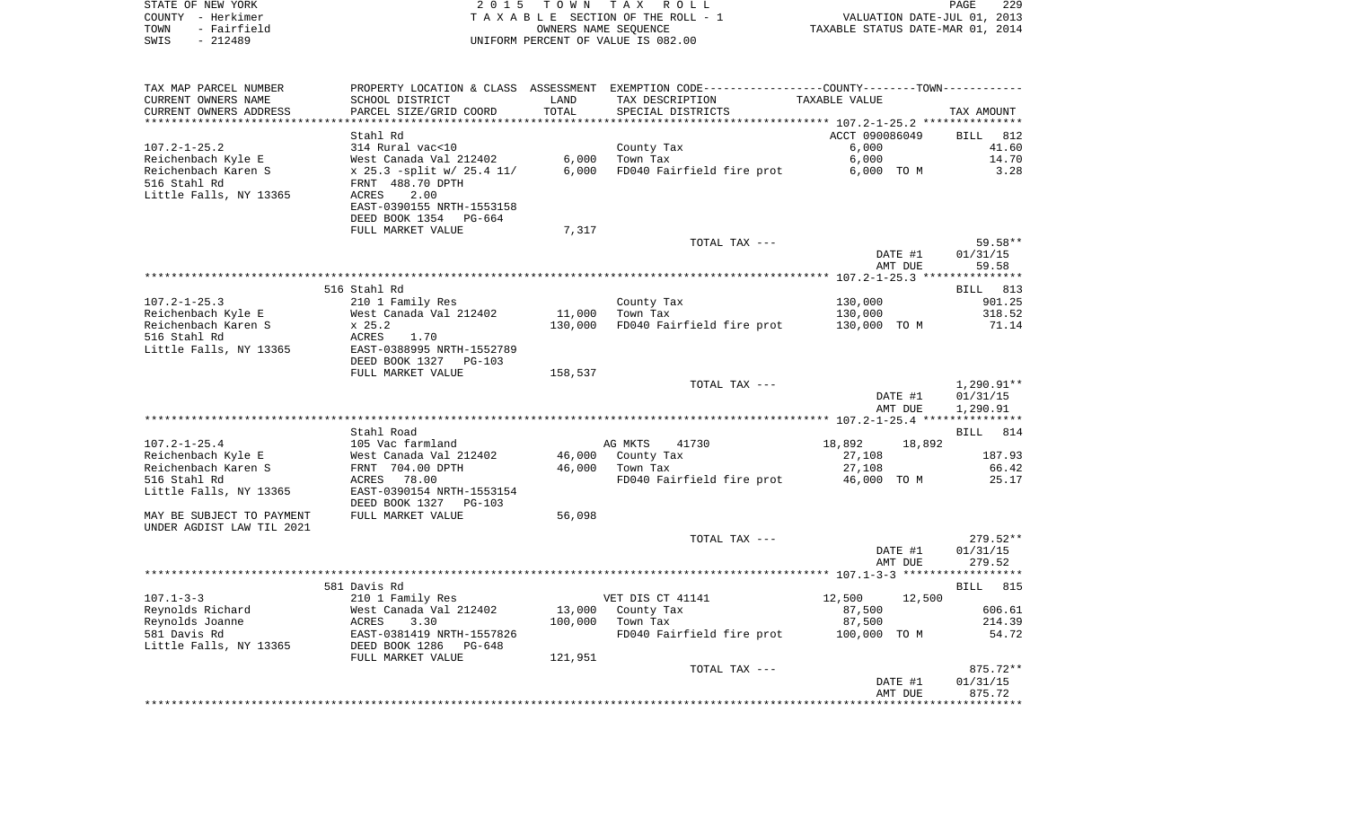| STATE OF NEW YORK<br>COUNTY - Herkimer<br>- Fairfield<br>TOWN<br>$-212489$<br>SWIS | 2 0 1 5                                               | T O W N | TAX ROLL<br>TAXABLE SECTION OF THE ROLL - 1<br>OWNERS NAME SEQUENCE<br>UNIFORM PERCENT OF VALUE IS 082.00 | VALUATION DATE-JUL 01, 2013<br>TAXABLE STATUS DATE-MAR 01, 2014 | PAGE<br>229        |
|------------------------------------------------------------------------------------|-------------------------------------------------------|---------|-----------------------------------------------------------------------------------------------------------|-----------------------------------------------------------------|--------------------|
| TAX MAP PARCEL NUMBER                                                              |                                                       |         | PROPERTY LOCATION & CLASS ASSESSMENT EXEMPTION CODE---------------COUNTY-------TOWN----------             |                                                                 |                    |
| CURRENT OWNERS NAME                                                                | SCHOOL DISTRICT                                       | LAND    | TAX DESCRIPTION                                                                                           | TAXABLE VALUE                                                   |                    |
| CURRENT OWNERS ADDRESS                                                             | PARCEL SIZE/GRID COORD                                | TOTAL   | SPECIAL DISTRICTS                                                                                         |                                                                 | TAX AMOUNT         |
| **********************                                                             | *****************************                         |         |                                                                                                           |                                                                 |                    |
|                                                                                    | Stahl Rd                                              |         |                                                                                                           | ACCT 090086049                                                  | <b>BILL</b><br>812 |
| $107.2 - 1 - 25.2$                                                                 | 314 Rural vac<10                                      |         | County Tax                                                                                                | 6.000                                                           | 41.60              |
| Reichenbach Kyle E                                                                 | West Canada Val 212402                                | 6.000   | Town Tax                                                                                                  | 6,000                                                           | 14.70              |
| Reichenbach Karen S                                                                | x 25.3 -split w/ 25.4 11/                             | 6,000   | FD040 Fairfield fire prot                                                                                 | 6,000 TO M                                                      | 3.28               |
| 516 Stahl Rd<br>Little Falls, NY 13365                                             | FRNT 488.70 DPTH<br>ACRES<br>2.00                     |         |                                                                                                           |                                                                 |                    |
|                                                                                    | EAST-0390155 NRTH-1553158                             |         |                                                                                                           |                                                                 |                    |
|                                                                                    | DEED BOOK 1354 PG-664                                 |         |                                                                                                           |                                                                 |                    |
|                                                                                    | FULL MARKET VALUE                                     | 7,317   |                                                                                                           |                                                                 |                    |
|                                                                                    |                                                       |         | TOTAL TAX ---                                                                                             |                                                                 | $59.58**$          |
|                                                                                    |                                                       |         |                                                                                                           | DATE #1                                                         | 01/31/15           |
|                                                                                    |                                                       |         |                                                                                                           | AMT DUE                                                         | 59.58              |
|                                                                                    |                                                       |         |                                                                                                           |                                                                 |                    |
|                                                                                    | 516 Stahl Rd                                          |         |                                                                                                           |                                                                 | BILL 813           |
| $107.2 - 1 - 25.3$<br>Reichenbach Kyle E                                           | 210 1 Family Res<br>West Canada Val 212402            | 11,000  | County Tax<br>Town Tax                                                                                    | 130,000<br>130,000                                              | 901.25<br>318.52   |
| Reichenbach Karen S                                                                | x 25.2                                                | 130,000 | FD040 Fairfield fire prot                                                                                 | 130,000 TO M                                                    | 71.14              |
| 516 Stahl Rd                                                                       | ACRES<br>1.70                                         |         |                                                                                                           |                                                                 |                    |
| Little Falls, NY 13365                                                             | EAST-0388995 NRTH-1552789                             |         |                                                                                                           |                                                                 |                    |
|                                                                                    | DEED BOOK 1327 PG-103                                 |         |                                                                                                           |                                                                 |                    |
|                                                                                    | FULL MARKET VALUE                                     | 158,537 |                                                                                                           |                                                                 |                    |
|                                                                                    |                                                       |         | TOTAL TAX ---                                                                                             |                                                                 | $1,290.91**$       |
|                                                                                    |                                                       |         |                                                                                                           | DATE #1                                                         | 01/31/15           |
|                                                                                    |                                                       |         |                                                                                                           | AMT DUE                                                         | 1,290.91           |
|                                                                                    | Stahl Road                                            |         |                                                                                                           |                                                                 | BILL<br>814        |
| $107.2 - 1 - 25.4$                                                                 | 105 Vac farmland                                      |         | AG MKTS<br>41730                                                                                          | 18,892<br>18,892                                                |                    |
| Reichenbach Kyle E                                                                 | West Canada Val 212402                                | 46,000  | County Tax                                                                                                | 27,108                                                          | 187.93             |
| Reichenbach Karen S                                                                | FRNT 704.00 DPTH                                      | 46,000  | Town Tax                                                                                                  | 27,108                                                          | 66.42              |
| 516 Stahl Rd                                                                       | ACRES 78.00                                           |         | FD040 Fairfield fire prot                                                                                 | 46,000 TO M                                                     | 25.17              |
| Little Falls, NY 13365                                                             | EAST-0390154 NRTH-1553154                             |         |                                                                                                           |                                                                 |                    |
|                                                                                    | DEED BOOK 1327 PG-103                                 |         |                                                                                                           |                                                                 |                    |
| MAY BE SUBJECT TO PAYMENT<br>UNDER AGDIST LAW TIL 2021                             | FULL MARKET VALUE                                     | 56,098  |                                                                                                           |                                                                 |                    |
|                                                                                    |                                                       |         | TOTAL TAX ---                                                                                             |                                                                 | $279.52**$         |
|                                                                                    |                                                       |         |                                                                                                           | DATE #1                                                         | 01/31/15           |
|                                                                                    |                                                       |         |                                                                                                           | AMT DUE                                                         | 279.52             |
|                                                                                    |                                                       |         |                                                                                                           |                                                                 |                    |
|                                                                                    | 581 Davis Rd                                          |         |                                                                                                           |                                                                 | 815<br>BILL        |
| $107.1 - 3 - 3$                                                                    | 210 1 Family Res                                      |         | VET DIS CT 41141                                                                                          | 12,500<br>12,500                                                |                    |
| Reynolds Richard                                                                   | West Canada Val 212402                                | 13,000  | County Tax                                                                                                | 87,500                                                          | 606.61             |
| Reynolds Joanne                                                                    | ACRES<br>3.30                                         | 100,000 | Town Tax                                                                                                  | 87,500                                                          | 214.39             |
| 581 Davis Rd<br>Little Falls, NY 13365                                             | EAST-0381419 NRTH-1557826<br>DEED BOOK 1286<br>PG-648 |         | FD040 Fairfield fire prot                                                                                 | 100,000<br>TO M                                                 | 54.72              |
|                                                                                    | FULL MARKET VALUE                                     | 121,951 |                                                                                                           |                                                                 |                    |
|                                                                                    |                                                       |         | TOTAL TAX ---                                                                                             |                                                                 | 875.72**           |
|                                                                                    |                                                       |         |                                                                                                           | DATE #1                                                         | 01/31/15           |
|                                                                                    |                                                       |         |                                                                                                           | AMT DUE                                                         | 875.72             |
|                                                                                    |                                                       |         |                                                                                                           |                                                                 |                    |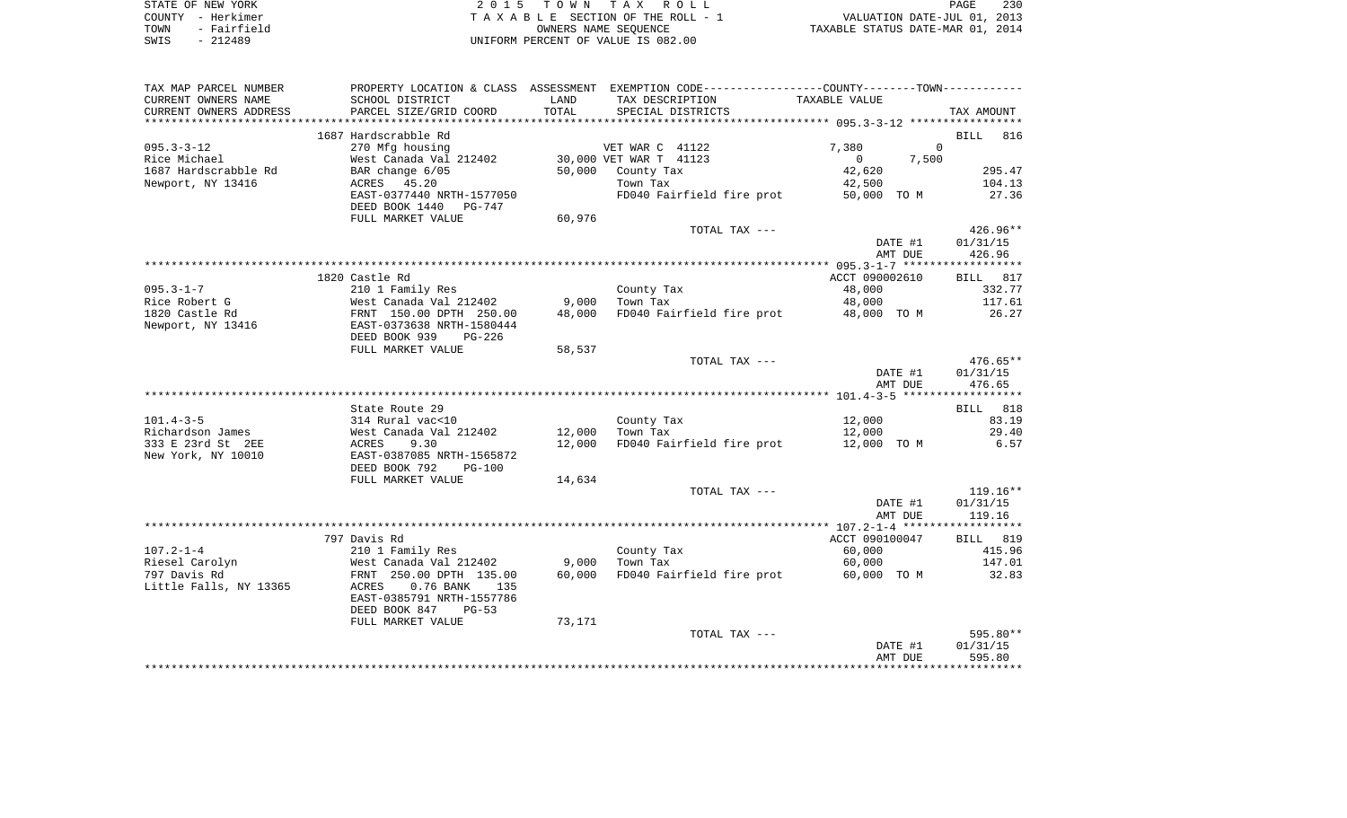| STATE OF NEW YORK   | 2015 TOWN TAX ROLL                 | 230<br>PAGE                      |
|---------------------|------------------------------------|----------------------------------|
| COUNTY - Herkimer   | TAXABLE SECTION OF THE ROLL - 1    | VALUATION DATE-JUL 01, 2013      |
| - Fairfield<br>TOWN | OWNERS NAME SEOUENCE               | TAXABLE STATUS DATE-MAR 01, 2014 |
| $-212489$<br>SWIS   | UNIFORM PERCENT OF VALUE IS 082.00 |                                  |

| TAX MAP PARCEL NUMBER             | PROPERTY LOCATION & CLASS ASSESSMENT EXEMPTION CODE---------------COUNTY-------TOWN---------- |        |                           |                         |                    |
|-----------------------------------|-----------------------------------------------------------------------------------------------|--------|---------------------------|-------------------------|--------------------|
| CURRENT OWNERS NAME               | SCHOOL DISTRICT                                                                               | LAND   | TAX DESCRIPTION           | TAXABLE VALUE           |                    |
| CURRENT OWNERS ADDRESS            | PARCEL SIZE/GRID COORD                                                                        | TOTAL  | SPECIAL DISTRICTS         |                         | TAX AMOUNT         |
|                                   |                                                                                               |        |                           |                         |                    |
|                                   | 1687 Hardscrabble Rd                                                                          |        |                           |                         | 816<br><b>BILL</b> |
| $095.3 - 3 - 12$                  | 270 Mfg housing                                                                               |        | VET WAR C 41122           | 7,380                   | $\Omega$           |
| Rice Michael                      | West Canada Val 212402                                                                        |        | 30,000 VET WAR T 41123    | $\overline{0}$<br>7,500 |                    |
| 1687 Hardscrabble Rd              | BAR change 6/05                                                                               | 50,000 | County Tax                | 42,620                  | 295.47             |
| Newport, NY 13416                 | ACRES 45.20                                                                                   |        | Town Tax                  | 42,500                  | 104.13             |
|                                   | EAST-0377440 NRTH-1577050                                                                     |        | FD040 Fairfield fire prot | 50,000 TO M             | 27.36              |
|                                   | DEED BOOK 1440 PG-747                                                                         |        |                           |                         |                    |
|                                   | FULL MARKET VALUE                                                                             | 60,976 |                           |                         |                    |
|                                   |                                                                                               |        | TOTAL TAX ---             |                         | $426.96**$         |
|                                   |                                                                                               |        |                           | DATE #1                 | 01/31/15           |
|                                   |                                                                                               |        |                           | AMT DUE                 | 426.96             |
|                                   |                                                                                               |        |                           |                         |                    |
|                                   | 1820 Castle Rd                                                                                |        |                           | ACCT 090002610          | BILL 817           |
| $095.3 - 1 - 7$                   | 210 1 Family Res                                                                              |        | County Tax                | 48,000                  | 332.77             |
| Rice Robert G                     | West Canada Val 212402                                                                        | 9,000  | Town Tax                  | 48,000                  | 117.61             |
| 1820 Castle Rd                    | FRNT 150.00 DPTH 250.00                                                                       | 48,000 | FD040 Fairfield fire prot | 48,000 TO M             | 26.27              |
| Newport, NY 13416                 | EAST-0373638 NRTH-1580444                                                                     |        |                           |                         |                    |
|                                   | DEED BOOK 939<br>PG-226                                                                       |        |                           |                         |                    |
|                                   | FULL MARKET VALUE                                                                             | 58,537 |                           |                         |                    |
|                                   |                                                                                               |        | TOTAL TAX ---             |                         | $476.65**$         |
|                                   |                                                                                               |        |                           | DATE #1                 | 01/31/15           |
|                                   |                                                                                               |        |                           | AMT DUE                 | 476.65             |
|                                   |                                                                                               |        |                           |                         |                    |
|                                   | State Route 29                                                                                |        |                           |                         | BILL 818           |
| $101.4 - 3 - 5$                   | 314 Rural vac<10                                                                              |        | County Tax                | 12,000                  | 83.19              |
| Richardson James                  | West Canada Val 212402                                                                        | 12,000 | Town Tax                  | 12,000                  | 29.40              |
| 333 E 23rd St 2EE                 | 9.30<br>ACRES                                                                                 | 12,000 | FD040 Fairfield fire prot | 12,000 TO M             | 6.57               |
| New York, NY 10010                | EAST-0387085 NRTH-1565872                                                                     |        |                           |                         |                    |
|                                   | DEED BOOK 792<br>$PG-100$                                                                     |        |                           |                         |                    |
|                                   | FULL MARKET VALUE                                                                             | 14,634 |                           |                         |                    |
|                                   |                                                                                               |        | TOTAL TAX ---             |                         | $119.16**$         |
|                                   |                                                                                               |        |                           | DATE #1                 | 01/31/15           |
|                                   |                                                                                               |        |                           | AMT DUE                 | 119.16             |
|                                   |                                                                                               |        |                           |                         |                    |
|                                   | 797 Davis Rd                                                                                  |        |                           | ACCT 090100047          | BILL 819           |
| $107.2 - 1 - 4$<br>Riesel Carolyn | 210 1 Family Res<br>West Canada Val 212402                                                    | 9,000  | County Tax<br>Town Tax    | 60,000<br>60,000        | 415.96<br>147.01   |
| 797 Davis Rd                      | FRNT 250.00 DPTH 135.00                                                                       | 60,000 | FD040 Fairfield fire prot | 60,000 TO M             | 32.83              |
| Little Falls, NY 13365            | ACRES<br>$0.76$ BANK<br>135                                                                   |        |                           |                         |                    |
|                                   | EAST-0385791 NRTH-1557786                                                                     |        |                           |                         |                    |
|                                   | DEED BOOK 847<br>$PG-53$                                                                      |        |                           |                         |                    |
|                                   | FULL MARKET VALUE                                                                             | 73,171 |                           |                         |                    |
|                                   |                                                                                               |        | TOTAL TAX ---             |                         | 595.80**           |
|                                   |                                                                                               |        |                           | DATE #1                 | 01/31/15           |
|                                   |                                                                                               |        |                           | AMT DUE                 | 595.80             |
|                                   |                                                                                               |        |                           |                         |                    |
|                                   |                                                                                               |        |                           |                         |                    |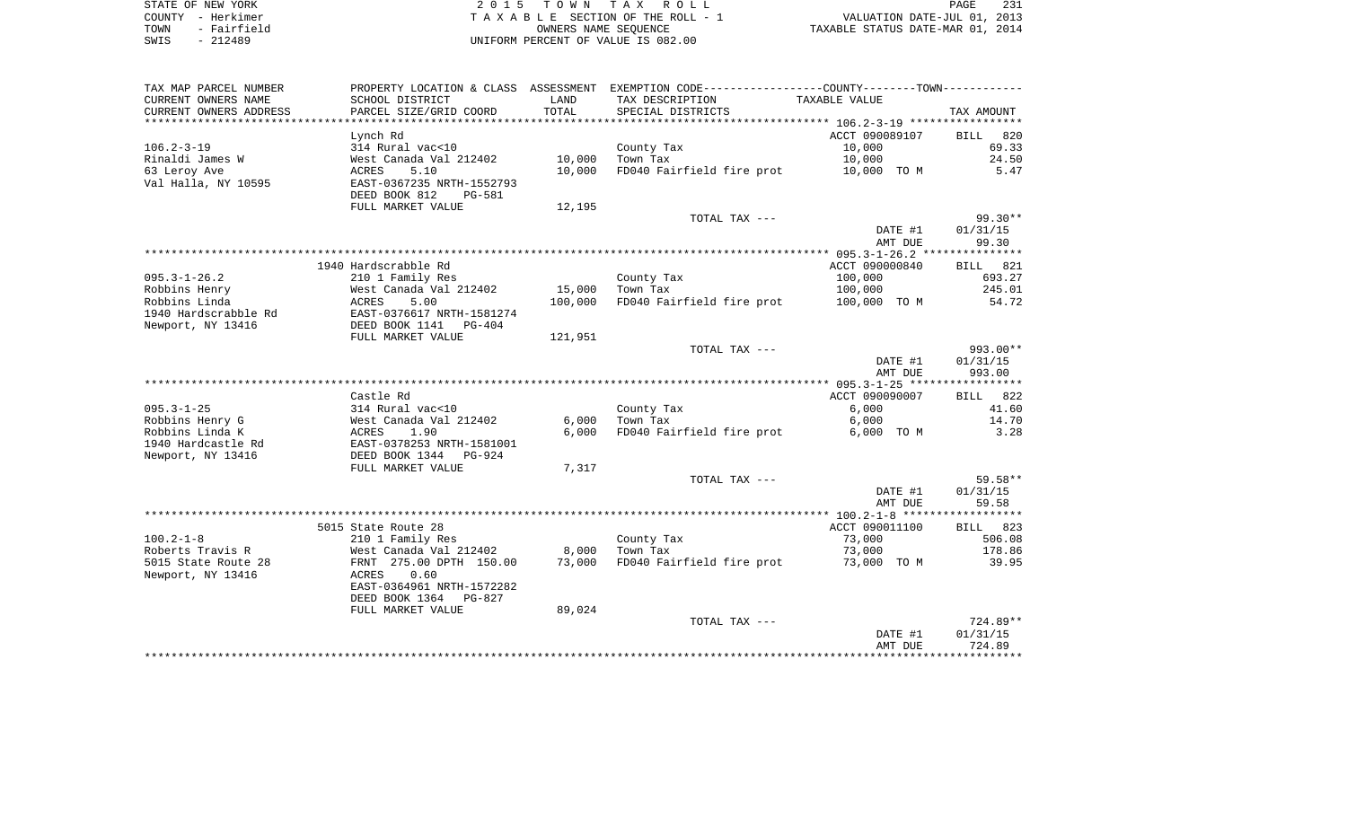| STATE OF NEW YORK   | 2015 TOWN TAX ROLL                 | 231<br>PAGE                      |
|---------------------|------------------------------------|----------------------------------|
| COUNTY - Herkimer   | TAXABLE SECTION OF THE ROLL - 1    | VALUATION DATE-JUL 01, 2013      |
| - Fairfield<br>TOWN | OWNERS NAME SEOUENCE               | TAXABLE STATUS DATE-MAR 01, 2014 |
| $-212489$<br>SWIS   | UNIFORM PERCENT OF VALUE IS 082.00 |                                  |

PAGE 231

| TAX MAP PARCEL NUMBER  | PROPERTY LOCATION & CLASS ASSESSMENT |         | EXEMPTION CODE-----------------COUNTY-------TOWN----------- |                |                    |
|------------------------|--------------------------------------|---------|-------------------------------------------------------------|----------------|--------------------|
| CURRENT OWNERS NAME    | SCHOOL DISTRICT                      | LAND    | TAX DESCRIPTION                                             | TAXABLE VALUE  |                    |
| CURRENT OWNERS ADDRESS | PARCEL SIZE/GRID COORD               | TOTAL   | SPECIAL DISTRICTS                                           |                | TAX AMOUNT         |
|                        |                                      |         |                                                             |                |                    |
|                        | Lynch Rd                             |         |                                                             | ACCT 090089107 | 820<br><b>BILL</b> |
| $106.2 - 3 - 19$       | 314 Rural vac<10                     |         | County Tax                                                  | 10,000         | 69.33              |
| Rinaldi James W        | West Canada Val 212402               | 10,000  | Town Tax                                                    | 10,000         | 24.50              |
| 63 Leroy Ave           | <b>ACRES</b><br>5.10                 | 10,000  | FD040 Fairfield fire prot                                   | 10,000 TO M    | 5.47               |
| Val Halla, NY 10595    | EAST-0367235 NRTH-1552793            |         |                                                             |                |                    |
|                        | DEED BOOK 812<br><b>PG-581</b>       |         |                                                             |                |                    |
|                        | FULL MARKET VALUE                    | 12,195  |                                                             |                |                    |
|                        |                                      |         | TOTAL TAX ---                                               |                | $99.30**$          |
|                        |                                      |         |                                                             | DATE #1        | 01/31/15           |
|                        |                                      |         |                                                             | AMT DUE        | 99.30              |
|                        |                                      |         |                                                             |                |                    |
|                        | 1940 Hardscrabble Rd                 |         |                                                             | ACCT 090000840 | 821<br>BILL        |
| $095.3 - 1 - 26.2$     | 210 1 Family Res                     |         | County Tax                                                  | 100,000        | 693.27             |
| Robbins Henry          | West Canada Val 212402               | 15,000  | Town Tax                                                    | 100,000        | 245.01             |
| Robbins Linda          | 5.00<br>ACRES                        | 100,000 | FD040 Fairfield fire prot                                   | 100,000 TO M   | 54.72              |
| 1940 Hardscrabble Rd   | EAST-0376617 NRTH-1581274            |         |                                                             |                |                    |
| Newport, NY 13416      | DEED BOOK 1141<br>PG-404             |         |                                                             |                |                    |
|                        | FULL MARKET VALUE                    | 121,951 |                                                             |                |                    |
|                        |                                      |         | TOTAL TAX ---                                               |                | 993.00**           |
|                        |                                      |         |                                                             | DATE #1        | 01/31/15           |
|                        |                                      |         |                                                             | AMT DUE        | 993.00             |
|                        |                                      |         |                                                             |                |                    |
|                        | Castle Rd                            |         |                                                             | ACCT 090090007 | 822<br><b>BILL</b> |
| $095.3 - 1 - 25$       | 314 Rural vac<10                     |         | County Tax                                                  | 6,000          | 41.60              |
| Robbins Henry G        | West Canada Val 212402               | 6,000   | Town Tax                                                    | 6,000          | 14.70              |
| Robbins Linda K        | 1.90<br>ACRES                        | 6,000   | FD040 Fairfield fire prot                                   | 6,000 TO M     | 3.28               |
| 1940 Hardcastle Rd     | EAST-0378253 NRTH-1581001            |         |                                                             |                |                    |
| Newport, NY 13416      | DEED BOOK 1344 PG-924                |         |                                                             |                |                    |
|                        | FULL MARKET VALUE                    | 7,317   |                                                             |                |                    |
|                        |                                      |         | TOTAL TAX ---                                               |                | $59.58**$          |
|                        |                                      |         |                                                             | DATE #1        | 01/31/15           |
|                        |                                      |         |                                                             | AMT DUE        | 59.58              |
|                        |                                      |         |                                                             |                | ***********        |
|                        | 5015 State Route 28                  |         |                                                             | ACCT 090011100 | BILL 823           |
| $100.2 - 1 - 8$        | 210 1 Family Res                     |         | County Tax                                                  | 73,000         | 506.08             |
| Roberts Travis R       | West Canada Val 212402               | 8,000   | Town Tax                                                    | 73,000         | 178.86             |
| 5015 State Route 28    | FRNT 275.00 DPTH 150.00              | 73,000  | FD040 Fairfield fire prot                                   | 73,000 TO M    | 39.95              |
| Newport, NY 13416      | 0.60<br>ACRES                        |         |                                                             |                |                    |
|                        | EAST-0364961 NRTH-1572282            |         |                                                             |                |                    |
|                        | DEED BOOK 1364 PG-827                |         |                                                             |                |                    |
|                        | FULL MARKET VALUE                    | 89,024  |                                                             |                |                    |
|                        |                                      |         | TOTAL TAX ---                                               |                | $724.89**$         |
|                        |                                      |         |                                                             | DATE #1        | 01/31/15           |
|                        |                                      |         |                                                             | AMT DUE        | 724.89             |
|                        |                                      |         |                                                             |                |                    |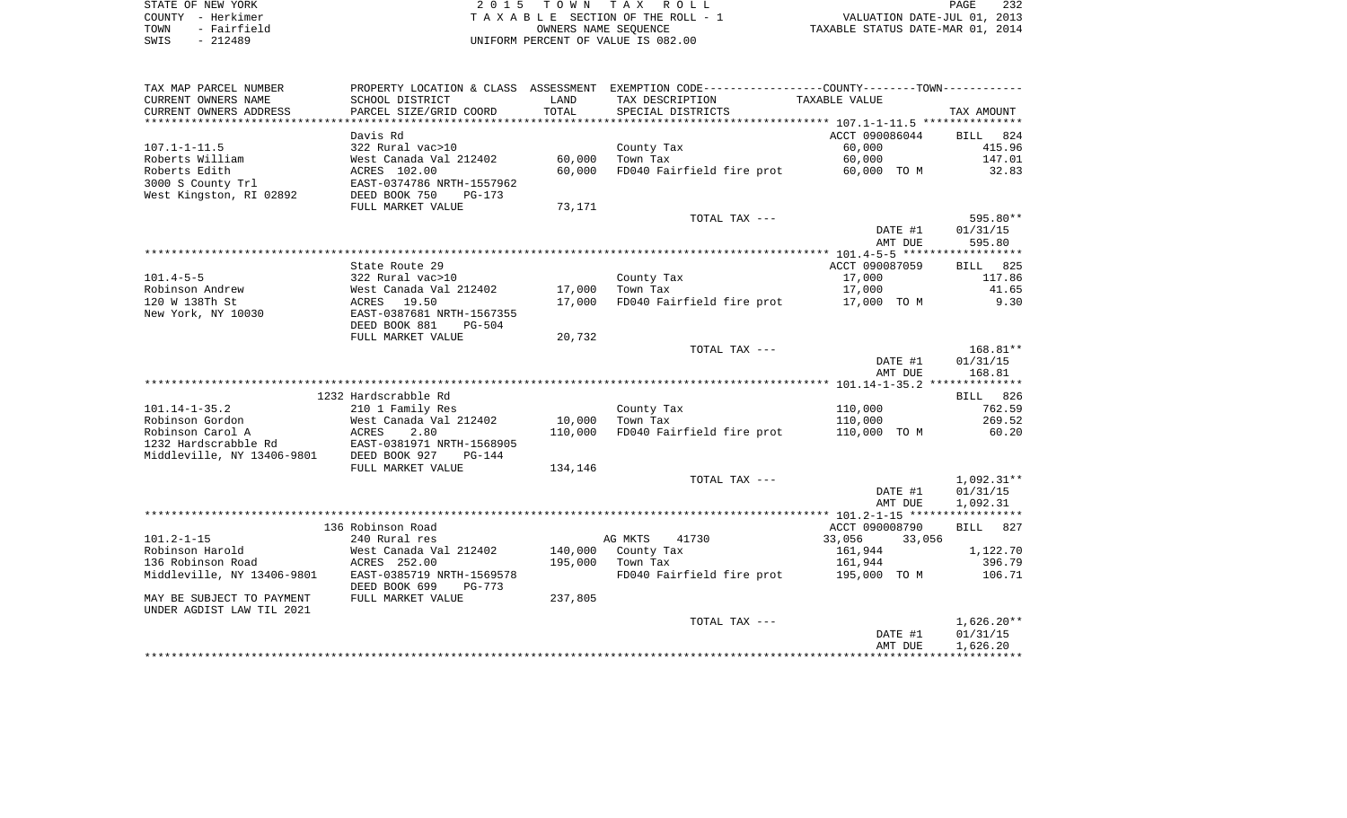| STATE OF NEW YORK   | 2015 TOWN TAX ROLL                 | 232<br>PAGE                      |
|---------------------|------------------------------------|----------------------------------|
| COUNTY - Herkimer   | TAXABLE SECTION OF THE ROLL - 1    | VALUATION DATE-JUL 01, 2013      |
| - Fairfield<br>TOWN | OWNERS NAME SEOUENCE               | TAXABLE STATUS DATE-MAR 01, 2014 |
| $-212489$<br>SWIS   | UNIFORM PERCENT OF VALUE IS 082.00 |                                  |

| TAX MAP PARCEL NUMBER                       |                                                                                        |         | PROPERTY LOCATION & CLASS ASSESSMENT EXEMPTION CODE---------------COUNTY--------TOWN---------- |                    |                      |
|---------------------------------------------|----------------------------------------------------------------------------------------|---------|------------------------------------------------------------------------------------------------|--------------------|----------------------|
| CURRENT OWNERS NAME                         | SCHOOL DISTRICT                                                                        | LAND    | TAX DESCRIPTION                                                                                | TAXABLE VALUE      |                      |
| CURRENT OWNERS ADDRESS                      | PARCEL SIZE/GRID COORD                                                                 | TOTAL   | SPECIAL DISTRICTS                                                                              |                    | TAX AMOUNT           |
| **********************                      | *****************************                                                          |         |                                                                                                |                    |                      |
|                                             | Davis Rd                                                                               |         |                                                                                                | ACCT 090086044     | BILL 824             |
| $107.1 - 1 - 11.5$                          | 322 Rural vac>10                                                                       |         | County Tax                                                                                     | 60,000             | 415.96               |
| Roberts William                             | West Canada Val 212402                                                                 | 60,000  | Town Tax                                                                                       | 60,000             | 147.01               |
| Roberts Edith                               | ACRES 102.00<br>EAST-0374786 NRTH-1557962                                              | 60,000  | FD040 Fairfield fire prot 60,000 TO M                                                          |                    | 32.83                |
| 3000 S County Trl                           |                                                                                        |         |                                                                                                |                    |                      |
| West Kingston, RI 02892                     | DEED BOOK 750<br>$PG-173$                                                              |         |                                                                                                |                    |                      |
|                                             | FULL MARKET VALUE                                                                      | 73,171  |                                                                                                |                    |                      |
|                                             |                                                                                        |         | TOTAL TAX ---                                                                                  |                    | 595.80**             |
|                                             |                                                                                        |         |                                                                                                | DATE #1            | 01/31/15             |
|                                             |                                                                                        |         |                                                                                                | AMT DUE            | 595.80               |
|                                             |                                                                                        |         |                                                                                                |                    |                      |
|                                             | State Route 29                                                                         |         |                                                                                                | ACCT 090087059     | BILL 825             |
| $101.4 - 5 - 5$                             | 322 Rural vac>10                                                                       |         | County Tax                                                                                     | 17,000             | 117.86               |
| Robinson Andrew                             |                                                                                        | 17,000  | Town Tax                                                                                       | 17,000             | 41.65                |
| 120 W 138Th St                              | 322 Kural Vac210<br>West Canada Val 212402<br>ACRES 19.50<br>EAST-0387681 NRTH-1567355 | 17,000  | FD040 Fairfield fire prot 17,000 TO M                                                          |                    | 9.30                 |
| New York, NY 10030                          |                                                                                        |         |                                                                                                |                    |                      |
|                                             | DEED BOOK 881<br><b>PG-504</b>                                                         |         |                                                                                                |                    |                      |
|                                             | FULL MARKET VALUE                                                                      | 20,732  |                                                                                                |                    |                      |
|                                             |                                                                                        |         | TOTAL TAX ---                                                                                  |                    | $168.81***$          |
|                                             |                                                                                        |         |                                                                                                | DATE #1            | 01/31/15             |
|                                             |                                                                                        |         |                                                                                                | AMT DUE            | 168.81               |
|                                             |                                                                                        |         |                                                                                                |                    |                      |
|                                             | 1232 Hardscrabble Rd                                                                   |         |                                                                                                |                    | BILL 826             |
| 101.14-1-35.2                               | 210 1 Family Res                                                                       |         | County Tax                                                                                     | 110,000            | 762.59               |
| Robinson Gordon                             | West Canada Val 212402<br>ACRES    2.80                                                | 10,000  | Town Tax                                                                                       | 110,000            | 269.52               |
| Robinson Carol A                            |                                                                                        | 110,000 | FD040 Fairfield fire prot                                                                      | 110,000 TO M       | 60.20                |
|                                             |                                                                                        |         |                                                                                                |                    |                      |
|                                             |                                                                                        |         |                                                                                                |                    |                      |
|                                             | FULL MARKET VALUE                                                                      | 134,146 |                                                                                                |                    |                      |
|                                             |                                                                                        |         | TOTAL TAX ---                                                                                  |                    | 1,092.31**           |
|                                             |                                                                                        |         |                                                                                                | DATE #1            | 01/31/15             |
|                                             |                                                                                        |         |                                                                                                | AMT DUE            | 1,092.31             |
|                                             |                                                                                        |         |                                                                                                |                    |                      |
|                                             | 136 Robinson Road                                                                      |         |                                                                                                | ACCT 090008790     | BILL 827             |
| $101.2 - 1 - 15$                            | 240 Rural res                                                                          |         | AG MKTS<br>41730                                                                               | 33,056<br>33,056   |                      |
| Robinson Harold                             | West Canada Val 212402                                                                 |         | 140,000 County Tax                                                                             | 161,944            | 1,122.70             |
|                                             |                                                                                        |         | 195,000 Town Tax                                                                               | 161,944            | 396.79               |
|                                             |                                                                                        |         | FD040 Fairfield fire prot 195,000 TO M                                                         |                    | 106.71               |
|                                             | DEED BOOK 699<br>PG-773                                                                |         |                                                                                                |                    |                      |
| MAY BE SUBJECT TO PAYMENT FULL MARKET VALUE |                                                                                        | 237,805 |                                                                                                |                    |                      |
| UNDER AGDIST LAW TIL 2021                   |                                                                                        |         |                                                                                                |                    |                      |
|                                             |                                                                                        |         | TOTAL TAX ---                                                                                  |                    | $1,626.20**$         |
|                                             |                                                                                        |         |                                                                                                | DATE #1<br>AMT DUE | 01/31/15<br>1,626.20 |
|                                             |                                                                                        |         |                                                                                                |                    |                      |
|                                             |                                                                                        |         |                                                                                                |                    |                      |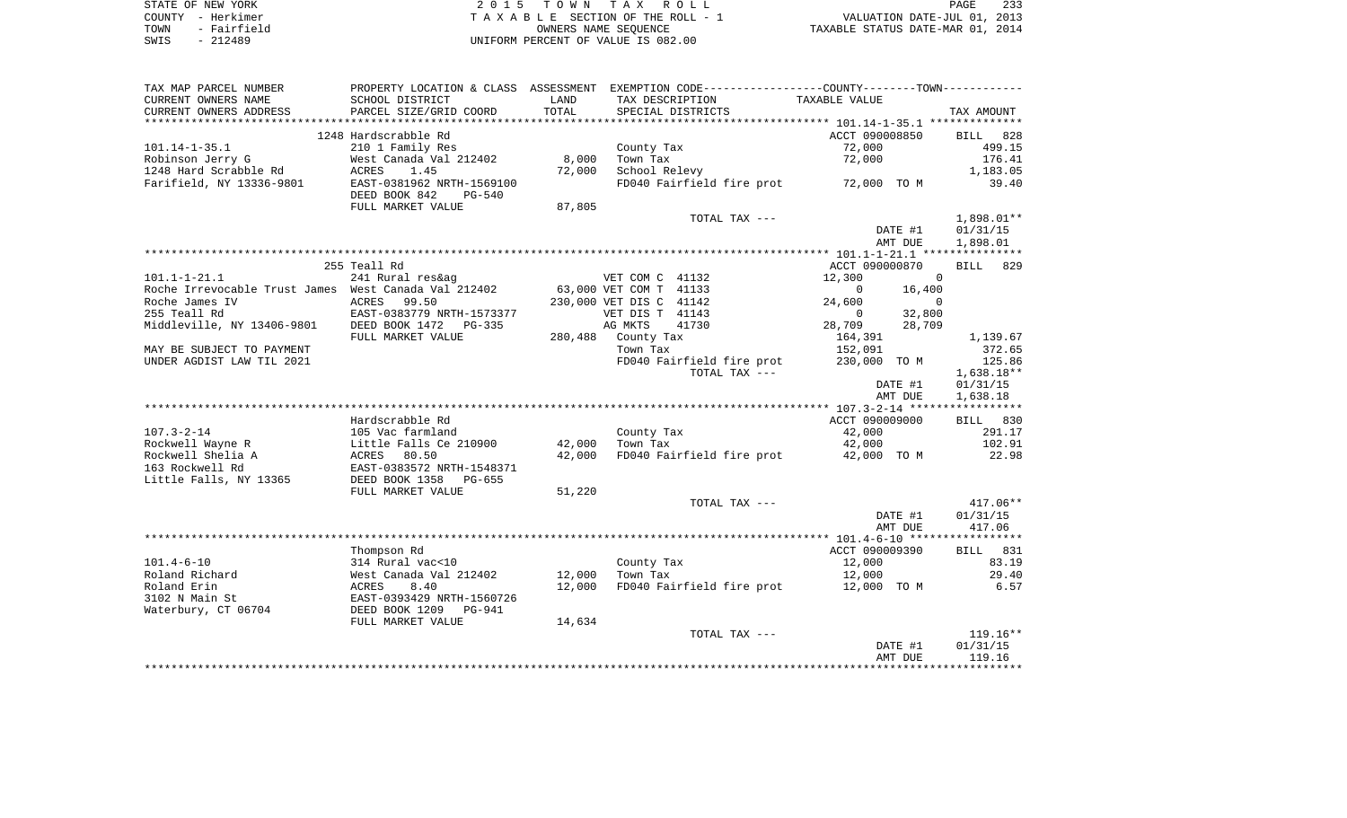|      | STATE OF NEW YORK | 2015 TOWN TAX ROLL                 | 233<br>PAGE                      |
|------|-------------------|------------------------------------|----------------------------------|
|      | COUNTY – Herkimer | TAXABLE SECTION OF THE ROLL - 1    | VALUATION DATE-JUL 01, 2013      |
| TOWN | - Fairfield       | OWNERS NAME SEOUENCE               | TAXABLE STATUS DATE-MAR 01, 2014 |
| SWIS | - 212489          | UNIFORM PERCENT OF VALUE IS 082.00 |                                  |

| TAX MAP PARCEL NUMBER                                | PROPERTY LOCATION & CLASS ASSESSMENT EXEMPTION CODE---------------COUNTY--------TOWN---------- |        |                         |                                       |                |          |              |
|------------------------------------------------------|------------------------------------------------------------------------------------------------|--------|-------------------------|---------------------------------------|----------------|----------|--------------|
| CURRENT OWNERS NAME                                  | SCHOOL DISTRICT                                                                                | LAND   | TAX DESCRIPTION         |                                       | TAXABLE VALUE  |          |              |
| CURRENT OWNERS ADDRESS                               | PARCEL SIZE/GRID COORD                                                                         | TOTAL  |                         | SPECIAL DISTRICTS                     |                |          | TAX AMOUNT   |
|                                                      |                                                                                                |        |                         |                                       |                |          |              |
|                                                      | 1248 Hardscrabble Rd                                                                           |        |                         |                                       | ACCT 090008850 |          | BILL 828     |
| $101.14 - 1 - 35.1$                                  | 210 1 Family Res                                                                               |        | County Tax              |                                       | 72,000         |          | 499.15       |
| Robinson Jerry G                                     | West Canada Val 212402                                                                         | 8,000  | Town Tax                |                                       | 72,000         |          | 176.41       |
| 1248 Hard Scrabble Rd                                | ACRES<br>1.45                                                                                  | 72,000 | School Relevy           |                                       |                |          | 1,183.05     |
| Farifield, NY 13336-9801                             | EAST-0381962 NRTH-1569100                                                                      |        |                         | FD040 Fairfield fire prot 72,000 TO M |                |          | 39.40        |
|                                                      | DEED BOOK 842<br>PG-540                                                                        |        |                         |                                       |                |          |              |
|                                                      | FULL MARKET VALUE                                                                              | 87,805 |                         |                                       |                |          |              |
|                                                      |                                                                                                |        |                         | TOTAL TAX ---                         |                |          | 1,898.01**   |
|                                                      |                                                                                                |        |                         |                                       |                | DATE #1  | 01/31/15     |
|                                                      |                                                                                                |        |                         |                                       |                | AMT DUE  | 1,898.01     |
|                                                      |                                                                                                |        |                         |                                       |                |          |              |
|                                                      | 255 Teall Rd                                                                                   |        |                         |                                       | ACCT 090000870 |          | BILL<br>829  |
| $101.1 - 1 - 21.1$                                   | 241 Rural res&ag                                                                               |        | VET COM C 41132         |                                       | 12,300         | $\Omega$ |              |
| Roche Irrevocable Trust James West Canada Val 212402 |                                                                                                |        | 63,000 VET COM T 41133  |                                       | $\Omega$       | 16,400   |              |
| Roche James IV                                       | <b>ACRES</b><br>99.50                                                                          |        | 230,000 VET DIS C 41142 |                                       | 24,600         | $\Omega$ |              |
| 255 Teall Rd                                         | EAST-0383779 NRTH-1573377                                                                      |        | VET DIS T 41143         |                                       | $\overline{0}$ | 32,800   |              |
| Middleville, NY 13406-9801                           | DEED BOOK 1472<br>PG-335                                                                       |        | AG MKTS                 | 41730                                 | 28,709         | 28,709   |              |
|                                                      | FULL MARKET VALUE                                                                              |        | 280,488 County Tax      |                                       | 164,391        |          | 1,139.67     |
| MAY BE SUBJECT TO PAYMENT                            |                                                                                                |        | Town Tax                |                                       | 152,091        |          | 372.65       |
| UNDER AGDIST LAW TIL 2021                            |                                                                                                |        |                         | FD040 Fairfield fire prot             | 230,000 TO M   |          | 125.86       |
|                                                      |                                                                                                |        |                         | TOTAL TAX ---                         |                |          | $1,638.18**$ |
|                                                      |                                                                                                |        |                         |                                       |                | DATE #1  | 01/31/15     |
|                                                      |                                                                                                |        |                         |                                       |                | AMT DUE  | 1,638.18     |
|                                                      |                                                                                                |        |                         |                                       |                |          |              |
|                                                      | Hardscrabble Rd                                                                                |        |                         |                                       | ACCT 090009000 |          | BILL 830     |
| $107.3 - 2 - 14$                                     | 105 Vac farmland                                                                               |        | County Tax              |                                       | 42,000         |          | 291.17       |
| Rockwell Wayne R                                     | Little Falls Ce 210900                                                                         | 42,000 | Town Tax                |                                       | 42,000         |          | 102.91       |
| Rockwell Shelia A                                    | 80.50<br>ACRES                                                                                 | 42,000 |                         | FD040 Fairfield fire prot             | 42,000 TO M    |          | 22.98        |
| 163 Rockwell Rd                                      | EAST-0383572 NRTH-1548371                                                                      |        |                         |                                       |                |          |              |
| Little Falls, NY 13365                               | DEED BOOK 1358<br>PG-655                                                                       |        |                         |                                       |                |          |              |
|                                                      | FULL MARKET VALUE                                                                              | 51,220 |                         |                                       |                |          |              |
|                                                      |                                                                                                |        |                         | TOTAL TAX ---                         |                |          | 417.06**     |
|                                                      |                                                                                                |        |                         |                                       |                | DATE #1  | 01/31/15     |
|                                                      |                                                                                                |        |                         |                                       |                | AMT DUE  | 417.06       |
|                                                      |                                                                                                |        |                         |                                       |                |          |              |
|                                                      | Thompson Rd                                                                                    |        |                         |                                       | ACCT 090009390 |          | BILL 831     |
| $101.4 - 6 - 10$                                     | 314 Rural vac<10                                                                               |        | County Tax              |                                       | 12,000         |          | 83.19        |
| Roland Richard                                       | West Canada Val 212402                                                                         | 12,000 | Town Tax                |                                       | 12,000         |          | 29.40        |
| Roland Erin                                          | ACRES<br>8.40                                                                                  | 12,000 |                         | FD040 Fairfield fire prot             | 12,000 TO M    |          | 6.57         |
| 3102 N Main St                                       | EAST-0393429 NRTH-1560726                                                                      |        |                         |                                       |                |          |              |
| Waterbury, CT 06704                                  | DEED BOOK 1209<br>PG-941                                                                       |        |                         |                                       |                |          |              |
|                                                      | FULL MARKET VALUE                                                                              | 14,634 |                         |                                       |                |          |              |
|                                                      |                                                                                                |        |                         | TOTAL TAX ---                         |                |          | $119.16**$   |
|                                                      |                                                                                                |        |                         |                                       |                | DATE #1  | 01/31/15     |
|                                                      |                                                                                                |        |                         |                                       |                | AMT DUE  | 119.16       |
|                                                      |                                                                                                |        |                         |                                       |                |          |              |
|                                                      |                                                                                                |        |                         |                                       |                |          |              |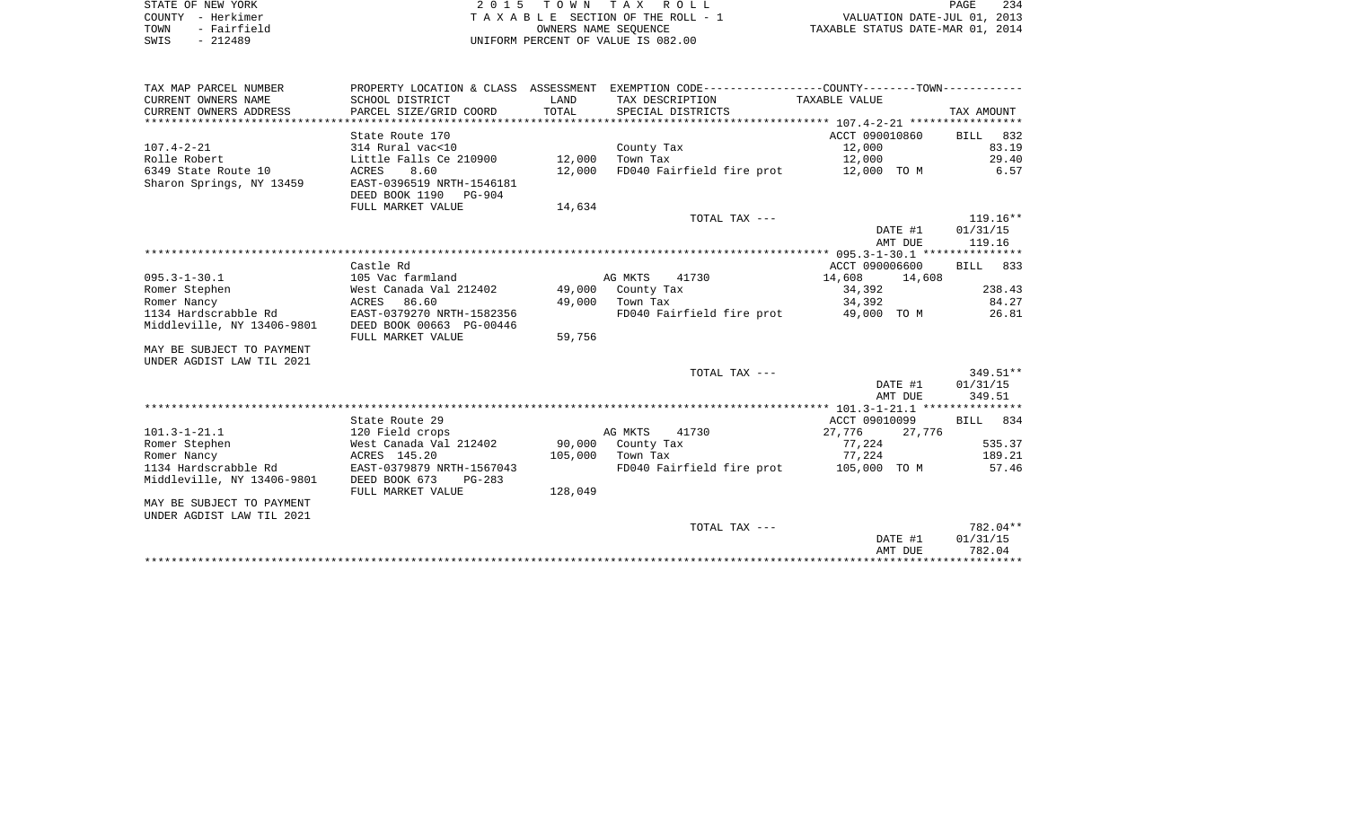| STATE OF NEW YORK   | 2015 TOWN TAX ROLL                 | 234<br>PAGE                      |
|---------------------|------------------------------------|----------------------------------|
| COUNTY - Herkimer   | TAXABLE SECTION OF THE ROLL - 1    | VALUATION DATE-JUL 01, 2013      |
| - Fairfield<br>TOWN | OWNERS NAME SEOUENCE               | TAXABLE STATUS DATE-MAR 01, 2014 |
| $-212489$<br>SWIS   | UNIFORM PERCENT OF VALUE IS 082.00 |                                  |

| TAX MAP PARCEL NUMBER      |                               |         | PROPERTY LOCATION & CLASS ASSESSMENT EXEMPTION CODE---------------COUNTY--------TOWN---------- |                  |                    |
|----------------------------|-------------------------------|---------|------------------------------------------------------------------------------------------------|------------------|--------------------|
| CURRENT OWNERS NAME        | SCHOOL DISTRICT               | LAND    | TAX DESCRIPTION TAXABLE VALUE                                                                  |                  |                    |
| CURRENT OWNERS ADDRESS     | PARCEL SIZE/GRID COORD        | TOTAL   | SPECIAL DISTRICTS                                                                              |                  | TAX AMOUNT         |
|                            |                               |         |                                                                                                |                  |                    |
|                            | State Route 170               |         |                                                                                                | ACCT 090010860   | BILL 832           |
| $107.4 - 2 - 21$           | 314 Rural vac<10              |         | County Tax                                                                                     | 12,000           | 83.19              |
| Rolle Robert               | Little Falls Ce 210900 12,000 |         | Town Tax                                                                                       | 12,000           | 29.40              |
| 6349 State Route 10        | 8.60<br>ACRES                 | 12,000  | FD040 Fairfield fire prot 12,000 TO M                                                          |                  | 6.57               |
| Sharon Springs, NY 13459   | EAST-0396519 NRTH-1546181     |         |                                                                                                |                  |                    |
|                            | DEED BOOK 1190 PG-904         |         |                                                                                                |                  |                    |
|                            | FULL MARKET VALUE             | 14,634  |                                                                                                |                  |                    |
|                            |                               |         | TOTAL TAX ---                                                                                  |                  | $119.16**$         |
|                            |                               |         |                                                                                                | DATE #1          | 01/31/15           |
|                            |                               |         |                                                                                                | AMT DUE          | 119.16             |
|                            |                               |         |                                                                                                |                  |                    |
|                            | Castle Rd                     |         |                                                                                                | ACCT 090006600   | BILL 833           |
| $095.3 - 1 - 30.1$         | 105 Vac farmland              |         | AG MKTS<br>41730                                                                               | 14,608<br>14,608 |                    |
| Romer Stephen              | West Canada Val 212402        |         | 49,000 County Tax                                                                              | 34,392           | 238.43             |
| Romer Nancy                | 86.60<br>ACRES                |         | 49,000 Town Tax                                                                                | 34,392           | 84.27              |
| 1134 Hardscrabble Rd       | EAST-0379270 NRTH-1582356     |         | FD040 Fairfield fire prot 49,000 TO M 26.81                                                    |                  |                    |
| Middleville, NY 13406-9801 | DEED BOOK 00663 PG-00446      |         |                                                                                                |                  |                    |
|                            | FULL MARKET VALUE             | 59,756  |                                                                                                |                  |                    |
| MAY BE SUBJECT TO PAYMENT  |                               |         |                                                                                                |                  |                    |
| UNDER AGDIST LAW TIL 2021  |                               |         |                                                                                                |                  |                    |
|                            |                               |         | TOTAL TAX ---                                                                                  |                  | $349.51**$         |
|                            |                               |         |                                                                                                | DATE #1          | 01/31/15<br>349.51 |
|                            |                               |         |                                                                                                | AMT DUE          |                    |
|                            | State Route 29                |         |                                                                                                | ACCT 09010099    | BILL 834           |
| $101.3 - 1 - 21.1$         | 120 Field crops               |         | AG MKTS<br>41730                                                                               | 27,776<br>27,776 |                    |
| Romer Stephen              | West Canada Val 212402        |         | 90,000 County Tax                                                                              | 77,224           | 535.37             |
| Romer Nancy                | ACRES 145.20                  |         | 105,000 Town Tax                                                                               | 77,224           | 189.21             |
| 1134 Hardscrabble Rd       | EAST-0379879 NRTH-1567043     |         | FD040 Fairfield fire prot 105,000 TO M                                                         |                  | 57.46              |
| Middleville, NY 13406-9801 | DEED BOOK 673<br>$PG-283$     |         |                                                                                                |                  |                    |
|                            | FULL MARKET VALUE             | 128,049 |                                                                                                |                  |                    |
| MAY BE SUBJECT TO PAYMENT  |                               |         |                                                                                                |                  |                    |
| UNDER AGDIST LAW TIL 2021  |                               |         |                                                                                                |                  |                    |
|                            |                               |         | TOTAL TAX ---                                                                                  |                  | 782.04**           |
|                            |                               |         |                                                                                                | DATE #1          | 01/31/15           |
|                            |                               |         |                                                                                                | AMT DUE          | 782.04             |
|                            |                               |         |                                                                                                |                  |                    |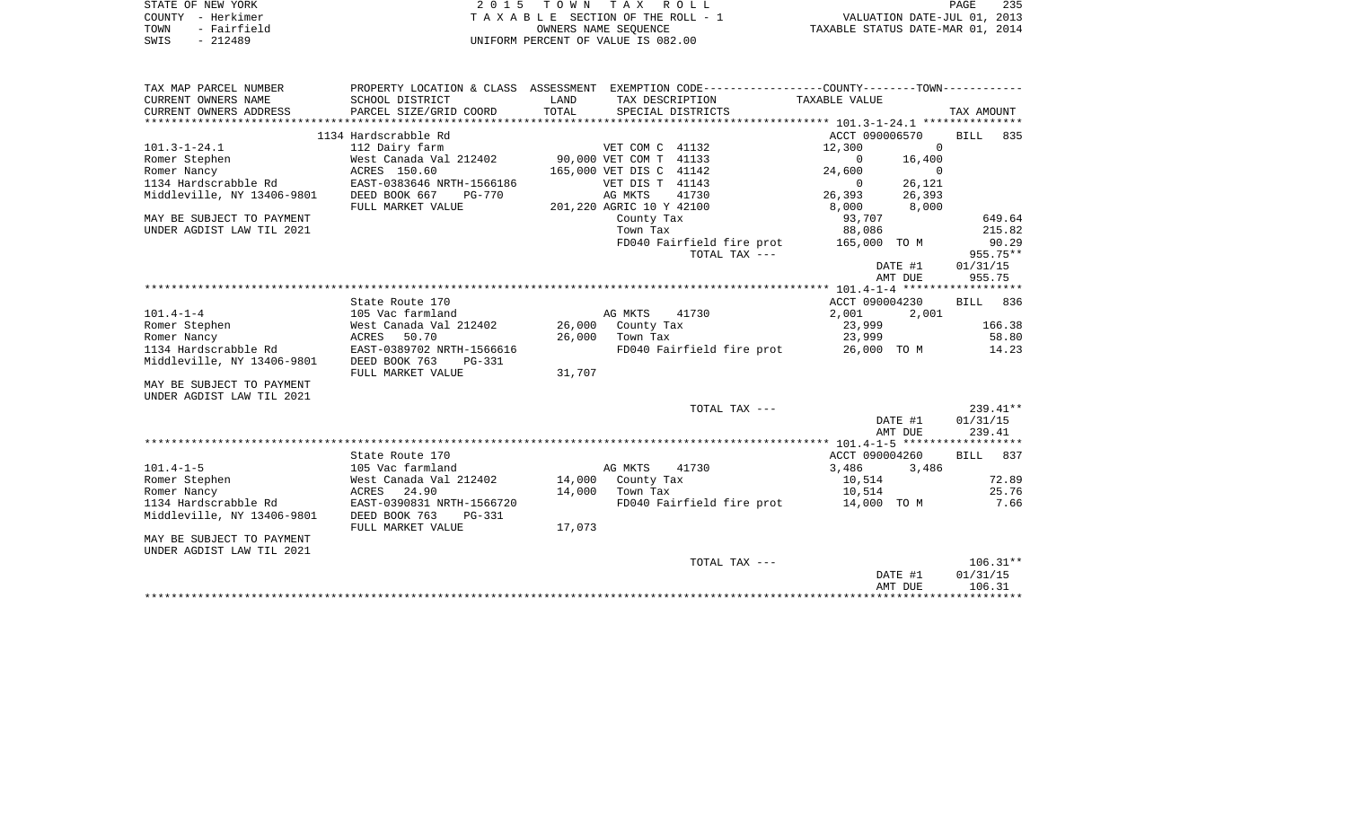|      | STATE OF NEW YORK | 2015 TOWN TAX ROLL                 | 235<br>PAGE                      |
|------|-------------------|------------------------------------|----------------------------------|
|      | COUNTY - Herkimer | TAXABLE SECTION OF THE ROLL - 1    | VALUATION DATE-JUL 01, 2013      |
| TOWN | - Fairfield       | OWNERS NAME SEOUENCE               | TAXABLE STATUS DATE-MAR 01, 2014 |
| SWIS | $-212489$         | UNIFORM PERCENT OF VALUE IS 082.00 |                                  |

| TAX MAP PARCEL NUMBER<br>CURRENT OWNERS NAME<br>CURRENT OWNERS ADDRESS | SCHOOL DISTRICT<br>PARCEL SIZE/GRID COORD | LAND<br>TOTAL | PROPERTY LOCATION & CLASS ASSESSMENT EXEMPTION CODE----------------COUNTY--------TOWN----------<br>TAX DESCRIPTION<br>SPECIAL DISTRICTS | TAXABLE VALUE          | TAX AMOUNT         |
|------------------------------------------------------------------------|-------------------------------------------|---------------|-----------------------------------------------------------------------------------------------------------------------------------------|------------------------|--------------------|
|                                                                        |                                           |               |                                                                                                                                         |                        |                    |
|                                                                        | 1134 Hardscrabble Rd                      |               |                                                                                                                                         | ACCT 090006570         | BILL<br>835        |
| $101.3 - 1 - 24.1$                                                     | 112 Dairy farm                            |               | VET COM C 41132                                                                                                                         | $\Omega$<br>12,300     |                    |
| Romer Stephen                                                          | West Canada Val 212402                    |               | 90,000 VET COM T 41133                                                                                                                  | 0<br>16,400            |                    |
| Romer Nancy                                                            | ACRES 150.60                              |               | 165,000 VET DIS C 41142                                                                                                                 | $\Omega$<br>24,600     |                    |
| 1134 Hardscrabble Rd                                                   | EAST-0383646 NRTH-1566186                 |               | VET DIS T 41143                                                                                                                         | 26,121<br>$\mathbf{0}$ |                    |
| Middleville, NY 13406-9801                                             | DEED BOOK 667<br><b>PG-770</b>            |               | 41730<br>AG MKTS                                                                                                                        | 26,393<br>26,393       |                    |
|                                                                        | FULL MARKET VALUE                         |               | 201,220 AGRIC 10 Y 42100                                                                                                                | 8,000<br>8,000         |                    |
| MAY BE SUBJECT TO PAYMENT                                              |                                           |               | County Tax                                                                                                                              | 93,707                 | 649.64             |
| UNDER AGDIST LAW TIL 2021                                              |                                           |               | Town Tax                                                                                                                                | 88,086                 | 215.82             |
|                                                                        |                                           |               | FD040 Fairfield fire prot                                                                                                               | 165,000 TO M           | 90.29              |
|                                                                        |                                           |               | TOTAL TAX ---                                                                                                                           |                        | $955.75**$         |
|                                                                        |                                           |               |                                                                                                                                         | DATE #1                | 01/31/15           |
|                                                                        |                                           |               |                                                                                                                                         | AMT DUE                | 955.75             |
|                                                                        |                                           |               |                                                                                                                                         |                        |                    |
|                                                                        | State Route 170                           |               |                                                                                                                                         | ACCT 090004230         | <b>BILL</b><br>836 |
| $101.4 - 1 - 4$                                                        | 105 Vac farmland                          |               | AG MKTS<br>41730                                                                                                                        | 2,001<br>2,001         |                    |
| Romer Stephen                                                          | West Canada Val 212402                    | 26,000        | County Tax                                                                                                                              | 23,999                 | 166.38             |
| Romer Nancy                                                            | ACRES<br>50.70                            | 26,000        | Town Tax                                                                                                                                | 23,999                 | 58.80              |
| 1134 Hardscrabble Rd                                                   | EAST-0389702 NRTH-1566616                 |               | FD040 Fairfield fire prot                                                                                                               | 26,000 TO M            | 14.23              |
| Middleville, NY 13406-9801                                             | DEED BOOK 763<br>$PG-331$                 |               |                                                                                                                                         |                        |                    |
|                                                                        | FULL MARKET VALUE                         | 31,707        |                                                                                                                                         |                        |                    |
| MAY BE SUBJECT TO PAYMENT<br>UNDER AGDIST LAW TIL 2021                 |                                           |               |                                                                                                                                         |                        |                    |
|                                                                        |                                           |               | TOTAL TAX ---                                                                                                                           |                        | $239.41**$         |
|                                                                        |                                           |               |                                                                                                                                         | DATE #1                | 01/31/15           |
|                                                                        |                                           |               |                                                                                                                                         | AMT DUE                | 239.41             |
|                                                                        |                                           |               |                                                                                                                                         |                        |                    |
|                                                                        | State Route 170                           |               |                                                                                                                                         | ACCT 090004260         | <b>BILL</b><br>837 |
| $101.4 - 1 - 5$                                                        | 105 Vac farmland                          |               | AG MKTS<br>41730                                                                                                                        | 3,486<br>3,486         |                    |
| Romer Stephen                                                          | West Canada Val 212402                    | 14,000        | County Tax                                                                                                                              | 10,514                 | 72.89              |
| Romer Nancy                                                            | <b>ACRES</b><br>24.90                     | 14,000        | Town Tax                                                                                                                                | 10,514                 | 25.76              |
| 1134 Hardscrabble Rd                                                   | EAST-0390831 NRTH-1566720                 |               | FD040 Fairfield fire prot                                                                                                               | 14,000 TO M            | 7.66               |
| Middleville, NY 13406-9801                                             | DEED BOOK 763<br>PG-331                   |               |                                                                                                                                         |                        |                    |
|                                                                        | FULL MARKET VALUE                         | 17,073        |                                                                                                                                         |                        |                    |
| MAY BE SUBJECT TO PAYMENT                                              |                                           |               |                                                                                                                                         |                        |                    |
| UNDER AGDIST LAW TIL 2021                                              |                                           |               |                                                                                                                                         |                        |                    |
|                                                                        |                                           |               | TOTAL TAX ---                                                                                                                           |                        | $106.31**$         |
|                                                                        |                                           |               |                                                                                                                                         | DATE #1                | 01/31/15           |
|                                                                        |                                           |               |                                                                                                                                         | AMT DUE                | 106.31             |
|                                                                        |                                           |               |                                                                                                                                         |                        |                    |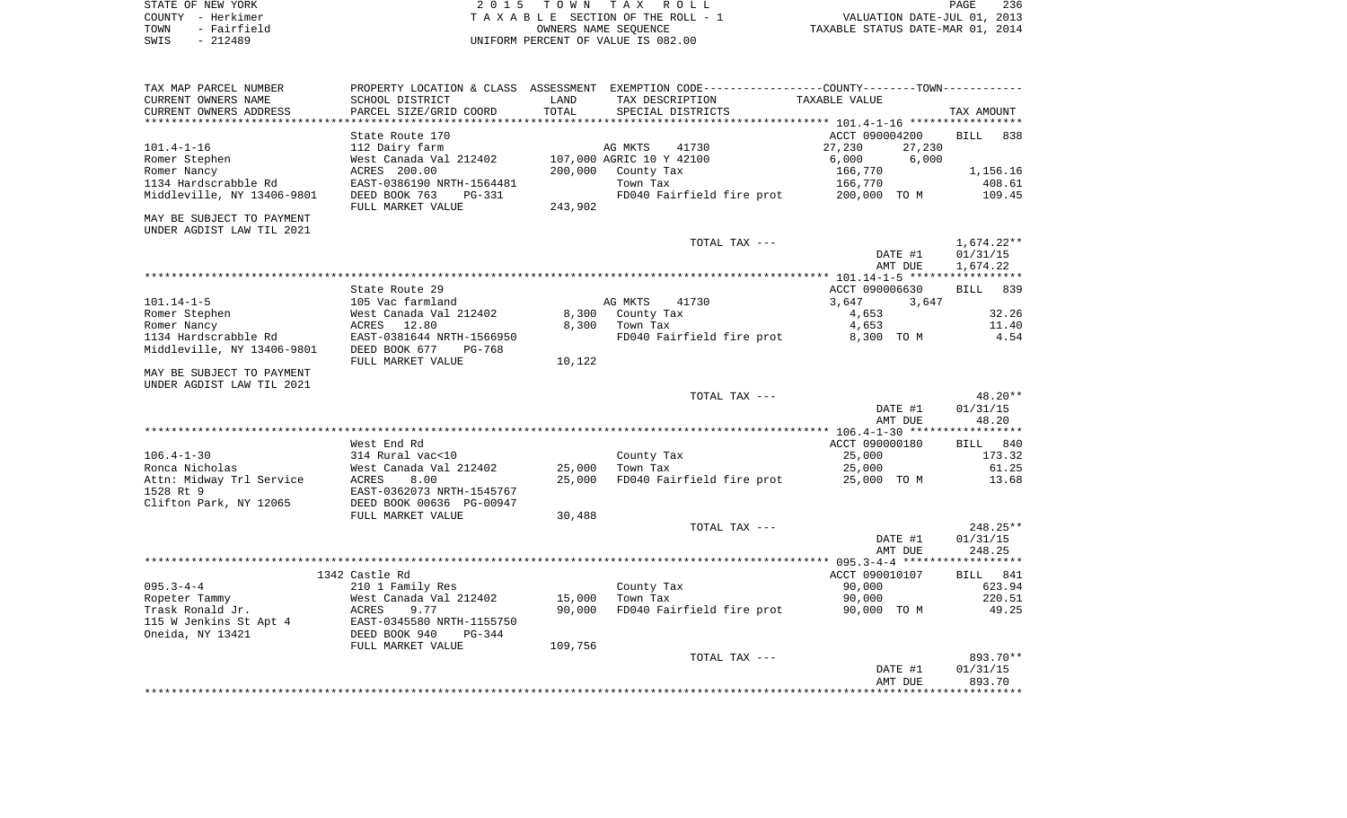|      | STATE OF NEW YORK | 2015 TOWN TAX ROLL                 | 236<br>PAGE                      |  |
|------|-------------------|------------------------------------|----------------------------------|--|
|      | COUNTY - Herkimer | TAXABLE SECTION OF THE ROLL - 1    | VALUATION DATE-JUL 01, 2013      |  |
| TOWN | - Fairfield       | OWNERS NAME SEOUENCE               | TAXABLE STATUS DATE-MAR 01, 2014 |  |
| SWIS | $-212489$         | UNIFORM PERCENT OF VALUE IS 082.00 |                                  |  |

| TAX MAP PARCEL NUMBER               |                                                       |         | PROPERTY LOCATION & CLASS ASSESSMENT EXEMPTION CODE----------------COUNTY-------TOWN----------- |                  |                    |
|-------------------------------------|-------------------------------------------------------|---------|-------------------------------------------------------------------------------------------------|------------------|--------------------|
| CURRENT OWNERS NAME                 | SCHOOL DISTRICT                                       | LAND    | TAX DESCRIPTION                                                                                 | TAXABLE VALUE    |                    |
| CURRENT OWNERS ADDRESS              | PARCEL SIZE/GRID COORD                                | TOTAL   | SPECIAL DISTRICTS                                                                               |                  | TAX AMOUNT         |
|                                     |                                                       |         |                                                                                                 |                  |                    |
|                                     | State Route 170                                       |         |                                                                                                 | ACCT 090004200   | <b>BILL</b><br>838 |
| $101.4 - 1 - 16$                    | 112 Dairy farm                                        |         | AG MKTS<br>41730                                                                                | 27,230<br>27,230 |                    |
| Romer Stephen                       | West Canada Val 212402                                |         | 107,000 AGRIC 10 Y 42100                                                                        | 6,000<br>6,000   |                    |
| Romer Nancy                         | ACRES 200.00                                          | 200,000 | County Tax                                                                                      | 166,770          | 1,156.16           |
| 1134 Hardscrabble Rd                | EAST-0386190 NRTH-1564481                             |         | Town Tax                                                                                        | 166,770          | 408.61             |
| Middleville, NY 13406-9801          | DEED BOOK 763<br>PG-331                               |         | FD040 Fairfield fire prot                                                                       | 200,000 TO M     | 109.45             |
|                                     | FULL MARKET VALUE                                     | 243,902 |                                                                                                 |                  |                    |
| MAY BE SUBJECT TO PAYMENT           |                                                       |         |                                                                                                 |                  |                    |
| UNDER AGDIST LAW TIL 2021           |                                                       |         |                                                                                                 |                  |                    |
|                                     |                                                       |         | TOTAL TAX ---                                                                                   |                  | $1,674.22**$       |
|                                     |                                                       |         |                                                                                                 | DATE #1          | 01/31/15           |
|                                     |                                                       |         |                                                                                                 | AMT DUE          | 1,674.22           |
|                                     |                                                       |         |                                                                                                 |                  | *****              |
|                                     | State Route 29                                        |         |                                                                                                 | ACCT 090006630   | <b>BILL</b><br>839 |
| $101.14 - 1 - 5$                    | 105 Vac farmland                                      |         | AG MKTS<br>41730                                                                                | 3,647<br>3,647   |                    |
| Romer Stephen                       | West Canada Val 212402                                | 8,300   | County Tax                                                                                      | 4,653            | 32.26              |
| Romer Nancy                         | 12.80<br>ACRES                                        | 8,300   | Town Tax                                                                                        | 4,653            | 11.40              |
| 1134 Hardscrabble Rd                | EAST-0381644 NRTH-1566950                             |         | FD040 Fairfield fire prot                                                                       | 8,300 TO M       | 4.54               |
| Middleville, NY 13406-9801          | DEED BOOK 677<br>$PG-768$                             |         |                                                                                                 |                  |                    |
|                                     | FULL MARKET VALUE                                     | 10,122  |                                                                                                 |                  |                    |
| MAY BE SUBJECT TO PAYMENT           |                                                       |         |                                                                                                 |                  |                    |
| UNDER AGDIST LAW TIL 2021           |                                                       |         |                                                                                                 |                  |                    |
|                                     |                                                       |         | TOTAL TAX ---                                                                                   |                  | $48.20**$          |
|                                     |                                                       |         |                                                                                                 | DATE #1          | 01/31/15           |
|                                     |                                                       |         |                                                                                                 | AMT DUE          | 48.20              |
|                                     |                                                       |         |                                                                                                 |                  |                    |
|                                     | West End Rd                                           |         |                                                                                                 | ACCT 090000180   | BILL 840           |
| $106.4 - 1 - 30$                    | 314 Rural vac<10                                      |         | County Tax                                                                                      | 25,000           | 173.32             |
| Ronca Nicholas                      | West Canada Val 212402                                | 25,000  | Town Tax                                                                                        | 25,000           | 61.25              |
|                                     |                                                       | 25,000  |                                                                                                 |                  |                    |
| Attn: Midway Trl Service            | ACRES<br>8.00                                         |         | FD040 Fairfield fire prot                                                                       | 25,000 TO M      | 13.68              |
| 1528 Rt 9<br>Clifton Park, NY 12065 | EAST-0362073 NRTH-1545767<br>DEED BOOK 00636 PG-00947 |         |                                                                                                 |                  |                    |
|                                     | FULL MARKET VALUE                                     | 30,488  |                                                                                                 |                  |                    |
|                                     |                                                       |         | TOTAL TAX ---                                                                                   |                  | 248.25**           |
|                                     |                                                       |         |                                                                                                 | DATE #1          | 01/31/15           |
|                                     |                                                       |         |                                                                                                 |                  | 248.25             |
|                                     |                                                       |         |                                                                                                 | AMT DUE          |                    |
|                                     | 1342 Castle Rd                                        |         |                                                                                                 | ACCT 090010107   | BILL 841           |
| $095.3 - 4 - 4$                     |                                                       |         |                                                                                                 | 90,000           | 623.94             |
|                                     | 210 1 Family Res                                      |         | County Tax                                                                                      |                  |                    |
| Ropeter Tammy                       | West Canada Val 212402                                | 15,000  | Town Tax                                                                                        | 90,000           | 220.51             |
| Trask Ronald Jr.                    | 9.77<br>ACRES                                         | 90,000  | FD040 Fairfield fire prot                                                                       | 90,000 TO M      | 49.25              |
| 115 W Jenkins St Apt 4              | EAST-0345580 NRTH-1155750                             |         |                                                                                                 |                  |                    |
| Oneida, NY 13421                    | DEED BOOK 940<br>$PG-344$                             |         |                                                                                                 |                  |                    |
|                                     | FULL MARKET VALUE                                     | 109,756 |                                                                                                 |                  |                    |
|                                     |                                                       |         | TOTAL TAX ---                                                                                   |                  | 893.70**           |
|                                     |                                                       |         |                                                                                                 | DATE #1          | 01/31/15           |
|                                     |                                                       |         |                                                                                                 | AMT DUE          | 893.70             |
|                                     |                                                       |         |                                                                                                 |                  |                    |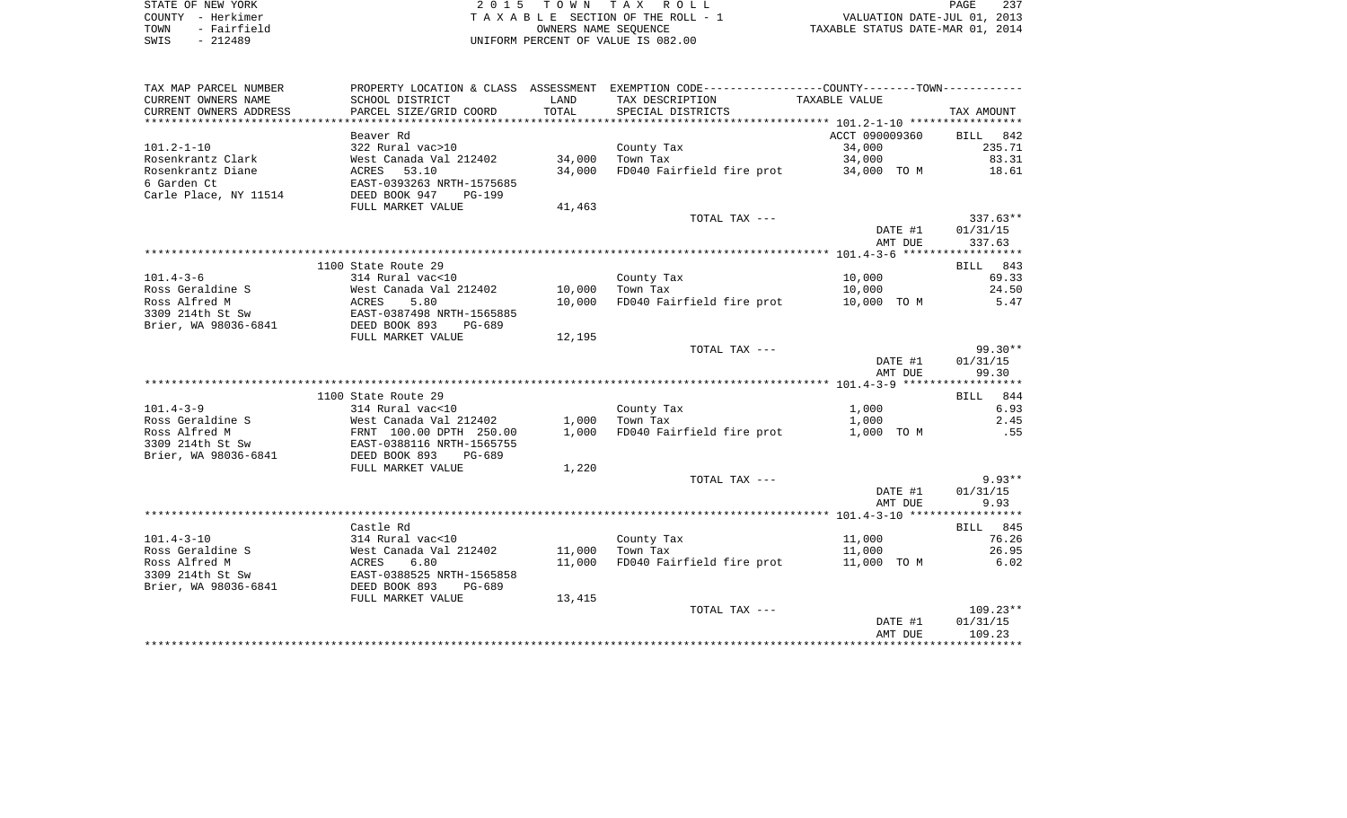| STATE OF NEW YORK   | 2015 TOWN TAX ROLL                 | 237<br>PAGE                      |
|---------------------|------------------------------------|----------------------------------|
| COUNTY - Herkimer   | TAXABLE SECTION OF THE ROLL - 1    | VALUATION DATE-JUL 01, 2013      |
| - Fairfield<br>TOWN | OWNERS NAME SEOUENCE               | TAXABLE STATUS DATE-MAR 01, 2014 |
| $-212489$<br>SWIS   | UNIFORM PERCENT OF VALUE IS 082.00 |                                  |

| TAX MAP PARCEL NUMBER  |                                                                                |        | PROPERTY LOCATION & CLASS ASSESSMENT EXEMPTION CODE----------------COUNTY--------TOWN---------- |                |            |
|------------------------|--------------------------------------------------------------------------------|--------|-------------------------------------------------------------------------------------------------|----------------|------------|
| CURRENT OWNERS NAME    | SCHOOL DISTRICT                                                                | LAND   | TAX DESCRIPTION                                                                                 | TAXABLE VALUE  |            |
| CURRENT OWNERS ADDRESS | PARCEL SIZE/GRID COORD                                                         | TOTAL  | SPECIAL DISTRICTS                                                                               |                | TAX AMOUNT |
|                        |                                                                                |        |                                                                                                 |                |            |
|                        | Beaver Rd                                                                      |        |                                                                                                 | ACCT 090009360 | BILL 842   |
| $101.2 - 1 - 10$       | 322 Rural vac>10                                                               |        | County Tax                                                                                      | 34,000         | 235.71     |
| Rosenkrantz Clark      | West Canada Val 212402                                                         | 34,000 | Town Tax                                                                                        | 34,000         | 83.31      |
| Rosenkrantz Diane      | West Canada Va<br>ACRES    53.10                                               | 34,000 | FD040 Fairfield fire prot 34,000 TO M                                                           |                | 18.61      |
| 6 Garden Ct            |                                                                                |        |                                                                                                 |                |            |
| Carle Place, NY 11514  | EAST-0393263 NRTH-1575685<br>DEED BOOK 947 PG-199<br>DEED BOOK 947<br>$PG-199$ |        |                                                                                                 |                |            |
|                        | FULL MARKET VALUE                                                              | 41,463 |                                                                                                 |                |            |
|                        |                                                                                |        | TOTAL TAX ---                                                                                   |                | $337.63**$ |
|                        |                                                                                |        |                                                                                                 | DATE #1        | 01/31/15   |
|                        |                                                                                |        |                                                                                                 | AMT DUE        | 337.63     |
|                        |                                                                                |        |                                                                                                 |                |            |
|                        | 1100 State Route 29                                                            |        |                                                                                                 |                | BILL 843   |
| $101.4 - 3 - 6$        | 314 Rural vac<10                                                               |        | County Tax                                                                                      | 10,000         | 69.33      |
| Ross Geraldine S       | West Canada Val 212402 10,000 Town Tax                                         |        |                                                                                                 | 10,000         | 24.50      |
| Ross Alfred M          | ACRES<br>5.80                                                                  | 10,000 | FD040 Fairfield fire prot 10,000 TO M                                                           |                | 5.47       |
| 3309 214th St Sw       | EAST-0387498 NRTH-1565885                                                      |        |                                                                                                 |                |            |
| Brier, WA 98036-6841   | DEED BOOK 893<br>PG-689                                                        |        |                                                                                                 |                |            |
|                        | FULL MARKET VALUE                                                              | 12,195 |                                                                                                 |                |            |
|                        |                                                                                |        | TOTAL TAX ---                                                                                   |                | 99.30**    |
|                        |                                                                                |        |                                                                                                 | DATE #1        | 01/31/15   |
|                        |                                                                                |        |                                                                                                 | AMT DUE        | 99.30      |
|                        |                                                                                |        |                                                                                                 |                |            |
|                        | 1100 State Route 29                                                            |        |                                                                                                 |                | BILL 844   |
| $101.4 - 3 - 9$        | 314 Rural vac<10                                                               |        | County Tax                                                                                      | 1,000          | 6.93       |
| Ross Geraldine S       | West Canada Val 212402                                                         |        | $1,000$ Town Tax                                                                                | 1,000          | 2.45       |
| Ross Alfred M          |                                                                                | 1,000  | FD040 Fairfield fire prot 1,000 TO M                                                            |                | .55        |
| 3309 214th St Sw       | FRNT 100.00 DPTH 250.00<br>EAST-0388116 NRTH-1565755                           |        |                                                                                                 |                |            |
| Brier, WA 98036-6841   | DEED BOOK 893<br>PG-689                                                        |        |                                                                                                 |                |            |
|                        |                                                                                |        |                                                                                                 |                |            |
|                        | FULL MARKET VALUE                                                              | 1,220  |                                                                                                 |                | $9.93**$   |
|                        |                                                                                |        | TOTAL TAX ---                                                                                   |                | 01/31/15   |
|                        |                                                                                |        |                                                                                                 | DATE #1        |            |
|                        |                                                                                |        |                                                                                                 | AMT DUE        | 9.93       |
|                        |                                                                                |        |                                                                                                 |                |            |
|                        | Castle Rd                                                                      |        |                                                                                                 |                | BILL 845   |
| $101.4 - 3 - 10$       | 314 Rural vac<10                                                               |        | County Tax                                                                                      | 11,000         | 76.26      |
| Ross Geraldine S       |                                                                                | 11,000 | Town Tax                                                                                        | 11,000         | 26.95      |
| Ross Alfred M          |                                                                                | 11,000 | FD040 Fairfield fire prot 11,000 TO M                                                           |                | 6.02       |
| 3309 214th St Sw       |                                                                                |        |                                                                                                 |                |            |
| Brier, WA 98036-6841   |                                                                                |        |                                                                                                 |                |            |
|                        | FULL MARKET VALUE                                                              | 13,415 |                                                                                                 |                |            |
|                        |                                                                                |        | TOTAL TAX ---                                                                                   |                | $109.23**$ |
|                        |                                                                                |        |                                                                                                 | DATE #1        | 01/31/15   |
|                        |                                                                                |        |                                                                                                 | AMT DUE        | 109.23     |
|                        |                                                                                |        |                                                                                                 |                |            |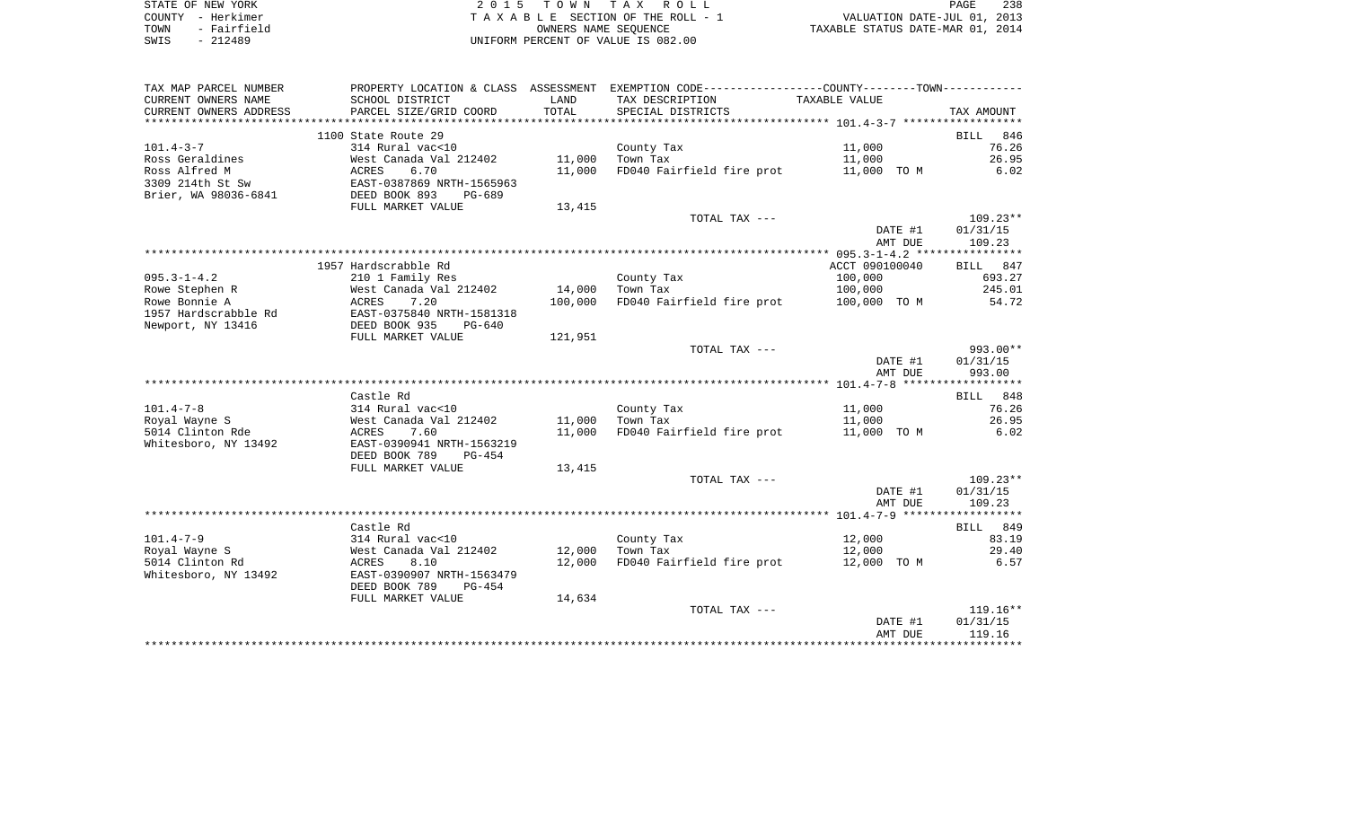| STATE OF NEW YORK   | 2015 TOWN TAX ROLL                 | 238<br>PAGE                      |
|---------------------|------------------------------------|----------------------------------|
| COUNTY - Herkimer   | TAXABLE SECTION OF THE ROLL - 1    | VALUATION DATE-JUL 01, 2013      |
| - Fairfield<br>TOWN | OWNERS NAME SEOUENCE               | TAXABLE STATUS DATE-MAR 01, 2014 |
| SWIS<br>$-212489$   | UNIFORM PERCENT OF VALUE IS 082.00 |                                  |

| TAX MAP PARCEL NUMBER                    |                                            |         | PROPERTY LOCATION & CLASS ASSESSMENT EXEMPTION CODE----------------COUNTY--------TOWN---------- |                |                |
|------------------------------------------|--------------------------------------------|---------|-------------------------------------------------------------------------------------------------|----------------|----------------|
| CURRENT OWNERS NAME                      | SCHOOL DISTRICT                            | LAND    | TAX DESCRIPTION                                                                                 | TAXABLE VALUE  |                |
| CURRENT OWNERS ADDRESS                   | PARCEL SIZE/GRID COORD                     | TOTAL   | SPECIAL DISTRICTS                                                                               |                | TAX AMOUNT     |
|                                          |                                            |         |                                                                                                 |                |                |
|                                          | 1100 State Route 29                        |         |                                                                                                 |                | 846<br>BILL    |
| $101.4 - 3 - 7$                          | 314 Rural vac<10                           |         | County Tax                                                                                      | 11,000         | 76.26          |
| Ross Geraldines                          | West Canada Val 212402                     | 11,000  | Town Tax                                                                                        | 11,000         | 26.95          |
| Ross Alfred M                            | 6.70<br>ACRES                              | 11,000  | FD040 Fairfield fire prot                                                                       | 11,000 TO M    | 6.02           |
| 3309 214th St Sw                         | EAST-0387869 NRTH-1565963                  |         |                                                                                                 |                |                |
| Brier, WA 98036-6841                     | DEED BOOK 893<br>PG-689                    |         |                                                                                                 |                |                |
|                                          | FULL MARKET VALUE                          | 13,415  |                                                                                                 |                |                |
|                                          |                                            |         | TOTAL TAX ---                                                                                   |                | $109.23**$     |
|                                          |                                            |         |                                                                                                 | DATE #1        | 01/31/15       |
|                                          |                                            |         |                                                                                                 | AMT DUE        | 109.23         |
|                                          |                                            |         |                                                                                                 |                |                |
|                                          | 1957 Hardscrabble Rd                       |         |                                                                                                 | ACCT 090100040 | BILL 847       |
| $095.3 - 1 - 4.2$                        | 210 1 Family Res                           |         | County Tax                                                                                      | 100,000        | 693.27         |
| Rowe Stephen R                           | West Canada Val 212402                     | 14,000  | Town Tax                                                                                        | 100,000        | 245.01         |
| Rowe Bonnie A                            | ACRES<br>7.20                              | 100,000 | FD040 Fairfield fire prot 100,000 TO M                                                          |                | 54.72          |
| 1957 Hardscrabble Rd                     | EAST-0375840 NRTH-1581318                  |         |                                                                                                 |                |                |
| Newport, NY 13416                        | DEED BOOK 935<br>PG-640                    |         |                                                                                                 |                |                |
|                                          | FULL MARKET VALUE                          | 121,951 |                                                                                                 |                |                |
|                                          |                                            |         | TOTAL TAX ---                                                                                   |                | $993.00**$     |
|                                          |                                            |         |                                                                                                 | DATE #1        | 01/31/15       |
|                                          |                                            |         |                                                                                                 | AMT DUE        | 993.00         |
|                                          |                                            |         |                                                                                                 |                |                |
|                                          | Castle Rd                                  |         |                                                                                                 |                | BILL 848       |
| $101.4 - 7 - 8$                          | 314 Rural vac<10                           |         | County Tax                                                                                      | 11,000         | 76.26<br>26.95 |
| Royal Wayne S                            | West Canada Val 212402                     | 11,000  | Town Tax<br>FD040 Fairfield fire prot 11,000 TO M                                               | 11,000         |                |
| 5014 Clinton Rde<br>Whitesboro, NY 13492 | ACRES<br>7.60<br>EAST-0390941 NRTH-1563219 | 11,000  |                                                                                                 |                | 6.02           |
|                                          | DEED BOOK 789<br>PG-454                    |         |                                                                                                 |                |                |
|                                          | FULL MARKET VALUE                          |         |                                                                                                 |                |                |
|                                          |                                            | 13,415  | TOTAL TAX ---                                                                                   |                | $109.23**$     |
|                                          |                                            |         |                                                                                                 | DATE #1        | 01/31/15       |
|                                          |                                            |         |                                                                                                 | AMT DUE        | 109.23         |
|                                          |                                            |         |                                                                                                 |                |                |
|                                          | Castle Rd                                  |         |                                                                                                 |                | BILL 849       |
| $101.4 - 7 - 9$                          | 314 Rural vac<10                           |         | County Tax                                                                                      | 12,000         | 83.19          |
| Royal Wayne S                            | West Canada Val 212402                     | 12,000  | Town Tax                                                                                        | 12,000         | 29.40          |
| 5014 Clinton Rd                          | 8.10<br>ACRES                              | 12,000  | FD040 Fairfield fire prot                                                                       | 12,000 TO M    | 6.57           |
| Whitesboro, NY 13492                     | EAST-0390907 NRTH-1563479                  |         |                                                                                                 |                |                |
|                                          | DEED BOOK 789<br>$PG-454$                  |         |                                                                                                 |                |                |
|                                          | FULL MARKET VALUE                          | 14,634  |                                                                                                 |                |                |
|                                          |                                            |         | TOTAL TAX ---                                                                                   |                | $119.16**$     |
|                                          |                                            |         |                                                                                                 | DATE #1        | 01/31/15       |
|                                          |                                            |         |                                                                                                 | AMT DUE        | 119.16         |
|                                          |                                            |         |                                                                                                 |                |                |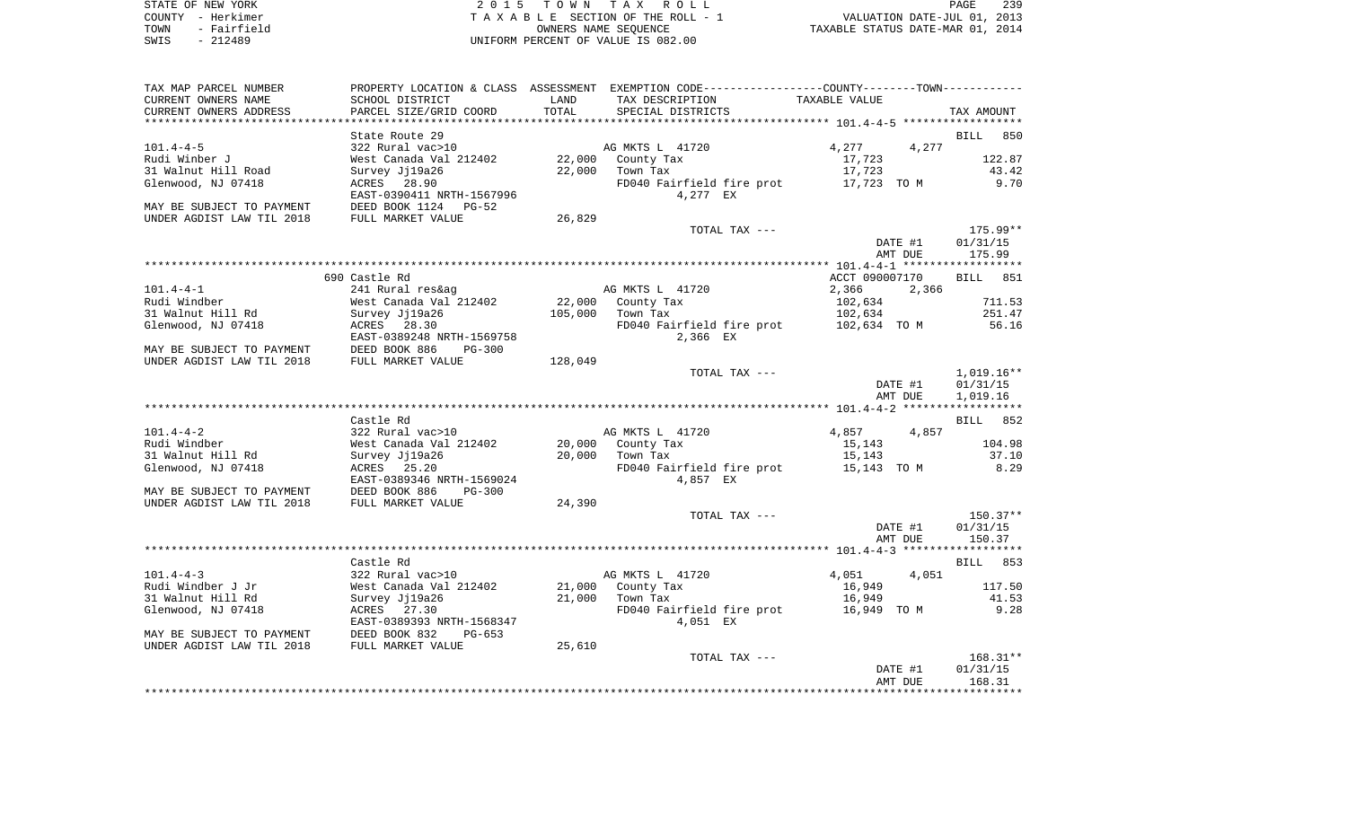|      | STATE OF NEW YORK | 2015 TOWN TAX ROLL                 | 239<br>PAGE                      |
|------|-------------------|------------------------------------|----------------------------------|
|      | COUNTY - Herkimer | TAXABLE SECTION OF THE ROLL - 1    | VALUATION DATE-JUL 01, 2013      |
| TOWN | - Fairfield       | OWNERS NAME SEOUENCE               | TAXABLE STATUS DATE-MAR 01, 2014 |
| SWIS | $-212489$         | UNIFORM PERCENT OF VALUE IS 082.00 |                                  |

| TAX MAP PARCEL NUMBER     |                           |         | PROPERTY LOCATION & CLASS ASSESSMENT EXEMPTION CODE----------------COUNTY--------TOWN---------- |                |                    |
|---------------------------|---------------------------|---------|-------------------------------------------------------------------------------------------------|----------------|--------------------|
| CURRENT OWNERS NAME       | SCHOOL DISTRICT           | LAND    | TAX DESCRIPTION                                                                                 | TAXABLE VALUE  |                    |
| CURRENT OWNERS ADDRESS    | PARCEL SIZE/GRID COORD    | TOTAL   | SPECIAL DISTRICTS                                                                               |                | TAX AMOUNT         |
|                           |                           |         |                                                                                                 |                |                    |
|                           | State Route 29            |         |                                                                                                 |                | <b>BILL</b><br>850 |
| $101.4 - 4 - 5$           | 322 Rural vac>10          |         | AG MKTS L 41720                                                                                 | 4,277          | 4,277              |
| Rudi Winber J             | West Canada Val 212402    | 22,000  | County Tax                                                                                      | 17,723         | 122.87             |
| 31 Walnut Hill Road       | Survey Jj19a26            | 22,000  | Town Tax                                                                                        | 17,723         | 43.42              |
| Glenwood, NJ 07418        | ACRES 28.90               |         | FD040 Fairfield fire prot                                                                       | 17,723 TO M    | 9.70               |
|                           | EAST-0390411 NRTH-1567996 |         | 4,277 EX                                                                                        |                |                    |
| MAY BE SUBJECT TO PAYMENT | DEED BOOK 1124<br>$PG-52$ |         |                                                                                                 |                |                    |
| UNDER AGDIST LAW TIL 2018 | FULL MARKET VALUE         | 26,829  |                                                                                                 |                |                    |
|                           |                           |         | TOTAL TAX ---                                                                                   |                | 175.99**           |
|                           |                           |         |                                                                                                 | DATE #1        | 01/31/15           |
|                           |                           |         |                                                                                                 | AMT DUE        | 175.99             |
|                           |                           |         |                                                                                                 |                |                    |
|                           | 690 Castle Rd             |         |                                                                                                 | ACCT 090007170 | <b>BILL</b> 851    |
| $101.4 - 4 - 1$           | 241 Rural res&ag          |         | AG MKTS L 41720                                                                                 | 2,366          | 2,366              |
| Rudi Windber              | West Canada Val 212402    | 22,000  | County Tax                                                                                      | 102,634        | 711.53             |
| 31 Walnut Hill Rd         | Survey Jj19a26            | 105,000 | Town Tax                                                                                        | 102,634        | 251.47             |
| Glenwood, NJ 07418        | ACRES 28.30               |         | FD040 Fairfield fire prot                                                                       | 102,634 TO M   | 56.16              |
|                           | EAST-0389248 NRTH-1569758 |         | 2,366 EX                                                                                        |                |                    |
| MAY BE SUBJECT TO PAYMENT | DEED BOOK 886<br>$PG-300$ |         |                                                                                                 |                |                    |
| UNDER AGDIST LAW TIL 2018 | FULL MARKET VALUE         | 128,049 |                                                                                                 |                |                    |
|                           |                           |         | TOTAL TAX ---                                                                                   |                | $1,019.16**$       |
|                           |                           |         |                                                                                                 | DATE #1        | 01/31/15           |
|                           |                           |         |                                                                                                 | AMT DUE        |                    |
|                           |                           |         |                                                                                                 |                | 1,019.16           |
|                           | Castle Rd                 |         |                                                                                                 |                | BILL 852           |
|                           |                           |         |                                                                                                 |                |                    |
| $101.4 - 4 - 2$           | 322 Rural vac>10          |         | AG MKTS L 41720                                                                                 | 4,857          | 4,857              |
| Rudi Windber              | West Canada Val 212402    | 20,000  | County Tax                                                                                      | 15,143         | 104.98             |
| 31 Walnut Hill Rd         | Survey Jj19a26            | 20,000  | Town Tax                                                                                        | 15,143         | 37.10              |
| Glenwood, NJ 07418        | ACRES 25.20               |         | FD040 Fairfield fire prot                                                                       | 15,143 TO M    | 8.29               |
|                           | EAST-0389346 NRTH-1569024 |         | 4,857 EX                                                                                        |                |                    |
| MAY BE SUBJECT TO PAYMENT | DEED BOOK 886<br>$PG-300$ |         |                                                                                                 |                |                    |
| UNDER AGDIST LAW TIL 2018 | FULL MARKET VALUE         | 24,390  |                                                                                                 |                |                    |
|                           |                           |         | TOTAL TAX ---                                                                                   |                | $150.37**$         |
|                           |                           |         |                                                                                                 | DATE #1        | 01/31/15           |
|                           |                           |         |                                                                                                 | AMT DUE        | 150.37             |
|                           |                           |         |                                                                                                 |                |                    |
|                           | Castle Rd                 |         |                                                                                                 |                | BILL 853           |
| $101.4 - 4 - 3$           | 322 Rural vac>10          |         | AG MKTS L 41720                                                                                 | 4,051          | 4,051              |
| Rudi Windber J Jr         | West Canada Val 212402    | 21,000  | County Tax                                                                                      | 16,949         | 117.50             |
| 31 Walnut Hill Rd         | Survey Jj19a26            | 21,000  | Town Tax                                                                                        | 16,949         | 41.53              |
| Glenwood, NJ 07418        | ACRES 27.30               |         | FD040 Fairfield fire prot                                                                       | 16,949 TO M    | 9.28               |
|                           | EAST-0389393 NRTH-1568347 |         | 4,051 EX                                                                                        |                |                    |
| MAY BE SUBJECT TO PAYMENT | DEED BOOK 832<br>$PG-653$ |         |                                                                                                 |                |                    |
| UNDER AGDIST LAW TIL 2018 | FULL MARKET VALUE         | 25,610  |                                                                                                 |                |                    |
|                           |                           |         | TOTAL TAX ---                                                                                   |                | $168.31**$         |
|                           |                           |         |                                                                                                 | DATE #1        | 01/31/15           |
|                           |                           |         |                                                                                                 | AMT DUE        | 168.31             |
|                           |                           |         |                                                                                                 |                |                    |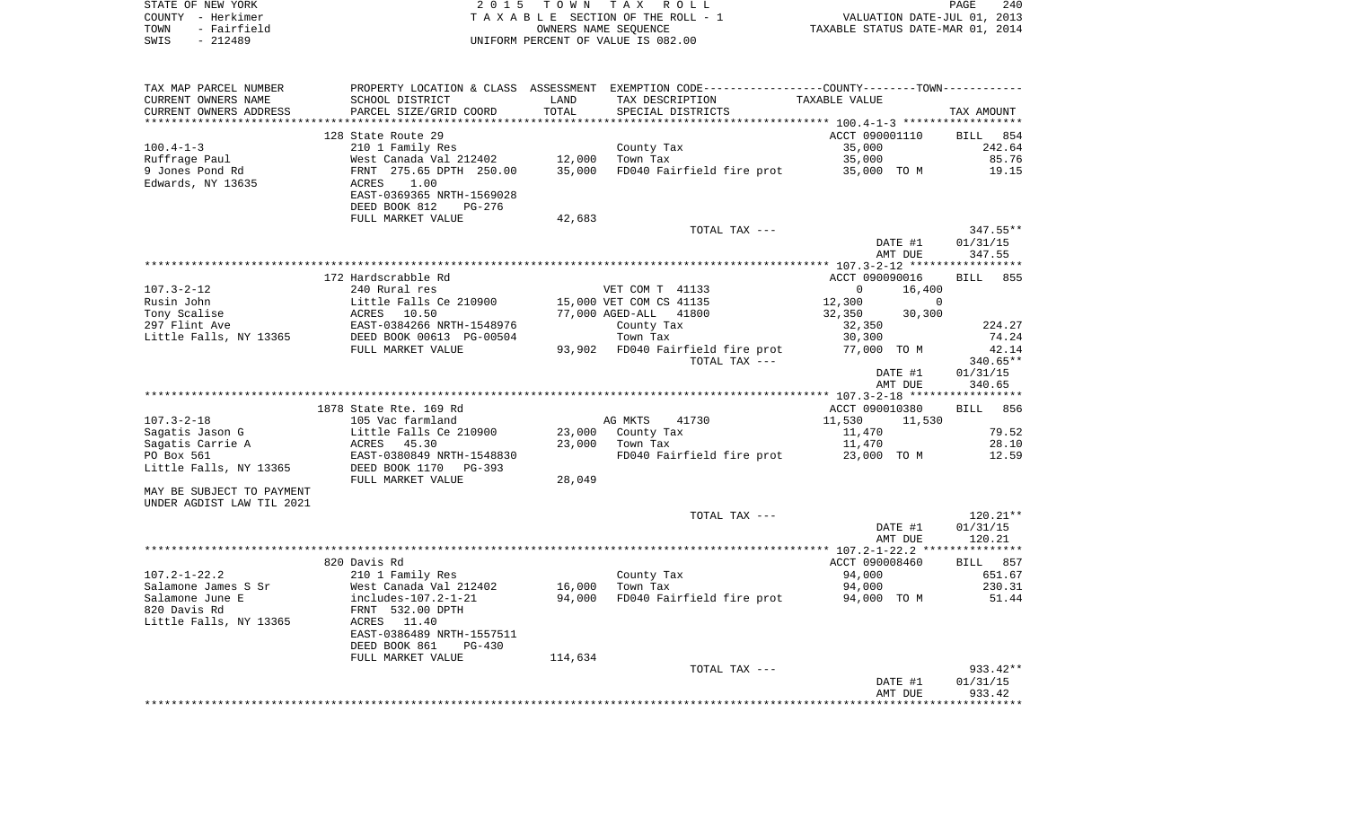| STATE OF NEW YORK   | 2015 TOWN TAX ROLL                 | 240<br>PAGE                      |
|---------------------|------------------------------------|----------------------------------|
| COUNTY - Herkimer   | TAXABLE SECTION OF THE ROLL - 1    | VALUATION DATE-JUL 01, 2013      |
| TOWN<br>- Fairfield | OWNERS NAME SEOUENCE               | TAXABLE STATUS DATE-MAR 01, 2014 |
| - 212489<br>SWIS    | UNIFORM PERCENT OF VALUE IS 082.00 |                                  |

| TAX MAP PARCEL NUMBER     |                                                       |         | PROPERTY LOCATION & CLASS ASSESSMENT EXEMPTION CODE----------------COUNTY-------TOWN--------- |                    |             |
|---------------------------|-------------------------------------------------------|---------|-----------------------------------------------------------------------------------------------|--------------------|-------------|
| CURRENT OWNERS NAME       | SCHOOL DISTRICT                                       | LAND    | TAX DESCRIPTION                                                                               | TAXABLE VALUE      |             |
| CURRENT OWNERS ADDRESS    | PARCEL SIZE/GRID COORD                                | TOTAL   | SPECIAL DISTRICTS                                                                             |                    | TAX AMOUNT  |
|                           |                                                       |         |                                                                                               |                    |             |
|                           | 128 State Route 29                                    |         |                                                                                               | ACCT 090001110     | BILL 854    |
| $100.4 - 1 - 3$           | 210 1 Family Res                                      |         | County Tax                                                                                    | 35,000             | 242.64      |
| Ruffrage Paul             | West Canada Val 212402                                | 12,000  | Town Tax                                                                                      | 35,000             | 85.76       |
| 9 Jones Pond Rd           | FRNT 275.65 DPTH 250.00                               | 35,000  | FD040 Fairfield fire prot                                                                     | 35,000 TO M        | 19.15       |
| Edwards, NY 13635         | 1.00<br>ACRES                                         |         |                                                                                               |                    |             |
|                           | EAST-0369365 NRTH-1569028                             |         |                                                                                               |                    |             |
|                           | DEED BOOK 812<br>PG-276                               |         |                                                                                               |                    |             |
|                           | FULL MARKET VALUE                                     | 42,683  |                                                                                               |                    |             |
|                           |                                                       |         | TOTAL TAX ---                                                                                 |                    | $347.55**$  |
|                           |                                                       |         |                                                                                               | DATE #1            | 01/31/15    |
|                           |                                                       |         |                                                                                               | AMT DUE            | 347.55      |
|                           |                                                       |         |                                                                                               |                    |             |
|                           | 172 Hardscrabble Rd                                   |         |                                                                                               | ACCT 090090016     | BILL<br>855 |
| $107.3 - 2 - 12$          |                                                       |         |                                                                                               | $\circ$            |             |
|                           | 240 Rural res                                         |         | VET COM T 41133                                                                               | 16,400             |             |
| Rusin John                | Little Falls Ce 210900                                |         | 15,000 VET COM CS 41135                                                                       | 12,300<br>$\Omega$ |             |
| Tony Scalise              | ACRES 10.50                                           |         | 77,000 AGED-ALL 41800                                                                         | 32,350<br>30,300   |             |
| 297 Flint Ave             | EAST-0384266 NRTH-1548976<br>DEED BOOK 00613 PG-00504 |         | County Tax                                                                                    | 32,350             | 224.27      |
| Little Falls, NY 13365    |                                                       |         | Town Tax                                                                                      | 30,300             | 74.24       |
|                           | FULL MARKET VALUE                                     |         | 93,902 FD040 Fairfield fire prot                                                              | 77,000 TO M        | 42.14       |
|                           |                                                       |         | TOTAL TAX ---                                                                                 |                    | 340.65**    |
|                           |                                                       |         |                                                                                               | DATE #1            | 01/31/15    |
|                           |                                                       |         |                                                                                               | AMT DUE            | 340.65      |
|                           |                                                       |         |                                                                                               |                    |             |
|                           | 1878 State Rte. 169 Rd                                |         |                                                                                               | ACCT 090010380     | BILL 856    |
| $107.3 - 2 - 18$          | 105 Vac farmland                                      |         | AG MKTS<br>41730                                                                              | 11,530<br>11,530   |             |
| Sagatis Jason G           | Little Falls Ce 210900                                |         | 23,000 County Tax                                                                             | 11,470             | 79.52       |
| Sagatis Carrie A          | ACRES<br>45.30                                        |         | 23,000 Town Tax                                                                               | 11,470             | 28.10       |
| PO Box 561                | EAST-0380849 NRTH-1548830                             |         | FD040 Fairfield fire prot                                                                     | 23,000 TO M        | 12.59       |
| Little Falls, NY 13365    | DEED BOOK 1170<br>PG-393                              |         |                                                                                               |                    |             |
|                           | FULL MARKET VALUE                                     | 28,049  |                                                                                               |                    |             |
| MAY BE SUBJECT TO PAYMENT |                                                       |         |                                                                                               |                    |             |
| UNDER AGDIST LAW TIL 2021 |                                                       |         |                                                                                               |                    |             |
|                           |                                                       |         | TOTAL TAX ---                                                                                 |                    | $120.21**$  |
|                           |                                                       |         |                                                                                               | DATE #1            | 01/31/15    |
|                           |                                                       |         |                                                                                               | AMT DUE            | 120.21      |
|                           |                                                       |         |                                                                                               |                    |             |
|                           | 820 Davis Rd                                          |         |                                                                                               | ACCT 090008460     | BILL 857    |
| $107.2 - 1 - 22.2$        | 210 1 Family Res                                      |         | County Tax                                                                                    | 94,000             | 651.67      |
|                           | West Canada Val 212402                                |         |                                                                                               |                    | 230.31      |
| Salamone James S Sr       |                                                       | 16,000  | Town Tax                                                                                      | 94,000             |             |
| Salamone June E           | includes-107.2-1-21                                   | 94,000  | FD040 Fairfield fire prot                                                                     | 94,000 TO M        | 51.44       |
| 820 Davis Rd              | FRNT 532.00 DPTH                                      |         |                                                                                               |                    |             |
| Little Falls, NY 13365    | ACRES 11.40                                           |         |                                                                                               |                    |             |
|                           | EAST-0386489 NRTH-1557511                             |         |                                                                                               |                    |             |
|                           | DEED BOOK 861<br>$PG-430$                             |         |                                                                                               |                    |             |
|                           | FULL MARKET VALUE                                     | 114,634 |                                                                                               |                    |             |
|                           |                                                       |         | TOTAL TAX ---                                                                                 |                    | 933.42**    |
|                           |                                                       |         |                                                                                               | DATE #1            | 01/31/15    |
|                           |                                                       |         |                                                                                               | AMT DUE            | 933.42      |
|                           |                                                       |         |                                                                                               |                    |             |
|                           |                                                       |         |                                                                                               |                    |             |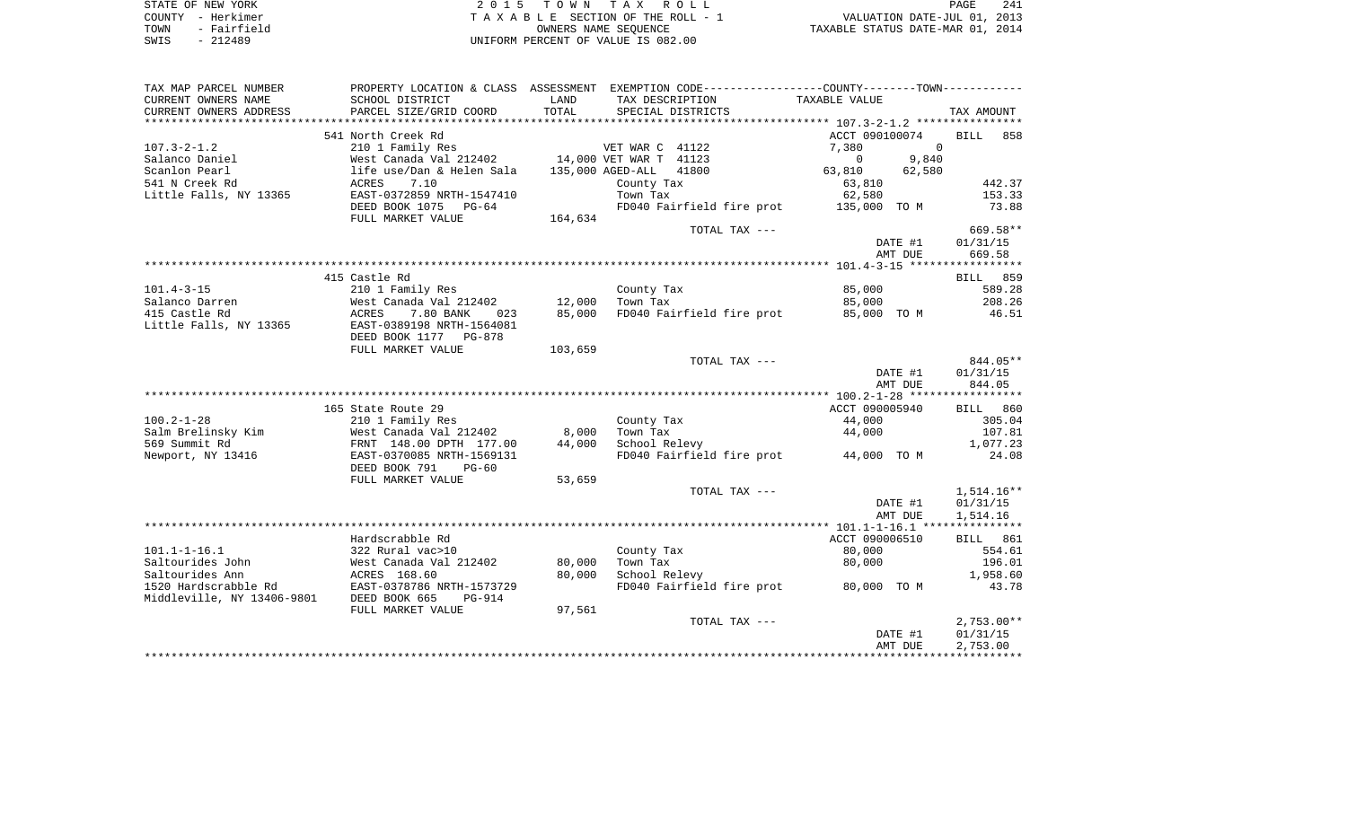| STATE OF NEW YORK   | 2015 TOWN TAX ROLL                 | 241<br>PAGE                      |
|---------------------|------------------------------------|----------------------------------|
| COUNTY - Herkimer   | TAXABLE SECTION OF THE ROLL - 1    | VALUATION DATE-JUL 01, 2013      |
| - Fairfield<br>TOWN | OWNERS NAME SEOUENCE               | TAXABLE STATUS DATE-MAR 01, 2014 |
| $-212489$<br>SWIS   | UNIFORM PERCENT OF VALUE IS 082.00 |                                  |

| TAX MAP PARCEL NUMBER                         |                                                        |               | PROPERTY LOCATION & CLASS ASSESSMENT EXEMPTION CODE----------------COUNTY--------TOWN---------- |                    |                      |
|-----------------------------------------------|--------------------------------------------------------|---------------|-------------------------------------------------------------------------------------------------|--------------------|----------------------|
| CURRENT OWNERS NAME<br>CURRENT OWNERS ADDRESS | SCHOOL DISTRICT<br>PARCEL SIZE/GRID COORD              | LAND<br>TOTAL | TAX DESCRIPTION<br>SPECIAL DISTRICTS                                                            | TAXABLE VALUE      | TAX AMOUNT           |
| *************************                     |                                                        |               |                                                                                                 |                    |                      |
|                                               | 541 North Creek Rd                                     |               |                                                                                                 | ACCT 090100074     | BILL<br>858          |
| $107.3 - 2 - 1.2$                             | 210 1 Family Res                                       |               | VET WAR C 41122                                                                                 | 7,380<br>$\Omega$  |                      |
| Salanco Daniel                                | West Canada Val 212402 14,000 VET WAR T 41123          |               |                                                                                                 | 9,840<br>$\Omega$  |                      |
| Scanlon Pearl                                 | life use/Dan & Helen Sala                              |               | 41800<br>135,000 AGED-ALL                                                                       | 63,810<br>62,580   |                      |
| 541 N Creek Rd                                | ACRES<br>7.10                                          |               | County Tax                                                                                      | 63,810             | 442.37               |
| Little Falls, NY 13365                        | EAST-0372859 NRTH-1547410                              |               | Town Tax                                                                                        | 62,580             | 153.33               |
|                                               | DEED BOOK 1075 PG-64                                   |               | FD040 Fairfield fire prot 135,000 TO M                                                          |                    | 73.88                |
|                                               | FULL MARKET VALUE                                      | 164,634       |                                                                                                 |                    |                      |
|                                               |                                                        |               | TOTAL TAX ---                                                                                   |                    | 669.58**             |
|                                               |                                                        |               |                                                                                                 | DATE #1            | 01/31/15             |
|                                               |                                                        |               |                                                                                                 | AMT DUE            | 669.58               |
|                                               |                                                        |               |                                                                                                 |                    |                      |
|                                               | 415 Castle Rd                                          |               |                                                                                                 |                    | 859<br>BILL          |
| $101.4 - 3 - 15$                              | 210 1 Family Res                                       |               | County Tax                                                                                      | 85,000             | 589.28               |
| Salanco Darren                                | West Canada Val 212402                                 | 12,000        | Town Tax<br>FD040 Fairfield fire prot                                                           | 85,000             | 208.26               |
| 415 Castle Rd<br>Little Falls, NY 13365       | ACRES<br>7.80 BANK<br>023<br>EAST-0389198 NRTH-1564081 | 85,000        |                                                                                                 | 85,000 TO M        | 46.51                |
|                                               | DEED BOOK 1177 PG-878                                  |               |                                                                                                 |                    |                      |
|                                               | FULL MARKET VALUE                                      | 103,659       |                                                                                                 |                    |                      |
|                                               |                                                        |               | TOTAL TAX ---                                                                                   |                    | 844.05**             |
|                                               |                                                        |               |                                                                                                 | DATE #1            | 01/31/15             |
|                                               |                                                        |               |                                                                                                 | AMT DUE            | 844.05               |
|                                               |                                                        |               |                                                                                                 |                    |                      |
|                                               | 165 State Route 29                                     |               |                                                                                                 | ACCT 090005940     | BILL 860             |
| $100.2 - 1 - 28$                              | 210 1 Family Res                                       |               | County Tax                                                                                      | 44,000             | 305.04               |
| Salm Brelinsky Kim                            | West Canada Val 212402                                 | 8,000         | Town Tax                                                                                        | 44,000             | 107.81               |
| 569 Summit Rd                                 | FRNT 148.00 DPTH 177.00                                | 44,000        | School Relevy                                                                                   |                    | 1,077.23             |
| Newport, NY 13416                             | EAST-0370085 NRTH-1569131                              |               | FD040 Fairfield fire prot                                                                       | 44,000 TO M        | 24.08                |
|                                               | DEED BOOK 791<br>$PG-60$                               |               |                                                                                                 |                    |                      |
|                                               | FULL MARKET VALUE                                      | 53,659        |                                                                                                 |                    |                      |
|                                               |                                                        |               | TOTAL TAX ---                                                                                   |                    | $1,514.16**$         |
|                                               |                                                        |               |                                                                                                 | DATE #1            | 01/31/15             |
|                                               |                                                        |               |                                                                                                 | AMT DUE            | 1,514.16             |
|                                               |                                                        |               |                                                                                                 |                    |                      |
|                                               | Hardscrabble Rd                                        |               |                                                                                                 | ACCT 090006510     | 861<br>BILL          |
| $101.1 - 1 - 16.1$                            | 322 Rural vac>10                                       |               | County Tax                                                                                      | 80,000             | 554.61               |
| Saltourides John                              | West Canada Val 212402                                 | 80,000        | Town Tax                                                                                        | 80,000             | 196.01               |
| Saltourides Ann                               | ACRES 168.60                                           | 80,000        | School Relevy                                                                                   |                    | 1,958.60             |
| 1520 Hardscrabble Rd                          | EAST-0378786 NRTH-1573729                              |               | FD040 Fairfield fire prot                                                                       | 80,000 TO M        | 43.78                |
| Middleville, NY 13406-9801                    | DEED BOOK 665<br>PG-914                                |               |                                                                                                 |                    |                      |
|                                               | FULL MARKET VALUE                                      | 97,561        |                                                                                                 |                    |                      |
|                                               |                                                        |               | TOTAL TAX ---                                                                                   |                    | $2,753.00**$         |
|                                               |                                                        |               |                                                                                                 | DATE #1<br>AMT DUE | 01/31/15<br>2,753.00 |
|                                               |                                                        |               |                                                                                                 |                    |                      |
|                                               |                                                        |               |                                                                                                 |                    |                      |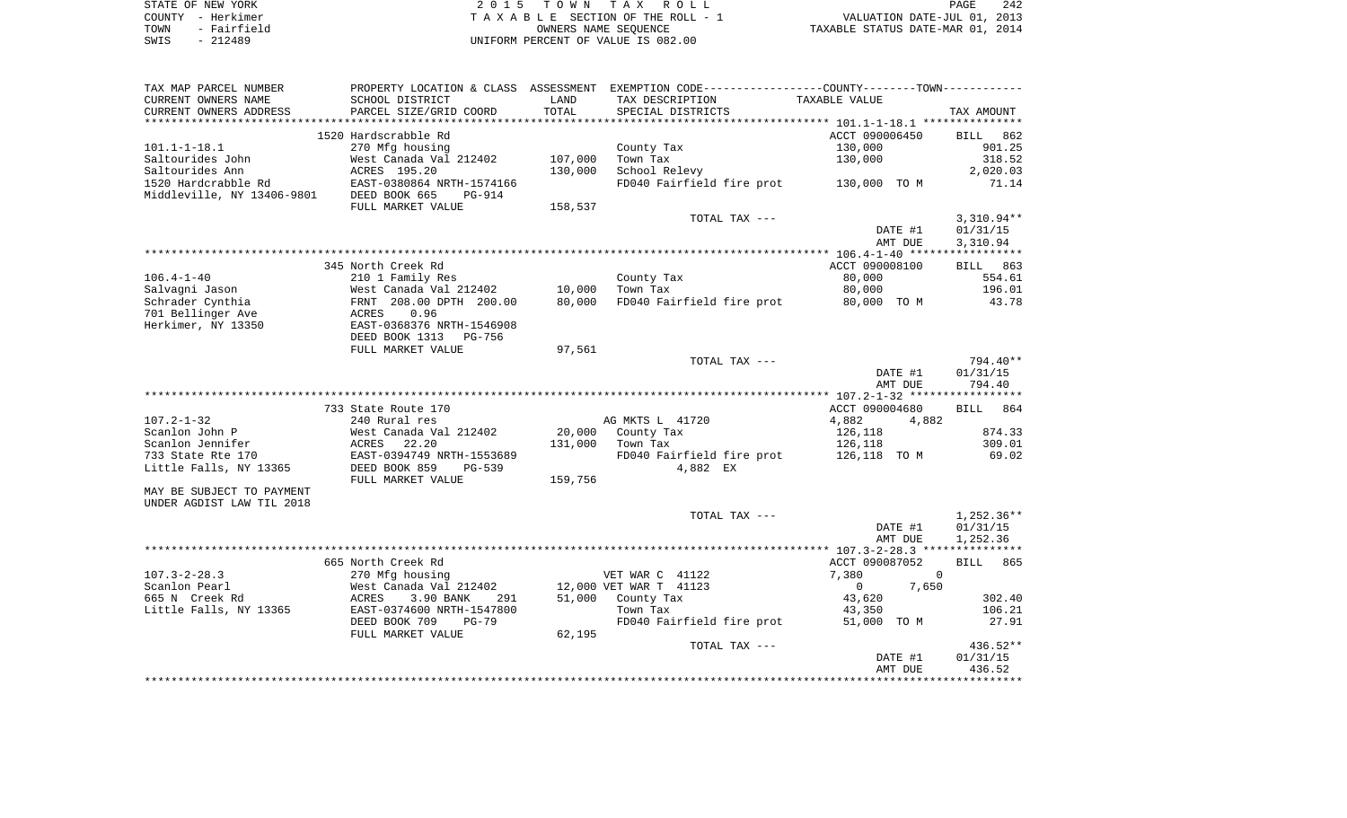| STATE OF NEW YORK   | 2015 TOWN TAX ROLL                 | 242<br>PAGE                      |
|---------------------|------------------------------------|----------------------------------|
| COUNTY - Herkimer   | TAXABLE SECTION OF THE ROLL - 1    | VALUATION DATE-JUL 01, 2013      |
| - Fairfield<br>TOWN | OWNERS NAME SEOUENCE               | TAXABLE STATUS DATE-MAR 01, 2014 |
| SWIS<br>$-212489$   | UNIFORM PERCENT OF VALUE IS 082.00 |                                  |

| TAX MAP PARCEL NUMBER      |                           |         | PROPERTY LOCATION & CLASS ASSESSMENT EXEMPTION CODE----------------COUNTY--------TOWN---------- |                       |                      |
|----------------------------|---------------------------|---------|-------------------------------------------------------------------------------------------------|-----------------------|----------------------|
| CURRENT OWNERS NAME        | SCHOOL DISTRICT           | LAND    | TAX DESCRIPTION                                                                                 | TAXABLE VALUE         |                      |
| CURRENT OWNERS ADDRESS     | PARCEL SIZE/GRID COORD    | TOTAL   | SPECIAL DISTRICTS                                                                               |                       | TAX AMOUNT           |
|                            |                           |         |                                                                                                 |                       |                      |
|                            | 1520 Hardscrabble Rd      |         |                                                                                                 | ACCT 090006450        | <b>BILL</b><br>862   |
| $101.1 - 1 - 18.1$         | 270 Mfg housing           |         | County Tax                                                                                      | 130,000               | 901.25               |
| Saltourides John           | West Canada Val 212402    | 107,000 | Town Tax                                                                                        | 130,000               | 318.52               |
| Saltourides Ann            | ACRES 195.20              | 130,000 | School Relevy                                                                                   |                       | 2,020.03             |
| 1520 Hardcrabble Rd        | EAST-0380864 NRTH-1574166 |         | FD040 Fairfield fire prot 130,000 TO M                                                          |                       | 71.14                |
| Middleville, NY 13406-9801 | DEED BOOK 665<br>$PG-914$ |         |                                                                                                 |                       |                      |
|                            | FULL MARKET VALUE         | 158,537 |                                                                                                 |                       |                      |
|                            |                           |         | TOTAL TAX ---                                                                                   |                       | $3,310.94**$         |
|                            |                           |         |                                                                                                 | DATE #1               | 01/31/15             |
|                            |                           |         |                                                                                                 | AMT DUE               | 3,310.94             |
|                            |                           |         |                                                                                                 |                       |                      |
|                            | 345 North Creek Rd        |         |                                                                                                 | ACCT 090008100        | BILL 863             |
| $106.4 - 1 - 40$           | 210 1 Family Res          |         | County Tax                                                                                      | 80,000                | 554.61               |
| Salvagni Jason             | West Canada Val 212402    | 10,000  | Town Tax                                                                                        | 80,000                | 196.01               |
| Schrader Cynthia           | FRNT 208.00 DPTH 200.00   | 80,000  | FD040 Fairfield fire prot 80,000 TO M                                                           |                       | 43.78                |
| 701 Bellinger Ave          | 0.96<br>ACRES             |         |                                                                                                 |                       |                      |
| Herkimer, NY 13350         | EAST-0368376 NRTH-1546908 |         |                                                                                                 |                       |                      |
|                            | DEED BOOK 1313<br>PG-756  |         |                                                                                                 |                       |                      |
|                            | FULL MARKET VALUE         | 97,561  |                                                                                                 |                       |                      |
|                            |                           |         | TOTAL TAX ---                                                                                   |                       | 794.40**             |
|                            |                           |         |                                                                                                 | DATE #1               | 01/31/15             |
|                            |                           |         |                                                                                                 | AMT DUE               | 794.40               |
|                            |                           |         |                                                                                                 |                       |                      |
|                            | 733 State Route 170       |         |                                                                                                 | ACCT 090004680        | BILL 864             |
| $107.2 - 1 - 32$           | 240 Rural res             |         | AG MKTS L 41720                                                                                 | 4,882<br>4,882        |                      |
| Scanlon John P             | West Canada Val 212402    | 20,000  | County Tax                                                                                      | 126,118               | 874.33               |
| Scanlon Jennifer           | 22.20<br>ACRES            | 131,000 | Town Tax                                                                                        | 126,118               | 309.01               |
| 733 State Rte 170          | EAST-0394749 NRTH-1553689 |         | FD040 Fairfield fire prot                                                                       | 126,118  TO M         | 69.02                |
| Little Falls, NY 13365     | DEED BOOK 859<br>PG-539   |         | 4,882 EX                                                                                        |                       |                      |
|                            | FULL MARKET VALUE         | 159,756 |                                                                                                 |                       |                      |
| MAY BE SUBJECT TO PAYMENT  |                           |         |                                                                                                 |                       |                      |
| UNDER AGDIST LAW TIL 2018  |                           |         |                                                                                                 |                       |                      |
|                            |                           |         | TOTAL TAX ---                                                                                   |                       | 1,252.36**           |
|                            |                           |         |                                                                                                 | DATE #1               | 01/31/15<br>1,252.36 |
|                            |                           |         |                                                                                                 | AMT DUE               |                      |
|                            | 665 North Creek Rd        |         |                                                                                                 | ACCT 090087052        | 865<br><b>BILL</b>   |
| $107.3 - 2 - 28.3$         | 270 Mfg housing           |         | VET WAR C 41122                                                                                 | 7,380                 | $\overline{0}$       |
| Scanlon Pearl              | West Canada Val 212402    |         | 12,000 VET WAR T 41123                                                                          | 7,650<br>$\mathbf{0}$ |                      |
| 665 N Creek Rd             | ACRES<br>3.90 BANK<br>291 |         | 51,000 County Tax                                                                               | 43,620                | 302.40               |
| Little Falls, NY 13365     | EAST-0374600 NRTH-1547800 |         | Town Tax                                                                                        | 43,350                | 106.21               |
|                            | DEED BOOK 709<br>$PG-79$  |         | FD040 Fairfield fire prot                                                                       | 51,000 TO M           | 27.91                |
|                            |                           | 62,195  |                                                                                                 |                       |                      |
|                            | FULL MARKET VALUE         |         | TOTAL TAX ---                                                                                   |                       | 436.52**             |
|                            |                           |         |                                                                                                 | DATE #1               | 01/31/15             |
|                            |                           |         |                                                                                                 | AMT DUE               | 436.52               |
|                            |                           |         |                                                                                                 |                       |                      |
|                            |                           |         |                                                                                                 |                       |                      |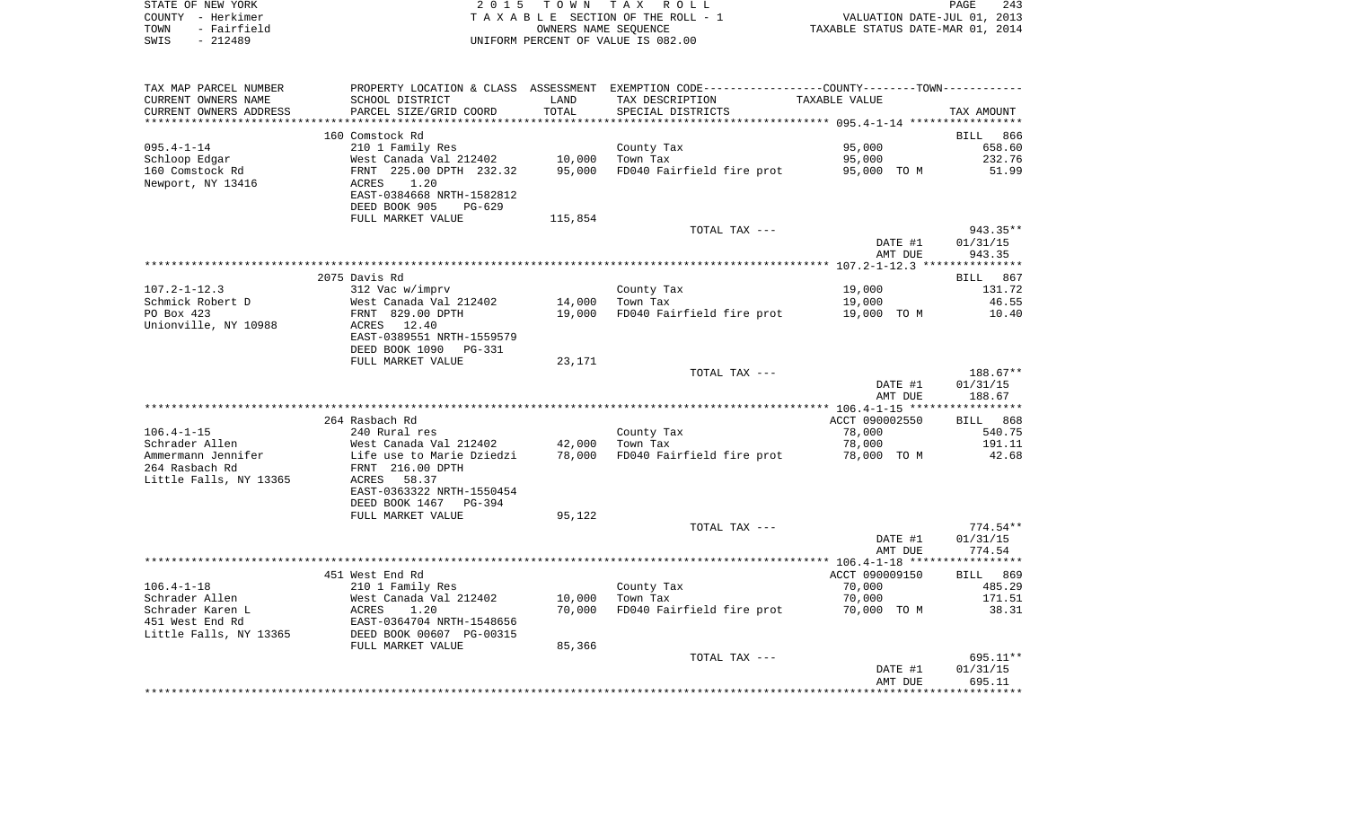|      | STATE OF NEW YORK | 2015 TOWN TAX ROLL                 | 243<br>PAGE                      |
|------|-------------------|------------------------------------|----------------------------------|
|      | COUNTY - Herkimer | TAXABLE SECTION OF THE ROLL - 1    | VALUATION DATE-JUL 01, 2013      |
| TOWN | - Fairfield       | OWNERS NAME SEOUENCE               | TAXABLE STATUS DATE-MAR 01, 2014 |
| SWIS | - 212489          | UNIFORM PERCENT OF VALUE IS 082.00 |                                  |

| TAX MAP PARCEL NUMBER  |                           |         | PROPERTY LOCATION & CLASS ASSESSMENT EXEMPTION CODE----------------COUNTY--------TOWN---------- |                |             |
|------------------------|---------------------------|---------|-------------------------------------------------------------------------------------------------|----------------|-------------|
| CURRENT OWNERS NAME    | SCHOOL DISTRICT           | LAND    | TAX DESCRIPTION                                                                                 | TAXABLE VALUE  |             |
| CURRENT OWNERS ADDRESS | PARCEL SIZE/GRID COORD    | TOTAL   | SPECIAL DISTRICTS                                                                               |                | TAX AMOUNT  |
| *******************    | ************************* |         |                                                                                                 |                |             |
|                        | 160 Comstock Rd           |         |                                                                                                 |                | BILL<br>866 |
| $095.4 - 1 - 14$       | 210 1 Family Res          |         | County Tax                                                                                      | 95,000         | 658.60      |
| Schloop Edgar          | West Canada Val 212402    | 10,000  | Town Tax                                                                                        | 95,000         | 232.76      |
| 160 Comstock Rd        | FRNT 225.00 DPTH 232.32   | 95,000  | FD040 Fairfield fire prot                                                                       | 95,000 TO M    | 51.99       |
| Newport, NY 13416      | ACRES<br>1.20             |         |                                                                                                 |                |             |
|                        | EAST-0384668 NRTH-1582812 |         |                                                                                                 |                |             |
|                        | DEED BOOK 905<br>$PG-629$ |         |                                                                                                 |                |             |
|                        | FULL MARKET VALUE         | 115,854 |                                                                                                 |                |             |
|                        |                           |         | TOTAL TAX ---                                                                                   |                | 943.35**    |
|                        |                           |         |                                                                                                 | DATE #1        | 01/31/15    |
|                        |                           |         |                                                                                                 | AMT DUE        | 943.35      |
|                        |                           |         |                                                                                                 |                |             |
|                        | 2075 Davis Rd             |         |                                                                                                 |                | BILL 867    |
| $107.2 - 1 - 12.3$     | 312 Vac w/imprv           |         | County Tax                                                                                      | 19,000         | 131.72      |
| Schmick Robert D       | West Canada Val 212402    | 14,000  | Town Tax                                                                                        | 19,000         | 46.55       |
| PO Box 423             | FRNT 829.00 DPTH          | 19,000  | FD040 Fairfield fire prot                                                                       | 19,000 TO M    | 10.40       |
| Unionville, NY 10988   | 12.40<br>ACRES            |         |                                                                                                 |                |             |
|                        | EAST-0389551 NRTH-1559579 |         |                                                                                                 |                |             |
|                        | DEED BOOK 1090<br>PG-331  |         |                                                                                                 |                |             |
|                        | FULL MARKET VALUE         | 23,171  |                                                                                                 |                |             |
|                        |                           |         | TOTAL TAX ---                                                                                   |                | 188.67**    |
|                        |                           |         |                                                                                                 | DATE #1        | 01/31/15    |
|                        |                           |         |                                                                                                 | AMT DUE        | 188.67      |
|                        |                           |         |                                                                                                 |                |             |
|                        | 264 Rasbach Rd            |         |                                                                                                 | ACCT 090002550 | BILL 868    |
| $106.4 - 1 - 15$       | 240 Rural res             |         | County Tax                                                                                      | 78,000         | 540.75      |
| Schrader Allen         | West Canada Val 212402    | 42,000  | Town Tax                                                                                        | 78,000         | 191.11      |
| Ammermann Jennifer     | Life use to Marie Dziedzi | 78,000  | FD040 Fairfield fire prot                                                                       | 78,000 TO M    | 42.68       |
| 264 Rasbach Rd         | FRNT 216.00 DPTH          |         |                                                                                                 |                |             |
| Little Falls, NY 13365 | 58.37<br>ACRES            |         |                                                                                                 |                |             |
|                        | EAST-0363322 NRTH-1550454 |         |                                                                                                 |                |             |
|                        | DEED BOOK 1467<br>PG-394  |         |                                                                                                 |                |             |
|                        | FULL MARKET VALUE         | 95,122  |                                                                                                 |                |             |
|                        |                           |         | TOTAL TAX ---                                                                                   |                | $774.54**$  |
|                        |                           |         |                                                                                                 | DATE #1        | 01/31/15    |
|                        |                           |         |                                                                                                 | AMT DUE        | 774.54      |
|                        |                           |         |                                                                                                 |                |             |
|                        | 451 West End Rd           |         |                                                                                                 | ACCT 090009150 | BILL 869    |
| $106.4 - 1 - 18$       | 210 1 Family Res          |         | County Tax                                                                                      | 70,000         | 485.29      |
| Schrader Allen         | West Canada Val 212402    | 10,000  | Town Tax                                                                                        | 70,000         | 171.51      |
| Schrader Karen L       | ACRES<br>1.20             | 70,000  | FD040 Fairfield fire prot                                                                       | 70,000 TO M    | 38.31       |
| 451 West End Rd        | EAST-0364704 NRTH-1548656 |         |                                                                                                 |                |             |
| Little Falls, NY 13365 | DEED BOOK 00607 PG-00315  |         |                                                                                                 |                |             |
|                        | FULL MARKET VALUE         | 85,366  |                                                                                                 |                |             |
|                        |                           |         | TOTAL TAX ---                                                                                   |                | $695.11**$  |
|                        |                           |         |                                                                                                 | DATE #1        | 01/31/15    |
|                        |                           |         |                                                                                                 | AMT DUE        | 695.11      |
|                        |                           |         |                                                                                                 |                |             |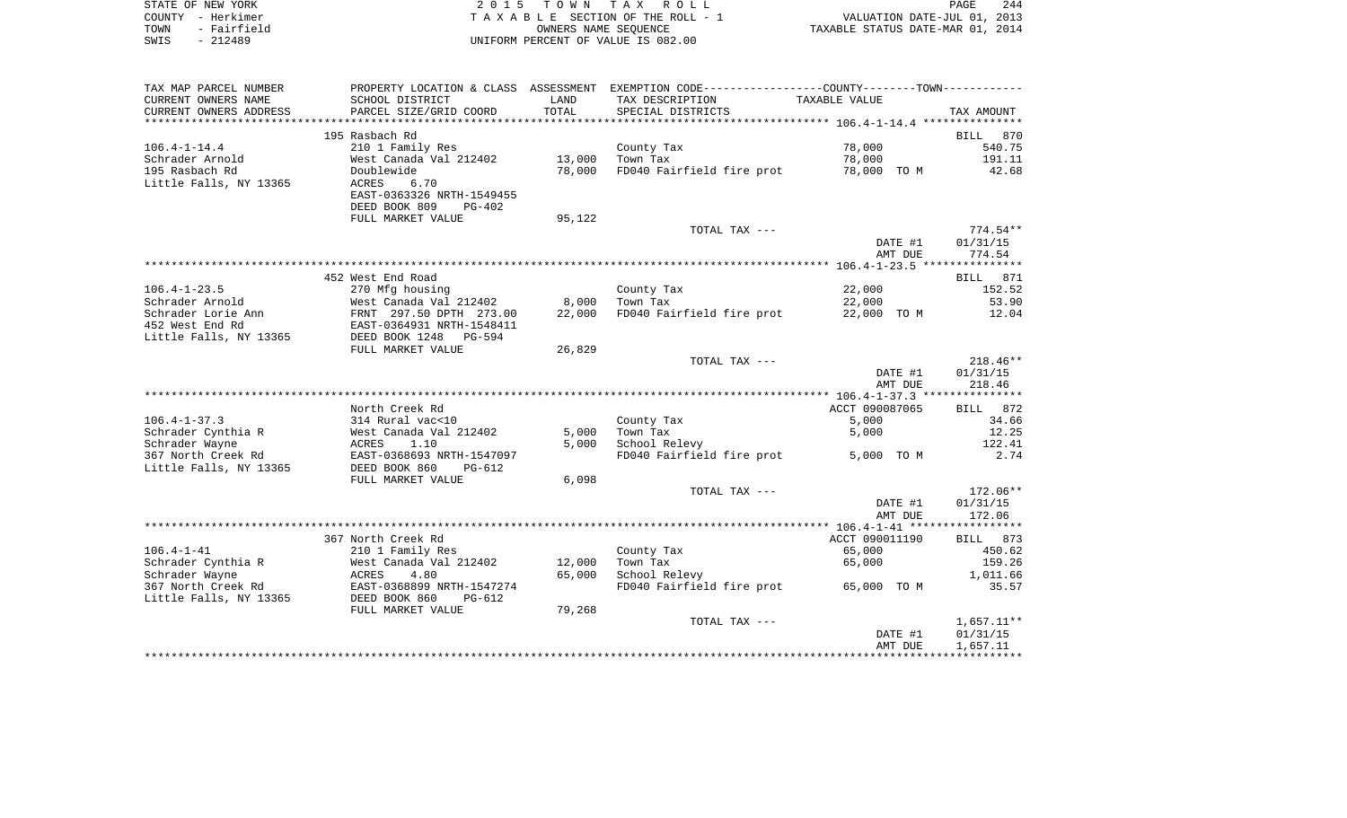| STATE OF NEW YORK   | 2015 TOWN TAX ROLL                 | 244<br>PAGE                      |
|---------------------|------------------------------------|----------------------------------|
| COUNTY - Herkimer   | TAXABLE SECTION OF THE ROLL - 1    | VALUATION DATE-JUL 01, 2013      |
| - Fairfield<br>TOWN | OWNERS NAME SEOUENCE               | TAXABLE STATUS DATE-MAR 01, 2014 |
| - 212489<br>SWIS    | UNIFORM PERCENT OF VALUE IS 082.00 |                                  |

| TAX MAP PARCEL NUMBER  | PROPERTY LOCATION & CLASS ASSESSMENT |        | EXEMPTION CODE-----------------COUNTY-------TOWN----------- |                    |                    |
|------------------------|--------------------------------------|--------|-------------------------------------------------------------|--------------------|--------------------|
| CURRENT OWNERS NAME    | SCHOOL DISTRICT                      | LAND   | TAX DESCRIPTION                                             | TAXABLE VALUE      |                    |
| CURRENT OWNERS ADDRESS | PARCEL SIZE/GRID COORD               | TOTAL  | SPECIAL DISTRICTS                                           |                    | TAX AMOUNT         |
| ********************** |                                      |        |                                                             |                    |                    |
|                        | 195 Rasbach Rd                       |        |                                                             |                    | BILL<br>870        |
| $106.4 - 1 - 14.4$     | 210 1 Family Res                     |        | County Tax                                                  | 78,000             | 540.75             |
| Schrader Arnold        | West Canada Val 212402               | 13,000 | Town Tax                                                    | 78,000             | 191.11             |
| 195 Rasbach Rd         | Doublewide                           | 78,000 | FD040 Fairfield fire prot                                   | 78,000 TO M        | 42.68              |
| Little Falls, NY 13365 | <b>ACRES</b><br>6.70                 |        |                                                             |                    |                    |
|                        | EAST-0363326 NRTH-1549455            |        |                                                             |                    |                    |
|                        | DEED BOOK 809<br>$PG-402$            |        |                                                             |                    |                    |
|                        | FULL MARKET VALUE                    | 95,122 |                                                             |                    |                    |
|                        |                                      |        | TOTAL TAX ---                                               |                    | $774.54**$         |
|                        |                                      |        |                                                             | DATE #1            | 01/31/15           |
|                        |                                      |        |                                                             | AMT DUE            | 774.54             |
|                        |                                      |        |                                                             |                    |                    |
|                        | 452 West End Road                    |        |                                                             |                    | <b>BILL</b><br>871 |
| $106.4 - 1 - 23.5$     | 270 Mfg housing                      |        | County Tax                                                  | 22,000             | 152.52             |
| Schrader Arnold        | West Canada Val 212402               | 8,000  | Town Tax                                                    | 22,000             | 53.90              |
| Schrader Lorie Ann     | FRNT 297.50 DPTH 273.00              | 22,000 | FD040 Fairfield fire prot                                   | 22,000 TO M        | 12.04              |
| 452 West End Rd        | EAST-0364931 NRTH-1548411            |        |                                                             |                    |                    |
| Little Falls, NY 13365 | DEED BOOK 1248<br>$PG - 594$         |        |                                                             |                    |                    |
|                        | FULL MARKET VALUE                    | 26,829 |                                                             |                    |                    |
|                        |                                      |        | TOTAL TAX ---                                               |                    | $218.46**$         |
|                        |                                      |        |                                                             |                    | 01/31/15           |
|                        |                                      |        |                                                             | DATE #1<br>AMT DUE | 218.46             |
|                        |                                      |        |                                                             |                    |                    |
|                        |                                      |        |                                                             |                    |                    |
|                        | North Creek Rd                       |        |                                                             | ACCT 090087065     | BILL 872           |
| $106.4 - 1 - 37.3$     | 314 Rural vac<10                     |        | County Tax                                                  | 5,000              | 34.66              |
| Schrader Cynthia R     | West Canada Val 212402               | 5,000  | Town Tax                                                    | 5,000              | 12.25              |
| Schrader Wayne         | <b>ACRES</b><br>1.10                 | 5,000  | School Relevy                                               |                    | 122.41             |
| 367 North Creek Rd     | EAST-0368693 NRTH-1547097            |        | FD040 Fairfield fire prot                                   | 5,000 TO M         | 2.74               |
| Little Falls, NY 13365 | DEED BOOK 860<br>$PG-612$            |        |                                                             |                    |                    |
|                        | FULL MARKET VALUE                    | 6,098  |                                                             |                    |                    |
|                        |                                      |        | TOTAL TAX ---                                               |                    | $172.06**$         |
|                        |                                      |        |                                                             | DATE #1            | 01/31/15           |
|                        |                                      |        |                                                             | AMT DUE            | 172.06             |
|                        |                                      |        |                                                             |                    |                    |
|                        | 367 North Creek Rd                   |        |                                                             | ACCT 090011190     | BILL 873           |
| $106.4 - 1 - 41$       | 210 1 Family Res                     |        | County Tax                                                  | 65,000             | 450.62             |
| Schrader Cynthia R     | West Canada Val 212402               | 12,000 | Town Tax                                                    | 65,000             | 159.26             |
| Schrader Wayne         | ACRES<br>4.80                        | 65,000 | School Relevy                                               |                    | 1,011.66           |
| 367 North Creek Rd     | EAST-0368899 NRTH-1547274            |        | FD040 Fairfield fire prot                                   | 65,000 TO M        | 35.57              |
| Little Falls, NY 13365 | DEED BOOK 860<br>$PG-612$            |        |                                                             |                    |                    |
|                        | FULL MARKET VALUE                    | 79,268 |                                                             |                    |                    |
|                        |                                      |        | TOTAL TAX ---                                               |                    | $1,657.11**$       |
|                        |                                      |        |                                                             | DATE #1            | 01/31/15           |
|                        |                                      |        |                                                             | AMT DUE            | 1,657.11           |
|                        |                                      |        |                                                             |                    |                    |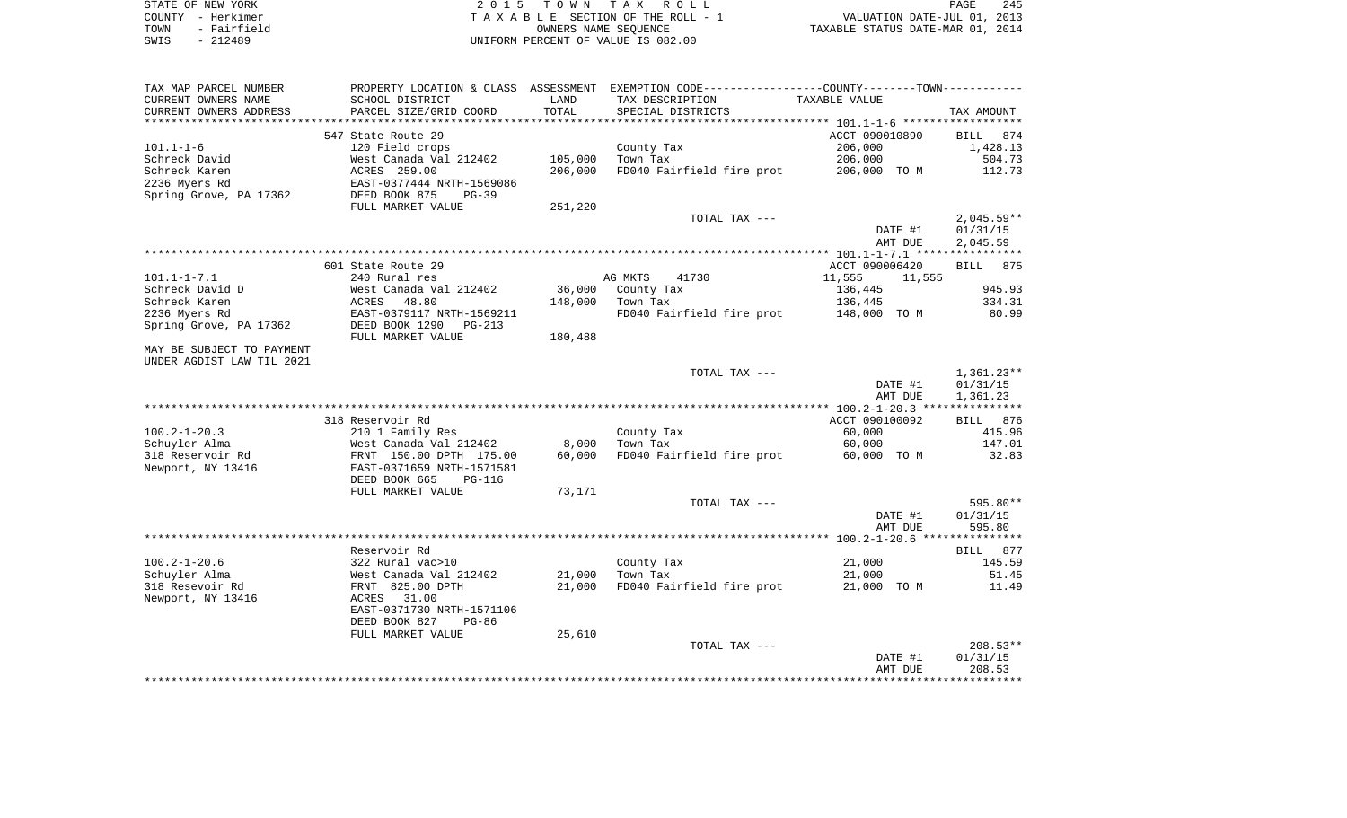| STATE OF NEW YORK   | 2015 TOWN TAX ROLL                 | 245<br>PAGE                      |
|---------------------|------------------------------------|----------------------------------|
| COUNTY - Herkimer   | TAXABLE SECTION OF THE ROLL - 1    | VALUATION DATE-JUL 01, 2013      |
| - Fairfield<br>TOWN | OWNERS NAME SEOUENCE               | TAXABLE STATUS DATE-MAR 01, 2014 |
| $-212489$<br>SWIS   | UNIFORM PERCENT OF VALUE IS 082.00 |                                  |

| TAX MAP PARCEL NUMBER                         |                                           |               | PROPERTY LOCATION & CLASS ASSESSMENT EXEMPTION CODE---------------COUNTY-------TOWN---------- |                  |              |
|-----------------------------------------------|-------------------------------------------|---------------|-----------------------------------------------------------------------------------------------|------------------|--------------|
| CURRENT OWNERS NAME<br>CURRENT OWNERS ADDRESS | SCHOOL DISTRICT<br>PARCEL SIZE/GRID COORD | LAND<br>TOTAL | TAX DESCRIPTION<br>SPECIAL DISTRICTS                                                          | TAXABLE VALUE    | TAX AMOUNT   |
| *****************                             | ***********************                   |               |                                                                                               |                  |              |
|                                               | 547 State Route 29                        |               |                                                                                               | ACCT 090010890   | BILL<br>874  |
| $101.1 - 1 - 6$                               | 120 Field crops                           |               | County Tax                                                                                    | 206,000          | 1,428.13     |
| Schreck David                                 | West Canada Val 212402                    | 105,000       | Town Tax                                                                                      | 206,000          | 504.73       |
| Schreck Karen                                 | ACRES 259.00                              | 206,000       | FD040 Fairfield fire prot                                                                     | 206,000 TO M     | 112.73       |
| 2236 Myers Rd                                 | EAST-0377444 NRTH-1569086                 |               |                                                                                               |                  |              |
| Spring Grove, PA 17362                        | DEED BOOK 875<br>$PG-39$                  |               |                                                                                               |                  |              |
|                                               | FULL MARKET VALUE                         | 251,220       |                                                                                               |                  |              |
|                                               |                                           |               | TOTAL TAX ---                                                                                 |                  | $2,045.59**$ |
|                                               |                                           |               |                                                                                               | DATE #1          | 01/31/15     |
|                                               |                                           |               |                                                                                               | AMT DUE          | 2,045.59     |
|                                               |                                           |               |                                                                                               |                  |              |
|                                               | 601 State Route 29                        |               |                                                                                               | ACCT 090006420   | BILL<br>875  |
| $101.1 - 1 - 7.1$                             | 240 Rural res                             |               | AG MKTS<br>41730                                                                              | 11,555<br>11,555 |              |
| Schreck David D                               | West Canada Val 212402                    | 36,000        | County Tax                                                                                    | 136,445          | 945.93       |
| Schreck Karen                                 | ACRES<br>48.80                            | 148,000       | Town Tax                                                                                      | 136,445          | 334.31       |
| 2236 Myers Rd                                 | EAST-0379117 NRTH-1569211                 |               | FD040 Fairfield fire prot 148,000 TO M                                                        |                  | 80.99        |
| Spring Grove, PA 17362                        | DEED BOOK 1290<br>PG-213                  |               |                                                                                               |                  |              |
|                                               | FULL MARKET VALUE                         | 180,488       |                                                                                               |                  |              |
| MAY BE SUBJECT TO PAYMENT                     |                                           |               |                                                                                               |                  |              |
| UNDER AGDIST LAW TIL 2021                     |                                           |               | TOTAL TAX ---                                                                                 |                  | 1,361.23**   |
|                                               |                                           |               |                                                                                               | DATE #1          | 01/31/15     |
|                                               |                                           |               |                                                                                               | AMT DUE          | 1,361.23     |
|                                               |                                           |               |                                                                                               |                  |              |
|                                               | 318 Reservoir Rd                          |               |                                                                                               | ACCT 090100092   | BILL 876     |
| $100.2 - 1 - 20.3$                            | 210 1 Family Res                          |               | County Tax                                                                                    | 60,000           | 415.96       |
| Schuyler Alma                                 | West Canada Val 212402                    | 8,000         | Town Tax                                                                                      | 60,000           | 147.01       |
| 318 Reservoir Rd                              | FRNT 150.00 DPTH 175.00                   | 60,000        | FD040 Fairfield fire prot                                                                     | 60,000 TO M      | 32.83        |
| Newport, NY 13416                             | EAST-0371659 NRTH-1571581                 |               |                                                                                               |                  |              |
|                                               | DEED BOOK 665<br><b>PG-116</b>            |               |                                                                                               |                  |              |
|                                               | FULL MARKET VALUE                         | 73,171        |                                                                                               |                  |              |
|                                               |                                           |               | TOTAL TAX ---                                                                                 |                  | 595.80**     |
|                                               |                                           |               |                                                                                               | DATE #1          | 01/31/15     |
|                                               |                                           |               |                                                                                               | AMT DUE          | 595.80       |
|                                               |                                           |               |                                                                                               |                  |              |
|                                               | Reservoir Rd                              |               |                                                                                               |                  | BILL 877     |
| $100.2 - 1 - 20.6$                            | 322 Rural vac>10                          |               | County Tax                                                                                    | 21,000           | 145.59       |
| Schuyler Alma                                 | West Canada Val 212402                    | 21,000        | Town Tax                                                                                      | 21,000           | 51.45        |
| 318 Resevoir Rd                               | FRNT 825.00 DPTH                          | 21,000        | FD040 Fairfield fire prot                                                                     | 21,000 TO M      | 11.49        |
| Newport, NY 13416                             | ACRES<br>31.00                            |               |                                                                                               |                  |              |
|                                               | EAST-0371730 NRTH-1571106<br>$PG-86$      |               |                                                                                               |                  |              |
|                                               | DEED BOOK 827                             | 25,610        |                                                                                               |                  |              |
|                                               | FULL MARKET VALUE                         |               | TOTAL TAX ---                                                                                 |                  | $208.53**$   |
|                                               |                                           |               |                                                                                               | DATE #1          | 01/31/15     |
|                                               |                                           |               |                                                                                               | AMT DUE          | 208.53       |
|                                               |                                           |               |                                                                                               |                  |              |
|                                               |                                           |               |                                                                                               |                  |              |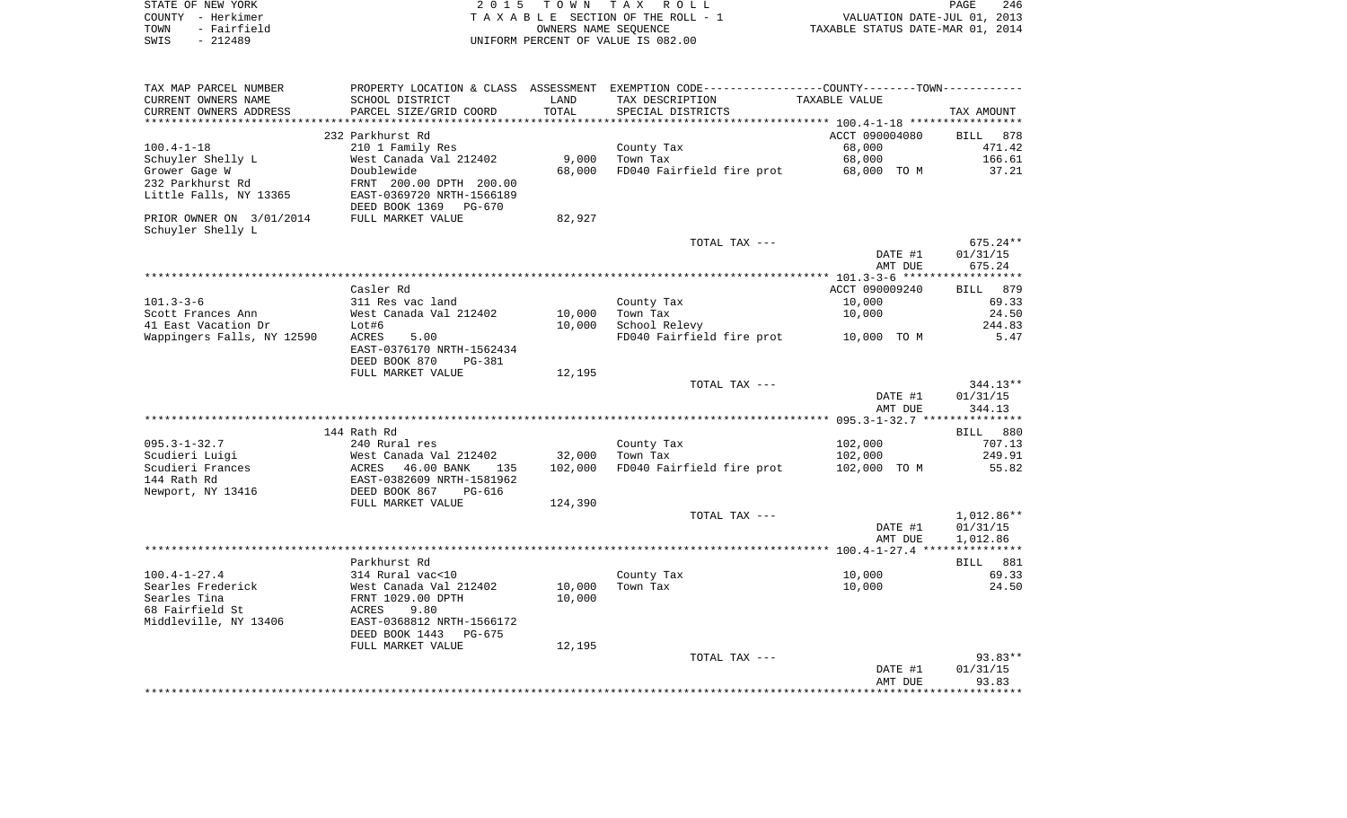| STATE OF NEW YORK   | 2015 TOWN TAX ROLL                 | 246<br>PAGE                      |
|---------------------|------------------------------------|----------------------------------|
| COUNTY - Herkimer   | TAXABLE SECTION OF THE ROLL - 1    | VALUATION DATE-JUL 01, 2013      |
| TOWN<br>- Fairfield | OWNERS NAME SEOUENCE               | TAXABLE STATUS DATE-MAR 01, 2014 |
| - 212489<br>SWIS    | UNIFORM PERCENT OF VALUE IS 082.00 |                                  |

| CURRENT OWNERS NAME<br>SCHOOL DISTRICT<br>LAND<br>TAX DESCRIPTION<br>TAXABLE VALUE<br>TOTAL<br>CURRENT OWNERS ADDRESS<br>PARCEL SIZE/GRID COORD<br>SPECIAL DISTRICTS<br>TAX AMOUNT<br>************************<br>ACCT 090004080<br>232 Parkhurst Rd<br><b>BILL</b><br>878<br>210 1 Family Res<br>$100.4 - 1 - 18$<br>County Tax<br>68,000<br>471.42<br>68,000<br>Schuyler Shelly L<br>West Canada Val 212402<br>9,000<br>Town Tax<br>166.61<br>Grower Gage W<br>Doublewide<br>68,000<br>FD040 Fairfield fire prot<br>37.21<br>68,000 TO M<br>232 Parkhurst Rd<br>FRNT 200.00 DPTH 200.00<br>Little Falls, NY 13365<br>EAST-0369720 NRTH-1566189<br>DEED BOOK 1369 PG-670<br>PRIOR OWNER ON 3/01/2014<br>FULL MARKET VALUE<br>82,927<br>Schuyler Shelly L<br>675.24**<br>TOTAL TAX ---<br>DATE #1<br>01/31/15<br>675.24<br>AMT DUE<br>ACCT 090009240<br>Casler Rd<br>879<br>BILL<br>$101.3 - 3 - 6$<br>10,000<br>69.33<br>311 Res vac land<br>County Tax<br>Scott Frances Ann<br>West Canada Val 212402<br>10,000<br>Town Tax<br>10,000<br>24.50<br>41 East Vacation Dr<br>10,000<br>School Relevy<br>244.83<br>Lot#6<br>Wappingers Falls, NY 12590<br>FD040 Fairfield fire prot<br>ACRES<br>5.00<br>10,000 TO M<br>5.47<br>EAST-0376170 NRTH-1562434<br>DEED BOOK 870<br>PG-381<br>FULL MARKET VALUE<br>12,195<br>TOTAL TAX ---<br>$344.13**$<br>01/31/15<br>DATE #1<br>AMT DUE<br>344.13<br>144 Rath Rd<br>BILL<br>880<br>$095.3 - 1 - 32.7$<br>240 Rural res<br>County Tax<br>102,000<br>707.13<br>Scudieri Luigi<br>West Canada Val 212402<br>32,000<br>Town Tax<br>102,000<br>249.91<br>Scudieri Frances<br>ACRES 46.00 BANK<br>102,000<br>FD040 Fairfield fire prot<br>102,000 TO M<br>55.82<br>135<br>144 Rath Rd<br>EAST-0382609 NRTH-1581962<br>DEED BOOK 867<br>Newport, NY 13416<br>$PG-616$<br>FULL MARKET VALUE<br>124,390<br>1,012.86**<br>TOTAL TAX ---<br>DATE #1<br>01/31/15<br>AMT DUE<br>1,012.86<br>Parkhurst Rd<br>BILL 881<br>$100.4 - 1 - 27.4$<br>314 Rural vac<10<br>County Tax<br>10,000<br>69.33<br>Searles Frederick<br>West Canada Val 212402<br>10,000<br>Town Tax<br>10,000<br>24.50<br>Searles Tina<br>FRNT 1029.00 DPTH<br>10,000<br>68 Fairfield St<br>ACRES<br>9.80<br>Middleville, NY 13406<br>EAST-0368812 NRTH-1566172<br>DEED BOOK 1443<br>PG-675<br>FULL MARKET VALUE<br>12,195<br>TOTAL TAX ---<br>$93.83**$<br>01/31/15<br>DATE #1<br>93.83<br>AMT DUE | TAX MAP PARCEL NUMBER | PROPERTY LOCATION & CLASS ASSESSMENT | EXEMPTION CODE-----------------COUNTY-------TOWN----------- |  |
|--------------------------------------------------------------------------------------------------------------------------------------------------------------------------------------------------------------------------------------------------------------------------------------------------------------------------------------------------------------------------------------------------------------------------------------------------------------------------------------------------------------------------------------------------------------------------------------------------------------------------------------------------------------------------------------------------------------------------------------------------------------------------------------------------------------------------------------------------------------------------------------------------------------------------------------------------------------------------------------------------------------------------------------------------------------------------------------------------------------------------------------------------------------------------------------------------------------------------------------------------------------------------------------------------------------------------------------------------------------------------------------------------------------------------------------------------------------------------------------------------------------------------------------------------------------------------------------------------------------------------------------------------------------------------------------------------------------------------------------------------------------------------------------------------------------------------------------------------------------------------------------------------------------------------------------------------------------------------------------------------------------------------------------------------------------------------------------------------------------------------------------------------------------------------------------------------------------------------------------------------------------------------------------------------------------------------------------------------------------------------------------------------|-----------------------|--------------------------------------|-------------------------------------------------------------|--|
|                                                                                                                                                                                                                                                                                                                                                                                                                                                                                                                                                                                                                                                                                                                                                                                                                                                                                                                                                                                                                                                                                                                                                                                                                                                                                                                                                                                                                                                                                                                                                                                                                                                                                                                                                                                                                                                                                                                                                                                                                                                                                                                                                                                                                                                                                                                                                                                                  |                       |                                      |                                                             |  |
|                                                                                                                                                                                                                                                                                                                                                                                                                                                                                                                                                                                                                                                                                                                                                                                                                                                                                                                                                                                                                                                                                                                                                                                                                                                                                                                                                                                                                                                                                                                                                                                                                                                                                                                                                                                                                                                                                                                                                                                                                                                                                                                                                                                                                                                                                                                                                                                                  |                       |                                      |                                                             |  |
|                                                                                                                                                                                                                                                                                                                                                                                                                                                                                                                                                                                                                                                                                                                                                                                                                                                                                                                                                                                                                                                                                                                                                                                                                                                                                                                                                                                                                                                                                                                                                                                                                                                                                                                                                                                                                                                                                                                                                                                                                                                                                                                                                                                                                                                                                                                                                                                                  |                       |                                      |                                                             |  |
|                                                                                                                                                                                                                                                                                                                                                                                                                                                                                                                                                                                                                                                                                                                                                                                                                                                                                                                                                                                                                                                                                                                                                                                                                                                                                                                                                                                                                                                                                                                                                                                                                                                                                                                                                                                                                                                                                                                                                                                                                                                                                                                                                                                                                                                                                                                                                                                                  |                       |                                      |                                                             |  |
|                                                                                                                                                                                                                                                                                                                                                                                                                                                                                                                                                                                                                                                                                                                                                                                                                                                                                                                                                                                                                                                                                                                                                                                                                                                                                                                                                                                                                                                                                                                                                                                                                                                                                                                                                                                                                                                                                                                                                                                                                                                                                                                                                                                                                                                                                                                                                                                                  |                       |                                      |                                                             |  |
|                                                                                                                                                                                                                                                                                                                                                                                                                                                                                                                                                                                                                                                                                                                                                                                                                                                                                                                                                                                                                                                                                                                                                                                                                                                                                                                                                                                                                                                                                                                                                                                                                                                                                                                                                                                                                                                                                                                                                                                                                                                                                                                                                                                                                                                                                                                                                                                                  |                       |                                      |                                                             |  |
|                                                                                                                                                                                                                                                                                                                                                                                                                                                                                                                                                                                                                                                                                                                                                                                                                                                                                                                                                                                                                                                                                                                                                                                                                                                                                                                                                                                                                                                                                                                                                                                                                                                                                                                                                                                                                                                                                                                                                                                                                                                                                                                                                                                                                                                                                                                                                                                                  |                       |                                      |                                                             |  |
|                                                                                                                                                                                                                                                                                                                                                                                                                                                                                                                                                                                                                                                                                                                                                                                                                                                                                                                                                                                                                                                                                                                                                                                                                                                                                                                                                                                                                                                                                                                                                                                                                                                                                                                                                                                                                                                                                                                                                                                                                                                                                                                                                                                                                                                                                                                                                                                                  |                       |                                      |                                                             |  |
|                                                                                                                                                                                                                                                                                                                                                                                                                                                                                                                                                                                                                                                                                                                                                                                                                                                                                                                                                                                                                                                                                                                                                                                                                                                                                                                                                                                                                                                                                                                                                                                                                                                                                                                                                                                                                                                                                                                                                                                                                                                                                                                                                                                                                                                                                                                                                                                                  |                       |                                      |                                                             |  |
|                                                                                                                                                                                                                                                                                                                                                                                                                                                                                                                                                                                                                                                                                                                                                                                                                                                                                                                                                                                                                                                                                                                                                                                                                                                                                                                                                                                                                                                                                                                                                                                                                                                                                                                                                                                                                                                                                                                                                                                                                                                                                                                                                                                                                                                                                                                                                                                                  |                       |                                      |                                                             |  |
|                                                                                                                                                                                                                                                                                                                                                                                                                                                                                                                                                                                                                                                                                                                                                                                                                                                                                                                                                                                                                                                                                                                                                                                                                                                                                                                                                                                                                                                                                                                                                                                                                                                                                                                                                                                                                                                                                                                                                                                                                                                                                                                                                                                                                                                                                                                                                                                                  |                       |                                      |                                                             |  |
|                                                                                                                                                                                                                                                                                                                                                                                                                                                                                                                                                                                                                                                                                                                                                                                                                                                                                                                                                                                                                                                                                                                                                                                                                                                                                                                                                                                                                                                                                                                                                                                                                                                                                                                                                                                                                                                                                                                                                                                                                                                                                                                                                                                                                                                                                                                                                                                                  |                       |                                      |                                                             |  |
|                                                                                                                                                                                                                                                                                                                                                                                                                                                                                                                                                                                                                                                                                                                                                                                                                                                                                                                                                                                                                                                                                                                                                                                                                                                                                                                                                                                                                                                                                                                                                                                                                                                                                                                                                                                                                                                                                                                                                                                                                                                                                                                                                                                                                                                                                                                                                                                                  |                       |                                      |                                                             |  |
|                                                                                                                                                                                                                                                                                                                                                                                                                                                                                                                                                                                                                                                                                                                                                                                                                                                                                                                                                                                                                                                                                                                                                                                                                                                                                                                                                                                                                                                                                                                                                                                                                                                                                                                                                                                                                                                                                                                                                                                                                                                                                                                                                                                                                                                                                                                                                                                                  |                       |                                      |                                                             |  |
|                                                                                                                                                                                                                                                                                                                                                                                                                                                                                                                                                                                                                                                                                                                                                                                                                                                                                                                                                                                                                                                                                                                                                                                                                                                                                                                                                                                                                                                                                                                                                                                                                                                                                                                                                                                                                                                                                                                                                                                                                                                                                                                                                                                                                                                                                                                                                                                                  |                       |                                      |                                                             |  |
|                                                                                                                                                                                                                                                                                                                                                                                                                                                                                                                                                                                                                                                                                                                                                                                                                                                                                                                                                                                                                                                                                                                                                                                                                                                                                                                                                                                                                                                                                                                                                                                                                                                                                                                                                                                                                                                                                                                                                                                                                                                                                                                                                                                                                                                                                                                                                                                                  |                       |                                      |                                                             |  |
|                                                                                                                                                                                                                                                                                                                                                                                                                                                                                                                                                                                                                                                                                                                                                                                                                                                                                                                                                                                                                                                                                                                                                                                                                                                                                                                                                                                                                                                                                                                                                                                                                                                                                                                                                                                                                                                                                                                                                                                                                                                                                                                                                                                                                                                                                                                                                                                                  |                       |                                      |                                                             |  |
|                                                                                                                                                                                                                                                                                                                                                                                                                                                                                                                                                                                                                                                                                                                                                                                                                                                                                                                                                                                                                                                                                                                                                                                                                                                                                                                                                                                                                                                                                                                                                                                                                                                                                                                                                                                                                                                                                                                                                                                                                                                                                                                                                                                                                                                                                                                                                                                                  |                       |                                      |                                                             |  |
|                                                                                                                                                                                                                                                                                                                                                                                                                                                                                                                                                                                                                                                                                                                                                                                                                                                                                                                                                                                                                                                                                                                                                                                                                                                                                                                                                                                                                                                                                                                                                                                                                                                                                                                                                                                                                                                                                                                                                                                                                                                                                                                                                                                                                                                                                                                                                                                                  |                       |                                      |                                                             |  |
|                                                                                                                                                                                                                                                                                                                                                                                                                                                                                                                                                                                                                                                                                                                                                                                                                                                                                                                                                                                                                                                                                                                                                                                                                                                                                                                                                                                                                                                                                                                                                                                                                                                                                                                                                                                                                                                                                                                                                                                                                                                                                                                                                                                                                                                                                                                                                                                                  |                       |                                      |                                                             |  |
|                                                                                                                                                                                                                                                                                                                                                                                                                                                                                                                                                                                                                                                                                                                                                                                                                                                                                                                                                                                                                                                                                                                                                                                                                                                                                                                                                                                                                                                                                                                                                                                                                                                                                                                                                                                                                                                                                                                                                                                                                                                                                                                                                                                                                                                                                                                                                                                                  |                       |                                      |                                                             |  |
|                                                                                                                                                                                                                                                                                                                                                                                                                                                                                                                                                                                                                                                                                                                                                                                                                                                                                                                                                                                                                                                                                                                                                                                                                                                                                                                                                                                                                                                                                                                                                                                                                                                                                                                                                                                                                                                                                                                                                                                                                                                                                                                                                                                                                                                                                                                                                                                                  |                       |                                      |                                                             |  |
|                                                                                                                                                                                                                                                                                                                                                                                                                                                                                                                                                                                                                                                                                                                                                                                                                                                                                                                                                                                                                                                                                                                                                                                                                                                                                                                                                                                                                                                                                                                                                                                                                                                                                                                                                                                                                                                                                                                                                                                                                                                                                                                                                                                                                                                                                                                                                                                                  |                       |                                      |                                                             |  |
|                                                                                                                                                                                                                                                                                                                                                                                                                                                                                                                                                                                                                                                                                                                                                                                                                                                                                                                                                                                                                                                                                                                                                                                                                                                                                                                                                                                                                                                                                                                                                                                                                                                                                                                                                                                                                                                                                                                                                                                                                                                                                                                                                                                                                                                                                                                                                                                                  |                       |                                      |                                                             |  |
|                                                                                                                                                                                                                                                                                                                                                                                                                                                                                                                                                                                                                                                                                                                                                                                                                                                                                                                                                                                                                                                                                                                                                                                                                                                                                                                                                                                                                                                                                                                                                                                                                                                                                                                                                                                                                                                                                                                                                                                                                                                                                                                                                                                                                                                                                                                                                                                                  |                       |                                      |                                                             |  |
|                                                                                                                                                                                                                                                                                                                                                                                                                                                                                                                                                                                                                                                                                                                                                                                                                                                                                                                                                                                                                                                                                                                                                                                                                                                                                                                                                                                                                                                                                                                                                                                                                                                                                                                                                                                                                                                                                                                                                                                                                                                                                                                                                                                                                                                                                                                                                                                                  |                       |                                      |                                                             |  |
|                                                                                                                                                                                                                                                                                                                                                                                                                                                                                                                                                                                                                                                                                                                                                                                                                                                                                                                                                                                                                                                                                                                                                                                                                                                                                                                                                                                                                                                                                                                                                                                                                                                                                                                                                                                                                                                                                                                                                                                                                                                                                                                                                                                                                                                                                                                                                                                                  |                       |                                      |                                                             |  |
|                                                                                                                                                                                                                                                                                                                                                                                                                                                                                                                                                                                                                                                                                                                                                                                                                                                                                                                                                                                                                                                                                                                                                                                                                                                                                                                                                                                                                                                                                                                                                                                                                                                                                                                                                                                                                                                                                                                                                                                                                                                                                                                                                                                                                                                                                                                                                                                                  |                       |                                      |                                                             |  |
|                                                                                                                                                                                                                                                                                                                                                                                                                                                                                                                                                                                                                                                                                                                                                                                                                                                                                                                                                                                                                                                                                                                                                                                                                                                                                                                                                                                                                                                                                                                                                                                                                                                                                                                                                                                                                                                                                                                                                                                                                                                                                                                                                                                                                                                                                                                                                                                                  |                       |                                      |                                                             |  |
|                                                                                                                                                                                                                                                                                                                                                                                                                                                                                                                                                                                                                                                                                                                                                                                                                                                                                                                                                                                                                                                                                                                                                                                                                                                                                                                                                                                                                                                                                                                                                                                                                                                                                                                                                                                                                                                                                                                                                                                                                                                                                                                                                                                                                                                                                                                                                                                                  |                       |                                      |                                                             |  |
|                                                                                                                                                                                                                                                                                                                                                                                                                                                                                                                                                                                                                                                                                                                                                                                                                                                                                                                                                                                                                                                                                                                                                                                                                                                                                                                                                                                                                                                                                                                                                                                                                                                                                                                                                                                                                                                                                                                                                                                                                                                                                                                                                                                                                                                                                                                                                                                                  |                       |                                      |                                                             |  |
|                                                                                                                                                                                                                                                                                                                                                                                                                                                                                                                                                                                                                                                                                                                                                                                                                                                                                                                                                                                                                                                                                                                                                                                                                                                                                                                                                                                                                                                                                                                                                                                                                                                                                                                                                                                                                                                                                                                                                                                                                                                                                                                                                                                                                                                                                                                                                                                                  |                       |                                      |                                                             |  |
|                                                                                                                                                                                                                                                                                                                                                                                                                                                                                                                                                                                                                                                                                                                                                                                                                                                                                                                                                                                                                                                                                                                                                                                                                                                                                                                                                                                                                                                                                                                                                                                                                                                                                                                                                                                                                                                                                                                                                                                                                                                                                                                                                                                                                                                                                                                                                                                                  |                       |                                      |                                                             |  |
|                                                                                                                                                                                                                                                                                                                                                                                                                                                                                                                                                                                                                                                                                                                                                                                                                                                                                                                                                                                                                                                                                                                                                                                                                                                                                                                                                                                                                                                                                                                                                                                                                                                                                                                                                                                                                                                                                                                                                                                                                                                                                                                                                                                                                                                                                                                                                                                                  |                       |                                      |                                                             |  |
|                                                                                                                                                                                                                                                                                                                                                                                                                                                                                                                                                                                                                                                                                                                                                                                                                                                                                                                                                                                                                                                                                                                                                                                                                                                                                                                                                                                                                                                                                                                                                                                                                                                                                                                                                                                                                                                                                                                                                                                                                                                                                                                                                                                                                                                                                                                                                                                                  |                       |                                      |                                                             |  |
|                                                                                                                                                                                                                                                                                                                                                                                                                                                                                                                                                                                                                                                                                                                                                                                                                                                                                                                                                                                                                                                                                                                                                                                                                                                                                                                                                                                                                                                                                                                                                                                                                                                                                                                                                                                                                                                                                                                                                                                                                                                                                                                                                                                                                                                                                                                                                                                                  |                       |                                      |                                                             |  |
|                                                                                                                                                                                                                                                                                                                                                                                                                                                                                                                                                                                                                                                                                                                                                                                                                                                                                                                                                                                                                                                                                                                                                                                                                                                                                                                                                                                                                                                                                                                                                                                                                                                                                                                                                                                                                                                                                                                                                                                                                                                                                                                                                                                                                                                                                                                                                                                                  |                       |                                      |                                                             |  |
|                                                                                                                                                                                                                                                                                                                                                                                                                                                                                                                                                                                                                                                                                                                                                                                                                                                                                                                                                                                                                                                                                                                                                                                                                                                                                                                                                                                                                                                                                                                                                                                                                                                                                                                                                                                                                                                                                                                                                                                                                                                                                                                                                                                                                                                                                                                                                                                                  |                       |                                      |                                                             |  |
|                                                                                                                                                                                                                                                                                                                                                                                                                                                                                                                                                                                                                                                                                                                                                                                                                                                                                                                                                                                                                                                                                                                                                                                                                                                                                                                                                                                                                                                                                                                                                                                                                                                                                                                                                                                                                                                                                                                                                                                                                                                                                                                                                                                                                                                                                                                                                                                                  |                       |                                      |                                                             |  |
|                                                                                                                                                                                                                                                                                                                                                                                                                                                                                                                                                                                                                                                                                                                                                                                                                                                                                                                                                                                                                                                                                                                                                                                                                                                                                                                                                                                                                                                                                                                                                                                                                                                                                                                                                                                                                                                                                                                                                                                                                                                                                                                                                                                                                                                                                                                                                                                                  |                       |                                      |                                                             |  |
|                                                                                                                                                                                                                                                                                                                                                                                                                                                                                                                                                                                                                                                                                                                                                                                                                                                                                                                                                                                                                                                                                                                                                                                                                                                                                                                                                                                                                                                                                                                                                                                                                                                                                                                                                                                                                                                                                                                                                                                                                                                                                                                                                                                                                                                                                                                                                                                                  |                       |                                      |                                                             |  |
|                                                                                                                                                                                                                                                                                                                                                                                                                                                                                                                                                                                                                                                                                                                                                                                                                                                                                                                                                                                                                                                                                                                                                                                                                                                                                                                                                                                                                                                                                                                                                                                                                                                                                                                                                                                                                                                                                                                                                                                                                                                                                                                                                                                                                                                                                                                                                                                                  |                       |                                      |                                                             |  |
|                                                                                                                                                                                                                                                                                                                                                                                                                                                                                                                                                                                                                                                                                                                                                                                                                                                                                                                                                                                                                                                                                                                                                                                                                                                                                                                                                                                                                                                                                                                                                                                                                                                                                                                                                                                                                                                                                                                                                                                                                                                                                                                                                                                                                                                                                                                                                                                                  |                       |                                      |                                                             |  |
|                                                                                                                                                                                                                                                                                                                                                                                                                                                                                                                                                                                                                                                                                                                                                                                                                                                                                                                                                                                                                                                                                                                                                                                                                                                                                                                                                                                                                                                                                                                                                                                                                                                                                                                                                                                                                                                                                                                                                                                                                                                                                                                                                                                                                                                                                                                                                                                                  |                       |                                      |                                                             |  |
|                                                                                                                                                                                                                                                                                                                                                                                                                                                                                                                                                                                                                                                                                                                                                                                                                                                                                                                                                                                                                                                                                                                                                                                                                                                                                                                                                                                                                                                                                                                                                                                                                                                                                                                                                                                                                                                                                                                                                                                                                                                                                                                                                                                                                                                                                                                                                                                                  |                       |                                      |                                                             |  |
|                                                                                                                                                                                                                                                                                                                                                                                                                                                                                                                                                                                                                                                                                                                                                                                                                                                                                                                                                                                                                                                                                                                                                                                                                                                                                                                                                                                                                                                                                                                                                                                                                                                                                                                                                                                                                                                                                                                                                                                                                                                                                                                                                                                                                                                                                                                                                                                                  |                       |                                      |                                                             |  |
|                                                                                                                                                                                                                                                                                                                                                                                                                                                                                                                                                                                                                                                                                                                                                                                                                                                                                                                                                                                                                                                                                                                                                                                                                                                                                                                                                                                                                                                                                                                                                                                                                                                                                                                                                                                                                                                                                                                                                                                                                                                                                                                                                                                                                                                                                                                                                                                                  |                       |                                      |                                                             |  |
|                                                                                                                                                                                                                                                                                                                                                                                                                                                                                                                                                                                                                                                                                                                                                                                                                                                                                                                                                                                                                                                                                                                                                                                                                                                                                                                                                                                                                                                                                                                                                                                                                                                                                                                                                                                                                                                                                                                                                                                                                                                                                                                                                                                                                                                                                                                                                                                                  |                       |                                      |                                                             |  |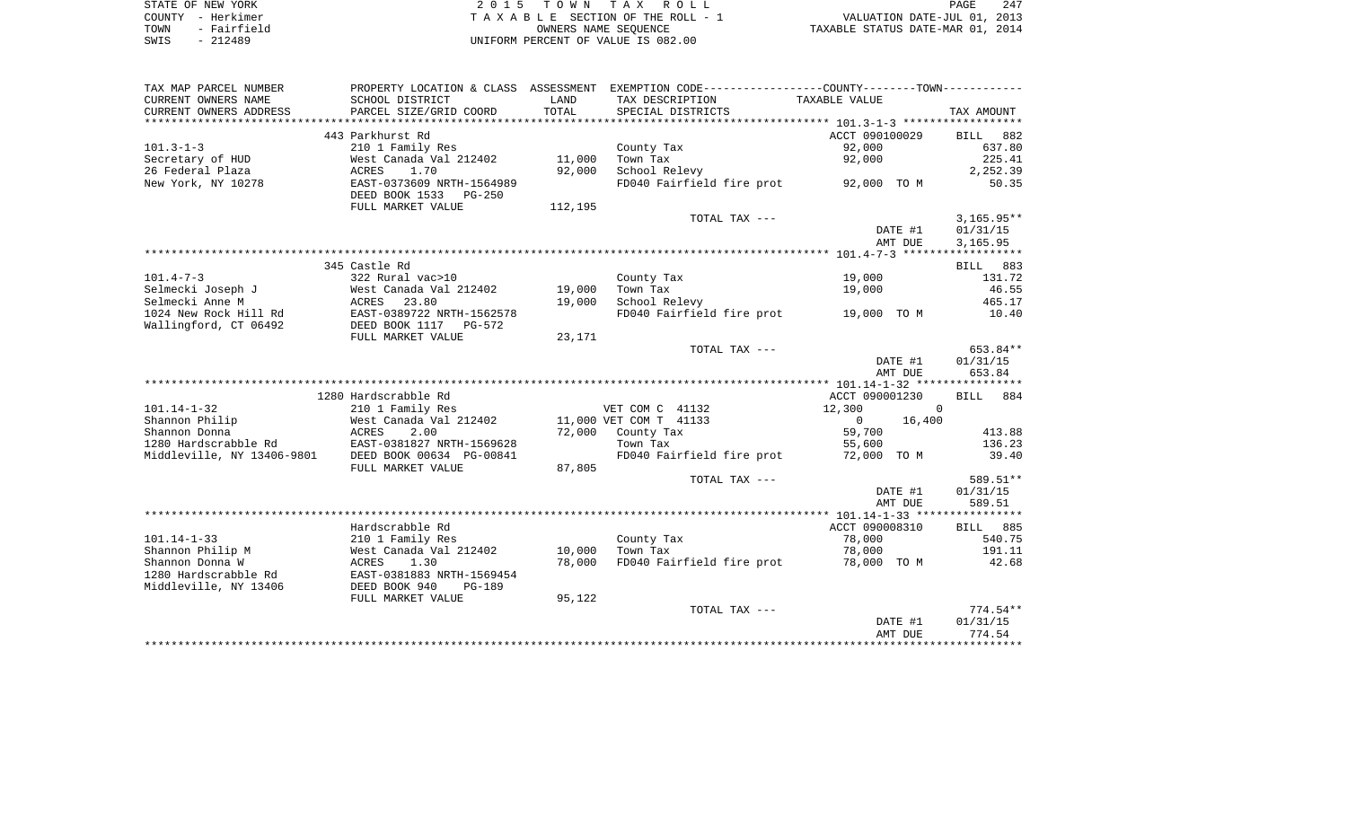| STATE OF NEW YORK   | 2015 TOWN TAX ROLL                 | 247<br>PAGE                      |
|---------------------|------------------------------------|----------------------------------|
| COUNTY - Herkimer   | TAXABLE SECTION OF THE ROLL - 1    | VALUATION DATE-JUL 01, 2013      |
| - Fairfield<br>TOWN | OWNERS NAME SEOUENCE               | TAXABLE STATUS DATE-MAR 01, 2014 |
| $-212489$<br>SWIS   | UNIFORM PERCENT OF VALUE IS 082.00 |                                  |

| TAX MAP PARCEL NUMBER      |                                                    |         | PROPERTY LOCATION & CLASS ASSESSMENT EXEMPTION CODE---------------COUNTY-------TOWN--------- |                                   |          |              |            |
|----------------------------|----------------------------------------------------|---------|----------------------------------------------------------------------------------------------|-----------------------------------|----------|--------------|------------|
| CURRENT OWNERS NAME        | SCHOOL DISTRICT                                    | LAND    | TAX DESCRIPTION                                                                              | TAXABLE VALUE                     |          |              |            |
| CURRENT OWNERS ADDRESS     | PARCEL SIZE/GRID COORD                             | TOTAL   | SPECIAL DISTRICTS                                                                            |                                   |          | TAX AMOUNT   |            |
|                            |                                                    |         |                                                                                              |                                   |          |              |            |
|                            | 443 Parkhurst Rd                                   |         |                                                                                              | ACCT 090100029                    |          | BILL 882     |            |
| $101.3 - 1 - 3$            | 210 1 Family Res                                   |         | County Tax                                                                                   | 92,000                            |          |              | 637.80     |
| Secretary of HUD           | West Canada Val 212402                             | 11,000  | Town Tax                                                                                     | 92,000                            |          |              | 225.41     |
| 26 Federal Plaza           | ACRES<br>1.70                                      | 92,000  | School Relevy                                                                                |                                   |          |              | 2,252.39   |
| New York, NY 10278         | EAST-0373609 NRTH-1564989<br>DEED BOOK 1533 PG-250 |         | FD040 Fairfield fire prot                                                                    | 92,000 TO M                       |          |              | 50.35      |
|                            | FULL MARKET VALUE                                  | 112,195 |                                                                                              |                                   |          |              |            |
|                            |                                                    |         | TOTAL TAX ---                                                                                |                                   |          | $3,165.95**$ |            |
|                            |                                                    |         |                                                                                              |                                   | DATE #1  | 01/31/15     |            |
|                            |                                                    |         |                                                                                              |                                   | AMT DUE  | 3,165.95     |            |
|                            |                                                    |         |                                                                                              |                                   |          |              |            |
|                            | 345 Castle Rd                                      |         |                                                                                              |                                   |          | BILL 883     |            |
| $101.4 - 7 - 3$            | 322 Rural vac>10                                   |         | County Tax                                                                                   | 19,000                            |          |              | 131.72     |
| Selmecki Joseph J          | West Canada Val 212402                             | 19,000  | Town Tax                                                                                     | 19,000                            |          |              | 46.55      |
| Selmecki Anne M            | ACRES<br>23.80                                     | 19,000  | School Relevy                                                                                |                                   |          |              | 465.17     |
| 1024 New Rock Hill Rd      | EAST-0389722 NRTH-1562578                          |         | FD040 Fairfield fire prot 19,000 TO M                                                        |                                   |          |              | 10.40      |
| Wallingford, CT 06492      | DEED BOOK 1117 PG-572                              |         |                                                                                              |                                   |          |              |            |
|                            | FULL MARKET VALUE                                  | 23,171  | TOTAL TAX ---                                                                                |                                   |          |              | 653.84**   |
|                            |                                                    |         |                                                                                              |                                   | DATE #1  | 01/31/15     |            |
|                            |                                                    |         |                                                                                              |                                   | AMT DUE  |              | 653.84     |
|                            |                                                    |         |                                                                                              |                                   |          |              |            |
|                            | 1280 Hardscrabble Rd                               |         |                                                                                              | ACCT 090001230                    |          | BILL 884     |            |
| $101.14 - 1 - 32$          | 210 1 Family Res                                   |         | VET COM C 41132                                                                              | 12,300                            | $\Omega$ |              |            |
| Shannon Philip             | West Canada Val 212402                             |         | 11,000 VET COM T 41133                                                                       | $\Omega$                          | 16,400   |              |            |
| Shannon Donna              | ACRES<br>2.00                                      | 72,000  | County Tax                                                                                   | 59,700                            |          |              | 413.88     |
| 1280 Hardscrabble Rd       | EAST-0381827 NRTH-1569628                          |         | Town Tax                                                                                     | 55,600                            |          |              | 136.23     |
| Middleville, NY 13406-9801 | DEED BOOK 00634 PG-00841                           |         | FD040 Fairfield fire prot                                                                    | 72,000 TO M                       |          |              | 39.40      |
|                            | FULL MARKET VALUE                                  | 87,805  |                                                                                              |                                   |          |              |            |
|                            |                                                    |         | TOTAL TAX ---                                                                                |                                   |          |              | 589.51**   |
|                            |                                                    |         |                                                                                              |                                   | DATE #1  | 01/31/15     |            |
|                            |                                                    |         |                                                                                              |                                   | AMT DUE  |              | 589.51     |
|                            |                                                    |         |                                                                                              |                                   |          |              |            |
|                            | Hardscrabble Rd                                    |         |                                                                                              | ACCT 090008310                    |          | BILL 885     |            |
| $101.14 - 1 - 33$          | 210 1 Family Res                                   |         | County Tax                                                                                   | 78,000                            |          |              | 540.75     |
| Shannon Philip M           | West Canada Val 212402                             | 10,000  | Town Tax                                                                                     | 78,000                            |          |              | 191.11     |
| Shannon Donna W            | 1.30<br>ACRES                                      | 78,000  | FD040 Fairfield fire prot                                                                    | 78,000 TO M                       |          |              | 42.68      |
| 1280 Hardscrabble Rd       | EAST-0381883 NRTH-1569454                          |         |                                                                                              |                                   |          |              |            |
| Middleville, NY 13406      | DEED BOOK 940<br><b>PG-189</b>                     |         |                                                                                              |                                   |          |              |            |
|                            | FULL MARKET VALUE                                  | 95,122  |                                                                                              |                                   |          |              |            |
|                            |                                                    |         | TOTAL TAX ---                                                                                |                                   |          |              | $774.54**$ |
|                            |                                                    |         |                                                                                              |                                   | DATE #1  | 01/31/15     |            |
|                            |                                                    |         |                                                                                              | ********************************* | AMT DUE  |              | 774.54     |
|                            |                                                    |         |                                                                                              |                                   |          |              |            |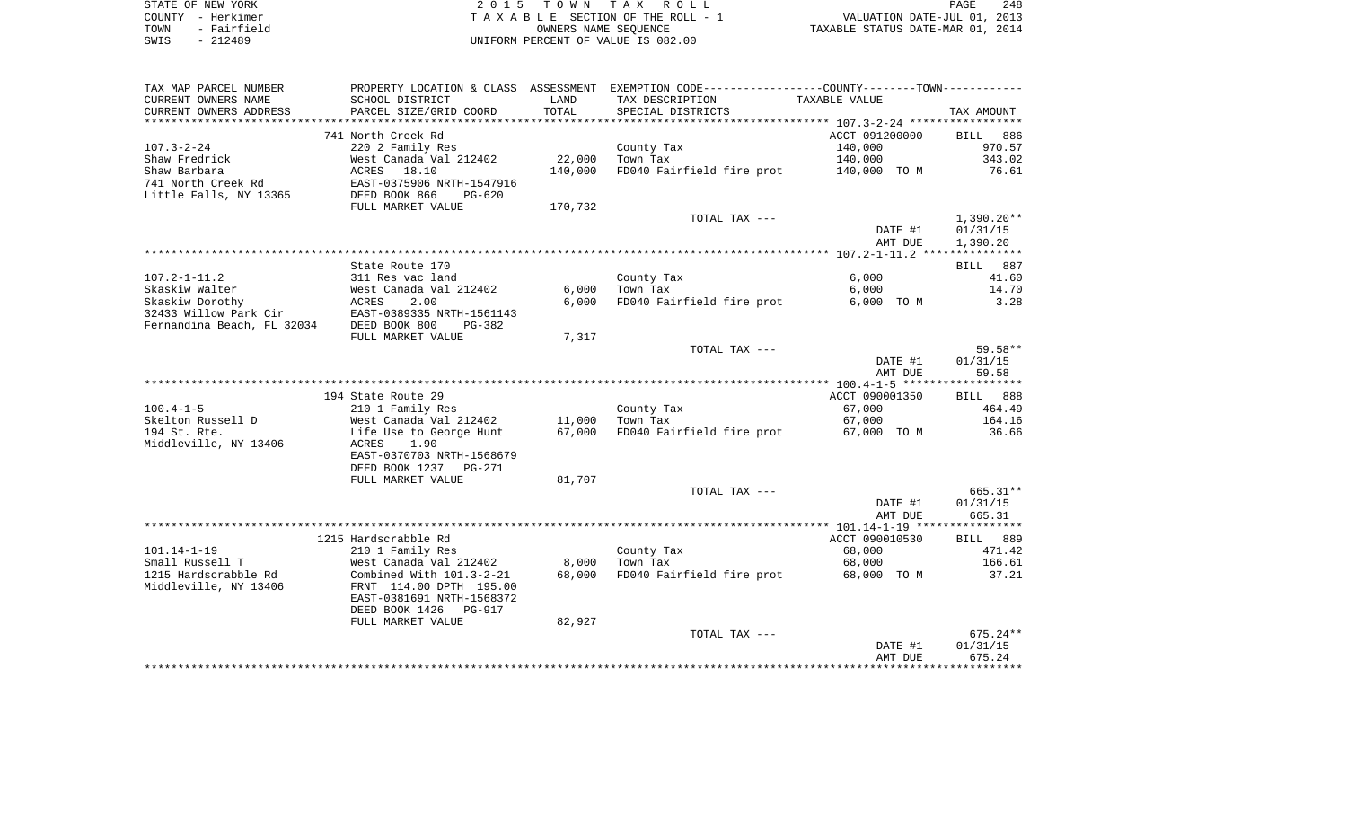| STATE OF NEW YORK |             | 2015 TOWN TAX ROLL                 |                      |                                  | PAGE | 248 |
|-------------------|-------------|------------------------------------|----------------------|----------------------------------|------|-----|
| COUNTY - Herkimer |             | TAXABLE SECTION OF THE ROLL - 1    |                      | VALUATION DATE-JUL 01, 2013      |      |     |
| TOWN              | - Fairfield |                                    | OWNERS NAME SEOUENCE | TAXABLE STATUS DATE-MAR 01, 2014 |      |     |
| - 212489<br>SWIS  |             | UNIFORM PERCENT OF VALUE IS 082.00 |                      |                                  |      |     |

 $\begin{array}{c} 248 \\ 2013 \\ 2014 \end{array}$ 

| TAX MAP PARCEL NUMBER                                 |                                                      |                 | PROPERTY LOCATION & CLASS ASSESSMENT EXEMPTION CODE---------------COUNTY--------TOWN---------- |                |                    |
|-------------------------------------------------------|------------------------------------------------------|-----------------|------------------------------------------------------------------------------------------------|----------------|--------------------|
| CURRENT OWNERS NAME                                   | SCHOOL DISTRICT                                      | LAND            | TAX DESCRIPTION                                                                                | TAXABLE VALUE  |                    |
| CURRENT OWNERS ADDRESS                                | PARCEL SIZE/GRID COORD                               | TOTAL           | SPECIAL DISTRICTS                                                                              |                | TAX AMOUNT         |
|                                                       |                                                      |                 |                                                                                                |                |                    |
|                                                       | 741 North Creek Rd                                   |                 |                                                                                                | ACCT 091200000 | BILL<br>886        |
| $107.3 - 2 - 24$                                      | 220 2 Family Res                                     |                 | County Tax                                                                                     | 140,000        | 970.57             |
| Shaw Fredrick                                         | West Canada Val 212402                               | 22,000          | Town Tax                                                                                       | 140,000        | 343.02             |
| Shaw Barbara                                          | ACRES 18.10                                          | 140,000         | FD040 Fairfield fire prot 140,000 TO M                                                         |                | 76.61              |
| 741 North Creek Rd                                    | EAST-0375906 NRTH-1547916                            |                 |                                                                                                |                |                    |
| Little Falls, NY 13365                                | DEED BOOK 866<br>PG-620                              |                 |                                                                                                |                |                    |
|                                                       | FULL MARKET VALUE                                    | 170,732         |                                                                                                |                |                    |
|                                                       |                                                      |                 | TOTAL TAX ---                                                                                  |                | $1,390.20**$       |
|                                                       |                                                      |                 |                                                                                                | DATE #1        | 01/31/15           |
|                                                       |                                                      |                 |                                                                                                | AMT DUE        | 1,390.20           |
|                                                       |                                                      |                 |                                                                                                |                |                    |
|                                                       | State Route 170                                      |                 |                                                                                                |                | BILL 887           |
| $107.2 - 1 - 11.2$                                    | 311 Res vac land                                     |                 | County Tax                                                                                     | 6,000          | 41.60              |
| Skaskiw Walter                                        | West Canada Val 212402                               | 6,000           | Town Tax                                                                                       | 6,000          | 14.70              |
| Skaskiw Dorothy ACRES<br>32433 Willow Park Cir EAST-0 | 2.00                                                 | 6,000           | FD040 Fairfield fire prot                                                                      | 6,000 TO M     | 3.28               |
|                                                       | EAST-0389335 NRTH-1561143                            |                 |                                                                                                |                |                    |
| Fernandina Beach, FL 32034                            | DEED BOOK 800<br>$PG-382$                            |                 |                                                                                                |                |                    |
|                                                       | FULL MARKET VALUE                                    | 7,317           |                                                                                                |                |                    |
|                                                       |                                                      |                 | TOTAL TAX ---                                                                                  |                | $59.58**$          |
|                                                       |                                                      |                 |                                                                                                | DATE #1        | 01/31/15           |
|                                                       |                                                      |                 |                                                                                                | AMT DUE        | 59.58              |
|                                                       |                                                      |                 |                                                                                                |                |                    |
|                                                       | 194 State Route 29                                   |                 |                                                                                                | ACCT 090001350 | BILL 888           |
| $100.4 - 1 - 5$                                       | 210 1 Family Res                                     |                 | County Tax                                                                                     | 67,000         | 464.49             |
| Skelton Russell D                                     | West Canada Val 212402                               | 11,000          | Town Tax                                                                                       | 67,000         | 164.16             |
| 194 St. Rte.                                          | Life Use to George Hunt                              |                 | 67,000 FD040 Fairfield fire prot                                                               | 67,000 TO M    | 36.66              |
| Middleville, NY 13406                                 | ACRES<br>1.90                                        |                 |                                                                                                |                |                    |
|                                                       | EAST-0370703 NRTH-1568679                            |                 |                                                                                                |                |                    |
|                                                       | DEED BOOK 1237 PG-271                                |                 |                                                                                                |                |                    |
|                                                       | FULL MARKET VALUE                                    | 81,707          |                                                                                                |                |                    |
|                                                       |                                                      |                 | TOTAL TAX ---                                                                                  |                | 665.31**           |
|                                                       |                                                      |                 |                                                                                                | DATE #1        | 01/31/15           |
|                                                       |                                                      |                 |                                                                                                | AMT DUE        | 665.31             |
|                                                       |                                                      |                 |                                                                                                |                |                    |
| $101.14 - 1 - 19$                                     | 1215 Hardscrabble Rd                                 |                 |                                                                                                | ACCT 090010530 | BILL 889<br>471.42 |
|                                                       | 210 1 Family Res                                     |                 | County Tax                                                                                     | 68,000         |                    |
| Small Russell T                                       | West Canada Val 212402                               | 8,000<br>68,000 | Town Tax                                                                                       | 68,000         | 166.61<br>37.21    |
| 1215 Hardscrabble Rd                                  | Combined With $101.3-2-21$                           |                 | FD040 Fairfield fire prot                                                                      | 68,000 TO M    |                    |
| Middleville, NY 13406                                 | FRNT 114.00 DPTH 195.00<br>EAST-0381691 NRTH-1568372 |                 |                                                                                                |                |                    |
|                                                       | DEED BOOK 1426 PG-917                                |                 |                                                                                                |                |                    |
|                                                       | FULL MARKET VALUE                                    | 82,927          |                                                                                                |                |                    |
|                                                       |                                                      |                 | TOTAL TAX ---                                                                                  |                | $675.24**$         |
|                                                       |                                                      |                 |                                                                                                | DATE #1        | 01/31/15           |
|                                                       |                                                      |                 |                                                                                                | AMT DUE        | 675.24             |
|                                                       |                                                      |                 |                                                                                                |                |                    |
|                                                       |                                                      |                 |                                                                                                |                |                    |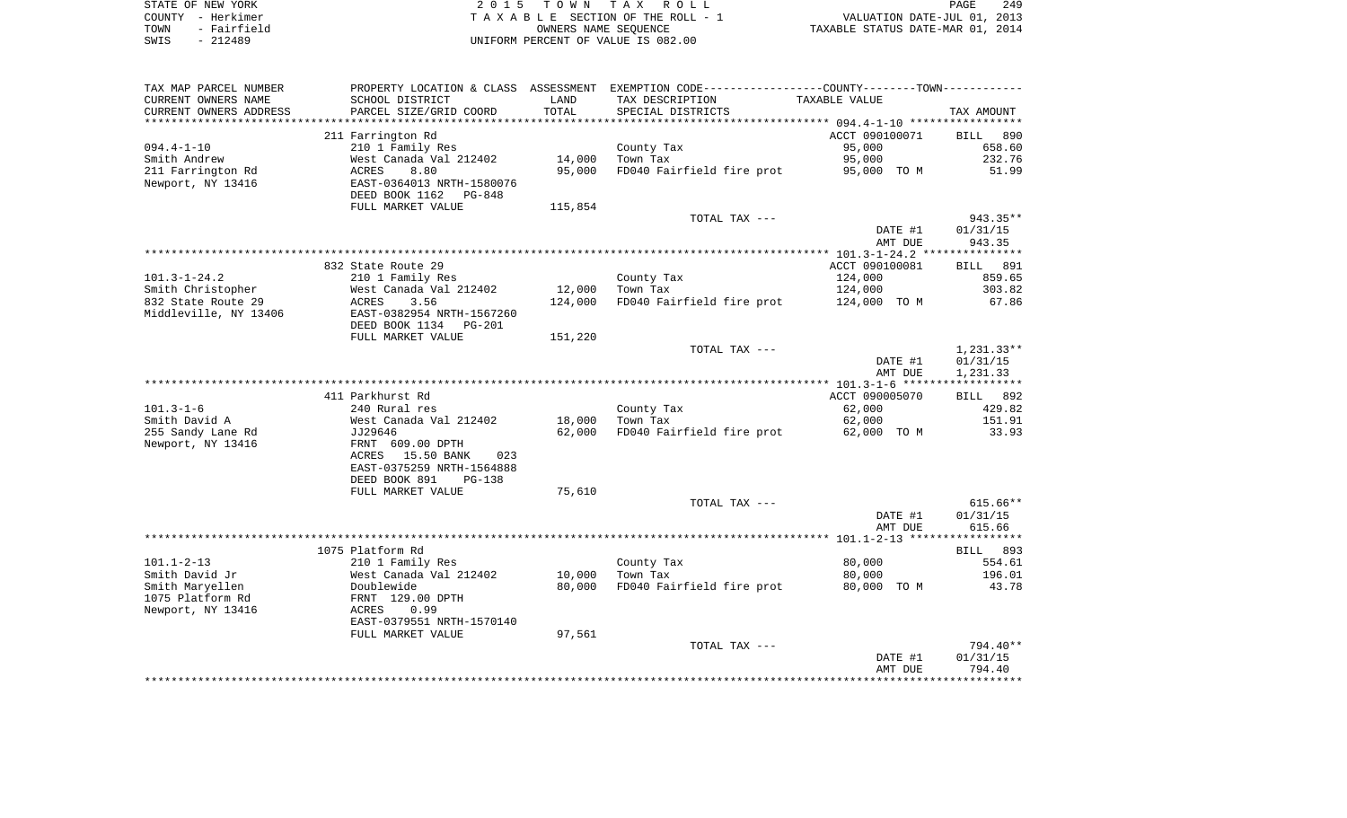| STATE OF NEW YORK |             | 2015 TOWN TAX ROLL                 | 249<br>PAGE                      |  |
|-------------------|-------------|------------------------------------|----------------------------------|--|
| COUNTY - Herkimer |             | TAXABLE SECTION OF THE ROLL - 1    | VALUATION DATE-JUL 01, 2013      |  |
| TOWN              | - Fairfield | OWNERS NAME SEOUENCE               | TAXABLE STATUS DATE-MAR 01, 2014 |  |
| SWIS              | - 212489    | UNIFORM PERCENT OF VALUE IS 082.00 |                                  |  |

| TAX MAP PARCEL NUMBER             |                                      |                  | PROPERTY LOCATION & CLASS ASSESSMENT EXEMPTION CODE---------------COUNTY-------TOWN---------- |                       |                    |
|-----------------------------------|--------------------------------------|------------------|-----------------------------------------------------------------------------------------------|-----------------------|--------------------|
| CURRENT OWNERS NAME               | SCHOOL DISTRICT                      | LAND             | TAX DESCRIPTION                                                                               | TAXABLE VALUE         |                    |
| CURRENT OWNERS ADDRESS            | PARCEL SIZE/GRID COORD               | TOTAL            | SPECIAL DISTRICTS                                                                             |                       | TAX AMOUNT         |
| **********************            | ****************************         |                  |                                                                                               |                       |                    |
|                                   | 211 Farrington Rd                    |                  |                                                                                               | ACCT 090100071        | 890<br><b>BILL</b> |
| $094.4 - 1 - 10$                  | 210 1 Family Res                     |                  | County Tax                                                                                    | 95,000                | 658.60             |
| Smith Andrew                      | West Canada Val 212402               | 14,000           | Town Tax                                                                                      | 95,000                | 232.76             |
| 211 Farrington Rd                 | 8.80<br><b>ACRES</b>                 | 95,000           | FD040 Fairfield fire prot                                                                     | 95,000 TO M           | 51.99              |
| Newport, NY 13416                 | EAST-0364013 NRTH-1580076            |                  |                                                                                               |                       |                    |
|                                   | DEED BOOK 1162<br>PG-848             |                  |                                                                                               |                       |                    |
|                                   | FULL MARKET VALUE                    | 115,854          |                                                                                               |                       |                    |
|                                   |                                      |                  | TOTAL TAX ---                                                                                 |                       | 943.35**           |
|                                   |                                      |                  |                                                                                               | DATE #1               | 01/31/15           |
|                                   |                                      |                  |                                                                                               | AMT DUE               | 943.35             |
|                                   | 832 State Route 29                   |                  |                                                                                               | ACCT 090100081        | <b>BILL</b><br>891 |
| $101.3 - 1 - 24.2$                | 210 1 Family Res                     |                  | County Tax                                                                                    | 124,000               | 859.65             |
| Smith Christopher                 | West Canada Val 212402               | 12,000           | Town Tax                                                                                      | 124,000               | 303.82             |
| 832 State Route 29                | 3.56<br>ACRES                        | 124,000          | FD040 Fairfield fire prot                                                                     | 124,000 TO M          | 67.86              |
| Middleville, NY 13406             | EAST-0382954 NRTH-1567260            |                  |                                                                                               |                       |                    |
|                                   | DEED BOOK 1134 PG-201                |                  |                                                                                               |                       |                    |
|                                   | FULL MARKET VALUE                    | 151,220          |                                                                                               |                       |                    |
|                                   |                                      |                  | TOTAL TAX ---                                                                                 |                       | $1,231.33**$       |
|                                   |                                      |                  |                                                                                               | DATE #1               | 01/31/15           |
|                                   |                                      |                  |                                                                                               | AMT DUE               | 1,231.33           |
|                                   |                                      |                  |                                                                                               |                       | ***********        |
|                                   | 411 Parkhurst Rd                     |                  |                                                                                               | ACCT 090005070        | BILL 892           |
| $101.3 - 1 - 6$                   | 240 Rural res                        |                  | County Tax                                                                                    | 62,000                | 429.82             |
| Smith David A                     | West Canada Val 212402               | 18,000           | Town Tax                                                                                      | 62,000                | 151.91             |
| 255 Sandy Lane Rd                 | JJ29646                              | 62,000           | FD040 Fairfield fire prot                                                                     | 62,000 TO M           | 33.93              |
| Newport, NY 13416                 | FRNT 609.00 DPTH                     |                  |                                                                                               |                       |                    |
|                                   | ACRES 15.50 BANK<br>023              |                  |                                                                                               |                       |                    |
|                                   | EAST-0375259 NRTH-1564888            |                  |                                                                                               |                       |                    |
|                                   | DEED BOOK 891<br>$PG-138$            |                  |                                                                                               |                       |                    |
|                                   | FULL MARKET VALUE                    | 75,610           |                                                                                               |                       |                    |
|                                   |                                      |                  | TOTAL TAX ---                                                                                 |                       | $615.66**$         |
|                                   |                                      |                  |                                                                                               | DATE #1               | 01/31/15           |
|                                   |                                      |                  |                                                                                               | AMT DUE               | 615.66             |
|                                   |                                      |                  |                                                                                               |                       |                    |
|                                   | 1075 Platform Rd                     |                  |                                                                                               |                       | BILL 893           |
| $101.1 - 2 - 13$                  | 210 1 Family Res                     |                  | County Tax                                                                                    | 80,000                | 554.61             |
| Smith David Jr<br>Smith Maryellen | West Canada Val 212402<br>Doublewide | 10,000<br>80,000 | Town Tax<br>FD040 Fairfield fire prot                                                         | 80,000<br>80,000 TO M | 196.01<br>43.78    |
| 1075 Platform Rd                  | FRNT 129.00 DPTH                     |                  |                                                                                               |                       |                    |
| Newport, NY 13416                 | 0.99<br>ACRES                        |                  |                                                                                               |                       |                    |
|                                   | EAST-0379551 NRTH-1570140            |                  |                                                                                               |                       |                    |
|                                   | FULL MARKET VALUE                    | 97,561           |                                                                                               |                       |                    |
|                                   |                                      |                  | TOTAL TAX ---                                                                                 |                       | 794.40**           |
|                                   |                                      |                  |                                                                                               | DATE #1               | 01/31/15           |
|                                   |                                      |                  |                                                                                               | AMT DUE               | 794.40             |
|                                   |                                      |                  |                                                                                               |                       |                    |
|                                   |                                      |                  |                                                                                               |                       |                    |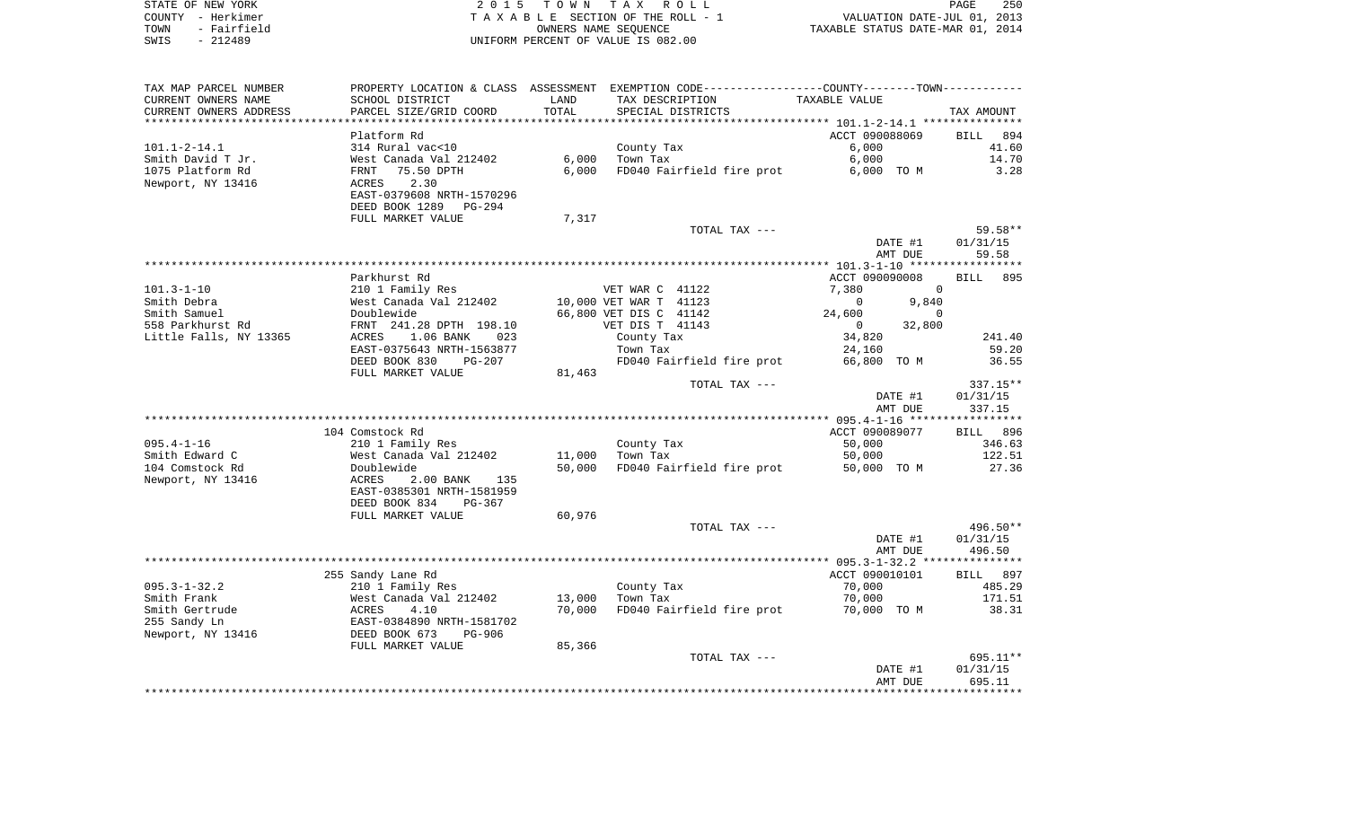| STATE OF NEW YORK   | 2015 TOWN TAX ROLL                 | 250<br>PAGE                      |
|---------------------|------------------------------------|----------------------------------|
| COUNTY - Herkimer   | TAXABLE SECTION OF THE ROLL - 1    | VALUATION DATE-JUL 01, 2013      |
| - Fairfield<br>TOWN | OWNERS NAME SEOUENCE               | TAXABLE STATUS DATE-MAR 01, 2014 |
| SWIS<br>- 212489    | UNIFORM PERCENT OF VALUE IS 082.00 |                                  |

| TAX MAP PARCEL NUMBER  | PROPERTY LOCATION & CLASS ASSESSMENT |        |                           | EXEMPTION CODE-----------------COUNTY--------TOWN----------- |                    |
|------------------------|--------------------------------------|--------|---------------------------|--------------------------------------------------------------|--------------------|
| CURRENT OWNERS NAME    | SCHOOL DISTRICT                      | LAND   | TAX DESCRIPTION           | TAXABLE VALUE                                                |                    |
| CURRENT OWNERS ADDRESS | PARCEL SIZE/GRID COORD               | TOTAL  | SPECIAL DISTRICTS         |                                                              | TAX AMOUNT         |
|                        |                                      |        |                           |                                                              |                    |
|                        | Platform Rd                          |        |                           | ACCT 090088069                                               | BILL<br>894        |
| $101.1 - 2 - 14.1$     | 314 Rural vac<10                     |        | County Tax                | 6,000                                                        | 41.60              |
| Smith David T Jr.      | West Canada Val 212402               | 6,000  | Town Tax                  | 6,000                                                        | 14.70              |
| 1075 Platform Rd       | 75.50 DPTH                           | 6,000  |                           |                                                              | 3.28               |
|                        | FRNT                                 |        | FD040 Fairfield fire prot | 6,000 TO M                                                   |                    |
| Newport, NY 13416      | 2.30<br>ACRES                        |        |                           |                                                              |                    |
|                        | EAST-0379608 NRTH-1570296            |        |                           |                                                              |                    |
|                        | DEED BOOK 1289<br>PG-294             |        |                           |                                                              |                    |
|                        | FULL MARKET VALUE                    | 7,317  |                           |                                                              |                    |
|                        |                                      |        | TOTAL TAX ---             |                                                              | 59.58**            |
|                        |                                      |        |                           | DATE #1                                                      | 01/31/15           |
|                        |                                      |        |                           | AMT DUE                                                      | 59.58              |
|                        |                                      |        |                           |                                                              |                    |
|                        | Parkhurst Rd                         |        |                           | ACCT 090090008                                               | <b>BILL</b><br>895 |
| $101.3 - 1 - 10$       | 210 1 Family Res                     |        | VET WAR C 41122           | 7,380<br>$\mathbf 0$                                         |                    |
| Smith Debra            | West Canada Val 212402               |        | 10,000 VET WAR T 41123    | $\mathbf 0$<br>9,840                                         |                    |
| Smith Samuel           | Doublewide                           |        | 66,800 VET DIS C 41142    | 24,600<br>$\Omega$                                           |                    |
| 558 Parkhurst Rd       | FRNT 241.28 DPTH 198.10              |        | VET DIS T 41143           | $\mathbf{0}$<br>32,800                                       |                    |
| Little Falls, NY 13365 | 1.06 BANK<br>ACRES<br>023            |        | County Tax                | 34,820                                                       | 241.40             |
|                        | EAST-0375643 NRTH-1563877            |        | Town Tax                  | 24,160                                                       | 59.20              |
|                        |                                      |        |                           |                                                              |                    |
|                        | DEED BOOK 830<br>PG-207              |        | FD040 Fairfield fire prot | 66,800 TO M                                                  | 36.55              |
|                        | FULL MARKET VALUE                    | 81,463 |                           |                                                              |                    |
|                        |                                      |        | TOTAL TAX ---             |                                                              | 337.15**           |
|                        |                                      |        |                           | DATE #1                                                      | 01/31/15           |
|                        |                                      |        |                           | AMT DUE                                                      | 337.15             |
|                        |                                      |        |                           |                                                              |                    |
|                        | 104 Comstock Rd                      |        |                           | ACCT 090089077                                               | BILL 896           |
| $095.4 - 1 - 16$       | 210 1 Family Res                     |        | County Tax                | 50,000                                                       | 346.63             |
| Smith Edward C         | West Canada Val 212402               | 11,000 | Town Tax                  | 50,000                                                       | 122.51             |
| 104 Comstock Rd        | Doublewide                           | 50,000 | FD040 Fairfield fire prot | 50,000 TO M                                                  | 27.36              |
| Newport, NY 13416      | ACRES<br>2.00 BANK<br>135            |        |                           |                                                              |                    |
|                        | EAST-0385301 NRTH-1581959            |        |                           |                                                              |                    |
|                        | DEED BOOK 834<br>$PG-367$            |        |                           |                                                              |                    |
|                        | FULL MARKET VALUE                    | 60,976 |                           |                                                              |                    |
|                        |                                      |        | TOTAL TAX ---             |                                                              | 496.50**           |
|                        |                                      |        |                           | DATE #1                                                      | 01/31/15           |
|                        |                                      |        |                           | AMT DUE                                                      | 496.50             |
|                        |                                      |        |                           |                                                              |                    |
|                        |                                      |        |                           |                                                              |                    |
|                        | 255 Sandy Lane Rd                    |        |                           | ACCT 090010101                                               | BILL 897           |
| $095.3 - 1 - 32.2$     | 210 1 Family Res                     |        | County Tax                | 70,000                                                       | 485.29             |
| Smith Frank            | West Canada Val 212402               | 13,000 | Town Tax                  | 70,000                                                       | 171.51             |
| Smith Gertrude         | 4.10<br>ACRES                        | 70,000 | FD040 Fairfield fire prot | 70,000 TO M                                                  | 38.31              |
| 255 Sandy Ln           | EAST-0384890 NRTH-1581702            |        |                           |                                                              |                    |
| Newport, NY 13416      | DEED BOOK 673<br><b>PG-906</b>       |        |                           |                                                              |                    |
|                        | FULL MARKET VALUE                    | 85,366 |                           |                                                              |                    |
|                        |                                      |        | TOTAL TAX ---             |                                                              | 695.11**           |
|                        |                                      |        |                           | DATE #1                                                      | 01/31/15           |
|                        |                                      |        |                           | AMT DUE                                                      | 695.11             |
|                        |                                      |        |                           |                                                              |                    |
|                        |                                      |        |                           |                                                              |                    |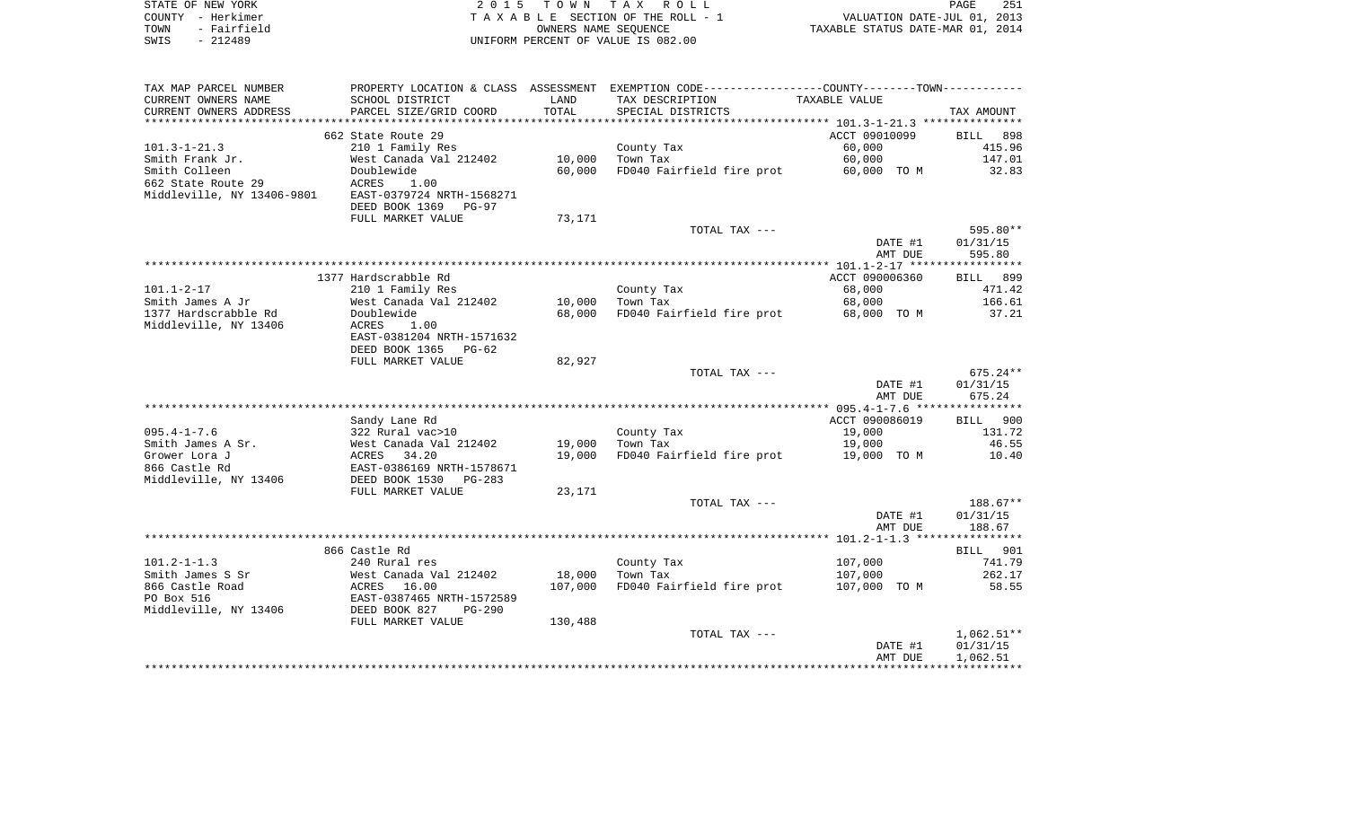| STATE OF NEW YORK   | 2015 TOWN TAX ROLL                 | 251<br>PAGE                      |
|---------------------|------------------------------------|----------------------------------|
| COUNTY - Herkimer   | TAXABLE SECTION OF THE ROLL - 1    | VALUATION DATE-JUL 01, 2013      |
| - Fairfield<br>TOWN | OWNERS NAME SEOUENCE               | TAXABLE STATUS DATE-MAR 01, 2014 |
| $-212489$<br>SWIS   | UNIFORM PERCENT OF VALUE IS 082.00 |                                  |

| TAX MAP PARCEL NUMBER<br>CURRENT OWNERS NAME     | PROPERTY LOCATION & CLASS ASSESSMENT<br>SCHOOL DISTRICT               | LAND                     | EXEMPTION CODE-----------------COUNTY-------TOWN-----------<br>TAX DESCRIPTION | TAXABLE VALUE         |                          |
|--------------------------------------------------|-----------------------------------------------------------------------|--------------------------|--------------------------------------------------------------------------------|-----------------------|--------------------------|
| CURRENT OWNERS ADDRESS<br>******************     | PARCEL SIZE/GRID COORD                                                | TOTAL<br>*************** | SPECIAL DISTRICTS                                                              |                       | TAX AMOUNT               |
|                                                  | 662 State Route 29                                                    |                          |                                                                                | ACCT 09010099         | 898<br><b>BILL</b>       |
| $101.3 - 1 - 21.3$                               | 210 1 Family Res                                                      |                          | County Tax                                                                     | 60,000                | 415.96                   |
| Smith Frank Jr.                                  | West Canada Val 212402                                                | 10,000                   | Town Tax                                                                       | 60,000                | 147.01                   |
| Smith Colleen                                    | Doublewide                                                            | 60,000                   | FD040 Fairfield fire prot                                                      | 60,000 TO M           | 32.83                    |
| 662 State Route 29<br>Middleville, NY 13406-9801 | ACRES<br>1.00<br>EAST-0379724 NRTH-1568271<br>DEED BOOK 1369<br>PG-97 |                          |                                                                                |                       |                          |
|                                                  | FULL MARKET VALUE                                                     | 73,171                   |                                                                                |                       |                          |
|                                                  |                                                                       |                          | TOTAL TAX ---                                                                  |                       | 595.80**                 |
|                                                  |                                                                       |                          |                                                                                | DATE #1               | 01/31/15                 |
|                                                  |                                                                       |                          |                                                                                | AMT DUE               | 595.80                   |
|                                                  |                                                                       |                          |                                                                                |                       |                          |
|                                                  | 1377 Hardscrabble Rd                                                  |                          |                                                                                | ACCT 090006360        | <b>BILL</b><br>899       |
| $101.1 - 2 - 17$                                 | 210 1 Family Res                                                      |                          | County Tax                                                                     | 68,000                | 471.42<br>166.61         |
| Smith James A Jr<br>1377 Hardscrabble Rd         | West Canada Val 212402<br>Doublewide                                  | 10,000<br>68,000         | Town Tax<br>FD040 Fairfield fire prot                                          | 68,000<br>68,000 TO M | 37.21                    |
| Middleville, NY 13406                            | ACRES<br>1.00                                                         |                          |                                                                                |                       |                          |
|                                                  | EAST-0381204 NRTH-1571632                                             |                          |                                                                                |                       |                          |
|                                                  | DEED BOOK 1365<br>PG-62                                               |                          |                                                                                |                       |                          |
|                                                  | FULL MARKET VALUE                                                     | 82,927                   |                                                                                |                       |                          |
|                                                  |                                                                       |                          | TOTAL TAX ---                                                                  |                       | $675.24**$               |
|                                                  |                                                                       |                          |                                                                                | DATE #1               | 01/31/15                 |
|                                                  |                                                                       |                          |                                                                                | AMT DUE               | 675.24                   |
|                                                  | Sandy Lane Rd                                                         |                          |                                                                                | ACCT 090086019        | 900<br><b>BILL</b>       |
| $095.4 - 1 - 7.6$                                | 322 Rural vac>10                                                      |                          | County Tax                                                                     | 19,000                | 131.72                   |
| Smith James A Sr.                                | West Canada Val 212402                                                | 19,000                   | Town Tax                                                                       | 19,000                | 46.55                    |
| Grower Lora J                                    | ACRES<br>34.20                                                        | 19,000                   | FD040 Fairfield fire prot                                                      | 19,000 TO M           | 10.40                    |
| 866 Castle Rd                                    | EAST-0386169 NRTH-1578671                                             |                          |                                                                                |                       |                          |
| Middleville, NY 13406                            | DEED BOOK 1530<br>$PG-283$                                            |                          |                                                                                |                       |                          |
|                                                  | FULL MARKET VALUE                                                     | 23,171                   |                                                                                |                       |                          |
|                                                  |                                                                       |                          | TOTAL TAX ---                                                                  |                       | 188.67**                 |
|                                                  |                                                                       |                          |                                                                                | DATE #1               | 01/31/15<br>188.67       |
|                                                  |                                                                       |                          |                                                                                | AMT DUE               |                          |
|                                                  | 866 Castle Rd                                                         |                          |                                                                                |                       | 901<br>BILL              |
| $101.2 - 1 - 1.3$                                | 240 Rural res                                                         |                          | County Tax                                                                     | 107,000               | 741.79                   |
| Smith James S Sr                                 | West Canada Val 212402                                                | 18,000                   | Town Tax                                                                       | 107,000               | 262.17                   |
| 866 Castle Road                                  | 16.00<br>ACRES                                                        | 107,000                  | FD040 Fairfield fire prot                                                      | 107,000 TO M          | 58.55                    |
| PO Box 516                                       | EAST-0387465 NRTH-1572589                                             |                          |                                                                                |                       |                          |
| Middleville, NY 13406                            | DEED BOOK 827<br><b>PG-290</b>                                        |                          |                                                                                |                       |                          |
|                                                  | FULL MARKET VALUE                                                     | 130,488                  |                                                                                |                       |                          |
|                                                  |                                                                       |                          | TOTAL TAX ---                                                                  | DATE #1               | $1,062.51**$<br>01/31/15 |
|                                                  |                                                                       |                          |                                                                                | AMT DUE               | 1,062.51                 |
|                                                  |                                                                       |                          |                                                                                |                       |                          |
|                                                  |                                                                       |                          |                                                                                |                       |                          |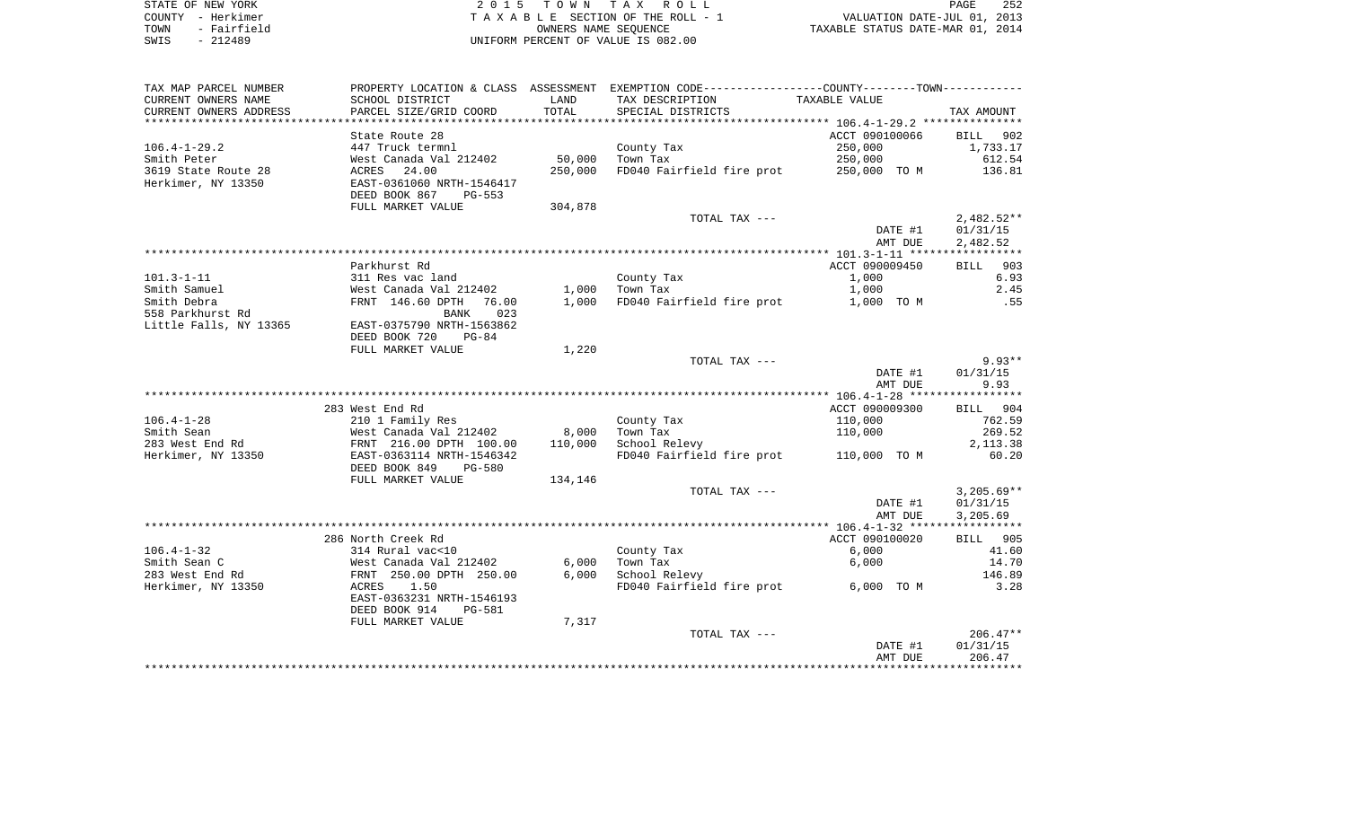| STATE OF NEW YORK |             | 2015 TOWN TAX ROLL                 | PAGE                             | 252 |
|-------------------|-------------|------------------------------------|----------------------------------|-----|
| COUNTY - Herkimer |             | TAXABLE SECTION OF THE ROLL - 1    | VALUATION DATE-JUL 01, 2013      |     |
| TOWN              | - Fairfield | OWNERS NAME SEOUENCE               | TAXABLE STATUS DATE-MAR 01, 2014 |     |
| SWIS              | $-212489$   | UNIFORM PERCENT OF VALUE IS 082.00 |                                  |     |

| TAX MAP PARCEL NUMBER  |                                                                                |         | PROPERTY LOCATION & CLASS ASSESSMENT EXEMPTION CODE---------------COUNTY-------TOWN---------- |                    |              |
|------------------------|--------------------------------------------------------------------------------|---------|-----------------------------------------------------------------------------------------------|--------------------|--------------|
| CURRENT OWNERS NAME    | SCHOOL DISTRICT                                                                | LAND    | TAX DESCRIPTION                                                                               | TAXABLE VALUE      |              |
| CURRENT OWNERS ADDRESS | PARCEL SIZE/GRID COORD                                                         | TOTAL   | SPECIAL DISTRICTS                                                                             |                    | TAX AMOUNT   |
| *********************  |                                                                                |         |                                                                                               |                    |              |
|                        | State Route 28                                                                 |         |                                                                                               | ACCT 090100066     | BILL 902     |
| $106.4 - 1 - 29.2$     | 447 Truck termnl                                                               |         | County Tax                                                                                    | 250,000            | 1,733.17     |
| Smith Peter            | West Canada Val 212402                                                         | 50,000  | Town Tax                                                                                      | 250,000            | 612.54       |
| 3619 State Route 28    | <b>ACRES</b><br>24.00                                                          | 250,000 | FD040 Fairfield fire prot                                                                     | 250,000 TO M       | 136.81       |
| Herkimer, NY 13350     | EAST-0361060 NRTH-1546417                                                      |         |                                                                                               |                    |              |
|                        | DEED BOOK 867<br><b>PG-553</b>                                                 |         |                                                                                               |                    |              |
|                        | FULL MARKET VALUE                                                              | 304,878 |                                                                                               |                    |              |
|                        |                                                                                |         | TOTAL TAX ---                                                                                 |                    | $2,482.52**$ |
|                        |                                                                                |         |                                                                                               | DATE #1            | 01/31/15     |
|                        |                                                                                |         |                                                                                               | AMT DUE            | 2,482.52     |
|                        |                                                                                |         |                                                                                               |                    |              |
|                        | Parkhurst Rd                                                                   |         |                                                                                               | ACCT 090009450     | BILL 903     |
| $101.3 - 1 - 11$       | 311 Res vac land                                                               |         | County Tax                                                                                    | 1,000              | 6.93         |
| Smith Samuel           | West Canada Val 212402                                                         |         | $1,000$ Town Tax                                                                              | 1,000              | 2.45         |
| Smith Debra            | FRNT 146.60 DPTH<br>76.00                                                      | 1,000   | FD040 Fairfield fire prot                                                                     | 1,000 TO M         | .55          |
| 558 Parkhurst Rd       | 023<br>BANK                                                                    |         |                                                                                               |                    |              |
| Little Falls, NY 13365 | EAST-0375790 NRTH-1563862                                                      |         |                                                                                               |                    |              |
|                        | DEED BOOK 720<br>$PG-84$                                                       |         |                                                                                               |                    |              |
|                        | FULL MARKET VALUE                                                              | 1,220   |                                                                                               |                    | $9.93**$     |
|                        |                                                                                |         | TOTAL TAX ---                                                                                 |                    | 01/31/15     |
|                        |                                                                                |         |                                                                                               | DATE #1<br>AMT DUE | 9.93         |
|                        |                                                                                |         |                                                                                               |                    |              |
|                        | 283 West End Rd                                                                |         |                                                                                               | ACCT 090009300     | BILL 904     |
| $106.4 - 1 - 28$       | 210 1 Family Res                                                               |         | County Tax                                                                                    | 110,000            | 762.59       |
| Smith Sean             |                                                                                | 8,000   | Town Tax                                                                                      | 110,000            | 269.52       |
| 283 West End Rd        | West Canada Val 212402<br>FRNT 216.00 DPTH 100.00<br>EAST-0363114 NRTH-1546342 | 110,000 | School Relevy                                                                                 |                    | 2, 113.38    |
| Herkimer, NY 13350     |                                                                                |         | FD040 Fairfield fire prot 110,000 TO M                                                        |                    | 60.20        |
|                        | DEED BOOK 849<br><b>PG-580</b>                                                 |         |                                                                                               |                    |              |
|                        | FULL MARKET VALUE                                                              | 134,146 |                                                                                               |                    |              |
|                        |                                                                                |         | TOTAL TAX ---                                                                                 |                    | $3,205.69**$ |
|                        |                                                                                |         |                                                                                               | DATE #1            | 01/31/15     |
|                        |                                                                                |         |                                                                                               | AMT DUE            | 3,205.69     |
|                        |                                                                                |         |                                                                                               |                    |              |
|                        | 286 North Creek Rd                                                             |         |                                                                                               | ACCT 090100020     | BILL 905     |
| $106.4 - 1 - 32$       | 314 Rural vac<10                                                               |         | County Tax                                                                                    | 6,000              | 41.60        |
| Smith Sean C           | West Canada Val 212402<br>FRNT  250.00 DPTH  250.00                            | 6,000   | Town Tax                                                                                      | 6,000              | 14.70        |
| 283 West End Rd        |                                                                                | 6,000   | School Relevy                                                                                 |                    | 146.89       |
| Herkimer, NY 13350     | ACRES<br>1.50                                                                  |         | FD040 Fairfield fire prot                                                                     | 6,000 TO M         | 3.28         |
|                        | EAST-0363231 NRTH-1546193                                                      |         |                                                                                               |                    |              |
|                        | DEED BOOK 914<br>PG-581                                                        |         |                                                                                               |                    |              |
|                        | FULL MARKET VALUE                                                              | 7,317   |                                                                                               |                    |              |
|                        |                                                                                |         | TOTAL TAX ---                                                                                 |                    | $206.47**$   |
|                        |                                                                                |         |                                                                                               | DATE #1            | 01/31/15     |
|                        |                                                                                |         |                                                                                               | AMT DUE            | 206.47       |
|                        |                                                                                |         |                                                                                               |                    |              |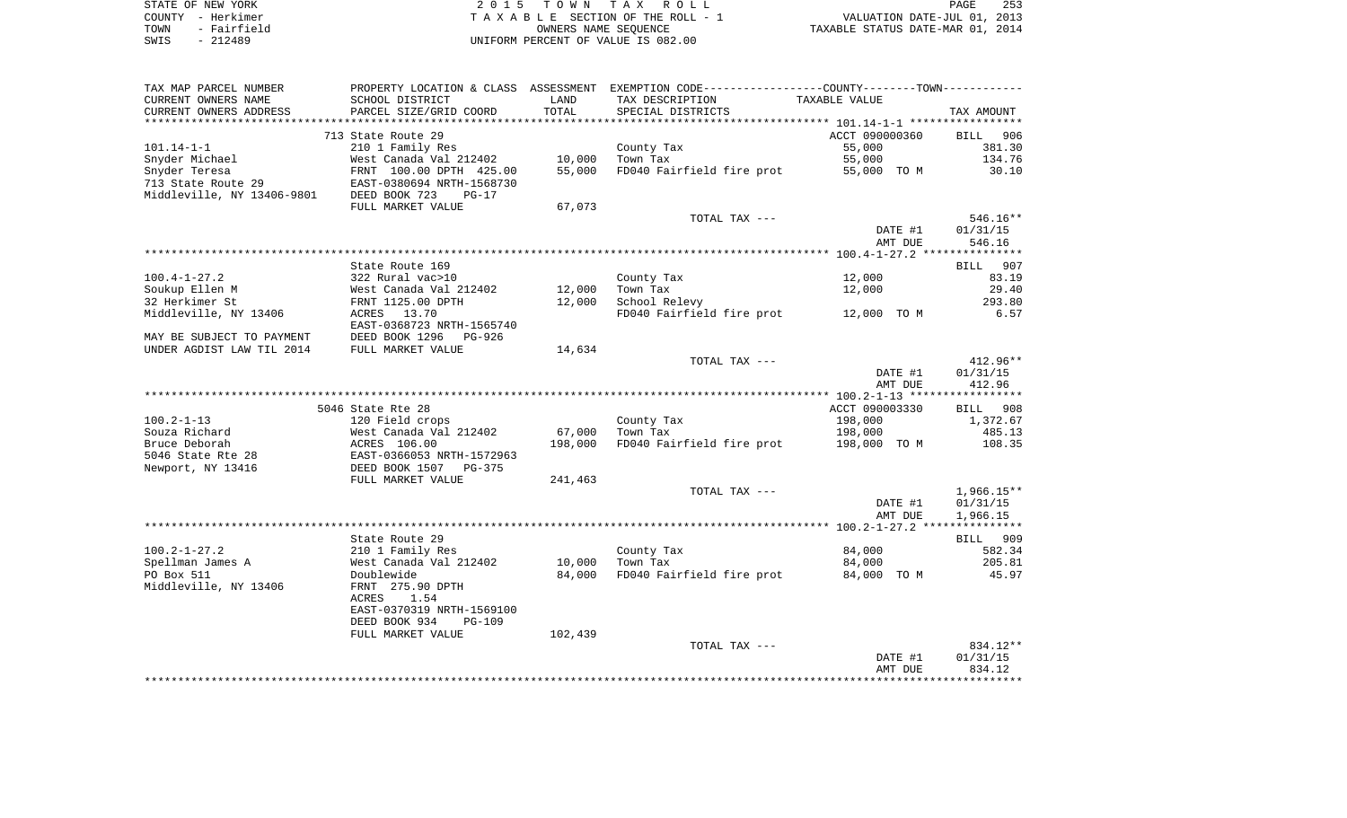| STATE OF NEW YORK   | 2015 TOWN TAX ROLL                 | 253<br>PAGE                      |
|---------------------|------------------------------------|----------------------------------|
| COUNTY - Herkimer   | TAXABLE SECTION OF THE ROLL - 1    | VALUATION DATE-JUL 01, 2013      |
| - Fairfield<br>TOWN | OWNERS NAME SEOUENCE               | TAXABLE STATUS DATE-MAR 01, 2014 |
| $-212489$<br>SWIS   | UNIFORM PERCENT OF VALUE IS 082.00 |                                  |

| TAX MAP PARCEL NUMBER                    |                                                                     |         | PROPERTY LOCATION & CLASS ASSESSMENT EXEMPTION CODE---------------COUNTY-------TOWN---------- |                    |                    |
|------------------------------------------|---------------------------------------------------------------------|---------|-----------------------------------------------------------------------------------------------|--------------------|--------------------|
| CURRENT OWNERS NAME                      | SCHOOL DISTRICT                                                     | LAND    | TAX DESCRIPTION                                                                               | TAXABLE VALUE      |                    |
| CURRENT OWNERS ADDRESS                   | PARCEL SIZE/GRID COORD                                              | TOTAL   | SPECIAL DISTRICTS                                                                             |                    | TAX AMOUNT         |
|                                          |                                                                     |         |                                                                                               |                    |                    |
|                                          | 713 State Route 29                                                  |         |                                                                                               | ACCT 090000360     | BILL 906           |
| $101.14 - 1 - 1$                         | 210 1 Family Res                                                    |         | County Tax                                                                                    | 55,000             | 381.30             |
| Snyder Michael                           | West Canada Val 212402                                              | 10,000  | Town Tax                                                                                      | 55,000             | 134.76             |
| Snyder Teresa                            | FRNT 100.00 DPTH 425.00                                             | 55,000  | FD040 Fairfield fire prot                                                                     | 55,000 TO M        | 30.10              |
| 713 State Route 29                       | EAST-0380694 NRTH-1568730                                           |         |                                                                                               |                    |                    |
| Middleville, NY 13406-9801 DEED BOOK 723 | PG-17                                                               |         |                                                                                               |                    |                    |
|                                          | FULL MARKET VALUE                                                   | 67,073  |                                                                                               |                    |                    |
|                                          |                                                                     |         | TOTAL TAX ---                                                                                 |                    | 546.16**           |
|                                          |                                                                     |         |                                                                                               | DATE #1<br>AMT DUE | 01/31/15<br>546.16 |
|                                          |                                                                     |         |                                                                                               |                    |                    |
|                                          | State Route 169                                                     |         |                                                                                               |                    | BILL 907           |
| $100.4 - 1 - 27.2$                       | 322 Rural vac>10                                                    |         | County Tax                                                                                    | 12,000             | 83.19              |
| Soukup Ellen M                           | West Canada Val 212402                                              | 12,000  | Town Tax                                                                                      | 12,000             | 29.40              |
| 32 Herkimer St                           | FRNT 1125.00 DPTH                                                   | 12,000  | School Relevy                                                                                 |                    | 293.80             |
| Middleville, NY 13406                    | ACRES 13.70                                                         |         | FD040 Fairfield fire prot 12,000 TO M                                                         |                    | 6.57               |
|                                          | EAST-0368723 NRTH-1565740                                           |         |                                                                                               |                    |                    |
| MAY BE SUBJECT TO PAYMENT                | DEED BOOK 1296<br>PG-926                                            |         |                                                                                               |                    |                    |
| UNDER AGDIST LAW TIL 2014                | FULL MARKET VALUE                                                   | 14,634  |                                                                                               |                    |                    |
|                                          |                                                                     |         | TOTAL TAX ---                                                                                 |                    | 412.96**           |
|                                          |                                                                     |         |                                                                                               | DATE #1            | 01/31/15           |
|                                          |                                                                     |         |                                                                                               | AMT DUE            | 412.96             |
|                                          |                                                                     |         |                                                                                               |                    |                    |
|                                          | 5046 State Rte 28                                                   |         |                                                                                               | ACCT 090003330     | BILL 908           |
| $100.2 - 1 - 13$                         | 120 Field crops                                                     |         | County Tax                                                                                    | 198,000            | 1,372.67           |
| Souza Richard                            | West Canada Val 212402                                              | 67,000  | Town Tax                                                                                      | 198,000            | 485.13             |
| Bruce Deborah                            | west Canada vai 212402<br>ACRES 106.00<br>EAST-0366053 NRTH-1572963 | 198,000 | FD040 Fairfield fire prot                                                                     | 198,000 TO M       | 108.35             |
| 5046 State Rte 28                        |                                                                     |         |                                                                                               |                    |                    |
| Newport, NY 13416                        | DEED BOOK 1507 PG-375                                               |         |                                                                                               |                    |                    |
|                                          | FULL MARKET VALUE                                                   | 241,463 |                                                                                               |                    |                    |
|                                          |                                                                     |         | TOTAL TAX ---                                                                                 |                    | $1,966.15**$       |
|                                          |                                                                     |         |                                                                                               | DATE #1            | 01/31/15           |
|                                          |                                                                     |         |                                                                                               | AMT DUE            | 1,966.15           |
|                                          |                                                                     |         |                                                                                               |                    |                    |
|                                          | State Route 29                                                      |         |                                                                                               |                    | BILL 909           |
| $100.2 - 1 - 27.2$                       | 210 1 Family Res                                                    |         | County Tax                                                                                    | 84,000             | 582.34             |
| Spellman James A                         | West Canada Val 212402                                              | 10,000  | Town Tax                                                                                      | 84,000             | 205.81             |
| PO Box 511                               | Doublewide                                                          | 84,000  | FD040 Fairfield fire prot                                                                     | 84,000 TO M        | 45.97              |
| Middleville, NY 13406                    | FRNT 275.90 DPTH<br>1.54                                            |         |                                                                                               |                    |                    |
|                                          | ACRES<br>EAST-0370319 NRTH-1569100                                  |         |                                                                                               |                    |                    |
|                                          | DEED BOOK 934<br>$PG-109$                                           |         |                                                                                               |                    |                    |
|                                          | FULL MARKET VALUE                                                   | 102,439 |                                                                                               |                    |                    |
|                                          |                                                                     |         | TOTAL TAX ---                                                                                 |                    | 834.12**           |
|                                          |                                                                     |         |                                                                                               | DATE #1            | 01/31/15           |
|                                          |                                                                     |         |                                                                                               | AMT DUE            | 834.12             |
|                                          |                                                                     |         |                                                                                               |                    |                    |
|                                          |                                                                     |         |                                                                                               |                    |                    |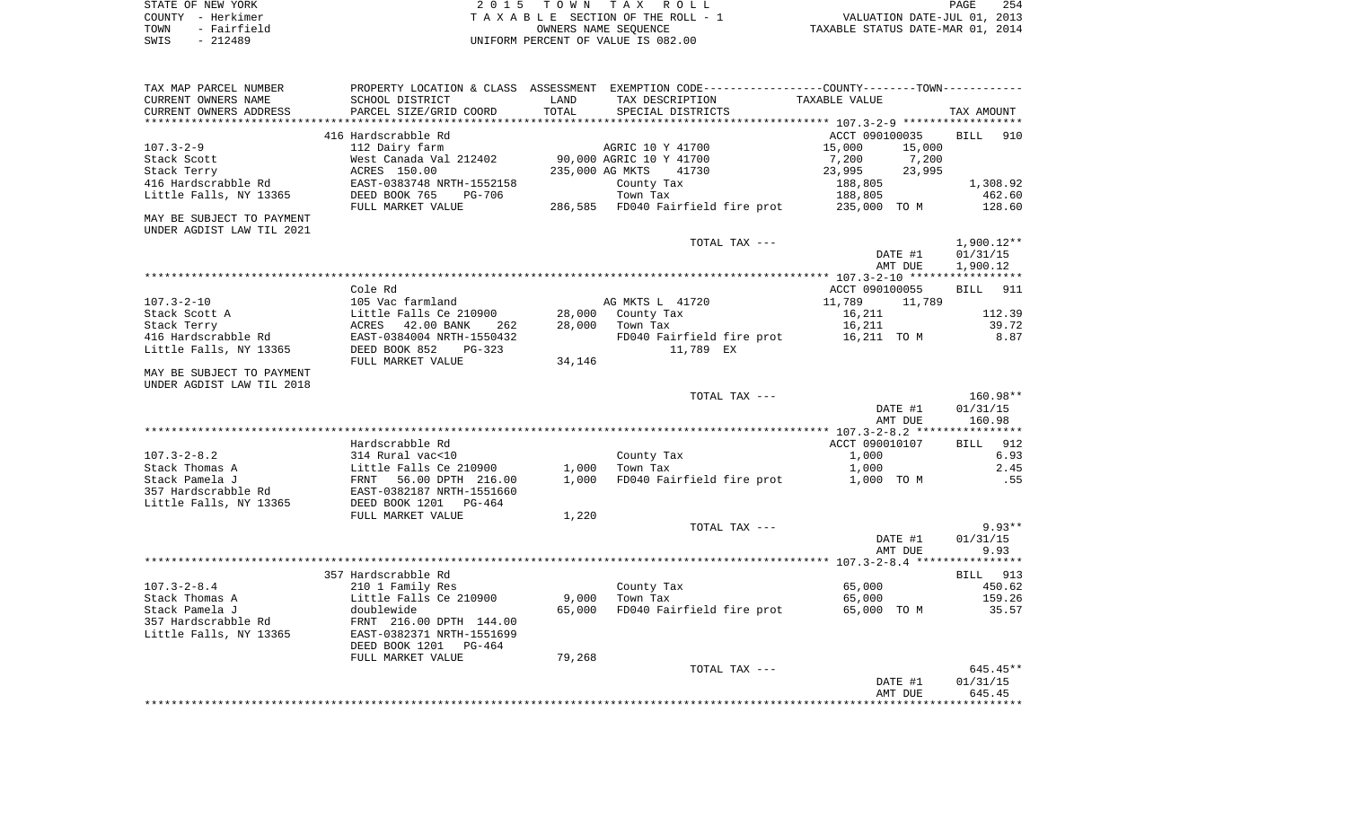| STATE OF NEW YORK |                   | 2015 TOWN TAX ROLL                 | PAGE                             | 254 |
|-------------------|-------------------|------------------------------------|----------------------------------|-----|
|                   | COUNTY - Herkimer | TAXABLE SECTION OF THE ROLL - 1    | VALUATION DATE-JUL 01, 2013      |     |
| TOWN              | - Fairfield       | OWNERS NAME SEOUENCE               | TAXABLE STATUS DATE-MAR 01, 2014 |     |
| SWIS              | $-212489$         | UNIFORM PERCENT OF VALUE IS 082.00 |                                  |     |

| TAX MAP PARCEL NUMBER<br>CURRENT OWNERS NAME<br>CURRENT OWNERS ADDRESS            | PROPERTY LOCATION & CLASS ASSESSMENT<br>SCHOOL DISTRICT<br>PARCEL SIZE/GRID COORD                                                | LAND<br>TOTAL           | EXEMPTION CODE-----------------COUNTY-------TOWN-----------<br>TAX DESCRIPTION | TAXABLE VALUE                                          |                                      |
|-----------------------------------------------------------------------------------|----------------------------------------------------------------------------------------------------------------------------------|-------------------------|--------------------------------------------------------------------------------|--------------------------------------------------------|--------------------------------------|
|                                                                                   |                                                                                                                                  | **********              | SPECIAL DISTRICTS                                                              |                                                        | TAX AMOUNT                           |
|                                                                                   | 416 Hardscrabble Rd                                                                                                              |                         |                                                                                | ACCT 090100035                                         | <b>BILL</b><br>910                   |
| $107.3 - 2 - 9$<br>Stack Scott<br>Stack Terry                                     | 112 Dairy farm<br>West Canada Val 212402<br>ACRES 150.00                                                                         | 235,000 AG MKTS         | AGRIC 10 Y 41700<br>90,000 AGRIC 10 Y 41700<br>41730                           | 15,000<br>15,000<br>7,200<br>7,200<br>23,995<br>23,995 |                                      |
| 416 Hardscrabble Rd                                                               | EAST-0383748 NRTH-1552158                                                                                                        |                         | County Tax                                                                     | 188,805                                                | 1,308.92                             |
| Little Falls, NY 13365                                                            | DEED BOOK 765<br><b>PG-706</b><br>FULL MARKET VALUE                                                                              |                         | Town Tax<br>286,585 FD040 Fairfield fire prot                                  | 188,805<br>235,000 TO M                                | 462.60<br>128.60                     |
| MAY BE SUBJECT TO PAYMENT<br>UNDER AGDIST LAW TIL 2021                            |                                                                                                                                  |                         |                                                                                |                                                        |                                      |
|                                                                                   |                                                                                                                                  |                         | TOTAL TAX ---                                                                  | DATE #1<br>AMT DUE                                     | $1,900.12**$<br>01/31/15<br>1,900.12 |
|                                                                                   |                                                                                                                                  |                         |                                                                                |                                                        |                                      |
|                                                                                   | Cole Rd                                                                                                                          |                         |                                                                                | ACCT 090100055                                         | <b>BILL</b><br>911                   |
| $107.3 - 2 - 10$                                                                  | 105 Vac farmland                                                                                                                 |                         | AG MKTS L 41720                                                                | 11,789<br>11,789                                       |                                      |
| Stack Scott A                                                                     | Little Falls Ce 210900                                                                                                           | 28,000                  | County Tax                                                                     | 16,211                                                 | 112.39                               |
| Stack Terry<br>416 Hardscrabble Rd                                                | ACRES<br>42.00 BANK<br>262<br>EAST-0384004 NRTH-1550432                                                                          | 28,000                  | Town Tax<br>FD040 Fairfield fire prot 16,211 TO M                              | 16,211                                                 | 39.72<br>8.87                        |
| Little Falls, NY 13365                                                            | DEED BOOK 852<br>$PG-323$<br>FULL MARKET VALUE                                                                                   | 34,146                  | 11,789 EX                                                                      |                                                        |                                      |
| MAY BE SUBJECT TO PAYMENT                                                         |                                                                                                                                  |                         |                                                                                |                                                        |                                      |
| UNDER AGDIST LAW TIL 2018                                                         |                                                                                                                                  |                         |                                                                                |                                                        |                                      |
|                                                                                   |                                                                                                                                  |                         | TOTAL TAX ---                                                                  | DATE #1<br>AMT DUE                                     | 160.98**<br>01/31/15<br>160.98       |
|                                                                                   |                                                                                                                                  |                         |                                                                                |                                                        | **********                           |
|                                                                                   | Hardscrabble Rd                                                                                                                  |                         |                                                                                | ACCT 090010107                                         | 912<br><b>BILL</b>                   |
| $107.3 - 2 - 8.2$                                                                 | 314 Rural vac<10                                                                                                                 |                         | County Tax                                                                     | 1,000                                                  | 6.93                                 |
| Stack Thomas A<br>Stack Pamela J<br>357 Hardscrabble Rd<br>Little Falls, NY 13365 | Little Falls Ce 210900<br>FRNT 56.00 DPTH 216.00<br>EAST-0382187 NRTH-1551660<br>DEED BOOK 1201<br>$PG-464$<br>FULL MARKET VALUE | 1,000<br>1,000<br>1,220 | Town Tax<br>FD040 Fairfield fire prot                                          | 1,000<br>1,000 TO M                                    | 2.45<br>.55                          |
|                                                                                   |                                                                                                                                  |                         | TOTAL TAX ---                                                                  |                                                        | $9.93**$                             |
|                                                                                   |                                                                                                                                  |                         |                                                                                | DATE #1<br>AMT DUE                                     | 01/31/15<br>9.93                     |
|                                                                                   |                                                                                                                                  |                         |                                                                                |                                                        |                                      |
|                                                                                   | 357 Hardscrabble Rd                                                                                                              |                         |                                                                                |                                                        | BILL 913                             |
| $107.3 - 2 - 8.4$                                                                 | 210 1 Family Res                                                                                                                 |                         | County Tax                                                                     | 65,000                                                 | 450.62                               |
| Stack Thomas A                                                                    | Little Falls Ce 210900                                                                                                           | 9,000                   | Town Tax                                                                       | 65,000                                                 | 159.26                               |
| Stack Pamela J<br>357 Hardscrabble Rd                                             | doublewide<br>FRNT 216.00 DPTH 144.00                                                                                            | 65,000                  | FD040 Fairfield fire prot                                                      | 65,000 TO M                                            | 35.57                                |
| Little Falls, NY 13365                                                            | EAST-0382371 NRTH-1551699<br>DEED BOOK 1201<br>PG-464                                                                            |                         |                                                                                |                                                        |                                      |
|                                                                                   | FULL MARKET VALUE                                                                                                                | 79,268                  |                                                                                |                                                        |                                      |
|                                                                                   |                                                                                                                                  |                         | TOTAL TAX ---                                                                  | DATE #1                                                | 645.45**<br>01/31/15                 |
|                                                                                   |                                                                                                                                  |                         |                                                                                | AMT DUE                                                | 645.45                               |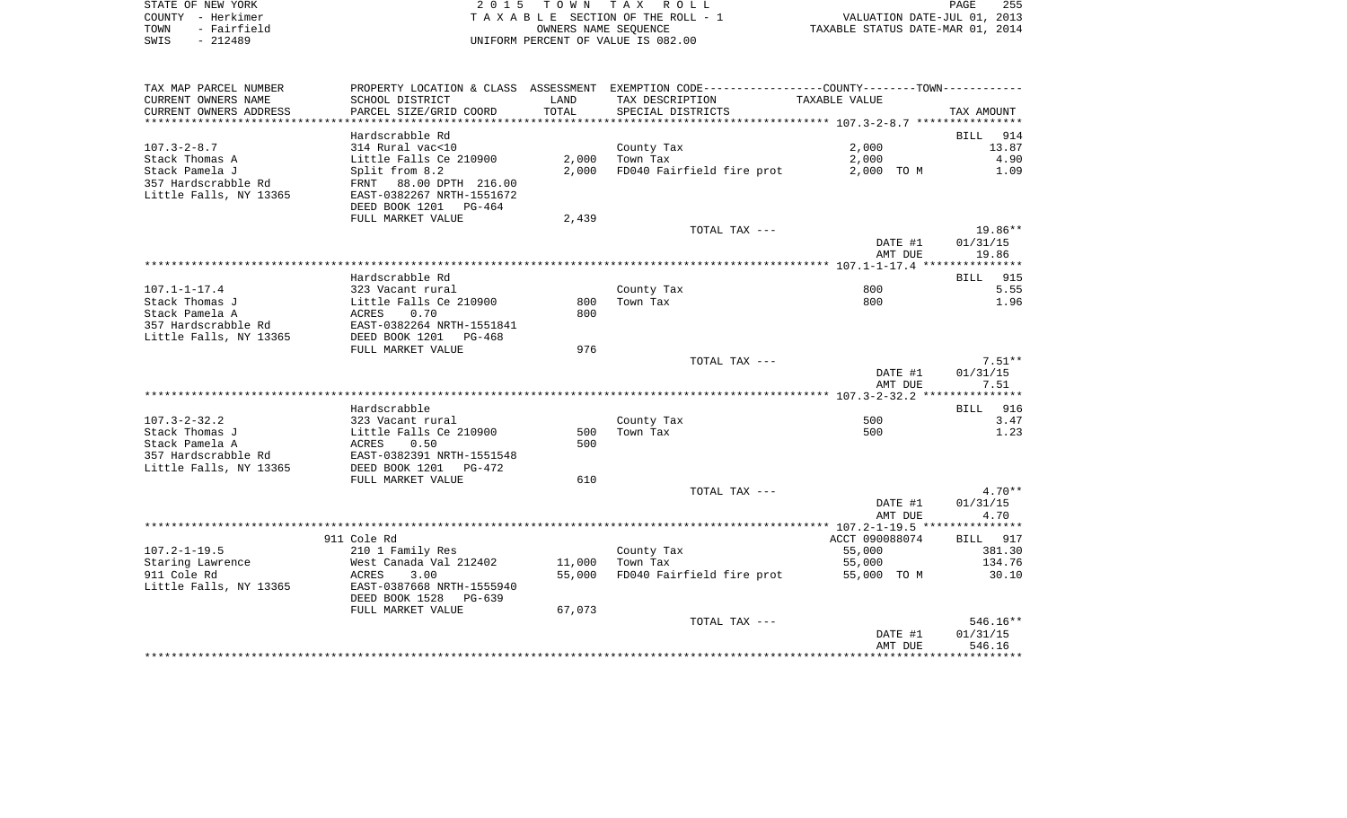|      | STATE OF NEW YORK | 2015 TOWN TAX ROLL                 | 255<br>PAGE                      |
|------|-------------------|------------------------------------|----------------------------------|
|      | COUNTY - Herkimer | TAXABLE SECTION OF THE ROLL - 1    | VALUATION DATE-JUL 01, 2013      |
| TOWN | - Fairfield       | OWNERS NAME SEOUENCE               | TAXABLE STATUS DATE-MAR 01, 2014 |
| SWIS | $-212489$         | UNIFORM PERCENT OF VALUE IS 082.00 |                                  |

| TAX MAP PARCEL NUMBER  |                                                    |        | PROPERTY LOCATION & CLASS ASSESSMENT EXEMPTION CODE---------------COUNTY--------TOWN---------- |                |                     |
|------------------------|----------------------------------------------------|--------|------------------------------------------------------------------------------------------------|----------------|---------------------|
| CURRENT OWNERS NAME    | SCHOOL DISTRICT                                    | LAND   | TAX DESCRIPTION                                                                                | TAXABLE VALUE  |                     |
| CURRENT OWNERS ADDRESS | PARCEL SIZE/GRID COORD                             | TOTAL  | SPECIAL DISTRICTS                                                                              |                | TAX AMOUNT          |
|                        |                                                    |        |                                                                                                |                |                     |
|                        | Hardscrabble Rd                                    |        |                                                                                                |                | BILL<br>914         |
| $107.3 - 2 - 8.7$      | 314 Rural vac<10                                   |        | County Tax                                                                                     | 2,000          | 13.87               |
| Stack Thomas A         | Little Falls Ce 210900                             | 2,000  | Town Tax                                                                                       | 2,000          | 4.90                |
| Stack Pamela J         | Split from 8.2                                     | 2,000  | FD040 Fairfield fire prot                                                                      | 2,000 TO M     | 1.09                |
| 357 Hardscrabble Rd    | FRNT 88.00 DPTH 216.00                             |        |                                                                                                |                |                     |
| Little Falls, NY 13365 | EAST-0382267 NRTH-1551672                          |        |                                                                                                |                |                     |
|                        | DEED BOOK 1201 PG-464                              |        |                                                                                                |                |                     |
|                        | FULL MARKET VALUE                                  | 2,439  |                                                                                                |                |                     |
|                        |                                                    |        | TOTAL TAX ---                                                                                  | DATE #1        | 19.86**<br>01/31/15 |
|                        |                                                    |        |                                                                                                | AMT DUE        | 19.86               |
|                        |                                                    |        |                                                                                                |                |                     |
|                        | Hardscrabble Rd                                    |        |                                                                                                |                | BILL 915            |
| $107.1 - 1 - 17.4$     | 323 Vacant rural                                   |        | County Tax                                                                                     | 800            | 5.55                |
| Stack Thomas J         | Little Falls Ce 210900                             | 800    | Town Tax                                                                                       | 800            | 1.96                |
| Stack Pamela A         | 0.70<br>ACRES                                      | 800    |                                                                                                |                |                     |
| 357 Hardscrabble Rd    |                                                    |        |                                                                                                |                |                     |
| Little Falls, NY 13365 | EAST-0382264 NRTH-1551841<br>DEED BOOK 1201 PG-468 |        |                                                                                                |                |                     |
|                        | FULL MARKET VALUE                                  | 976    |                                                                                                |                |                     |
|                        |                                                    |        | TOTAL TAX ---                                                                                  |                | $7.51**$            |
|                        |                                                    |        |                                                                                                | DATE #1        | 01/31/15            |
|                        |                                                    |        |                                                                                                | AMT DUE        | 7.51                |
|                        |                                                    |        |                                                                                                |                |                     |
|                        | Hardscrabble                                       |        |                                                                                                |                | BILL 916            |
| $107.3 - 2 - 32.2$     | 323 Vacant rural                                   |        | County Tax                                                                                     | 500            | 3.47                |
| Stack Thomas J         | Little Falls Ce 210900                             | 500    | Town Tax                                                                                       | 500            | 1.23                |
| Stack Pamela A         | 0.50<br>ACRES                                      | 500    |                                                                                                |                |                     |
| 357 Hardscrabble Rd    | EAST-0382391 NRTH-1551548                          |        |                                                                                                |                |                     |
| Little Falls, NY 13365 | DEED BOOK 1201<br>PG-472                           |        |                                                                                                |                |                     |
|                        | FULL MARKET VALUE                                  | 610    | TOTAL TAX ---                                                                                  |                | $4.70**$            |
|                        |                                                    |        |                                                                                                | DATE #1        | 01/31/15            |
|                        |                                                    |        |                                                                                                | AMT DUE        | 4.70                |
|                        |                                                    |        |                                                                                                |                |                     |
|                        | 911 Cole Rd                                        |        |                                                                                                | ACCT 090088074 | BILL 917            |
| $107.2 - 1 - 19.5$     | 210 1 Family Res                                   |        | County Tax                                                                                     | 55,000         | 381.30              |
| Staring Lawrence       | West Canada Val 212402                             | 11,000 | Town Tax                                                                                       | 55,000         | 134.76              |
| 911 Cole Rd            | ACRES<br>3.00                                      | 55,000 | FD040 Fairfield fire prot                                                                      | 55,000 TO M    | 30.10               |
| Little Falls, NY 13365 | EAST-0387668 NRTH-1555940                          |        |                                                                                                |                |                     |
|                        | DEED BOOK 1528<br>PG-639                           |        |                                                                                                |                |                     |
|                        | FULL MARKET VALUE                                  | 67,073 |                                                                                                |                |                     |
|                        |                                                    |        | TOTAL TAX ---                                                                                  |                | 546.16**            |
|                        |                                                    |        |                                                                                                | DATE #1        | 01/31/15            |
|                        |                                                    |        |                                                                                                | AMT DUE        | 546.16              |
|                        |                                                    |        |                                                                                                |                |                     |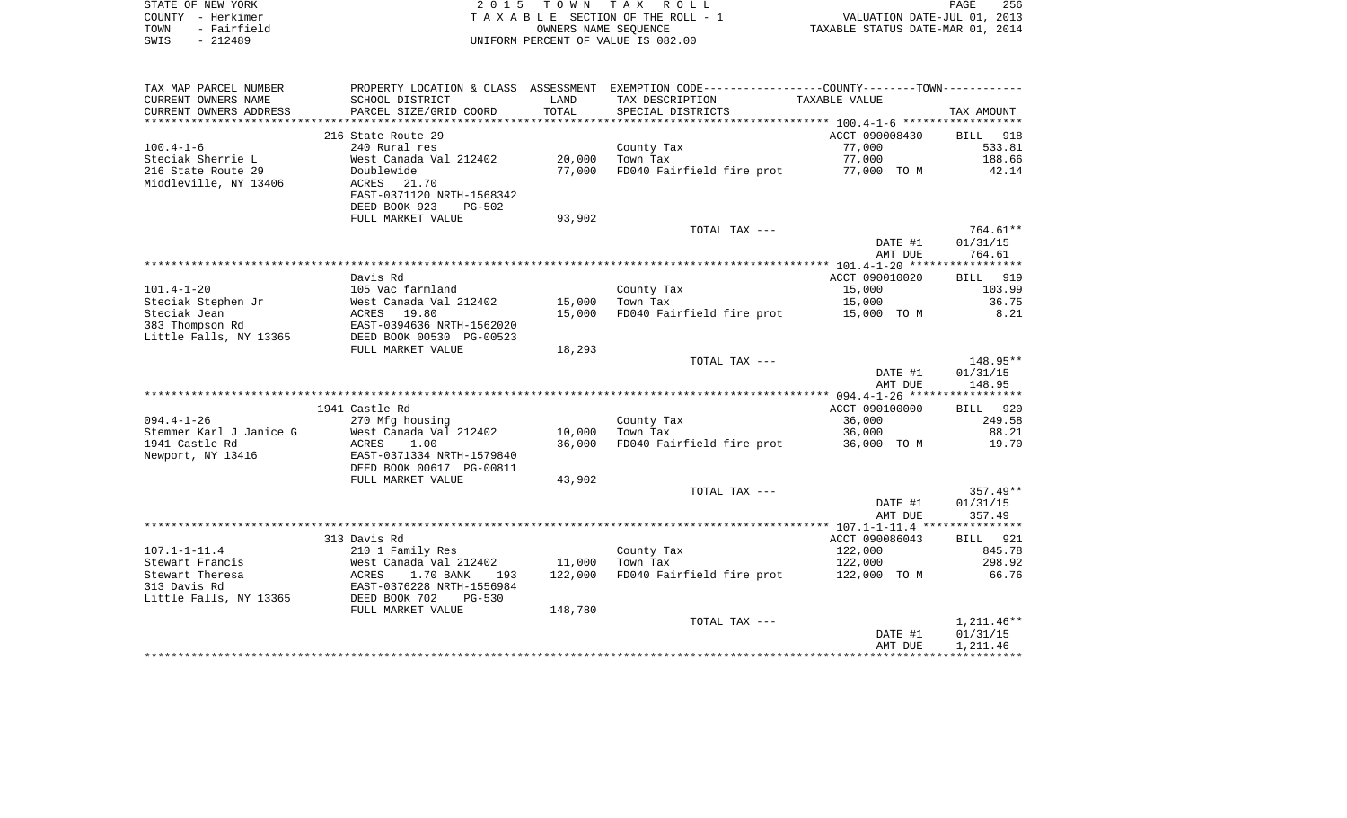| STATE OF NEW YORK   | 2015 TOWN TAX ROLL                 | 256<br><b>PAGE</b>               |
|---------------------|------------------------------------|----------------------------------|
| COUNTY - Herkimer   | TAXABLE SECTION OF THE ROLL - 1    | VALUATION DATE-JUL 01, 2013      |
| - Fairfield<br>TOWN | OWNERS NAME SEOUENCE               | TAXABLE STATUS DATE-MAR 01, 2014 |
| SWIS<br>- 212489    | UNIFORM PERCENT OF VALUE IS 082.00 |                                  |

| SCHOOL DISTRICT<br>LAND<br>TAX DESCRIPTION<br>TAXABLE VALUE<br>TOTAL<br>PARCEL SIZE/GRID COORD<br>SPECIAL DISTRICTS<br>TAX AMOUNT<br>216 State Route 29<br>ACCT 090008430<br>BILL<br>918<br>240 Rural res<br>County Tax<br>77,000<br>533.81<br>West Canada Val 212402<br>20,000<br>Town Tax<br>77,000<br>188.66<br>Doublewide<br>77,000<br>FD040 Fairfield fire prot<br>77,000 TO M<br>42.14<br>ACRES 21.70<br>EAST-0371120 NRTH-1568342<br>DEED BOOK 923<br><b>PG-502</b><br>FULL MARKET VALUE<br>93,902<br>764.61**<br>TOTAL TAX ---<br>01/31/15<br>DATE #1<br>764.61<br>AMT DUE<br>Davis Rd<br>ACCT 090010020<br>919<br><b>BILL</b><br>105 Vac farmland<br>15,000<br>103.99<br>County Tax<br>36.75<br>West Canada Val 212402<br>15,000<br>Town Tax<br>15,000<br>8.21<br>ACRES 19.80<br>15,000<br>FD040 Fairfield fire prot<br>15,000 TO M<br>383 Thompson Rd<br>EAST-0394636 NRTH-1562020<br>Little Falls, NY 13365<br>DEED BOOK 00530 PG-00523<br>FULL MARKET VALUE<br>18,293<br>148.95**<br>TOTAL TAX ---<br>DATE #1<br>01/31/15<br>148.95<br>AMT DUE<br>1941 Castle Rd<br>ACCT 090100000<br>BILL 920<br>270 Mfg housing<br>County Tax<br>36,000<br>249.58<br>West Canada Val 212402<br>Town Tax<br>88.21<br>10,000<br>36,000<br>FD040 Fairfield fire prot<br><b>ACRES</b><br>1.00<br>36,000<br>36,000 TO M<br>19.70<br>EAST-0371334 NRTH-1579840<br>DEED BOOK 00617 PG-00811<br>FULL MARKET VALUE<br>43,902<br>TOTAL TAX ---<br>$357.49**$<br>01/31/15<br>DATE #1<br>357.49<br>AMT DUE<br>313 Davis Rd<br>ACCT 090086043<br><b>BILL</b> 921<br>210 1 Family Res<br>County Tax<br>122,000<br>845.78<br>West Canada Val 212402<br>11,000<br>122,000<br>298.92<br>Town Tax<br>FD040 Fairfield fire prot<br>66.76<br>1.70 BANK<br>122,000<br>122,000 TO M<br>ACRES<br>193<br>EAST-0376228 NRTH-1556984<br>DEED BOOK 702<br>$PG-530$<br>148,780<br>FULL MARKET VALUE<br>$1,211.46**$<br>TOTAL TAX ---<br>01/31/15<br>DATE #1<br>AMT DUE<br>1,211.46 | TAX MAP PARCEL NUMBER   | PROPERTY LOCATION & CLASS ASSESSMENT | EXEMPTION CODE-----------------COUNTY--------TOWN----------- |  |
|------------------------------------------------------------------------------------------------------------------------------------------------------------------------------------------------------------------------------------------------------------------------------------------------------------------------------------------------------------------------------------------------------------------------------------------------------------------------------------------------------------------------------------------------------------------------------------------------------------------------------------------------------------------------------------------------------------------------------------------------------------------------------------------------------------------------------------------------------------------------------------------------------------------------------------------------------------------------------------------------------------------------------------------------------------------------------------------------------------------------------------------------------------------------------------------------------------------------------------------------------------------------------------------------------------------------------------------------------------------------------------------------------------------------------------------------------------------------------------------------------------------------------------------------------------------------------------------------------------------------------------------------------------------------------------------------------------------------------------------------------------------------------------------------------------------------------------------------------------------------------------------------------------------------------------------------------|-------------------------|--------------------------------------|--------------------------------------------------------------|--|
|                                                                                                                                                                                                                                                                                                                                                                                                                                                                                                                                                                                                                                                                                                                                                                                                                                                                                                                                                                                                                                                                                                                                                                                                                                                                                                                                                                                                                                                                                                                                                                                                                                                                                                                                                                                                                                                                                                                                                      | CURRENT OWNERS NAME     |                                      |                                                              |  |
|                                                                                                                                                                                                                                                                                                                                                                                                                                                                                                                                                                                                                                                                                                                                                                                                                                                                                                                                                                                                                                                                                                                                                                                                                                                                                                                                                                                                                                                                                                                                                                                                                                                                                                                                                                                                                                                                                                                                                      | CURRENT OWNERS ADDRESS  |                                      |                                                              |  |
|                                                                                                                                                                                                                                                                                                                                                                                                                                                                                                                                                                                                                                                                                                                                                                                                                                                                                                                                                                                                                                                                                                                                                                                                                                                                                                                                                                                                                                                                                                                                                                                                                                                                                                                                                                                                                                                                                                                                                      | **********************  |                                      |                                                              |  |
|                                                                                                                                                                                                                                                                                                                                                                                                                                                                                                                                                                                                                                                                                                                                                                                                                                                                                                                                                                                                                                                                                                                                                                                                                                                                                                                                                                                                                                                                                                                                                                                                                                                                                                                                                                                                                                                                                                                                                      |                         |                                      |                                                              |  |
|                                                                                                                                                                                                                                                                                                                                                                                                                                                                                                                                                                                                                                                                                                                                                                                                                                                                                                                                                                                                                                                                                                                                                                                                                                                                                                                                                                                                                                                                                                                                                                                                                                                                                                                                                                                                                                                                                                                                                      | $100.4 - 1 - 6$         |                                      |                                                              |  |
|                                                                                                                                                                                                                                                                                                                                                                                                                                                                                                                                                                                                                                                                                                                                                                                                                                                                                                                                                                                                                                                                                                                                                                                                                                                                                                                                                                                                                                                                                                                                                                                                                                                                                                                                                                                                                                                                                                                                                      | Steciak Sherrie L       |                                      |                                                              |  |
|                                                                                                                                                                                                                                                                                                                                                                                                                                                                                                                                                                                                                                                                                                                                                                                                                                                                                                                                                                                                                                                                                                                                                                                                                                                                                                                                                                                                                                                                                                                                                                                                                                                                                                                                                                                                                                                                                                                                                      | 216 State Route 29      |                                      |                                                              |  |
|                                                                                                                                                                                                                                                                                                                                                                                                                                                                                                                                                                                                                                                                                                                                                                                                                                                                                                                                                                                                                                                                                                                                                                                                                                                                                                                                                                                                                                                                                                                                                                                                                                                                                                                                                                                                                                                                                                                                                      | Middleville, NY 13406   |                                      |                                                              |  |
|                                                                                                                                                                                                                                                                                                                                                                                                                                                                                                                                                                                                                                                                                                                                                                                                                                                                                                                                                                                                                                                                                                                                                                                                                                                                                                                                                                                                                                                                                                                                                                                                                                                                                                                                                                                                                                                                                                                                                      |                         |                                      |                                                              |  |
|                                                                                                                                                                                                                                                                                                                                                                                                                                                                                                                                                                                                                                                                                                                                                                                                                                                                                                                                                                                                                                                                                                                                                                                                                                                                                                                                                                                                                                                                                                                                                                                                                                                                                                                                                                                                                                                                                                                                                      |                         |                                      |                                                              |  |
|                                                                                                                                                                                                                                                                                                                                                                                                                                                                                                                                                                                                                                                                                                                                                                                                                                                                                                                                                                                                                                                                                                                                                                                                                                                                                                                                                                                                                                                                                                                                                                                                                                                                                                                                                                                                                                                                                                                                                      |                         |                                      |                                                              |  |
|                                                                                                                                                                                                                                                                                                                                                                                                                                                                                                                                                                                                                                                                                                                                                                                                                                                                                                                                                                                                                                                                                                                                                                                                                                                                                                                                                                                                                                                                                                                                                                                                                                                                                                                                                                                                                                                                                                                                                      |                         |                                      |                                                              |  |
|                                                                                                                                                                                                                                                                                                                                                                                                                                                                                                                                                                                                                                                                                                                                                                                                                                                                                                                                                                                                                                                                                                                                                                                                                                                                                                                                                                                                                                                                                                                                                                                                                                                                                                                                                                                                                                                                                                                                                      |                         |                                      |                                                              |  |
|                                                                                                                                                                                                                                                                                                                                                                                                                                                                                                                                                                                                                                                                                                                                                                                                                                                                                                                                                                                                                                                                                                                                                                                                                                                                                                                                                                                                                                                                                                                                                                                                                                                                                                                                                                                                                                                                                                                                                      |                         |                                      |                                                              |  |
|                                                                                                                                                                                                                                                                                                                                                                                                                                                                                                                                                                                                                                                                                                                                                                                                                                                                                                                                                                                                                                                                                                                                                                                                                                                                                                                                                                                                                                                                                                                                                                                                                                                                                                                                                                                                                                                                                                                                                      |                         |                                      |                                                              |  |
|                                                                                                                                                                                                                                                                                                                                                                                                                                                                                                                                                                                                                                                                                                                                                                                                                                                                                                                                                                                                                                                                                                                                                                                                                                                                                                                                                                                                                                                                                                                                                                                                                                                                                                                                                                                                                                                                                                                                                      |                         |                                      |                                                              |  |
|                                                                                                                                                                                                                                                                                                                                                                                                                                                                                                                                                                                                                                                                                                                                                                                                                                                                                                                                                                                                                                                                                                                                                                                                                                                                                                                                                                                                                                                                                                                                                                                                                                                                                                                                                                                                                                                                                                                                                      | $101.4 - 1 - 20$        |                                      |                                                              |  |
|                                                                                                                                                                                                                                                                                                                                                                                                                                                                                                                                                                                                                                                                                                                                                                                                                                                                                                                                                                                                                                                                                                                                                                                                                                                                                                                                                                                                                                                                                                                                                                                                                                                                                                                                                                                                                                                                                                                                                      | Steciak Stephen Jr      |                                      |                                                              |  |
|                                                                                                                                                                                                                                                                                                                                                                                                                                                                                                                                                                                                                                                                                                                                                                                                                                                                                                                                                                                                                                                                                                                                                                                                                                                                                                                                                                                                                                                                                                                                                                                                                                                                                                                                                                                                                                                                                                                                                      | Steciak Jean            |                                      |                                                              |  |
|                                                                                                                                                                                                                                                                                                                                                                                                                                                                                                                                                                                                                                                                                                                                                                                                                                                                                                                                                                                                                                                                                                                                                                                                                                                                                                                                                                                                                                                                                                                                                                                                                                                                                                                                                                                                                                                                                                                                                      |                         |                                      |                                                              |  |
|                                                                                                                                                                                                                                                                                                                                                                                                                                                                                                                                                                                                                                                                                                                                                                                                                                                                                                                                                                                                                                                                                                                                                                                                                                                                                                                                                                                                                                                                                                                                                                                                                                                                                                                                                                                                                                                                                                                                                      |                         |                                      |                                                              |  |
|                                                                                                                                                                                                                                                                                                                                                                                                                                                                                                                                                                                                                                                                                                                                                                                                                                                                                                                                                                                                                                                                                                                                                                                                                                                                                                                                                                                                                                                                                                                                                                                                                                                                                                                                                                                                                                                                                                                                                      |                         |                                      |                                                              |  |
|                                                                                                                                                                                                                                                                                                                                                                                                                                                                                                                                                                                                                                                                                                                                                                                                                                                                                                                                                                                                                                                                                                                                                                                                                                                                                                                                                                                                                                                                                                                                                                                                                                                                                                                                                                                                                                                                                                                                                      |                         |                                      |                                                              |  |
|                                                                                                                                                                                                                                                                                                                                                                                                                                                                                                                                                                                                                                                                                                                                                                                                                                                                                                                                                                                                                                                                                                                                                                                                                                                                                                                                                                                                                                                                                                                                                                                                                                                                                                                                                                                                                                                                                                                                                      |                         |                                      |                                                              |  |
|                                                                                                                                                                                                                                                                                                                                                                                                                                                                                                                                                                                                                                                                                                                                                                                                                                                                                                                                                                                                                                                                                                                                                                                                                                                                                                                                                                                                                                                                                                                                                                                                                                                                                                                                                                                                                                                                                                                                                      |                         |                                      |                                                              |  |
|                                                                                                                                                                                                                                                                                                                                                                                                                                                                                                                                                                                                                                                                                                                                                                                                                                                                                                                                                                                                                                                                                                                                                                                                                                                                                                                                                                                                                                                                                                                                                                                                                                                                                                                                                                                                                                                                                                                                                      |                         |                                      |                                                              |  |
|                                                                                                                                                                                                                                                                                                                                                                                                                                                                                                                                                                                                                                                                                                                                                                                                                                                                                                                                                                                                                                                                                                                                                                                                                                                                                                                                                                                                                                                                                                                                                                                                                                                                                                                                                                                                                                                                                                                                                      |                         |                                      |                                                              |  |
|                                                                                                                                                                                                                                                                                                                                                                                                                                                                                                                                                                                                                                                                                                                                                                                                                                                                                                                                                                                                                                                                                                                                                                                                                                                                                                                                                                                                                                                                                                                                                                                                                                                                                                                                                                                                                                                                                                                                                      | $094.4 - 1 - 26$        |                                      |                                                              |  |
|                                                                                                                                                                                                                                                                                                                                                                                                                                                                                                                                                                                                                                                                                                                                                                                                                                                                                                                                                                                                                                                                                                                                                                                                                                                                                                                                                                                                                                                                                                                                                                                                                                                                                                                                                                                                                                                                                                                                                      | Stemmer Karl J Janice G |                                      |                                                              |  |
|                                                                                                                                                                                                                                                                                                                                                                                                                                                                                                                                                                                                                                                                                                                                                                                                                                                                                                                                                                                                                                                                                                                                                                                                                                                                                                                                                                                                                                                                                                                                                                                                                                                                                                                                                                                                                                                                                                                                                      | 1941 Castle Rd          |                                      |                                                              |  |
|                                                                                                                                                                                                                                                                                                                                                                                                                                                                                                                                                                                                                                                                                                                                                                                                                                                                                                                                                                                                                                                                                                                                                                                                                                                                                                                                                                                                                                                                                                                                                                                                                                                                                                                                                                                                                                                                                                                                                      | Newport, NY 13416       |                                      |                                                              |  |
|                                                                                                                                                                                                                                                                                                                                                                                                                                                                                                                                                                                                                                                                                                                                                                                                                                                                                                                                                                                                                                                                                                                                                                                                                                                                                                                                                                                                                                                                                                                                                                                                                                                                                                                                                                                                                                                                                                                                                      |                         |                                      |                                                              |  |
|                                                                                                                                                                                                                                                                                                                                                                                                                                                                                                                                                                                                                                                                                                                                                                                                                                                                                                                                                                                                                                                                                                                                                                                                                                                                                                                                                                                                                                                                                                                                                                                                                                                                                                                                                                                                                                                                                                                                                      |                         |                                      |                                                              |  |
|                                                                                                                                                                                                                                                                                                                                                                                                                                                                                                                                                                                                                                                                                                                                                                                                                                                                                                                                                                                                                                                                                                                                                                                                                                                                                                                                                                                                                                                                                                                                                                                                                                                                                                                                                                                                                                                                                                                                                      |                         |                                      |                                                              |  |
|                                                                                                                                                                                                                                                                                                                                                                                                                                                                                                                                                                                                                                                                                                                                                                                                                                                                                                                                                                                                                                                                                                                                                                                                                                                                                                                                                                                                                                                                                                                                                                                                                                                                                                                                                                                                                                                                                                                                                      |                         |                                      |                                                              |  |
|                                                                                                                                                                                                                                                                                                                                                                                                                                                                                                                                                                                                                                                                                                                                                                                                                                                                                                                                                                                                                                                                                                                                                                                                                                                                                                                                                                                                                                                                                                                                                                                                                                                                                                                                                                                                                                                                                                                                                      |                         |                                      |                                                              |  |
|                                                                                                                                                                                                                                                                                                                                                                                                                                                                                                                                                                                                                                                                                                                                                                                                                                                                                                                                                                                                                                                                                                                                                                                                                                                                                                                                                                                                                                                                                                                                                                                                                                                                                                                                                                                                                                                                                                                                                      |                         |                                      |                                                              |  |
|                                                                                                                                                                                                                                                                                                                                                                                                                                                                                                                                                                                                                                                                                                                                                                                                                                                                                                                                                                                                                                                                                                                                                                                                                                                                                                                                                                                                                                                                                                                                                                                                                                                                                                                                                                                                                                                                                                                                                      |                         |                                      |                                                              |  |
|                                                                                                                                                                                                                                                                                                                                                                                                                                                                                                                                                                                                                                                                                                                                                                                                                                                                                                                                                                                                                                                                                                                                                                                                                                                                                                                                                                                                                                                                                                                                                                                                                                                                                                                                                                                                                                                                                                                                                      | $107.1 - 1 - 11.4$      |                                      |                                                              |  |
|                                                                                                                                                                                                                                                                                                                                                                                                                                                                                                                                                                                                                                                                                                                                                                                                                                                                                                                                                                                                                                                                                                                                                                                                                                                                                                                                                                                                                                                                                                                                                                                                                                                                                                                                                                                                                                                                                                                                                      | Stewart Francis         |                                      |                                                              |  |
|                                                                                                                                                                                                                                                                                                                                                                                                                                                                                                                                                                                                                                                                                                                                                                                                                                                                                                                                                                                                                                                                                                                                                                                                                                                                                                                                                                                                                                                                                                                                                                                                                                                                                                                                                                                                                                                                                                                                                      | Stewart Theresa         |                                      |                                                              |  |
|                                                                                                                                                                                                                                                                                                                                                                                                                                                                                                                                                                                                                                                                                                                                                                                                                                                                                                                                                                                                                                                                                                                                                                                                                                                                                                                                                                                                                                                                                                                                                                                                                                                                                                                                                                                                                                                                                                                                                      | 313 Davis Rd            |                                      |                                                              |  |
|                                                                                                                                                                                                                                                                                                                                                                                                                                                                                                                                                                                                                                                                                                                                                                                                                                                                                                                                                                                                                                                                                                                                                                                                                                                                                                                                                                                                                                                                                                                                                                                                                                                                                                                                                                                                                                                                                                                                                      | Little Falls, NY 13365  |                                      |                                                              |  |
|                                                                                                                                                                                                                                                                                                                                                                                                                                                                                                                                                                                                                                                                                                                                                                                                                                                                                                                                                                                                                                                                                                                                                                                                                                                                                                                                                                                                                                                                                                                                                                                                                                                                                                                                                                                                                                                                                                                                                      |                         |                                      |                                                              |  |
|                                                                                                                                                                                                                                                                                                                                                                                                                                                                                                                                                                                                                                                                                                                                                                                                                                                                                                                                                                                                                                                                                                                                                                                                                                                                                                                                                                                                                                                                                                                                                                                                                                                                                                                                                                                                                                                                                                                                                      |                         |                                      |                                                              |  |
|                                                                                                                                                                                                                                                                                                                                                                                                                                                                                                                                                                                                                                                                                                                                                                                                                                                                                                                                                                                                                                                                                                                                                                                                                                                                                                                                                                                                                                                                                                                                                                                                                                                                                                                                                                                                                                                                                                                                                      |                         |                                      |                                                              |  |
|                                                                                                                                                                                                                                                                                                                                                                                                                                                                                                                                                                                                                                                                                                                                                                                                                                                                                                                                                                                                                                                                                                                                                                                                                                                                                                                                                                                                                                                                                                                                                                                                                                                                                                                                                                                                                                                                                                                                                      |                         |                                      |                                                              |  |
|                                                                                                                                                                                                                                                                                                                                                                                                                                                                                                                                                                                                                                                                                                                                                                                                                                                                                                                                                                                                                                                                                                                                                                                                                                                                                                                                                                                                                                                                                                                                                                                                                                                                                                                                                                                                                                                                                                                                                      |                         |                                      |                                                              |  |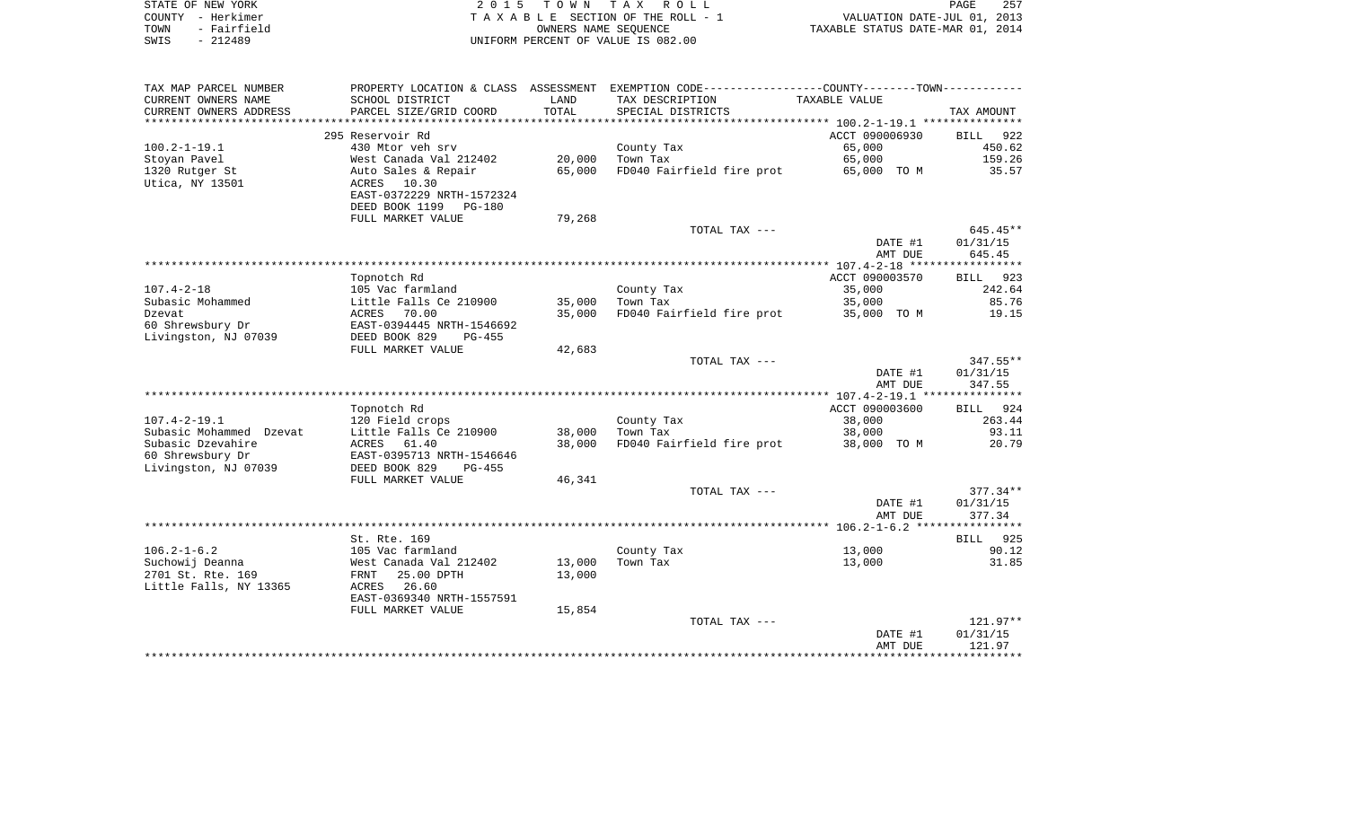| STATE OF NEW YORK   | 2015 TOWN TAX ROLL                 | 257<br>PAGE                      |
|---------------------|------------------------------------|----------------------------------|
| COUNTY - Herkimer   | TAXABLE SECTION OF THE ROLL - 1    | VALUATION DATE-JUL 01, 2013      |
| - Fairfield<br>TOWN | OWNERS NAME SEOUENCE               | TAXABLE STATUS DATE-MAR 01, 2014 |
| SWIS<br>- 212489    | UNIFORM PERCENT OF VALUE IS 082.00 |                                  |

| TAX MAP PARCEL NUMBER   |                           |             | PROPERTY LOCATION & CLASS ASSESSMENT EXEMPTION CODE----------------COUNTY--------TOWN---------- |                    |                    |
|-------------------------|---------------------------|-------------|-------------------------------------------------------------------------------------------------|--------------------|--------------------|
| CURRENT OWNERS NAME     | SCHOOL DISTRICT           | LAND        | TAX DESCRIPTION                                                                                 | TAXABLE VALUE      |                    |
| CURRENT OWNERS ADDRESS  | PARCEL SIZE/GRID COORD    | TOTAL       | SPECIAL DISTRICTS                                                                               |                    | TAX AMOUNT         |
|                         |                           | *********** |                                                                                                 |                    |                    |
|                         | 295 Reservoir Rd          |             |                                                                                                 | ACCT 090006930     | <b>BILL</b><br>922 |
| $100.2 - 1 - 19.1$      | 430 Mtor veh srv          |             | County Tax                                                                                      | 65,000             | 450.62             |
| Stoyan Pavel            | West Canada Val 212402    | 20,000      | Town Tax                                                                                        | 65,000             | 159.26             |
| 1320 Rutger St          | Auto Sales & Repair       | 65,000      | FD040 Fairfield fire prot                                                                       | 65,000 TO M        | 35.57              |
| Utica, NY 13501         | ACRES 10.30               |             |                                                                                                 |                    |                    |
|                         | EAST-0372229 NRTH-1572324 |             |                                                                                                 |                    |                    |
|                         | DEED BOOK 1199 PG-180     |             |                                                                                                 |                    |                    |
|                         | FULL MARKET VALUE         | 79,268      |                                                                                                 |                    |                    |
|                         |                           |             | TOTAL TAX ---                                                                                   |                    | $645.45**$         |
|                         |                           |             |                                                                                                 | DATE #1            | 01/31/15           |
|                         |                           |             |                                                                                                 | AMT DUE            | 645.45             |
|                         |                           |             |                                                                                                 |                    |                    |
|                         | Topnotch Rd               |             |                                                                                                 | ACCT 090003570     | BILL 923           |
| $107.4 - 2 - 18$        | 105 Vac farmland          |             | County Tax                                                                                      | 35,000             | 242.64             |
| Subasic Mohammed        | Little Falls Ce 210900    | 35,000      | Town Tax                                                                                        | 35,000             | 85.76              |
| Dzevat                  | 70.00<br>ACRES            | 35,000      | FD040 Fairfield fire prot                                                                       | 35,000 TO M        | 19.15              |
| 60 Shrewsbury Dr        | EAST-0394445 NRTH-1546692 |             |                                                                                                 |                    |                    |
| Livingston, NJ 07039    | DEED BOOK 829<br>$PG-455$ |             |                                                                                                 |                    |                    |
|                         | FULL MARKET VALUE         | 42,683      |                                                                                                 |                    |                    |
|                         |                           |             | TOTAL TAX ---                                                                                   |                    | $347.55**$         |
|                         |                           |             |                                                                                                 | DATE #1<br>AMT DUE | 01/31/15<br>347.55 |
|                         |                           |             |                                                                                                 |                    |                    |
|                         | Topnotch Rd               |             |                                                                                                 | ACCT 090003600     | 924<br>BILL        |
| $107.4 - 2 - 19.1$      | 120 Field crops           |             | County Tax                                                                                      | 38,000             | 263.44             |
| Subasic Mohammed Dzevat | Little Falls Ce 210900    | 38,000      | Town Tax                                                                                        | 38,000             | 93.11              |
| Subasic Dzevahire       | ACRES<br>61.40            | 38,000      | FD040 Fairfield fire prot                                                                       | 38,000 TO M        | 20.79              |
| 60 Shrewsbury Dr        | EAST-0395713 NRTH-1546646 |             |                                                                                                 |                    |                    |
| Livingston, NJ 07039    | DEED BOOK 829<br>$PG-455$ |             |                                                                                                 |                    |                    |
|                         | FULL MARKET VALUE         | 46,341      |                                                                                                 |                    |                    |
|                         |                           |             | TOTAL TAX ---                                                                                   |                    | $377.34**$         |
|                         |                           |             |                                                                                                 | DATE #1            | 01/31/15           |
|                         |                           |             |                                                                                                 | AMT DUE            | 377.34             |
|                         |                           |             |                                                                                                 |                    |                    |
|                         | St. Rte. 169              |             |                                                                                                 |                    | 925<br>BILL        |
| $106.2 - 1 - 6.2$       | 105 Vac farmland          |             | County Tax                                                                                      | 13,000             | 90.12              |
| Suchowij Deanna         | West Canada Val 212402    | 13,000      | Town Tax                                                                                        | 13,000             | 31.85              |
| 2701 St. Rte. 169       | 25.00 DPTH<br>FRNT        | 13,000      |                                                                                                 |                    |                    |
| Little Falls, NY 13365  | 26.60<br>ACRES            |             |                                                                                                 |                    |                    |
|                         | EAST-0369340 NRTH-1557591 |             |                                                                                                 |                    |                    |
|                         | FULL MARKET VALUE         | 15,854      |                                                                                                 |                    |                    |
|                         |                           |             | TOTAL TAX ---                                                                                   |                    | $121.97**$         |
|                         |                           |             |                                                                                                 | DATE #1            | 01/31/15           |
|                         |                           |             |                                                                                                 | AMT DUE            | 121.97             |
|                         |                           |             |                                                                                                 |                    |                    |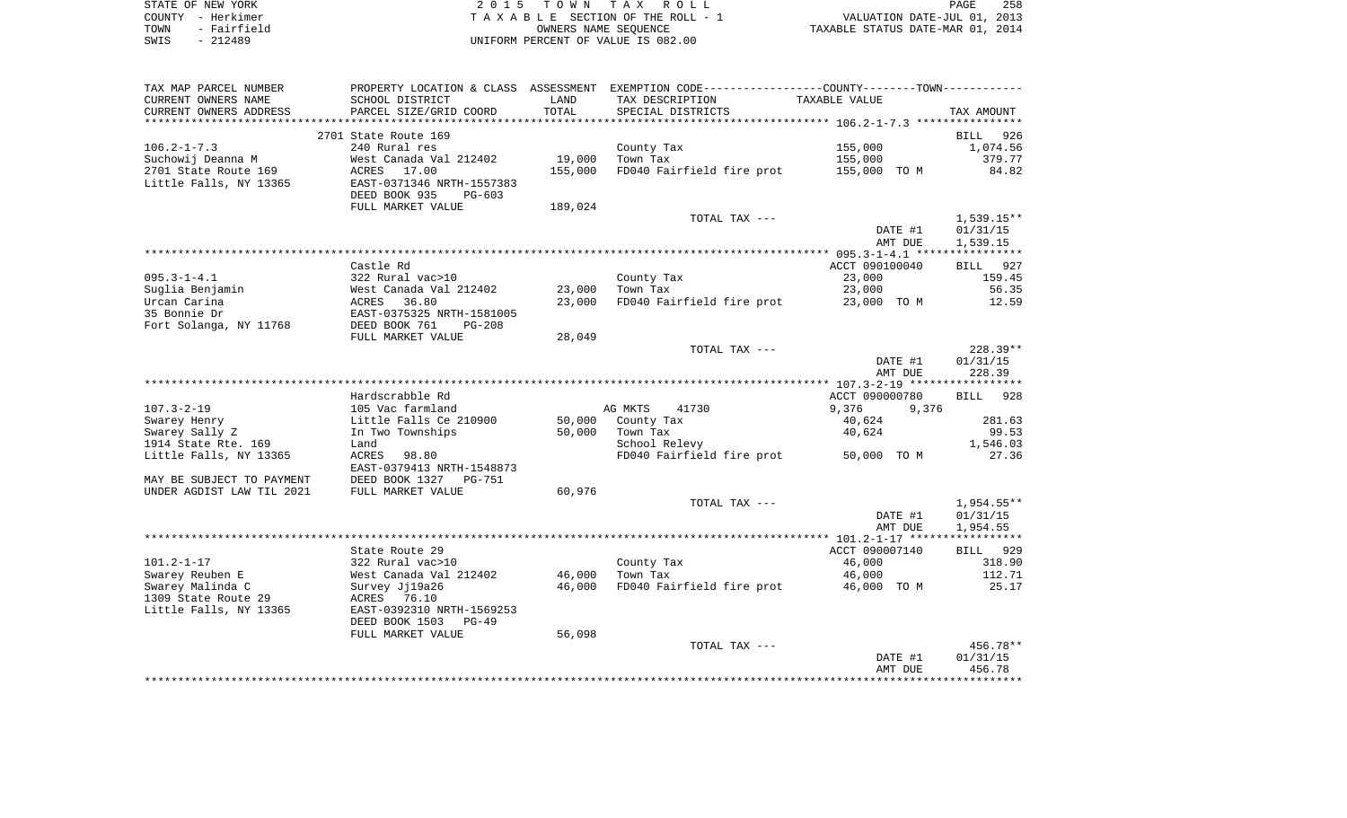| STATE OF NEW YORK   | 2015 TOWN TAX ROLL                 | 258<br>PAGE                      |
|---------------------|------------------------------------|----------------------------------|
| COUNTY - Herkimer   | TAXABLE SECTION OF THE ROLL - 1    | VALUATION DATE-JUL 01, 2013      |
| - Fairfield<br>TOWN | OWNERS NAME SEOUENCE               | TAXABLE STATUS DATE-MAR 01, 2014 |
| - 212489<br>SWIS    | UNIFORM PERCENT OF VALUE IS 082.00 |                                  |

| TAX MAP PARCEL NUMBER     |                                     |               | PROPERTY LOCATION & CLASS ASSESSMENT EXEMPTION CODE---------------COUNTY-------TOWN---------- |                         |                    |
|---------------------------|-------------------------------------|---------------|-----------------------------------------------------------------------------------------------|-------------------------|--------------------|
| CURRENT OWNERS NAME       | SCHOOL DISTRICT                     | LAND          | TAX DESCRIPTION                                                                               | TAXABLE VALUE           |                    |
| CURRENT OWNERS ADDRESS    | PARCEL SIZE/GRID COORD              | TOTAL         | SPECIAL DISTRICTS                                                                             |                         | TAX AMOUNT         |
| *****************         |                                     | ************* |                                                                                               |                         |                    |
|                           | 2701 State Route 169                |               |                                                                                               |                         | <b>BILL</b><br>926 |
| $106.2 - 1 - 7.3$         | 240 Rural res                       |               | County Tax                                                                                    | 155,000                 | 1,074.56           |
| Suchowij Deanna M         | West Canada Val 212402              | 19,000        | Town Tax                                                                                      | 155,000                 | 379.77             |
| 2701 State Route 169      | ACRES<br>17.00                      | 155,000       | FD040 Fairfield fire prot                                                                     | 155,000 TO M            | 84.82              |
| Little Falls, NY 13365    | EAST-0371346 NRTH-1557383           |               |                                                                                               |                         |                    |
|                           | DEED BOOK 935<br>$PG-603$           |               |                                                                                               |                         |                    |
|                           | FULL MARKET VALUE                   | 189,024       |                                                                                               |                         |                    |
|                           |                                     |               | TOTAL TAX ---                                                                                 |                         | 1,539.15**         |
|                           |                                     |               |                                                                                               | DATE #1                 | 01/31/15           |
|                           |                                     |               |                                                                                               | AMT DUE                 | 1,539.15           |
|                           |                                     |               |                                                                                               |                         |                    |
|                           | Castle Rd                           |               |                                                                                               | ACCT 090100040          | BILL 927           |
| $095.3 - 1 - 4.1$         | 322 Rural vac>10                    |               | County Tax                                                                                    | 23,000                  | 159.45             |
| Suglia Benjamin           | West Canada Val 212402              | 23,000        | Town Tax                                                                                      | 23,000                  | 56.35              |
| Urcan Carina              | ACRES<br>36.80                      | 23,000        | FD040 Fairfield fire prot                                                                     | 23,000 TO M             | 12.59              |
| 35 Bonnie Dr              | EAST-0375325 NRTH-1581005           |               |                                                                                               |                         |                    |
| Fort Solanga, NY 11768    | DEED BOOK 761<br>$PG-208$           |               |                                                                                               |                         |                    |
|                           | FULL MARKET VALUE                   | 28,049        |                                                                                               |                         |                    |
|                           |                                     |               | TOTAL TAX ---                                                                                 |                         | $228.39**$         |
|                           |                                     |               |                                                                                               | DATE #1                 | 01/31/15           |
|                           |                                     |               |                                                                                               | AMT DUE                 | 228.39             |
|                           |                                     |               |                                                                                               |                         |                    |
| $107.3 - 2 - 19$          | Hardscrabble Rd<br>105 Vac farmland |               | 41730                                                                                         | ACCT 090000780<br>9,376 | BILL 928           |
| Swarey Henry              | Little Falls Ce 210900              | 50,000        | AG MKTS<br>County Tax                                                                         | 9,376<br>40,624         | 281.63             |
| Swarey Sally Z            | In Two Townships                    | 50,000        | Town Tax                                                                                      | 40,624                  | 99.53              |
| 1914 State Rte. 169       | Land                                |               | School Relevy                                                                                 |                         | 1,546.03           |
| Little Falls, NY 13365    | ACRES<br>98.80                      |               | FD040 Fairfield fire prot 50,000 TO M                                                         |                         | 27.36              |
|                           | EAST-0379413 NRTH-1548873           |               |                                                                                               |                         |                    |
| MAY BE SUBJECT TO PAYMENT | DEED BOOK 1327<br>PG-751            |               |                                                                                               |                         |                    |
| UNDER AGDIST LAW TIL 2021 | FULL MARKET VALUE                   | 60,976        |                                                                                               |                         |                    |
|                           |                                     |               | TOTAL TAX ---                                                                                 |                         | 1,954.55**         |
|                           |                                     |               |                                                                                               | DATE #1                 | 01/31/15           |
|                           |                                     |               |                                                                                               | AMT DUE                 | 1,954.55           |
|                           |                                     |               |                                                                                               |                         |                    |
|                           | State Route 29                      |               |                                                                                               | ACCT 090007140          | BILL 929           |
| $101.2 - 1 - 17$          | 322 Rural vac>10                    |               | County Tax                                                                                    | 46,000                  | 318.90             |
| Swarey Reuben E           | West Canada Val 212402              | 46,000        | Town Tax                                                                                      | 46,000                  | 112.71             |
| Swarey Malinda C          | Survey Jj19a26                      | 46,000        | FD040 Fairfield fire prot 46,000 TO M                                                         |                         | 25.17              |
| 1309 State Route 29       | ACRES 76.10                         |               |                                                                                               |                         |                    |
| Little Falls, NY 13365    | EAST-0392310 NRTH-1569253           |               |                                                                                               |                         |                    |
|                           | DEED BOOK 1503<br>$PG-49$           |               |                                                                                               |                         |                    |
|                           | FULL MARKET VALUE                   | 56,098        |                                                                                               |                         |                    |
|                           |                                     |               | TOTAL TAX ---                                                                                 |                         | $456.78**$         |
|                           |                                     |               |                                                                                               | DATE #1                 | 01/31/15           |
|                           |                                     |               |                                                                                               | AMT DUE                 | 456.78             |
|                           |                                     |               |                                                                                               |                         |                    |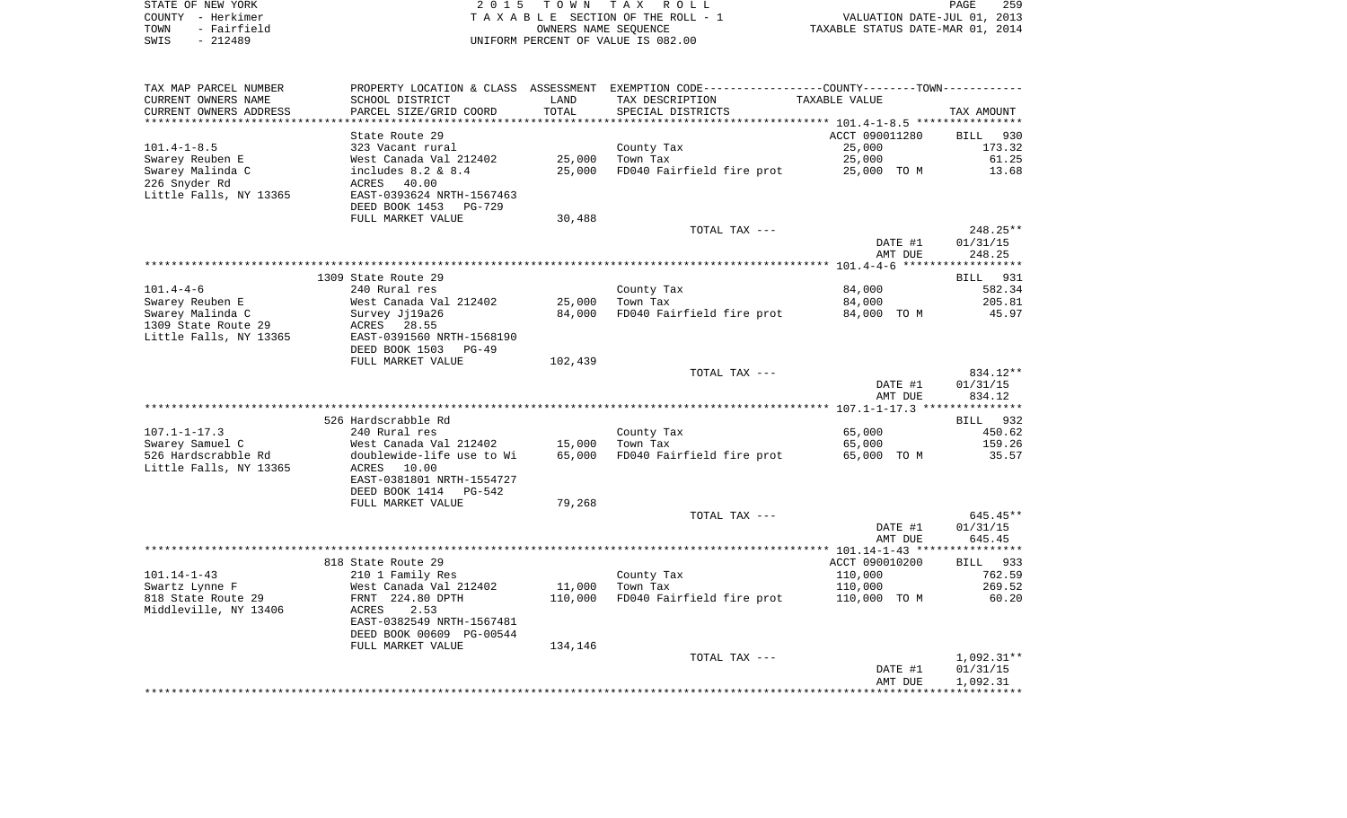| STATE OF NEW YORK   | 2015 TOWN TAX ROLL                 | 259<br>PAGE                      |
|---------------------|------------------------------------|----------------------------------|
| COUNTY - Herkimer   | TAXABLE SECTION OF THE ROLL - 1    | VALUATION DATE-JUL 01, 2013      |
| - Fairfield<br>TOWN | OWNERS NAME SEOUENCE               | TAXABLE STATUS DATE-MAR 01, 2014 |
| - 212489<br>SWIS    | UNIFORM PERCENT OF VALUE IS 082.00 |                                  |

| TAX MAP PARCEL NUMBER  | PROPERTY LOCATION & CLASS ASSESSMENT EXEMPTION CODE----------------COUNTY--------TOWN----------- |         |                           |                |              |
|------------------------|--------------------------------------------------------------------------------------------------|---------|---------------------------|----------------|--------------|
| CURRENT OWNERS NAME    | SCHOOL DISTRICT                                                                                  | LAND    | TAX DESCRIPTION           | TAXABLE VALUE  |              |
| CURRENT OWNERS ADDRESS | PARCEL SIZE/GRID COORD                                                                           | TOTAL   | SPECIAL DISTRICTS         |                | TAX AMOUNT   |
|                        |                                                                                                  |         |                           |                |              |
|                        | State Route 29                                                                                   |         |                           | ACCT 090011280 | BILL<br>930  |
| $101.4 - 1 - 8.5$      | 323 Vacant rural                                                                                 |         | County Tax                | 25,000         | 173.32       |
| Swarey Reuben E        | West Canada Val 212402                                                                           | 25,000  | Town Tax                  | 25,000         | 61.25        |
| Swarey Malinda C       | includes $8.2 \& 8.4$                                                                            | 25,000  | FD040 Fairfield fire prot | 25,000 TO M    | 13.68        |
| 226 Snyder Rd          | 40.00<br>ACRES                                                                                   |         |                           |                |              |
| Little Falls, NY 13365 | EAST-0393624 NRTH-1567463                                                                        |         |                           |                |              |
|                        | DEED BOOK 1453<br><b>PG-729</b>                                                                  |         |                           |                |              |
|                        | FULL MARKET VALUE                                                                                | 30,488  |                           |                |              |
|                        |                                                                                                  |         | TOTAL TAX ---             |                | 248.25**     |
|                        |                                                                                                  |         |                           | DATE #1        | 01/31/15     |
|                        |                                                                                                  |         |                           | AMT DUE        | 248.25       |
|                        |                                                                                                  |         |                           |                |              |
|                        | 1309 State Route 29                                                                              |         |                           |                | BILL 931     |
| $101.4 - 4 - 6$        | 240 Rural res                                                                                    |         | County Tax                | 84,000         | 582.34       |
| Swarey Reuben E        | West Canada Val 212402                                                                           | 25,000  | Town Tax                  | 84,000         | 205.81       |
| Swarey Malinda C       | Survey Jj19a26                                                                                   | 84,000  | FD040 Fairfield fire prot | 84,000 TO M    | 45.97        |
| 1309 State Route 29    | ACRES 28.55                                                                                      |         |                           |                |              |
|                        |                                                                                                  |         |                           |                |              |
| Little Falls, NY 13365 | EAST-0391560 NRTH-1568190                                                                        |         |                           |                |              |
|                        | DEED BOOK 1503<br>$PG-49$                                                                        |         |                           |                |              |
|                        | FULL MARKET VALUE                                                                                | 102,439 |                           |                |              |
|                        |                                                                                                  |         | TOTAL TAX ---             |                | 834.12**     |
|                        |                                                                                                  |         |                           | DATE #1        | 01/31/15     |
|                        |                                                                                                  |         |                           | AMT DUE        | 834.12       |
|                        |                                                                                                  |         |                           |                |              |
|                        | 526 Hardscrabble Rd                                                                              |         |                           |                | BILL 932     |
| $107.1 - 1 - 17.3$     | 240 Rural res                                                                                    |         | County Tax                | 65,000         | 450.62       |
| Swarey Samuel C        | West Canada Val 212402                                                                           | 15,000  | Town Tax                  | 65,000         | 159.26       |
| 526 Hardscrabble Rd    | doublewide-life use to Wi                                                                        | 65,000  | FD040 Fairfield fire prot | 65,000 TO M    | 35.57        |
| Little Falls, NY 13365 | ACRES<br>10.00                                                                                   |         |                           |                |              |
|                        | EAST-0381801 NRTH-1554727                                                                        |         |                           |                |              |
|                        | DEED BOOK 1414<br>PG-542                                                                         |         |                           |                |              |
|                        | FULL MARKET VALUE                                                                                | 79,268  |                           |                |              |
|                        |                                                                                                  |         | TOTAL TAX ---             |                | $645.45**$   |
|                        |                                                                                                  |         |                           | DATE #1        | 01/31/15     |
|                        |                                                                                                  |         |                           | AMT DUE        | 645.45       |
|                        |                                                                                                  |         |                           |                |              |
|                        | 818 State Route 29                                                                               |         |                           | ACCT 090010200 | BILL 933     |
| $101.14 - 1 - 43$      | 210 1 Family Res                                                                                 |         | County Tax                | 110,000        | 762.59       |
| Swartz Lynne F         | West Canada Val 212402                                                                           | 11,000  | Town Tax                  | 110,000        | 269.52       |
| 818 State Route 29     | FRNT 224.80 DPTH                                                                                 | 110,000 | FD040 Fairfield fire prot | 110,000 TO M   | 60.20        |
| Middleville, NY 13406  | 2.53<br>ACRES                                                                                    |         |                           |                |              |
|                        | EAST-0382549 NRTH-1567481                                                                        |         |                           |                |              |
|                        | DEED BOOK 00609 PG-00544                                                                         |         |                           |                |              |
|                        | FULL MARKET VALUE                                                                                | 134,146 |                           |                |              |
|                        |                                                                                                  |         |                           |                |              |
|                        |                                                                                                  |         | TOTAL TAX ---             |                | $1,092.31**$ |
|                        |                                                                                                  |         |                           |                |              |
|                        |                                                                                                  |         |                           | DATE #1        | 01/31/15     |
|                        |                                                                                                  |         |                           | AMT DUE        | 1,092.31     |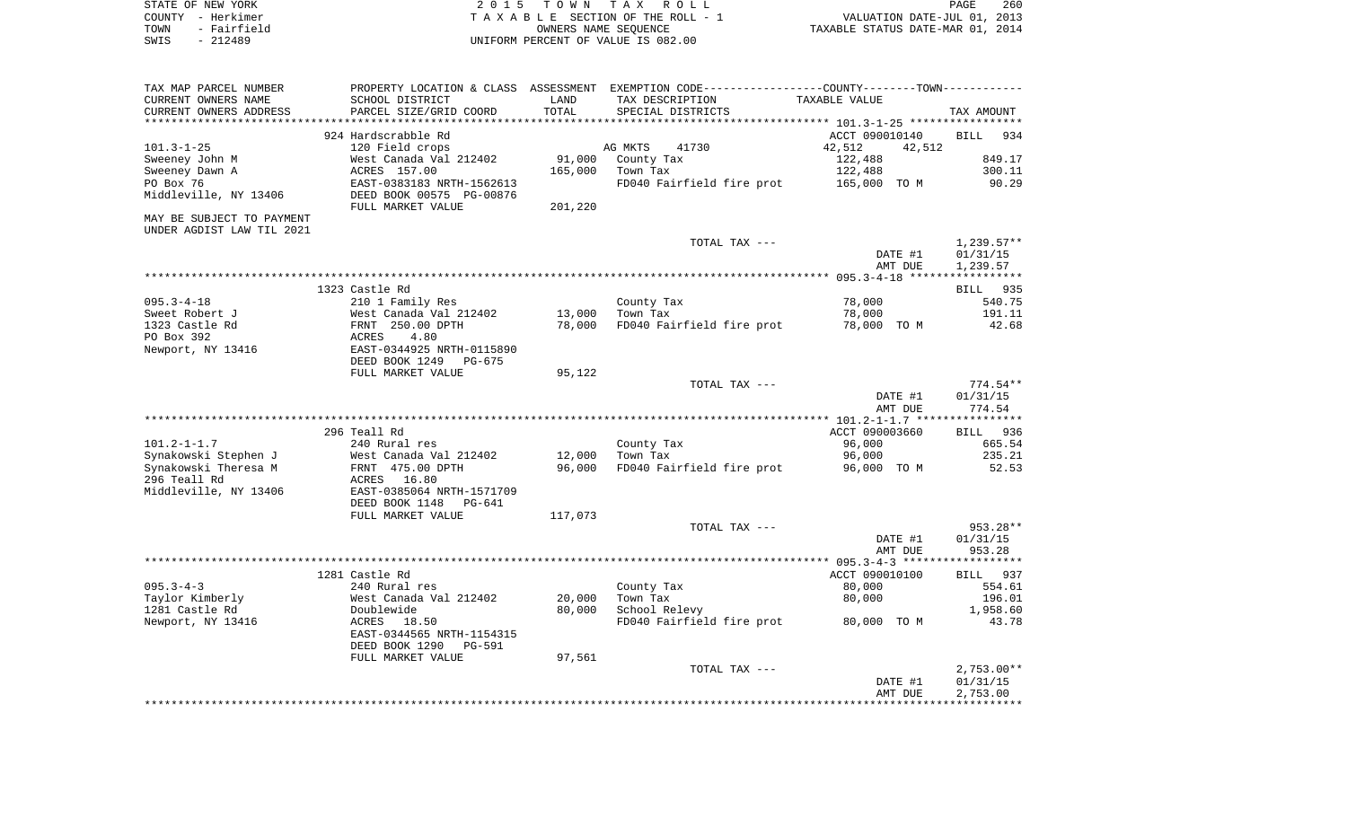| STATE OF NEW YORK | 2015 TOWN TAX ROLL                 | 260<br>PAGE                      |
|-------------------|------------------------------------|----------------------------------|
| COUNTY - Herkimer | TAXABLE SECTION OF THE ROLL - 1    | VALUATION DATE-JUL 01, 2013      |
| TOWN - Fairfield  | OWNERS NAME SEOUENCE               | TAXABLE STATUS DATE-MAR 01, 2014 |
| - 212489<br>SWIS  | UNIFORM PERCENT OF VALUE IS 082.00 |                                  |

| TAX MAP PARCEL NUMBER<br>CURRENT OWNERS NAME | SCHOOL DISTRICT           | LAND    | PROPERTY LOCATION & CLASS ASSESSMENT EXEMPTION CODE---------------COUNTY--------TOWN----------<br>TAX DESCRIPTION | TAXABLE VALUE    |                      |
|----------------------------------------------|---------------------------|---------|-------------------------------------------------------------------------------------------------------------------|------------------|----------------------|
| CURRENT OWNERS ADDRESS                       | PARCEL SIZE/GRID COORD    | TOTAL   | SPECIAL DISTRICTS                                                                                                 |                  | TAX AMOUNT           |
|                                              | 924 Hardscrabble Rd       |         |                                                                                                                   | ACCT 090010140   | <b>BILL</b><br>934   |
| $101.3 - 1 - 25$                             | 120 Field crops           |         | AG MKTS<br>41730                                                                                                  | 42,512<br>42,512 |                      |
| Sweeney John M                               | West Canada Val 212402    | 91,000  | County Tax                                                                                                        | 122,488          | 849.17               |
| Sweeney Dawn A                               | ACRES 157.00              | 165,000 | Town Tax                                                                                                          | 122,488          | 300.11               |
| PO Box 76                                    | EAST-0383183 NRTH-1562613 |         | FD040 Fairfield fire prot                                                                                         | 165,000 TO M     | 90.29                |
| Middleville, NY 13406                        | DEED BOOK 00575 PG-00876  |         |                                                                                                                   |                  |                      |
|                                              | FULL MARKET VALUE         | 201,220 |                                                                                                                   |                  |                      |
| MAY BE SUBJECT TO PAYMENT                    |                           |         |                                                                                                                   |                  |                      |
| UNDER AGDIST LAW TIL 2021                    |                           |         |                                                                                                                   |                  |                      |
|                                              |                           |         | TOTAL TAX ---                                                                                                     |                  | $1,239.57**$         |
|                                              |                           |         |                                                                                                                   | DATE #1          | 01/31/15             |
|                                              |                           |         |                                                                                                                   | AMT DUE          | 1,239.57             |
|                                              |                           |         |                                                                                                                   |                  |                      |
|                                              | 1323 Castle Rd            |         |                                                                                                                   |                  | BILL 935             |
| $095.3 - 4 - 18$                             | 210 1 Family Res          |         | County Tax                                                                                                        | 78,000           | 540.75               |
| Sweet Robert J                               | West Canada Val 212402    | 13,000  | Town Tax                                                                                                          | 78,000           | 191.11               |
| 1323 Castle Rd                               | FRNT 250.00 DPTH          | 78,000  | FD040 Fairfield fire prot                                                                                         | 78,000 TO M      | 42.68                |
| PO Box 392                                   | ACRES<br>4.80             |         |                                                                                                                   |                  |                      |
| Newport, NY 13416                            | EAST-0344925 NRTH-0115890 |         |                                                                                                                   |                  |                      |
|                                              | DEED BOOK 1249<br>PG-675  |         |                                                                                                                   |                  |                      |
|                                              | FULL MARKET VALUE         | 95,122  |                                                                                                                   |                  |                      |
|                                              |                           |         | TOTAL TAX ---                                                                                                     |                  | 774.54**             |
|                                              |                           |         |                                                                                                                   | DATE #1          | 01/31/15             |
|                                              |                           |         |                                                                                                                   | AMT DUE          | 774.54               |
|                                              |                           |         |                                                                                                                   |                  |                      |
|                                              | 296 Teall Rd              |         |                                                                                                                   | ACCT 090003660   | BILL 936             |
| $101.2 - 1 - 1.7$                            | 240 Rural res             |         | County Tax                                                                                                        | 96,000           | 665.54               |
| Synakowski Stephen J                         | West Canada Val 212402    | 12,000  | Town Tax                                                                                                          | 96,000           | 235.21               |
| Synakowski Theresa M                         | FRNT 475.00 DPTH          | 96,000  | FD040 Fairfield fire prot                                                                                         | 96,000 TO M      | 52.53                |
| 296 Teall Rd                                 | ACRES 16.80               |         |                                                                                                                   |                  |                      |
| Middleville, NY 13406                        | EAST-0385064 NRTH-1571709 |         |                                                                                                                   |                  |                      |
|                                              | DEED BOOK 1148<br>PG-641  |         |                                                                                                                   |                  |                      |
|                                              | FULL MARKET VALUE         | 117,073 |                                                                                                                   |                  |                      |
|                                              |                           |         | TOTAL TAX ---                                                                                                     | DATE #1          | 953.28**<br>01/31/15 |
|                                              |                           |         |                                                                                                                   | AMT DUE          | 953.28               |
|                                              |                           |         |                                                                                                                   |                  |                      |
|                                              | 1281 Castle Rd            |         |                                                                                                                   | ACCT 090010100   | BILL 937             |
| $095.3 - 4 - 3$                              | 240 Rural res             |         | County Tax                                                                                                        | 80,000           | 554.61               |
| Taylor Kimberly                              | West Canada Val 212402    | 20,000  | Town Tax                                                                                                          | 80,000           | 196.01               |
| 1281 Castle Rd                               | Doublewide                | 80,000  | School Relevy                                                                                                     |                  | 1,958.60             |
| Newport, NY 13416                            | ACRES 18.50               |         | FD040 Fairfield fire prot                                                                                         | 80,000 TO M      | 43.78                |
|                                              | EAST-0344565 NRTH-1154315 |         |                                                                                                                   |                  |                      |
|                                              | DEED BOOK 1290<br>PG-591  |         |                                                                                                                   |                  |                      |
|                                              | FULL MARKET VALUE         | 97,561  |                                                                                                                   |                  |                      |
|                                              |                           |         | TOTAL TAX ---                                                                                                     |                  | $2,753.00**$         |
|                                              |                           |         |                                                                                                                   | DATE #1          | 01/31/15             |
|                                              |                           |         |                                                                                                                   | AMT DUE          | 2,753.00             |
|                                              |                           |         |                                                                                                                   |                  |                      |
|                                              |                           |         |                                                                                                                   |                  |                      |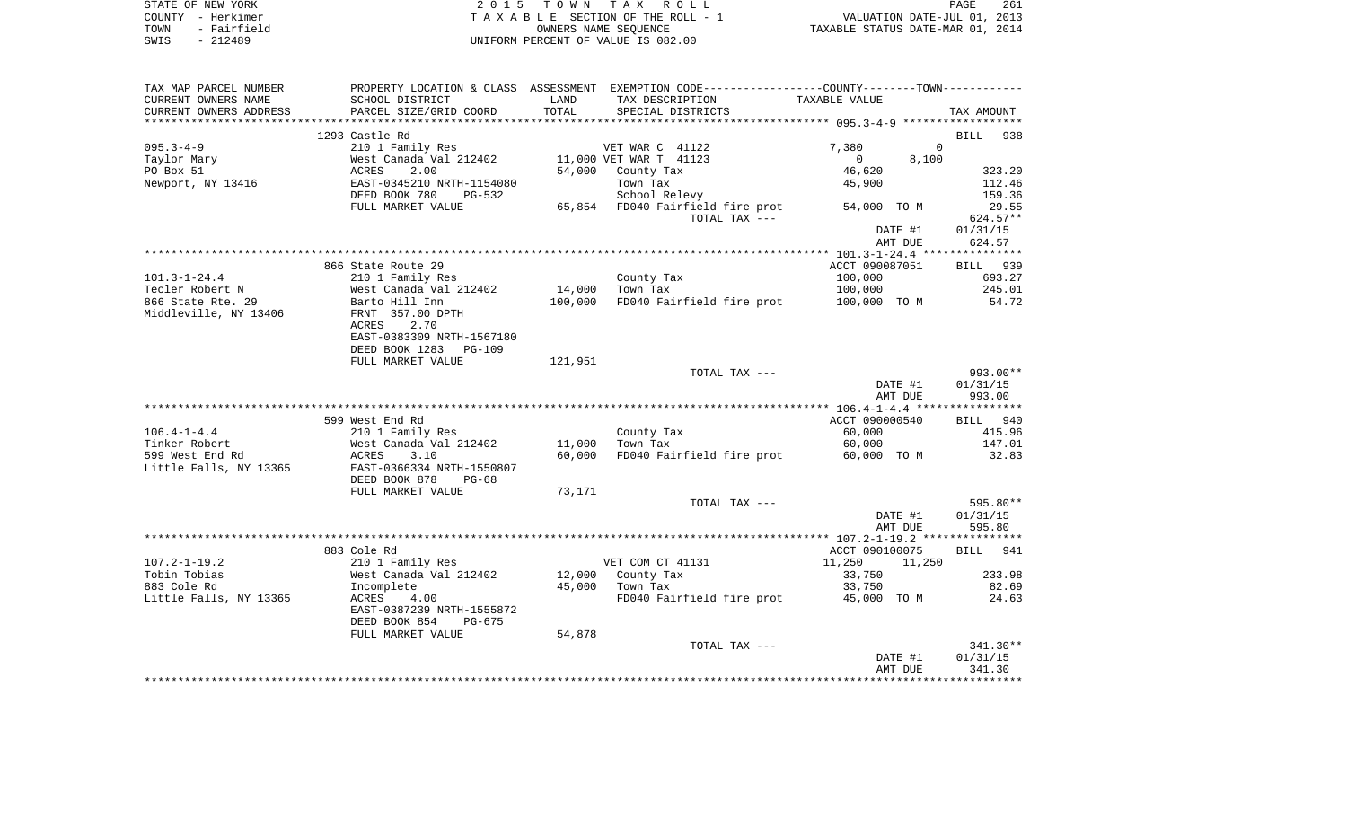| STATE OF NEW YORK   | 2015 TOWN TAX ROLL                 | 261<br><b>PAGE</b>               |
|---------------------|------------------------------------|----------------------------------|
| COUNTY - Herkimer   | TAXABLE SECTION OF THE ROLL - 1    | VALUATION DATE-JUL 01, 2013      |
| - Fairfield<br>TOWN | OWNERS NAME SEOUENCE               | TAXABLE STATUS DATE-MAR 01, 2014 |
| - 212489<br>SWIS    | UNIFORM PERCENT OF VALUE IS 082.00 |                                  |

| TAX MAP PARCEL NUMBER              |                                            |                  | PROPERTY LOCATION & CLASS ASSESSMENT EXEMPTION CODE---------------COUNTY-------TOWN---------- |                         |                    |
|------------------------------------|--------------------------------------------|------------------|-----------------------------------------------------------------------------------------------|-------------------------|--------------------|
| CURRENT OWNERS NAME                | SCHOOL DISTRICT                            | LAND             | TAX DESCRIPTION                                                                               | TAXABLE VALUE           |                    |
| CURRENT OWNERS ADDRESS             | PARCEL SIZE/GRID COORD                     | TOTAL            | SPECIAL DISTRICTS                                                                             |                         | TAX AMOUNT         |
|                                    | 1293 Castle Rd                             |                  |                                                                                               |                         | 938<br><b>BILL</b> |
| $095.3 - 4 - 9$                    | 210 1 Family Res                           |                  | VET WAR C 41122                                                                               | 7,380<br>$\Omega$       |                    |
| Taylor Mary                        | West Canada Val 212402                     |                  | 11,000 VET WAR T 41123                                                                        | $\overline{0}$<br>8,100 |                    |
| PO Box 51                          | ACRES<br>2.00                              | 54,000           | County Tax                                                                                    | 46,620                  | 323.20             |
| Newport, NY 13416                  | EAST-0345210 NRTH-1154080                  |                  | Town Tax                                                                                      | 45,900                  | 112.46             |
|                                    | DEED BOOK 780<br>PG-532                    |                  | School Relevy                                                                                 |                         | 159.36             |
|                                    | FULL MARKET VALUE                          |                  | 65,854 FD040 Fairfield fire prot                                                              | 54,000 TO M             | 29.55              |
|                                    |                                            |                  | TOTAL TAX ---                                                                                 |                         | $624.57**$         |
|                                    |                                            |                  |                                                                                               | DATE #1                 | 01/31/15           |
|                                    |                                            |                  |                                                                                               | AMT DUE                 | 624.57             |
|                                    |                                            |                  |                                                                                               |                         |                    |
| $101.3 - 1 - 24.4$                 | 866 State Route 29                         |                  | County Tax                                                                                    | ACCT 090087051          | BILL 939<br>693.27 |
| Tecler Robert N                    | 210 1 Family Res<br>West Canada Val 212402 | 14,000           | Town Tax                                                                                      | 100,000<br>100,000      | 245.01             |
| 866 State Rte. 29                  | Barto Hill Inn                             | 100,000          | FD040 Fairfield fire prot                                                                     | 100,000 TO M            | 54.72              |
| Middleville, NY 13406              | FRNT 357.00 DPTH                           |                  |                                                                                               |                         |                    |
|                                    | 2.70<br>ACRES                              |                  |                                                                                               |                         |                    |
|                                    | EAST-0383309 NRTH-1567180                  |                  |                                                                                               |                         |                    |
|                                    | DEED BOOK 1283 PG-109                      |                  |                                                                                               |                         |                    |
|                                    | FULL MARKET VALUE                          | 121,951          |                                                                                               |                         |                    |
|                                    |                                            |                  | TOTAL TAX ---                                                                                 |                         | 993.00**           |
|                                    |                                            |                  |                                                                                               | DATE #1                 | 01/31/15           |
|                                    |                                            |                  |                                                                                               | AMT DUE                 | 993.00             |
|                                    |                                            |                  |                                                                                               |                         |                    |
|                                    | 599 West End Rd                            |                  |                                                                                               | ACCT 090000540          | BILL 940           |
| $106.4 - 1 - 4.4$<br>Tinker Robert | 210 1 Family Res<br>West Canada Val 212402 | 11,000           | County Tax<br>Town Tax                                                                        | 60,000<br>60,000        | 415.96<br>147.01   |
| 599 West End Rd                    | ACRES<br>3.10                              | 60,000           | FD040 Fairfield fire prot                                                                     | 60,000 TO M             | 32.83              |
| Little Falls, NY 13365             | EAST-0366334 NRTH-1550807                  |                  |                                                                                               |                         |                    |
|                                    | DEED BOOK 878<br>$PG-68$                   |                  |                                                                                               |                         |                    |
|                                    | FULL MARKET VALUE                          | 73,171           |                                                                                               |                         |                    |
|                                    |                                            |                  | TOTAL TAX ---                                                                                 |                         | 595.80**           |
|                                    |                                            |                  |                                                                                               | DATE #1                 | 01/31/15           |
|                                    |                                            |                  |                                                                                               | AMT DUE                 | 595.80             |
|                                    |                                            |                  |                                                                                               |                         |                    |
|                                    | 883 Cole Rd                                |                  |                                                                                               | ACCT 090100075          | BILL<br>941        |
| $107.2 - 1 - 19.2$                 | 210 1 Family Res                           |                  | VET COM CT 41131                                                                              | 11,250<br>11,250        |                    |
| Tobin Tobias<br>883 Cole Rd        | West Canada Val 212402                     | 12,000<br>45,000 | County Tax<br>Town Tax                                                                        | 33,750<br>33,750        | 233.98<br>82.69    |
| Little Falls, NY 13365             | Incomplete<br>ACRES<br>4.00                |                  | FD040 Fairfield fire prot                                                                     | 45,000 TO M             | 24.63              |
|                                    | EAST-0387239 NRTH-1555872                  |                  |                                                                                               |                         |                    |
|                                    | DEED BOOK 854<br>PG-675                    |                  |                                                                                               |                         |                    |
|                                    | FULL MARKET VALUE                          | 54,878           |                                                                                               |                         |                    |
|                                    |                                            |                  | TOTAL TAX ---                                                                                 |                         | $341.30**$         |
|                                    |                                            |                  |                                                                                               | DATE #1                 | 01/31/15           |
|                                    |                                            |                  |                                                                                               | AMT DUE                 | 341.30             |
|                                    |                                            |                  |                                                                                               |                         |                    |
|                                    |                                            |                  |                                                                                               |                         |                    |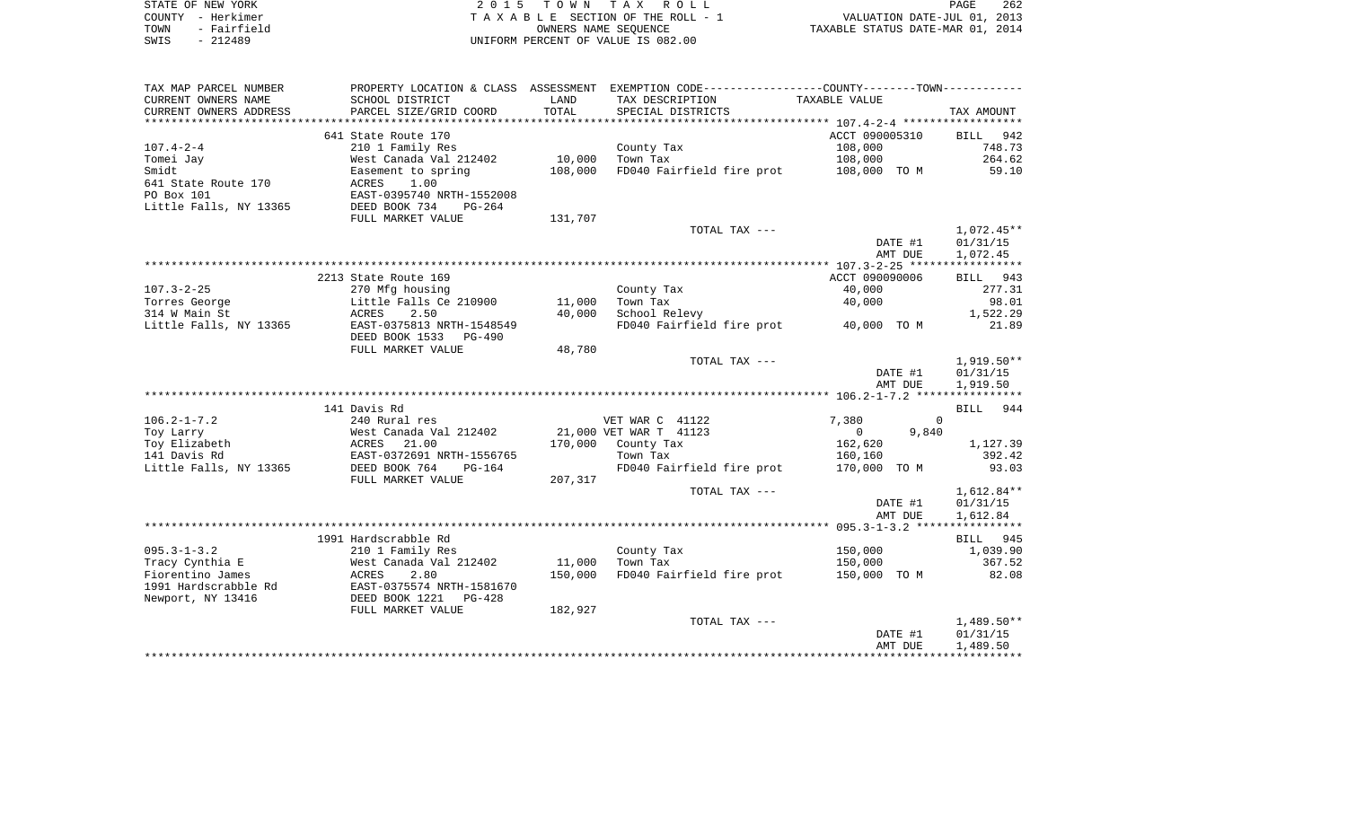| STATE OF NEW YORK   | 2015 TOWN TAX ROLL                 | 262<br>PAGE                      |
|---------------------|------------------------------------|----------------------------------|
| COUNTY – Herkimer   | TAXABLE SECTION OF THE ROLL - 1    | VALUATION DATE-JUL 01, 2013      |
| - Fairfield<br>TOWN | OWNERS NAME SEOUENCE               | TAXABLE STATUS DATE-MAR 01, 2014 |
| $-212489$<br>SWIS   | UNIFORM PERCENT OF VALUE IS 082.00 |                                  |

| TAX MAP PARCEL NUMBER  | PROPERTY LOCATION & CLASS ASSESSMENT |         | EXEMPTION CODE-----------------COUNTY-------TOWN----------- |                   |                    |
|------------------------|--------------------------------------|---------|-------------------------------------------------------------|-------------------|--------------------|
| CURRENT OWNERS NAME    | SCHOOL DISTRICT                      | LAND    | TAX DESCRIPTION                                             | TAXABLE VALUE     |                    |
| CURRENT OWNERS ADDRESS | PARCEL SIZE/GRID COORD               | TOTAL   | SPECIAL DISTRICTS                                           |                   | TAX AMOUNT         |
|                        |                                      |         |                                                             |                   |                    |
|                        | 641 State Route 170                  |         |                                                             | ACCT 090005310    | 942<br>BILL        |
| $107.4 - 2 - 4$        | 210 1 Family Res                     |         | County Tax                                                  | 108,000           | 748.73             |
| Tomei Jay              | West Canada Val 212402               | 10,000  | Town Tax                                                    | 108,000           | 264.62             |
| Smidt                  | Easement to spring                   | 108,000 | FD040 Fairfield fire prot                                   | 108,000 TO M      | 59.10              |
| 641 State Route 170    | ACRES<br>1.00                        |         |                                                             |                   |                    |
| PO Box 101             | EAST-0395740 NRTH-1552008            |         |                                                             |                   |                    |
| Little Falls, NY 13365 | DEED BOOK 734<br>PG-264              |         |                                                             |                   |                    |
|                        | FULL MARKET VALUE                    | 131,707 |                                                             |                   |                    |
|                        |                                      |         | TOTAL TAX ---                                               |                   | $1,072.45**$       |
|                        |                                      |         |                                                             | DATE #1           | 01/31/15           |
|                        |                                      |         |                                                             | AMT DUE           | 1,072.45           |
|                        |                                      |         |                                                             |                   |                    |
|                        | 2213 State Route 169                 |         |                                                             | ACCT 090090006    | 943<br><b>BILL</b> |
| $107.3 - 2 - 25$       | 270 Mfg housing                      |         | County Tax                                                  | 40,000            | 277.31             |
| Torres George          | Little Falls Ce 210900               | 11,000  | Town Tax                                                    | 40,000            | 98.01              |
| 314 W Main St          | 2.50<br>ACRES                        | 40,000  | School Relevy                                               |                   | 1,522.29           |
| Little Falls, NY 13365 | EAST-0375813 NRTH-1548549            |         | FD040 Fairfield fire prot                                   | 40,000 TO M       | 21.89              |
|                        |                                      |         |                                                             |                   |                    |
|                        | DEED BOOK 1533<br>$PG-490$           |         |                                                             |                   |                    |
|                        | FULL MARKET VALUE                    | 48,780  |                                                             |                   |                    |
|                        |                                      |         | TOTAL TAX ---                                               |                   | $1,919.50**$       |
|                        |                                      |         |                                                             | DATE #1           | 01/31/15           |
|                        |                                      |         |                                                             | AMT DUE           | 1,919.50           |
|                        |                                      |         |                                                             |                   |                    |
|                        | 141 Davis Rd                         |         |                                                             |                   | BILL 944           |
| $106.2 - 1 - 7.2$      | 240 Rural res                        |         | VET WAR C 41122                                             | 7,380             | $\Omega$           |
| Toy Larry              | West Canada Val 212402               |         | 21,000 VET WAR T 41123                                      | $\Omega$<br>9,840 |                    |
| Toy Elizabeth          | <b>ACRES</b><br>21.00                | 170,000 | County Tax                                                  | 162,620           | 1,127.39           |
| 141 Davis Rd           | EAST-0372691 NRTH-1556765            |         | Town Tax                                                    | 160,160           | 392.42             |
| Little Falls, NY 13365 | DEED BOOK 764<br>PG-164              |         | FD040 Fairfield fire prot                                   | 170,000 TO M      | 93.03              |
|                        | FULL MARKET VALUE                    | 207,317 |                                                             |                   |                    |
|                        |                                      |         | TOTAL TAX ---                                               |                   | 1,612.84**         |
|                        |                                      |         |                                                             | DATE #1           | 01/31/15           |
|                        |                                      |         |                                                             | AMT DUE           | 1,612.84           |
|                        |                                      |         |                                                             |                   |                    |
|                        | 1991 Hardscrabble Rd                 |         |                                                             |                   | BILL 945           |
| $095.3 - 1 - 3.2$      | 210 1 Family Res                     |         | County Tax                                                  | 150,000           | 1,039.90           |
| Tracy Cynthia E        | West Canada Val 212402               | 11,000  | Town Tax                                                    | 150,000           | 367.52             |
| Fiorentino James       | ACRES<br>2.80                        | 150,000 | FD040 Fairfield fire prot                                   | 150,000 TO M      | 82.08              |
| 1991 Hardscrabble Rd   | EAST-0375574 NRTH-1581670            |         |                                                             |                   |                    |
| Newport, NY 13416      | DEED BOOK 1221<br>PG-428             |         |                                                             |                   |                    |
|                        | FULL MARKET VALUE                    | 182,927 |                                                             |                   |                    |
|                        |                                      |         | TOTAL TAX ---                                               |                   | $1,489.50**$       |
|                        |                                      |         |                                                             | DATE #1           | 01/31/15           |
|                        |                                      |         |                                                             | AMT DUE           | 1,489.50           |
|                        |                                      |         |                                                             |                   |                    |
|                        |                                      |         |                                                             |                   |                    |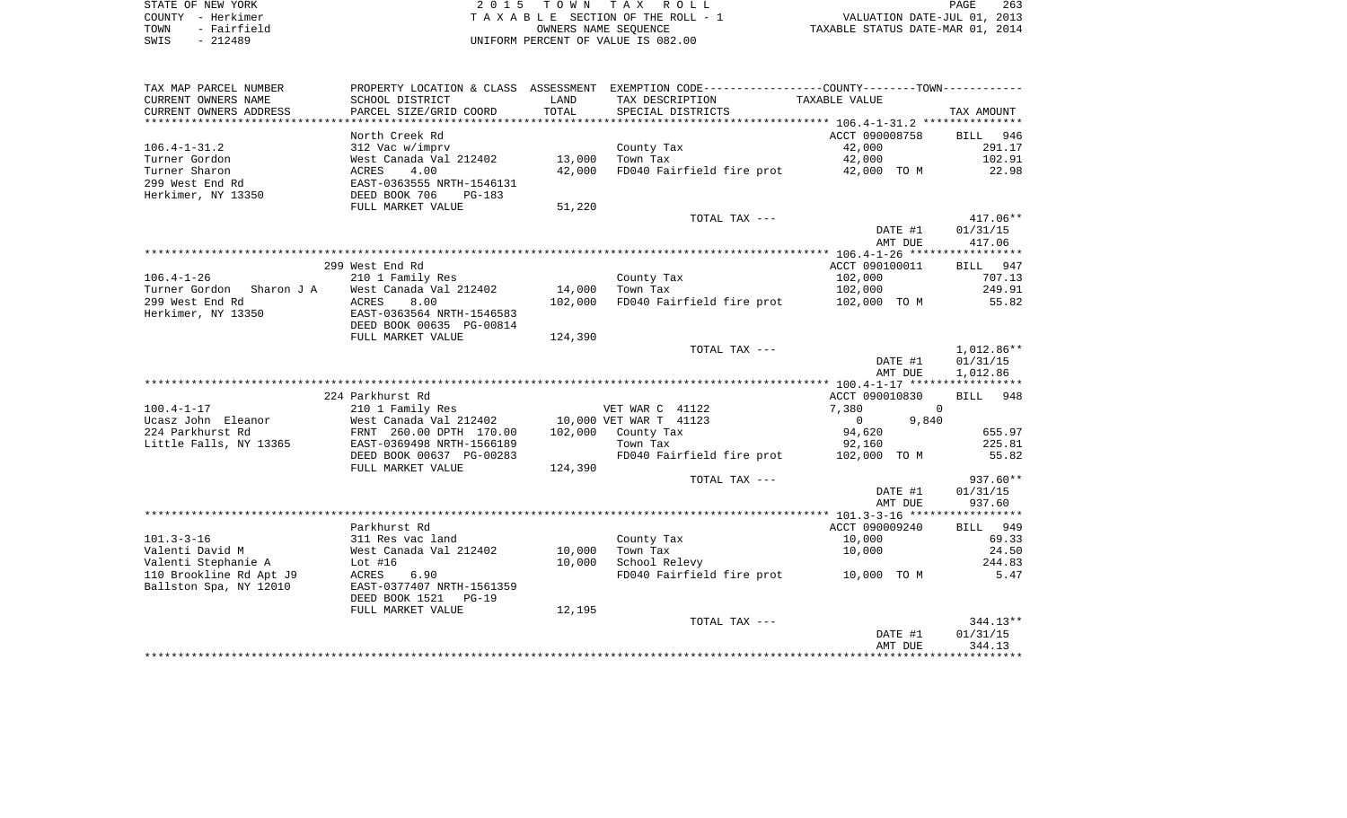| STATE OF NEW YORK   | 2015 TOWN TAX ROLL                 | 263<br>PAGE                      |
|---------------------|------------------------------------|----------------------------------|
| COUNTY - Herkimer   | TAXABLE SECTION OF THE ROLL - 1    | VALUATION DATE-JUL 01, 2013      |
| - Fairfield<br>TOWN | OWNERS NAME SEOUENCE               | TAXABLE STATUS DATE-MAR 01, 2014 |
| $-212489$<br>SWIS   | UNIFORM PERCENT OF VALUE IS 082.00 |                                  |

| TAX MAP PARCEL NUMBER    |                                               |                | PROPERTY LOCATION & CLASS ASSESSMENT EXEMPTION CODE---------------COUNTY-------TOWN---------- |                         |                |
|--------------------------|-----------------------------------------------|----------------|-----------------------------------------------------------------------------------------------|-------------------------|----------------|
| CURRENT OWNERS NAME      | SCHOOL DISTRICT                               | LAND           | TAX DESCRIPTION                                                                               | TAXABLE VALUE           |                |
| CURRENT OWNERS ADDRESS   | PARCEL SIZE/GRID COORD                        | TOTAL          | SPECIAL DISTRICTS                                                                             |                         | TAX AMOUNT     |
| *******************      | *******************                           | ************** |                                                                                               |                         |                |
|                          | North Creek Rd                                |                |                                                                                               | ACCT 090008758          | BILL 946       |
| $106.4 - 1 - 31.2$       | 312 Vac w/imprv                               |                | County Tax                                                                                    | 42,000                  | 291.17         |
| Turner Gordon            | West Canada Val 212402                        | 13,000         | Town Tax                                                                                      | 42,000                  | 102.91         |
| Turner Sharon            | 4.00<br>ACRES                                 | 42,000         | FD040 Fairfield fire prot                                                                     | 42,000 TO M             | 22.98          |
| 299 West End Rd          | EAST-0363555 NRTH-1546131                     |                |                                                                                               |                         |                |
| Herkimer, NY 13350       | DEED BOOK 706<br>$PG-183$                     |                |                                                                                               |                         |                |
|                          | FULL MARKET VALUE                             | 51,220         |                                                                                               |                         |                |
|                          |                                               |                | TOTAL TAX ---                                                                                 |                         | $417.06**$     |
|                          |                                               |                |                                                                                               | DATE #1                 | 01/31/15       |
|                          |                                               |                |                                                                                               | AMT DUE                 | 417.06         |
|                          |                                               |                |                                                                                               |                         |                |
|                          | 299 West End Rd                               |                |                                                                                               | ACCT 090100011          | BILL 947       |
| $106.4 - 1 - 26$         | 210 1 Family Res                              |                | County Tax                                                                                    | 102,000                 | 707.13         |
| Turner Gordon Sharon J A | West Canada Val 212402                        | 14,000         | Town Tax                                                                                      | 102,000                 | 249.91         |
| 299 West End Rd          | ACRES<br>8.00                                 | 102,000        | FD040 Fairfield fire prot 102,000 TO M                                                        |                         | 55.82          |
| Herkimer, NY 13350       | EAST-0363564 NRTH-1546583                     |                |                                                                                               |                         |                |
|                          | DEED BOOK 00635 PG-00814<br>FULL MARKET VALUE | 124,390        |                                                                                               |                         |                |
|                          |                                               |                | TOTAL TAX ---                                                                                 |                         | 1,012.86**     |
|                          |                                               |                |                                                                                               | DATE #1                 | 01/31/15       |
|                          |                                               |                |                                                                                               | AMT DUE                 | 1,012.86       |
|                          |                                               |                |                                                                                               |                         |                |
|                          | 224 Parkhurst Rd                              |                |                                                                                               | ACCT 090010830          | BILL 948       |
| $100.4 - 1 - 17$         | 210 1 Family Res                              |                | VET WAR C 41122                                                                               | 7,380                   | $\overline{0}$ |
| Ucasz John Eleanor       | West Canada Val 212402                        |                | 10,000 VET WAR T 41123                                                                        | $\overline{0}$<br>9,840 |                |
| 224 Parkhurst Rd         | FRNT 260.00 DPTH 170.00                       |                | $102,000$ County Tax                                                                          | 94,620                  | 655.97         |
| Little Falls, NY 13365   | EAST-0369498 NRTH-1566189                     |                | Town Tax                                                                                      | 92,160                  | 225.81         |
|                          | DEED BOOK 00637 PG-00283                      |                | FD040 Fairfield fire prot                                                                     | 102,000 TO M            | 55.82          |
|                          | FULL MARKET VALUE                             | 124,390        |                                                                                               |                         |                |
|                          |                                               |                | TOTAL TAX ---                                                                                 |                         | 937.60**       |
|                          |                                               |                |                                                                                               | DATE #1                 | 01/31/15       |
|                          |                                               |                |                                                                                               | AMT DUE                 | 937.60         |
|                          |                                               |                |                                                                                               |                         |                |
|                          | Parkhurst Rd                                  |                |                                                                                               | ACCT 090009240          | BILL 949       |
| $101.3 - 3 - 16$         | 311 Res vac land                              |                | County Tax                                                                                    | 10,000                  | 69.33          |
| Valenti David M          | West Canada Val 212402                        | 10,000         | Town Tax                                                                                      | 10,000                  | 24.50          |
| Valenti Stephanie A      | Lot $#16$                                     | 10,000         | School Relevy                                                                                 |                         | 244.83         |
| 110 Brookline Rd Apt J9  | 6.90<br>ACRES                                 |                | FD040 Fairfield fire prot 10,000 TO M                                                         |                         | 5.47           |
| Ballston Spa, NY 12010   | EAST-0377407 NRTH-1561359                     |                |                                                                                               |                         |                |
|                          | DEED BOOK 1521<br>$PG-19$                     |                |                                                                                               |                         |                |
|                          | FULL MARKET VALUE                             | 12,195         |                                                                                               |                         |                |
|                          |                                               |                | TOTAL TAX ---                                                                                 |                         | $344.13**$     |
|                          |                                               |                |                                                                                               | DATE #1                 | 01/31/15       |
|                          |                                               |                |                                                                                               | AMT DUE                 | 344.13         |
|                          |                                               |                |                                                                                               |                         |                |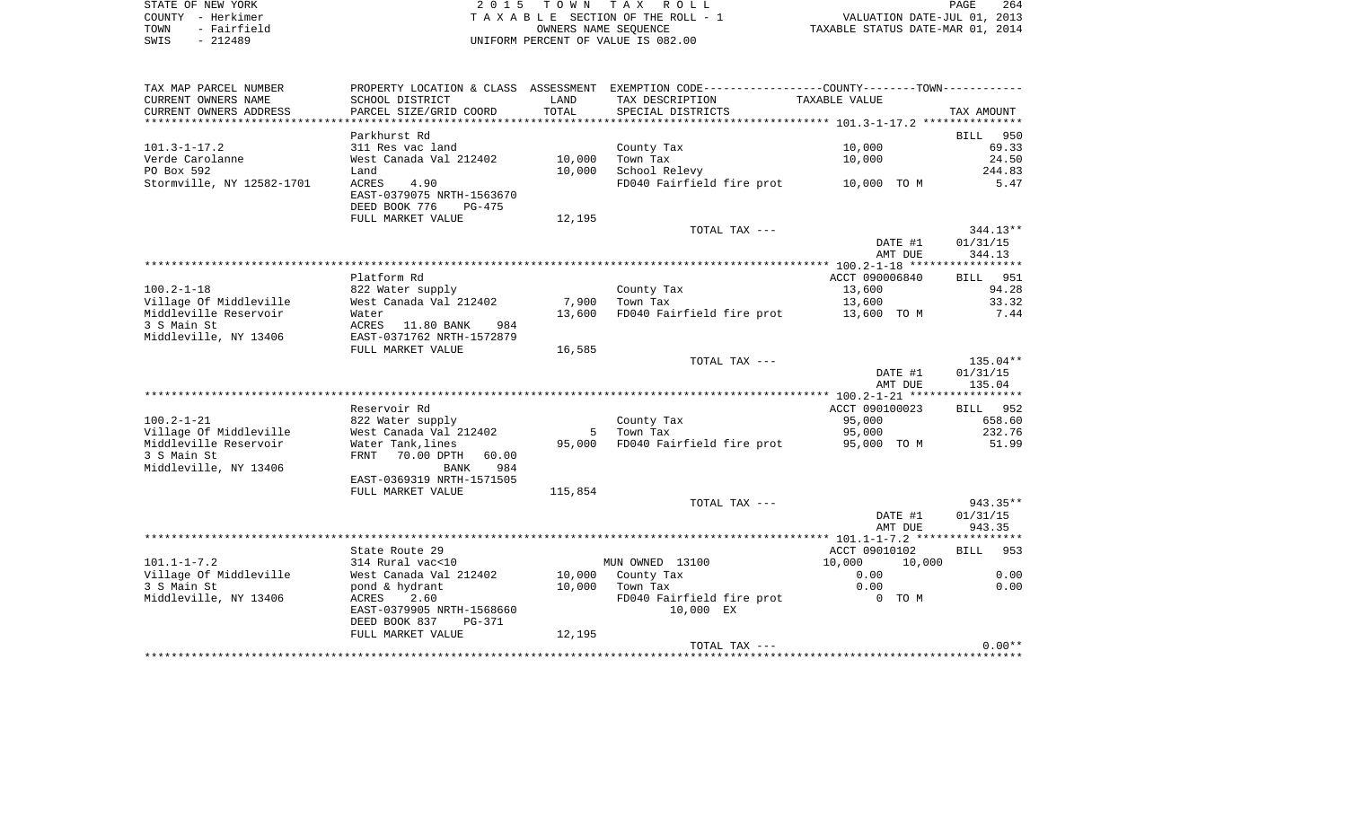| STATE OF NEW YORK   | 2015 TOWN TAX ROLL                 | 264<br>PAGE                      |
|---------------------|------------------------------------|----------------------------------|
| COUNTY - Herkimer   | TAXABLE SECTION OF THE ROLL - 1    | VALUATION DATE-JUL 01, 2013      |
| - Fairfield<br>TOWN | OWNERS NAME SEOUENCE               | TAXABLE STATUS DATE-MAR 01, 2014 |
| SWIS<br>$-212489$   | UNIFORM PERCENT OF VALUE IS 082.00 |                                  |

| TAX MAP PARCEL NUMBER                           |                                                                       |         | PROPERTY LOCATION & CLASS ASSESSMENT EXEMPTION CODE----------------COUNTY--------TOWN---------- |                       |                    |
|-------------------------------------------------|-----------------------------------------------------------------------|---------|-------------------------------------------------------------------------------------------------|-----------------------|--------------------|
| CURRENT OWNERS NAME                             | SCHOOL DISTRICT                                                       | LAND    | TAX DESCRIPTION                                                                                 | TAXABLE VALUE         |                    |
| CURRENT OWNERS ADDRESS                          | PARCEL SIZE/GRID COORD                                                | TOTAL   | SPECIAL DISTRICTS                                                                               |                       | TAX AMOUNT         |
|                                                 |                                                                       |         |                                                                                                 |                       |                    |
|                                                 | Parkhurst Rd                                                          |         |                                                                                                 |                       | 950<br>BILL        |
| $101.3 - 1 - 17.2$                              | 311 Res vac land                                                      |         | County Tax                                                                                      | 10,000                | 69.33              |
| Verde Carolanne                                 | West Canada Val 212402                                                | 10,000  | Town Tax                                                                                        | 10,000                | 24.50              |
| PO Box 592                                      | Land                                                                  | 10,000  | School Relevy                                                                                   |                       | 244.83             |
| Stormville, NY 12582-1701                       | ACRES<br>4.90<br>EAST-0379075 NRTH-1563670<br>DEED BOOK 776<br>PG-475 |         | FD040 Fairfield fire prot                                                                       | 10,000 TO M           | 5.47               |
|                                                 | FULL MARKET VALUE                                                     | 12,195  |                                                                                                 |                       |                    |
|                                                 |                                                                       |         | TOTAL TAX ---                                                                                   |                       | $344.13**$         |
|                                                 |                                                                       |         |                                                                                                 | DATE #1               | 01/31/15           |
|                                                 |                                                                       |         |                                                                                                 | AMT DUE               | 344.13             |
|                                                 |                                                                       |         |                                                                                                 |                       |                    |
|                                                 | Platform Rd                                                           |         |                                                                                                 | ACCT 090006840        | BILL 951           |
| $100.2 - 1 - 18$                                | 822 Water supply                                                      | 7,900   | County Tax                                                                                      | 13,600                | 94.28              |
| Village Of Middleville<br>Middleville Reservoir | West Canada Val 212402                                                | 13,600  | Town Tax<br>FD040 Fairfield fire prot                                                           | 13,600<br>13,600 TO M | 33.32<br>7.44      |
| 3 S Main St                                     | Water<br>ACRES<br>11.80 BANK<br>984                                   |         |                                                                                                 |                       |                    |
| Middleville, NY 13406                           | EAST-0371762 NRTH-1572879                                             |         |                                                                                                 |                       |                    |
|                                                 | FULL MARKET VALUE                                                     | 16,585  |                                                                                                 |                       |                    |
|                                                 |                                                                       |         | TOTAL TAX ---                                                                                   |                       | 135.04**           |
|                                                 |                                                                       |         |                                                                                                 | DATE #1               | 01/31/15           |
|                                                 |                                                                       |         |                                                                                                 | AMT DUE               | 135.04             |
|                                                 |                                                                       |         |                                                                                                 |                       |                    |
|                                                 | Reservoir Rd                                                          |         |                                                                                                 | ACCT 090100023        | BILL 952           |
| $100.2 - 1 - 21$                                | 822 Water supply                                                      |         | County Tax                                                                                      | 95,000                | 658.60             |
| Village Of Middleville                          | West Canada Val 212402                                                | 5       | Town Tax                                                                                        | 95,000                | 232.76             |
| Middleville Reservoir                           | Water Tank, lines                                                     | 95,000  | FD040 Fairfield fire prot                                                                       | 95,000 TO M           | 51.99              |
| 3 S Main St                                     | 70.00 DPTH<br>FRNT<br>60.00                                           |         |                                                                                                 |                       |                    |
| Middleville, NY 13406                           | 984<br>BANK                                                           |         |                                                                                                 |                       |                    |
|                                                 | EAST-0369319 NRTH-1571505                                             |         |                                                                                                 |                       |                    |
|                                                 | FULL MARKET VALUE                                                     | 115,854 | TOTAL TAX ---                                                                                   |                       | 943.35**           |
|                                                 |                                                                       |         |                                                                                                 | DATE #1               | 01/31/15           |
|                                                 |                                                                       |         |                                                                                                 | AMT DUE               | 943.35             |
|                                                 |                                                                       |         |                                                                                                 |                       |                    |
|                                                 | State Route 29                                                        |         |                                                                                                 | ACCT 09010102         | <b>BILL</b><br>953 |
| $101.1 - 1 - 7.2$                               | 314 Rural vac<10                                                      |         | MUN OWNED 13100                                                                                 | 10,000<br>10,000      |                    |
| Village Of Middleville                          | West Canada Val 212402                                                | 10,000  | County Tax                                                                                      | 0.00                  | 0.00               |
| 3 S Main St                                     | pond & hydrant                                                        | 10,000  | Town Tax                                                                                        | 0.00                  | 0.00               |
| Middleville, NY 13406                           | 2.60<br>ACRES                                                         |         | FD040 Fairfield fire prot                                                                       | 0 TO M                |                    |
|                                                 | EAST-0379905 NRTH-1568660                                             |         | 10,000 EX                                                                                       |                       |                    |
|                                                 | DEED BOOK 837<br>PG-371                                               |         |                                                                                                 |                       |                    |
|                                                 | FULL MARKET VALUE                                                     | 12,195  |                                                                                                 |                       |                    |
|                                                 |                                                                       |         | TOTAL TAX ---                                                                                   |                       | $0.00**$           |
|                                                 |                                                                       |         |                                                                                                 |                       |                    |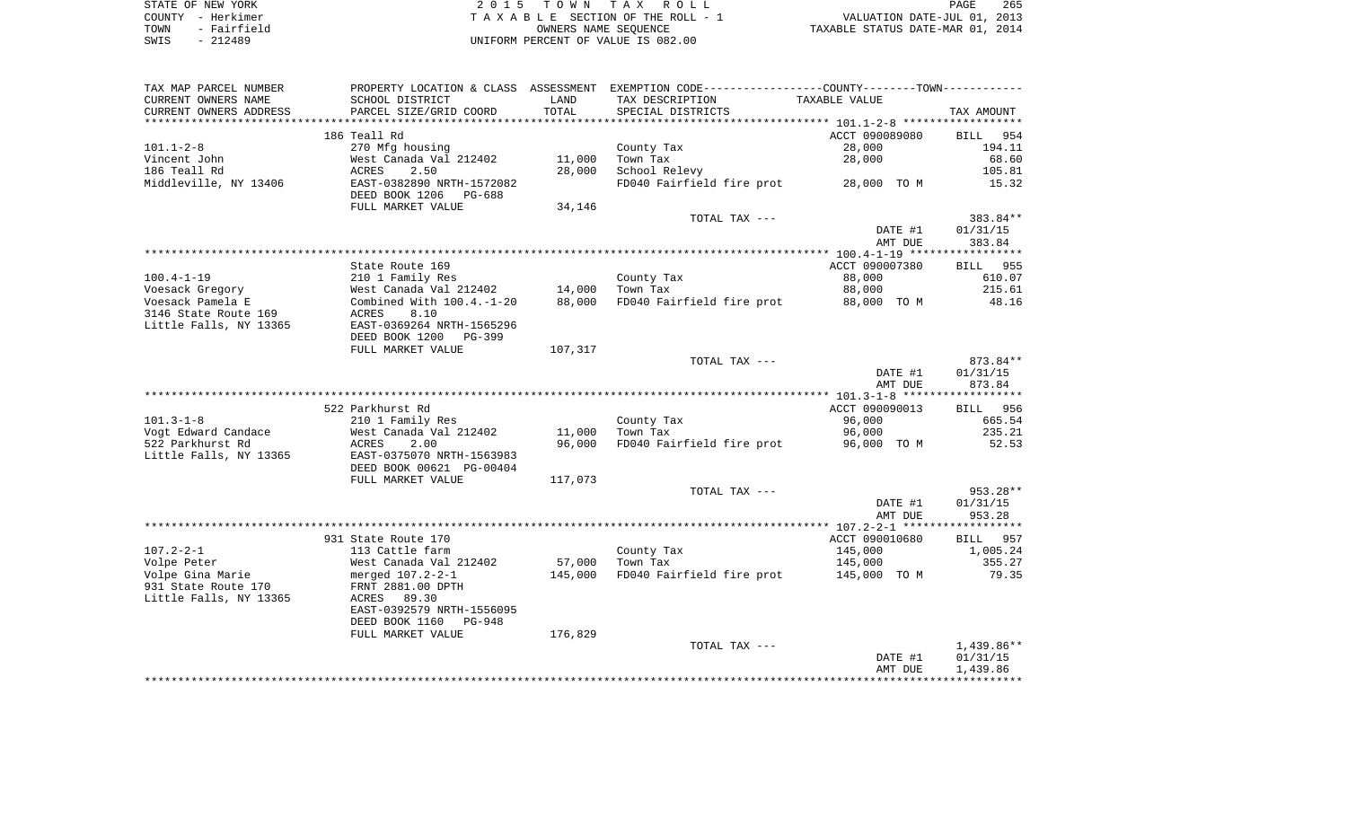| STATE OF NEW YORK   | 2015 TOWN TAX ROLL                 | 265<br>PAGE                      |
|---------------------|------------------------------------|----------------------------------|
| COUNTY - Herkimer   | TAXABLE SECTION OF THE ROLL - 1    | VALUATION DATE-JUL 01, 2013      |
| - Fairfield<br>TOWN | OWNERS NAME SEOUENCE               | TAXABLE STATUS DATE-MAR 01, 2014 |
| $-212489$<br>SWIS   | UNIFORM PERCENT OF VALUE IS 082.00 |                                  |

| CURRENT OWNERS NAME                      |                                                       |               | PROPERTY LOCATION & CLASS ASSESSMENT EXEMPTION CODE----------------COUNTY--------TOWN----------- |                    |                                                                                   |
|------------------------------------------|-------------------------------------------------------|---------------|--------------------------------------------------------------------------------------------------|--------------------|-----------------------------------------------------------------------------------|
| CURRENT OWNERS ADDRESS                   | SCHOOL DISTRICT<br>PARCEL SIZE/GRID COORD             | LAND<br>TOTAL | TAX DESCRIPTION<br>SPECIAL DISTRICTS                                                             | TAXABLE VALUE      | TAX AMOUNT                                                                        |
|                                          |                                                       |               |                                                                                                  |                    |                                                                                   |
|                                          | 186 Teall Rd                                          |               |                                                                                                  | ACCT 090089080     | BILL 954                                                                          |
| $101.1 - 2 - 8$                          | 270 Mfg housing                                       |               | County Tax                                                                                       | 28,000             | 194.11                                                                            |
| Vincent John                             | West Canada Val 212402                                |               | 11,000 Town Tax                                                                                  | 28,000             | 68.60                                                                             |
| 186 Teall Rd                             | ACRES<br>2.50                                         | 28,000        | School Relevy                                                                                    |                    | 105.81                                                                            |
| Middleville, NY 13406                    | EAST-0382890 NRTH-1572082<br>DEED BOOK 1206 PG-688    |               | FD040 Fairfield fire prot                                                                        | 28,000 TO M        | 15.32                                                                             |
|                                          | FULL MARKET VALUE                                     | 34,146        |                                                                                                  |                    |                                                                                   |
|                                          |                                                       |               | TOTAL TAX ---                                                                                    |                    | 383.84**                                                                          |
|                                          |                                                       |               |                                                                                                  | DATE #1<br>AMT DUE | 01/31/15<br>383.84                                                                |
|                                          |                                                       |               |                                                                                                  |                    |                                                                                   |
|                                          | State Route 169                                       |               |                                                                                                  | ACCT 090007380     | BILL 955                                                                          |
| $100.4 - 1 - 19$                         | 210 1 Family Res                                      |               | County Tax                                                                                       | 88,000             | 610.07                                                                            |
| Voesack Gregory                          | West Canada Val 212402                                |               | 14,000 Town Tax                                                                                  | 88,000             | 215.61                                                                            |
| Voesack Pamela E<br>3146 State Route 169 | Combined With $100.4.-1-20$<br>8.10<br>ACRES          |               | 88,000 FD040 Fairfield fire prot                                                                 | 88,000 TO M        | 48.16                                                                             |
| Little Falls, NY 13365                   | EAST-0369264 NRTH-1565296                             |               |                                                                                                  |                    |                                                                                   |
|                                          | DEED BOOK 1200 PG-399                                 |               |                                                                                                  |                    |                                                                                   |
|                                          | FULL MARKET VALUE                                     | 107,317       |                                                                                                  |                    |                                                                                   |
|                                          |                                                       |               | TOTAL TAX ---                                                                                    |                    | 873.84**                                                                          |
|                                          |                                                       |               |                                                                                                  | DATE #1            | 01/31/15                                                                          |
|                                          |                                                       |               |                                                                                                  | AMT DUE            | 873.84                                                                            |
|                                          |                                                       |               |                                                                                                  |                    |                                                                                   |
| $101.3 - 1 - 8$                          | 522 Parkhurst Rd                                      |               |                                                                                                  | ACCT 090090013     | BILL 956<br>665.54                                                                |
| Vogt Edward Candace                      | 210 1 Family Res<br>West Canada Val 212402            |               | County Tax<br>$11,000$ Town Tax                                                                  | 96,000<br>96,000   | 235.21                                                                            |
| 522 Parkhurst Rd                         | 2.00<br>ACRES                                         |               | 96,000 FD040 Fairfield fire prot                                                                 | 96,000 TO M        | 52.53                                                                             |
| Little Falls, NY 13365                   | EAST-0375070 NRTH-1563983<br>DEED BOOK 00621 PG-00404 |               |                                                                                                  |                    |                                                                                   |
|                                          |                                                       |               |                                                                                                  |                    |                                                                                   |
|                                          |                                                       |               |                                                                                                  |                    |                                                                                   |
|                                          | FULL MARKET VALUE                                     | 117,073       | TOTAL TAX ---                                                                                    |                    |                                                                                   |
|                                          |                                                       |               |                                                                                                  | DATE #1            | 01/31/15                                                                          |
|                                          |                                                       |               |                                                                                                  | AMT DUE            | 953.28                                                                            |
|                                          |                                                       |               |                                                                                                  |                    |                                                                                   |
|                                          | 931 State Route 170                                   |               |                                                                                                  | ACCT 090010680     |                                                                                   |
| $107.2 - 2 - 1$                          | 113 Cattle farm                                       |               | County Tax                                                                                       | 145,000            |                                                                                   |
|                                          | West Canada Val 212402                                |               | 57,000 Town Tax                                                                                  | 145,000            |                                                                                   |
| Volpe Gina Marie                         | merged 107.2-2-1                                      |               | 145,000 FD040 Fairfield fire prot                                                                | 145,000 TO M       |                                                                                   |
| 931 State Route 170                      | FRNT 2881.00 DPTH                                     |               |                                                                                                  |                    |                                                                                   |
|                                          | ACRES 89.30                                           |               |                                                                                                  |                    |                                                                                   |
|                                          | EAST-0392579 NRTH-1556095                             |               |                                                                                                  |                    |                                                                                   |
|                                          | DEED BOOK 1160 PG-948                                 |               |                                                                                                  |                    |                                                                                   |
| Volpe Peter<br>Little Falls, NY 13365    | FULL MARKET VALUE                                     | 176,829       |                                                                                                  |                    |                                                                                   |
|                                          |                                                       |               | TOTAL TAX ---                                                                                    | DATE #1            | $953.28**$<br>BILL 957<br>1,005.24<br>355.27<br>79.35<br>$1,439.86**$<br>01/31/15 |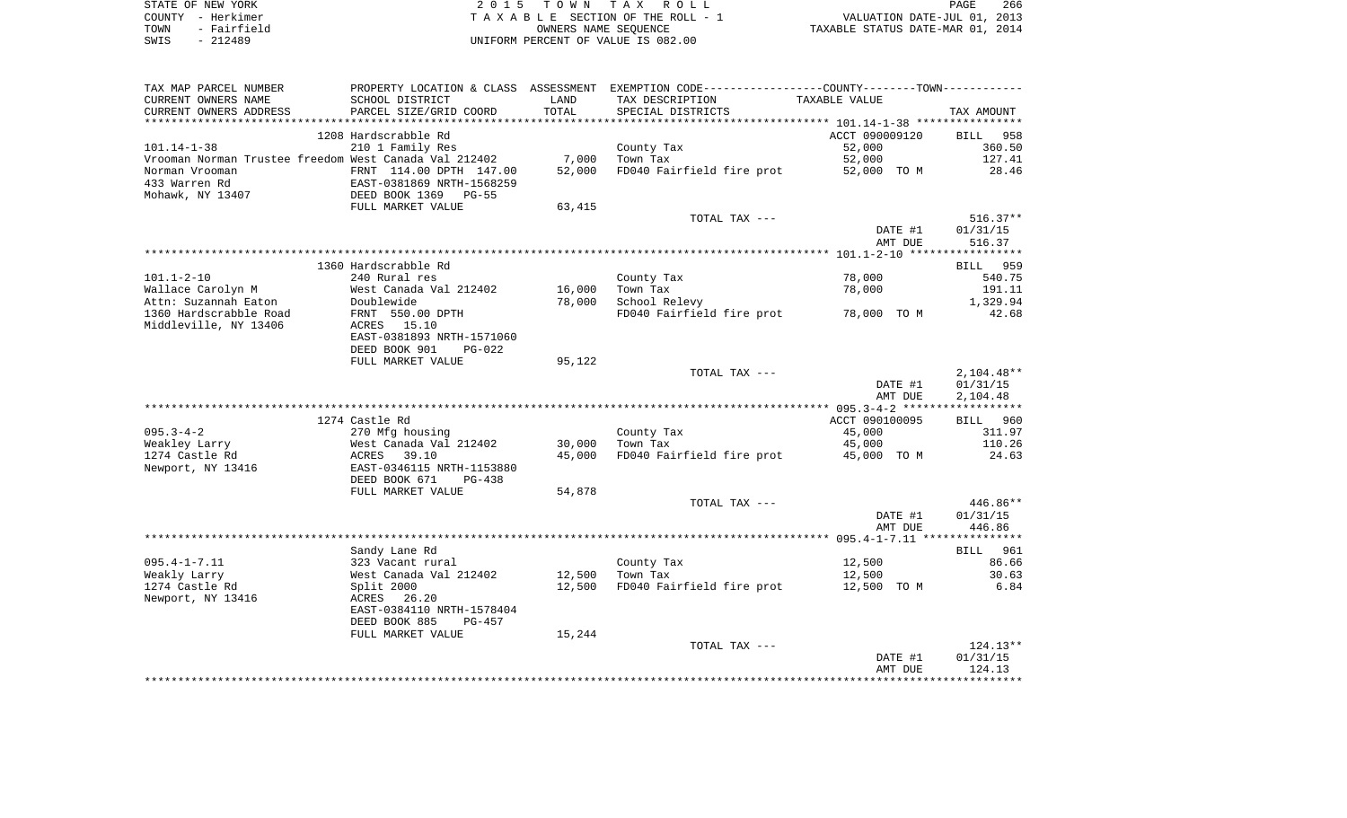| STATE OF NEW YORK   | 2015 TOWN TAX ROLL                 | 266<br>PAGE                      |
|---------------------|------------------------------------|----------------------------------|
| COUNTY - Herkimer   | TAXABLE SECTION OF THE ROLL - 1    | VALUATION DATE-JUL 01, 2013      |
| - Fairfield<br>TOWN | OWNERS NAME SEOUENCE               | TAXABLE STATUS DATE-MAR 01, 2014 |
| $-212489$<br>SWIS   | UNIFORM PERCENT OF VALUE IS 082.00 |                                  |

| TAX MAP PARCEL NUMBER                                 |                                 |        | PROPERTY LOCATION & CLASS ASSESSMENT EXEMPTION CODE---------------COUNTY-------TOWN---------- |                    |                    |
|-------------------------------------------------------|---------------------------------|--------|-----------------------------------------------------------------------------------------------|--------------------|--------------------|
| CURRENT OWNERS NAME                                   | SCHOOL DISTRICT                 | LAND   | TAX DESCRIPTION                                                                               | TAXABLE VALUE      |                    |
| CURRENT OWNERS ADDRESS                                | PARCEL SIZE/GRID COORD          | TOTAL  | SPECIAL DISTRICTS                                                                             |                    | TAX AMOUNT         |
| ************************                              |                                 |        |                                                                                               |                    |                    |
|                                                       | 1208 Hardscrabble Rd            |        |                                                                                               | ACCT 090009120     | 958<br>BILL        |
| $101.14 - 1 - 38$                                     | 210 1 Family Res                |        | County Tax                                                                                    | 52,000             | 360.50             |
| Vrooman Norman Trustee freedom West Canada Val 212402 |                                 | 7,000  | Town Tax                                                                                      | 52,000             | 127.41             |
| Norman Vrooman                                        | FRNT 114.00 DPTH 147.00         | 52,000 | FD040 Fairfield fire prot                                                                     | 52,000 TO M        | 28.46              |
| 433 Warren Rd                                         | EAST-0381869 NRTH-1568259       |        |                                                                                               |                    |                    |
| Mohawk, NY 13407                                      | DEED BOOK 1369<br>PG-55         |        |                                                                                               |                    |                    |
|                                                       | FULL MARKET VALUE               | 63,415 |                                                                                               |                    |                    |
|                                                       |                                 |        | TOTAL TAX ---                                                                                 |                    | $516.37**$         |
|                                                       |                                 |        |                                                                                               | DATE #1            | 01/31/15           |
|                                                       |                                 |        |                                                                                               | AMT DUE            | 516.37             |
|                                                       |                                 |        |                                                                                               |                    |                    |
|                                                       | 1360 Hardscrabble Rd            |        |                                                                                               |                    | BILL 959           |
| $101.1 - 2 - 10$                                      | 240 Rural res                   |        | County Tax                                                                                    | 78,000             | 540.75             |
| Wallace Carolyn M                                     | West Canada Val 212402          | 16,000 | Town Tax                                                                                      | 78,000             | 191.11             |
| Attn: Suzannah Eaton<br>1360 Hardscrabble Road        | Doublewide                      | 78,000 | School Relevy<br>FD040 Fairfield fire prot                                                    |                    | 1,329.94<br>42.68  |
| Middleville, NY 13406                                 | FRNT 550.00 DPTH<br>ACRES 15.10 |        |                                                                                               | 78,000 TO M        |                    |
|                                                       | EAST-0381893 NRTH-1571060       |        |                                                                                               |                    |                    |
|                                                       | DEED BOOK 901<br>$PG-022$       |        |                                                                                               |                    |                    |
|                                                       | FULL MARKET VALUE               | 95,122 |                                                                                               |                    |                    |
|                                                       |                                 |        | TOTAL TAX ---                                                                                 |                    | $2,104.48**$       |
|                                                       |                                 |        |                                                                                               | DATE #1            | 01/31/15           |
|                                                       |                                 |        |                                                                                               | AMT DUE            | 2,104.48           |
|                                                       |                                 |        |                                                                                               |                    |                    |
|                                                       | 1274 Castle Rd                  |        |                                                                                               | ACCT 090100095     | BILL 960           |
| $095.3 - 4 - 2$                                       | 270 Mfg housing                 |        | County Tax                                                                                    | 45,000             | 311.97             |
| Weakley Larry                                         | West Canada Val 212402          | 30,000 | Town Tax                                                                                      | 45,000             | 110.26             |
| 1274 Castle Rd                                        | ACRES 39.10                     | 45,000 | FD040 Fairfield fire prot                                                                     | 45,000 TO M        | 24.63              |
| Newport, NY 13416                                     | EAST-0346115 NRTH-1153880       |        |                                                                                               |                    |                    |
|                                                       | DEED BOOK 671<br>$PG-438$       |        |                                                                                               |                    |                    |
|                                                       | FULL MARKET VALUE               | 54,878 |                                                                                               |                    |                    |
|                                                       |                                 |        | TOTAL TAX ---                                                                                 |                    | 446.86**           |
|                                                       |                                 |        |                                                                                               | DATE #1            | 01/31/15           |
|                                                       |                                 |        |                                                                                               | AMT DUE            | 446.86             |
|                                                       |                                 |        |                                                                                               |                    |                    |
|                                                       | Sandy Lane Rd                   |        |                                                                                               |                    | BILL 961           |
| $095.4 - 1 - 7.11$                                    | 323 Vacant rural                |        | County Tax                                                                                    | 12,500             | 86.66              |
| Weakly Larry                                          | West Canada Val 212402          | 12,500 | Town Tax                                                                                      | 12,500             | 30.63              |
| 1274 Castle Rd                                        | Split 2000                      | 12,500 | FD040 Fairfield fire prot                                                                     | 12,500 TO M        | 6.84               |
| Newport, NY 13416                                     | 26.20<br>ACRES                  |        |                                                                                               |                    |                    |
|                                                       | EAST-0384110 NRTH-1578404       |        |                                                                                               |                    |                    |
|                                                       | DEED BOOK 885<br>PG-457         |        |                                                                                               |                    |                    |
|                                                       | FULL MARKET VALUE               | 15,244 |                                                                                               |                    |                    |
|                                                       |                                 |        | TOTAL TAX ---                                                                                 |                    | $124.13**$         |
|                                                       |                                 |        |                                                                                               | DATE #1<br>AMT DUE | 01/31/15<br>124.13 |
|                                                       |                                 |        |                                                                                               |                    |                    |
|                                                       |                                 |        |                                                                                               |                    |                    |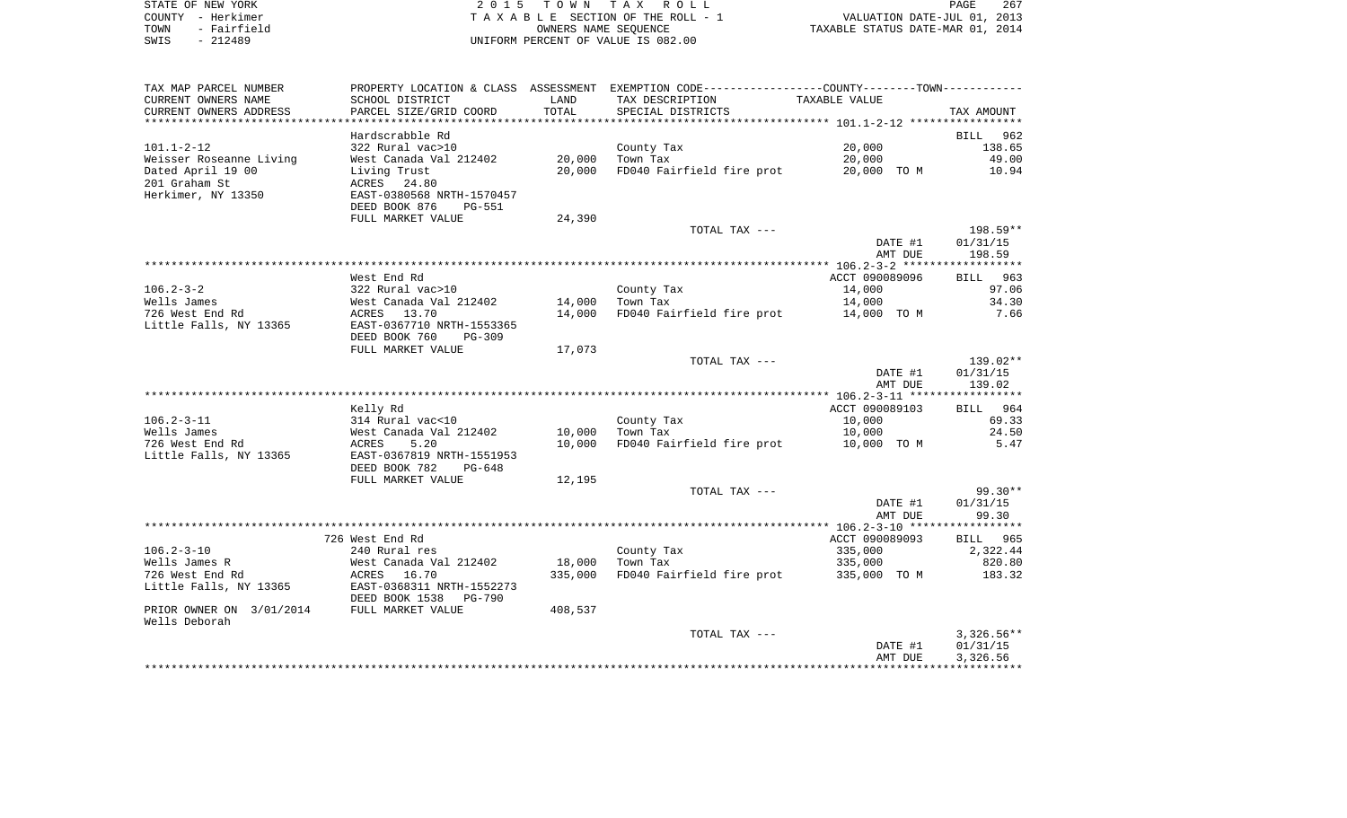| STATE OF NEW YORK   | 2015 TOWN TAX ROLL                 | 267<br>PAGE                      |
|---------------------|------------------------------------|----------------------------------|
| COUNTY - Herkimer   | TAXABLE SECTION OF THE ROLL - 1    | VALUATION DATE-JUL 01, 2013      |
| - Fairfield<br>TOWN | OWNERS NAME SEOUENCE               | TAXABLE STATUS DATE-MAR 01, 2014 |
| - 212489<br>SWIS    | UNIFORM PERCENT OF VALUE IS 082.00 |                                  |

| TAX MAP PARCEL NUMBER             |                                                                                          |         | PROPERTY LOCATION & CLASS ASSESSMENT EXEMPTION CODE---------------COUNTY-------TOWN---------- |                   |                  |
|-----------------------------------|------------------------------------------------------------------------------------------|---------|-----------------------------------------------------------------------------------------------|-------------------|------------------|
| CURRENT OWNERS NAME               | SCHOOL DISTRICT                                                                          | LAND    | TAX DESCRIPTION                                                                               | TAXABLE VALUE     |                  |
| CURRENT OWNERS ADDRESS            | PARCEL SIZE/GRID COORD                                                                   | TOTAL   | SPECIAL DISTRICTS                                                                             |                   | TAX AMOUNT       |
| *********************             |                                                                                          |         |                                                                                               |                   |                  |
|                                   | Hardscrabble Rd                                                                          |         |                                                                                               |                   | BILL 962         |
| $101.1 - 2 - 12$                  | 322 Rural vac>10                                                                         |         | County Tax                                                                                    | 20,000            | 138.65           |
| Weisser Roseanne Living           | West Canada Val 212402                                                                   | 20,000  | Town Tax                                                                                      | 20,000            | 49.00            |
| Dated April 19 00                 | Living Trust                                                                             | 20,000  | FD040 Fairfield fire prot                                                                     | 20,000 TO M 10.94 |                  |
| 201 Graham St                     | ACRES 24.80                                                                              |         |                                                                                               |                   |                  |
| Herkimer, NY 13350                | EAST-0380568 NRTH-1570457<br>DEED BOOK 876<br>PG-551                                     |         |                                                                                               |                   |                  |
|                                   | FULL MARKET VALUE                                                                        | 24,390  |                                                                                               |                   |                  |
|                                   |                                                                                          |         | TOTAL TAX ---                                                                                 |                   | 198.59**         |
|                                   |                                                                                          |         |                                                                                               | DATE #1           | 01/31/15         |
|                                   |                                                                                          |         |                                                                                               | AMT DUE           | 198.59           |
|                                   |                                                                                          |         |                                                                                               |                   |                  |
|                                   | West End Rd                                                                              |         |                                                                                               | ACCT 090089096    | BILL 963         |
| $106.2 - 3 - 2$                   |                                                                                          |         | County Tax                                                                                    | 14,000            | 97.06            |
| Wells James                       | 322 Rural vac>10<br>West Canada Val 212402<br>ACRES   13.70<br>EAST-0367710 NRTH-1553365 | 14,000  | Town Tax                                                                                      | 14,000            | 34.30            |
| 726 West End Rd                   |                                                                                          | 14,000  | FD040 Fairfield fire prot                                                                     | 14,000 TO M       | 7.66             |
| Little Falls, NY 13365            |                                                                                          |         |                                                                                               |                   |                  |
|                                   | DEED BOOK 760<br>PG-309                                                                  |         |                                                                                               |                   |                  |
|                                   | FULL MARKET VALUE                                                                        | 17,073  |                                                                                               |                   |                  |
|                                   |                                                                                          |         | TOTAL TAX ---                                                                                 |                   | 139.02**         |
|                                   |                                                                                          |         |                                                                                               | DATE #1           | 01/31/15         |
|                                   |                                                                                          |         |                                                                                               | AMT DUE           | 139.02           |
|                                   | Kelly Rd                                                                                 |         |                                                                                               | ACCT 090089103    | BILL 964         |
| $106.2 - 3 - 11$                  | 314 Rural vac<10                                                                         |         | County Tax                                                                                    | 10,000            | 69.33            |
| Wells James                       |                                                                                          | 10,000  | Town Tax                                                                                      | 10,000            | 24.50            |
| 726 West End Rd                   | West Canada Val 212402<br>ACRES 5.20                                                     | 10,000  | FD040 Fairfield fire prot                                                                     | 10,000 TO M       | 5.47             |
| Little Falls, NY 13365            | EAST-0367819 NRTH-1551953                                                                |         |                                                                                               |                   |                  |
|                                   | DEED BOOK 782<br>PG-648                                                                  |         |                                                                                               |                   |                  |
|                                   | FULL MARKET VALUE                                                                        | 12,195  |                                                                                               |                   |                  |
|                                   |                                                                                          |         | TOTAL TAX ---                                                                                 |                   | 99.30**          |
|                                   |                                                                                          |         |                                                                                               | DATE #1           | 01/31/15         |
|                                   |                                                                                          |         |                                                                                               | AMT DUE           | 99.30            |
|                                   |                                                                                          |         |                                                                                               |                   |                  |
|                                   | 726 West End Rd                                                                          |         |                                                                                               | ACCT 090089093    | BILL 965         |
| $106.2 - 3 - 10$<br>Wells James R | 240 Rural res<br>an Kurai Ita<br>West Canada Val 212402                                  | 18,000  | County Tax<br>Town Tax                                                                        | 335,000           | 2,322.44         |
| 726 West End Rd                   | ACRES 16.70                                                                              | 335,000 | FD040 Fairfield fire prot 335,000 TO M                                                        | 335,000           | 820.80<br>183.32 |
| Little Falls, NY 13365            | EAST-0368311 NRTH-1552273                                                                |         |                                                                                               |                   |                  |
|                                   | DEED BOOK 1538<br>PG-790                                                                 |         |                                                                                               |                   |                  |
| PRIOR OWNER ON 3/01/2014          | FULL MARKET VALUE                                                                        | 408,537 |                                                                                               |                   |                  |
| Wells Deborah                     |                                                                                          |         |                                                                                               |                   |                  |
|                                   |                                                                                          |         | TOTAL TAX ---                                                                                 |                   | $3,326.56**$     |
|                                   |                                                                                          |         |                                                                                               | DATE #1           | 01/31/15         |
|                                   |                                                                                          |         |                                                                                               | AMT DUE           | 3,326.56         |
|                                   |                                                                                          |         |                                                                                               |                   |                  |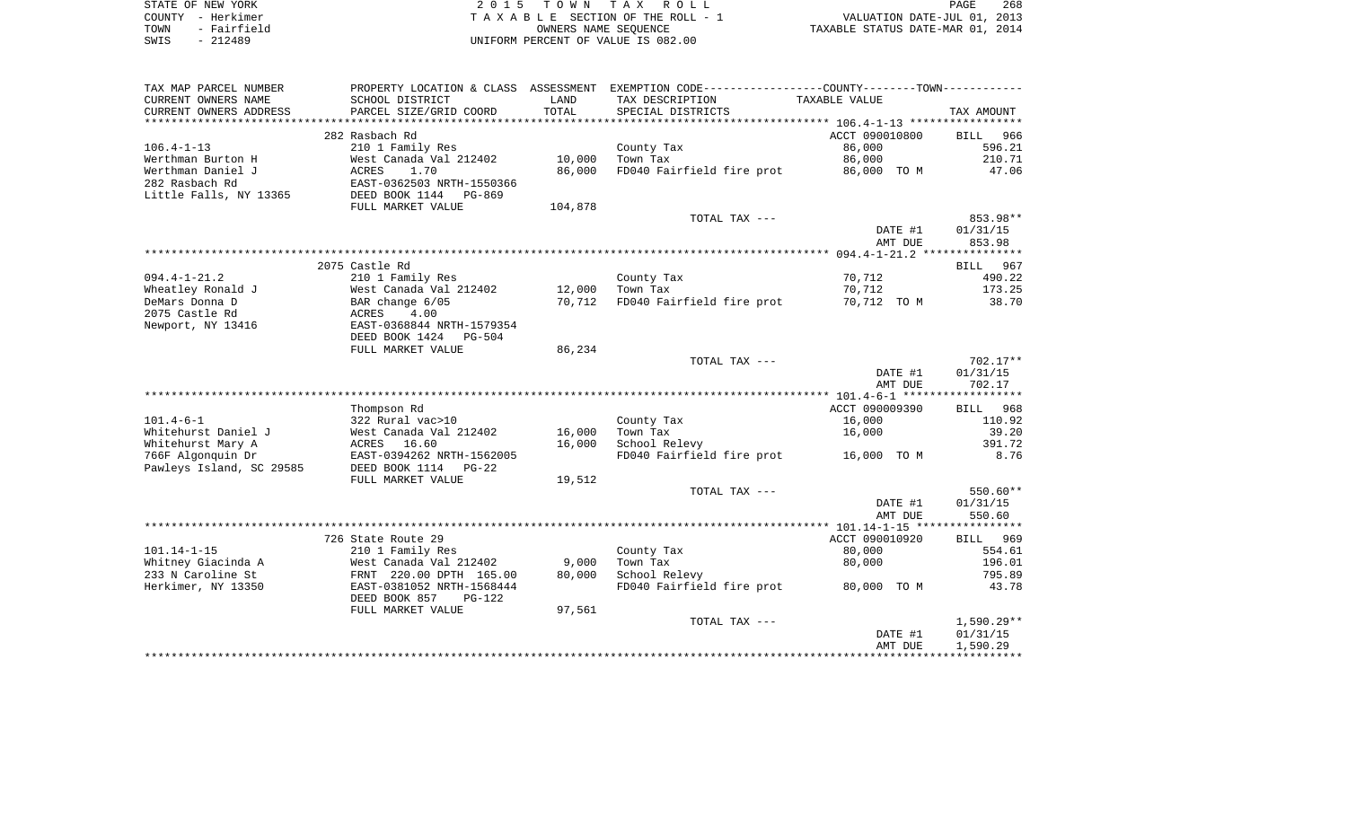| STATE OF NEW YORK   | 2015 TOWN TAX ROLL                 | 268<br>PAGE                      |
|---------------------|------------------------------------|----------------------------------|
| COUNTY - Herkimer   | TAXABLE SECTION OF THE ROLL - 1    | VALUATION DATE-JUL 01, 2013      |
| - Fairfield<br>TOWN | OWNERS NAME SEOUENCE               | TAXABLE STATUS DATE-MAR 01, 2014 |
| $-212489$<br>SWIS   | UNIFORM PERCENT OF VALUE IS 082.00 |                                  |

| TAX MAP PARCEL NUMBER                   | PROPERTY LOCATION & CLASS ASSESSMENT       |                 | EXEMPTION CODE-----------------COUNTY-------TOWN----------- |                      |                          |
|-----------------------------------------|--------------------------------------------|-----------------|-------------------------------------------------------------|----------------------|--------------------------|
| CURRENT OWNERS NAME                     | SCHOOL DISTRICT                            | LAND            | TAX DESCRIPTION                                             | <b>TAXABLE VALUE</b> |                          |
| CURRENT OWNERS ADDRESS                  | PARCEL SIZE/GRID COORD                     | TOTAL           | SPECIAL DISTRICTS                                           |                      | TAX AMOUNT               |
| *******************                     |                                            |                 |                                                             |                      |                          |
|                                         | 282 Rasbach Rd                             |                 |                                                             | ACCT 090010800       | <b>BILL</b><br>966       |
| $106.4 - 1 - 13$                        | 210 1 Family Res                           |                 | County Tax                                                  | 86,000               | 596.21                   |
| Werthman Burton H                       | West Canada Val 212402                     | 10,000          | Town Tax                                                    | 86,000               | 210.71                   |
| Werthman Daniel J                       | 1.70<br>ACRES                              | 86,000          | FD040 Fairfield fire prot                                   | 86,000 TO M          | 47.06                    |
| 282 Rasbach Rd                          | EAST-0362503 NRTH-1550366                  |                 |                                                             |                      |                          |
| Little Falls, NY 13365                  | DEED BOOK 1144<br>PG-869                   |                 |                                                             |                      |                          |
|                                         | FULL MARKET VALUE                          | 104,878         |                                                             |                      |                          |
|                                         |                                            |                 | TOTAL TAX ---                                               |                      | 853.98**                 |
|                                         |                                            |                 |                                                             | DATE #1              | 01/31/15                 |
|                                         |                                            |                 |                                                             | AMT DUE              | 853.98                   |
|                                         |                                            |                 |                                                             |                      |                          |
|                                         | 2075 Castle Rd                             |                 |                                                             |                      | BILL 967                 |
| $094.4 - 1 - 21.2$                      | 210 1 Family Res                           |                 | County Tax                                                  | 70,712               | 490.22                   |
| Wheatley Ronald J                       | West Canada Val 212402                     | 12,000          | Town Tax                                                    | 70,712               | 173.25                   |
| DeMars Donna D                          | BAR change 6/05                            | 70,712          | FD040 Fairfield fire prot                                   | 70,712 TO M          | 38.70                    |
| 2075 Castle Rd                          | 4.00<br>ACRES                              |                 |                                                             |                      |                          |
| Newport, NY 13416                       | EAST-0368844 NRTH-1579354                  |                 |                                                             |                      |                          |
|                                         | DEED BOOK 1424 PG-504                      |                 |                                                             |                      |                          |
|                                         | FULL MARKET VALUE                          | 86,234          |                                                             |                      |                          |
|                                         |                                            |                 | TOTAL TAX ---                                               |                      | $702.17**$               |
|                                         |                                            |                 |                                                             | DATE #1              | 01/31/15                 |
|                                         |                                            |                 |                                                             | AMT DUE              | 702.17                   |
|                                         |                                            |                 |                                                             |                      |                          |
|                                         | Thompson Rd                                |                 |                                                             | ACCT 090009390       | 968<br>BILL              |
| $101.4 - 6 - 1$                         | 322 Rural vac>10                           |                 | County Tax                                                  | 16,000               | 110.92                   |
| Whitehurst Daniel J                     | West Canada Val 212402                     | 16,000          | Town Tax                                                    | 16,000               | 39.20                    |
| Whitehurst Mary A                       | 16.60<br>ACRES                             | 16,000          | School Relevy                                               |                      | 391.72                   |
| 766F Algonquin Dr                       | EAST-0394262 NRTH-1562005                  |                 | FD040 Fairfield fire prot                                   | 16,000 TO M          | 8.76                     |
| Pawleys Island, SC 29585                | DEED BOOK 1114 PG-22                       |                 |                                                             |                      |                          |
|                                         | FULL MARKET VALUE                          | 19,512          |                                                             |                      |                          |
|                                         |                                            |                 | TOTAL TAX ---                                               |                      | 550.60**                 |
|                                         |                                            |                 |                                                             | DATE #1              | 01/31/15                 |
|                                         |                                            |                 |                                                             | AMT DUE              | 550.60                   |
|                                         | 726 State Route 29                         |                 |                                                             | ACCT 090010920       | 969<br>BILL              |
| $101.14 - 1 - 15$                       |                                            |                 |                                                             |                      | 554.61                   |
|                                         | 210 1 Family Res<br>West Canada Val 212402 |                 | County Tax<br>Town Tax                                      | 80,000<br>80,000     | 196.01                   |
| Whitney Giacinda A<br>233 N Caroline St |                                            | 9,000<br>80,000 | School Relevy                                               |                      | 795.89                   |
| Herkimer, NY 13350                      | FRNT 220.00 DPTH 165.00                    |                 |                                                             | 80,000 TO M          | 43.78                    |
|                                         | EAST-0381052 NRTH-1568444                  |                 | FD040 Fairfield fire prot                                   |                      |                          |
|                                         | DEED BOOK 857<br>$PG-122$                  |                 |                                                             |                      |                          |
|                                         | FULL MARKET VALUE                          | 97,561          | TOTAL TAX ---                                               |                      |                          |
|                                         |                                            |                 |                                                             | DATE #1              | $1,590.29**$<br>01/31/15 |
|                                         |                                            |                 |                                                             | AMT DUE              | 1,590.29                 |
|                                         |                                            |                 |                                                             |                      |                          |
|                                         |                                            |                 |                                                             |                      |                          |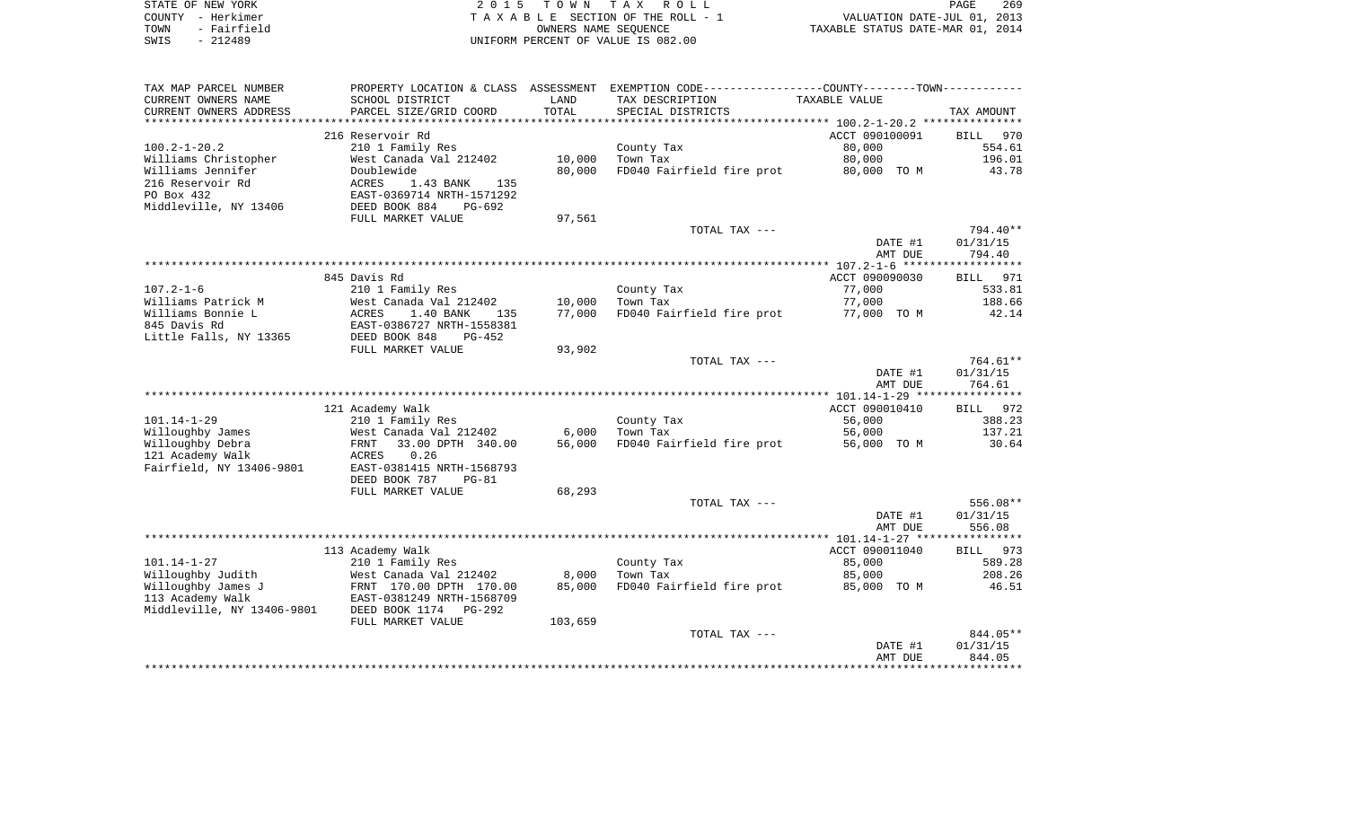| STATE OF NEW YORK   | 2015 TOWN TAX ROLL                 | 269<br>PAGE                      |
|---------------------|------------------------------------|----------------------------------|
| COUNTY – Herkimer   | TAXABLE SECTION OF THE ROLL - 1    | VALUATION DATE-JUL 01, 2013      |
| - Fairfield<br>TOWN | OWNERS NAME SEOUENCE               | TAXABLE STATUS DATE-MAR 01, 2014 |
| SWIS<br>- 212489    | UNIFORM PERCENT OF VALUE IS 082.00 |                                  |

| TAX MAP PARCEL NUMBER      | PROPERTY LOCATION & CLASS ASSESSMENT |         | EXEMPTION CODE-----------------COUNTY-------TOWN----------- |                |                    |
|----------------------------|--------------------------------------|---------|-------------------------------------------------------------|----------------|--------------------|
| CURRENT OWNERS NAME        | SCHOOL DISTRICT                      | LAND    | TAX DESCRIPTION                                             | TAXABLE VALUE  |                    |
| CURRENT OWNERS ADDRESS     | PARCEL SIZE/GRID COORD               | TOTAL   | SPECIAL DISTRICTS                                           |                | TAX AMOUNT         |
| ************************   |                                      |         |                                                             |                |                    |
|                            | 216 Reservoir Rd                     |         |                                                             | ACCT 090100091 | 970<br>BILL        |
| $100.2 - 1 - 20.2$         | 210 1 Family Res                     |         | County Tax                                                  | 80,000         | 554.61             |
| Williams Christopher       | West Canada Val 212402               | 10,000  | Town Tax                                                    | 80,000         | 196.01             |
| Williams Jennifer          | Doublewide                           | 80,000  | FD040 Fairfield fire prot                                   | 80,000 TO M    | 43.78              |
| 216 Reservoir Rd           | 1.43 BANK<br>ACRES<br>135            |         |                                                             |                |                    |
| PO Box 432                 | EAST-0369714 NRTH-1571292            |         |                                                             |                |                    |
| Middleville, NY 13406      | DEED BOOK 884<br>PG-692              |         |                                                             |                |                    |
|                            | FULL MARKET VALUE                    | 97,561  |                                                             |                |                    |
|                            |                                      |         | TOTAL TAX ---                                               |                | 794.40**           |
|                            |                                      |         |                                                             | DATE #1        | 01/31/15           |
|                            |                                      |         |                                                             | AMT DUE        | 794.40             |
|                            |                                      |         |                                                             |                | ****************** |
|                            | 845 Davis Rd                         |         |                                                             | ACCT 090090030 | BILL 971           |
| $107.2 - 1 - 6$            | 210 1 Family Res                     |         | County Tax                                                  | 77,000         | 533.81             |
| Williams Patrick M         | West Canada Val 212402               | 10,000  | Town Tax                                                    | 77,000         | 188.66             |
| Williams Bonnie L          | 1.40 BANK<br>ACRES<br>135            | 77,000  | FD040 Fairfield fire prot                                   | 77,000 TO M    | 42.14              |
| 845 Davis Rd               | EAST-0386727 NRTH-1558381            |         |                                                             |                |                    |
| Little Falls, NY 13365     | DEED BOOK 848<br>$PG-452$            |         |                                                             |                |                    |
|                            | FULL MARKET VALUE                    | 93,902  |                                                             |                |                    |
|                            |                                      |         | TOTAL TAX ---                                               |                | 764.61**           |
|                            |                                      |         |                                                             | DATE #1        | 01/31/15           |
|                            |                                      |         |                                                             | AMT DUE        | 764.61             |
|                            |                                      |         |                                                             |                |                    |
|                            | 121 Academy Walk                     |         |                                                             | ACCT 090010410 | BILL 972           |
| $101.14 - 1 - 29$          | 210 1 Family Res                     |         | County Tax                                                  | 56,000         | 388.23             |
| Willoughby James           | West Canada Val 212402               | 6,000   | Town Tax                                                    | 56,000         | 137.21             |
| Willoughby Debra           | 33.00 DPTH 340.00<br>FRNT            | 56,000  | FD040 Fairfield fire prot                                   | 56,000 TO M    | 30.64              |
| 121 Academy Walk           | ACRES<br>0.26                        |         |                                                             |                |                    |
| Fairfield, NY 13406-9801   | EAST-0381415 NRTH-1568793            |         |                                                             |                |                    |
|                            | DEED BOOK 787<br>$PG-81$             |         |                                                             |                |                    |
|                            | FULL MARKET VALUE                    | 68,293  |                                                             |                |                    |
|                            |                                      |         | TOTAL TAX ---                                               |                | 556.08**           |
|                            |                                      |         |                                                             | DATE #1        | 01/31/15           |
|                            |                                      |         |                                                             | AMT DUE        | 556.08             |
|                            | 113 Academy Walk                     |         |                                                             | ACCT 090011040 | BILL 973           |
| $101.14 - 1 - 27$          | 210 1 Family Res                     |         | County Tax                                                  | 85,000         | 589.28             |
| Willoughby Judith          | West Canada Val 212402               | 8,000   | Town Tax                                                    | 85,000         | 208.26             |
| Willoughby James J         | FRNT 170.00 DPTH 170.00              | 85,000  | FD040 Fairfield fire prot                                   | 85,000 TO M    | 46.51              |
| 113 Academy Walk           | EAST-0381249 NRTH-1568709            |         |                                                             |                |                    |
| Middleville, NY 13406-9801 | DEED BOOK 1174<br>PG-292             |         |                                                             |                |                    |
|                            | FULL MARKET VALUE                    | 103,659 |                                                             |                |                    |
|                            |                                      |         | TOTAL TAX ---                                               |                | 844.05**           |
|                            |                                      |         |                                                             | DATE #1        | 01/31/15           |
|                            |                                      |         |                                                             | AMT DUE        | 844.05             |
|                            |                                      |         |                                                             |                |                    |
|                            |                                      |         |                                                             |                |                    |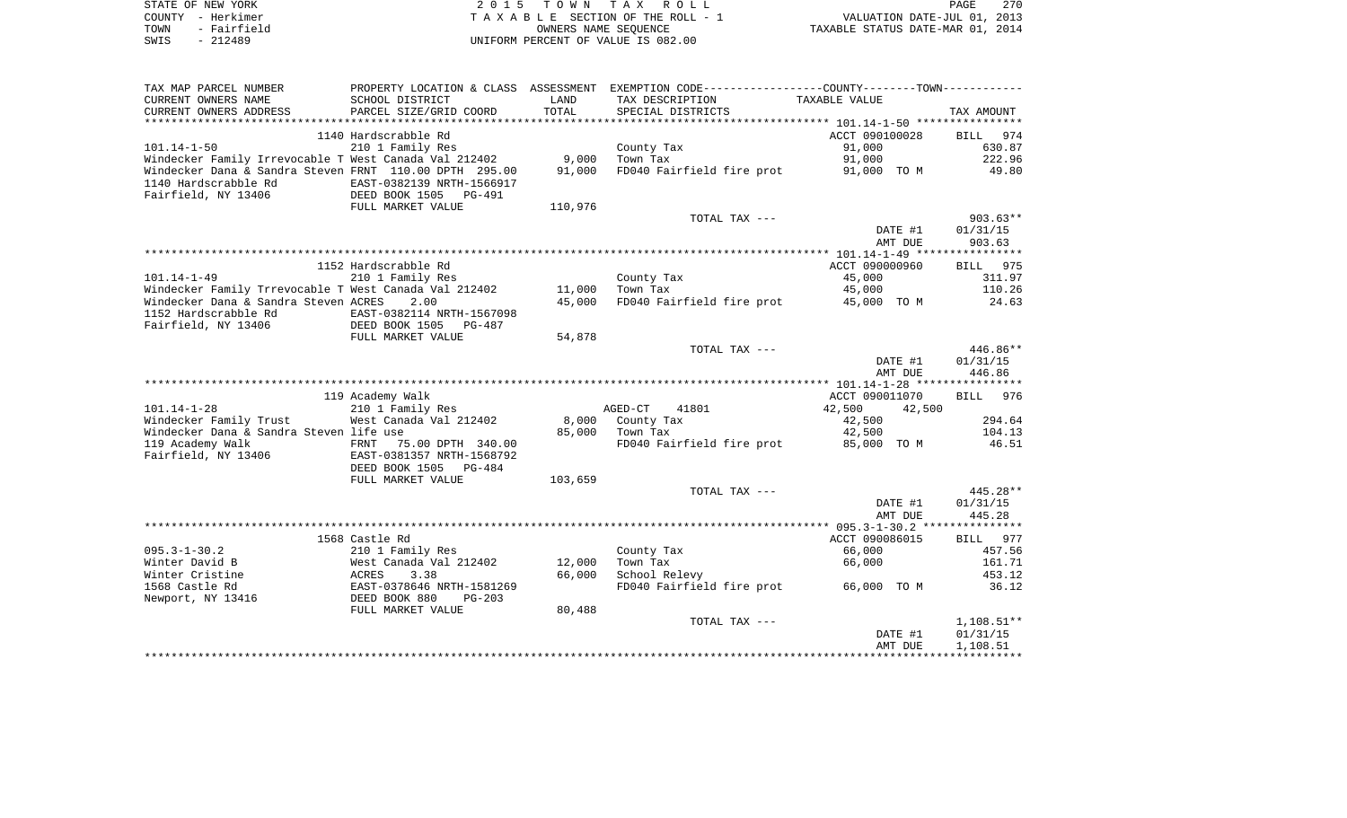| STATE OF NEW YORK   | 2015 TOWN TAX ROLL                 | 270<br>PAGE                      |
|---------------------|------------------------------------|----------------------------------|
| COUNTY - Herkimer   | TAXABLE SECTION OF THE ROLL - 1    | VALUATION DATE-JUL 01, 2013      |
| - Fairfield<br>TOWN | OWNERS NAME SEOUENCE               | TAXABLE STATUS DATE-MAR 01, 2014 |
| - 212489<br>SWIS    | UNIFORM PERCENT OF VALUE IS 082.00 |                                  |

| TAX MAP PARCEL NUMBER                                  |                                                 |         | PROPERTY LOCATION & CLASS ASSESSMENT EXEMPTION CODE---------------COUNTY-------TOWN---------- |                  |                    |
|--------------------------------------------------------|-------------------------------------------------|---------|-----------------------------------------------------------------------------------------------|------------------|--------------------|
| CURRENT OWNERS NAME                                    | SCHOOL DISTRICT                                 | LAND    | TAX DESCRIPTION                                                                               | TAXABLE VALUE    |                    |
| CURRENT OWNERS ADDRESS                                 | PARCEL SIZE/GRID COORD                          | TOTAL   | SPECIAL DISTRICTS                                                                             |                  | TAX AMOUNT         |
|                                                        |                                                 |         |                                                                                               |                  |                    |
|                                                        | 1140 Hardscrabble Rd                            |         |                                                                                               | ACCT 090100028   | 974<br><b>BILL</b> |
| $101.14 - 1 - 50$                                      | 210 1 Family Res                                |         | County Tax                                                                                    | 91,000           | 630.87             |
| Windecker Family Irrevocable T West Canada Val 212402  |                                                 | 9,000   | Town Tax                                                                                      | 91,000           | 222.96             |
| Windecker Dana & Sandra Steven FRNT 110.00 DPTH 295.00 |                                                 | 91,000  | FD040 Fairfield fire prot                                                                     | 91,000 TO M      | 49.80              |
| 1140 Hardscrabble Rd                                   | EAST-0382139 NRTH-1566917                       |         |                                                                                               |                  |                    |
| Fairfield, NY 13406                                    | DEED BOOK 1505<br><b>PG-491</b>                 |         |                                                                                               |                  |                    |
|                                                        | FULL MARKET VALUE                               | 110,976 |                                                                                               |                  |                    |
|                                                        |                                                 |         | TOTAL TAX ---                                                                                 |                  | $903.63**$         |
|                                                        |                                                 |         |                                                                                               | DATE #1          | 01/31/15           |
|                                                        |                                                 |         |                                                                                               | AMT DUE          | 903.63             |
|                                                        |                                                 |         |                                                                                               |                  |                    |
|                                                        | 1152 Hardscrabble Rd                            |         |                                                                                               | ACCT 090000960   | 975<br>BILL        |
| $101.14 - 1 - 49$                                      | 210 1 Family Res                                |         | County Tax                                                                                    | 45,000           | 311.97             |
| Windecker Family Trrevocable T West Canada Val 212402  |                                                 | 11,000  | Town Tax                                                                                      | 45,000           | 110.26             |
| Windecker Dana & Sandra Steven ACRES                   | 2.00                                            | 45,000  | FD040 Fairfield fire prot                                                                     | 45,000 TO M      | 24.63              |
| 1152 Hardscrabble Rd                                   | EAST-0382114 NRTH-1567098                       |         |                                                                                               |                  |                    |
| Fairfield, NY 13406                                    | DEED BOOK 1505<br>$PG-487$<br>FULL MARKET VALUE | 54,878  |                                                                                               |                  |                    |
|                                                        |                                                 |         | TOTAL TAX ---                                                                                 |                  | $446.86**$         |
|                                                        |                                                 |         |                                                                                               | DATE #1          | 01/31/15           |
|                                                        |                                                 |         |                                                                                               | AMT DUE          | 446.86             |
|                                                        |                                                 |         |                                                                                               |                  |                    |
|                                                        | 119 Academy Walk                                |         |                                                                                               | ACCT 090011070   | BILL 976           |
| $101.14 - 1 - 28$                                      | 210 1 Family Res                                |         | AGED-CT<br>41801                                                                              | 42,500<br>42,500 |                    |
| Windecker Family Trust                                 | West Canada Val 212402                          | 8,000   | County Tax                                                                                    | 42,500           | 294.64             |
| Windecker Dana & Sandra Steven life use                |                                                 | 85,000  | Town Tax                                                                                      | 42,500           | 104.13             |
| 119 Academy Walk                                       | FRNT<br>75.00 DPTH 340.00                       |         | FD040 Fairfield fire prot                                                                     | 85,000 TO M      | 46.51              |
| Fairfield, NY 13406                                    | EAST-0381357 NRTH-1568792                       |         |                                                                                               |                  |                    |
|                                                        | DEED BOOK 1505<br>PG-484                        |         |                                                                                               |                  |                    |
|                                                        | FULL MARKET VALUE                               | 103,659 |                                                                                               |                  |                    |
|                                                        |                                                 |         | TOTAL TAX ---                                                                                 |                  | $445.28**$         |
|                                                        |                                                 |         |                                                                                               | DATE #1          | 01/31/15           |
|                                                        |                                                 |         |                                                                                               | AMT DUE          | 445.28             |
|                                                        |                                                 |         |                                                                                               |                  |                    |
|                                                        | 1568 Castle Rd                                  |         |                                                                                               | ACCT 090086015   | BILL 977           |
| $095.3 - 1 - 30.2$                                     | 210 1 Family Res                                |         | County Tax                                                                                    | 66,000           | 457.56             |
| Winter David B                                         | West Canada Val 212402                          | 12,000  | Town Tax                                                                                      | 66,000           | 161.71             |
| Winter Cristine                                        | 3.38<br>ACRES                                   | 66,000  | School Relevy                                                                                 |                  | 453.12             |
| 1568 Castle Rd                                         | EAST-0378646 NRTH-1581269                       |         | FD040 Fairfield fire prot                                                                     | 66,000 TO M      | 36.12              |
| Newport, NY 13416                                      | DEED BOOK 880<br>$PG-203$                       |         |                                                                                               |                  |                    |
|                                                        | FULL MARKET VALUE                               | 80,488  |                                                                                               |                  |                    |
|                                                        |                                                 |         | TOTAL TAX ---                                                                                 |                  | $1,108.51**$       |
|                                                        |                                                 |         |                                                                                               | DATE #1          | 01/31/15           |
|                                                        |                                                 |         |                                                                                               | AMT DUE          | 1,108.51           |
|                                                        |                                                 |         |                                                                                               |                  |                    |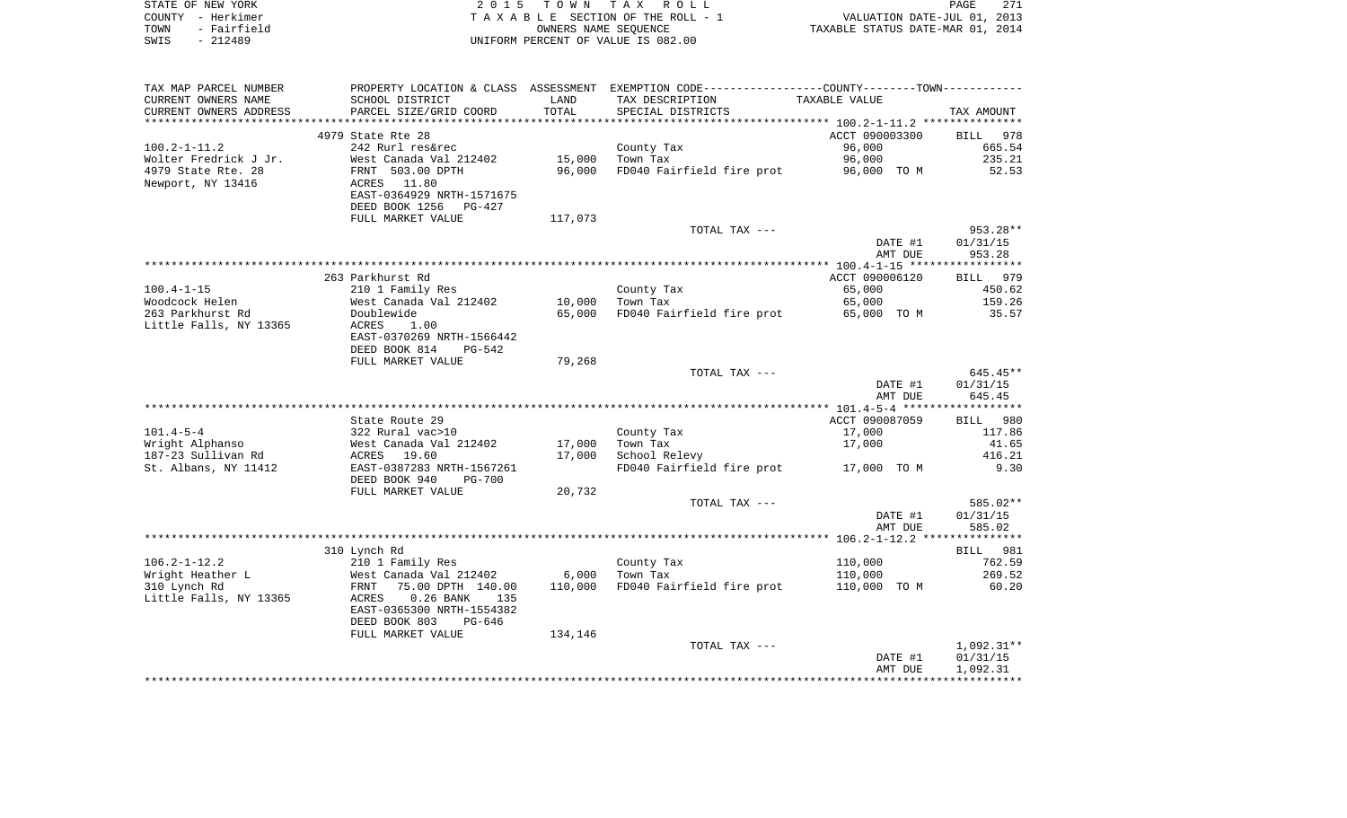|      | STATE OF NEW YORK | 2015 TOWN TAX ROLL                 | PAGE                             | 271 |
|------|-------------------|------------------------------------|----------------------------------|-----|
|      | COUNTY - Herkimer | TAXABLE SECTION OF THE ROLL - 1    | VALUATION DATE-JUL 01, 2013      |     |
| TOWN | - Fairfield       | OWNERS NAME SEOUENCE               | TAXABLE STATUS DATE-MAR 01, 2014 |     |
| SWIS | $-212489$         | UNIFORM PERCENT OF VALUE IS 082.00 |                                  |     |

| TAX MAP PARCEL NUMBER  |                                |         | PROPERTY LOCATION & CLASS ASSESSMENT EXEMPTION CODE---------------COUNTY-------TOWN---------- |                |              |
|------------------------|--------------------------------|---------|-----------------------------------------------------------------------------------------------|----------------|--------------|
| CURRENT OWNERS NAME    | SCHOOL DISTRICT                | LAND    | TAX DESCRIPTION                                                                               | TAXABLE VALUE  |              |
| CURRENT OWNERS ADDRESS | PARCEL SIZE/GRID COORD         | TOTAL   | SPECIAL DISTRICTS                                                                             |                | TAX AMOUNT   |
|                        |                                |         |                                                                                               |                |              |
|                        | 4979 State Rte 28              |         |                                                                                               | ACCT 090003300 | BILL 978     |
| $100.2 - 1 - 11.2$     | 242 Rurl res&rec               |         | County Tax                                                                                    | 96,000         | 665.54       |
| Wolter Fredrick J Jr.  | West Canada Val 212402         | 15,000  | Town Tax                                                                                      | 96,000         | 235.21       |
| 4979 State Rte. 28     | FRNT 503.00 DPTH               | 96,000  | FD040 Fairfield fire prot                                                                     | 96,000 TO M    | 52.53        |
|                        |                                |         |                                                                                               |                |              |
| Newport, NY 13416      | ACRES 11.80                    |         |                                                                                               |                |              |
|                        | EAST-0364929 NRTH-1571675      |         |                                                                                               |                |              |
|                        | DEED BOOK 1256<br>PG-427       |         |                                                                                               |                |              |
|                        | FULL MARKET VALUE              | 117,073 |                                                                                               |                |              |
|                        |                                |         | TOTAL TAX ---                                                                                 |                | 953.28**     |
|                        |                                |         |                                                                                               | DATE #1        | 01/31/15     |
|                        |                                |         |                                                                                               | AMT DUE        | 953.28       |
|                        |                                |         |                                                                                               |                |              |
|                        | 263 Parkhurst Rd               |         |                                                                                               | ACCT 090006120 | BILL 979     |
| $100.4 - 1 - 15$       | 210 1 Family Res               |         | County Tax                                                                                    | 65,000         | 450.62       |
| Woodcock Helen         | West Canada Val 212402         | 10,000  | Town Tax                                                                                      | 65,000         | 159.26       |
| 263 Parkhurst Rd       | Doublewide                     | 65,000  | FD040 Fairfield fire prot 65,000 TO M                                                         |                | 35.57        |
| Little Falls, NY 13365 | ACRES<br>1.00                  |         |                                                                                               |                |              |
|                        | EAST-0370269 NRTH-1566442      |         |                                                                                               |                |              |
|                        |                                |         |                                                                                               |                |              |
|                        | DEED BOOK 814<br>$PG-542$      |         |                                                                                               |                |              |
|                        | FULL MARKET VALUE              | 79,268  |                                                                                               |                |              |
|                        |                                |         | TOTAL TAX ---                                                                                 |                | $645.45**$   |
|                        |                                |         |                                                                                               | DATE #1        | 01/31/15     |
|                        |                                |         |                                                                                               | AMT DUE        | 645.45       |
|                        |                                |         |                                                                                               |                |              |
|                        | State Route 29                 |         |                                                                                               | ACCT 090087059 | BILL<br>980  |
| $101.4 - 5 - 4$        | 322 Rural vac>10               |         | County Tax                                                                                    | 17,000         | 117.86       |
| Wright Alphanso        | West Canada Val 212402         | 17,000  | Town Tax                                                                                      | 17,000         | 41.65        |
| 187-23 Sullivan Rd     | ACRES 19.60                    | 17,000  | School Relevy                                                                                 |                | 416.21       |
| St. Albans, NY 11412   | EAST-0387283 NRTH-1567261      |         | FD040 Fairfield fire prot                                                                     | 17,000 TO M    | 9.30         |
|                        | DEED BOOK 940<br><b>PG-700</b> |         |                                                                                               |                |              |
|                        | FULL MARKET VALUE              | 20,732  |                                                                                               |                |              |
|                        |                                |         | TOTAL TAX ---                                                                                 |                | 585.02**     |
|                        |                                |         |                                                                                               |                |              |
|                        |                                |         |                                                                                               | DATE #1        | 01/31/15     |
|                        |                                |         |                                                                                               | AMT DUE        | 585.02       |
|                        |                                |         |                                                                                               |                |              |
|                        | 310 Lynch Rd                   |         |                                                                                               |                | BILL 981     |
| $106.2 - 1 - 12.2$     | 210 1 Family Res               |         | County Tax                                                                                    | 110,000        | 762.59       |
| Wright Heather L       | West Canada Val 212402         | 6,000   | Town Tax                                                                                      | 110,000        | 269.52       |
| 310 Lynch Rd           | 75.00 DPTH 140.00<br>FRNT      | 110,000 | FD040 Fairfield fire prot                                                                     | 110,000 TO M   | 60.20        |
| Little Falls, NY 13365 | $0.26$ BANK<br>ACRES<br>135    |         |                                                                                               |                |              |
|                        | EAST-0365300 NRTH-1554382      |         |                                                                                               |                |              |
|                        | DEED BOOK 803<br>$PG-646$      |         |                                                                                               |                |              |
|                        | FULL MARKET VALUE              | 134,146 |                                                                                               |                |              |
|                        |                                |         | TOTAL TAX ---                                                                                 |                | $1,092.31**$ |
|                        |                                |         |                                                                                               | DATE #1        | 01/31/15     |
|                        |                                |         |                                                                                               | AMT DUE        | 1,092.31     |
|                        |                                |         |                                                                                               |                |              |
|                        |                                |         |                                                                                               |                |              |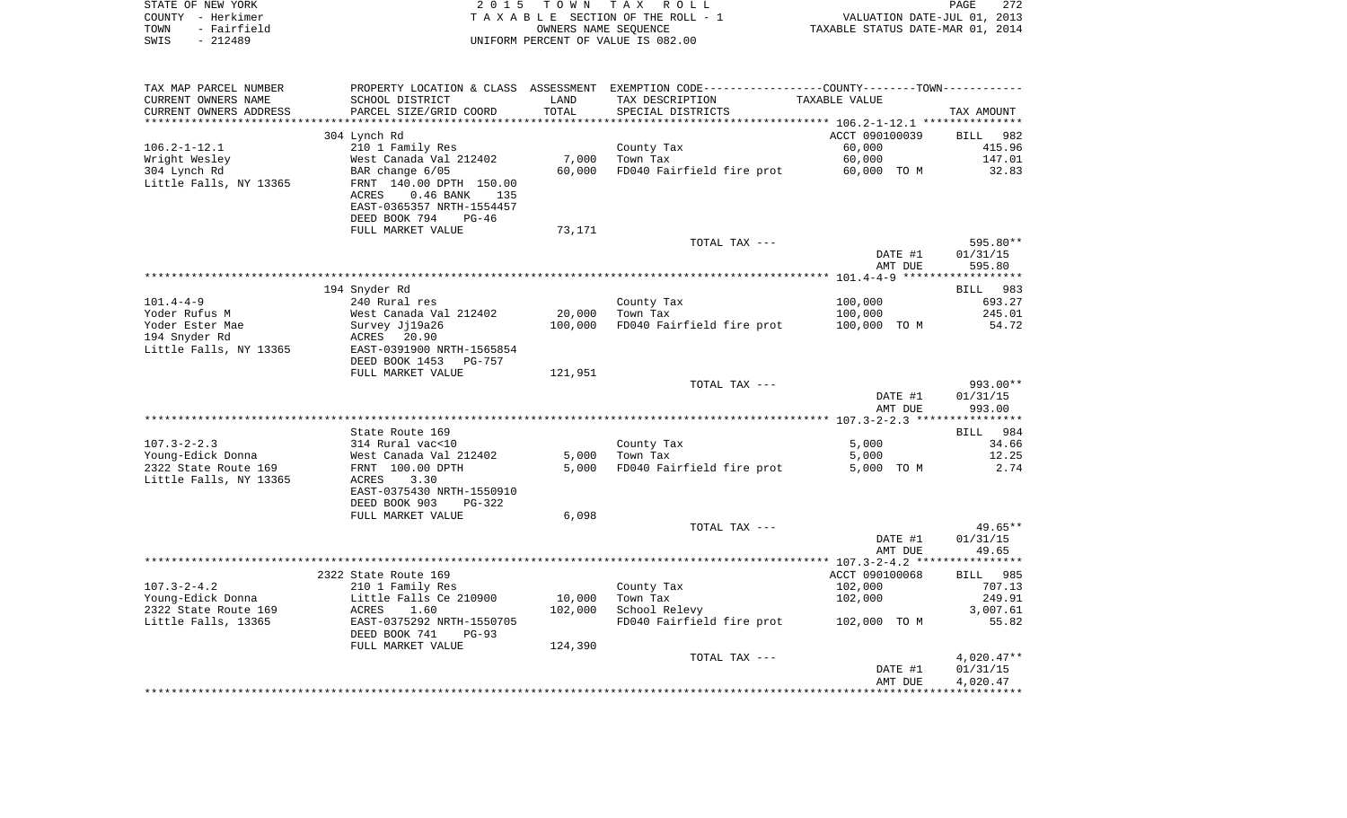| STATE OF NEW YORK      | 2 0 1 5                              | T O W N              | TAX ROLL                                                    |                                  | 272<br>PAGE                 |
|------------------------|--------------------------------------|----------------------|-------------------------------------------------------------|----------------------------------|-----------------------------|
| - Herkimer<br>COUNTY   |                                      |                      | T A X A B L E SECTION OF THE ROLL - 1                       |                                  | VALUATION DATE-JUL 01, 2013 |
| - Fairfield<br>TOWN    |                                      | OWNERS NAME SEOUENCE |                                                             | TAXABLE STATUS DATE-MAR 01, 2014 |                             |
| $-212489$<br>SWIS      |                                      |                      | UNIFORM PERCENT OF VALUE IS 082.00                          |                                  |                             |
|                        |                                      |                      |                                                             |                                  |                             |
| TAX MAP PARCEL NUMBER  | PROPERTY LOCATION & CLASS ASSESSMENT |                      | EXEMPTION CODE-----------------COUNTY-------TOWN----------- |                                  |                             |
| CURRENT OWNERS NAME    | SCHOOL DISTRICT                      | LAND                 | TAX DESCRIPTION TAXABLE VALUE                               |                                  |                             |
| CURRENT OWNERS ADDRESS | PARCEL SIZE/GRID COORD               | TOTAL                | SPECIAL DISTRICTS                                           |                                  | TAX AMOUNT                  |
|                        |                                      |                      |                                                             |                                  |                             |
|                        | 304 Lynch Rd                         |                      |                                                             | ACCT 090100039                   | BILL 982                    |
| $106.2 - 1 - 12.1$     | 210 1 Family Res                     |                      | County Tax                                                  | 60,000                           | 415.96                      |
| Wright Wesley          | West Canada Val 212402 7,000         |                      | Town Tax                                                    | 60,000                           | 147.01                      |
| 304 Lynch Rd           | BAR change 6/05                      | 60,000               | FD040 Fairfield fire prot 60,000 TO M                       |                                  | 32.83                       |
| Little Falls, NY 13365 | FRNT 140.00 DPTH 150.00              |                      |                                                             |                                  |                             |
|                        | $0.46$ BANK<br>ACRES<br>135          |                      |                                                             |                                  |                             |
|                        | EAST-0365357 NRTH-1554457            |                      |                                                             |                                  |                             |
|                        | DEED BOOK 794<br>$PG-46$             | 73,171               |                                                             |                                  |                             |
|                        | FULL MARKET VALUE                    |                      | TOTAL TAX ---                                               |                                  | 595.80**                    |
|                        |                                      |                      |                                                             | DATE #1                          | 01/31/15                    |
|                        |                                      |                      |                                                             | AMT DUE                          | 595.80                      |
|                        |                                      |                      |                                                             |                                  |                             |
|                        | 194 Snyder Rd                        |                      |                                                             |                                  | BILL 983                    |
| $101.4 - 4 - 9$        | 240 Rural res                        |                      | County Tax                                                  | 100,000                          | 693.27                      |
| Yoder Rufus M          | West Canada Val 212402 20,000        |                      | Town Tax                                                    | 100,000                          | 245.01                      |
| Yoder Ester Mae        | Survey Jj19a26                       | 100,000              | FD040 Fairfield fire prot 100,000 TO M                      |                                  | 54.72                       |
| 194 Snyder Rd          | ACRES 20.90                          |                      |                                                             |                                  |                             |

|                        | $0.46$ BANK<br>ACRES<br>135<br>EAST-0365357 NRTH-1554457<br>DEED BOOK 794<br>$PG-46$ |         |                           |                |                             |
|------------------------|--------------------------------------------------------------------------------------|---------|---------------------------|----------------|-----------------------------|
|                        | FULL MARKET VALUE                                                                    | 73,171  | TOTAL TAX ---             |                | 595.80**                    |
|                        |                                                                                      |         |                           | DATE #1        | 01/31/15                    |
|                        |                                                                                      |         |                           | AMT DUE        | 595.80                      |
|                        |                                                                                      |         |                           |                | ******************          |
|                        | 194 Snyder Rd                                                                        |         |                           |                | <b>BILL</b><br>983          |
| $101.4 - 4 - 9$        | 240 Rural res                                                                        |         | County Tax                | 100,000        | 693.27                      |
| Yoder Rufus M          | West Canada Val 212402                                                               | 20,000  | Town Tax                  | 100,000        | 245.01                      |
| Yoder Ester Mae        | Survey Jj19a26                                                                       | 100,000 | FD040 Fairfield fire prot | 100,000 TO M   | 54.72                       |
| 194 Snyder Rd          | ACRES 20.90                                                                          |         |                           |                |                             |
| Little Falls, NY 13365 | EAST-0391900 NRTH-1565854                                                            |         |                           |                |                             |
|                        | DEED BOOK 1453<br><b>PG-757</b>                                                      |         |                           |                |                             |
|                        | FULL MARKET VALUE                                                                    | 121,951 |                           |                |                             |
|                        |                                                                                      |         | TOTAL TAX ---             |                | $993.00**$                  |
|                        |                                                                                      |         |                           | DATE #1        | 01/31/15                    |
|                        |                                                                                      |         |                           | AMT DUE        | 993.00                      |
|                        |                                                                                      |         |                           |                |                             |
| $107.3 - 2 - 2.3$      | State Route 169<br>314 Rural vac<10                                                  |         | County Tax                | 5,000          | 984<br><b>BILL</b><br>34.66 |
| Young-Edick Donna      | West Canada Val 212402                                                               | 5,000   | Town Tax                  | 5,000          | 12.25                       |
| 2322 State Route 169   | FRNT 100.00 DPTH                                                                     | 5,000   | FD040 Fairfield fire prot | 5,000<br>TO M  | 2.74                        |
| Little Falls, NY 13365 | 3.30<br>ACRES                                                                        |         |                           |                |                             |
|                        | EAST-0375430 NRTH-1550910                                                            |         |                           |                |                             |
|                        | DEED BOOK 903<br>$PG-322$                                                            |         |                           |                |                             |
|                        | FULL MARKET VALUE                                                                    | 6,098   |                           |                |                             |
|                        |                                                                                      |         | TOTAL TAX ---             |                | $49.65**$                   |
|                        |                                                                                      |         |                           | DATE #1        | 01/31/15                    |
|                        |                                                                                      |         |                           | AMT DUE        | 49.65                       |
|                        |                                                                                      |         |                           |                |                             |
|                        | 2322 State Route 169                                                                 |         |                           | ACCT 090100068 | 985<br><b>BILL</b>          |
| $107.3 - 2 - 4.2$      | 210 1 Family Res                                                                     |         | County Tax                | 102,000        | 707.13                      |
| Young-Edick Donna      | Little Falls Ce 210900                                                               | 10,000  | Town Tax                  | 102,000        | 249.91                      |
| 2322 State Route 169   | ACRES<br>1.60                                                                        | 102,000 | School Relevy             |                | 3,007.61                    |
| Little Falls, 13365    | EAST-0375292 NRTH-1550705                                                            |         | FD040 Fairfield fire prot | 102,000 TO M   | 55.82                       |
|                        | DEED BOOK 741<br>$PG-93$                                                             |         |                           |                |                             |
|                        | FULL MARKET VALUE                                                                    | 124,390 |                           |                |                             |
|                        |                                                                                      |         | TOTAL TAX ---             |                | $4,020.47**$                |
|                        |                                                                                      |         |                           | DATE #1        | 01/31/15                    |
|                        |                                                                                      |         |                           | AMT DUE        | 4,020.47                    |
|                        |                                                                                      |         |                           |                |                             |
|                        |                                                                                      |         |                           |                |                             |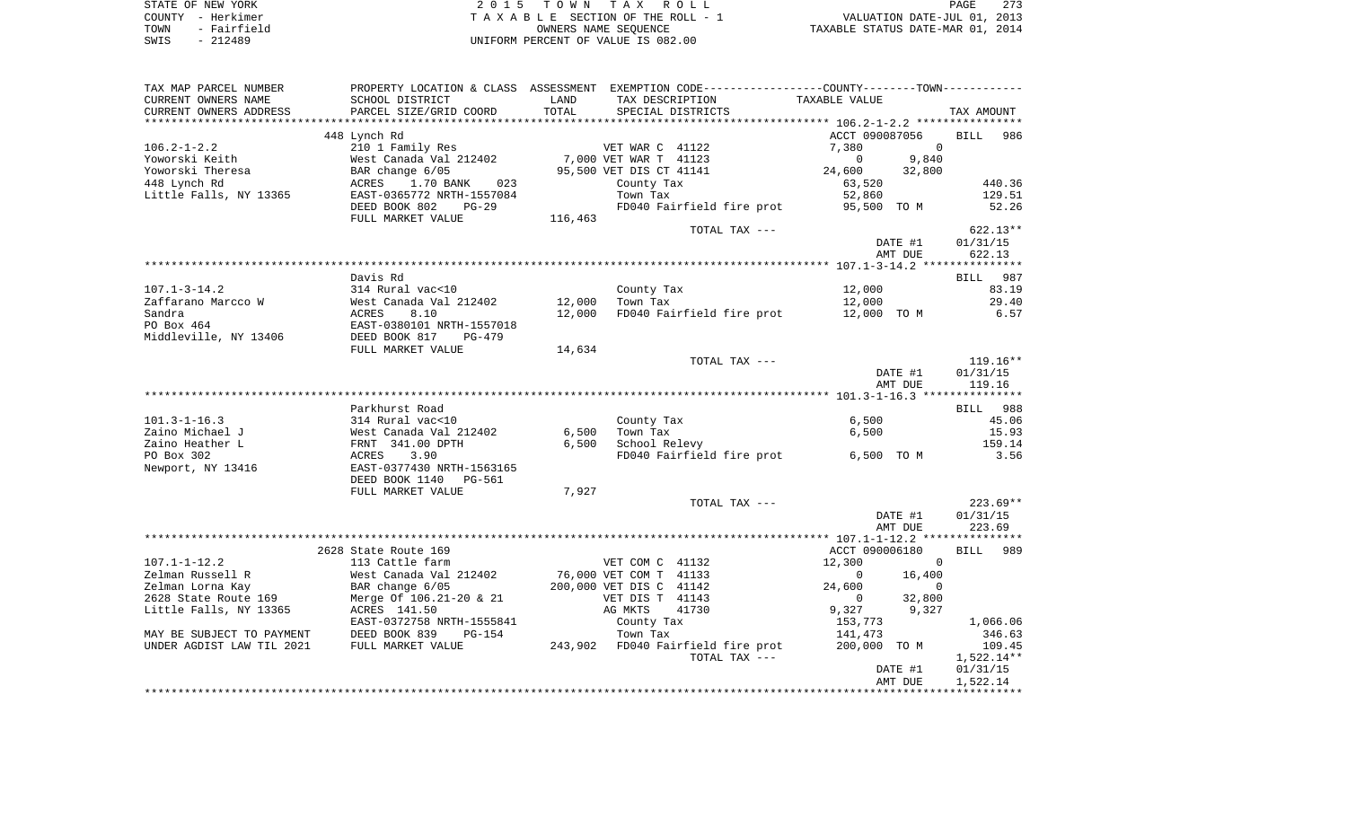| STATE OF NEW YORK   | 2015 TOWN TAX ROLL                 | PAGE                             | 273 |
|---------------------|------------------------------------|----------------------------------|-----|
| COUNTY – Herkimer   | TAXABLE SECTION OF THE ROLL - 1    | VALUATION DATE-JUL 01, 2013      |     |
| - Fairfield<br>TOWN | OWNERS NAME SEOUENCE               | TAXABLE STATUS DATE-MAR 01, 2014 |     |
| SWIS<br>- 212489    | UNIFORM PERCENT OF VALUE IS 082.00 |                                  |     |

| TAX MAP PARCEL NUMBER                    |                                            |         | PROPERTY LOCATION & CLASS ASSESSMENT EXEMPTION CODE----------------COUNTY--------TOWN----------- |                          |                    |
|------------------------------------------|--------------------------------------------|---------|--------------------------------------------------------------------------------------------------|--------------------------|--------------------|
| CURRENT OWNERS NAME                      | SCHOOL DISTRICT                            | LAND    | TAX DESCRIPTION                                                                                  | TAXABLE VALUE            |                    |
| CURRENT OWNERS ADDRESS                   | PARCEL SIZE/GRID COORD                     | TOTAL   | SPECIAL DISTRICTS                                                                                |                          | TAX AMOUNT         |
|                                          |                                            |         |                                                                                                  |                          |                    |
|                                          | 448 Lynch Rd                               |         |                                                                                                  | ACCT 090087056           | BILL<br>986        |
| $106.2 - 1 - 2.2$                        | 210 1 Family Res                           |         | VET WAR C 41122                                                                                  | $\mathbf 0$<br>7,380     |                    |
| Yoworski Keith                           | West Canada Val 212402                     |         | 7,000 VET WAR T 41123                                                                            | $\mathbf 0$<br>9,840     |                    |
| Yoworski Theresa                         | BAR change 6/05                            |         | 95,500 VET DIS CT 41141                                                                          | 24,600<br>32,800         |                    |
| 448 Lynch Rd                             | ACRES<br>1.70 BANK<br>023                  |         | County Tax                                                                                       | 63,520                   | 440.36             |
| Little Falls, NY 13365                   | EAST-0365772 NRTH-1557084                  |         | Town Tax                                                                                         | 52,860                   | 129.51             |
|                                          | DEED BOOK 802<br>$PG-29$                   |         | FD040 Fairfield fire prot                                                                        | 95,500 TO M              | 52.26              |
|                                          | FULL MARKET VALUE                          | 116,463 |                                                                                                  |                          |                    |
|                                          |                                            |         | TOTAL TAX ---                                                                                    |                          | $622.13**$         |
|                                          |                                            |         |                                                                                                  | DATE #1                  | 01/31/15           |
|                                          |                                            |         |                                                                                                  | AMT DUE                  | 622.13             |
|                                          | Davis Rd                                   |         |                                                                                                  |                          |                    |
|                                          |                                            |         |                                                                                                  |                          | BILL 987           |
| $107.1 - 3 - 14.2$<br>Zaffarano Marcco W | 314 Rural vac<10                           | 12,000  | County Tax                                                                                       | 12,000                   | 83.19              |
| Sandra                                   | West Canada Val 212402                     |         | Town Tax                                                                                         | 12,000                   | 29.40              |
| PO Box 464                               | 8.10<br>ACRES<br>EAST-0380101 NRTH-1557018 | 12,000  | FD040 Fairfield fire prot                                                                        | 12,000 TO M              | 6.57               |
| Middleville, NY 13406                    | DEED BOOK 817<br>PG-479                    |         |                                                                                                  |                          |                    |
|                                          | FULL MARKET VALUE                          | 14,634  |                                                                                                  |                          |                    |
|                                          |                                            |         | TOTAL TAX ---                                                                                    |                          | $119.16**$         |
|                                          |                                            |         |                                                                                                  | DATE #1                  | 01/31/15           |
|                                          |                                            |         |                                                                                                  | AMT DUE                  | 119.16             |
|                                          |                                            |         |                                                                                                  |                          |                    |
|                                          | Parkhurst Road                             |         |                                                                                                  |                          | BILL 988           |
| $101.3 - 1 - 16.3$                       | 314 Rural vac<10                           |         | County Tax                                                                                       | 6,500                    | 45.06              |
| Zaino Michael J                          | West Canada Val 212402                     | 6,500   | Town Tax                                                                                         | 6,500                    | 15.93              |
| Zaino Heather L                          | FRNT 341.00 DPTH                           | 6,500   | School Relevy                                                                                    |                          | 159.14             |
| PO Box 302                               | ACRES<br>3.90                              |         | FD040 Fairfield fire prot                                                                        | 6,500 TO M               | 3.56               |
| Newport, NY 13416                        | EAST-0377430 NRTH-1563165                  |         |                                                                                                  |                          |                    |
|                                          | DEED BOOK 1140<br>PG-561                   |         |                                                                                                  |                          |                    |
|                                          | FULL MARKET VALUE                          | 7,927   |                                                                                                  |                          |                    |
|                                          |                                            |         | TOTAL TAX ---                                                                                    |                          | $223.69**$         |
|                                          |                                            |         |                                                                                                  | DATE #1                  | 01/31/15           |
|                                          |                                            |         |                                                                                                  | AMT DUE                  | 223.69             |
|                                          |                                            |         |                                                                                                  |                          |                    |
|                                          | 2628 State Route 169                       |         |                                                                                                  | ACCT 090006180           | <b>BILL</b><br>989 |
| $107.1 - 1 - 12.2$                       | 113 Cattle farm                            |         | VET COM C 41132                                                                                  | 12,300<br>$\Omega$       |                    |
| Zelman Russell R                         | West Canada Val 212402                     |         | 76,000 VET COM T 41133                                                                           | 16,400<br>$\overline{0}$ |                    |
| Zelman Lorna Kay                         | BAR change 6/05                            |         | 200,000 VET DIS C 41142                                                                          | 24,600<br>0              |                    |
| 2628 State Route 169                     | Merge Of 106.21-20 & 21                    |         | VET DIS T 41143                                                                                  | 32,800<br>$\mathbf 0$    |                    |
| Little Falls, NY 13365                   | ACRES 141.50                               |         | AG MKTS<br>41730                                                                                 | 9,327<br>9,327           |                    |
|                                          | EAST-0372758 NRTH-1555841                  |         | County Tax                                                                                       | 153,773                  | 1,066.06           |
| MAY BE SUBJECT TO PAYMENT                | DEED BOOK 839<br>$PG-154$                  |         | Town Tax                                                                                         | 141,473                  | 346.63             |
| UNDER AGDIST LAW TIL 2021                | FULL MARKET VALUE                          |         | 243,902 FD040 Fairfield fire prot                                                                | 200,000 TO M             | 109.45             |
|                                          |                                            |         | TOTAL TAX ---                                                                                    |                          | $1,522.14**$       |
|                                          |                                            |         |                                                                                                  | DATE #1                  | 01/31/15           |
|                                          |                                            |         |                                                                                                  | AMT DUE                  | 1,522.14           |
|                                          |                                            |         |                                                                                                  |                          |                    |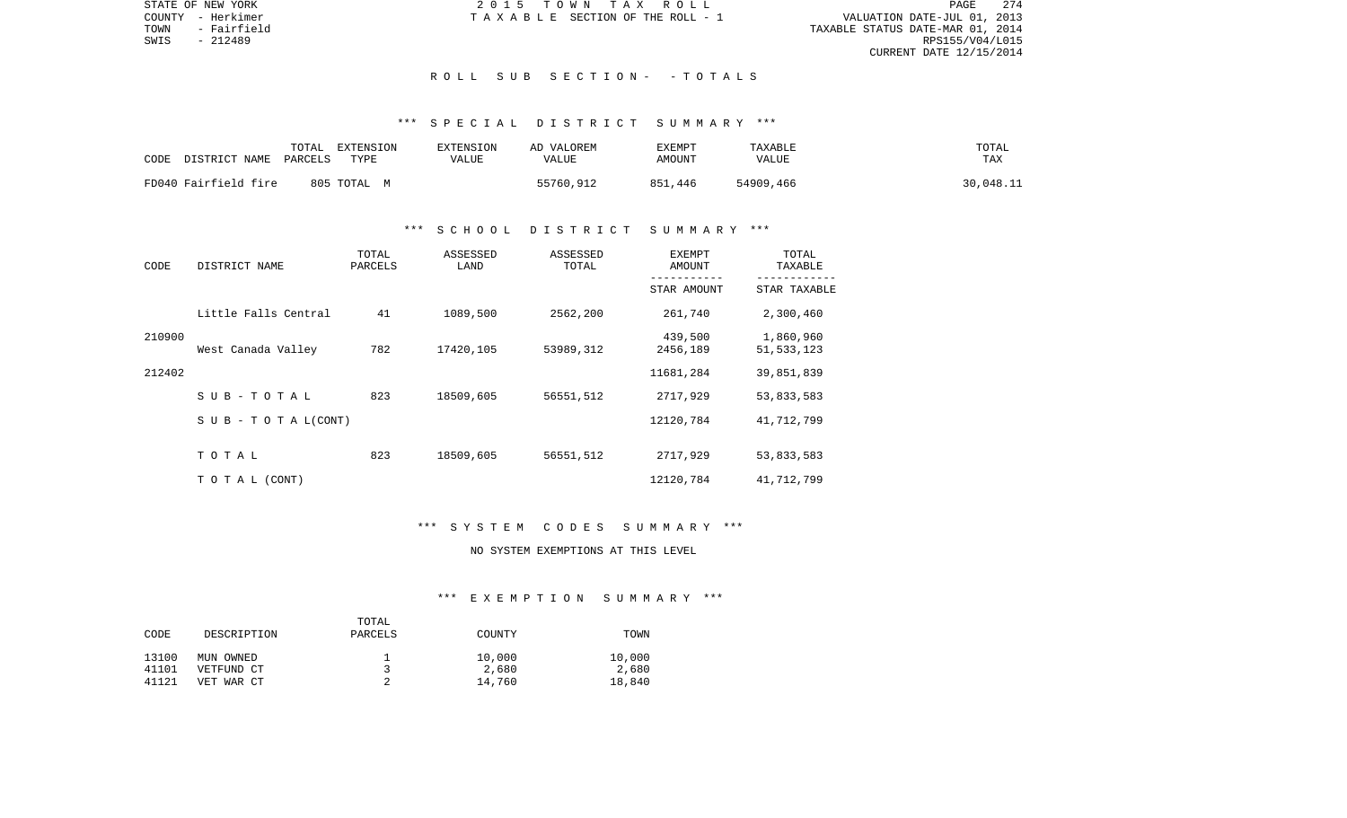STATE OF NEW YORK 2 0 1 5 T O W N T A X R O L L PAGE 274VALUATION DATE-JUL 01, 2013 TOWN - Fairfield TAXABLE STATUS DATE-MAR 01, 2014 RPS155/V04/L015 CURRENT DATE 12/15/2014

COUNTY - Herkimer  $T A X A B L E$  SECTION OF THE ROLL - 1

## R O L L S U B S E C T I O N - - T O T A L S

# \*\*\* S P E C I A L D I S T R I C T S U M M A R Y \*\*\*

| CODE                 | TOTAL   | EXTENSION   | <b>EXTENSION</b> | AD VALOREM | <b>TXEMPT</b> | TAXABLE      | TOTAL     |
|----------------------|---------|-------------|------------------|------------|---------------|--------------|-----------|
| DISTRICT NAME        | PARCELS | TYPE        | VALUE            | VALUE      | AMOUNT        | <b>VALUE</b> | TAX       |
| FD040 Fairfield fire |         | 805 TOTAL M |                  | 55760,912  | 851,446       | 54909,466    | 30,048.11 |

## \*\*\* S C H O O L D I S T R I C T S U M M A R Y \*\*\*

| CODE   | DISTRICT NAME                    | TOTAL<br>PARCELS | ASSESSED<br>LAND | ASSESSED<br>TOTAL | <b>EXEMPT</b><br>AMOUNT | TOTAL<br>TAXABLE          |
|--------|----------------------------------|------------------|------------------|-------------------|-------------------------|---------------------------|
|        |                                  |                  |                  |                   | STAR AMOUNT             | STAR TAXABLE              |
|        | Little Falls Central             | 41               | 1089,500         | 2562,200          | 261,740                 | 2,300,460                 |
| 210900 | West Canada Valley               | 782              | 17420,105        | 53989,312         | 439,500<br>2456,189     | 1,860,960<br>51, 533, 123 |
| 212402 |                                  |                  |                  |                   | 11681,284               | 39,851,839                |
|        | SUB-TOTAL                        | 823              | 18509,605        | 56551,512         | 2717,929                | 53,833,583                |
|        | $S \cup B - T \cup T A L (CONT)$ |                  |                  |                   | 12120,784               | 41,712,799                |
|        | TOTAL                            | 823              | 18509,605        | 56551,512         | 2717,929                | 53,833,583                |
|        | TO TAL (CONT)                    |                  |                  |                   | 12120,784               | 41,712,799                |

### \*\*\* S Y S T E M C O D E S S U M M A R Y \*\*\*

# NO SYSTEM EXEMPTIONS AT THIS LEVEL

## \*\*\* E X E M P T I O N S U M M A R Y \*\*\*

|       |             | TOTAL   |        |        |
|-------|-------------|---------|--------|--------|
| CODE  | DESCRIPTION | PARCELS | COUNTY | TOWN   |
| 13100 | MUN OWNED   |         | 10,000 | 10,000 |
| 41101 | VETFUND CT  |         | 2,680  | 2,680  |
| 41121 | VET WAR CT  |         | 14,760 | 18,840 |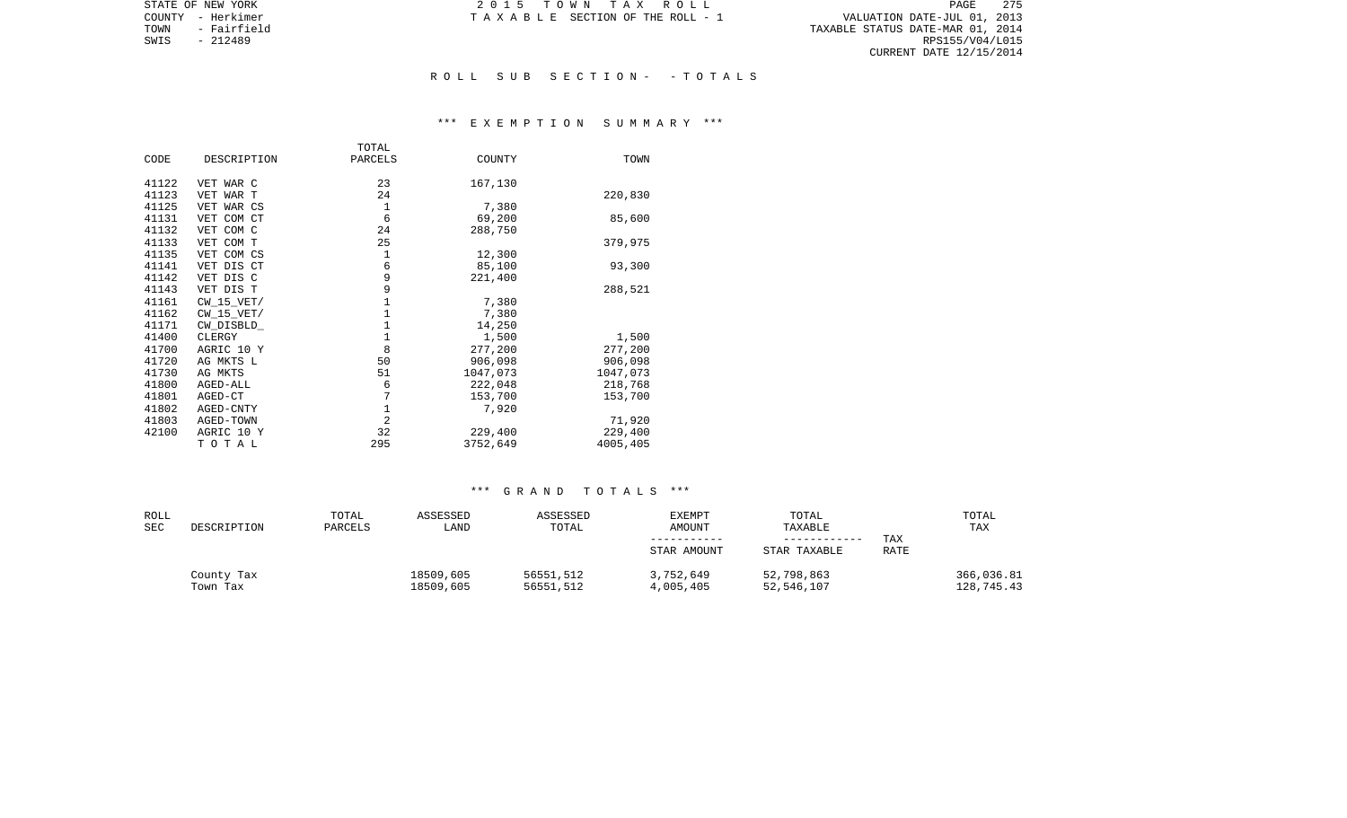PAGE 275 TAXABLE SECTION OF THE ROLL - 1<br>TOWN - Fairfield TOWN - Fairfield TOWN - Fairfield TOWN - Fairfield TOWN - Fairfield TOWN - Fairfield TOWN - Fairfield TOWN - TAXABLE STATUS DATE-MAR 01, 2014<br>TOWN - 212489 RPS155/V04/L015 CURRENT DATE 12/15/2014

STATE OF NEW YORK **2015 TOWN TAX ROLL** COUNTY - Herkimer T A X A B L E SECTION OF THE ROLL - 1

SWIS - 212489

### R O L L S U B S E C T I O N - - T O T A L S

### \*\*\* E X E M P T I O N S U M M A R Y \*\*\*

|       |                | TOTAL          |          |          |
|-------|----------------|----------------|----------|----------|
| CODE  | DESCRIPTION    | PARCELS        | COUNTY   | TOWN     |
|       |                |                |          |          |
| 41122 | VET WAR C      | 23             | 167,130  |          |
| 41123 | VET WAR T      | 24             |          | 220,830  |
| 41125 | VET WAR CS     | $\mathbf 1$    | 7,380    |          |
| 41131 | VET COM CT     | 6              | 69,200   | 85,600   |
| 41132 | VET COM C      | 24             | 288,750  |          |
| 41133 | VET COM T      | 25             |          | 379,975  |
| 41135 | VET COM CS     | 1              | 12,300   |          |
| 41141 | VET DIS CT     | 6              | 85,100   | 93,300   |
| 41142 | VET DIS C      | 9              | 221,400  |          |
| 41143 | VET DIS T      | 9              |          | 288,521  |
| 41161 | $CW$ 15 $VET/$ | $\mathbf 1$    | 7,380    |          |
| 41162 | $CW$ 15 $VET/$ | $1\,$          | 7,380    |          |
| 41171 | CW DISBLD      | $1\,$          | 14,250   |          |
| 41400 | CLERGY         | $1\,$          | 1,500    | 1,500    |
| 41700 | AGRIC 10 Y     | 8              | 277,200  | 277,200  |
| 41720 | AG MKTS L      | 50             | 906,098  | 906,098  |
| 41730 | AG MKTS        | 51             | 1047,073 | 1047,073 |
| 41800 | AGED-ALL       | 6              | 222,048  | 218,768  |
| 41801 | AGED-CT        | 7              | 153,700  | 153,700  |
| 41802 | AGED-CNTY      | $1\,$          | 7,920    |          |
| 41803 | AGED-TOWN      | $\overline{2}$ |          | 71,920   |
| 42100 | AGRIC 10 Y     | 32             | 229,400  | 229,400  |
|       | TOTAL          | 295            | 3752,649 | 4005,405 |

| ROLL<br><b>SEC</b> | DESCRIPTION            | TOTAL<br>PARCELS | ASSESSED<br>LAND       | ASSESSED<br>TOTAL      | EXEMPT<br>AMOUNT       | TOTAL<br>TAXABLE         |             | TOTAL<br>TAX             |
|--------------------|------------------------|------------------|------------------------|------------------------|------------------------|--------------------------|-------------|--------------------------|
|                    |                        |                  |                        |                        |                        | ------------             | TAX         |                          |
|                    |                        |                  |                        |                        | STAR AMOUNT            | STAR TAXABLE             | <b>RATE</b> |                          |
|                    | County Tax<br>Town Tax |                  | 18509,605<br>18509,605 | 56551,512<br>56551,512 | 3,752,649<br>4,005,405 | 52,798,863<br>52,546,107 |             | 366,036.81<br>128,745.43 |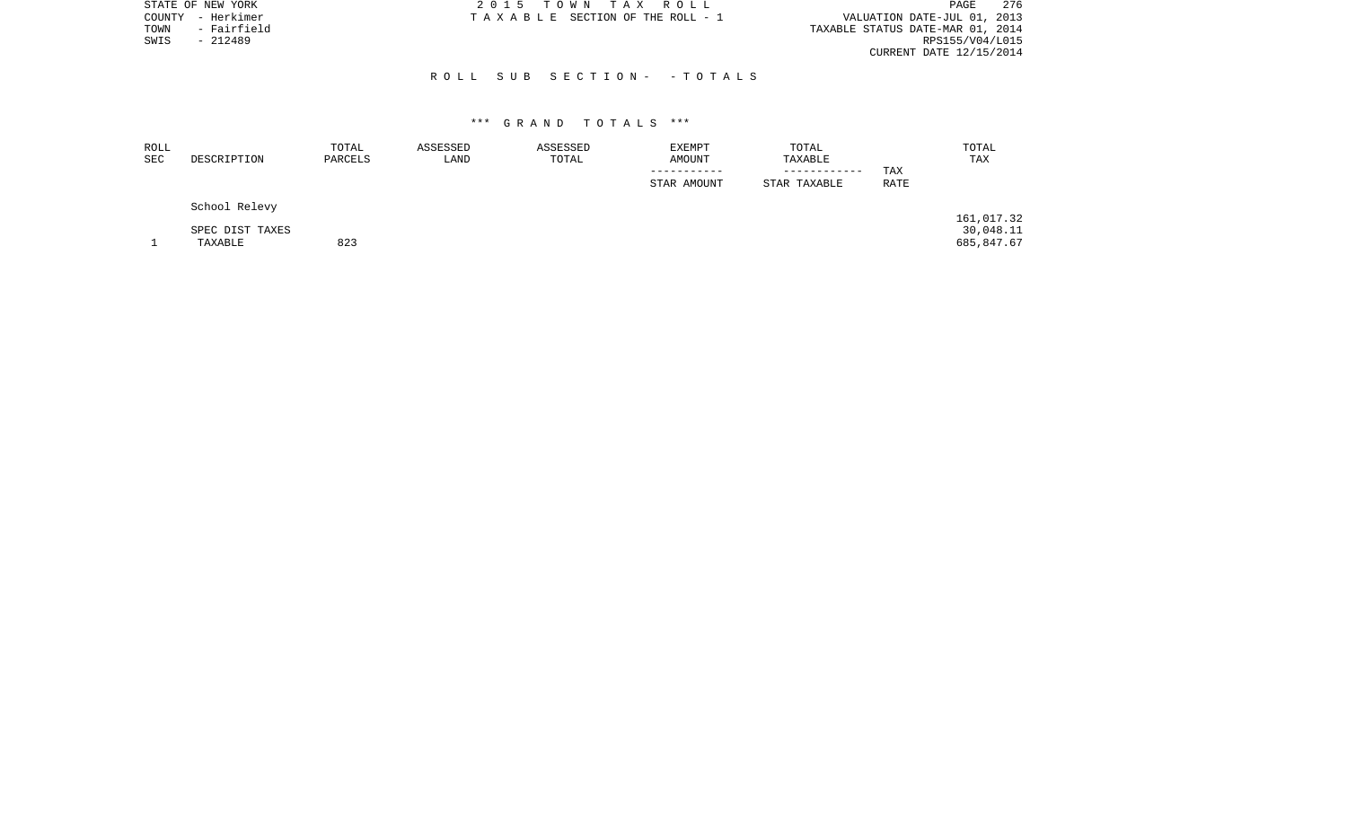| STATE OF NEW YORK    | 2015 TOWN TAX ROLL              | 276<br>PAGE                      |
|----------------------|---------------------------------|----------------------------------|
| - Herkimer<br>COUNTY | TAXABLE SECTION OF THE ROLL - 1 | VALUATION DATE-JUL 01, 2013      |
| - Fairfield<br>TOWN  |                                 | TAXABLE STATUS DATE-MAR 01, 2014 |
| $-212489$<br>SWIS    |                                 | RPS155/V04/L015                  |
|                      |                                 | CURRENT DATE 12/15/2014          |
|                      |                                 |                                  |
|                      | ROLL SUB SECTION- - TOTALS      |                                  |

| ROLL<br><b>SEC</b> | DESCRIPTION     | TOTAL<br>PARCELS | ASSESSED<br>LAND | ASSESSED<br>TOTAL | EXEMPT<br>AMOUNT | TOTAL<br>TAXABLE             |                    | TOTAL<br>TAX |
|--------------------|-----------------|------------------|------------------|-------------------|------------------|------------------------------|--------------------|--------------|
|                    |                 |                  |                  |                   | STAR AMOUNT      | ------------<br>STAR TAXABLE | TAX<br><b>RATE</b> |              |
|                    | School Relevy   |                  |                  |                   |                  |                              |                    |              |
|                    |                 |                  |                  |                   |                  |                              |                    | 161,017.32   |
|                    | SPEC DIST TAXES |                  |                  |                   |                  |                              |                    | 30,048.11    |
|                    | TAXABLE         | 823              |                  |                   |                  |                              |                    | 685,847.67   |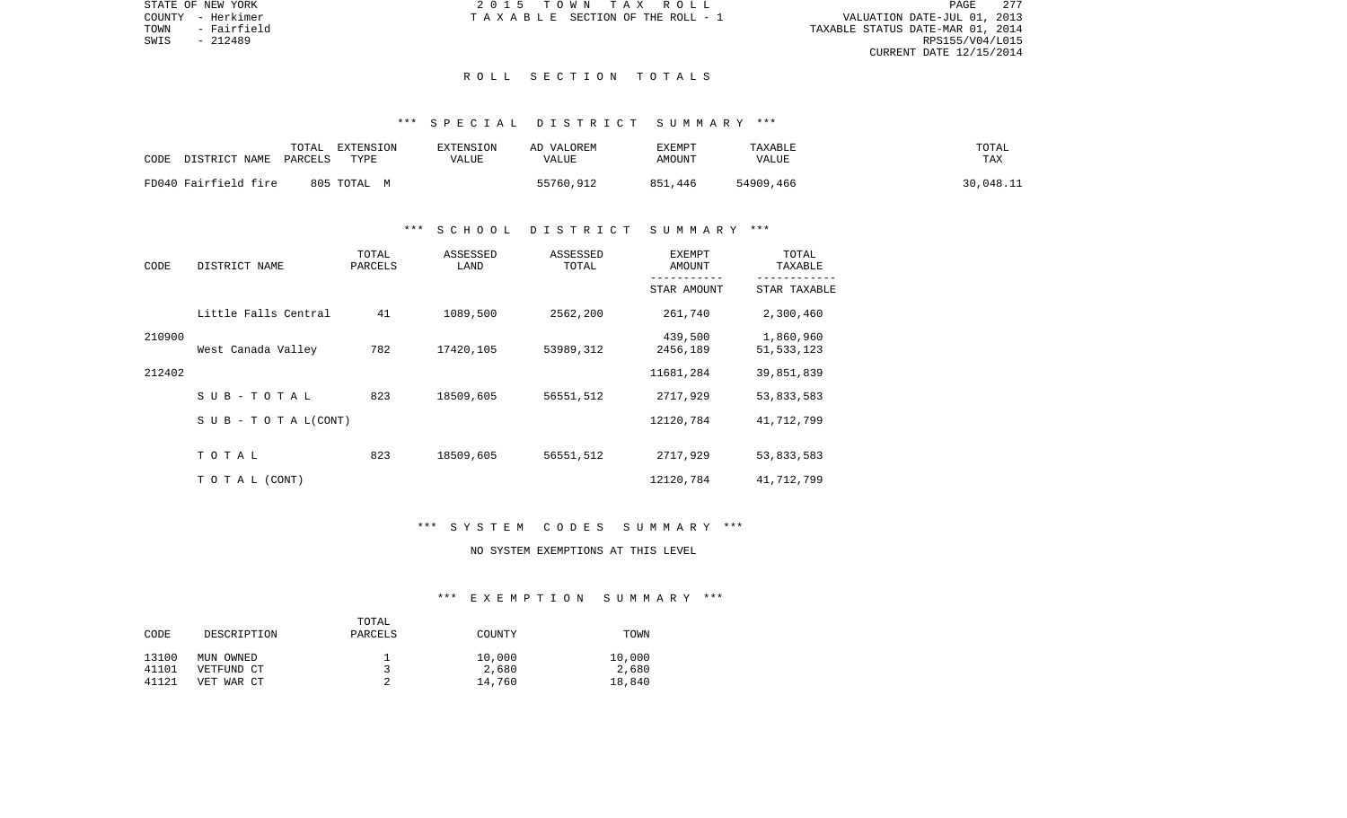STATE OF NEW YORK 2 0 1 5 T O W N T A X R O L L PAGE 277VALUATION DATE-JUL 01, 2013 TOWN - Fairfield TAXABLE STATUS DATE-MAR 01, 2014 CURRENT DATE 12/15/2014

COUNTY - Herkimer  $T A X A B L E$  SECTION OF THE ROLL - 1

SWIS - 212489

### R O L L S E C T I O N T O T A L S

# \*\*\* S P E C I A L D I S T R I C T S U M M A R Y \*\*\*

| CODE                 | TOTAL   | EXTENSION   | EXTENSION | AD VALOREM | EXEMPT  | TAXABLE   | TOTAL     |
|----------------------|---------|-------------|-----------|------------|---------|-----------|-----------|
| DISTRICT NAME        | PARCELS | TYPE        | VALUE     | VALUE      | AMOUNT  | VALUE     | TAX       |
| FD040 Fairfield fire |         | 805 TOTAL M |           | 55760,912  | 851,446 | 54909,466 | 30,048.11 |

## \*\*\* S C H O O L D I S T R I C T S U M M A R Y \*\*\*

| CODE   | DISTRICT NAME                    | TOTAL<br>PARCELS | ASSESSED<br>LAND | ASSESSED<br>TOTAL | <b>EXEMPT</b><br>AMOUNT | TOTAL<br>TAXABLE          |
|--------|----------------------------------|------------------|------------------|-------------------|-------------------------|---------------------------|
|        |                                  |                  |                  |                   | STAR AMOUNT             | STAR TAXABLE              |
|        | Little Falls Central             | 41               | 1089,500         | 2562,200          | 261,740                 | 2,300,460                 |
| 210900 | West Canada Valley               | 782              | 17420,105        | 53989,312         | 439,500<br>2456,189     | 1,860,960<br>51, 533, 123 |
| 212402 |                                  |                  |                  |                   | 11681,284               | 39,851,839                |
|        | SUB-TOTAL                        | 823              | 18509,605        | 56551,512         | 2717,929                | 53,833,583                |
|        | $S \cup B - T \cup T A L (CONT)$ |                  |                  |                   | 12120,784               | 41,712,799                |
|        | TOTAL                            | 823              | 18509,605        | 56551,512         | 2717,929                | 53,833,583                |
|        | TO TAL (CONT)                    |                  |                  |                   | 12120,784               | 41,712,799                |

### \*\*\* S Y S T E M C O D E S S U M M A R Y \*\*\*

# NO SYSTEM EXEMPTIONS AT THIS LEVEL

## \*\*\* E X E M P T I O N S U M M A R Y \*\*\*

|       |             | TOTAL   |        |        |
|-------|-------------|---------|--------|--------|
| CODE  | DESCRIPTION | PARCELS | COUNTY | TOWN   |
|       |             |         |        |        |
| 13100 | MUN OWNED   |         | 10,000 | 10,000 |
| 41101 | VETFUND CT  |         | 2,680  | 2,680  |
| 41121 | VET WAR CT  |         | 14,760 | 18,840 |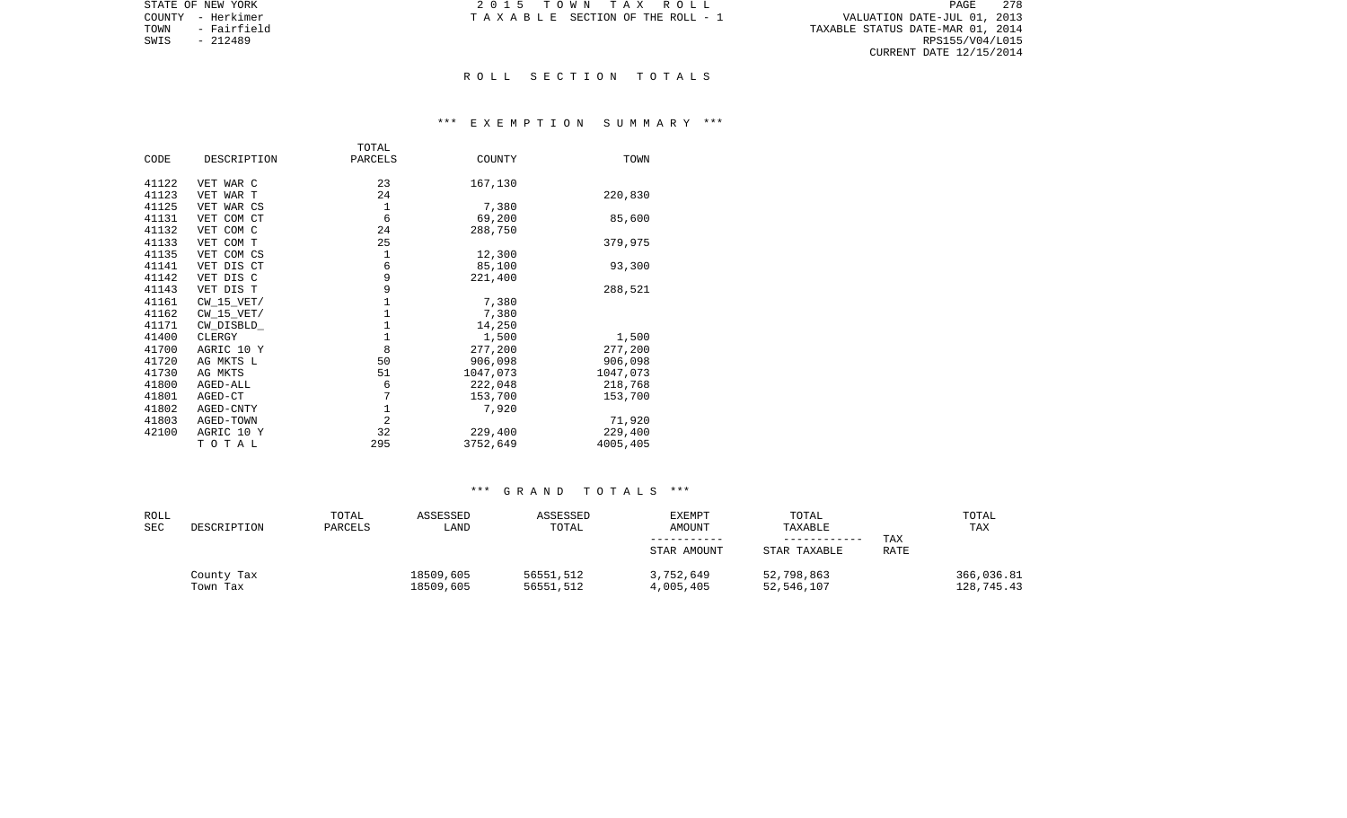|      | STATE OF NEW YORK | 2015 TOWN TAX ROLL                                             | PAGE            | 278 |
|------|-------------------|----------------------------------------------------------------|-----------------|-----|
|      | COUNTY - Herkimer | VALUATION DATE-JUL 01, 2013<br>TAXABLE SECTION OF THE ROLL - 1 |                 |     |
| TOWN | - Fairfield       | TAXABLE STATUS DATE-MAR 01, 2014                               |                 |     |
|      | SWIS - 212489     |                                                                | RPS155/V04/L015 |     |
|      |                   | CURRENT DATE 12/15/2014                                        |                 |     |

### R O L L S E C T I O N T O T A L S

## \*\*\* E X E M P T I O N S U M M A R Y \*\*\*

| CODE<br>DESCRIPTION<br>PARCELS<br>COUNTY<br>TOWN<br>23<br>41122<br>167,130<br>VET WAR C<br>41123<br>24<br>220,830<br>VET WAR T |  |
|--------------------------------------------------------------------------------------------------------------------------------|--|
|                                                                                                                                |  |
|                                                                                                                                |  |
|                                                                                                                                |  |
|                                                                                                                                |  |
| 1<br>41125<br>7,380<br>VET WAR CS                                                                                              |  |
| 6<br>41131<br>VET COM CT<br>69,200<br>85,600                                                                                   |  |
| 41132<br>24<br>VET COM C<br>288,750                                                                                            |  |
| 25<br>41133<br>VET COM T<br>379,975                                                                                            |  |
| 1<br>41135<br>VET COM CS<br>12,300                                                                                             |  |
| 6<br>41141<br>VET DIS CT<br>85,100<br>93,300                                                                                   |  |
| 9<br>41142<br>VET DIS C<br>221,400                                                                                             |  |
| 9<br>41143<br>VET DIS T<br>288,521                                                                                             |  |
| $\mathbf{1}$<br>41161<br>CW 15 VET/<br>7,380                                                                                   |  |
| $\mathbf 1$<br>$CW_15_VET/$<br>7,380<br>41162                                                                                  |  |
| $\mathbf{1}$<br>41171<br>14,250<br>CW DISBLD                                                                                   |  |
| $\mathbf 1$<br>41400<br>CLERGY<br>1,500<br>1,500                                                                               |  |
| 8<br>41700<br>277,200<br>277,200<br>AGRIC 10 Y                                                                                 |  |
| 906,098<br>906,098<br>41720<br>AG MKTS L<br>50                                                                                 |  |
| 1047,073<br>41730<br>51<br>1047,073<br>AG MKTS                                                                                 |  |
| 41800<br>6<br>222,048<br>218,768<br>AGED-ALL                                                                                   |  |
| 7<br>41801<br>153,700<br>153,700<br>AGED-CT                                                                                    |  |
| 1<br>41802<br>AGED-CNTY<br>7,920                                                                                               |  |
| $\overline{2}$<br>41803<br>71,920<br>AGED-TOWN                                                                                 |  |
| 32<br>42100<br>AGRIC 10 Y<br>229,400<br>229,400                                                                                |  |
| 295<br>3752,649<br>4005,405<br>TOTAL                                                                                           |  |

| ROLL<br><b>SEC</b> | DESCRIPTION            | TOTAL<br>PARCELS | ASSESSED<br>LAND       | ASSESSED<br>TOTAL      | <b>EXEMPT</b><br>AMOUNT<br>STAR AMOUNT | TOTAL<br>TAXABLE<br>STAR TAXABLE | TAX<br>RATE | TOTAL<br>TAX             |
|--------------------|------------------------|------------------|------------------------|------------------------|----------------------------------------|----------------------------------|-------------|--------------------------|
|                    | County Tax<br>Town Tax |                  | 18509,605<br>18509,605 | 56551,512<br>56551,512 | 3,752,649<br>4,005,405                 | 52,798,863<br>52,546,107         |             | 366,036.81<br>128,745.43 |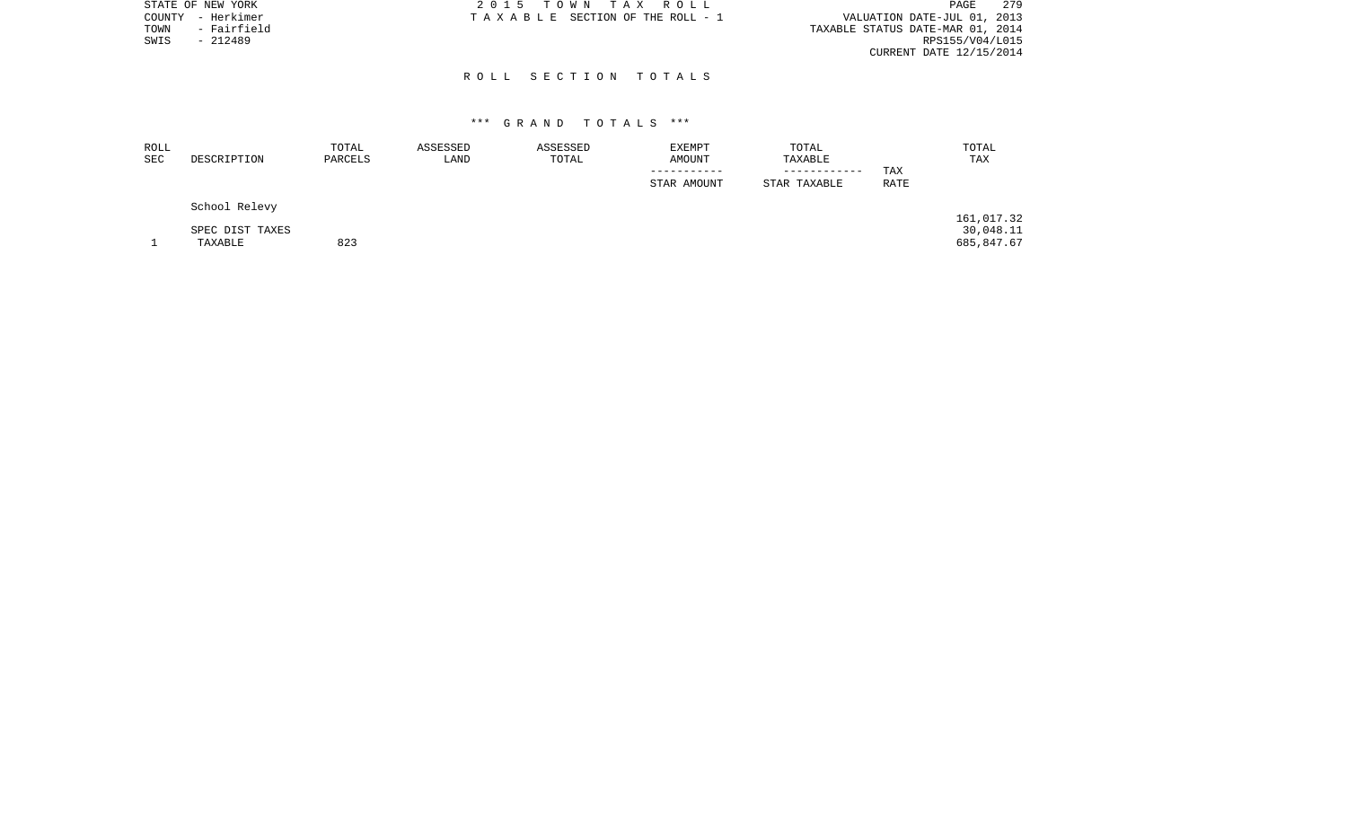|      | STATE OF NEW YORK | 2015 TOWN TAX ROLL                                             | 279<br>PAGE     |
|------|-------------------|----------------------------------------------------------------|-----------------|
|      | COUNTY - Herkimer | VALUATION DATE-JUL 01, 2013<br>TAXABLE SECTION OF THE ROLL - 1 |                 |
| TOWN | - Fairfield       | TAXABLE STATUS DATE-MAR 01, 2014                               |                 |
| SWIS | $-212489$         |                                                                | RPS155/V04/L015 |
|      |                   | CURRENT DATE 12/15/2014                                        |                 |
|      |                   |                                                                |                 |
|      |                   | ROLL SECTION TOTALS                                            |                 |

| ROLL<br>SEC | DESCRIPTION     | TOTAL<br>PARCELS | ASSESSED<br>LAND | ASSESSED<br>TOTAL | <b>EXEMPT</b><br>AMOUNT | TOTAL<br>TAXABLE             |             | TOTAL<br>TAX |
|-------------|-----------------|------------------|------------------|-------------------|-------------------------|------------------------------|-------------|--------------|
|             |                 |                  |                  |                   | .<br>STAR AMOUNT        | ------------<br>STAR TAXABLE | TAX<br>RATE |              |
|             | School Relevy   |                  |                  |                   |                         |                              |             |              |
|             |                 |                  |                  |                   |                         |                              |             | 161,017.32   |
|             | SPEC DIST TAXES |                  |                  |                   |                         |                              |             | 30,048.11    |
|             | TAXABLE         | 823              |                  |                   |                         |                              |             | 685,847.67   |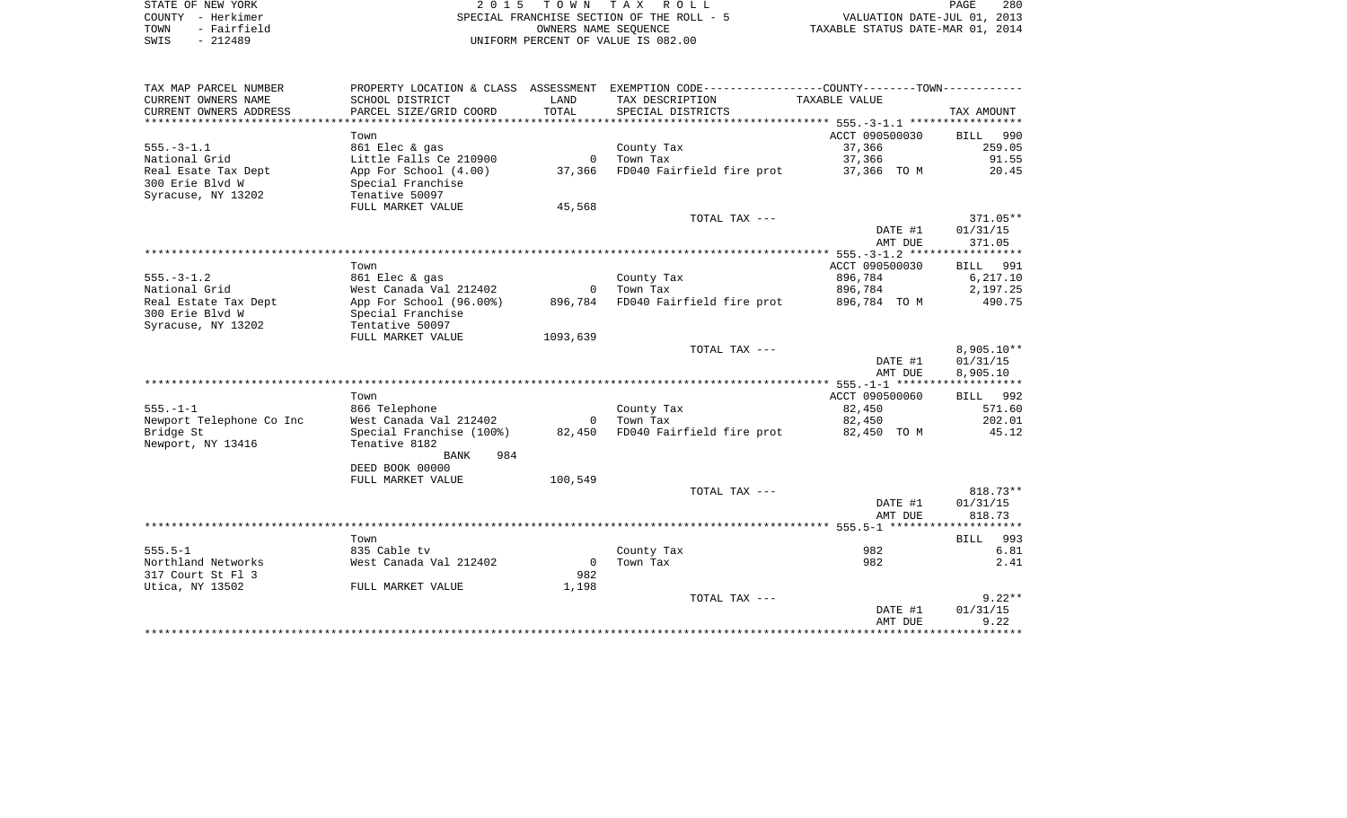|      | STATE OF NEW YORK | 2015 TOWN TAX ROLL                        | 280<br>PAGE                      |
|------|-------------------|-------------------------------------------|----------------------------------|
|      | COUNTY - Herkimer | SPECIAL FRANCHISE SECTION OF THE ROLL - 5 | VALUATION DATE-JUL 01, 2013      |
| TOWN | - Fairfield       | OWNERS NAME SEOUENCE                      | TAXABLE STATUS DATE-MAR 01, 2014 |
| SWIS | - 212489          | UNIFORM PERCENT OF VALUE IS 082.00        |                                  |

|  | PAGE                            | 280 |  |
|--|---------------------------------|-----|--|
|  | VALUATION DATE-JUL 01, 2013     |     |  |
|  | XABLE STATUS DATE-MAR 01, 2014. |     |  |

| TAX MAP PARCEL NUMBER    |                          |          | PROPERTY LOCATION & CLASS ASSESSMENT EXEMPTION CODE---------------COUNTY-------TOWN--------- |                |              |
|--------------------------|--------------------------|----------|----------------------------------------------------------------------------------------------|----------------|--------------|
| CURRENT OWNERS NAME      | SCHOOL DISTRICT          | LAND     | TAX DESCRIPTION                                                                              | TAXABLE VALUE  |              |
| CURRENT OWNERS ADDRESS   | PARCEL SIZE/GRID COORD   | TOTAL    | SPECIAL DISTRICTS                                                                            |                | TAX AMOUNT   |
|                          |                          |          |                                                                                              |                |              |
|                          | Town                     |          |                                                                                              | ACCT 090500030 | BILL 990     |
| $555. - 3 - 1.1$         | 861 Elec & gas           |          | County Tax                                                                                   | 37,366         | 259.05       |
| National Grid            | Little Falls Ce 210900   |          | 0 Town Tax                                                                                   | 37,366         | 91.55        |
| Real Esate Tax Dept      | App For School (4.00)    |          | 37,366 FD040 Fairfield fire prot                                                             | 37,366 TO M    | 20.45        |
| 300 Erie Blvd W          | Special Franchise        |          |                                                                                              |                |              |
| Syracuse, NY 13202       | Tenative 50097           |          |                                                                                              |                |              |
|                          | FULL MARKET VALUE        | 45,568   |                                                                                              |                |              |
|                          |                          |          | TOTAL TAX ---                                                                                |                | $371.05**$   |
|                          |                          |          |                                                                                              | DATE #1        | 01/31/15     |
|                          |                          |          |                                                                                              | AMT DUE        | 371.05       |
|                          |                          |          |                                                                                              |                |              |
|                          | Town                     |          |                                                                                              | ACCT 090500030 | BILL 991     |
| $555. - 3 - 1.2$         | 861 Elec & gas           |          | County Tax                                                                                   | 896,784        | 6, 217.10    |
| National Grid            | West Canada Val 212402   |          | 0 Town Tax                                                                                   | 896,784        | 2,197.25     |
| Real Estate Tax Dept     | App For School (96.00%)  |          | 896,784 FD040 Fairfield fire prot                                                            | 896,784 TO M   | 490.75       |
| 300 Erie Blvd W          | Special Franchise        |          |                                                                                              |                |              |
| Syracuse, NY 13202       | Tentative 50097          |          |                                                                                              |                |              |
|                          | FULL MARKET VALUE        | 1093,639 |                                                                                              |                |              |
|                          |                          |          | TOTAL TAX ---                                                                                |                | $8,905.10**$ |
|                          |                          |          |                                                                                              | DATE #1        | 01/31/15     |
|                          |                          |          |                                                                                              | AMT DUE        | 8,905.10     |
|                          |                          |          |                                                                                              |                |              |
|                          | Town                     |          |                                                                                              | ACCT 090500060 | BILL 992     |
| $555. - 1 - 1$           | 866 Telephone            |          | County Tax                                                                                   | 82,450         | 571.60       |
| Newport Telephone Co Inc | West Canada Val 212402   |          | 0 Town Tax                                                                                   | 82,450         | 202.01       |
| Bridge St                | Special Franchise (100%) |          | 82,450 FD040 Fairfield fire prot                                                             | 82,450 TO M    | 45.12        |
| Newport, NY 13416        | Tenative 8182            |          |                                                                                              |                |              |
|                          | 984<br>BANK              |          |                                                                                              |                |              |
|                          | DEED BOOK 00000          |          |                                                                                              |                |              |
|                          | FULL MARKET VALUE        | 100,549  |                                                                                              |                |              |
|                          |                          |          | TOTAL TAX ---                                                                                |                | 818.73**     |
|                          |                          |          |                                                                                              | DATE #1        | 01/31/15     |
|                          |                          |          |                                                                                              | AMT DUE        | 818.73       |
|                          |                          |          |                                                                                              |                |              |
|                          | Town                     |          |                                                                                              |                | BILL 993     |
| $555.5 - 1$              | 835 Cable tv             |          | County Tax                                                                                   | 982            | 6.81         |
| Northland Networks       | West Canada Val 212402   |          | 0 Town Tax                                                                                   | 982            | 2.41         |
| 317 Court St Fl 3        |                          | 982      |                                                                                              |                |              |
| Utica, NY 13502          | FULL MARKET VALUE        | 1,198    |                                                                                              |                |              |
|                          |                          |          | TOTAL TAX ---                                                                                |                | $9.22**$     |
|                          |                          |          |                                                                                              | DATE #1        | 01/31/15     |
|                          |                          |          |                                                                                              | AMT DUE        | 9.22         |
|                          |                          |          |                                                                                              |                |              |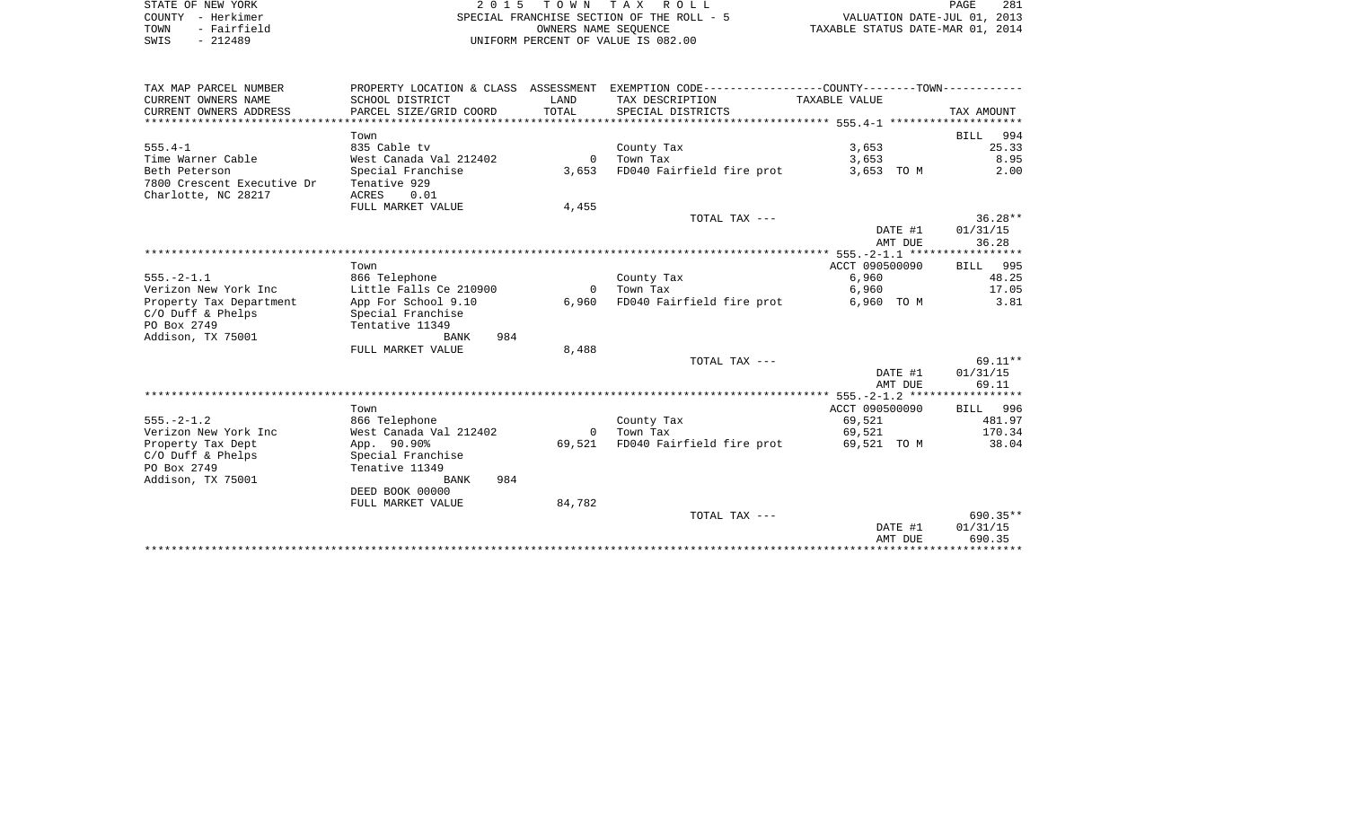|      | STATE OF NEW YORK | 2015 TOWN TAX ROLL                        | 281<br>PAGE                      |  |
|------|-------------------|-------------------------------------------|----------------------------------|--|
|      | COUNTY - Herkimer | SPECIAL FRANCHISE SECTION OF THE ROLL - 5 | VALUATION DATE-JUL 01, 2013      |  |
| TOWN | - Fairfield       | OWNERS NAME SEOUENCE                      | TAXABLE STATUS DATE-MAR 01, 2014 |  |
| SWIS | $-212489$         | UNIFORM PERCENT OF VALUE IS 082.00        |                                  |  |

| TAX MAP PARCEL NUMBER      |                        |          | PROPERTY LOCATION & CLASS ASSESSMENT EXEMPTION CODE---------------COUNTY-------TOWN---------- |                |            |
|----------------------------|------------------------|----------|-----------------------------------------------------------------------------------------------|----------------|------------|
| CURRENT OWNERS NAME        | SCHOOL DISTRICT        | LAND     | TAX DESCRIPTION TAXABLE VALUE                                                                 |                |            |
| CURRENT OWNERS ADDRESS     |                        |          |                                                                                               |                |            |
|                            |                        |          |                                                                                               |                |            |
|                            | Town                   |          |                                                                                               |                | BILL 994   |
| $555.4 - 1$                | 835 Cable tv           |          | County Tax                                                                                    | 3,653          | 25.33      |
| Time Warner Cable          | West Canada Val 212402 |          | 0 Town Tax                                                                                    | 3,653          | 8.95       |
| Beth Peterson              | Special Franchise      |          | 3,653 FD040 Fairfield fire prot                                                               | 3,653 TO M     | 2.00       |
| 7800 Crescent Executive Dr | Tenative 929           |          |                                                                                               |                |            |
| Charlotte, NC 28217        | 0.01<br>ACRES          |          |                                                                                               |                |            |
|                            | FULL MARKET VALUE      | 4,455    |                                                                                               |                |            |
|                            |                        |          | TOTAL TAX $---$                                                                               |                | $36.28**$  |
|                            |                        |          |                                                                                               | DATE #1        | 01/31/15   |
|                            |                        |          |                                                                                               | AMT DUE        | 36.28      |
|                            |                        |          |                                                                                               |                |            |
|                            | Town                   |          |                                                                                               | ACCT 090500090 | BILL 995   |
| $555. - 2 - 1.1$           | 866 Telephone          |          | County Tax                                                                                    | 6,960          | 48.25      |
| Verizon New York Inc       | Little Falls Ce 210900 |          | 0 Town Tax                                                                                    | 6,960          | 17.05      |
| Property Tax Department    | App For School 9.10    | 6,960    | FD040 Fairfield fire prot                                                                     | 6,960 TO M     | 3.81       |
| $C/O$ Duff & Phelps        | Special Franchise      |          |                                                                                               |                |            |
| PO Box 2749                | Tentative 11349        |          |                                                                                               |                |            |
| Addison, TX 75001          | 984<br>BANK            |          |                                                                                               |                |            |
|                            | FULL MARKET VALUE      | 8,488    |                                                                                               |                |            |
|                            |                        |          | TOTAL TAX ---                                                                                 |                | $69.11**$  |
|                            |                        |          |                                                                                               | DATE #1        | 01/31/15   |
|                            |                        |          |                                                                                               | AMT DUE        | 69.11      |
|                            |                        |          |                                                                                               |                |            |
|                            | Town                   |          |                                                                                               | ACCT 090500090 | BILL 996   |
| $555. - 2 - 1.2$           | 866 Telephone          |          | County Tax                                                                                    | 69,521         | 481.97     |
| Verizon New York Inc       | West Canada Val 212402 | $\Omega$ | Town Tax                                                                                      | 69,521         | 170.34     |
| Property Tax Dept          | App. 90.90%            | 69,521   | FD040 Fairfield fire prot                                                                     | 69,521 TO M    | 38.04      |
| $C/O$ Duff & Phelps        | Special Franchise      |          |                                                                                               |                |            |
| PO Box 2749                | Tenative 11349         |          |                                                                                               |                |            |
| Addison, TX 75001          | 984<br>BANK            |          |                                                                                               |                |            |
|                            | DEED BOOK 00000        |          |                                                                                               |                |            |
|                            | FULL MARKET VALUE      | 84,782   |                                                                                               |                |            |
|                            |                        |          | TOTAL TAX ---                                                                                 |                | $690.35**$ |
|                            |                        |          |                                                                                               | DATE #1        | 01/31/15   |
|                            |                        |          |                                                                                               | AMT DUE        | 690.35     |
|                            |                        |          |                                                                                               |                |            |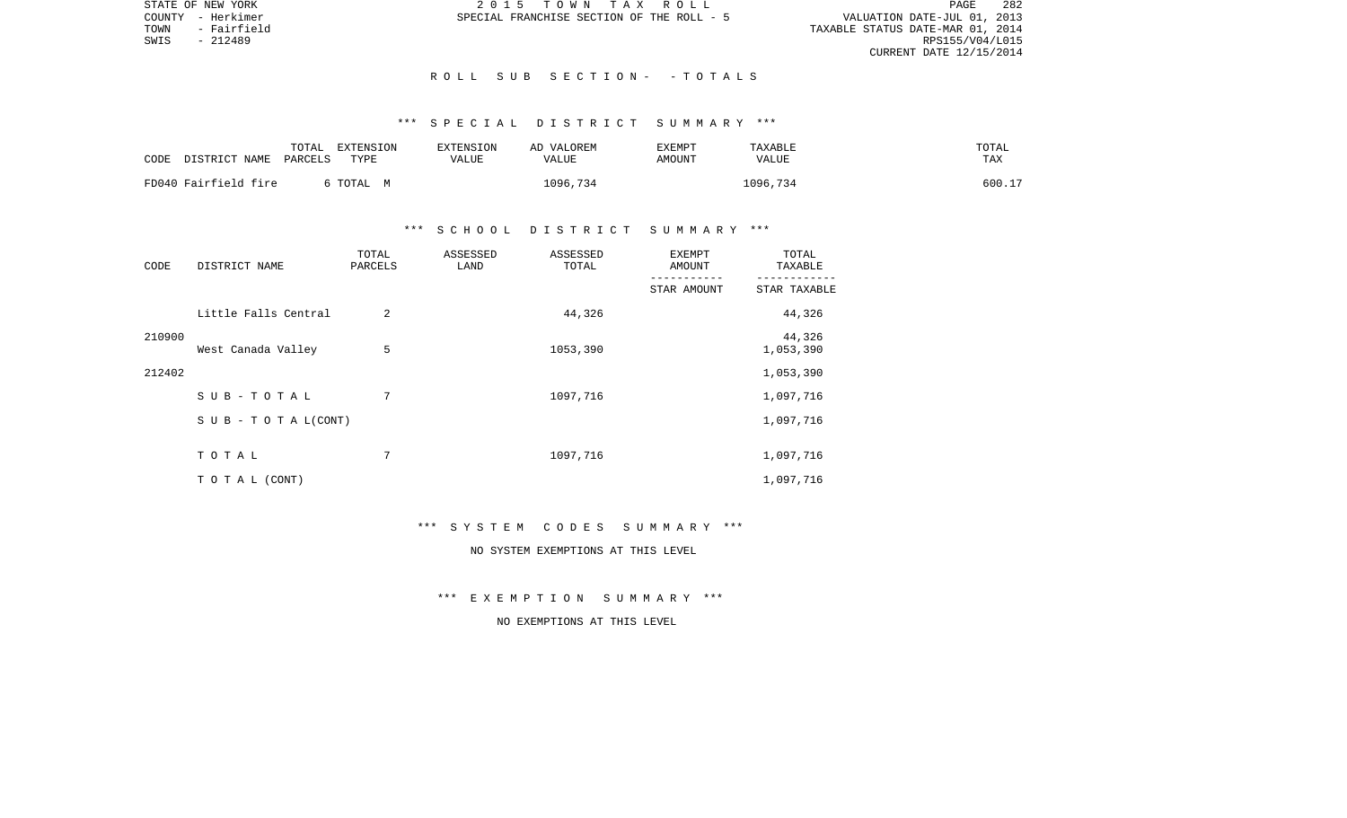VALUATION DATE-JUL 01, 2013 TOWN - Fairfield TAXABLE STATUS DATE-MAR 01, 2014 RPS155/V04/L015 CURRENT DATE 12/15/2014

STATE OF NEW YORK 2 0 1 5 T O W N T A X R O L L PAGE 282COUNTY - Herkimer SPECIAL FRANCHISE SECTION OF THE ROLL - 5

### R O L L S U B S E C T I O N - - T O T A L S

# \*\*\* S P E C I A L D I S T R I C T S U M M A R Y \*\*\*

| CODE                 | DISTRICT NAME | TOTAL<br>PARCELS | <b>EXTENSION</b><br>TYPE | EXTENSION<br>VALUE<br>VALUE | AD VALOREM | EXEMPT<br>AMOUNT | TAXABLE<br>VALUE | TOTAL<br>TAX |
|----------------------|---------------|------------------|--------------------------|-----------------------------|------------|------------------|------------------|--------------|
| FD040 Fairfield fire |               |                  | TOTAL M                  |                             | 1096,734   |                  | 1096,734         | 600.17       |

## \*\*\* S C H O O L D I S T R I C T S U M M A R Y \*\*\*

| CODE   | DISTRICT NAME                    | TOTAL<br>PARCELS | ASSESSED<br>LAND | ASSESSED<br>TOTAL | <b>EXEMPT</b><br>AMOUNT   | TOTAL<br>TAXABLE          |
|--------|----------------------------------|------------------|------------------|-------------------|---------------------------|---------------------------|
|        |                                  |                  |                  |                   | ----------<br>STAR AMOUNT | ---------<br>STAR TAXABLE |
|        | Little Falls Central             | 2                |                  | 44,326            |                           | 44,326                    |
| 210900 | West Canada Valley               | 5                |                  | 1053,390          |                           | 44,326<br>1,053,390       |
| 212402 |                                  |                  |                  |                   |                           | 1,053,390                 |
|        | $SUB - TO T AL$                  | 7                |                  | 1097,716          |                           | 1,097,716                 |
|        | $S \cup B - T \cup T A L (CONT)$ |                  |                  |                   |                           | 1,097,716                 |
|        | TOTAL                            | 7                |                  | 1097,716          |                           | 1,097,716                 |
|        | TO TAL (CONT)                    |                  |                  |                   |                           | 1,097,716                 |

### \*\*\* S Y S T E M C O D E S S U M M A R Y \*\*\*

# NO SYSTEM EXEMPTIONS AT THIS LEVEL

\*\*\* E X E M P T I O N S U M M A R Y \*\*\*

## NO EXEMPTIONS AT THIS LEVEL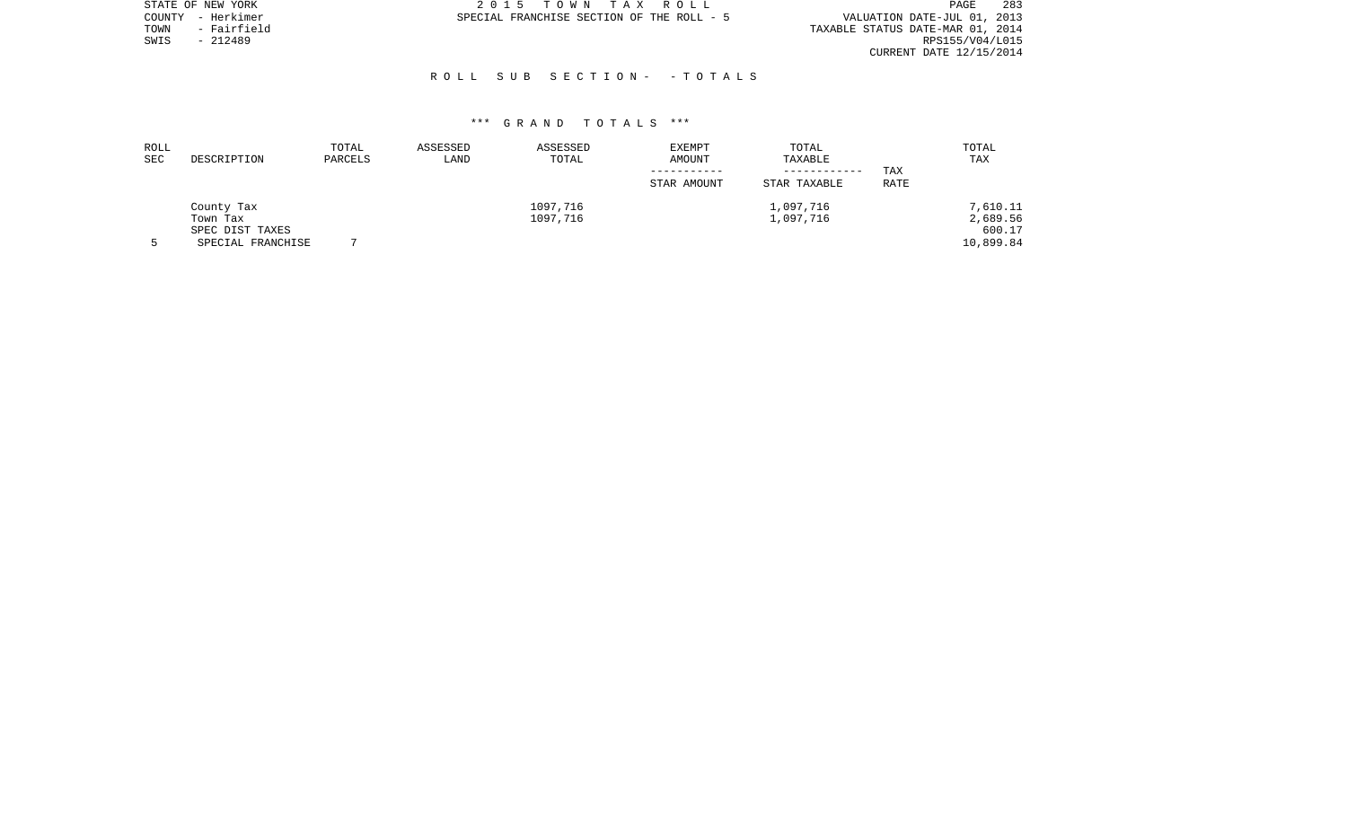|      | STATE OF NEW YORK | 2015 TOWN TAX ROLL                        |  |                                  | PAGE            | 283 |
|------|-------------------|-------------------------------------------|--|----------------------------------|-----------------|-----|
|      | COUNTY - Herkimer | SPECIAL FRANCHISE SECTION OF THE ROLL - 5 |  | VALUATION DATE-JUL 01, 2013      |                 |     |
| TOWN | - Fairfield       |                                           |  | TAXABLE STATUS DATE-MAR 01, 2014 |                 |     |
| SWIS | - 212489          |                                           |  |                                  | RPS155/V04/L015 |     |
|      |                   |                                           |  | CURRENT DATE 12/15/2014          |                 |     |

## R O L L S U B S E C T I O N - - T O T A L S

| ROLL<br>SEC | DESCRIPTION       | TOTAL<br>PARCELS | ASSESSED<br>LAND | ASSESSED<br>TOTAL | <b>EXEMPT</b><br>AMOUNT | TOTAL<br>TAXABLE |             | TOTAL<br>TAX |
|-------------|-------------------|------------------|------------------|-------------------|-------------------------|------------------|-------------|--------------|
|             |                   |                  |                  |                   |                         | ___________      | TAX         |              |
|             |                   |                  |                  |                   | STAR AMOUNT             | STAR TAXABLE     | <b>RATE</b> |              |
|             | County Tax        |                  |                  | 1097,716          |                         | 1,097,716        |             | 7,610.11     |
|             | Town Tax          |                  |                  | 1097,716          |                         | 1,097,716        |             | 2,689.56     |
|             | SPEC DIST TAXES   |                  |                  |                   |                         |                  |             | 600.17       |
|             | SPECIAL FRANCHISE |                  |                  |                   |                         |                  |             | 10,899.84    |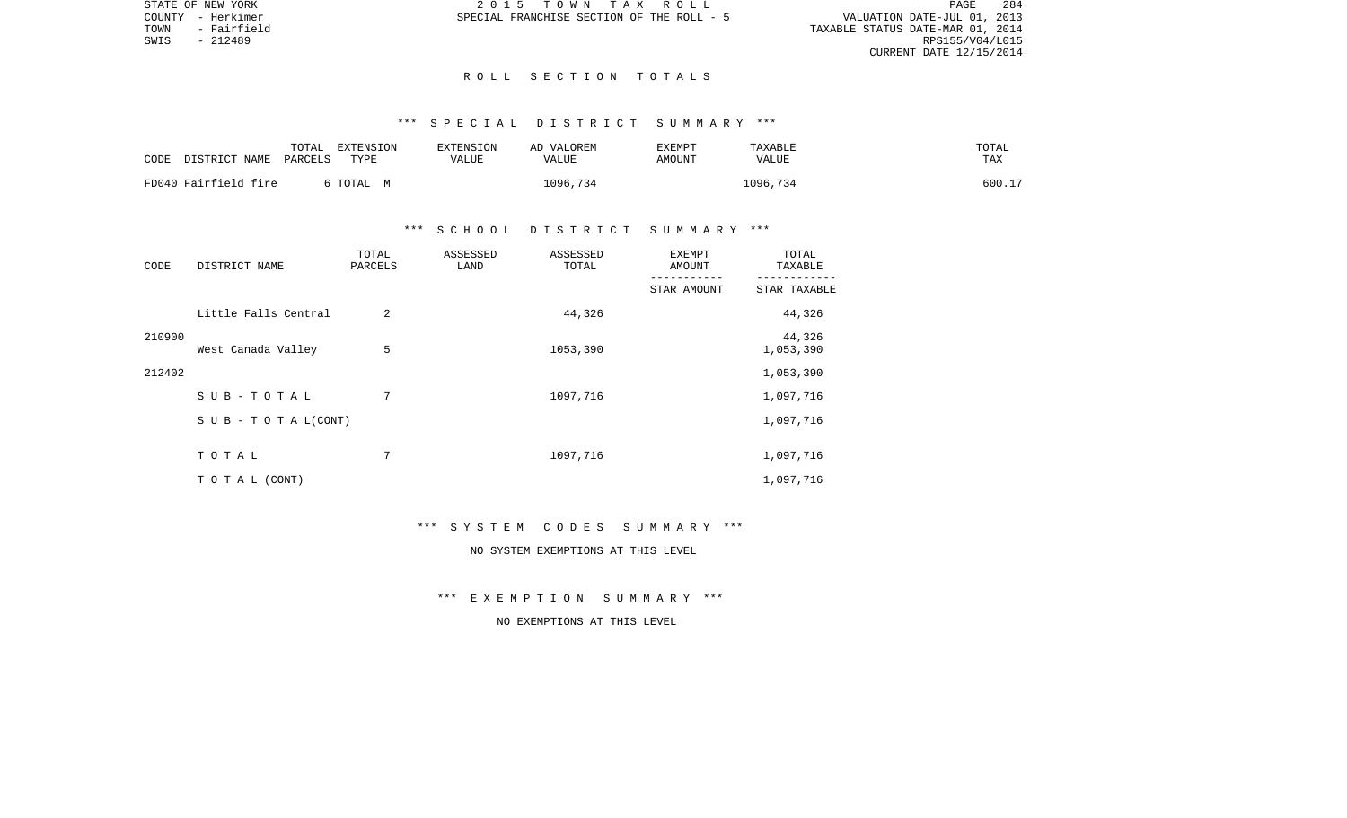VALUATION DATE-JUL 01, 2013 TOWN - Fairfield TAXABLE STATUS DATE-MAR 01, 2014 CURRENT DATE 12/15/2014

STATE OF NEW YORK 2 0 1 5 T O W N T A X R O L L PAGE 284COUNTY - Herkimer SPECIAL FRANCHISE SECTION OF THE ROLL - 5

SWIS - 212489

### R O L L S E C T I O N T O T A L S

# \*\*\* S P E C I A L D I S T R I C T S U M M A R Y \*\*\*

| CODE | DISTRICT NAME        | TOTAL<br>PARCELS | EXTENSION<br>TYPE | <b>EXTENSION</b><br>VALUE | AD VALOREM<br>VALUE | EXEMPT<br>AMOUNT | TAXABLE<br><b>VALUE</b> | TOTAL<br>TAX |
|------|----------------------|------------------|-------------------|---------------------------|---------------------|------------------|-------------------------|--------------|
|      | FD040 Fairfield fire |                  | TOTAL<br>. M      |                           | 1096,734            |                  | 1096,734                | 600.17       |

## \*\*\* S C H O O L D I S T R I C T S U M M A R Y \*\*\*

| CODE   | DISTRICT NAME                    | TOTAL<br>PARCELS | ASSESSED<br>LAND | ASSESSED<br>TOTAL | <b>EXEMPT</b><br>AMOUNT | TOTAL<br>TAXABLE    |
|--------|----------------------------------|------------------|------------------|-------------------|-------------------------|---------------------|
|        |                                  |                  |                  |                   | STAR AMOUNT             | STAR TAXABLE        |
|        | Little Falls Central             | $\overline{2}$   |                  | 44,326            |                         | 44,326              |
| 210900 | West Canada Valley               | 5                |                  | 1053,390          |                         | 44,326<br>1,053,390 |
| 212402 |                                  |                  |                  |                   |                         | 1,053,390           |
|        | $SUB - TO T AL$                  | 7                |                  | 1097,716          |                         | 1,097,716           |
|        | $S \cup B - T \cup T A L (CONT)$ |                  |                  |                   |                         | 1,097,716           |
|        | TOTAL                            | 7                |                  | 1097,716          |                         | 1,097,716           |
|        | TO TAL (CONT)                    |                  |                  |                   |                         | 1,097,716           |

### \*\*\* S Y S T E M C O D E S S U M M A R Y \*\*\*

# NO SYSTEM EXEMPTIONS AT THIS LEVEL

\*\*\* E X E M P T I O N S U M M A R Y \*\*\*

## NO EXEMPTIONS AT THIS LEVEL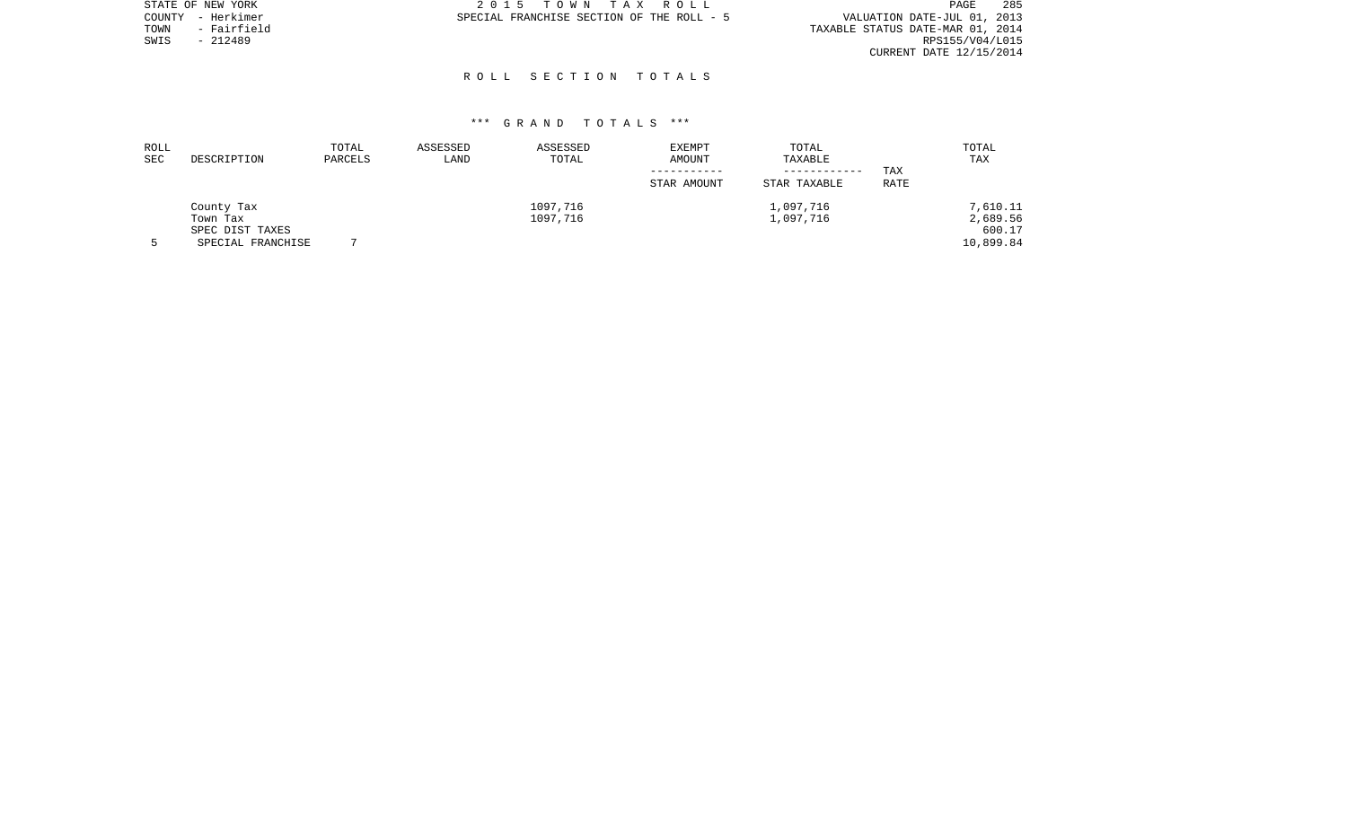|      | STATE OF NEW YORK | 2015 TOWN TAX ROLL                        | 285<br>PAGE                      |
|------|-------------------|-------------------------------------------|----------------------------------|
|      | COUNTY - Herkimer | SPECIAL FRANCHISE SECTION OF THE ROLL - 5 | VALUATION DATE-JUL 01, 2013      |
| TOWN | - Fairfield       |                                           | TAXABLE STATUS DATE-MAR 01, 2014 |
| SWIS | $-212489$         |                                           | RPS155/V04/L015                  |
|      |                   |                                           | CURRENT DATE 12/15/2014          |

## R O L L S E C T I O N T O T A L S

| ROLL<br><b>SEC</b> | DESCRIPTION                          | TOTAL<br>PARCELS | ASSESSED<br>LAND | ASSESSED<br>TOTAL    | EXEMPT<br>AMOUNT | TOTAL<br>TAXABLE             |             | TOTAL<br>TAX         |
|--------------------|--------------------------------------|------------------|------------------|----------------------|------------------|------------------------------|-------------|----------------------|
|                    |                                      |                  |                  |                      | STAR AMOUNT      | ------------<br>STAR TAXABLE | TAX<br>RATE |                      |
|                    | County Tax<br>Town Tax               |                  |                  | 1097,716<br>1097,716 |                  | 1,097,716<br>1,097,716       |             | 7,610.11<br>2,689.56 |
|                    | SPEC DIST TAXES<br>SPECIAL FRANCHISE |                  |                  |                      |                  |                              |             | 600.17<br>10,899.84  |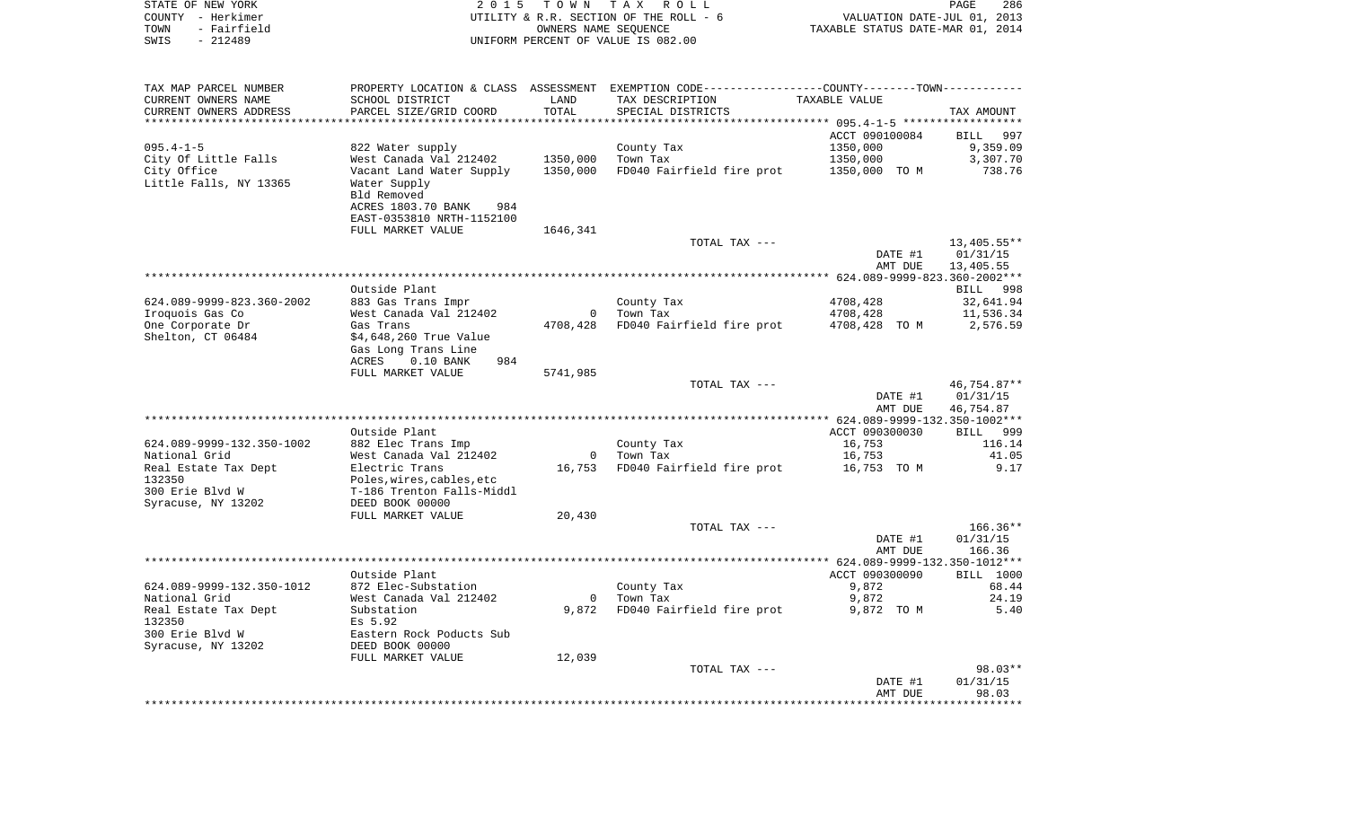| STATE OF NEW YORK<br>COUNTY - Herkimer<br>TOWN<br>- Fairfield<br>SWIS<br>$-212489$ | 2 0 1 5                                                  | T O W N<br>OWNERS NAME SEQUENCE | TAX ROLL<br>UTILITY & R.R. SECTION OF THE ROLL - 6<br>UNIFORM PERCENT OF VALUE IS 082.00                         | VALUATION DATE-JUL 01, 2013<br>TAXABLE STATUS DATE-MAR 01, 2014 | PAGE<br>286           |
|------------------------------------------------------------------------------------|----------------------------------------------------------|---------------------------------|------------------------------------------------------------------------------------------------------------------|-----------------------------------------------------------------|-----------------------|
|                                                                                    |                                                          |                                 |                                                                                                                  |                                                                 |                       |
| TAX MAP PARCEL NUMBER<br>CURRENT OWNERS NAME                                       | SCHOOL DISTRICT                                          | LAND                            | PROPERTY LOCATION & CLASS ASSESSMENT EXEMPTION CODE---------------COUNTY-------TOWN----------<br>TAX DESCRIPTION | TAXABLE VALUE                                                   |                       |
| CURRENT OWNERS ADDRESS                                                             | PARCEL SIZE/GRID COORD                                   | TOTAL                           | SPECIAL DISTRICTS                                                                                                |                                                                 | TAX AMOUNT            |
| **********************                                                             |                                                          |                                 |                                                                                                                  |                                                                 |                       |
|                                                                                    |                                                          |                                 |                                                                                                                  | ACCT 090100084                                                  | BILL<br>997           |
| $095.4 - 1 - 5$                                                                    | 822 Water supply                                         |                                 | County Tax                                                                                                       | 1350,000                                                        | 9,359.09              |
| City Of Little Falls<br>City Office                                                | West Canada Val 212402<br>Vacant Land Water Supply       | 1350,000<br>1350,000            | Town Tax<br>FD040 Fairfield fire prot                                                                            | 1350,000<br>1350,000 TO M                                       | 3,307.70<br>738.76    |
| Little Falls, NY 13365                                                             | Water Supply<br>Bld Removed<br>ACRES 1803.70 BANK<br>984 |                                 |                                                                                                                  |                                                                 |                       |
|                                                                                    | EAST-0353810 NRTH-1152100                                |                                 |                                                                                                                  |                                                                 |                       |
|                                                                                    | FULL MARKET VALUE                                        | 1646,341                        |                                                                                                                  |                                                                 |                       |
|                                                                                    |                                                          |                                 | TOTAL TAX ---                                                                                                    |                                                                 | 13,405.55**           |
|                                                                                    |                                                          |                                 |                                                                                                                  | DATE #1                                                         | 01/31/15              |
|                                                                                    |                                                          |                                 |                                                                                                                  | AMT DUE                                                         | 13,405.55             |
|                                                                                    | Outside Plant                                            |                                 |                                                                                                                  |                                                                 | BILL 998              |
| 624.089-9999-823.360-2002                                                          | 883 Gas Trans Impr                                       |                                 | County Tax                                                                                                       | 4708,428                                                        | 32,641.94             |
| Iroquois Gas Co                                                                    | West Canada Val 212402                                   | $\circ$                         | Town Tax                                                                                                         | 4708,428                                                        | 11,536.34             |
| One Corporate Dr<br>Shelton, CT 06484                                              | Gas Trans<br>\$4,648,260 True Value                      | 4708,428                        | FD040 Fairfield fire prot                                                                                        | 4708,428 TO M                                                   | 2,576.59              |
|                                                                                    | Gas Long Trans Line                                      |                                 |                                                                                                                  |                                                                 |                       |
|                                                                                    | ACRES<br>$0.10$ BANK<br>984                              |                                 |                                                                                                                  |                                                                 |                       |
|                                                                                    | FULL MARKET VALUE                                        | 5741,985                        |                                                                                                                  |                                                                 |                       |
|                                                                                    |                                                          |                                 | TOTAL TAX ---                                                                                                    |                                                                 | 46,754.87**           |
|                                                                                    |                                                          |                                 |                                                                                                                  | DATE #1<br>AMT DUE                                              | 01/31/15<br>46,754.87 |
|                                                                                    |                                                          |                                 |                                                                                                                  |                                                                 |                       |
|                                                                                    | Outside Plant                                            |                                 |                                                                                                                  | ACCT 090300030                                                  | BILL 999              |
| 624.089-9999-132.350-1002                                                          | 882 Elec Trans Imp                                       |                                 | County Tax                                                                                                       | 16,753                                                          | 116.14                |
| National Grid                                                                      | West Canada Val 212402<br>Electric Trans                 | $\overline{0}$                  | Town Tax                                                                                                         | 16,753                                                          | 41.05<br>9.17         |
| Real Estate Tax Dept<br>132350                                                     | Poles, wires, cables, etc                                | 16,753                          | FD040 Fairfield fire prot                                                                                        | 16,753 TO M                                                     |                       |
| 300 Erie Blvd W                                                                    | T-186 Trenton Falls-Middl                                |                                 |                                                                                                                  |                                                                 |                       |
| Syracuse, NY 13202                                                                 | DEED BOOK 00000                                          |                                 |                                                                                                                  |                                                                 |                       |
|                                                                                    | FULL MARKET VALUE                                        | 20,430                          |                                                                                                                  |                                                                 |                       |
|                                                                                    |                                                          |                                 | TOTAL TAX ---                                                                                                    |                                                                 | $166.36**$            |
|                                                                                    |                                                          |                                 |                                                                                                                  | DATE #1<br>AMT DUE                                              | 01/31/15<br>166.36    |
|                                                                                    |                                                          |                                 |                                                                                                                  |                                                                 |                       |
|                                                                                    | Outside Plant                                            |                                 |                                                                                                                  | ACCT 090300090                                                  | BILL 1000             |
| 624.089-9999-132.350-1012                                                          | 872 Elec-Substation                                      |                                 | County Tax                                                                                                       | 9,872                                                           | 68.44                 |
| National Grid                                                                      | West Canada Val 212402                                   |                                 | 0 Town Tax                                                                                                       | 9,872                                                           | 24.19                 |
| Real Estate Tax Dept<br>132350                                                     | Substation<br>Es 5.92                                    | 9,872                           | FD040 Fairfield fire prot                                                                                        | 9,872 TO M                                                      | 5.40                  |
| 300 Erie Blvd W                                                                    | Eastern Rock Poducts Sub                                 |                                 |                                                                                                                  |                                                                 |                       |
| Syracuse, NY 13202                                                                 | DEED BOOK 00000                                          |                                 |                                                                                                                  |                                                                 |                       |
|                                                                                    | FULL MARKET VALUE                                        | 12,039                          |                                                                                                                  |                                                                 |                       |
|                                                                                    |                                                          |                                 | TOTAL TAX ---                                                                                                    |                                                                 | $98.03**$             |
|                                                                                    |                                                          |                                 |                                                                                                                  | DATE #1<br>AMT DUE                                              | 01/31/15<br>98.03     |
|                                                                                    |                                                          |                                 |                                                                                                                  |                                                                 |                       |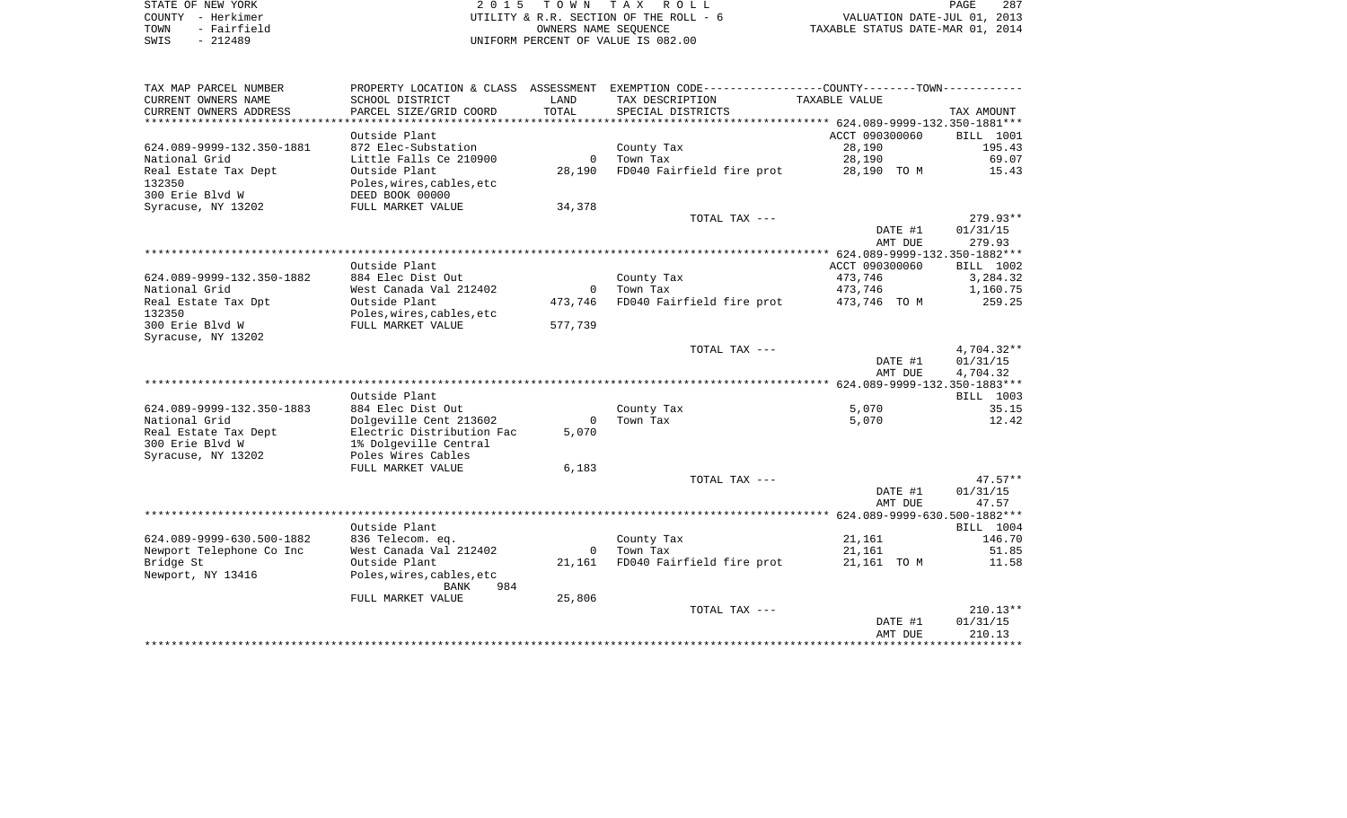| STATE OF NEW YORK        | 2015 TOWN TAX ROLL                     | 287<br>PAGE                      |
|--------------------------|----------------------------------------|----------------------------------|
| COUNTY - Herkimer        | UTILITY & R.R. SECTION OF THE ROLL - 6 | VALUATION DATE-JUL 01, 2013      |
| - Fairfield<br>TOWN      | OWNERS NAME SEOUENCE                   | TAXABLE STATUS DATE-MAR 01, 2014 |
| смте <sub>–</sub> 212490 | INITEORM DERCENT OF VALUE IS 082 00    |                                  |

SWIS - 212489 UNIFORM PERCENT OF VALUE IS 082.00

| TAX MAP PARCEL NUMBER     |                           |              | PROPERTY LOCATION & CLASS ASSESSMENT EXEMPTION CODE---------------COUNTY-------TOWN---------- |                |                  |
|---------------------------|---------------------------|--------------|-----------------------------------------------------------------------------------------------|----------------|------------------|
| CURRENT OWNERS NAME       | SCHOOL DISTRICT           | LAND         | TAX DESCRIPTION                                                                               | TAXABLE VALUE  |                  |
| CURRENT OWNERS ADDRESS    | PARCEL SIZE/GRID COORD    | TOTAL        | SPECIAL DISTRICTS                                                                             |                | TAX AMOUNT       |
| **********************    |                           |              |                                                                                               |                |                  |
|                           | Outside Plant             |              |                                                                                               | ACCT 090300060 | <b>BILL</b> 1001 |
| 624.089-9999-132.350-1881 | 872 Elec-Substation       |              | County Tax                                                                                    | 28,190         | 195.43           |
| National Grid             | Little Falls Ce 210900    | $\mathbf{0}$ | Town Tax                                                                                      | 28,190         | 69.07            |
| Real Estate Tax Dept      | Outside Plant             | 28,190       | FD040 Fairfield fire prot                                                                     | 28,190 TO M    | 15.43            |
| 132350                    | Poles, wires, cables, etc |              |                                                                                               |                |                  |
| 300 Erie Blvd W           | DEED BOOK 00000           |              |                                                                                               |                |                  |
| Syracuse, NY 13202        | FULL MARKET VALUE         | 34,378       |                                                                                               |                |                  |
|                           |                           |              | TOTAL TAX ---                                                                                 |                | $279.93**$       |
|                           |                           |              |                                                                                               | DATE #1        | 01/31/15         |
|                           |                           |              |                                                                                               | AMT DUE        | 279.93           |
|                           |                           |              |                                                                                               |                |                  |
|                           | Outside Plant             |              |                                                                                               | ACCT 090300060 | BILL 1002        |
| 624.089-9999-132.350-1882 | 884 Elec Dist Out         |              | County Tax                                                                                    | 473,746        | 3,284.32         |
| National Grid             | West Canada Val 212402    | $\mathbf 0$  | Town Tax                                                                                      | 473,746        | 1,160.75         |
| Real Estate Tax Dpt       | Outside Plant             | 473,746      | FD040 Fairfield fire prot                                                                     | 473,746 TO M   | 259.25           |
| 132350                    | Poles, wires, cables, etc |              |                                                                                               |                |                  |
| 300 Erie Blvd W           | FULL MARKET VALUE         | 577,739      |                                                                                               |                |                  |
| Syracuse, NY 13202        |                           |              | TOTAL TAX ---                                                                                 |                | $4,704.32**$     |
|                           |                           |              |                                                                                               | DATE #1        | 01/31/15         |
|                           |                           |              |                                                                                               | AMT DUE        | 4,704.32         |
|                           |                           |              |                                                                                               |                |                  |
|                           | Outside Plant             |              |                                                                                               |                | BILL 1003        |
| 624.089-9999-132.350-1883 | 884 Elec Dist Out         |              | County Tax                                                                                    | 5,070          | 35.15            |
| National Grid             | Dolgeville Cent 213602    | $\Omega$     | Town Tax                                                                                      | 5,070          | 12.42            |
| Real Estate Tax Dept      | Electric Distribution Fac | 5,070        |                                                                                               |                |                  |
| 300 Erie Blvd W           | 1% Dolgeville Central     |              |                                                                                               |                |                  |
| Syracuse, NY 13202        | Poles Wires Cables        |              |                                                                                               |                |                  |
|                           | FULL MARKET VALUE         | 6,183        |                                                                                               |                |                  |
|                           |                           |              | TOTAL TAX ---                                                                                 |                | $47.57**$        |
|                           |                           |              |                                                                                               | DATE #1        | 01/31/15         |
|                           |                           |              |                                                                                               | AMT DUE        | 47.57            |
|                           |                           |              |                                                                                               |                |                  |
|                           | Outside Plant             |              |                                                                                               |                | BILL 1004        |
| 624.089-9999-630.500-1882 | 836 Telecom. eq.          |              | County Tax                                                                                    | 21,161         | 146.70           |
| Newport Telephone Co Inc  | West Canada Val 212402    |              | 0 Town Tax                                                                                    | 21,161         | 51.85            |
| Bridge St                 | Outside Plant             | 21,161       | FD040 Fairfield fire prot                                                                     | 21,161 TO M    | 11.58            |
| Newport, NY 13416         | Poles, wires, cables, etc |              |                                                                                               |                |                  |
|                           | 984<br>BANK               |              |                                                                                               |                |                  |
|                           | FULL MARKET VALUE         | 25,806       |                                                                                               |                |                  |
|                           |                           |              | TOTAL TAX ---                                                                                 |                | $210.13**$       |
|                           |                           |              |                                                                                               | DATE #1        | 01/31/15         |
|                           |                           |              |                                                                                               | AMT DUE        | 210.13           |
|                           |                           |              |                                                                                               |                |                  |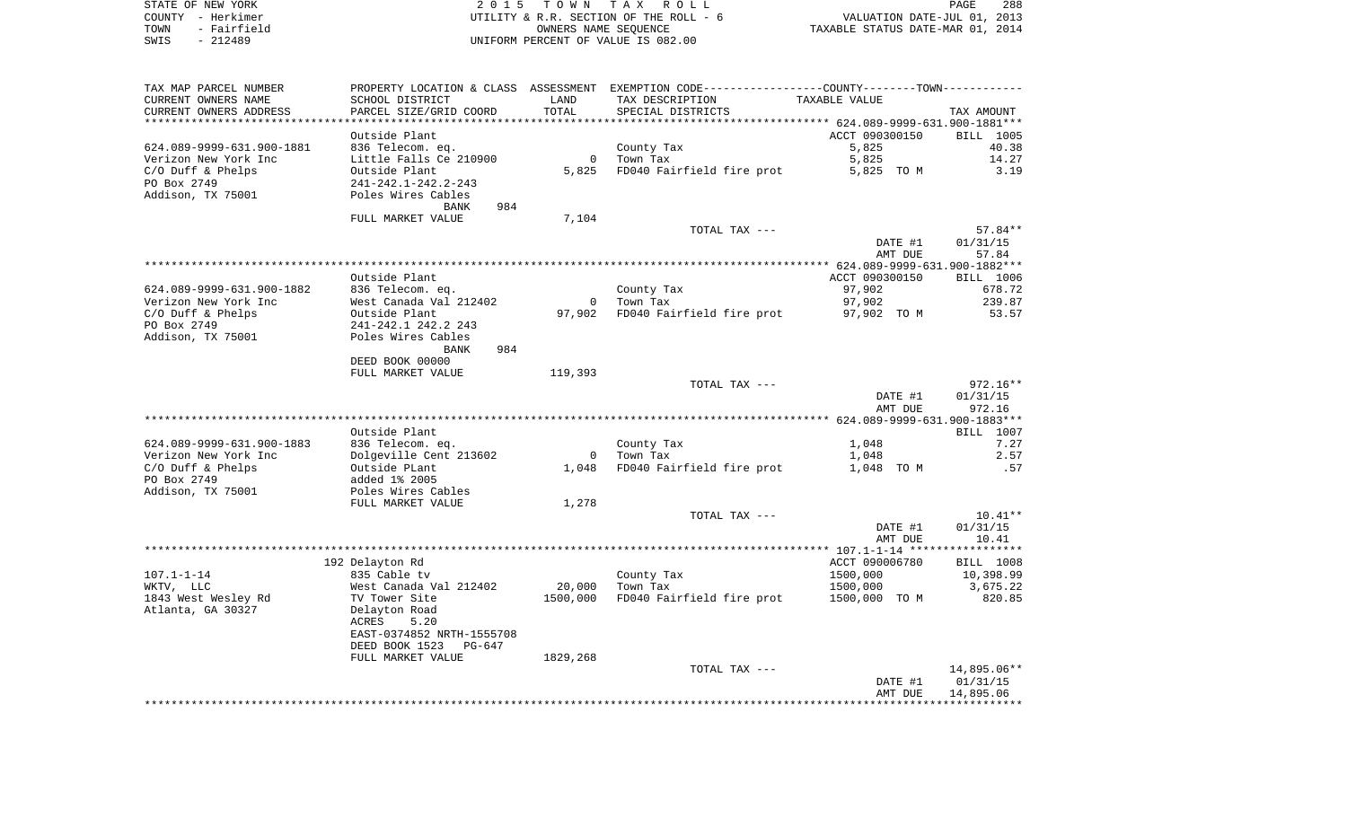|      | STATE OF NEW YORK | 2015 TOWN TAX ROLL                     |                                  | PAGE | 288 |
|------|-------------------|----------------------------------------|----------------------------------|------|-----|
|      | COUNTY - Herkimer | UTILITY & R.R. SECTION OF THE ROLL - 6 | VALUATION DATE-JUL 01, 2013      |      |     |
| TOWN | - Fairfield       | OWNERS NAME SEOUENCE                   | TAXABLE STATUS DATE-MAR 01, 2014 |      |     |
| SWIS | $-212489$         | UNIFORM PERCENT OF VALUE IS 082.00     |                                  |      |     |

| TAX MAP PARCEL NUMBER     |                                      |                | PROPERTY LOCATION & CLASS ASSESSMENT EXEMPTION CODE---------------COUNTY-------TOWN---------- |                |             |
|---------------------------|--------------------------------------|----------------|-----------------------------------------------------------------------------------------------|----------------|-------------|
| CURRENT OWNERS NAME       | SCHOOL DISTRICT                      | LAND           | TAX DESCRIPTION                                                                               | TAXABLE VALUE  |             |
| CURRENT OWNERS ADDRESS    | PARCEL SIZE/GRID COORD               | TOTAL          | SPECIAL DISTRICTS                                                                             |                | TAX AMOUNT  |
| *********************     | ***********************              |                |                                                                                               |                |             |
|                           | Outside Plant                        |                |                                                                                               | ACCT 090300150 | BILL 1005   |
| 624.089-9999-631.900-1881 | 836 Telecom. eq.                     |                | County Tax                                                                                    | 5,825          | 40.38       |
| Verizon New York Inc      | Little Falls Ce 210900               | $\mathbf 0$    | Town Tax                                                                                      | 5,825          | 14.27       |
| $C/O$ Duff & Phelps       | Outside Plant                        | 5,825          | FD040 Fairfield fire prot                                                                     | 5,825 TO M     | 3.19        |
| PO Box 2749               | 241-242.1-242.2-243                  |                |                                                                                               |                |             |
| Addison, TX 75001         | Poles Wires Cables                   |                |                                                                                               |                |             |
|                           | 984<br>BANK                          |                |                                                                                               |                |             |
|                           | FULL MARKET VALUE                    | 7,104          |                                                                                               |                |             |
|                           |                                      |                | TOTAL TAX ---                                                                                 |                | $57.84**$   |
|                           |                                      |                |                                                                                               | DATE #1        | 01/31/15    |
|                           |                                      |                |                                                                                               | AMT DUE        | 57.84       |
|                           |                                      |                |                                                                                               |                |             |
|                           | Outside Plant                        |                |                                                                                               | ACCT 090300150 | BILL 1006   |
| 624.089-9999-631.900-1882 | 836 Telecom. eq.                     |                | County Tax                                                                                    | 97,902         | 678.72      |
| Verizon New York Inc      | West Canada Val 212402               |                | 0 Town Tax                                                                                    | 97,902         | 239.87      |
| C/O Duff & Phelps         | Outside Plant                        | 97,902         | FD040 Fairfield fire prot                                                                     | 97,902 TO M    | 53.57       |
| PO Box 2749               | 241-242.1 242.2 243                  |                |                                                                                               |                |             |
| Addison, TX 75001         | Poles Wires Cables<br>984            |                |                                                                                               |                |             |
|                           | BANK                                 |                |                                                                                               |                |             |
|                           | DEED BOOK 00000<br>FULL MARKET VALUE | 119,393        |                                                                                               |                |             |
|                           |                                      |                | TOTAL TAX ---                                                                                 |                | $972.16**$  |
|                           |                                      |                |                                                                                               | DATE #1        | 01/31/15    |
|                           |                                      |                |                                                                                               | AMT DUE        | 972.16      |
|                           |                                      |                |                                                                                               |                |             |
|                           | Outside Plant                        |                |                                                                                               |                | BILL 1007   |
| 624.089-9999-631.900-1883 | 836 Telecom. eq.                     |                | County Tax                                                                                    | 1,048          | 7.27        |
| Verizon New York Inc      | Dolgeville Cent 213602               | $\overline{0}$ | Town Tax                                                                                      | 1,048          | 2.57        |
| $C/O$ Duff & Phelps       | Outside PLant                        | 1,048          | FD040 Fairfield fire prot                                                                     | 1,048 TO M     | .57         |
| PO Box 2749               | added 1% 2005                        |                |                                                                                               |                |             |
| Addison, TX 75001         | Poles Wires Cables                   |                |                                                                                               |                |             |
|                           | FULL MARKET VALUE                    | 1,278          |                                                                                               |                |             |
|                           |                                      |                | TOTAL TAX ---                                                                                 |                | $10.41**$   |
|                           |                                      |                |                                                                                               | DATE #1        | 01/31/15    |
|                           |                                      |                |                                                                                               | AMT DUE        | 10.41       |
|                           |                                      |                |                                                                                               |                |             |
|                           | 192 Delayton Rd                      |                |                                                                                               | ACCT 090006780 | BILL 1008   |
| $107.1 - 1 - 14$          | 835 Cable tv                         |                | County Tax                                                                                    | 1500,000       | 10,398.99   |
| WKTV, LLC                 | West Canada Val 212402               | 20,000         | Town Tax                                                                                      | 1500,000       | 3,675.22    |
| 1843 West Wesley Rd       | TV Tower Site                        | 1500,000       | FD040 Fairfield fire prot                                                                     | 1500,000 TO M  | 820.85      |
| Atlanta, GA 30327         | Delayton Road                        |                |                                                                                               |                |             |
|                           | 5.20<br>ACRES                        |                |                                                                                               |                |             |
|                           | EAST-0374852 NRTH-1555708            |                |                                                                                               |                |             |
|                           | DEED BOOK 1523<br>PG-647             |                |                                                                                               |                |             |
|                           | FULL MARKET VALUE                    | 1829,268       |                                                                                               |                |             |
|                           |                                      |                | TOTAL TAX ---                                                                                 |                | 14,895.06** |
|                           |                                      |                |                                                                                               | DATE #1        | 01/31/15    |
|                           |                                      |                |                                                                                               | AMT DUE        | 14,895.06   |
|                           |                                      |                |                                                                                               |                |             |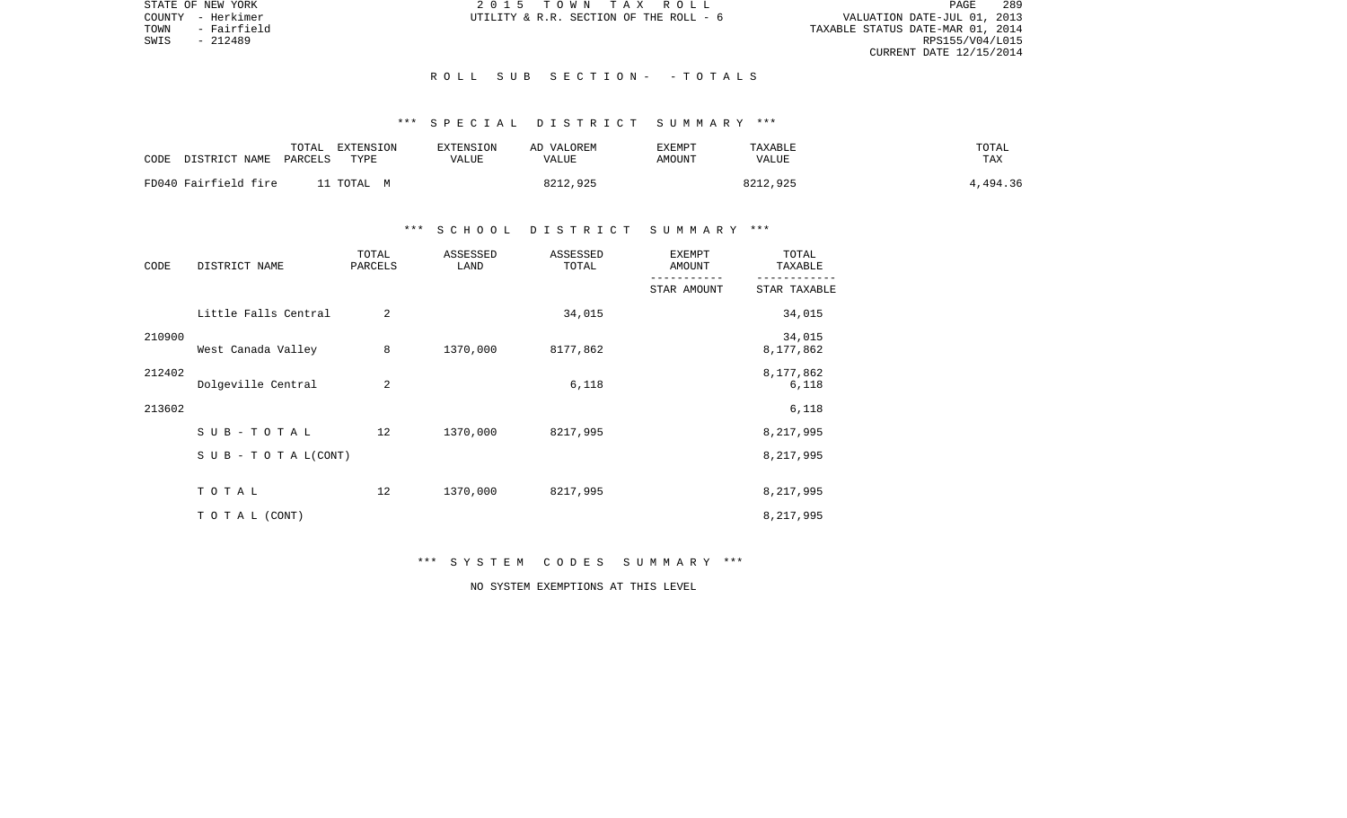STATE OF NEW YORK 2 0 1 5 T O W N T A X R O L L PAGE 289VALUATION DATE-JUL 01, 2013 TOWN - Fairfield TAXABLE STATUS DATE-MAR 01, 2014 RPS155/V04/L015 CURRENT DATE 12/15/2014

COUNTY - Herkimer  $UTILLITY \& R.R.$  SECTION OF THE ROLL - 6

### R O L L S U B S E C T I O N - - T O T A L S

# \*\*\* S P E C I A L D I S T R I C T S U M M A R Y \*\*\*

| CODE | DISTRICT NAME        | TOTAL<br>PARCELS | EXTENSION<br>TYPE | <b>EXTENSION</b><br>VALUE | AD VALOREM<br>VALUE | EXEMPT<br>AMOUNT | TAXABLE<br>VALUE | TOTAL<br><b>TAX</b> |
|------|----------------------|------------------|-------------------|---------------------------|---------------------|------------------|------------------|---------------------|
|      | FD040 Fairfield fire |                  | l1 TOTAL – M      |                           | 8212,925            |                  | 8212,925         | 4,494.36            |

## \*\*\* S C H O O L D I S T R I C T S U M M A R Y \*\*\*

| CODE   | DISTRICT NAME        | TOTAL<br>PARCELS | ASSESSED<br>LAND | ASSESSED<br>TOTAL | <b>EXEMPT</b><br>AMOUNT | TOTAL<br>TAXABLE    |  |
|--------|----------------------|------------------|------------------|-------------------|-------------------------|---------------------|--|
|        |                      |                  |                  |                   | STAR AMOUNT             | STAR TAXABLE        |  |
|        | Little Falls Central | $\overline{2}$   |                  | 34,015            |                         | 34,015              |  |
| 210900 | West Canada Valley   | 8                | 1370,000         | 8177,862          |                         | 34,015<br>8,177,862 |  |
| 212402 | Dolgeville Central   | 2                |                  | 6,118             |                         | 8,177,862<br>6,118  |  |
| 213602 |                      |                  |                  |                   |                         | 6,118               |  |
|        | SUB-TOTAL            | 12               | 1370,000         | 8217,995          |                         | 8,217,995           |  |
|        | SUB - TO TAL(CONT)   |                  |                  |                   |                         | 8,217,995           |  |
|        | TOTAL                | 12               | 1370,000         | 8217,995          |                         | 8,217,995           |  |
|        | TO TAL (CONT)        |                  |                  |                   |                         | 8,217,995           |  |

# \*\*\* S Y S T E M C O D E S S U M M A R Y \*\*\*

NO SYSTEM EXEMPTIONS AT THIS LEVEL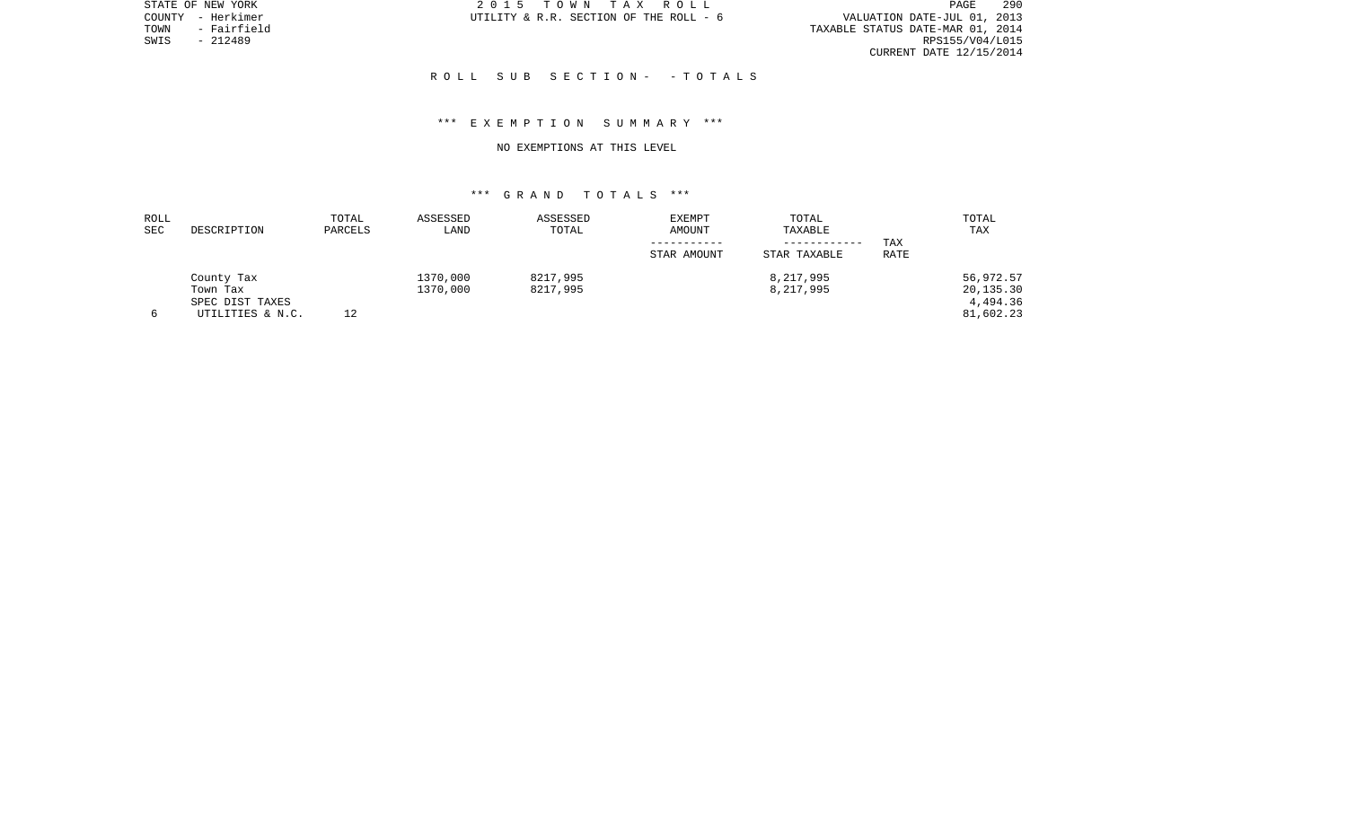STATE OF NEW YORK 2 0 1 5 T O W N T A X R O L L PAGE 290PAGE 290 TOWN - Fairfield TAXABLE STATUS DATE-MAR 01, 2014 CURRENT DATE 12/15/2014

COUNTY - Herkimer  $U$ TILITY & R.R. SECTION OF THE ROLL - 6

SWIS - 212489

### R O L L S U B S E C T I O N - - T O T A L S

## \*\*\* E X E M P T I O N S U M M A R Y \*\*\*

#### NO EXEMPTIONS AT THIS LEVEL

| ROLL |                  | TOTAL   | ASSESSED | ASSESSED | <b>EXEMPT</b> | TOTAL        |      | TOTAL     |
|------|------------------|---------|----------|----------|---------------|--------------|------|-----------|
| SEC  | DESCRIPTION      | PARCELS | LAND     | TOTAL    | AMOUNT        | TAXABLE      |      | TAX       |
|      |                  |         |          |          |               | ------------ | TAX  |           |
|      |                  |         |          |          | STAR AMOUNT   | STAR TAXABLE | RATE |           |
|      | County Tax       |         | 1370,000 | 8217,995 |               | 8,217,995    |      | 56,972.57 |
|      | Town Tax         |         | 1370,000 | 8217,995 |               | 8,217,995    |      | 20,135.30 |
|      | SPEC DIST TAXES  |         |          |          |               |              |      | 4,494.36  |
|      | UTILITIES & N.C. | 12      |          |          |               |              |      | 81,602.23 |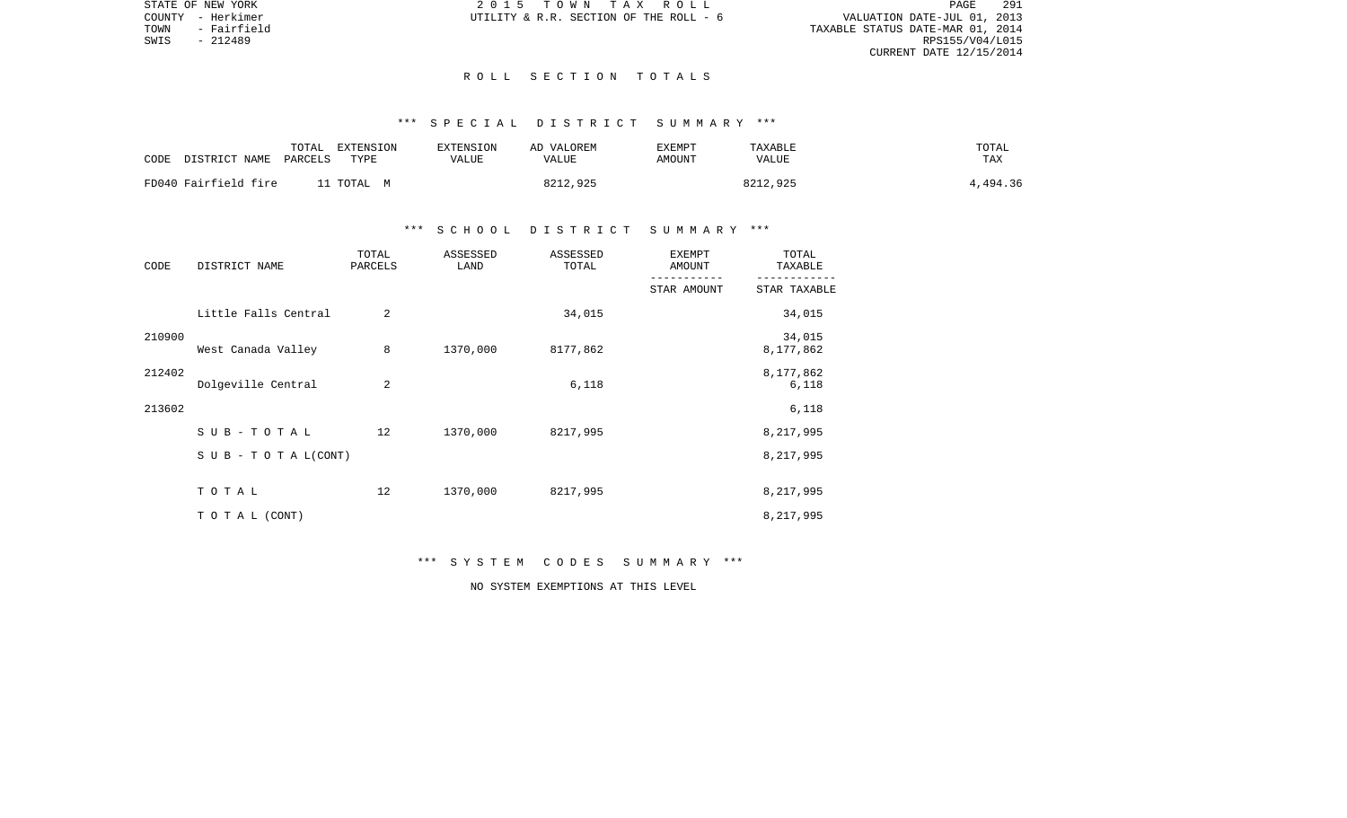STATE OF NEW YORK 2 0 1 5 T O W N T A X R O L L PAGE 291VALUATION DATE-JUL 01, 2013 TOWN - Fairfield TAXABLE STATUS DATE-MAR 01, 2014 RPS155/V04/L015 CURRENT DATE 12/15/2014

COUNTY - Herkimer  $UTILLITY \& R.R.$  SECTION OF THE ROLL - 6

### R O L L S E C T I O N T O T A L S

# \*\*\* S P E C I A L D I S T R I C T S U M M A R Y \*\*\*

| CODE | DISTRICT NAME        | TOTAL<br>PARCELS | EXTENSION<br>TYPE | EXTENSION<br>VALUE | AD VALOREM<br>VALUE | EXEMPT<br>AMOUNT | TAXABLE<br><b>VALUE</b> | TOTAL<br>TAX |
|------|----------------------|------------------|-------------------|--------------------|---------------------|------------------|-------------------------|--------------|
|      | FD040 Fairfield fire |                  | TOTAL M           |                    | 8212,925            |                  | 8212,925                | 4,494.36     |

## \*\*\* S C H O O L D I S T R I C T S U M M A R Y \*\*\*

| CODE   | DISTRICT NAME                    | TOTAL<br>PARCELS | ASSESSED<br>LAND | ASSESSED<br>TOTAL | <b>EXEMPT</b><br>AMOUNT | TOTAL<br>TAXABLE    |
|--------|----------------------------------|------------------|------------------|-------------------|-------------------------|---------------------|
|        |                                  |                  |                  |                   | STAR AMOUNT             | STAR TAXABLE        |
|        | Little Falls Central             | $\overline{2}$   |                  | 34,015            |                         | 34,015              |
| 210900 | West Canada Valley               | 8                | 1370,000         | 8177,862          |                         | 34,015<br>8,177,862 |
| 212402 | Dolgeville Central               | 2                |                  | 6,118             |                         | 8,177,862<br>6,118  |
| 213602 |                                  |                  |                  |                   |                         | 6,118               |
|        | SUB-TOTAL                        | 12               | 1370,000         | 8217,995          |                         | 8,217,995           |
|        | $S \cup B - T \cup T A L (CONT)$ |                  |                  |                   |                         | 8,217,995           |
|        | TOTAL                            | 12               | 1370,000         | 8217,995          |                         | 8,217,995           |
|        | TO TAL (CONT)                    |                  |                  |                   |                         | 8,217,995           |

\*\*\* S Y S T E M C O D E S S U M M A R Y \*\*\*

NO SYSTEM EXEMPTIONS AT THIS LEVEL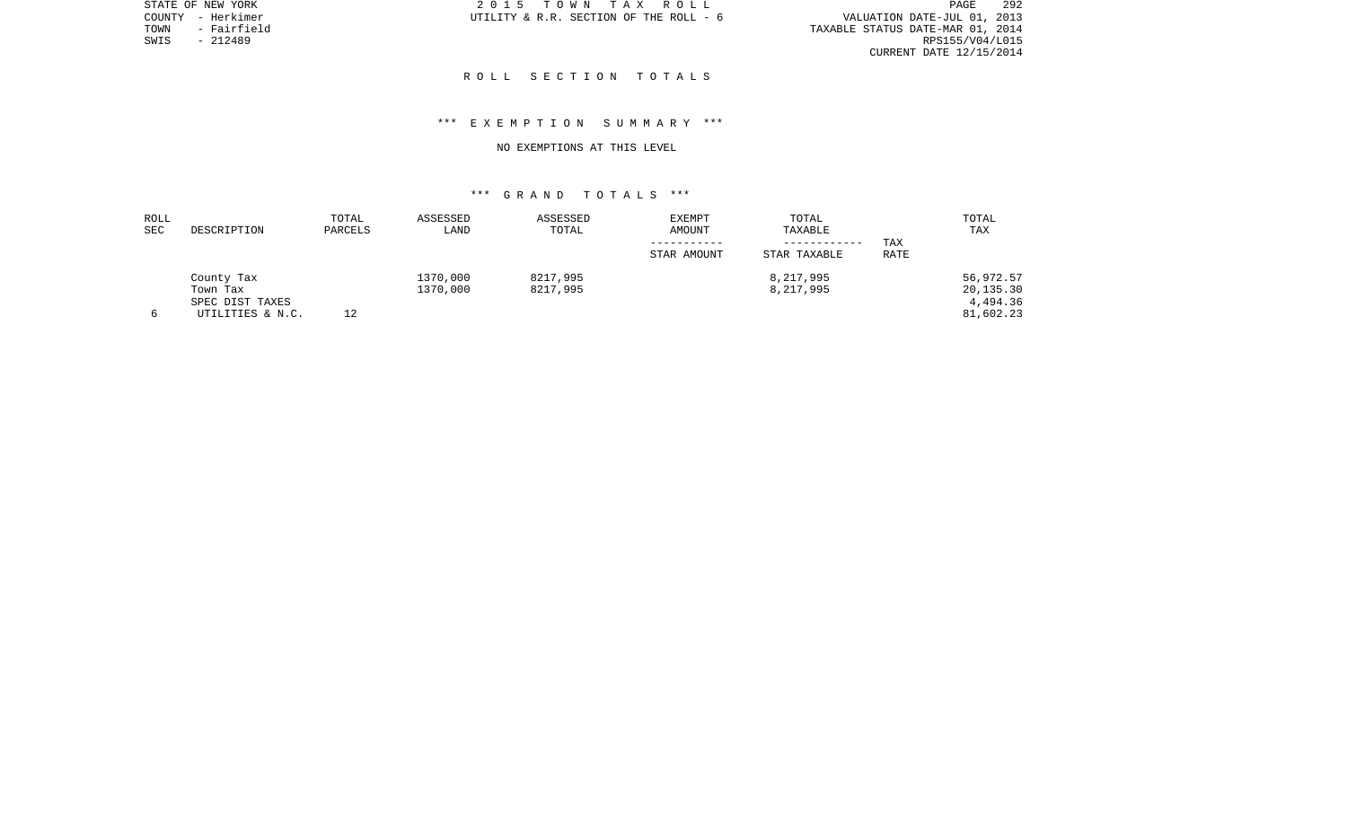STATE OF NEW YORK 2 0 1 5 T O W N T A X R O L L PAGE 292PAGE 292 TOWN - Fairfield TAXABLE STATUS DATE-MAR 01, 2014 CURRENT DATE 12/15/2014

COUNTY - Herkimer  $U$ TILITY & R.R. SECTION OF THE ROLL - 6

SWIS - 212489

## R O L L S E C T I O N T O T A L S

## \*\*\* E X E M P T I O N S U M M A R Y \*\*\*

#### NO EXEMPTIONS AT THIS LEVEL

| ROLL |                  | TOTAL   | ASSESSED | ASSESSED | EXEMPT      | TOTAL        |      | TOTAL     |
|------|------------------|---------|----------|----------|-------------|--------------|------|-----------|
| SEC  | DESCRIPTION      | PARCELS | LAND     | TOTAL    | AMOUNT      | TAXABLE      |      | TAX       |
|      |                  |         |          |          |             | ------------ | TAX  |           |
|      |                  |         |          |          | STAR AMOUNT | STAR TAXABLE | RATE |           |
|      | County Tax       |         | 1370,000 | 8217,995 |             | 8,217,995    |      | 56,972.57 |
|      | Town Tax         |         | 1370,000 | 8217,995 |             | 8,217,995    |      | 20,135.30 |
|      | SPEC DIST TAXES  |         |          |          |             |              |      | 4,494.36  |
|      | UTILITIES & N.C. | 12      |          |          |             |              |      | 81,602.23 |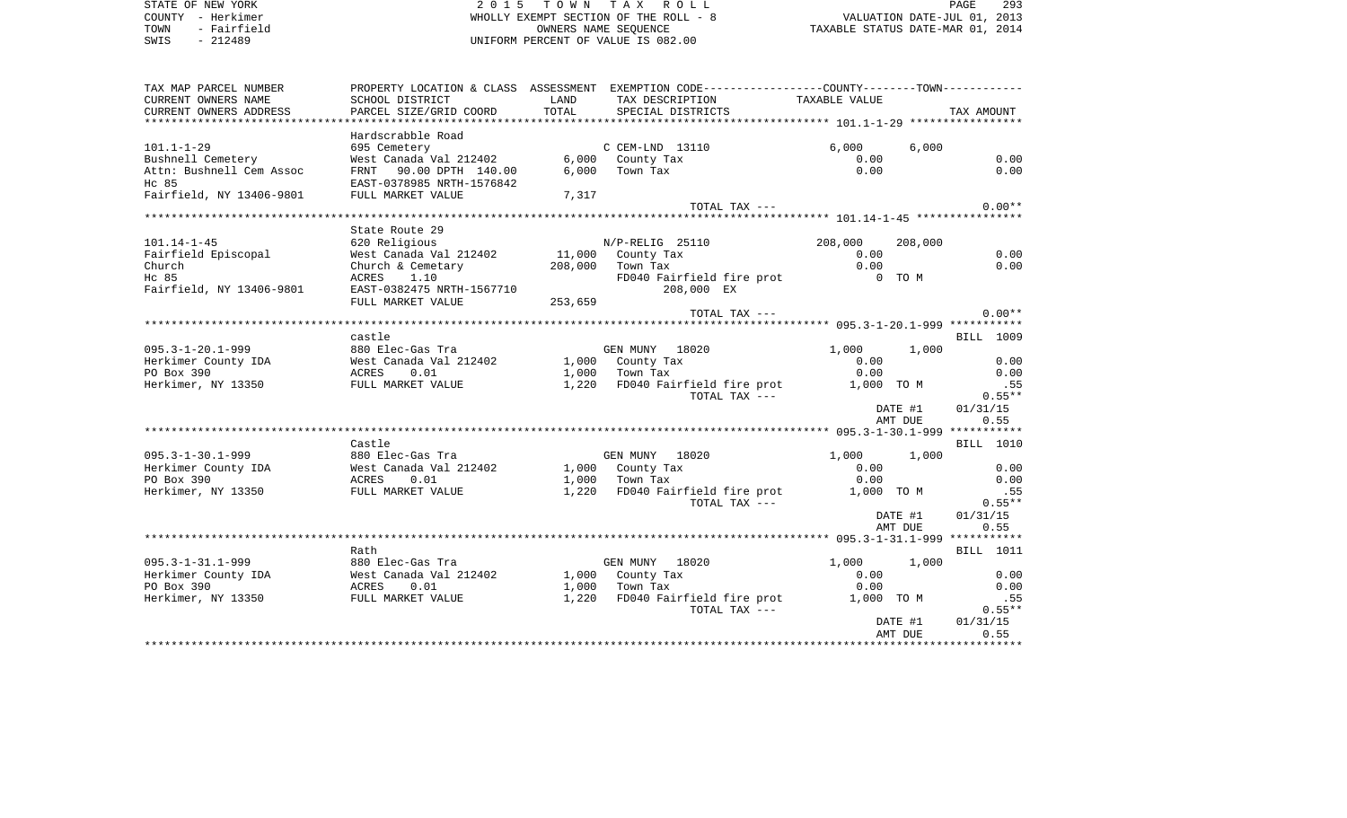STATE OF NEW YORK 2 0 1 5 T O W N T A X R O L L PAGE 293COUNTY - Herkimer WHOLLY EXEMPT SECTION OF THE ROLL - 8 VALUATION DATE-JUL 01, 2013 TOWN - Fairfield **Taxable State of the CONNERT CONNERS NAME SEQUENCE** TAXABLE STATUS DATE-MAR 01, 2014 SWIS - 212489 UNIFORM PERCENT OF VALUE IS 082.00TAX MAP PARCEL NUMBER PROPERTY LOCATION & CLASS ASSESSMENT EXEMPTION CODE------------------COUNTY--------TOWN------------ CURRENT OWNERS NAME SCHOOL DISTRICT LAND TAX DESCRIPTION TAXABLE VALUECURRENT OWNERS ADDRESS PARCEL SIZE/GRID COORD TOTAL SPECIAL DISTRICTS TAX AMOUNT \*\*\*\*\*\*\*\*\*\*\*\*\*\*\*\*\*\*\*\*\*\*\*\*\*\*\*\*\*\*\*\*\*\*\*\*\*\*\*\*\*\*\*\*\*\*\*\*\*\*\*\*\*\*\*\*\*\*\*\*\*\*\*\*\*\*\*\*\*\*\*\*\*\*\*\*\*\*\*\*\*\*\*\*\*\*\*\*\*\*\*\*\*\*\*\*\*\*\*\*\*\*\* 101.1-1-29 \*\*\*\*\*\*\*\*\*\*\*\*\*\*\*\*\* Hardscrabble Road 101.1-1-29 695 Cemetery C CEM-LND 13110 6,000 6,000 Bushnell Cemetery West Canada Val 212402 6,000 County Tax 0.00 0.00 Attn: Bushnell Cem Assoc 6 FRNT 90.00 DPTH 140.00 6,000 Town Tax 0.00 0.00 0.00 0.00 Hc 85 EAST-0378985 NRTH-1576842Fairfield, NY 13406-9801 FULL MARKET VALUE 7,317 TOTAL TAX  $---$  0.00\*\* \*\*\*\*\*\*\*\*\*\*\*\*\*\*\*\*\*\*\*\*\*\*\*\*\*\*\*\*\*\*\*\*\*\*\*\*\*\*\*\*\*\*\*\*\*\*\*\*\*\*\*\*\*\*\*\*\*\*\*\*\*\*\*\*\*\*\*\*\*\*\*\*\*\*\*\*\*\*\*\*\*\*\*\*\*\*\*\*\*\*\*\*\*\*\*\*\*\*\*\*\*\*\* 101.14-1-45 \*\*\*\*\*\*\*\*\*\*\*\*\*\*\*\* State Route 29101.14-1-45 620 Religious N/P-RELIG 25110 208,000 208,000 Fairfield Episcopal 6.00 West Canada Val 212402 11,000 County Tax 6.00 0.00 0.00 0.00 Church Church & Cemetary 208,000 Town Tax 0.00 0.00 Hc 85 **ACRES** 1.10 **FD040** Fairfield fire prot 0 TO M Fairfield, NY 13406-9801 EAST-0382475 NRTH-1567710 208,000 EX FULL MARKET VALUE 253,659 TOTAL TAX  $---$  0.00\*\* \*\*\*\*\*\*\*\*\*\*\*\*\*\*\*\*\*\*\*\*\*\*\*\*\*\*\*\*\*\*\*\*\*\*\*\*\*\*\*\*\*\*\*\*\*\*\*\*\*\*\*\*\*\*\*\*\*\*\*\*\*\*\*\*\*\*\*\*\*\*\*\*\*\*\*\*\*\*\*\*\*\*\*\*\*\*\*\*\*\*\*\*\*\*\*\*\*\*\*\*\*\*\* 095.3-1-20.1-999 \*\*\*\*\*\*\*\*\*\*\* castle BILL 1009095.3-1-20.1-999 880 Elec-Gas Tra GEN MUNY 18020 1,000 1,000 Herkimer County IDA West Canada Val 212402 1,000 County Tax 0.00 0.00 PO Box 390 ACRES 0.01 1,000 Town Tax 0.00 0.00 Herkimer, NY 13350 FULL MARKET VALUE 1,220 FD040 Fairfield fire prot 1,000 TO M .55 TOTAL TAX  $---$  0.55\*\* DATE #1 01/31/15 AMT DUE 0.55 \*\*\*\*\*\*\*\*\*\*\*\*\*\*\*\*\*\*\*\*\*\*\*\*\*\*\*\*\*\*\*\*\*\*\*\*\*\*\*\*\*\*\*\*\*\*\*\*\*\*\*\*\*\*\*\*\*\*\*\*\*\*\*\*\*\*\*\*\*\*\*\*\*\*\*\*\*\*\*\*\*\*\*\*\*\*\*\*\*\*\*\*\*\*\*\*\*\*\*\*\*\*\* 095.3-1-30.1-999 \*\*\*\*\*\*\*\*\*\*\* Castle BILL 1010095.3-1-30.1-999 880 Elec-Gas Tra GEN MUNY 18020 1,000 1,000 Herkimer County IDA West Canada Val 212402 1,000 County Tax 0.00 0.00 PO Box 390 ACRES 0.01 1,000 Town Tax 0.00 0.00 Herkimer, NY 13350 FULL MARKET VALUE 1,220 FD040 Fairfield fire prot 1,000 TO M .55 TOTAL TAX  $---$  0.55\*\* DATE #1 01/31/15 AMT DUE 0.55 \*\*\*\*\*\*\*\*\*\*\*\*\*\*\*\*\*\*\*\*\*\*\*\*\*\*\*\*\*\*\*\*\*\*\*\*\*\*\*\*\*\*\*\*\*\*\*\*\*\*\*\*\*\*\*\*\*\*\*\*\*\*\*\*\*\*\*\*\*\*\*\*\*\*\*\*\*\*\*\*\*\*\*\*\*\*\*\*\*\*\*\*\*\*\*\*\*\*\*\*\*\*\* 095.3-1-31.1-999 \*\*\*\*\*\*\*\*\*\*\*BILL 1011 Rath BILL 1011095.3-1-31.1-999 880 Elec-Gas Tra GEN MUNY 18020 1,000 1,000 Herkimer County IDA West Canada Val 212402 1,000 County Tax 0.00 0.00 PO Box 390 ACRES 0.01 1,000 Town Tax 0.00 0.00 Herkimer, NY 13350 FULL MARKET VALUE 1,220 FD040 Fairfield fire prot 1,000 TO M .55 TOTAL TAX  $---$  0.55\*\* DATE #1 01/31/15 AMT DUE 0.55 \*\*\*\*\*\*\*\*\*\*\*\*\*\*\*\*\*\*\*\*\*\*\*\*\*\*\*\*\*\*\*\*\*\*\*\*\*\*\*\*\*\*\*\*\*\*\*\*\*\*\*\*\*\*\*\*\*\*\*\*\*\*\*\*\*\*\*\*\*\*\*\*\*\*\*\*\*\*\*\*\*\*\*\*\*\*\*\*\*\*\*\*\*\*\*\*\*\*\*\*\*\*\*\*\*\*\*\*\*\*\*\*\*\*\*\*\*\*\*\*\*\*\*\*\*\*\*\*\*\*\*\*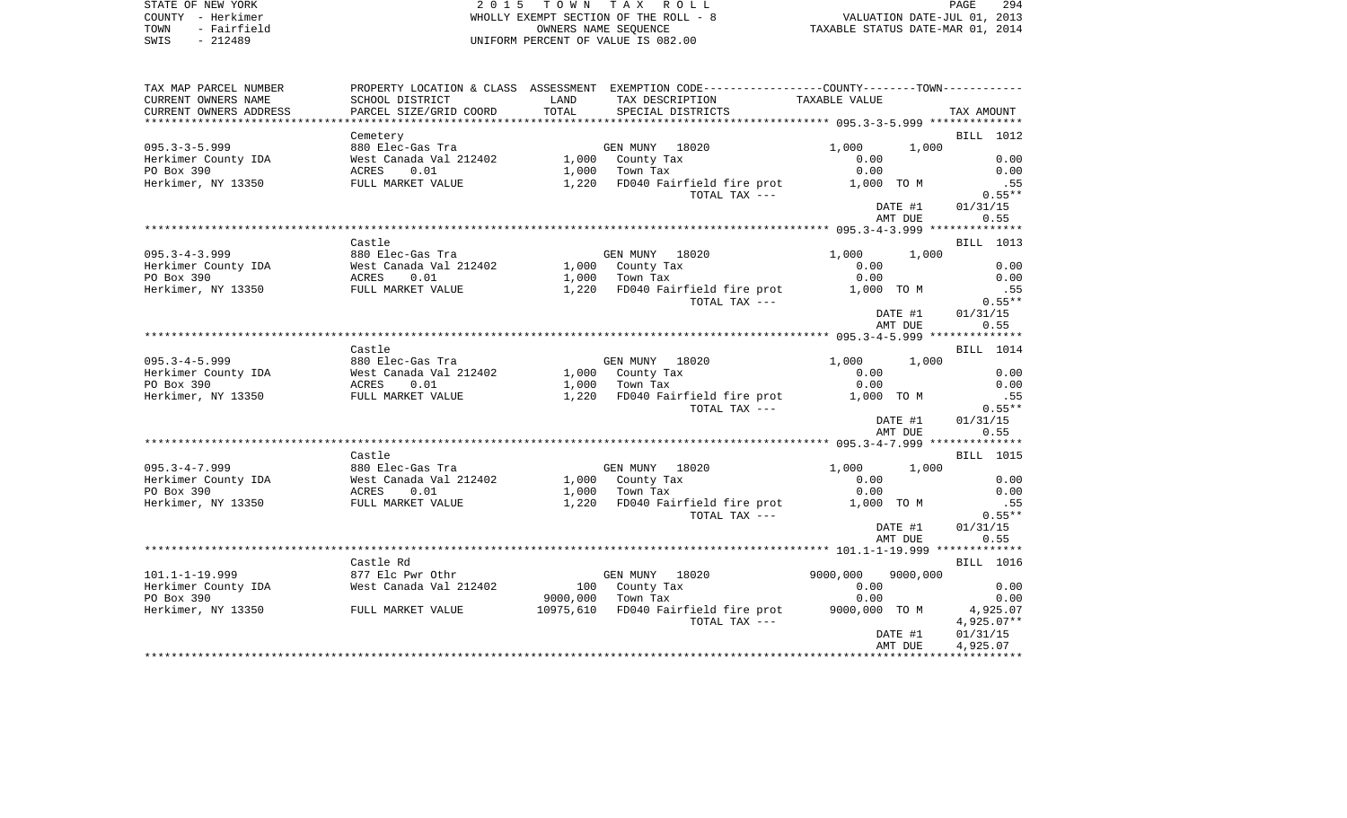| STATE OF NEW YORK      | 2015 TOWN TAX ROLL                    | 294<br>PAGE                      |
|------------------------|---------------------------------------|----------------------------------|
| COUNTY - Herkimer      | WHOLLY EXEMPT SECTION OF THE ROLL - 8 | VALUATION DATE-JUL 01, 2013      |
| TOWN<br>- Fairfield    | OWNERS NAME SEOUENCE                  | TAXABLE STATUS DATE-MAR 01, 2014 |
| $- - - - -$<br>0.70100 | $\frac{1}{2}$                         |                                  |

STATE OF NEW YORK  $2015$  TO W N T COUNTY - Herkimer<br>TOWN - Fairfield - Town - Fairfield<br>SWIS - 212489 - 2012 - 2012 - 2012 - 2012 - 2013 SWIS - 212489 UNIFORM PERCENT OF VALUE IS 082.00

| TAX MAP PARCEL NUMBER  |                         |           | PROPERTY LOCATION & CLASS ASSESSMENT EXEMPTION CODE---------------COUNTY-------TOWN---------- |               |          |                  |
|------------------------|-------------------------|-----------|-----------------------------------------------------------------------------------------------|---------------|----------|------------------|
| CURRENT OWNERS NAME    | SCHOOL DISTRICT         | LAND      | TAX DESCRIPTION                                                                               | TAXABLE VALUE |          |                  |
| CURRENT OWNERS ADDRESS | PARCEL SIZE/GRID COORD  | TOTAL     | SPECIAL DISTRICTS                                                                             |               |          | TAX AMOUNT       |
| *********************  | *********************** |           |                                                                                               |               |          |                  |
|                        | Cemetery                |           |                                                                                               |               |          | <b>BILL</b> 1012 |
| $095.3 - 3 - 5.999$    | 880 Elec-Gas Tra        |           | GEN MUNY 18020                                                                                | 1,000         | 1,000    |                  |
| Herkimer County IDA    | West Canada Val 212402  |           | 1,000 County Tax                                                                              | 0.00          |          | 0.00             |
| PO Box 390             | ACRES<br>0.01           | 1,000     | Town Tax                                                                                      | 0.00          |          | 0.00             |
| Herkimer, NY 13350     | FULL MARKET VALUE       | 1,220     | FD040 Fairfield fire prot                                                                     | 1,000 TO M    |          | .55              |
|                        |                         |           | TOTAL TAX ---                                                                                 |               |          | $0.55**$         |
|                        |                         |           |                                                                                               |               | DATE #1  | 01/31/15         |
|                        |                         |           |                                                                                               |               | AMT DUE  | 0.55             |
|                        |                         |           |                                                                                               |               |          |                  |
|                        | Castle                  |           |                                                                                               |               |          | <b>BILL</b> 1013 |
| $095.3 - 4 - 3.999$    |                         |           | GEN MUNY 18020                                                                                | 1,000         |          |                  |
|                        | 880 Elec-Gas Tra        |           |                                                                                               |               | 1,000    |                  |
| Herkimer County IDA    | West Canada Val 212402  |           | 1,000 County Tax                                                                              | 0.00          |          | 0.00             |
| PO Box 390             | ACRES<br>0.01           | 1,000     | Town Tax                                                                                      | 0.00          |          | 0.00             |
| Herkimer, NY 13350     | FULL MARKET VALUE       |           | 1,220 FD040 Fairfield fire prot                                                               | 1,000 TO M    |          | .55              |
|                        |                         |           | TOTAL TAX ---                                                                                 |               |          | $0.55**$         |
|                        |                         |           |                                                                                               |               | DATE #1  | 01/31/15         |
|                        |                         |           |                                                                                               |               | AMT DUE  | 0.55             |
|                        |                         |           |                                                                                               |               |          |                  |
|                        | Castle                  |           |                                                                                               |               |          | BILL 1014        |
| $095.3 - 4 - 5.999$    | 880 Elec-Gas Tra        |           | GEN MUNY 18020                                                                                | 1,000         | 1,000    |                  |
| Herkimer County IDA    | West Canada Val 212402  |           | 1,000 County Tax                                                                              | 0.00          |          | 0.00             |
| PO Box 390             | ACRES<br>0.01           |           | $1,000$ Town Tax                                                                              | 0.00          |          | 0.00             |
| Herkimer, NY 13350     | FULL MARKET VALUE       | 1,220     | FD040 Fairfield fire prot                                                                     | 1,000 TO M    |          | .55              |
|                        |                         |           | TOTAL TAX ---                                                                                 |               |          | $0.55**$         |
|                        |                         |           |                                                                                               |               | DATE #1  | 01/31/15         |
|                        |                         |           |                                                                                               |               | AMT DUE  | 0.55             |
|                        |                         |           |                                                                                               |               |          |                  |
|                        | Castle                  |           |                                                                                               |               |          | <b>BILL</b> 1015 |
| $095.3 - 4 - 7.999$    | 880 Elec-Gas Tra        |           | GEN MUNY 18020                                                                                | 1,000         | 1,000    |                  |
| Herkimer County IDA    | West Canada Val 212402  |           | 1,000 County Tax                                                                              | 0.00          |          | 0.00             |
| PO Box 390             | ACRES<br>0.01           |           | $1,000$ Town Tax                                                                              | 0.00          |          | 0.00             |
| Herkimer, NY 13350     | FULL MARKET VALUE       |           | 1,220 FD040 Fairfield fire prot                                                               | 1,000 TO M    |          | .55              |
|                        |                         |           | TOTAL TAX ---                                                                                 |               |          | $0.55**$         |
|                        |                         |           |                                                                                               |               |          | 01/31/15         |
|                        |                         |           |                                                                                               |               | DATE #1  | 0.55             |
|                        |                         |           |                                                                                               |               | AMT DUE  |                  |
|                        |                         |           |                                                                                               |               |          |                  |
|                        | Castle Rd               |           |                                                                                               |               |          | <b>BILL</b> 1016 |
| $101.1 - 1 - 19.999$   | 877 Elc Pwr Othr        |           | GEN MUNY 18020                                                                                | 9000,000      | 9000,000 |                  |
| Herkimer County IDA    | West Canada Val 212402  |           | 100 County Tax                                                                                | 0.00          |          | 0.00             |
| PO Box 390             |                         | 9000,000  | Town Tax                                                                                      | 0.00          |          | 0.00             |
| Herkimer, NY 13350     | FULL MARKET VALUE       | 10975,610 | FD040 Fairfield fire prot                                                                     | 9000,000 TO M |          | 4,925.07         |
|                        |                         |           | TOTAL TAX ---                                                                                 |               |          | 4,925.07**       |
|                        |                         |           |                                                                                               |               | DATE #1  | 01/31/15         |
|                        |                         |           |                                                                                               |               | AMT DUE  | 4,925.07         |
|                        |                         |           |                                                                                               |               |          |                  |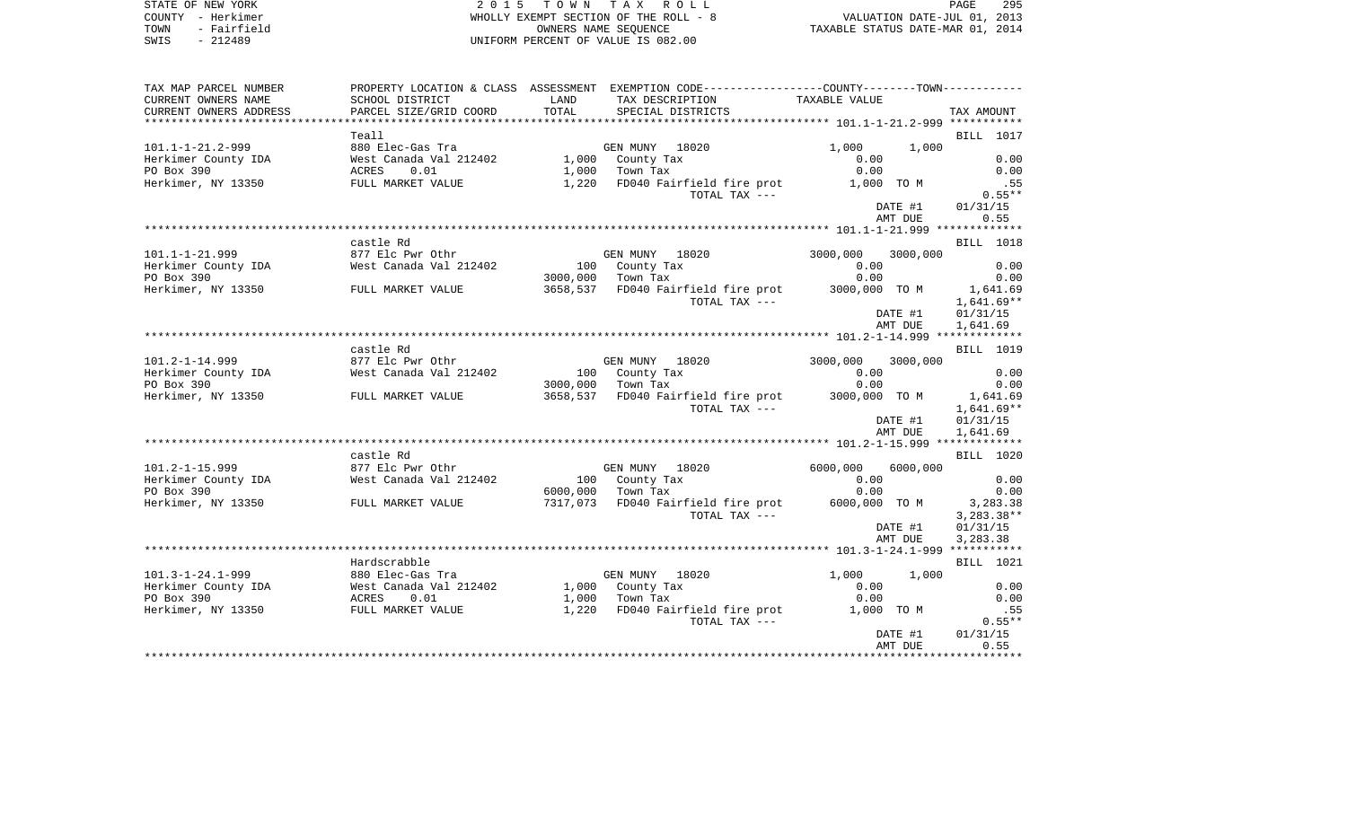|  | PAGE                       |  |
|--|----------------------------|--|
|  | VALUATION DATE-JUL 01      |  |
|  | TAXABLE STATUS DATE-MAR 01 |  |

295

STATE OF NEW YORK COUNTY - Herkimer (All Sammer Medicine 1995) and the MECHAN COUNTY - Herkimer (2013) and the MECHAN MECHANING EXEMPT SECTION OF THE ROLL - 8 (2013) AND DATE-JUL 01, 2013<br>TOWN - Fairfield (All Sammer MecHA WHOLLY EXEMPT SECTION OF THE ROLL -  $8$ OWNERS NAME SEQUENCE SWIS - 212489 UNIFORM PERCENT OF VALUE IS 082.00

| TAX MAP PARCEL NUMBER    |                        |          | PROPERTY LOCATION & CLASS ASSESSMENT EXEMPTION CODE---------------COUNTY-------TOWN--------- |               |          |                  |
|--------------------------|------------------------|----------|----------------------------------------------------------------------------------------------|---------------|----------|------------------|
| CURRENT OWNERS NAME      | SCHOOL DISTRICT        | LAND     | TAX DESCRIPTION                                                                              | TAXABLE VALUE |          |                  |
| CURRENT OWNERS ADDRESS   | PARCEL SIZE/GRID COORD | TOTAL    | SPECIAL DISTRICTS                                                                            |               |          | TAX AMOUNT       |
|                          |                        |          |                                                                                              |               |          |                  |
|                          | Teall                  |          |                                                                                              |               |          | <b>BILL</b> 1017 |
| $101.1 - 1 - 21.2 - 999$ | 880 Elec-Gas Tra       |          | GEN MUNY 18020                                                                               | 1,000         | 1,000    |                  |
| Herkimer County IDA      | West Canada Val 212402 |          | 1,000 County Tax                                                                             | 0.00          |          | 0.00             |
| PO Box 390               | 0.01<br>ACRES          |          | $1,000$ Town Tax                                                                             | 0.00          |          | 0.00             |
|                          |                        |          |                                                                                              |               |          |                  |
| Herkimer, NY 13350       | FULL MARKET VALUE      |          | 1,220 FD040 Fairfield fire prot                                                              | 1,000 TO M    |          | .55              |
|                          |                        |          | TOTAL TAX ---                                                                                |               |          | $0.55**$         |
|                          |                        |          |                                                                                              |               | DATE #1  | 01/31/15         |
|                          |                        |          |                                                                                              |               | AMT DUE  | 0.55             |
|                          |                        |          |                                                                                              |               |          |                  |
|                          | castle Rd              |          |                                                                                              |               |          | BILL 1018        |
| $101.1 - 1 - 21.999$     | 877 Elc Pwr Othr       |          | GEN MUNY 18020                                                                               | 3000,000      | 3000,000 |                  |
| Herkimer County IDA      | West Canada Val 212402 |          | 100 County Tax                                                                               | 0.00          |          | 0.00             |
| PO Box 390               |                        | 3000,000 | Town Tax                                                                                     | 0.00          |          | 0.00             |
| Herkimer, NY 13350       | FULL MARKET VALUE      |          | 3658,537 FD040 Fairfield fire prot                                                           | 3000,000 TO M |          | 1,641.69         |
|                          |                        |          | TOTAL TAX ---                                                                                |               |          | 1,641.69**       |
|                          |                        |          |                                                                                              |               | DATE #1  | 01/31/15         |
|                          |                        |          |                                                                                              |               | AMT DUE  | 1,641.69         |
|                          |                        |          |                                                                                              |               |          |                  |
|                          | castle Rd              |          |                                                                                              |               |          | <b>BILL</b> 1019 |
| $101.2 - 1 - 14.999$     | 877 Elc Pwr Othr       |          | GEN MUNY 18020                                                                               | 3000,000      | 3000,000 |                  |
| Herkimer County IDA      | West Canada Val 212402 |          | 100 County Tax                                                                               | 0.00          |          | 0.00             |
| PO Box 390               |                        |          | 3000,000 Town Tax                                                                            | 0.00          |          | 0.00             |
| Herkimer, NY 13350       | FULL MARKET VALUE      |          | 3658,537 FD040 Fairfield fire prot 3000,000 TO M                                             |               |          | 1,641.69         |
|                          |                        |          | TOTAL TAX ---                                                                                |               |          | $1,641.69**$     |
|                          |                        |          |                                                                                              |               | DATE #1  | 01/31/15         |
|                          |                        |          |                                                                                              |               | AMT DUE  | 1,641.69         |
|                          |                        |          |                                                                                              |               |          |                  |
|                          | castle Rd              |          |                                                                                              |               |          | <b>BILL</b> 1020 |
| $101.2 - 1 - 15.999$     | 877 Elc Pwr Othr       |          | GEN MUNY 18020                                                                               | 6000,000      | 6000,000 |                  |
| Herkimer County IDA      | West Canada Val 212402 |          | 100 County Tax                                                                               | 0.00          |          | 0.00             |
| PO Box 390               |                        |          | 6000,000 Town Tax                                                                            | 0.00          |          | 0.00             |
|                          |                        |          | 7317,073 FD040 Fairfield fire prot                                                           | 6000,000 TO M |          |                  |
| Herkimer, NY 13350       | FULL MARKET VALUE      |          |                                                                                              |               |          | 3,283.38         |
|                          |                        |          | TOTAL TAX ---                                                                                |               |          | $3,283.38**$     |
|                          |                        |          |                                                                                              |               | DATE #1  | 01/31/15         |
|                          |                        |          |                                                                                              |               | AMT DUE  | 3,283.38         |
|                          |                        |          |                                                                                              |               |          |                  |
|                          | Hardscrabble           |          |                                                                                              |               |          | <b>BILL</b> 1021 |
| $101.3 - 1 - 24.1 - 999$ | 880 Elec-Gas Tra       |          | GEN MUNY 18020                                                                               | 1,000         | 1,000    |                  |
| Herkimer County IDA      | West Canada Val 212402 |          | 1,000 County Tax                                                                             | 0.00          |          | 0.00             |
| PO Box 390               | ACRES<br>0.01          |          | $1,000$ Town Tax                                                                             | 0.00          |          | 0.00             |
| Herkimer, NY 13350       | FULL MARKET VALUE      |          | 1,220 FD040 Fairfield fire prot                                                              | 1,000 TO M    |          | .55              |
|                          |                        |          | TOTAL TAX ---                                                                                |               |          | $0.55**$         |
|                          |                        |          |                                                                                              |               | DATE #1  | 01/31/15         |
|                          |                        |          |                                                                                              |               | AMT DUE  | 0.55             |
|                          |                        |          |                                                                                              |               |          |                  |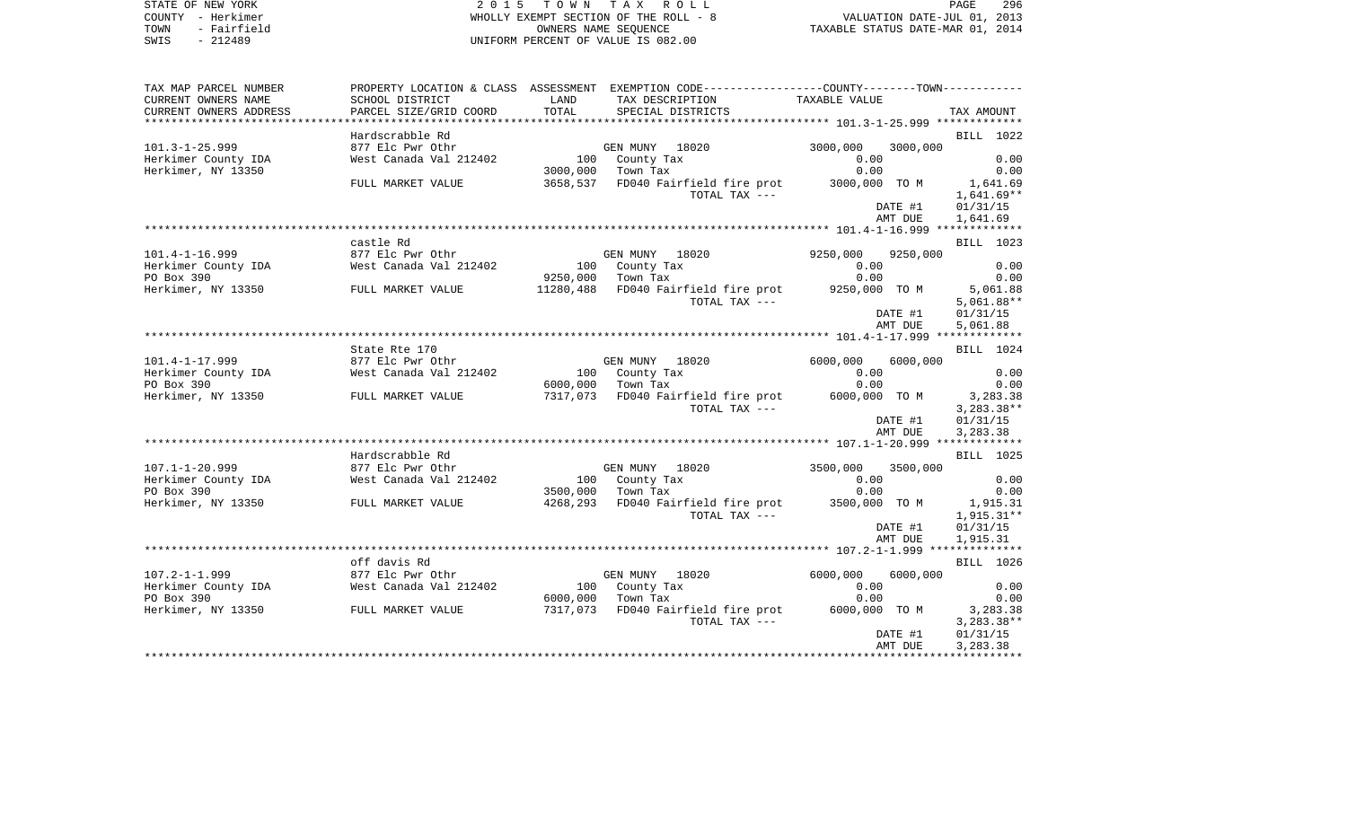| STATE OF NEW YORK<br>COUNTY - Herkimer<br>- Fairfield<br>TOWN<br>SWIS<br>$-212489$ | TOWN TAX ROLL<br>2 0 1 5<br>WHOLLY EXEMPT SECTION OF THE ROLL - 8<br>OWNERS NAME SEOUENCE<br>UNIFORM PERCENT OF VALUE IS 082.00 |               |                                                                                                                                        | 296<br>PAGE<br>VALUATION DATE-JUL 01, 2013<br>TAXABLE STATUS DATE-MAR 01, 2014 |                                    |  |  |
|------------------------------------------------------------------------------------|---------------------------------------------------------------------------------------------------------------------------------|---------------|----------------------------------------------------------------------------------------------------------------------------------------|--------------------------------------------------------------------------------|------------------------------------|--|--|
| TAX MAP PARCEL NUMBER<br>CURRENT OWNERS NAME<br>CURRENT OWNERS ADDRESS             | SCHOOL DISTRICT<br>PARCEL SIZE/GRID COORD                                                                                       | LAND<br>TOTAL | PROPERTY LOCATION & CLASS ASSESSMENT EXEMPTION CODE----------------COUNTY-------TOWN----------<br>TAX DESCRIPTION<br>SPECIAL DISTRICTS | TAXABLE VALUE                                                                  | TAX AMOUNT                         |  |  |
|                                                                                    |                                                                                                                                 |               |                                                                                                                                        |                                                                                |                                    |  |  |
|                                                                                    | Hardscrabble Rd                                                                                                                 |               |                                                                                                                                        |                                                                                | BILL 1022                          |  |  |
| $101.3 - 1 - 25.999$                                                               | 877 Elc Pwr Othr                                                                                                                |               | GEN MUNY 18020                                                                                                                         | 3000,000<br>3000,000                                                           |                                    |  |  |
| Herkimer County IDA                                                                | West Canada Val 212402                                                                                                          | 100           | County Tax                                                                                                                             | 0.00                                                                           | 0.00                               |  |  |
| Herkimer, NY 13350                                                                 |                                                                                                                                 | 3000,000      | Town Tax                                                                                                                               | 0.00                                                                           | 0.00                               |  |  |
|                                                                                    | FULL MARKET VALUE                                                                                                               | 3658,537      | FD040 Fairfield fire prot<br>TOTAL TAX ---                                                                                             | 3000,000 TO M<br>DATE #1                                                       | 1,641.69<br>1,641.69**<br>01/31/15 |  |  |
|                                                                                    |                                                                                                                                 |               |                                                                                                                                        | AMT DUE                                                                        | 1,641.69                           |  |  |
|                                                                                    |                                                                                                                                 |               |                                                                                                                                        |                                                                                |                                    |  |  |
|                                                                                    | castle Rd                                                                                                                       |               |                                                                                                                                        |                                                                                | BILL 1023                          |  |  |
| $101.4 - 1 - 16.999$                                                               | 877 Elc Pwr Othr                                                                                                                |               | GEN MUNY 18020                                                                                                                         | 9250,000<br>9250,000                                                           |                                    |  |  |
| Herkimer County IDA                                                                | West Canada Val 212402                                                                                                          | 100           | County Tax                                                                                                                             | 0.00                                                                           | 0.00                               |  |  |
| PO Box 390                                                                         |                                                                                                                                 | 9250,000      | Town Tax                                                                                                                               | 0.00                                                                           | 0.00                               |  |  |
| Herkimer, NY 13350                                                                 | FULL MARKET VALUE                                                                                                               | 11280,488     | FD040 Fairfield fire prot                                                                                                              | 9250,000 TO M                                                                  | 5,061.88                           |  |  |
|                                                                                    |                                                                                                                                 |               | TOTAL TAX ---                                                                                                                          |                                                                                | $5,061.88**$                       |  |  |
|                                                                                    |                                                                                                                                 |               |                                                                                                                                        | DATE #1                                                                        | 01/31/15                           |  |  |
|                                                                                    |                                                                                                                                 |               |                                                                                                                                        | AMT DUE                                                                        | 5,061.88                           |  |  |
|                                                                                    | State Rte 170                                                                                                                   |               |                                                                                                                                        |                                                                                | BILL 1024                          |  |  |
| $101.4 - 1 - 17.999$                                                               | 877 Elc Pwr Othr                                                                                                                |               | GEN MUNY 18020                                                                                                                         | 6000,000<br>6000,000                                                           |                                    |  |  |
| Herkimer County IDA                                                                | West Canada Val 212402                                                                                                          | 100           | County Tax                                                                                                                             | 0.00                                                                           | 0.00                               |  |  |
| PO Box 390                                                                         |                                                                                                                                 | 6000,000      | Town Tax                                                                                                                               | 0.00                                                                           | 0.00                               |  |  |
| Herkimer, NY 13350                                                                 | FULL MARKET VALUE                                                                                                               | 7317,073      | FD040 Fairfield fire prot                                                                                                              | 6000,000 TO M                                                                  | 3,283.38                           |  |  |
|                                                                                    |                                                                                                                                 |               | TOTAL TAX ---                                                                                                                          |                                                                                | $3,283.38**$                       |  |  |
|                                                                                    |                                                                                                                                 |               |                                                                                                                                        | DATE #1                                                                        | 01/31/15                           |  |  |
|                                                                                    |                                                                                                                                 |               |                                                                                                                                        | AMT DUE                                                                        | 3,283.38                           |  |  |
|                                                                                    |                                                                                                                                 |               |                                                                                                                                        |                                                                                |                                    |  |  |
|                                                                                    | Hardscrabble Rd                                                                                                                 |               |                                                                                                                                        |                                                                                | BILL 1025                          |  |  |
| $107.1 - 1 - 20.999$                                                               | 877 Elc Pwr Othr                                                                                                                |               | GEN MUNY 18020                                                                                                                         | 3500,000<br>3500,000                                                           |                                    |  |  |
| Herkimer County IDA                                                                | West Canada Val 212402                                                                                                          | 100           | County Tax                                                                                                                             | 0.00                                                                           | 0.00                               |  |  |
| PO Box 390                                                                         |                                                                                                                                 | 3500,000      | Town Tax                                                                                                                               | 0.00                                                                           | 0.00                               |  |  |
| Herkimer, NY 13350                                                                 | FULL MARKET VALUE                                                                                                               | 4268,293      | FD040 Fairfield fire prot                                                                                                              | 3500,000 TO M                                                                  | 1,915.31                           |  |  |
|                                                                                    |                                                                                                                                 |               | TOTAL TAX ---                                                                                                                          |                                                                                | 1,915.31**                         |  |  |
|                                                                                    |                                                                                                                                 |               |                                                                                                                                        | DATE #1                                                                        | 01/31/15                           |  |  |
|                                                                                    |                                                                                                                                 |               |                                                                                                                                        | AMT DUE                                                                        | 1,915.31                           |  |  |
|                                                                                    |                                                                                                                                 |               |                                                                                                                                        |                                                                                |                                    |  |  |
|                                                                                    | off davis Rd                                                                                                                    |               |                                                                                                                                        |                                                                                | BILL 1026                          |  |  |
| $107.2 - 1 - 1.999$                                                                | 877 Elc Pwr Othr                                                                                                                |               | GEN MUNY<br>18020                                                                                                                      | 6000,000<br>6000,000                                                           |                                    |  |  |
| Herkimer County IDA                                                                | West Canada Val 212402                                                                                                          | 100           | County Tax                                                                                                                             | 0.00                                                                           | 0.00                               |  |  |
| PO Box 390                                                                         |                                                                                                                                 | 6000,000      | Town Tax                                                                                                                               | 0.00                                                                           | 0.00                               |  |  |
| Herkimer, NY 13350                                                                 | FULL MARKET VALUE                                                                                                               | 7317,073      | FD040 Fairfield fire prot                                                                                                              | 6000,000 TO M                                                                  | 3,283.38                           |  |  |
|                                                                                    |                                                                                                                                 |               | TOTAL TAX ---                                                                                                                          | DATE #1                                                                        | 3,283.38**<br>01/31/15             |  |  |
|                                                                                    |                                                                                                                                 |               |                                                                                                                                        |                                                                                |                                    |  |  |

AMT DUE 3,283.38 \*\*\*\*\*\*\*\*\*\*\*\*\*\*\*\*\*\*\*\*\*\*\*\*\*\*\*\*\*\*\*\*\*\*\*\*\*\*\*\*\*\*\*\*\*\*\*\*\*\*\*\*\*\*\*\*\*\*\*\*\*\*\*\*\*\*\*\*\*\*\*\*\*\*\*\*\*\*\*\*\*\*\*\*\*\*\*\*\*\*\*\*\*\*\*\*\*\*\*\*\*\*\*\*\*\*\*\*\*\*\*\*\*\*\*\*\*\*\*\*\*\*\*\*\*\*\*\*\*\*\*\*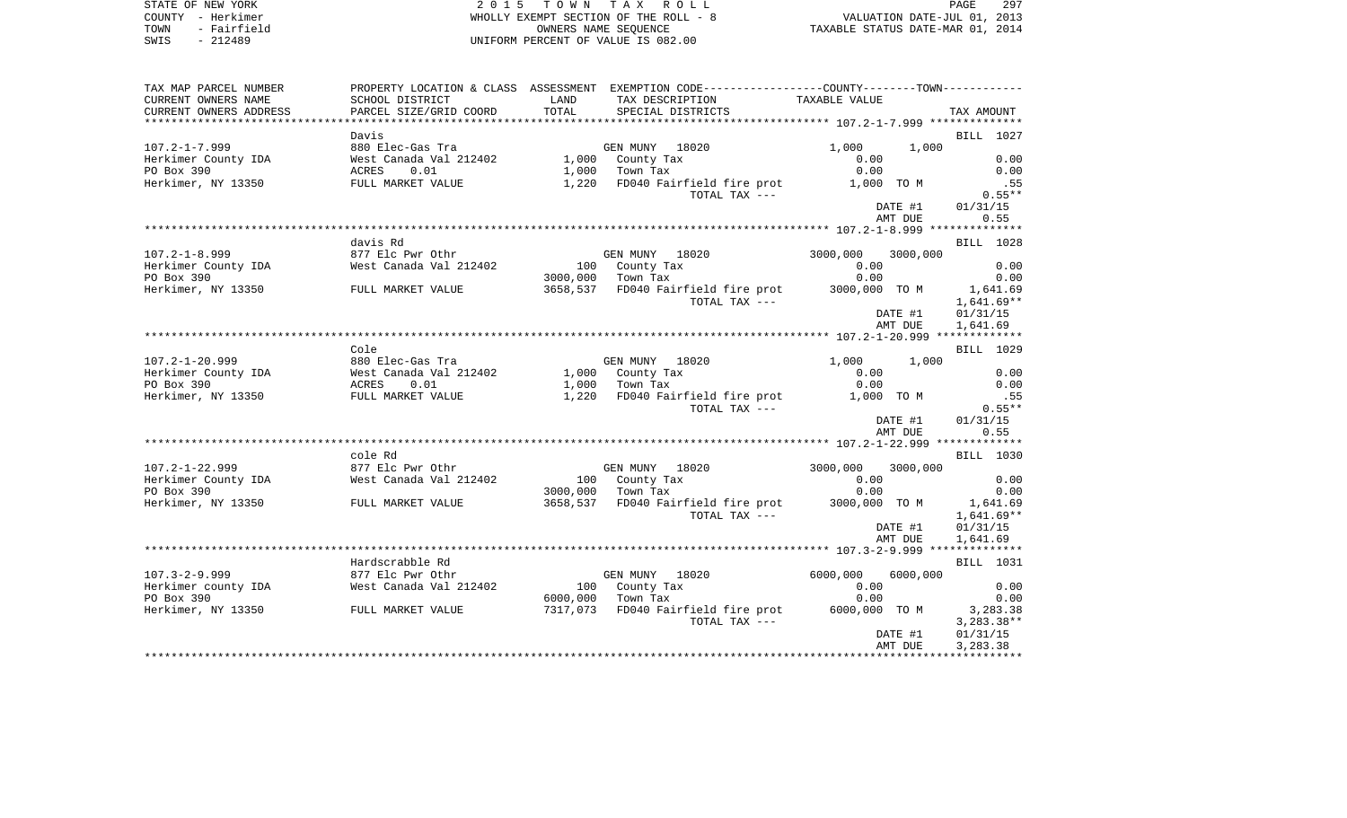|     |  | PAGE.                            | 297 |
|-----|--|----------------------------------|-----|
| - 8 |  | VALUATION DATE-JUL 01, 2013      |     |
|     |  | TAXABLE STATUS DATE-MAR 01, 2014 |     |

STATE OF NEW YORK **EXECUTE:**  $2015$  TOWN TAX ROL COUNTY - Herkimer<br>
TOWN - Fairfield<br>
SWIS - 212489 - SWIS - 212489 OWNERS NAME SEQUENCE SWIS - 212489 UNIFORM PERCENT OF VALUE IS 082.00

| TAX MAP PARCEL NUMBER  | PROPERTY LOCATION & CLASS ASSESSMENT EXEMPTION CODE---------------COUNTY-------TOWN--------- |          |                                                  |               |                  |
|------------------------|----------------------------------------------------------------------------------------------|----------|--------------------------------------------------|---------------|------------------|
| CURRENT OWNERS NAME    | SCHOOL DISTRICT                                                                              | LAND     | TAX DESCRIPTION                                  | TAXABLE VALUE |                  |
| CURRENT OWNERS ADDRESS | PARCEL SIZE/GRID COORD                                                                       | TOTAL    | SPECIAL DISTRICTS                                |               | TAX AMOUNT       |
|                        |                                                                                              |          |                                                  |               |                  |
|                        | Davis                                                                                        |          |                                                  |               | <b>BILL</b> 1027 |
| $107.2 - 1 - 7.999$    | 880 Elec-Gas Tra                                                                             |          | GEN MUNY 18020                                   | 1,000         | 1,000            |
| Herkimer County IDA    | West Canada Val 212402                                                                       |          | 1,000 County Tax                                 | 0.00          | 0.00             |
| PO Box 390             | 0.01<br>ACRES                                                                                |          | $1,000$ Town Tax                                 | 0.00          | 0.00             |
|                        |                                                                                              |          |                                                  |               |                  |
| Herkimer, NY 13350     | FULL MARKET VALUE                                                                            |          | 1,220 FD040 Fairfield fire prot                  | 1,000 TO M    | .55              |
|                        |                                                                                              |          | TOTAL TAX ---                                    |               | $0.55**$         |
|                        |                                                                                              |          |                                                  | DATE #1       | 01/31/15         |
|                        |                                                                                              |          |                                                  | AMT DUE       | 0.55             |
|                        |                                                                                              |          |                                                  |               |                  |
|                        | davis Rd                                                                                     |          |                                                  |               | <b>BILL</b> 1028 |
| $107.2 - 1 - 8.999$    | 877 Elc Pwr Othr                                                                             |          | GEN MUNY 18020                                   | 3000,000      | 3000,000         |
| Herkimer County IDA    | West Canada Val 212402                                                                       |          | 100 County Tax                                   | 0.00          | 0.00             |
| PO Box 390             |                                                                                              | 3000,000 | Town Tax                                         | 0.00          | 0.00             |
| Herkimer, NY 13350     | FULL MARKET VALUE                                                                            |          | 3658,537 FD040 Fairfield fire prot 3000,000 TO M |               | 1,641.69         |
|                        |                                                                                              |          | TOTAL TAX ---                                    |               | $1,641.69**$     |
|                        |                                                                                              |          |                                                  | DATE #1       | 01/31/15         |
|                        |                                                                                              |          |                                                  | AMT DUE       | 1,641.69         |
|                        |                                                                                              |          |                                                  |               |                  |
|                        | Cole                                                                                         |          |                                                  |               | <b>BILL</b> 1029 |
| $107.2 - 1 - 20.999$   | 880 Elec-Gas Tra                                                                             |          | GEN MUNY 18020                                   | 1,000         | 1,000            |
| Herkimer County IDA    | West Canada Val 212402                                                                       |          | 1,000 County Tax                                 | 0.00          | 0.00             |
| PO Box 390             | ACRES<br>0.01                                                                                |          | $1,000$ Town Tax                                 | 0.00          | 0.00             |
| Herkimer, NY 13350     | FULL MARKET VALUE                                                                            |          | 1,220 FD040 Fairfield fire prot                  | 1,000 TO M    | .55              |
|                        |                                                                                              |          | TOTAL TAX ---                                    |               | $0.55**$         |
|                        |                                                                                              |          |                                                  | DATE #1       | 01/31/15         |
|                        |                                                                                              |          |                                                  | AMT DUE       | 0.55             |
|                        |                                                                                              |          |                                                  |               |                  |
|                        |                                                                                              |          |                                                  |               |                  |
|                        | cole Rd                                                                                      |          |                                                  |               | BILL 1030        |
| $107.2 - 1 - 22.999$   | 877 Elc Pwr Othr                                                                             |          | GEN MUNY 18020                                   | 3000,000      | 3000,000         |
| Herkimer County IDA    | West Canada Val 212402                                                                       |          | 100 County Tax                                   | 0.00          | 0.00             |
| PO Box 390             |                                                                                              |          | 3000,000 Town Tax                                | 0.00          | 0.00             |
| Herkimer, NY 13350     | FULL MARKET VALUE                                                                            |          | 3658,537 FD040 Fairfield fire prot               | 3000,000 TO M | 1,641.69         |
|                        |                                                                                              |          | TOTAL TAX ---                                    |               | $1,641.69**$     |
|                        |                                                                                              |          |                                                  | DATE #1       | 01/31/15         |
|                        |                                                                                              |          |                                                  | AMT DUE       | 1,641.69         |
|                        |                                                                                              |          |                                                  |               |                  |
|                        | Hardscrabble Rd                                                                              |          |                                                  |               | <b>BILL</b> 1031 |
| $107.3 - 2 - 9.999$    | 877 Elc Pwr Othr                                                                             |          | GEN MUNY 18020                                   | 6000,000      | 6000,000         |
| Herkimer county IDA    | West Canada Val 212402                                                                       |          | 100 County Tax                                   | 0.00          | 0.00             |
| PO Box 390             |                                                                                              |          | 6000,000 Town Tax                                | 0.00          | 0.00             |
| Herkimer, NY 13350     | FULL MARKET VALUE                                                                            |          | 7317,073 FD040 Fairfield fire prot 6000,000 TO M |               | 3,283.38         |
|                        |                                                                                              |          | TOTAL TAX ---                                    |               | $3,283.38**$     |
|                        |                                                                                              |          |                                                  | DATE #1       | 01/31/15         |
|                        |                                                                                              |          |                                                  | AMT DUE       | 3,283.38         |
|                        |                                                                                              |          |                                                  |               |                  |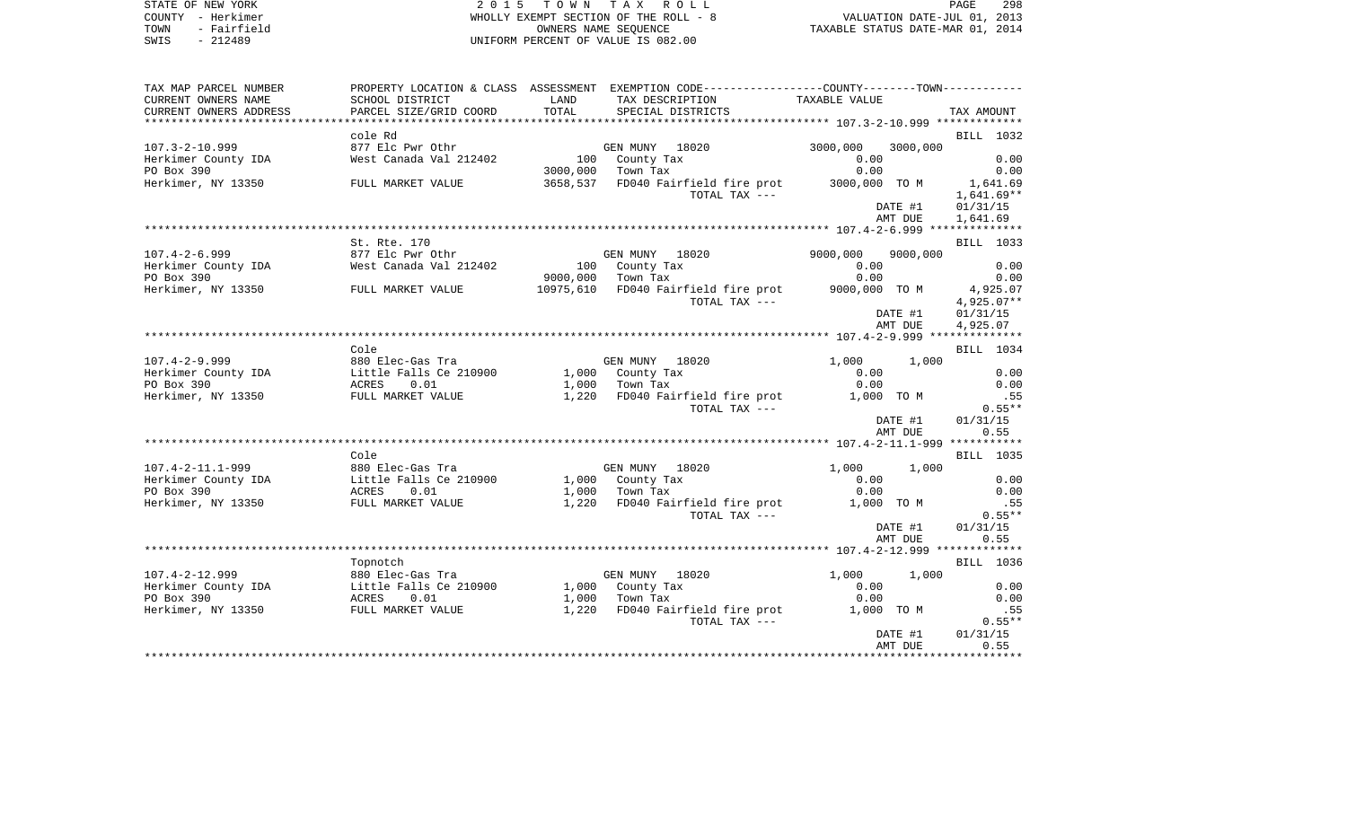| STATE OF NEW YORK<br>COUNTY - Herkimer<br>- Fairfield<br>TOWN<br>$-212489$<br>SWIS | 2 0 1 5                                                                                                                                                                                                                                    |             | TOWN TAX ROLL<br>WHOLLY EXEMPT SECTION OF THE ROLL - 8<br>OWNERS NAME SEOUENCE<br>UNIFORM PERCENT OF VALUE IS 082.00 |                   |                    | 298<br>PAGE      |
|------------------------------------------------------------------------------------|--------------------------------------------------------------------------------------------------------------------------------------------------------------------------------------------------------------------------------------------|-------------|----------------------------------------------------------------------------------------------------------------------|-------------------|--------------------|------------------|
| TAX MAP PARCEL NUMBER                                                              |                                                                                                                                                                                                                                            |             | PROPERTY LOCATION & CLASS ASSESSMENT EXEMPTION CODE---------------COUNTY-------TOWN----------                        |                   |                    |                  |
| CURRENT OWNERS NAME<br>CURRENT OWNERS ADDRESS                                      | SCHOOL DISTRICT<br>PARCEL SIZE/GRID COORD                                                                                                                                                                                                  | <b>LAND</b> | TAX DESCRIPTION<br>TOTAL SPECIAL DISTRICTS                                                                           | TAXABLE VALUE     |                    | TAX AMOUNT       |
|                                                                                    |                                                                                                                                                                                                                                            |             |                                                                                                                      |                   |                    |                  |
|                                                                                    | cole Rd                                                                                                                                                                                                                                    |             |                                                                                                                      |                   |                    | BILL 1032        |
| 107.3-2-10.999                                                                     | 877 Elc Pwr Othr GEN MUNY 18020                                                                                                                                                                                                            |             |                                                                                                                      | 3000,000          | 3000,000           |                  |
| Herkimer County IDA                                                                | West Canada Val 212402                                                                                                                                                                                                                     |             | 100 County Tax                                                                                                       | $0.00$<br>$0.00$  |                    | 0.00             |
| PO Box 390                                                                         |                                                                                                                                                                                                                                            |             | 3000,000 Town Tax                                                                                                    |                   |                    | 0.00             |
| Herkimer, NY 13350 FULL MARKET VALUE                                               |                                                                                                                                                                                                                                            |             | 3658,537 FD040 Fairfield fire prot 3000,000 TO M                                                                     |                   |                    | 1,641.69         |
|                                                                                    |                                                                                                                                                                                                                                            |             | TOTAL TAX ---                                                                                                        |                   |                    | $1,641.69**$     |
|                                                                                    |                                                                                                                                                                                                                                            |             |                                                                                                                      |                   | DATE #1            | 01/31/15         |
|                                                                                    |                                                                                                                                                                                                                                            |             |                                                                                                                      |                   | AMT DUE            | 1,641.69         |
|                                                                                    | St. Rte. 170                                                                                                                                                                                                                               |             |                                                                                                                      |                   |                    | <b>BILL 1033</b> |
| $107.4 - 2 - 6.999$                                                                | 877 Elc Pwr Othr                                                                                                                                                                                                                           |             | GEN MUNY 18020                                                                                                       | 9000,000 9000,000 |                    |                  |
| Herkimer County IDA                                                                | West Canada Val 212402                                                                                                                                                                                                                     |             | 100 County Tax                                                                                                       | 0.00              |                    | 0.00             |
| PO Box 390                                                                         |                                                                                                                                                                                                                                            |             | 9000,000 Town Tax                                                                                                    | 0.00              |                    | 0.00             |
| Herkimer, NY 13350 FULL MARKET VALUE                                               |                                                                                                                                                                                                                                            |             | 10975,610 FD040 Fairfield fire prot 9000,000 TO M                                                                    |                   |                    | 4,925.07         |
|                                                                                    |                                                                                                                                                                                                                                            |             | TOTAL TAX ---                                                                                                        |                   |                    | $4,925.07**$     |
|                                                                                    |                                                                                                                                                                                                                                            |             |                                                                                                                      |                   | DATE #1            | 01/31/15         |
|                                                                                    |                                                                                                                                                                                                                                            |             |                                                                                                                      |                   | AMT DUE            | 4,925.07         |
|                                                                                    |                                                                                                                                                                                                                                            |             |                                                                                                                      |                   |                    |                  |
|                                                                                    | Cole                                                                                                                                                                                                                                       |             |                                                                                                                      |                   |                    | BILL 1034        |
| $107.4 - 2 - 9.999$                                                                | 880 Elec-Gas Tra                                                                                                                                                                                                                           |             | GEN MUNY 18020                                                                                                       | 1,000             | 1,000              |                  |
|                                                                                    |                                                                                                                                                                                                                                            |             |                                                                                                                      | 0.00              |                    | 0.00             |
|                                                                                    |                                                                                                                                                                                                                                            |             |                                                                                                                      | 0.00              |                    | 0.00             |
|                                                                                    |                                                                                                                                                                                                                                            |             | 1,220 FD040 Fairfield fire prot                                                                                      | 1,000 TO M        |                    | .55              |
|                                                                                    |                                                                                                                                                                                                                                            |             | TOTAL TAX ---                                                                                                        |                   |                    | $0.55**$         |
|                                                                                    |                                                                                                                                                                                                                                            |             |                                                                                                                      |                   | DATE #1            | 01/31/15         |
|                                                                                    |                                                                                                                                                                                                                                            |             |                                                                                                                      |                   | AMT DUE            | 0.55             |
|                                                                                    | Cole                                                                                                                                                                                                                                       |             |                                                                                                                      |                   |                    | <b>BILL 1035</b> |
|                                                                                    |                                                                                                                                                                                                                                            |             |                                                                                                                      |                   | 1,000              |                  |
|                                                                                    |                                                                                                                                                                                                                                            |             |                                                                                                                      |                   |                    | 0.00             |
|                                                                                    | 107.4-2-11.1-999<br>Herkimer County IDA<br>PO Box 390<br>Herkimer, NY 13350<br>Herkimer, NY 13350<br>PULL MARKET VALUE<br>PULL MARKET VALUE 1,220 FD040 Fairfield fire prot 1,000 TO M<br>$1,000$ TO TO M<br>$1,000$ Town Tax<br>$1,220$ F |             |                                                                                                                      |                   |                    | 0.00             |
|                                                                                    |                                                                                                                                                                                                                                            |             |                                                                                                                      |                   |                    | .55              |
|                                                                                    |                                                                                                                                                                                                                                            |             | TOTAL TAX ---                                                                                                        |                   |                    | $0.55**$         |
|                                                                                    |                                                                                                                                                                                                                                            |             |                                                                                                                      |                   | DATE #1            | 01/31/15         |
|                                                                                    |                                                                                                                                                                                                                                            |             |                                                                                                                      |                   | AMT DUE            | 0.55             |
|                                                                                    |                                                                                                                                                                                                                                            |             |                                                                                                                      |                   |                    |                  |
|                                                                                    | Topnotch                                                                                                                                                                                                                                   |             |                                                                                                                      |                   |                    | <b>BILL</b> 1036 |
| $107.4 - 2 - 12.999$                                                               | 880 Elec-Gas Tra<br>107.4-2-12.999 880 Elec-Gas Tra<br>Herkimer County IDA Little Falls Ce 210900<br>PO Box 390 ACRES 0.01<br>Herkimer, NY 13350 FULL MARKET VALUE                                                                         |             | GEN MUNY 18020                                                                                                       | 1,000             | 1,000              |                  |
|                                                                                    |                                                                                                                                                                                                                                            |             | $1,000$ County Tax                                                                                                   | 0.00              |                    | 0.00             |
|                                                                                    |                                                                                                                                                                                                                                            |             |                                                                                                                      | 0.00              |                    | 0.00             |
|                                                                                    |                                                                                                                                                                                                                                            |             | 1,220 FD040 Fairfield fire prot 1,000 TO M                                                                           |                   |                    | .55              |
|                                                                                    |                                                                                                                                                                                                                                            |             | TOTAL TAX ---                                                                                                        |                   |                    | $0.55**$         |
|                                                                                    |                                                                                                                                                                                                                                            |             |                                                                                                                      |                   | DATE #1<br>AMT DUE | 01/31/15<br>0.55 |
|                                                                                    |                                                                                                                                                                                                                                            |             |                                                                                                                      |                   |                    |                  |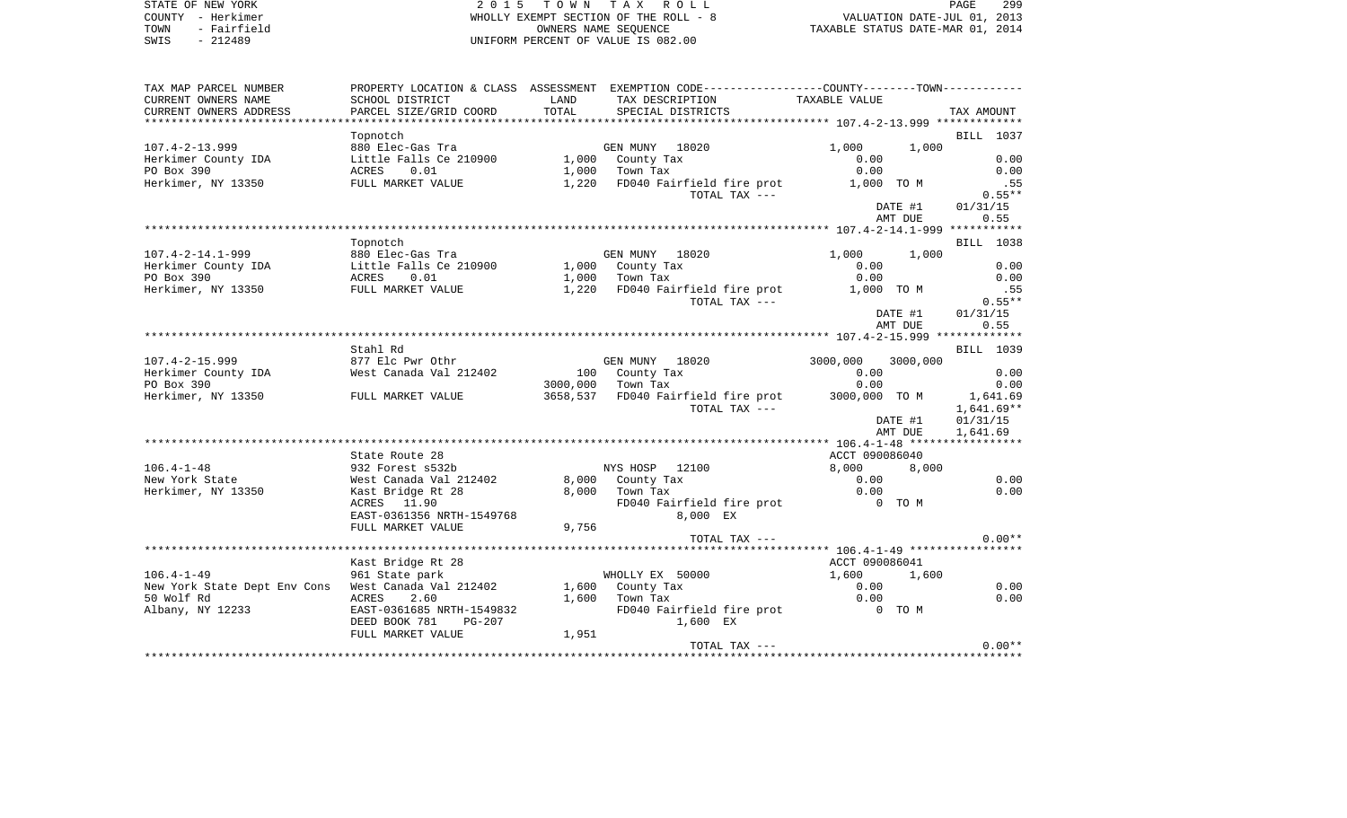| STATE OF NEW YORK | 2015 TOWN TAX ROLL                    | 299<br>PAGE                      |
|-------------------|---------------------------------------|----------------------------------|
| COUNTY - Herkimer | WHOLLY EXEMPT SECTION OF THE ROLL - 8 | VALUATION DATE-JUL 01, 2013      |
| TOWN - Fairfield  | OWNERS NAME SEOUENCE                  | TAXABLE STATUS DATE-MAR 01, 2014 |
| .                 |                                       |                                  |

COUNTY - Herkimer WHOLLY EXEMPT SECTION OF THE TOWN - Fairfield COMMERS NAME SEQUENCE TOWN - Fairfield COMMERS NAME SEQUENCE TAXABLE STATUS OF VALUE IS SWIS - 212489 UNIFORM PERCENT OF VALUE IS 082.00

| TAX MAP PARCEL NUMBER        |                                 |       | PROPERTY LOCATION & CLASS ASSESSMENT EXEMPTION CODE---------------COUNTY-------TOWN---------- |                |              |
|------------------------------|---------------------------------|-------|-----------------------------------------------------------------------------------------------|----------------|--------------|
| CURRENT OWNERS NAME          | SCHOOL DISTRICT                 | LAND  | TAX DESCRIPTION                                                                               | TAXABLE VALUE  |              |
| CURRENT OWNERS ADDRESS       | PARCEL SIZE/GRID COORD          | TOTAL | SPECIAL DISTRICTS                                                                             |                | TAX AMOUNT   |
| **********************       | ************************        |       |                                                                                               |                |              |
|                              | Topnotch                        |       |                                                                                               |                | BILL 1037    |
| $107.4 - 2 - 13.999$         | 880 Elec-Gas Tra                |       | GEN MUNY 18020                                                                                | 1,000          | 1,000        |
| Herkimer County IDA          | Little Falls Ce 210900          |       | 1,000 County Tax                                                                              | 0.00           | 0.00         |
| PO Box 390                   | 0.01<br>ACRES                   |       | $1,000$ Town Tax                                                                              | 0.00           | 0.00         |
| Herkimer, NY 13350           | FULL MARKET VALUE               |       | 1,220 FD040 Fairfield fire prot                                                               | 1,000 TO M     | .55          |
|                              |                                 |       | TOTAL TAX ---                                                                                 |                | $0.55**$     |
|                              |                                 |       |                                                                                               | DATE #1        | 01/31/15     |
|                              |                                 |       |                                                                                               | AMT DUE        | 0.55         |
|                              |                                 |       |                                                                                               |                |              |
|                              | Topnotch                        |       |                                                                                               |                | BILL 1038    |
| $107.4 - 2 - 14.1 - 999$     | 880 Elec-Gas Tra                |       | GEN MUNY 18020                                                                                | 1,000          | 1,000        |
| Herkimer County IDA          | Little Falls Ce 210900          |       | 1,000 County Tax                                                                              | 0.00           | 0.00         |
| PO Box 390                   | ACRES<br>0.01                   |       | $1,000$ Town Tax                                                                              | 0.00           | 0.00         |
| Herkimer, NY 13350           | AURES U.UI<br>FULL MARKET VALUE |       | 1,220 FD040 Fairfield fire prot                                                               | 1,000 TO M     | .55          |
|                              |                                 |       | TOTAL TAX ---                                                                                 |                | $0.55**$     |
|                              |                                 |       |                                                                                               | DATE #1        | 01/31/15     |
|                              |                                 |       |                                                                                               | AMT DUE        | 0.55         |
|                              |                                 |       |                                                                                               |                |              |
|                              | Stahl Rd                        |       |                                                                                               |                | BILL 1039    |
| $107.4 - 2 - 15.999$         | 877 Elc Pwr Othr                |       | GEN MUNY 18020                                                                                | 3000,000       | 3000,000     |
| Herkimer County IDA          | West Canada Val 212402          |       | 100 County Tax                                                                                | 0.00           | 0.00         |
| PO Box 390                   |                                 |       | 3000,000 Town Tax                                                                             | 0.00           | 0.00         |
| Herkimer, NY 13350           |                                 |       | 3658,537 FD040 Fairfield fire prot                                                            | 3000,000 TO M  |              |
|                              | FULL MARKET VALUE               |       |                                                                                               |                | 1,641.69     |
|                              |                                 |       | TOTAL TAX ---                                                                                 |                | $1,641.69**$ |
|                              |                                 |       |                                                                                               | DATE #1        | 01/31/15     |
|                              |                                 |       |                                                                                               | AMT DUE        | 1,641.69     |
|                              |                                 |       |                                                                                               |                |              |
|                              | State Route 28                  |       |                                                                                               | ACCT 090086040 |              |
| $106.4 - 1 - 48$             | 932 Forest s532b                |       | NYS HOSP 12100                                                                                | 8,000          | 8,000        |
| New York State               | West Canada Val 212402          |       | 8,000 County Tax                                                                              | 0.00           | 0.00         |
| Herkimer, NY 13350           | Kast Bridge Rt 28               |       | 8,000 Town Tax                                                                                | 0.00           | 0.00         |
|                              | ACRES 11.90                     |       | FD040 Fairfield fire prot 0 TO M                                                              |                |              |
|                              | EAST-0361356 NRTH-1549768       |       | 8,000 EX                                                                                      |                |              |
|                              | FULL MARKET VALUE               | 9,756 |                                                                                               |                |              |
|                              |                                 |       | TOTAL TAX ---                                                                                 |                | $0.00**$     |
|                              |                                 |       |                                                                                               |                |              |
|                              | Kast Bridge Rt 28               |       |                                                                                               | ACCT 090086041 |              |
| $106.4 - 1 - 49$             | 961 State park                  |       | WHOLLY EX 50000                                                                               | 1,600          | 1,600        |
| New York State Dept Env Cons | West Canada Val 212402          |       | 1,600 County Tax                                                                              | 0.00           | 0.00         |
| 50 Wolf Rd                   | <b>ACRES</b><br>2.60            |       | $1,600$ Town Tax                                                                              | 0.00           | 0.00         |
| Albany, NY 12233             | EAST-0361685 NRTH-1549832       |       | FD040 Fairfield fire prot                                                                     | 0 TO M         |              |
|                              | DEED BOOK 781<br>PG-207         |       | 1,600 EX                                                                                      |                |              |
|                              | FULL MARKET VALUE               | 1,951 |                                                                                               |                |              |
|                              |                                 |       | TOTAL TAX ---                                                                                 |                | $0.00**$     |
|                              |                                 |       |                                                                                               |                |              |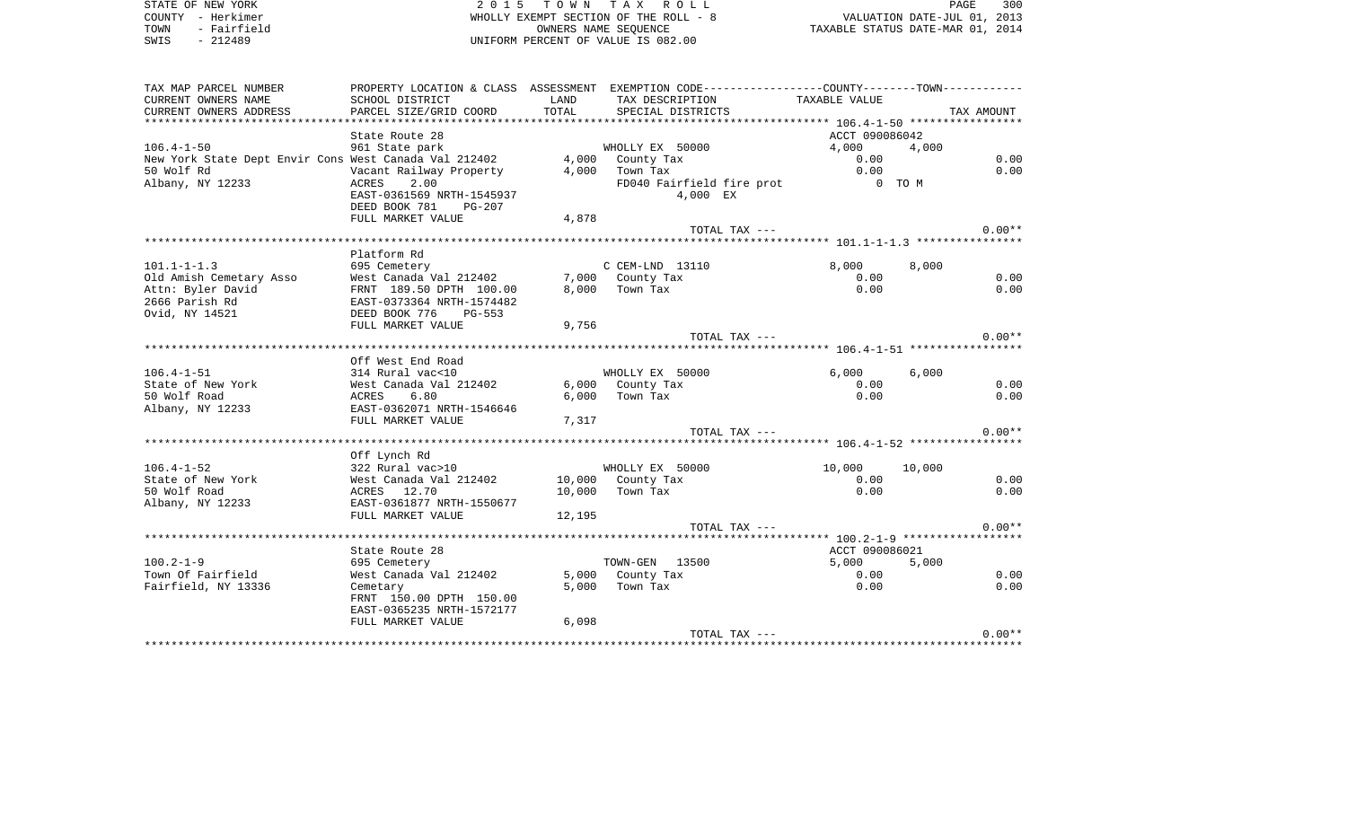STATE OF NEW YORK **2015 TOWN TAX ROLL** COUNTY - Herkimer WHOLLY EXEMPT SECTION OF THE ROLL - 8 TOWN - Fairfield OWNERS NAME SEQUENCE TAXABLE STATUS DATE-MAR 01, 2014 SWIS - 212489 UNIFORM PERCENT OF VALUE IS 082.00

| TAX MAP PARCEL NUMBER<br>CURRENT OWNERS NAME<br>CURRENT OWNERS ADDRESS | SCHOOL DISTRICT<br>PARCEL SIZE/GRID COORD  | LAND<br>TOTAL | PROPERTY LOCATION & CLASS ASSESSMENT EXEMPTION CODE---------------COUNTY-------TOWN----------<br>TAX DESCRIPTION<br>SPECIAL DISTRICTS | TAXABLE VALUE  | TAX AMOUNT     |
|------------------------------------------------------------------------|--------------------------------------------|---------------|---------------------------------------------------------------------------------------------------------------------------------------|----------------|----------------|
|                                                                        |                                            |               |                                                                                                                                       |                |                |
|                                                                        | State Route 28                             |               |                                                                                                                                       | ACCT 090086042 |                |
| $106.4 - 1 - 50$                                                       | 961 State park                             |               | WHOLLY EX 50000                                                                                                                       | 4,000          | 4,000          |
| New York State Dept Envir Cons West Canada Val 212402                  |                                            |               | 4,000 County Tax                                                                                                                      | 0.00           | 0.00           |
| 50 Wolf Rd                                                             | Vacant Railway Property                    | 4,000         | Town Tax                                                                                                                              | 0.00           | 0.00           |
| Albany, NY 12233                                                       | 2.00<br>ACRES                              |               | FD040 Fairfield fire prot                                                                                                             | 0 TO M         |                |
|                                                                        | EAST-0361569 NRTH-1545937                  |               | 4,000 EX                                                                                                                              |                |                |
|                                                                        | DEED BOOK 781 PG-207                       |               |                                                                                                                                       |                |                |
|                                                                        | FULL MARKET VALUE                          | 4,878         |                                                                                                                                       |                |                |
|                                                                        |                                            |               | TOTAL TAX ---                                                                                                                         |                | $0.00**$       |
|                                                                        |                                            |               |                                                                                                                                       |                |                |
|                                                                        | Platform Rd                                |               |                                                                                                                                       |                |                |
| $101.1 - 1 - 1.3$<br>Old Amish Cemetary Asso                           | 695 Cemetery<br>West Canada Val 212402     |               | C CEM-LND 13110<br>7,000 County Tax                                                                                                   | 8,000<br>0.00  | 8,000<br>0.00  |
| Attn: Byler David                                                      | FRNT 189.50 DPTH 100.00                    |               | 8,000 Town Tax                                                                                                                        | 0.00           | 0.00           |
| 2666 Parish Rd                                                         | EAST-0373364 NRTH-1574482                  |               |                                                                                                                                       |                |                |
| Ovid, NY 14521                                                         | DEED BOOK 776<br>$PG-553$                  |               |                                                                                                                                       |                |                |
|                                                                        | FULL MARKET VALUE                          | 9,756         |                                                                                                                                       |                |                |
|                                                                        |                                            |               | TOTAL TAX ---                                                                                                                         |                | $0.00**$       |
|                                                                        |                                            |               |                                                                                                                                       |                |                |
|                                                                        | Off West End Road                          |               |                                                                                                                                       |                |                |
| $106.4 - 1 - 51$                                                       | 314 Rural vac<10                           |               | WHOLLY EX 50000                                                                                                                       | 6,000          | 6.000          |
| State of New York                                                      | West Canada Val 212402                     |               | 6,000 County Tax                                                                                                                      | 0.00           | 0.00           |
| 50 Wolf Road                                                           | 6.80<br>ACRES                              | 6,000         | Town Tax                                                                                                                              | 0.00           | 0.00           |
| Albany, NY 12233                                                       | EAST-0362071 NRTH-1546646                  |               |                                                                                                                                       |                |                |
|                                                                        | FULL MARKET VALUE                          | 7,317         |                                                                                                                                       |                |                |
|                                                                        |                                            |               | TOTAL TAX ---                                                                                                                         |                | $0.00**$       |
|                                                                        |                                            |               |                                                                                                                                       |                |                |
|                                                                        | Off Lynch Rd                               |               |                                                                                                                                       |                |                |
| $106.4 - 1 - 52$<br>State of New York                                  | 322 Rural vac>10<br>West Canada Val 212402 |               | WHOLLY EX 50000<br>10,000 County Tax                                                                                                  | 10,000<br>0.00 | 10,000<br>0.00 |
| 50 Wolf Road                                                           | ACRES 12.70                                | 10,000        | Town Tax                                                                                                                              | 0.00           | 0.00           |
| Albany, NY 12233                                                       | EAST-0361877 NRTH-1550677                  |               |                                                                                                                                       |                |                |
|                                                                        | FULL MARKET VALUE                          | 12,195        |                                                                                                                                       |                |                |
|                                                                        |                                            |               | TOTAL TAX $---$                                                                                                                       |                | $0.00**$       |
|                                                                        |                                            |               |                                                                                                                                       |                |                |
|                                                                        | State Route 28                             |               |                                                                                                                                       | ACCT 090086021 |                |
| $100.2 - 1 - 9$                                                        | 695 Cemetery                               |               | TOWN-GEN 13500                                                                                                                        | 5,000          | 5,000          |
| Town Of Fairfield                                                      | West Canada Val 212402                     |               | 5,000 County Tax                                                                                                                      | 0.00           | 0.00           |
| Fairfield, NY 13336                                                    | Cemetary                                   | 5,000         | Town Tax                                                                                                                              | 0.00           | 0.00           |
|                                                                        | FRNT 150.00 DPTH 150.00                    |               |                                                                                                                                       |                |                |
|                                                                        | EAST-0365235 NRTH-1572177                  |               |                                                                                                                                       |                |                |
|                                                                        | FULL MARKET VALUE                          | 6,098         |                                                                                                                                       |                |                |
|                                                                        |                                            |               | TOTAL TAX ---                                                                                                                         |                | $0.00**$       |
|                                                                        |                                            |               |                                                                                                                                       |                |                |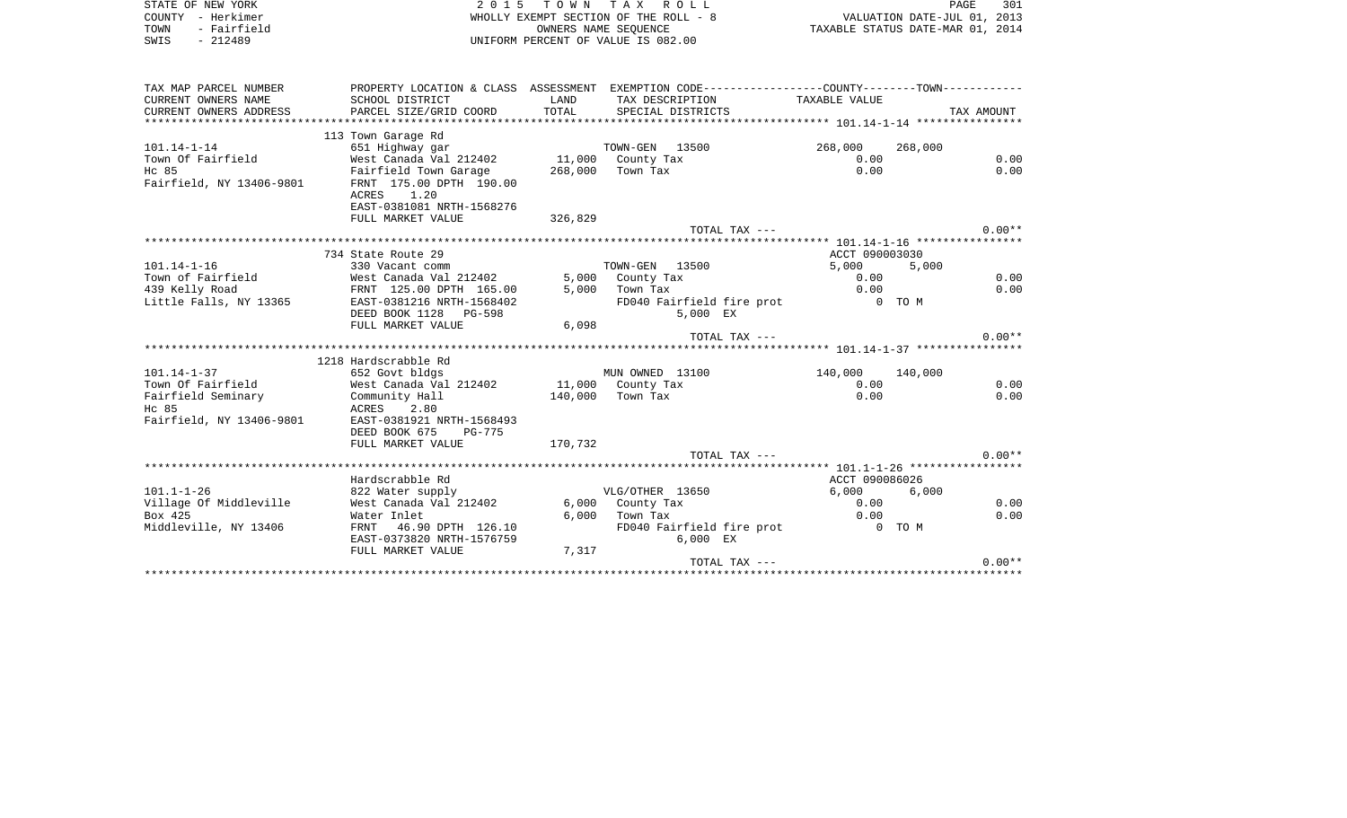| STATE OF NEW YORK<br>COUNTY - Herkimer        | 2 0 1 5<br>TOWN TAX ROLL<br>WHOLLY EXEMPT SECTION OF THE ROLL - 8 |               |                                                                                               | PAGE<br>301<br>VALUATION DATE-JUL 01, 2013 |         |            |
|-----------------------------------------------|-------------------------------------------------------------------|---------------|-----------------------------------------------------------------------------------------------|--------------------------------------------|---------|------------|
| - Fairfield<br>TOWN<br>$-212489$<br>SWIS      | OWNERS NAME SEQUENCE<br>UNIFORM PERCENT OF VALUE IS 082.00        |               |                                                                                               | TAXABLE STATUS DATE-MAR 01, 2014           |         |            |
|                                               |                                                                   |               |                                                                                               |                                            |         |            |
| TAX MAP PARCEL NUMBER                         |                                                                   |               | PROPERTY LOCATION & CLASS ASSESSMENT EXEMPTION CODE---------------COUNTY-------TOWN---------- |                                            |         |            |
| CURRENT OWNERS NAME<br>CURRENT OWNERS ADDRESS | SCHOOL DISTRICT<br>PARCEL SIZE/GRID COORD                         | LAND<br>TOTAL | TAX DESCRIPTION<br>SPECIAL DISTRICTS                                                          | TAXABLE VALUE                              |         | TAX AMOUNT |
|                                               | 113 Town Garage Rd                                                |               |                                                                                               |                                            |         |            |
| $101.14 - 1 - 14$                             | 651 Highway gar                                                   |               | TOWN-GEN 13500                                                                                | 268,000                                    | 268,000 |            |
| Town Of Fairfield                             | West Canada Val 212402                                            |               | 11,000 County Tax                                                                             | 0.00                                       |         | 0.00       |
| Hc 85<br>Fairfield, NY 13406-9801             | Fairfield Town Garage<br>FRNT 175.00 DPTH 190.00<br>ACRES<br>1.20 | 268,000       | Town Tax                                                                                      | 0.00                                       |         | 0.00       |
|                                               | EAST-0381081 NRTH-1568276                                         |               |                                                                                               |                                            |         |            |
|                                               | FULL MARKET VALUE                                                 | 326,829       |                                                                                               |                                            |         |            |
|                                               |                                                                   |               | TOTAL TAX ---                                                                                 |                                            |         | $0.00**$   |
|                                               |                                                                   |               |                                                                                               |                                            |         |            |
|                                               | 734 State Route 29                                                |               |                                                                                               | ACCT 090003030                             |         |            |
| $101.14 - 1 - 16$                             | 330 Vacant comm                                                   |               | TOWN-GEN 13500                                                                                | 5,000                                      | 5,000   |            |
| Town of Fairfield                             | West Canada Val 212402                                            |               | 5,000 County Tax                                                                              | 0.00                                       |         | 0.00       |
| 439 Kelly Road<br>Little Falls, NY 13365      | FRNT 125.00 DPTH 165.00<br>EAST-0381216 NRTH-1568402              | 5,000         | Town Tax<br>FD040 Fairfield fire prot                                                         | 0.00<br>$0$ TOM                            |         | 0.00       |
|                                               | DEED BOOK 1128 PG-598                                             |               | 5,000 EX                                                                                      |                                            |         |            |
|                                               | FULL MARKET VALUE                                                 | 6,098         |                                                                                               |                                            |         |            |
|                                               |                                                                   |               | TOTAL TAX ---                                                                                 |                                            |         | $0.00**$   |
|                                               |                                                                   |               |                                                                                               |                                            |         |            |
|                                               | 1218 Hardscrabble Rd                                              |               |                                                                                               |                                            |         |            |
| $101.14 - 1 - 37$                             | 652 Govt bldgs                                                    |               | MUN OWNED 13100                                                                               | 140,000                                    | 140,000 |            |
| Town Of Fairfield                             | West Canada Val 212402                                            |               | 11,000 County Tax                                                                             | 0.00                                       |         | 0.00       |
| Fairfield Seminary<br>Hc 85                   | Community Hall<br>ACRES 2.80                                      | 140,000       | Town Tax                                                                                      | 0.00                                       |         | 0.00       |
| Fairfield, NY 13406-9801                      | EAST-0381921 NRTH-1568493                                         |               |                                                                                               |                                            |         |            |
|                                               | DEED BOOK 675<br>PG-775                                           |               |                                                                                               |                                            |         |            |
|                                               | FULL MARKET VALUE                                                 | 170,732       |                                                                                               |                                            |         |            |
|                                               |                                                                   |               | TOTAL TAX ---                                                                                 |                                            |         | $0.00**$   |
|                                               |                                                                   |               |                                                                                               |                                            |         |            |
|                                               | Hardscrabble Rd                                                   |               |                                                                                               | ACCT 090086026                             |         |            |
| $101.1 - 1 - 26$<br>Village Of Middleville    | 822 Water supply<br>West Canada Val 212402                        | 6,000         | VLG/OTHER 13650<br>County Tax                                                                 | 6,000<br>0.00                              | 6,000   | 0.00       |
| Box 425                                       | Water Inlet                                                       | 6.000         | Town Tax                                                                                      | 0.00                                       |         | 0.00       |
| Middleville, NY 13406                         | FRNT<br>46.90 DPTH 126.10                                         |               | FD040 Fairfield fire prot                                                                     | $0$ TOM                                    |         |            |
|                                               | EAST-0373820 NRTH-1576759                                         |               | $6,000$ EX                                                                                    |                                            |         |            |
|                                               | FULL MARKET VALUE                                                 | 7,317         |                                                                                               |                                            |         |            |
|                                               |                                                                   |               | TOTAL TAX ---                                                                                 |                                            |         | $0.00**$   |
|                                               |                                                                   |               |                                                                                               | ************************************       |         |            |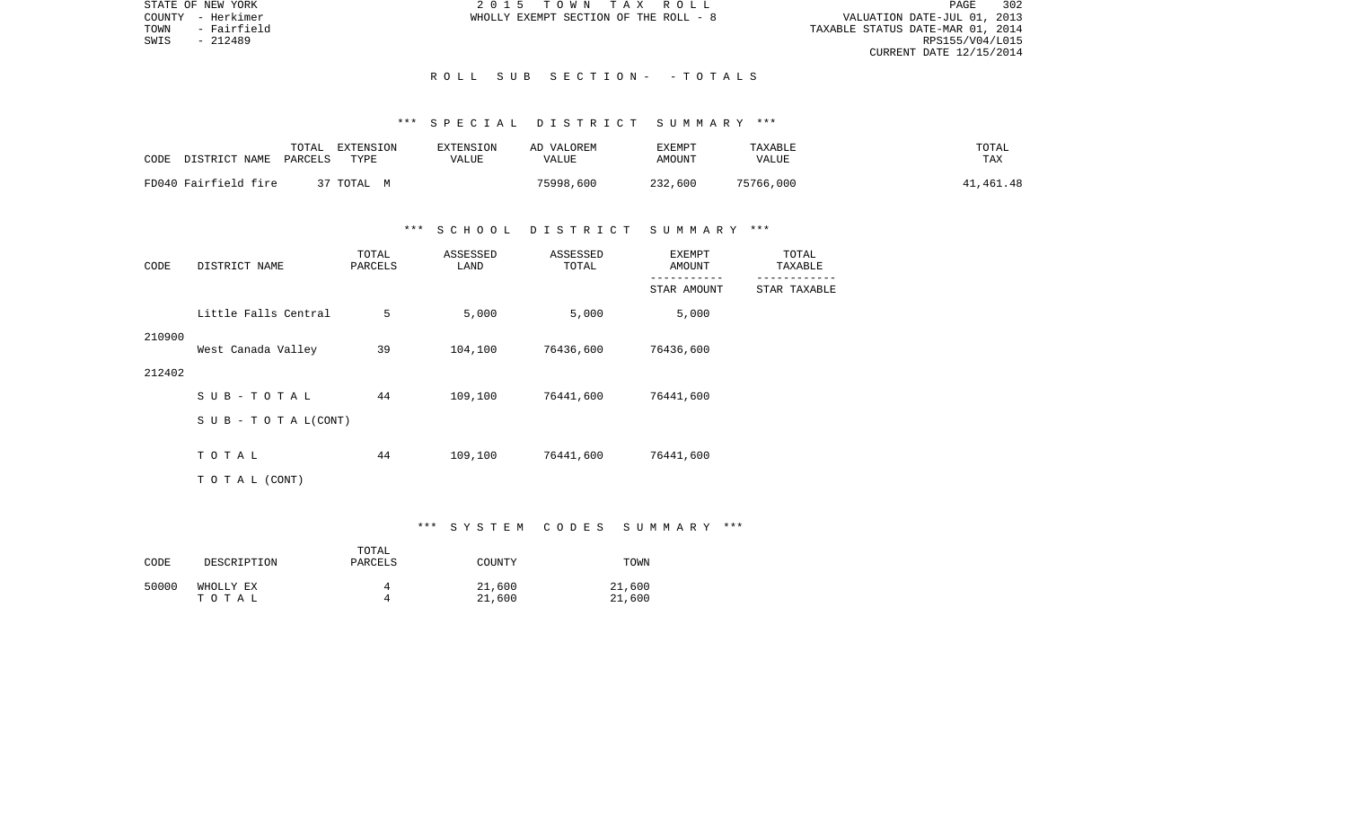STATE OF NEW YORK 2 0 1 5 T O W N T A X R O L L PAGE 302VALUATION DATE-JUL 01, 2013 TOWN - Fairfield TAXABLE STATUS DATE-MAR 01, 2014 CURRENT DATE 12/15/2014

COUNTY - Herkimer WHOLLY EXEMPT SECTION OF THE ROLL - 8

SWIS - 212489

## R O L L S U B S E C T I O N - - T O T A L S

#### \*\*\* S P E C I A L D I S T R I C T S U M M A R Y \*\*\*

| CODE | DISTRICT NAME        | TOTAL<br>PARCELS | EXTENSION<br>TYPE | <b>EXTENSION</b><br>VALUE | AD VALOREM<br>VALUE | TXEMPT<br>AMOUNT | TAXABLE<br><b>VALUE</b> | TOTAL<br>TAX |
|------|----------------------|------------------|-------------------|---------------------------|---------------------|------------------|-------------------------|--------------|
|      | FD040 Fairfield fire |                  | 37 TOTAL M        |                           | 75998,600           | 232,600          | 75766,000               | 41,461.48    |

## \*\*\* S C H O O L D I S T R I C T S U M M A R Y \*\*\*

| CODE   | DISTRICT NAME             | TOTAL<br>PARCELS | ASSESSED<br>LAND | ASSESSED<br>TOTAL | EXEMPT<br>AMOUNT | TOTAL<br>TAXABLE |
|--------|---------------------------|------------------|------------------|-------------------|------------------|------------------|
|        |                           |                  |                  |                   | STAR AMOUNT      | STAR TAXABLE     |
|        | Little Falls Central      | 5                | 5,000            | 5,000             | 5,000            |                  |
| 210900 | West Canada Valley        | 39               | 104,100          | 76436,600         | 76436,600        |                  |
| 212402 |                           |                  |                  |                   |                  |                  |
|        | SUB-TOTAL                 | 44               | 109,100          | 76441,600         | 76441,600        |                  |
|        | S U B - T O T A $L(CONT)$ |                  |                  |                   |                  |                  |
|        | TOTAL                     | 44               | 109,100          | 76441,600         | 76441,600        |                  |
|        | TO TAL (CONT)             |                  |                  |                   |                  |                  |

#### \*\*\* S Y S T E M C O D E S S U M M A R Y \*\*\*

| CODE  | DESCRIPTION        | TOTAL<br>PARCELS | COUNTY           | TOWN             |
|-------|--------------------|------------------|------------------|------------------|
| 50000 | WHOLLY EX<br>тотаь |                  | 21,600<br>21,600 | 21,600<br>21,600 |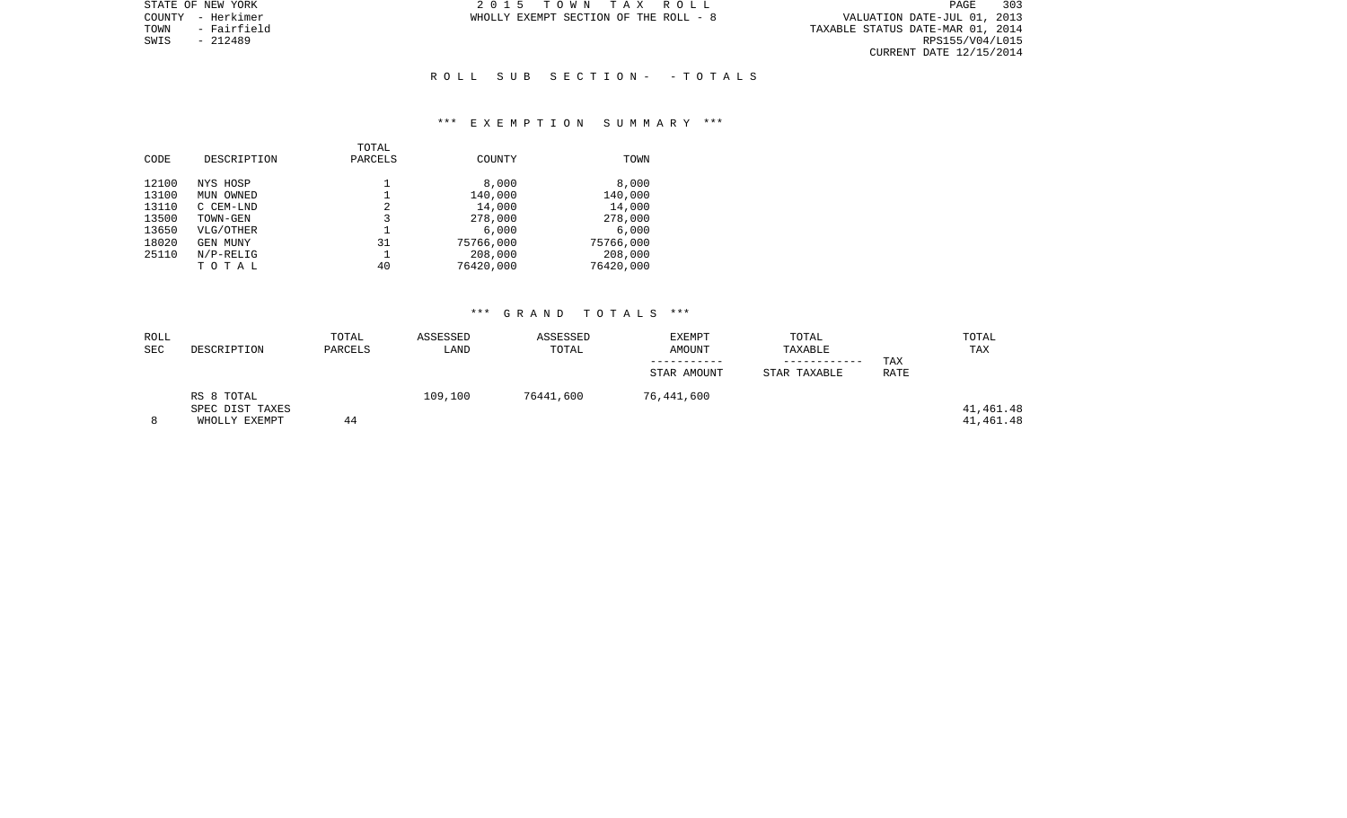TOWN - Fairfield TAXABLE STATUS DATE-MAR 01, 2014 SWIS - 212489 RPS155/V04/L015 CURRENT DATE 12/15/2014

STATE OF NEW YORK **2015 TOWN TAX ROLL** COUNTY - Herkimer **WHOLLY EXEMPT SECTION OF THE ROLL** - 8

### R O L L S U B S E C T I O N - - T O T A L S

### \*\*\* E X E M P T I O N S U M M A R Y \*\*\*

| CODE  | DESCRIPTION  | TOTAL<br>PARCELS | COUNTY    | TOWN      |
|-------|--------------|------------------|-----------|-----------|
| 12100 | NYS HOSP     |                  | 8,000     | 8,000     |
| 13100 | OWNED<br>MUN |                  | 140,000   | 140,000   |
| 13110 | C CEM-LND    | 2                | 14,000    | 14,000    |
| 13500 | TOWN-GEN     | 3                | 278,000   | 278,000   |
| 13650 | VLG/OTHER    |                  | 6.000     | 6.000     |
| 18020 | GEN MUNY     | 31               | 75766,000 | 75766,000 |
| 25110 | $N/P-RELIG$  |                  | 208,000   | 208,000   |
|       | тотаь        | 40               | 76420,000 | 76420,000 |
|       |              |                  |           |           |

| ROLL<br><b>SEC</b> | DESCRIPTION                                    | TOTAL<br>PARCELS | ASSESSED<br>LAND | ASSESSED<br>TOTAL | <b>EXEMPT</b><br>AMOUNT | TOTAL<br>TAXABLE | TAX  | TOTAL<br>TAX           |
|--------------------|------------------------------------------------|------------------|------------------|-------------------|-------------------------|------------------|------|------------------------|
|                    |                                                |                  |                  |                   | STAR AMOUNT             | STAR TAXABLE     | RATE |                        |
|                    | RS 8 TOTAL<br>SPEC DIST TAXES<br>WHOLLY EXEMPT | 44               | 109,100          | 76441,600         | 76,441,600              |                  |      | 41,461.48<br>41,461.48 |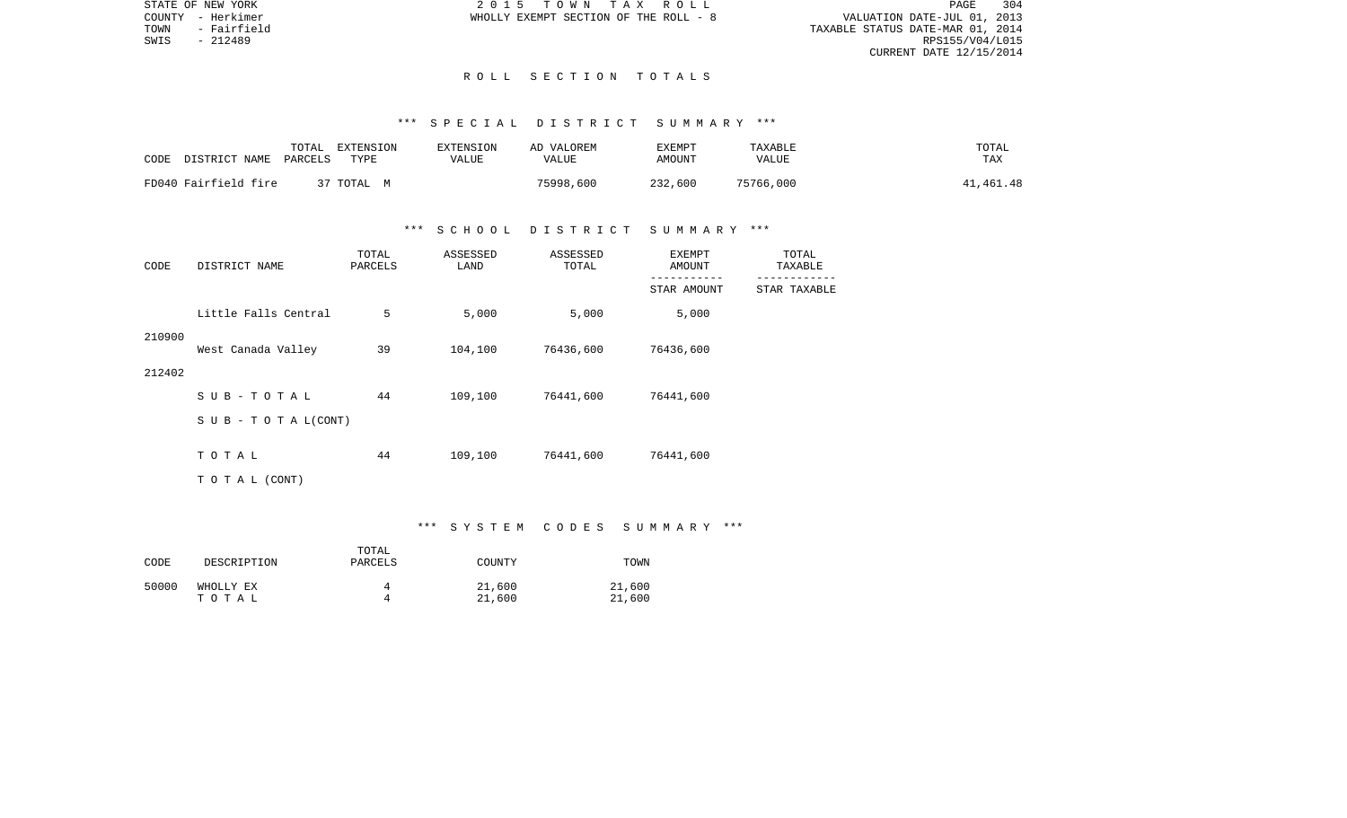STATE OF NEW YORK 2 0 1 5 T O W N T A X R O L L PAGE 304PAGE 304 TOWN - Fairfield TAXABLE STATUS DATE-MAR 01, 2014 CURRENT DATE 12/15/2014

COUNTY - Herkimer WHOLLY EXEMPT SECTION OF THE ROLL - 8

SWIS - 212489

### R O L L S E C T I O N T O T A L S

#### \*\*\* S P E C I A L D I S T R I C T S U M M A R Y \*\*\*

| CODE | DISTRICT NAME        | TOTAL<br>PARCELS | EXTENSION<br>TYPE | <b>EXTENSION</b><br>VALUE | AD VALOREM<br>VALUE | TXEMPT<br>AMOUNT | TAXABLE<br><b>VALUE</b> | TOTAL<br>TAX |
|------|----------------------|------------------|-------------------|---------------------------|---------------------|------------------|-------------------------|--------------|
|      | FD040 Fairfield fire |                  | 37 TOTAL M        |                           | 75998,600           | 232,600          | 75766,000               | 41,461.48    |

## \*\*\* S C H O O L D I S T R I C T S U M M A R Y \*\*\*

| CODE   | DISTRICT NAME             | TOTAL<br>PARCELS | ASSESSED<br>LAND | ASSESSED<br>TOTAL | EXEMPT<br>AMOUNT | TOTAL<br>TAXABLE |
|--------|---------------------------|------------------|------------------|-------------------|------------------|------------------|
|        |                           |                  |                  |                   | STAR AMOUNT      | STAR TAXABLE     |
|        | Little Falls Central      | 5                | 5,000            | 5,000             | 5,000            |                  |
| 210900 | West Canada Valley        | 39               | 104,100          | 76436,600         | 76436,600        |                  |
| 212402 |                           |                  |                  |                   |                  |                  |
|        | $SUB - TO T AL$           | 44               | 109,100          | 76441,600         | 76441,600        |                  |
|        | S U B - T O T A $L(CONT)$ |                  |                  |                   |                  |                  |
|        | TOTAL                     | 44               | 109,100          | 76441,600         | 76441,600        |                  |
|        | TO TAL (CONT)             |                  |                  |                   |                  |                  |

#### \*\*\* S Y S T E M C O D E S S U M M A R Y \*\*\*

| CODE  | DESCRIPTION        | TOTAL<br>PARCELS | COUNTY           | TOWN             |
|-------|--------------------|------------------|------------------|------------------|
| 50000 | WHOLLY EX<br>тотаь |                  | 21,600<br>21,600 | 21,600<br>21,600 |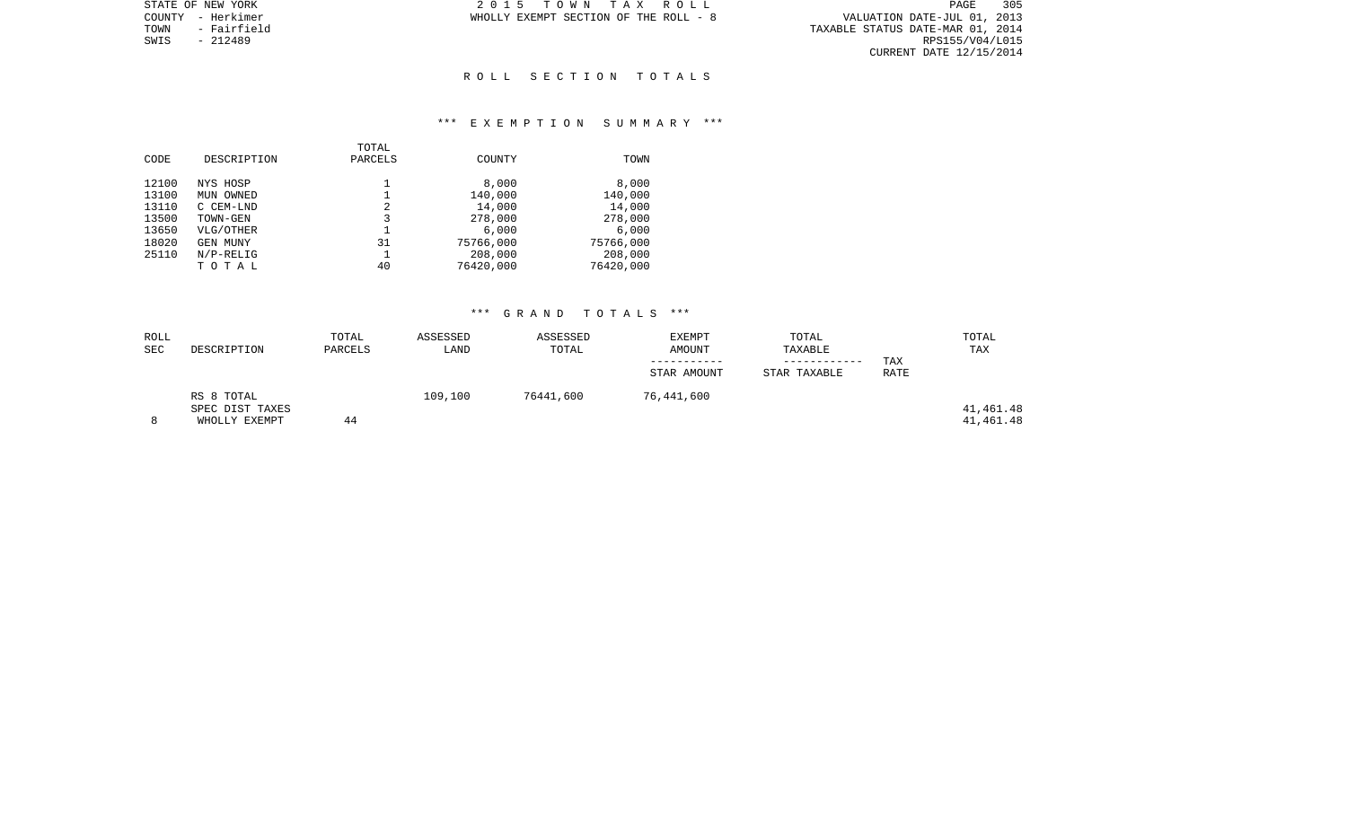PAGE 305 r VALUATION DATE-JUL 01, 2013<br>TAXABLE STATUS DATE-MAR 01, 2014<br>RPS155/V04/L015 CURRENT DATE 12/15/2014

STATE OF NEW YORK **2015 TOWN TAX ROLL** COUNTY - Herkimer **WHOLLY EXEMPT SECTION OF THE ROLL** - 8

TOWN - Fairfield<br>SWIS - 212489

### R O L L S E C T I O N T O T A L S

### \*\*\* E X E M P T I O N S U M M A R Y \*\*\*

|       |              | TOTAL   |               |           |
|-------|--------------|---------|---------------|-----------|
| CODE  | DESCRIPTION  | PARCELS | <b>COUNTY</b> | TOWN      |
|       |              |         |               |           |
| 12100 | NYS HOSP     |         | 8,000         | 8,000     |
| 13100 | MUN OWNED    |         | 140,000       | 140,000   |
| 13110 | C CEM-LND    | 2       | 14,000        | 14,000    |
| 13500 | TOWN-GEN     | 3       | 278,000       | 278,000   |
| 13650 | VLG/OTHER    |         | 6,000         | 6,000     |
| 18020 | GEN MUNY     | 31      | 75766,000     | 75766,000 |
| 25110 | $N/P-RELLIG$ |         | 208,000       | 208,000   |
|       | TOTAL        | 40      | 76420,000     | 76420,000 |

| ROLL<br><b>SEC</b> | DESCRIPTION                                    | TOTAL<br>PARCELS | ASSESSED<br>LAND | ASSESSED<br>TOTAL | <b>EXEMPT</b><br>AMOUNT<br>STAR AMOUNT | TOTAL<br>TAXABLE<br>STAR TAXABLE | TAX<br>RATE | TOTAL<br>TAX           |
|--------------------|------------------------------------------------|------------------|------------------|-------------------|----------------------------------------|----------------------------------|-------------|------------------------|
|                    | RS 8 TOTAL<br>SPEC DIST TAXES<br>WHOLLY EXEMPT | 44               | 109,100          | 76441,600         | 76,441,600                             |                                  |             | 41,461.48<br>41,461.48 |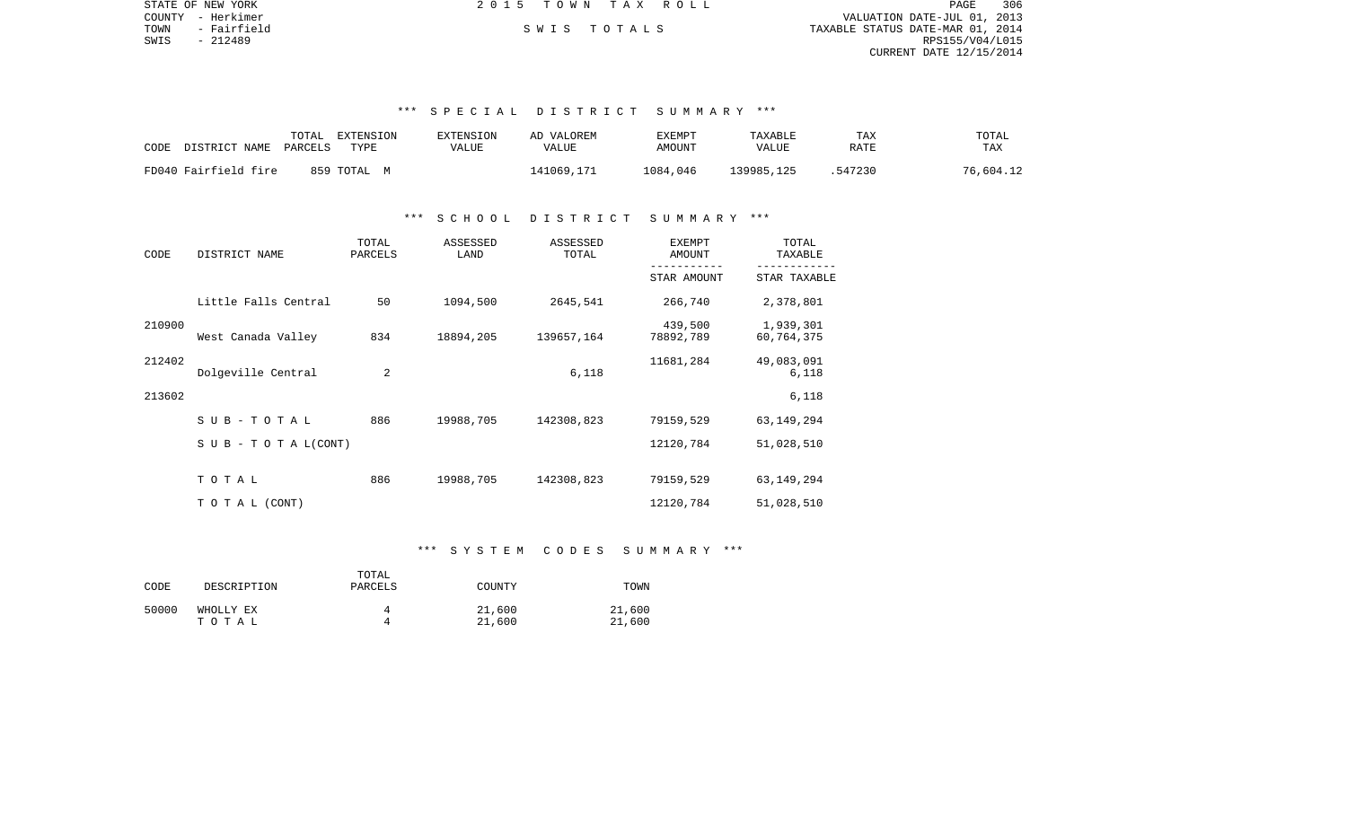| PAGE                             | 306 |
|----------------------------------|-----|
| VALUATION DATE-JUL 01, 2013      |     |
| TAXABLE STATUS DATE-MAR 01, 2014 |     |
| RPS155/V04/L015                  |     |
| CURRENT DATE 12/15/2014          |     |
|                                  |     |
|                                  |     |

## \*\*\* S P E C I A L D I S T R I C T S U M M A R Y \*\*\*

| CODE                 | TOTAL     | EXTENSION | EXTENSION | AD VALOREM | EXEMPT   | TAXABLE    | TAX     | TOTAL     |
|----------------------|-----------|-----------|-----------|------------|----------|------------|---------|-----------|
| DISTRICT NAME        | PARCELS   | TYPE      | VALUE     | VALUE      | AMOUNT   | VALUE      | RATE    | TAX       |
| FD040 Fairfield fire | 859 ТОТАL | M         |           | 141069,171 | 1084,046 | 139985,125 | .547230 | 76,604.12 |

## \*\*\* S C H O O L D I S T R I C T S U M M A R Y \*\*\*

| CODE   | DISTRICT NAME                    | TOTAL<br>PARCELS | ASSESSED<br>LAND | ASSESSED<br>TOTAL | <b>EXEMPT</b><br>AMOUNT | TOTAL<br>TAXABLE        |
|--------|----------------------------------|------------------|------------------|-------------------|-------------------------|-------------------------|
|        |                                  |                  |                  |                   | STAR AMOUNT             | STAR TAXABLE            |
|        | Little Falls Central             | 50               | 1094,500         | 2645,541          | 266,740                 | 2,378,801               |
| 210900 | West Canada Valley               | 834              | 18894,205        | 139657,164        | 439,500<br>78892,789    | 1,939,301<br>60,764,375 |
| 212402 | Dolgeville Central               | $\overline{a}$   |                  | 6,118             | 11681,284               | 49,083,091<br>6,118     |
| 213602 |                                  |                  |                  |                   |                         | 6,118                   |
|        | SUB-TOTAL                        | 886              | 19988,705        | 142308,823        | 79159,529               | 63, 149, 294            |
|        | $S \cup B - T \cup T A L (CONT)$ |                  |                  |                   | 12120,784               | 51,028,510              |
|        | TOTAL                            | 886              | 19988,705        | 142308,823        | 79159,529               | 63, 149, 294            |
|        | T O T A L (CONT)                 |                  |                  |                   | 12120,784               | 51,028,510              |

## \*\*\* S Y S T E M C O D E S S U M M A R Y \*\*\*

| CODE  | DESCRIPTION | TOTAL<br>PARCELS | COUNTY | TOWN   |
|-------|-------------|------------------|--------|--------|
| 50000 | WHOLLY EX   | д                | 21,600 | 21,600 |
|       | тотаь       | д                | 21,600 | 21,600 |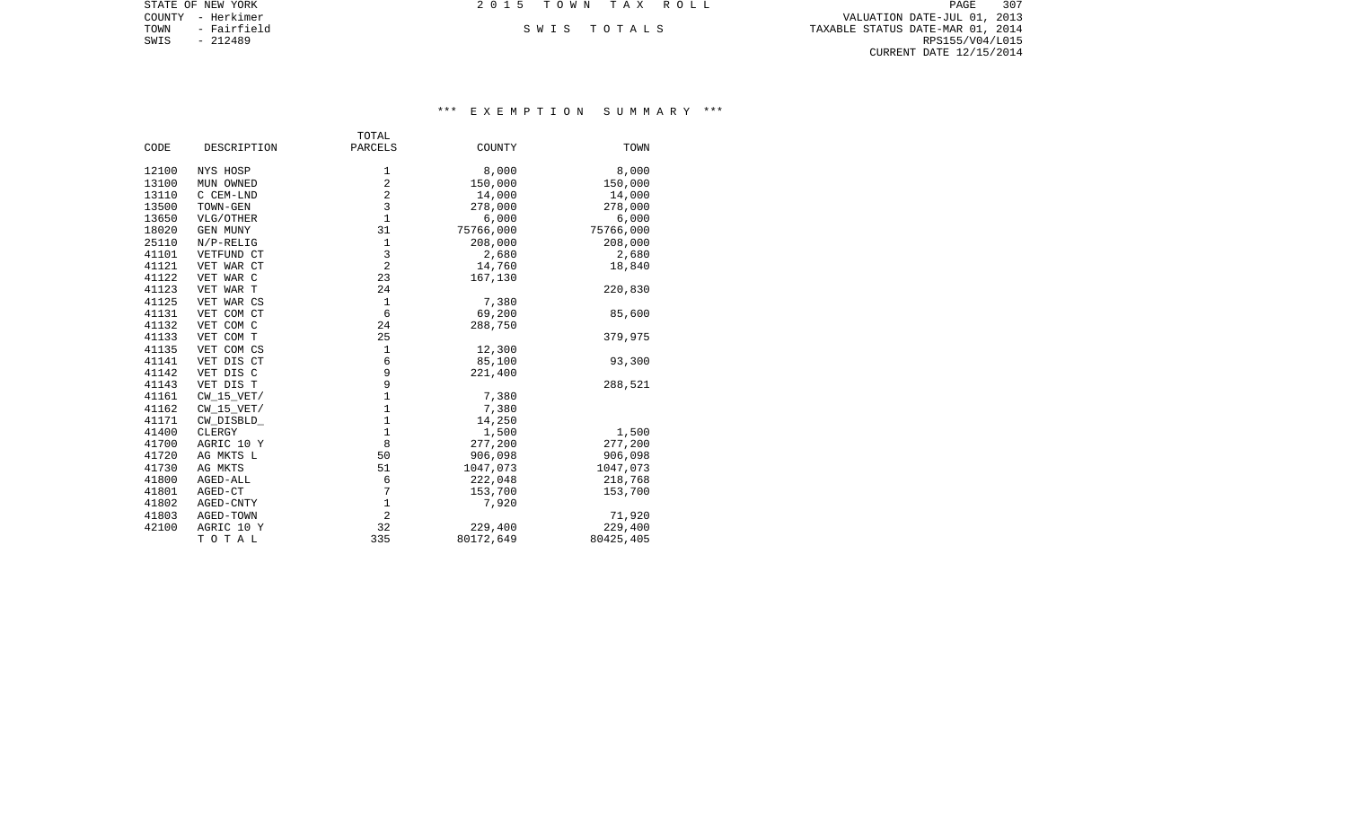COUNTY - Herkimer VALUATION DATE-JUL 01, 2013 TOWN - Fairfield S W I S T O T A L S TAXABLE STATUS DATE-MAR 01, 2014 EXAMPLE SOFT A LATTER OF THE SOFT A LATTER OF THE SOFT A LATTE OF A LATTE OF A LATTE PARK OF TOWN - FAIRFÉIDE<br>SWIS - 212489 RPS155/V04/L015 CURRENT DATE 12/15/2014

STATE OF NEW YORK **2015 TOWN TAX ROLL** 

# \*\*\* E X E M P T I O N S U M M A R Y \*\*\*

|       |                 | TOTAL          |           |           |
|-------|-----------------|----------------|-----------|-----------|
| CODE  | DESCRIPTION     | PARCELS        | COUNTY    | TOWN      |
|       |                 |                |           |           |
| 12100 | NYS HOSP        | 1              | 8,000     | 8,000     |
| 13100 | MUN OWNED       | $\overline{2}$ | 150,000   | 150,000   |
| 13110 | C CEM-LND       | $\overline{2}$ | 14,000    | 14,000    |
| 13500 | TOWN-GEN        | 3              | 278,000   | 278,000   |
| 13650 | VLG/OTHER       | $\mathbf{1}$   | 6,000     | 6,000     |
| 18020 | <b>GEN MUNY</b> | 31             | 75766,000 | 75766,000 |
| 25110 | $N/P-RELIG$     | 1              | 208,000   | 208,000   |
| 41101 | VETFUND CT      | 3              | 2,680     | 2,680     |
| 41121 | VET WAR CT      | $\overline{2}$ | 14,760    | 18,840    |
| 41122 | VET WAR C       | 23             | 167,130   |           |
| 41123 | VET WAR T       | 24             |           | 220,830   |
| 41125 | VET WAR CS      | $1\,$          | 7,380     |           |
| 41131 | VET COM CT      | 6              | 69,200    | 85,600    |
| 41132 | VET COM C       | 24             | 288,750   |           |
| 41133 | VET COM T       | 25             |           | 379,975   |
| 41135 | VET COM CS      | $\mathbf{1}$   | 12,300    |           |
| 41141 | VET DIS CT      | 6              | 85,100    | 93,300    |
| 41142 | VET DIS C       | 9              | 221,400   |           |
| 41143 | VET DIS T       | 9              |           | 288,521   |
| 41161 | $CW_15_VET/$    | $\mathbf 1$    | 7,380     |           |
| 41162 | $CW_15_VET/$    | $\mathbf 1$    | 7,380     |           |
| 41171 | CW_DISBLD_      | $\mathbf{1}$   | 14,250    |           |
| 41400 | CLERGY          | $\mathbf 1$    | 1,500     | 1,500     |
| 41700 | AGRIC 10 Y      | 8              | 277,200   | 277,200   |
| 41720 | AG MKTS L       | 50             | 906,098   | 906,098   |
| 41730 | AG MKTS         | 51             | 1047,073  | 1047,073  |
| 41800 | AGED-ALL        | 6              | 222,048   | 218,768   |
| 41801 | AGED-CT         | 7              | 153,700   | 153,700   |
| 41802 | AGED-CNTY       | $\mathbf 1$    | 7,920     |           |
| 41803 | AGED-TOWN       | $\overline{2}$ |           | 71,920    |
| 42100 | AGRIC 10 Y      | 32             | 229,400   | 229,400   |
|       | TOTAL           | 335            | 80172,649 | 80425,405 |
|       |                 |                |           |           |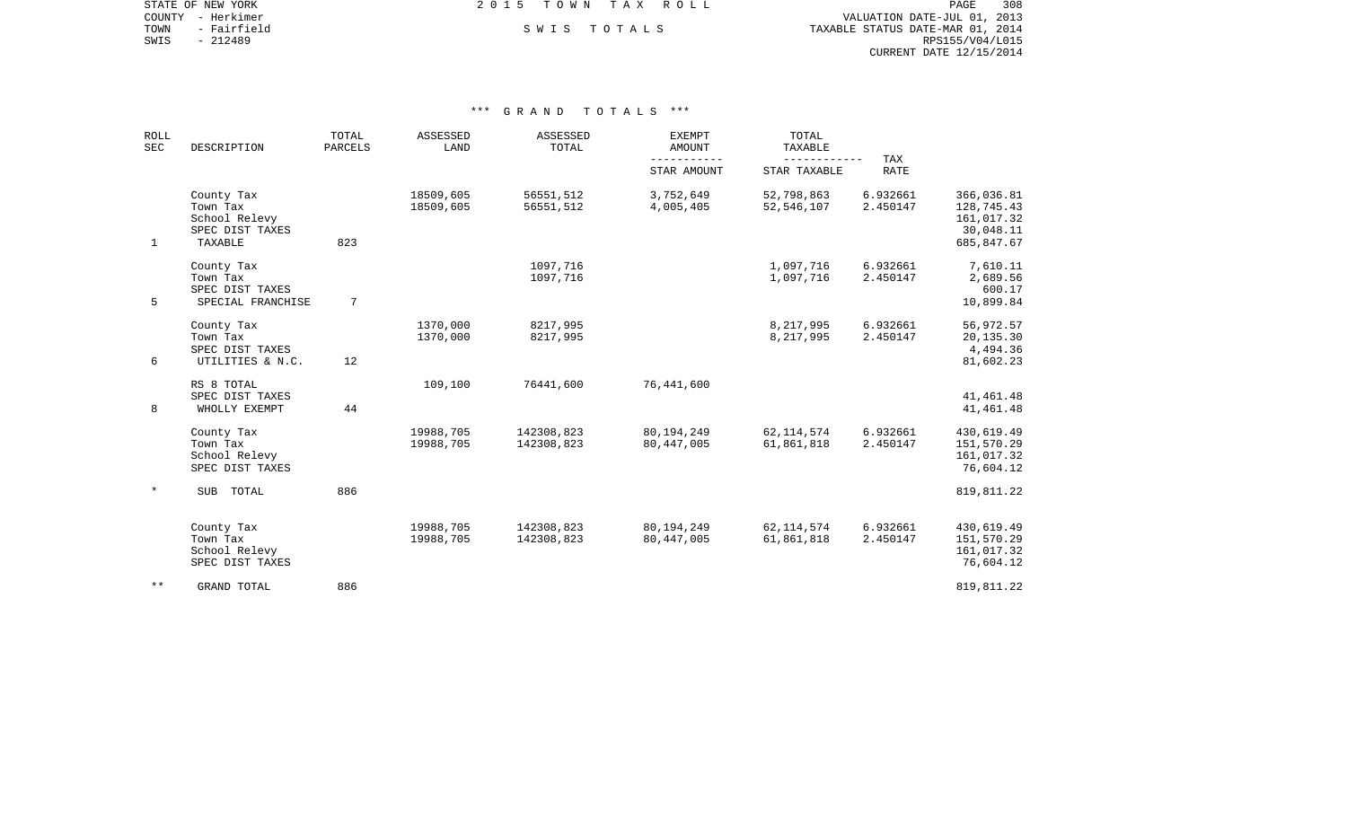COUNTY - Herkimer VALUATION DATE-JUL 01, 2013 TOWN - Fairfield S W I S T O T A L S TAXABLE STATUS DATE-MAR 01, 2014 EXAMPLE SONT A SANTIFICAL SANTIFICAL SANTIFICAL SANTIFICAL SANTIFICAL SANTIFICAL SANTIFICAL DELITION OF TOWN - FAIRFIELD SANTIFICAL SANTIFICAL DATE-MAR 01, 2014<br>SWIS - 212489 RPS155/V04/L015 CURRENT DATE 12/15/2014

STATE OF NEW YORK **EXECUTE:**  $2015$  TOWN TAX ROLL

| <b>ROLL</b><br>SEC | DESCRIPTION                                                           | TOTAL<br>PARCELS | ASSESSED<br>LAND       | ASSESSED<br>TOTAL        | <b>EXEMPT</b><br><b>AMOUNT</b> | TOTAL<br>TAXABLE           |                      |                                                                   |
|--------------------|-----------------------------------------------------------------------|------------------|------------------------|--------------------------|--------------------------------|----------------------------|----------------------|-------------------------------------------------------------------|
|                    |                                                                       |                  |                        |                          | STAR AMOUNT                    | STAR TAXABLE               | TAX<br><b>RATE</b>   |                                                                   |
| $\mathbf 1$        | County Tax<br>Town Tax<br>School Relevy<br>SPEC DIST TAXES<br>TAXABLE | 823              | 18509,605<br>18509,605 | 56551,512<br>56551,512   | 3,752,649<br>4,005,405         | 52,798,863<br>52, 546, 107 | 6.932661<br>2.450147 | 366,036.81<br>128,745.43<br>161,017.32<br>30,048.11<br>685,847.67 |
| 5                  | County Tax<br>Town Tax<br>SPEC DIST TAXES<br>SPECIAL FRANCHISE        | 7                |                        | 1097,716<br>1097,716     |                                | 1,097,716<br>1,097,716     | 6.932661<br>2.450147 | 7,610.11<br>2,689.56<br>600.17<br>10,899.84                       |
| 6                  | County Tax<br>Town Tax<br>SPEC DIST TAXES<br>UTILITIES & N.C.         | 12               | 1370,000<br>1370,000   | 8217,995<br>8217,995     |                                | 8,217,995<br>8,217,995     | 6.932661<br>2.450147 | 56,972.57<br>20,135.30<br>4,494.36<br>81,602.23                   |
| 8                  | RS 8 TOTAL<br>SPEC DIST TAXES<br>WHOLLY EXEMPT                        | 44               | 109,100                | 76441,600                | 76,441,600                     |                            |                      | 41,461.48<br>41, 461. 48                                          |
|                    | County Tax<br>Town Tax<br>School Relevy<br>SPEC DIST TAXES            |                  | 19988,705<br>19988,705 | 142308,823<br>142308,823 | 80,194,249<br>80, 447, 005     | 62, 114, 574<br>61,861,818 | 6.932661<br>2.450147 | 430,619.49<br>151,570.29<br>161,017.32<br>76,604.12               |
| $\star$            | SUB TOTAL                                                             | 886              |                        |                          |                                |                            |                      | 819, 811.22                                                       |
|                    | County Tax<br>Town Tax<br>School Relevy<br>SPEC DIST TAXES            |                  | 19988,705<br>19988,705 | 142308,823<br>142308,823 | 80,194,249<br>80, 447, 005     | 62, 114, 574<br>61,861,818 | 6.932661<br>2.450147 | 430,619.49<br>151,570.29<br>161,017.32<br>76,604.12               |
| $\star\star$       | GRAND TOTAL                                                           | 886              |                        |                          |                                |                            |                      | 819, 811.22                                                       |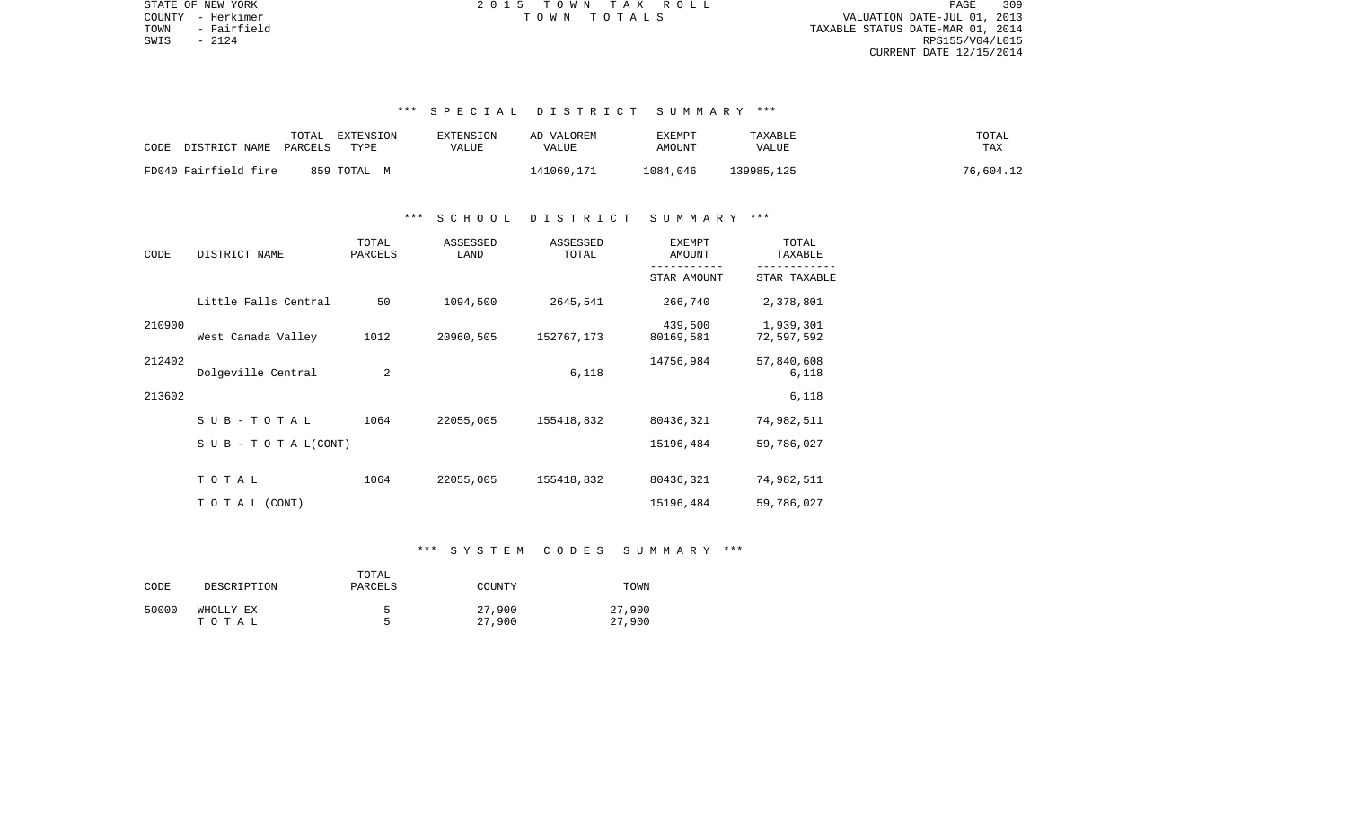PAGE 309 TOWN - Fairfield TAXABLE STATUS DATE-MAR 01, 2014  $S WIS$  - 2124 RPS155/V04/L015 CURRENT DATE 12/15/2014

STATE OF NEW YORK 2 0 1 5 T O W N T A X R O L L PAGE 309COUNTY - Herkimer T O W N T O T A L S VALUATION DATE-JUL 01, 2013

# \*\*\* S P E C I A L D I S T R I C T S U M M A R Y \*\*\*

| CODE<br>DISTRICT NAME PARCELS | TOTAL<br>EXTENSION<br>TYPE | EXTENSION<br>VALUE | AD VALOREM<br>VALUE | EXEMPT<br>AMOUNT | TAXABLE<br><b>VALUE</b> | TOTAL<br>TAX |
|-------------------------------|----------------------------|--------------------|---------------------|------------------|-------------------------|--------------|
| FD040 Fairfield fire          | 859 TOTAL M                |                    | 141069,171          | 1084,046         | 139985,125              | 76,604.12    |

### \*\*\* S C H O O L D I S T R I C T S U M M A R Y \*\*\*

| CODE   | DISTRICT NAME                    | TOTAL<br>PARCELS | ASSESSED<br>LAND | ASSESSED<br>TOTAL | <b>EXEMPT</b><br>AMOUNT | TOTAL<br>TAXABLE        |
|--------|----------------------------------|------------------|------------------|-------------------|-------------------------|-------------------------|
|        |                                  |                  |                  |                   | STAR AMOUNT             | STAR TAXABLE            |
|        | Little Falls Central             | 50               | 1094,500         | 2645,541          | 266,740                 | 2,378,801               |
| 210900 | West Canada Valley               | 1012             | 20960,505        | 152767,173        | 439,500<br>80169,581    | 1,939,301<br>72,597,592 |
| 212402 | Dolgeville Central               | 2                |                  | 6,118             | 14756,984               | 57,840,608<br>6,118     |
| 213602 |                                  |                  |                  |                   |                         | 6,118                   |
|        | SUB-TOTAL                        | 1064             | 22055,005        | 155418,832        | 80436,321               | 74,982,511              |
|        | $S \cup B - T \cup T A L (CONT)$ |                  |                  |                   | 15196,484               | 59,786,027              |
|        | TOTAL                            | 1064             | 22055,005        | 155418,832        | 80436,321               | 74,982,511              |
|        | T O T A L (CONT)                 |                  |                  |                   | 15196,484               | 59,786,027              |

## \*\*\* S Y S T E M C O D E S S U M M A R Y \*\*\*

|       |             | TOTAL   |               |        |
|-------|-------------|---------|---------------|--------|
| CODE  | DESCRIPTION | PARCELS | <b>COUNTY</b> | TOWN   |
|       |             |         |               |        |
| 50000 | WHOLLY EX   | h       | 27,900        | 27,900 |
|       | тотаь       |         | 27,900        | 27,900 |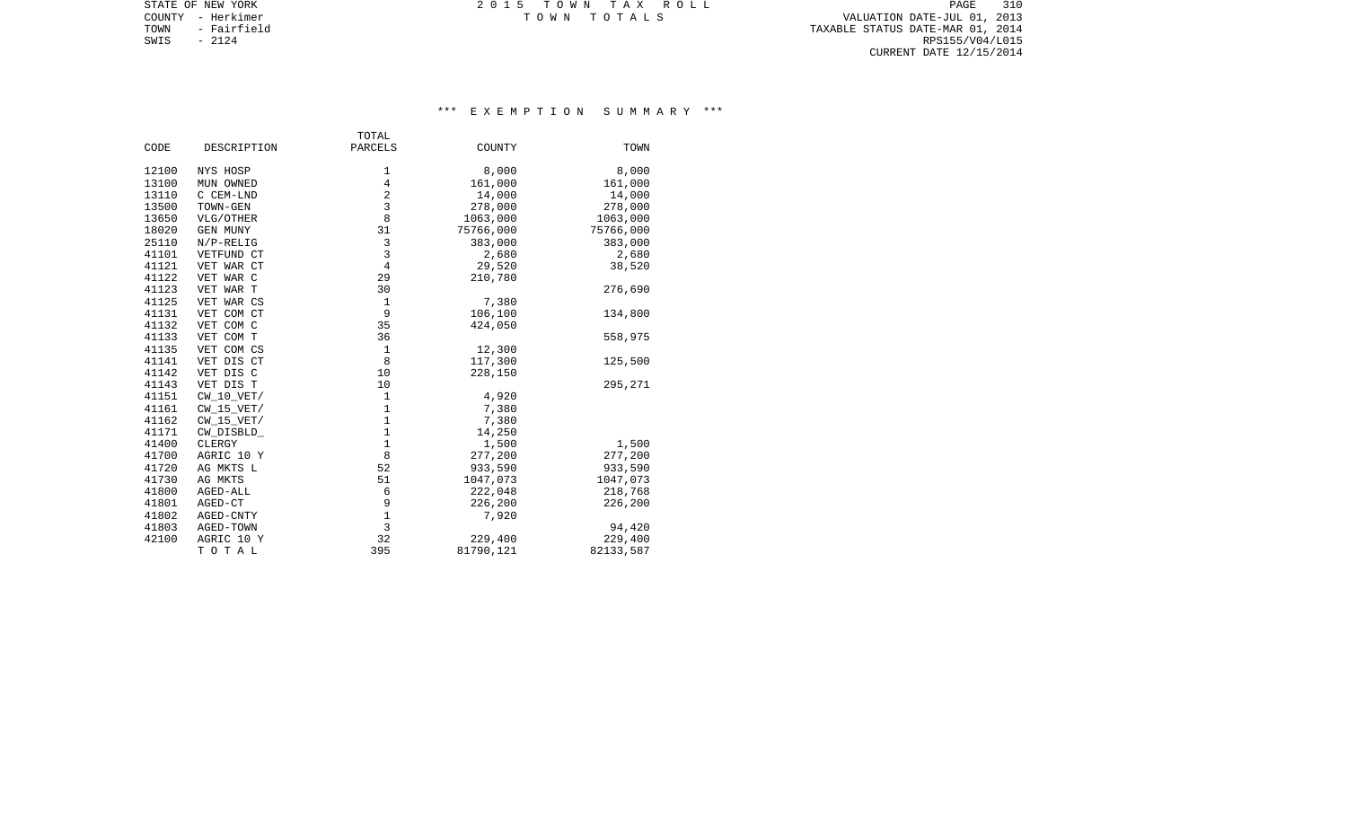TOWN - Fairfield TAXABLE STATUS DATE-MAR 01, 2014 SWIS - 2124<br>
SWIS - 2124<br>
SWIS - 2124<br>
RPS155/V04/L015 CURRENT DATE 12/15/2014

STATE OF NEW YORK **EXECUTE:** TOWN TAX ROLL COUNTY - Herkimer T O W N T O T A L S VALUATION DATE-JUL 01, 2013

# \*\*\* E X E M P T I O N S U M M A R Y \*\*\*

|       |                 | TOTAL          |           |           |
|-------|-----------------|----------------|-----------|-----------|
| CODE  | DESCRIPTION     | PARCELS        | COUNTY    | TOWN      |
| 12100 | NYS HOSP        | 1              | 8,000     | 8,000     |
| 13100 | MUN OWNED       | $\overline{4}$ | 161,000   | 161,000   |
| 13110 | C CEM-LND       | $\overline{2}$ | 14,000    | 14,000    |
| 13500 | TOWN-GEN        | 3              | 278,000   | 278,000   |
| 13650 | VLG/OTHER       | 8              | 1063,000  | 1063,000  |
| 18020 | <b>GEN MUNY</b> | 31             | 75766,000 | 75766,000 |
| 25110 | $N/P-RELIG$     | 3              | 383,000   | 383,000   |
| 41101 | VETFUND CT      | 3              | 2,680     | 2,680     |
| 41121 | VET WAR CT      | $\overline{4}$ | 29,520    | 38,520    |
| 41122 | VET WAR C       | 29             | 210,780   |           |
| 41123 | VET WAR T       | 30             |           | 276,690   |
| 41125 | VET WAR CS      | $\mathbf 1$    | 7,380     |           |
| 41131 | VET COM CT      | 9              | 106,100   | 134,800   |
| 41132 | VET COM C       | 35             | 424,050   |           |
| 41133 | VET COM T       | 36             |           | 558,975   |
| 41135 | VET COM CS      | $\mathbf{1}$   | 12,300    |           |
| 41141 | VET DIS CT      | 8              | 117,300   | 125,500   |
| 41142 | VET DIS C       | 10             | 228,150   |           |
| 41143 | VET DIS T       | 10             |           | 295,271   |
| 41151 | $CW_10_VET/$    | $1\,$          | 4,920     |           |
| 41161 | $CW_15_VET/$    | $1\,$          | 7,380     |           |
| 41162 | $CW_15_VET/$    | $1\,$          | 7,380     |           |
| 41171 | CW_DISBLD_      | $1\,$          | 14,250    |           |
| 41400 | CLERGY          | $\mathbf 1$    | 1,500     | 1,500     |
| 41700 | AGRIC 10 Y      | 8              | 277,200   | 277,200   |
| 41720 | AG MKTS L       | 52             | 933,590   | 933,590   |
| 41730 | AG MKTS         | 51             | 1047,073  | 1047,073  |
| 41800 | AGED-ALL        | 6              | 222,048   | 218,768   |
| 41801 | AGED-CT         | 9              | 226,200   | 226,200   |
| 41802 | AGED-CNTY       | 1              | 7,920     |           |
| 41803 | AGED-TOWN       | 3              |           | 94,420    |
| 42100 | AGRIC 10 Y      | 32             | 229,400   | 229,400   |
|       | TOTAL           | 395            | 81790,121 | 82133,587 |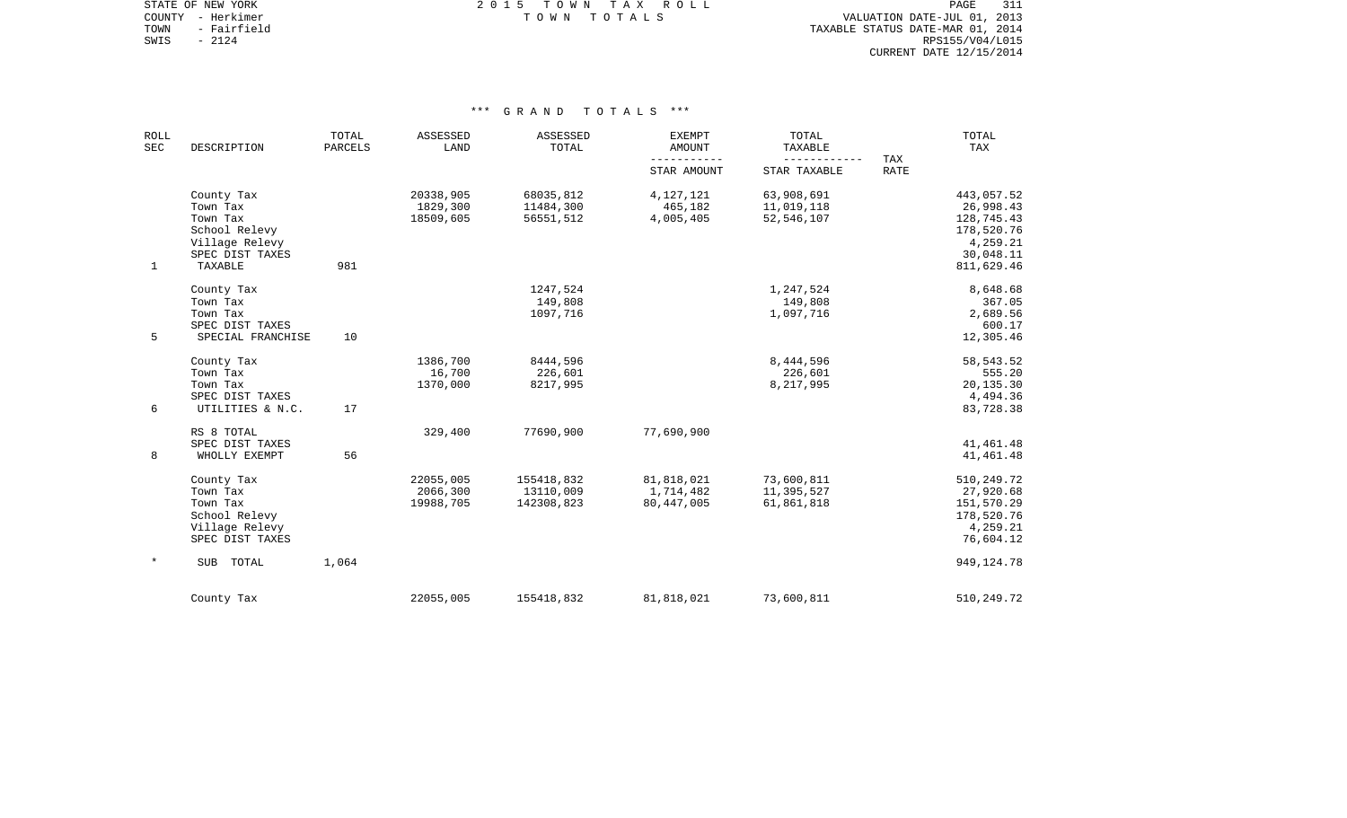STATE OF NEW YORK **EXECUTE:**  $2015$  TOWN TAX ROLL COUNTY - Herkimer T O W N T O T A L S VALUATION DATE-JUL 01, 2013

TOWN - Fairfield TAXABLE STATUS DATE-MAR 01, 2014 SWIS - 2124<br>
SWIS - 2124<br>
SWIS - 2124<br>
RPS155/V04/L015 CURRENT DATE 12/15/2014

| ROLL<br>SEC | DESCRIPTION                                                                              | TOTAL<br>PARCELS | ASSESSED<br>LAND                   | ASSESSED<br>TOTAL                     | EXEMPT<br>AMOUNT                        | TOTAL<br>TAXABLE                         |                    | TOTAL<br>TAX                                                                 |
|-------------|------------------------------------------------------------------------------------------|------------------|------------------------------------|---------------------------------------|-----------------------------------------|------------------------------------------|--------------------|------------------------------------------------------------------------------|
|             |                                                                                          |                  |                                    |                                       | STAR AMOUNT                             | ------------<br>STAR TAXABLE             | TAX<br><b>RATE</b> |                                                                              |
|             | County Tax<br>Town Tax<br>Town Tax                                                       |                  | 20338,905<br>1829,300<br>18509,605 | 68035,812<br>11484,300<br>56551,512   | 4,127,121<br>465,182<br>4,005,405       | 63,908,691<br>11,019,118<br>52, 546, 107 |                    | 443,057.52<br>26,998.43<br>128,745.43                                        |
|             | School Relevy<br>Village Relevy<br>SPEC DIST TAXES                                       |                  |                                    |                                       |                                         |                                          |                    | 178,520.76<br>4,259.21<br>30,048.11                                          |
| $\mathbf 1$ | TAXABLE                                                                                  | 981              |                                    |                                       |                                         |                                          |                    | 811,629.46                                                                   |
|             | County Tax<br>Town Tax<br>Town Tax<br>SPEC DIST TAXES                                    |                  |                                    | 1247,524<br>149,808<br>1097,716       |                                         | 1,247,524<br>149,808<br>1,097,716        |                    | 8,648.68<br>367.05<br>2,689.56<br>600.17                                     |
| 5           | SPECIAL FRANCHISE                                                                        | 10               |                                    |                                       |                                         |                                          |                    | 12,305.46                                                                    |
|             | County Tax<br>Town Tax<br>Town Tax<br>SPEC DIST TAXES                                    |                  | 1386,700<br>16,700<br>1370,000     | 8444,596<br>226,601<br>8217,995       |                                         | 8,444,596<br>226,601<br>8,217,995        |                    | 58,543.52<br>555.20<br>20,135.30<br>4,494.36                                 |
| 6           | UTILITIES & N.C.                                                                         | 17               |                                    |                                       |                                         |                                          |                    | 83,728.38                                                                    |
| 8           | RS 8 TOTAL<br>SPEC DIST TAXES<br>WHOLLY EXEMPT                                           | 56               | 329,400                            | 77690,900                             | 77,690,900                              |                                          |                    | 41, 461. 48<br>41, 461. 48                                                   |
|             | County Tax<br>Town Tax<br>Town Tax<br>School Relevy<br>Village Relevy<br>SPEC DIST TAXES |                  | 22055,005<br>2066,300<br>19988,705 | 155418,832<br>13110,009<br>142308,823 | 81,818,021<br>1,714,482<br>80, 447, 005 | 73,600,811<br>11,395,527<br>61,861,818   |                    | 510,249.72<br>27,920.68<br>151,570.29<br>178,520.76<br>4,259.21<br>76,604.12 |
| $\ast$      | SUB<br>TOTAL                                                                             | 1,064            |                                    |                                       |                                         |                                          |                    | 949, 124. 78                                                                 |
|             | County Tax                                                                               |                  | 22055,005                          | 155418,832                            | 81,818,021                              | 73,600,811                               |                    | 510,249.72                                                                   |